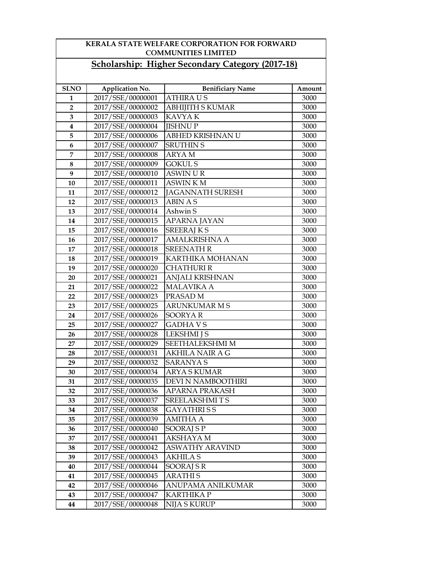| <b>KERALA STATE WELFARE CORPORATION FOR FORWARD</b><br><b>COMMUNITIES LIMITED</b> |                   |                                                         |        |
|-----------------------------------------------------------------------------------|-------------------|---------------------------------------------------------|--------|
|                                                                                   |                   | <b>Scholarship: Higher Secondary Category (2017-18)</b> |        |
|                                                                                   |                   |                                                         |        |
| <b>SLNO</b>                                                                       | Application No.   | <b>Benificiary Name</b>                                 | Amount |
| 1                                                                                 | 2017/SSE/00000001 | <b>ATHIRAUS</b>                                         | 3000   |
| $\overline{2}$                                                                    | 2017/SSE/00000002 | <b>ABHIJITH S KUMAR</b>                                 | 3000   |
| 3                                                                                 | 2017/SSE/00000003 | <b>KAVYAK</b>                                           | 3000   |
| 4                                                                                 | 2017/SSE/00000004 | <b>JISHNUP</b>                                          | 3000   |
| 5                                                                                 | 2017/SSE/00000006 | ABHED KRISHNAN U                                        | 3000   |
| 6                                                                                 | 2017/SSE/00000007 | <b>SRUTHIN S</b>                                        | 3000   |
| 7                                                                                 | 2017/SSE/00000008 | <b>ARYAM</b>                                            | 3000   |
| 8                                                                                 | 2017/SSE/00000009 | <b>GOKULS</b>                                           | 3000   |
| 9                                                                                 | 2017/SSE/00000010 | <b>ASWIN UR</b>                                         | 3000   |
| 10                                                                                | 2017/SSE/00000011 | <b>ASWINKM</b>                                          | 3000   |
| 11                                                                                | 2017/SSE/00000012 | <b>JAGANNATH SURESH</b>                                 | 3000   |
| 12                                                                                | 2017/SSE/00000013 | <b>ABIN AS</b>                                          | 3000   |
| 13                                                                                | 2017/SSE/00000014 | Ashwin S                                                | 3000   |
| 14                                                                                | 2017/SSE/00000015 | <b>APARNA JAYAN</b>                                     | 3000   |
| 15                                                                                | 2017/SSE/00000016 | <b>SREERAJKS</b>                                        | 3000   |
| 16                                                                                | 2017/SSE/00000017 | <b>AMALKRISHNA A</b>                                    | 3000   |
| 17                                                                                | 2017/SSE/00000018 | <b>SREENATH R</b>                                       | 3000   |
| 18                                                                                | 2017/SSE/00000019 | KARTHIKA MOHANAN                                        | 3000   |
| 19                                                                                | 2017/SSE/00000020 | <b>CHATHURI R</b>                                       | 3000   |
| 20                                                                                | 2017/SSE/00000021 | <b>ANJALI KRISHNAN</b>                                  | 3000   |
| 21                                                                                | 2017/SSE/00000022 | <b>MALAVIKA A</b>                                       | 3000   |
| 22                                                                                | 2017/SSE/00000023 | PRASAD <sub>M</sub>                                     | 3000   |
| 23                                                                                | 2017/SSE/00000025 | <b>ARUNKUMAR M S</b>                                    | 3000   |
| 24                                                                                | 2017/SSE/00000026 | <b>SOORYAR</b>                                          | 3000   |
| 25                                                                                | 2017/SSE/00000027 | <b>GADHAVS</b>                                          | 3000   |
| 26                                                                                | 2017/SSE/00000028 | <b>LEKSHMI</b> J S                                      | 3000   |
| 27                                                                                | 2017/SSE/00000029 | <b>SEETHALEKSHMI M</b>                                  | 3000   |
| 28                                                                                | 2017/SSE/00000031 | <b>AKHILA NAIR A G</b>                                  | 3000   |
| 29                                                                                | 2017/SSE/00000032 | <b>SARANYA S</b>                                        | 3000   |
| 30                                                                                | 2017/SSE/00000034 | ARYA S KUMAR                                            | 3000   |
| 31                                                                                | 2017/SSE/00000035 | DEVI N NAMBOOTHIRI                                      | 3000   |
| 32                                                                                | 2017/SSE/00000036 | APARNA PRAKASH                                          | 3000   |
| 33                                                                                | 2017/SSE/00000037 | <b>SREELAKSHMITS</b>                                    | 3000   |
| 34                                                                                | 2017/SSE/00000038 | <b>GAYATHRISS</b>                                       | 3000   |
| 35                                                                                | 2017/SSE/00000039 | <b>AMITHA A</b>                                         | 3000   |
| 36                                                                                | 2017/SSE/00000040 | SOORAJ S P                                              | 3000   |
| 37                                                                                | 2017/SSE/00000041 | AKSHAYA M                                               | 3000   |
| 38                                                                                | 2017/SSE/00000042 | <b>ASWATHY ARAVIND</b>                                  | 3000   |
| 39                                                                                | 2017/SSE/00000043 | <b>AKHILA S</b>                                         | 3000   |
| 40                                                                                | 2017/SSE/00000044 | SOORAJ SR                                               | 3000   |
| 41                                                                                | 2017/SSE/00000045 | <b>ARATHIS</b>                                          | 3000   |
| 42                                                                                | 2017/SSE/00000046 | ANUPAMA ANILKUMAR                                       | 3000   |
| 43                                                                                | 2017/SSE/00000047 | <b>KARTHIKA P</b>                                       | 3000   |
| 44                                                                                | 2017/SSE/00000048 | <b>NIJA S KURUP</b>                                     | 3000   |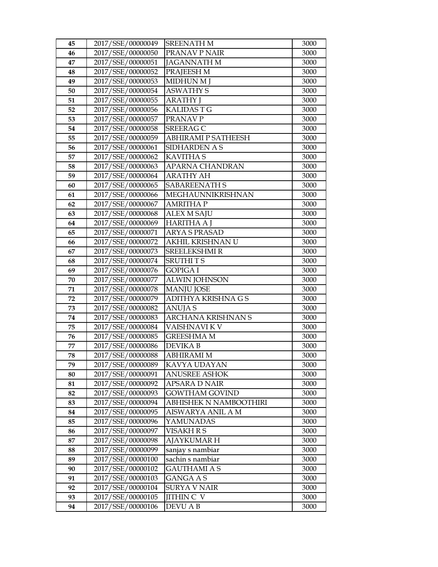| 45       | 2017/SSE/00000049                      | <b>SREENATH M</b>            | 3000         |
|----------|----------------------------------------|------------------------------|--------------|
| 46       | 2017/SSE/00000050                      | PRANAV P NAIR                | 3000         |
| 47       | 2017/SSE/00000051                      | <b>JAGANNATH M</b>           | 3000         |
| 48       | 2017/SSE/00000052                      | PRAJEESH M                   | 3000         |
| 49       | 2017/SSE/00000053                      | MIDHUN M J                   | 3000         |
| 50       | 2017/SSE/00000054                      | <b>ASWATHY S</b>             | 3000         |
| 51       | 2017/SSE/00000055                      | <b>ARATHY</b> J              | 3000         |
| 52       | 2017/SSE/00000056                      | <b>KALIDAST G</b>            | 3000         |
| 53       | 2017/SSE/00000057                      | PRANAV P                     | 3000         |
| 54       | 2017/SSE/00000058                      | <b>SREERAG C</b>             | 3000         |
| 55       | 2017/SSE/00000059                      | ABHIRAMI P SATHEESH          | 3000         |
| 56       | 2017/SSE/00000061                      | SIDHARDEN A S                | 3000         |
| 57       | 2017/SSE/00000062                      | <b>KAVITHA S</b>             | 3000         |
| 58       | 2017/SSE/00000063                      | APARNA CHANDRAN              | 3000         |
| 59       | 2017/SSE/00000064                      | <b>ARATHY AH</b>             | 3000         |
| 60       | 2017/SSE/00000065                      | <b>SABAREENATH S</b>         | 3000         |
| 61       | 2017/SSE/00000066                      | MEGHAUNNIKRISHNAN            | 3000         |
| 62       | 2017/SSE/00000067                      | <b>AMRITHAP</b>              | 3000         |
| 63       | 2017/SSE/00000068                      | <b>ALEX M SAJU</b>           | 3000         |
| 64       | 2017/SSE/00000069                      | <b>HARITHA A J</b>           | 3000         |
| 65       | 2017/SSE/00000071                      | <b>ARYA S PRASAD</b>         | 3000         |
| 66       | 2017/SSE/00000072                      | AKHIL KRISHNAN U             | 3000         |
| 67       | 2017/SSE/00000073                      | <b>SREELEKSHMIR</b>          | 3000         |
| 68       | 2017/SSE/00000074                      | <b>SRUTHITS</b>              | 3000         |
| 69       | 2017/SSE/00000076                      | <b>GOPIGA I</b>              | 3000         |
| 70       | 2017/SSE/00000077                      | <b>ALWIN JOHNSON</b>         | 3000         |
| 71       | 2017/SSE/00000078                      | <b>MANJU JOSE</b>            | 3000         |
| 72       | 2017/SSE/00000079                      | ADITHYA KRISHNA G S          | 3000         |
| 73       | 2017/SSE/00000082                      | <b>ANUJAS</b>                | 3000         |
| 74       | 2017/SSE/00000083                      | <b>ARCHANA KRISHNAN S</b>    | 3000         |
| 75       | 2017/SSE/00000084                      | VAISHNAVI KV                 | 3000         |
| 76<br>77 | 2017/SSE/00000085                      | GREESHMA M<br><b>DEVIKAB</b> | 3000         |
| 78       | 2017/SSE/00000086<br>2017/SSE/00000088 | <b>ABHIRAMI M</b>            | 3000<br>3000 |
| 79       | 2017/SSE/00000089                      | KAVYA UDAYAN                 | 3000         |
| 80       | 2017/SSE/00000091                      | ANUSREE ASHOK                | 3000         |
| 81       | 2017/SSE/00000092                      | APSARA D NAIR                | 3000         |
| 82       | 2017/SSE/00000093                      | <b>GOWTHAM GOVIND</b>        | 3000         |
| 83       | 2017/SSE/00000094                      | ABHISHEK N NAMBOOTHIRI       | 3000         |
| 84       | 2017/SSE/00000095                      | AISWARYA ANIL A M            | 3000         |
| 85       | 2017/SSE/00000096                      | YAMUNADAS                    | 3000         |
| 86       | 2017/SSE/00000097                      | VISAKH R S                   | 3000         |
| 87       | 2017/SSE/00000098                      | <b>AJAYKUMARH</b>            | 3000         |
| 88       | 2017/SSE/00000099                      | sanjay s nambiar             | 3000         |
| 89       | 2017/SSE/00000100                      | sachin s nambiar             | 3000         |
| 90       | 2017/SSE/00000102                      | GAUTHAMI A S                 | 3000         |
| 91       | 2017/SSE/00000103                      | GANGA A S                    | 3000         |
| 92       | 2017/SSE/00000104                      | <b>SURYA V NAIR</b>          | 3000         |
| 93       | 2017/SSE/00000105                      | <b>JITHIN C V</b>            | 3000         |
| 94       | 2017/SSE/00000106                      | DEVU A B                     | 3000         |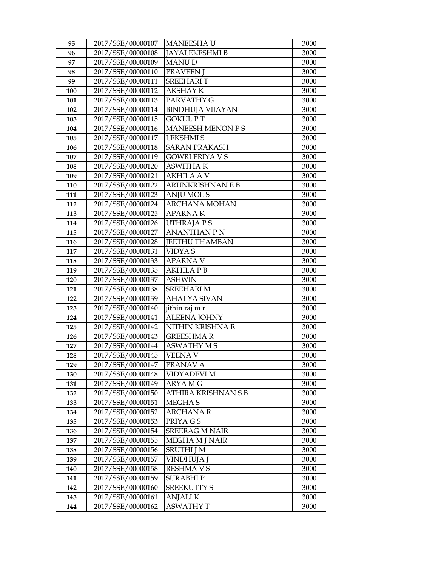| 95         | 2017/SSE/00000107                      | <b>MANEESHAU</b>                       | 3000         |
|------------|----------------------------------------|----------------------------------------|--------------|
| 96         | 2017/SSE/00000108                      | <b>JAYALEKESHMI B</b>                  | 3000         |
| 97         | 2017/SSE/00000109                      | <b>MANUD</b>                           | 3000         |
| 98         | 2017/SSE/00000110                      | <b>PRAVEEN J</b>                       | 3000         |
| 99         | 2017/SSE/00000111                      | <b>SREEHARIT</b>                       | 3000         |
| 100        | 2017/SSE/00000112                      | AKSHAY K                               | 3000         |
| 101        | 2017/SSE/00000113                      | PARVATHY G                             | 3000         |
| 102        | 2017/SSE/00000114                      | <b>BINDHUJA VIJAYAN</b>                | 3000         |
| 103        | 2017/SSE/00000115                      | <b>GOKUL PT</b>                        | 3000         |
| 104        | 2017/SSE/00000116                      | MANEESH MENON P S                      | 3000         |
| 105        | 2017/SSE/00000117                      | <b>LEKSHMIS</b>                        | 3000         |
| 106        | 2017/SSE/00000118                      | <b>SARAN PRAKASH</b>                   | 3000         |
| 107        | 2017/SSE/00000119                      | <b>GOWRI PRIYA V S</b>                 | 3000         |
| 108        | 2017/SSE/00000120                      | <b>ASWITHA K</b>                       | 3000         |
| 109        | 2017/SSE/00000121                      | <b>AKHILA A V</b>                      | 3000         |
| 110        | 2017/SSE/00000122                      | ARUNKRISHNAN E B                       | 3000         |
| 111        | 2017/SSE/00000123                      | <b>ANJU MOLS</b>                       | 3000         |
| 112        | 2017/SSE/00000124                      | <b>ARCHANA MOHAN</b>                   | 3000         |
| 113        | 2017/SSE/00000125                      | <b>APARNAK</b>                         | 3000         |
| 114        | 2017/SSE/00000126                      | <b>UTHRAJAPS</b>                       | 3000         |
| 115        | 2017/SSE/00000127                      | ANANTHAN P N                           | 3000         |
| 116        | 2017/SSE/00000128                      | JEETHU THAMBAN                         | 3000         |
| 117        | 2017/SSE/00000131                      | <b>VIDYAS</b>                          | 3000         |
| 118        | 2017/SSE/00000133                      | <b>APARNAV</b>                         | 3000         |
| 119        | 2017/SSE/00000135                      | <b>AKHILA P B</b>                      | 3000         |
| 120        | 2017/SSE/00000137                      | ASHWIN                                 | 3000         |
| 121        | 2017/SSE/00000138                      | <b>SREEHARI M</b>                      | 3000         |
| 122        | 2017/SSE/00000139                      | <b>AHALYA SIVAN</b>                    | 3000         |
| 123        | 2017/SSE/00000140                      | jithin raj m r                         | 3000         |
| 124        | 2017/SSE/00000141                      | <b>ALEENA JOHNY</b>                    | 3000         |
| 125        | 2017/SSE/00000142                      | NITHIN KRISHNA R                       | 3000         |
| 126<br>127 | 2017/SSE/00000143                      | <b>GREESHMA R</b><br><b>ASWATHY MS</b> | 3000         |
| 128        | 2017/SSE/00000144<br>2017/SSE/00000145 | <b>VEENA V</b>                         | 3000<br>3000 |
| 129        | 2017/SSE/00000147                      | PRANAV A                               | 3000         |
| 130        | 2017/SSE/00000148                      | VIDYADEVI M                            | 3000         |
| 131        | 2017/SSE/00000149                      | ARYA M G                               | 3000         |
| 132        | 2017/SSE/00000150                      | ATHIRA KRISHNAN S B                    | 3000         |
| 133        | 2017/SSE/00000151                      | <b>MEGHAS</b>                          | 3000         |
| 134        | 2017/SSE/00000152                      | <b>ARCHANA R</b>                       | 3000         |
| 135        | 2017/SSE/00000153                      | PRIYA G S                              | 3000         |
| 136        | 2017/SSE/00000154                      | <b>SREERAG M NAIR</b>                  | 3000         |
| 137        | 2017/SSE/00000155                      | MEGHA M J NAIR                         | 3000         |
| 138        | 2017/SSE/00000156                      | <b>SRUTHI J M</b>                      | 3000         |
| 139        | 2017/SSE/00000157                      | VINDHUJA J                             | 3000         |
| 140        | 2017/SSE/00000158                      | <b>RESHMAVS</b>                        | 3000         |
| 141        | 2017/SSE/00000159                      | <b>SURABHIP</b>                        | 3000         |
| 142        | 2017/SSE/00000160                      | <b>SREEKUTTY S</b>                     | 3000         |
| 143        | 2017/SSE/00000161                      | <b>ANJALIK</b>                         | 3000         |
| 144        | 2017/SSE/00000162                      | <b>ASWATHY T</b>                       | 3000         |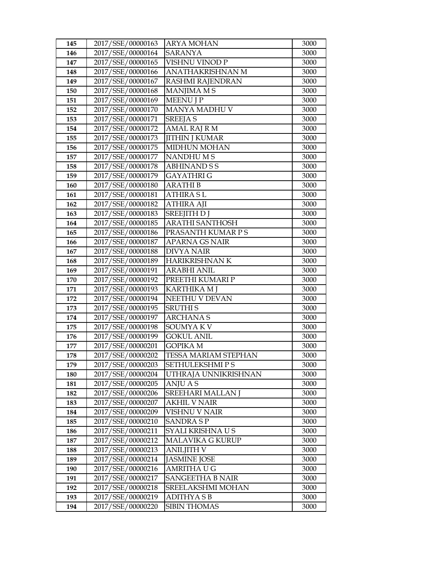| 145 | 2017/SSE/00000163 | <b>ARYA MOHAN</b>           | 3000 |
|-----|-------------------|-----------------------------|------|
| 146 | 2017/SSE/00000164 | <b>SARANYA</b>              | 3000 |
| 147 | 2017/SSE/00000165 | VISHNU VINOD P              | 3000 |
| 148 | 2017/SSE/00000166 | ANATHAKRISHNAN M            | 3000 |
| 149 | 2017/SSE/00000167 | RASHMI RAJENDRAN            | 3000 |
| 150 | 2017/SSE/00000168 | MANJIMA MS                  | 3000 |
| 151 | 2017/SSE/00000169 | <b>MEENU J P</b>            | 3000 |
| 152 | 2017/SSE/00000170 | MANYA MADHU V               | 3000 |
| 153 | 2017/SSE/00000171 | <b>SREEJA S</b>             | 3000 |
| 154 | 2017/SSE/00000172 | <b>AMAL RAJ R M</b>         | 3000 |
| 155 | 2017/SSE/00000173 | <b>JITHIN J KUMAR</b>       | 3000 |
| 156 | 2017/SSE/00000175 | <b>MIDHUN MOHAN</b>         | 3000 |
| 157 | 2017/SSE/00000177 | <b>NANDHUMS</b>             | 3000 |
| 158 | 2017/SSE/00000178 | <b>ABHINAND S S</b>         | 3000 |
| 159 | 2017/SSE/00000179 | <b>GAYATHRI G</b>           | 3000 |
| 160 | 2017/SSE/00000180 | <b>ARATHIB</b>              | 3000 |
| 161 | 2017/SSE/00000181 | <b>ATHIRA SL</b>            | 3000 |
| 162 | 2017/SSE/00000182 | <b>ATHIRA AJI</b>           | 3000 |
| 163 | 2017/SSE/00000183 | <b>SREEJITH DJ</b>          | 3000 |
| 164 | 2017/SSE/00000185 | <b>ARATHI SANTHOSH</b>      | 3000 |
| 165 | 2017/SSE/00000186 | PRASANTH KUMAR P S          | 3000 |
| 166 | 2017/SSE/00000187 | <b>APARNA GS NAIR</b>       | 3000 |
| 167 | 2017/SSE/00000188 | <b>DIVYA NAIR</b>           | 3000 |
| 168 | 2017/SSE/00000189 | HARIKRISHNAN K              | 3000 |
| 169 | 2017/SSE/00000191 | <b>ARABHI ANIL</b>          | 3000 |
| 170 | 2017/SSE/00000192 | PREETHI KUMARI P            | 3000 |
| 171 | 2017/SSE/00000193 | <b>KARTHIKA M J</b>         | 3000 |
| 172 | 2017/SSE/00000194 | NEETHU V DEVAN              | 3000 |
| 173 | 2017/SSE/00000195 | <b>SRUTHIS</b>              | 3000 |
| 174 | 2017/SSE/00000197 | <b>ARCHANAS</b>             | 3000 |
| 175 | 2017/SSE/00000198 | SOUMYA K V                  | 3000 |
| 176 | 2017/SSE/00000199 | <b>GOKUL ANIL</b>           | 3000 |
| 177 | 2017/SSE/00000201 | <b>GOPIKA M</b>             | 3000 |
| 178 | 2017/SSE/00000202 | <b>TESSA MARIAM STEPHAN</b> | 3000 |
| 179 | 2017/SSE/00000203 | <b>SETHULEKSHMIPS</b>       | 3000 |
| 180 | 2017/SSE/00000204 | UTHRAJA UNNIKRISHNAN        | 3000 |
| 181 | 2017/SSE/00000205 | ANJU A S                    | 3000 |
| 182 | 2017/SSE/00000206 | <b>SREEHARI MALLAN J</b>    | 3000 |
| 183 | 2017/SSE/00000207 | <b>AKHIL V NAIR</b>         | 3000 |
| 184 | 2017/SSE/00000209 | VISHNU V NAIR               | 3000 |
| 185 | 2017/SSE/00000210 | <b>SANDRA S P</b>           | 3000 |
| 186 | 2017/SSE/00000211 | SYALI KRISHNA U S           | 3000 |
| 187 | 2017/SSE/00000212 | <b>MALAVIKA G KURUP</b>     | 3000 |
| 188 | 2017/SSE/00000213 | <b>ANILJITH V</b>           | 3000 |
| 189 | 2017/SSE/00000214 | <b>JASMINE JOSE</b>         | 3000 |
| 190 | 2017/SSE/00000216 | AMRITHA U G                 | 3000 |
| 191 | 2017/SSE/00000217 | <b>SANGEETHA B NAIR</b>     | 3000 |
| 192 | 2017/SSE/00000218 | SREELAKSHMI MOHAN           | 3000 |
| 193 | 2017/SSE/00000219 | <b>ADITHYASB</b>            | 3000 |
| 194 | 2017/SSE/00000220 | <b>SIBIN THOMAS</b>         | 3000 |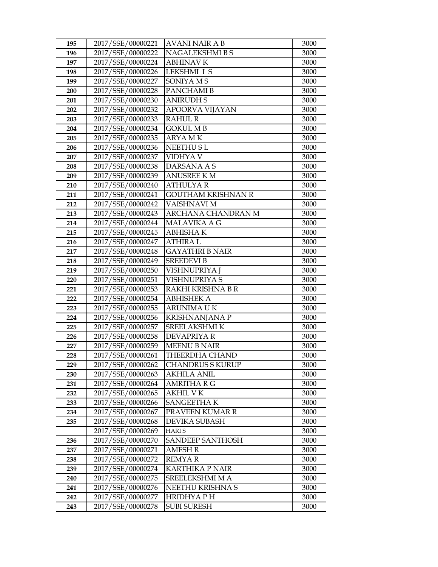| 195 | 2017/SSE/00000221 | AVANI NAIR A B          | 3000 |
|-----|-------------------|-------------------------|------|
| 196 | 2017/SSE/00000222 | NAGALEKSHMI B S         | 3000 |
| 197 | 2017/SSE/00000224 | <b>ABHINAV K</b>        | 3000 |
| 198 | 2017/SSE/00000226 | <b>LEKSHMI I S</b>      | 3000 |
| 199 | 2017/SSE/00000227 | SONIYA M S              | 3000 |
| 200 | 2017/SSE/00000228 | PANCHAMI B              | 3000 |
| 201 | 2017/SSE/00000230 | <b>ANIRUDHS</b>         | 3000 |
| 202 | 2017/SSE/00000232 | APOORVA VIJAYAN         | 3000 |
| 203 | 2017/SSE/00000233 | <b>RAHUL R</b>          | 3000 |
| 204 | 2017/SSE/00000234 | <b>GOKUL MB</b>         | 3000 |
| 205 | 2017/SSE/00000235 | ARYA M K                | 3000 |
| 206 | 2017/SSE/00000236 | <b>NEETHUSL</b>         | 3000 |
| 207 | 2017/SSE/00000237 | VIDHYA V                | 3000 |
| 208 | 2017/SSE/00000238 | DARSANA A S             | 3000 |
| 209 | 2017/SSE/00000239 | ANUSREE K M             | 3000 |
| 210 | 2017/SSE/00000240 | <b>ATHULYAR</b>         | 3000 |
| 211 | 2017/SSE/00000241 | GOUTHAM KRISHNAN R      | 3000 |
| 212 | 2017/SSE/00000242 | <b>VAISHNAVI M</b>      | 3000 |
| 213 | 2017/SSE/00000243 | ARCHANA CHANDRAN M      | 3000 |
| 214 | 2017/SSE/00000244 | MALAVIKA A G            | 3000 |
| 215 | 2017/SSE/00000245 | ABHISHA K               | 3000 |
| 216 | 2017/SSE/00000247 | <b>ATHIRAL</b>          | 3000 |
| 217 | 2017/SSE/00000248 | <b>GAYATHRI B NAIR</b>  | 3000 |
| 218 | 2017/SSE/00000249 | <b>SREEDEVI B</b>       | 3000 |
| 219 | 2017/SSE/00000250 | VISHNUPRIYA J           | 3000 |
| 220 | 2017/SSE/00000251 | VISHNUPRIYA S           | 3000 |
| 221 | 2017/SSE/00000253 | RAKHI KRISHNA B R       | 3000 |
| 222 | 2017/SSE/00000254 | <b>ABHISHEK A</b>       | 3000 |
| 223 | 2017/SSE/00000255 | ARUNIMA U K             | 3000 |
| 224 | 2017/SSE/00000256 | <b>KRISHNANJANA P</b>   | 3000 |
| 225 | 2017/SSE/00000257 | <b>SREELAKSHMIK</b>     | 3000 |
| 226 | 2017/SSE/00000258 | <b>DEVAPRIYA R</b>      | 3000 |
| 227 | 2017/SSE/00000259 | <b>MEENU B NAIR</b>     | 3000 |
| 228 | 2017/SSE/00000261 | <b>THEERDHA CHAND</b>   | 3000 |
| 229 | 2017/SSE/00000262 | CHANDRUS S KURUP        | 3000 |
| 230 | 2017/SSE/00000263 | AKHILA ANIL             | 3000 |
| 231 | 2017/SSE/00000264 | AMRITHA R G             | 3000 |
| 232 | 2017/SSE/00000265 | <b>AKHIL V K</b>        | 3000 |
| 233 | 2017/SSE/00000266 | SANGEETHA K             | 3000 |
| 234 | 2017/SSE/00000267 | PRAVEEN KUMAR R         | 3000 |
| 235 | 2017/SSE/00000268 | <b>DEVIKA SUBASH</b>    | 3000 |
|     | 2017/SSE/00000269 | HARI S                  | 3000 |
| 236 | 2017/SSE/00000270 | <b>SANDEEP SANTHOSH</b> | 3000 |
| 237 | 2017/SSE/00000271 | <b>AMESH R</b>          | 3000 |
| 238 | 2017/SSE/00000272 | <b>REMYAR</b>           | 3000 |
| 239 | 2017/SSE/00000274 | <b>KARTHIKA P NAIR</b>  | 3000 |
| 240 | 2017/SSE/00000275 | SREELEKSHMI M A         | 3000 |
| 241 | 2017/SSE/00000276 | NEETHU KRISHNA S        | 3000 |
| 242 | 2017/SSE/00000277 | <b>HRIDHYAPH</b>        | 3000 |
| 243 | 2017/SSE/00000278 | <b>SUBI SURESH</b>      | 3000 |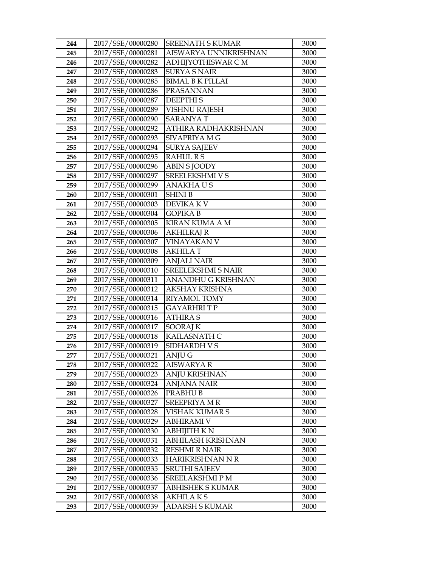| 244 | 2017/SSE/00000280 | <b>SREENATH S KUMAR</b>   | 3000 |
|-----|-------------------|---------------------------|------|
| 245 | 2017/SSE/00000281 | AISWARYA UNNIKRISHNAN     | 3000 |
| 246 | 2017/SSE/00000282 | ADHIJYOTHISWAR C M        | 3000 |
| 247 | 2017/SSE/00000283 | <b>SURYA S NAIR</b>       | 3000 |
| 248 | 2017/SSE/00000285 | <b>BIMAL B K PILLAI</b>   | 3000 |
| 249 | 2017/SSE/00000286 | <b>PRASANNAN</b>          | 3000 |
| 250 | 2017/SSE/00000287 | <b>DEEPTHIS</b>           | 3000 |
| 251 | 2017/SSE/00000289 | <b>VISHNU RAJESH</b>      | 3000 |
| 252 | 2017/SSE/00000290 | <b>SARANYAT</b>           | 3000 |
| 253 | 2017/SSE/00000292 | ATHIRA RADHAKRISHNAN      | 3000 |
| 254 | 2017/SSE/00000293 | SIVAPRIYA M G             | 3000 |
| 255 | 2017/SSE/00000294 | <b>SURYA SAJEEV</b>       | 3000 |
| 256 | 2017/SSE/00000295 | <b>RAHUL RS</b>           | 3000 |
| 257 | 2017/SSE/00000296 | <b>ABIN S JOODY</b>       | 3000 |
| 258 | 2017/SSE/00000297 | SREELEKSHMI V S           | 3000 |
| 259 | 2017/SSE/00000299 | <b>ANAKHAUS</b>           | 3000 |
| 260 | 2017/SSE/00000301 | <b>SHINI B</b>            | 3000 |
| 261 | 2017/SSE/00000303 | DEVIKA K V                | 3000 |
| 262 | 2017/SSE/00000304 | <b>GOPIKAB</b>            | 3000 |
| 263 | 2017/SSE/00000305 | <b>KIRAN KUMA A M</b>     | 3000 |
| 264 | 2017/SSE/00000306 | AKHILRAJ R                | 3000 |
| 265 | 2017/SSE/00000307 | VINAYAKAN V               | 3000 |
| 266 | 2017/SSE/00000308 | <b>AKHILAT</b>            | 3000 |
| 267 | 2017/SSE/00000309 | <b>ANJALI NAIR</b>        | 3000 |
| 268 | 2017/SSE/00000310 | <b>SREELEKSHMI S NAIR</b> | 3000 |
| 269 | 2017/SSE/00000311 | ANANDHU G KRISHNAN        | 3000 |
| 270 | 2017/SSE/00000312 | AKSHAY KRISHNA            | 3000 |
| 271 | 2017/SSE/00000314 | <b>RIYAMOL TOMY</b>       | 3000 |
| 272 | 2017/SSE/00000315 | <b>GAYARHRITP</b>         | 3000 |
| 273 | 2017/SSE/00000316 | <b>ATHIRA S</b>           | 3000 |
| 274 | 2017/SSE/00000317 | <b>SOORAJ K</b>           | 3000 |
| 275 | 2017/SSE/00000318 | KAILASNATH C              | 3000 |
| 276 | 2017/SSE/00000319 | SIDHARDH V S              | 3000 |
| 277 | 2017/SSE/00000321 | ANJU G                    | 3000 |
| 278 | 2017/SSE/00000322 | <b>AISWARYA R</b>         | 3000 |
| 279 | 2017/SSE/00000323 | ANJU KRISHNAN             | 3000 |
| 280 | 2017/SSE/00000324 | ANJANA NAIR               | 3000 |
| 281 | 2017/SSE/00000326 | PRABHU B                  | 3000 |
| 282 | 2017/SSE/00000327 | SREEPRIYA MR              | 3000 |
| 283 | 2017/SSE/00000328 | VISHAK KUMAR S            | 3000 |
| 284 | 2017/SSE/00000329 | <b>ABHIRAMI V</b>         | 3000 |
| 285 | 2017/SSE/00000330 | ABHIJITH K N              | 3000 |
| 286 | 2017/SSE/00000331 | ABHILASH KRISHNAN         | 3000 |
| 287 | 2017/SSE/00000332 | <b>RESHMI R NAIR</b>      | 3000 |
| 288 | 2017/SSE/00000333 | HARIKRISHNAN N R          | 3000 |
| 289 | 2017/SSE/00000335 | <b>SRUTHI SAJEEV</b>      | 3000 |
| 290 | 2017/SSE/00000336 | SREELAKSHMI P M           | 3000 |
| 291 | 2017/SSE/00000337 | <b>ABHISHEK S KUMAR</b>   | 3000 |
| 292 | 2017/SSE/00000338 | AKHILA K S                | 3000 |
| 293 | 2017/SSE/00000339 | ADARSH S KUMAR            | 3000 |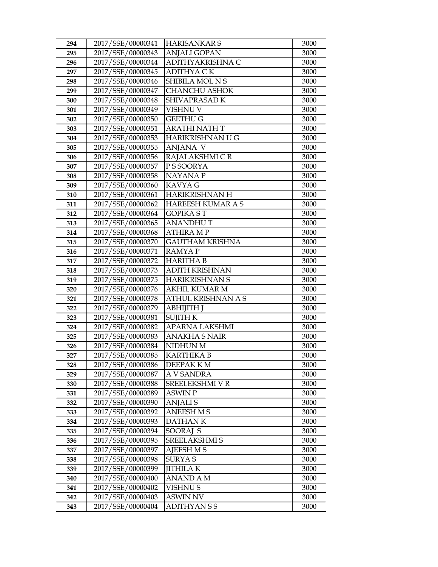| 294 | 2017/SSE/00000341 | <b>HARISANKAR S</b>      | 3000 |
|-----|-------------------|--------------------------|------|
| 295 | 2017/SSE/00000343 | <b>ANJALI GOPAN</b>      | 3000 |
| 296 | 2017/SSE/00000344 | ADITHYAKRISHNA C         | 3000 |
| 297 | 2017/SSE/00000345 | <b>ADITHYA CK</b>        | 3000 |
| 298 | 2017/SSE/00000346 | SHIBILA MOL N S          | 3000 |
| 299 | 2017/SSE/00000347 | <b>CHANCHU ASHOK</b>     | 3000 |
| 300 | 2017/SSE/00000348 | SHIVAPRASAD K            | 3000 |
| 301 | 2017/SSE/00000349 | VISHNU V                 | 3000 |
| 302 | 2017/SSE/00000350 | <b>GEETHU G</b>          | 3000 |
| 303 | 2017/SSE/00000351 | <b>ARATHI NATH T</b>     | 3000 |
| 304 | 2017/SSE/00000353 | HARIKRISHNAN U G         | 3000 |
| 305 | 2017/SSE/00000355 | ANJANA V                 | 3000 |
| 306 | 2017/SSE/00000356 | RAJALAKSHMI CR           | 3000 |
| 307 | 2017/SSE/00000357 | P S SOORYA               | 3000 |
| 308 | 2017/SSE/00000358 | <b>NAYANAP</b>           | 3000 |
| 309 | 2017/SSE/00000360 | KAVYA G                  | 3000 |
| 310 | 2017/SSE/00000361 | <b>HARIKRISHNAN H</b>    | 3000 |
| 311 | 2017/SSE/00000362 | <b>HAREESH KUMAR A S</b> | 3000 |
| 312 | 2017/SSE/00000364 | <b>GOPIKA ST</b>         | 3000 |
| 313 | 2017/SSE/00000365 | <b>ANANDHUT</b>          | 3000 |
| 314 | 2017/SSE/00000368 | <b>ATHIRA MP</b>         | 3000 |
| 315 | 2017/SSE/00000370 | <b>GAUTHAM KRISHNA</b>   | 3000 |
| 316 | 2017/SSE/00000371 | <b>RAMYAP</b>            | 3000 |
| 317 | 2017/SSE/00000372 | <b>HARITHA B</b>         | 3000 |
| 318 | 2017/SSE/00000373 | <b>ADITH KRISHNAN</b>    | 3000 |
| 319 | 2017/SSE/00000375 | <b>HARIKRISHNAN S</b>    | 3000 |
| 320 | 2017/SSE/00000376 | <b>AKHIL KUMAR M</b>     | 3000 |
| 321 | 2017/SSE/00000378 | ATHUL KRISHNAN A S       | 3000 |
| 322 | 2017/SSE/00000379 | <b>АВНІЈІТН Ј</b>        | 3000 |
| 323 | 2017/SSE/00000381 | <b>SUJITH K</b>          | 3000 |
| 324 | 2017/SSE/00000382 | <b>APARNA LAKSHMI</b>    | 3000 |
| 325 | 2017/SSE/00000383 | <b>ANAKHA S NAIR</b>     | 3000 |
| 326 | 2017/SSE/00000384 | NIDHUN M                 | 3000 |
| 327 | 2017/SSE/00000385 | <b>KARTHIKA B</b>        | 3000 |
| 328 | 2017/SSE/00000386 | DEEPAK K M               | 3000 |
| 329 | 2017/SSE/00000387 | A V SANDRA               | 3000 |
| 330 | 2017/SSE/00000388 | SREELEKSHMI V R          | 3000 |
| 331 | 2017/SSE/00000389 | <b>ASWIN P</b>           | 3000 |
| 332 | 2017/SSE/00000390 | <b>ANJALIS</b>           | 3000 |
| 333 | 2017/SSE/00000392 | <b>ANEESH M S</b>        | 3000 |
| 334 | 2017/SSE/00000393 | <b>DATHANK</b>           | 3000 |
| 335 | 2017/SSE/00000394 | SOORAJ S                 | 3000 |
| 336 | 2017/SSE/00000395 | <b>SREELAKSHMI S</b>     | 3000 |
| 337 | 2017/SSE/00000397 | <b>AJEESH M S</b>        | 3000 |
| 338 | 2017/SSE/00000398 | <b>SURYAS</b>            | 3000 |
| 339 | 2017/SSE/00000399 | <b>JITHILAK</b>          | 3000 |
| 340 | 2017/SSE/00000400 | ANAND A M                | 3000 |
| 341 | 2017/SSE/00000402 | VISHNU S                 | 3000 |
| 342 | 2017/SSE/00000403 | ASWIN NV                 | 3000 |
| 343 | 2017/SSE/00000404 | ADITHYAN S S             | 3000 |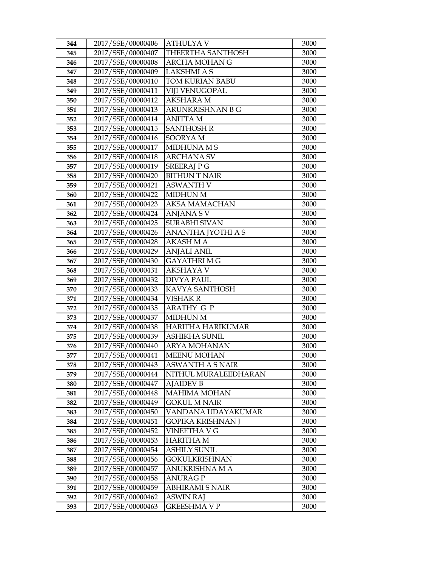| 344 | 2017/SSE/00000406 | ATHULYA V                | 3000 |
|-----|-------------------|--------------------------|------|
| 345 | 2017/SSE/00000407 | THEERTHA SANTHOSH        | 3000 |
| 346 | 2017/SSE/00000408 | <b>ARCHA MOHAN G</b>     | 3000 |
| 347 | 2017/SSE/00000409 | <b>LAKSHMI A S</b>       | 3000 |
| 348 | 2017/SSE/00000410 | TOM KURIAN BABU          | 3000 |
| 349 | 2017/SSE/00000411 | <b>VIJI VENUGOPAL</b>    | 3000 |
| 350 | 2017/SSE/00000412 | <b>AKSHARA M</b>         | 3000 |
| 351 | 2017/SSE/00000413 | ARUNKRISHNAN B G         | 3000 |
| 352 | 2017/SSE/00000414 | <b>ANITTA M</b>          | 3000 |
| 353 | 2017/SSE/00000415 | <b>SANTHOSH R</b>        | 3000 |
| 354 | 2017/SSE/00000416 | <b>SOORYAM</b>           | 3000 |
| 355 | 2017/SSE/00000417 | <b>MIDHUNA MS</b>        | 3000 |
| 356 | 2017/SSE/00000418 | <b>ARCHANA SV</b>        | 3000 |
| 357 | 2017/SSE/00000419 | <b>SREERAJPG</b>         | 3000 |
| 358 | 2017/SSE/00000420 | <b>BITHUN T NAIR</b>     | 3000 |
| 359 | 2017/SSE/00000421 | <b>ASWANTH V</b>         | 3000 |
| 360 | 2017/SSE/00000422 | <b>MIDHUN M</b>          | 3000 |
| 361 | 2017/SSE/00000423 | AKSA MAMACHAN            | 3000 |
| 362 | 2017/SSE/00000424 | <b>ANJANA SV</b>         | 3000 |
| 363 | 2017/SSE/00000425 | <b>SURABHI SIVAN</b>     | 3000 |
| 364 | 2017/SSE/00000426 | ANANTHA JYOTHI A S       | 3000 |
| 365 | 2017/SSE/00000428 | AKASH M A                | 3000 |
| 366 | 2017/SSE/00000429 | <b>ANJALI ANIL</b>       | 3000 |
| 367 | 2017/SSE/00000430 | <b>GAYATHRIMG</b>        | 3000 |
| 368 | 2017/SSE/00000431 | <b>AKSHAYA V</b>         | 3000 |
| 369 | 2017/SSE/00000432 | <b>DIVYA PAUL</b>        | 3000 |
| 370 | 2017/SSE/00000433 | KAVYA SANTHOSH           | 3000 |
| 371 | 2017/SSE/00000434 | <b>VISHAK R</b>          | 3000 |
| 372 | 2017/SSE/00000435 | <b>ARATHY G P</b>        | 3000 |
| 373 | 2017/SSE/00000437 | <b>MIDHUN M</b>          | 3000 |
| 374 | 2017/SSE/00000438 | <b>HARITHA HARIKUMAR</b> | 3000 |
| 375 | 2017/SSE/00000439 | <b>ASHIKHA SUNIL</b>     | 3000 |
| 376 | 2017/SSE/00000440 | <b>ARYA MOHANAN</b>      | 3000 |
| 377 | 2017/SSE/00000441 | <b>MEENU MOHAN</b>       | 3000 |
| 378 | 2017/SSE/00000443 | ASWANTH A S NAIR         | 3000 |
| 379 | 2017/SSE/00000444 | NITHUL MURALEEDHARAN     | 3000 |
| 380 | 2017/SSE/00000447 | <b>AJAIDEV B</b>         | 3000 |
| 381 | 2017/SSE/00000448 | <b>MAHIMA MOHAN</b>      | 3000 |
| 382 | 2017/SSE/00000449 | GOKUL M NAIR             | 3000 |
| 383 | 2017/SSE/00000450 | VANDANA UDAYAKUMAR       | 3000 |
| 384 | 2017/SSE/00000451 | GOPIKA KRISHNAN J        | 3000 |
| 385 | 2017/SSE/00000452 | VINEETHA V G             | 3000 |
| 386 | 2017/SSE/00000453 | <b>HARITHA M</b>         | 3000 |
| 387 | 2017/SSE/00000454 | <b>ASHILY SUNIL</b>      | 3000 |
| 388 | 2017/SSE/00000456 | GOKULKRISHNAN            | 3000 |
| 389 | 2017/SSE/00000457 | ANUKRISHNA M A           | 3000 |
| 390 | 2017/SSE/00000458 | ANURAG P                 | 3000 |
| 391 | 2017/SSE/00000459 | ABHIRAMI S NAIR          | 3000 |
| 392 | 2017/SSE/00000462 | <b>ASWIN RAJ</b>         | 3000 |
| 393 | 2017/SSE/00000463 | GREESHMA V P             | 3000 |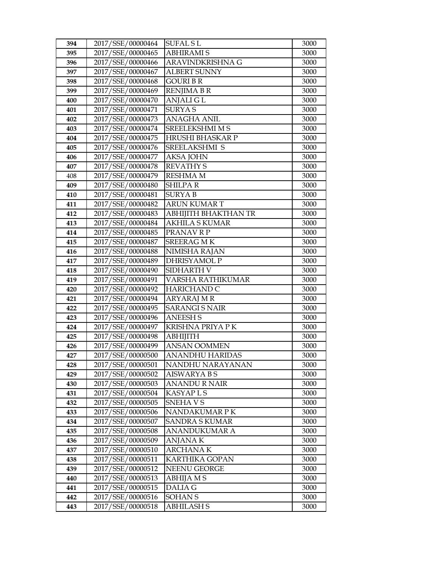| 394 | 2017/SSE/00000464 | <b>SUFAL SL</b>         | 3000 |
|-----|-------------------|-------------------------|------|
| 395 | 2017/SSE/00000465 | <b>ABHIRAMIS</b>        | 3000 |
| 396 | 2017/SSE/00000466 | ARAVINDKRISHNA G        | 3000 |
| 397 | 2017/SSE/00000467 | <b>ALBERT SUNNY</b>     | 3000 |
| 398 | 2017/SSE/00000468 | GOURI B R               | 3000 |
| 399 | 2017/SSE/00000469 | <b>RENJIMA B R</b>      | 3000 |
| 400 | 2017/SSE/00000470 | ANJALI G L              | 3000 |
| 401 | 2017/SSE/00000471 | <b>SURYAS</b>           | 3000 |
| 402 | 2017/SSE/00000473 | <b>ANAGHA ANIL</b>      | 3000 |
| 403 | 2017/SSE/00000474 | <b>SREELEKSHMI M S</b>  | 3000 |
| 404 | 2017/SSE/00000475 | <b>HRUSHI BHASKAR P</b> | 3000 |
| 405 | 2017/SSE/00000476 | SREELAKSHMI S           | 3000 |
| 406 | 2017/SSE/00000477 | <b>AKSA JOHN</b>        | 3000 |
| 407 | 2017/SSE/00000478 | <b>REVATHY S</b>        | 3000 |
| 408 | 2017/SSE/00000479 | <b>RESHMA M</b>         | 3000 |
| 409 | 2017/SSE/00000480 | <b>SHILPAR</b>          | 3000 |
| 410 | 2017/SSE/00000481 | <b>SURYAB</b>           | 3000 |
| 411 | 2017/SSE/00000482 | <b>ARUN KUMAR T</b>     | 3000 |
| 412 | 2017/SSE/00000483 | ABHIJITH BHAKTHAN TR    | 3000 |
| 413 | 2017/SSE/00000484 | AKHILA S KUMAR          | 3000 |
| 414 | 2017/SSE/00000485 | PRANAVRP                | 3000 |
| 415 | 2017/SSE/00000487 | SREERAG M K             | 3000 |
| 416 | 2017/SSE/00000488 | NIMISHA RAJAN           | 3000 |
| 417 | 2017/SSE/00000489 | <b>DHRISYAMOL P</b>     | 3000 |
| 418 | 2017/SSE/00000490 | SIDHARTH V              | 3000 |
| 419 | 2017/SSE/00000491 | VARSHA RATHIKUMAR       | 3000 |
| 420 | 2017/SSE/00000492 | <b>HARICHAND C</b>      | 3000 |
| 421 | 2017/SSE/00000494 | <b>ARYARAJ M R</b>      | 3000 |
| 422 | 2017/SSE/00000495 | <b>SARANGI S NAIR</b>   | 3000 |
| 423 | 2017/SSE/00000496 | <b>ANEESH S</b>         | 3000 |
| 424 | 2017/SSE/00000497 | KRISHNA PRIYA PK        | 3000 |
| 425 | 2017/SSE/00000498 | <b>ABHIJITH</b>         | 3000 |
| 426 | 2017/SSE/00000499 | <b>ANSAN OOMMEN</b>     | 3000 |
| 427 | 2017/SSE/00000500 | <b>ANANDHU HARIDAS</b>  | 3000 |
| 428 | 2017/SSE/00000501 | NANDHU NARAYANAN        | 3000 |
| 429 | 2017/SSE/00000502 | AISWARYA B S            | 3000 |
| 430 | 2017/SSE/00000503 | ANANDU R NAIR           | 3000 |
| 431 | 2017/SSE/00000504 | KASYAP L S              | 3000 |
| 432 | 2017/SSE/00000505 | SNEHA V S               | 3000 |
| 433 | 2017/SSE/00000506 | NANDAKUMAR P K          | 3000 |
| 434 | 2017/SSE/00000507 | <b>SANDRA S KUMAR</b>   | 3000 |
| 435 | 2017/SSE/00000508 | <b>ANANDUKUMAR A</b>    | 3000 |
| 436 | 2017/SSE/00000509 | <b>ANJANAK</b>          | 3000 |
| 437 | 2017/SSE/00000510 | <b>ARCHANAK</b>         | 3000 |
| 438 | 2017/SSE/00000511 | KARTHIKA GOPAN          | 3000 |
| 439 | 2017/SSE/00000512 | NEENU GEORGE            | 3000 |
| 440 | 2017/SSE/00000513 | ABHIJA M S              | 3000 |
| 441 | 2017/SSE/00000515 | DALIA G                 | 3000 |
| 442 | 2017/SSE/00000516 | <b>SOHAN S</b>          | 3000 |
| 443 | 2017/SSE/00000518 | ABHILASH S              | 3000 |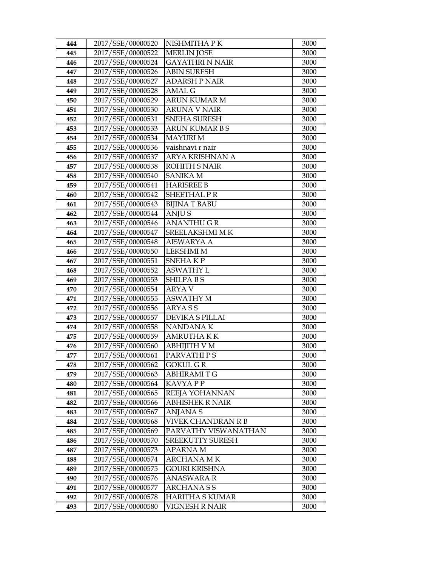| 444 | 2017/SSE/00000520 | NISHMITHA PK           | 3000 |
|-----|-------------------|------------------------|------|
| 445 | 2017/SSE/00000522 | <b>MERLIN JOSE</b>     | 3000 |
| 446 | 2017/SSE/00000524 | <b>GAYATHRI N NAIR</b> | 3000 |
| 447 | 2017/SSE/00000526 | <b>ABIN SURESH</b>     | 3000 |
| 448 | 2017/SSE/00000527 | <b>ADARSH P NAIR</b>   | 3000 |
| 449 | 2017/SSE/00000528 | AMAL G                 | 3000 |
| 450 | 2017/SSE/00000529 | <b>ARUN KUMAR M</b>    | 3000 |
| 451 | 2017/SSE/00000530 | <b>ARUNA V NAIR</b>    | 3000 |
| 452 | 2017/SSE/00000531 | <b>SNEHA SURESH</b>    | 3000 |
| 453 | 2017/SSE/00000533 | <b>ARUN KUMAR B S</b>  | 3000 |
| 454 | 2017/SSE/00000534 | <b>MAYURI M</b>        | 3000 |
| 455 | 2017/SSE/00000536 | vaishnavi r nair       | 3000 |
| 456 | 2017/SSE/00000537 | ARYA KRISHNAN A        | 3000 |
| 457 | 2017/SSE/00000538 | <b>ROHITH S NAIR</b>   | 3000 |
| 458 | 2017/SSE/00000540 | <b>SANIKA M</b>        | 3000 |
| 459 | 2017/SSE/00000541 | <b>HARISREE B</b>      | 3000 |
| 460 | 2017/SSE/00000542 | <b>SHEETHAL PR</b>     | 3000 |
| 461 | 2017/SSE/00000543 | <b>BIJINA T BABU</b>   | 3000 |
| 462 | 2017/SSE/00000544 | <b>ANJUS</b>           | 3000 |
| 463 | 2017/SSE/00000546 | <b>ANANTHUGR</b>       | 3000 |
| 464 | 2017/SSE/00000547 | <b>SREELAKSHMI MK</b>  | 3000 |
| 465 | 2017/SSE/00000548 | AISWARYA A             | 3000 |
| 466 | 2017/SSE/00000550 | <b>LEKSHMI M</b>       | 3000 |
| 467 | 2017/SSE/00000551 | SNEHAKP                | 3000 |
| 468 | 2017/SSE/00000552 | <b>ASWATHY L</b>       | 3000 |
| 469 | 2017/SSE/00000553 | <b>SHILPABS</b>        | 3000 |
| 470 | 2017/SSE/00000554 | <b>ARYA V</b>          | 3000 |
| 471 | 2017/SSE/00000555 | <b>ASWATHY M</b>       | 3000 |
| 472 | 2017/SSE/00000556 | <b>ARYASS</b>          | 3000 |
| 473 | 2017/SSE/00000557 | <b>DEVIKA S PILLAI</b> | 3000 |
| 474 | 2017/SSE/00000558 | NANDANA K              | 3000 |
| 475 | 2017/SSE/00000559 | <b>AMRUTHAKK</b>       | 3000 |
| 476 | 2017/SSE/00000560 | <b>ABHIJITH V M</b>    | 3000 |
| 477 | 2017/SSE/00000561 | PARVATHIPS             | 3000 |
| 478 | 2017/SSE/00000562 | <b>GOKUL GR</b>        | 3000 |
| 479 | 2017/SSE/00000563 | ABHIRAMI T G           | 3000 |
| 480 | 2017/SSE/00000564 | KAVYA P P              | 3000 |
| 481 | 2017/SSE/00000565 | REEJA YOHANNAN         | 3000 |
| 482 | 2017/SSE/00000566 | <b>ABHISHEK R NAIR</b> | 3000 |
| 483 | 2017/SSE/00000567 | <b>ANJANA S</b>        | 3000 |
| 484 | 2017/SSE/00000568 | VIVEK CHANDRAN R B     | 3000 |
| 485 | 2017/SSE/00000569 | PARVATHY VISWANATHAN   | 3000 |
| 486 | 2017/SSE/00000570 | SREEKUTTY SURESH       | 3000 |
| 487 | 2017/SSE/00000573 | <b>APARNAM</b>         | 3000 |
| 488 | 2017/SSE/00000574 | ARCHANA M K            | 3000 |
| 489 | 2017/SSE/00000575 | GOURI KRISHNA          | 3000 |
| 490 | 2017/SSE/00000576 | ANASWARA R             | 3000 |
| 491 | 2017/SSE/00000577 | ARCHANA S S            | 3000 |
| 492 | 2017/SSE/00000578 | <b>HARITHA S KUMAR</b> | 3000 |
| 493 | 2017/SSE/00000580 | VIGNESH R NAIR         | 3000 |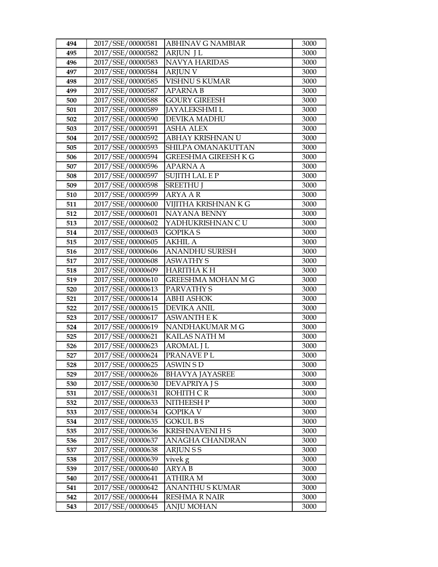| 494        | 2017/SSE/00000581                      | ABHINAV G NAMBIAR                  | 3000         |
|------------|----------------------------------------|------------------------------------|--------------|
| 495        | 2017/SSE/00000582                      | <b>ARJUN JL</b>                    | 3000         |
| 496        | 2017/SSE/00000583                      | NAVYA HARIDAS                      | 3000         |
| 497        | 2017/SSE/00000584                      | <b>ARJUN V</b>                     | 3000         |
| 498        | 2017/SSE/00000585                      | <b>VISHNU S KUMAR</b>              | 3000         |
| 499        | 2017/SSE/00000587                      | <b>APARNA B</b>                    | 3000         |
| 500        | 2017/SSE/00000588                      | <b>GOURY GIREESH</b>               | 3000         |
| 501        | 2017/SSE/00000589                      | <b>JAYALEKSHMI L</b>               | 3000         |
| 502        | 2017/SSE/00000590                      | DEVIKA MADHU                       | 3000         |
| 503        | 2017/SSE/00000591                      | <b>ASHA ALEX</b>                   | 3000         |
| 504        | 2017/SSE/00000592                      | ABHAY KRISHNAN U                   | 3000         |
| 505        | 2017/SSE/00000593                      | SHILPA OMANAKUTTAN                 | 3000         |
| 506        | 2017/SSE/00000594                      | <b>GREESHMA GIREESH K G</b>        | 3000         |
| 507        | 2017/SSE/00000596                      | <b>APARNA A</b>                    | 3000         |
| 508        | 2017/SSE/00000597                      | <b>SUJITH LAL E P</b>              | 3000         |
| 509        | 2017/SSE/00000598                      | <b>SREETHU J</b>                   | 3000         |
| 510        | 2017/SSE/00000599                      | <b>ARYA A R</b>                    | 3000         |
| 511        | 2017/SSE/00000600                      | VIJITHA KRISHNAN K G               | 3000         |
| 512        | 2017/SSE/00000601                      | <b>NAYANA BENNY</b>                | 3000         |
| 513        | 2017/SSE/00000602                      | YADHUKRISHNAN CU                   | 3000         |
| 514        | 2017/SSE/00000603                      | <b>GOPIKA S</b>                    | 3000         |
| 515        | 2017/SSE/00000605                      | <b>AKHIL A</b>                     | 3000         |
| 516        | 2017/SSE/00000606                      | ANANDHU SURESH                     | 3000         |
| 517        | 2017/SSE/00000608                      | <b>ASWATHY S</b>                   | 3000         |
| 518        | 2017/SSE/00000609                      | <b>HARITHA KH</b>                  | 3000         |
| 519        | 2017/SSE/00000610                      | <b>GREESHMA MOHAN M G</b>          | 3000         |
| 520        | 2017/SSE/00000613                      | PARVATHY S                         | 3000         |
| 521        | 2017/SSE/00000614                      | <b>ABHI ASHOK</b>                  | 3000         |
| 522        | 2017/SSE/00000615                      | <b>DEVIKA ANIL</b>                 | 3000         |
| 523        | 2017/SSE/00000617                      | <b>ASWANTH E K</b>                 | 3000         |
| 524        | 2017/SSE/00000619                      | NANDHAKUMAR M G                    | 3000         |
| 525<br>526 | 2017/SSE/00000621<br>2017/SSE/00000623 | KAILAS NATH M<br><b>AROMAL J L</b> | 3000<br>3000 |
| 527        | 2017/SSE/00000624                      | PRANAVE PL                         | 3000         |
| 528        | 2017/SSE/00000625                      | ASWIN S D                          | 3000         |
| 529        | 2017/SSE/00000626                      | <b>BHAVYA JAYASREE</b>             | 3000         |
| 530        | 2017/SSE/00000630                      | DEVAPRIYA J S                      | 3000         |
| 531        | 2017/SSE/00000631                      | ROHITH C R                         | 3000         |
| 532        | 2017/SSE/00000633                      | NITHEESH P                         | 3000         |
| 533        | 2017/SSE/00000634                      | <b>GOPIKA V</b>                    | 3000         |
| 534        | 2017/SSE/00000635                      | <b>GOKUL BS</b>                    | 3000         |
| 535        | 2017/SSE/00000636                      | <b>KRISHNAVENI H S</b>             | 3000         |
| 536        | 2017/SSE/00000637                      | ANAGHA CHANDRAN                    | 3000         |
| 537        | 2017/SSE/00000638                      | <b>ARJUNSS</b>                     | 3000         |
| 538        | 2017/SSE/00000639                      | vivek g                            | 3000         |
| 539        | 2017/SSE/00000640                      | ARYA <sub>B</sub>                  | 3000         |
| 540        | 2017/SSE/00000641                      | ATHIRA M                           | 3000         |
| 541        | 2017/SSE/00000642                      | <b>ANANTHU S KUMAR</b>             | 3000         |
| 542        | 2017/SSE/00000644                      | <b>RESHMA R NAIR</b>               | 3000         |
| 543        | 2017/SSE/00000645                      | <b>ANJU MOHAN</b>                  | 3000         |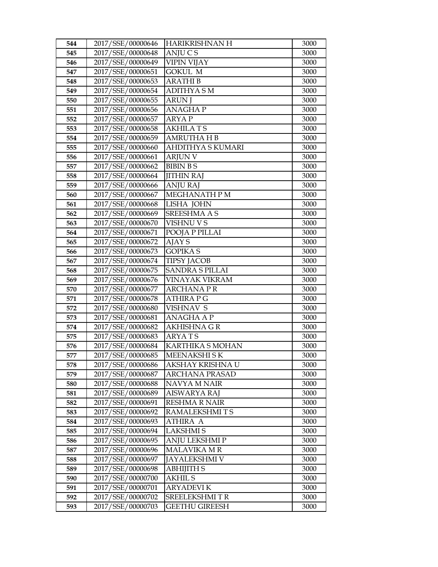| 544 | 2017/SSE/00000646 | HARIKRISHNAN H          | 3000 |
|-----|-------------------|-------------------------|------|
| 545 | 2017/SSE/00000648 | <b>ANJUCS</b>           | 3000 |
| 546 | 2017/SSE/00000649 | <b>VIPIN VIJAY</b>      | 3000 |
| 547 | 2017/SSE/00000651 | <b>GOKUL M</b>          | 3000 |
| 548 | 2017/SSE/00000653 | <b>ARATHI B</b>         | 3000 |
| 549 | 2017/SSE/00000654 | <b>ADITHYA SM</b>       | 3000 |
| 550 | 2017/SSE/00000655 | <b>ARUN J</b>           | 3000 |
| 551 | 2017/SSE/00000656 | <b>ANAGHAP</b>          | 3000 |
| 552 | 2017/SSE/00000657 | <b>ARYAP</b>            | 3000 |
| 553 | 2017/SSE/00000658 | <b>AKHILATS</b>         | 3000 |
| 554 | 2017/SSE/00000659 | <b>AMRUTHA H B</b>      | 3000 |
| 555 | 2017/SSE/00000660 | AHDITHYA S KUMARI       | 3000 |
| 556 | 2017/SSE/00000661 | <b>ARJUN V</b>          | 3000 |
| 557 | 2017/SSE/00000662 | <b>BIBIN BS</b>         | 3000 |
| 558 | 2017/SSE/00000664 | JITHIN RAJ              | 3000 |
| 559 | 2017/SSE/00000666 | <b>ANJU RAJ</b>         | 3000 |
| 560 | 2017/SSE/00000667 | MEGHANATH P M           | 3000 |
| 561 | 2017/SSE/00000668 | LISHA JOHN              | 3000 |
| 562 | 2017/SSE/00000669 | <b>SREESHMA A S</b>     | 3000 |
| 563 | 2017/SSE/00000670 | <b>VISHNU V S</b>       | 3000 |
| 564 | 2017/SSE/00000671 | POOJA P PILLAI          | 3000 |
| 565 | 2017/SSE/00000672 | AJAY S                  | 3000 |
| 566 | 2017/SSE/00000673 | <b>GOPIKA S</b>         | 3000 |
| 567 | 2017/SSE/00000674 | <b>TIPSY JACOB</b>      | 3000 |
| 568 | 2017/SSE/00000675 | <b>SANDRA S PILLAI</b>  | 3000 |
| 569 | 2017/SSE/00000676 | VINAYAK VIKRAM          | 3000 |
| 570 | 2017/SSE/00000677 | ARCHANA P R             | 3000 |
| 571 | 2017/SSE/00000678 | <b>ATHIRA P G</b>       | 3000 |
| 572 | 2017/SSE/00000680 | <b>VISHNAV S</b>        | 3000 |
| 573 | 2017/SSE/00000681 | <b>ANAGHA A P</b>       | 3000 |
| 574 | 2017/SSE/00000682 | AKHISHNA G R            | 3000 |
| 575 | 2017/SSE/00000683 | <b>ARYATS</b>           | 3000 |
| 576 | 2017/SSE/00000684 | <b>KARTHIKA S MOHAN</b> | 3000 |
| 577 | 2017/SSE/00000685 | <b>MEENAKSHISK</b>      | 3000 |
| 578 | 2017/SSE/00000686 | AKSHAY KRISHNA U        | 3000 |
| 579 | 2017/SSE/00000687 | ARCHANA PRASAD          | 3000 |
| 580 | 2017/SSE/00000688 | NAVYA M NAIR            | 3000 |
| 581 | 2017/SSE/00000689 | <b>AISWARYA RAJ</b>     | 3000 |
| 582 | 2017/SSE/00000691 | <b>RESHMA R NAIR</b>    | 3000 |
| 583 | 2017/SSE/00000692 | RAMALEKSHMITS           | 3000 |
| 584 | 2017/SSE/00000693 | <b>ATHIRA A</b>         | 3000 |
| 585 | 2017/SSE/00000694 | <b>LAKSHMIS</b>         | 3000 |
| 586 | 2017/SSE/00000695 | <b>ANJU LEKSHMI P</b>   | 3000 |
| 587 | 2017/SSE/00000696 | <b>MALAVIKA MR</b>      | 3000 |
| 588 | 2017/SSE/00000697 | <b>JAYALEKSHMI V</b>    | 3000 |
| 589 | 2017/SSE/00000698 | ABHIJITH S              | 3000 |
| 590 | 2017/SSE/00000700 | <b>AKHIL S</b>          | 3000 |
| 591 | 2017/SSE/00000701 | <b>ARYADEVIK</b>        | 3000 |
| 592 | 2017/SSE/00000702 | <b>SREELEKSHMITR</b>    | 3000 |
| 593 | 2017/SSE/00000703 | GEETHU GIREESH          | 3000 |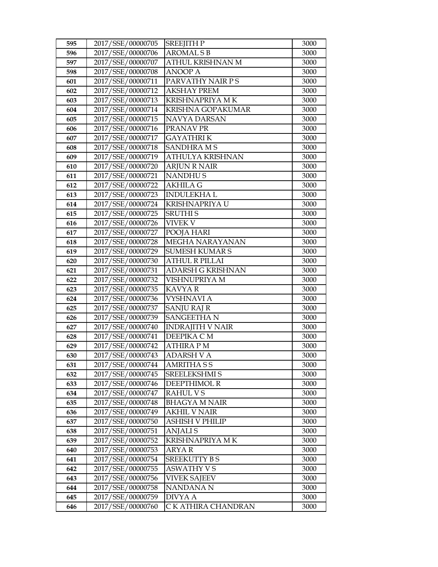| 595 | 2017/SSE/00000705 | <b>SREEJITH P</b>       | 3000 |
|-----|-------------------|-------------------------|------|
| 596 | 2017/SSE/00000706 | <b>AROMAL S B</b>       | 3000 |
| 597 | 2017/SSE/00000707 | ATHUL KRISHNAN M        | 3000 |
| 598 | 2017/SSE/00000708 | <b>ANOOP A</b>          | 3000 |
| 601 | 2017/SSE/00000711 | PARVATHY NAIR PS        | 3000 |
| 602 | 2017/SSE/00000712 | <b>AKSHAY PREM</b>      | 3000 |
| 603 | 2017/SSE/00000713 | <b>KRISHNAPRIYA MK</b>  | 3000 |
| 604 | 2017/SSE/00000714 | KRISHNA GOPAKUMAR       | 3000 |
| 605 | 2017/SSE/00000715 | NAVYA DARSAN            | 3000 |
| 606 | 2017/SSE/00000716 | PRANAV PR               | 3000 |
| 607 | 2017/SSE/00000717 | <b>GAYATHRIK</b>        | 3000 |
| 608 | 2017/SSE/00000718 | <b>SANDHRAMS</b>        | 3000 |
| 609 | 2017/SSE/00000719 | ATHULYA KRISHNAN        | 3000 |
| 610 | 2017/SSE/00000720 | <b>ARJUN R NAIR</b>     | 3000 |
| 611 | 2017/SSE/00000721 | <b>NANDHUS</b>          | 3000 |
| 612 | 2017/SSE/00000722 | <b>AKHILA G</b>         | 3000 |
| 613 | 2017/SSE/00000723 | <b>INDULEKHAL</b>       | 3000 |
| 614 | 2017/SSE/00000724 | <b>KRISHNAPRIYA U</b>   | 3000 |
| 615 | 2017/SSE/00000725 | <b>SRUTHIS</b>          | 3000 |
| 616 | 2017/SSE/00000726 | <b>VIVEK V</b>          | 3000 |
| 617 | 2017/SSE/00000727 | POOJA HARI              | 3000 |
| 618 | 2017/SSE/00000728 | MEGHA NARAYANAN         | 3000 |
| 619 | 2017/SSE/00000729 | <b>SUMESH KUMAR S</b>   | 3000 |
| 620 | 2017/SSE/00000730 | <b>ATHUL R PILLAI</b>   | 3000 |
| 621 | 2017/SSE/00000731 | ADARSH G KRISHNAN       | 3000 |
| 622 | 2017/SSE/00000732 | VISHNUPRIYA M           | 3000 |
| 623 | 2017/SSE/00000735 | <b>KAVYAR</b>           | 3000 |
| 624 | 2017/SSE/00000736 | <b>VYSHNAVI A</b>       | 3000 |
| 625 | 2017/SSE/00000737 | <b>SANJU RAJ R</b>      | 3000 |
| 626 | 2017/SSE/00000739 | <b>SANGEETHAN</b>       | 3000 |
| 627 | 2017/SSE/00000740 | <b>INDRAJITH V NAIR</b> | 3000 |
| 628 | 2017/SSE/00000741 | DEEPIKA CM              | 3000 |
| 629 | 2017/SSE/00000742 | <b>ATHIRA PM</b>        | 3000 |
| 630 | 2017/SSE/00000743 | <b>ADARSH V A</b>       | 3000 |
| 631 | 2017/SSE/00000744 | <b>AMRITHASS</b>        | 3000 |
| 632 | 2017/SSE/00000745 | SREELEKSHMI S           | 3000 |
| 633 | 2017/SSE/00000746 | DEEPTHIMOL R            | 3000 |
| 634 | 2017/SSE/00000747 | <b>RAHUL VS</b>         | 3000 |
| 635 | 2017/SSE/00000748 | <b>BHAGYA M NAIR</b>    | 3000 |
| 636 | 2017/SSE/00000749 | <b>AKHIL V NAIR</b>     | 3000 |
| 637 | 2017/SSE/00000750 | ASHISH V PHILIP         | 3000 |
| 638 | 2017/SSE/00000751 | <b>ANJALIS</b>          | 3000 |
| 639 | 2017/SSE/00000752 | KRISHNAPRIYA MK         | 3000 |
| 640 | 2017/SSE/00000753 | <b>ARYAR</b>            | 3000 |
| 641 | 2017/SSE/00000754 | <b>SREEKUTTY BS</b>     | 3000 |
| 642 | 2017/SSE/00000755 | <b>ASWATHY V S</b>      | 3000 |
| 643 | 2017/SSE/00000756 | <b>VIVEK SAJEEV</b>     | 3000 |
| 644 | 2017/SSE/00000758 | NANDANA N               | 3000 |
| 645 | 2017/SSE/00000759 | <b>DIVYA A</b>          | 3000 |
| 646 | 2017/SSE/00000760 | C K ATHIRA CHANDRAN     | 3000 |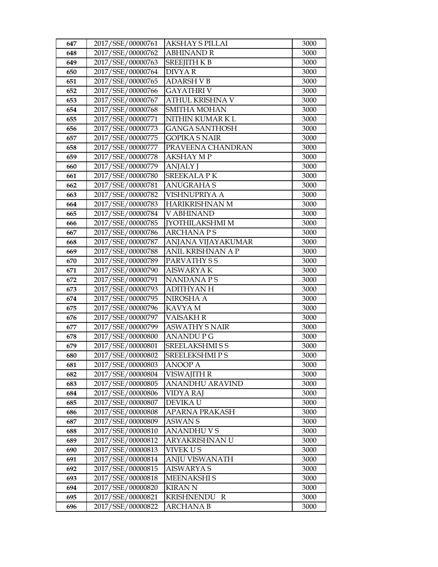| 647        | 2017/SSE/00000761                      | AKSHAY S PILLAI                         | 3000         |
|------------|----------------------------------------|-----------------------------------------|--------------|
| 648        | 2017/SSE/00000762                      | <b>ABHINAND R</b>                       | 3000         |
| 649        | 2017/SSE/00000763                      | SREEJITH K B                            | 3000         |
| 650        | 2017/SSE/00000764                      | <b>DIVYAR</b>                           | 3000         |
| 651        | 2017/SSE/00000765                      | <b>ADARSH V B</b>                       | 3000         |
| 652        | 2017/SSE/00000766                      | GAYATHRI V                              | 3000         |
| 653        | 2017/SSE/00000767                      | ATHUL KRISHNA V                         | 3000         |
| 654        | 2017/SSE/00000768                      | SMITHA MOHAN                            | 3000         |
| 655        | 2017/SSE/00000771                      | NITHIN KUMAR K L                        | 3000         |
| 656        | 2017/SSE/00000773                      | <b>GANGA SANTHOSH</b>                   | 3000         |
| 657        | 2017/SSE/00000775                      | <b>GOPIKA S NAIR</b>                    | 3000         |
| 658        | 2017/SSE/00000777                      | PRAVEENA CHANDRAN                       | 3000         |
| 659        | 2017/SSE/00000778                      | <b>AKSHAY MP</b>                        | 3000         |
| 660        | 2017/SSE/00000779                      | <b>ANJALY J</b>                         | 3000         |
| 661        | 2017/SSE/00000780                      | <b>SREEKALA PK</b>                      | 3000         |
| 662        | 2017/SSE/00000781                      | <b>ANUGRAHA S</b>                       | 3000         |
| 663        | 2017/SSE/00000782                      | VISHNUPRIYA A                           | 3000         |
| 664        | 2017/SSE/00000783                      | <b>HARIKRISHNAN M</b>                   | 3000         |
| 665        | 2017/SSE/00000784                      | <b>V ABHINAND</b>                       | 3000         |
| 666        | 2017/SSE/00000785                      | <b>[YOTHILAKSHMI M</b>                  | 3000         |
| 667        | 2017/SSE/00000786                      | <b>ARCHANA PS</b>                       | 3000         |
| 668        | 2017/SSE/00000787                      | ANJANA VIJAYAKUMAR                      | 3000         |
| 669        | 2017/SSE/00000788                      | ANIL KRISHNAN A P                       | 3000         |
| 670        | 2017/SSE/00000789                      | PARVATHY S S                            | 3000         |
| 671        | 2017/SSE/00000790                      | <b>AISWARYAK</b>                        | 3000         |
| 672        | 2017/SSE/00000791                      | <b>NANDANAPS</b>                        | 3000         |
| 673        | 2017/SSE/00000793                      | <b>ADITHYAN H</b>                       | 3000         |
| 674        | 2017/SSE/00000795                      | NIROSHA A                               | 3000         |
| 675        | 2017/SSE/00000796                      | KAVYA M                                 | 3000         |
| 676        | 2017/SSE/00000797                      | VAISAKH R                               | 3000         |
| 677        | 2017/SSE/00000799                      | <b>ASWATHY S NAIR</b>                   | 3000         |
| 678        | 2017/SSE/00000800                      | <b>ANANDUPG</b>                         | 3000<br>3000 |
| 679<br>680 | 2017/SSE/00000801<br>2017/SSE/00000802 | SREELAKSHMI S S<br><b>SREELEKSHMIPS</b> | 3000         |
| 681        | 2017/SSE/00000803                      | <b>ANOOP A</b>                          | 3000         |
| 682        | 2017/SSE/00000804                      | VISWAJITH R                             | 3000         |
| 683        | 2017/SSE/00000805                      | ANANDHU ARAVIND                         | 3000         |
| 684        | 2017/SSE/00000806                      | VIDYA RAJ                               | 3000         |
| 685        | 2017/SSE/00000807                      | DEVIKA U                                | 3000         |
| 686        | 2017/SSE/00000808                      | <b>APARNA PRAKASH</b>                   | 3000         |
| 687        | 2017/SSE/00000809                      | ASWAN S                                 | 3000         |
| 688        | 2017/SSE/00000810                      | ANANDHU V S                             | 3000         |
| 689        | 2017/SSE/00000812                      | ARYAKRISHNAN U                          | 3000         |
| 690        | 2017/SSE/00000813                      | <b>VIVEK US</b>                         | 3000         |
| 691        | 2017/SSE/00000814                      | ANJU VISWANATH                          | 3000         |
| 692        | 2017/SSE/00000815                      | AISWARYA S                              | 3000         |
| 693        | 2017/SSE/00000818                      | <b>MEENAKSHIS</b>                       | 3000         |
| 694        | 2017/SSE/00000820                      | <b>KIRAN N</b>                          | 3000         |
| 695        | 2017/SSE/00000821                      | KRISHNENDU R                            | 3000         |
| 696        | 2017/SSE/00000822                      | ARCHANA B                               | 3000         |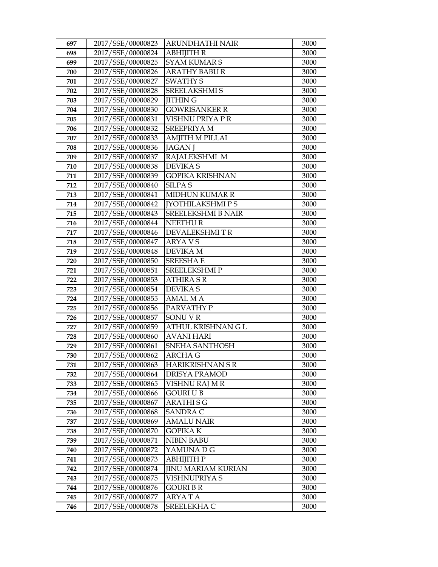| 697 | 2017/SSE/00000823 | ARUNDHATHI NAIR           | 3000 |
|-----|-------------------|---------------------------|------|
| 698 | 2017/SSE/00000824 | <b>ABHIJITH R</b>         | 3000 |
| 699 | 2017/SSE/00000825 | <b>SYAM KUMARS</b>        | 3000 |
| 700 | 2017/SSE/00000826 | <b>ARATHY BABUR</b>       | 3000 |
| 701 | 2017/SSE/00000827 | <b>SWATHY S</b>           | 3000 |
| 702 | 2017/SSE/00000828 | <b>SREELAKSHMI S</b>      | 3000 |
| 703 | 2017/SSE/00000829 | <b>JITHING</b>            | 3000 |
| 704 | 2017/SSE/00000830 | <b>GOWRISANKER R</b>      | 3000 |
| 705 | 2017/SSE/00000831 | VISHNU PRIYA PR           | 3000 |
| 706 | 2017/SSE/00000832 | <b>SREEPRIYA M</b>        | 3000 |
| 707 | 2017/SSE/00000833 | <b>AMJITH M PILLAI</b>    | 3000 |
| 708 | 2017/SSE/00000836 | <b>JAGAN</b> J            | 3000 |
| 709 | 2017/SSE/00000837 | RAJALEKSHMI M             | 3000 |
| 710 | 2017/SSE/00000838 | <b>DEVIKAS</b>            | 3000 |
| 711 | 2017/SSE/00000839 | <b>GOPIKA KRISHNAN</b>    | 3000 |
| 712 | 2017/SSE/00000840 | <b>SILPA S</b>            | 3000 |
| 713 | 2017/SSE/00000841 | <b>MIDHUN KUMAR R</b>     | 3000 |
| 714 | 2017/SSE/00000842 | <b>[YOTHILAKSHMIPS</b>    | 3000 |
| 715 | 2017/SSE/00000843 | <b>SREELEKSHMI B NAIR</b> | 3000 |
| 716 | 2017/SSE/00000844 | <b>NEETHUR</b>            | 3000 |
| 717 | 2017/SSE/00000846 | <b>DEVALEKSHMITR</b>      | 3000 |
| 718 | 2017/SSE/00000847 | ARYA V S                  | 3000 |
| 719 | 2017/SSE/00000848 | <b>DEVIKA M</b>           | 3000 |
| 720 | 2017/SSE/00000850 | <b>SREESHAE</b>           | 3000 |
| 721 | 2017/SSE/00000851 | SREELEKSHMI P             | 3000 |
| 722 | 2017/SSE/00000853 | <b>ATHIRA S R</b>         | 3000 |
| 723 | 2017/SSE/00000854 | <b>DEVIKAS</b>            | 3000 |
| 724 | 2017/SSE/00000855 | <b>AMAL M A</b>           | 3000 |
| 725 | 2017/SSE/00000856 | PARVATHY P                | 3000 |
| 726 | 2017/SSE/00000857 | <b>SONUVR</b>             | 3000 |
| 727 | 2017/SSE/00000859 | ATHUL KRISHNAN G L        | 3000 |
| 728 | 2017/SSE/00000860 | <b>AVANI HARI</b>         | 3000 |
| 729 | 2017/SSE/00000861 | SNEHA SANTHOSH            | 3000 |
| 730 | 2017/SSE/00000862 | <b>ARCHA G</b>            | 3000 |
| 731 | 2017/SSE/00000863 | <b>HARIKRISHNAN S R</b>   | 3000 |
| 732 | 2017/SSE/00000864 | DRISYA PRAMOD             | 3000 |
| 733 | 2017/SSE/00000865 | VISHNU RAJ M R            | 3000 |
| 734 | 2017/SSE/00000866 | <b>GOURI U B</b>          | 3000 |
| 735 | 2017/SSE/00000867 | ARATHI S G                | 3000 |
| 736 | 2017/SSE/00000868 | <b>SANDRA C</b>           | 3000 |
| 737 | 2017/SSE/00000869 | <b>AMALU NAIR</b>         | 3000 |
| 738 | 2017/SSE/00000870 | <b>GOPIKA K</b>           | 3000 |
| 739 | 2017/SSE/00000871 | <b>NIBIN BABU</b>         | 3000 |
| 740 | 2017/SSE/00000872 | YAMUNA D G                | 3000 |
| 741 | 2017/SSE/00000873 | АВНІЈІТН Р                | 3000 |
| 742 | 2017/SSE/00000874 | <b>JINU MARIAM KURIAN</b> | 3000 |
| 743 | 2017/SSE/00000875 | VISHNUPRIYA S             | 3000 |
| 744 | 2017/SSE/00000876 | <b>GOURI B R</b>          | 3000 |
| 745 | 2017/SSE/00000877 | ARYA T A                  | 3000 |
| 746 | 2017/SSE/00000878 | SREELEKHA C               | 3000 |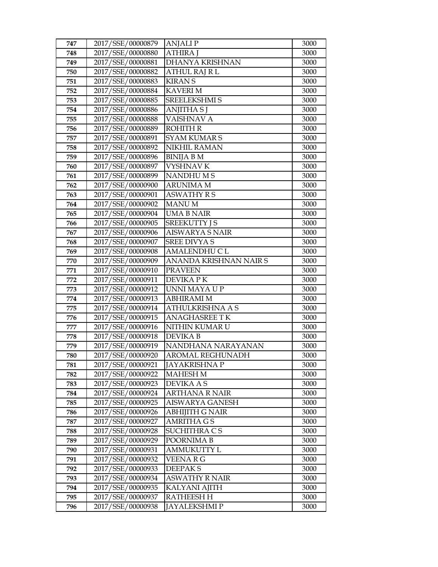| 747        | 2017/SSE/00000879                      | <b>ANJALIP</b>              | 3000         |
|------------|----------------------------------------|-----------------------------|--------------|
| 748        | 2017/SSE/00000880                      | <b>ATHIRA J</b>             | 3000         |
| 749        | 2017/SSE/00000881                      | DHANYA KRISHNAN             | 3000         |
| 750        | 2017/SSE/00000882                      | <b>ATHUL RAJ R L</b>        | 3000         |
| 751        | 2017/SSE/00000883                      | <b>KIRAN S</b>              | 3000         |
| 752        | 2017/SSE/00000884                      | <b>KAVERIM</b>              | 3000         |
| 753        | 2017/SSE/00000885                      | <b>SREELEKSHMI S</b>        | 3000         |
| 754        | 2017/SSE/00000886                      | <b>ANJITHA S J</b>          | 3000         |
| 755        | 2017/SSE/00000888                      | <b>VAISHNAV A</b>           | 3000         |
| 756        | 2017/SSE/00000889                      | <b>ROHITH R</b>             | 3000         |
| 757        | 2017/SSE/00000891                      | <b>SYAM KUMARS</b>          | 3000         |
| 758        | 2017/SSE/00000892                      | <b>NIKHIL RAMAN</b>         | 3000         |
| 759        | 2017/SSE/00000896                      | <b>BINIJA B M</b>           | 3000         |
| 760        | 2017/SSE/00000897                      | <b>VYSHNAV K</b>            | 3000         |
| 761        | 2017/SSE/00000899                      | <b>NANDHUMS</b>             | 3000         |
| 762        | 2017/SSE/00000900                      | ARUNIMA M                   | 3000         |
| 763        | 2017/SSE/00000901                      | <b>ASWATHY R S</b>          | 3000         |
| 764        | 2017/SSE/00000902                      | <b>MANUM</b>                | 3000         |
| 765        | 2017/SSE/00000904                      | <b>UMA B NAIR</b>           | 3000         |
| 766        | 2017/SSE/00000905                      | <b>SREEKUTTY J S</b>        | 3000         |
| 767        | 2017/SSE/00000906                      | AISWARYA S NAIR             | 3000         |
| 768        | 2017/SSE/00000907                      | <b>SREE DIVYA S</b>         | 3000         |
| 769        | 2017/SSE/00000908                      | <b>AMALENDHU C L</b>        | 3000         |
| 770        | 2017/SSE/00000909                      | ANANDA KRISHNAN NAIR S      | 3000         |
| 771        | 2017/SSE/00000910                      | <b>PRAVEEN</b>              | 3000         |
| 772        | 2017/SSE/00000911                      | DEVIKA P K                  | 3000         |
| 773        | 2017/SSE/00000912                      | UNNI MAYA U P               | 3000         |
| 774        | 2017/SSE/00000913                      | <b>ABHIRAMI M</b>           | 3000         |
|            |                                        |                             |              |
| 775        | 2017/SSE/00000914                      | <b>ATHULKRISHNA A S</b>     | 3000         |
| 776        | 2017/SSE/00000915                      | <b>ANAGHASREE TK</b>        | 3000         |
| 777        | 2017/SSE/00000916                      | NITHIN KUMAR U              | 3000         |
| 778        | 2017/SSE/00000918                      | <b>DEVIKAB</b>              | 3000         |
| 779        | 2017/SSE/00000919                      | NANDHANA NARAYANAN          | 3000         |
| 780        | 2017/SSE/00000920                      | <b>AROMAL REGHUNADH</b>     | 3000         |
| 781        | 2017/SSE/00000921                      | <b>JAYAKRISHNA P</b>        | 3000         |
| 782        | 2017/SSE/00000922                      | <b>MAHESH M</b>             | 3000         |
| 783        | 2017/SSE/00000923                      | <b>DEVIKA A S</b>           | 3000         |
| 784        | 2017/SSE/00000924                      | <b>ARTHANA R NAIR</b>       | 3000         |
| 785        | 2017/SSE/00000925                      | AISWARYA GANESH             | 3000         |
| 786        | 2017/SSE/00000926                      | ABHIJITH G NAIR             | 3000         |
| 787        | 2017/SSE/00000927                      | AMRITHA G S                 | 3000         |
| 788        | 2017/SSE/00000928                      | SUCHITHRA C S               | 3000         |
| 789        | 2017/SSE/00000929                      | POORNIMA B                  | 3000         |
| 790        | 2017/SSE/00000931                      | <b>AMMUKUTTY L</b>          | 3000         |
| 791        | 2017/SSE/00000932                      | VEENA R G                   | 3000         |
| 792        | 2017/SSE/00000933                      | DEEPAK <sub>S</sub>         | 3000         |
| 793        | 2017/SSE/00000934                      | <b>ASWATHY R NAIR</b>       | 3000         |
| 794        | 2017/SSE/00000935                      | <b>KALYANI AJITH</b>        | 3000         |
| 795<br>796 | 2017/SSE/00000937<br>2017/SSE/00000938 | RATHEESH H<br>JAYALEKSHMI P | 3000<br>3000 |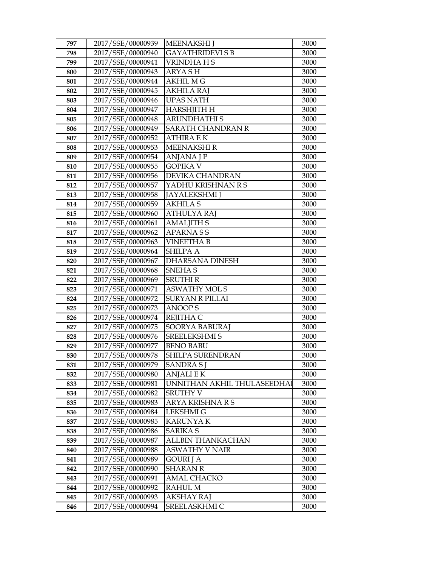| 797        | 2017/SSE/00000939                      | <b>MEENAKSHI</b> J           | 3000         |
|------------|----------------------------------------|------------------------------|--------------|
| 798        | 2017/SSE/00000940                      | <b>GAYATHRIDEVI S B</b>      | 3000         |
| 799        | 2017/SSE/00000941                      | VRINDHAHS                    | 3000         |
| 800        | 2017/SSE/00000943                      | ARYA SH                      | 3000         |
| 801        | 2017/SSE/00000944                      | <b>AKHIL M G</b>             | 3000         |
| 802        | 2017/SSE/00000945                      | AKHILA RAJ                   | 3000         |
| 803        | 2017/SSE/00000946                      | UPAS NATH                    | 3000         |
| 804        | 2017/SSE/00000947                      | <b>HARSHJITH H</b>           | 3000         |
| 805        | 2017/SSE/00000948                      | <b>ARUNDHATHIS</b>           | 3000         |
| 806        | 2017/SSE/00000949                      | <b>SARATH CHANDRAN R</b>     | 3000         |
| 807        | 2017/SSE/00000952                      | ATHIRA E K                   | 3000         |
| 808        | 2017/SSE/00000953                      | <b>MEENAKSHIR</b>            | 3000         |
| 809        | 2017/SSE/00000954                      | <b>ANJANA J P</b>            | 3000         |
| 810        | 2017/SSE/00000955                      | <b>GOPIKA V</b>              | 3000         |
| 811        | 2017/SSE/00000956                      | DEVIKA CHANDRAN              | 3000         |
| 812        | 2017/SSE/00000957                      | YADHU KRISHNAN R S           | 3000         |
| 813        | 2017/SSE/00000958                      | <b>JAYALEKSHMI</b> J         | 3000         |
| 814        | 2017/SSE/00000959                      | <b>AKHILA S</b>              | 3000         |
| 815        | 2017/SSE/00000960                      | <b>ATHULYA RAJ</b>           | 3000         |
| 816        | 2017/SSE/00000961                      | <b>AMALJITH S</b>            | 3000         |
| 817        | 2017/SSE/00000962                      | APARNA S S                   | 3000         |
| 818        | 2017/SSE/00000963                      | VINEETHA B                   | 3000         |
| 819        | 2017/SSE/00000964                      | <b>SHILPA A</b>              | 3000         |
| 820        | 2017/SSE/00000967                      | DHARSANA DINESH              | 3000         |
| 821        | 2017/SSE/00000968                      | <b>SNEHAS</b>                | 3000         |
| 822        | 2017/SSE/00000969                      | <b>SRUTHI R</b>              | 3000         |
| 823        | 2017/SSE/00000971                      | <b>ASWATHY MOLS</b>          | 3000         |
| 824        | 2017/SSE/00000972                      | <b>SURYAN R PILLAI</b>       | 3000         |
| 825        | 2017/SSE/00000973                      | <b>ANOOPS</b>                | 3000         |
| 826        | 2017/SSE/00000974                      | <b>REJITHA C</b>             | 3000         |
| 827        | 2017/SSE/00000975                      | <b>SOORYA BABURAJ</b>        | 3000         |
| 828        | 2017/SSE/00000976                      | <b>SREELEKSHMI S</b>         | 3000         |
| 829        | 2017/SSE/00000977                      | <b>BENO BABU</b>             | 3000         |
| 830        | 2017/SSE/00000978                      | SHILPA SURENDRAN             | 3000         |
| 831        | 2017/SSE/00000979                      | SANDRA SJ                    | 3000         |
| 832        | 2017/SSE/00000980                      | <b>ANJALI E K</b>            | 3000         |
| 833        | 2017/SSE/00000981                      | UNNITHAN AKHIL THULASEEDHAI  | 3000         |
| 834<br>835 | 2017/SSE/00000982<br>2017/SSE/00000983 | SRUTHY V<br>ARYA KRISHNA R S | 3000<br>3000 |
| 836        | 2017/SSE/00000984                      | LEKSHMI G                    | 3000         |
| 837        | 2017/SSE/00000985                      | <b>KARUNYA K</b>             | 3000         |
| 838        | 2017/SSE/00000986                      | <b>SARIKA S</b>              | 3000         |
| 839        | 2017/SSE/00000987                      | ALLBIN THANKACHAN            | 3000         |
| 840        | 2017/SSE/00000988                      | <b>ASWATHY V NAIR</b>        | 3000         |
| 841        | 2017/SSE/00000989                      | <b>GOURI J A</b>             | 3000         |
| 842        | 2017/SSE/00000990                      | <b>SHARAN R</b>              | 3000         |
| 843        | 2017/SSE/00000991                      | <b>AMAL CHACKO</b>           | 3000         |
| 844        | 2017/SSE/00000992                      | RAHUL M                      | 3000         |
| 845        | 2017/SSE/00000993                      | <b>AKSHAY RAJ</b>            | 3000         |
| 846        | 2017/SSE/00000994                      | SREELASKHMI C                | 3000         |
|            |                                        |                              |              |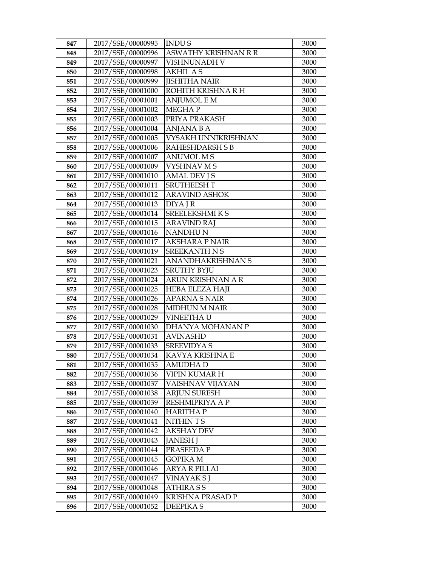| 847 | 2017/SSE/00000995 | <b>INDUS</b>           | 3000 |
|-----|-------------------|------------------------|------|
| 848 | 2017/SSE/00000996 | ASWATHY KRISHNAN R R   | 3000 |
| 849 | 2017/SSE/00000997 | VISHNUNADH V           | 3000 |
| 850 | 2017/SSE/00000998 | <b>AKHIL AS</b>        | 3000 |
| 851 | 2017/SSE/00000999 | <b>JISHITHA NAIR</b>   | 3000 |
| 852 | 2017/SSE/00001000 | ROHITH KRISHNA R H     | 3000 |
| 853 | 2017/SSE/00001001 | ANJUMOL E M            | 3000 |
| 854 | 2017/SSE/00001002 | MEGHA P                | 3000 |
| 855 | 2017/SSE/00001003 | PRIYA PRAKASH          | 3000 |
| 856 | 2017/SSE/00001004 | <b>ANJANA B A</b>      | 3000 |
| 857 | 2017/SSE/00001005 | VYSAKH UNNIKRISHNAN    | 3000 |
| 858 | 2017/SSE/00001006 | <b>RAHESHDARSH S B</b> | 3000 |
| 859 | 2017/SSE/00001007 | <b>ANUMOL MS</b>       | 3000 |
| 860 | 2017/SSE/00001009 | <b>VYSHNAV M S</b>     | 3000 |
| 861 | 2017/SSE/00001010 | <b>AMAL DEV JS</b>     | 3000 |
| 862 | 2017/SSE/00001011 | <b>SRUTHEESH T</b>     | 3000 |
| 863 | 2017/SSE/00001012 | <b>ARAVIND ASHOK</b>   | 3000 |
| 864 | 2017/SSE/00001013 | <b>DIYA J R</b>        | 3000 |
| 865 | 2017/SSE/00001014 | <b>SREELEKSHMIKS</b>   | 3000 |
| 866 | 2017/SSE/00001015 | <b>ARAVIND RAJ</b>     | 3000 |
| 867 | 2017/SSE/00001016 | <b>NANDHUN</b>         | 3000 |
| 868 | 2017/SSE/00001017 | <b>AKSHARA P NAIR</b>  | 3000 |
| 869 | 2017/SSE/00001019 | <b>SREEKANTH N S</b>   | 3000 |
| 870 | 2017/SSE/00001021 | ANANDHAKRISHNAN S      | 3000 |
| 871 | 2017/SSE/00001023 | <b>SRUTHY BYJU</b>     | 3000 |
| 872 | 2017/SSE/00001024 | ARUN KRISHNAN A R      | 3000 |
| 873 | 2017/SSE/00001025 | <b>HEBA ELEZA HAJI</b> | 3000 |
| 874 | 2017/SSE/00001026 | <b>APARNA S NAIR</b>   | 3000 |
| 875 | 2017/SSE/00001028 | <b>MIDHUN M NAIR</b>   | 3000 |
| 876 | 2017/SSE/00001029 | VINEETHA U             | 3000 |
| 877 | 2017/SSE/00001030 | DHANYA MOHANAN P       | 3000 |
| 878 | 2017/SSE/00001031 | <b>AVINASHD</b>        | 3000 |
| 879 | 2017/SSE/00001033 | <b>SREEVIDYA S</b>     | 3000 |
| 880 | 2017/SSE/00001034 | KAVYA KRISHNA E        | 3000 |
| 881 | 2017/SSE/00001035 | <b>AMUDHAD</b>         | 3000 |
| 882 | 2017/SSE/00001036 | <b>VIPIN KUMAR H</b>   | 3000 |
| 883 | 2017/SSE/00001037 | VAISHNAV VIJAYAN       | 3000 |
| 884 | 2017/SSE/00001038 | <b>ARJUN SURESH</b>    | 3000 |
| 885 | 2017/SSE/00001039 | RESHMIPRIYA A P        | 3000 |
| 886 | 2017/SSE/00001040 | <b>HARITHAP</b>        | 3000 |
| 887 | 2017/SSE/00001041 | NITHIN T S             | 3000 |
| 888 | 2017/SSE/00001042 | <b>AKSHAY DEV</b>      | 3000 |
| 889 | 2017/SSE/00001043 | <b>JANESH J</b>        | 3000 |
| 890 | 2017/SSE/00001044 | PRASEEDA P             | 3000 |
| 891 | 2017/SSE/00001045 | <b>GOPIKA M</b>        | 3000 |
| 892 | 2017/SSE/00001046 | ARYA R PILLAI          | 3000 |
| 893 | 2017/SSE/00001047 | VINAYAK S J            | 3000 |
| 894 | 2017/SSE/00001048 | <b>ATHIRASS</b>        | 3000 |
| 895 | 2017/SSE/00001049 | KRISHNA PRASAD P       | 3000 |
| 896 | 2017/SSE/00001052 | <b>DEEPIKAS</b>        | 3000 |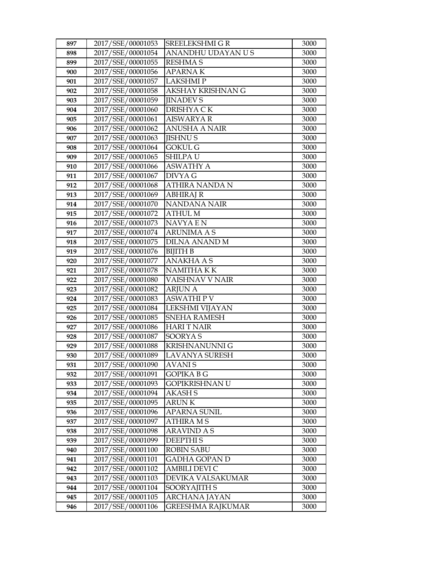| 897 | 2017/SSE/00001053 | <b>SREELEKSHMI G R</b> | 3000 |
|-----|-------------------|------------------------|------|
| 898 | 2017/SSE/00001054 | ANANDHU UDAYAN U S     | 3000 |
| 899 | 2017/SSE/00001055 | <b>RESHMA S</b>        | 3000 |
| 900 | 2017/SSE/00001056 | <b>APARNAK</b>         | 3000 |
| 901 | 2017/SSE/00001057 | <b>LAKSHMIP</b>        | 3000 |
| 902 | 2017/SSE/00001058 | AKSHAY KRISHNAN G      | 3000 |
| 903 | 2017/SSE/00001059 | <b>JINADEVS</b>        | 3000 |
| 904 | 2017/SSE/00001060 | DRISHYA CK             | 3000 |
| 905 | 2017/SSE/00001061 | <b>AISWARYA R</b>      | 3000 |
| 906 | 2017/SSE/00001062 | <b>ANUSHA A NAIR</b>   | 3000 |
| 907 | 2017/SSE/00001063 | <b>JISHNUS</b>         | 3000 |
| 908 | 2017/SSE/00001064 | <b>GOKUL G</b>         | 3000 |
| 909 | 2017/SSE/00001065 | <b>SHILPAU</b>         | 3000 |
| 910 | 2017/SSE/00001066 | <b>ASWATHY A</b>       | 3000 |
| 911 | 2017/SSE/00001067 | DIVYA G                | 3000 |
| 912 | 2017/SSE/00001068 | ATHIRA NANDA N         | 3000 |
| 913 | 2017/SSE/00001069 | <b>ABHIRAJ R</b>       | 3000 |
| 914 | 2017/SSE/00001070 | <b>NANDANA NAIR</b>    | 3000 |
| 915 | 2017/SSE/00001072 | <b>ATHUL M</b>         | 3000 |
| 916 | 2017/SSE/00001073 | <b>NAVYAEN</b>         | 3000 |
| 917 | 2017/SSE/00001074 | <b>ARUNIMA A S</b>     | 3000 |
| 918 | 2017/SSE/00001075 | <b>DILNA ANAND M</b>   | 3000 |
| 919 | 2017/SSE/00001076 | <b>BIJITH B</b>        | 3000 |
| 920 | 2017/SSE/00001077 | <b>ANAKHA A S</b>      | 3000 |
| 921 | 2017/SSE/00001078 | NAMITHA K K            | 3000 |
| 922 | 2017/SSE/00001080 | VAISHNAV V NAIR        | 3000 |
| 923 | 2017/SSE/00001082 | <b>ARJUN A</b>         | 3000 |
| 924 | 2017/SSE/00001083 | <b>ASWATHIPV</b>       | 3000 |
| 925 | 2017/SSE/00001084 | LEKSHMI VIJAYAN        | 3000 |
| 926 | 2017/SSE/00001085 | <b>SNEHA RAMESH</b>    | 3000 |
| 927 | 2017/SSE/00001086 | <b>HARIT NAIR</b>      | 3000 |
| 928 | 2017/SSE/00001087 | <b>SOORYAS</b>         | 3000 |
| 929 | 2017/SSE/00001088 | KRISHNANUNNI G         | 3000 |
| 930 | 2017/SSE/00001089 | <b>LAVANYA SURESH</b>  | 3000 |
| 931 | 2017/SSE/00001090 | <b>AVANIS</b>          | 3000 |
| 932 | 2017/SSE/00001091 | <b>GOPIKA B G</b>      | 3000 |
| 933 | 2017/SSE/00001093 | GOPIKRISHNAN U         | 3000 |
| 934 | 2017/SSE/00001094 | <b>AKASH S</b>         | 3000 |
| 935 | 2017/SSE/00001095 | <b>ARUNK</b>           | 3000 |
| 936 | 2017/SSE/00001096 | <b>APARNA SUNIL</b>    | 3000 |
| 937 | 2017/SSE/00001097 | <b>ATHIRA MS</b>       | 3000 |
| 938 | 2017/SSE/00001098 | <b>ARAVIND A S</b>     | 3000 |
| 939 | 2017/SSE/00001099 | <b>DEEPTHIS</b>        | 3000 |
| 940 | 2017/SSE/00001100 | <b>ROBIN SABU</b>      | 3000 |
| 941 | 2017/SSE/00001101 | GADHA GOPAN D          | 3000 |
| 942 | 2017/SSE/00001102 | AMBILI DEVI C          | 3000 |
| 943 | 2017/SSE/00001103 | DEVIKA VALSAKUMAR      | 3000 |
| 944 | 2017/SSE/00001104 | SOORY AJITH S          | 3000 |
| 945 | 2017/SSE/00001105 | ARCHANA JAYAN          | 3000 |
| 946 | 2017/SSE/00001106 | GREESHMA RAJKUMAR      | 3000 |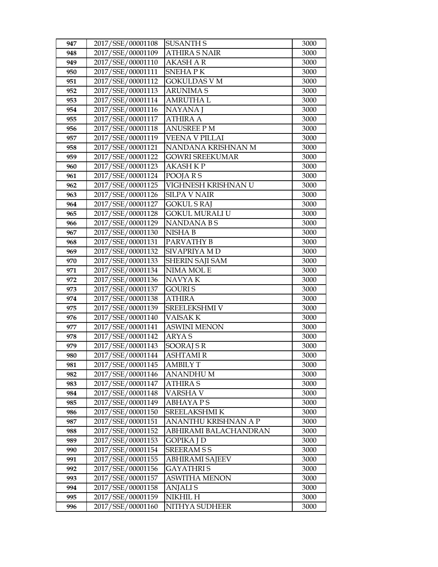| 947        | 2017/SSE/00001108                      | <b>SUSANTH S</b>                     | 3000         |
|------------|----------------------------------------|--------------------------------------|--------------|
| 948        | 2017/SSE/00001109                      | <b>ATHIRA S NAIR</b>                 | 3000         |
| 949        | 2017/SSE/00001110                      | <b>AKASH A R</b>                     | 3000         |
| 950        | 2017/SSE/00001111                      | <b>SNEHAPK</b>                       | 3000         |
| 951        | 2017/SSE/00001112                      | <b>GOKULDAS V M</b>                  | 3000         |
| 952        | 2017/SSE/00001113                      | <b>ARUNIMA S</b>                     | 3000         |
| 953        | 2017/SSE/00001114                      | <b>AMRUTHAL</b>                      | 3000         |
| 954        | 2017/SSE/00001116                      | <b>NAYANA</b> J                      | 3000         |
| 955        | 2017/SSE/00001117                      | <b>ATHIRA A</b>                      | 3000         |
| 956        | 2017/SSE/00001118                      | <b>ANUSREE PM</b>                    | 3000         |
| 957        | 2017/SSE/00001119                      | VEENA V PILLAI                       | 3000         |
| 958        | 2017/SSE/00001121                      | NANDANA KRISHNAN M                   | 3000         |
| 959        | 2017/SSE/00001122                      | <b>GOWRI SREEKUMAR</b>               | 3000         |
| 960        | 2017/SSE/00001123                      | <b>AKASH K P</b>                     | 3000         |
| 961        | 2017/SSE/00001124                      | POOJARS                              | 3000         |
| 962        | 2017/SSE/00001125                      | VIGHNESH KRISHNAN U                  | 3000         |
| 963        | 2017/SSE/00001126                      | <b>SILPA V NAIR</b>                  | 3000         |
| 964        | 2017/SSE/00001127                      | <b>GOKUL S RAJ</b>                   | 3000         |
| 965        | 2017/SSE/00001128                      | <b>GOKUL MURALI U</b>                | 3000         |
| 966        | 2017/SSE/00001129                      | <b>NANDANABS</b>                     | 3000         |
| 967        | 2017/SSE/00001130                      | NISHA <sub>B</sub>                   | 3000         |
| 968        | 2017/SSE/00001131                      | PARVATHY B                           | 3000         |
| 969        | 2017/SSE/00001132                      | SIVAPRIYA M D                        | 3000         |
| 970        | 2017/SSE/00001133                      | <b>SHERIN SAJI SAM</b>               | 3000         |
| 971        | 2017/SSE/00001134                      | NIMA MOL E                           | 3000         |
| 972        | 2017/SSE/00001136                      | NAVYA K                              | 3000         |
| 973        | 2017/SSE/00001137                      | <b>GOURIS</b>                        | 3000         |
| 974        | 2017/SSE/00001138                      | <b>ATHIRA</b>                        | 3000         |
| 975        | 2017/SSE/00001139                      | SREELEKSHMI V                        | 3000         |
| 976        | 2017/SSE/00001140                      | <b>VAISAKK</b>                       | 3000         |
| 977        | 2017/SSE/00001141                      | <b>ASWINI MENON</b>                  | 3000         |
| 978        | 2017/SSE/00001142                      | <b>ARYAS</b>                         | 3000         |
| 979        | 2017/SSE/00001143                      | <b>SOORAJ S R</b><br><b>ASHTAMIR</b> | 3000         |
| 980        | 2017/SSE/00001144                      |                                      | 3000         |
| 981<br>982 | 2017/SSE/00001145<br>2017/SSE/00001146 | AMBILY T<br>ANANDHU M                | 3000<br>3000 |
| 983        | 2017/SSE/00001147                      | <b>ATHIRA S</b>                      | 3000         |
| 984        | 2017/SSE/00001148                      | VARSHA V                             | 3000         |
| 985        | 2017/SSE/00001149                      | <b>ABHAYAPS</b>                      | 3000         |
| 986        | 2017/SSE/00001150                      | SREELAKSHMI K                        | 3000         |
| 987        | 2017/SSE/00001151                      | ANANTHU KRISHNAN A P                 | 3000         |
| 988        | 2017/SSE/00001152                      | ABHIRAMI BALACHANDRAN                | 3000         |
| 989        | 2017/SSE/00001153                      | <b>GOPIKA J D</b>                    | 3000         |
| 990        | 2017/SSE/00001154                      | <b>SREERAMSS</b>                     | 3000         |
| 991        | 2017/SSE/00001155                      | ABHIRAMI SAJEEV                      | 3000         |
| 992        | 2017/SSE/00001156                      | <b>GAYATHRIS</b>                     | 3000         |
| 993        | 2017/SSE/00001157                      | <b>ASWITHA MENON</b>                 | 3000         |
| 994        | 2017/SSE/00001158                      | <b>ANJALIS</b>                       | 3000         |
| 995        | 2017/SSE/00001159                      | NIKHIL H                             | 3000         |
| 996        | 2017/SSE/00001160                      | NITHYA SUDHEER                       | 3000         |
|            |                                        |                                      |              |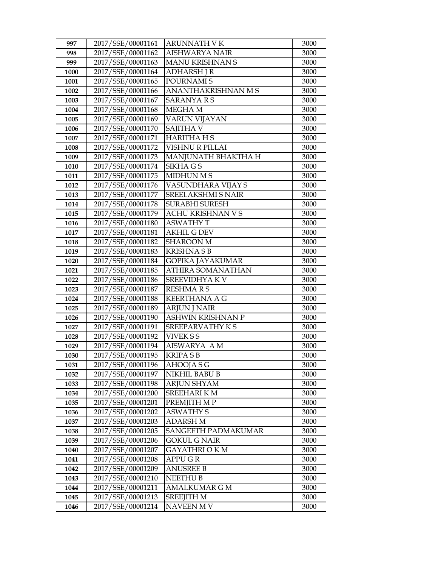| 997  | 2017/SSE/00001161 | <b>ARUNNATH VK</b>        | 3000 |
|------|-------------------|---------------------------|------|
| 998  | 2017/SSE/00001162 | AISHWARYA NAIR            | 3000 |
| 999  | 2017/SSE/00001163 | MANU KRISHNAN S           | 3000 |
| 1000 | 2017/SSE/00001164 | <b>ADHARSH J R</b>        | 3000 |
| 1001 | 2017/SSE/00001165 | POURNAMI S                | 3000 |
| 1002 | 2017/SSE/00001166 | ANANTHAKRISHNAN M S       | 3000 |
| 1003 | 2017/SSE/00001167 | SARANYA R S               | 3000 |
| 1004 | 2017/SSE/00001168 | MEGHA M                   | 3000 |
| 1005 | 2017/SSE/00001169 | <b>VARUN VIJAYAN</b>      | 3000 |
| 1006 | 2017/SSE/00001170 | SAJITHA V                 | 3000 |
| 1007 | 2017/SSE/00001171 | <b>HARITHA HS</b>         | 3000 |
| 1008 | 2017/SSE/00001172 | VISHNU R PILLAI           | 3000 |
| 1009 | 2017/SSE/00001173 | MANJUNATH BHAKTHA H       | 3000 |
| 1010 | 2017/SSE/00001174 | <b>SIKHAGS</b>            | 3000 |
| 1011 | 2017/SSE/00001175 | <b>MIDHUN M S</b>         | 3000 |
| 1012 | 2017/SSE/00001176 | VASUNDHARA VIJAY S        | 3000 |
| 1013 | 2017/SSE/00001177 | <b>SREELAKSHMI S NAIR</b> | 3000 |
| 1014 | 2017/SSE/00001178 | <b>SURABHI SURESH</b>     | 3000 |
| 1015 | 2017/SSE/00001179 | <b>ACHU KRISHNAN V S</b>  | 3000 |
| 1016 | 2017/SSE/00001180 | <b>ASWATHY T</b>          | 3000 |
| 1017 | 2017/SSE/00001181 | <b>AKHIL G DEV</b>        | 3000 |
| 1018 | 2017/SSE/00001182 | <b>SHAROON M</b>          | 3000 |
| 1019 | 2017/SSE/00001183 | <b>KRISHNASB</b>          | 3000 |
| 1020 | 2017/SSE/00001184 | <b>GOPIKA JAYAKUMAR</b>   | 3000 |
| 1021 | 2017/SSE/00001185 | ATHIRA SOMANATHAN         | 3000 |
| 1022 | 2017/SSE/00001186 | SREEVIDHYA KV             | 3000 |
| 1023 | 2017/SSE/00001187 | <b>RESHMARS</b>           | 3000 |
| 1024 | 2017/SSE/00001188 | <b>KEERTHANA A G</b>      | 3000 |
| 1025 | 2017/SSE/00001189 | <b>ARJUN J NAIR</b>       | 3000 |
| 1026 | 2017/SSE/00001190 | <b>ASHWIN KRISHNAN P</b>  | 3000 |
| 1027 | 2017/SSE/00001191 | SREEPARVATHY KS           | 3000 |
| 1028 | 2017/SSE/00001192 | VIVEK S S                 | 3000 |
| 1029 | 2017/SSE/00001194 | <b>AISWARYA AM</b>        | 3000 |
| 1030 | 2017/SSE/00001195 | <b>KRIPASB</b>            | 3000 |
| 1031 | 2017/SSE/00001196 | AHOOJA S G                | 3000 |
| 1032 | 2017/SSE/00001197 | NIKHIL BABU B             | 3000 |
| 1033 | 2017/SSE/00001198 | <b>ARJUN SHYAM</b>        | 3000 |
| 1034 | 2017/SSE/00001200 | <b>SREEHARIKM</b>         | 3000 |
| 1035 | 2017/SSE/00001201 | PREMJITH M P              | 3000 |
| 1036 | 2017/SSE/00001202 | <b>ASWATHY S</b>          | 3000 |
| 1037 | 2017/SSE/00001203 | ADARSH M                  | 3000 |
| 1038 | 2017/SSE/00001205 | SANGEETH PADMAKUMAR       | 3000 |
| 1039 | 2017/SSE/00001206 | <b>GOKUL G NAIR</b>       | 3000 |
| 1040 | 2017/SSE/00001207 | GAYATHRI O K M            | 3000 |
| 1041 | 2017/SSE/00001208 | <b>APPUGR</b>             | 3000 |
| 1042 | 2017/SSE/00001209 | <b>ANUSREE B</b>          | 3000 |
| 1043 | 2017/SSE/00001210 | <b>NEETHU B</b>           | 3000 |
| 1044 | 2017/SSE/00001211 | <b>AMALKUMAR G M</b>      | 3000 |
| 1045 | 2017/SSE/00001213 | <b>SREEJITH M</b>         | 3000 |
| 1046 | 2017/SSE/00001214 | NAVEEN M V                | 3000 |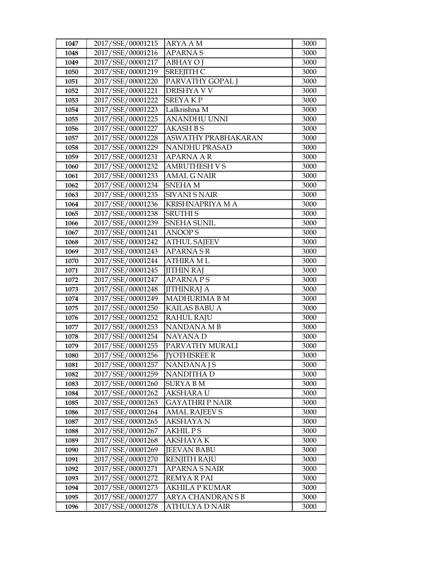| 1047 | 2017/SSE/00001215 | <b>ARYA A M</b>        | 3000 |
|------|-------------------|------------------------|------|
| 1048 | 2017/SSE/00001216 | <b>APARNAS</b>         | 3000 |
| 1049 | 2017/SSE/00001217 | <b>ABHAY O J</b>       | 3000 |
| 1050 | 2017/SSE/00001219 | <b>SREEJITH C</b>      | 3000 |
| 1051 | 2017/SSE/00001220 | PARVATHY GOPAL J       | 3000 |
| 1052 | 2017/SSE/00001221 | <b>DRISHYA V V</b>     | 3000 |
| 1053 | 2017/SSE/00001222 | <b>SREYAKP</b>         | 3000 |
| 1054 | 2017/SSE/00001223 | Lalkrishna M           | 3000 |
| 1055 | 2017/SSE/00001225 | <b>ANANDHU UNNI</b>    | 3000 |
| 1056 | 2017/SSE/00001227 | <b>AKASH B S</b>       | 3000 |
| 1057 | 2017/SSE/00001228 | ASWATHY PRABHAKARAN    | 3000 |
| 1058 | 2017/SSE/00001229 | NANDHU PRASAD          | 3000 |
| 1059 | 2017/SSE/00001231 | <b>APARNA A R</b>      | 3000 |
| 1060 | 2017/SSE/00001232 | <b>AMRUTHESH V S</b>   | 3000 |
| 1061 | 2017/SSE/00001233 | <b>AMAL G NAIR</b>     | 3000 |
| 1062 | 2017/SSE/00001234 | <b>SNEHAM</b>          | 3000 |
| 1063 | 2017/SSE/00001235 | <b>SIVANI S NAIR</b>   | 3000 |
| 1064 | 2017/SSE/00001236 | <b>KRISHNAPRIYA MA</b> | 3000 |
| 1065 | 2017/SSE/00001238 | <b>SRUTHIS</b>         | 3000 |
| 1066 | 2017/SSE/00001239 | <b>SNEHA SUNIL</b>     | 3000 |
| 1067 | 2017/SSE/00001241 | <b>ANOOPS</b>          | 3000 |
| 1068 | 2017/SSE/00001242 | <b>ATHUL SAJEEV</b>    | 3000 |
| 1069 | 2017/SSE/00001243 | <b>APARNASR</b>        | 3000 |
| 1070 | 2017/SSE/00001244 | <b>ATHIRA ML</b>       | 3000 |
| 1071 | 2017/SSE/00001245 | <b>JITHIN RAJ</b>      | 3000 |
| 1072 | 2017/SSE/00001247 | <b>APARNAPS</b>        | 3000 |
| 1073 | 2017/SSE/00001248 | <b>JITHINRAJ A</b>     | 3000 |
| 1074 | 2017/SSE/00001249 | <b>MADHURIMA B M</b>   | 3000 |
| 1075 | 2017/SSE/00001250 | <b>KAILAS BABU A</b>   | 3000 |
| 1076 | 2017/SSE/00001252 | <b>RAHUL RAJU</b>      | 3000 |
| 1077 | 2017/SSE/00001253 | <b>NANDANA MB</b>      | 3000 |
| 1078 | 2017/SSE/00001254 | NAYANA D               | 3000 |
| 1079 | 2017/SSE/00001255 | PARVATHY MURALI        | 3000 |
| 1080 | 2017/SSE/00001256 | <b>IYOTHISREE R</b>    | 3000 |
| 1081 | 2017/SSE/00001257 | NANDANA J S            | 3000 |
| 1082 | 2017/SSE/00001259 | <b>NANDITHA D</b>      | 3000 |
| 1083 | 2017/SSE/00001260 | <b>SURYA B M</b>       | 3000 |
| 1084 | 2017/SSE/00001262 | <b>AKSHARA U</b>       | 3000 |
| 1085 | 2017/SSE/00001263 | <b>GAYATHRI P NAIR</b> | 3000 |
| 1086 | 2017/SSE/00001264 | <b>AMAL RAJEEV S</b>   | 3000 |
| 1087 | 2017/SSE/00001265 | <b>AKSHAYA N</b>       | 3000 |
| 1088 | 2017/SSE/00001267 | <b>AKHILPS</b>         | 3000 |
| 1089 | 2017/SSE/00001268 | <b>AKSHAYAK</b>        | 3000 |
| 1090 | 2017/SSE/00001269 | <b>JEEVAN BABU</b>     | 3000 |
| 1091 | 2017/SSE/00001270 | <b>RENJITH RAJU</b>    | 3000 |
| 1092 | 2017/SSE/00001271 | <b>APARNA S NAIR</b>   | 3000 |
| 1093 | 2017/SSE/00001272 | REMYA R PAI            | 3000 |
| 1094 | 2017/SSE/00001273 | AKHILA P KUMAR         | 3000 |
| 1095 | 2017/SSE/00001277 | ARYA CHANDRAN S B      | 3000 |
| 1096 | 2017/SSE/00001278 | ATHULYA D NAIR         | 3000 |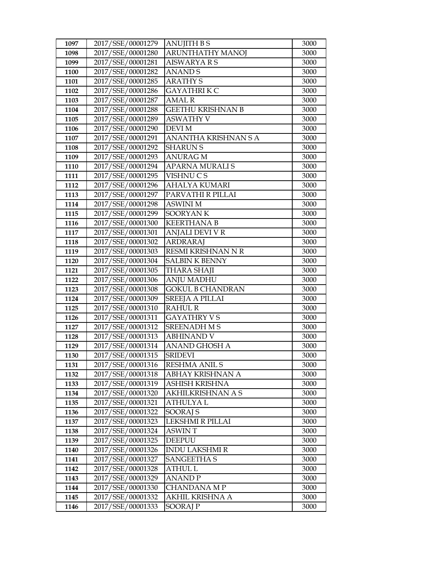| 1097 | 2017/SSE/00001279 | <b>ANUJITH B S</b>       | 3000 |
|------|-------------------|--------------------------|------|
| 1098 | 2017/SSE/00001280 | <b>ARUNTHATHY MANOJ</b>  | 3000 |
| 1099 | 2017/SSE/00001281 | <b>AISWARYA R S</b>      | 3000 |
| 1100 | 2017/SSE/00001282 | <b>ANANDS</b>            | 3000 |
| 1101 | 2017/SSE/00001285 | <b>ARATHY S</b>          | 3000 |
| 1102 | 2017/SSE/00001286 | GAYATHRI K C             | 3000 |
| 1103 | 2017/SSE/00001287 | <b>AMAL R</b>            | 3000 |
| 1104 | 2017/SSE/00001288 | <b>GEETHU KRISHNAN B</b> | 3000 |
| 1105 | 2017/SSE/00001289 | <b>ASWATHY V</b>         | 3000 |
| 1106 | 2017/SSE/00001290 | <b>DEVI M</b>            | 3000 |
| 1107 | 2017/SSE/00001291 | ANANTHA KRISHNAN S A     | 3000 |
| 1108 | 2017/SSE/00001292 | <b>SHARUN S</b>          | 3000 |
| 1109 | 2017/SSE/00001293 | <b>ANURAG M</b>          | 3000 |
| 1110 | 2017/SSE/00001294 | APARNA MURALI S          | 3000 |
| 1111 | 2017/SSE/00001295 | VISHNU C S               | 3000 |
| 1112 | 2017/SSE/00001296 | <b>AHALYA KUMARI</b>     | 3000 |
| 1113 | 2017/SSE/00001297 | PARVATHI R PILLAI        | 3000 |
| 1114 | 2017/SSE/00001298 | <b>ASWINI M</b>          | 3000 |
| 1115 | 2017/SSE/00001299 | <b>SOORYANK</b>          | 3000 |
| 1116 | 2017/SSE/00001300 | <b>KEERTHANA B</b>       | 3000 |
| 1117 | 2017/SSE/00001301 | ANJALI DEVI V R          | 3000 |
| 1118 | 2017/SSE/00001302 | <b>ARDRARAJ</b>          | 3000 |
| 1119 | 2017/SSE/00001303 | RESMI KRISHNAN N R       | 3000 |
| 1120 | 2017/SSE/00001304 | <b>SALBIN K BENNY</b>    | 3000 |
| 1121 | 2017/SSE/00001305 | <b>THARA SHAJI</b>       | 3000 |
| 1122 | 2017/SSE/00001306 | ANJU MADHU               | 3000 |
| 1123 | 2017/SSE/00001308 | <b>GOKUL B CHANDRAN</b>  | 3000 |
| 1124 | 2017/SSE/00001309 | <b>SREEJA A PILLAI</b>   | 3000 |
| 1125 | 2017/SSE/00001310 | <b>RAHUL R</b>           | 3000 |
| 1126 | 2017/SSE/00001311 | <b>GAYATHRY VS</b>       | 3000 |
| 1127 | 2017/SSE/00001312 | <b>SREENADH M S</b>      | 3000 |
| 1128 | 2017/SSE/00001313 | <b>ABHINAND V</b>        | 3000 |
| 1129 | 2017/SSE/00001314 | <b>ANAND GHOSH A</b>     | 3000 |
| 1130 | 2017/SSE/00001315 | <b>SRIDEVI</b>           | 3000 |
| 1131 | 2017/SSE/00001316 | <b>RESHMA ANIL S</b>     | 3000 |
| 1132 | 2017/SSE/00001318 | ABHAY KRISHNAN A         | 3000 |
| 1133 | 2017/SSE/00001319 | <b>ASHISH KRISHNA</b>    | 3000 |
| 1134 | 2017/SSE/00001320 | <b>AKHILKRISHNAN A S</b> | 3000 |
| 1135 | 2017/SSE/00001321 | <b>ATHULYAL</b>          | 3000 |
| 1136 | 2017/SSE/00001322 | SOORAJ S                 | 3000 |
| 1137 | 2017/SSE/00001323 | LEKSHMI R PILLAI         | 3000 |
| 1138 | 2017/SSE/00001324 | <b>ASWINT</b>            | 3000 |
| 1139 | 2017/SSE/00001325 | <b>DEEPUU</b>            | 3000 |
| 1140 | 2017/SSE/00001326 | <b>INDU LAKSHMI R</b>    | 3000 |
| 1141 | 2017/SSE/00001327 | <b>SANGEETHA S</b>       | 3000 |
| 1142 | 2017/SSE/00001328 | ATHUL L                  | 3000 |
| 1143 | 2017/SSE/00001329 | <b>ANANDP</b>            | 3000 |
| 1144 | 2017/SSE/00001330 | CHANDANA MP              | 3000 |
| 1145 | 2017/SSE/00001332 | AKHIL KRISHNA A          | 3000 |
| 1146 | 2017/SSE/00001333 | <b>SOORAJP</b>           | 3000 |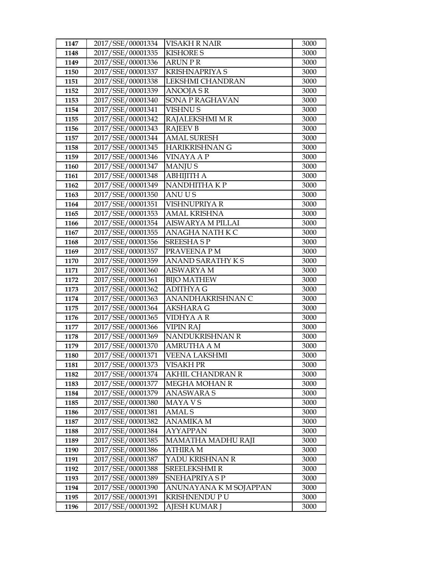| 1147 | 2017/SSE/00001334 | <b>VISAKH R NAIR</b>     | 3000 |
|------|-------------------|--------------------------|------|
| 1148 | 2017/SSE/00001335 | <b>KISHORE S</b>         | 3000 |
| 1149 | 2017/SSE/00001336 | <b>ARUN P R</b>          | 3000 |
| 1150 | 2017/SSE/00001337 | <b>KRISHNAPRIYA S</b>    | 3000 |
| 1151 | 2017/SSE/00001338 | LEKSHMI CHANDRAN         | 3000 |
| 1152 | 2017/SSE/00001339 | <b>ANOOJA S R</b>        | 3000 |
| 1153 | 2017/SSE/00001340 | SONA P RAGHAVAN          | 3000 |
| 1154 | 2017/SSE/00001341 | <b>VISHNUS</b>           | 3000 |
| 1155 | 2017/SSE/00001342 | RAJALEKSHMI M R          | 3000 |
| 1156 | 2017/SSE/00001343 | <b>RAJEEV B</b>          | 3000 |
| 1157 | 2017/SSE/00001344 | <b>AMAL SURESH</b>       | 3000 |
| 1158 | 2017/SSE/00001345 | HARIKRISHNAN G           | 3000 |
| 1159 | 2017/SSE/00001346 | VINAYA A P               | 3000 |
| 1160 | 2017/SSE/00001347 | <b>MANJUS</b>            | 3000 |
| 1161 | 2017/SSE/00001348 | <b>ABHIJITH A</b>        | 3000 |
| 1162 | 2017/SSE/00001349 | NANDHITHA KP             | 3000 |
| 1163 | 2017/SSE/00001350 | <b>ANUUS</b>             | 3000 |
| 1164 | 2017/SSE/00001351 | VISHNUPRIYA R            | 3000 |
| 1165 | 2017/SSE/00001353 | <b>AMAL KRISHNA</b>      | 3000 |
| 1166 | 2017/SSE/00001354 | <b>AISWARYA M PILLAI</b> | 3000 |
| 1167 | 2017/SSE/00001355 | ANAGHA NATH K C          | 3000 |
| 1168 | 2017/SSE/00001356 | <b>SREESHASP</b>         | 3000 |
| 1169 | 2017/SSE/00001357 | PRAVEENA P M             | 3000 |
| 1170 | 2017/SSE/00001359 | ANAND SARATHY KS         | 3000 |
| 1171 | 2017/SSE/00001360 | <b>AISWARYA M</b>        | 3000 |
| 1172 | 2017/SSE/00001361 | <b>BIJO MATHEW</b>       | 3000 |
| 1173 | 2017/SSE/00001362 | <b>ADITHYAG</b>          | 3000 |
| 1174 | 2017/SSE/00001363 | ANANDHAKRISHNAN C        | 3000 |
| 1175 | 2017/SSE/00001364 | <b>AKSHARA G</b>         | 3000 |
| 1176 | 2017/SSE/00001365 | VIDHYA A R               | 3000 |
| 1177 | 2017/SSE/00001366 | <b>VIPIN RAJ</b>         | 3000 |
| 1178 | 2017/SSE/00001369 | NANDUKRISHNAN R          | 3000 |
| 1179 | 2017/SSE/00001370 | <b>AMRUTHA A M</b>       | 3000 |
| 1180 | 2017/SSE/00001371 | <b>VEENA LAKSHMI</b>     | 3000 |
| 1181 | 2017/SSE/00001373 | VISAKH PR                | 3000 |
| 1182 | 2017/SSE/00001374 | AKHIL CHANDRAN R         | 3000 |
| 1183 | 2017/SSE/00001377 | <b>MEGHA MOHAN R</b>     | 3000 |
| 1184 | 2017/SSE/00001379 | <b>ANASWARA S</b>        | 3000 |
| 1185 | 2017/SSE/00001380 | MAYA V S                 | 3000 |
| 1186 | 2017/SSE/00001381 | AMAL S                   | 3000 |
| 1187 | 2017/SSE/00001382 | ANAMIKA M                | 3000 |
| 1188 | 2017/SSE/00001384 | AYYAPPAN                 | 3000 |
| 1189 | 2017/SSE/00001385 | MAMATHA MADHU RAJI       | 3000 |
| 1190 | 2017/SSE/00001386 | <b>ATHIRA M</b>          | 3000 |
| 1191 | 2017/SSE/00001387 | YADU KRISHNAN R          | 3000 |
| 1192 | 2017/SSE/00001388 | <b>SREELEKSHMIR</b>      | 3000 |
| 1193 | 2017/SSE/00001389 | SNEHAPRIYA S P           | 3000 |
| 1194 | 2017/SSE/00001390 | ANUNAYANA K M SOJAPPAN   | 3000 |
| 1195 | 2017/SSE/00001391 | KRISHNENDU P U           | 3000 |
| 1196 | 2017/SSE/00001392 | AJESH KUMAR J            | 3000 |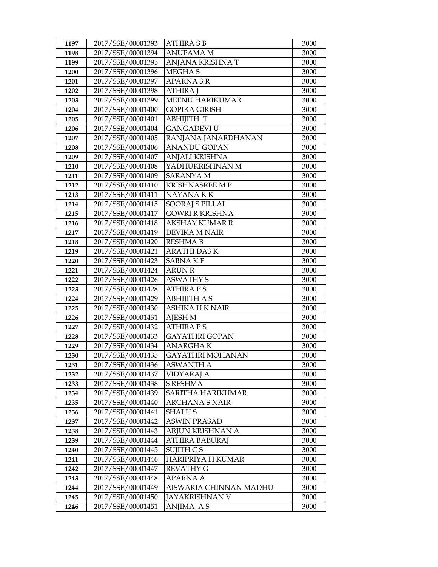| 1197         | 2017/SSE/00001393                      | <b>ATHIRA S B</b>                        | 3000 |
|--------------|----------------------------------------|------------------------------------------|------|
| 1198         | 2017/SSE/00001394                      | <b>ANUPAMA M</b>                         | 3000 |
| 1199         | 2017/SSE/00001395                      | ANJANA KRISHNA T                         | 3000 |
| 1200         | 2017/SSE/00001396                      | MEGHA <sub>S</sub>                       | 3000 |
| 1201         | 2017/SSE/00001397                      | <b>APARNA S R</b>                        | 3000 |
| 1202         | 2017/SSE/00001398                      | <b>ATHIRA J</b>                          | 3000 |
| 1203         | 2017/SSE/00001399                      | <b>MEENU HARIKUMAR</b>                   | 3000 |
| 1204         | 2017/SSE/00001400                      | <b>GOPIKA GIRISH</b>                     | 3000 |
| 1205         | 2017/SSE/00001401                      | <b>ABHIJITH T</b>                        | 3000 |
| 1206         | 2017/SSE/00001404                      | <b>GANGADEVI U</b>                       | 3000 |
| 1207         | 2017/SSE/00001405                      | RANJANA JANARDHANAN                      | 3000 |
| 1208         | 2017/SSE/00001406                      | <b>ANANDU GOPAN</b>                      | 3000 |
| 1209         | 2017/SSE/00001407                      | <b>ANJALI KRISHNA</b>                    | 3000 |
| 1210         | 2017/SSE/00001408                      | YADHUKRISHNANM                           | 3000 |
| 1211         | 2017/SSE/00001409                      | <b>SARANYA M</b>                         | 3000 |
| 1212         | 2017/SSE/00001410                      | <b>KRISHNASREE MP</b>                    | 3000 |
| 1213         | 2017/SSE/00001411                      | NAYANA KK                                | 3000 |
| 1214         | 2017/SSE/00001415                      | <b>SOORAJ S PILLAI</b>                   | 3000 |
| 1215         | 2017/SSE/00001417                      | <b>GOWRI R KRISHNA</b>                   | 3000 |
| 1216         | 2017/SSE/00001418                      | AKSHAY KUMAR R                           | 3000 |
| 1217         | 2017/SSE/00001419                      | <b>DEVIKA M NAIR</b>                     | 3000 |
| 1218         | 2017/SSE/00001420                      | <b>RESHMA B</b>                          | 3000 |
| 1219         | 2017/SSE/00001421                      | <b>ARATHI DAS K</b>                      | 3000 |
| 1220         | 2017/SSE/00001423                      | <b>SABNAKP</b>                           | 3000 |
| 1221         | 2017/SSE/00001424                      | <b>ARUN R</b>                            | 3000 |
| 1222         | 2017/SSE/00001426                      | <b>ASWATHY S</b>                         | 3000 |
| 1223         | 2017/SSE/00001428                      | <b>ATHIRAPS</b>                          | 3000 |
| 1224         | 2017/SSE/00001429                      | <b>ABHIJITH A S</b>                      | 3000 |
| 1225         | 2017/SSE/00001430                      | ASHIKA U K NAIR                          | 3000 |
| 1226         | 2017/SSE/00001431                      | <b>AJESH M</b>                           | 3000 |
| 1227         | 2017/SSE/00001432                      | <b>ATHIRA PS</b>                         | 3000 |
| 1228         | 2017/SSE/00001433                      | GAYATHRI GOPAN                           | 3000 |
| 1229         | 2017/SSE/00001434                      | <b>ANARGHAK</b>                          | 3000 |
| 1230         | 2017/SSE/00001435                      | <b>GAYATHRI MOHANAN</b>                  | 3000 |
| 1231         | 2017/SSE/00001436                      | ASWANTH A                                | 3000 |
| 1232         | 2017/SSE/00001437                      | VIDYARAJ A                               | 3000 |
| 1233         | 2017/SSE/00001438                      | <b>S RESHMA</b>                          | 3000 |
| 1234         | 2017/SSE/00001439                      | SARITHA HARIKUMAR                        | 3000 |
| 1235         | 2017/SSE/00001440                      | <b>ARCHANA S NAIR</b>                    | 3000 |
| 1236         | 2017/SSE/00001441                      | <b>SHALUS</b>                            | 3000 |
| 1237         | 2017/SSE/00001442                      | <b>ASWIN PRASAD</b>                      | 3000 |
| 1238         | 2017/SSE/00001443                      | ARJUN KRISHNAN A                         | 3000 |
| 1239         | 2017/SSE/00001444                      | <b>ATHIRA BABURAJ</b>                    | 3000 |
| 1240         | 2017/SSE/00001445                      | SUJITH CS                                | 3000 |
| 1241         | 2017/SSE/00001446                      | HARIPRIYA H KUMAR                        | 3000 |
| 1242         | 2017/SSE/00001447                      | REVATHY G                                | 3000 |
| 1243         | 2017/SSE/00001448<br>2017/SSE/00001449 | APARNA A                                 | 3000 |
| 1244<br>1245 | 2017/SSE/00001450                      | AISWARIA CHINNAN MADHU<br>JAYAKRISHNAN V | 3000 |
|              |                                        |                                          | 3000 |
| 1246         | 2017/SSE/00001451                      | ANJIMA AS                                | 3000 |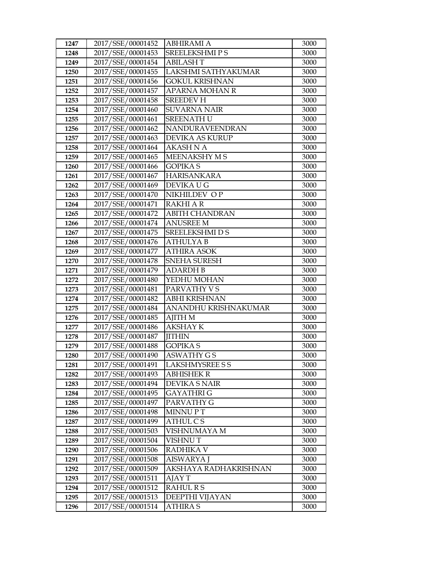| 1247 | 2017/SSE/00001452 | ABHIRAMI A             | 3000 |
|------|-------------------|------------------------|------|
| 1248 | 2017/SSE/00001453 | <b>SREELEKSHMIPS</b>   | 3000 |
| 1249 | 2017/SSE/00001454 | <b>ABILASHT</b>        | 3000 |
| 1250 | 2017/SSE/00001455 | LAKSHMI SATHYAKUMAR    | 3000 |
| 1251 | 2017/SSE/00001456 | <b>GOKUL KRISHNAN</b>  | 3000 |
| 1252 | 2017/SSE/00001457 | <b>APARNA MOHAN R</b>  | 3000 |
| 1253 | 2017/SSE/00001458 | <b>SREEDEV H</b>       | 3000 |
| 1254 | 2017/SSE/00001460 | <b>SUVARNA NAIR</b>    | 3000 |
| 1255 | 2017/SSE/00001461 | <b>SREENATH U</b>      | 3000 |
| 1256 | 2017/SSE/00001462 | NANDURAVEENDRAN        | 3000 |
| 1257 | 2017/SSE/00001463 | <b>DEVIKA AS KURUP</b> | 3000 |
| 1258 | 2017/SSE/00001464 | AKASH N A              | 3000 |
| 1259 | 2017/SSE/00001465 | MEENAKSHY M S          | 3000 |
| 1260 | 2017/SSE/00001466 | <b>GOPIKA S</b>        | 3000 |
| 1261 | 2017/SSE/00001467 | <b>HARISANKARA</b>     | 3000 |
| 1262 | 2017/SSE/00001469 | DEVIKA U G             | 3000 |
| 1263 | 2017/SSE/00001470 | NIKHILDEV OP           | 3000 |
| 1264 | 2017/SSE/00001471 | <b>RAKHI A R</b>       | 3000 |
| 1265 | 2017/SSE/00001472 | <b>ABITH CHANDRAN</b>  | 3000 |
| 1266 | 2017/SSE/00001474 | <b>ANUSREE M</b>       | 3000 |
| 1267 | 2017/SSE/00001475 | <b>SREELEKSHMI D S</b> | 3000 |
| 1268 | 2017/SSE/00001476 | <b>ATHULYAB</b>        | 3000 |
| 1269 | 2017/SSE/00001477 | <b>ATHIRA ASOK</b>     | 3000 |
| 1270 | 2017/SSE/00001478 | <b>SNEHA SURESH</b>    | 3000 |
| 1271 | 2017/SSE/00001479 | <b>ADARDH B</b>        | 3000 |
| 1272 | 2017/SSE/00001480 | YEDHU MOHAN            | 3000 |
| 1273 | 2017/SSE/00001481 | PARVATHY VS            | 3000 |
| 1274 | 2017/SSE/00001482 | <b>ABHI KRISHNAN</b>   | 3000 |
| 1275 | 2017/SSE/00001484 | ANANDHU KRISHNAKUMAR   | 3000 |
| 1276 | 2017/SSE/00001485 | <b>AJITH M</b>         | 3000 |
| 1277 | 2017/SSE/00001486 | <b>AKSHAY K</b>        | 3000 |
| 1278 | 2017/SSE/00001487 | <b>JITHIN</b>          | 3000 |
| 1279 | 2017/SSE/00001488 | <b>GOPIKA S</b>        | 3000 |
| 1280 | 2017/SSE/00001490 | <b>ASWATHY GS</b>      | 3000 |
| 1281 | 2017/SSE/00001491 | LAKSHMYSREE S S        | 3000 |
| 1282 | 2017/SSE/00001493 | ABHISHEK R             | 3000 |
| 1283 | 2017/SSE/00001494 | <b>DEVIKA S NAIR</b>   | 3000 |
| 1284 | 2017/SSE/00001495 | <b>GAYATHRI G</b>      | 3000 |
| 1285 | 2017/SSE/00001497 | PARVATHY G             | 3000 |
| 1286 | 2017/SSE/00001498 | <b>MINNUPT</b>         | 3000 |
| 1287 | 2017/SSE/00001499 | <b>ATHUL CS</b>        | 3000 |
| 1288 | 2017/SSE/00001503 | VISHNUMAYA M           | 3000 |
| 1289 | 2017/SSE/00001504 | VISHNU T               | 3000 |
| 1290 | 2017/SSE/00001506 | <b>RADHIKA V</b>       | 3000 |
| 1291 | 2017/SSE/00001508 | AISWARYA J             | 3000 |
| 1292 | 2017/SSE/00001509 | AKSHAYA RADHAKRISHNAN  | 3000 |
| 1293 | 2017/SSE/00001511 | AJAY T                 | 3000 |
| 1294 | 2017/SSE/00001512 | <b>RAHUL R S</b>       | 3000 |
| 1295 | 2017/SSE/00001513 | DEEPTHI VIJAYAN        | 3000 |
| 1296 | 2017/SSE/00001514 | <b>ATHIRA S</b>        | 3000 |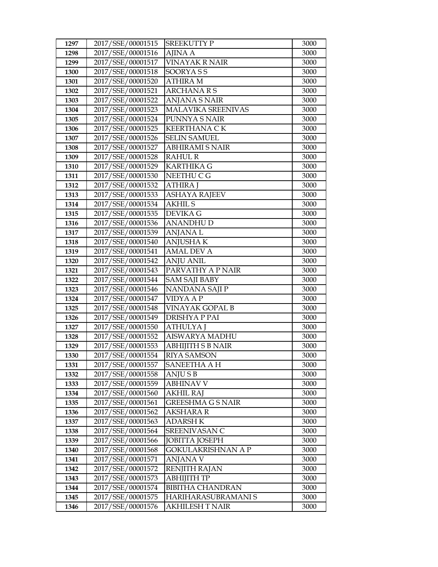| 1297         | 2017/SSE/00001515                      | SREEKUTTY P                          | 3000         |
|--------------|----------------------------------------|--------------------------------------|--------------|
| 1298         | 2017/SSE/00001516                      | <b>AJINA A</b>                       | 3000         |
| 1299         | 2017/SSE/00001517                      | <b>VINAYAK R NAIR</b>                | 3000         |
| 1300         | 2017/SSE/00001518                      | SOORYASS                             | 3000         |
| 1301         | 2017/SSE/00001520                      | ATHIRA M                             | 3000         |
| 1302         | 2017/SSE/00001521                      | <b>ARCHANARS</b>                     | 3000         |
| 1303         | 2017/SSE/00001522                      | <b>ANJANA S NAIR</b>                 | 3000         |
| 1304         | 2017/SSE/00001523                      | MALAVIKA SREENIVAS                   | 3000         |
| 1305         | 2017/SSE/00001524                      | PUNNYA S NAIR                        | 3000         |
| 1306         | 2017/SSE/00001525                      | <b>KEERTHANA CK</b>                  | 3000         |
| 1307         | 2017/SSE/00001526                      | <b>SELIN SAMUEL</b>                  | 3000         |
| 1308         | 2017/SSE/00001527                      | <b>ABHIRAMI S NAIR</b>               | 3000         |
| 1309         | 2017/SSE/00001528                      | <b>RAHUL R</b>                       | 3000         |
| 1310         | 2017/SSE/00001529                      | <b>KARTHIKA G</b>                    | 3000         |
| 1311         | 2017/SSE/00001530                      | NEETHU C G                           | 3000         |
| 1312         | 2017/SSE/00001532                      | ATHIRA J                             | 3000         |
| 1313         | 2017/SSE/00001533                      | <b>ASHAYA RAJEEV</b>                 | 3000         |
| 1314         | 2017/SSE/00001534                      | <b>AKHIL S</b>                       | 3000         |
| 1315         | 2017/SSE/00001535                      | <b>DEVIKA G</b>                      | 3000         |
| 1316         | 2017/SSE/00001536                      | ANANDHU D                            | 3000         |
| 1317         | 2017/SSE/00001539                      | ANJANA L                             | 3000         |
| 1318         | 2017/SSE/00001540                      | <b>ANJUSHAK</b>                      | 3000         |
| 1319         | 2017/SSE/00001541                      | <b>AMAL DEV A</b>                    | 3000         |
| 1320         | 2017/SSE/00001542                      | <b>ANJU ANIL</b>                     | 3000         |
| 1321         | 2017/SSE/00001543                      | PARVATHY A P NAIR                    | 3000         |
| 1322         | 2017/SSE/00001544                      | <b>SAM SAJI BABY</b>                 | 3000         |
| 1323         | 2017/SSE/00001546                      | NANDANA SAJI P                       | 3000         |
| 1324         | 2017/SSE/00001547                      | <b>VIDYA A P</b>                     | 3000         |
| 1325         | 2017/SSE/00001548                      | VINAYAK GOPAL B                      | 3000         |
| 1326         | 2017/SSE/00001549                      | DRISHYA P PAI                        | 3000         |
| 1327         | 2017/SSE/00001550                      | ATHULYA J                            | 3000         |
| 1328         | 2017/SSE/00001552                      | AISWARYA MADHU                       | 3000         |
| 1329         | 2017/SSE/00001553                      | <b>ABHIJITH S B NAIR</b>             | 3000         |
| 1330         | 2017/SSE/00001554                      | <b>RIYA SAMSON</b>                   | 3000         |
| 1331         | 2017/SSE/00001557                      | SANEETHA A H                         | 3000         |
| 1332         | 2017/SSE/00001558                      | ANJU S B                             | 3000         |
| 1333<br>1334 | 2017/SSE/00001559<br>2017/SSE/00001560 | <b>ABHINAV V</b><br><b>AKHIL RAJ</b> | 3000<br>3000 |
| 1335         | 2017/SSE/00001561                      | <b>GREESHMA G S NAIR</b>             | 3000         |
| 1336         | 2017/SSE/00001562                      | AKSHARA R                            | 3000         |
| 1337         | 2017/SSE/00001563                      | ADARSH K                             | 3000         |
| 1338         | 2017/SSE/00001564                      | SREENIVASAN C                        | 3000         |
| 1339         | 2017/SSE/00001566                      | <b>JOBITTA JOSEPH</b>                | 3000         |
| 1340         | 2017/SSE/00001568                      | <b>GOKULAKRISHNAN A P</b>            | 3000         |
| 1341         | 2017/SSE/00001571                      | ANJANA V                             | 3000         |
| 1342         | 2017/SSE/00001572                      | <b>RENJITH RAJAN</b>                 | 3000         |
| 1343         | 2017/SSE/00001573                      | АВНІЈІТН ТР                          | 3000         |
| 1344         | 2017/SSE/00001574                      | <b>BIBITHA CHANDRAN</b>              | 3000         |
| 1345         | 2017/SSE/00001575                      | HARIHARASUBRAMANI S                  | 3000         |
| 1346         | 2017/SSE/00001576                      | AKHILESH T NAIR                      | 3000         |
|              |                                        |                                      |              |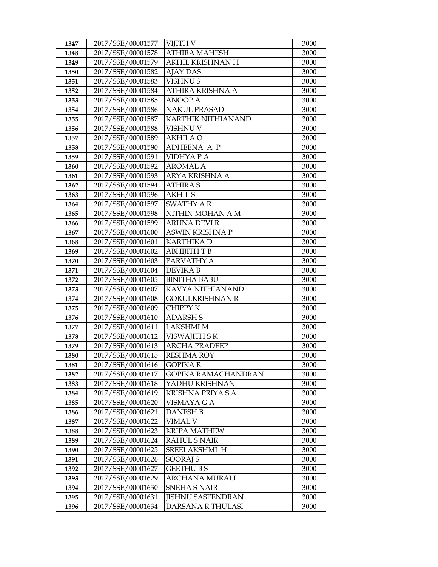| 1347 | 2017/SSE/00001577 | VIJITH V                  | 3000 |
|------|-------------------|---------------------------|------|
| 1348 | 2017/SSE/00001578 | <b>ATHIRA MAHESH</b>      | 3000 |
| 1349 | 2017/SSE/00001579 | AKHIL KRISHNAN H          | 3000 |
| 1350 | 2017/SSE/00001582 | <b>AJAY DAS</b>           | 3000 |
| 1351 | 2017/SSE/00001583 | <b>VISHNU S</b>           | 3000 |
| 1352 | 2017/SSE/00001584 | ATHIRA KRISHNA A          | 3000 |
| 1353 | 2017/SSE/00001585 | ANOOP A                   | 3000 |
| 1354 | 2017/SSE/00001586 | <b>NAKUL PRASAD</b>       | 3000 |
| 1355 | 2017/SSE/00001587 | <b>KARTHIK NITHIANAND</b> | 3000 |
| 1356 | 2017/SSE/00001588 | VISHNU V                  | 3000 |
| 1357 | 2017/SSE/00001589 | AKHILA O                  | 3000 |
| 1358 | 2017/SSE/00001590 | <b>ADHEENA A P</b>        | 3000 |
| 1359 | 2017/SSE/00001591 | VIDHYA P A                | 3000 |
| 1360 | 2017/SSE/00001592 | <b>AROMAL A</b>           | 3000 |
| 1361 | 2017/SSE/00001593 | ARYA KRISHNA A            | 3000 |
| 1362 | 2017/SSE/00001594 | <b>ATHIRA S</b>           | 3000 |
| 1363 | 2017/SSE/00001596 | <b>AKHIL S</b>            | 3000 |
| 1364 | 2017/SSE/00001597 | <b>SWATHY AR</b>          | 3000 |
| 1365 | 2017/SSE/00001598 | NITHIN MOHAN A M          | 3000 |
| 1366 | 2017/SSE/00001599 | <b>ARUNA DEVI R</b>       | 3000 |
| 1367 | 2017/SSE/00001600 | ASWIN KRISHNA P           | 3000 |
| 1368 | 2017/SSE/00001601 | <b>KARTHIKA D</b>         | 3000 |
| 1369 | 2017/SSE/00001602 | АВНІЈІТН Т В              | 3000 |
| 1370 | 2017/SSE/00001603 | PARVATHY A                | 3000 |
| 1371 | 2017/SSE/00001604 | DEVIKA B                  | 3000 |
| 1372 | 2017/SSE/00001605 | <b>BINITHA BABU</b>       | 3000 |
| 1373 | 2017/SSE/00001607 | KAVYA NITHIANAND          | 3000 |
| 1374 | 2017/SSE/00001608 | <b>GOKULKRISHNAN R</b>    | 3000 |
| 1375 | 2017/SSE/00001609 | <b>CHIPPY K</b>           | 3000 |
| 1376 | 2017/SSE/00001610 | <b>ADARSH S</b>           | 3000 |
| 1377 | 2017/SSE/00001611 | <b>LAKSHMI M</b>          | 3000 |
| 1378 | 2017/SSE/00001612 | VISWAJITH SK              | 3000 |
| 1379 | 2017/SSE/00001613 | <b>ARCHA PRADEEP</b>      | 3000 |
| 1380 | 2017/SSE/00001615 | <b>RESHMA ROY</b>         | 3000 |
| 1381 | 2017/SSE/00001616 | <b>GOPIKAR</b>            | 3000 |
| 1382 | 2017/SSE/00001617 | GOPIKA RAMACHANDRAN       | 3000 |
| 1383 | 2017/SSE/00001618 | YADHU KRISHNAN            | 3000 |
| 1384 | 2017/SSE/00001619 | KRISHNA PRIYA SA          | 3000 |
| 1385 | 2017/SSE/00001620 | VISMAYA G A               | 3000 |
| 1386 | 2017/SSE/00001621 | <b>DANESH B</b>           | 3000 |
| 1387 | 2017/SSE/00001622 | VIMAL V                   | 3000 |
| 1388 | 2017/SSE/00001623 | <b>KRIPA MATHEW</b>       | 3000 |
| 1389 | 2017/SSE/00001624 | <b>RAHUL S NAIR</b>       | 3000 |
| 1390 | 2017/SSE/00001625 | SREELAKSHMI H             | 3000 |
| 1391 | 2017/SSE/00001626 | SOORAJ S                  | 3000 |
| 1392 | 2017/SSE/00001627 | <b>GEETHU B S</b>         | 3000 |
| 1393 | 2017/SSE/00001629 | ARCHANA MURALI            | 3000 |
| 1394 | 2017/SSE/00001630 | <b>SNEHA S NAIR</b>       | 3000 |
| 1395 | 2017/SSE/00001631 | <b>JISHNU SASEENDRAN</b>  | 3000 |
| 1396 | 2017/SSE/00001634 | DARSANA R THULASI         | 3000 |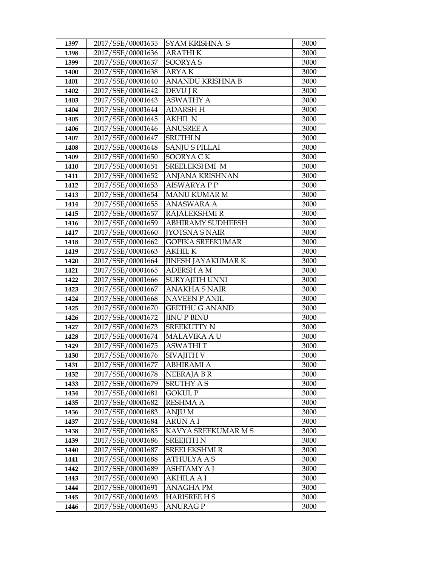| 1397         | 2017/SSE/00001635                      | SYAM KRISHNA S                       | 3000         |
|--------------|----------------------------------------|--------------------------------------|--------------|
| 1398         | 2017/SSE/00001636                      | <b>ARATHIK</b>                       | 3000         |
| 1399         | 2017/SSE/00001637                      | <b>SOORYAS</b>                       | 3000         |
| 1400         | 2017/SSE/00001638                      | ARYA K                               | 3000         |
| 1401         | 2017/SSE/00001640                      | ANANDU KRISHNA B                     | 3000         |
| 1402         | 2017/SSE/00001642                      | <b>DEVU J R</b>                      | 3000         |
| 1403         | 2017/SSE/00001643                      | <b>ASWATHY A</b>                     | 3000         |
| 1404         | 2017/SSE/00001644                      | <b>ADARSH H</b>                      | 3000         |
| 1405         | 2017/SSE/00001645                      | <b>AKHIL N</b>                       | 3000         |
| 1406         | 2017/SSE/00001646                      | <b>ANUSREE A</b>                     | 3000         |
| 1407         | 2017/SSE/00001647                      | <b>SRUTHIN</b>                       | 3000         |
| 1408         | 2017/SSE/00001648                      | <b>SANJU S PILLAI</b>                | 3000         |
| 1409         | 2017/SSE/00001650                      | SOORYA CK                            | 3000         |
| 1410         | 2017/SSE/00001651                      | SREELEKSHMI M                        | 3000         |
| 1411         | 2017/SSE/00001652                      | ANJANA KRISHNAN                      | 3000         |
| 1412         | 2017/SSE/00001653                      | <b>AISWARYA P P</b>                  | 3000         |
| 1413         | 2017/SSE/00001654                      | <b>MANU KUMAR M</b>                  | 3000         |
| 1414         | 2017/SSE/00001655                      | <b>ANASWARA A</b>                    | 3000         |
| 1415         | 2017/SSE/00001657                      | <b>RAJALEKSHMI R</b>                 | 3000         |
| 1416         | 2017/SSE/00001659                      | <b>ABHIRAMY SUDHEESH</b>             | 3000         |
| 1417         | 2017/SSE/00001660                      | <b>[YOTSNA S NAIR</b>                | 3000         |
| 1418         | 2017/SSE/00001662                      | GOPIKA SREEKUMAR                     | 3000         |
| 1419         | 2017/SSE/00001663                      | <b>AKHIL K</b>                       | 3000         |
| 1420         | 2017/SSE/00001664                      | <b>JINESH JAYAKUMAR K</b>            | 3000         |
| 1421         | 2017/SSE/00001665                      | <b>ADERSH A M</b>                    | 3000         |
| 1422         | 2017/SSE/00001666                      | SURYAJITH UNNI                       | 3000         |
| 1423         | 2017/SSE/00001667                      | ANAKHA S NAIR                        | 3000         |
| 1424         | 2017/SSE/00001668                      | <b>NAVEEN P ANIL</b>                 | 3000         |
| 1425         | 2017/SSE/00001670                      | <b>GEETHU G ANAND</b>                | 3000         |
| 1426         | 2017/SSE/00001672                      | <b>JINUP BINU</b>                    | 3000         |
| 1427         | 2017/SSE/00001673                      | <b>SREEKUTTY N</b>                   | 3000         |
| 1428         | 2017/SSE/00001674<br>2017/SSE/00001675 | <b>MALAVIKA A U</b>                  | 3000         |
| 1429<br>1430 | 2017/SSE/00001676                      | <b>ASWATHIT</b><br><b>SIVAJITH V</b> | 3000<br>3000 |
| 1431         | 2017/SSE/00001677                      | ABHIRAMI A                           | 3000         |
| 1432         | 2017/SSE/00001678                      | <b>NEERAJABR</b>                     | 3000         |
| 1433         | 2017/SSE/00001679                      | SRUTHY A S                           | 3000         |
| 1434         | 2017/SSE/00001681                      | GOKUL P                              | 3000         |
| 1435         | 2017/SSE/00001682                      | <b>RESHMA A</b>                      | 3000         |
| 1436         | 2017/SSE/00001683                      | ANJU M                               | 3000         |
| 1437         | 2017/SSE/00001684                      | ARUN A I                             | 3000         |
| 1438         | 2017/SSE/00001685                      | KAVYA SREEKUMAR M S                  | 3000         |
| 1439         | 2017/SSE/00001686                      | <b>SREEJITH N</b>                    | 3000         |
| 1440         | 2017/SSE/00001687                      | <b>SREELEKSHMIR</b>                  | 3000         |
| 1441         | 2017/SSE/00001688                      | ATHULYA A S                          | 3000         |
| 1442         | 2017/SSE/00001689                      | ASHTAMY A J                          | 3000         |
| 1443         | 2017/SSE/00001690                      | <b>AKHILA A I</b>                    | 3000         |
| 1444         | 2017/SSE/00001691                      | ANAGHA PM                            | 3000         |
| 1445         | 2017/SSE/00001693                      | <b>HARISREE H S</b>                  | 3000         |
| 1446         | 2017/SSE/00001695                      | ANURAG P                             | 3000         |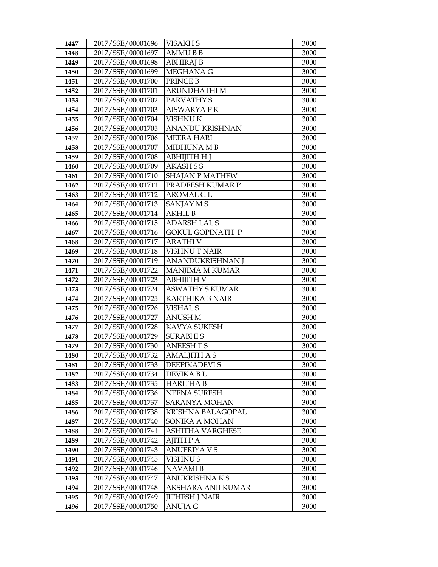| 1447         | 2017/SSE/00001696                      | VISAKH S                         | 3000         |
|--------------|----------------------------------------|----------------------------------|--------------|
| 1448         | 2017/SSE/00001697                      | <b>AMMUBB</b>                    | 3000         |
| 1449         | 2017/SSE/00001698                      | <b>ABHIRAJ B</b>                 | 3000         |
| 1450         | 2017/SSE/00001699                      | MEGHANA G                        | 3000         |
| 1451         | 2017/SSE/00001700                      | PRINCE B                         | 3000         |
| 1452         | 2017/SSE/00001701                      | ARUNDHATHI M                     | 3000         |
| 1453         | 2017/SSE/00001702                      | PARVATHY S                       | 3000         |
| 1454         | 2017/SSE/00001703                      | <b>AISWARYAPR</b>                | 3000         |
| 1455         | 2017/SSE/00001704                      | <b>VISHNUK</b>                   | 3000         |
| 1456         | 2017/SSE/00001705                      | ANANDU KRISHNAN                  | 3000         |
| 1457         | 2017/SSE/00001706                      | <b>MEERA HARI</b>                | 3000         |
| 1458         | 2017/SSE/00001707                      | <b>MIDHUNA MB</b>                | 3000         |
| 1459         | 2017/SSE/00001708                      | АВНІЈІТН Н Ј                     | 3000         |
| 1460         | 2017/SSE/00001709                      | <b>AKASH S S</b>                 | 3000         |
| 1461         | 2017/SSE/00001710                      | <b>SHAJAN P MATHEW</b>           | 3000         |
| 1462         | 2017/SSE/00001711                      | PRADEESH KUMAR P                 | 3000         |
| 1463         | 2017/SSE/00001712                      | <b>AROMAL G L</b>                | 3000         |
| 1464         | 2017/SSE/00001713                      | SANJAY M S                       | 3000         |
| 1465         | 2017/SSE/00001714                      | <b>AKHIL B</b>                   | 3000         |
| 1466         | 2017/SSE/00001715                      | <b>ADARSH LAL S</b>              | 3000         |
| 1467         | 2017/SSE/00001716                      | <b>GOKUL GOPINATH P</b>          | 3000         |
| 1468         | 2017/SSE/00001717                      | <b>ARATHI V</b>                  | 3000         |
| 1469         | 2017/SSE/00001718                      | <b>VISHNUT NAIR</b>              | 3000         |
| 1470         | 2017/SSE/00001719                      | ANANDUKRISHNAN J                 | 3000         |
| 1471         | 2017/SSE/00001722                      | MANJIMA M KUMAR                  | 3000         |
| 1472         | 2017/SSE/00001723                      | ABHIJITH V                       | 3000         |
| 1473         | 2017/SSE/00001724                      | <b>ASWATHY S KUMAR</b>           | 3000         |
| 1474         | 2017/SSE/00001725                      | <b>KARTHIKA B NAIR</b>           | 3000         |
| 1475         | 2017/SSE/00001726                      | VISHAL S                         | 3000         |
| 1476         | 2017/SSE/00001727                      | <b>ANUSH M</b>                   | 3000         |
| 1477         | 2017/SSE/00001728                      | <b>KAVYA SUKESH</b>              | 3000         |
| 1478         | 2017/SSE/00001729                      | <b>SURABHIS</b>                  | 3000         |
| 1479         | 2017/SSE/00001730                      | <b>ANEESHTS</b>                  | 3000         |
| 1480         | 2017/SSE/00001732                      | <b>AMALJITH A S</b>              | 3000         |
| 1481         | 2017/SSE/00001733                      | DEEPIKADEVI S                    | 3000         |
| 1482         | 2017/SSE/00001734                      | DEVIKA BL                        | 3000         |
| 1483         | 2017/SSE/00001735                      | <b>HARITHA B</b>                 | 3000         |
| 1484         | 2017/SSE/00001736                      | <b>NEENA SURESH</b>              | 3000         |
| 1485         | 2017/SSE/00001737                      | SARANYA MOHAN                    | 3000         |
| 1486         | 2017/SSE/00001738                      | KRISHNA BALAGOPAL                | 3000         |
| 1487         | 2017/SSE/00001740                      | SONIKA A MOHAN                   | 3000         |
| 1488         | 2017/SSE/00001741                      | ASHITHA VARGHESE                 | 3000         |
| 1489<br>1490 | 2017/SSE/00001742<br>2017/SSE/00001743 | AJITH P A<br><b>ANUPRIYA V S</b> | 3000<br>3000 |
|              | 2017/SSE/00001745                      |                                  |              |
| 1491<br>1492 | 2017/SSE/00001746                      | <b>VISHNU S</b>                  | 3000<br>3000 |
|              | 2017/SSE/00001747                      | NAVAMI B<br>ANUKRISHNA K S       | 3000         |
| 1493<br>1494 | 2017/SSE/00001748                      | AKSHARA ANILKUMAR                | 3000         |
| 1495         | 2017/SSE/00001749                      | <b>JITHESH J NAIR</b>            | 3000         |
|              | 2017/SSE/00001750                      | ANUJA G                          | 3000         |
| 1496         |                                        |                                  |              |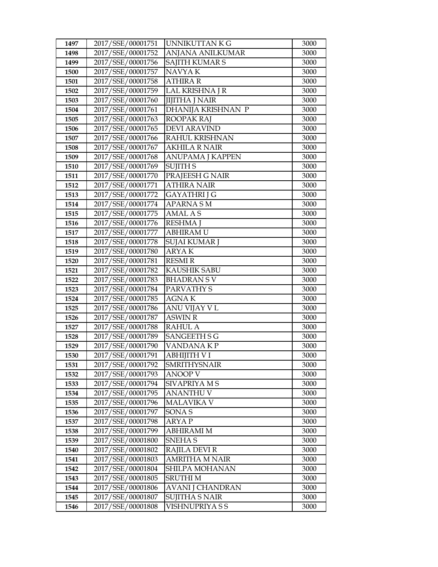| 1497 | 2017/SSE/00001751 | UNNIKUTTAN K G          | 3000 |
|------|-------------------|-------------------------|------|
| 1498 | 2017/SSE/00001752 | <b>ANJANA ANILKUMAR</b> | 3000 |
| 1499 | 2017/SSE/00001756 | <b>SAJITH KUMAR S</b>   | 3000 |
| 1500 | 2017/SSE/00001757 | NAVYA K                 | 3000 |
| 1501 | 2017/SSE/00001758 | ATHIRA R                | 3000 |
| 1502 | 2017/SSE/00001759 | LAL KRISHNA J R         | 3000 |
| 1503 | 2017/SSE/00001760 | <b>JIJITHA J NAIR</b>   | 3000 |
| 1504 | 2017/SSE/00001761 | DHANIJA KRISHNAN P      | 3000 |
| 1505 | 2017/SSE/00001763 | <b>ROOPAK RAJ</b>       | 3000 |
| 1506 | 2017/SSE/00001765 | <b>DEVI ARAVIND</b>     | 3000 |
| 1507 | 2017/SSE/00001766 | RAHUL KRISHNAN          | 3000 |
| 1508 | 2017/SSE/00001767 | AKHILA R NAIR           | 3000 |
| 1509 | 2017/SSE/00001768 | ANUPAMA J KAPPEN        | 3000 |
| 1510 | 2017/SSE/00001769 | <b>SUJITH S</b>         | 3000 |
| 1511 | 2017/SSE/00001770 | PRAJEESH G NAIR         | 3000 |
| 1512 | 2017/SSE/00001771 | <b>ATHIRA NAIR</b>      | 3000 |
| 1513 | 2017/SSE/00001772 | GAYATHRI J G            | 3000 |
| 1514 | 2017/SSE/00001774 | <b>APARNA SM</b>        | 3000 |
| 1515 | 2017/SSE/00001775 | <b>AMAL AS</b>          | 3000 |
| 1516 | 2017/SSE/00001776 | <b>RESHMA J</b>         | 3000 |
| 1517 | 2017/SSE/00001777 | <b>ABHIRAMU</b>         | 3000 |
| 1518 | 2017/SSE/00001778 | <b>SUJAI KUMAR J</b>    | 3000 |
| 1519 | 2017/SSE/00001780 | ARYA K                  | 3000 |
| 1520 | 2017/SSE/00001781 | <b>RESMI R</b>          | 3000 |
| 1521 | 2017/SSE/00001782 | <b>KAUSHIK SABU</b>     | 3000 |
| 1522 | 2017/SSE/00001783 | <b>BHADRANSV</b>        | 3000 |
| 1523 | 2017/SSE/00001784 | PARVATHY S              | 3000 |
| 1524 | 2017/SSE/00001785 | <b>AGNAK</b>            | 3000 |
| 1525 | 2017/SSE/00001786 | ANU VIJAY V L           | 3000 |
| 1526 | 2017/SSE/00001787 | <b>ASWIN R</b>          | 3000 |
| 1527 | 2017/SSE/00001788 | <b>RAHUL A</b>          | 3000 |
| 1528 | 2017/SSE/00001789 | <b>SANGEETH S G</b>     | 3000 |
| 1529 | 2017/SSE/00001790 | VANDANA KP              | 3000 |
| 1530 | 2017/SSE/00001791 | ABHIJITH V I            | 3000 |
| 1531 | 2017/SSE/00001792 | <b>SMRITHYSNAIR</b>     | 3000 |
| 1532 | 2017/SSE/00001793 | ANOOP V                 | 3000 |
| 1533 | 2017/SSE/00001794 | SIVAPRIYA M S           | 3000 |
| 1534 | 2017/SSE/00001795 | <b>ANANTHU V</b>        | 3000 |
| 1535 | 2017/SSE/00001796 | <b>MALAVIKA V</b>       | 3000 |
| 1536 | 2017/SSE/00001797 | SONA <sub>S</sub>       | 3000 |
| 1537 | 2017/SSE/00001798 | ARYA P                  | 3000 |
| 1538 | 2017/SSE/00001799 | <b>ABHIRAMI M</b>       | 3000 |
| 1539 | 2017/SSE/00001800 | <b>SNEHAS</b>           | 3000 |
| 1540 | 2017/SSE/00001802 | <b>RAJILA DEVI R</b>    | 3000 |
| 1541 | 2017/SSE/00001803 | <b>AMRITHA M NAIR</b>   | 3000 |
| 1542 | 2017/SSE/00001804 | SHILPA MOHANAN          | 3000 |
| 1543 | 2017/SSE/00001805 | SRUTHI M                | 3000 |
| 1544 | 2017/SSE/00001806 | <b>AVANI J CHANDRAN</b> | 3000 |
| 1545 | 2017/SSE/00001807 | <b>SUJITHA S NAIR</b>   | 3000 |
| 1546 | 2017/SSE/00001808 | VISHNUPRIYA S S         | 3000 |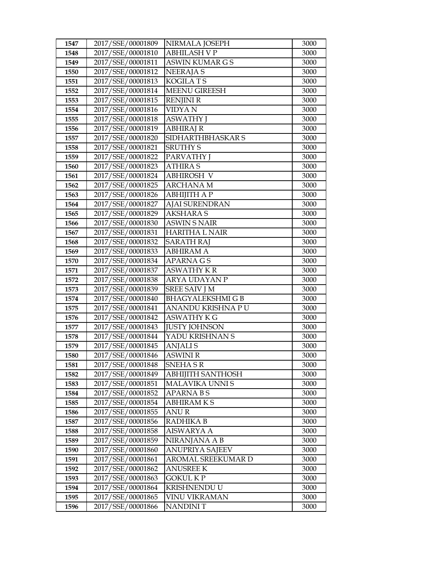| 1547 | 2017/SSE/00001809 | NIRMALA JOSEPH           | 3000 |
|------|-------------------|--------------------------|------|
| 1548 | 2017/SSE/00001810 | <b>ABHILASH V P</b>      | 3000 |
| 1549 | 2017/SSE/00001811 | <b>ASWIN KUMAR G S</b>   | 3000 |
| 1550 | 2017/SSE/00001812 | <b>NEERAJAS</b>          | 3000 |
| 1551 | 2017/SSE/00001813 | <b>KOGILATS</b>          | 3000 |
| 1552 | 2017/SSE/00001814 | <b>MEENU GIREESH</b>     | 3000 |
| 1553 | 2017/SSE/00001815 | <b>RENJINI R</b>         | 3000 |
| 1554 | 2017/SSE/00001816 | VIDYA N                  | 3000 |
| 1555 | 2017/SSE/00001818 | <b>ASWATHY J</b>         | 3000 |
| 1556 | 2017/SSE/00001819 | ABHIRAJ R                | 3000 |
| 1557 | 2017/SSE/00001820 | SIDHARTHBHASKAR S        | 3000 |
| 1558 | 2017/SSE/00001821 | <b>SRUTHY S</b>          | 3000 |
| 1559 | 2017/SSE/00001822 | <b>PARVATHY J</b>        | 3000 |
| 1560 | 2017/SSE/00001823 | <b>ATHIRA S</b>          | 3000 |
| 1561 | 2017/SSE/00001824 | <b>ABHIROSH V</b>        | 3000 |
| 1562 | 2017/SSE/00001825 | <b>ARCHANA M</b>         | 3000 |
| 1563 | 2017/SSE/00001826 | <b>ABHIJITH A P</b>      | 3000 |
| 1564 | 2017/SSE/00001827 | <b>AJAI SURENDRAN</b>    | 3000 |
| 1565 | 2017/SSE/00001829 | <b>AKSHARAS</b>          | 3000 |
| 1566 | 2017/SSE/00001830 | <b>ASWIN S NAIR</b>      | 3000 |
| 1567 | 2017/SSE/00001831 | <b>HARITHA L NAIR</b>    | 3000 |
| 1568 | 2017/SSE/00001832 | <b>SARATH RAJ</b>        | 3000 |
| 1569 | 2017/SSE/00001833 | <b>ABHIRAM A</b>         | 3000 |
| 1570 | 2017/SSE/00001834 | <b>APARNAGS</b>          | 3000 |
| 1571 | 2017/SSE/00001837 | <b>ASWATHY K R</b>       | 3000 |
| 1572 | 2017/SSE/00001838 | ARYA UDAYAN P            | 3000 |
| 1573 | 2017/SSE/00001839 | <b>SREE SAIV J M</b>     | 3000 |
| 1574 | 2017/SSE/00001840 | <b>BHAGYALEKSHMIGB</b>   | 3000 |
| 1575 | 2017/SSE/00001841 | ANANDU KRISHNA P U       | 3000 |
| 1576 | 2017/SSE/00001842 | <b>ASWATHY K G</b>       | 3000 |
| 1577 | 2017/SSE/00001843 | <b>JUSTY JOHNSON</b>     | 3000 |
| 1578 | 2017/SSE/00001844 | YADU KRISHNAN S          | 3000 |
| 1579 | 2017/SSE/00001845 | <b>ANJALIS</b>           | 3000 |
| 1580 | 2017/SSE/00001846 | ASWINI R                 | 3000 |
| 1581 | 2017/SSE/00001848 | <b>SNEHASR</b>           | 3000 |
| 1582 | 2017/SSE/00001849 | <b>ABHIJITH SANTHOSH</b> | 3000 |
| 1583 | 2017/SSE/00001851 | MALAVIKA UNNI S          | 3000 |
| 1584 | 2017/SSE/00001852 | <b>APARNABS</b>          | 3000 |
| 1585 | 2017/SSE/00001854 | <b>ABHIRAMKS</b>         | 3000 |
| 1586 | 2017/SSE/00001855 | <b>ANUR</b>              | 3000 |
| 1587 | 2017/SSE/00001856 | RADHIKA B                | 3000 |
| 1588 | 2017/SSE/00001858 | <b>AISWARYA A</b>        | 3000 |
| 1589 | 2017/SSE/00001859 | NIRANJANA A B            | 3000 |
| 1590 | 2017/SSE/00001860 | <b>ANUPRIYA SAJEEV</b>   | 3000 |
| 1591 | 2017/SSE/00001861 | AROMAL SREEKUMAR D       | 3000 |
| 1592 | 2017/SSE/00001862 | ANUSREE K                | 3000 |
| 1593 | 2017/SSE/00001863 | GOKUL K P                | 3000 |
| 1594 | 2017/SSE/00001864 | KRISHNENDU U             | 3000 |
| 1595 | 2017/SSE/00001865 | <b>VINU VIKRAMAN</b>     | 3000 |
| 1596 | 2017/SSE/00001866 | NANDINI T                | 3000 |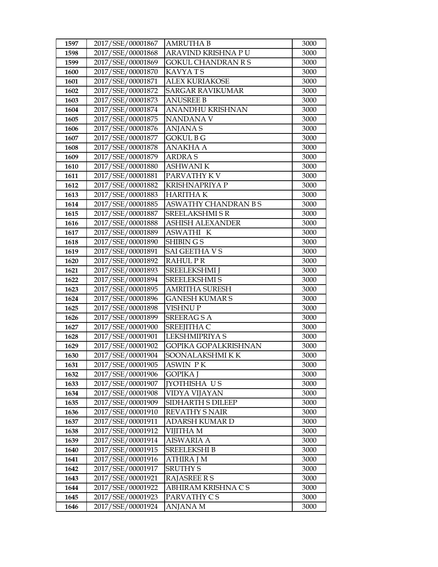| 1597         | 2017/SSE/00001867                      | <b>AMRUTHA B</b>                  | 3000         |
|--------------|----------------------------------------|-----------------------------------|--------------|
| 1598         | 2017/SSE/00001868                      | ARAVIND KRISHNA P U               | 3000         |
| 1599         | 2017/SSE/00001869                      | <b>GOKUL CHANDRAN R S</b>         | 3000         |
| 1600         | 2017/SSE/00001870                      | <b>KAVYATS</b>                    | 3000         |
| 1601         | 2017/SSE/00001871                      | <b>ALEX KURIAKOSE</b>             | 3000         |
| 1602         | 2017/SSE/00001872                      | <b>SARGAR RAVIKUMAR</b>           | 3000         |
| 1603         | 2017/SSE/00001873                      | <b>ANUSREE B</b>                  | 3000         |
| 1604         | 2017/SSE/00001874                      | ANANDHU KRISHNAN                  | 3000         |
| 1605         | 2017/SSE/00001875                      | <b>NANDANA V</b>                  | 3000         |
| 1606         | 2017/SSE/00001876                      | <b>ANJANAS</b>                    | 3000         |
| 1607         | 2017/SSE/00001877                      | <b>GOKUL B G</b>                  | 3000         |
| 1608         | 2017/SSE/00001878                      | <b>ANAKHA A</b>                   | 3000         |
| 1609         | 2017/SSE/00001879                      | <b>ARDRAS</b>                     | 3000         |
| 1610         | 2017/SSE/00001880                      | <b>ASHWANIK</b>                   | 3000         |
| 1611         | 2017/SSE/00001881                      | PARVATHY KV                       | 3000         |
| 1612         | 2017/SSE/00001882                      | <b>KRISHNAPRIYA P</b>             | 3000         |
| 1613         | 2017/SSE/00001883                      | <b>HARITHAK</b>                   | 3000         |
| 1614         | 2017/SSE/00001885                      | <b>ASWATHY CHANDRAN B S</b>       | 3000         |
| 1615         | 2017/SSE/00001887                      | <b>SREELAKSHMI S R</b>            | 3000         |
| 1616         | 2017/SSE/00001888                      | <b>ASHISH ALEXANDER</b>           | 3000         |
| 1617         | 2017/SSE/00001889                      | <b>ASWATHI K</b>                  | 3000         |
| 1618         | 2017/SSE/00001890                      | SHIBIN G S                        | 3000         |
| 1619         | 2017/SSE/00001891                      | <b>SAI GEETHA V S</b>             | 3000         |
| 1620         | 2017/SSE/00001892                      | <b>RAHULPR</b>                    | 3000         |
| 1621         | 2017/SSE/00001893                      | <b>SREELEKSHMI J</b>              | 3000         |
| 1622         | 2017/SSE/00001894                      | <b>SREELEKSHMI S</b>              | 3000         |
| 1623         | 2017/SSE/00001895                      | <b>AMRITHA SURESH</b>             | 3000         |
| 1624         | 2017/SSE/00001896                      | <b>GANESH KUMAR S</b>             | 3000         |
| 1625         | 2017/SSE/00001898                      | <b>VISHNUP</b>                    | 3000         |
| 1626         | 2017/SSE/00001899                      | <b>SREERAGSA</b>                  | 3000         |
| 1627         | 2017/SSE/00001900                      | SREEJITHA C                       | 3000         |
| 1628         | 2017/SSE/00001901                      | LEKSHMIPRIYA S                    | 3000         |
| 1629         | 2017/SSE/00001902                      | GOPIKA GOPALKRISHNAN              | 3000         |
| 1630         | 2017/SSE/00001904                      | SOONALAKSHMIKK                    | 3000         |
| 1631         | 2017/SSE/00001905                      | ASWIN PK                          | 3000         |
| 1632         | 2017/SSE/00001906                      | <b>GOPIKA J</b>                   | 3000         |
| 1633         | 2017/SSE/00001907                      | <b>IYOTHISHA US</b>               | 3000         |
| 1634         | 2017/SSE/00001908                      | <b>VIDYA VIJAYAN</b>              | 3000         |
| 1635         | 2017/SSE/00001909                      | SIDHARTH S DILEEP                 | 3000         |
| 1636         | 2017/SSE/00001910                      | <b>REVATHY S NAIR</b>             | 3000         |
| 1637         | 2017/SSE/00001911                      | ADARSH KUMAR D                    | 3000         |
| 1638         | 2017/SSE/00001912                      | VIJITHA M                         | 3000         |
| 1639         | 2017/SSE/00001914<br>2017/SSE/00001915 | <b>AISWARIA A</b>                 | 3000         |
| 1640         |                                        | <b>SREELEKSHI B</b>               | 3000         |
| 1641         | 2017/SSE/00001916                      | ATHIRA J M                        | 3000         |
| 1642         | 2017/SSE/00001917<br>2017/SSE/00001921 | <b>SRUTHY S</b>                   | 3000         |
| 1643         |                                        | <b>RAJASREE RS</b>                | 3000         |
| 1644<br>1645 | 2017/SSE/00001922<br>2017/SSE/00001923 | ABHIRAM KRISHNA CS<br>PARVATHY CS | 3000<br>3000 |
|              |                                        |                                   |              |
| 1646         | 2017/SSE/00001924                      | ANJANA M                          | 3000         |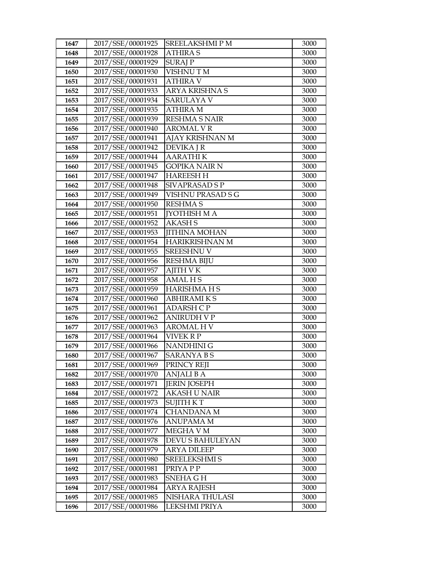| 1647         | 2017/SSE/00001925                      | SREELAKSHMIPM                    | 3000         |
|--------------|----------------------------------------|----------------------------------|--------------|
| 1648         | 2017/SSE/00001928                      | <b>ATHIRA S</b>                  | 3000         |
| 1649         | 2017/SSE/00001929                      | <b>SURAJ P</b>                   | 3000         |
| 1650         | 2017/SSE/00001930                      | VISHNU TM                        | 3000         |
| 1651         | 2017/SSE/00001931                      | <b>ATHIRA V</b>                  | 3000         |
| 1652         | 2017/SSE/00001933                      | ARYA KRISHNA S                   | 3000         |
| 1653         | 2017/SSE/00001934                      | SARULAYA V                       | 3000         |
| 1654         | 2017/SSE/00001935                      | <b>ATHIRA M</b>                  | 3000         |
| 1655         | 2017/SSE/00001939                      | <b>RESHMA S NAIR</b>             | 3000         |
| 1656         | 2017/SSE/00001940                      | <b>AROMAL V R</b>                | 3000         |
| 1657         | 2017/SSE/00001941                      | AJAY KRISHNAN M                  | 3000         |
| 1658         | 2017/SSE/00001942                      | <b>DEVIKA J R</b>                | 3000         |
| 1659         | 2017/SSE/00001944                      | <b>AARATHIK</b>                  | 3000         |
| 1660         | 2017/SSE/00001945                      | <b>GOPIKA NAIR N</b>             | 3000         |
| 1661         | 2017/SSE/00001947                      | <b>HAREESH H</b>                 | 3000         |
| 1662         | 2017/SSE/00001948                      | SIVAPRASAD S P                   | 3000         |
| 1663         | 2017/SSE/00001949                      | VISHNU PRASAD S G                | 3000         |
| 1664         | 2017/SSE/00001950                      | <b>RESHMA S</b>                  | 3000         |
| 1665         | 2017/SSE/00001951                      | <b>IYOTHISH MA</b>               | 3000         |
| 1666         | 2017/SSE/00001952                      | <b>AKASH S</b>                   | 3000         |
| 1667         | 2017/SSE/00001953                      | <b>JITHINA MOHAN</b>             | 3000         |
| 1668         | 2017/SSE/00001954                      | <b>HARIKRISHNAN M</b>            | 3000         |
| 1669         | 2017/SSE/00001955                      | <b>SREESHNU V</b>                | 3000         |
| 1670         | 2017/SSE/00001956                      | <b>RESHMA BIJU</b>               | 3000         |
| 1671         | 2017/SSE/00001957                      | <b>AJITH V K</b>                 | 3000         |
| 1672         | 2017/SSE/00001958                      | <b>AMALHS</b>                    | 3000         |
| 1673         | 2017/SSE/00001959                      | <b>HARISHMAHS</b>                | 3000         |
| 1674         | 2017/SSE/00001960                      | <b>ABHIRAMIKS</b>                | 3000         |
| 1675         | 2017/SSE/00001961                      | <b>ADARSH CP</b>                 | 3000         |
| 1676         | 2017/SSE/00001962                      | <b>ANIRUDH V P</b>               | 3000         |
| 1677         | 2017/SSE/00001963                      | AROMAL H V                       | 3000         |
| 1678         | 2017/SSE/00001964                      | VIVEK R P                        | 3000         |
| 1679         | 2017/SSE/00001966<br>2017/SSE/00001967 | <b>NANDHINI G</b>                | 3000         |
| 1680         |                                        | <b>SARANYA B S</b>               | 3000<br>3000 |
| 1681         | 2017/SSE/00001969<br>2017/SSE/00001970 | PRINCY REJI<br><b>ANJALI B A</b> | 3000         |
| 1682<br>1683 | 2017/SSE/00001971                      | <b>JERIN JOSEPH</b>              | 3000         |
| 1684         | 2017/SSE/00001972                      | <b>AKASH U NAIR</b>              | 3000         |
| 1685         | 2017/SSE/00001973                      | SUJITH K T                       | 3000         |
| 1686         | 2017/SSE/00001974                      | <b>CHANDANA M</b>                | 3000         |
| 1687         | 2017/SSE/00001976                      | ANUPAMA M                        | 3000         |
| 1688         | 2017/SSE/00001977                      | MEGHA V M                        | 3000         |
| 1689         | 2017/SSE/00001978                      | DEVU S BAHULEYAN                 | 3000         |
| 1690         | 2017/SSE/00001979                      | <b>ARYA DILEEP</b>               | 3000         |
| 1691         | 2017/SSE/00001980                      | SREELEKSHMI S                    | 3000         |
| 1692         | 2017/SSE/00001981                      | PRIYA P P                        | 3000         |
| 1693         | 2017/SSE/00001983                      | SNEHA G H                        | 3000         |
| 1694         | 2017/SSE/00001984                      | ARYA RAJESH                      | 3000         |
| 1695         | 2017/SSE/00001985                      | NISHARA THULASI                  | 3000         |
| 1696         | 2017/SSE/00001986                      | LEKSHMI PRIYA                    | 3000         |
|              |                                        |                                  |              |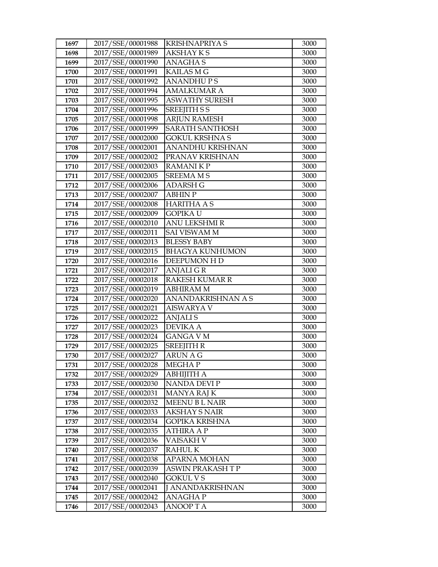| 1697         | 2017/SSE/00001988                      | <b>KRISHNAPRIYA S</b>             | 3000         |
|--------------|----------------------------------------|-----------------------------------|--------------|
| 1698         | 2017/SSE/00001989                      | <b>AKSHAY KS</b>                  | 3000         |
| 1699         | 2017/SSE/00001990                      | <b>ANAGHAS</b>                    | 3000         |
| 1700         | 2017/SSE/00001991                      | <b>KAILAS M G</b>                 | 3000         |
| 1701         | 2017/SSE/00001992                      | <b>ANANDHUPS</b>                  | 3000         |
| 1702         | 2017/SSE/00001994                      | AMALKUMAR A                       | 3000         |
| 1703         | 2017/SSE/00001995                      | <b>ASWATHY SURESH</b>             | 3000         |
| 1704         | 2017/SSE/00001996                      | <b>SREEJITH S S</b>               | 3000         |
| 1705         | 2017/SSE/00001998                      | <b>ARJUN RAMESH</b>               | 3000         |
| 1706         | 2017/SSE/00001999                      | <b>SARATH SANTHOSH</b>            | 3000         |
| 1707         | 2017/SSE/00002000                      | GOKUL KRSHNA S                    | 3000         |
| 1708         | 2017/SSE/00002001                      | ANANDHU KRISHNAN                  | 3000         |
| 1709         | 2017/SSE/00002002                      | PRANAV KRISHNAN                   | 3000         |
| 1710         | 2017/SSE/00002003                      | <b>RAMANIKP</b>                   | 3000         |
| 1711         | 2017/SSE/00002005                      | <b>SREEMA MS</b>                  | 3000         |
| 1712         | 2017/SSE/00002006                      | <b>ADARSH G</b>                   | 3000         |
| 1713         | 2017/SSE/00002007                      | <b>ABHIN P</b>                    | 3000         |
| 1714         | 2017/SSE/00002008                      | <b>HARITHA A S</b>                | 3000         |
| 1715         | 2017/SSE/00002009                      | <b>GOPIKA U</b>                   | 3000         |
| 1716         | 2017/SSE/00002010                      | <b>ANU LEKSHMI R</b>              | 3000         |
| 1717         | 2017/SSE/00002011                      | <b>SAI VISWAM M</b>               | 3000         |
| 1718         | 2017/SSE/00002013                      | <b>BLESSY BABY</b>                | 3000         |
| 1719         | 2017/SSE/00002015                      | <b>BHAGYA KUNHUMON</b>            | 3000         |
| 1720         | 2017/SSE/00002016                      | DEEPUMON H D                      | 3000         |
| 1721         | 2017/SSE/00002017                      | <b>ANJALIGR</b>                   | 3000         |
| 1722         | 2017/SSE/00002018                      | <b>RAKESH KUMAR R</b>             | 3000         |
| 1723         | 2017/SSE/00002019                      | ABHIRAM M                         | 3000         |
| 1724         | 2017/SSE/00002020                      | ANANDAKRISHNAN A S                | 3000         |
| 1725         | 2017/SSE/00002021                      | <b>AISWARYA V</b>                 | 3000         |
| 1726         | 2017/SSE/00002022                      | <b>ANJALIS</b>                    | 3000         |
| 1727         | 2017/SSE/00002023                      | <b>DEVIKA A</b>                   | 3000         |
| 1728         | 2017/SSE/00002024                      | <b>GANGA V M</b>                  | 3000         |
| 1729         | 2017/SSE/00002025                      | <b>SREEJITH R</b>                 | 3000         |
| 1730         | 2017/SSE/00002027                      | <b>ARUN A G</b>                   | 3000         |
| 1731         | 2017/SSE/00002028<br>2017/SSE/00002029 | <b>MEGHAP</b>                     | 3000         |
| 1732         | 2017/SSE/00002030                      | <b>ABHIJITH A</b><br>NANDA DEVI P | 3000         |
| 1733<br>1734 | 2017/SSE/00002031                      | <b>MANYA RAJ K</b>                | 3000<br>3000 |
| 1735         | 2017/SSE/00002032                      | <b>MEENU BL NAIR</b>              | 3000         |
| 1736         | 2017/SSE/00002033                      | AKSHAY S NAIR                     | 3000         |
| 1737         | 2017/SSE/00002034                      | GOPIKA KRISHNA                    | 3000         |
| 1738         | 2017/SSE/00002035                      | ATHIRA A P                        | 3000         |
| 1739         | 2017/SSE/00002036                      | VAISAKH V                         | 3000         |
| 1740         | 2017/SSE/00002037                      | <b>RAHULK</b>                     | 3000         |
| 1741         | 2017/SSE/00002038                      | <b>APARNA MOHAN</b>               | 3000         |
| 1742         | 2017/SSE/00002039                      | ASWIN PRAKASH T P                 | 3000         |
| 1743         | 2017/SSE/00002040                      | GOKUL V S                         | 3000         |
| 1744         | 2017/SSE/00002041                      | J ANANDAKRISHNAN                  | 3000         |
| 1745         | 2017/SSE/00002042                      | ANAGHA P                          | 3000         |
| 1746         | 2017/SSE/00002043                      | <b>ANOOPTA</b>                    | 3000         |
|              |                                        |                                   |              |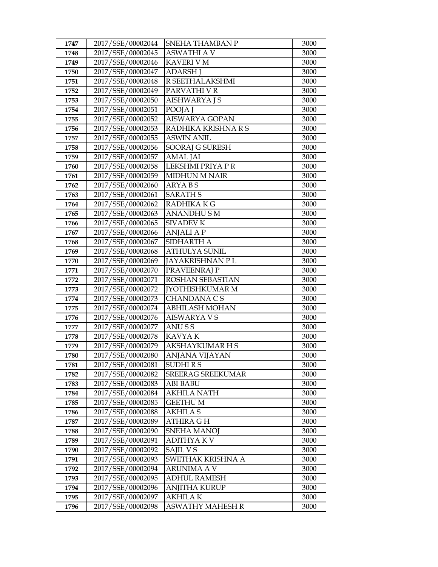| 1747         | 2017/SSE/00002044                      | SNEHA THAMBAN P                | 3000         |
|--------------|----------------------------------------|--------------------------------|--------------|
| 1748         | 2017/SSE/00002045                      | <b>ASWATHI A V</b>             | 3000         |
| 1749         | 2017/SSE/00002046                      | <b>KAVERI V M</b>              | 3000         |
| 1750         | 2017/SSE/00002047                      | <b>ADARSH J</b>                | 3000         |
| 1751         | 2017/SSE/00002048                      | R SEETHALAKSHMI                | 3000         |
| 1752         | 2017/SSE/00002049                      | PARVATHI V R                   | 3000         |
| 1753         | 2017/SSE/00002050                      | AISHWARYA J S                  | 3000         |
| 1754         | 2017/SSE/00002051                      | POOJA J                        | 3000         |
| 1755         | 2017/SSE/00002052                      | <b>AISWARYA GOPAN</b>          | 3000         |
| 1756         | 2017/SSE/00002053                      | RADHIKA KRISHNA R S            | 3000         |
| 1757         | 2017/SSE/00002055                      | <b>ASWIN ANIL</b>              | 3000         |
| 1758         | 2017/SSE/00002056                      | <b>SOORAJ G SURESH</b>         | 3000         |
| 1759         | 2017/SSE/00002057                      | <b>AMAL JAI</b>                | 3000         |
| 1760         | 2017/SSE/00002058                      | LEKSHMI PRIYA PR               | 3000         |
| 1761         | 2017/SSE/00002059                      | <b>MIDHUN M NAIR</b>           | 3000         |
| 1762         | 2017/SSE/00002060                      | ARYA B S                       | 3000         |
| 1763         | 2017/SSE/00002061                      | <b>SARATH S</b>                | 3000         |
| 1764         | 2017/SSE/00002062                      | RADHIKA K G                    | 3000         |
| 1765         | 2017/SSE/00002063                      | <b>ANANDHUSM</b>               | 3000         |
| 1766         | 2017/SSE/00002065                      | <b>SIVADEV K</b>               | 3000         |
| 1767         | 2017/SSE/00002066                      | <b>ANJALI A P</b>              | 3000         |
| 1768         | 2017/SSE/00002067                      | SIDHARTH A                     | 3000         |
| 1769         | 2017/SSE/00002068                      | <b>ATHULYA SUNIL</b>           | 3000         |
| 1770         | 2017/SSE/00002069                      | JAYAKRISHNAN PL                | 3000         |
| 1771         | 2017/SSE/00002070                      | PRAVEENRAJ P                   | 3000         |
| 1772         | 2017/SSE/00002071                      | ROSHAN SEBASTIAN               | 3000         |
| 1773         | 2017/SSE/00002072                      | <b>[YOTHISHKUMAR M</b>         | 3000         |
| 1774         | 2017/SSE/00002073                      | CHANDANA C S                   | 3000         |
| 1775         | 2017/SSE/00002074                      | <b>ABHILASH MOHAN</b>          | 3000         |
| 1776         | 2017/SSE/00002076                      | <b>AISWARYA V S</b>            | 3000         |
| 1777         | 2017/SSE/00002077                      | ANU S S                        | 3000         |
| 1778         | 2017/SSE/00002078                      | <b>KAVYAK</b>                  | 3000         |
| 1779         | 2017/SSE/00002079                      | <b>AKSHAYKUMAR H S</b>         | 3000         |
| 1780         | 2017/SSE/00002080                      | ANJANA VIJAYAN                 | 3000         |
| 1781         | 2017/SSE/00002081                      | <b>SUDHIRS</b>                 | 3000         |
| 1782         | 2017/SSE/00002082                      | <b>SREERAG SREEKUMAR</b>       | 3000         |
| 1783<br>1784 | 2017/SSE/00002083<br>2017/SSE/00002084 | ABI BABU<br><b>AKHILA NATH</b> | 3000         |
| 1785         | 2017/SSE/00002085                      | <b>GEETHUM</b>                 | 3000<br>3000 |
| 1786         | 2017/SSE/00002088                      | AKHILA S                       | 3000         |
| 1787         | 2017/SSE/00002089                      | ATHIRA G H                     | 3000         |
| 1788         | 2017/SSE/00002090                      | <b>SNEHA MANOJ</b>             | 3000         |
| 1789         | 2017/SSE/00002091                      | <b>ADITHYAKV</b>               | 3000         |
| 1790         | 2017/SSE/00002092                      | SAJIL V S                      | 3000         |
| 1791         | 2017/SSE/00002093                      | SWETHAK KRISHNA A              | 3000         |
| 1792         | 2017/SSE/00002094                      | ARUNIMA A V                    | 3000         |
| 1793         | 2017/SSE/00002095                      | ADHUL RAMESH                   | 3000         |
| 1794         | 2017/SSE/00002096                      | <b>ANJITHA KURUP</b>           | 3000         |
| 1795         | 2017/SSE/00002097                      | AKHILA K                       | 3000         |
| 1796         | 2017/SSE/00002098                      | ASWATHY MAHESH R               | 3000         |
|              |                                        |                                |              |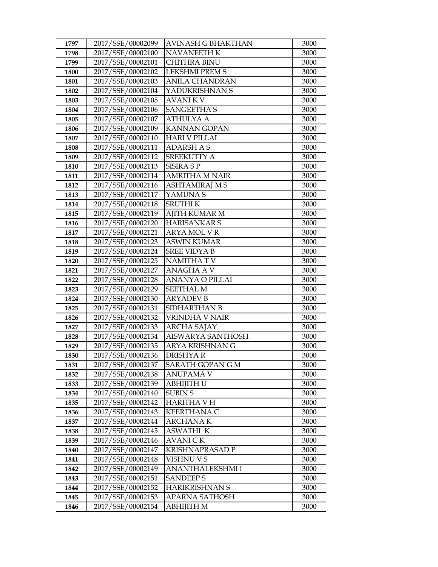| 1797 | 2017/SSE/00002099 | AVINASH G BHAKTHAN       | 3000 |
|------|-------------------|--------------------------|------|
| 1798 | 2017/SSE/00002100 | <b>NAVANEETH K</b>       | 3000 |
| 1799 | 2017/SSE/00002101 | <b>CHITHRA BINU</b>      | 3000 |
| 1800 | 2017/SSE/00002102 | <b>LEKSHMI PREM S</b>    | 3000 |
| 1801 | 2017/SSE/00002103 | <b>ANILA CHANDRAN</b>    | 3000 |
| 1802 | 2017/SSE/00002104 | YADUKRISHNAN S           | 3000 |
| 1803 | 2017/SSE/00002105 | <b>AVANIKV</b>           | 3000 |
| 1804 | 2017/SSE/00002106 | <b>SANGEETHA S</b>       | 3000 |
| 1805 | 2017/SSE/00002107 | <b>ATHULYA A</b>         | 3000 |
| 1806 | 2017/SSE/00002109 | <b>KANNAN GOPAN</b>      | 3000 |
| 1807 | 2017/SSE/00002110 | <b>HARI V PILLAI</b>     | 3000 |
| 1808 | 2017/SSE/00002111 | <b>ADARSH AS</b>         | 3000 |
| 1809 | 2017/SSE/00002112 | <b>SREEKUTTY A</b>       | 3000 |
| 1810 | 2017/SSE/00002113 | <b>SISIRA SP</b>         | 3000 |
| 1811 | 2017/SSE/00002114 | <b>AMRITHA M NAIR</b>    | 3000 |
| 1812 | 2017/SSE/00002116 | ASHTAMIRAJ M S           | 3000 |
| 1813 | 2017/SSE/00002117 | YAMUNA S                 | 3000 |
| 1814 | 2017/SSE/00002118 | <b>SRUTHIK</b>           | 3000 |
| 1815 | 2017/SSE/00002119 | <b>AJITH KUMAR M</b>     | 3000 |
| 1816 | 2017/SSE/00002120 | <b>HARISANKAR S</b>      | 3000 |
| 1817 | 2017/SSE/00002121 | <b>ARYA MOL V R</b>      | 3000 |
| 1818 | 2017/SSE/00002123 | <b>ASWIN KUMAR</b>       | 3000 |
| 1819 | 2017/SSE/00002124 | <b>SREE VIDYA B</b>      | 3000 |
| 1820 | 2017/SSE/00002125 | <b>NAMITHATV</b>         | 3000 |
| 1821 | 2017/SSE/00002127 | <b>ANAGHA A V</b>        | 3000 |
| 1822 | 2017/SSE/00002128 | ANANYA O PILLAI          | 3000 |
| 1823 | 2017/SSE/00002129 | <b>SEETHAL M</b>         | 3000 |
| 1824 | 2017/SSE/00002130 | <b>ARYADEV B</b>         | 3000 |
| 1825 | 2017/SSE/00002131 | SIDHARTHAN B             | 3000 |
| 1826 | 2017/SSE/00002132 | VRINDHA V NAIR           | 3000 |
| 1827 | 2017/SSE/00002133 | ARCHA SAJAY              | 3000 |
| 1828 | 2017/SSE/00002134 | <b>AISWARYA SANTHOSH</b> | 3000 |
| 1829 | 2017/SSE/00002135 | ARYA KRISHNAN G          | 3000 |
| 1830 | 2017/SSE/00002136 | <b>DRISHYAR</b>          | 3000 |
| 1831 | 2017/SSE/00002137 | SARATH GOPAN G M         | 3000 |
| 1832 | 2017/SSE/00002138 | ANUPAMA V                | 3000 |
| 1833 | 2017/SSE/00002139 | ABHIJITH U               | 3000 |
| 1834 | 2017/SSE/00002140 | <b>SUBIN S</b>           | 3000 |
| 1835 | 2017/SSE/00002142 | <b>HARITHA V H</b>       | 3000 |
| 1836 | 2017/SSE/00002143 | <b>KEERTHANA C</b>       | 3000 |
| 1837 | 2017/SSE/00002144 | <b>ARCHANAK</b>          | 3000 |
| 1838 | 2017/SSE/00002145 | <b>ASWATHI K</b>         | 3000 |
| 1839 | 2017/SSE/00002146 | <b>AVANICK</b>           | 3000 |
| 1840 | 2017/SSE/00002147 | KRISHNAPRASAD P          | 3000 |
| 1841 | 2017/SSE/00002148 | VISHNU V S               | 3000 |
| 1842 | 2017/SSE/00002149 | ANANTHALEKSHMI I         | 3000 |
| 1843 | 2017/SSE/00002151 | <b>SANDEEP S</b>         | 3000 |
| 1844 | 2017/SSE/00002152 | <b>HARIKRISHNAN S</b>    | 3000 |
| 1845 | 2017/SSE/00002153 | APARNA SATHOSH           | 3000 |
| 1846 | 2017/SSE/00002154 | ABHIJITH M               | 3000 |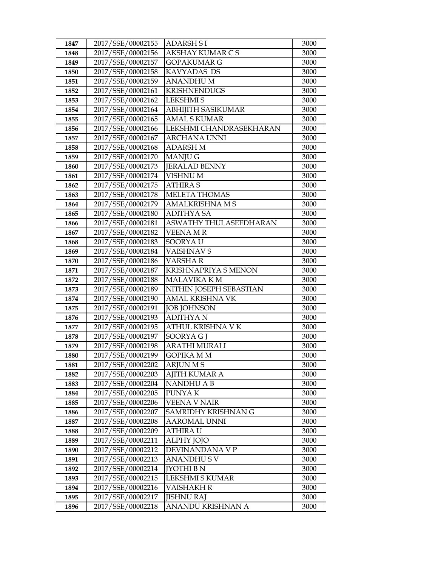| 1847 | 2017/SSE/00002155 | <b>ADARSH SI</b>          | 3000 |
|------|-------------------|---------------------------|------|
| 1848 | 2017/SSE/00002156 | AKSHAY KUMAR C S          | 3000 |
| 1849 | 2017/SSE/00002157 | <b>GOPAKUMAR G</b>        | 3000 |
| 1850 | 2017/SSE/00002158 | KAVYADAS DS               | 3000 |
| 1851 | 2017/SSE/00002159 | <b>ANANDHUM</b>           | 3000 |
| 1852 | 2017/SSE/00002161 | <b>KRISHNENDUGS</b>       | 3000 |
| 1853 | 2017/SSE/00002162 | <b>LEKSHMIS</b>           | 3000 |
| 1854 | 2017/SSE/00002164 | <b>ABHIJITH SASIKUMAR</b> | 3000 |
| 1855 | 2017/SSE/00002165 | <b>AMAL S KUMAR</b>       | 3000 |
| 1856 | 2017/SSE/00002166 | LEKSHMI CHANDRASEKHARAN   | 3000 |
| 1857 | 2017/SSE/00002167 | ARCHANA UNNI              | 3000 |
| 1858 | 2017/SSE/00002168 | <b>ADARSH M</b>           | 3000 |
| 1859 | 2017/SSE/00002170 | <b>MANJUG</b>             | 3000 |
| 1860 | 2017/SSE/00002173 | <b>JERALAD BENNY</b>      | 3000 |
| 1861 | 2017/SSE/00002174 | <b>VISHNU M</b>           | 3000 |
| 1862 | 2017/SSE/00002175 | <b>ATHIRA S</b>           | 3000 |
| 1863 | 2017/SSE/00002178 | <b>MELETA THOMAS</b>      | 3000 |
| 1864 | 2017/SSE/00002179 | <b>AMALKRISHNA M S</b>    | 3000 |
| 1865 | 2017/SSE/00002180 | <b>ADITHYA SA</b>         | 3000 |
| 1866 | 2017/SSE/00002181 | ASWATHY THULASEEDHARAN    | 3000 |
| 1867 | 2017/SSE/00002182 | <b>VEENAMR</b>            | 3000 |
| 1868 | 2017/SSE/00002183 | SOORYA U                  | 3000 |
| 1869 | 2017/SSE/00002184 | <b>VAISHNAVS</b>          | 3000 |
| 1870 | 2017/SSE/00002186 | <b>VARSHAR</b>            | 3000 |
| 1871 | 2017/SSE/00002187 | KRISHNAPRIYA S MENON      | 3000 |
| 1872 | 2017/SSE/00002188 | <b>MALAVIKA K M</b>       | 3000 |
| 1873 | 2017/SSE/00002189 | NITHIN JOSEPH SEBASTIAN   | 3000 |
| 1874 | 2017/SSE/00002190 | <b>AMAL KRISHNA VK</b>    | 3000 |
| 1875 | 2017/SSE/00002191 | <b>JOB JOHNSON</b>        | 3000 |
| 1876 | 2017/SSE/00002193 | <b>ADITHYAN</b>           | 3000 |
| 1877 | 2017/SSE/00002195 | ATHUL KRISHNA V K         | 3000 |
| 1878 | 2017/SSE/00002197 | SOORYA G J                | 3000 |
| 1879 | 2017/SSE/00002198 | <b>ARATHI MURALI</b>      | 3000 |
| 1880 | 2017/SSE/00002199 | GOPIKA M M                | 3000 |
| 1881 | 2017/SSE/00002202 | <b>ARJUN MS</b>           | 3000 |
| 1882 | 2017/SSE/00002203 | AJITH KUMAR A             | 3000 |
| 1883 | 2017/SSE/00002204 | NANDHU A B                | 3000 |
| 1884 | 2017/SSE/00002205 | PUNYA K                   | 3000 |
| 1885 | 2017/SSE/00002206 | VEENA V NAIR              | 3000 |
| 1886 | 2017/SSE/00002207 | SAMRIDHY KRISHNAN G       | 3000 |
| 1887 | 2017/SSE/00002208 | <b>AAROMAL UNNI</b>       | 3000 |
| 1888 | 2017/SSE/00002209 | ATHIRA U                  | 3000 |
| 1889 | 2017/SSE/00002211 | <b>ALPHY JOJO</b>         | 3000 |
| 1890 | 2017/SSE/00002212 | DEVINANDANA V P           | 3000 |
| 1891 | 2017/SSE/00002213 | ANANDHU S V               | 3000 |
| 1892 | 2017/SSE/00002214 | JYOTHI B N                | 3000 |
| 1893 | 2017/SSE/00002215 | LEKSHMI S KUMAR           | 3000 |
| 1894 | 2017/SSE/00002216 | VAISHAKH R                | 3000 |
| 1895 | 2017/SSE/00002217 | <b>JISHNU RAJ</b>         | 3000 |
| 1896 | 2017/SSE/00002218 | ANANDU KRISHNAN A         | 3000 |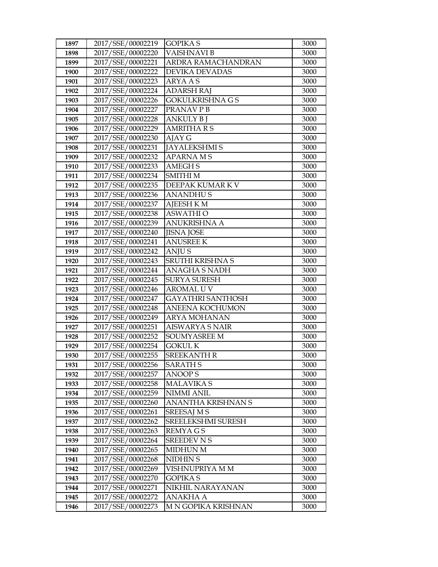| 1897 | 2017/SSE/00002219 | GOPIKA S                 | 3000 |
|------|-------------------|--------------------------|------|
| 1898 | 2017/SSE/00002220 | VAISHNAVI B              | 3000 |
| 1899 | 2017/SSE/00002221 | ARDRA RAMACHANDRAN       | 3000 |
| 1900 | 2017/SSE/00002222 | <b>DEVIKA DEVADAS</b>    | 3000 |
| 1901 | 2017/SSE/00002223 | ARYA A S                 | 3000 |
| 1902 | 2017/SSE/00002224 | <b>ADARSH RAJ</b>        | 3000 |
| 1903 | 2017/SSE/00002226 | GOKULKRISHNA G S         | 3000 |
| 1904 | 2017/SSE/00002227 | PRANAVPB                 | 3000 |
| 1905 | 2017/SSE/00002228 | <b>ANKULY B J</b>        | 3000 |
| 1906 | 2017/SSE/00002229 | <b>AMRITHA R S</b>       | 3000 |
| 1907 | 2017/SSE/00002230 | AJAY G                   | 3000 |
| 1908 | 2017/SSE/00002231 | <b>JAYALEKSHMIS</b>      | 3000 |
| 1909 | 2017/SSE/00002232 | <b>APARNAMS</b>          | 3000 |
| 1910 | 2017/SSE/00002233 | <b>AMEGHS</b>            | 3000 |
| 1911 | 2017/SSE/00002234 | <b>SMITHI M</b>          | 3000 |
| 1912 | 2017/SSE/00002235 | DEEPAK KUMAR K V         | 3000 |
| 1913 | 2017/SSE/00002236 | <b>ANANDHUS</b>          | 3000 |
| 1914 | 2017/SSE/00002237 | <b>AJEESH K M</b>        | 3000 |
| 1915 | 2017/SSE/00002238 | <b>ASWATHI O</b>         | 3000 |
| 1916 | 2017/SSE/00002239 | <b>ANUKRISHNA A</b>      | 3000 |
| 1917 | 2017/SSE/00002240 | <b>JISNA JOSE</b>        | 3000 |
| 1918 | 2017/SSE/00002241 | <b>ANUSREE K</b>         | 3000 |
| 1919 | 2017/SSE/00002242 | ANJU S                   | 3000 |
| 1920 | 2017/SSE/00002243 | SRUTHI KRISHNA S         | 3000 |
| 1921 | 2017/SSE/00002244 | ANAGHA S NADH            | 3000 |
| 1922 | 2017/SSE/00002245 | SURYA SURESH             | 3000 |
| 1923 | 2017/SSE/00002246 | AROMAL U V               | 3000 |
| 1924 | 2017/SSE/00002247 | <b>GAYATHRI SANTHOSH</b> | 3000 |
| 1925 | 2017/SSE/00002248 | <b>ANEENA KOCHUMON</b>   | 3000 |
| 1926 | 2017/SSE/00002249 | <b>ARYA MOHANAN</b>      | 3000 |
| 1927 | 2017/SSE/00002251 | <b>AISWARYA S NAIR</b>   | 3000 |
| 1928 | 2017/SSE/00002252 | <b>SOUMYASREE M</b>      | 3000 |
| 1929 | 2017/SSE/00002254 | <b>GOKUL K</b>           | 3000 |
| 1930 | 2017/SSE/00002255 | <b>SREEKANTH R</b>       | 3000 |
| 1931 | 2017/SSE/00002256 | <b>SARATH S</b>          | 3000 |
| 1932 | 2017/SSE/00002257 | <b>ANOOPS</b>            | 3000 |
| 1933 | 2017/SSE/00002258 | <b>MALAVIKA S</b>        | 3000 |
| 1934 | 2017/SSE/00002259 | <b>NIMMI ANIL</b>        | 3000 |
| 1935 | 2017/SSE/00002260 | ANANTHA KRISHNAN S       | 3000 |
| 1936 | 2017/SSE/00002261 | <b>SREESAJ M S</b>       | 3000 |
| 1937 | 2017/SSE/00002262 | SREELEKSHMI SURESH       | 3000 |
| 1938 | 2017/SSE/00002263 | REMYA G S                | 3000 |
| 1939 | 2017/SSE/00002264 | <b>SREEDEV N S</b>       | 3000 |
| 1940 | 2017/SSE/00002265 | <b>MIDHUN M</b>          | 3000 |
| 1941 | 2017/SSE/00002268 | NIDHIN S                 | 3000 |
| 1942 | 2017/SSE/00002269 | VISHNUPRIYA M M          | 3000 |
| 1943 | 2017/SSE/00002270 | GOPIKA S                 | 3000 |
| 1944 | 2017/SSE/00002271 | NIKHIL NARAYANAN         | 3000 |
| 1945 | 2017/SSE/00002272 | <b>ANAKHA A</b>          | 3000 |
| 1946 | 2017/SSE/00002273 | M N GOPIKA KRISHNAN      | 3000 |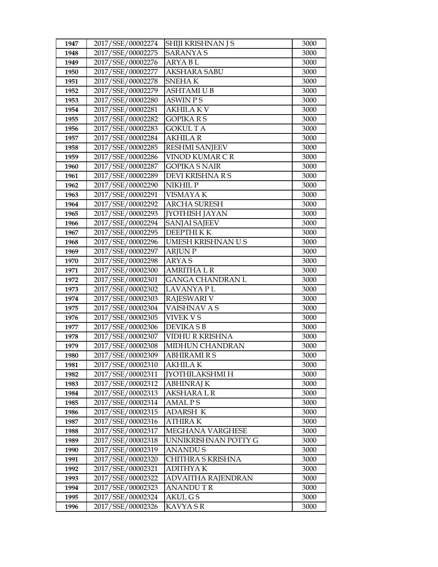| 1947 | 2017/SSE/00002274 | SHIJI KRISHNAN J S      | 3000 |
|------|-------------------|-------------------------|------|
| 1948 | 2017/SSE/00002275 | <b>SARANYA S</b>        | 3000 |
| 1949 | 2017/SSE/00002276 | <b>ARYABL</b>           | 3000 |
| 1950 | 2017/SSE/00002277 | <b>AKSHARA SABU</b>     | 3000 |
| 1951 | 2017/SSE/00002278 | SNEHA K                 | 3000 |
| 1952 | 2017/SSE/00002279 | <b>ASHTAMI U B</b>      | 3000 |
| 1953 | 2017/SSE/00002280 | ASWIN P S               | 3000 |
| 1954 | 2017/SSE/00002281 | <b>AKHILAKV</b>         | 3000 |
| 1955 | 2017/SSE/00002282 | <b>GOPIKARS</b>         | 3000 |
| 1956 | 2017/SSE/00002283 | <b>GOKUL TA</b>         | 3000 |
| 1957 | 2017/SSE/00002284 | <b>AKHILA R</b>         | 3000 |
| 1958 | 2017/SSE/00002285 | <b>RESHMI SANJEEV</b>   | 3000 |
| 1959 | 2017/SSE/00002286 | VINOD KUMAR CR          | 3000 |
| 1960 | 2017/SSE/00002287 | <b>GOPIKA S NAIR</b>    | 3000 |
| 1961 | 2017/SSE/00002289 | DEVI KRISHNA R S        | 3000 |
| 1962 | 2017/SSE/00002290 | NIKHIL P                | 3000 |
| 1963 | 2017/SSE/00002291 | VISMAYA K               | 3000 |
| 1964 | 2017/SSE/00002292 | <b>ARCHA SURESH</b>     | 3000 |
| 1965 | 2017/SSE/00002293 | <b>JYOTHISH JAYAN</b>   | 3000 |
| 1966 | 2017/SSE/00002294 | <b>SANJAI SAJEEV</b>    | 3000 |
| 1967 | 2017/SSE/00002295 | <b>DEEPTHIKK</b>        | 3000 |
| 1968 | 2017/SSE/00002296 | UMESH KRISHNAN U S      | 3000 |
| 1969 | 2017/SSE/00002297 | <b>ARJUN P</b>          | 3000 |
| 1970 | 2017/SSE/00002298 | <b>ARYAS</b>            | 3000 |
| 1971 | 2017/SSE/00002300 | <b>AMRITHA L R</b>      | 3000 |
| 1972 | 2017/SSE/00002301 | <b>GANGA CHANDRAN L</b> | 3000 |
| 1973 | 2017/SSE/00002302 | LAVANYA P L             | 3000 |
| 1974 | 2017/SSE/00002303 | <b>RAJESWARI V</b>      | 3000 |
| 1975 | 2017/SSE/00002304 | VAISHNAV A S            | 3000 |
| 1976 | 2017/SSE/00002305 | <b>VIVEK V S</b>        | 3000 |
| 1977 | 2017/SSE/00002306 | <b>DEVIKA S B</b>       | 3000 |
| 1978 | 2017/SSE/00002307 | VIDHU R KRISHNA         | 3000 |
| 1979 | 2017/SSE/00002308 | MIDHUN CHANDRAN         | 3000 |
| 1980 | 2017/SSE/00002309 | <b>ABHIRAMIRS</b>       | 3000 |
| 1981 | 2017/SSE/00002310 | AKHILA K                | 3000 |
| 1982 | 2017/SSE/00002311 | <b>[YOTHILAKSHMI H</b>  | 3000 |
| 1983 | 2017/SSE/00002312 | ABHINRAJ K              | 3000 |
| 1984 | 2017/SSE/00002313 | AKSHARA L R             | 3000 |
| 1985 | 2017/SSE/00002314 | <b>AMALPS</b>           | 3000 |
| 1986 | 2017/SSE/00002315 | <b>ADARSH K</b>         | 3000 |
| 1987 | 2017/SSE/00002316 | <b>ATHIRAK</b>          | 3000 |
| 1988 | 2017/SSE/00002317 | MEGHANA VARGHESE        | 3000 |
| 1989 | 2017/SSE/00002318 | UNNIKRISHNAN POTTY G    | 3000 |
| 1990 | 2017/SSE/00002319 | <b>ANANDUS</b>          | 3000 |
| 1991 | 2017/SSE/00002320 | CHITHRA S KRISHNA       | 3000 |
| 1992 | 2017/SSE/00002321 | <b>ADITHYAK</b>         | 3000 |
| 1993 | 2017/SSE/00002322 | ADVAITHA RAJENDRAN      | 3000 |
| 1994 | 2017/SSE/00002323 | <b>ANANDUTR</b>         | 3000 |
| 1995 | 2017/SSE/00002324 | AKUL G S                | 3000 |
| 1996 | 2017/SSE/00002326 | KAVYA S R               | 3000 |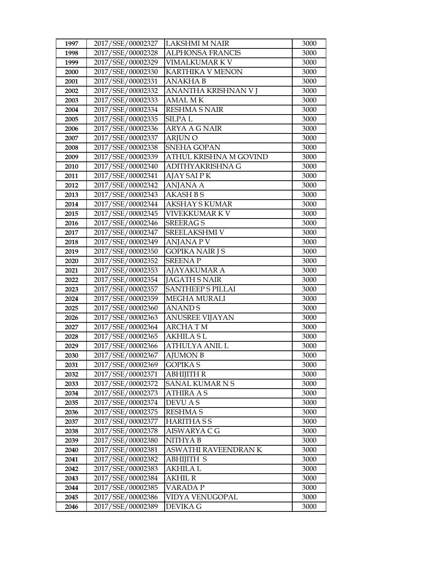| 1997 | 2017/SSE/00002327 | <b>LAKSHMI M NAIR</b>    | 3000 |
|------|-------------------|--------------------------|------|
| 1998 | 2017/SSE/00002328 | <b>ALPHONSA FRANCIS</b>  | 3000 |
| 1999 | 2017/SSE/00002329 | VIMALKUMAR K V           | 3000 |
| 2000 | 2017/SSE/00002330 | KARTHIKA V MENON         | 3000 |
| 2001 | 2017/SSE/00002331 | <b>ANAKHAB</b>           | 3000 |
| 2002 | 2017/SSE/00002332 | ANANTHA KRISHNAN V I     | 3000 |
| 2003 | 2017/SSE/00002333 | AMAL M K                 | 3000 |
| 2004 | 2017/SSE/00002334 | <b>RESHMA S NAIR</b>     | 3000 |
| 2005 | 2017/SSE/00002335 | <b>SILPAL</b>            | 3000 |
| 2006 | 2017/SSE/00002336 | <b>ARYA A G NAIR</b>     | 3000 |
| 2007 | 2017/SSE/00002337 | <b>ARJUNO</b>            | 3000 |
| 2008 | 2017/SSE/00002338 | <b>SNEHA GOPAN</b>       | 3000 |
| 2009 | 2017/SSE/00002339 | ATHUL KRISHNA M GOVIND   | 3000 |
| 2010 | 2017/SSE/00002340 | ADITHYAKRISHNA G         | 3000 |
| 2011 | 2017/SSE/00002341 | AJAY SAI P K             | 3000 |
| 2012 | 2017/SSE/00002342 | ANJANA A                 | 3000 |
| 2013 | 2017/SSE/00002343 | <b>AKASH B S</b>         | 3000 |
| 2014 | 2017/SSE/00002344 | <b>AKSHAY S KUMAR</b>    | 3000 |
| 2015 | 2017/SSE/00002345 | VIVEKKUMAR K V           | 3000 |
| 2016 | 2017/SSE/00002346 | <b>SREERAGS</b>          | 3000 |
| 2017 | 2017/SSE/00002347 | SREELAKSHMI V            | 3000 |
| 2018 | 2017/SSE/00002349 | ANJANA P V               | 3000 |
| 2019 | 2017/SSE/00002350 | <b>GOPIKA NAIR J S</b>   | 3000 |
| 2020 | 2017/SSE/00002352 | <b>SREENAP</b>           | 3000 |
| 2021 | 2017/SSE/00002353 | <b>AJAYAKUMAR A</b>      | 3000 |
| 2022 | 2017/SSE/00002354 | <b>JAGATH S NAIR</b>     | 3000 |
| 2023 | 2017/SSE/00002357 | <b>SANTHEEP S PILLAI</b> | 3000 |
| 2024 | 2017/SSE/00002359 | <b>MEGHA MURALI</b>      | 3000 |
| 2025 | 2017/SSE/00002360 | <b>ANANDS</b>            | 3000 |
| 2026 | 2017/SSE/00002363 | <b>ANUSREE VIJAYAN</b>   | 3000 |
| 2027 | 2017/SSE/00002364 | <b>ARCHATM</b>           | 3000 |
| 2028 | 2017/SSE/00002365 | AKHILA S L               | 3000 |
| 2029 | 2017/SSE/00002366 | ATHULYA ANIL L           | 3000 |
| 2030 | 2017/SSE/00002367 | <b>AJUMON B</b>          | 3000 |
| 2031 | 2017/SSE/00002369 | <b>GOPIKA S</b>          | 3000 |
| 2032 | 2017/SSE/00002371 | <b>ABHIJITH R</b>        | 3000 |
| 2033 | 2017/SSE/00002372 | SANAL KUMARNS            | 3000 |
| 2034 | 2017/SSE/00002373 | <b>ATHIRA A S</b>        | 3000 |
| 2035 | 2017/SSE/00002374 | DEVU A S                 | 3000 |
| 2036 | 2017/SSE/00002375 | <b>RESHMA S</b>          | 3000 |
| 2037 | 2017/SSE/00002377 | <b>HARITHASS</b>         | 3000 |
| 2038 | 2017/SSE/00002378 | AISWARYA C G             | 3000 |
| 2039 | 2017/SSE/00002380 | NITHYA B                 | 3000 |
| 2040 | 2017/SSE/00002381 | ASWATHI RAVEENDRAN K     | 3000 |
| 2041 | 2017/SSE/00002382 | <b>ABHIJITH S</b>        | 3000 |
| 2042 | 2017/SSE/00002383 | AKHILA L                 | 3000 |
| 2043 | 2017/SSE/00002384 | AKHIL R                  | 3000 |
| 2044 | 2017/SSE/00002385 | VARADA P                 | 3000 |
| 2045 | 2017/SSE/00002386 | VIDYA VENUGOPAL          | 3000 |
| 2046 | 2017/SSE/00002389 | DEVIKA G                 | 3000 |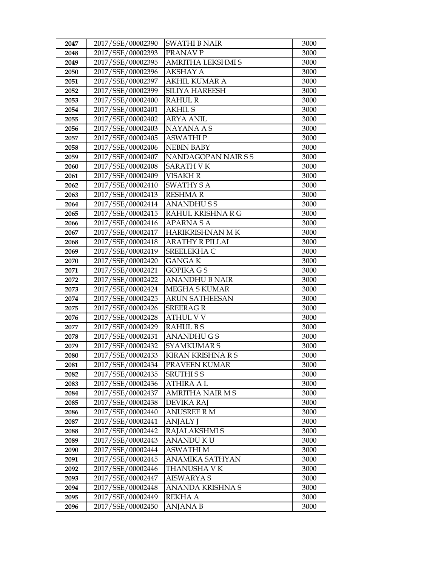| 2047 | 2017/SSE/00002390 | <b>SWATHI B NAIR</b>     | 3000 |
|------|-------------------|--------------------------|------|
| 2048 | 2017/SSE/00002393 | PRANAV P                 | 3000 |
| 2049 | 2017/SSE/00002395 | <b>AMRITHA LEKSHMI S</b> | 3000 |
| 2050 | 2017/SSE/00002396 | <b>AKSHAY A</b>          | 3000 |
| 2051 | 2017/SSE/00002397 | AKHIL KUMAR A            | 3000 |
| 2052 | 2017/SSE/00002399 | <b>SILIYA HAREESH</b>    | 3000 |
| 2053 | 2017/SSE/00002400 | RAHUL R                  | 3000 |
| 2054 | 2017/SSE/00002401 | <b>AKHIL S</b>           | 3000 |
| 2055 | 2017/SSE/00002402 | <b>ARYA ANIL</b>         | 3000 |
| 2056 | 2017/SSE/00002403 | <b>NAYANA A S</b>        | 3000 |
| 2057 | 2017/SSE/00002405 | <b>ASWATHIP</b>          | 3000 |
| 2058 | 2017/SSE/00002406 | <b>NEBIN BABY</b>        | 3000 |
| 2059 | 2017/SSE/00002407 | NANDAGOPAN NAIR S S      | 3000 |
| 2060 | 2017/SSE/00002408 | <b>SARATH VK</b>         | 3000 |
| 2061 | 2017/SSE/00002409 | <b>VISAKH R</b>          | 3000 |
| 2062 | 2017/SSE/00002410 | <b>SWATHY S A</b>        | 3000 |
| 2063 | 2017/SSE/00002413 | <b>RESHMAR</b>           | 3000 |
| 2064 | 2017/SSE/00002414 | <b>ANANDHUSS</b>         | 3000 |
| 2065 | 2017/SSE/00002415 | RAHUL KRISHNA R G        | 3000 |
| 2066 | 2017/SSE/00002416 | <b>APARNASA</b>          | 3000 |
| 2067 | 2017/SSE/00002417 | HARIKRISHNAN MK          | 3000 |
| 2068 | 2017/SSE/00002418 | <b>ARATHY R PILLAI</b>   | 3000 |
| 2069 | 2017/SSE/00002419 | SREELEKHA C              | 3000 |
| 2070 | 2017/SSE/00002420 | <b>GANGAK</b>            | 3000 |
| 2071 | 2017/SSE/00002421 | <b>GOPIKA GS</b>         | 3000 |
| 2072 | 2017/SSE/00002422 | ANANDHU B NAIR           | 3000 |
| 2073 | 2017/SSE/00002424 | MEGHA S KUMAR            | 3000 |
| 2074 | 2017/SSE/00002425 | <b>ARUN SATHEESAN</b>    | 3000 |
| 2075 | 2017/SSE/00002426 | <b>SREERAGR</b>          | 3000 |
| 2076 | 2017/SSE/00002428 | <b>ATHUL V V</b>         | 3000 |
| 2077 | 2017/SSE/00002429 | <b>RAHULBS</b>           | 3000 |
| 2078 | 2017/SSE/00002431 | <b>ANANDHUGS</b>         | 3000 |
| 2079 | 2017/SSE/00002432 | <b>SYAMKUMARS</b>        | 3000 |
| 2080 | 2017/SSE/00002433 | <b>KIRAN KRISHNA R S</b> | 3000 |
| 2081 | 2017/SSE/00002434 | PRAVEEN KUMAR            | 3000 |
| 2082 | 2017/SSE/00002435 | SRUTHI S S               | 3000 |
| 2083 | 2017/SSE/00002436 | ATHIRA A L               | 3000 |
| 2084 | 2017/SSE/00002437 | AMRITHA NAIR M S         | 3000 |
| 2085 | 2017/SSE/00002438 | <b>DEVIKA RAJ</b>        | 3000 |
| 2086 | 2017/SSE/00002440 | <b>ANUSREE R M</b>       | 3000 |
| 2087 | 2017/SSE/00002441 | ANJALY J                 | 3000 |
| 2088 | 2017/SSE/00002442 | RAJALAKSHMI S            | 3000 |
| 2089 | 2017/SSE/00002443 | ANANDU K U               | 3000 |
| 2090 | 2017/SSE/00002444 | ASWATHI M                | 3000 |
| 2091 | 2017/SSE/00002445 | ANAMIKA SATHYAN          | 3000 |
| 2092 | 2017/SSE/00002446 | THANUSHA V K             | 3000 |
| 2093 | 2017/SSE/00002447 | AISWARYA S               | 3000 |
| 2094 | 2017/SSE/00002448 | ANANDA KRISHNA S         | 3000 |
| 2095 | 2017/SSE/00002449 | <b>REKHA A</b>           | 3000 |
| 2096 | 2017/SSE/00002450 | ANJANA B                 | 3000 |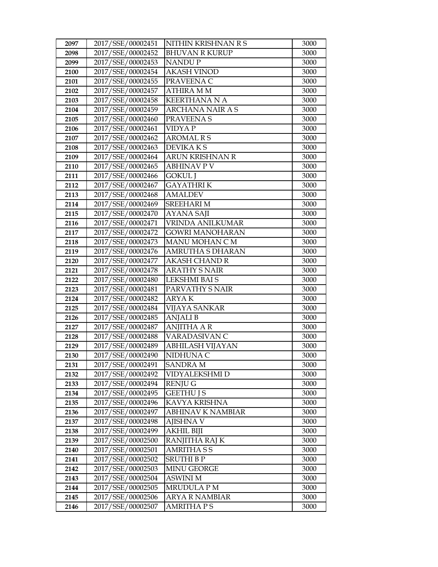| 2097 | 2017/SSE/00002451 | NITHIN KRISHNAN R S      | 3000 |
|------|-------------------|--------------------------|------|
| 2098 | 2017/SSE/00002452 | <b>BHUVAN R KURUP</b>    | 3000 |
| 2099 | 2017/SSE/00002453 | <b>NANDUP</b>            | 3000 |
| 2100 | 2017/SSE/00002454 | <b>AKASH VINOD</b>       | 3000 |
| 2101 | 2017/SSE/00002455 | PRAVEENA C               | 3000 |
| 2102 | 2017/SSE/00002457 | <b>ATHIRA MM</b>         | 3000 |
| 2103 | 2017/SSE/00002458 | <b>KEERTHANA N A</b>     | 3000 |
| 2104 | 2017/SSE/00002459 | <b>ARCHANA NAIR A S</b>  | 3000 |
| 2105 | 2017/SSE/00002460 | PRAVEENA S               | 3000 |
| 2106 | 2017/SSE/00002461 | <b>VIDYAP</b>            | 3000 |
| 2107 | 2017/SSE/00002462 | <b>AROMAL R S</b>        | 3000 |
| 2108 | 2017/SSE/00002463 | <b>DEVIKAKS</b>          | 3000 |
| 2109 | 2017/SSE/00002464 | <b>ARUN KRISHNAN R</b>   | 3000 |
| 2110 | 2017/SSE/00002465 | <b>ABHINAV P V</b>       | 3000 |
| 2111 | 2017/SSE/00002466 | <b>GOKUL</b> J           | 3000 |
| 2112 | 2017/SSE/00002467 | <b>GAYATHRIK</b>         | 3000 |
| 2113 | 2017/SSE/00002468 | <b>AMALDEV</b>           | 3000 |
| 2114 | 2017/SSE/00002469 | <b>SREEHARI M</b>        | 3000 |
| 2115 | 2017/SSE/00002470 | <b>AYANA SAJI</b>        | 3000 |
| 2116 | 2017/SSE/00002471 | <b>VRINDA ANILKUMAR</b>  | 3000 |
| 2117 | 2017/SSE/00002472 | <b>GOWRI MANOHARAN</b>   | 3000 |
| 2118 | 2017/SSE/00002473 | MANU MOHAN C M           | 3000 |
| 2119 | 2017/SSE/00002476 | AMRUTHA S DHARAN         | 3000 |
| 2120 | 2017/SSE/00002477 | <b>AKASH CHAND R</b>     | 3000 |
| 2121 | 2017/SSE/00002478 | <b>ARATHY S NAIR</b>     | 3000 |
| 2122 | 2017/SSE/00002480 | <b>LEKSHMI BAI S</b>     | 3000 |
| 2123 | 2017/SSE/00002481 | PARVATHY S NAIR          | 3000 |
| 2124 | 2017/SSE/00002482 | <b>ARYAK</b>             | 3000 |
| 2125 | 2017/SSE/00002484 | <b>VIJAYA SANKAR</b>     | 3000 |
| 2126 | 2017/SSE/00002485 | <b>ANJALIB</b>           | 3000 |
| 2127 | 2017/SSE/00002487 | <b>ANJITHA A R</b>       | 3000 |
| 2128 | 2017/SSE/00002488 | VARADASIVAN C            | 3000 |
| 2129 | 2017/SSE/00002489 | ABHILASH VIJAYAN         | 3000 |
| 2130 | 2017/SSE/00002490 | NIDHUNA C                | 3000 |
| 2131 | 2017/SSE/00002491 | <b>SANDRA M</b>          | 3000 |
| 2132 | 2017/SSE/00002492 | VIDYALEKSHMI D           | 3000 |
| 2133 | 2017/SSE/00002494 | <b>RENJUG</b>            | 3000 |
| 2134 | 2017/SSE/00002495 | <b>GEETHUIS</b>          | 3000 |
| 2135 | 2017/SSE/00002496 | KAVYA KRISHNA            | 3000 |
| 2136 | 2017/SSE/00002497 | <b>ABHINAV K NAMBIAR</b> | 3000 |
| 2137 | 2017/SSE/00002498 | <b>AJISHNA V</b>         | 3000 |
| 2138 | 2017/SSE/00002499 | <b>AKHIL BIJI</b>        | 3000 |
| 2139 | 2017/SSE/00002500 | RANJITHA RAJ K           | 3000 |
| 2140 | 2017/SSE/00002501 | <b>AMRITHASS</b>         | 3000 |
| 2141 | 2017/SSE/00002502 | <b>SRUTHI B P</b>        | 3000 |
| 2142 | 2017/SSE/00002503 | <b>MINU GEORGE</b>       | 3000 |
| 2143 | 2017/SSE/00002504 | <b>ASWINI M</b>          | 3000 |
| 2144 | 2017/SSE/00002505 | <b>MRUDULA P M</b>       | 3000 |
| 2145 | 2017/SSE/00002506 | <b>ARYA R NAMBIAR</b>    | 3000 |
| 2146 | 2017/SSE/00002507 | <b>AMRITHA PS</b>        | 3000 |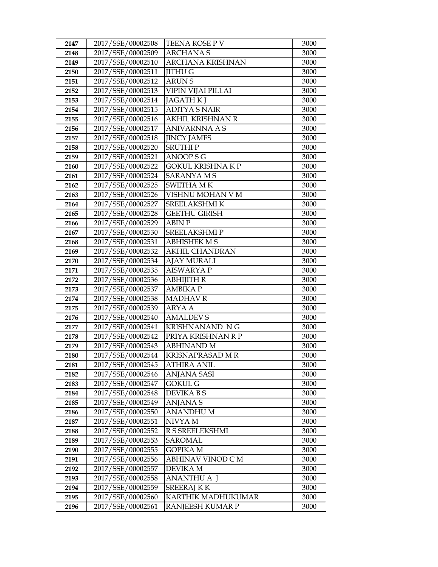| 2147 | 2017/SSE/00002508 | TEENA ROSE P V           | 3000 |
|------|-------------------|--------------------------|------|
| 2148 | 2017/SSE/00002509 | <b>ARCHANAS</b>          | 3000 |
| 2149 | 2017/SSE/00002510 | <b>ARCHANA KRISHNAN</b>  | 3000 |
| 2150 | 2017/SSE/00002511 | <b>IITHU G</b>           | 3000 |
| 2151 | 2017/SSE/00002512 | <b>ARUNS</b>             | 3000 |
| 2152 | 2017/SSE/00002513 | VIPIN VIJAI PILLAI       | 3000 |
| 2153 | 2017/SSE/00002514 | <b>JAGATH K J</b>        | 3000 |
| 2154 | 2017/SSE/00002515 | <b>ADITYA S NAIR</b>     | 3000 |
| 2155 | 2017/SSE/00002516 | <b>AKHIL KRISHNAN R</b>  | 3000 |
| 2156 | 2017/SSE/00002517 | <b>ANIVARNNA A S</b>     | 3000 |
| 2157 | 2017/SSE/00002518 | <b>JINCY JAMES</b>       | 3000 |
| 2158 | 2017/SSE/00002520 | SRUTHI P                 | 3000 |
| 2159 | 2017/SSE/00002521 | ANOOP S G                | 3000 |
| 2160 | 2017/SSE/00002522 | <b>GOKUL KRISHNA K P</b> | 3000 |
| 2161 | 2017/SSE/00002524 | <b>SARANYAMS</b>         | 3000 |
| 2162 | 2017/SSE/00002525 | <b>SWETHA MK</b>         | 3000 |
| 2163 | 2017/SSE/00002526 | VISHNU MOHAN V M         | 3000 |
| 2164 | 2017/SSE/00002527 | SREELAKSHMI K            | 3000 |
| 2165 | 2017/SSE/00002528 | <b>GEETHU GIRISH</b>     | 3000 |
| 2166 | 2017/SSE/00002529 | <b>ABIN P</b>            | 3000 |
| 2167 | 2017/SSE/00002530 | <b>SREELAKSHMIP</b>      | 3000 |
| 2168 | 2017/SSE/00002531 | <b>ABHISHEK M S</b>      | 3000 |
| 2169 | 2017/SSE/00002532 | <b>AKHIL CHANDRAN</b>    | 3000 |
| 2170 | 2017/SSE/00002534 | <b>AJAY MURALI</b>       | 3000 |
| 2171 | 2017/SSE/00002535 | <b>AISWARYA P</b>        | 3000 |
| 2172 | 2017/SSE/00002536 | <b>ABHIJITH R</b>        | 3000 |
| 2173 | 2017/SSE/00002537 | <b>AMBIKA P</b>          | 3000 |
| 2174 | 2017/SSE/00002538 | <b>MADHAVR</b>           | 3000 |
| 2175 | 2017/SSE/00002539 | <b>ARYA A</b>            | 3000 |
| 2176 | 2017/SSE/00002540 | <b>AMALDEVS</b>          | 3000 |
| 2177 | 2017/SSE/00002541 | KRISHNANAND NG           | 3000 |
| 2178 | 2017/SSE/00002542 | PRIYA KRISHNAN R P       | 3000 |
| 2179 | 2017/SSE/00002543 | <b>ABHINAND M</b>        | 3000 |
| 2180 | 2017/SSE/00002544 | KRISNAPRASAD M R         | 3000 |
| 2181 | 2017/SSE/00002545 | <b>ATHIRA ANIL</b>       | 3000 |
| 2182 | 2017/SSE/00002546 | <b>ANJANA SASI</b>       | 3000 |
| 2183 | 2017/SSE/00002547 | GOKUL G                  | 3000 |
| 2184 | 2017/SSE/00002548 | DEVIKA B S               | 3000 |
| 2185 | 2017/SSE/00002549 | <b>ANJANAS</b>           | 3000 |
| 2186 | 2017/SSE/00002550 | <b>ANANDHUM</b>          | 3000 |
| 2187 | 2017/SSE/00002551 | NIVYA M                  | 3000 |
| 2188 | 2017/SSE/00002552 | R S SREELEKSHMI          | 3000 |
| 2189 | 2017/SSE/00002553 | SAROMAL                  | 3000 |
| 2190 | 2017/SSE/00002555 | <b>GOPIKA M</b>          | 3000 |
| 2191 | 2017/SSE/00002556 | ABHINAV VINOD C M        | 3000 |
| 2192 | 2017/SSE/00002557 | <b>DEVIKA M</b>          | 3000 |
| 2193 | 2017/SSE/00002558 | ANANTHU A J              | 3000 |
| 2194 | 2017/SSE/00002559 | <b>SREERAJ K K</b>       | 3000 |
| 2195 | 2017/SSE/00002560 | KARTHIK MADHUKUMAR       | 3000 |
| 2196 | 2017/SSE/00002561 | RANJEESH KUMAR P         | 3000 |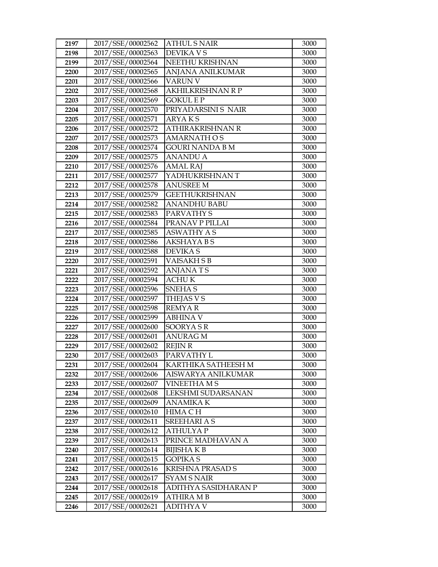| 2197         | 2017/SSE/00002562                      | <b>ATHUL S NAIR</b>                   | 3000         |
|--------------|----------------------------------------|---------------------------------------|--------------|
| 2198         | 2017/SSE/00002563                      | <b>DEVIKA V S</b>                     | 3000         |
| 2199         | 2017/SSE/00002564                      | NEETHU KRISHNAN                       | 3000         |
| 2200         | 2017/SSE/00002565                      | ANJANA ANILKUMAR                      | 3000         |
| 2201         | 2017/SSE/00002566                      | <b>VARUN V</b>                        | 3000         |
| 2202         | 2017/SSE/00002568                      | AKHILKRISHNAN R P                     | 3000         |
| 2203         | 2017/SSE/00002569                      | GOKUL E P                             | 3000         |
| 2204         | 2017/SSE/00002570                      | PRIYADARSINI S NAIR                   | 3000         |
| 2205         | 2017/SSE/00002571                      | <b>ARYAKS</b>                         | 3000         |
| 2206         | 2017/SSE/00002572                      | ATHIRAKRISHNAN R                      | 3000         |
| 2207         | 2017/SSE/00002573                      | <b>AMARNATH OS</b>                    | 3000         |
| 2208         | 2017/SSE/00002574                      | GOURI NANDA B M                       | 3000         |
| 2209         | 2017/SSE/00002575                      | <b>ANANDU A</b>                       | 3000         |
| 2210         | 2017/SSE/00002576                      | <b>AMAL RAJ</b>                       | 3000         |
| 2211         | 2017/SSE/00002577                      | YADHUKRISHNAN T                       | 3000         |
| 2212         | 2017/SSE/00002578                      | <b>ANUSREE M</b>                      | 3000         |
| 2213         | 2017/SSE/00002579                      | GEETHUKRISHNAN                        | 3000         |
| 2214         | 2017/SSE/00002582                      | <b>ANANDHU BABU</b>                   | 3000         |
| 2215         | 2017/SSE/00002583                      | PARVATHY S                            | 3000         |
| 2216         | 2017/SSE/00002584                      | PRANAV P PILLAI                       | 3000         |
| 2217         | 2017/SSE/00002585                      | <b>ASWATHY AS</b>                     | 3000         |
| 2218         | 2017/SSE/00002586                      | AKSHAYA B S                           | 3000         |
| 2219         | 2017/SSE/00002588                      | <b>DEVIKAS</b>                        | 3000         |
| 2220         | 2017/SSE/00002591                      | <b>VAISAKHSB</b>                      | 3000         |
| 2221         | 2017/SSE/00002592                      | <b>ANJANATS</b>                       | 3000         |
| 2222         | 2017/SSE/00002594                      | <b>ACHUK</b>                          | 3000         |
| 2223         | 2017/SSE/00002596                      | <b>SNEHAS</b>                         | 3000         |
| 2224         | 2017/SSE/00002597                      | <b>THEJAS V S</b>                     | 3000         |
| 2225         | 2017/SSE/00002598                      | <b>REMYAR</b>                         | 3000         |
| 2226         | 2017/SSE/00002599                      | <b>ABHINA V</b>                       | 3000         |
| 2227         | 2017/SSE/00002600                      | <b>SOORYASR</b>                       | 3000         |
| 2228         | 2017/SSE/00002601                      | <b>ANURAG M</b>                       | 3000         |
| 2229         | 2017/SSE/00002602                      | <b>REJIN R</b>                        | 3000         |
| 2230         | 2017/SSE/00002603                      | PARVATHY L                            | 3000         |
| 2231         | 2017/SSE/00002604                      | KARTHIKA SATHEESH M                   | 3000         |
| 2232         | 2017/SSE/00002606                      | AISWARYA ANILKUMAR                    | 3000         |
| 2233         | 2017/SSE/00002607                      | VINEETHA M S                          | 3000         |
| 2234         | 2017/SSE/00002608                      | LEKSHMI SUDARSANAN                    | 3000         |
| 2235         | 2017/SSE/00002609                      | ANAMIKA K                             | 3000         |
| 2236         | 2017/SSE/00002610                      | HIMA C H                              | 3000         |
| 2237         | 2017/SSE/00002611                      | <b>SREEHARIAS</b>                     | 3000         |
| 2238         | 2017/SSE/00002612<br>2017/SSE/00002613 | <b>ATHULYAP</b>                       | 3000         |
| 2239         | 2017/SSE/00002614                      | PRINCE MADHAVAN A<br><b>BIJISHAKB</b> | 3000<br>3000 |
| 2240         | 2017/SSE/00002615                      | GOPIKA S                              | 3000         |
| 2241         | 2017/SSE/00002616                      |                                       |              |
| 2242         | 2017/SSE/00002617                      | KRISHNA PRASAD S                      | 3000         |
| 2243<br>2244 | 2017/SSE/00002618                      | SYAM S NAIR<br>ADITHYA SASIDHARAN P   | 3000         |
| 2245         | 2017/SSE/00002619                      | ATHIRA M B                            | 3000<br>3000 |
|              | 2017/SSE/00002621                      | ADITHYA V                             | 3000         |
| 2246         |                                        |                                       |              |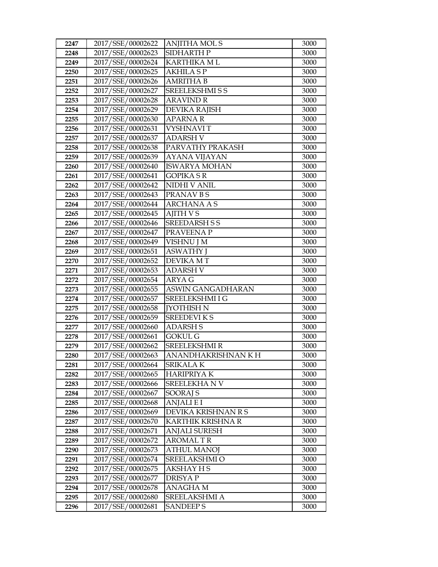| 2247         | 2017/SSE/00002622                      | <b>ANJITHA MOLS</b>              | 3000         |
|--------------|----------------------------------------|----------------------------------|--------------|
| 2248         | 2017/SSE/00002623                      | SIDHARTH P                       | 3000         |
| 2249         | 2017/SSE/00002624                      | <b>KARTHIKA ML</b>               | 3000         |
| 2250         | 2017/SSE/00002625                      | <b>AKHILA SP</b>                 | 3000         |
| 2251         | 2017/SSE/00002626                      | <b>AMRITHA B</b>                 | 3000         |
| 2252         | 2017/SSE/00002627                      | <b>SREELEKSHMI S S</b>           | 3000         |
| 2253         | 2017/SSE/00002628                      | <b>ARAVIND R</b>                 | 3000         |
| 2254         | 2017/SSE/00002629                      | <b>DEVIKA RAJISH</b>             | 3000         |
| 2255         | 2017/SSE/00002630                      | <b>APARNAR</b>                   | 3000         |
| 2256         | 2017/SSE/00002631                      | <b>VYSHNAVIT</b>                 | 3000         |
| 2257         | 2017/SSE/00002637                      | <b>ADARSH V</b>                  | 3000         |
| 2258         | 2017/SSE/00002638                      | PARVATHY PRAKASH                 | 3000         |
| 2259         | 2017/SSE/00002639                      | <b>AYANA VIJAYAN</b>             | 3000         |
| 2260         | 2017/SSE/00002640                      | <b>ISWARYA MOHAN</b>             | 3000         |
| 2261         | 2017/SSE/00002641                      | <b>GOPIKA S R</b>                | 3000         |
| 2262         | 2017/SSE/00002642                      | <b>NIDHI V ANIL</b>              | 3000         |
| 2263         | 2017/SSE/00002643                      | PRANAV B S                       | 3000         |
| 2264         | 2017/SSE/00002644                      | <b>ARCHANA A S</b>               | 3000         |
| 2265         | 2017/SSE/00002645                      | <b>AJITH VS</b>                  | 3000         |
| 2266         | 2017/SSE/00002646                      | <b>SREEDARSH S S</b>             | 3000         |
| 2267         | 2017/SSE/00002647                      | PRAVEENA P                       | 3000         |
| 2268         | 2017/SSE/00002649                      | VISHNU J M                       | 3000         |
| 2269         | 2017/SSE/00002651                      | <b>ASWATHY J</b>                 | 3000         |
| 2270         | 2017/SSE/00002652                      | DEVIKA MT                        | 3000         |
| 2271         | 2017/SSE/00002653                      | <b>ADARSH V</b>                  | 3000         |
| 2272         | 2017/SSE/00002654                      | <b>ARYA G</b>                    | 3000         |
| 2273         | 2017/SSE/00002655                      | ASWIN GANGADHARAN                | 3000         |
|              |                                        |                                  |              |
| 2274         | 2017/SSE/00002657                      | SREELEKSHMI I G                  | 3000         |
| 2275         | 2017/SSE/00002658                      | <b>[YOTHISH N</b>                | 3000         |
| 2276         | 2017/SSE/00002659                      | <b>SREEDEVIKS</b>                | 3000         |
| 2277         | 2017/SSE/00002660                      | <b>ADARSH S</b>                  | 3000         |
| 2278         | 2017/SSE/00002661                      | <b>GOKUL G</b>                   | 3000         |
| 2279         | 2017/SSE/00002662                      | <b>SREELEKSHMIR</b>              | 3000         |
| 2280         | 2017/SSE/00002663                      | ANANDHAKRISHNAN K H              | 3000         |
| 2281         | 2017/SSE/00002664                      | <b>SRIKALAK</b>                  | 3000         |
| 2282         | 2017/SSE/00002665                      | <b>HARIPRIYAK</b>                | 3000         |
| 2283         | 2017/SSE/00002666                      | SREELEKHANV                      | 3000         |
| 2284         | 2017/SSE/00002667                      | <b>SOORAJ S</b>                  | 3000         |
| 2285         | 2017/SSE/00002668                      | <b>ANJALIEI</b>                  | 3000         |
| 2286         | 2017/SSE/00002669                      | DEVIKA KRISHNAN R S              | 3000         |
| 2287         | 2017/SSE/00002670                      | KARTHIK KRISHNA R                | 3000         |
| 2288         | 2017/SSE/00002671                      | <b>ANJALI SURESH</b>             | 3000         |
| 2289         | 2017/SSE/00002672                      | <b>AROMAL TR</b>                 | 3000         |
| 2290         | 2017/SSE/00002673                      | <b>ATHUL MANOJ</b>               | 3000         |
| 2291         | 2017/SSE/00002674                      | SREELAKSHMI O                    | 3000         |
| 2292         | 2017/SSE/00002675                      | AKSHAY H S                       | 3000         |
| 2293         | 2017/SSE/00002677                      | <b>DRISYAP</b>                   | 3000         |
| 2294         | 2017/SSE/00002678                      | <b>ANAGHAM</b>                   | 3000         |
| 2295<br>2296 | 2017/SSE/00002680<br>2017/SSE/00002681 | SREELAKSHMI A<br><b>SANDEEPS</b> | 3000<br>3000 |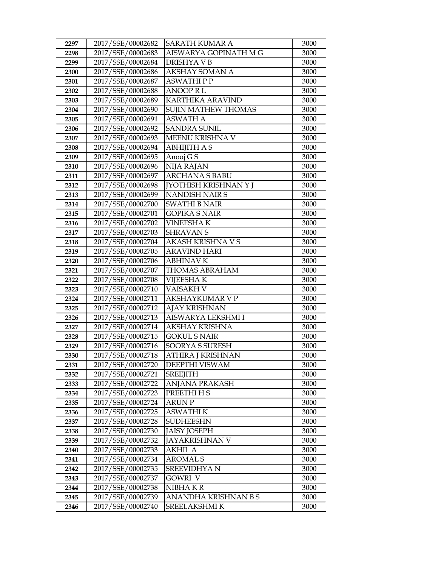| 2297 | 2017/SSE/00002682 | SARATH KUMAR A               | 3000 |
|------|-------------------|------------------------------|------|
| 2298 | 2017/SSE/00002683 | AISWARYA GOPINATH M G        | 3000 |
| 2299 | 2017/SSE/00002684 | DRISHYA V B                  | 3000 |
| 2300 | 2017/SSE/00002686 | <b>AKSHAY SOMAN A</b>        | 3000 |
| 2301 | 2017/SSE/00002687 | <b>ASWATHIPP</b>             | 3000 |
| 2302 | 2017/SSE/00002688 | <b>ANOOPRL</b>               | 3000 |
| 2303 | 2017/SSE/00002689 | <b>KARTHIKA ARAVIND</b>      | 3000 |
| 2304 | 2017/SSE/00002690 | SUJIN MATHEW THOMAS          | 3000 |
| 2305 | 2017/SSE/00002691 | <b>ASWATH A</b>              | 3000 |
| 2306 | 2017/SSE/00002692 | <b>SANDRA SUNIL</b>          | 3000 |
| 2307 | 2017/SSE/00002693 | MEENU KRISHNA V              | 3000 |
| 2308 | 2017/SSE/00002694 | <b>ABHIJITH A S</b>          | 3000 |
| 2309 | 2017/SSE/00002695 | Anooj G S                    | 3000 |
| 2310 | 2017/SSE/00002696 | NIJA RAJAN                   | 3000 |
| 2311 | 2017/SSE/00002697 | <b>ARCHANA S BABU</b>        | 3000 |
| 2312 | 2017/SSE/00002698 | <b>[YOTHISH KRISHNAN Y J</b> | 3000 |
| 2313 | 2017/SSE/00002699 | <b>NANDISH NAIR S</b>        | 3000 |
| 2314 | 2017/SSE/00002700 | <b>SWATHI B NAIR</b>         | 3000 |
| 2315 | 2017/SSE/00002701 | <b>GOPIKA S NAIR</b>         | 3000 |
| 2316 | 2017/SSE/00002702 | <b>VINEESHAK</b>             | 3000 |
| 2317 | 2017/SSE/00002703 | <b>SHRAVAN S</b>             | 3000 |
| 2318 | 2017/SSE/00002704 | <b>AKASH KRISHNA V S</b>     | 3000 |
| 2319 | 2017/SSE/00002705 | <b>ARAVIND HARI</b>          | 3000 |
| 2320 | 2017/SSE/00002706 | <b>ABHINAV K</b>             | 3000 |
| 2321 | 2017/SSE/00002707 | <b>THOMAS ABRAHAM</b>        | 3000 |
| 2322 | 2017/SSE/00002708 | <b>VIJEESHAK</b>             | 3000 |
| 2323 | 2017/SSE/00002710 | <b>VAISAKH V</b>             | 3000 |
| 2324 | 2017/SSE/00002711 | <b>AKSHAYKUMAR V P</b>       | 3000 |
| 2325 | 2017/SSE/00002712 | <b>AJAY KRISHNAN</b>         | 3000 |
| 2326 | 2017/SSE/00002713 | AISWARYA LEKSHMI I           | 3000 |
| 2327 | 2017/SSE/00002714 | <b>AKSHAY KRISHNA</b>        | 3000 |
| 2328 | 2017/SSE/00002715 | <b>GOKUL S NAIR</b>          | 3000 |
| 2329 | 2017/SSE/00002716 | SOORYA S SURESH              | 3000 |
| 2330 | 2017/SSE/00002718 | ATHIRA J KRISHNAN            | 3000 |
| 2331 | 2017/SSE/00002720 | DEEPTHI VISWAM               | 3000 |
| 2332 | 2017/SSE/00002721 | <b>SREEJITH</b>              | 3000 |
| 2333 | 2017/SSE/00002722 | <b>ANJANA PRAKASH</b>        | 3000 |
| 2334 | 2017/SSE/00002723 | PREETHI H S                  | 3000 |
| 2335 | 2017/SSE/00002724 | <b>ARUN P</b>                | 3000 |
| 2336 | 2017/SSE/00002725 | <b>ASWATHI K</b>             | 3000 |
| 2337 | 2017/SSE/00002728 | <b>SUDHEESHN</b>             | 3000 |
| 2338 | 2017/SSE/00002730 | <b>JAISY JOSEPH</b>          | 3000 |
| 2339 | 2017/SSE/00002732 | <b>JAYAKRISHNAN V</b>        | 3000 |
| 2340 | 2017/SSE/00002733 | AKHIL A                      | 3000 |
| 2341 | 2017/SSE/00002734 | <b>AROMALS</b>               | 3000 |
| 2342 | 2017/SSE/00002735 | SREEVIDHYA N                 | 3000 |
| 2343 | 2017/SSE/00002737 | GOWRI V                      | 3000 |
| 2344 | 2017/SSE/00002738 | NIBHA KR                     | 3000 |
| 2345 | 2017/SSE/00002739 | ANANDHA KRISHNAN B S         | 3000 |
| 2346 | 2017/SSE/00002740 | <b>SREELAKSHMI K</b>         | 3000 |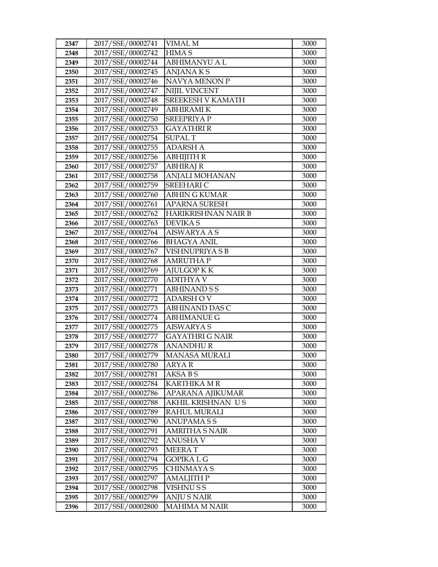| 2347         | 2017/SSE/00002741                      | VIMAL M                                   | 3000         |
|--------------|----------------------------------------|-------------------------------------------|--------------|
| 2348         | 2017/SSE/00002742                      | <b>HIMAS</b>                              | 3000         |
| 2349         | 2017/SSE/00002744                      | <b>ABHIMANYU A L</b>                      | 3000         |
| 2350         | 2017/SSE/00002745                      | <b>ANJANAKS</b>                           | 3000         |
| 2351         | 2017/SSE/00002746                      | NAVYA MENON P                             | 3000         |
| 2352         | 2017/SSE/00002747                      | <b>NIJIL VINCENT</b>                      | 3000         |
| 2353         | 2017/SSE/00002748                      | SREEKESH V KAMATH                         | 3000         |
| 2354         | 2017/SSE/00002749                      | <b>ABHIRAMIK</b>                          | 3000         |
| 2355         | 2017/SSE/00002750                      | <b>SREEPRIYA P</b>                        | 3000         |
| 2356         | 2017/SSE/00002753                      | <b>GAYATHRI R</b>                         | 3000         |
| 2357         | 2017/SSE/00002754                      | <b>SUPAL T</b>                            | 3000         |
| 2358         | 2017/SSE/00002755                      | <b>ADARSH A</b>                           | 3000         |
| 2359         | 2017/SSE/00002756                      | <b>ABHIJITH R</b>                         | 3000         |
| 2360         | 2017/SSE/00002757                      | <b>ABHIRAJ R</b>                          | 3000         |
| 2361         | 2017/SSE/00002758                      | ANJALI MOHANAN                            | 3000         |
| 2362         | 2017/SSE/00002759                      | <b>SREEHARIC</b>                          | 3000         |
| 2363         | 2017/SSE/00002760                      | <b>ABHIN G KUMAR</b>                      | 3000         |
| 2364         | 2017/SSE/00002761                      | <b>APARNA SURESH</b>                      | 3000         |
| 2365         | 2017/SSE/00002762                      | <b>HARIKRISHNAN NAIR B</b>                | 3000         |
| 2366         | 2017/SSE/00002763                      | <b>DEVIKAS</b>                            | 3000         |
| 2367         | 2017/SSE/00002764                      | AISWARYA A S                              | 3000         |
| 2368         | 2017/SSE/00002766                      | <b>BHAGYA ANIL</b>                        | 3000         |
| 2369         | 2017/SSE/00002767                      | VISHNUPRIYA S B                           | 3000         |
| 2370         | 2017/SSE/00002768                      | <b>AMRUTHA P</b>                          | 3000         |
| 2371         | 2017/SSE/00002769                      | AJULGOP K K                               | 3000         |
| 2372         | 2017/SSE/00002770                      | <b>ADITHYA V</b>                          | 3000         |
| 2373         | 2017/SSE/00002771                      | <b>ABHINAND S S</b>                       | 3000         |
| 2374         | 2017/SSE/00002772                      | <b>ADARSHOV</b>                           | 3000         |
| 2375         | 2017/SSE/00002773                      | <b>ABHINAND DAS C</b>                     | 3000         |
| 2376         | 2017/SSE/00002774                      | <b>ABHIMANUE G</b>                        | 3000         |
| 2377         | 2017/SSE/00002775                      | <b>AISWARYA S</b>                         | 3000         |
| 2378         | 2017/SSE/00002777                      | GAYATHRI G NAIR                           | 3000         |
| 2379         | 2017/SSE/00002778                      | <b>ANANDHUR</b>                           | 3000         |
| 2380         | 2017/SSE/00002779                      | <b>MANASA MURALI</b>                      | 3000         |
| 2381         | 2017/SSE/00002780                      | ARYA R                                    | 3000         |
| 2382         | 2017/SSE/00002781                      | AKSA B S                                  | 3000         |
| 2383         | 2017/SSE/00002784                      | KARTHIKA M R                              | 3000         |
| 2384         | 2017/SSE/00002786                      | APARANA AJIKUMAR                          | 3000         |
| 2385         | 2017/SSE/00002788                      | AKHIL KRISHNAN US                         | 3000         |
| 2386         | 2017/SSE/00002789                      | RAHUL MURALI                              | 3000         |
| 2387         | 2017/SSE/00002790                      | ANUPAMA S S                               | 3000         |
| 2388         | 2017/SSE/00002791                      | <b>AMRITHA S NAIR</b>                     | 3000         |
| 2389         | 2017/SSE/00002792                      | <b>ANUSHAV</b>                            | 3000         |
| 2390         | 2017/SSE/00002793                      | <b>MEERAT</b>                             | 3000         |
| 2391         | 2017/SSE/00002794                      | GOPIKA L G                                | 3000         |
| 2392         |                                        | CHINMAYA S                                | 3000         |
|              | 2017/SSE/00002795                      |                                           |              |
| 2393         | 2017/SSE/00002797                      | <b>AMALJITH P</b>                         | 3000         |
| 2394         | 2017/SSE/00002798                      | <b>VISHNUSS</b>                           | 3000         |
| 2395<br>2396 | 2017/SSE/00002799<br>2017/SSE/00002800 | <b>ANJUS NAIR</b><br><b>MAHIMA M NAIR</b> | 3000<br>3000 |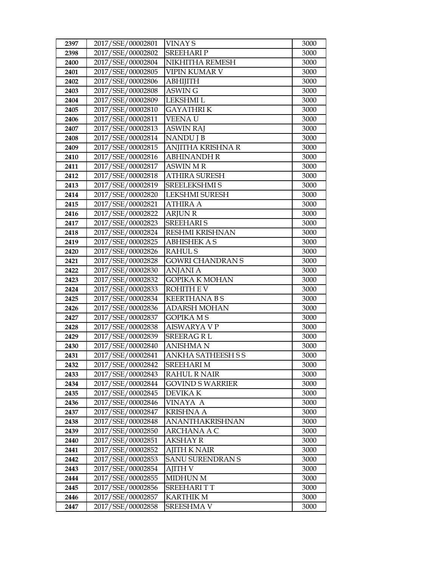| 2397         | 2017/SSE/00002801                      | <b>VINAY S</b>                         | 3000         |
|--------------|----------------------------------------|----------------------------------------|--------------|
| 2398         | 2017/SSE/00002802                      | <b>SREEHARIP</b>                       | 3000         |
| 2400         | 2017/SSE/00002804                      | NIKHITHA REMESH                        | 3000         |
| 2401         | 2017/SSE/00002805                      | <b>VIPIN KUMAR V</b>                   | 3000         |
| 2402         | 2017/SSE/00002806                      | <b>ABHIJITH</b>                        | 3000         |
| 2403         | 2017/SSE/00002808                      | <b>ASWING</b>                          | 3000         |
| 2404         | 2017/SSE/00002809                      | LEKSHMI L                              | 3000         |
| 2405         | 2017/SSE/00002810                      | <b>GAYATHRIK</b>                       | 3000         |
| 2406         | 2017/SSE/00002811                      | <b>VEENAU</b>                          | 3000         |
| 2407         | 2017/SSE/00002813                      | <b>ASWIN RAJ</b>                       | 3000         |
| 2408         | 2017/SSE/00002814                      | <b>NANDU J B</b>                       | 3000         |
| 2409         | 2017/SSE/00002815                      | ANJITHA KRISHNA R                      | 3000         |
| 2410         | 2017/SSE/00002816                      | <b>ABHINANDH R</b>                     | 3000         |
| 2411         | 2017/SSE/00002817                      | <b>ASWIN MR</b>                        | 3000         |
| 2412         | 2017/SSE/00002818                      | <b>ATHIRA SURESH</b>                   | 3000         |
| 2413         | 2017/SSE/00002819                      | <b>SREELEKSHMI S</b>                   | 3000         |
| 2414         | 2017/SSE/00002820                      | LEKSHMI SURESH                         | 3000         |
| 2415         | 2017/SSE/00002821                      | <b>ATHIRA A</b>                        | 3000         |
| 2416         | 2017/SSE/00002822                      | <b>ARJUN R</b>                         | 3000         |
| 2417         | 2017/SSE/00002823                      | <b>SREEHARIS</b>                       | 3000         |
| 2418         | 2017/SSE/00002824                      | <b>RESHMI KRISHNAN</b>                 | 3000         |
| 2419         | 2017/SSE/00002825                      | <b>ABHISHEK A S</b>                    | 3000         |
| 2420         | 2017/SSE/00002826                      | <b>RAHULS</b>                          | 3000         |
| 2421         | 2017/SSE/00002828                      | <b>GOWRI CHANDRAN S</b>                | 3000         |
| 2422         | 2017/SSE/00002830                      | <b>ANJANI A</b>                        | 3000         |
| 2423         | 2017/SSE/00002832                      | GOPIKA K MOHAN                         | 3000         |
| 2424         | 2017/SSE/00002833                      | <b>ROHITH E V</b>                      | 3000         |
| 2425         | 2017/SSE/00002834                      | <b>KEERTHANA BS</b>                    | 3000         |
| 2426         | 2017/SSE/00002836                      | <b>ADARSH MOHAN</b>                    | 3000         |
| 2427         | 2017/SSE/00002837                      | <b>GOPIKA MS</b>                       | 3000         |
| 2428         | 2017/SSE/00002838                      | AISWARYA V P                           | 3000         |
| 2429         | 2017/SSE/00002839                      | SREERAG R L                            | 3000         |
| 2430<br>2431 | 2017/SSE/00002840<br>2017/SSE/00002841 | <b>ANISHMA N</b><br>ANKHA SATHEESH S S | 3000<br>3000 |
| 2432         | 2017/SSE/00002842                      | <b>SREEHARI M</b>                      | 3000         |
| 2433         | 2017/SSE/00002843                      | RAHUL R NAIR                           | 3000         |
| 2434         | 2017/SSE/00002844                      | GOVIND S WARRIER                       | 3000         |
| 2435         | 2017/SSE/00002845                      | <b>DEVIKA K</b>                        | 3000         |
| 2436         | 2017/SSE/00002846                      | VINAYA A                               | 3000         |
| 2437         | 2017/SSE/00002847                      | KRISHNA A                              | 3000         |
| 2438         | 2017/SSE/00002848                      | ANANTHAKRISHNAN                        | 3000         |
| 2439         | 2017/SSE/00002850                      | ARCHANA A C                            | 3000         |
| 2440         | 2017/SSE/00002851                      | <b>AKSHAY R</b>                        | 3000         |
| 2441         | 2017/SSE/00002852                      | <b>AJITH K NAIR</b>                    | 3000         |
| 2442         | 2017/SSE/00002853                      | <b>SANU SURENDRAN S</b>                | 3000         |
| 2443         | 2017/SSE/00002854                      | AJITH V                                | 3000         |
| 2444         | 2017/SSE/00002855                      | <b>MIDHUN M</b>                        | 3000         |
| 2445         | 2017/SSE/00002856                      | <b>SREEHARITT</b>                      | 3000         |
| 2446         | 2017/SSE/00002857                      | <b>KARTHIK M</b>                       | 3000         |
| 2447         | 2017/SSE/00002858                      | <b>SREESHMA V</b>                      | 3000         |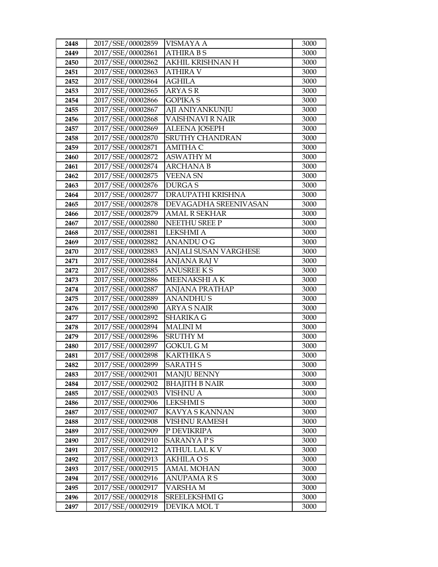| 2448 | 2017/SSE/00002859 | <b>VISMAYA A</b>        | 3000 |
|------|-------------------|-------------------------|------|
| 2449 | 2017/SSE/00002861 | <b>ATHIRA BS</b>        | 3000 |
| 2450 | 2017/SSE/00002862 | AKHIL KRISHNAN H        | 3000 |
| 2451 | 2017/SSE/00002863 | <b>ATHIRA V</b>         | 3000 |
| 2452 | 2017/SSE/00002864 | <b>AGHILA</b>           | 3000 |
| 2453 | 2017/SSE/00002865 | ARYA S R                | 3000 |
| 2454 | 2017/SSE/00002866 | <b>GOPIKAS</b>          | 3000 |
| 2455 | 2017/SSE/00002867 | AJI ANIYANKUNJU         | 3000 |
| 2456 | 2017/SSE/00002868 | <b>VAISHNAVI R NAIR</b> | 3000 |
| 2457 | 2017/SSE/00002869 | <b>ALEENA JOSEPH</b>    | 3000 |
| 2458 | 2017/SSE/00002870 | <b>SRUTHY CHANDRAN</b>  | 3000 |
| 2459 | 2017/SSE/00002871 | AMITHA C                | 3000 |
| 2460 | 2017/SSE/00002872 | <b>ASWATHY M</b>        | 3000 |
| 2461 | 2017/SSE/00002874 | <b>ARCHANAB</b>         | 3000 |
| 2462 | 2017/SSE/00002875 | <b>VEENA SN</b>         | 3000 |
| 2463 | 2017/SSE/00002876 | <b>DURGAS</b>           | 3000 |
| 2464 | 2017/SSE/00002877 | DRAUPATHI KRISHNA       | 3000 |
| 2465 | 2017/SSE/00002878 | DEVAGADHA SREENIVASAN   | 3000 |
| 2466 | 2017/SSE/00002879 | <b>AMAL R SEKHAR</b>    | 3000 |
| 2467 | 2017/SSE/00002880 | NEETHU SREE P           | 3000 |
| 2468 | 2017/SSE/00002881 | <b>LEKSHMI A</b>        | 3000 |
| 2469 | 2017/SSE/00002882 | ANANDU O G              | 3000 |
| 2470 | 2017/SSE/00002883 | ANJALI SUSAN VARGHESE   | 3000 |
| 2471 | 2017/SSE/00002884 | <b>ANJANA RAJ V</b>     | 3000 |
| 2472 | 2017/SSE/00002885 | <b>ANUSREE KS</b>       | 3000 |
| 2473 | 2017/SSE/00002886 | MEENAKSHI A K           | 3000 |
| 2474 | 2017/SSE/00002887 | ANJANA PRATHAP          | 3000 |
| 2475 | 2017/SSE/00002889 | <b>ANANDHUS</b>         | 3000 |
| 2476 | 2017/SSE/00002890 | <b>ARYA S NAIR</b>      | 3000 |
| 2477 | 2017/SSE/00002892 | <b>SHARIKA G</b>        | 3000 |
| 2478 | 2017/SSE/00002894 | <b>MALINIM</b>          | 3000 |
| 2479 | 2017/SSE/00002896 | SRUTHY M                | 3000 |
| 2480 | 2017/SSE/00002897 | <b>GOKUL GM</b>         | 3000 |
| 2481 | 2017/SSE/00002898 | <b>KARTHIKA S</b>       | 3000 |
| 2482 | 2017/SSE/00002899 | <b>SARATH S</b>         | 3000 |
| 2483 | 2017/SSE/00002901 | <b>MANJU BENNY</b>      | 3000 |
| 2484 | 2017/SSE/00002902 | <b>BHAJITH B NAIR</b>   | 3000 |
| 2485 | 2017/SSE/00002903 | <b>VISHNU A</b>         | 3000 |
| 2486 | 2017/SSE/00002906 | <b>LEKSHMIS</b>         | 3000 |
| 2487 | 2017/SSE/00002907 | KAVYA S KANNAN          | 3000 |
| 2488 | 2017/SSE/00002908 | <b>VISHNU RAMESH</b>    | 3000 |
| 2489 | 2017/SSE/00002909 | P DEVIKRIPA             | 3000 |
| 2490 | 2017/SSE/00002910 | <b>SARANYAPS</b>        | 3000 |
| 2491 | 2017/SSE/00002912 | <b>ATHUL LAL KV</b>     | 3000 |
| 2492 | 2017/SSE/00002913 | <b>AKHILA OS</b>        | 3000 |
| 2493 | 2017/SSE/00002915 | AMAL MOHAN              | 3000 |
| 2494 | 2017/SSE/00002916 | ANUPAMA R S             | 3000 |
| 2495 | 2017/SSE/00002917 | VARSHA M                | 3000 |
| 2496 | 2017/SSE/00002918 | SREELEKSHMI G           | 3000 |
| 2497 | 2017/SSE/00002919 | DEVIKA MOL T            | 3000 |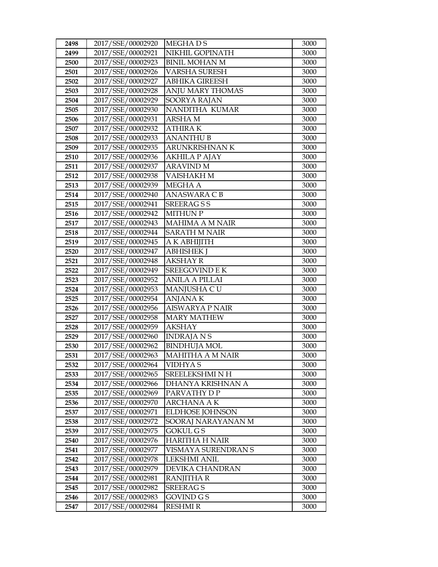| 2498         | 2017/SSE/00002920                      | <b>MEGHADS</b>                               | 3000         |
|--------------|----------------------------------------|----------------------------------------------|--------------|
| 2499         | 2017/SSE/00002921                      | NIKHIL GOPINATH                              | 3000         |
| 2500         | 2017/SSE/00002923                      | <b>BINIL MOHAN M</b>                         | 3000         |
| 2501         | 2017/SSE/00002926                      | <b>VARSHA SURESH</b>                         | 3000         |
| 2502         | 2017/SSE/00002927                      | <b>ABHIKA GIREESH</b>                        | 3000         |
| 2503         | 2017/SSE/00002928                      | ANJU MARY THOMAS                             | 3000         |
| 2504         | 2017/SSE/00002929                      | SOORYA RAJAN                                 | 3000         |
| 2505         | 2017/SSE/00002930                      | NANDITHA KUMAR                               | 3000         |
| 2506         | 2017/SSE/00002931                      | <b>ARSHAM</b>                                | 3000         |
| 2507         | 2017/SSE/00002932                      | <b>ATHIRAK</b>                               | 3000         |
| 2508         | 2017/SSE/00002933                      | <b>ANANTHU B</b>                             | 3000         |
| 2509         | 2017/SSE/00002935                      | ARUNKRISHNAN K                               | 3000         |
| 2510         | 2017/SSE/00002936                      | <b>AKHILA P AJAY</b>                         | 3000         |
| 2511         | 2017/SSE/00002937                      | <b>ARAVIND M</b>                             | 3000         |
| 2512         | 2017/SSE/00002938                      | VAISHAKH M                                   | 3000         |
| 2513         | 2017/SSE/00002939                      | <b>MEGHA A</b>                               | 3000         |
| 2514         | 2017/SSE/00002940                      | <b>ANASWARA CB</b>                           | 3000         |
| 2515         | 2017/SSE/00002941                      | <b>SREERAGSS</b>                             | 3000         |
| 2516         | 2017/SSE/00002942                      | <b>MITHUN P</b>                              | 3000         |
| 2517         | 2017/SSE/00002943                      | <b>MAHIMA A M NAIR</b>                       | 3000         |
| 2518         | 2017/SSE/00002944                      | <b>SARATH M NAIR</b>                         | 3000         |
| 2519         | 2017/SSE/00002945                      | A K ABHIJITH                                 | 3000         |
| 2520         | 2017/SSE/00002947                      | <b>ABHISHEK J</b>                            | 3000         |
| 2521         | 2017/SSE/00002948                      | <b>AKSHAY R</b>                              | 3000         |
| 2522         | 2017/SSE/00002949                      | SREEGOVIND E K                               | 3000         |
| 2523         | 2017/SSE/00002952                      | <b>ANILA A PILLAI</b>                        | 3000         |
| 2524         | 2017/SSE/00002953                      | MANJUSHA CU                                  | 3000         |
| 2525         | 2017/SSE/00002954                      | <b>ANJANAK</b>                               | 3000         |
| 2526         | 2017/SSE/00002956                      | <b>AISWARYA P NAIR</b>                       | 3000         |
| 2527         | 2017/SSE/00002958                      | <b>MARY MATHEW</b>                           | 3000         |
| 2528         | 2017/SSE/00002959                      | <b>AKSHAY</b>                                | 3000         |
| 2529         | 2017/SSE/00002960                      | <b>INDRAJANS</b>                             | 3000         |
| 2530         | 2017/SSE/00002962                      | <b>BINDHUJA MOL</b>                          | 3000         |
| 2531         | 2017/SSE/00002963                      | <b>MAHITHA A M NAIR</b>                      | 3000         |
| 2532         | 2017/SSE/00002964                      | VIDHYA S                                     | 3000         |
| 2533         | 2017/SSE/00002965                      | SREELEKSHMI N H                              | 3000         |
| 2534         | 2017/SSE/00002966                      | DHANYA KRISHNAN A                            | 3000         |
| 2535         | 2017/SSE/00002969                      | PARVATHY D P                                 | 3000         |
| 2536<br>2537 | 2017/SSE/00002970<br>2017/SSE/00002971 | <b>ARCHANA A K</b><br><b>ELDHOSE JOHNSON</b> | 3000<br>3000 |
|              |                                        | SOORAJ NARAYANAN M                           |              |
| 2538<br>2539 | 2017/SSE/00002972<br>2017/SSE/00002975 | GOKUL G S                                    | 3000<br>3000 |
|              | 2017/SSE/00002976                      | <b>HARITHA H NAIR</b>                        |              |
| 2540<br>2541 | 2017/SSE/00002977                      | VISMAYA SURENDRAN S                          | 3000<br>3000 |
| 2542         | 2017/SSE/00002978                      | <b>LEKSHMI ANIL</b>                          | 3000         |
| 2543         | 2017/SSE/00002979                      | DEVIKA CHANDRAN                              | 3000         |
| 2544         | 2017/SSE/00002981                      | RANJITHA R                                   | 3000         |
| 2545         | 2017/SSE/00002982                      | <b>SREERAGS</b>                              | 3000         |
| 2546         | 2017/SSE/00002983                      | GOVIND G S                                   | 3000         |
| 2547         | 2017/SSE/00002984                      | <b>RESHMI R</b>                              | 3000         |
|              |                                        |                                              |              |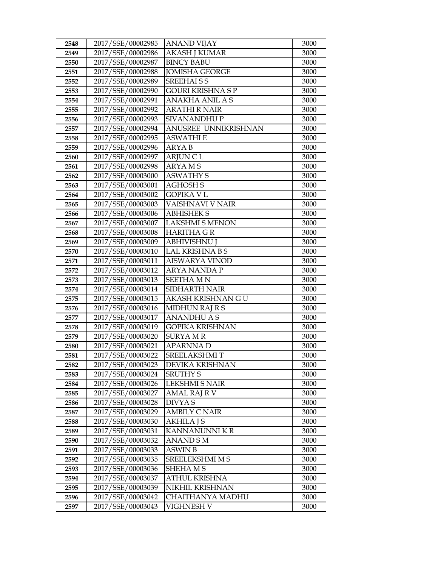| 2548 | 2017/SSE/00002985 | <b>ANAND VIJAY</b>       | 3000 |
|------|-------------------|--------------------------|------|
| 2549 | 2017/SSE/00002986 | <b>AKASH J KUMAR</b>     | 3000 |
| 2550 | 2017/SSE/00002987 | <b>BINCY BABU</b>        | 3000 |
| 2551 | 2017/SSE/00002988 | <b>JOMISHA GEORGE</b>    | 3000 |
| 2552 | 2017/SSE/00002989 | <b>SREEHAISS</b>         | 3000 |
| 2553 | 2017/SSE/00002990 | <b>GOURI KRISHNA S P</b> | 3000 |
| 2554 | 2017/SSE/00002991 | <b>ANAKHA ANIL A S</b>   | 3000 |
| 2555 | 2017/SSE/00002992 | <b>ARATHI R NAIR</b>     | 3000 |
| 2556 | 2017/SSE/00002993 | <b>SIVANANDHUP</b>       | 3000 |
| 2557 | 2017/SSE/00002994 | ANUSREE UNNIKRISHNAN     | 3000 |
| 2558 | 2017/SSE/00002995 | <b>ASWATHI E</b>         | 3000 |
| 2559 | 2017/SSE/00002996 | <b>ARYAB</b>             | 3000 |
| 2560 | 2017/SSE/00002997 | <b>ARJUN CL</b>          | 3000 |
| 2561 | 2017/SSE/00002998 | <b>ARYAMS</b>            | 3000 |
| 2562 | 2017/SSE/00003000 | <b>ASWATHY S</b>         | 3000 |
| 2563 | 2017/SSE/00003001 | <b>AGHOSH S</b>          | 3000 |
| 2564 | 2017/SSE/00003002 | <b>GOPIKA V L</b>        | 3000 |
| 2565 | 2017/SSE/00003003 | VAISHNAVI V NAIR         | 3000 |
| 2566 | 2017/SSE/00003006 | <b>ABHISHEK S</b>        | 3000 |
| 2567 | 2017/SSE/00003007 | <b>LAKSHMI S MENON</b>   | 3000 |
| 2568 | 2017/SSE/00003008 | <b>HARITHA GR</b>        | 3000 |
| 2569 | 2017/SSE/00003009 | <b>ABHIVISHNU J</b>      | 3000 |
| 2570 | 2017/SSE/00003010 | LAL KRISHNA B S          | 3000 |
| 2571 | 2017/SSE/00003011 | <b>AISWARYA VINOD</b>    | 3000 |
| 2572 | 2017/SSE/00003012 | ARYA NANDA P             | 3000 |
| 2573 | 2017/SSE/00003013 | <b>SEETHAMN</b>          | 3000 |
| 2574 | 2017/SSE/00003014 | SIDHARTH NAIR            | 3000 |
| 2575 | 2017/SSE/00003015 | AKASH KRISHNAN GU        | 3000 |
| 2576 | 2017/SSE/00003016 | <b>MIDHUN RAJ R S</b>    | 3000 |
| 2577 | 2017/SSE/00003017 | <b>ANANDHU A S</b>       | 3000 |
| 2578 | 2017/SSE/00003019 | <b>GOPIKA KRISHNAN</b>   | 3000 |
| 2579 | 2017/SSE/00003020 | <b>SURYAMR</b>           | 3000 |
| 2580 | 2017/SSE/00003021 | <b>APARNNAD</b>          | 3000 |
| 2581 | 2017/SSE/00003022 | <b>SREELAKSHMIT</b>      | 3000 |
| 2582 | 2017/SSE/00003023 | DEVIKA KRISHNAN          | 3000 |
| 2583 | 2017/SSE/00003024 | <b>SRUTHY S</b>          | 3000 |
| 2584 | 2017/SSE/00003026 | <b>LEKSHMI S NAIR</b>    | 3000 |
| 2585 | 2017/SSE/00003027 | AMAL RAJ R V             | 3000 |
| 2586 | 2017/SSE/00003028 | DIVYA S                  | 3000 |
| 2587 | 2017/SSE/00003029 | <b>AMBILY C NAIR</b>     | 3000 |
| 2588 | 2017/SSE/00003030 | AKHILA J S               | 3000 |
| 2589 | 2017/SSE/00003031 | KANNANUNNI KR            | 3000 |
| 2590 | 2017/SSE/00003032 | ANAND S M                | 3000 |
| 2591 | 2017/SSE/00003033 | <b>ASWIN B</b>           | 3000 |
| 2592 | 2017/SSE/00003035 | <b>SREELEKSHMI M S</b>   | 3000 |
| 2593 | 2017/SSE/00003036 | SHEHA M S                | 3000 |
| 2594 | 2017/SSE/00003037 | ATHUL KRISHNA            | 3000 |
| 2595 | 2017/SSE/00003039 | NIKHIL KRISHNAN          | 3000 |
| 2596 | 2017/SSE/00003042 | CHAITHANYA MADHU         | 3000 |
| 2597 | 2017/SSE/00003043 | VIGHNESH V               | 3000 |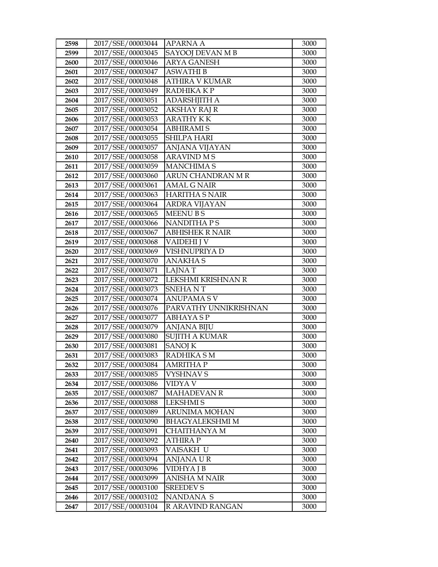| 2598 | 2017/SSE/00003044 | APARNA A              | 3000 |
|------|-------------------|-----------------------|------|
| 2599 | 2017/SSE/00003045 | SAYOOJ DEVAN M B      | 3000 |
| 2600 | 2017/SSE/00003046 | <b>ARYA GANESH</b>    | 3000 |
| 2601 | 2017/SSE/00003047 | <b>ASWATHI B</b>      | 3000 |
| 2602 | 2017/SSE/00003048 | ATHIRA V KUMAR        | 3000 |
| 2603 | 2017/SSE/00003049 | RADHIKA K P           | 3000 |
| 2604 | 2017/SSE/00003051 | <b>ADARSHJITH A</b>   | 3000 |
| 2605 | 2017/SSE/00003052 | <b>AKSHAY RAJ R</b>   | 3000 |
| 2606 | 2017/SSE/00003053 | <b>ARATHY KK</b>      | 3000 |
| 2607 | 2017/SSE/00003054 | <b>ABHIRAMIS</b>      | 3000 |
| 2608 | 2017/SSE/00003055 | <b>SHILPA HARI</b>    | 3000 |
| 2609 | 2017/SSE/00003057 | ANJANA VIJAYAN        | 3000 |
| 2610 | 2017/SSE/00003058 | <b>ARAVIND M S</b>    | 3000 |
| 2611 | 2017/SSE/00003059 | <b>MANCHIMA S</b>     | 3000 |
| 2612 | 2017/SSE/00003060 | ARUN CHANDRAN M R     | 3000 |
| 2613 | 2017/SSE/00003061 | <b>AMAL G NAIR</b>    | 3000 |
| 2614 | 2017/SSE/00003063 | <b>HARITHA S NAIR</b> | 3000 |
| 2615 | 2017/SSE/00003064 | ARDRA VIJAYAN         | 3000 |
| 2616 | 2017/SSE/00003065 | <b>MEENUBS</b>        | 3000 |
| 2617 | 2017/SSE/00003066 | <b>NANDITHAPS</b>     | 3000 |
| 2618 | 2017/SSE/00003067 | ABHISHEK R NAIR       | 3000 |
| 2619 | 2017/SSE/00003068 | VAIDEHI J V           | 3000 |
| 2620 | 2017/SSE/00003069 | VISHNUPRIYA D         | 3000 |
| 2621 | 2017/SSE/00003070 | <b>ANAKHAS</b>        | 3000 |
| 2622 | 2017/SSE/00003071 | LAJNA T               | 3000 |
|      |                   |                       |      |
| 2623 | 2017/SSE/00003072 | LEKSHMI KRISHNAN R    | 3000 |
| 2624 | 2017/SSE/00003073 | SNEHA N T             | 3000 |
| 2625 | 2017/SSE/00003074 | <b>ANUPAMA SV</b>     | 3000 |
| 2626 | 2017/SSE/00003076 | PARVATHY UNNIKRISHNAN | 3000 |
| 2627 | 2017/SSE/00003077 | <b>ABHAYASP</b>       | 3000 |
| 2628 | 2017/SSE/00003079 | <b>ANJANA BIJU</b>    | 3000 |
| 2629 | 2017/SSE/00003080 | <b>SUJITH A KUMAR</b> | 3000 |
| 2630 | 2017/SSE/00003081 | <b>SANOJ K</b>        | 3000 |
| 2631 | 2017/SSE/00003083 | RADHIKA SM            | 3000 |
| 2632 | 2017/SSE/00003084 | <b>AMRITHA P</b>      | 3000 |
| 2633 | 2017/SSE/00003085 | VYSHNAV S             | 3000 |
| 2634 | 2017/SSE/00003086 | VIDYA V               | 3000 |
| 2635 | 2017/SSE/00003087 | <b>MAHADEVAN R</b>    | 3000 |
| 2636 | 2017/SSE/00003088 | <b>LEKSHMIS</b>       | 3000 |
| 2637 | 2017/SSE/00003089 | ARUNIMA MOHAN         | 3000 |
| 2638 | 2017/SSE/00003090 | BHAGYALEKSHMI M       | 3000 |
| 2639 | 2017/SSE/00003091 | CHAITHANYA M          | 3000 |
| 2640 | 2017/SSE/00003092 | <b>ATHIRA P</b>       | 3000 |
| 2641 | 2017/SSE/00003093 | VAISAKH U             | 3000 |
| 2642 | 2017/SSE/00003094 | ANJANA U R            | 3000 |
| 2643 | 2017/SSE/00003096 | VIDHYA J B            | 3000 |
| 2644 | 2017/SSE/00003099 | <b>ANISHA M NAIR</b>  | 3000 |
| 2645 | 2017/SSE/00003100 | <b>SREEDEV S</b>      | 3000 |
| 2646 | 2017/SSE/00003102 | NANDANA S             | 3000 |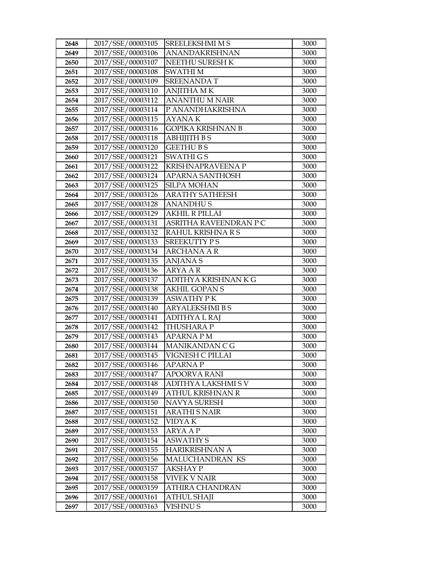| 2648 | 2017/SSE/00003105 | SREELEKSHMI M S          | 3000 |
|------|-------------------|--------------------------|------|
| 2649 | 2017/SSE/00003106 | ANANDAKRISHNAN           | 3000 |
| 2650 | 2017/SSE/00003107 | NEETHU SURESH K          | 3000 |
| 2651 | 2017/SSE/00003108 | <b>SWATHIM</b>           | 3000 |
| 2652 | 2017/SSE/00003109 | <b>SREENANDAT</b>        | 3000 |
| 2653 | 2017/SSE/00003110 | ANJITHA MK               | 3000 |
| 2654 | 2017/SSE/00003112 | <b>ANANTHU M NAIR</b>    | 3000 |
| 2655 | 2017/SSE/00003114 | P ANANDHAKRISHNA         | 3000 |
| 2656 | 2017/SSE/00003115 | <b>AYANAK</b>            | 3000 |
| 2657 | 2017/SSE/00003116 | <b>GOPIKA KRISHNAN B</b> | 3000 |
| 2658 | 2017/SSE/00003118 | ABHIJITH B S             | 3000 |
| 2659 | 2017/SSE/00003120 | <b>GEETHUBS</b>          | 3000 |
| 2660 | 2017/SSE/00003121 | <b>SWATHIGS</b>          | 3000 |
| 2661 | 2017/SSE/00003122 | KRISHNAPRAVEENA P        | 3000 |
| 2662 | 2017/SSE/00003124 | <b>APARNA SANTHOSH</b>   | 3000 |
| 2663 | 2017/SSE/00003125 | <b>SILPA MOHAN</b>       | 3000 |
| 2664 | 2017/SSE/00003126 | <b>ARATHY SATHEESH</b>   | 3000 |
| 2665 | 2017/SSE/00003128 | <b>ANANDHUS</b>          | 3000 |
| 2666 | 2017/SSE/00003129 | <b>AKHIL R PILLAI</b>    | 3000 |
| 2667 | 2017/SSE/00003131 | ASRITHA RAVEENDRAN P C   | 3000 |
| 2668 | 2017/SSE/00003132 | RAHUL KRISHNA R S        | 3000 |
| 2669 | 2017/SSE/00003133 | <b>SREEKUTTY PS</b>      | 3000 |
| 2670 | 2017/SSE/00003134 | <b>ARCHANA A R</b>       | 3000 |
| 2671 | 2017/SSE/00003135 | <b>ANJANAS</b>           | 3000 |
| 2672 | 2017/SSE/00003136 | <b>ARYA A R</b>          | 3000 |
| 2673 | 2017/SSE/00003137 | ADITHYA KRISHNAN K G     | 3000 |
| 2674 | 2017/SSE/00003138 | <b>AKHIL GOPAN S</b>     | 3000 |
| 2675 | 2017/SSE/00003139 | <b>ASWATHY PK</b>        | 3000 |
| 2676 | 2017/SSE/00003140 | <b>ARYALEKSHMI B S</b>   | 3000 |
| 2677 | 2017/SSE/00003141 | ADITHYA L RAJ            | 3000 |
| 2678 | 2017/SSE/00003142 | THUSHARA P               | 3000 |
| 2679 | 2017/SSE/00003143 | APARNA P M               | 3000 |
| 2680 | 2017/SSE/00003144 | MANIKANDAN C G           | 3000 |
| 2681 | 2017/SSE/00003145 | VIGNESH C PILLAI         | 3000 |
| 2682 | 2017/SSE/00003146 | <b>APARNA P</b>          | 3000 |
| 2683 | 2017/SSE/00003147 | APOORVA RANI             | 3000 |
| 2684 | 2017/SSE/00003148 | ADITHYA LAKSHMI S V      | 3000 |
| 2685 | 2017/SSE/00003149 | ATHUL KRISHNAN R         | 3000 |
| 2686 | 2017/SSE/00003150 | <b>NAVYA SURESH</b>      | 3000 |
| 2687 | 2017/SSE/00003151 | <b>ARATHI S NAIR</b>     | 3000 |
| 2688 | 2017/SSE/00003152 | VIDYA K                  | 3000 |
| 2689 | 2017/SSE/00003153 | ARYA A P                 | 3000 |
| 2690 | 2017/SSE/00003154 | <b>ASWATHY S</b>         | 3000 |
| 2691 | 2017/SSE/00003155 | HARIKRISHNAN A           | 3000 |
| 2692 | 2017/SSE/00003156 | MALUCHANDRAN KS          | 3000 |
| 2693 | 2017/SSE/00003157 | AKSHAY P                 | 3000 |
| 2694 | 2017/SSE/00003158 | VIVEK V NAIR             | 3000 |
| 2695 | 2017/SSE/00003159 | ATHIRA CHANDRAN          | 3000 |
| 2696 | 2017/SSE/00003161 | <b>ATHUL SHAJI</b>       | 3000 |
| 2697 | 2017/SSE/00003163 | VISHNU S                 | 3000 |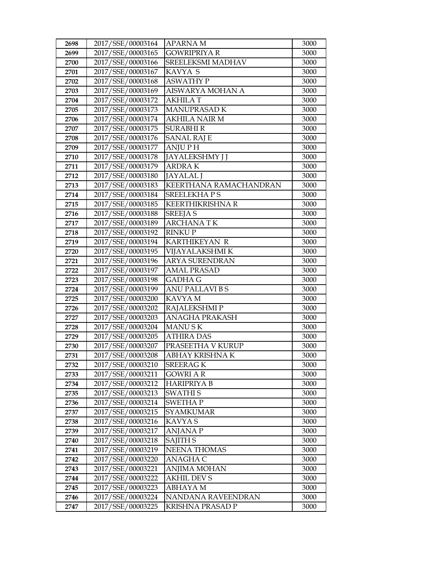| 2698 | 2017/SSE/00003164 | APARNA M                | 3000 |
|------|-------------------|-------------------------|------|
| 2699 | 2017/SSE/00003165 | <b>GOWRIPRIYA R</b>     | 3000 |
| 2700 | 2017/SSE/00003166 | SREELEKSMI MADHAV       | 3000 |
| 2701 | 2017/SSE/00003167 | KAVYA S                 | 3000 |
| 2702 | 2017/SSE/00003168 | <b>ASWATHY P</b>        | 3000 |
| 2703 | 2017/SSE/00003169 | AISWARYA MOHAN A        | 3000 |
| 2704 | 2017/SSE/00003172 | AKHILA T                | 3000 |
| 2705 | 2017/SSE/00003173 | MANUPRASAD K            | 3000 |
| 2706 | 2017/SSE/00003174 | <b>AKHILA NAIR M</b>    | 3000 |
| 2707 | 2017/SSE/00003175 | <b>SURABHIR</b>         | 3000 |
| 2708 | 2017/SSE/00003176 | <b>SANAL RAJ E</b>      | 3000 |
| 2709 | 2017/SSE/00003177 | <b>ANJUPH</b>           | 3000 |
| 2710 | 2017/SSE/00003178 | <b>JAYALEKSHMY J J</b>  | 3000 |
| 2711 | 2017/SSE/00003179 | <b>ARDRAK</b>           | 3000 |
| 2712 | 2017/SSE/00003180 | <b>JAYALAL J</b>        | 3000 |
| 2713 | 2017/SSE/00003183 | KEERTHANA RAMACHANDRAN  | 3000 |
| 2714 | 2017/SSE/00003184 | <b>SREELEKHAPS</b>      | 3000 |
| 2715 | 2017/SSE/00003185 | <b>KEERTHIKRISHNA R</b> | 3000 |
| 2716 | 2017/SSE/00003188 | <b>SREEJA S</b>         | 3000 |
| 2717 | 2017/SSE/00003189 | <b>ARCHANATK</b>        | 3000 |
| 2718 | 2017/SSE/00003192 | <b>RINKUP</b>           | 3000 |
| 2719 | 2017/SSE/00003194 | <b>KARTHIKEYAN R</b>    | 3000 |
| 2720 | 2017/SSE/00003195 | VIJAYALAKSHMI K         | 3000 |
| 2721 | 2017/SSE/00003196 | <b>ARYA SURENDRAN</b>   | 3000 |
| 2722 | 2017/SSE/00003197 | AMAL PRASAD             | 3000 |
| 2723 | 2017/SSE/00003198 | GADHA G                 | 3000 |
| 2724 | 2017/SSE/00003199 | <b>ANU PALLAVI B S</b>  | 3000 |
| 2725 | 2017/SSE/00003200 | KAVYA M                 | 3000 |
| 2726 | 2017/SSE/00003202 | RAJALEKSHMI P           | 3000 |
| 2727 | 2017/SSE/00003203 | <b>ANAGHA PRAKASH</b>   | 3000 |
| 2728 | 2017/SSE/00003204 | <b>MANUSK</b>           | 3000 |
| 2729 | 2017/SSE/00003205 | <b>ATHIRA DAS</b>       | 3000 |
| 2730 | 2017/SSE/00003207 | PRASEETHA V KURUP       | 3000 |
| 2731 | 2017/SSE/00003208 | ABHAY KRISHNA K         | 3000 |
| 2732 | 2017/SSE/00003210 | <b>SREERAGK</b>         | 3000 |
| 2733 | 2017/SSE/00003211 | GOWRI A R               | 3000 |
| 2734 | 2017/SSE/00003212 | <b>HARIPRIYA B</b>      | 3000 |
| 2735 | 2017/SSE/00003213 | <b>SWATHIS</b>          | 3000 |
| 2736 | 2017/SSE/00003214 | <b>SWETHAP</b>          | 3000 |
| 2737 | 2017/SSE/00003215 | <b>SYAMKUMAR</b>        | 3000 |
| 2738 | 2017/SSE/00003216 | KAVYA S                 | 3000 |
| 2739 | 2017/SSE/00003217 | <b>ANJANA P</b>         | 3000 |
| 2740 | 2017/SSE/00003218 | <b>SAJITH S</b>         | 3000 |
| 2741 | 2017/SSE/00003219 | NEENA THOMAS            | 3000 |
| 2742 | 2017/SSE/00003220 | ANAGHA C                | 3000 |
| 2743 | 2017/SSE/00003221 | ANJIMA MOHAN            | 3000 |
| 2744 | 2017/SSE/00003222 | AKHIL DEV S             | 3000 |
| 2745 | 2017/SSE/00003223 | ABHAYA M                | 3000 |
| 2746 | 2017/SSE/00003224 | NANDANA RAVEENDRAN      | 3000 |
| 2747 | 2017/SSE/00003225 | KRISHNA PRASAD P        | 3000 |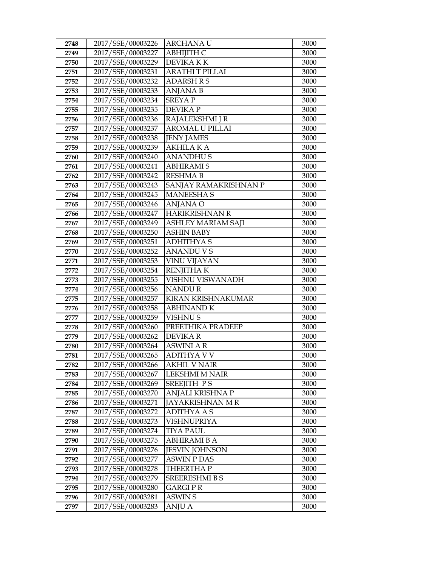| 2748         | 2017/SSE/00003226                      | <b>ARCHANAU</b>                 | 3000         |
|--------------|----------------------------------------|---------------------------------|--------------|
| 2749         | 2017/SSE/00003227                      | АВНІЈІТН С                      | 3000         |
| 2750         | 2017/SSE/00003229                      | DEVIKA K K                      | 3000         |
| 2751         | 2017/SSE/00003231                      | <b>ARATHI T PILLAI</b>          | 3000         |
| 2752         | 2017/SSE/00003232                      | <b>ADARSH R S</b>               | 3000         |
| 2753         | 2017/SSE/00003233                      | ANJANA B                        | 3000         |
| 2754         | 2017/SSE/00003234                      | <b>SREYAP</b>                   | 3000         |
| 2755         | 2017/SSE/00003235                      | <b>DEVIKAP</b>                  | 3000         |
| 2756         | 2017/SSE/00003236                      | RAJALEKSHMI J R                 | 3000         |
| 2757         | 2017/SSE/00003237                      | <b>AROMAL U PILLAI</b>          | 3000         |
| 2758         | 2017/SSE/00003238                      | <b>JENY JAMES</b>               | 3000         |
| 2759         | 2017/SSE/00003239                      | <b>AKHILA KA</b>                | 3000         |
| 2760         | 2017/SSE/00003240                      | <b>ANANDHUS</b>                 | 3000         |
| 2761         | 2017/SSE/00003241                      | <b>ABHIRAMI S</b>               | 3000         |
| 2762         | 2017/SSE/00003242                      | <b>RESHMA B</b>                 | 3000         |
| 2763         | 2017/SSE/00003243                      | SANJAY RAMAKRISHNAN P           | 3000         |
| 2764         | 2017/SSE/00003245                      | <b>MANEESHAS</b>                | 3000         |
| 2765         | 2017/SSE/00003246                      | <b>ANJANA O</b>                 | 3000         |
| 2766         | 2017/SSE/00003247                      | HARIKRISHNAN R                  | 3000         |
| 2767         | 2017/SSE/00003249                      | ASHLEY MARIAM SAJI              | 3000         |
| 2768         | 2017/SSE/00003250                      | <b>ASHIN BABY</b>               | 3000         |
| 2769         | 2017/SSE/00003251                      | <b>ADHITHYAS</b>                | 3000         |
| 2770         | 2017/SSE/00003252                      | <b>ANANDUVS</b>                 | 3000         |
| 2771         | 2017/SSE/00003253                      | <b>VINU VIJAYAN</b>             | 3000         |
| 2772         | 2017/SSE/00003254                      | <b>RENJITHAK</b>                | 3000         |
| 2773         | 2017/SSE/00003255                      | VISHNU VISWANADH                | 3000         |
| 2774         | 2017/SSE/00003256                      | <b>NANDUR</b>                   | 3000         |
| 2775         | 2017/SSE/00003257                      | KIRAN KRISHNAKUMAR              | 3000         |
| 2776         | 2017/SSE/00003258                      | <b>ABHINAND K</b>               | 3000         |
| 2777         | 2017/SSE/00003259                      | <b>VISHNUS</b>                  | 3000         |
| 2778         | 2017/SSE/00003260                      | PREETHIKA PRADEEP               | 3000         |
| 2779         | 2017/SSE/00003262                      | <b>DEVIKAR</b>                  | 3000         |
| 2780         | 2017/SSE/00003264                      | <b>ASWINI A R</b>               | 3000         |
| 2781         | 2017/SSE/00003265                      | <b>ADITHYA V V</b>              | 3000         |
| 2782         | 2017/SSE/00003266                      | <b>AKHIL V NAIR</b>             | 3000         |
| 2783         | 2017/SSE/00003267                      | LEKSHMI M NAIR                  | 3000         |
| 2784<br>2785 | 2017/SSE/00003269<br>2017/SSE/00003270 | SREEJITH PS<br>ANJALI KRISHNA P | 3000<br>3000 |
| 2786         | 2017/SSE/00003271                      | JAYAKRISHNAN M R                | 3000         |
| 2787         | 2017/SSE/00003272                      | ADITHYA A S                     | 3000         |
| 2788         | 2017/SSE/00003273                      | VISHNUPRIYA                     | 3000         |
| 2789         | 2017/SSE/00003274                      | TIYA PAUL                       | 3000         |
| 2790         | 2017/SSE/00003275                      | <b>ABHIRAMI B A</b>             | 3000         |
| 2791         | 2017/SSE/00003276                      | <b>JESVIN JOHNSON</b>           | 3000         |
| 2792         | 2017/SSE/00003277                      | <b>ASWIN P DAS</b>              | 3000         |
| 2793         | 2017/SSE/00003278                      | <b>THEERTHAP</b>                | 3000         |
| 2794         | 2017/SSE/00003279                      | <b>SREERESHMI B S</b>           | 3000         |
| 2795         | 2017/SSE/00003280                      | <b>GARGIPR</b>                  | 3000         |
| 2796         | 2017/SSE/00003281                      | <b>ASWIN S</b>                  | 3000         |
| 2797         | 2017/SSE/00003283                      | ANJU A                          | 3000         |
|              |                                        |                                 |              |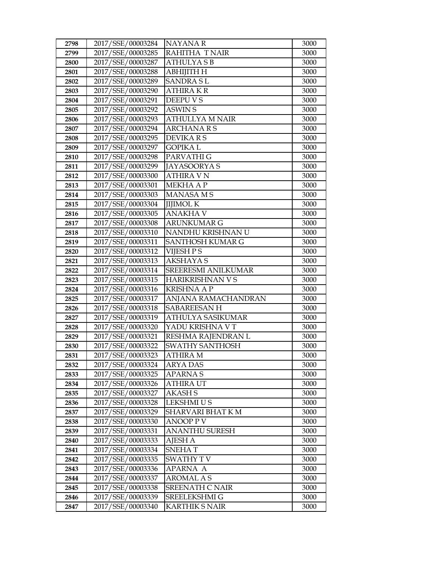| 2798 | 2017/SSE/00003284 | <b>NAYANAR</b>          | 3000 |
|------|-------------------|-------------------------|------|
| 2799 | 2017/SSE/00003285 | RAHITHA T NAIR          | 3000 |
| 2800 | 2017/SSE/00003287 | <b>ATHULYASB</b>        | 3000 |
| 2801 | 2017/SSE/00003288 | АВНІЈІТН Н              | 3000 |
| 2802 | 2017/SSE/00003289 | <b>SANDRASL</b>         | 3000 |
| 2803 | 2017/SSE/00003290 | ATHIRA K R              | 3000 |
| 2804 | 2017/SSE/00003291 | DEEPU V S               | 3000 |
| 2805 | 2017/SSE/00003292 | <b>ASWIN S</b>          | 3000 |
| 2806 | 2017/SSE/00003293 | <b>ATHULLYA M NAIR</b>  | 3000 |
| 2807 | 2017/SSE/00003294 | <b>ARCHANARS</b>        | 3000 |
| 2808 | 2017/SSE/00003295 | DEVIKA R S              | 3000 |
| 2809 | 2017/SSE/00003297 | GOPIKA L                | 3000 |
| 2810 | 2017/SSE/00003298 | PARVATHI G              | 3000 |
| 2811 | 2017/SSE/00003299 | <b>JAYASOORYA S</b>     | 3000 |
| 2812 | 2017/SSE/00003300 | ATHIRA V N              | 3000 |
| 2813 | 2017/SSE/00003301 | <b>MEKHAAP</b>          | 3000 |
| 2814 | 2017/SSE/00003303 | MANASA M S              | 3000 |
| 2815 | 2017/SSE/00003304 | <b>IIJIMOL K</b>        | 3000 |
| 2816 | 2017/SSE/00003305 | <b>ANAKHA V</b>         | 3000 |
| 2817 | 2017/SSE/00003308 | <b>ARUNKUMAR G</b>      | 3000 |
| 2818 | 2017/SSE/00003310 | NANDHU KRISHNAN U       | 3000 |
| 2819 | 2017/SSE/00003311 | SANTHOSH KUMAR G        | 3000 |
| 2820 | 2017/SSE/00003312 | VIJESH P S              | 3000 |
| 2821 | 2017/SSE/00003313 | <b>AKSHAYAS</b>         | 3000 |
| 2822 | 2017/SSE/00003314 | SREERESMI ANILKUMAR     | 3000 |
|      |                   |                         |      |
| 2823 | 2017/SSE/00003315 | <b>HARIKRISHNAN V S</b> | 3000 |
| 2824 | 2017/SSE/00003316 | <b>KRISHNA A P</b>      | 3000 |
| 2825 | 2017/SSE/00003317 | ANJANA RAMACHANDRAN     | 3000 |
| 2826 | 2017/SSE/00003318 | <b>SABAREESANH</b>      | 3000 |
| 2827 | 2017/SSE/00003319 | ATHULYA SASIKUMAR       | 3000 |
| 2828 | 2017/SSE/00003320 | YADU KRISHNA V T        | 3000 |
| 2829 | 2017/SSE/00003321 | RESHMA RAJENDRAN L      | 3000 |
| 2830 | 2017/SSE/00003322 | SWATHY SANTHOSH         | 3000 |
| 2831 | 2017/SSE/00003323 | ATHIRA M                | 3000 |
| 2832 | 2017/SSE/00003324 | <b>ARYA DAS</b>         | 3000 |
| 2833 | 2017/SSE/00003325 | APARNA S                | 3000 |
| 2834 | 2017/SSE/00003326 | ATHIRA UT               | 3000 |
| 2835 | 2017/SSE/00003327 | <b>AKASH S</b>          | 3000 |
| 2836 | 2017/SSE/00003328 | <b>LEKSHMI U S</b>      | 3000 |
| 2837 | 2017/SSE/00003329 | SHARVARI BHAT K M       | 3000 |
| 2838 | 2017/SSE/00003330 | ANOOP P V               | 3000 |
| 2839 | 2017/SSE/00003331 | ANANTHU SURESH          | 3000 |
| 2840 | 2017/SSE/00003333 | <b>AJESH A</b>          | 3000 |
| 2841 | 2017/SSE/00003334 | <b>SNEHAT</b>           | 3000 |
| 2842 | 2017/SSE/00003335 | SWATHY T V              | 3000 |
| 2843 | 2017/SSE/00003336 | APARNA A                | 3000 |
| 2844 | 2017/SSE/00003337 | <b>AROMAL A S</b>       | 3000 |
| 2845 | 2017/SSE/00003338 | <b>SREENATH C NAIR</b>  | 3000 |
| 2846 | 2017/SSE/00003339 | SREELEKSHMI G           | 3000 |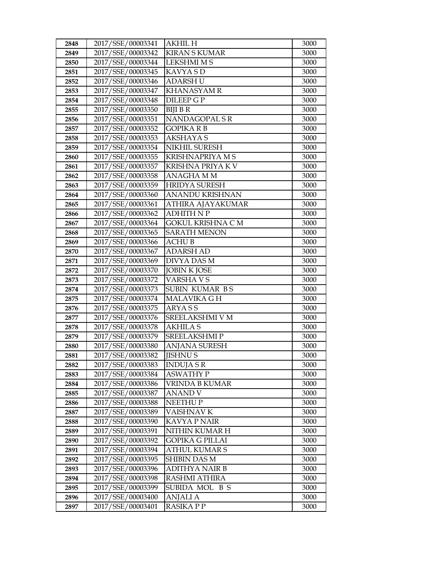| 2848 | 2017/SSE/00003341 | <b>AKHIL H</b>           | 3000 |
|------|-------------------|--------------------------|------|
| 2849 | 2017/SSE/00003342 | <b>KIRAN S KUMAR</b>     | 3000 |
| 2850 | 2017/SSE/00003344 | <b>LEKSHMI M S</b>       | 3000 |
| 2851 | 2017/SSE/00003345 | <b>KAVYASD</b>           | 3000 |
| 2852 | 2017/SSE/00003346 | <b>ADARSH U</b>          | 3000 |
| 2853 | 2017/SSE/00003347 | <b>KHANASYAM R</b>       | 3000 |
| 2854 | 2017/SSE/00003348 | DILEEP G P               | 3000 |
| 2855 | 2017/SSE/00003350 | <b>BIJI B R</b>          | 3000 |
| 2856 | 2017/SSE/00003351 | NANDAGOPAL SR            | 3000 |
| 2857 | 2017/SSE/00003352 | <b>GOPIKA R B</b>        | 3000 |
| 2858 | 2017/SSE/00003353 | <b>AKSHAYA S</b>         | 3000 |
| 2859 | 2017/SSE/00003354 | NIKHIL SURESH            | 3000 |
| 2860 | 2017/SSE/00003355 | <b>KRISHNAPRIYA M S</b>  | 3000 |
| 2861 | 2017/SSE/00003357 | KRISHNA PRIYA K V        | 3000 |
| 2862 | 2017/SSE/00003358 | ANAGHA M M               | 3000 |
| 2863 | 2017/SSE/00003359 | <b>HRIDYA SURESH</b>     | 3000 |
| 2864 | 2017/SSE/00003360 | <b>ANANDU KRISHNAN</b>   | 3000 |
| 2865 | 2017/SSE/00003361 | ATHIRA AJAYAKUMAR        | 3000 |
| 2866 | 2017/SSE/00003362 | <b>ADHITH N P</b>        | 3000 |
| 2867 | 2017/SSE/00003364 | <b>GOKUL KRISHNA C M</b> | 3000 |
| 2868 | 2017/SSE/00003365 | <b>SARATH MENON</b>      | 3000 |
| 2869 | 2017/SSE/00003366 | <b>ACHUB</b>             | 3000 |
| 2870 | 2017/SSE/00003367 | <b>ADARSH AD</b>         | 3000 |
| 2871 | 2017/SSE/00003369 | DIVYA DAS M              | 3000 |
| 2872 | 2017/SSE/00003370 | <b>JOBIN K JOSE</b>      | 3000 |
| 2873 | 2017/SSE/00003372 | VARSHA V S               | 3000 |
| 2874 | 2017/SSE/00003373 | SUBIN KUMAR BS           | 3000 |
| 2875 | 2017/SSE/00003374 | MALAVIKA G H             | 3000 |
| 2876 | 2017/SSE/00003375 | <b>ARYASS</b>            | 3000 |
| 2877 | 2017/SSE/00003376 | <b>SREELAKSHMI V M</b>   | 3000 |
| 2878 | 2017/SSE/00003378 | <b>AKHILA S</b>          | 3000 |
| 2879 | 2017/SSE/00003379 | <b>SREELAKSHMIP</b>      | 3000 |
| 2880 | 2017/SSE/00003380 | <b>ANJANA SURESH</b>     | 3000 |
| 2881 | 2017/SSE/00003382 | <b>JISHNUS</b>           | 3000 |
| 2882 | 2017/SSE/00003383 | <b>INDUJA S R</b>        | 3000 |
| 2883 | 2017/SSE/00003384 | <b>ASWATHY P</b>         | 3000 |
| 2884 | 2017/SSE/00003386 | <b>VRINDA B KUMAR</b>    | 3000 |
| 2885 | 2017/SSE/00003387 | <b>ANAND V</b>           | 3000 |
| 2886 | 2017/SSE/00003388 | NEETHU P                 | 3000 |
| 2887 | 2017/SSE/00003389 | VAISHNAV K               | 3000 |
| 2888 | 2017/SSE/00003390 | <b>KAVYA P NAIR</b>      | 3000 |
| 2889 | 2017/SSE/00003391 | NITHIN KUMAR H           | 3000 |
| 2890 | 2017/SSE/00003392 | <b>GOPIKA G PILLAI</b>   | 3000 |
| 2891 | 2017/SSE/00003394 | <b>ATHUL KUMAR S</b>     | 3000 |
| 2892 | 2017/SSE/00003395 | SHIBIN DAS M             | 3000 |
| 2893 | 2017/SSE/00003396 | <b>ADITHYA NAIR B</b>    | 3000 |
| 2894 | 2017/SSE/00003398 | RASHMI ATHIRA            | 3000 |
| 2895 | 2017/SSE/00003399 | SUBIDA MOL B S           | 3000 |
| 2896 | 2017/SSE/00003400 | <b>ANJALI A</b>          | 3000 |
| 2897 | 2017/SSE/00003401 | <b>RASIKA PP</b>         | 3000 |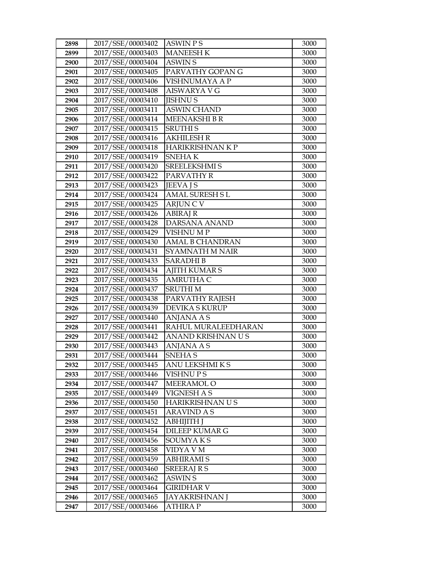| 2898 | 2017/SSE/00003402 | <b>ASWIN PS</b>        | 3000 |
|------|-------------------|------------------------|------|
| 2899 | 2017/SSE/00003403 | <b>MANEESH K</b>       | 3000 |
| 2900 | 2017/SSE/00003404 | <b>ASWIN S</b>         | 3000 |
| 2901 | 2017/SSE/00003405 | PARVATHY GOPAN G       | 3000 |
| 2902 | 2017/SSE/00003406 | VISHNUMAYA A P         | 3000 |
| 2903 | 2017/SSE/00003408 | <b>AISWARYA V G</b>    | 3000 |
| 2904 | 2017/SSE/00003410 | <b>JISHNU S</b>        | 3000 |
| 2905 | 2017/SSE/00003411 | <b>ASWIN CHAND</b>     | 3000 |
| 2906 | 2017/SSE/00003414 | <b>MEENAKSHIBR</b>     | 3000 |
| 2907 | 2017/SSE/00003415 | <b>SRUTHIS</b>         | 3000 |
| 2908 | 2017/SSE/00003416 | <b>AKHILESH R</b>      | 3000 |
| 2909 | 2017/SSE/00003418 | HARIKRISHNAN K P       | 3000 |
| 2910 | 2017/SSE/00003419 | <b>SNEHAK</b>          | 3000 |
| 2911 | 2017/SSE/00003420 | <b>SREELEKSHMI S</b>   | 3000 |
| 2912 | 2017/SSE/00003422 | PARVATHY R             | 3000 |
| 2913 | 2017/SSE/00003423 | <b>JEEVA IS</b>        | 3000 |
| 2914 | 2017/SSE/00003424 | <b>AMAL SURESH SL</b>  | 3000 |
| 2915 | 2017/SSE/00003425 | <b>ARJUNCV</b>         | 3000 |
| 2916 | 2017/SSE/00003426 | <b>ABIRAJ R</b>        | 3000 |
| 2917 | 2017/SSE/00003428 | DARSANA ANAND          | 3000 |
| 2918 | 2017/SSE/00003429 | <b>VISHNU MP</b>       | 3000 |
| 2919 | 2017/SSE/00003430 | <b>AMAL B CHANDRAN</b> | 3000 |
| 2920 | 2017/SSE/00003431 | SYAMNATH M NAIR        | 3000 |
| 2921 | 2017/SSE/00003433 | <b>SARADHIB</b>        | 3000 |
| 2922 | 2017/SSE/00003434 | <b>AJITH KUMAR S</b>   | 3000 |
| 2923 | 2017/SSE/00003435 | <b>AMRUTHA C</b>       | 3000 |
| 2924 | 2017/SSE/00003437 | <b>SRUTHIM</b>         | 3000 |
| 2925 | 2017/SSE/00003438 | PARVATHY RAJESH        | 3000 |
| 2926 | 2017/SSE/00003439 | <b>DEVIKA S KURUP</b>  | 3000 |
| 2927 | 2017/SSE/00003440 | <b>ANJANA A S</b>      | 3000 |
| 2928 | 2017/SSE/00003441 | RAHUL MURALEEDHARAN    | 3000 |
| 2929 | 2017/SSE/00003442 | ANAND KRISHNAN U S     | 3000 |
| 2930 | 2017/SSE/00003443 | ANJANA A S             | 3000 |
| 2931 | 2017/SSE/00003444 | <b>SNEHAS</b>          | 3000 |
| 2932 | 2017/SSE/00003445 | ANU LEKSHMI K S        | 3000 |
| 2933 | 2017/SSE/00003446 | <b>VISHNUPS</b>        | 3000 |
| 2934 | 2017/SSE/00003447 | <b>MEERAMOL O</b>      | 3000 |
| 2935 | 2017/SSE/00003449 | <b>VIGNESH A S</b>     | 3000 |
| 2936 | 2017/SSE/00003450 | HARIKRISHNAN US        | 3000 |
| 2937 | 2017/SSE/00003451 | <b>ARAVIND A S</b>     | 3000 |
| 2938 | 2017/SSE/00003452 | ABHIJITH J             | 3000 |
| 2939 | 2017/SSE/00003454 | DILEEP KUMAR G         | 3000 |
| 2940 | 2017/SSE/00003456 | <b>SOUMYAKS</b>        | 3000 |
| 2941 | 2017/SSE/00003458 | VIDYA V M              | 3000 |
| 2942 | 2017/SSE/00003459 | <b>ABHIRAMI S</b>      | 3000 |
| 2943 | 2017/SSE/00003460 | <b>SREERAJ R S</b>     | 3000 |
| 2944 | 2017/SSE/00003462 | ASWIN S                | 3000 |
| 2945 | 2017/SSE/00003464 | GIRIDHAR V             | 3000 |
| 2946 | 2017/SSE/00003465 | <b>JAYAKRISHNAN J</b>  | 3000 |
| 2947 | 2017/SSE/00003466 | ATHIRA P               | 3000 |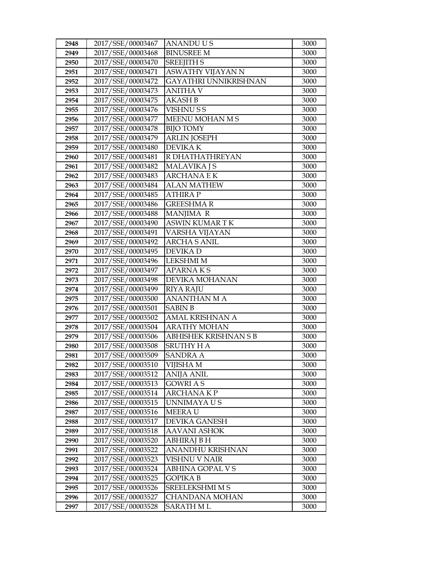| 2948         | 2017/SSE/00003467                      | <b>ANANDUUS</b>                      | 3000         |
|--------------|----------------------------------------|--------------------------------------|--------------|
| 2949         | 2017/SSE/00003468                      | <b>BINUSREE M</b>                    | 3000         |
| 2950         | 2017/SSE/00003470                      | <b>SREEJITH S</b>                    | 3000         |
| 2951         | 2017/SSE/00003471                      | ASWATHY VIJAYAN N                    | 3000         |
| 2952         | 2017/SSE/00003472                      | GAYATHRI UNNIKRISHNAN                | 3000         |
| 2953         | 2017/SSE/00003473                      | ANITHA V                             | 3000         |
| 2954         | 2017/SSE/00003475                      | <b>AKASH B</b>                       | 3000         |
| 2955         | 2017/SSE/00003476                      | <b>VISHNUSS</b>                      | 3000         |
| 2956         | 2017/SSE/00003477                      | MEENU MOHAN M S                      | 3000         |
| 2957         | 2017/SSE/00003478                      | <b>BIJO TOMY</b>                     | 3000         |
| 2958         | 2017/SSE/00003479                      | <b>ARLIN JOSEPH</b>                  | 3000         |
| 2959         | 2017/SSE/00003480                      | <b>DEVIKAK</b>                       | 3000         |
| 2960         | 2017/SSE/00003481                      | R DHATHATHREYAN                      | 3000         |
| 2961         | 2017/SSE/00003482                      | <b>MALAVIKA J S</b>                  | 3000         |
| 2962         | 2017/SSE/00003483                      | <b>ARCHANAEK</b>                     | 3000         |
| 2963         | 2017/SSE/00003484                      | ALAN MATHEW                          | 3000         |
| 2964         | 2017/SSE/00003485                      | <b>ATHIRAP</b>                       | 3000         |
| 2965         | 2017/SSE/00003486                      | <b>GREESHMAR</b>                     | 3000         |
| 2966         | 2017/SSE/00003488                      | MANJIMA R                            | 3000         |
| 2967         | 2017/SSE/00003490                      | <b>ASWIN KUMAR T K</b>               | 3000         |
| 2968         | 2017/SSE/00003491                      | VARSHA VIJAYAN                       | 3000         |
| 2969         | 2017/SSE/00003492                      | <b>ARCHA S ANIL</b>                  | 3000         |
| 2970         | 2017/SSE/00003495                      | DEVIKA D                             | 3000         |
| 2971         | 2017/SSE/00003496                      | <b>LEKSHMI M</b>                     | 3000         |
| 2972         | 2017/SSE/00003497                      | <b>APARNAKS</b>                      | 3000         |
| 2973         | 2017/SSE/00003498                      | DEVIKA MOHANAN                       | 3000         |
| 2974         | 2017/SSE/00003499                      | <b>RIYA RAJU</b>                     | 3000         |
| 2975         | 2017/SSE/00003500                      | <b>ANANTHAN M A</b>                  | 3000         |
| 2976         | 2017/SSE/00003501                      | <b>SABIN B</b>                       | 3000         |
| 2977         | 2017/SSE/00003502                      | <b>AMAL KRISHNAN A</b>               | 3000         |
| 2978         | 2017/SSE/00003504                      | <b>ARATHY MOHAN</b>                  | 3000         |
| 2979         | 2017/SSE/00003506                      | <b>ABHISHEK KRISHNAN S B</b>         | 3000         |
| 2980         | 2017/SSE/00003508                      | <b>SRUTHY HA</b>                     | 3000         |
| 2981         | 2017/SSE/00003509                      | <b>SANDRA A</b>                      | 3000         |
| 2982         | 2017/SSE/00003510                      | VIJISHA M                            | 3000         |
| 2983         | 2017/SSE/00003512                      | ANIJA ANIL                           | 3000         |
| 2984         | 2017/SSE/00003513                      | <b>GOWRI A S</b>                     | 3000         |
| 2985         | 2017/SSE/00003514                      | <b>ARCHANAKP</b>                     | 3000         |
| 2986<br>2987 | 2017/SSE/00003515<br>2017/SSE/00003516 | UNNIMAYA U S<br><b>MEERAU</b>        | 3000<br>3000 |
|              | 2017/SSE/00003517                      |                                      | 3000         |
| 2988<br>2989 | 2017/SSE/00003518                      | DEVIKA GANESH<br><b>AAVANI ASHOK</b> | 3000         |
| 2990         | 2017/SSE/00003520                      | <b>ABHIRAJ B H</b>                   | 3000         |
| 2991         | 2017/SSE/00003522                      | <b>ANANDHU KRISHNAN</b>              | 3000         |
| 2992         | 2017/SSE/00003523                      | VISHNU V NAIR                        | 3000         |
| 2993         | 2017/SSE/00003524                      | ABHINA GOPAL V S                     | 3000         |
| 2994         | 2017/SSE/00003525                      | GOPIKA B                             | 3000         |
| 2995         | 2017/SSE/00003526                      | SREELEKSHMI M S                      | 3000         |
| 2996         | 2017/SSE/00003527                      | <b>CHANDANA MOHAN</b>                | 3000         |
| 2997         | 2017/SSE/00003528                      | SARATH M L                           | 3000         |
|              |                                        |                                      |              |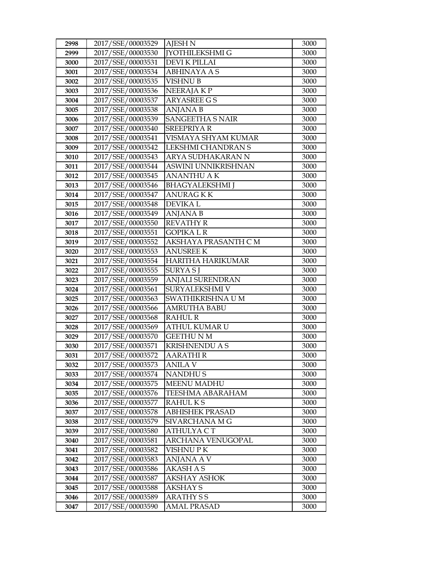| 2998 | 2017/SSE/00003529 | <b>AJESH N</b>          | 3000 |
|------|-------------------|-------------------------|------|
| 2999 | 2017/SSE/00003530 | <b>IYOTHILEKSHMI G</b>  | 3000 |
| 3000 | 2017/SSE/00003531 | <b>DEVI K PILLAI</b>    | 3000 |
| 3001 | 2017/SSE/00003534 | <b>ABHINAYA A S</b>     | 3000 |
| 3002 | 2017/SSE/00003535 | <b>VISHNU B</b>         | 3000 |
| 3003 | 2017/SSE/00003536 | NEERAJA KP              | 3000 |
| 3004 | 2017/SSE/00003537 | <b>ARYASREE GS</b>      | 3000 |
| 3005 | 2017/SSE/00003538 | <b>ANJANA B</b>         | 3000 |
| 3006 | 2017/SSE/00003539 | <b>SANGEETHA S NAIR</b> | 3000 |
| 3007 | 2017/SSE/00003540 | <b>SREEPRIYA R</b>      | 3000 |
| 3008 | 2017/SSE/00003541 | VISMAYA SHYAM KUMAR     | 3000 |
| 3009 | 2017/SSE/00003542 | LEKSHMI CHANDRAN S      | 3000 |
| 3010 | 2017/SSE/00003543 | ARYA SUDHAKARAN N       | 3000 |
| 3011 | 2017/SSE/00003544 | ASWINI UNNIKRISHNAN     | 3000 |
| 3012 | 2017/SSE/00003545 | <b>ANANTHU AK</b>       | 3000 |
| 3013 | 2017/SSE/00003546 | <b>BHAGYALEKSHMI</b> J  | 3000 |
| 3014 | 2017/SSE/00003547 | ANURAG K K              | 3000 |
| 3015 | 2017/SSE/00003548 | <b>DEVIKAL</b>          | 3000 |
| 3016 | 2017/SSE/00003549 | <b>ANJANA B</b>         | 3000 |
| 3017 | 2017/SSE/00003550 | <b>REVATHY R</b>        | 3000 |
| 3018 | 2017/SSE/00003551 | <b>GOPIKA L R</b>       | 3000 |
| 3019 | 2017/SSE/00003552 | AKSHAYA PRASANTH C M    | 3000 |
| 3020 | 2017/SSE/00003553 | <b>ANUSREE K</b>        | 3000 |
| 3021 | 2017/SSE/00003554 | HARITHA HARIKUMAR       | 3000 |
| 3022 | 2017/SSE/00003555 | SURYA SJ                | 3000 |
| 3023 | 2017/SSE/00003559 | <b>ANJALI SURENDRAN</b> | 3000 |
| 3024 | 2017/SSE/00003561 | SURYALEKSHMI V          | 3000 |
| 3025 | 2017/SSE/00003563 | SWATHIKRISHNA U M       | 3000 |
| 3026 | 2017/SSE/00003566 | <b>AMRUTHA BABU</b>     | 3000 |
| 3027 | 2017/SSE/00003568 | <b>RAHUL R</b>          | 3000 |
| 3028 | 2017/SSE/00003569 | ATHUL KUMAR U           | 3000 |
| 3029 | 2017/SSE/00003570 | <b>GEETHU N M</b>       | 3000 |
| 3030 | 2017/SSE/00003571 | <b>KRISHNENDU A S</b>   | 3000 |
| 3031 | 2017/SSE/00003572 | <b>AARATHIR</b>         | 3000 |
| 3032 | 2017/SSE/00003573 | <b>ANILA V</b>          | 3000 |
| 3033 | 2017/SSE/00003574 | <b>NANDHUS</b>          | 3000 |
| 3034 | 2017/SSE/00003575 | MEENU MADHU             | 3000 |
| 3035 | 2017/SSE/00003576 | TEESHMA ABARAHAM        | 3000 |
| 3036 | 2017/SSE/00003577 | RAHULKS                 | 3000 |
| 3037 | 2017/SSE/00003578 | <b>ABHISHEK PRASAD</b>  | 3000 |
| 3038 | 2017/SSE/00003579 | SIVARCHANA M G          | 3000 |
| 3039 | 2017/SSE/00003580 | ATHULYA C T             | 3000 |
| 3040 | 2017/SSE/00003581 | ARCHANA VENUGOPAL       | 3000 |
| 3041 | 2017/SSE/00003582 | VISHNU PK               | 3000 |
| 3042 | 2017/SSE/00003583 | ANJANA A V              | 3000 |
| 3043 | 2017/SSE/00003586 | AKASH A S               | 3000 |
| 3044 | 2017/SSE/00003587 | <b>AKSHAY ASHOK</b>     | 3000 |
| 3045 | 2017/SSE/00003588 | <b>AKSHAY S</b>         | 3000 |
| 3046 | 2017/SSE/00003589 | <b>ARATHY SS</b>        | 3000 |
| 3047 | 2017/SSE/00003590 | <b>AMAL PRASAD</b>      | 3000 |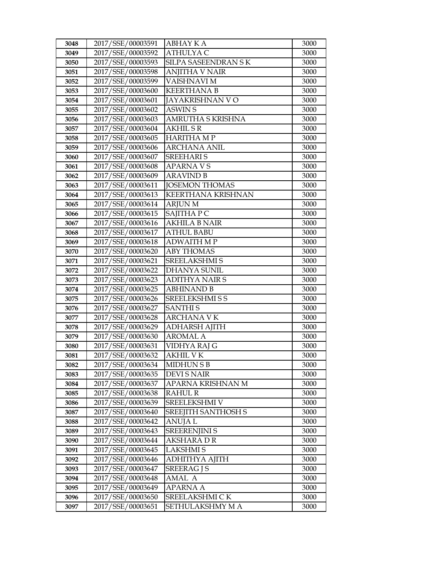| 3048         | 2017/SSE/00003591                      | ABHAY K A                    | 3000         |
|--------------|----------------------------------------|------------------------------|--------------|
| 3049         | 2017/SSE/00003592                      | <b>ATHULYAC</b>              | 3000         |
| 3050         | 2017/SSE/00003593                      | SILPA SASEENDRAN SK          | 3000         |
| 3051         | 2017/SSE/00003598                      | <b>ANJITHA V NAIR</b>        | 3000         |
| 3052         | 2017/SSE/00003599                      | VAISHNAVI M                  | 3000         |
| 3053         | 2017/SSE/00003600                      | <b>KEERTHANA B</b>           | 3000         |
| 3054         | 2017/SSE/00003601                      | JAYAKRISHNAN V O             | 3000         |
| 3055         | 2017/SSE/00003602                      | <b>ASWIN S</b>               | 3000         |
| 3056         | 2017/SSE/00003603                      | AMRUTHA S KRISHNA            | 3000         |
| 3057         | 2017/SSE/00003604                      | <b>AKHILSR</b>               | 3000         |
| 3058         | 2017/SSE/00003605                      | <b>HARITHA MP</b>            | 3000         |
| 3059         | 2017/SSE/00003606                      | <b>ARCHANA ANIL</b>          | 3000         |
| 3060         | 2017/SSE/00003607                      | <b>SREEHARIS</b>             | 3000         |
| 3061         | 2017/SSE/00003608                      | <b>APARNAVS</b>              | 3000         |
| 3062         | 2017/SSE/00003609                      | <b>ARAVIND B</b>             | 3000         |
| 3063         | 2017/SSE/00003611                      | <b>JOSEMON THOMAS</b>        | 3000         |
| 3064         | 2017/SSE/00003613                      | <b>KEERTHANA KRISHNAN</b>    | 3000         |
| 3065         | 2017/SSE/00003614                      | <b>ARJUN M</b>               | 3000         |
| 3066         | 2017/SSE/00003615                      | SAJITHA P C                  | 3000         |
| 3067         | 2017/SSE/00003616                      | <b>AKHILA B NAIR</b>         | 3000         |
| 3068         | 2017/SSE/00003617                      | <b>ATHUL BABU</b>            | 3000         |
| 3069         | 2017/SSE/00003618                      | <b>ADWAITH MP</b>            | 3000         |
| 3070         | 2017/SSE/00003620                      | <b>ABY THOMAS</b>            | 3000         |
| 3071         | 2017/SSE/00003621                      | SREELAKSHMI S                | 3000         |
| 3072         | 2017/SSE/00003622                      | <b>DHANYA SUNIL</b>          | 3000         |
| 3073         | 2017/SSE/00003623                      | <b>ADITHYA NAIR S</b>        | 3000         |
| 3074         | 2017/SSE/00003625                      | <b>ABHINAND B</b>            | 3000         |
| 3075         | 2017/SSE/00003626                      | <b>SREELEKSHMI S S</b>       | 3000         |
| 3076         | 2017/SSE/00003627                      | <b>SANTHIS</b>               | 3000         |
| 3077         | 2017/SSE/00003628                      | <b>ARCHANA V K</b>           | 3000         |
| 3078         | 2017/SSE/00003629                      | <b>ADHARSH AJITH</b>         | 3000         |
| 3079         | 2017/SSE/00003630                      | AROMAL A                     | 3000         |
| 3080         | 2017/SSE/00003631                      | VIDHYA RAJ G                 | 3000         |
| 3081         | 2017/SSE/00003632<br>2017/SSE/00003634 | AKHIL V K<br><b>MIDHUNSB</b> | 3000<br>3000 |
| 3082         | 2017/SSE/00003635                      | DEVI S NAIR                  | 3000         |
| 3083<br>3084 | 2017/SSE/00003637                      | APARNA KRISHNAN M            | 3000         |
| 3085         | 2017/SSE/00003638                      | <b>RAHUL R</b>               | 3000         |
| 3086         | 2017/SSE/00003639                      | SREELEKSHMI V                | 3000         |
| 3087         | 2017/SSE/00003640                      | <b>SREEJITH SANTHOSH S</b>   | 3000         |
| 3088         | 2017/SSE/00003642                      | ANUJA L                      | 3000         |
| 3089         | 2017/SSE/00003643                      | <b>SREERENJINI S</b>         | 3000         |
| 3090         | 2017/SSE/00003644                      | AKSHARA DR                   | 3000         |
| 3091         | 2017/SSE/00003645                      | <b>LAKSHMIS</b>              | 3000         |
| 3092         | 2017/SSE/00003646                      | ADHITHYA AJITH               | 3000         |
| 3093         | 2017/SSE/00003647                      | <b>SREERAG J S</b>           | 3000         |
| 3094         | 2017/SSE/00003648                      | AMAL A                       | 3000         |
| 3095         | 2017/SSE/00003649                      | <b>APARNA A</b>              | 3000         |
| 3096         | 2017/SSE/00003650                      | SREELAKSHMI CK               | 3000         |
| 3097         | 2017/SSE/00003651                      | SETHULAKSHMY M A             | 3000         |
|              |                                        |                              |              |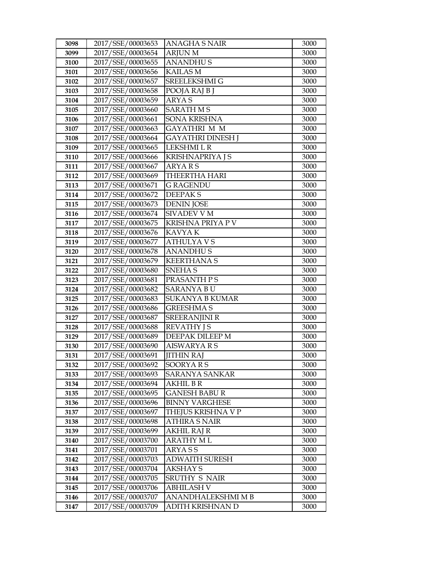| 3098 | 2017/SSE/00003653 | ANAGHA S NAIR           | 3000 |
|------|-------------------|-------------------------|------|
| 3099 | 2017/SSE/00003654 | <b>ARJUN M</b>          | 3000 |
| 3100 | 2017/SSE/00003655 | <b>ANANDHUS</b>         | 3000 |
| 3101 | 2017/SSE/00003656 | <b>KAILAS M</b>         | 3000 |
| 3102 | 2017/SSE/00003657 | SREELEKSHMI G           | 3000 |
| 3103 | 2017/SSE/00003658 | POOJA RAJ B J           | 3000 |
| 3104 | 2017/SSE/00003659 | <b>ARYAS</b>            | 3000 |
| 3105 | 2017/SSE/00003660 | <b>SARATH MS</b>        | 3000 |
| 3106 | 2017/SSE/00003661 | <b>SONA KRISHNA</b>     | 3000 |
| 3107 | 2017/SSE/00003663 | <b>GAYATHRI M M</b>     | 3000 |
| 3108 | 2017/SSE/00003664 | GAYATHRI DINESH J       | 3000 |
| 3109 | 2017/SSE/00003665 | LEKSHMI L R             | 3000 |
| 3110 | 2017/SSE/00003666 | <b>KRISHNAPRIYA J S</b> | 3000 |
| 3111 | 2017/SSE/00003667 | ARYAR <sub>S</sub>      | 3000 |
| 3112 | 2017/SSE/00003669 | <b>THEERTHA HARI</b>    | 3000 |
| 3113 | 2017/SSE/00003671 | G RAGENDU               | 3000 |
| 3114 | 2017/SSE/00003672 | <b>DEEPAKS</b>          | 3000 |
| 3115 | 2017/SSE/00003673 | <b>DENIN JOSE</b>       | 3000 |
| 3116 | 2017/SSE/00003674 | <b>SIVADEV V M</b>      | 3000 |
| 3117 | 2017/SSE/00003675 | KRISHNA PRIYA P V       | 3000 |
| 3118 | 2017/SSE/00003676 | KAVYA K                 | 3000 |
| 3119 | 2017/SSE/00003677 | <b>ATHULYAVS</b>        | 3000 |
| 3120 | 2017/SSE/00003678 | <b>ANANDHUS</b>         | 3000 |
| 3121 | 2017/SSE/00003679 | <b>KEERTHANA S</b>      | 3000 |
| 3122 | 2017/SSE/00003680 | <b>SNEHAS</b>           | 3000 |
| 3123 | 2017/SSE/00003681 | PRASANTH PS             | 3000 |
| 3124 | 2017/SSE/00003682 | SARANYA B U             | 3000 |
| 3125 | 2017/SSE/00003683 | <b>SUKANYA B KUMAR</b>  | 3000 |
| 3126 | 2017/SSE/00003686 | <b>GREESHMA S</b>       | 3000 |
| 3127 | 2017/SSE/00003687 | <b>SREERANJINI R</b>    | 3000 |
| 3128 | 2017/SSE/00003688 | <b>REVATHY JS</b>       | 3000 |
| 3129 | 2017/SSE/00003689 | DEEPAK DILEEP M         | 3000 |
| 3130 | 2017/SSE/00003690 | <b>AISWARYARS</b>       | 3000 |
| 3131 | 2017/SSE/00003691 | <b>JITHIN RAJ</b>       | 3000 |
| 3132 | 2017/SSE/00003692 | SOORYARS                | 3000 |
| 3133 | 2017/SSE/00003693 | <b>SARANYA SANKAR</b>   | 3000 |
| 3134 | 2017/SSE/00003694 | AKHIL B R               | 3000 |
| 3135 | 2017/SSE/00003695 | GANESH BABU R           | 3000 |
| 3136 | 2017/SSE/00003696 | <b>BINNY VARGHESE</b>   | 3000 |
| 3137 | 2017/SSE/00003697 | THEJUS KRISHNA V P      | 3000 |
| 3138 | 2017/SSE/00003698 | ATHIRA S NAIR           | 3000 |
| 3139 | 2017/SSE/00003699 | <b>AKHIL RAJ R</b>      | 3000 |
| 3140 | 2017/SSE/00003700 | ARATHY ML               | 3000 |
| 3141 | 2017/SSE/00003701 | ARYA S S                | 3000 |
| 3142 | 2017/SSE/00003703 | <b>ADWAITH SURESH</b>   | 3000 |
| 3143 | 2017/SSE/00003704 | AKSHAY S                | 3000 |
| 3144 | 2017/SSE/00003705 | SRUTHY S NAIR           | 3000 |
| 3145 | 2017/SSE/00003706 | <b>ABHILASH V</b>       | 3000 |
| 3146 | 2017/SSE/00003707 | ANANDHALEKSHMI M B      | 3000 |
| 3147 | 2017/SSE/00003709 | ADITH KRISHNAN D        | 3000 |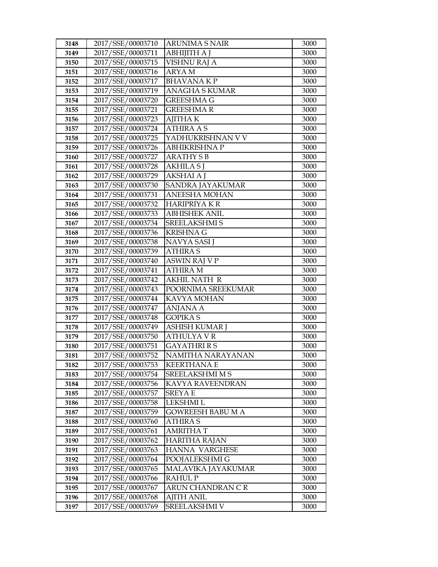| 3148         | 2017/SSE/00003710                      | ARUNIMA S NAIR                           | 3000         |
|--------------|----------------------------------------|------------------------------------------|--------------|
| 3149         | 2017/SSE/00003711                      | <b>ABHIJITH A J</b>                      | 3000         |
| 3150         | 2017/SSE/00003715                      | <b>VISHNU RAJ A</b>                      | 3000         |
| 3151         | 2017/SSE/00003716                      | ARYA M                                   | 3000         |
| 3152         | 2017/SSE/00003717                      | <b>BHAVANAKP</b>                         | 3000         |
| 3153         | 2017/SSE/00003719                      | ANAGHA S KUMAR                           | 3000         |
| 3154         | 2017/SSE/00003720                      | GREESHMA G                               | 3000         |
| 3155         | 2017/SSE/00003721                      | <b>GREESHMAR</b>                         | 3000         |
| 3156         | 2017/SSE/00003723                      | <b>AJITHAK</b>                           | 3000         |
| 3157         | 2017/SSE/00003724                      | <b>ATHIRA A S</b>                        | 3000         |
| 3158         | 2017/SSE/00003725                      | YADHUKRISHNAN V V                        | 3000         |
| 3159         | 2017/SSE/00003726                      | <b>ABHIKRISHNA P</b>                     | 3000         |
| 3160         | 2017/SSE/00003727                      | <b>ARATHY S B</b>                        | 3000         |
| 3161         | 2017/SSE/00003728                      | <b>AKHILA S J</b>                        | 3000         |
| 3162         | 2017/SSE/00003729                      | AKSHAI A J                               | 3000         |
| 3163         | 2017/SSE/00003730                      | SANDRA JAYAKUMAR                         | 3000         |
| 3164         | 2017/SSE/00003731                      | ANEESHA MOHAN                            | 3000         |
| 3165         | 2017/SSE/00003732                      | <b>HARIPRIYAKR</b>                       | 3000         |
| 3166         | 2017/SSE/00003733                      | <b>ABHISHEK ANIL</b>                     | 3000         |
| 3167         | 2017/SSE/00003734                      | <b>SREELAKSHMI S</b>                     | 3000         |
| 3168         | 2017/SSE/00003736                      | <b>KRISHNA G</b>                         | 3000         |
| 3169         | 2017/SSE/00003738                      | NAVYA SASI J                             | 3000         |
| 3170         | 2017/SSE/00003739                      | <b>ATHIRA S</b>                          | 3000         |
| 3171         | 2017/SSE/00003740                      | <b>ASWIN RAJ V P</b>                     | 3000         |
| 3172         | 2017/SSE/00003741                      | <b>ATHIRA M</b>                          | 3000         |
| 3173         | 2017/SSE/00003742                      | <b>AKHIL NATH R</b>                      | 3000         |
| 3174         | 2017/SSE/00003743                      | POORNIMA SREEKUMAR                       | 3000         |
| 3175         | 2017/SSE/00003744                      | KAVYA MOHAN                              | 3000         |
| 3176         | 2017/SSE/00003747                      | <b>ANJANA A</b>                          | 3000         |
| 3177         | 2017/SSE/00003748                      | <b>GOPIKA S</b>                          | 3000         |
| 3178         | 2017/SSE/00003749                      | ASHISH KUMAR J                           | 3000         |
| 3179         | 2017/SSE/00003750<br>2017/SSE/00003751 | <b>ATHULYAVR</b>                         | 3000         |
| 3180<br>3181 | 2017/SSE/00003752                      | <b>GAYATHRI R S</b><br>NAMITHA NARAYANAN | 3000<br>3000 |
| 3182         | 2017/SSE/00003753                      | <b>KEERTHANA E</b>                       | 3000         |
| 3183         | 2017/SSE/00003754                      | SREELAKSHMI M S                          | 3000         |
| 3184         | 2017/SSE/00003756                      | KAVYA RAVEENDRAN                         | 3000         |
| 3185         | 2017/SSE/00003757                      | <b>SREYA E</b>                           | 3000         |
| 3186         | 2017/SSE/00003758                      | LEKSHMI L                                | 3000         |
| 3187         | 2017/SSE/00003759                      | GOWREESH BABU M A                        | 3000         |
| 3188         | 2017/SSE/00003760                      | ATHIRA S                                 | 3000         |
| 3189         | 2017/SSE/00003761                      | <b>AMRITHAT</b>                          | 3000         |
| 3190         | 2017/SSE/00003762                      | <b>HARITHA RAJAN</b>                     | 3000         |
| 3191         | 2017/SSE/00003763                      | HANNA VARGHESE                           | 3000         |
| 3192         | 2017/SSE/00003764                      | POOJALEKSHMI G                           | 3000         |
| 3193         | 2017/SSE/00003765                      | MALAVIKA JAYAKUMAR                       | 3000         |
| 3194         | 2017/SSE/00003766                      | RAHUL P                                  | 3000         |
| 3195         | 2017/SSE/00003767                      | ARUN CHANDRAN CR                         | 3000         |
| 3196         | 2017/SSE/00003768                      | <b>AJITH ANIL</b>                        | 3000         |
| 3197         | 2017/SSE/00003769                      | SREELAKSHMI V                            | 3000         |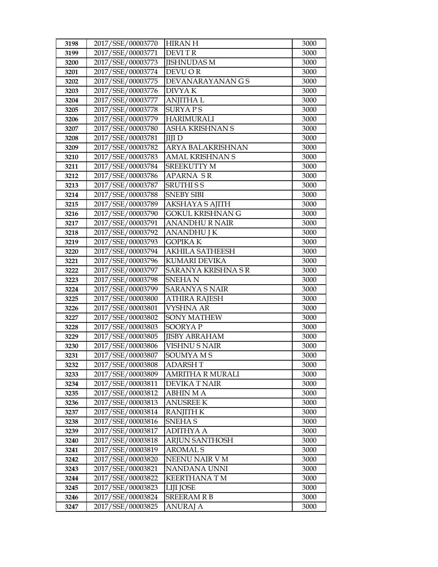| 3198 | 2017/SSE/00003770 | <b>HIRAN H</b>          | 3000 |
|------|-------------------|-------------------------|------|
| 3199 | 2017/SSE/00003771 | <b>DEVITR</b>           | 3000 |
| 3200 | 2017/SSE/00003773 | <b>JISHNUDAS M</b>      | 3000 |
| 3201 | 2017/SSE/00003774 | DEVU OR                 | 3000 |
| 3202 | 2017/SSE/00003775 | DEVANARAYANAN G S       | 3000 |
| 3203 | 2017/SSE/00003776 | <b>DIVYAK</b>           | 3000 |
| 3204 | 2017/SSE/00003777 | <b>ANJITHA L</b>        | 3000 |
| 3205 | 2017/SSE/00003778 | <b>SURYAPS</b>          | 3000 |
| 3206 | 2017/SSE/00003779 | <b>HARIMURALI</b>       | 3000 |
| 3207 | 2017/SSE/00003780 | ASHA KRISHNAN S         | 3000 |
| 3208 | 2017/SSE/00003781 | <b>IIIID</b>            | 3000 |
| 3209 | 2017/SSE/00003782 | ARYA BALAKRISHNAN       | 3000 |
| 3210 | 2017/SSE/00003783 | AMAL KRISHNAN S         | 3000 |
| 3211 | 2017/SSE/00003784 | SREEKUTTY M             | 3000 |
| 3212 | 2017/SSE/00003786 | APARNA SR               | 3000 |
| 3213 | 2017/SSE/00003787 | <b>SRUTHISS</b>         | 3000 |
| 3214 | 2017/SSE/00003788 | <b>SNEBY SIBI</b>       | 3000 |
| 3215 | 2017/SSE/00003789 | AKSHAYA S AJITH         | 3000 |
| 3216 | 2017/SSE/00003790 | <b>GOKUL KRISHNAN G</b> | 3000 |
| 3217 | 2017/SSE/00003791 | <b>ANANDHU R NAIR</b>   | 3000 |
| 3218 | 2017/SSE/00003792 | ANANDHU J K             | 3000 |
| 3219 | 2017/SSE/00003793 | GOPIKA K                | 3000 |
| 3220 | 2017/SSE/00003794 | <b>AKHILA SATHEESH</b>  | 3000 |
| 3221 | 2017/SSE/00003796 | KUMARI DEVIKA           | 3000 |
| 3222 | 2017/SSE/00003797 | SARANYA KRISHNA SR      | 3000 |
| 3223 | 2017/SSE/00003798 | <b>SNEHAN</b>           | 3000 |
| 3224 | 2017/SSE/00003799 | SARANYA S NAIR          | 3000 |
| 3225 | 2017/SSE/00003800 | <b>ATHIRA RAJESH</b>    | 3000 |
| 3226 | 2017/SSE/00003801 | <b>VYSHNA AR</b>        | 3000 |
| 3227 | 2017/SSE/00003802 | <b>SONY MATHEW</b>      | 3000 |
| 3228 | 2017/SSE/00003803 | <b>SOORYAP</b>          | 3000 |
| 3229 | 2017/SSE/00003805 | <b>JISBY ABRAHAM</b>    | 3000 |
| 3230 | 2017/SSE/00003806 | <b>VISHNU S NAIR</b>    | 3000 |
| 3231 | 2017/SSE/00003807 | SOUMYAMS                | 3000 |
| 3232 | 2017/SSE/00003808 | <b>ADARSHT</b>          | 3000 |
| 3233 | 2017/SSE/00003809 | AMRITHA R MURALI        | 3000 |
| 3234 | 2017/SSE/00003811 | DEVIKA T NAIR           | 3000 |
| 3235 | 2017/SSE/00003812 | <b>ABHIN M A</b>        | 3000 |
| 3236 | 2017/SSE/00003813 | <b>ANUSREE K</b>        | 3000 |
| 3237 | 2017/SSE/00003814 | RANJITH K               | 3000 |
| 3238 | 2017/SSE/00003816 | <b>SNEHAS</b>           | 3000 |
| 3239 | 2017/SSE/00003817 | <b>ADITHYA A</b>        | 3000 |
| 3240 | 2017/SSE/00003818 | <b>ARJUN SANTHOSH</b>   | 3000 |
| 3241 | 2017/SSE/00003819 | <b>AROMAL S</b>         | 3000 |
| 3242 | 2017/SSE/00003820 | NEENU NAIR V M          | 3000 |
| 3243 | 2017/SSE/00003821 | NANDANA UNNI            | 3000 |
| 3244 | 2017/SSE/00003822 | <b>KEERTHANA T M</b>    | 3000 |
| 3245 | 2017/SSE/00003823 | LIJI JOSE               | 3000 |
| 3246 | 2017/SSE/00003824 | <b>SREERAM R B</b>      | 3000 |
| 3247 | 2017/SSE/00003825 | ANURAJ A                | 3000 |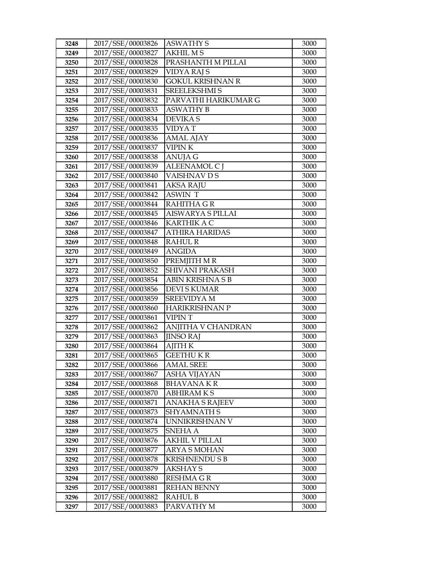| 3248 | 2017/SSE/00003826 | <b>ASWATHY S</b>         | 3000 |
|------|-------------------|--------------------------|------|
| 3249 | 2017/SSE/00003827 | <b>AKHIL MS</b>          | 3000 |
| 3250 | 2017/SSE/00003828 | PRASHANTH M PILLAI       | 3000 |
| 3251 | 2017/SSE/00003829 | <b>VIDYA RAJ S</b>       | 3000 |
| 3252 | 2017/SSE/00003830 | <b>GOKUL KRISHNAN R</b>  | 3000 |
| 3253 | 2017/SSE/00003831 | SREELEKSHMI S            | 3000 |
| 3254 | 2017/SSE/00003832 | PARVATHI HARIKUMAR G     | 3000 |
| 3255 | 2017/SSE/00003833 | <b>ASWATHY B</b>         | 3000 |
| 3256 | 2017/SSE/00003834 | <b>DEVIKAS</b>           | 3000 |
| 3257 | 2017/SSE/00003835 | <b>VIDYAT</b>            | 3000 |
| 3258 | 2017/SSE/00003836 | <b>AMAL AJAY</b>         | 3000 |
| 3259 | 2017/SSE/00003837 | <b>VIPINK</b>            | 3000 |
| 3260 | 2017/SSE/00003838 | <b>ANUJA G</b>           | 3000 |
| 3261 | 2017/SSE/00003839 | ALEENAMOL C J            | 3000 |
| 3262 | 2017/SSE/00003840 | VAISHNAV D S             | 3000 |
| 3263 | 2017/SSE/00003841 | <b>AKSA RAJU</b>         | 3000 |
| 3264 | 2017/SSE/00003842 | <b>ASWIN T</b>           | 3000 |
| 3265 | 2017/SSE/00003844 | <b>RAHITHA G R</b>       | 3000 |
| 3266 | 2017/SSE/00003845 | <b>AISWARYA S PILLAI</b> | 3000 |
| 3267 | 2017/SSE/00003846 | <b>KARTHIK A C</b>       | 3000 |
| 3268 | 2017/SSE/00003847 | <b>ATHIRA HARIDAS</b>    | 3000 |
| 3269 | 2017/SSE/00003848 | RAHUL R                  | 3000 |
| 3270 | 2017/SSE/00003849 | <b>ANGIDA</b>            | 3000 |
| 3271 | 2017/SSE/00003850 | PREMJITH M R             | 3000 |
| 3272 | 2017/SSE/00003852 | <b>SHIVANI PRAKASH</b>   | 3000 |
| 3273 | 2017/SSE/00003854 | ABIN KRISHNA S B         | 3000 |
| 3274 | 2017/SSE/00003856 | DEVI S KUMAR             | 3000 |
| 3275 | 2017/SSE/00003859 | <b>SREEVIDYA M</b>       | 3000 |
| 3276 | 2017/SSE/00003860 | <b>HARIKRISHNAN P</b>    | 3000 |
| 3277 | 2017/SSE/00003861 | <b>VIPIN T</b>           | 3000 |
| 3278 | 2017/SSE/00003862 | ANJITHA V CHANDRAN       | 3000 |
| 3279 | 2017/SSE/00003863 | <b>JINSO RAJ</b>         | 3000 |
| 3280 | 2017/SSE/00003864 | <b>AJITH K</b>           | 3000 |
| 3281 | 2017/SSE/00003865 | <b>GEETHUKR</b>          | 3000 |
| 3282 | 2017/SSE/00003866 | <b>AMAL SREE</b>         | 3000 |
| 3283 | 2017/SSE/00003867 | ASHA VIJAYAN             | 3000 |
| 3284 | 2017/SSE/00003868 | BHAVANA K R              | 3000 |
| 3285 | 2017/SSE/00003870 | <b>ABHIRAMKS</b>         | 3000 |
| 3286 | 2017/SSE/00003871 | <b>ANAKHA S RAJEEV</b>   | 3000 |
| 3287 | 2017/SSE/00003873 | SHYAMNATH S              | 3000 |
| 3288 | 2017/SSE/00003874 | UNNIKRISHNAN V           | 3000 |
| 3289 | 2017/SSE/00003875 | SNEHA A                  | 3000 |
| 3290 | 2017/SSE/00003876 | AKHIL V PILLAI           | 3000 |
| 3291 | 2017/SSE/00003877 | ARYA S MOHAN             | 3000 |
| 3292 | 2017/SSE/00003878 | <b>KRISHNENDU S B</b>    | 3000 |
| 3293 | 2017/SSE/00003879 | AKSHAY S                 | 3000 |
| 3294 | 2017/SSE/00003880 | RESHMA G R               | 3000 |
| 3295 | 2017/SSE/00003881 | <b>REHAN BENNY</b>       | 3000 |
| 3296 | 2017/SSE/00003882 | RAHUL B                  | 3000 |
| 3297 | 2017/SSE/00003883 | PARVATHY M               | 3000 |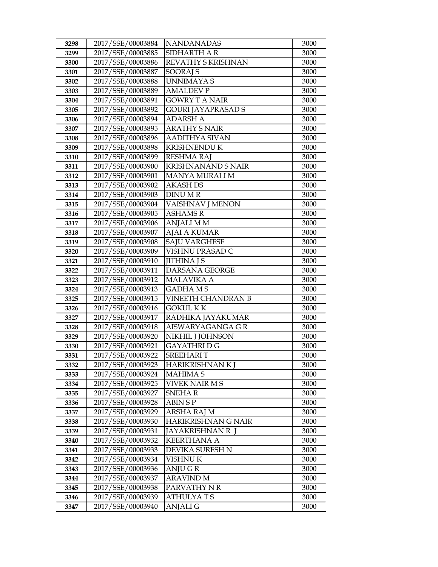| 3298 | 2017/SSE/00003884 | <b>NANDANADAS</b>         | 3000 |
|------|-------------------|---------------------------|------|
| 3299 | 2017/SSE/00003885 | SIDHARTH A R              | 3000 |
| 3300 | 2017/SSE/00003886 | REVATHY S KRISHNAN        | 3000 |
| 3301 | 2017/SSE/00003887 | <b>SOORAJ S</b>           | 3000 |
| 3302 | 2017/SSE/00003888 | <b>UNNIMAYAS</b>          | 3000 |
| 3303 | 2017/SSE/00003889 | <b>AMALDEV P</b>          | 3000 |
| 3304 | 2017/SSE/00003891 | <b>GOWRY T A NAIR</b>     | 3000 |
| 3305 | 2017/SSE/00003892 | GOURI JAYAPRASAD S        | 3000 |
| 3306 | 2017/SSE/00003894 | <b>ADARSH A</b>           | 3000 |
| 3307 | 2017/SSE/00003895 | <b>ARATHY S NAIR</b>      | 3000 |
| 3308 | 2017/SSE/00003896 | <b>AADITHYA SIVAN</b>     | 3000 |
| 3309 | 2017/SSE/00003898 | <b>KRISHNENDU K</b>       | 3000 |
| 3310 | 2017/SSE/00003899 | <b>RESHMA RAJ</b>         | 3000 |
| 3311 | 2017/SSE/00003900 | <b>KRISHNANAND S NAIR</b> | 3000 |
| 3312 | 2017/SSE/00003901 | MANYA MURALI M            | 3000 |
| 3313 | 2017/SSE/00003902 | AKASH DS                  | 3000 |
| 3314 | 2017/SSE/00003903 | <b>DINUMR</b>             | 3000 |
| 3315 | 2017/SSE/00003904 | <b>VAISHNAV J MENON</b>   | 3000 |
| 3316 | 2017/SSE/00003905 | <b>ASHAMSR</b>            | 3000 |
| 3317 | 2017/SSE/00003906 | <b>ANJALI MM</b>          | 3000 |
| 3318 | 2017/SSE/00003907 | <b>AJAI A KUMAR</b>       | 3000 |
| 3319 | 2017/SSE/00003908 | <b>SAJU VARGHESE</b>      | 3000 |
| 3320 | 2017/SSE/00003909 | VISHNU PRASAD C           | 3000 |
| 3321 | 2017/SSE/00003910 | <b>JITHINA J S</b>        | 3000 |
| 3322 | 2017/SSE/00003911 | DARSANA GEORGE            | 3000 |
| 3323 | 2017/SSE/00003912 | <b>MALAVIKA A</b>         | 3000 |
| 3324 | 2017/SSE/00003913 | <b>GADHAMS</b>            | 3000 |
| 3325 | 2017/SSE/00003915 | <b>VINEETH CHANDRAN B</b> | 3000 |
| 3326 | 2017/SSE/00003916 | <b>GOKUL KK</b>           | 3000 |
| 3327 | 2017/SSE/00003917 | RADHIKA JAYAKUMAR         | 3000 |
| 3328 | 2017/SSE/00003918 | AISWARYAGANGA G R         | 3000 |
| 3329 | 2017/SSE/00003920 | NIKHIL J JOHNSON          | 3000 |
| 3330 | 2017/SSE/00003921 | <b>GAYATHRI D G</b>       | 3000 |
| 3331 | 2017/SSE/00003922 | <b>SREEHARIT</b>          | 3000 |
| 3332 | 2017/SSE/00003923 | HARIKRISHNAN K J          | 3000 |
| 3333 | 2017/SSE/00003924 | <b>MAHIMAS</b>            | 3000 |
| 3334 | 2017/SSE/00003925 | VIVEK NAIR M S            | 3000 |
| 3335 | 2017/SSE/00003927 | <b>SNEHAR</b>             | 3000 |
| 3336 | 2017/SSE/00003928 | <b>ABIN SP</b>            | 3000 |
| 3337 | 2017/SSE/00003929 | ARSHA RAJ M               | 3000 |
| 3338 | 2017/SSE/00003930 | HARIKRISHNAN G NAIR       | 3000 |
| 3339 | 2017/SSE/00003931 | JAYAKRISHNAN R  J         | 3000 |
| 3340 | 2017/SSE/00003932 | <b>KEERTHANA A</b>        | 3000 |
| 3341 | 2017/SSE/00003933 | DEVIKA SURESH N           | 3000 |
| 3342 | 2017/SSE/00003934 | <b>VISHNUK</b>            | 3000 |
| 3343 | 2017/SSE/00003936 | ANJU GR                   | 3000 |
| 3344 | 2017/SSE/00003937 | <b>ARAVIND M</b>          | 3000 |
| 3345 | 2017/SSE/00003938 | PARVATHY N R              | 3000 |
| 3346 | 2017/SSE/00003939 | <b>ATHULYATS</b>          | 3000 |
| 3347 | 2017/SSE/00003940 | <b>ANJALI G</b>           | 3000 |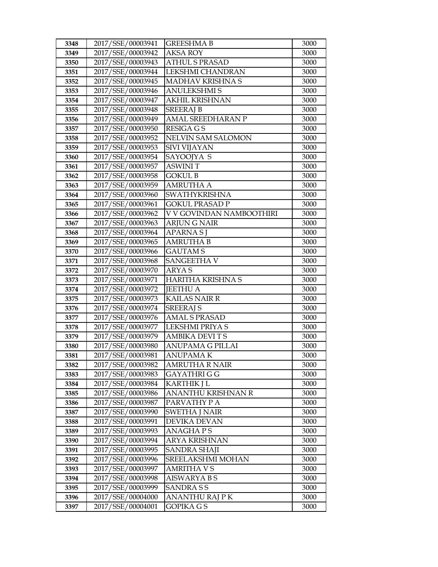| 3348 | 2017/SSE/00003941 | <b>GREESHMA B</b>         | 3000 |
|------|-------------------|---------------------------|------|
| 3349 | 2017/SSE/00003942 | <b>AKSA ROY</b>           | 3000 |
| 3350 | 2017/SSE/00003943 | <b>ATHUL S PRASAD</b>     | 3000 |
| 3351 | 2017/SSE/00003944 | LEKSHMI CHANDRAN          | 3000 |
| 3352 | 2017/SSE/00003945 | MADHAV KRISHNA S          | 3000 |
| 3353 | 2017/SSE/00003946 | <b>ANULEKSHMI S</b>       | 3000 |
| 3354 | 2017/SSE/00003947 | <b>AKHIL KRISHNAN</b>     | 3000 |
| 3355 | 2017/SSE/00003948 | <b>SREERAJ B</b>          | 3000 |
| 3356 | 2017/SSE/00003949 | AMAL SREEDHARAN P         | 3000 |
| 3357 | 2017/SSE/00003950 | <b>RESIGA GS</b>          | 3000 |
| 3358 | 2017/SSE/00003952 | <b>NELVIN SAM SALOMON</b> | 3000 |
| 3359 | 2017/SSE/00003953 | SIVI VIJAYAN              | 3000 |
| 3360 | 2017/SSE/00003954 | SAYOOJYA S                | 3000 |
| 3361 | 2017/SSE/00003957 | <b>ASWINIT</b>            | 3000 |
| 3362 | 2017/SSE/00003958 | <b>GOKUL B</b>            | 3000 |
| 3363 | 2017/SSE/00003959 | AMRUTHA A                 | 3000 |
| 3364 | 2017/SSE/00003960 | <b>SWATHYKRISHNA</b>      | 3000 |
| 3365 | 2017/SSE/00003961 | <b>GOKUL PRASAD P</b>     | 3000 |
| 3366 | 2017/SSE/00003962 | V V GOVINDAN NAMBOOTHIRI  | 3000 |
| 3367 | 2017/SSE/00003963 | <b>ARJUNG NAIR</b>        | 3000 |
| 3368 | 2017/SSE/00003964 | APARNA SJ                 | 3000 |
| 3369 | 2017/SSE/00003965 | <b>AMRUTHA B</b>          | 3000 |
| 3370 | 2017/SSE/00003966 | <b>GAUTAMS</b>            | 3000 |
| 3371 | 2017/SSE/00003968 | <b>SANGEETHA V</b>        | 3000 |
| 3372 | 2017/SSE/00003970 | <b>ARYAS</b>              | 3000 |
| 3373 | 2017/SSE/00003971 | <b>HARITHA KRISHNA S</b>  | 3000 |
| 3374 | 2017/SSE/00003972 | <b>JEETHU A</b>           | 3000 |
| 3375 | 2017/SSE/00003973 | <b>KAILAS NAIR R</b>      | 3000 |
| 3376 | 2017/SSE/00003974 | <b>SREERAJ S</b>          | 3000 |
| 3377 | 2017/SSE/00003976 | <b>AMAL S PRASAD</b>      | 3000 |
| 3378 | 2017/SSE/00003977 | LEKSHMI PRIYA S           | 3000 |
| 3379 | 2017/SSE/00003979 | <b>AMBIKA DEVITS</b>      | 3000 |
| 3380 | 2017/SSE/00003980 | <b>ANUPAMA G PILLAI</b>   | 3000 |
| 3381 | 2017/SSE/00003981 | <b>ANUPAMAK</b>           | 3000 |
| 3382 | 2017/SSE/00003982 | AMRUTHA R NAIR            | 3000 |
| 3383 | 2017/SSE/00003983 | GAYATHRI G G              | 3000 |
| 3384 | 2017/SSE/00003984 | KARTHIK J L               | 3000 |
| 3385 | 2017/SSE/00003986 | ANANTHU KRISHNAN R        | 3000 |
| 3386 | 2017/SSE/00003987 | PARVATHY P A              | 3000 |
| 3387 | 2017/SSE/00003990 | SWETHA J NAIR             | 3000 |
| 3388 | 2017/SSE/00003991 | DEVIKA DEVAN              | 3000 |
| 3389 | 2017/SSE/00003993 | <b>ANAGHAPS</b>           | 3000 |
| 3390 | 2017/SSE/00003994 | <b>ARYA KRISHNAN</b>      | 3000 |
| 3391 | 2017/SSE/00003995 | <b>SANDRA SHAJI</b>       | 3000 |
| 3392 | 2017/SSE/00003996 | SREELAKSHMI MOHAN         | 3000 |
| 3393 | 2017/SSE/00003997 | AMRITHA V S               | 3000 |
| 3394 | 2017/SSE/00003998 | AISWARYA B S              | 3000 |
| 3395 | 2017/SSE/00003999 | <b>SANDRASS</b>           | 3000 |
| 3396 | 2017/SSE/00004000 | ANANTHU RAJ P K           | 3000 |
| 3397 | 2017/SSE/00004001 | GOPIKA G S                | 3000 |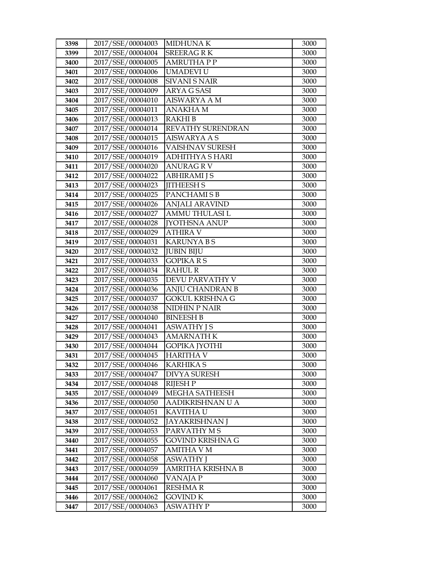| 3398         | 2017/SSE/00004003                      | <b>MIDHUNAK</b>                         | 3000         |
|--------------|----------------------------------------|-----------------------------------------|--------------|
| 3399         | 2017/SSE/00004004                      | <b>SREERAGRK</b>                        | 3000         |
| 3400         | 2017/SSE/00004005                      | <b>AMRUTHAPP</b>                        | 3000         |
| 3401         | 2017/SSE/00004006                      | UMADEVI U                               | 3000         |
| 3402         | 2017/SSE/00004008                      | <b>SIVANI S NAIR</b>                    | 3000         |
| 3403         | 2017/SSE/00004009                      | ARYA G SASI                             | 3000         |
| 3404         | 2017/SSE/00004010                      | <b>AISWARYA A M</b>                     | 3000         |
| 3405         | 2017/SSE/00004011                      | <b>ANAKHAM</b>                          | 3000         |
| 3406         | 2017/SSE/00004013                      | <b>RAKHIB</b>                           | 3000         |
| 3407         | 2017/SSE/00004014                      | REVATHY SURENDRAN                       | 3000         |
| 3408         | 2017/SSE/00004015                      | <b>AISWARYA A S</b>                     | 3000         |
| 3409         | 2017/SSE/00004016                      | VAISHNAV SURESH                         | 3000         |
| 3410         | 2017/SSE/00004019                      | <b>ADHITHYA S HARI</b>                  | 3000         |
| 3411         | 2017/SSE/00004020                      | <b>ANURAG R V</b>                       | 3000         |
| 3412         | 2017/SSE/00004022                      | ABHIRAMI J S                            | 3000         |
| 3413         | 2017/SSE/00004023                      | <b>JITHEESH S</b>                       | 3000         |
| 3414         | 2017/SSE/00004025                      | PANCHAMI S B                            | 3000         |
| 3415         | 2017/SSE/00004026                      | <b>ANJALI ARAVIND</b>                   | 3000         |
| 3416         | 2017/SSE/00004027                      | AMMU THULASI L                          | 3000         |
| 3417         | 2017/SSE/00004028                      | <b>IYOTHSNA ANUP</b>                    | 3000         |
| 3418         | 2017/SSE/00004029                      | ATHIRA V                                | 3000         |
| 3419         | 2017/SSE/00004031                      | <b>KARUNYA BS</b>                       | 3000         |
| 3420         | 2017/SSE/00004032                      | <b>JUBIN BIJU</b>                       | 3000         |
| 3421         | 2017/SSE/00004033                      | <b>GOPIKARS</b>                         | 3000         |
| 3422         | 2017/SSE/00004034                      | <b>RAHUL R</b>                          | 3000         |
| 3423         | 2017/SSE/00004035                      | DEVU PARVATHY V                         | 3000         |
| 3424         | 2017/SSE/00004036                      | ANJU CHANDRAN B                         | 3000         |
| 3425         | 2017/SSE/00004037                      | <b>GOKUL KRISHNA G</b>                  | 3000         |
| 3426         | 2017/SSE/00004038                      | <b>NIDHIN P NAIR</b>                    | 3000         |
| 3427         | 2017/SSE/00004040                      | <b>BINEESH B</b>                        | 3000         |
| 3428         | 2017/SSE/00004041                      | <b>ASWATHY JS</b>                       | 3000         |
| 3429         | 2017/SSE/00004043                      | <b>AMARNATH K</b>                       | 3000         |
| 3430         | 2017/SSE/00004044<br>2017/SSE/00004045 | <b>GOPIKA JYOTHI</b>                    | 3000         |
| 3431         |                                        | <b>HARITHA V</b>                        | 3000         |
| 3432         | 2017/SSE/00004046<br>2017/SSE/00004047 | <b>KARHIKA S</b><br><b>DIVYA SURESH</b> | 3000<br>3000 |
| 3433<br>3434 | 2017/SSE/00004048                      | <b>RIJESH P</b>                         | 3000         |
| 3435         | 2017/SSE/00004049                      | MEGHA SATHEESH                          | 3000         |
| 3436         | 2017/SSE/00004050                      | AADIKRISHNAN U A                        | 3000         |
| 3437         | 2017/SSE/00004051                      | KAVITHA U                               | 3000         |
| 3438         | 2017/SSE/00004052                      | JAYAKRISHNAN J                          | 3000         |
| 3439         | 2017/SSE/00004053                      | PARVATHY M S                            | 3000         |
| 3440         | 2017/SSE/00004055                      | GOVIND KRISHNA G                        | 3000         |
| 3441         | 2017/SSE/00004057                      | <b>AMITHA V M</b>                       | 3000         |
| 3442         | 2017/SSE/00004058                      | <b>ASWATHY J</b>                        | 3000         |
| 3443         | 2017/SSE/00004059                      | AMRITHA KRISHNA B                       | 3000         |
| 3444         | 2017/SSE/00004060                      | VANAJA P                                | 3000         |
| 3445         | 2017/SSE/00004061                      | <b>RESHMAR</b>                          | 3000         |
| 3446         | 2017/SSE/00004062                      | <b>GOVIND K</b>                         | 3000         |
| 3447         | 2017/SSE/00004063                      | ASWATHY P                               | 3000         |
|              |                                        |                                         |              |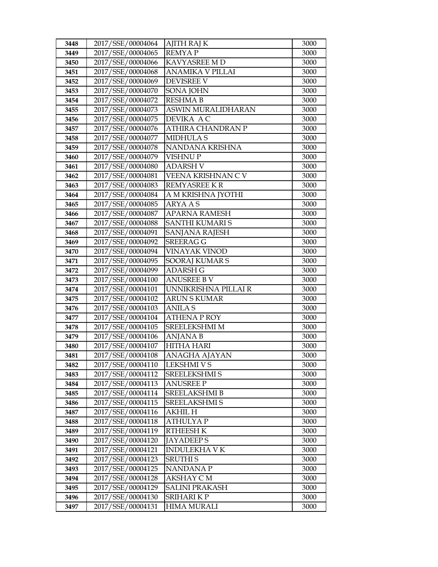| 3448         | 2017/SSE/00004064                      | <b>AJITH RAJ K</b>                    | 3000         |
|--------------|----------------------------------------|---------------------------------------|--------------|
| 3449         | 2017/SSE/00004065                      | <b>REMYAP</b>                         | 3000         |
| 3450         | 2017/SSE/00004066                      | KAVYASREE M D                         | 3000         |
| 3451         | 2017/SSE/00004068                      | <b>ANAMIKA V PILLAI</b>               | 3000         |
| 3452         | 2017/SSE/00004069                      | <b>DEVISREE V</b>                     | 3000         |
| 3453         | 2017/SSE/00004070                      | SONA JOHN                             | 3000         |
| 3454         | 2017/SSE/00004072                      | <b>RESHMA B</b>                       | 3000         |
| 3455         | 2017/SSE/00004073                      | ASWIN MURALIDHARAN                    | 3000         |
| 3456         | 2017/SSE/00004075                      | DEVIKA A C                            | 3000         |
| 3457         | 2017/SSE/00004076                      | ATHIRA CHANDRAN P                     | 3000         |
| 3458         | 2017/SSE/00004077                      | <b>MIDHULA S</b>                      | 3000         |
| 3459         | 2017/SSE/00004078                      | NANDANA KRISHNA                       | 3000         |
| 3460         | 2017/SSE/00004079                      | <b>VISHNUP</b>                        | 3000         |
| 3461         | 2017/SSE/00004080                      | <b>ADARSH V</b>                       | 3000         |
| 3462         | 2017/SSE/00004081                      | VEENA KRISHNAN CV                     | 3000         |
| 3463         | 2017/SSE/00004083                      | <b>REMYASREE K R</b>                  | 3000         |
| 3464         | 2017/SSE/00004084                      | A M KRISHNA JYOTHI                    | 3000         |
| 3465         | 2017/SSE/00004085                      | <b>ARYAAS</b>                         | 3000         |
| 3466         | 2017/SSE/00004087                      | <b>APARNA RAMESH</b>                  | 3000         |
| 3467         | 2017/SSE/00004088                      | <b>SANTHI KUMARI S</b>                | 3000         |
| 3468         | 2017/SSE/00004091                      | SANJANA RAJESH                        | 3000         |
| 3469         | 2017/SSE/00004092                      | <b>SREERAG G</b>                      | 3000         |
| 3470         | 2017/SSE/00004094                      | <b>VINAYAK VINOD</b>                  | 3000         |
| 3471         | 2017/SSE/00004095                      | SOORAJ KUMAR S                        | 3000         |
| 3472         | 2017/SSE/00004099                      | <b>ADARSH G</b>                       | 3000         |
| 3473         | 2017/SSE/00004100                      | <b>ANUSREE B V</b>                    | 3000         |
| 3474         | 2017/SSE/00004101                      | UNNIKRISHNA PILLAI R                  | 3000         |
| 3475         | 2017/SSE/00004102                      | <b>ARUN S KUMAR</b>                   | 3000         |
| 3476         | 2017/SSE/00004103                      | <b>ANILAS</b>                         | 3000         |
| 3477         | 2017/SSE/00004104                      | <b>ATHENA P ROY</b>                   | 3000         |
| 3478         | 2017/SSE/00004105                      | <b>SREELEKSHMI M</b>                  | 3000         |
| 3479         | 2017/SSE/00004106                      | <b>ANJANA B</b>                       | 3000         |
| 3480         | 2017/SSE/00004107                      | <b>HITHA HARI</b>                     | 3000         |
| 3481         | 2017/SSE/00004108                      | ANAGHA AJAYAN                         | 3000         |
| 3482         | 2017/SSE/00004110                      | <b>LEKSHMI V S</b>                    | 3000         |
| 3483         | 2017/SSE/00004112                      | SREELEKSHMI S                         | 3000         |
| 3484         | 2017/SSE/00004113<br>2017/SSE/00004114 | <b>ANUSREE P</b>                      | 3000         |
| 3485         | 2017/SSE/00004115                      | SREELAKSHMI B<br><b>SREELAKSHMI S</b> | 3000         |
| 3486         | 2017/SSE/00004116                      | AKHIL H                               | 3000<br>3000 |
| 3487<br>3488 | 2017/SSE/00004118                      | <b>ATHULYAP</b>                       | 3000         |
| 3489         | 2017/SSE/00004119                      | <b>RTHEESH K</b>                      | 3000         |
| 3490         | 2017/SSE/00004120                      | <b>JAYADEEPS</b>                      | 3000         |
| 3491         | 2017/SSE/00004121                      | <b>INDULEKHA V K</b>                  | 3000         |
| 3492         | 2017/SSE/00004123                      | <b>SRUTHIS</b>                        | 3000         |
| 3493         | 2017/SSE/00004125                      | NANDANA P                             | 3000         |
| 3494         |                                        |                                       |              |
|              |                                        |                                       |              |
|              | 2017/SSE/00004128                      | AKSHAY C M                            | 3000         |
| 3495         | 2017/SSE/00004129                      | <b>SALINI PRAKASH</b>                 | 3000         |
| 3496<br>3497 | 2017/SSE/00004130<br>2017/SSE/00004131 | SRIHARI K P<br><b>HIMA MURALI</b>     | 3000<br>3000 |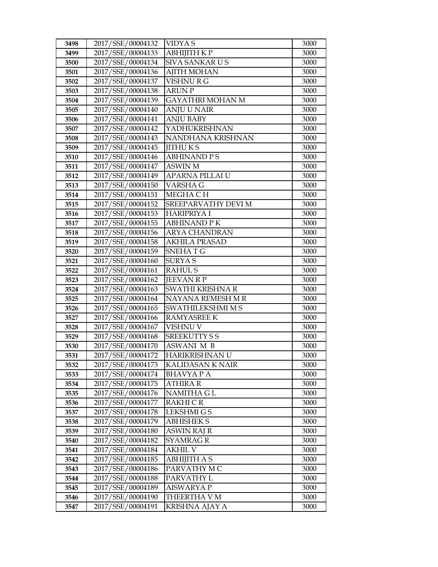| 3498         | 2017/SSE/00004132                      | <b>VIDYAS</b>                        | 3000         |
|--------------|----------------------------------------|--------------------------------------|--------------|
| 3499         | 2017/SSE/00004133                      | АВНІЈІТН К Р                         | 3000         |
| 3500         | 2017/SSE/00004134                      | <b>SIVA SANKAR US</b>                | 3000         |
| 3501         | 2017/SSE/00004136                      | <b>AJITH MOHAN</b>                   | 3000         |
| 3502         | 2017/SSE/00004137                      | VISHNURG                             | 3000         |
| 3503         | 2017/SSE/00004138                      | <b>ARUNP</b>                         | 3000         |
| 3504         | 2017/SSE/00004139                      | GAYATHRI MOHAN M                     | 3000         |
| 3505         | 2017/SSE/00004140                      | <b>ANJU U NAIR</b>                   | 3000         |
| 3506         | 2017/SSE/00004141                      | <b>ANJU BABY</b>                     | 3000         |
| 3507         | 2017/SSE/00004142                      | YADHUKRISHNAN                        | 3000         |
| 3508         | 2017/SSE/00004143                      | NANDHANA KRISHNAN                    | 3000         |
| 3509         | 2017/SSE/00004145                      | <b>IITHUKS</b>                       | 3000         |
| 3510         | 2017/SSE/00004146                      | <b>ABHINAND PS</b>                   | 3000         |
| 3511         | 2017/SSE/00004147                      | <b>ASWIN M</b>                       | 3000         |
| 3512         | 2017/SSE/00004149                      | APARNA PILLAI U                      | 3000         |
| 3513         | 2017/SSE/00004150                      | VARSHA G                             | 3000         |
| 3514         | 2017/SSE/00004151                      | MEGHA CH                             | 3000         |
| 3515         | 2017/SSE/00004152                      | SREEPARVATHY DEVI M                  | 3000         |
| 3516         | 2017/SSE/00004153                      | <b>HARIPRIYA I</b>                   | 3000         |
| 3517         | 2017/SSE/00004155                      | <b>ABHINAND PK</b>                   | 3000         |
| 3518         | 2017/SSE/00004156                      | <b>ARYA CHANDRAN</b>                 | 3000         |
| 3519         | 2017/SSE/00004158                      | <b>AKHILA PRASAD</b>                 | 3000         |
| 3520         | 2017/SSE/00004159                      | <b>SNEHATG</b>                       | 3000         |
| 3521         | 2017/SSE/00004160                      | <b>SURYAS</b>                        | 3000         |
| 3522         | 2017/SSE/00004161                      | <b>RAHULS</b>                        | 3000         |
| 3523         | 2017/SSE/00004162                      | <b>JEEVAN R P</b>                    | 3000         |
| 3524         | 2017/SSE/00004163                      | SWATHI KRISHNA R                     | 3000         |
| 3525         | 2017/SSE/00004164                      | NAYANA REMESH M R                    | 3000         |
| 3526         | 2017/SSE/00004165                      | SWATHILEKSHMI M S                    | 3000         |
| 3527         | 2017/SSE/00004166                      | <b>RAMYASREE K</b>                   | 3000         |
| 3528         | 2017/SSE/00004167                      | VISHNU V                             | 3000         |
| 3529         | 2017/SSE/00004168                      | <b>SREEKUTTY SS</b>                  | 3000         |
| 3530         | 2017/SSE/00004170                      | <b>ASWANI M B</b>                    | 3000         |
| 3531         | 2017/SSE/00004172                      | HARIKRISHNAN U                       | 3000         |
| 3532         | 2017/SSE/00004173                      | KALIDASAN K NAIR                     | 3000         |
| 3533         | 2017/SSE/00004174                      | BHAVYA P A                           | 3000         |
| 3534         | 2017/SSE/00004175                      | <b>ATHIRA R</b><br><b>NAMITHA GL</b> | 3000         |
| 3535<br>3536 | 2017/SSE/00004176<br>2017/SSE/00004177 | RAKHI C R                            | 3000<br>3000 |
| 3537         | 2017/SSE/00004178                      | <b>LEKSHMIGS</b>                     | 3000         |
| 3538         | 2017/SSE/00004179                      | <b>ABHISHEK S</b>                    | 3000         |
| 3539         | 2017/SSE/00004180                      | ASWIN RAJ R                          | 3000         |
| 3540         | 2017/SSE/00004182                      | <b>SYAMRAG R</b>                     | 3000         |
| 3541         | 2017/SSE/00004184                      | AKHIL V                              | 3000         |
| 3542         | 2017/SSE/00004185                      | ABHIJITH A S                         | 3000         |
| 3543         | 2017/SSE/00004186                      | PARVATHY MC                          | 3000         |
| 3544         | 2017/SSE/00004188                      | PARVATHY L                           | 3000         |
| 3545         | 2017/SSE/00004189                      | <b>AISWARYA P</b>                    | 3000         |
| 3546         | 2017/SSE/00004190                      | THEERTHA V M                         | 3000         |
|              |                                        |                                      |              |
| 3547         | 2017/SSE/00004191                      | KRISHNA AJAY A                       | 3000         |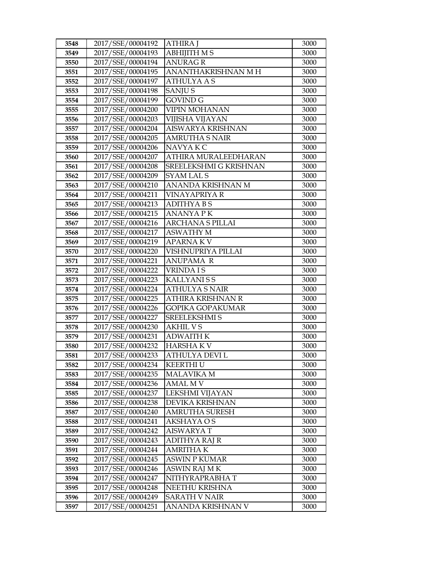| 3548 | 2017/SSE/00004192 | <b>ATHIRA J</b>         | 3000 |
|------|-------------------|-------------------------|------|
| 3549 | 2017/SSE/00004193 | <b>ABHIJITH MS</b>      | 3000 |
| 3550 | 2017/SSE/00004194 | <b>ANURAG R</b>         | 3000 |
| 3551 | 2017/SSE/00004195 | ANANTHAKRISHNAN M H     | 3000 |
| 3552 | 2017/SSE/00004197 | <b>ATHULYAAS</b>        | 3000 |
| 3553 | 2017/SSE/00004198 | <b>SANJUS</b>           | 3000 |
| 3554 | 2017/SSE/00004199 | <b>GOVIND G</b>         | 3000 |
| 3555 | 2017/SSE/00004200 | <b>VIPIN MOHANAN</b>    | 3000 |
| 3556 | 2017/SSE/00004203 | VIJISHA VIJAYAN         | 3000 |
| 3557 | 2017/SSE/00004204 | AISWARYA KRISHNAN       | 3000 |
| 3558 | 2017/SSE/00004205 | <b>AMRUTHA S NAIR</b>   | 3000 |
| 3559 | 2017/SSE/00004206 | NAVYA KC                | 3000 |
| 3560 | 2017/SSE/00004207 | ATHIRA MURALEEDHARAN    | 3000 |
| 3561 | 2017/SSE/00004208 | SREELEKSHMI G KRISHNAN  | 3000 |
| 3562 | 2017/SSE/00004209 | <b>SYAM LALS</b>        | 3000 |
| 3563 | 2017/SSE/00004210 | ANANDA KRISHNAN M       | 3000 |
| 3564 | 2017/SSE/00004211 | <b>VINAYAPRIYA R</b>    | 3000 |
| 3565 | 2017/SSE/00004213 | <b>ADITHYABS</b>        | 3000 |
| 3566 | 2017/SSE/00004215 | <b>ANANYA PK</b>        | 3000 |
| 3567 | 2017/SSE/00004216 | <b>ARCHANA S PILLAI</b> | 3000 |
| 3568 | 2017/SSE/00004217 | <b>ASWATHY M</b>        | 3000 |
| 3569 | 2017/SSE/00004219 | <b>APARNAKV</b>         | 3000 |
| 3570 | 2017/SSE/00004220 | VISHNUPRIYA PILLAI      | 3000 |
| 3571 | 2017/SSE/00004221 | ANUPAMA R               | 3000 |
| 3572 | 2017/SSE/00004222 | <b>VRINDAIS</b>         | 3000 |
| 3573 | 2017/SSE/00004223 | <b>KALLYANISS</b>       | 3000 |
| 3574 | 2017/SSE/00004224 | <b>ATHULYA S NAIR</b>   | 3000 |
| 3575 | 2017/SSE/00004225 | ATHIRA KRISHNAN R       | 3000 |
| 3576 | 2017/SSE/00004226 | <b>GOPIKA GOPAKUMAR</b> | 3000 |
| 3577 | 2017/SSE/00004227 | <b>SREELEKSHMI S</b>    | 3000 |
| 3578 | 2017/SSE/00004230 | <b>AKHIL VS</b>         | 3000 |
| 3579 | 2017/SSE/00004231 | <b>ADWAITH K</b>        | 3000 |
| 3580 | 2017/SSE/00004232 | <b>HARSHAKV</b>         | 3000 |
| 3581 | 2017/SSE/00004233 | <b>ATHULYA DEVI L</b>   | 3000 |
| 3582 | 2017/SSE/00004234 | <b>KEERTHI U</b>        | 3000 |
| 3583 | 2017/SSE/00004235 | <b>MALAVIKA M</b>       | 3000 |
| 3584 | 2017/SSE/00004236 | <b>AMAL MV</b>          | 3000 |
| 3585 | 2017/SSE/00004237 | <b>LEKSHMI VIJAYAN</b>  | 3000 |
| 3586 | 2017/SSE/00004238 | DEVIKA KRISHNAN         | 3000 |
| 3587 | 2017/SSE/00004240 | <b>AMRUTHA SURESH</b>   | 3000 |
| 3588 | 2017/SSE/00004241 | AKSHAYA O S             | 3000 |
| 3589 | 2017/SSE/00004242 | AISWARYA T              | 3000 |
| 3590 | 2017/SSE/00004243 | <b>ADITHYA RAJ R</b>    | 3000 |
| 3591 | 2017/SSE/00004244 | <b>AMRITHAK</b>         | 3000 |
| 3592 | 2017/SSE/00004245 | <b>ASWIN P KUMAR</b>    | 3000 |
| 3593 | 2017/SSE/00004246 | ASWIN RAJ MK            | 3000 |
| 3594 | 2017/SSE/00004247 | NITHYRAPRABHAT          | 3000 |
| 3595 | 2017/SSE/00004248 | NEETHU KRISHNA          | 3000 |
| 3596 | 2017/SSE/00004249 | <b>SARATH V NAIR</b>    | 3000 |
| 3597 | 2017/SSE/00004251 | ANANDA KRISHNAN V       | 3000 |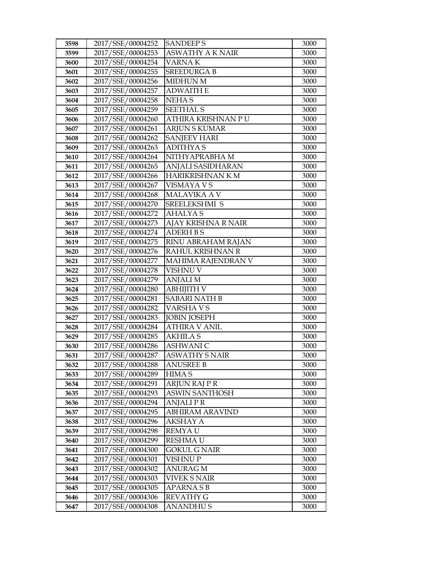| 3598         | 2017/SSE/00004252                      | <b>SANDEEPS</b>                  | 3000         |
|--------------|----------------------------------------|----------------------------------|--------------|
| 3599         | 2017/SSE/00004253                      | <b>ASWATHY A K NAIR</b>          | 3000         |
| 3600         | 2017/SSE/00004254                      | <b>VARNAK</b>                    | 3000         |
| 3601         | 2017/SSE/00004255                      | <b>SREEDURGA B</b>               | 3000         |
| 3602         | 2017/SSE/00004256                      | <b>MIDHUN M</b>                  | 3000         |
| 3603         | 2017/SSE/00004257                      | <b>ADWAITH E</b>                 | 3000         |
| 3604         | 2017/SSE/00004258                      | <b>NEHAS</b>                     | 3000         |
| 3605         | 2017/SSE/00004259                      | <b>SEETHAL S</b>                 | 3000         |
| 3606         | 2017/SSE/00004260                      | ATHIRA KRISHNAN PU               | 3000         |
| 3607         | 2017/SSE/00004261                      | <b>ARJUN S KUMAR</b>             | 3000         |
| 3608         | 2017/SSE/00004262                      | <b>SANJEEV HARI</b>              | 3000         |
| 3609         | 2017/SSE/00004263                      | <b>ADITHYAS</b>                  | 3000         |
| 3610         | 2017/SSE/00004264                      | NITHYAPRABHA M                   | 3000         |
| 3611         | 2017/SSE/00004265                      | ANJALI SASIDHARAN                | 3000         |
| 3612         | 2017/SSE/00004266                      | HARIKRISHNAN KM                  | 3000         |
| 3613         | 2017/SSE/00004267                      | <b>VISMAYA V S</b>               | 3000         |
| 3614         | 2017/SSE/00004268                      | MALAVIKA A V                     | 3000         |
| 3615         | 2017/SSE/00004270                      | SREELEKSHMI S                    | 3000         |
| 3616         | 2017/SSE/00004272                      | <b>AHALYAS</b>                   | 3000         |
| 3617         | 2017/SSE/00004273                      | AJAY KRISHNA R NAIR              | 3000         |
| 3618         | 2017/SSE/00004274                      | <b>ADERH B S</b>                 | 3000         |
| 3619         | 2017/SSE/00004275                      | RINU ABRAHAM RAJAN               | 3000         |
| 3620         | 2017/SSE/00004276                      | RAHUL KRISHNAN R                 | 3000         |
| 3621         | 2017/SSE/00004277                      | MAHIMA RAJENDRAN V               | 3000         |
| 3622         | 2017/SSE/00004278                      | VISHNU V                         | 3000         |
| 3623         | 2017/SSE/00004279                      | ANJALI M                         | 3000         |
| 3624         | 2017/SSE/00004280                      | <b>ABHIJITH V</b>                | 3000         |
| 3625         | 2017/SSE/00004281                      | <b>SABARI NATH B</b>             | 3000         |
| 3626         | 2017/SSE/00004282                      | VARSHA V S                       | 3000         |
| 3627         | 2017/SSE/00004283                      | <b>JOBIN JOSEPH</b>              | 3000         |
| 3628         | 2017/SSE/00004284                      | ATHIRA V ANIL                    | 3000         |
| 3629         | 2017/SSE/00004285                      | <b>AKHILAS</b>                   | 3000         |
| 3630         | 2017/SSE/00004286                      | <b>ASHWANI C</b>                 | 3000         |
| 3631         | 2017/SSE/00004287<br>2017/SSE/00004288 | <b>ASWATHY S NAIR</b>            | 3000         |
| 3632         | 2017/SSE/00004289                      | <b>ANUSREE B</b><br><b>HIMAS</b> | 3000         |
| 3633<br>3634 | 2017/SSE/00004291                      | <b>ARJUN RAJ P R</b>             | 3000<br>3000 |
| 3635         | 2017/SSE/00004293                      | <b>ASWIN SANTHOSH</b>            | 3000         |
| 3636         | 2017/SSE/00004294                      | <b>ANJALIPR</b>                  | 3000         |
| 3637         | 2017/SSE/00004295                      | <b>ABHIRAM ARAVIND</b>           | 3000         |
| 3638         | 2017/SSE/00004296                      | AKSHAY A                         | 3000         |
| 3639         | 2017/SSE/00004298                      | REMYA U                          | 3000         |
| 3640         | 2017/SSE/00004299                      | <b>RESHMA U</b>                  | 3000         |
| 3641         | 2017/SSE/00004300                      | <b>GOKUL G NAIR</b>              | 3000         |
| 3642         | 2017/SSE/00004301                      | VISHNU P                         | 3000         |
| 3643         | 2017/SSE/00004302                      | ANURAG M                         | 3000         |
| 3644         | 2017/SSE/00004303                      | VIVEK S NAIR                     | 3000         |
| 3645         | 2017/SSE/00004305                      | <b>APARNASB</b>                  | 3000         |
| 3646         | 2017/SSE/00004306                      | <b>REVATHY G</b>                 | 3000         |
| 3647         | 2017/SSE/00004308                      | ANANDHU S                        | 3000         |
|              |                                        |                                  |              |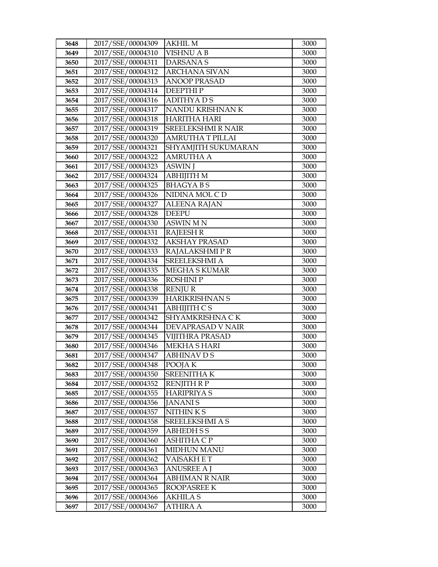| 3648         | 2017/SSE/00004309                      | AKHIL M                                 | 3000         |
|--------------|----------------------------------------|-----------------------------------------|--------------|
| 3649         | 2017/SSE/00004310                      | <b>VISHNU A B</b>                       | 3000         |
| 3650         | 2017/SSE/00004311                      | <b>DARSANAS</b>                         | 3000         |
| 3651         | 2017/SSE/00004312                      | <b>ARCHANA SIVAN</b>                    | 3000         |
| 3652         | 2017/SSE/00004313                      | <b>ANOOP PRASAD</b>                     | 3000         |
| 3653         | 2017/SSE/00004314                      | <b>DEEPTHIP</b>                         | 3000         |
| 3654         | 2017/SSE/00004316                      | <b>ADITHYADS</b>                        | 3000         |
| 3655         | 2017/SSE/00004317                      | NANDU KRISHNAN K                        | 3000         |
| 3656         | 2017/SSE/00004318                      | <b>HARITHA HARI</b>                     | 3000         |
| 3657         | 2017/SSE/00004319                      | <b>SREELEKSHMI R NAIR</b>               | 3000         |
| 3658         | 2017/SSE/00004320                      | AMRUTHA T PILLAI                        | 3000         |
| 3659         | 2017/SSE/00004321                      | SHYAMJITH SUKUMARAN                     | 3000         |
| 3660         | 2017/SSE/00004322                      | <b>AMRUTHA A</b>                        | 3000         |
| 3661         | 2017/SSE/00004323                      | <b>ASWIN J</b>                          | 3000         |
| 3662         | 2017/SSE/00004324                      | ABHIJITH M                              | 3000         |
| 3663         | 2017/SSE/00004325                      | <b>BHAGYABS</b>                         | 3000         |
| 3664         | 2017/SSE/00004326                      | NIDINA MOL C D                          | 3000         |
| 3665         | 2017/SSE/00004327                      | <b>ALEENA RAJAN</b>                     | 3000         |
| 3666         | 2017/SSE/00004328                      | <b>DEEPU</b>                            | 3000         |
| 3667         | 2017/SSE/00004330                      | ASWIN MN                                | 3000         |
| 3668         | 2017/SSE/00004331                      | <b>RAJEESH R</b>                        | 3000         |
| 3669         | 2017/SSE/00004332                      | <b>AKSHAY PRASAD</b>                    | 3000         |
| 3670         | 2017/SSE/00004333                      | RAJALAKSHMIPR                           | 3000         |
| 3671         | 2017/SSE/00004334                      | SREELEKSHMI A                           | 3000         |
| 3672         | 2017/SSE/00004335                      | <b>MEGHA S KUMAR</b>                    | 3000         |
| 3673         | 2017/SSE/00004336                      | <b>ROSHINIP</b>                         | 3000         |
| 3674         | 2017/SSE/00004338                      | <b>RENJUR</b>                           | 3000         |
| 3675         | 2017/SSE/00004339                      | <b>HARIKRISHNAN S</b>                   | 3000         |
| 3676         | 2017/SSE/00004341                      | <b>ABHIJITH CS</b>                      | 3000         |
| 3677         | 2017/SSE/00004342                      | SHYAMKRISHNA CK                         | 3000         |
| 3678         | 2017/SSE/00004344                      | DEVAPRASAD V NAIR                       | 3000         |
| 3679         | 2017/SSE/00004345                      | <b>VIJITHRA PRASAD</b>                  | 3000         |
| 3680         | 2017/SSE/00004346                      | <b>MEKHA S HARI</b>                     | 3000         |
| 3681         | 2017/SSE/00004347                      | <b>ABHINAV D S</b>                      | 3000         |
| 3682         | 2017/SSE/00004348                      | POOJA K                                 | 3000         |
| 3683         | 2017/SSE/00004350                      | <b>SREENITHAK</b>                       | 3000         |
| 3684         | 2017/SSE/00004352                      | <b>RENJITH R P</b><br><b>HARIPRIYAS</b> | 3000         |
| 3685         | 2017/SSE/00004355<br>2017/SSE/00004356 | <b>JANANIS</b>                          | 3000<br>3000 |
| 3686<br>3687 | 2017/SSE/00004357                      | NITHINKS                                | 3000         |
| 3688         | 2017/SSE/00004358                      | <b>SREELEKSHMI A S</b>                  | 3000         |
| 3689         | 2017/SSE/00004359                      | <b>ABHEDHSS</b>                         | 3000         |
| 3690         | 2017/SSE/00004360                      | <b>ASHITHA C P</b>                      | 3000         |
| 3691         | 2017/SSE/00004361                      | <b>MIDHUN MANU</b>                      | 3000         |
| 3692         | 2017/SSE/00004362                      | VAISAKH E T                             | 3000         |
| 3693         | 2017/SSE/00004363                      | ANUSREE A J                             | 3000         |
| 3694         | 2017/SSE/00004364                      | <b>ABHIMAN R NAIR</b>                   | 3000         |
| 3695         | 2017/SSE/00004365                      | ROOPASREE K                             | 3000         |
| 3696         | 2017/SSE/00004366                      | AKHILA S                                | 3000         |
| 3697         | 2017/SSE/00004367                      | ATHIRA A                                | 3000         |
|              |                                        |                                         |              |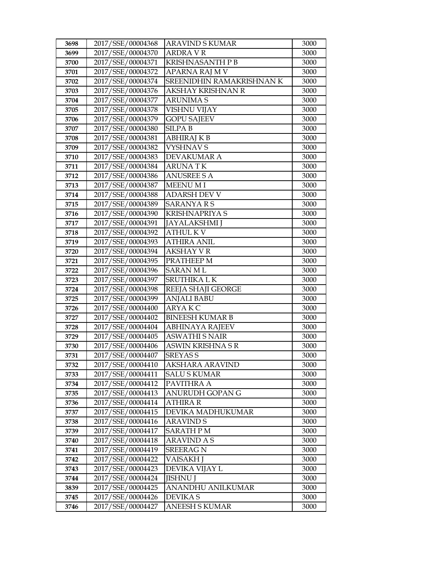| 3698 | 2017/SSE/00004368 | <b>ARAVIND S KUMAR</b>    | 3000 |
|------|-------------------|---------------------------|------|
| 3699 | 2017/SSE/00004370 | <b>ARDRA V R</b>          | 3000 |
| 3700 | 2017/SSE/00004371 | KRISHNASANTH P B          | 3000 |
| 3701 | 2017/SSE/00004372 | APARNA RAJ M V            | 3000 |
| 3702 | 2017/SSE/00004374 | SREENIDHIN RAMAKRISHNAN K | 3000 |
| 3703 | 2017/SSE/00004376 | AKSHAY KRISHNAN R         | 3000 |
| 3704 | 2017/SSE/00004377 | <b>ARUNIMA S</b>          | 3000 |
| 3705 | 2017/SSE/00004378 | VISHNU VIJAY              | 3000 |
| 3706 | 2017/SSE/00004379 | <b>GOPU SAJEEV</b>        | 3000 |
| 3707 | 2017/SSE/00004380 | <b>SILPAB</b>             | 3000 |
| 3708 | 2017/SSE/00004381 | <b>ABHIRAJ K B</b>        | 3000 |
| 3709 | 2017/SSE/00004382 | <b>VYSHNAV S</b>          | 3000 |
| 3710 | 2017/SSE/00004383 | DEVAKUMAR A               | 3000 |
| 3711 | 2017/SSE/00004384 | <b>ARUNATK</b>            | 3000 |
| 3712 | 2017/SSE/00004386 | <b>ANUSREE S A</b>        | 3000 |
| 3713 | 2017/SSE/00004387 | <b>MEENU MI</b>           | 3000 |
| 3714 | 2017/SSE/00004388 | <b>ADARSH DEV V</b>       | 3000 |
| 3715 | 2017/SSE/00004389 | <b>SARANYARS</b>          | 3000 |
| 3716 | 2017/SSE/00004390 | <b>KRISHNAPRIYA S</b>     | 3000 |
| 3717 | 2017/SSE/00004391 | <b>JAYALAKSHMI</b> J      | 3000 |
| 3718 | 2017/SSE/00004392 | <b>ATHUL KV</b>           | 3000 |
| 3719 | 2017/SSE/00004393 | <b>ATHIRA ANIL</b>        | 3000 |
| 3720 | 2017/SSE/00004394 | <b>AKSHAY V R</b>         | 3000 |
| 3721 | 2017/SSE/00004395 | PRATHEEP M                | 3000 |
| 3722 | 2017/SSE/00004396 | SARAN M L                 | 3000 |
| 3723 | 2017/SSE/00004397 | SRUTHIKA L K              | 3000 |
| 3724 | 2017/SSE/00004398 | REEJA SHAJI GEORGE        | 3000 |
| 3725 | 2017/SSE/00004399 | <b>ANJALI BABU</b>        | 3000 |
| 3726 | 2017/SSE/00004400 | ARYAKC                    | 3000 |
| 3727 | 2017/SSE/00004402 | <b>BINEESH KUMAR B</b>    | 3000 |
| 3728 | 2017/SSE/00004404 | <b>ABHINAYA RAJEEV</b>    | 3000 |
| 3729 | 2017/SSE/00004405 | <b>ASWATHI S NAIR</b>     | 3000 |
| 3730 | 2017/SSE/00004406 | <b>ASWIN KRISHNA S R</b>  | 3000 |
| 3731 | 2017/SSE/00004407 | <b>SREYAS S</b>           | 3000 |
| 3732 | 2017/SSE/00004410 | AKSHARA ARAVIND           | 3000 |
| 3733 | 2017/SSE/00004411 | SALU S KUMAR              | 3000 |
| 3734 | 2017/SSE/00004412 | PAVITHRA A                | 3000 |
| 3735 | 2017/SSE/00004413 | ANURUDH GOPAN G           | 3000 |
| 3736 | 2017/SSE/00004414 | ATHIRA R                  | 3000 |
| 3737 | 2017/SSE/00004415 | DEVIKA MADHUKUMAR         | 3000 |
| 3738 | 2017/SSE/00004416 | <b>ARAVIND S</b>          | 3000 |
| 3739 | 2017/SSE/00004417 | SARATH P M                | 3000 |
| 3740 | 2017/SSE/00004418 | <b>ARAVIND A S</b>        | 3000 |
| 3741 | 2017/SSE/00004419 | <b>SREERAG N</b>          | 3000 |
| 3742 | 2017/SSE/00004422 | VAISAKH J                 | 3000 |
| 3743 | 2017/SSE/00004423 | DEVIKA VIJAY L            | 3000 |
| 3744 | 2017/SSE/00004424 | <b>JISHNU J</b>           | 3000 |
| 3839 | 2017/SSE/00004425 | ANANDHU ANILKUMAR         | 3000 |
| 3745 | 2017/SSE/00004426 | DEVIKA S                  | 3000 |
| 3746 | 2017/SSE/00004427 | <b>ANEESH S KUMAR</b>     | 3000 |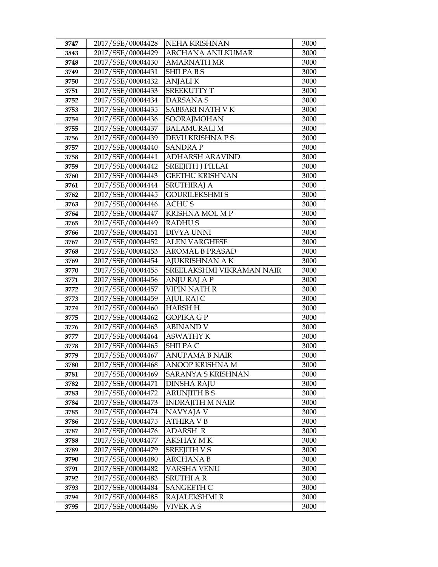| 3747 | 2017/SSE/00004428 | NEHA KRISHNAN             | 3000 |
|------|-------------------|---------------------------|------|
| 3843 | 2017/SSE/00004429 | <b>ARCHANA ANILKUMAR</b>  | 3000 |
| 3748 | 2017/SSE/00004430 | <b>AMARNATH MR</b>        | 3000 |
| 3749 | 2017/SSE/00004431 | <b>SHILPABS</b>           | 3000 |
| 3750 | 2017/SSE/00004432 | <b>ANJALIK</b>            | 3000 |
| 3751 | 2017/SSE/00004433 | <b>SREEKUTTY T</b>        | 3000 |
| 3752 | 2017/SSE/00004434 | <b>DARSANAS</b>           | 3000 |
| 3753 | 2017/SSE/00004435 | SABBARI NATH VK           | 3000 |
| 3754 | 2017/SSE/00004436 | SOORAJMOHAN               | 3000 |
| 3755 | 2017/SSE/00004437 | <b>BALAMURALI M</b>       | 3000 |
| 3756 | 2017/SSE/00004439 | DEVU KRISHNA P S          | 3000 |
| 3757 | 2017/SSE/00004440 | SANDRA P                  | 3000 |
| 3758 | 2017/SSE/00004441 | <b>ADHARSH ARAVIND</b>    | 3000 |
| 3759 | 2017/SSE/00004442 | <b>SREEJITH J PILLAI</b>  | 3000 |
| 3760 | 2017/SSE/00004443 | <b>GEETHU KRISHNAN</b>    | 3000 |
| 3761 | 2017/SSE/00004444 | <b>SRUTHIRAJ A</b>        | 3000 |
| 3762 | 2017/SSE/00004445 | <b>GOURILEKSHMI S</b>     | 3000 |
| 3763 | 2017/SSE/00004446 | <b>ACHUS</b>              | 3000 |
| 3764 | 2017/SSE/00004447 | <b>KRISHNA MOL MP</b>     | 3000 |
| 3765 | 2017/SSE/00004449 | <b>RADHUS</b>             | 3000 |
| 3766 | 2017/SSE/00004451 | <b>DIVYA UNNI</b>         | 3000 |
| 3767 | 2017/SSE/00004452 | <b>ALEN VARGHESE</b>      | 3000 |
| 3768 | 2017/SSE/00004453 | <b>AROMAL B PRASAD</b>    | 3000 |
| 3769 | 2017/SSE/00004454 | AJUKRISHNAN A K           | 3000 |
| 3770 | 2017/SSE/00004455 | SREELAKSHMI VIKRAMAN NAIR | 3000 |
| 3771 | 2017/SSE/00004456 | ANJU RAJ A P              | 3000 |
| 3772 | 2017/SSE/00004457 | VIPIN NATH R              | 3000 |
| 3773 | 2017/SSE/00004459 | AJUL RAJ C                | 3000 |
| 3774 | 2017/SSE/00004460 | <b>HARSH H</b>            | 3000 |
| 3775 | 2017/SSE/00004462 | <b>GOPIKA GP</b>          | 3000 |
| 3776 | 2017/SSE/00004463 | <b>ABINAND V</b>          | 3000 |
| 3777 | 2017/SSE/00004464 | <b>ASWATHY K</b>          | 3000 |
| 3778 | 2017/SSE/00004465 | SHILPA C                  | 3000 |
| 3779 | 2017/SSE/00004467 | <b>ANUPAMA B NAIR</b>     | 3000 |
| 3780 | 2017/SSE/00004468 | ANOOP KRISHNA M           | 3000 |
| 3781 | 2017/SSE/00004469 | SARANYA S KRISHNAN        | 3000 |
| 3782 | 2017/SSE/00004471 | DINSHA RAJU               | 3000 |
| 3783 | 2017/SSE/00004472 | <b>ARUNJITH BS</b>        | 3000 |
| 3784 | 2017/SSE/00004473 | <b>INDRAJITH M NAIR</b>   | 3000 |
| 3785 | 2017/SSE/00004474 | NAVYAJA V                 | 3000 |
| 3786 | 2017/SSE/00004475 | <b>ATHIRA V B</b>         | 3000 |
| 3787 | 2017/SSE/00004476 | ADARSH R                  | 3000 |
| 3788 | 2017/SSE/00004477 | <b>AKSHAY MK</b>          | 3000 |
| 3789 | 2017/SSE/00004479 | <b>SREEJITH V S</b>       | 3000 |
| 3790 | 2017/SSE/00004480 | <b>ARCHANA B</b>          | 3000 |
| 3791 | 2017/SSE/00004482 | <b>VARSHA VENU</b>        | 3000 |
| 3792 | 2017/SSE/00004483 | SRUTHI A R                | 3000 |
| 3793 | 2017/SSE/00004484 | <b>SANGEETH C</b>         | 3000 |
| 3794 | 2017/SSE/00004485 | <b>RAJALEKSHMI R</b>      | 3000 |
| 3795 | 2017/SSE/00004486 | VIVEK A S                 | 3000 |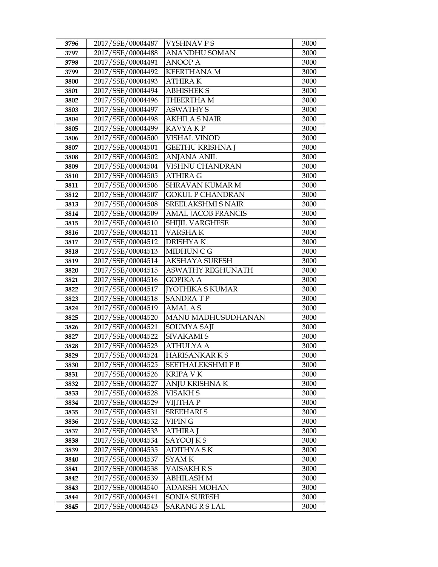| 3796 | 2017/SSE/00004487                      | <b>VYSHNAVPS</b>          | 3000 |
|------|----------------------------------------|---------------------------|------|
| 3797 | 2017/SSE/00004488                      | ANANDHU SOMAN             | 3000 |
| 3798 | 2017/SSE/00004491                      | <b>ANOOP A</b>            | 3000 |
| 3799 | 2017/SSE/00004492                      | <b>KEERTHANA M</b>        | 3000 |
| 3800 | 2017/SSE/00004493                      | <b>ATHIRA K</b>           | 3000 |
| 3801 | 2017/SSE/00004494                      | <b>ABHISHEK S</b>         | 3000 |
| 3802 | 2017/SSE/00004496                      | THEERTHA M                | 3000 |
| 3803 | 2017/SSE/00004497                      | <b>ASWATHY S</b>          | 3000 |
| 3804 | 2017/SSE/00004498                      | <b>AKHILA S NAIR</b>      | 3000 |
| 3805 | 2017/SSE/00004499                      | KAVYA KP                  | 3000 |
| 3806 | 2017/SSE/00004500                      | <b>VISHAL VINOD</b>       | 3000 |
| 3807 | 2017/SSE/00004501                      | <b>GEETHU KRISHNA J</b>   | 3000 |
| 3808 | 2017/SSE/00004502                      | <b>ANJANA ANIL</b>        | 3000 |
| 3809 | 2017/SSE/00004504                      | VISHNU CHANDRAN           | 3000 |
| 3810 | 2017/SSE/00004505                      | <b>ATHIRA G</b>           | 3000 |
| 3811 | 2017/SSE/00004506                      | SHRAVAN KUMAR M           | 3000 |
| 3812 | 2017/SSE/00004507                      | <b>GOKUL P CHANDRAN</b>   | 3000 |
| 3813 | 2017/SSE/00004508                      | <b>SREELAKSHMI S NAIR</b> | 3000 |
| 3814 | 2017/SSE/00004509                      | <b>AMAL JACOB FRANCIS</b> | 3000 |
| 3815 | 2017/SSE/00004510                      | SHIJIL VARGHESE           | 3000 |
| 3816 | 2017/SSE/00004511                      | <b>VARSHAK</b>            | 3000 |
| 3817 | 2017/SSE/00004512                      | <b>DRISHYAK</b>           | 3000 |
| 3818 | 2017/SSE/00004513                      | MIDHUN C G                | 3000 |
| 3819 | 2017/SSE/00004514                      | AKSHAYA SURESH            | 3000 |
| 3820 | 2017/SSE/00004515                      | <b>ASWATHY REGHUNATH</b>  | 3000 |
| 3821 | 2017/SSE/00004516                      | <b>GOPIKA A</b>           | 3000 |
| 3822 | 2017/SSE/00004517                      | <b>[YOTHIKA S KUMAR</b>   | 3000 |
| 3823 | 2017/SSE/00004518                      | <b>SANDRATP</b>           | 3000 |
| 3824 | 2017/SSE/00004519                      | <b>AMAL AS</b>            | 3000 |
| 3825 | 2017/SSE/00004520                      | MANU MADHUSUDHANAN        | 3000 |
| 3826 | 2017/SSE/00004521                      | SOUMYA SAJI               | 3000 |
| 3827 | 2017/SSE/00004522                      | <b>SIVAKAMI S</b>         |      |
| 3828 |                                        |                           | 3000 |
|      | 2017/SSE/00004523                      | <b>ATHULYA A</b>          | 3000 |
| 3829 | 2017/SSE/00004524                      | HARISANKARKS              | 3000 |
| 3830 | 2017/SSE/00004525                      | SEETHALEKSHMI P B         | 3000 |
| 3831 | 2017/SSE/00004526                      | KRIPA V K                 | 3000 |
| 3832 | 2017/SSE/00004527                      | ANJU KRISHNA K            | 3000 |
| 3833 | 2017/SSE/00004528                      | <b>VISAKH S</b>           | 3000 |
| 3834 | 2017/SSE/00004529                      | <b>VIJITHA P</b>          | 3000 |
| 3835 | 2017/SSE/00004531                      | <b>SREEHARI S</b>         | 3000 |
| 3836 | 2017/SSE/00004532                      | <b>VIPING</b>             | 3000 |
| 3837 | 2017/SSE/00004533                      | <b>ATHIRA J</b>           | 3000 |
| 3838 | 2017/SSE/00004534                      | SAYOOJ K S                | 3000 |
| 3839 | 2017/SSE/00004535                      | <b>ADITHYASK</b>          | 3000 |
| 3840 | 2017/SSE/00004537                      | SYAM K                    | 3000 |
| 3841 | 2017/SSE/00004538                      | VAISAKH R S               | 3000 |
| 3842 | 2017/SSE/00004539                      | <b>ABHILASH M</b>         | 3000 |
| 3843 | 2017/SSE/00004540                      | <b>ADARSH MOHAN</b>       | 3000 |
| 3844 | 2017/SSE/00004541<br>2017/SSE/00004543 | SONIA SURESH              | 3000 |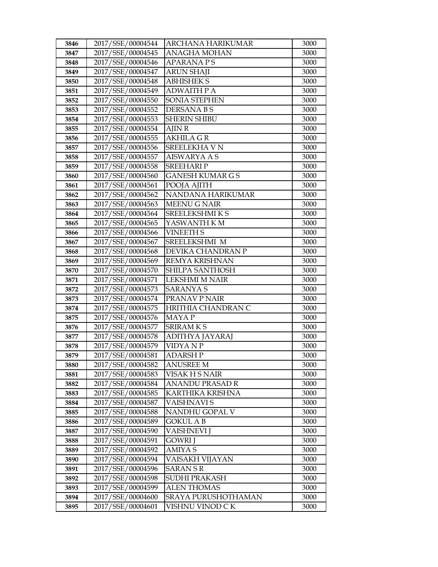| 3846 | 2017/SSE/00004544 | ARCHANA HARIKUMAR       | 3000 |
|------|-------------------|-------------------------|------|
| 3847 | 2017/SSE/00004545 | ANAGHA MOHAN            | 3000 |
| 3848 | 2017/SSE/00004546 | <b>APARANAPS</b>        | 3000 |
| 3849 | 2017/SSE/00004547 | <b>ARUN SHAJI</b>       | 3000 |
| 3850 | 2017/SSE/00004548 | <b>ABHISHEK S</b>       | 3000 |
| 3851 | 2017/SSE/00004549 | <b>ADWAITH P A</b>      | 3000 |
| 3852 | 2017/SSE/00004550 | SONIA STEPHEN           | 3000 |
| 3853 | 2017/SSE/00004552 | <b>DERSANABS</b>        | 3000 |
| 3854 | 2017/SSE/00004553 | <b>SHERIN SHIBU</b>     | 3000 |
| 3855 | 2017/SSE/00004554 | AJIN R                  | 3000 |
| 3856 | 2017/SSE/00004555 | AKHILA G R              | 3000 |
| 3857 | 2017/SSE/00004556 | SREELEKHA V N           | 3000 |
| 3858 | 2017/SSE/00004557 | <b>AISWARYA A S</b>     | 3000 |
| 3859 | 2017/SSE/00004558 | <b>SREEHARIP</b>        | 3000 |
| 3860 | 2017/SSE/00004560 | <b>GANESH KUMAR G S</b> | 3000 |
| 3861 | 2017/SSE/00004561 | POOJA AJITH             | 3000 |
| 3862 | 2017/SSE/00004562 | NANDANA HARIKUMAR       | 3000 |
| 3863 | 2017/SSE/00004563 | <b>MEENU G NAIR</b>     | 3000 |
| 3864 | 2017/SSE/00004564 | SREELEKSHMIKS           | 3000 |
| 3865 | 2017/SSE/00004565 | YASWANTH K M            | 3000 |
| 3866 | 2017/SSE/00004566 | <b>VINEETH S</b>        | 3000 |
| 3867 | 2017/SSE/00004567 | SREELEKSHMI M           | 3000 |
| 3868 | 2017/SSE/00004568 | DEVIKA CHANDRAN P       | 3000 |
| 3869 | 2017/SSE/00004569 | REMYA KRISHNAN          | 3000 |
| 3870 | 2017/SSE/00004570 | SHILPA SANTHOSH         | 3000 |
| 3871 | 2017/SSE/00004571 | <b>LEKSHMI M NAIR</b>   | 3000 |
| 3872 | 2017/SSE/00004573 | SARANYA S               | 3000 |
| 3873 | 2017/SSE/00004574 | PRANAV P NAIR           | 3000 |
| 3874 | 2017/SSE/00004575 | HRITHIA CHANDRAN C      | 3000 |
| 3875 | 2017/SSE/00004576 | MAYA P                  | 3000 |
| 3876 | 2017/SSE/00004577 | <b>SRIRAMKS</b>         | 3000 |
| 3877 | 2017/SSE/00004578 | ADITHYA JAYARAJ         | 3000 |
| 3878 | 2017/SSE/00004579 | VIDYA N P               | 3000 |
| 3879 | 2017/SSE/00004581 | <b>ADARSH P</b>         | 3000 |
| 3880 | 2017/SSE/00004582 | <b>ANUSREE M</b>        | 3000 |
| 3881 | 2017/SSE/00004583 | VISAK H S NAIR          | 3000 |
| 3882 | 2017/SSE/00004584 | ANANDU PRASAD R         | 3000 |
| 3883 | 2017/SSE/00004585 | KARTHIKA KRISHNA        | 3000 |
| 3884 | 2017/SSE/00004587 | VAISHNAVI S             | 3000 |
| 3885 | 2017/SSE/00004588 | NANDHU GOPAL V          | 3000 |
| 3886 | 2017/SSE/00004589 | <b>GOKUL A B</b>        | 3000 |
| 3887 | 2017/SSE/00004590 | VAISHNEVI J             | 3000 |
| 3888 | 2017/SSE/00004591 | GOWRI J                 | 3000 |
| 3889 | 2017/SSE/00004592 | <b>AMIYAS</b>           | 3000 |
| 3890 | 2017/SSE/00004594 | VAISAKH VIJAYAN         | 3000 |
| 3891 | 2017/SSE/00004596 | <b>SARAN S R</b>        | 3000 |
| 3892 | 2017/SSE/00004598 | <b>SUDHI PRAKASH</b>    | 3000 |
| 3893 | 2017/SSE/00004599 | <b>ALEN THOMAS</b>      | 3000 |
| 3894 | 2017/SSE/00004600 | SRAYA PURUSHOTHAMAN     | 3000 |
| 3895 | 2017/SSE/00004601 | VISHNU VINOD C K        | 3000 |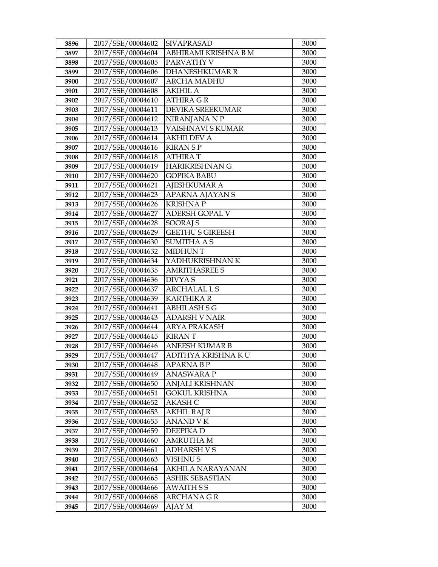| 3896 | 2017/SSE/00004602 | <b>SIVAPRASAD</b>       | 3000 |
|------|-------------------|-------------------------|------|
| 3897 | 2017/SSE/00004604 | ABHIRAMI KRISHNA B M    | 3000 |
| 3898 | 2017/SSE/00004605 | PARVATHY V              | 3000 |
| 3899 | 2017/SSE/00004606 | <b>DHANESHKUMAR R</b>   | 3000 |
| 3900 | 2017/SSE/00004607 | ARCHA MADHU             | 3000 |
| 3901 | 2017/SSE/00004608 | <b>AKIHIL A</b>         | 3000 |
| 3902 | 2017/SSE/00004610 | <b>ATHIRA GR</b>        | 3000 |
| 3903 | 2017/SSE/00004611 | <b>DEVIKA SREEKUMAR</b> | 3000 |
| 3904 | 2017/SSE/00004612 | NIRANJANA N P           | 3000 |
| 3905 | 2017/SSE/00004613 | VAISHNAVI S KUMAR       | 3000 |
| 3906 | 2017/SSE/00004614 | <b>AKHILDEV A</b>       | 3000 |
| 3907 | 2017/SSE/00004616 | <b>KIRANSP</b>          | 3000 |
| 3908 | 2017/SSE/00004618 | <b>ATHIRAT</b>          | 3000 |
| 3909 | 2017/SSE/00004619 | <b>HARIKRISHNAN G</b>   | 3000 |
| 3910 | 2017/SSE/00004620 | <b>GOPIKA BABU</b>      | 3000 |
| 3911 | 2017/SSE/00004621 | <b>AJESHKUMAR A</b>     | 3000 |
| 3912 | 2017/SSE/00004623 | APARNA AJAYAN S         | 3000 |
| 3913 | 2017/SSE/00004626 | <b>KRISHNAP</b>         | 3000 |
| 3914 | 2017/SSE/00004627 | <b>ADERSH GOPAL V</b>   | 3000 |
| 3915 | 2017/SSE/00004628 | SOORAJ S                | 3000 |
| 3916 | 2017/SSE/00004629 | <b>GEETHU S GIREESH</b> | 3000 |
| 3917 | 2017/SSE/00004630 | SUMITHA A S             | 3000 |
| 3918 | 2017/SSE/00004632 | <b>MIDHUNT</b>          | 3000 |
| 3919 | 2017/SSE/00004634 | YADHUKRISHNAN K         | 3000 |
| 3920 | 2017/SSE/00004635 | <b>AMRITHASREE S</b>    | 3000 |
| 3921 | 2017/SSE/00004636 | <b>DIVYAS</b>           | 3000 |
| 3922 | 2017/SSE/00004637 | <b>ARCHALAL L S</b>     | 3000 |
| 3923 | 2017/SSE/00004639 | <b>KARTHIKA R</b>       | 3000 |
| 3924 | 2017/SSE/00004641 | <b>ABHILASH S G</b>     | 3000 |
| 3925 | 2017/SSE/00004643 | <b>ADARSH V NAIR</b>    | 3000 |
| 3926 | 2017/SSE/00004644 | <b>ARYA PRAKASH</b>     | 3000 |
| 3927 | 2017/SSE/00004645 | <b>KIRANT</b>           | 3000 |
| 3928 | 2017/SSE/00004646 | <b>ANEESH KUMAR B</b>   | 3000 |
| 3929 | 2017/SSE/00004647 | ADITHYA KRISHNA KU      | 3000 |
| 3930 | 2017/SSE/00004648 | <b>APARNA B P</b>       | 3000 |
| 3931 | 2017/SSE/00004649 | ANASWARA P              | 3000 |
| 3932 | 2017/SSE/00004650 | ANJALI KRISHNAN         | 3000 |
| 3933 | 2017/SSE/00004651 | <b>GOKUL KRISHNA</b>    | 3000 |
| 3934 | 2017/SSE/00004652 | AKASH C                 | 3000 |
| 3935 | 2017/SSE/00004653 | AKHIL RAJ R             | 3000 |
| 3936 | 2017/SSE/00004655 | <b>ANAND V K</b>        | 3000 |
| 3937 | 2017/SSE/00004659 | DEEPIKA D               | 3000 |
| 3938 | 2017/SSE/00004660 | <b>AMRUTHA M</b>        | 3000 |
| 3939 | 2017/SSE/00004661 | <b>ADHARSH V S</b>      | 3000 |
| 3940 | 2017/SSE/00004663 | VISHNU S                | 3000 |
| 3941 | 2017/SSE/00004664 | AKHILA NARAYANAN        | 3000 |
| 3942 | 2017/SSE/00004665 | <b>ASHIK SEBASTIAN</b>  | 3000 |
| 3943 | 2017/SSE/00004666 | <b>AWAITH SS</b>        | 3000 |
| 3944 | 2017/SSE/00004668 | <b>ARCHANA G R</b>      | 3000 |
| 3945 | 2017/SSE/00004669 | AJAY M                  | 3000 |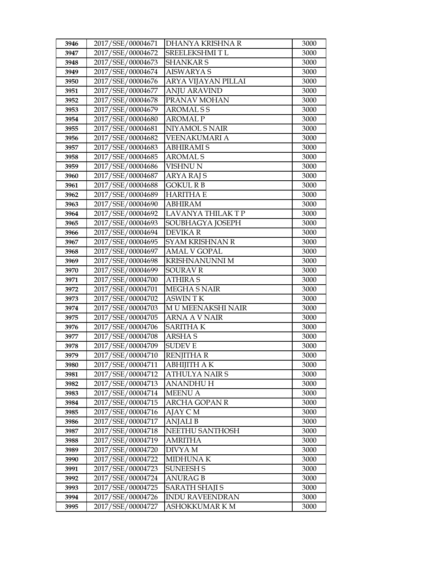| 3946         | 2017/SSE/00004671                      | DHANYA KRISHNA R         | 3000         |
|--------------|----------------------------------------|--------------------------|--------------|
| 3947         | 2017/SSE/00004672                      | SREELEKSHMITL            | 3000         |
| 3948         | 2017/SSE/00004673                      | <b>SHANKAR S</b>         | 3000         |
| 3949         | 2017/SSE/00004674                      | <b>AISWARYA S</b>        | 3000         |
| 3950         | 2017/SSE/00004676                      | ARYA VIJAYAN PILLAI      | 3000         |
| 3951         | 2017/SSE/00004677                      | <b>ANJU ARAVIND</b>      | 3000         |
| 3952         | 2017/SSE/00004678                      | PRANAV MOHAN             | 3000         |
| 3953         | 2017/SSE/00004679                      | <b>AROMALSS</b>          | 3000         |
| 3954         | 2017/SSE/00004680                      | <b>AROMAL P</b>          | 3000         |
| 3955         | 2017/SSE/00004681                      | NIYAMOL S NAIR           | 3000         |
| 3956         | 2017/SSE/00004682                      | VEENAKUMARI A            | 3000         |
| 3957         | 2017/SSE/00004683                      | <b>ABHIRAMI S</b>        | 3000         |
| 3958         | 2017/SSE/00004685                      | <b>AROMALS</b>           | 3000         |
| 3959         | 2017/SSE/00004686                      | VISHNU N                 | 3000         |
| 3960         | 2017/SSE/00004687                      | ARYA RAJ S               | 3000         |
| 3961         | 2017/SSE/00004688                      | GOKUL R B                | 3000         |
| 3962         | 2017/SSE/00004689                      | HARITHA E                | 3000         |
| 3963         | 2017/SSE/00004690                      | <b>ABHIRAM</b>           | 3000         |
| 3964         | 2017/SSE/00004692                      | <b>LAVANYA THILAK TP</b> | 3000         |
| 3965         | 2017/SSE/00004693                      | SOUBHAGYA JOSEPH         | 3000         |
| 3966         | 2017/SSE/00004694                      | <b>DEVIKAR</b>           | 3000         |
| 3967         | 2017/SSE/00004695                      | <b>SYAM KRISHNAN R</b>   | 3000         |
| 3968         | 2017/SSE/00004697                      | <b>AMAL V GOPAL</b>      | 3000         |
| 3969         | 2017/SSE/00004698                      | <b>KRISHNANUNNI M</b>    | 3000         |
| 3970         | 2017/SSE/00004699                      | <b>SOURAV R</b>          | 3000         |
| 3971         | 2017/SSE/00004700                      | ATHIRA S                 | 3000         |
| 3972         | 2017/SSE/00004701                      | MEGHA S NAIR             | 3000         |
| 3973         | 2017/SSE/00004702                      | <b>ASWINTK</b>           | 3000         |
| 3974         | 2017/SSE/00004703                      | M U MEENAKSHI NAIR       | 3000         |
| 3975         | 2017/SSE/00004705                      | <b>ARNA A V NAIR</b>     | 3000         |
| 3976         | 2017/SSE/00004706                      | <b>SARITHAK</b>          | 3000         |
| 3977         | 2017/SSE/00004708                      | ARSHA S<br><b>SUDEVE</b> | 3000         |
| 3978<br>3979 | 2017/SSE/00004709<br>2017/SSE/00004710 | <b>RENJITHA R</b>        | 3000<br>3000 |
| 3980         | 2017/SSE/00004711                      | <b>ABHIJITH A K</b>      | 3000         |
| 3981         | 2017/SSE/00004712                      | ATHULYA NAIR S           | 3000         |
| 3982         | 2017/SSE/00004713                      | ANANDHU H                | 3000         |
| 3983         | 2017/SSE/00004714                      | <b>MEENU A</b>           | 3000         |
| 3984         | 2017/SSE/00004715                      | <b>ARCHA GOPAN R</b>     | 3000         |
| 3985         | 2017/SSE/00004716                      | AJAY C M                 | 3000         |
| 3986         | 2017/SSE/00004717                      | ANJALI B                 | 3000         |
| 3987         | 2017/SSE/00004718                      | NEETHU SANTHOSH          | 3000         |
| 3988         | 2017/SSE/00004719                      | <b>AMRITHA</b>           | 3000         |
| 3989         | 2017/SSE/00004720                      | DIVYA M                  | 3000         |
| 3990         | 2017/SSE/00004722                      | <b>MIDHUNAK</b>          | 3000         |
| 3991         | 2017/SSE/00004723                      | <b>SUNEESH S</b>         | 3000         |
| 3992         | 2017/SSE/00004724                      | <b>ANURAG B</b>          | 3000         |
| 3993         | 2017/SSE/00004725                      | <b>SARATH SHAJI S</b>    | 3000         |
| 3994         | 2017/SSE/00004726                      | <b>INDU RAVEENDRAN</b>   | 3000         |
|              |                                        |                          |              |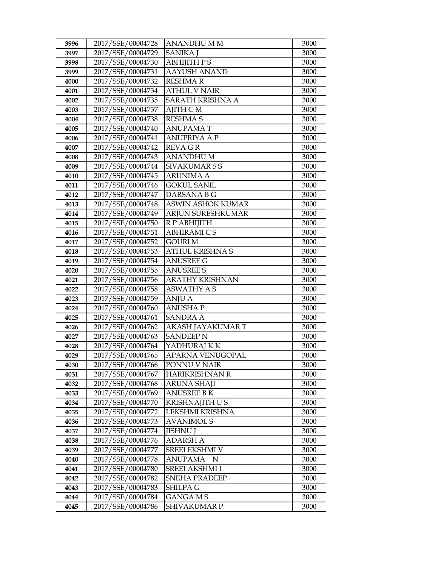| 3996 | 2017/SSE/00004728 | ANANDHU M M              | 3000 |
|------|-------------------|--------------------------|------|
| 3997 | 2017/SSE/00004729 | <b>SANIKA I</b>          | 3000 |
| 3998 | 2017/SSE/00004730 | <b>ABHIJITH PS</b>       | 3000 |
| 3999 | 2017/SSE/00004731 | <b>AAYUSH ANAND</b>      | 3000 |
| 4000 | 2017/SSE/00004732 | <b>RESHMAR</b>           | 3000 |
| 4001 | 2017/SSE/00004734 | <b>ATHUL V NAIR</b>      | 3000 |
| 4002 | 2017/SSE/00004735 | <b>SARATH KRISHNA A</b>  | 3000 |
| 4003 | 2017/SSE/00004737 | AJITH C M                | 3000 |
| 4004 | 2017/SSE/00004738 | <b>RESHMA S</b>          | 3000 |
| 4005 | 2017/SSE/00004740 | <b>ANUPAMAT</b>          | 3000 |
| 4006 | 2017/SSE/00004741 | ANUPRIYA A P             | 3000 |
| 4007 | 2017/SSE/00004742 | REVA G R                 | 3000 |
| 4008 | 2017/SSE/00004743 | <b>ANANDHUM</b>          | 3000 |
| 4009 | 2017/SSE/00004744 | <b>SIVAKUMARSS</b>       | 3000 |
| 4010 | 2017/SSE/00004745 | <b>ARUNIMA A</b>         | 3000 |
| 4011 | 2017/SSE/00004746 | <b>GOKUL SANIL</b>       | 3000 |
| 4012 | 2017/SSE/00004747 | DARSANA B G              | 3000 |
| 4013 | 2017/SSE/00004748 | <b>ASWIN ASHOK KUMAR</b> | 3000 |
| 4014 | 2017/SSE/00004749 | ARJUN SURESHKUMAR        | 3000 |
| 4015 | 2017/SSE/00004750 | R P ABHIJITH             | 3000 |
| 4016 | 2017/SSE/00004751 | <b>ABHIRAMI C S</b>      | 3000 |
| 4017 | 2017/SSE/00004752 | GOURI M                  | 3000 |
| 4018 | 2017/SSE/00004753 | ATHUL KRISHNA S          | 3000 |
| 4019 | 2017/SSE/00004754 | <b>ANUSREE G</b>         | 3000 |
| 4020 | 2017/SSE/00004755 | <b>ANUSREE S</b>         | 3000 |
| 4021 | 2017/SSE/00004756 | ARATHY KRISHNAN          | 3000 |
| 4022 | 2017/SSE/00004758 | ASWATHY A S              | 3000 |
| 4023 | 2017/SSE/00004759 | <b>ANJU A</b>            | 3000 |
| 4024 | 2017/SSE/00004760 | <b>ANUSHAP</b>           | 3000 |
| 4025 | 2017/SSE/00004761 | <b>SANDRA A</b>          | 3000 |
| 4026 | 2017/SSE/00004762 | AKASH JAYAKUMAR T        | 3000 |
| 4027 | 2017/SSE/00004763 | <b>SANDEEP N</b>         | 3000 |
| 4028 | 2017/SSE/00004764 | YADHURAJ KK              | 3000 |
| 4029 | 2017/SSE/00004765 | <b>APARNA VENUGOPAL</b>  | 3000 |
| 4030 | 2017/SSE/00004766 | PONNU V NAIR             | 3000 |
| 4031 | 2017/SSE/00004767 | HARIKRISHNAN R           | 3000 |
| 4032 | 2017/SSE/00004768 | ARUNA SHAJI              | 3000 |
| 4033 | 2017/SSE/00004769 | <b>ANUSREE BK</b>        | 3000 |
| 4034 | 2017/SSE/00004770 | KRISHNAJITH U S          | 3000 |
| 4035 | 2017/SSE/00004772 | LEKSHMI KRISHNA          | 3000 |
| 4036 | 2017/SSE/00004773 | <b>AVANIMOL S</b>        | 3000 |
| 4037 | 2017/SSE/00004774 | JISHNU J                 | 3000 |
| 4038 | 2017/SSE/00004776 | <b>ADARSH A</b>          | 3000 |
| 4039 | 2017/SSE/00004777 | <b>SREELEKSHMI V</b>     | 3000 |
| 4040 | 2017/SSE/00004778 | ANUPAMA<br>N             | 3000 |
| 4041 | 2017/SSE/00004780 | SREELAKSHMI L            | 3000 |
| 4042 | 2017/SSE/00004782 | <b>SNEHA PRADEEP</b>     | 3000 |
| 4043 | 2017/SSE/00004783 | SHILPA G                 | 3000 |
| 4044 | 2017/SSE/00004784 | <b>GANGA MS</b>          | 3000 |
| 4045 | 2017/SSE/00004786 | SHIVAKUMAR P             | 3000 |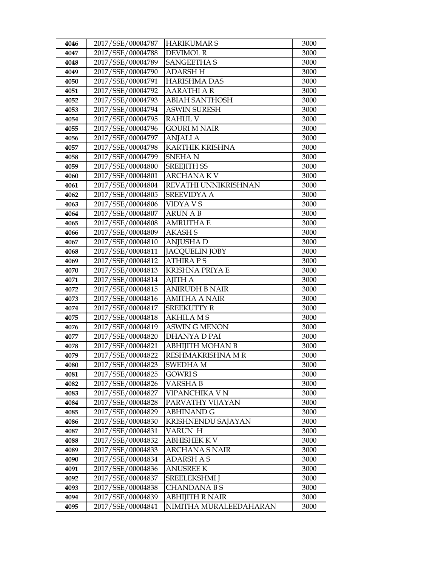| 4046 | 2017/SSE/00004787 | <b>HARIKUMAR S</b>      | 3000 |
|------|-------------------|-------------------------|------|
| 4047 | 2017/SSE/00004788 | <b>DEVIMOL R</b>        | 3000 |
| 4048 | 2017/SSE/00004789 | <b>SANGEETHA S</b>      | 3000 |
| 4049 | 2017/SSE/00004790 | <b>ADARSH H</b>         | 3000 |
| 4050 | 2017/SSE/00004791 | <b>HARISHMA DAS</b>     | 3000 |
| 4051 | 2017/SSE/00004792 | AARATHI A R             | 3000 |
| 4052 | 2017/SSE/00004793 | <b>ABIAH SANTHOSH</b>   | 3000 |
| 4053 | 2017/SSE/00004794 | <b>ASWIN SURESH</b>     | 3000 |
| 4054 | 2017/SSE/00004795 | <b>RAHUL V</b>          | 3000 |
| 4055 | 2017/SSE/00004796 | <b>GOURI M NAIR</b>     | 3000 |
| 4056 | 2017/SSE/00004797 | ANJALI A                | 3000 |
| 4057 | 2017/SSE/00004798 | <b>KARTHIK KRISHNA</b>  | 3000 |
| 4058 | 2017/SSE/00004799 | <b>SNEHAN</b>           | 3000 |
| 4059 | 2017/SSE/00004800 | <b>SREEJITH SS</b>      | 3000 |
| 4060 | 2017/SSE/00004801 | <b>ARCHANAKV</b>        | 3000 |
| 4061 | 2017/SSE/00004804 | REVATHI UNNIKRISHNAN    | 3000 |
| 4062 | 2017/SSE/00004805 | <b>SREEVIDYA A</b>      | 3000 |
| 4063 | 2017/SSE/00004806 | <b>VIDYAVS</b>          | 3000 |
| 4064 | 2017/SSE/00004807 | <b>ARUN A B</b>         | 3000 |
| 4065 | 2017/SSE/00004808 | AMRUTHA E               | 3000 |
| 4066 | 2017/SSE/00004809 | <b>AKASH S</b>          | 3000 |
| 4067 | 2017/SSE/00004810 | <b>ANJUSHAD</b>         | 3000 |
| 4068 | 2017/SSE/00004811 | <b>JACQUELIN JOBY</b>   | 3000 |
| 4069 | 2017/SSE/00004812 | <b>ATHIRA PS</b>        | 3000 |
| 4070 | 2017/SSE/00004813 | <b>KRISHNA PRIYA E</b>  | 3000 |
| 4071 | 2017/SSE/00004814 | AJITH A                 | 3000 |
| 4072 | 2017/SSE/00004815 | <b>ANIRUDH B NAIR</b>   | 3000 |
| 4073 | 2017/SSE/00004816 | <b>AMITHA A NAIR</b>    | 3000 |
| 4074 | 2017/SSE/00004817 | <b>SREEKUTTY R</b>      | 3000 |
| 4075 | 2017/SSE/00004818 | <b>AKHILA MS</b>        | 3000 |
| 4076 | 2017/SSE/00004819 | <b>ASWIN G MENON</b>    | 3000 |
| 4077 | 2017/SSE/00004820 | DHANYA D PAI            | 3000 |
| 4078 | 2017/SSE/00004821 | <b>ABHIJITH MOHAN B</b> | 3000 |
| 4079 | 2017/SSE/00004822 | RESHMAKRISHNA MR        | 3000 |
| 4080 | 2017/SSE/00004823 | <b>SWEDHAM</b>          | 3000 |
| 4081 | 2017/SSE/00004825 | GOWRI S                 | 3000 |
| 4082 | 2017/SSE/00004826 | VARSHA B                | 3000 |
| 4083 | 2017/SSE/00004827 | VIPANCHIKA V N          | 3000 |
| 4084 | 2017/SSE/00004828 | PARVATHY VIJAYAN        | 3000 |
| 4085 | 2017/SSE/00004829 | ABHINAND G              | 3000 |
| 4086 | 2017/SSE/00004830 | KRISHNENDU SAJAYAN      | 3000 |
| 4087 | 2017/SSE/00004831 | VARUN H                 | 3000 |
| 4088 | 2017/SSE/00004832 | <b>ABHISHEK K V</b>     | 3000 |
| 4089 | 2017/SSE/00004833 | ARCHANA S NAIR          | 3000 |
| 4090 | 2017/SSE/00004834 | ADARSH A S              | 3000 |
| 4091 | 2017/SSE/00004836 | ANUSREE K               | 3000 |
| 4092 | 2017/SSE/00004837 | <b>SREELEKSHMI</b> J    | 3000 |
| 4093 | 2017/SSE/00004838 | CHANDANA B S            | 3000 |
| 4094 | 2017/SSE/00004839 | ABHIJITH R NAIR         | 3000 |
| 4095 | 2017/SSE/00004841 | NIMITHA MURALEEDAHARAN  | 3000 |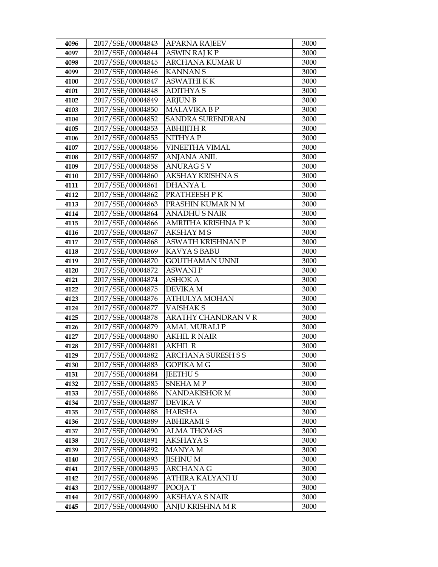| 4096 | 2017/SSE/00004843                      | <b>APARNA RAJEEV</b>               | 3000         |
|------|----------------------------------------|------------------------------------|--------------|
| 4097 | 2017/SSE/00004844                      | <b>ASWIN RAJ K P</b>               | 3000         |
| 4098 | 2017/SSE/00004845                      | ARCHANA KUMAR U                    | 3000         |
| 4099 | 2017/SSE/00004846                      | <b>KANNANS</b>                     | 3000         |
| 4100 | 2017/SSE/00004847                      | <b>ASWATHI K K</b>                 | 3000         |
| 4101 | 2017/SSE/00004848                      | <b>ADITHYAS</b>                    | 3000         |
| 4102 | 2017/SSE/00004849                      | <b>ARJUN B</b>                     | 3000         |
| 4103 | 2017/SSE/00004850                      | <b>MALAVIKA B P</b>                | 3000         |
| 4104 | 2017/SSE/00004852                      | <b>SANDRA SURENDRAN</b>            | 3000         |
| 4105 | 2017/SSE/00004853                      | <b>ABHIJITH R</b>                  | 3000         |
| 4106 | 2017/SSE/00004855                      | NITHYA P                           | 3000         |
| 4107 | 2017/SSE/00004856                      | VINEETHA VIMAL                     | 3000         |
| 4108 | 2017/SSE/00004857                      | <b>ANJANA ANIL</b>                 | 3000         |
| 4109 | 2017/SSE/00004858                      | <b>ANURAGSV</b>                    | 3000         |
| 4110 | 2017/SSE/00004860                      | AKSHAY KRISHNA S                   | 3000         |
| 4111 | 2017/SSE/00004861                      | <b>DHANYAL</b>                     | 3000         |
| 4112 | 2017/SSE/00004862                      | PRATHEESH P K                      | 3000         |
| 4113 | 2017/SSE/00004863                      | PRASHIN KUMAR N M                  | 3000         |
| 4114 | 2017/SSE/00004864                      | <b>ANADHUS NAIR</b>                | 3000         |
| 4115 | 2017/SSE/00004866                      | AMRITHA KRISHNA PK                 | 3000         |
| 4116 | 2017/SSE/00004867                      | <b>AKSHAY MS</b>                   | 3000         |
| 4117 | 2017/SSE/00004868                      | <b>ASWATH KRISHNAN P</b>           | 3000         |
| 4118 | 2017/SSE/00004869                      | KAVYA S BABU                       | 3000         |
| 4119 | 2017/SSE/00004870                      | <b>GOUTHAMAN UNNI</b>              | 3000         |
| 4120 | 2017/SSE/00004872                      | <b>ASWANIP</b>                     | 3000         |
| 4121 | 2017/SSE/00004874                      | <b>ASHOK A</b>                     | 3000         |
| 4122 | 2017/SSE/00004875                      | <b>DEVIKA M</b>                    | 3000         |
| 4123 | 2017/SSE/00004876                      | ATHULYA MOHAN                      | 3000         |
| 4124 | 2017/SSE/00004877                      | <b>VAISHAKS</b>                    | 3000         |
| 4125 |                                        |                                    |              |
|      | 2017/SSE/00004878                      | ARATHY CHANDRAN V R                | 3000         |
| 4126 | 2017/SSE/00004879                      | <b>AMAL MURALI P</b>               | 3000         |
| 4127 | 2017/SSE/00004880                      | <b>AKHIL R NAIR</b>                | 3000         |
| 4128 | 2017/SSE/00004881                      | <b>AKHIL R</b>                     | 3000         |
| 4129 | 2017/SSE/00004882                      | <b>ARCHANA SURESH S S</b>          | 3000         |
| 4130 | 2017/SSE/00004883                      | GOPIKA M G                         | 3000         |
| 4131 | 2017/SSE/00004884                      | <b>JEETHUS</b>                     | 3000         |
| 4132 | 2017/SSE/00004885                      | SNEHA M P                          | 3000         |
| 4133 | 2017/SSE/00004886                      | <b>NANDAKISHOR M</b>               | 3000         |
| 4134 | 2017/SSE/00004887                      | DEVIKA V                           | 3000         |
| 4135 | 2017/SSE/00004888                      | <b>HARSHA</b>                      | 3000         |
| 4136 | 2017/SSE/00004889                      | <b>ABHIRAMI S</b>                  | 3000         |
| 4137 | 2017/SSE/00004890                      | <b>ALMA THOMAS</b>                 | 3000         |
| 4138 | 2017/SSE/00004891                      | <b>AKSHAYA S</b>                   | 3000         |
| 4139 | 2017/SSE/00004892                      | MANYA M                            | 3000         |
| 4140 | 2017/SSE/00004893                      | <b>JISHNU M</b>                    | 3000         |
| 4141 | 2017/SSE/00004895                      | <b>ARCHANA G</b>                   | 3000         |
| 4142 | 2017/SSE/00004896                      | ATHIRA KALYANI U                   | 3000         |
| 4143 | 2017/SSE/00004897                      | POOJA T                            | 3000         |
| 4144 | 2017/SSE/00004899<br>2017/SSE/00004900 | AKSHAYA S NAIR<br>ANJU KRISHNA M R | 3000<br>3000 |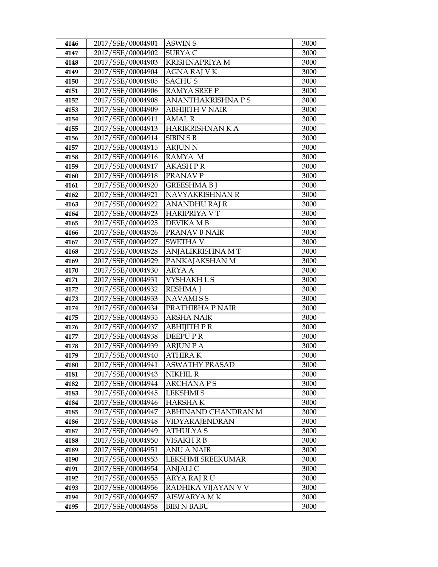| 4146         | 2017/SSE/00004901                      | <b>ASWIN S</b>                      | 3000         |
|--------------|----------------------------------------|-------------------------------------|--------------|
| 4147         | 2017/SSE/00004902                      | SURYA C                             | 3000         |
| 4148         | 2017/SSE/00004903                      | <b>KRISHNAPRIYA M</b>               | 3000         |
| 4149         | 2017/SSE/00004904                      | AGNA RAJ V K                        | 3000         |
| 4150         | 2017/SSE/00004905                      | <b>SACHUS</b>                       | 3000         |
| 4151         | 2017/SSE/00004906                      | <b>RAMYA SREE P</b>                 | 3000         |
| 4152         | 2017/SSE/00004908                      | <b>ANANTHAKRISHNA PS</b>            | 3000         |
| 4153         | 2017/SSE/00004909                      | <b>ABHIJITH V NAIR</b>              | 3000         |
| 4154         | 2017/SSE/00004911                      | <b>AMAL R</b>                       | 3000         |
| 4155         | 2017/SSE/00004913                      | HARIKRISHNAN K A                    | 3000         |
| 4156         | 2017/SSE/00004914                      | <b>SIBIN S B</b>                    | 3000         |
| 4157         | 2017/SSE/00004915                      | <b>ARJUN N</b>                      | 3000         |
| 4158         | 2017/SSE/00004916                      | RAMYA M                             | 3000         |
| 4159         | 2017/SSE/00004917                      | <b>AKASH PR</b>                     | 3000         |
| 4160         | 2017/SSE/00004918                      | PRANAV P                            | 3000         |
| 4161         | 2017/SSE/00004920                      | <b>GREESHMA B I</b>                 | 3000         |
| 4162         | 2017/SSE/00004921                      | NAVYAKRISHNAN R                     | 3000         |
| 4163         | 2017/SSE/00004922                      | <b>ANANDHU RAJ R</b>                | 3000         |
| 4164         | 2017/SSE/00004923                      | <b>HARIPRIYA V T</b>                | 3000         |
| 4165         | 2017/SSE/00004925                      | DEVIKA M B                          | 3000         |
| 4166         | 2017/SSE/00004926                      | PRANAV B NAIR                       | 3000         |
| 4167         | 2017/SSE/00004927                      | <b>SWETHA V</b>                     | 3000         |
| 4168         | 2017/SSE/00004928                      | ANJALIKRISHNA MT                    | 3000         |
| 4169         | 2017/SSE/00004929                      | PANKAJAKSHAN M                      | 3000         |
| 4170         | 2017/SSE/00004930                      | ARYA A                              | 3000         |
| 4171         | 2017/SSE/00004931                      | VYSHAKH L S                         | 3000         |
| 4172         | 2017/SSE/00004932                      | <b>RESHMA J</b>                     | 3000         |
| 4173         | 2017/SSE/00004933                      | <b>NAVAMISS</b>                     | 3000         |
| 4174         | 2017/SSE/00004934                      | PRATHIBHA P NAIR                    | 3000         |
| 4175         | 2017/SSE/00004935                      | <b>ARSHA NAIR</b>                   | 3000         |
| 4176         | 2017/SSE/00004937                      | ABHIJITH P R                        | 3000         |
| 4177         | 2017/SSE/00004938                      | DEEPU PR                            | 3000         |
| 4178         | 2017/SSE/00004939                      | <b>ARJUN P A</b>                    | 3000         |
| 4179         | 2017/SSE/00004940                      | <b>ATHIRAK</b>                      | 3000         |
| 4180         | 2017/SSE/00004941                      | <b>ASWATHY PRASAD</b>               | 3000         |
| 4181         | 2017/SSE/00004943                      | NIKHIL R                            | 3000         |
| 4182<br>4183 | 2017/SSE/00004944<br>2017/SSE/00004945 | <b>ARCHANAPS</b><br><b>LEKSHMIS</b> | 3000<br>3000 |
| 4184         | 2017/SSE/00004946                      | <b>HARSHAK</b>                      | 3000         |
| 4185         | 2017/SSE/00004947                      | ABHINAND CHANDRAN M                 | 3000         |
| 4186         | 2017/SSE/00004948                      | VIDYARAJENDRAN                      | 3000         |
| 4187         | 2017/SSE/00004949                      | ATHULYA S                           | 3000         |
| 4188         | 2017/SSE/00004950                      | VISAKH R B                          | 3000         |
| 4189         | 2017/SSE/00004951                      | <b>ANU A NAIR</b>                   | 3000         |
| 4190         | 2017/SSE/00004953                      | LEKSHMI SREEKUMAR                   | 3000         |
| 4191         | 2017/SSE/00004954                      | ANJALI C                            | 3000         |
| 4192         | 2017/SSE/00004955                      | ARYA RAJ RU                         | 3000         |
| 4193         | 2017/SSE/00004956                      | RADHIKA VIJAYAN V V                 | 3000         |
| 4194         | 2017/SSE/00004957                      | AISWARYA MK                         | 3000         |
| 4195         | 2017/SSE/00004958                      | <b>BIBI N BABU</b>                  | 3000         |
|              |                                        |                                     |              |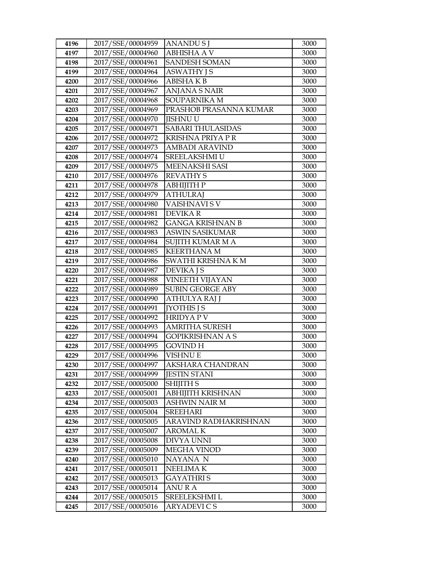| 4196 | 2017/SSE/00004959 | ANANDU S J               | 3000 |
|------|-------------------|--------------------------|------|
| 4197 | 2017/SSE/00004960 | <b>ABHISHA A V</b>       | 3000 |
| 4198 | 2017/SSE/00004961 | <b>SANDESH SOMAN</b>     | 3000 |
| 4199 | 2017/SSE/00004964 | <b>ASWATHY JS</b>        | 3000 |
| 4200 | 2017/SSE/00004966 | ABISHA K B               | 3000 |
| 4201 | 2017/SSE/00004967 | <b>ANJANA S NAIR</b>     | 3000 |
| 4202 | 2017/SSE/00004968 | SOUPARNIKA M             | 3000 |
| 4203 | 2017/SSE/00004969 | PRASHOB PRASANNA KUMAR   | 3000 |
| 4204 | 2017/SSE/00004970 | <b>JISHNU U</b>          | 3000 |
| 4205 | 2017/SSE/00004971 | <b>SABARI THULASIDAS</b> | 3000 |
| 4206 | 2017/SSE/00004972 | KRISHNA PRIYA P R        | 3000 |
| 4207 | 2017/SSE/00004973 | AMBADI ARAVIND           | 3000 |
| 4208 | 2017/SSE/00004974 | <b>SREELAKSHMI U</b>     | 3000 |
| 4209 | 2017/SSE/00004975 | MEENAKSHI SASI           | 3000 |
| 4210 | 2017/SSE/00004976 | <b>REVATHY S</b>         | 3000 |
| 4211 | 2017/SSE/00004978 | АВНІЈІТН Р               | 3000 |
| 4212 | 2017/SSE/00004979 | <b>ATHULRAI</b>          | 3000 |
| 4213 | 2017/SSE/00004980 | <b>VAISHNAVISV</b>       | 3000 |
| 4214 | 2017/SSE/00004981 | <b>DEVIKAR</b>           | 3000 |
| 4215 | 2017/SSE/00004982 | GANGA KRISHNAN B         | 3000 |
| 4216 | 2017/SSE/00004983 | <b>ASWIN SASIKUMAR</b>   | 3000 |
| 4217 | 2017/SSE/00004984 | SUJITH KUMAR M A         | 3000 |
| 4218 | 2017/SSE/00004985 | <b>KEERTHANA M</b>       | 3000 |
| 4219 | 2017/SSE/00004986 | SWATHI KRISHNA K M       | 3000 |
| 4220 | 2017/SSE/00004987 | <b>DEVIKA J S</b>        | 3000 |
| 4221 | 2017/SSE/00004988 | VINEETH VIJAYAN          | 3000 |
| 4222 | 2017/SSE/00004989 | <b>SUBIN GEORGE ABY</b>  | 3000 |
| 4223 | 2017/SSE/00004990 | ATHULYA RAJ J            | 3000 |
| 4224 | 2017/SSE/00004991 | <b>[YOTHIS J S</b>       | 3000 |
| 4225 | 2017/SSE/00004992 | <b>HRIDYAPV</b>          | 3000 |
| 4226 | 2017/SSE/00004993 | <b>AMRITHA SURESH</b>    | 3000 |
| 4227 | 2017/SSE/00004994 | GOPIKRISHNAN A S         | 3000 |
| 4228 | 2017/SSE/00004995 | GOVIND H                 | 3000 |
| 4229 | 2017/SSE/00004996 | VISHNU E                 | 3000 |
| 4230 | 2017/SSE/00004997 | AKSHARA CHANDRAN         | 3000 |
| 4231 | 2017/SSE/00004999 | JESTIN STANI             | 3000 |
| 4232 | 2017/SSE/00005000 | <b>SHIJITH S</b>         | 3000 |
| 4233 | 2017/SSE/00005001 | ABHIJITH KRISHNAN        | 3000 |
| 4234 | 2017/SSE/00005003 | <b>ASHWIN NAIR M</b>     | 3000 |
| 4235 | 2017/SSE/00005004 | SREEHARI                 | 3000 |
| 4236 | 2017/SSE/00005005 | ARAVIND RADHAKRISHNAN    | 3000 |
| 4237 | 2017/SSE/00005007 | AROMAL K                 | 3000 |
| 4238 | 2017/SSE/00005008 | DIVYA UNNI               | 3000 |
| 4239 | 2017/SSE/00005009 | <b>MEGHA VINOD</b>       | 3000 |
| 4240 | 2017/SSE/00005010 | NAYANA N                 | 3000 |
| 4241 | 2017/SSE/00005011 | NEELIMA K                | 3000 |
| 4242 | 2017/SSE/00005013 | GAYATHRI S               | 3000 |
| 4243 | 2017/SSE/00005014 | ANU R A                  | 3000 |
| 4244 | 2017/SSE/00005015 | SREELEKSHMI L            | 3000 |
| 4245 | 2017/SSE/00005016 | ARYADEVI C S             | 3000 |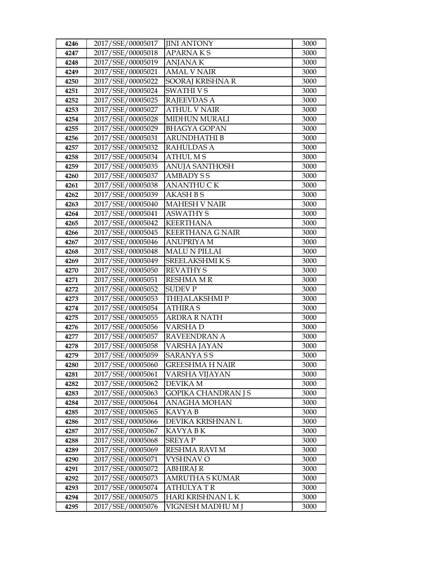| 4246 | 2017/SSE/00005017 | <b>JINI ANTONY</b>         | 3000 |
|------|-------------------|----------------------------|------|
| 4247 | 2017/SSE/00005018 | APARNA K S                 | 3000 |
| 4248 | 2017/SSE/00005019 | <b>ANJANAK</b>             | 3000 |
| 4249 | 2017/SSE/00005021 | <b>AMAL V NAIR</b>         | 3000 |
| 4250 | 2017/SSE/00005022 | SOORAJ KRISHNA R           | 3000 |
| 4251 | 2017/SSE/00005024 | <b>SWATHIVS</b>            | 3000 |
| 4252 | 2017/SSE/00005025 | <b>RAJEEVDAS A</b>         | 3000 |
| 4253 | 2017/SSE/00005027 | <b>ATHUL V NAIR</b>        | 3000 |
| 4254 | 2017/SSE/00005028 | <b>MIDHUN MURALI</b>       | 3000 |
| 4255 | 2017/SSE/00005029 | <b>BHAGYA GOPAN</b>        | 3000 |
| 4256 | 2017/SSE/00005031 | ARUNDHATHI B               | 3000 |
| 4257 | 2017/SSE/00005032 | RAHULDAS A                 | 3000 |
| 4258 | 2017/SSE/00005034 | <b>ATHUL MS</b>            | 3000 |
| 4259 | 2017/SSE/00005035 | <b>ANUJA SANTHOSH</b>      | 3000 |
| 4260 | 2017/SSE/00005037 | AMBADY S S                 | 3000 |
| 4261 | 2017/SSE/00005038 | ANANTHU C K                | 3000 |
| 4262 | 2017/SSE/00005039 | <b>AKASH B S</b>           | 3000 |
| 4263 | 2017/SSE/00005040 | <b>MAHESH V NAIR</b>       | 3000 |
| 4264 | 2017/SSE/00005041 | <b>ASWATHY S</b>           | 3000 |
| 4265 | 2017/SSE/00005042 | <b>KEERTHANA</b>           | 3000 |
| 4266 | 2017/SSE/00005045 | <b>KEERTHANA G NAIR</b>    | 3000 |
| 4267 | 2017/SSE/00005046 | ANUPRIYA M                 | 3000 |
| 4268 | 2017/SSE/00005048 | <b>MALU N PILLAI</b>       | 3000 |
| 4269 | 2017/SSE/00005049 | SREELAKSHMIKS              | 3000 |
| 4270 | 2017/SSE/00005050 | <b>REVATHY S</b>           | 3000 |
| 4271 | 2017/SSE/00005051 | <b>RESHMA M R</b>          | 3000 |
| 4272 | 2017/SSE/00005052 | <b>SUDEV P</b>             | 3000 |
| 4273 | 2017/SSE/00005053 | <b>THEJALAKSHMIP</b>       | 3000 |
| 4274 | 2017/SSE/00005054 | <b>ATHIRAS</b>             | 3000 |
| 4275 | 2017/SSE/00005055 | <b>ARDRA R NATH</b>        | 3000 |
| 4276 | 2017/SSE/00005056 | <b>VARSHAD</b>             | 3000 |
| 4277 | 2017/SSE/00005057 | RAVEENDRAN A               | 3000 |
| 4278 | 2017/SSE/00005058 | VARSHA JAYAN               | 3000 |
| 4279 | 2017/SSE/00005059 | <b>SARANYASS</b>           | 3000 |
| 4280 | 2017/SSE/00005060 | GREESHMA H NAIR            | 3000 |
| 4281 | 2017/SSE/00005061 | VARSHA VIJAYAN             | 3000 |
| 4282 | 2017/SSE/00005062 | DEVIKA M                   | 3000 |
| 4283 | 2017/SSE/00005063 | <b>GOPIKA CHANDRAN J S</b> | 3000 |
| 4284 | 2017/SSE/00005064 | ANAGHA MOHAN               | 3000 |
| 4285 | 2017/SSE/00005065 | KAVYA B                    | 3000 |
| 4286 | 2017/SSE/00005066 | DEVIKA KRISHNAN L          | 3000 |
| 4287 | 2017/SSE/00005067 | KAVYA B K                  | 3000 |
| 4288 | 2017/SSE/00005068 | <b>SREYAP</b>              | 3000 |
| 4289 | 2017/SSE/00005069 | RESHMA RAVI M              | 3000 |
| 4290 | 2017/SSE/00005071 | VYSHNAV O                  | 3000 |
| 4291 | 2017/SSE/00005072 | ABHIRAJ R                  | 3000 |
| 4292 | 2017/SSE/00005073 | AMRUTHA S KUMAR            | 3000 |
| 4293 | 2017/SSE/00005074 | ATHULYA T R                | 3000 |
| 4294 | 2017/SSE/00005075 | HARI KRISHNAN L K          | 3000 |
| 4295 | 2017/SSE/00005076 | VIGNESH MADHU M J          | 3000 |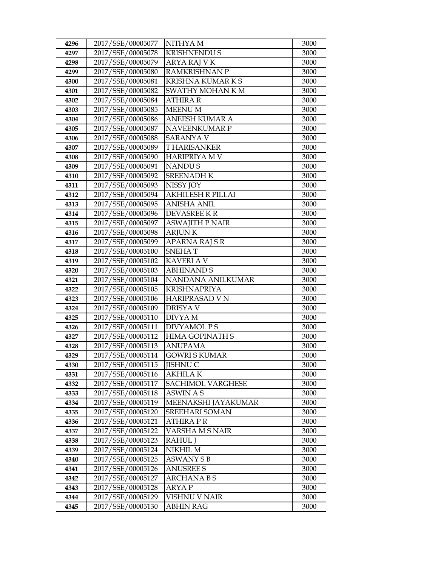| 4296 | 2017/SSE/00005077 | NITHYA M                 | 3000 |
|------|-------------------|--------------------------|------|
| 4297 | 2017/SSE/00005078 | <b>KRISHNENDU S</b>      | 3000 |
| 4298 | 2017/SSE/00005079 | ARYA RAJ V K             | 3000 |
| 4299 | 2017/SSE/00005080 | <b>RAMKRISHNAN P</b>     | 3000 |
| 4300 | 2017/SSE/00005081 | KRISHNA KUMAR K S        | 3000 |
| 4301 | 2017/SSE/00005082 | SWATHY MOHAN K M         | 3000 |
| 4302 | 2017/SSE/00005084 | <b>ATHIRA R</b>          | 3000 |
| 4303 | 2017/SSE/00005085 | <b>MEENU M</b>           | 3000 |
| 4304 | 2017/SSE/00005086 | <b>ANEESH KUMAR A</b>    | 3000 |
| 4305 | 2017/SSE/00005087 | <b>NAVEENKUMAR P</b>     | 3000 |
| 4306 | 2017/SSE/00005088 | <b>SARANYA V</b>         | 3000 |
| 4307 | 2017/SSE/00005089 | <b>THARISANKER</b>       | 3000 |
| 4308 | 2017/SSE/00005090 | <b>HARIPRIYA M V</b>     | 3000 |
| 4309 | 2017/SSE/00005091 | <b>NANDUS</b>            | 3000 |
| 4310 | 2017/SSE/00005092 | <b>SREENADH K</b>        | 3000 |
| 4311 | 2017/SSE/00005093 | NISSY JOY                | 3000 |
| 4312 | 2017/SSE/00005094 | <b>AKHILESH R PILLAI</b> | 3000 |
| 4313 | 2017/SSE/00005095 | <b>ANISHA ANIL</b>       | 3000 |
| 4314 | 2017/SSE/00005096 | <b>DEVASREE KR</b>       | 3000 |
| 4315 | 2017/SSE/00005097 | <b>ASWAJITH P NAIR</b>   | 3000 |
| 4316 | 2017/SSE/00005098 | <b>ARJUNK</b>            | 3000 |
| 4317 | 2017/SSE/00005099 | APARNA RAJ S R           | 3000 |
| 4318 | 2017/SSE/00005100 | <b>SNEHAT</b>            | 3000 |
| 4319 | 2017/SSE/00005102 | <b>KAVERI A V</b>        | 3000 |
| 4320 | 2017/SSE/00005103 | <b>ABHINAND S</b>        | 3000 |
| 4321 | 2017/SSE/00005104 | NANDANA ANILKUMAR        | 3000 |
| 4322 | 2017/SSE/00005105 | <b>KRISHNAPRIYA</b>      | 3000 |
| 4323 | 2017/SSE/00005106 | <b>HARIPRASAD V N</b>    | 3000 |
| 4324 | 2017/SSE/00005109 | <b>DRISYA V</b>          | 3000 |
| 4325 | 2017/SSE/00005110 | DIVYA M                  | 3000 |
| 4326 | 2017/SSE/00005111 | <b>DIVYAMOL PS</b>       | 3000 |
| 4327 | 2017/SSE/00005112 | <b>HIMA GOPINATH S</b>   | 3000 |
| 4328 | 2017/SSE/00005113 | <b>ANUPAMA</b>           | 3000 |
| 4329 | 2017/SSE/00005114 | <b>GOWRISKUMAR</b>       | 3000 |
| 4330 | 2017/SSE/00005115 | <b>JISHNU C</b>          | 3000 |
| 4331 | 2017/SSE/00005116 | AKHILA K                 | 3000 |
| 4332 | 2017/SSE/00005117 | SACHIMOL VARGHESE        | 3000 |
| 4333 | 2017/SSE/00005118 | <b>ASWIN A S</b>         | 3000 |
| 4334 | 2017/SSE/00005119 | MEENAKSHI JAYAKUMAR      | 3000 |
| 4335 | 2017/SSE/00005120 | <b>SREEHARI SOMAN</b>    | 3000 |
| 4336 | 2017/SSE/00005121 | ATHIRA P R               | 3000 |
| 4337 | 2017/SSE/00005122 | VARSHA M S NAIR          | 3000 |
| 4338 | 2017/SSE/00005123 | RAHUL J                  | 3000 |
| 4339 | 2017/SSE/00005124 | NIKHIL M                 | 3000 |
| 4340 | 2017/SSE/00005125 | <b>ASWANY S B</b>        | 3000 |
| 4341 | 2017/SSE/00005126 | <b>ANUSREE S</b>         | 3000 |
| 4342 | 2017/SSE/00005127 | <b>ARCHANA B S</b>       | 3000 |
| 4343 | 2017/SSE/00005128 | ARYA P<br>VISHNU V NAIR  | 3000 |
| 4344 | 2017/SSE/00005129 |                          | 3000 |
| 4345 | 2017/SSE/00005130 | <b>ABHIN RAG</b>         | 3000 |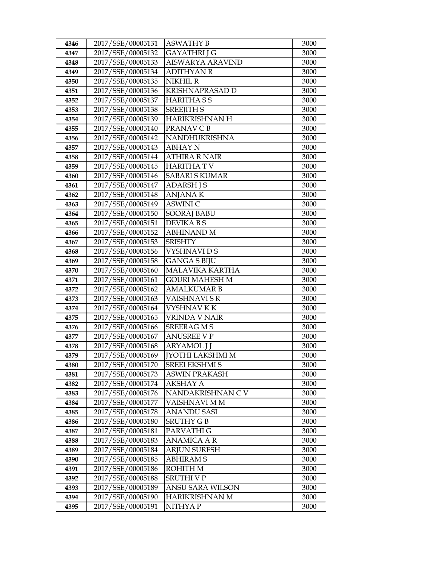| 4346 | 2017/SSE/00005131 | <b>ASWATHY B</b>        | 3000 |
|------|-------------------|-------------------------|------|
| 4347 | 2017/SSE/00005132 | <b>GAYATHRI J G</b>     | 3000 |
| 4348 | 2017/SSE/00005133 | <b>AISWARYA ARAVIND</b> | 3000 |
| 4349 | 2017/SSE/00005134 | <b>ADITHYAN R</b>       | 3000 |
| 4350 | 2017/SSE/00005135 | NIKHIL R                | 3000 |
| 4351 | 2017/SSE/00005136 | KRISHNAPRASAD D         | 3000 |
| 4352 | 2017/SSE/00005137 | HARITHA S S             | 3000 |
| 4353 | 2017/SSE/00005138 | <b>SREEJITH S</b>       | 3000 |
| 4354 | 2017/SSE/00005139 | HARIKRISHNAN H          | 3000 |
| 4355 | 2017/SSE/00005140 | PRANAV C B              | 3000 |
| 4356 | 2017/SSE/00005142 | NANDHUKRISHNA           | 3000 |
| 4357 | 2017/SSE/00005143 | ABHAY N                 | 3000 |
| 4358 | 2017/SSE/00005144 | <b>ATHIRA R NAIR</b>    | 3000 |
| 4359 | 2017/SSE/00005145 | <b>HARITHATV</b>        | 3000 |
| 4360 | 2017/SSE/00005146 | <b>SABARI S KUMAR</b>   | 3000 |
| 4361 | 2017/SSE/00005147 | <b>ADARSH J S</b>       | 3000 |
| 4362 | 2017/SSE/00005148 | <b>ANJANA K</b>         | 3000 |
| 4363 | 2017/SSE/00005149 | <b>ASWINIC</b>          | 3000 |
| 4364 | 2017/SSE/00005150 | <b>SOORAJ BABU</b>      | 3000 |
| 4365 | 2017/SSE/00005151 | DEVIKA B S              | 3000 |
| 4366 | 2017/SSE/00005152 | <b>ABHINAND M</b>       | 3000 |
| 4367 | 2017/SSE/00005153 | <b>SRISHTY</b>          | 3000 |
| 4368 | 2017/SSE/00005156 | VYSHNAVI D S            | 3000 |
| 4369 | 2017/SSE/00005158 | <b>GANGA S BIJU</b>     | 3000 |
| 4370 | 2017/SSE/00005160 | <b>MALAVIKA KARTHA</b>  | 3000 |
| 4371 | 2017/SSE/00005161 | <b>GOURI MAHESH M</b>   | 3000 |
| 4372 | 2017/SSE/00005162 | AMALKUMAR B             | 3000 |
| 4373 | 2017/SSE/00005163 | VAISHNAVI SR            | 3000 |
| 4374 | 2017/SSE/00005164 | VYSHNAV K K             | 3000 |
| 4375 | 2017/SSE/00005165 | VRINDA V NAIR           | 3000 |
| 4376 | 2017/SSE/00005166 | <b>SREERAG M S</b>      | 3000 |
| 4377 | 2017/SSE/00005167 | <b>ANUSREE V P</b>      | 3000 |
| 4378 | 2017/SSE/00005168 | <b>ARYAMOL J J</b>      | 3000 |
| 4379 | 2017/SSE/00005169 | <b>[YOTHI LAKSHMI M</b> | 3000 |
| 4380 | 2017/SSE/00005170 | <b>SREELEKSHMI S</b>    | 3000 |
| 4381 | 2017/SSE/00005173 | <b>ASWIN PRAKASH</b>    | 3000 |
| 4382 | 2017/SSE/00005174 | AKSHAY A                | 3000 |
| 4383 | 2017/SSE/00005176 | NANDAKRISHNAN CV        | 3000 |
| 4384 | 2017/SSE/00005177 | VAISHNAVI M M           | 3000 |
| 4385 | 2017/SSE/00005178 | <b>ANANDU SASI</b>      | 3000 |
| 4386 | 2017/SSE/00005180 | SRUTHY G B              | 3000 |
| 4387 | 2017/SSE/00005181 | PARVATHI G              | 3000 |
| 4388 | 2017/SSE/00005183 | ANAMICA A R             | 3000 |
| 4389 | 2017/SSE/00005184 | <b>ARJUN SURESH</b>     | 3000 |
| 4390 | 2017/SSE/00005185 | <b>ABHIRAM S</b>        | 3000 |
| 4391 | 2017/SSE/00005186 | ROHITH M                | 3000 |
| 4392 | 2017/SSE/00005188 | SRUTHI V P              | 3000 |
| 4393 | 2017/SSE/00005189 | ANSU SARA WILSON        | 3000 |
| 4394 | 2017/SSE/00005190 | HARIKRISHNAN M          | 3000 |
| 4395 | 2017/SSE/00005191 | NITHYA P                | 3000 |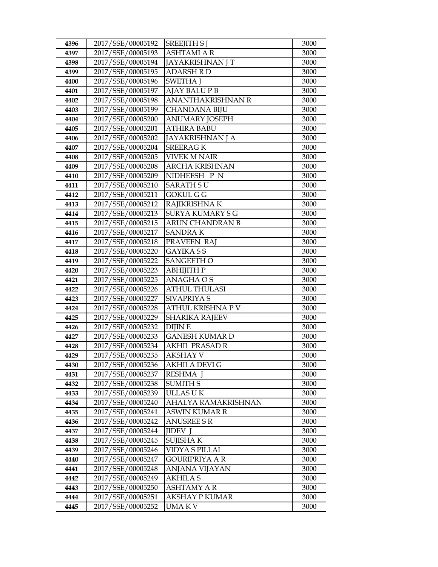| 4396         | 2017/SSE/00005192                      | <b>SREEJITH S J</b>                     | 3000         |
|--------------|----------------------------------------|-----------------------------------------|--------------|
| 4397         | 2017/SSE/00005193                      | <b>ASHTAMI A R</b>                      | 3000         |
| 4398         | 2017/SSE/00005194                      | <b>JAYAKRISHNAN J T</b>                 | 3000         |
| 4399         | 2017/SSE/00005195                      | <b>ADARSH RD</b>                        | 3000         |
| 4400         | 2017/SSE/00005196                      | <b>SWETHA J</b>                         | 3000         |
| 4401         | 2017/SSE/00005197                      | <b>AJAY BALU P B</b>                    | 3000         |
| 4402         | 2017/SSE/00005198                      | <b>ANANTHAKRISHNAN R</b>                | 3000         |
| 4403         | 2017/SSE/00005199                      | <b>CHANDANA BIJU</b>                    | 3000         |
| 4404         | 2017/SSE/00005200                      | <b>ANUMARY JOSEPH</b>                   | 3000         |
| 4405         | 2017/SSE/00005201                      | <b>ATHIRA BABU</b>                      | 3000         |
| 4406         | 2017/SSE/00005202                      | JAYAKRISHNAN J A                        | 3000         |
| 4407         | 2017/SSE/00005204                      | <b>SREERAGK</b>                         | 3000         |
| 4408         | 2017/SSE/00005205                      | <b>VIVEK M NAIR</b>                     | 3000         |
| 4409         | 2017/SSE/00005208                      | <b>ARCHA KRISHNAN</b>                   | 3000         |
| 4410         | 2017/SSE/00005209                      | NIDHEESH P N                            | 3000         |
| 4411         | 2017/SSE/00005210                      | <b>SARATH SU</b>                        | 3000         |
| 4412         | 2017/SSE/00005211                      | GOKUL G G                               | 3000         |
| 4413         | 2017/SSE/00005212                      | RAJIKRISHNA K                           | 3000         |
| 4414         | 2017/SSE/00005213                      | <b>SURYA KUMARY S G</b>                 | 3000         |
| 4415         | 2017/SSE/00005215                      | <b>ARUN CHANDRAN B</b>                  | 3000         |
| 4416         | 2017/SSE/00005217                      | <b>SANDRAK</b>                          | 3000         |
| 4417         | 2017/SSE/00005218                      | PRAVEEN RAJ                             | 3000         |
| 4418         | 2017/SSE/00005220                      | <b>GAYIKA SS</b>                        | 3000         |
| 4419         | 2017/SSE/00005222                      | <b>SANGEETH O</b>                       | 3000         |
| 4420         | 2017/SSE/00005223                      | АВНІЈІТН Р                              | 3000         |
| 4421         | 2017/SSE/00005225                      | ANAGHA O S                              | 3000         |
| 4422         | 2017/SSE/00005226                      | <b>ATHUL THULASI</b>                    | 3000         |
| 4423         | 2017/SSE/00005227                      | <b>SIVAPRIYA S</b>                      | 3000         |
| 4424         | 2017/SSE/00005228                      | ATHUL KRISHNA P V                       | 3000         |
| 4425         | 2017/SSE/00005229                      | <b>SHARIKA RAJEEV</b>                   | 3000         |
| 4426         | 2017/SSE/00005232                      | <b>DIJINE</b>                           | 3000         |
| 4427         | 2017/SSE/00005233<br>2017/SSE/00005234 | GANESH KUMAR D<br><b>AKHIL PRASAD R</b> | 3000         |
| 4428<br>4429 | 2017/SSE/00005235                      | <b>AKSHAY V</b>                         | 3000<br>3000 |
| 4430         | 2017/SSE/00005236                      | AKHILA DEVI G                           | 3000         |
| 4431         | 2017/SSE/00005237                      | RESHMA J                                | 3000         |
| 4432         | 2017/SSE/00005238                      | <b>SUMITH S</b>                         | 3000         |
| 4433         | 2017/SSE/00005239                      | ULLAS U K                               | 3000         |
| 4434         | 2017/SSE/00005240                      | AHALYA RAMAKRISHNAN                     | 3000         |
| 4435         | 2017/SSE/00005241                      | ASWIN KUMAR R                           | 3000         |
| 4436         | 2017/SSE/00005242                      | <b>ANUSREE S R</b>                      | 3000         |
| 4437         | 2017/SSE/00005244                      | JIDEV J                                 | 3000         |
| 4438         | 2017/SSE/00005245                      | <b>SUJISHAK</b>                         | 3000         |
| 4439         | 2017/SSE/00005246                      | VIDYA S PILLAI                          | 3000         |
| 4440         | 2017/SSE/00005247                      | GOURIPRIYA A R                          | 3000         |
| 4441         | 2017/SSE/00005248                      | ANJANA VIJAYAN                          | 3000         |
| 4442         | 2017/SSE/00005249                      | <b>AKHILA S</b>                         | 3000         |
| 4443         | 2017/SSE/00005250                      | <b>ASHTAMY A R</b>                      | 3000         |
| 4444         | 2017/SSE/00005251                      | <b>AKSHAY P KUMAR</b>                   | 3000         |
| 4445         | 2017/SSE/00005252                      | UMA K V                                 | 3000         |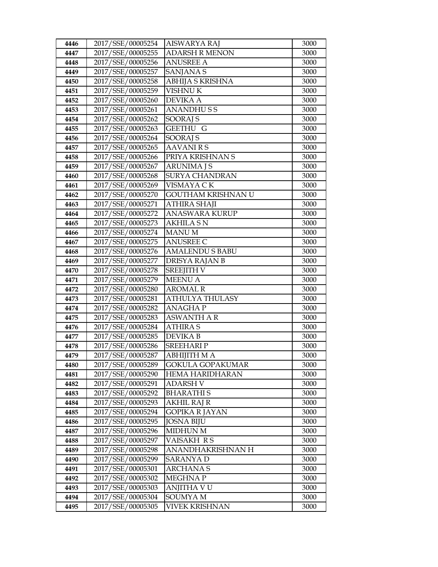| 4446         | 2017/SSE/00005254                      | AISWARYA RAJ                     | 3000         |
|--------------|----------------------------------------|----------------------------------|--------------|
| 4447         | 2017/SSE/00005255                      | <b>ADARSH R MENON</b>            | 3000         |
| 4448         | 2017/SSE/00005256                      | <b>ANUSREE A</b>                 | 3000         |
| 4449         | 2017/SSE/00005257                      | <b>SANJANA S</b>                 | 3000         |
| 4450         | 2017/SSE/00005258                      | <b>ABHIJA S KRISHNA</b>          | 3000         |
| 4451         | 2017/SSE/00005259                      | <b>VISHNU K</b>                  | 3000         |
| 4452         | 2017/SSE/00005260                      | DEVIKA A                         | 3000         |
| 4453         | 2017/SSE/00005261                      | <b>ANANDHUSS</b>                 | 3000         |
| 4454         | 2017/SSE/00005262                      | <b>SOORAJ S</b>                  | 3000         |
| 4455         | 2017/SSE/00005263                      | <b>GEETHU G</b>                  | 3000         |
| 4456         | 2017/SSE/00005264                      | <b>SOORAJ S</b>                  | 3000         |
| 4457         | 2017/SSE/00005265                      | <b>AAVANIRS</b>                  | 3000         |
| 4458         | 2017/SSE/00005266                      | PRIYA KRISHNAN S                 | 3000         |
| 4459         | 2017/SSE/00005267                      | <b>ARUNIMA J S</b>               | 3000         |
| 4460         | 2017/SSE/00005268                      | <b>SURYA CHANDRAN</b>            | 3000         |
| 4461         | 2017/SSE/00005269                      | VISMAYA CK                       | 3000         |
| 4462         | 2017/SSE/00005270                      | GOUTHAM KRISHNAN U               | 3000         |
| 4463         | 2017/SSE/00005271                      | <b>ATHIRA SHAJI</b>              | 3000         |
| 4464         | 2017/SSE/00005272                      | <b>ANASWARA KURUP</b>            | 3000         |
| 4465         | 2017/SSE/00005273                      | <b>AKHILA SN</b>                 | 3000         |
| 4466         | 2017/SSE/00005274                      | <b>MANUM</b>                     | 3000         |
| 4467         | 2017/SSE/00005275                      | <b>ANUSREE C</b>                 | 3000         |
| 4468         | 2017/SSE/00005276                      | <b>AMALENDU S BABU</b>           | 3000         |
| 4469         | 2017/SSE/00005277                      | <b>DRISYA RAJAN B</b>            | 3000         |
| 4470         | 2017/SSE/00005278                      | <b>SREEJITH V</b>                | 3000         |
| 4471         | 2017/SSE/00005279                      | <b>MEENU A</b>                   | 3000         |
| 4472         | 2017/SSE/00005280                      | <b>AROMAL R</b>                  | 3000         |
| 4473         | 2017/SSE/00005281                      | ATHULYA THULASY                  | 3000         |
| 4474         | 2017/SSE/00005282                      | <b>ANAGHAP</b>                   | 3000         |
| 4475         | 2017/SSE/00005283                      | <b>ASWANTH A R</b>               | 3000         |
| 4476         | 2017/SSE/00005284                      | <b>ATHIRA S</b>                  | 3000         |
| 4477         | 2017/SSE/00005285<br>2017/SSE/00005286 | DEVIKA B                         | 3000         |
| 4478<br>4479 | 2017/SSE/00005287                      | <b>SREEHARIP</b><br>ABHIJITH M A | 3000<br>3000 |
| 4480         | 2017/SSE/00005289                      | GOKULA GOPAKUMAR                 | 3000         |
| 4481         | 2017/SSE/00005290                      | HEMA HARIDHARAN                  | 3000         |
| 4482         | 2017/SSE/00005291                      | <b>ADARSH V</b>                  | 3000         |
| 4483         | 2017/SSE/00005292                      | <b>BHARATHIS</b>                 | 3000         |
| 4484         | 2017/SSE/00005293                      | AKHIL RAJ R                      | 3000         |
| 4485         | 2017/SSE/00005294                      | <b>GOPIKA R JAYAN</b>            | 3000         |
| 4486         | 2017/SSE/00005295                      | <b>JOSNA BIJU</b>                | 3000         |
| 4487         | 2017/SSE/00005296                      | <b>MIDHUN M</b>                  | 3000         |
| 4488         | 2017/SSE/00005297                      | VAISAKH RS                       | 3000         |
| 4489         | 2017/SSE/00005298                      | ANANDHAKRISHNAN H                | 3000         |
| 4490         | 2017/SSE/00005299                      | SARANYA D                        | 3000         |
| 4491         | 2017/SSE/00005301                      | ARCHANA S                        | 3000         |
| 4492         | 2017/SSE/00005302                      | MEGHNA P                         | 3000         |
| 4493         | 2017/SSE/00005303                      | ANJITHA V U                      | 3000         |
| 4494         | 2017/SSE/00005304                      | SOUMYA M                         | 3000         |
| 4495         | 2017/SSE/00005305                      | VIVEK KRISHNAN                   | 3000         |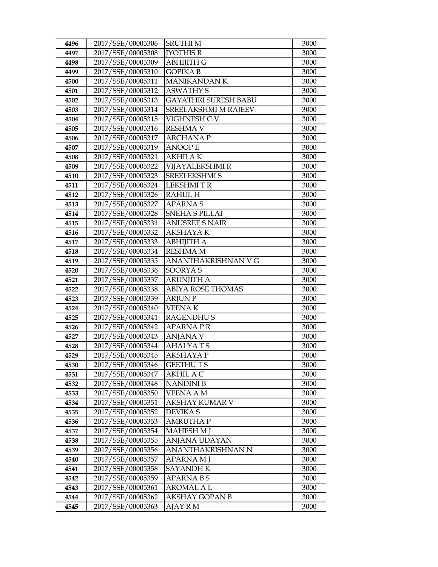| 4496         | 2017/SSE/00005306                      | <b>SRUTHIM</b>              | 3000         |
|--------------|----------------------------------------|-----------------------------|--------------|
| 4497         | 2017/SSE/00005308                      | <b>IYOTHIS R</b>            | 3000         |
| 4498         | 2017/SSE/00005309                      | <b>ABHIJITH G</b>           | 3000         |
| 4499         | 2017/SSE/00005310                      | <b>GOPIKAB</b>              | 3000         |
| 4500         | 2017/SSE/00005311                      | <b>MANIKANDAN K</b>         | 3000         |
| 4501         | 2017/SSE/00005312                      | <b>ASWATHY S</b>            | 3000         |
| 4502         | 2017/SSE/00005313                      | <b>GAYATHRI SURESH BABU</b> | 3000         |
| 4503         | 2017/SSE/00005314                      | SREELAKSHMI M RAJEEV        | 3000         |
| 4504         | 2017/SSE/00005315                      | VIGHNESH CV                 | 3000         |
| 4505         | 2017/SSE/00005316                      | <b>RESHMA V</b>             | 3000         |
| 4506         | 2017/SSE/00005317                      | <b>ARCHANA P</b>            | 3000         |
| 4507         | 2017/SSE/00005319                      | <b>ANOOPE</b>               | 3000         |
| 4508         | 2017/SSE/00005321                      | <b>AKHILAK</b>              | 3000         |
| 4509         | 2017/SSE/00005322                      | VIJAYALEKSHMI R             | 3000         |
| 4510         | 2017/SSE/00005323                      | <b>SREELEKSHMI S</b>        | 3000         |
| 4511         | 2017/SSE/00005324                      | <b>LEKSHMITR</b>            | 3000         |
| 4512         | 2017/SSE/00005326                      | <b>RAHUL H</b>              | 3000         |
| 4513         | 2017/SSE/00005327                      | <b>APARNAS</b>              | 3000         |
| 4514         | 2017/SSE/00005328                      | <b>SNEHA S PILLAI</b>       | 3000         |
| 4515         | 2017/SSE/00005331                      | <b>ANUSREE S NAIR</b>       | 3000         |
| 4516         | 2017/SSE/00005332                      | AKSHAYA K                   | 3000         |
| 4517         | 2017/SSE/00005333                      | <b>ABHIJITH A</b>           | 3000         |
| 4518         | 2017/SSE/00005334                      | <b>RESHMA M</b>             | 3000         |
| 4519         | 2017/SSE/00005335                      | ANANTHAKRISHNAN V G         | 3000         |
| 4520         | 2017/SSE/00005336                      | <b>SOORYAS</b>              | 3000         |
| 4521         | 2017/SSE/00005337                      | <b>ARUNJITH A</b>           | 3000         |
| 4522         | 2017/SSE/00005338                      | <b>ABIYA ROSE THOMAS</b>    | 3000         |
| 4523         | 2017/SSE/00005339                      | <b>ARJUNP</b>               | 3000         |
| 4524         | 2017/SSE/00005340                      | <b>VEENAK</b>               | 3000         |
| 4525         | 2017/SSE/00005341                      | <b>RAGENDHUS</b>            | 3000         |
| 4526         | 2017/SSE/00005342                      | APARNA PR                   | 3000         |
| 4527         | 2017/SSE/00005343                      | <b>ANJANA V</b>             | 3000         |
| 4528         | 2017/SSE/00005344                      | <b>AHALYATS</b>             | 3000         |
| 4529         | 2017/SSE/00005345                      | <b>AKSHAYA P</b>            | 3000         |
| 4530         | 2017/SSE/00005346                      | GEETHU T S                  | 3000         |
| 4531         | 2017/SSE/00005347                      | AKHIL A C                   | 3000         |
| 4532         | 2017/SSE/00005348                      | <b>NANDINI B</b>            | 3000         |
| 4533         | 2017/SSE/00005350                      | <b>VEENA A M</b>            | 3000         |
| 4534         | 2017/SSE/00005351                      | AKSHAY KUMAR V              | 3000         |
| 4535         | 2017/SSE/00005352                      | DEVIKA S                    | 3000         |
| 4536         | 2017/SSE/00005353                      | AMRUTHA P                   | 3000         |
| 4537         | 2017/SSE/00005354                      | <b>MAHESH M J</b>           | 3000         |
| 4538         | 2017/SSE/00005355                      | ANJANA UDAYAN               | 3000         |
| 4539         | 2017/SSE/00005356                      | ANANTHAKRISHNAN N           | 3000         |
| 4540         | 2017/SSE/00005357                      | APARNA M J                  | 3000         |
| 4541         | 2017/SSE/00005358                      | SAYANDH K                   | 3000         |
| 4542         | 2017/SSE/00005359                      | APARNA B S                  | 3000         |
| 4543         | 2017/SSE/00005361                      | <b>AROMAL A L</b>           | 3000         |
|              |                                        |                             |              |
| 4544<br>4545 | 2017/SSE/00005362<br>2017/SSE/00005363 | AKSHAY GOPAN B<br>AJAY R M  | 3000<br>3000 |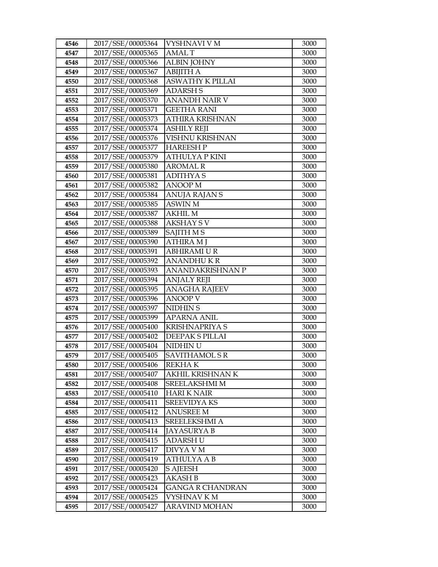| 4546 | 2017/SSE/00005364 | VYSHNAVI V M            | 3000 |
|------|-------------------|-------------------------|------|
| 4547 | 2017/SSE/00005365 | <b>AMALT</b>            | 3000 |
| 4548 | 2017/SSE/00005366 | <b>ALBIN JOHNY</b>      | 3000 |
| 4549 | 2017/SSE/00005367 | <b>ABIJITH A</b>        | 3000 |
| 4550 | 2017/SSE/00005368 | ASWATHY K PILLAI        | 3000 |
| 4551 | 2017/SSE/00005369 | <b>ADARSH S</b>         | 3000 |
| 4552 | 2017/SSE/00005370 | ANANDH NAIR V           | 3000 |
| 4553 | 2017/SSE/00005371 | <b>GEETHA RANI</b>      | 3000 |
| 4554 | 2017/SSE/00005373 | ATHIRA KRISHNAN         | 3000 |
| 4555 | 2017/SSE/00005374 | <b>ASHILY REJI</b>      | 3000 |
| 4556 | 2017/SSE/00005376 | VISHNU KRISHNAN         | 3000 |
| 4557 | 2017/SSE/00005377 | HAREESH P               | 3000 |
| 4558 | 2017/SSE/00005379 | <b>ATHULYA P KINI</b>   | 3000 |
| 4559 | 2017/SSE/00005380 | <b>AROMAL R</b>         | 3000 |
| 4560 | 2017/SSE/00005381 | <b>ADITHYAS</b>         | 3000 |
| 4561 | 2017/SSE/00005382 | <b>ANOOP</b> M          | 3000 |
| 4562 | 2017/SSE/00005384 | ANUJA RAJAN S           | 3000 |
| 4563 | 2017/SSE/00005385 | <b>ASWIN M</b>          | 3000 |
| 4564 | 2017/SSE/00005387 | <b>AKHIL M</b>          | 3000 |
| 4565 | 2017/SSE/00005388 | <b>AKSHAY S V</b>       | 3000 |
| 4566 | 2017/SSE/00005389 | SAJITH M S              | 3000 |
| 4567 | 2017/SSE/00005390 | <b>ATHIRA M J</b>       | 3000 |
| 4568 | 2017/SSE/00005391 | ABHIRAMI U R            | 3000 |
| 4569 | 2017/SSE/00005392 | <b>ANANDHUKR</b>        | 3000 |
| 4570 | 2017/SSE/00005393 | <b>ANANDAKRISHNAN P</b> | 3000 |
| 4571 | 2017/SSE/00005394 | ANJALY REJI             | 3000 |
| 4572 | 2017/SSE/00005395 | <b>ANAGHA RAJEEV</b>    | 3000 |
| 4573 | 2017/SSE/00005396 | <b>ANOOP V</b>          | 3000 |
| 4574 | 2017/SSE/00005397 | NIDHIN <sub>S</sub>     | 3000 |
| 4575 | 2017/SSE/00005399 | <b>APARNA ANIL</b>      | 3000 |
| 4576 | 2017/SSE/00005400 | <b>KRISHNAPRIYA S</b>   | 3000 |
| 4577 | 2017/SSE/00005402 | DEEPAK S PILLAI         | 3000 |
| 4578 | 2017/SSE/00005404 | NIDHIN U                | 3000 |
| 4579 | 2017/SSE/00005405 | <b>SAVITHAMOL S R</b>   | 3000 |
| 4580 | 2017/SSE/00005406 | <b>REKHAK</b>           | 3000 |
| 4581 | 2017/SSE/00005407 | AKHIL KRISHNAN K        | 3000 |
| 4582 | 2017/SSE/00005408 | SREELAKSHMI M           | 3000 |
| 4583 | 2017/SSE/00005410 | <b>HARI K NAIR</b>      | 3000 |
| 4584 | 2017/SSE/00005411 | <b>SREEVIDYA KS</b>     | 3000 |
| 4585 | 2017/SSE/00005412 | <b>ANUSREE M</b>        | 3000 |
| 4586 | 2017/SSE/00005413 | <b>SREELEKSHMI A</b>    | 3000 |
| 4587 | 2017/SSE/00005414 | JAYASURYA B             | 3000 |
| 4588 | 2017/SSE/00005415 | <b>ADARSH U</b>         | 3000 |
| 4589 | 2017/SSE/00005417 | DIVYA V M               | 3000 |
| 4590 | 2017/SSE/00005419 | ATHULYA A B             | 3000 |
| 4591 | 2017/SSE/00005420 | <b>S AJEESH</b>         | 3000 |
| 4592 | 2017/SSE/00005423 | AKASH B                 | 3000 |
| 4593 | 2017/SSE/00005424 | GANGA R CHANDRAN        | 3000 |
| 4594 | 2017/SSE/00005425 | VYSHNAV K M             | 3000 |
| 4595 | 2017/SSE/00005427 | <b>ARAVIND MOHAN</b>    | 3000 |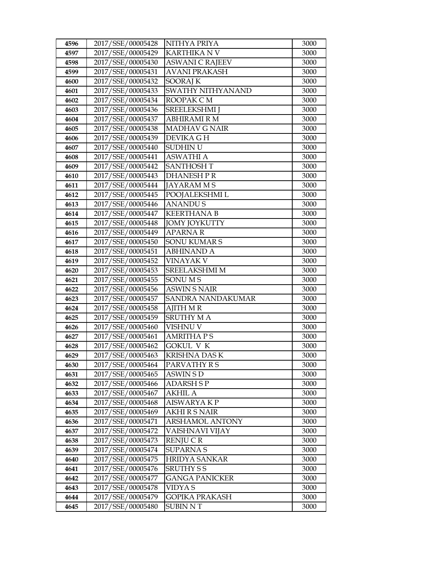| 4596 | 2017/SSE/00005428 | NITHYA PRIYA           | 3000 |
|------|-------------------|------------------------|------|
| 4597 | 2017/SSE/00005429 | <b>KARTHIKA N V</b>    | 3000 |
| 4598 | 2017/SSE/00005430 | <b>ASWANI C RAJEEV</b> | 3000 |
| 4599 | 2017/SSE/00005431 | <b>AVANI PRAKASH</b>   | 3000 |
| 4600 | 2017/SSE/00005432 | <b>SOORAJ K</b>        | 3000 |
| 4601 | 2017/SSE/00005433 | SWATHY NITHYANAND      | 3000 |
| 4602 | 2017/SSE/00005434 | ROOPAK CM              | 3000 |
| 4603 | 2017/SSE/00005436 | <b>SREELEKSHMI J</b>   | 3000 |
| 4604 | 2017/SSE/00005437 | <b>ABHIRAMI R M</b>    | 3000 |
| 4605 | 2017/SSE/00005438 | <b>MADHAV G NAIR</b>   | 3000 |
| 4606 | 2017/SSE/00005439 | DEVIKA G H             | 3000 |
| 4607 | 2017/SSE/00005440 | SUDHIN U               | 3000 |
| 4608 | 2017/SSE/00005441 | <b>ASWATHI A</b>       | 3000 |
| 4609 | 2017/SSE/00005442 | <b>SANTHOSH T</b>      | 3000 |
| 4610 | 2017/SSE/00005443 | DHANESH P R            | 3000 |
| 4611 | 2017/SSE/00005444 | <b>JAYARAMMS</b>       | 3000 |
| 4612 | 2017/SSE/00005445 | POOJALEKSHMI L         | 3000 |
| 4613 | 2017/SSE/00005446 | <b>ANANDUS</b>         | 3000 |
| 4614 | 2017/SSE/00005447 | <b>KEERTHANA B</b>     | 3000 |
| 4615 | 2017/SSE/00005448 | <b>JOMY JOYKUTTY</b>   | 3000 |
| 4616 | 2017/SSE/00005449 | <b>APARNAR</b>         | 3000 |
| 4617 | 2017/SSE/00005450 | SONU KUMAR S           | 3000 |
| 4618 | 2017/SSE/00005451 | <b>ABHINAND A</b>      | 3000 |
| 4619 | 2017/SSE/00005452 | <b>VINAYAK V</b>       | 3000 |
| 4620 | 2017/SSE/00005453 | <b>SREELAKSHMI M</b>   | 3000 |
| 4621 | 2017/SSE/00005455 | <b>SONUMS</b>          | 3000 |
| 4622 | 2017/SSE/00005456 | ASWIN S NAIR           | 3000 |
| 4623 | 2017/SSE/00005457 | SANDRA NANDAKUMAR      | 3000 |
| 4624 | 2017/SSE/00005458 | <b>AJITH M R</b>       | 3000 |
| 4625 | 2017/SSE/00005459 | <b>SRUTHY MA</b>       | 3000 |
| 4626 | 2017/SSE/00005460 | <b>VISHNU V</b>        | 3000 |
| 4627 | 2017/SSE/00005461 | AMRITHA P S            | 3000 |
| 4628 | 2017/SSE/00005462 | <b>GOKUL V K</b>       | 3000 |
| 4629 | 2017/SSE/00005463 | <b>KRISHNA DAS K</b>   | 3000 |
| 4630 | 2017/SSE/00005464 | PARVATHY R S           | 3000 |
| 4631 | 2017/SSE/00005465 | ASWIN S D              | 3000 |
| 4632 | 2017/SSE/00005466 | ADARSH S P             | 3000 |
| 4633 | 2017/SSE/00005467 | AKHIL A                | 3000 |
| 4634 | 2017/SSE/00005468 | <b>AISWARYAKP</b>      | 3000 |
| 4635 | 2017/SSE/00005469 | AKHI R S NAIR          | 3000 |
| 4636 | 2017/SSE/00005471 | <b>ARSHAMOL ANTONY</b> | 3000 |
| 4637 | 2017/SSE/00005472 | VAISHNAVI VIJAY        | 3000 |
| 4638 | 2017/SSE/00005473 | RENJU CR               | 3000 |
| 4639 | 2017/SSE/00005474 | <b>SUPARNAS</b>        | 3000 |
| 4640 | 2017/SSE/00005475 | <b>HRIDYA SANKAR</b>   | 3000 |
| 4641 | 2017/SSE/00005476 | SRUTHY S S             | 3000 |
| 4642 | 2017/SSE/00005477 | <b>GANGA PANICKER</b>  | 3000 |
| 4643 | 2017/SSE/00005478 | VIDYA S                | 3000 |
| 4644 | 2017/SSE/00005479 | GOPIKA PRAKASH         | 3000 |
| 4645 | 2017/SSE/00005480 | SUBIN N T              | 3000 |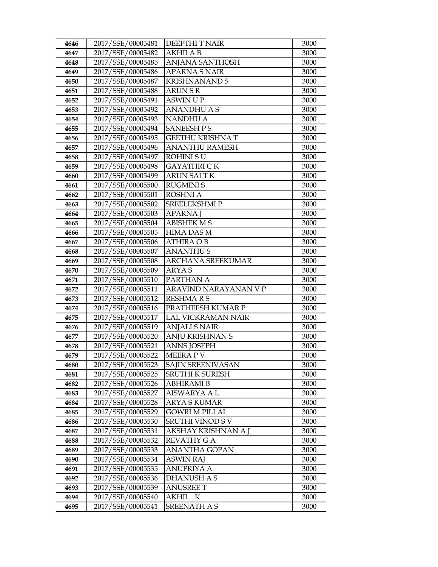| 4646         | 2017/SSE/00005481                      | <b>DEEPTHIT NAIR</b>           | 3000         |
|--------------|----------------------------------------|--------------------------------|--------------|
| 4647         | 2017/SSE/00005482                      | <b>AKHILA B</b>                | 3000         |
| 4648         | 2017/SSE/00005485                      | <b>ANJANA SANTHOSH</b>         | 3000         |
| 4649         | 2017/SSE/00005486                      | <b>APARNA S NAIR</b>           | 3000         |
| 4650         | 2017/SSE/00005487                      | <b>KRISHNANAND S</b>           | 3000         |
| 4651         | 2017/SSE/00005488                      | <b>ARUN S R</b>                | 3000         |
| 4652         | 2017/SSE/00005491                      | <b>ASWIN UP</b>                | 3000         |
| 4653         | 2017/SSE/00005492                      | <b>ANANDHU A S</b>             | 3000         |
| 4654         | 2017/SSE/00005493                      | <b>NANDHU A</b>                | 3000         |
| 4655         | 2017/SSE/00005494                      | <b>SANEESH PS</b>              | 3000         |
| 4656         | 2017/SSE/00005495                      | <b>GEETHU KRISHNA T</b>        | 3000         |
| 4657         | 2017/SSE/00005496                      | <b>ANANTHU RAMESH</b>          | 3000         |
| 4658         | 2017/SSE/00005497                      | <b>ROHINISU</b>                | 3000         |
| 4659         | 2017/SSE/00005498                      | <b>GAYATHRI CK</b>             | 3000         |
| 4660         | 2017/SSE/00005499                      | <b>ARUN SAITK</b>              | 3000         |
| 4661         | 2017/SSE/00005500                      | <b>RUGMINIS</b>                | 3000         |
| 4662         | 2017/SSE/00005501                      | <b>ROSHNI A</b>                | 3000         |
| 4663         | 2017/SSE/00005502                      | <b>SREELEKSHMIP</b>            | 3000         |
| 4664         | 2017/SSE/00005503                      | <b>APARNA J</b>                | 3000         |
| 4665         | 2017/SSE/00005504                      | <b>ABISHEK M S</b>             | 3000         |
| 4666         | 2017/SSE/00005505                      | <b>HIMA DAS M</b>              | 3000         |
| 4667         | 2017/SSE/00005506                      | <b>ATHIRA OB</b>               | 3000         |
| 4668         | 2017/SSE/00005507                      | <b>ANANTHUS</b>                | 3000         |
| 4669         | 2017/SSE/00005508                      | <b>ARCHANA SREEKUMAR</b>       | 3000         |
| 4670         | 2017/SSE/00005509                      | ARYA S                         | 3000         |
|              |                                        |                                |              |
| 4671         | 2017/SSE/00005510                      | PARTHAN A                      | 3000         |
| 4672         | 2017/SSE/00005511                      | ARAVIND NARAYANAN V P          | 3000         |
| 4673         | 2017/SSE/00005512                      | <b>RESHMARS</b>                | 3000         |
| 4674         | 2017/SSE/00005516                      | PRATHEESH KUMAR P              | 3000         |
| 4675         | 2017/SSE/00005517                      | <b>LAL VICKRAMAN NAIR</b>      | 3000         |
| 4676         | 2017/SSE/00005519                      | <b>ANJALI S NAIR</b>           | 3000         |
| 4677         | 2017/SSE/00005520                      | <b>ANJU KRISHNAN S</b>         | 3000         |
| 4678         | 2017/SSE/00005521                      | <b>ANNS JOSEPH</b>             | 3000         |
| 4679         | 2017/SSE/00005522                      | <b>MEERAPV</b>                 | 3000         |
| 4680         | 2017/SSE/00005523                      | SAJIN SREENIVASAN              | 3000         |
| 4681         | 2017/SSE/00005525                      | <b>SRUTHI K SURESH</b>         | 3000         |
| 4682         | 2017/SSE/00005526                      | ABHIRAMI B                     | 3000         |
| 4683         | 2017/SSE/00005527                      | <b>AISWARYA A L</b>            | 3000         |
| 4684         | 2017/SSE/00005528                      | ARYA S KUMAR                   | 3000         |
| 4685         | 2017/SSE/00005529                      | GOWRI M PILLAI                 | 3000         |
| 4686         | 2017/SSE/00005530                      | <b>SRUTHI VINOD S V</b>        | 3000         |
| 4687         | 2017/SSE/00005531                      | AKSHAY KRISHNAN A J            | 3000         |
| 4688         | 2017/SSE/00005532                      | <b>REVATHY G A</b>             | 3000         |
| 4689         | 2017/SSE/00005533                      | <b>ANANTHA GOPAN</b>           | 3000         |
| 4690         | 2017/SSE/00005534                      | ASWIN RAJ                      | 3000         |
| 4691         | 2017/SSE/00005535                      | ANUPRIYA A                     | 3000         |
| 4692         | 2017/SSE/00005536                      | <b>DHANUSH A S</b>             | 3000         |
| 4693         | 2017/SSE/00005539                      | <b>ANUSREE T</b>               | 3000         |
| 4694<br>4695 | 2017/SSE/00005540<br>2017/SSE/00005541 | AKHIL K<br><b>SREENATH A S</b> | 3000<br>3000 |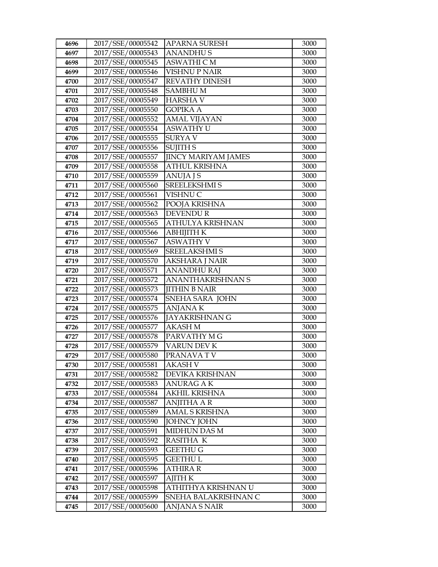| 4696 | 2017/SSE/00005542 | APARNA SURESH              | 3000 |
|------|-------------------|----------------------------|------|
| 4697 | 2017/SSE/00005543 | ANANDHU S                  | 3000 |
| 4698 | 2017/SSE/00005545 | <b>ASWATHI C M</b>         | 3000 |
| 4699 | 2017/SSE/00005546 | <b>VISHNU P NAIR</b>       | 3000 |
| 4700 | 2017/SSE/00005547 | REVATHY DINESH             | 3000 |
| 4701 | 2017/SSE/00005548 | <b>SAMBHUM</b>             | 3000 |
| 4702 | 2017/SSE/00005549 | HARSHA V                   | 3000 |
| 4703 | 2017/SSE/00005550 | <b>GOPIKA A</b>            | 3000 |
| 4704 | 2017/SSE/00005552 | <b>AMAL VIJAYAN</b>        | 3000 |
| 4705 | 2017/SSE/00005554 | <b>ASWATHY U</b>           | 3000 |
| 4706 | 2017/SSE/00005555 | <b>SURYAV</b>              | 3000 |
| 4707 | 2017/SSE/00005556 | <b>SUJITH S</b>            | 3000 |
| 4708 | 2017/SSE/00005557 | <b>JINCY MARIYAM JAMES</b> | 3000 |
| 4709 | 2017/SSE/00005558 | <b>ATHUL KRISHNA</b>       | 3000 |
| 4710 | 2017/SSE/00005559 | ANUJA J S                  | 3000 |
| 4711 | 2017/SSE/00005560 | <b>SREELEKSHMI S</b>       | 3000 |
| 4712 | 2017/SSE/00005561 | VISHNU C                   | 3000 |
| 4713 | 2017/SSE/00005562 | POOJA KRISHNA              | 3000 |
| 4714 | 2017/SSE/00005563 | <b>DEVENDUR</b>            | 3000 |
| 4715 | 2017/SSE/00005565 | ATHULYA KRISHNAN           | 3000 |
| 4716 | 2017/SSE/00005566 | ABHIJITH K                 | 3000 |
| 4717 | 2017/SSE/00005567 | <b>ASWATHY V</b>           | 3000 |
| 4718 | 2017/SSE/00005569 | SREELAKSHMI S              | 3000 |
| 4719 | 2017/SSE/00005570 | <b>AKSHARA J NAIR</b>      | 3000 |
| 4720 | 2017/SSE/00005571 | <b>ANANDHU RAJ</b>         | 3000 |
| 4721 | 2017/SSE/00005572 | ANANTHAKRISHNAN S          | 3000 |
| 4722 | 2017/SSE/00005573 | <b>JITHIN B NAIR</b>       | 3000 |
| 4723 | 2017/SSE/00005574 | SNEHA SARA JOHN            | 3000 |
| 4724 | 2017/SSE/00005575 | <b>ANJANAK</b>             | 3000 |
| 4725 | 2017/SSE/00005576 | JAYAKRISHNAN G             | 3000 |
| 4726 | 2017/SSE/00005577 | AKASH M                    | 3000 |
| 4727 | 2017/SSE/00005578 | PARVATHY M G               | 3000 |
| 4728 | 2017/SSE/00005579 | VARUN DEV K                | 3000 |
| 4729 | 2017/SSE/00005580 | PRANAVA TV                 | 3000 |
| 4730 | 2017/SSE/00005581 | AKASH V                    | 3000 |
| 4731 | 2017/SSE/00005582 | DEVIKA KRISHNAN            | 3000 |
| 4732 | 2017/SSE/00005583 | ANURAG A K                 | 3000 |
| 4733 | 2017/SSE/00005584 | <b>AKHIL KRISHNA</b>       | 3000 |
| 4734 | 2017/SSE/00005587 | <b>ANJITHA A R</b>         | 3000 |
| 4735 | 2017/SSE/00005589 | AMAL S KRISHNA             | 3000 |
| 4736 | 2017/SSE/00005590 | <b>JOHNCY JOHN</b>         | 3000 |
| 4737 | 2017/SSE/00005591 | <b>MIDHUN DAS M</b>        | 3000 |
| 4738 | 2017/SSE/00005592 | RASITHA K                  | 3000 |
| 4739 | 2017/SSE/00005593 | <b>GEETHU G</b>            | 3000 |
| 4740 | 2017/SSE/00005595 | GEETHU L                   | 3000 |
| 4741 | 2017/SSE/00005596 | ATHIRA R                   | 3000 |
| 4742 | 2017/SSE/00005597 | <b>AJITH K</b>             | 3000 |
| 4743 | 2017/SSE/00005598 | ATHITHYA KRISHNAN U        | 3000 |
| 4744 | 2017/SSE/00005599 | SNEHA BALAKRISHNAN C       | 3000 |
| 4745 | 2017/SSE/00005600 | ANJANA S NAIR              | 3000 |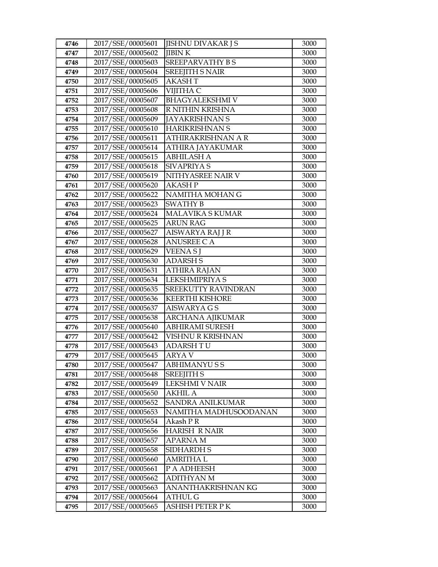| 4746         | 2017/SSE/00005601                      | <b>JISHNU DIVAKAR J S</b>        | 3000         |
|--------------|----------------------------------------|----------------------------------|--------------|
| 4747         | 2017/SSE/00005602                      | <b>JIBINK</b>                    | 3000         |
| 4748         | 2017/SSE/00005603                      | SREEPARVATHY BS                  | 3000         |
| 4749         | 2017/SSE/00005604                      | <b>SREEJITH S NAIR</b>           | 3000         |
| 4750         | 2017/SSE/00005605                      | <b>AKASHT</b>                    | 3000         |
| 4751         | 2017/SSE/00005606                      | VIJITHA C                        | 3000         |
| 4752         | 2017/SSE/00005607                      | <b>BHAGYALEKSHMI V</b>           | 3000         |
| 4753         | 2017/SSE/00005608                      | R NITHIN KRISHNA                 | 3000         |
| 4754         | 2017/SSE/00005609                      | <b>JAYAKRISHNAN S</b>            | 3000         |
| 4755         | 2017/SSE/00005610                      | <b>HARIKRISHNAN S</b>            | 3000         |
| 4756         | 2017/SSE/00005611                      | ATHIRAKRISHNAN A R               | 3000         |
| 4757         | 2017/SSE/00005614                      | ATHIRA JAYAKUMAR                 | 3000         |
| 4758         | 2017/SSE/00005615                      | <b>ABHILASH A</b>                | 3000         |
| 4759         | 2017/SSE/00005618                      | SIVAPRIYA S                      | 3000         |
| 4760         | 2017/SSE/00005619                      | NITHYASREE NAIR V                | 3000         |
| 4761         | 2017/SSE/00005620                      | <b>AKASH P</b>                   | 3000         |
| 4762         | 2017/SSE/00005622                      | NAMITHA MOHAN G                  | 3000         |
| 4763         | 2017/SSE/00005623                      | <b>SWATHY B</b>                  | 3000         |
| 4764         | 2017/SSE/00005624                      | MALAVIKA S KUMAR                 | 3000         |
| 4765         | 2017/SSE/00005625                      | <b>ARUN RAG</b>                  | 3000         |
| 4766         | 2017/SSE/00005627                      | AISWARYA RAJ J R                 | 3000         |
| 4767         | 2017/SSE/00005628                      | <b>ANUSREE C A</b>               | 3000         |
| 4768         | 2017/SSE/00005629                      | VEENA SJ                         | 3000         |
| 4769         | 2017/SSE/00005630                      | <b>ADARSH S</b>                  | 3000         |
| 4770         | 2017/SSE/00005631                      | ATHIRA RAJAN                     | 3000         |
| 4771         | 2017/SSE/00005634                      | LEKSHMIPRIYA S                   | 3000         |
| 4772         | 2017/SSE/00005635                      | SREEKUTTY RAVINDRAN              | 3000         |
| 4773         | 2017/SSE/00005636                      | <b>KEERTHI KISHORE</b>           | 3000         |
| 4774         | 2017/SSE/00005637                      | <b>AISWARYA G S</b>              | 3000         |
| 4775         | 2017/SSE/00005638                      | <b>ARCHANA AJIKUMAR</b>          | 3000         |
| 4776         | 2017/SSE/00005640                      | ABHIRAMI SURESH                  | 3000         |
| 4777         | 2017/SSE/00005642                      | VISHNU R KRISHNAN                | 3000         |
| 4778         | 2017/SSE/00005643                      | <b>ADARSH TU</b>                 | 3000         |
| 4779         | 2017/SSE/00005645                      | ARYA V                           | 3000         |
| 4780         | 2017/SSE/00005647<br>2017/SSE/00005648 | ABHIMANYUSS                      | 3000         |
| 4781         | 2017/SSE/00005649                      | <b>SREEJITH S</b>                | 3000         |
| 4782         | 2017/SSE/00005650                      | LEKSHMI V NAIR<br><b>AKHIL A</b> | 3000         |
| 4783<br>4784 | 2017/SSE/00005652                      | SANDRA ANILKUMAR                 | 3000<br>3000 |
| 4785         | 2017/SSE/00005653                      | NAMITHA MADHUSOODANAN            | 3000         |
| 4786         | 2017/SSE/00005654                      | Akash P R                        | 3000         |
| 4787         | 2017/SSE/00005656                      | <b>HARISH R NAIR</b>             | 3000         |
| 4788         | 2017/SSE/00005657                      | <b>APARNAM</b>                   | 3000         |
| 4789         | 2017/SSE/00005658                      | <b>SIDHARDH S</b>                | 3000         |
| 4790         | 2017/SSE/00005660                      | AMRITHA L                        | 3000         |
| 4791         | 2017/SSE/00005661                      | P A ADHEESH                      | 3000         |
| 4792         | 2017/SSE/00005662                      | ADITHYAN M                       | 3000         |
| 4793         | 2017/SSE/00005663                      | ANANTHAKRISHNAN KG               | 3000         |
| 4794         | 2017/SSE/00005664                      | <b>ATHUL G</b>                   | 3000         |
| 4795         | 2017/SSE/00005665                      | ASHISH PETER P K                 | 3000         |
|              |                                        |                                  |              |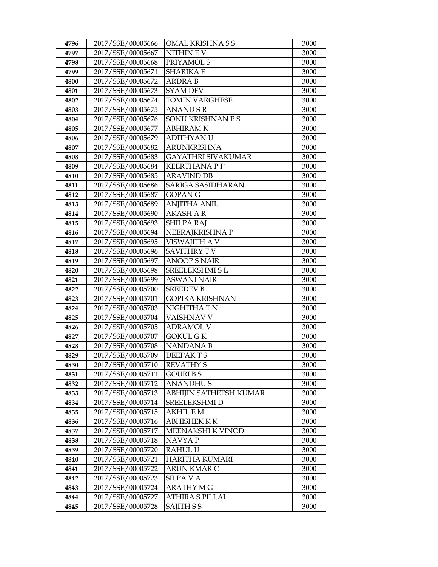| 4796         | 2017/SSE/00005666                      | <b>OMAL KRISHNASS</b>     | 3000         |
|--------------|----------------------------------------|---------------------------|--------------|
| 4797         | 2017/SSE/00005667                      | NITHIN E V                | 3000         |
| 4798         | 2017/SSE/00005668                      | PRIYAMOL S                | 3000         |
| 4799         | 2017/SSE/00005671                      | <b>SHARIKA E</b>          | 3000         |
| 4800         | 2017/SSE/00005672                      | <b>ARDRA B</b>            | 3000         |
| 4801         | 2017/SSE/00005673                      | <b>SYAM DEV</b>           | 3000         |
| 4802         | 2017/SSE/00005674                      | <b>TOMIN VARGHESE</b>     | 3000         |
| 4803         | 2017/SSE/00005675                      | <b>ANAND S R</b>          | 3000         |
| 4804         | 2017/SSE/00005676                      | SONU KRISHNAN P S         | 3000         |
| 4805         | 2017/SSE/00005677                      | <b>ABHIRAMK</b>           | 3000         |
| 4806         | 2017/SSE/00005679                      | <b>ADITHYAN U</b>         | 3000         |
| 4807         | 2017/SSE/00005682                      | <b>ARUNKRISHNA</b>        | 3000         |
| 4808         | 2017/SSE/00005683                      | <b>GAYATHRI SIVAKUMAR</b> | 3000         |
| 4809         | 2017/SSE/00005684                      | <b>KEERTHANA P P</b>      | 3000         |
| 4810         | 2017/SSE/00005685                      | <b>ARAVIND DB</b>         | 3000         |
| 4811         | 2017/SSE/00005686                      | <b>SARIGA SASIDHARAN</b>  | 3000         |
| 4812         | 2017/SSE/00005687                      | GOPAN G                   | 3000         |
| 4813         | 2017/SSE/00005689                      | <b>ANJITHA ANIL</b>       | 3000         |
| 4814         | 2017/SSE/00005690                      | <b>AKASH A R</b>          | 3000         |
| 4815         | 2017/SSE/00005693                      | <b>SHILPA RAJ</b>         | 3000         |
| 4816         | 2017/SSE/00005694                      | NEERAJKRISHNA P           | 3000         |
| 4817         | 2017/SSE/00005695                      | VISWAJITH A V             | 3000         |
| 4818         | 2017/SSE/00005696                      | <b>SAVITHRY TV</b>        | 3000         |
| 4819         | 2017/SSE/00005697                      | <b>ANOOP S NAIR</b>       | 3000         |
| 4820         | 2017/SSE/00005698                      | <b>SREELEKSHMI SL</b>     | 3000         |
| 4821         | 2017/SSE/00005699                      | <b>ASWANI NAIR</b>        | 3000         |
| 4822         | 2017/SSE/00005700                      | <b>SREEDEV B</b>          | 3000         |
| 4823         | 2017/SSE/00005701                      | <b>GOPIKA KRISHNAN</b>    | 3000         |
| 4824         | 2017/SSE/00005703                      | NIGHITHA TN               | 3000         |
| 4825         | 2017/SSE/00005704                      | <b>VAISHNAV V</b>         | 3000         |
| 4826         | 2017/SSE/00005705                      | <b>ADRAMOL V</b>          | 3000         |
| 4827         | 2017/SSE/00005707                      | GOKUL G K                 | 3000         |
| 4828         | 2017/SSE/00005708                      | NANDANA B                 | 3000         |
| 4829         | 2017/SSE/00005709                      | <b>DEEPAKTS</b>           | 3000         |
| 4830         | 2017/SSE/00005710<br>2017/SSE/00005711 | <b>REVATHY S</b>          | 3000         |
| 4831<br>4832 | 2017/SSE/00005712                      | GOURI B S<br>ANANDHU S    | 3000<br>3000 |
| 4833         | 2017/SSE/00005713                      | ABHIJIN SATHEESH KUMAR    | 3000         |
| 4834         | 2017/SSE/00005714                      | <b>SREELEKSHMI D</b>      | 3000         |
| 4835         | 2017/SSE/00005715                      | AKHIL E M                 | 3000         |
| 4836         | 2017/SSE/00005716                      | ABHISHEK K K              | 3000         |
| 4837         | 2017/SSE/00005717                      | MEENAKSHI K VINOD         | 3000         |
| 4838         | 2017/SSE/00005718                      | NAVYA P                   | 3000         |
| 4839         | 2017/SSE/00005720                      | RAHUL U                   | 3000         |
| 4840         | 2017/SSE/00005721                      | HARITHA KUMARI            | 3000         |
| 4841         | 2017/SSE/00005722                      | ARUN KMAR C               | 3000         |
| 4842         | 2017/SSE/00005723                      | SILPA V A                 | 3000         |
| 4843         | 2017/SSE/00005724                      | ARATHY M G                | 3000         |
| 4844         | 2017/SSE/00005727                      | ATHIRA S PILLAI           | 3000         |
| 4845         | 2017/SSE/00005728                      | SAJITH S S                | 3000         |
|              |                                        |                           |              |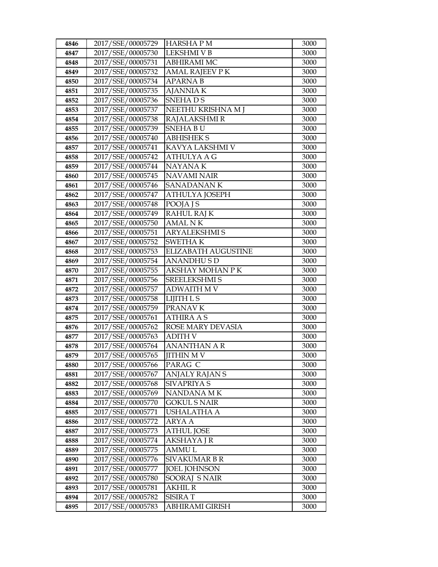| 4846 | 2017/SSE/00005729 | <b>HARSHAPM</b>        | 3000 |
|------|-------------------|------------------------|------|
| 4847 | 2017/SSE/00005730 | <b>LEKSHMI V B</b>     | 3000 |
| 4848 | 2017/SSE/00005731 | <b>ABHIRAMI MC</b>     | 3000 |
| 4849 | 2017/SSE/00005732 | <b>AMAL RAJEEV P K</b> | 3000 |
| 4850 | 2017/SSE/00005734 | <b>APARNAB</b>         | 3000 |
| 4851 | 2017/SSE/00005735 | <b>AJANNIAK</b>        | 3000 |
| 4852 | 2017/SSE/00005736 | <b>SNEHADS</b>         | 3000 |
| 4853 | 2017/SSE/00005737 | NEETHU KRISHNA M J     | 3000 |
| 4854 | 2017/SSE/00005738 | RAJALAKSHMI R          | 3000 |
| 4855 | 2017/SSE/00005739 | <b>SNEHABU</b>         | 3000 |
| 4856 | 2017/SSE/00005740 | <b>ABHISHEK S</b>      | 3000 |
| 4857 | 2017/SSE/00005741 | KAVYA LAKSHMI V        | 3000 |
| 4858 | 2017/SSE/00005742 | <b>ATHULYA A G</b>     | 3000 |
| 4859 | 2017/SSE/00005744 | NAYANA K               | 3000 |
| 4860 | 2017/SSE/00005745 | <b>NAVAMI NAIR</b>     | 3000 |
| 4861 | 2017/SSE/00005746 | <b>SANADANANK</b>      | 3000 |
| 4862 | 2017/SSE/00005747 | ATHULYA JOSEPH         | 3000 |
| 4863 | 2017/SSE/00005748 | POOJA J S              | 3000 |
| 4864 | 2017/SSE/00005749 | <b>RAHUL RAJ K</b>     | 3000 |
| 4865 | 2017/SSE/00005750 | <b>AMAL NK</b>         | 3000 |
| 4866 | 2017/SSE/00005751 | <b>ARYALEKSHMI S</b>   | 3000 |
| 4867 | 2017/SSE/00005752 | SWETHA K               | 3000 |
| 4868 | 2017/SSE/00005753 | ELIZABATH AUGUSTINE    | 3000 |
| 4869 | 2017/SSE/00005754 | <b>ANANDHUSD</b>       | 3000 |
| 4870 | 2017/SSE/00005755 | AKSHAY MOHAN P K       | 3000 |
| 4871 | 2017/SSE/00005756 | <b>SREELEKSHMI S</b>   | 3000 |
| 4872 | 2017/SSE/00005757 | ADWAITH M V            | 3000 |
| 4873 | 2017/SSE/00005758 | <b>LIJITH L S</b>      | 3000 |
| 4874 | 2017/SSE/00005759 | PRANAV K               | 3000 |
| 4875 | 2017/SSE/00005761 | <b>ATHIRA A S</b>      | 3000 |
| 4876 | 2017/SSE/00005762 | ROSE MARY DEVASIA      | 3000 |
| 4877 | 2017/SSE/00005763 | ADITH V                | 3000 |
| 4878 | 2017/SSE/00005764 | <b>ANANTHAN A R</b>    | 3000 |
| 4879 | 2017/SSE/00005765 | <b>JITHIN M V</b>      | 3000 |
| 4880 | 2017/SSE/00005766 | PARAG C                | 3000 |
| 4881 | 2017/SSE/00005767 | ANJALY RAJAN S         | 3000 |
| 4882 | 2017/SSE/00005768 | SIVAPRIYA S            | 3000 |
| 4883 | 2017/SSE/00005769 | NANDANA MK             | 3000 |
| 4884 | 2017/SSE/00005770 | <b>GOKUL S NAIR</b>    | 3000 |
| 4885 | 2017/SSE/00005771 | USHALATHA A            | 3000 |
| 4886 | 2017/SSE/00005772 | ARYA A                 | 3000 |
| 4887 | 2017/SSE/00005773 | <b>ATHUL JOSE</b>      | 3000 |
| 4888 | 2017/SSE/00005774 | <b>AKSHAYA J R</b>     | 3000 |
| 4889 | 2017/SSE/00005775 | <b>AMMUL</b>           | 3000 |
| 4890 | 2017/SSE/00005776 | SIVAKUMAR B R          | 3000 |
| 4891 | 2017/SSE/00005777 | <b>JOEL JOHNSON</b>    | 3000 |
| 4892 | 2017/SSE/00005780 | SOORAJ SNAIR           | 3000 |
| 4893 | 2017/SSE/00005781 | AKHIL R                | 3000 |
| 4894 | 2017/SSE/00005782 | <b>SISIRAT</b>         | 3000 |
| 4895 | 2017/SSE/00005783 | ABHIRAMI GIRISH        | 3000 |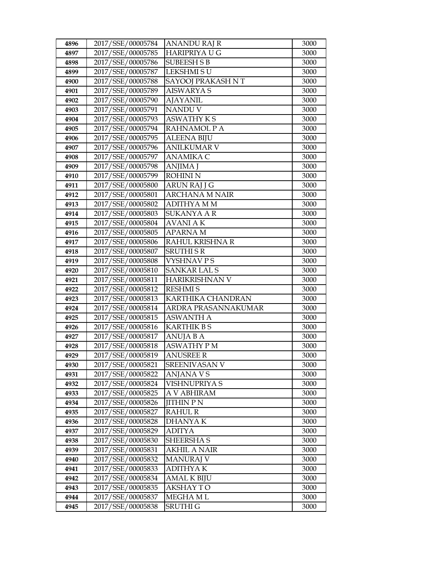| 4896 | 2017/SSE/00005784 | <b>ANANDU RAJ R</b>  | 3000 |
|------|-------------------|----------------------|------|
| 4897 | 2017/SSE/00005785 | <b>HARIPRIYA U G</b> | 3000 |
| 4898 | 2017/SSE/00005786 | <b>SUBEESH S B</b>   | 3000 |
| 4899 | 2017/SSE/00005787 | <b>LEKSHMISU</b>     | 3000 |
| 4900 | 2017/SSE/00005788 | SAYOOJ PRAKASH NT    | 3000 |
| 4901 | 2017/SSE/00005789 | <b>AISWARYA S</b>    | 3000 |
| 4902 | 2017/SSE/00005790 | <b>AJAYANIL</b>      | 3000 |
| 4903 | 2017/SSE/00005791 | NANDU V              | 3000 |
| 4904 | 2017/SSE/00005793 | <b>ASWATHY KS</b>    | 3000 |
| 4905 | 2017/SSE/00005794 | RAHNAMOL P A         | 3000 |
| 4906 | 2017/SSE/00005795 | <b>ALEENA BIJU</b>   | 3000 |
| 4907 | 2017/SSE/00005796 | <b>ANILKUMAR V</b>   | 3000 |
| 4908 | 2017/SSE/00005797 | <b>ANAMIKA C</b>     | 3000 |
| 4909 | 2017/SSE/00005798 | ANJIMA J             | 3000 |
| 4910 | 2017/SSE/00005799 | <b>ROHINI N</b>      | 3000 |
| 4911 | 2017/SSE/00005800 | <b>ARUN RAJ J G</b>  | 3000 |
| 4912 | 2017/SSE/00005801 | ARCHANA M NAIR       | 3000 |
| 4913 | 2017/SSE/00005802 | <b>ADITHYA M M</b>   | 3000 |
| 4914 | 2017/SSE/00005803 | <b>SUKANYA A R</b>   | 3000 |
| 4915 | 2017/SSE/00005804 | <b>AVANIAK</b>       | 3000 |
| 4916 | 2017/SSE/00005805 | <b>APARNAM</b>       | 3000 |
| 4917 | 2017/SSE/00005806 | RAHUL KRISHNA R      | 3000 |
| 4918 | 2017/SSE/00005807 | <b>SRUTHI S R</b>    | 3000 |
| 4919 | 2017/SSE/00005808 | <b>VYSHNAVPS</b>     | 3000 |
| 4920 | 2017/SSE/00005810 | <b>SANKAR LAL S</b>  | 3000 |
| 4921 | 2017/SSE/00005811 | HARIKRISHNAN V       | 3000 |
| 4922 | 2017/SSE/00005812 | <b>RESHMIS</b>       | 3000 |
| 4923 | 2017/SSE/00005813 | KARTHIKA CHANDRAN    | 3000 |
| 4924 | 2017/SSE/00005814 | ARDRA PRASANNAKUMAR  | 3000 |
| 4925 | 2017/SSE/00005815 | <b>ASWANTH A</b>     | 3000 |
| 4926 | 2017/SSE/00005816 | <b>KARTHIK B S</b>   | 3000 |
| 4927 | 2017/SSE/00005817 | ANUJA B A            | 3000 |
| 4928 | 2017/SSE/00005818 | <b>ASWATHY PM</b>    | 3000 |
| 4929 | 2017/SSE/00005819 | <b>ANUSREE R</b>     | 3000 |
| 4930 | 2017/SSE/00005821 | SREENIVASAN V        | 3000 |
| 4931 | 2017/SSE/00005822 | ANJANA V S           | 3000 |
| 4932 | 2017/SSE/00005824 | VISHNUPRIYA S        | 3000 |
| 4933 | 2017/SSE/00005825 | A V ABHIRAM          | 3000 |
| 4934 | 2017/SSE/00005826 | <b>JITHIN P N</b>    | 3000 |
| 4935 | 2017/SSE/00005827 | RAHUL R              | 3000 |
| 4936 | 2017/SSE/00005828 | <b>DHANYAK</b>       | 3000 |
| 4937 | 2017/SSE/00005829 | <b>ADITYA</b>        | 3000 |
| 4938 | 2017/SSE/00005830 | <b>SHEERSHAS</b>     | 3000 |
| 4939 | 2017/SSE/00005831 | <b>AKHIL A NAIR</b>  | 3000 |
| 4940 | 2017/SSE/00005832 | MANURAJ V            | 3000 |
| 4941 | 2017/SSE/00005833 | <b>ADITHYAK</b>      | 3000 |
| 4942 | 2017/SSE/00005834 | AMAL K BIJU          | 3000 |
| 4943 | 2017/SSE/00005835 | <b>AKSHAY TO</b>     | 3000 |
| 4944 | 2017/SSE/00005837 | MEGHA ML             | 3000 |
| 4945 | 2017/SSE/00005838 | SRUTHI G             | 3000 |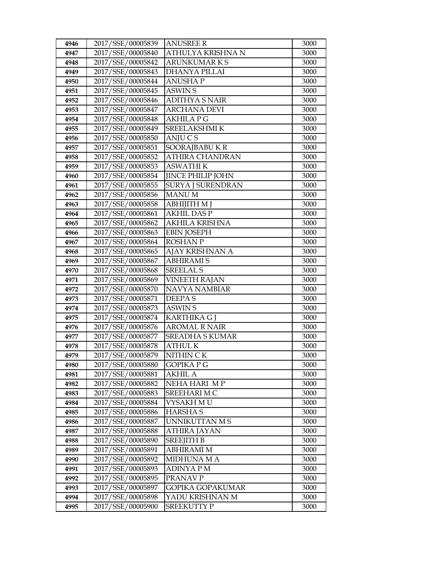| 4946 | 2017/SSE/00005839 | <b>ANUSREE R</b>         | 3000 |
|------|-------------------|--------------------------|------|
| 4947 | 2017/SSE/00005840 | ATHULYA KRISHNA N        | 3000 |
| 4948 | 2017/SSE/00005842 | <b>ARUNKUMARKS</b>       | 3000 |
| 4949 | 2017/SSE/00005843 | <b>DHANYA PILLAI</b>     | 3000 |
| 4950 | 2017/SSE/00005844 | <b>ANUSHAP</b>           | 3000 |
| 4951 | 2017/SSE/00005845 | <b>ASWIN S</b>           | 3000 |
| 4952 | 2017/SSE/00005846 | <b>ADITHYA S NAIR</b>    | 3000 |
| 4953 | 2017/SSE/00005847 | <b>ARCHANA DEVI</b>      | 3000 |
| 4954 | 2017/SSE/00005848 | <b>AKHILA P G</b>        | 3000 |
| 4955 | 2017/SSE/00005849 | SREELAKSHMI K            | 3000 |
| 4956 | 2017/SSE/00005850 | ANJUCS                   | 3000 |
| 4957 | 2017/SSE/00005851 | SOORAJBABUKR             | 3000 |
| 4958 | 2017/SSE/00005852 | <b>ATHIRA CHANDRAN</b>   | 3000 |
| 4959 | 2017/SSE/00005853 | <b>ASWATHIK</b>          | 3000 |
| 4960 | 2017/SSE/00005854 | <b>JINCE PHILIP JOHN</b> | 3000 |
| 4961 | 2017/SSE/00005855 | <b>SURYA J SURENDRAN</b> | 3000 |
| 4962 | 2017/SSE/00005856 | <b>MANUM</b>             | 3000 |
| 4963 | 2017/SSE/00005858 | <b>ABHIJITH M J</b>      | 3000 |
| 4964 | 2017/SSE/00005861 | <b>AKHIL DASP</b>        | 3000 |
| 4965 | 2017/SSE/00005862 | <b>AKHILA KRISHNA</b>    | 3000 |
| 4966 | 2017/SSE/00005863 | <b>EBIN JOSEPH</b>       | 3000 |
| 4967 | 2017/SSE/00005864 | <b>ROSHAN P</b>          | 3000 |
| 4968 | 2017/SSE/00005865 | AJAY KRISHNAN A          | 3000 |
| 4969 | 2017/SSE/00005867 | <b>ABHIRAMIS</b>         | 3000 |
| 4970 | 2017/SSE/00005868 | <b>SREELAL S</b>         | 3000 |
| 4971 | 2017/SSE/00005869 | <b>VINEETH RAJAN</b>     | 3000 |
| 4972 | 2017/SSE/00005870 | <b>NAVYA NAMBIAR</b>     | 3000 |
| 4973 | 2017/SSE/00005871 | <b>DEEPAS</b>            | 3000 |
| 4974 | 2017/SSE/00005873 | <b>ASWIN S</b>           | 3000 |
| 4975 | 2017/SSE/00005874 | <b>KARTHIKA G I</b>      | 3000 |
| 4976 | 2017/SSE/00005876 | <b>AROMAL R NAIR</b>     | 3000 |
| 4977 | 2017/SSE/00005877 | <b>SREADHA S KUMAR</b>   | 3000 |
| 4978 | 2017/SSE/00005878 | <b>ATHUL K</b>           | 3000 |
| 4979 | 2017/SSE/00005879 | NITHIN CK                | 3000 |
| 4980 | 2017/SSE/00005880 | GOPIKA P G               | 3000 |
| 4981 | 2017/SSE/00005881 | AKHIL A                  | 3000 |
| 4982 | 2017/SSE/00005882 | NEHA HARI MP             | 3000 |
| 4983 | 2017/SSE/00005883 | SREEHARI MC              | 3000 |
| 4984 | 2017/SSE/00005884 | VYSAKH MU                | 3000 |
| 4985 | 2017/SSE/00005886 | <b>HARSHAS</b>           | 3000 |
| 4986 | 2017/SSE/00005887 | <b>UNNIKUTTAN MS</b>     | 3000 |
| 4987 | 2017/SSE/00005888 | ATHIRA JAYAN             | 3000 |
| 4988 | 2017/SSE/00005890 | <b>SREEJITH B</b>        | 3000 |
| 4989 | 2017/SSE/00005891 | <b>ABHIRAMI M</b>        | 3000 |
| 4990 | 2017/SSE/00005892 | <b>MIDHUNA M A</b>       | 3000 |
| 4991 | 2017/SSE/00005893 | ADINYA P M               | 3000 |
| 4992 | 2017/SSE/00005895 | PRANAV P                 | 3000 |
| 4993 | 2017/SSE/00005897 | <b>GOPIKA GOPAKUMAR</b>  | 3000 |
| 4994 | 2017/SSE/00005898 | YADU KRISHNAN M          | 3000 |
| 4995 | 2017/SSE/00005900 | <b>SREEKUTTY P</b>       | 3000 |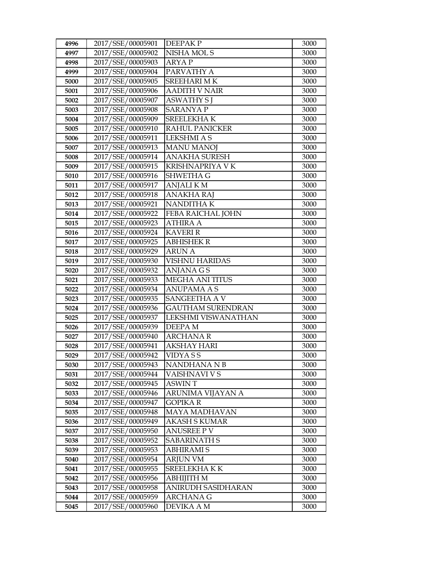| 4996 | 2017/SSE/00005901 | <b>DEEPAKP</b>           | 3000 |
|------|-------------------|--------------------------|------|
| 4997 | 2017/SSE/00005902 | NISHA MOL S              | 3000 |
| 4998 | 2017/SSE/00005903 | <b>ARYAP</b>             | 3000 |
| 4999 | 2017/SSE/00005904 | PARVATHY A               | 3000 |
| 5000 | 2017/SSE/00005905 | <b>SREEHARI MK</b>       | 3000 |
| 5001 | 2017/SSE/00005906 | <b>AADITH V NAIR</b>     | 3000 |
| 5002 | 2017/SSE/00005907 | <b>ASWATHY S J</b>       | 3000 |
| 5003 | 2017/SSE/00005908 | <b>SARANYA P</b>         | 3000 |
| 5004 | 2017/SSE/00005909 | <b>SREELEKHAK</b>        | 3000 |
| 5005 | 2017/SSE/00005910 | <b>RAHUL PANICKER</b>    | 3000 |
| 5006 | 2017/SSE/00005911 | <b>LEKSHMI A S</b>       | 3000 |
| 5007 | 2017/SSE/00005913 | <b>MANU MANOJ</b>        | 3000 |
| 5008 | 2017/SSE/00005914 | <b>ANAKHA SURESH</b>     | 3000 |
| 5009 | 2017/SSE/00005915 | KRISHNAPRIYA V K         | 3000 |
| 5010 | 2017/SSE/00005916 | SHWETHA G                | 3000 |
| 5011 | 2017/SSE/00005917 | <b>ANJALIKM</b>          | 3000 |
| 5012 | 2017/SSE/00005918 | <b>ANAKHA RAJ</b>        | 3000 |
| 5013 | 2017/SSE/00005921 | <b>NANDITHAK</b>         | 3000 |
| 5014 | 2017/SSE/00005922 | FEBA RAICHAL JOHN        | 3000 |
| 5015 | 2017/SSE/00005923 | <b>ATHIRA A</b>          | 3000 |
| 5016 | 2017/SSE/00005924 | <b>KAVERI R</b>          | 3000 |
| 5017 | 2017/SSE/00005925 | <b>ABHISHEK R</b>        | 3000 |
| 5018 | 2017/SSE/00005929 | <b>ARUN A</b>            | 3000 |
| 5019 | 2017/SSE/00005930 | <b>VISHNU HARIDAS</b>    | 3000 |
| 5020 | 2017/SSE/00005932 | <b>ANJANA GS</b>         | 3000 |
| 5021 | 2017/SSE/00005933 | <b>MEGHA ANI TITUS</b>   | 3000 |
| 5022 | 2017/SSE/00005934 | <b>ANUPAMA A S</b>       | 3000 |
| 5023 | 2017/SSE/00005935 | SANGEETHA A V            | 3000 |
| 5024 | 2017/SSE/00005936 | <b>GAUTHAM SURENDRAN</b> | 3000 |
| 5025 | 2017/SSE/00005937 | LEKSHMI VISWANATHAN      | 3000 |
| 5026 | 2017/SSE/00005939 | <b>DEEPAM</b>            | 3000 |
| 5027 | 2017/SSE/00005940 | <b>ARCHANAR</b>          | 3000 |
| 5028 | 2017/SSE/00005941 | <b>AKSHAY HARI</b>       | 3000 |
| 5029 | 2017/SSE/00005942 | <b>VIDYASS</b>           | 3000 |
| 5030 | 2017/SSE/00005943 | NANDHANA N B             | 3000 |
| 5031 | 2017/SSE/00005944 | VAISHNAVI V S            | 3000 |
| 5032 | 2017/SSE/00005945 | ASWIN T                  | 3000 |
| 5033 | 2017/SSE/00005946 | ARUNIMA VIJAYAN A        | 3000 |
| 5034 | 2017/SSE/00005947 | <b>GOPIKA R</b>          | 3000 |
| 5035 | 2017/SSE/00005948 | <b>MAYA MADHAVAN</b>     | 3000 |
| 5036 | 2017/SSE/00005949 | AKASH S KUMAR            | 3000 |
| 5037 | 2017/SSE/00005950 | <b>ANUSREE PV</b>        | 3000 |
| 5038 | 2017/SSE/00005952 | <b>SABARINATH S</b>      | 3000 |
| 5039 | 2017/SSE/00005953 | <b>ABHIRAMI S</b>        | 3000 |
| 5040 | 2017/SSE/00005954 | ARJUN VM                 | 3000 |
| 5041 | 2017/SSE/00005955 | SREELEKHA K K            | 3000 |
| 5042 | 2017/SSE/00005956 | ABHIJITH M               | 3000 |
| 5043 | 2017/SSE/00005958 | ANIRUDH SASIDHARAN       | 3000 |
| 5044 | 2017/SSE/00005959 | ARCHANA G                | 3000 |
| 5045 | 2017/SSE/00005960 | DEVIKA A M               | 3000 |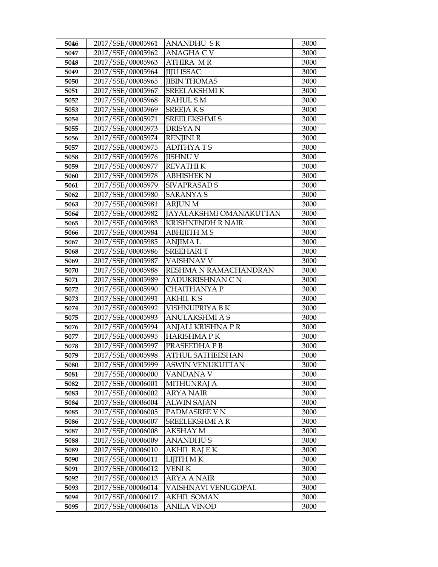| 5046         | 2017/SSE/00005961                      | <b>ANANDHU SR</b>                  | 3000         |
|--------------|----------------------------------------|------------------------------------|--------------|
| 5047         | 2017/SSE/00005962                      | <b>ANAGHA C V</b>                  | 3000         |
| 5048         | 2017/SSE/00005963                      | <b>ATHIRA MR</b>                   | 3000         |
| 5049         | 2017/SSE/00005964                      | <b>JIJU ISSAC</b>                  | 3000         |
| 5050         | 2017/SSE/00005965                      | <b>JIBIN THOMAS</b>                | 3000         |
| 5051         | 2017/SSE/00005967                      | SREELAKSHMI K                      | 3000         |
| 5052         | 2017/SSE/00005968                      | <b>RAHUL SM</b>                    | 3000         |
| 5053         | 2017/SSE/00005969                      | <b>SREEJAKS</b>                    | 3000         |
| 5054         | 2017/SSE/00005971                      | SREELEKSHMI S                      | 3000         |
| 5055         | 2017/SSE/00005973                      | <b>DRISYAN</b>                     | 3000         |
| 5056         | 2017/SSE/00005974                      | <b>RENJINI R</b>                   | 3000         |
| 5057         | 2017/SSE/00005975                      | <b>ADITHYATS</b>                   | 3000         |
| 5058         | 2017/SSE/00005976                      | <b>JISHNU V</b>                    | 3000         |
| 5059         | 2017/SSE/00005977                      | <b>REVATHIK</b>                    | 3000         |
| 5060         | 2017/SSE/00005978                      | <b>ABHISHEK N</b>                  | 3000         |
| 5061         | 2017/SSE/00005979                      | <b>SIVAPRASAD S</b>                | 3000         |
| 5062         | 2017/SSE/00005980                      | <b>SARANYA S</b>                   | 3000         |
| 5063         | 2017/SSE/00005981                      | <b>ARJUN M</b>                     | 3000         |
| 5064         | 2017/SSE/00005982                      | <b>JAYALAKSHMI OMANAKUTTAN</b>     | 3000         |
| 5065         | 2017/SSE/00005983                      | <b>KRISHNENDH R NAIR</b>           | 3000         |
| 5066         | 2017/SSE/00005984                      | <b>ABHIJITH MS</b>                 | 3000         |
| 5067         | 2017/SSE/00005985                      | <b>ANJIMAL</b>                     | 3000         |
| 5068         | 2017/SSE/00005986                      | <b>SREEHARIT</b>                   | 3000         |
| 5069         | 2017/SSE/00005987                      | VAISHNAV V                         | 3000         |
| 5070         | 2017/SSE/00005988                      | RESHMA N RAMACHANDRAN              | 3000         |
| 5071         | 2017/SSE/00005989                      | YADUKRISHNAN C N                   | 3000         |
| 5072         | 2017/SSE/00005990                      | <b>CHAITHANYA P</b>                | 3000         |
| 5073         | 2017/SSE/00005991                      | <b>AKHILKS</b>                     | 3000         |
| 5074         | 2017/SSE/00005992                      | VISHNUPRIYA BK                     | 3000         |
| 5075         | 2017/SSE/00005993                      | <b>ANULAKSHMI A S</b>              | 3000         |
| 5076         | 2017/SSE/00005994                      | ANJALI KRISHNA P R                 | 3000         |
| 5077         | 2017/SSE/00005995                      | <b>HARISHMAPK</b>                  | 3000         |
| 5078         | 2017/SSE/00005997                      | PRASEEDHAPB                        | 3000         |
| 5079         | 2017/SSE/00005998                      | <b>ATHUL SATHEESHAN</b>            | 3000         |
| 5080         | 2017/SSE/00005999                      | ASWIN VENUKUTTAN                   | 3000         |
| 5081         | 2017/SSE/00006000                      | VANDANA V                          | 3000         |
| 5082         | 2017/SSE/00006001                      | <b>MITHUNRAJ A</b>                 | 3000         |
| 5083         | 2017/SSE/00006002                      | <b>ARYA NAIR</b>                   | 3000         |
| 5084         | 2017/SSE/00006004<br>2017/SSE/00006005 | <b>ALWIN SAJAN</b>                 | 3000         |
| 5085         |                                        | PADMASREE V N                      | 3000         |
| 5086         | 2017/SSE/00006007                      | SREELEKSHMI A R                    | 3000         |
| 5087         | 2017/SSE/00006008                      | <b>AKSHAY M</b><br><b>ANANDHUS</b> | 3000         |
| 5088<br>5089 | 2017/SSE/00006009<br>2017/SSE/00006010 | <b>AKHIL RAJ E K</b>               | 3000<br>3000 |
|              | 2017/SSE/00006011                      | LIJITH M K                         | 3000         |
| 5090<br>5091 | 2017/SSE/00006012                      | VENI K                             | 3000         |
| 5092         | 2017/SSE/00006013                      | <b>ARYA A NAIR</b>                 | 3000         |
| 5093         | 2017/SSE/00006014                      | VAISHNAVI VENUGOPAL                | 3000         |
| 5094         | 2017/SSE/00006017                      | <b>AKHIL SOMAN</b>                 | 3000         |
|              | 2017/SSE/00006018                      | <b>ANILA VINOD</b>                 | 3000         |
| 5095         |                                        |                                    |              |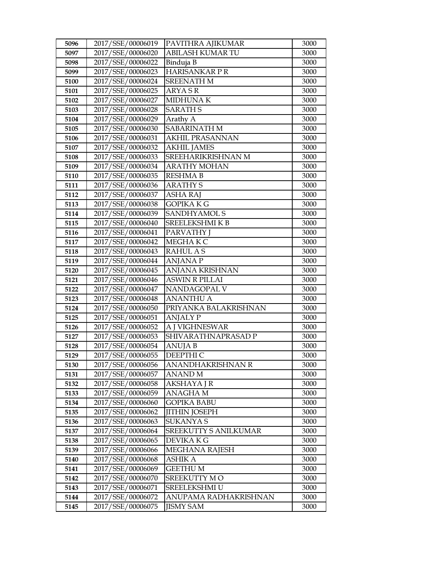| 5096         | 2017/SSE/00006019                      | PAVITHRA AJIKUMAR            | 3000         |
|--------------|----------------------------------------|------------------------------|--------------|
| 5097         | 2017/SSE/00006020                      | <b>ABILASH KUMAR TU</b>      | 3000         |
| 5098         | 2017/SSE/00006022                      | Binduja B                    | 3000         |
| 5099         | 2017/SSE/00006023                      | <b>HARISANKARPR</b>          | 3000         |
| 5100         | 2017/SSE/00006024                      | <b>SREENATH M</b>            | 3000         |
| 5101         | 2017/SSE/00006025                      | <b>ARYASR</b>                | 3000         |
| 5102         | 2017/SSE/00006027                      | <b>MIDHUNAK</b>              | 3000         |
| 5103         | 2017/SSE/00006028                      | <b>SARATH S</b>              | 3000         |
| 5104         | 2017/SSE/00006029                      | Arathy A                     | 3000         |
| 5105         | 2017/SSE/00006030                      | <b>SABARINATH M</b>          | 3000         |
| 5106         | 2017/SSE/00006031                      | <b>AKHIL PRASANNAN</b>       | 3000         |
| 5107         | 2017/SSE/00006032                      | <b>AKHIL JAMES</b>           | 3000         |
| 5108         | 2017/SSE/00006033                      | SREEHARIKRISHNAN M           | 3000         |
| 5109         | 2017/SSE/00006034                      | <b>ARATHY MOHAN</b>          | 3000         |
| 5110         | 2017/SSE/00006035                      | <b>RESHMA B</b>              | 3000         |
| 5111         | 2017/SSE/00006036                      | <b>ARATHY S</b>              | 3000         |
| 5112         | 2017/SSE/00006037                      | <b>ASHA RAJ</b>              | 3000         |
| 5113         | 2017/SSE/00006038                      | <b>GOPIKA K G</b>            | 3000         |
| 5114         | 2017/SSE/00006039                      | <b>SANDHYAMOL S</b>          | 3000         |
| 5115         | 2017/SSE/00006040                      | SREELEKSHMI K B              | 3000         |
| 5116         | 2017/SSE/00006041                      | <b>PARVATHY</b> J            | 3000         |
| 5117         | 2017/SSE/00006042                      | MEGHAK C                     | 3000         |
| 5118         | 2017/SSE/00006043                      | <b>RAHUL AS</b>              | 3000         |
| 5119         | 2017/SSE/00006044                      | <b>ANJANAP</b>               | 3000         |
| 5120         | 2017/SSE/00006045                      | ANJANA KRISHNAN              | 3000         |
| 5121         | 2017/SSE/00006046                      | <b>ASWIN R PILLAI</b>        | 3000         |
| 5122         | 2017/SSE/00006047                      | NANDAGOPAL V                 | 3000         |
| 5123         | 2017/SSE/00006048                      | <b>ANANTHU A</b>             | 3000         |
| 5124         | 2017/SSE/00006050                      | PRIYANKA BALAKRISHNAN        | 3000         |
| 5125         | 2017/SSE/00006051                      | <b>ANJALY P</b>              | 3000         |
| 5126         | 2017/SSE/00006052                      | A J VIGHNESWAR               | 3000         |
| 5127         | 2017/SSE/00006053                      | SHIVARATHNAPRASAD P          | 3000         |
| 5128         | 2017/SSE/00006054                      | <b>ANUJA B</b>               | 3000         |
| 5129         | 2017/SSE/00006055<br>2017/SSE/00006056 | DEEPTHI C                    | 3000<br>3000 |
| 5130         | 2017/SSE/00006057                      | ANANDHAKRISHNAN R<br>ANAND M | 3000         |
| 5131<br>5132 | 2017/SSE/00006058                      | AKSHAYA J R                  | 3000         |
| 5133         | 2017/SSE/00006059                      | ANAGHA M                     | 3000         |
| 5134         | 2017/SSE/00006060                      | <b>GOPIKA BABU</b>           | 3000         |
| 5135         | 2017/SSE/00006062                      | <b>JITHIN JOSEPH</b>         | 3000         |
| 5136         | 2017/SSE/00006063                      | <b>SUKANYA S</b>             | 3000         |
| 5137         | 2017/SSE/00006064                      | <b>SREEKUTTY S ANILKUMAR</b> | 3000         |
| 5138         | 2017/SSE/00006065                      | DEVIKA K G                   | 3000         |
| 5139         | 2017/SSE/00006066                      | <b>MEGHANA RAJESH</b>        | 3000         |
| 5140         | 2017/SSE/00006068                      | ASHIK A                      | 3000         |
| 5141         | 2017/SSE/00006069                      | GEETHU M                     | 3000         |
| 5142         | 2017/SSE/00006070                      | SREEKUTTY MO                 | 3000         |
| 5143         | 2017/SSE/00006071                      | SREELEKSHMI U                | 3000         |
| 5144         | 2017/SSE/00006072                      | ANUPAMA RADHAKRISHNAN        | 3000         |
| 5145         | 2017/SSE/00006075                      | <b>JISMY SAM</b>             | 3000         |
|              |                                        |                              |              |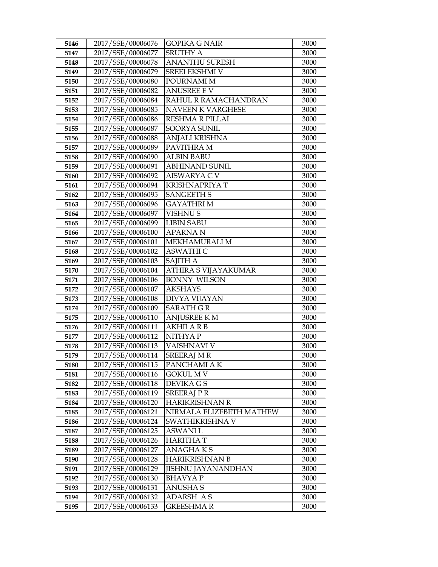| 5146 | 2017/SSE/00006076 | <b>GOPIKA G NAIR</b>      | 3000 |
|------|-------------------|---------------------------|------|
| 5147 | 2017/SSE/00006077 | <b>SRUTHY A</b>           | 3000 |
| 5148 | 2017/SSE/00006078 | <b>ANANTHU SURESH</b>     | 3000 |
| 5149 | 2017/SSE/00006079 | SREELEKSHMI V             | 3000 |
| 5150 | 2017/SSE/00006080 | POURNAMI M                | 3000 |
| 5151 | 2017/SSE/00006082 | <b>ANUSREE E V</b>        | 3000 |
| 5152 | 2017/SSE/00006084 | RAHUL R RAMACHANDRAN      | 3000 |
| 5153 | 2017/SSE/00006085 | NAVEEN K VARGHESE         | 3000 |
| 5154 | 2017/SSE/00006086 | <b>RESHMA R PILLAI</b>    | 3000 |
| 5155 | 2017/SSE/00006087 | SOORYA SUNIL              | 3000 |
| 5156 | 2017/SSE/00006088 | ANJALI KRISHNA            | 3000 |
| 5157 | 2017/SSE/00006089 | PAVITHRA M                | 3000 |
| 5158 | 2017/SSE/00006090 | <b>ALBIN BABU</b>         | 3000 |
| 5159 | 2017/SSE/00006091 | <b>ABHINAND SUNIL</b>     | 3000 |
| 5160 | 2017/SSE/00006092 | <b>AISWARYA C V</b>       | 3000 |
| 5161 | 2017/SSE/00006094 | <b>KRISHNAPRIYA T</b>     | 3000 |
| 5162 | 2017/SSE/00006095 | <b>SANGEETH S</b>         | 3000 |
| 5163 | 2017/SSE/00006096 | <b>GAYATHRIM</b>          | 3000 |
| 5164 | 2017/SSE/00006097 | <b>VISHNUS</b>            | 3000 |
| 5165 | 2017/SSE/00006099 | <b>LIBIN SABU</b>         | 3000 |
| 5166 | 2017/SSE/00006100 | <b>APARNAN</b>            | 3000 |
| 5167 | 2017/SSE/00006101 | MEKHAMURALI M             | 3000 |
| 5168 | 2017/SSE/00006102 | <b>ASWATHI C</b>          | 3000 |
| 5169 | 2017/SSE/00006103 | <b>SAJITH A</b>           | 3000 |
| 5170 | 2017/SSE/00006104 | ATHIRA S VIJAYAKUMAR      | 3000 |
| 5171 | 2017/SSE/00006106 | <b>BONNY WILSON</b>       | 3000 |
| 5172 | 2017/SSE/00006107 | <b>AKSHAYS</b>            | 3000 |
| 5173 | 2017/SSE/00006108 | <b>DIVYA VIJAYAN</b>      | 3000 |
| 5174 | 2017/SSE/00006109 | <b>SARATH GR</b>          | 3000 |
| 5175 | 2017/SSE/00006110 | <b>ANJUSREE K M</b>       | 3000 |
| 5176 | 2017/SSE/00006111 | <b>AKHILA R B</b>         | 3000 |
| 5177 | 2017/SSE/00006112 | NITHYA P                  | 3000 |
| 5178 | 2017/SSE/00006113 | VAISHNAVI V               | 3000 |
| 5179 | 2017/SSE/00006114 | <b>SREERAJ M R</b>        | 3000 |
| 5180 | 2017/SSE/00006115 | PANCHAMI A K              | 3000 |
| 5181 | 2017/SSE/00006116 | <b>GOKUL M V</b>          | 3000 |
| 5182 | 2017/SSE/00006118 | DEVIKA G S                | 3000 |
| 5183 | 2017/SSE/00006119 | <b>SREERAJ P R</b>        | 3000 |
| 5184 | 2017/SSE/00006120 | HARIKRISHNAN R            | 3000 |
| 5185 | 2017/SSE/00006121 | NIRMALA ELIZEBETH MATHEW  | 3000 |
| 5186 | 2017/SSE/00006124 | SWATHIKRISHNA V           | 3000 |
| 5187 | 2017/SSE/00006125 | <b>ASWANI L</b>           | 3000 |
| 5188 | 2017/SSE/00006126 | <b>HARITHA T</b>          | 3000 |
| 5189 | 2017/SSE/00006127 | <b>ANAGHAKS</b>           | 3000 |
| 5190 | 2017/SSE/00006128 | HARIKRISHNAN B            | 3000 |
| 5191 | 2017/SSE/00006129 | <b>JISHNU JAYANANDHAN</b> | 3000 |
| 5192 | 2017/SSE/00006130 | <b>BHAVYAP</b>            | 3000 |
| 5193 | 2017/SSE/00006131 | <b>ANUSHA S</b>           | 3000 |
| 5194 | 2017/SSE/00006132 | <b>ADARSH AS</b>          | 3000 |
| 5195 | 2017/SSE/00006133 | <b>GREESHMAR</b>          | 3000 |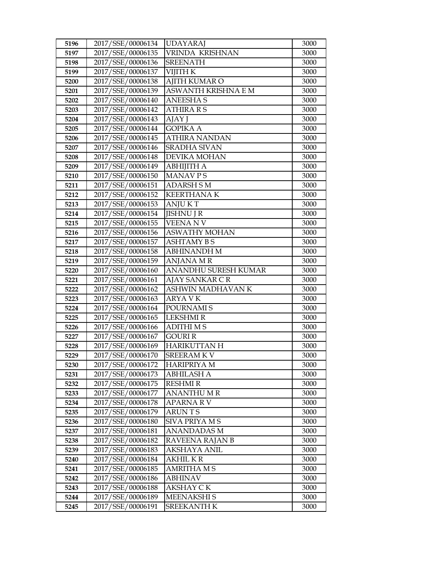| 5196         | 2017/SSE/00006134                      | <b>UDAYARAJ</b>                  | 3000         |
|--------------|----------------------------------------|----------------------------------|--------------|
| 5197         | 2017/SSE/00006135                      | VRINDA KRISHNAN                  | 3000         |
| 5198         | 2017/SSE/00006136                      | <b>SREENATH</b>                  | 3000         |
| 5199         | 2017/SSE/00006137                      | VIJITH K                         | 3000         |
| 5200         | 2017/SSE/00006138                      | <b>AJITH KUMAR O</b>             | 3000         |
| 5201         | 2017/SSE/00006139                      | ASWANTH KRISHNA E M              | 3000         |
| 5202         | 2017/SSE/00006140                      | <b>ANEESHAS</b>                  | 3000         |
| 5203         | 2017/SSE/00006142                      | <b>ATHIRA R S</b>                | 3000         |
| 5204         | 2017/SSE/00006143                      | AJAY J                           | 3000         |
| 5205         | 2017/SSE/00006144                      | <b>GOPIKA A</b>                  | 3000         |
| 5206         | 2017/SSE/00006145                      | ATHIRA NANDAN                    | 3000         |
| 5207         | 2017/SSE/00006146                      | <b>SRADHA SIVAN</b>              | 3000         |
| 5208         | 2017/SSE/00006148                      | DEVIKA MOHAN                     | 3000         |
| 5209         | 2017/SSE/00006149                      | АВНІЈІТНА                        | 3000         |
| 5210         | 2017/SSE/00006150                      | MANAV PS                         | 3000         |
| 5211         | 2017/SSE/00006151                      | <b>ADARSH SM</b>                 | 3000         |
| 5212         | 2017/SSE/00006152                      | <b>KEERTHANAK</b>                | 3000         |
| 5213         | 2017/SSE/00006153                      | <b>ANJUKT</b>                    | 3000         |
| 5214         | 2017/SSE/00006154                      | <b>IISHNU J R</b>                | 3000         |
| 5215         | 2017/SSE/00006155                      | <b>VEENANV</b>                   | 3000         |
| 5216         | 2017/SSE/00006156                      | <b>ASWATHY MOHAN</b>             | 3000         |
| 5217         | 2017/SSE/00006157                      | <b>ASHTAMY BS</b>                | 3000         |
| 5218         | 2017/SSE/00006158                      | <b>ABHINANDH M</b>               | 3000         |
| 5219         | 2017/SSE/00006159                      | <b>ANJANA MR</b>                 | 3000         |
| 5220         | 2017/SSE/00006160                      | ANANDHU SURESH KUMAR             | 3000         |
|              |                                        |                                  |              |
| 5221         | 2017/SSE/00006161                      | AJAY SANKAR C R                  | 3000         |
| 5222         | 2017/SSE/00006162                      | ASHWIN MADHAVAN K                | 3000         |
| 5223         | 2017/SSE/00006163                      | <b>ARYA VK</b>                   | 3000         |
| 5224         | 2017/SSE/00006164                      | POURNAMI S                       | 3000         |
| 5225         | 2017/SSE/00006165                      | <b>LEKSHMIR</b>                  | 3000         |
| 5226         | 2017/SSE/00006166                      | <b>ADITHIMS</b>                  | 3000         |
| 5227         | 2017/SSE/00006167                      | <b>GOURI R</b>                   | 3000         |
| 5228         | 2017/SSE/00006169                      | <b>HARIKUTTAN H</b>              | 3000         |
| 5229         | 2017/SSE/00006170                      | <b>SREERAMKV</b>                 | 3000         |
| 5230         | 2017/SSE/00006172                      | <b>HARIPRIYA M</b>               | 3000         |
| 5231         | 2017/SSE/00006173                      | ABHILASH A                       | 3000         |
| 5232         | 2017/SSE/00006175                      | RESHMI R                         | 3000         |
| 5233         | 2017/SSE/00006177                      | <b>ANANTHUMR</b>                 | 3000         |
| 5234         | 2017/SSE/00006178                      | <b>APARNARV</b>                  | 3000         |
| 5235         | 2017/SSE/00006179                      | <b>ARUNTS</b>                    | 3000         |
| 5236         | 2017/SSE/00006180                      | SIVA PRIYA M S                   | 3000         |
| 5237         | 2017/SSE/00006181                      | <b>ANANDADAS M</b>               | 3000         |
| 5238         | 2017/SSE/00006182                      | RAVEENA RAJAN B                  | 3000         |
| 5239         | 2017/SSE/00006183                      | <b>AKSHAYA ANIL</b>              | 3000         |
| 5240         | 2017/SSE/00006184                      | AKHIL K R                        | 3000         |
| 5241         | 2017/SSE/00006185                      | AMRITHA M S                      | 3000         |
| 5242         | 2017/SSE/00006186                      | ABHINAV                          | 3000         |
| 5243         | 2017/SSE/00006188                      | AKSHAY CK                        | 3000         |
| 5244<br>5245 | 2017/SSE/00006189<br>2017/SSE/00006191 | <b>MEENAKSHIS</b><br>SREEKANTH K | 3000<br>3000 |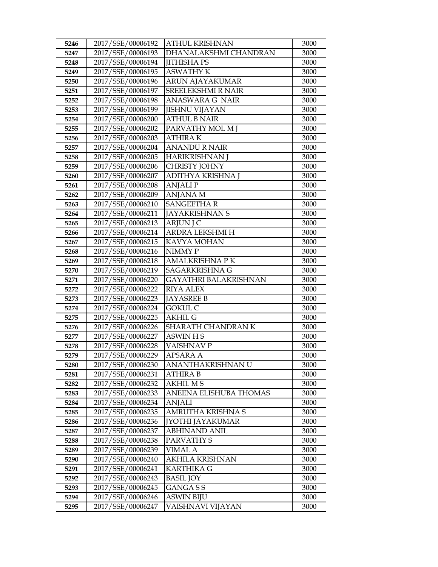| 5246 | 2017/SSE/00006192 | <b>ATHUL KRISHNAN</b>        | 3000 |
|------|-------------------|------------------------------|------|
| 5247 | 2017/SSE/00006193 | DHANALAKSHMI CHANDRAN        | 3000 |
| 5248 | 2017/SSE/00006194 | <b>JITHISHA PS</b>           | 3000 |
| 5249 | 2017/SSE/00006195 | <b>ASWATHY K</b>             | 3000 |
| 5250 | 2017/SSE/00006196 | ARUN AJAYAKUMAR              | 3000 |
| 5251 | 2017/SSE/00006197 | <b>SREELEKSHMI R NAIR</b>    | 3000 |
| 5252 | 2017/SSE/00006198 | ANASWARA G NAIR              | 3000 |
| 5253 | 2017/SSE/00006199 | <b>JISHNU VIJAYAN</b>        | 3000 |
| 5254 | 2017/SSE/00006200 | <b>ATHUL B NAIR</b>          | 3000 |
| 5255 | 2017/SSE/00006202 | PARVATHY MOL M J             | 3000 |
| 5256 | 2017/SSE/00006203 | <b>ATHIRAK</b>               | 3000 |
| 5257 | 2017/SSE/00006204 | <b>ANANDURNAIR</b>           | 3000 |
| 5258 | 2017/SSE/00006205 | <b>HARIKRISHNAN J</b>        | 3000 |
| 5259 | 2017/SSE/00006206 | CHRISTY JOHNY                | 3000 |
| 5260 | 2017/SSE/00006207 | ADITHYA KRISHNA J            | 3000 |
| 5261 | 2017/SSE/00006208 | <b>ANJALIP</b>               | 3000 |
| 5262 | 2017/SSE/00006209 | ANJANA M                     | 3000 |
| 5263 | 2017/SSE/00006210 | <b>SANGEETHAR</b>            | 3000 |
| 5264 | 2017/SSE/00006211 | <b>JAYAKRISHNAN S</b>        | 3000 |
| 5265 | 2017/SSE/00006213 | <b>ARJUN J C</b>             | 3000 |
| 5266 | 2017/SSE/00006214 | ARDRA LEKSHMI H              | 3000 |
| 5267 | 2017/SSE/00006215 | KAVYA MOHAN                  | 3000 |
| 5268 | 2017/SSE/00006216 | NIMMY P                      | 3000 |
| 5269 | 2017/SSE/00006218 | <b>AMALKRISHNA PK</b>        | 3000 |
| 5270 | 2017/SSE/00006219 | SAGARKRISHNA G               | 3000 |
| 5271 | 2017/SSE/00006220 | <b>GAYATHRI BALAKRISHNAN</b> | 3000 |
| 5272 | 2017/SSE/00006222 | <b>RIYA ALEX</b>             | 3000 |
| 5273 | 2017/SSE/00006223 | <b>JAYASREE B</b>            | 3000 |
| 5274 | 2017/SSE/00006224 | <b>GOKUL C</b>               | 3000 |
| 5275 | 2017/SSE/00006225 | <b>AKHIL G</b>               | 3000 |
| 5276 | 2017/SSE/00006226 | SHARATH CHANDRAN K           | 3000 |
| 5277 | 2017/SSE/00006227 | <b>ASWIN HS</b>              | 3000 |
| 5278 | 2017/SSE/00006228 | <b>VAISHNAVP</b>             | 3000 |
| 5279 | 2017/SSE/00006229 | <b>APSARA A</b>              | 3000 |
| 5280 | 2017/SSE/00006230 | ANANTHAKRISHNAN U            | 3000 |
| 5281 | 2017/SSE/00006231 | <b>ATHIRA B</b>              | 3000 |
| 5282 | 2017/SSE/00006232 | <b>AKHIL MS</b>              | 3000 |
| 5283 | 2017/SSE/00006233 | ANEENA ELISHUBA THOMAS       | 3000 |
| 5284 | 2017/SSE/00006234 | <b>ANJALI</b>                | 3000 |
| 5285 | 2017/SSE/00006235 | AMRUTHA KRISHNA S            | 3000 |
| 5286 | 2017/SSE/00006236 | <b>JYOTHI JAYAKUMAR</b>      | 3000 |
| 5287 | 2017/SSE/00006237 | ABHINAND ANIL                | 3000 |
| 5288 | 2017/SSE/00006238 | PARVATHY S                   | 3000 |
| 5289 | 2017/SSE/00006239 | <b>VIMAL A</b>               | 3000 |
| 5290 | 2017/SSE/00006240 | <b>AKHILA KRISHNAN</b>       | 3000 |
| 5291 | 2017/SSE/00006241 | <b>KARTHIKA G</b>            | 3000 |
| 5292 | 2017/SSE/00006243 | <b>BASIL JOY</b>             | 3000 |
| 5293 | 2017/SSE/00006245 | GANGA S S                    | 3000 |
| 5294 | 2017/SSE/00006246 | <b>ASWIN BIJU</b>            | 3000 |
| 5295 | 2017/SSE/00006247 | VAISHNAVI VIJAYAN            | 3000 |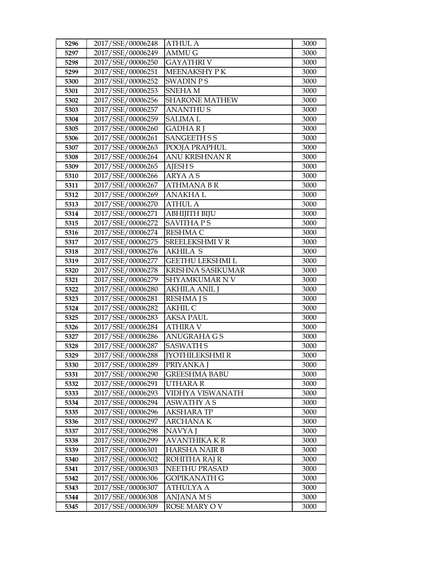| 5296 | 2017/SSE/00006248 | <b>ATHUL A</b>          | 3000 |
|------|-------------------|-------------------------|------|
| 5297 | 2017/SSE/00006249 | <b>AMMUG</b>            | 3000 |
| 5298 | 2017/SSE/00006250 | <b>GAYATHRIV</b>        | 3000 |
| 5299 | 2017/SSE/00006251 | MEENAKSHY P K           | 3000 |
| 5300 | 2017/SSE/00006252 | <b>SWADIN PS</b>        | 3000 |
| 5301 | 2017/SSE/00006253 | <b>SNEHAM</b>           | 3000 |
| 5302 | 2017/SSE/00006256 | <b>SHARONE MATHEW</b>   | 3000 |
| 5303 | 2017/SSE/00006257 | <b>ANANTHUS</b>         | 3000 |
| 5304 | 2017/SSE/00006259 | <b>SALIMAL</b>          | 3000 |
| 5305 | 2017/SSE/00006260 | <b>GADHARI</b>          | 3000 |
| 5306 | 2017/SSE/00006261 | <b>SANGEETH S S</b>     | 3000 |
| 5307 | 2017/SSE/00006263 | POOJA PRAPHUL           | 3000 |
| 5308 | 2017/SSE/00006264 | <b>ANU KRISHNAN R</b>   | 3000 |
| 5309 | 2017/SSE/00006265 | <b>AJESH S</b>          | 3000 |
| 5310 | 2017/SSE/00006266 | ARYA A S                | 3000 |
| 5311 | 2017/SSE/00006267 | <b>ATHMANA B R</b>      | 3000 |
| 5312 | 2017/SSE/00006269 | <b>ANAKHAL</b>          | 3000 |
| 5313 | 2017/SSE/00006270 | <b>ATHUL A</b>          | 3000 |
| 5314 | 2017/SSE/00006271 | <b>ABHIJITH BIJU</b>    | 3000 |
| 5315 | 2017/SSE/00006272 | <b>SAVITHAPS</b>        | 3000 |
| 5316 | 2017/SSE/00006274 | <b>RESHMA C</b>         | 3000 |
| 5317 | 2017/SSE/00006275 | SREELEKSHMI V R         | 3000 |
| 5318 | 2017/SSE/00006276 | <b>AKHILA S</b>         | 3000 |
| 5319 | 2017/SSE/00006277 | <b>GEETHU LEKSHMI L</b> | 3000 |
| 5320 | 2017/SSE/00006278 | KRISHNA SASIKUMAR       | 3000 |
| 5321 | 2017/SSE/00006279 | <b>SHYAMKUMAR N V</b>   | 3000 |
| 5322 | 2017/SSE/00006280 | <b>AKHILA ANIL J</b>    | 3000 |
| 5323 | 2017/SSE/00006281 | <b>RESHMA J S</b>       | 3000 |
| 5324 | 2017/SSE/00006282 | <b>AKHIL C</b>          | 3000 |
| 5325 | 2017/SSE/00006283 | <b>AKSA PAUL</b>        | 3000 |
| 5326 | 2017/SSE/00006284 | <b>ATHIRA V</b>         | 3000 |
| 5327 | 2017/SSE/00006286 | <b>ANUGRAHA G S</b>     | 3000 |
| 5328 | 2017/SSE/00006287 | <b>SASWATH S</b>        | 3000 |
| 5329 | 2017/SSE/00006288 | <b>[YOTHILEKSHMI R</b>  | 3000 |
| 5330 | 2017/SSE/00006289 | PRIYANKA J              | 3000 |
| 5331 | 2017/SSE/00006290 | <b>GREESHMA BABU</b>    | 3000 |
| 5332 | 2017/SSE/00006291 | UTHARA R                | 3000 |
| 5333 | 2017/SSE/00006293 | VIDHYA VISWANATH        | 3000 |
| 5334 | 2017/SSE/00006294 | <b>ASWATHY A S</b>      | 3000 |
| 5335 | 2017/SSE/00006296 | <b>AKSHARA TP</b>       | 3000 |
| 5336 | 2017/SSE/00006297 | ARCHANA K               | 3000 |
| 5337 | 2017/SSE/00006298 | <b>NAVYAJ</b>           | 3000 |
| 5338 | 2017/SSE/00006299 | AVANTHIKA K R           | 3000 |
| 5339 | 2017/SSE/00006301 | <b>HARSHA NAIR B</b>    | 3000 |
| 5340 | 2017/SSE/00006302 | ROHITHA RAJ R           | 3000 |
| 5341 | 2017/SSE/00006303 | NEETHU PRASAD           | 3000 |
| 5342 | 2017/SSE/00006306 | GOPIKANATH G            | 3000 |
| 5343 | 2017/SSE/00006307 | <b>ATHULYA A</b>        | 3000 |
| 5344 | 2017/SSE/00006308 | ANJANA M S              | 3000 |
| 5345 | 2017/SSE/00006309 | ROSE MARY OV            | 3000 |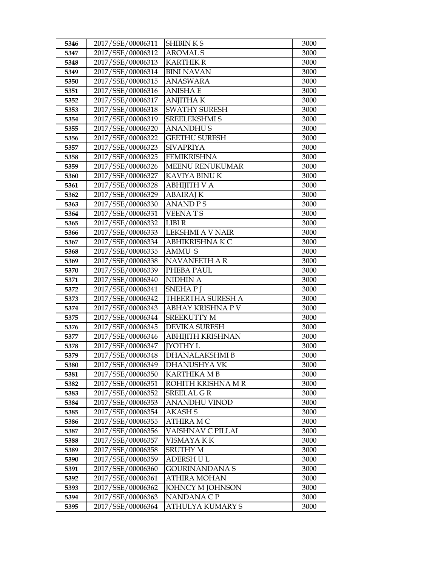| 5346 | 2017/SSE/00006311 | <b>SHIBINKS</b>          | 3000 |
|------|-------------------|--------------------------|------|
| 5347 | 2017/SSE/00006312 | <b>AROMALS</b>           | 3000 |
| 5348 | 2017/SSE/00006313 | <b>KARTHIK R</b>         | 3000 |
| 5349 | 2017/SSE/00006314 | <b>BINI NAVAN</b>        | 3000 |
| 5350 | 2017/SSE/00006315 | <b>ANASWARA</b>          | 3000 |
| 5351 | 2017/SSE/00006316 | ANISHA E                 | 3000 |
| 5352 | 2017/SSE/00006317 | <b>ANJITHAK</b>          | 3000 |
| 5353 | 2017/SSE/00006318 | <b>SWATHY SURESH</b>     | 3000 |
| 5354 | 2017/SSE/00006319 | <b>SREELEKSHMI S</b>     | 3000 |
| 5355 | 2017/SSE/00006320 | <b>ANANDHUS</b>          | 3000 |
| 5356 | 2017/SSE/00006322 | <b>GEETHU SURESH</b>     | 3000 |
| 5357 | 2017/SSE/00006323 | <b>SIVAPRIYA</b>         | 3000 |
| 5358 | 2017/SSE/00006325 | <b>FEMIKRISHNA</b>       | 3000 |
| 5359 | 2017/SSE/00006326 | MEENU RENUKUMAR          | 3000 |
| 5360 | 2017/SSE/00006327 | KAVIYA BINU K            | 3000 |
| 5361 | 2017/SSE/00006328 | ABHIJITH V A             | 3000 |
| 5362 | 2017/SSE/00006329 | <b>ABAIRAJ K</b>         | 3000 |
| 5363 | 2017/SSE/00006330 | <b>ANAND PS</b>          | 3000 |
| 5364 | 2017/SSE/00006331 | <b>VEENATS</b>           | 3000 |
| 5365 | 2017/SSE/00006332 | <b>LIBIR</b>             | 3000 |
| 5366 | 2017/SSE/00006333 | LEKSHMI A V NAIR         | 3000 |
| 5367 | 2017/SSE/00006334 | ABHIKRISHNA K C          | 3000 |
| 5368 | 2017/SSE/00006335 | <b>AMMU S</b>            | 3000 |
| 5369 | 2017/SSE/00006338 | NAVANEETH A R            | 3000 |
| 5370 | 2017/SSE/00006339 | PHEBA PAUL               | 3000 |
| 5371 | 2017/SSE/00006340 | <b>NIDHIN A</b>          | 3000 |
| 5372 | 2017/SSE/00006341 | <b>SNEHAP</b> J          | 3000 |
| 5373 | 2017/SSE/00006342 | THEERTHA SURESH A        | 3000 |
| 5374 | 2017/SSE/00006343 | ABHAY KRISHNA P V        | 3000 |
| 5375 | 2017/SSE/00006344 | <b>SREEKUTTY M</b>       | 3000 |
| 5376 | 2017/SSE/00006345 | <b>DEVIKA SURESH</b>     | 3000 |
| 5377 | 2017/SSE/00006346 | <b>ABHIJITH KRISHNAN</b> | 3000 |
| 5378 | 2017/SSE/00006347 | <b>IYOTHY L</b>          | 3000 |
| 5379 | 2017/SSE/00006348 | <b>DHANALAKSHMI B</b>    | 3000 |
| 5380 | 2017/SSE/00006349 | DHANUSHYA VK             | 3000 |
| 5381 | 2017/SSE/00006350 | <b>KARTHIKA MB</b>       | 3000 |
| 5382 | 2017/SSE/00006351 | ROHITH KRISHNA M R       | 3000 |
| 5383 | 2017/SSE/00006352 | <b>SREELAL GR</b>        | 3000 |
| 5384 | 2017/SSE/00006353 | <b>ANANDHU VINOD</b>     | 3000 |
| 5385 | 2017/SSE/00006354 | <b>AKASH S</b>           | 3000 |
| 5386 | 2017/SSE/00006355 | ATHIRA MC                | 3000 |
| 5387 | 2017/SSE/00006356 | VAISHNAV C PILLAI        | 3000 |
| 5388 | 2017/SSE/00006357 | VISMAYA K K              | 3000 |
| 5389 | 2017/SSE/00006358 | <b>SRUTHY M</b>          | 3000 |
| 5390 | 2017/SSE/00006359 | <b>ADERSH U L</b>        | 3000 |
| 5391 | 2017/SSE/00006360 | GOURINANDANA S           | 3000 |
| 5392 | 2017/SSE/00006361 | <b>ATHIRA MOHAN</b>      | 3000 |
| 5393 | 2017/SSE/00006362 | <b>JOHNCY M JOHNSON</b>  | 3000 |
| 5394 | 2017/SSE/00006363 | NANDANA CP               | 3000 |
| 5395 | 2017/SSE/00006364 | ATHULYA KUMARY S         | 3000 |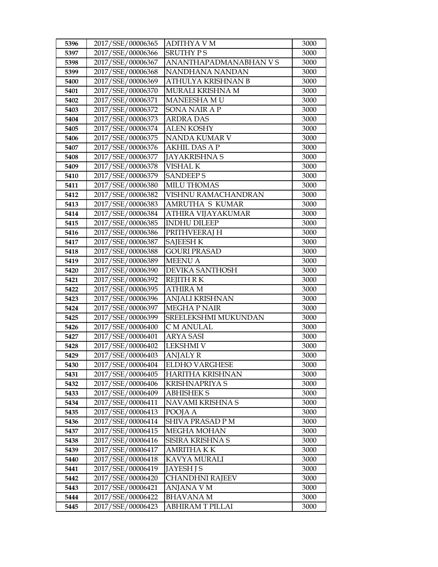| 5396 | 2017/SSE/00006365 | ADITHYA V M            | 3000 |
|------|-------------------|------------------------|------|
| 5397 | 2017/SSE/00006366 | <b>SRUTHY PS</b>       | 3000 |
| 5398 | 2017/SSE/00006367 | ANANTHAPADMANABHAN V S | 3000 |
| 5399 | 2017/SSE/00006368 | NANDHANA NANDAN        | 3000 |
| 5400 | 2017/SSE/00006369 | ATHULYA KRISHNAN B     | 3000 |
| 5401 | 2017/SSE/00006370 | MURALI KRISHNA M       | 3000 |
| 5402 | 2017/SSE/00006371 | MANEESHA M U           | 3000 |
| 5403 | 2017/SSE/00006372 | SONA NAIR A P          | 3000 |
| 5404 | 2017/SSE/00006373 | <b>ARDRA DAS</b>       | 3000 |
| 5405 | 2017/SSE/00006374 | <b>ALEN KOSHY</b>      | 3000 |
| 5406 | 2017/SSE/00006375 | NANDA KUMAR V          | 3000 |
| 5407 | 2017/SSE/00006376 | <b>AKHIL DAS A P</b>   | 3000 |
| 5408 | 2017/SSE/00006377 | <b>JAYAKRISHNA S</b>   | 3000 |
| 5409 | 2017/SSE/00006378 | <b>VISHAL K</b>        | 3000 |
| 5410 | 2017/SSE/00006379 | <b>SANDEEPS</b>        | 3000 |
| 5411 | 2017/SSE/00006380 | <b>MILU THOMAS</b>     | 3000 |
| 5412 | 2017/SSE/00006382 | VISHNU RAMACHANDRAN    | 3000 |
| 5413 | 2017/SSE/00006383 | AMRUTHA S KUMAR        | 3000 |
| 5414 | 2017/SSE/00006384 | ATHIRA VIJAYAKUMAR     | 3000 |
| 5415 | 2017/SSE/00006385 | <b>INDHU DILEEP</b>    | 3000 |
| 5416 | 2017/SSE/00006386 | PRITHVEERAJ H          | 3000 |
| 5417 | 2017/SSE/00006387 | <b>SAJEESH K</b>       | 3000 |
| 5418 | 2017/SSE/00006388 | <b>GOURI PRASAD</b>    | 3000 |
| 5419 | 2017/SSE/00006389 | <b>MEENU A</b>         | 3000 |
| 5420 | 2017/SSE/00006390 | <b>DEVIKA SANTHOSH</b> | 3000 |
| 5421 | 2017/SSE/00006392 | <b>REJITH RK</b>       | 3000 |
| 5422 | 2017/SSE/00006395 | <b>ATHIRA M</b>        | 3000 |
| 5423 | 2017/SSE/00006396 | ANJALI KRISHNAN        | 3000 |
| 5424 | 2017/SSE/00006397 | <b>MEGHAP NAIR</b>     | 3000 |
| 5425 | 2017/SSE/00006399 | SREELEKSHMI MUKUNDAN   | 3000 |
| 5426 | 2017/SSE/00006400 | C M ANULAL             | 3000 |
| 5427 | 2017/SSE/00006401 | ARYA SASI              | 3000 |
| 5428 | 2017/SSE/00006402 | <b>LEKSHMI V</b>       | 3000 |
| 5429 | 2017/SSE/00006403 | ANJALY R               | 3000 |
| 5430 | 2017/SSE/00006404 | <b>ELDHO VARGHESE</b>  | 3000 |
| 5431 | 2017/SSE/00006405 | HARITHA KRISHNAN       | 3000 |
| 5432 | 2017/SSE/00006406 | <b>KRISHNAPRIYA S</b>  | 3000 |
| 5433 | 2017/SSE/00006409 | <b>ABHISHEK S</b>      | 3000 |
| 5434 | 2017/SSE/00006411 | NAVAMI KRISHNA S       | 3000 |
| 5435 | 2017/SSE/00006413 | POOJA A                | 3000 |
| 5436 | 2017/SSE/00006414 | SHIVA PRASAD P M       | 3000 |
| 5437 | 2017/SSE/00006415 | <b>MEGHA MOHAN</b>     | 3000 |
| 5438 | 2017/SSE/00006416 | SISIRA KRISHNA S       | 3000 |
| 5439 | 2017/SSE/00006417 | <b>AMRITHA KK</b>      | 3000 |
| 5440 | 2017/SSE/00006418 | KAVYA MURALI           | 3000 |
| 5441 | 2017/SSE/00006419 | <b>JAYESH J S</b>      | 3000 |
| 5442 | 2017/SSE/00006420 | CHANDHNI RAJEEV        | 3000 |
| 5443 | 2017/SSE/00006421 | ANJANA V M             | 3000 |
| 5444 | 2017/SSE/00006422 | BHAVANA M              | 3000 |
| 5445 | 2017/SSE/00006423 | ABHIRAM T PILLAI       | 3000 |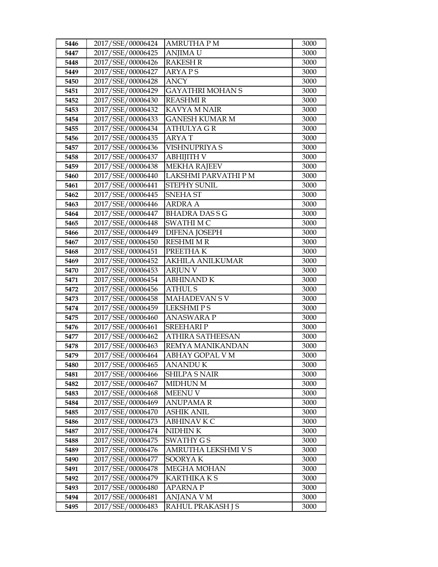| 5446 | 2017/SSE/00006424 | AMRUTHA P M             | 3000 |
|------|-------------------|-------------------------|------|
| 5447 | 2017/SSE/00006425 | <b>ANJIMA U</b>         | 3000 |
| 5448 | 2017/SSE/00006426 | <b>RAKESH R</b>         | 3000 |
| 5449 | 2017/SSE/00006427 | <b>ARYAPS</b>           | 3000 |
| 5450 | 2017/SSE/00006428 | <b>ANCY</b>             | 3000 |
| 5451 | 2017/SSE/00006429 | <b>GAYATHRI MOHAN S</b> | 3000 |
| 5452 | 2017/SSE/00006430 | REASHMI R               | 3000 |
| 5453 | 2017/SSE/00006432 | <b>KAVYA M NAIR</b>     | 3000 |
| 5454 | 2017/SSE/00006433 | <b>GANESH KUMAR M</b>   | 3000 |
| 5455 | 2017/SSE/00006434 | <b>ATHULYAGR</b>        | 3000 |
| 5456 | 2017/SSE/00006435 | ARYA T                  | 3000 |
| 5457 | 2017/SSE/00006436 | VISHNUPRIYA S           | 3000 |
| 5458 | 2017/SSE/00006437 | <b>ABHIJITH V</b>       | 3000 |
| 5459 | 2017/SSE/00006438 | <b>MEKHA RAJEEV</b>     | 3000 |
| 5460 | 2017/SSE/00006440 | LAKSHMI PARVATHI P M    | 3000 |
| 5461 | 2017/SSE/00006441 | <b>STEPHY SUNIL</b>     | 3000 |
| 5462 | 2017/SSE/00006445 | SNEHA ST                | 3000 |
| 5463 | 2017/SSE/00006446 | <b>ARDRA A</b>          | 3000 |
| 5464 | 2017/SSE/00006447 | <b>BHADRA DASSG</b>     | 3000 |
| 5465 | 2017/SSE/00006448 | <b>SWATHIMC</b>         | 3000 |
| 5466 | 2017/SSE/00006449 | <b>DIFENA JOSEPH</b>    | 3000 |
| 5467 | 2017/SSE/00006450 | RESHMI M R              | 3000 |
| 5468 | 2017/SSE/00006451 | PREETHAK                | 3000 |
| 5469 | 2017/SSE/00006452 | <b>AKHILA ANILKUMAR</b> | 3000 |
| 5470 | 2017/SSE/00006453 | <b>ARJUN V</b>          | 3000 |
| 5471 | 2017/SSE/00006454 | <b>ABHINAND K</b>       | 3000 |
| 5472 | 2017/SSE/00006456 | <b>ATHUL S</b>          | 3000 |
| 5473 | 2017/SSE/00006458 | MAHADEVAN SV            | 3000 |
| 5474 | 2017/SSE/00006459 | <b>LEKSHMIPS</b>        | 3000 |
| 5475 | 2017/SSE/00006460 | <b>ANASWARA P</b>       | 3000 |
| 5476 | 2017/SSE/00006461 | <b>SREEHARIP</b>        | 3000 |
| 5477 | 2017/SSE/00006462 | <b>ATHIRA SATHEESAN</b> | 3000 |
| 5478 | 2017/SSE/00006463 | REMYA MANIKANDAN        | 3000 |
| 5479 | 2017/SSE/00006464 | ABHAY GOPAL V M         | 3000 |
| 5480 | 2017/SSE/00006465 | ANANDU K                | 3000 |
| 5481 | 2017/SSE/00006466 | <b>SHILPA S NAIR</b>    | 3000 |
| 5482 | 2017/SSE/00006467 | <b>MIDHUN M</b>         | 3000 |
| 5483 | 2017/SSE/00006468 | <b>MEENU V</b>          | 3000 |
| 5484 | 2017/SSE/00006469 | <b>ANUPAMAR</b>         | 3000 |
| 5485 | 2017/SSE/00006470 | <b>ASHIK ANIL</b>       | 3000 |
| 5486 | 2017/SSE/00006473 | ABHINAV K C             | 3000 |
| 5487 | 2017/SSE/00006474 | NIDHIN K                | 3000 |
| 5488 | 2017/SSE/00006475 | <b>SWATHY GS</b>        | 3000 |
| 5489 | 2017/SSE/00006476 | AMRUTHA LEKSHMI V S     | 3000 |
| 5490 | 2017/SSE/00006477 | SOORYAK                 | 3000 |
| 5491 | 2017/SSE/00006478 | <b>MEGHA MOHAN</b>      | 3000 |
| 5492 | 2017/SSE/00006479 | KARTHIKA K S            | 3000 |
| 5493 | 2017/SSE/00006480 | <b>APARNAP</b>          | 3000 |
| 5494 | 2017/SSE/00006481 | ANJANA V M              | 3000 |
| 5495 | 2017/SSE/00006483 | RAHUL PRAKASH J S       | 3000 |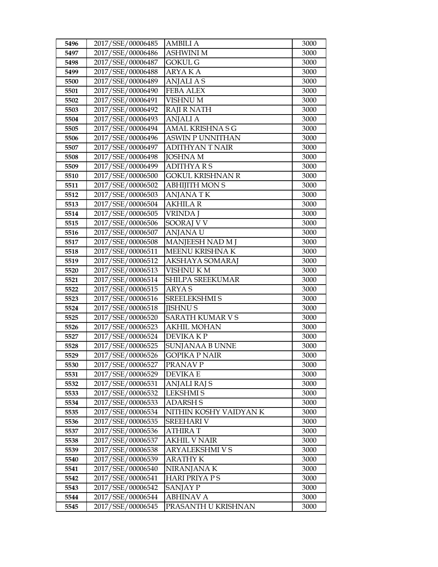| 5496         | 2017/SSE/00006485                      | <b>AMBILI A</b>              | 3000         |
|--------------|----------------------------------------|------------------------------|--------------|
| 5497         | 2017/SSE/00006486                      | <b>ASHWINI M</b>             | 3000         |
| 5498         | 2017/SSE/00006487                      | <b>GOKUL G</b>               | 3000         |
| 5499         | 2017/SSE/00006488                      | ARYA K A                     | 3000         |
| 5500         | 2017/SSE/00006489                      | <b>ANJALIAS</b>              | 3000         |
| 5501         | 2017/SSE/00006490                      | <b>FEBA ALEX</b>             | 3000         |
| 5502         | 2017/SSE/00006491                      | <b>VISHNU M</b>              | 3000         |
| 5503         | 2017/SSE/00006492                      | <b>RAJI R NATH</b>           | 3000         |
| 5504         | 2017/SSE/00006493                      | <b>ANJALI A</b>              | 3000         |
| 5505         | 2017/SSE/00006494                      | AMAL KRISHNA S G             | 3000         |
| 5506         | 2017/SSE/00006496                      | <b>ASWIN P UNNITHAN</b>      | 3000         |
| 5507         | 2017/SSE/00006497                      | <b>ADITHYAN T NAIR</b>       | 3000         |
| 5508         | 2017/SSE/00006498                      | <b>JOSHNA M</b>              | 3000         |
| 5509         | 2017/SSE/00006499                      | <b>ADITHYARS</b>             | 3000         |
| 5510         | 2017/SSE/00006500                      | <b>GOKUL KRISHNAN R</b>      | 3000         |
| 5511         | 2017/SSE/00006502                      | <b>ABHIJITH MON S</b>        | 3000         |
| 5512         | 2017/SSE/00006503                      | <b>ANJANATK</b>              | 3000         |
| 5513         | 2017/SSE/00006504                      | <b>AKHILA R</b>              | 3000         |
| 5514         | 2017/SSE/00006505                      | <b>VRINDA J</b>              | 3000         |
| 5515         | 2017/SSE/00006506                      | SOORAJ V V                   | 3000         |
| 5516         | 2017/SSE/00006507                      | <b>ANJANA U</b>              | 3000         |
| 5517         | 2017/SSE/00006508                      | MANJEESH NAD M J             | 3000         |
| 5518         | 2017/SSE/00006511                      | MEENU KRISHNA K              | 3000         |
| 5519         | 2017/SSE/00006512                      | AKSHAYA SOMARAJ              | 3000         |
| 5520         | 2017/SSE/00006513                      | <b>VISHNU KM</b>             | 3000         |
| 5521         | 2017/SSE/00006514                      | <b>SHILPA SREEKUMAR</b>      | 3000         |
| 5522         | 2017/SSE/00006515                      | <b>ARYAS</b>                 | 3000         |
| 5523         | 2017/SSE/00006516                      | SREELEKSHMI S                | 3000         |
| 5524         | 2017/SSE/00006518                      | <b>JISHNUS</b>               | 3000         |
| 5525         | 2017/SSE/00006520                      | <b>SARATH KUMAR V S</b>      | 3000         |
| 5526         | 2017/SSE/00006523                      | <b>AKHIL MOHAN</b>           | 3000         |
| 5527         | 2017/SSE/00006524                      | DEVIKA KP                    | 3000         |
| 5528         | 2017/SSE/00006525                      | <b>SUNJANAA B UNNE</b>       | 3000         |
| 5529         | 2017/SSE/00006526                      | GOPIKA P NAIR                | 3000         |
| 5530         | 2017/SSE/00006527                      | PRANAV P                     | 3000         |
| 5531         | 2017/SSE/00006529                      | <b>DEVIKA E</b>              | 3000         |
| 5532         | 2017/SSE/00006531                      | <b>ANJALI RAJ S</b>          | 3000         |
| 5533         | 2017/SSE/00006532                      | <b>LEKSHMIS</b>              | 3000         |
| 5534         | 2017/SSE/00006533                      | <b>ADARSH S</b>              | 3000         |
| 5535         | 2017/SSE/00006534                      | NITHIN KOSHY VAIDYAN K       | 3000         |
| 5536         | 2017/SSE/00006535                      | SREEHARI V                   | 3000         |
| 5537         | 2017/SSE/00006536                      | <b>ATHIRAT</b>               | 3000         |
| 5538         | 2017/SSE/00006537                      | <b>AKHIL V NAIR</b>          | 3000         |
| 5539         | 2017/SSE/00006538                      | ARYALEKSHMI V S              | 3000         |
| 5540         | 2017/SSE/00006539<br>2017/SSE/00006540 | <b>ARATHY K</b>              | 3000         |
| 5541         |                                        | NIRANJANA K                  | 3000         |
| 5542         | 2017/SSE/00006541<br>2017/SSE/00006542 | <b>HARI PRIYA P S</b>        | 3000<br>3000 |
| 5543<br>5544 | 2017/SSE/00006544                      | SANJAY P<br><b>ABHINAV A</b> | 3000         |
|              | 2017/SSE/00006545                      | PRASANTH U KRISHNAN          |              |
| 5545         |                                        |                              | 3000         |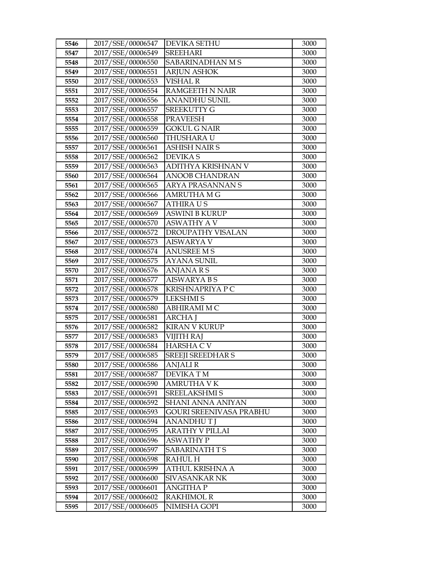| 5546 | 2017/SSE/00006547 | DEVIKA SETHU             | 3000 |
|------|-------------------|--------------------------|------|
| 5547 | 2017/SSE/00006549 | <b>SREEHARI</b>          | 3000 |
| 5548 | 2017/SSE/00006550 | SABARINADHAN M S         | 3000 |
| 5549 | 2017/SSE/00006551 | <b>ARJUN ASHOK</b>       | 3000 |
| 5550 | 2017/SSE/00006553 | <b>VISHAL R</b>          | 3000 |
| 5551 | 2017/SSE/00006554 | <b>RAMGEETH N NAIR</b>   | 3000 |
| 5552 | 2017/SSE/00006556 | <b>ANANDHU SUNIL</b>     | 3000 |
| 5553 | 2017/SSE/00006557 | <b>SREEKUTTY G</b>       | 3000 |
| 5554 | 2017/SSE/00006558 | <b>PRAVEESH</b>          | 3000 |
| 5555 | 2017/SSE/00006559 | <b>GOKUL G NAIR</b>      | 3000 |
| 5556 | 2017/SSE/00006560 | THUSHARA U               | 3000 |
| 5557 | 2017/SSE/00006561 | <b>ASHISH NAIR S</b>     | 3000 |
| 5558 | 2017/SSE/00006562 | <b>DEVIKAS</b>           | 3000 |
| 5559 | 2017/SSE/00006563 | ADITHYA KRISHNAN V       | 3000 |
| 5560 | 2017/SSE/00006564 | ANOOB CHANDRAN           | 3000 |
| 5561 | 2017/SSE/00006565 | <b>ARYA PRASANNAN S</b>  | 3000 |
| 5562 | 2017/SSE/00006566 | AMRUTHA M G              | 3000 |
| 5563 | 2017/SSE/00006567 | <b>ATHIRAUS</b>          | 3000 |
| 5564 | 2017/SSE/00006569 | <b>ASWINI B KURUP</b>    | 3000 |
| 5565 | 2017/SSE/00006570 | <b>ASWATHY A V</b>       | 3000 |
| 5566 | 2017/SSE/00006572 | DROUPATHY VISALAN        | 3000 |
| 5567 | 2017/SSE/00006573 | AISWARYA V               | 3000 |
| 5568 | 2017/SSE/00006574 | <b>ANUSREE M S</b>       | 3000 |
| 5569 | 2017/SSE/00006575 | <b>AYANA SUNIL</b>       | 3000 |
| 5570 | 2017/SSE/00006576 | ANJANA R S               | 3000 |
| 5571 | 2017/SSE/00006577 | <b>AISWARYA B S</b>      | 3000 |
| 5572 | 2017/SSE/00006578 | KRISHNAPRIYA P C         | 3000 |
| 5573 | 2017/SSE/00006579 | <b>LEKSHMIS</b>          | 3000 |
| 5574 | 2017/SSE/00006580 | <b>ABHIRAMI M C</b>      | 3000 |
| 5575 | 2017/SSE/00006581 | <b>ARCHA J</b>           | 3000 |
| 5576 | 2017/SSE/00006582 | <b>KIRAN V KURUP</b>     | 3000 |
| 5577 | 2017/SSE/00006583 | VIJITH RAJ               | 3000 |
| 5578 | 2017/SSE/00006584 | <b>HARSHA C V</b>        | 3000 |
| 5579 | 2017/SSE/00006585 | <b>SREEJI SREEDHAR S</b> | 3000 |
| 5580 | 2017/SSE/00006586 | <b>ANJALIR</b>           | 3000 |
| 5581 | 2017/SSE/00006587 | <b>DEVIKATM</b>          | 3000 |
| 5582 | 2017/SSE/00006590 | <b>AMRUTHA V K</b>       | 3000 |
| 5583 | 2017/SSE/00006591 | SREELAKSHMI S            | 3000 |
| 5584 | 2017/SSE/00006592 | SHANI ANNA ANIYAN        | 3000 |
| 5585 | 2017/SSE/00006593 | GOURI SREENIVASA PRABHU  | 3000 |
| 5586 | 2017/SSE/00006594 | ANANDHU T J              | 3000 |
| 5587 | 2017/SSE/00006595 | ARATHY V PILLAI          | 3000 |
| 5588 | 2017/SSE/00006596 | <b>ASWATHY P</b>         | 3000 |
| 5589 | 2017/SSE/00006597 | SABARINATH T S           | 3000 |
| 5590 | 2017/SSE/00006598 | <b>RAHUL H</b>           | 3000 |
| 5591 | 2017/SSE/00006599 | ATHUL KRISHNA A          | 3000 |
| 5592 | 2017/SSE/00006600 | SIVASANKAR NK            | 3000 |
| 5593 | 2017/SSE/00006601 | <b>ANGITHA P</b>         | 3000 |
| 5594 | 2017/SSE/00006602 | <b>RAKHIMOL R</b>        | 3000 |
| 5595 | 2017/SSE/00006605 | NIMISHA GOPI             | 3000 |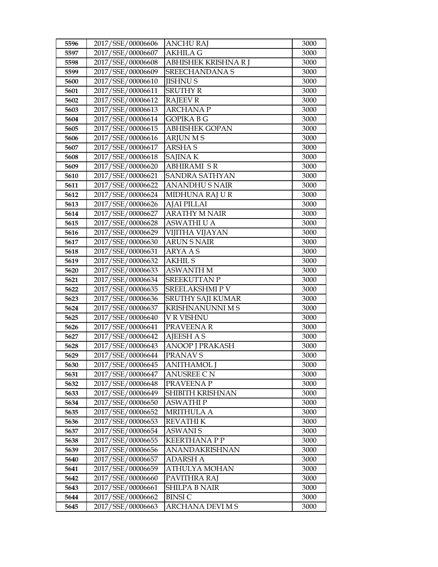| 5596 | 2017/SSE/00006606 | <b>ANCHU RAJ</b>        | 3000 |
|------|-------------------|-------------------------|------|
| 5597 | 2017/SSE/00006607 | <b>AKHILA G</b>         | 3000 |
| 5598 | 2017/SSE/00006608 | ABHISHEK KRISHNA R J    | 3000 |
| 5599 | 2017/SSE/00006609 | <b>SREECHANDANA S</b>   | 3000 |
| 5600 | 2017/SSE/00006610 | <b>JISHNUS</b>          | 3000 |
| 5601 | 2017/SSE/00006611 | <b>SRUTHY R</b>         | 3000 |
| 5602 | 2017/SSE/00006612 | <b>RAJEEV R</b>         | 3000 |
| 5603 | 2017/SSE/00006613 | <b>ARCHANAP</b>         | 3000 |
| 5604 | 2017/SSE/00006614 | <b>GOPIKA B G</b>       | 3000 |
| 5605 | 2017/SSE/00006615 | <b>ABHISHEK GOPAN</b>   | 3000 |
| 5606 | 2017/SSE/00006616 | <b>ARJUN M S</b>        | 3000 |
| 5607 | 2017/SSE/00006617 | <b>ARSHAS</b>           | 3000 |
| 5608 | 2017/SSE/00006618 | <b>SAJINAK</b>          | 3000 |
| 5609 | 2017/SSE/00006620 | <b>ABHIRAMI SR</b>      | 3000 |
| 5610 | 2017/SSE/00006621 | <b>SANDRA SATHYAN</b>   | 3000 |
| 5611 | 2017/SSE/00006622 | <b>ANANDHUS NAIR</b>    | 3000 |
| 5612 | 2017/SSE/00006624 | MIDHUNA RAJ U R         | 3000 |
| 5613 | 2017/SSE/00006626 | <b>AJAI PILLAI</b>      | 3000 |
| 5614 | 2017/SSE/00006627 | <b>ARATHY M NAIR</b>    | 3000 |
| 5615 | 2017/SSE/00006628 | <b>ASWATHI U A</b>      | 3000 |
| 5616 | 2017/SSE/00006629 | VIJITHA VIJAYAN         | 3000 |
| 5617 | 2017/SSE/00006630 | <b>ARUN S NAIR</b>      | 3000 |
| 5618 | 2017/SSE/00006631 | <b>ARYAAS</b>           | 3000 |
| 5619 | 2017/SSE/00006632 | <b>AKHIL S</b>          | 3000 |
| 5620 | 2017/SSE/00006633 | <b>ASWANTH M</b>        | 3000 |
| 5621 | 2017/SSE/00006634 | <b>SREEKUTTAN P</b>     | 3000 |
| 5622 | 2017/SSE/00006635 | SREELAKSHMIP V          | 3000 |
| 5623 | 2017/SSE/00006636 | SRUTHY SAJI KUMAR       | 3000 |
| 5624 | 2017/SSE/00006637 | <b>KRISHNANUNNI M S</b> | 3000 |
| 5625 | 2017/SSE/00006640 | V R VISHNU              | 3000 |
| 5626 | 2017/SSE/00006641 | PRAVEENAR               | 3000 |
| 5627 | 2017/SSE/00006642 | <b>AJEESH A S</b>       | 3000 |
| 5628 | 2017/SSE/00006643 | <b>ANOOP J PRAKASH</b>  | 3000 |
| 5629 | 2017/SSE/00006644 | PRANAV S                | 3000 |
| 5630 | 2017/SSE/00006645 | ANITHAMOL J             | 3000 |
| 5631 | 2017/SSE/00006647 | <b>ANUSREE CN</b>       | 3000 |
| 5632 | 2017/SSE/00006648 | PRAVEENA P              | 3000 |
| 5633 | 2017/SSE/00006649 | SHIBITH KRISHNAN        | 3000 |
| 5634 | 2017/SSE/00006650 | <b>ASWATHIP</b>         | 3000 |
| 5635 | 2017/SSE/00006652 | <b>MRITHULA A</b>       | 3000 |
| 5636 | 2017/SSE/00006653 | <b>REVATHIK</b>         | 3000 |
| 5637 | 2017/SSE/00006654 | <b>ASWANIS</b>          | 3000 |
| 5638 | 2017/SSE/00006655 | <b>KEERTHANAPP</b>      | 3000 |
| 5639 | 2017/SSE/00006656 | <b>ANANDAKRISHNAN</b>   | 3000 |
| 5640 | 2017/SSE/00006657 | <b>ADARSH A</b>         | 3000 |
| 5641 | 2017/SSE/00006659 | ATHULYA MOHAN           | 3000 |
| 5642 | 2017/SSE/00006660 | PAVITHRA RAJ            | 3000 |
| 5643 | 2017/SSE/00006661 | <b>SHILPA B NAIR</b>    | 3000 |
| 5644 | 2017/SSE/00006662 | <b>BINSIC</b>           | 3000 |
| 5645 | 2017/SSE/00006663 | ARCHANA DEVI M S        | 3000 |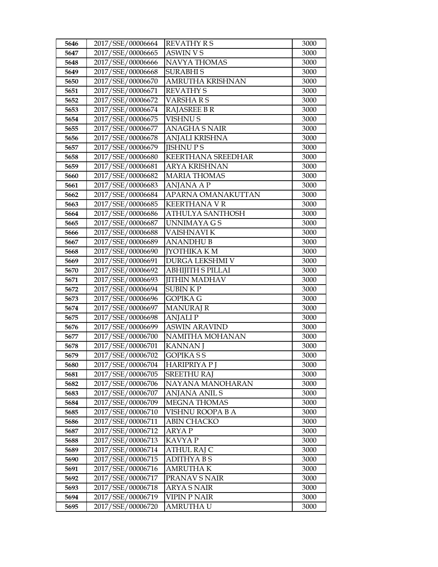| 5646 | 2017/SSE/00006664 | <b>REVATHY RS</b>       | 3000 |
|------|-------------------|-------------------------|------|
| 5647 | 2017/SSE/00006665 | <b>ASWIN VS</b>         | 3000 |
| 5648 | 2017/SSE/00006666 | <b>NAVYA THOMAS</b>     | 3000 |
| 5649 | 2017/SSE/00006668 | <b>SURABHIS</b>         | 3000 |
| 5650 | 2017/SSE/00006670 | <b>AMRUTHA KRISHNAN</b> | 3000 |
| 5651 | 2017/SSE/00006671 | <b>REVATHY S</b>        | 3000 |
| 5652 | 2017/SSE/00006672 | VARSHARS                | 3000 |
| 5653 | 2017/SSE/00006674 | <b>RAJASREE B R</b>     | 3000 |
| 5654 | 2017/SSE/00006675 | <b>VISHNUS</b>          | 3000 |
| 5655 | 2017/SSE/00006677 | <b>ANAGHA S NAIR</b>    | 3000 |
| 5656 | 2017/SSE/00006678 | ANJALI KRISHNA          | 3000 |
| 5657 | 2017/SSE/00006679 | <b>JISHNUPS</b>         | 3000 |
| 5658 | 2017/SSE/00006680 | KEERTHANA SREEDHAR      | 3000 |
| 5659 | 2017/SSE/00006681 | <b>ARYA KRISHNAN</b>    | 3000 |
| 5660 | 2017/SSE/00006682 | <b>MARIA THOMAS</b>     | 3000 |
| 5661 | 2017/SSE/00006683 | ANJANA A P              | 3000 |
| 5662 | 2017/SSE/00006684 | APARNA OMANAKUTTAN      | 3000 |
| 5663 | 2017/SSE/00006685 | <b>KEERTHANA V R</b>    | 3000 |
| 5664 | 2017/SSE/00006686 | <b>ATHULYA SANTHOSH</b> | 3000 |
| 5665 | 2017/SSE/00006687 | <b>UNNIMAYA GS</b>      | 3000 |
| 5666 | 2017/SSE/00006688 | VAISHNAVI K             | 3000 |
| 5667 | 2017/SSE/00006689 | <b>ANANDHUB</b>         | 3000 |
| 5668 | 2017/SSE/00006690 | <b>[YOTHIKA K M</b>     | 3000 |
| 5669 | 2017/SSE/00006691 | DURGA LEKSHMI V         | 3000 |
| 5670 | 2017/SSE/00006692 | ABHIJITH S PILLAI       | 3000 |
| 5671 | 2017/SSE/00006693 | <b>JITHIN MADHAV</b>    | 3000 |
| 5672 | 2017/SSE/00006694 | <b>SUBINKP</b>          | 3000 |
| 5673 | 2017/SSE/00006696 | <b>GOPIKA G</b>         | 3000 |
| 5674 | 2017/SSE/00006697 | <b>MANURAJ R</b>        | 3000 |
| 5675 | 2017/SSE/00006698 | <b>ANJALIP</b>          | 3000 |
| 5676 | 2017/SSE/00006699 | <b>ASWIN ARAVIND</b>    | 3000 |
| 5677 | 2017/SSE/00006700 | NAMITHA MOHANAN         | 3000 |
| 5678 | 2017/SSE/00006701 | <b>KANNAN</b> J         | 3000 |
| 5679 | 2017/SSE/00006702 | GOPIKA S S              | 3000 |
| 5680 | 2017/SSE/00006704 | <b>HARIPRIYA P J</b>    | 3000 |
| 5681 | 2017/SSE/00006705 | <b>SREETHU RAJ</b>      | 3000 |
| 5682 | 2017/SSE/00006706 | NAYANA MANOHARAN        | 3000 |
| 5683 | 2017/SSE/00006707 | <b>ANJANA ANIL S</b>    | 3000 |
| 5684 | 2017/SSE/00006709 | <b>MEGNA THOMAS</b>     | 3000 |
| 5685 | 2017/SSE/00006710 | VISHNU ROOPA B A        | 3000 |
| 5686 | 2017/SSE/00006711 | <b>ABIN CHACKO</b>      | 3000 |
| 5687 | 2017/SSE/00006712 | <b>ARYAP</b>            | 3000 |
| 5688 | 2017/SSE/00006713 | <b>KAVYAP</b>           | 3000 |
| 5689 | 2017/SSE/00006714 | <b>ATHUL RAJ C</b>      | 3000 |
| 5690 | 2017/SSE/00006715 | <b>ADITHYABS</b>        | 3000 |
| 5691 | 2017/SSE/00006716 | <b>AMRUTHAK</b>         | 3000 |
| 5692 | 2017/SSE/00006717 | PRANAV S NAIR           | 3000 |
| 5693 | 2017/SSE/00006718 | <b>ARYA S NAIR</b>      | 3000 |
| 5694 | 2017/SSE/00006719 | VIPIN P NAIR            | 3000 |
| 5695 | 2017/SSE/00006720 | AMRUTHA U               | 3000 |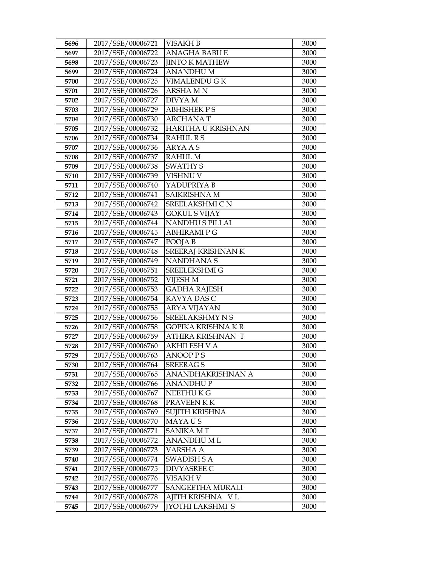| 5696 | 2017/SSE/00006721 | <b>VISAKH B</b>           | 3000 |
|------|-------------------|---------------------------|------|
| 5697 | 2017/SSE/00006722 | ANAGHA BABU E             | 3000 |
| 5698 | 2017/SSE/00006723 | <b>JINTO K MATHEW</b>     | 3000 |
| 5699 | 2017/SSE/00006724 | <b>ANANDHUM</b>           | 3000 |
| 5700 | 2017/SSE/00006725 | VIMALENDU G K             | 3000 |
| 5701 | 2017/SSE/00006726 | ARSHA M N                 | 3000 |
| 5702 | 2017/SSE/00006727 | DIVYA M                   | 3000 |
| 5703 | 2017/SSE/00006729 | <b>ABHISHEK PS</b>        | 3000 |
| 5704 | 2017/SSE/00006730 | <b>ARCHANAT</b>           | 3000 |
| 5705 | 2017/SSE/00006732 | <b>HARITHA U KRISHNAN</b> | 3000 |
| 5706 | 2017/SSE/00006734 | <b>RAHUL R S</b>          | 3000 |
| 5707 | 2017/SSE/00006736 | <b>ARYA A S</b>           | 3000 |
| 5708 | 2017/SSE/00006737 | <b>RAHUL M</b>            | 3000 |
| 5709 | 2017/SSE/00006738 | <b>SWATHY S</b>           | 3000 |
| 5710 | 2017/SSE/00006739 | VISHNU V                  | 3000 |
| 5711 | 2017/SSE/00006740 | YADUPRIYA B               | 3000 |
| 5712 | 2017/SSE/00006741 | <b>SAIKRISHNA M</b>       | 3000 |
| 5713 | 2017/SSE/00006742 | SREELAKSHMI CN            | 3000 |
| 5714 | 2017/SSE/00006743 | <b>GOKUL S VIJAY</b>      | 3000 |
| 5715 | 2017/SSE/00006744 | NANDHU S PILLAI           | 3000 |
| 5716 | 2017/SSE/00006745 | ABHIRAMI P G              | 3000 |
| 5717 | 2017/SSE/00006747 | POOJA B                   | 3000 |
| 5718 | 2017/SSE/00006748 | SREERAJ KRISHNAN K        | 3000 |
| 5719 | 2017/SSE/00006749 | NANDHANA S                | 3000 |
| 5720 | 2017/SSE/00006751 | SREELEKSHMI G             | 3000 |
| 5721 | 2017/SSE/00006752 | VIJESH M                  | 3000 |
| 5722 | 2017/SSE/00006753 | <b>GADHA RAJESH</b>       | 3000 |
| 5723 | 2017/SSE/00006754 | KAVYA DAS C               | 3000 |
| 5724 | 2017/SSE/00006755 | <b>ARYA VIJAYAN</b>       | 3000 |
| 5725 | 2017/SSE/00006756 | <b>SREELAKSHMY N S</b>    | 3000 |
| 5726 | 2017/SSE/00006758 | GOPIKA KRISHNA K R        | 3000 |
| 5727 | 2017/SSE/00006759 | ATHIRA KRISHNAN T         | 3000 |
| 5728 | 2017/SSE/00006760 | <b>AKHILESH V A</b>       | 3000 |
| 5729 | 2017/SSE/00006763 | <b>ANOOP PS</b>           | 3000 |
| 5730 | 2017/SSE/00006764 | <b>SREERAGS</b>           | 3000 |
| 5731 | 2017/SSE/00006765 | ANANDHAKRISHNAN A         | 3000 |
| 5732 | 2017/SSE/00006766 | ANANDHU P                 | 3000 |
| 5733 | 2017/SSE/00006767 | NEETHU K G                | 3000 |
| 5734 | 2017/SSE/00006768 | PRAVEEN KK                | 3000 |
| 5735 | 2017/SSE/00006769 | SUJITH KRISHNA            | 3000 |
| 5736 | 2017/SSE/00006770 | MAYA U S                  | 3000 |
| 5737 | 2017/SSE/00006771 | <b>SANIKA MT</b>          | 3000 |
| 5738 | 2017/SSE/00006772 | <b>ANANDHUML</b>          | 3000 |
| 5739 | 2017/SSE/00006773 | VARSHA A                  | 3000 |
| 5740 | 2017/SSE/00006774 | SWADISH S A               | 3000 |
| 5741 | 2017/SSE/00006775 | DIVYASREE C               | 3000 |
| 5742 | 2017/SSE/00006776 | VISAKH V                  | 3000 |
| 5743 | 2017/SSE/00006777 | SANGEETHA MURALI          | 3000 |
| 5744 | 2017/SSE/00006778 | AJITH KRISHNA VL          | 3000 |
| 5745 | 2017/SSE/00006779 | <b>JYOTHI LAKSHMI S</b>   | 3000 |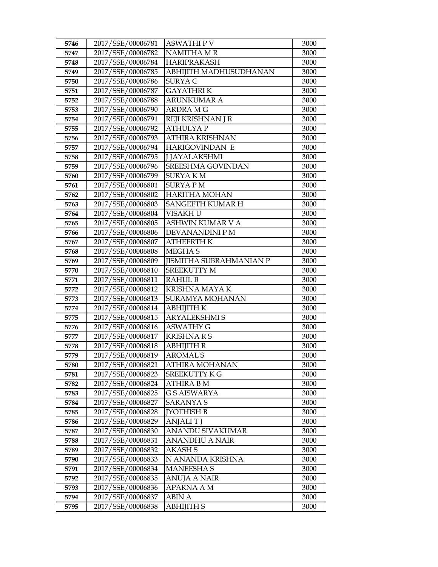| 5746         | 2017/SSE/00006781                      | ASWATHI P V                       | 3000         |
|--------------|----------------------------------------|-----------------------------------|--------------|
| 5747         | 2017/SSE/00006782                      | <b>NAMITHA MR</b>                 | 3000         |
| 5748         | 2017/SSE/00006784                      | <b>HARIPRAKASH</b>                | 3000         |
| 5749         | 2017/SSE/00006785                      | ABHIJITH MADHUSUDHANAN            | 3000         |
| 5750         | 2017/SSE/00006786                      | SURYA C                           | 3000         |
| 5751         | 2017/SSE/00006787                      | <b>GAYATHRIK</b>                  | 3000         |
| 5752         | 2017/SSE/00006788                      | <b>ARUNKUMAR A</b>                | 3000         |
| 5753         | 2017/SSE/00006790                      | <b>ARDRA MG</b>                   | 3000         |
| 5754         | 2017/SSE/00006791                      | REJI KRISHNAN J R                 | 3000         |
| 5755         | 2017/SSE/00006792                      | <b>ATHULYAP</b>                   | 3000         |
| 5756         | 2017/SSE/00006793                      | ATHIRA KRISHNAN                   | 3000         |
| 5757         | 2017/SSE/00006794                      | HARIGOVINDAN E                    | 3000         |
| 5758         | 2017/SSE/00006795                      | <b>J JAYALAKSHMI</b>              | 3000         |
| 5759         | 2017/SSE/00006796                      | SREESHMA GOVINDAN                 | 3000         |
| 5760         | 2017/SSE/00006799                      | <b>SURYAKM</b>                    | 3000         |
| 5761         | 2017/SSE/00006801                      | <b>SURYAPM</b>                    | 3000         |
| 5762         | 2017/SSE/00006802                      | <b>HARITHA MOHAN</b>              | 3000         |
| 5763         | 2017/SSE/00006803                      | <b>SANGEETH KUMAR H</b>           | 3000         |
| 5764         | 2017/SSE/00006804                      | VISAKH U                          | 3000         |
| 5765         | 2017/SSE/00006805                      | ASHWIN KUMAR V A                  | 3000         |
| 5766         | 2017/SSE/00006806                      | DEVANANDINI P M                   | 3000         |
| 5767         | 2017/SSE/00006807                      | <b>ATHEERTH K</b>                 | 3000         |
| 5768         | 2017/SSE/00006808                      | <b>MEGHAS</b>                     | 3000         |
| 5769         | 2017/SSE/00006809                      | <b>JISMITHA SUBRAHMANIAN P</b>    | 3000         |
| 5770         | 2017/SSE/00006810                      | <b>SREEKUTTY M</b>                | 3000         |
| 5771         | 2017/SSE/00006811                      | <b>RAHUL B</b>                    | 3000         |
| 5772         | 2017/SSE/00006812                      | KRISHNA MAYA K                    | 3000         |
| 5773         | 2017/SSE/00006813                      | SURAMYA MOHANAN                   | 3000         |
| 5774         | 2017/SSE/00006814                      | АВНІЈІТН К                        | 3000         |
| 5775         | 2017/SSE/00006815                      | <b>ARYALEKSHMI S</b>              | 3000         |
| 5776         | 2017/SSE/00006816                      | <b>ASWATHY G</b>                  | 3000         |
| 5777         | 2017/SSE/00006817                      | <b>KRISHNARS</b>                  | 3000         |
| 5778         | 2017/SSE/00006818                      | <b>ABHIJITH R</b>                 | 3000         |
| 5779         | 2017/SSE/00006819                      | <b>AROMAL S</b>                   | 3000         |
| 5780         | 2017/SSE/00006821                      | ATHIRA MOHANAN                    | 3000         |
| 5781         | 2017/SSE/00006823                      | SREEKUTTY K G                     | 3000         |
| 5782<br>5783 | 2017/SSE/00006824<br>2017/SSE/00006825 | ATHIRA B M<br><b>G S AISWARYA</b> | 3000<br>3000 |
| 5784         | 2017/SSE/00006827                      | <b>SARANYAS</b>                   | 3000         |
| 5785         | 2017/SSE/00006828                      | <b>JYOTHISH B</b>                 | 3000         |
| 5786         | 2017/SSE/00006829                      | ANJALI T J                        | 3000         |
| 5787         | 2017/SSE/00006830                      | <b>ANANDU SIVAKUMAR</b>           | 3000         |
| 5788         | 2017/SSE/00006831                      | <b>ANANDHU A NAIR</b>             | 3000         |
| 5789         | 2017/SSE/00006832                      | <b>AKASH S</b>                    | 3000         |
| 5790         | 2017/SSE/00006833                      | N ANANDA KRISHNA                  | 3000         |
| 5791         | 2017/SSE/00006834                      | MANEESHA S                        | 3000         |
| 5792         | 2017/SSE/00006835                      | ANUJA A NAIR                      | 3000         |
| 5793         | 2017/SSE/00006836                      | <b>APARNA A M</b>                 | 3000         |
| 5794         | 2017/SSE/00006837                      | ABIN A                            | 3000         |
| 5795         | 2017/SSE/00006838                      | ABHIJITH S                        | 3000         |
|              |                                        |                                   |              |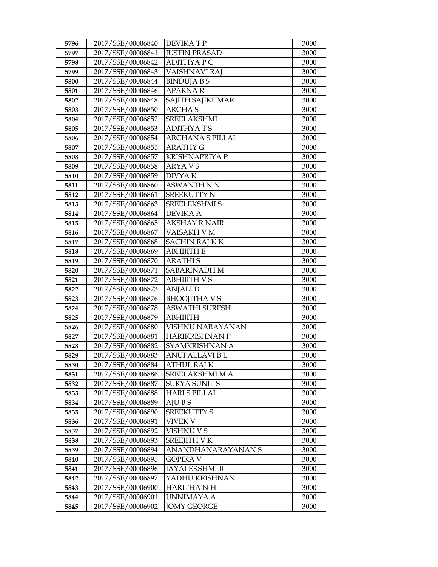| 5796         | 2017/SSE/00006840                      | <b>DEVIKATP</b>                        | 3000         |
|--------------|----------------------------------------|----------------------------------------|--------------|
| 5797         | 2017/SSE/00006841                      | <b>JUSTIN PRASAD</b>                   | 3000         |
| 5798         | 2017/SSE/00006842                      | <b>ADITHYAPC</b>                       | 3000         |
| 5799         | 2017/SSE/00006843                      | VAISHNAVI RAJ                          | 3000         |
| 5800         | 2017/SSE/00006844                      | <b>BINDUJA B S</b>                     | 3000         |
| 5801         | 2017/SSE/00006846                      | <b>APARNAR</b>                         | 3000         |
| 5802         | 2017/SSE/00006848                      | SAJITH SAJIKUMAR                       | 3000         |
| 5803         | 2017/SSE/00006850                      | <b>ARCHAS</b>                          | 3000         |
| 5804         | 2017/SSE/00006852                      | <b>SREELAKSHMI</b>                     | 3000         |
| 5805         | 2017/SSE/00006853                      | <b>ADITHYATS</b>                       | 3000         |
| 5806         | 2017/SSE/00006854                      | <b>ARCHANA S PILLAI</b>                | 3000         |
| 5807         | 2017/SSE/00006855                      | <b>ARATHY G</b>                        | 3000         |
| 5808         | 2017/SSE/00006857                      | <b>KRISHNAPRIYA P</b>                  | 3000         |
| 5809         | 2017/SSE/00006858                      | <b>ARYAVS</b>                          | 3000         |
| 5810         | 2017/SSE/00006859                      | <b>DIVYAK</b>                          | 3000         |
| 5811         | 2017/SSE/00006860                      | <b>ASWANTH N N</b>                     | 3000         |
| 5812         | 2017/SSE/00006861                      | <b>SREEKUTTY N</b>                     | 3000         |
| 5813         | 2017/SSE/00006863                      | <b>SREELEKSHMI S</b>                   | 3000         |
| 5814         | 2017/SSE/00006864                      | <b>DEVIKA A</b>                        | 3000         |
| 5815         | 2017/SSE/00006865                      | <b>AKSHAY R NAIR</b>                   | 3000         |
| 5816         | 2017/SSE/00006867                      | VAISAKH V M                            | 3000         |
| 5817         | 2017/SSE/00006868                      | <b>SACHIN RAJ K K</b>                  | 3000         |
| 5818         | 2017/SSE/00006869                      | АВНІЈІТН Е                             | 3000         |
| 5819         | 2017/SSE/00006870                      | <b>ARATHIS</b>                         | 3000         |
| 5820         | 2017/SSE/00006871                      | <b>SABARINADH M</b>                    | 3000         |
| 5821         | 2017/SSE/00006872                      | <b>ABHIJITH V S</b>                    | 3000         |
| 5822         | 2017/SSE/00006873                      | <b>ANJALID</b>                         | 3000         |
| 5823         | 2017/SSE/00006876                      | <b>BHOOJITHA V S</b>                   | 3000         |
| 5824         | 2017/SSE/00006878                      | <b>ASWATHI SURESH</b>                  | 3000         |
| 5825         | 2017/SSE/00006879                      | <b>ABHIJITH</b>                        | 3000         |
| 5826         | 2017/SSE/00006880                      | VISHNU NARAYANAN                       | 3000         |
| 5827         | 2017/SSE/00006881                      | <b>HARIKRISHNAN P</b>                  | 3000         |
| 5828         | 2017/SSE/00006882<br>2017/SSE/00006883 | SYAMKRISHNAN A<br><b>ANUPALLAVI BL</b> | 3000         |
| 5829         |                                        |                                        | 3000         |
| 5830<br>5831 | 2017/SSE/00006884<br>2017/SSE/00006886 | ATHUL RAJ K<br>SREELAKSHMI M A         | 3000<br>3000 |
| 5832         | 2017/SSE/00006887                      | <b>SURYA SUNIL S</b>                   | 3000         |
| 5833         | 2017/SSE/00006888                      | <b>HARI S PILLAI</b>                   | 3000         |
| 5834         | 2017/SSE/00006889                      | AJU B S                                | 3000         |
| 5835         | 2017/SSE/00006890                      | <b>SREEKUTTY S</b>                     | 3000         |
| 5836         | 2017/SSE/00006891                      | <b>VIVEK V</b>                         | 3000         |
| 5837         | 2017/SSE/00006892                      | VISHNU V S                             | 3000         |
| 5838         | 2017/SSE/00006893                      | <b>SREEJITH V K</b>                    | 3000         |
| 5839         | 2017/SSE/00006894                      | ANANDHANARAYANAN S                     | 3000         |
| 5840         | 2017/SSE/00006895                      | <b>GOPIKA V</b>                        | 3000         |
| 5841         | 2017/SSE/00006896                      | <b>JAYALEKSHMI B</b>                   | 3000         |
| 5842         | 2017/SSE/00006897                      | YADHU KRISHNAN                         | 3000         |
| 5843         | 2017/SSE/00006900                      | <b>HARITHA N H</b>                     | 3000         |
| 5844         | 2017/SSE/00006901                      | UNNIMAYA A                             | 3000         |
| 5845         | 2017/SSE/00006902                      | <b>JOMY GEORGE</b>                     | 3000         |
|              |                                        |                                        |              |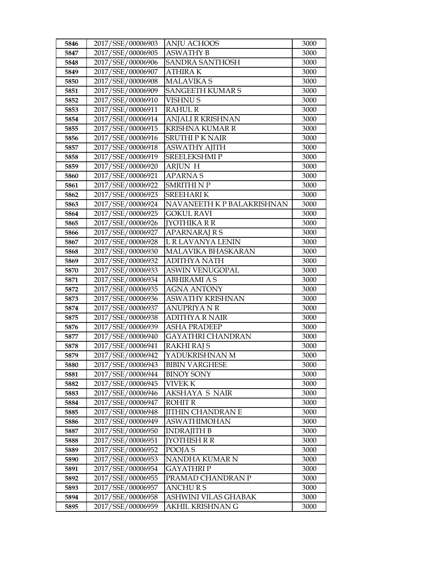| 5846 | 2017/SSE/00006903 | <b>ANJU ACHOOS</b>         | 3000 |
|------|-------------------|----------------------------|------|
| 5847 | 2017/SSE/00006905 | <b>ASWATHY B</b>           | 3000 |
| 5848 | 2017/SSE/00006906 | SANDRA SANTHOSH            | 3000 |
| 5849 | 2017/SSE/00006907 | <b>ATHIRAK</b>             | 3000 |
| 5850 | 2017/SSE/00006908 | <b>MALAVIKA S</b>          | 3000 |
| 5851 | 2017/SSE/00006909 | <b>SANGEETH KUMAR S</b>    | 3000 |
| 5852 | 2017/SSE/00006910 | VISHNU S                   | 3000 |
| 5853 | 2017/SSE/00006911 | <b>RAHUL R</b>             | 3000 |
| 5854 | 2017/SSE/00006914 | ANJALI R KRISHNAN          | 3000 |
| 5855 | 2017/SSE/00006915 | <b>KRISHNA KUMAR R</b>     | 3000 |
| 5856 | 2017/SSE/00006916 | <b>SRUTHI P K NAIR</b>     | 3000 |
| 5857 | 2017/SSE/00006918 | <b>ASWATHY AJITH</b>       | 3000 |
| 5858 | 2017/SSE/00006919 | SREELEKSHMIP               | 3000 |
| 5859 | 2017/SSE/00006920 | <b>ARJUN H</b>             | 3000 |
| 5860 | 2017/SSE/00006921 | <b>APARNAS</b>             | 3000 |
| 5861 | 2017/SSE/00006922 | <b>SMRITHI N P</b>         | 3000 |
| 5862 | 2017/SSE/00006923 | SREEHARI K                 | 3000 |
| 5863 | 2017/SSE/00006924 | NAVANEETH K P BALAKRISHNAN | 3000 |
| 5864 | 2017/SSE/00006925 | <b>GOKUL RAVI</b>          | 3000 |
| 5865 | 2017/SSE/00006926 | <b>[YOTHIKA R R</b>        | 3000 |
| 5866 | 2017/SSE/00006927 | APARNARAJ R S              | 3000 |
| 5867 | 2017/SSE/00006928 | L R LAVANYA LENIN          | 3000 |
| 5868 | 2017/SSE/00006930 | MALAVIKA BHASKARAN         | 3000 |
| 5869 | 2017/SSE/00006932 | <b>ADITHYA NATH</b>        | 3000 |
| 5870 | 2017/SSE/00006933 | ASWIN VENUGOPAL            | 3000 |
| 5871 | 2017/SSE/00006934 | <b>ABHIRAMI A S</b>        | 3000 |
| 5872 | 2017/SSE/00006935 | <b>AGNA ANTONY</b>         | 3000 |
| 5873 | 2017/SSE/00006936 | <b>ASWATHY KRISHNAN</b>    | 3000 |
| 5874 | 2017/SSE/00006937 | <b>ANUPRIYA N R</b>        | 3000 |
| 5875 | 2017/SSE/00006938 | <b>ADITHYA R NAIR</b>      | 3000 |
| 5876 | 2017/SSE/00006939 | <b>ASHA PRADEEP</b>        | 3000 |
| 5877 | 2017/SSE/00006940 | GAYATHRI CHANDRAN          | 3000 |
| 5878 | 2017/SSE/00006941 | <b>RAKHI RAJ S</b>         | 3000 |
| 5879 | 2017/SSE/00006942 | YADUKRISHNAN M             | 3000 |
| 5880 | 2017/SSE/00006943 | <b>BIBIN VARGHESE</b>      | 3000 |
| 5881 | 2017/SSE/00006944 | <b>BINOY SONY</b>          | 3000 |
| 5882 | 2017/SSE/00006945 | VIVEK K                    | 3000 |
| 5883 | 2017/SSE/00006946 | AKSHAYA S NAIR             | 3000 |
| 5884 | 2017/SSE/00006947 | <b>ROHIT R</b>             | 3000 |
| 5885 | 2017/SSE/00006948 | <b>JITHIN CHANDRAN E</b>   | 3000 |
| 5886 | 2017/SSE/00006949 | <b>ASWATHIMOHAN</b>        | 3000 |
| 5887 | 2017/SSE/00006950 | <b>INDRAJITH B</b>         | 3000 |
| 5888 | 2017/SSE/00006951 | <b>JYOTHISH R R</b>        | 3000 |
| 5889 | 2017/SSE/00006952 | POOJA S                    | 3000 |
| 5890 | 2017/SSE/00006953 | NANDHA KUMAR N             | 3000 |
| 5891 | 2017/SSE/00006954 | GAYATHRI P                 | 3000 |
| 5892 | 2017/SSE/00006955 | PRAMAD CHANDRAN P          | 3000 |
| 5893 | 2017/SSE/00006957 | <b>ANCHURS</b>             | 3000 |
| 5894 | 2017/SSE/00006958 | ASHWINI VILAS GHABAK       | 3000 |
| 5895 | 2017/SSE/00006959 | AKHIL KRISHNAN G           | 3000 |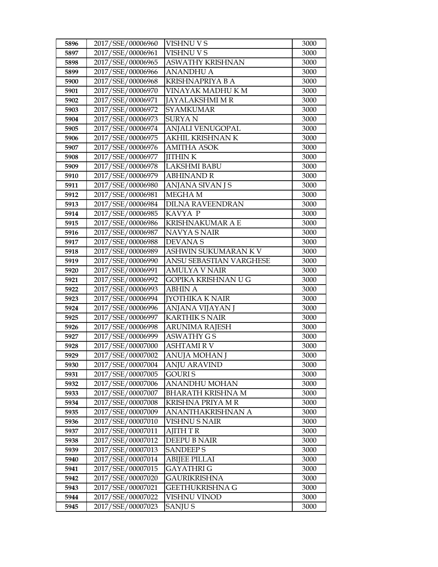| 5896         | 2017/SSE/00006960                      | <b>VISHNU V S</b>                    | 3000         |
|--------------|----------------------------------------|--------------------------------------|--------------|
| 5897         | 2017/SSE/00006961                      | <b>VISHNU V S</b>                    | 3000         |
| 5898         | 2017/SSE/00006965                      | ASWATHY KRISHNAN                     | 3000         |
| 5899         | 2017/SSE/00006966                      | <b>ANANDHU A</b>                     | 3000         |
| 5900         | 2017/SSE/00006968                      | KRISHNAPRIYA B A                     | 3000         |
| 5901         | 2017/SSE/00006970                      | VINAYAK MADHU K M                    | 3000         |
| 5902         | 2017/SSE/00006971                      | JAYALAKSHMI M R                      | 3000         |
| 5903         | 2017/SSE/00006972                      | <b>SYAMKUMAR</b>                     | 3000         |
| 5904         | 2017/SSE/00006973                      | <b>SURYAN</b>                        | 3000         |
| 5905         | 2017/SSE/00006974                      | ANJALI VENUGOPAL                     | 3000         |
| 5906         | 2017/SSE/00006975                      | AKHIL KRISHNAN K                     | 3000         |
| 5907         | 2017/SSE/00006976                      | <b>AMITHA ASOK</b>                   | 3000         |
| 5908         | 2017/SSE/00006977                      | <b>JITHINK</b>                       | 3000         |
| 5909         | 2017/SSE/00006978                      | <b>LAKSHMI BABU</b>                  | 3000         |
| 5910         | 2017/SSE/00006979                      | <b>ABHINAND R</b>                    | 3000         |
| 5911         | 2017/SSE/00006980                      | ANJANA SIVAN J S                     | 3000         |
| 5912         | 2017/SSE/00006981                      | <b>MEGHAM</b>                        | 3000         |
| 5913         | 2017/SSE/00006984                      | <b>DILNA RAVEENDRAN</b>              | 3000         |
| 5914         | 2017/SSE/00006985                      | KAVYA P                              | 3000         |
| 5915         | 2017/SSE/00006986                      | <b>KRISHNAKUMAR A E</b>              | 3000         |
| 5916         | 2017/SSE/00006987                      | <b>NAVYA S NAIR</b>                  | 3000         |
| 5917         | 2017/SSE/00006988                      | DEVANA S                             | 3000         |
| 5918         | 2017/SSE/00006989                      | ASHWIN SUKUMARAN KV                  | 3000         |
| 5919         | 2017/SSE/00006990                      | ANSU SEBASTIAN VARGHESE              | 3000         |
| 5920         | 2017/SSE/00006991                      | <b>AMULYA V NAIR</b>                 | 3000         |
| 5921         | 2017/SSE/00006992                      | GOPIKA KRISHNAN U G                  | 3000         |
| 5922         | 2017/SSE/00006993                      | <b>ABHIN A</b>                       | 3000         |
| 5923         | 2017/SSE/00006994                      | <b>[YOTHIKA K NAIR</b>               | 3000         |
| 5924         | 2017/SSE/00006996                      | ANJANA VIJAYAN J                     | 3000         |
| 5925         | 2017/SSE/00006997                      | <b>KARTHIK S NAIR</b>                | 3000         |
| 5926         | 2017/SSE/00006998                      | <b>ARUNIMA RAJESH</b>                | 3000         |
| 5927         | 2017/SSE/00006999                      | ASWATHY G S                          | 3000         |
| 5928         | 2017/SSE/00007000                      | <b>ASHTAMIRV</b>                     | 3000         |
| 5929         | 2017/SSE/00007002                      | ANUJA MOHAN J                        | 3000<br>3000 |
| 5930<br>5931 | 2017/SSE/00007004<br>2017/SSE/00007005 | <b>ANJU ARAVIND</b><br><b>GOURIS</b> | 3000         |
| 5932         | 2017/SSE/00007006                      | ANANDHU MOHAN                        | 3000         |
| 5933         | 2017/SSE/00007007                      | <b>BHARATH KRISHNA M</b>             | 3000         |
| 5934         | 2017/SSE/00007008                      | KRISHNA PRIYA M R                    | 3000         |
| 5935         | 2017/SSE/00007009                      | ANANTHAKRISHNAN A                    | 3000         |
| 5936         | 2017/SSE/00007010                      | <b>VISHNU S NAIR</b>                 | 3000         |
| 5937         | 2017/SSE/00007011                      | <b>AJITH T R</b>                     | 3000         |
| 5938         | 2017/SSE/00007012                      | DEEPU B NAIR                         | 3000         |
| 5939         | 2017/SSE/00007013                      | <b>SANDEEPS</b>                      | 3000         |
| 5940         | 2017/SSE/00007014                      | <b>ABIJEE PILLAI</b>                 | 3000         |
| 5941         | 2017/SSE/00007015                      | <b>GAYATHRI G</b>                    | 3000         |
| 5942         | 2017/SSE/00007020                      | GAURIKRISHNA                         | 3000         |
| 5943         | 2017/SSE/00007021                      | <b>GEETHUKRISHNA G</b>               | 3000         |
| 5944         | 2017/SSE/00007022                      | VISHNU VINOD                         | 3000         |
| 5945         | 2017/SSE/00007023                      | <b>SANJUS</b>                        | 3000         |
|              |                                        |                                      |              |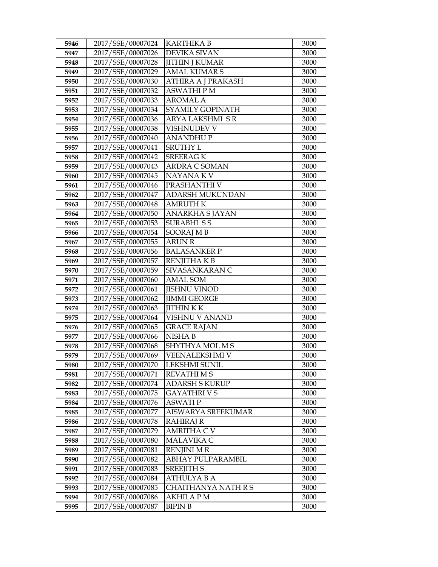| 5946 | 2017/SSE/00007024 | <b>KARTHIKA B</b>      | 3000 |
|------|-------------------|------------------------|------|
| 5947 | 2017/SSE/00007026 | <b>DEVIKA SIVAN</b>    | 3000 |
| 5948 | 2017/SSE/00007028 | <b>JITHIN J KUMAR</b>  | 3000 |
| 5949 | 2017/SSE/00007029 | <b>AMAL KUMAR S</b>    | 3000 |
| 5950 | 2017/SSE/00007030 | ATHIRA A J PRAKASH     | 3000 |
| 5951 | 2017/SSE/00007032 | <b>ASWATHIPM</b>       | 3000 |
| 5952 | 2017/SSE/00007033 | <b>AROMAL A</b>        | 3000 |
| 5953 | 2017/SSE/00007034 | SYAMILY GOPINATH       | 3000 |
| 5954 | 2017/SSE/00007036 | <b>ARYA LAKSHMI SR</b> | 3000 |
| 5955 | 2017/SSE/00007038 | VISHNUDEV V            | 3000 |
| 5956 | 2017/SSE/00007040 | <b>ANANDHUP</b>        | 3000 |
| 5957 | 2017/SSE/00007041 | <b>SRUTHY L</b>        | 3000 |
| 5958 | 2017/SSE/00007042 | <b>SREERAGK</b>        | 3000 |
| 5959 | 2017/SSE/00007043 | ARDRA C SOMAN          | 3000 |
| 5960 | 2017/SSE/00007045 | NAYANA KV              | 3000 |
| 5961 | 2017/SSE/00007046 | PRASHANTHI V           | 3000 |
| 5962 | 2017/SSE/00007047 | <b>ADARSH MUKUNDAN</b> | 3000 |
| 5963 | 2017/SSE/00007048 | <b>AMRUTH K</b>        | 3000 |
| 5964 | 2017/SSE/00007050 | ANARKHA SJAYAN         | 3000 |
| 5965 | 2017/SSE/00007053 | <b>SURABHI SS</b>      | 3000 |
| 5966 | 2017/SSE/00007054 | SOORAJ MB              | 3000 |
| 5967 | 2017/SSE/00007055 | <b>ARUN R</b>          | 3000 |
| 5968 | 2017/SSE/00007056 | <b>BALASANKER P</b>    | 3000 |
| 5969 | 2017/SSE/00007057 | <b>RENJITHAKB</b>      | 3000 |
| 5970 | 2017/SSE/00007059 | SIVASANKARAN C         | 3000 |
| 5971 | 2017/SSE/00007060 | <b>AMAL SOM</b>        | 3000 |
| 5972 | 2017/SSE/00007061 | <b>JISHNU VINOD</b>    | 3000 |
| 5973 | 2017/SSE/00007062 | <b>JIMMI GEORGE</b>    | 3000 |
| 5974 | 2017/SSE/00007063 | <b>JITHINKK</b>        | 3000 |
| 5975 | 2017/SSE/00007064 | VISHNU V ANAND         | 3000 |
| 5976 | 2017/SSE/00007065 | <b>GRACE RAJAN</b>     | 3000 |
| 5977 | 2017/SSE/00007066 | NISHA B                | 3000 |
| 5978 | 2017/SSE/00007068 | SHYTHYA MOL M S        | 3000 |
| 5979 | 2017/SSE/00007069 | VEENALEKSHMI V         | 3000 |
| 5980 | 2017/SSE/00007070 | LEKSHMI SUNIL          | 3000 |
| 5981 | 2017/SSE/00007071 | <b>REVATHI M S</b>     | 3000 |
| 5982 | 2017/SSE/00007074 | <b>ADARSH S KURUP</b>  | 3000 |
| 5983 | 2017/SSE/00007075 | <b>GAYATHRIVS</b>      | 3000 |
| 5984 | 2017/SSE/00007076 | <b>ASWATIP</b>         | 3000 |
| 5985 | 2017/SSE/00007077 | AISWARYA SREEKUMAR     | 3000 |
| 5986 | 2017/SSE/00007078 | RAHIRAJ R              | 3000 |
| 5987 | 2017/SSE/00007079 | <b>AMRITHA C V</b>     | 3000 |
| 5988 | 2017/SSE/00007080 | MALAVIKA C             | 3000 |
| 5989 | 2017/SSE/00007081 | <b>RENJINI M R</b>     | 3000 |
| 5990 | 2017/SSE/00007082 | ABHAY PULPARAMBIL      | 3000 |
| 5991 | 2017/SSE/00007083 | <b>SREEJITH S</b>      | 3000 |
| 5992 | 2017/SSE/00007084 | ATHULYA B A            | 3000 |
| 5993 | 2017/SSE/00007085 | CHAITHANYA NATH R S    | 3000 |
| 5994 | 2017/SSE/00007086 | AKHILA P M             | 3000 |
| 5995 | 2017/SSE/00007087 | <b>BIPIN B</b>         | 3000 |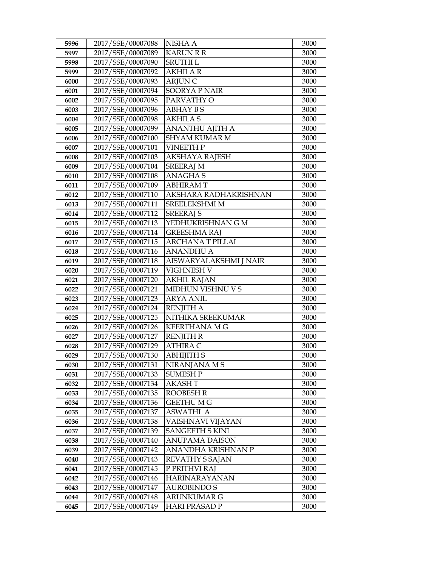| 5996 | 2017/SSE/00007088 | NISHA A                 | 3000 |
|------|-------------------|-------------------------|------|
| 5997 | 2017/SSE/00007089 | <b>KARUN R R</b>        | 3000 |
| 5998 | 2017/SSE/00007090 | <b>SRUTHIL</b>          | 3000 |
| 5999 | 2017/SSE/00007092 | <b>AKHILA R</b>         | 3000 |
| 6000 | 2017/SSE/00007093 | <b>ARJUN C</b>          | 3000 |
| 6001 | 2017/SSE/00007094 | <b>SOORYA P NAIR</b>    | 3000 |
| 6002 | 2017/SSE/00007095 | PARVATHY O              | 3000 |
| 6003 | 2017/SSE/00007096 | <b>ABHAY BS</b>         | 3000 |
| 6004 | 2017/SSE/00007098 | <b>AKHILAS</b>          | 3000 |
| 6005 | 2017/SSE/00007099 | <b>ANANTHU AJITH A</b>  | 3000 |
| 6006 | 2017/SSE/00007100 | <b>SHYAM KUMAR M</b>    | 3000 |
| 6007 | 2017/SSE/00007101 | <b>VINEETH P</b>        | 3000 |
| 6008 | 2017/SSE/00007103 | <b>AKSHAYA RAJESH</b>   | 3000 |
| 6009 | 2017/SSE/00007104 | <b>SREERAJ M</b>        | 3000 |
| 6010 | 2017/SSE/00007108 | <b>ANAGHAS</b>          | 3000 |
| 6011 | 2017/SSE/00007109 | <b>ABHIRAMT</b>         | 3000 |
| 6012 | 2017/SSE/00007110 | AKSHARA RADHAKRISHNAN   | 3000 |
| 6013 | 2017/SSE/00007111 | SREELEKSHMI M           | 3000 |
| 6014 | 2017/SSE/00007112 | <b>SREERAJ S</b>        | 3000 |
| 6015 | 2017/SSE/00007113 | YEDHUKRISHNAN G M       | 3000 |
| 6016 | 2017/SSE/00007114 | <b>GREESHMA RAJ</b>     | 3000 |
| 6017 | 2017/SSE/00007115 | <b>ARCHANA T PILLAI</b> | 3000 |
| 6018 | 2017/SSE/00007116 | <b>ANANDHU A</b>        | 3000 |
| 6019 | 2017/SSE/00007118 | AISWARYALAKSHMI J NAIR  | 3000 |
| 6020 | 2017/SSE/00007119 | <b>VIGHNESH V</b>       | 3000 |
| 6021 | 2017/SSE/00007120 | <b>AKHIL RAJAN</b>      | 3000 |
| 6022 | 2017/SSE/00007121 | MIDHUN VISHNU V S       | 3000 |
| 6023 | 2017/SSE/00007123 | <b>ARYA ANIL</b>        | 3000 |
| 6024 | 2017/SSE/00007124 | <b>RENJITH A</b>        | 3000 |
| 6025 | 2017/SSE/00007125 | NITHIKA SREEKUMAR       | 3000 |
| 6026 | 2017/SSE/00007126 | <b>KEERTHANA M G</b>    | 3000 |
| 6027 | 2017/SSE/00007127 | <b>RENJITH R</b>        | 3000 |
| 6028 | 2017/SSE/00007129 | <b>ATHIRA C</b>         | 3000 |
| 6029 | 2017/SSE/00007130 | <b>ABHIJITH S</b>       | 3000 |
| 6030 | 2017/SSE/00007131 | NIRANJANA M S           | 3000 |
| 6031 | 2017/SSE/00007133 | <b>SUMESH P</b>         | 3000 |
| 6032 | 2017/SSE/00007134 | <b>AKASHT</b>           | 3000 |
| 6033 | 2017/SSE/00007135 | <b>ROOBESH R</b>        | 3000 |
| 6034 | 2017/SSE/00007136 | <b>GEETHUMG</b>         | 3000 |
| 6035 | 2017/SSE/00007137 | <b>ASWATHI A</b>        | 3000 |
| 6036 | 2017/SSE/00007138 | VAISHNAVI VIJAYAN       | 3000 |
| 6037 | 2017/SSE/00007139 | <b>SANGEETH S KINI</b>  | 3000 |
| 6038 | 2017/SSE/00007140 | <b>ANUPAMA DAISON</b>   | 3000 |
| 6039 | 2017/SSE/00007142 | ANANDHA KRISHNAN P      | 3000 |
| 6040 | 2017/SSE/00007143 | <b>REVATHY S SAJAN</b>  | 3000 |
| 6041 | 2017/SSE/00007145 | P PRITHVI RAJ           | 3000 |
| 6042 | 2017/SSE/00007146 | <b>HARINARAYANAN</b>    | 3000 |
| 6043 | 2017/SSE/00007147 | <b>AUROBINDO S</b>      | 3000 |
| 6044 | 2017/SSE/00007148 | <b>ARUNKUMAR G</b>      | 3000 |
| 6045 | 2017/SSE/00007149 | <b>HARI PRASAD P</b>    | 3000 |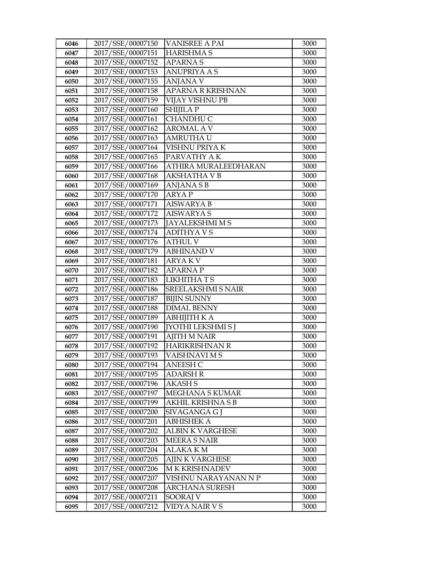| 6046 | 2017/SSE/00007150 | <b>VANISREE A PAI</b>     | 3000 |
|------|-------------------|---------------------------|------|
| 6047 | 2017/SSE/00007151 | <b>HARISHMA S</b>         | 3000 |
| 6048 | 2017/SSE/00007152 | <b>APARNAS</b>            | 3000 |
| 6049 | 2017/SSE/00007153 | <b>ANUPRIYA A S</b>       | 3000 |
| 6050 | 2017/SSE/00007155 | <b>ANJANA V</b>           | 3000 |
| 6051 | 2017/SSE/00007158 | APARNA R KRISHNAN         | 3000 |
| 6052 | 2017/SSE/00007159 | VIJAY VISHNU PB           | 3000 |
| 6053 | 2017/SSE/00007160 | <b>SHIJILA P</b>          | 3000 |
| 6054 | 2017/SSE/00007161 | <b>CHANDHU C</b>          | 3000 |
| 6055 | 2017/SSE/00007162 | <b>AROMAL A V</b>         | 3000 |
| 6056 | 2017/SSE/00007163 | AMRUTHA U                 | 3000 |
| 6057 | 2017/SSE/00007164 | VISHNU PRIYA K            | 3000 |
| 6058 | 2017/SSE/00007165 | PARVATHY A K              | 3000 |
| 6059 | 2017/SSE/00007166 | ATHIRA MURALEEDHARAN      | 3000 |
| 6060 | 2017/SSE/00007168 | <b>AKSHATHA V B</b>       | 3000 |
| 6061 | 2017/SSE/00007169 | ANJANA S B                | 3000 |
| 6062 | 2017/SSE/00007170 | <b>ARYAP</b>              | 3000 |
| 6063 | 2017/SSE/00007171 | <b>AISWARYA B</b>         | 3000 |
| 6064 | 2017/SSE/00007172 | <b>AISWARYA S</b>         | 3000 |
| 6065 | 2017/SSE/00007173 | <b>JAYALEKSHMI M S</b>    | 3000 |
| 6066 | 2017/SSE/00007174 | <b>ADITHYAVS</b>          | 3000 |
| 6067 | 2017/SSE/00007176 | <b>ATHUL V</b>            | 3000 |
| 6068 | 2017/SSE/00007179 | <b>ABHINAND V</b>         | 3000 |
| 6069 | 2017/SSE/00007181 | <b>ARYAKV</b>             | 3000 |
| 6070 | 2017/SSE/00007182 | <b>APARNAP</b>            | 3000 |
| 6071 | 2017/SSE/00007183 | LIKHITHATS                | 3000 |
| 6072 | 2017/SSE/00007186 | <b>SREELAKSHMI S NAIR</b> | 3000 |
| 6073 | 2017/SSE/00007187 | <b>BIJIN SUNNY</b>        | 3000 |
| 6074 | 2017/SSE/00007188 | <b>DIMAL BENNY</b>        | 3000 |
| 6075 | 2017/SSE/00007189 | <b>ABHIJITH KA</b>        | 3000 |
| 6076 | 2017/SSE/00007190 | <b>[YOTHI LEKSHMI S]</b>  | 3000 |
| 6077 | 2017/SSE/00007191 | <b>AJITH M NAIR</b>       | 3000 |
| 6078 | 2017/SSE/00007192 | HARIKRISHNAN R            | 3000 |
| 6079 | 2017/SSE/00007193 | VAISHNAVI M S             | 3000 |
| 6080 | 2017/SSE/00007194 | <b>ANEESH C</b>           | 3000 |
| 6081 | 2017/SSE/00007195 | ADARSH R                  | 3000 |
| 6082 | 2017/SSE/00007196 | <b>AKASH S</b>            | 3000 |
| 6083 | 2017/SSE/00007197 | MEGHANA S KUMAR           | 3000 |
| 6084 | 2017/SSE/00007199 | AKHIL KRISHNA S B         | 3000 |
| 6085 | 2017/SSE/00007200 | SIVAGANGA G J             | 3000 |
| 6086 | 2017/SSE/00007201 | ABHISHEK A                | 3000 |
| 6087 | 2017/SSE/00007202 | <b>ALBIN K VARGHESE</b>   | 3000 |
| 6088 | 2017/SSE/00007203 | <b>MEERA S NAIR</b>       | 3000 |
| 6089 | 2017/SSE/00007204 | ALAKA K M                 | 3000 |
| 6090 | 2017/SSE/00007205 | AJIN K VARGHESE           | 3000 |
| 6091 | 2017/SSE/00007206 | <b>MK KRISHNADEV</b>      | 3000 |
| 6092 | 2017/SSE/00007207 | VISHNU NARAYANAN N P      | 3000 |
| 6093 | 2017/SSE/00007208 | <b>ARCHANA SURESH</b>     | 3000 |
| 6094 | 2017/SSE/00007211 | SOORAJ V                  | 3000 |
| 6095 | 2017/SSE/00007212 | VIDYA NAIR V S            | 3000 |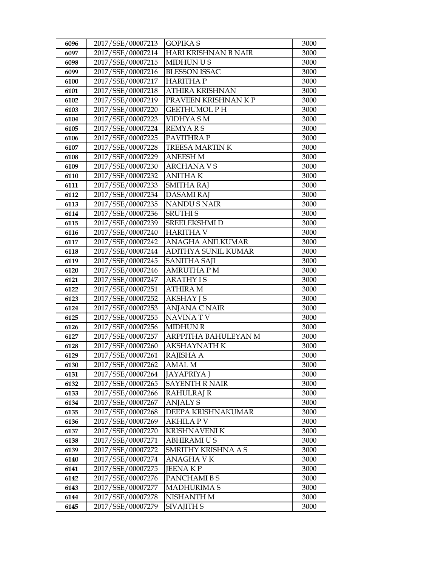| 6096         | 2017/SSE/00007213                      | <b>GOPIKA S</b>               | 3000         |
|--------------|----------------------------------------|-------------------------------|--------------|
| 6097         | 2017/SSE/00007214                      | <b>HARI KRISHNAN B NAIR</b>   | 3000         |
| 6098         | 2017/SSE/00007215                      | MIDHUN U S                    | 3000         |
| 6099         | 2017/SSE/00007216                      | <b>BLESSON ISSAC</b>          | 3000         |
| 6100         | 2017/SSE/00007217                      | <b>HARITHAP</b>               | 3000         |
| 6101         | 2017/SSE/00007218                      | <b>ATHIRA KRISHNAN</b>        | 3000         |
| 6102         | 2017/SSE/00007219                      | PRAVEEN KRISHNAN K P          | 3000         |
| 6103         | 2017/SSE/00007220                      | <b>GEETHUMOL PH</b>           | 3000         |
| 6104         | 2017/SSE/00007223                      | <b>VIDHYASM</b>               | 3000         |
| 6105         | 2017/SSE/00007224                      | <b>REMYARS</b>                | 3000         |
| 6106         | 2017/SSE/00007225                      | PAVITHRA P                    | 3000         |
| 6107         | 2017/SSE/00007228                      | TREESA MARTINK                | 3000         |
| 6108         | 2017/SSE/00007229                      | <b>ANEESH M</b>               | 3000         |
| 6109         | 2017/SSE/00007230                      | <b>ARCHANAVS</b>              | 3000         |
| 6110         | 2017/SSE/00007232                      | <b>ANITHAK</b>                | 3000         |
| 6111         | 2017/SSE/00007233                      | <b>SMITHA RAJ</b>             | 3000         |
| 6112         | 2017/SSE/00007234                      | <b>DASAMIRAJ</b>              | 3000         |
| 6113         | 2017/SSE/00007235                      | <b>NANDU S NAIR</b>           | 3000         |
| 6114         | 2017/SSE/00007236                      | <b>SRUTHIS</b>                | 3000         |
| 6115         | 2017/SSE/00007239                      | <b>SREELEKSHMI D</b>          | 3000         |
| 6116         | 2017/SSE/00007240                      | <b>HARITHA V</b>              | 3000         |
| 6117         | 2017/SSE/00007242                      | ANAGHA ANILKUMAR              | 3000         |
| 6118         | 2017/SSE/00007244                      | ADITHYA SUNIL KUMAR           | 3000         |
| 6119         | 2017/SSE/00007245                      | <b>SANITHA SAJI</b>           | 3000         |
| 6120         | 2017/SSE/00007246                      | AMRUTHA P M                   | 3000         |
| 6121         | 2017/SSE/00007247                      | <b>ARATHY IS</b>              | 3000         |
| 6122         | 2017/SSE/00007251                      | <b>ATHIRA M</b>               | 3000         |
| 6123         | 2017/SSE/00007252                      | <b>AKSHAY JS</b>              | 3000         |
| 6124         | 2017/SSE/00007253                      | <b>ANJANA C NAIR</b>          | 3000         |
| 6125         | 2017/SSE/00007255                      | <b>NAVINATV</b>               | 3000         |
| 6126         | 2017/SSE/00007256                      | <b>MIDHUN R</b>               | 3000         |
| 6127         | 2017/SSE/00007257                      | ARPPITHA BAHULEYAN M          | 3000         |
| 6128         | 2017/SSE/00007260                      | <b>AKSHAYNATH K</b>           | 3000         |
| 6129         | 2017/SSE/00007261                      | RAJISHA A                     | 3000         |
| 6130         | 2017/SSE/00007262                      | <b>AMAL M</b>                 | 3000         |
| 6131         | 2017/SSE/00007264                      | <b>JAYAPRIYA J</b>            | 3000         |
| 6132         | 2017/SSE/00007265<br>2017/SSE/00007266 | <b>SAYENTH R NAIR</b>         | 3000<br>3000 |
| 6133<br>6134 | 2017/SSE/00007267                      | RAHULRAJ R<br><b>ANJALY S</b> | 3000         |
| 6135         | 2017/SSE/00007268                      | DEEPA KRISHNAKUMAR            | 3000         |
|              | 2017/SSE/00007269                      | <b>AKHILA P V</b>             | 3000         |
| 6136<br>6137 | 2017/SSE/00007270                      | <b>KRISHNAVENI K</b>          | 3000         |
| 6138         | 2017/SSE/00007271                      | <b>ABHIRAMI U S</b>           | 3000         |
| 6139         | 2017/SSE/00007272                      | SMRITHY KRISHNA A S           | 3000         |
| 6140         | 2017/SSE/00007274                      | ANAGHA V K                    | 3000         |
| 6141         | 2017/SSE/00007275                      | <b>JEENAKP</b>                | 3000         |
| 6142         | 2017/SSE/00007276                      | PANCHAMI B S                  | 3000         |
| 6143         | 2017/SSE/00007277                      | <b>MADHURIMA S</b>            | 3000         |
| 6144         | 2017/SSE/00007278                      | NISHANTH M                    | 3000         |
| 6145         | 2017/SSE/00007279                      | <b>SIVAJITH S</b>             | 3000         |
|              |                                        |                               |              |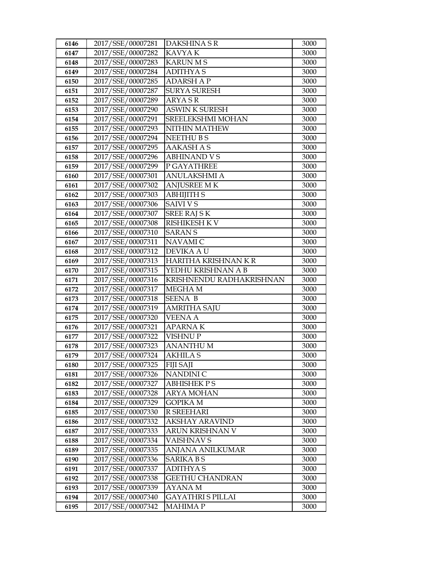| 6146         | 2017/SSE/00007281                      | DAKSHINA SR                             | 3000         |
|--------------|----------------------------------------|-----------------------------------------|--------------|
| 6147         | 2017/SSE/00007282                      | KAVYA K                                 | 3000         |
| 6148         | 2017/SSE/00007283                      | <b>KARUN MS</b>                         | 3000         |
| 6149         | 2017/SSE/00007284                      | <b>ADITHYAS</b>                         | 3000         |
| 6150         | 2017/SSE/00007285                      | <b>ADARSH AP</b>                        | 3000         |
| 6151         | 2017/SSE/00007287                      | <b>SURYA SURESH</b>                     | 3000         |
| 6152         | 2017/SSE/00007289                      | <b>ARYASR</b>                           | 3000         |
| 6153         | 2017/SSE/00007290                      | <b>ASWIN K SURESH</b>                   | 3000         |
| 6154         | 2017/SSE/00007291                      | SREELEKSHMI MOHAN                       | 3000         |
| 6155         | 2017/SSE/00007293                      | NITHIN MATHEW                           | 3000         |
| 6156         | 2017/SSE/00007294                      | <b>NEETHUBS</b>                         | 3000         |
| 6157         | 2017/SSE/00007295                      | <b>AAKASH A S</b>                       | 3000         |
| 6158         | 2017/SSE/00007296                      | <b>ABHINAND VS</b>                      | 3000         |
| 6159         | 2017/SSE/00007299                      | P GAYATHREE                             | 3000         |
| 6160         | 2017/SSE/00007301                      | <b>ANULAKSHMI A</b>                     | 3000         |
| 6161         | 2017/SSE/00007302                      | <b>ANJUSREE MK</b>                      | 3000         |
| 6162         | 2017/SSE/00007303                      | <b>ABHIJITH S</b>                       | 3000         |
| 6163         | 2017/SSE/00007306                      | <b>SAIVI VS</b>                         | 3000         |
| 6164         | 2017/SSE/00007307                      | <b>SREE RAJ SK</b>                      | 3000         |
| 6165         | 2017/SSE/00007308                      | <b>RISHIKESH K V</b>                    | 3000         |
| 6166         | 2017/SSE/00007310                      | <b>SARANS</b>                           | 3000         |
| 6167         | 2017/SSE/00007311                      | NAVAMI C                                | 3000         |
| 6168         | 2017/SSE/00007312                      | DEVIKA A U                              | 3000         |
| 6169         | 2017/SSE/00007313                      | HARITHA KRISHNAN KR                     | 3000         |
| 6170         | 2017/SSE/00007315                      | YEDHU KRISHNAN A B                      | 3000         |
| 6171         | 2017/SSE/00007316                      | KRISHNENDU RADHAKRISHNAN                | 3000         |
| 6172         | 2017/SSE/00007317                      | MEGHA M                                 | 3000         |
| 6173         | 2017/SSE/00007318                      | <b>SEENA B</b>                          | 3000         |
| 6174         | 2017/SSE/00007319                      | <b>AMRITHA SAJU</b>                     | 3000         |
| 6175         | 2017/SSE/00007320                      | <b>VEENA A</b>                          | 3000         |
| 6176         | 2017/SSE/00007321                      | <b>APARNAK</b>                          | 3000         |
| 6177         | 2017/SSE/00007322                      | VISHNU P                                | 3000         |
| 6178         | 2017/SSE/00007323                      | <b>ANANTHUM</b>                         | 3000         |
| 6179         | 2017/SSE/00007324                      | <b>AKHILA S</b>                         | 3000         |
| 6180         | 2017/SSE/00007325<br>2017/SSE/00007326 | <b>FIJI SAJI</b>                        | 3000         |
| 6181         |                                        | NANDINI C                               | 3000         |
| 6182<br>6183 | 2017/SSE/00007327<br>2017/SSE/00007328 | <b>ABHISHEK PS</b><br><b>ARYA MOHAN</b> | 3000<br>3000 |
| 6184         | 2017/SSE/00007329                      | <b>GOPIKA M</b>                         | 3000         |
| 6185         | 2017/SSE/00007330                      | R SREEHARI                              | 3000         |
| 6186         | 2017/SSE/00007332                      | AKSHAY ARAVIND                          | 3000         |
| 6187         | 2017/SSE/00007333                      | ARUN KRISHNAN V                         | 3000         |
| 6188         | 2017/SSE/00007334                      | <b>VAISHNAVS</b>                        | 3000         |
| 6189         | 2017/SSE/00007335                      | <b>ANJANA ANILKUMAR</b>                 | 3000         |
| 6190         | 2017/SSE/00007336                      | <b>SARIKA B S</b>                       | 3000         |
| 6191         | 2017/SSE/00007337                      | <b>ADITHYAS</b>                         | 3000         |
| 6192         | 2017/SSE/00007338                      | GEETHU CHANDRAN                         | 3000         |
| 6193         | 2017/SSE/00007339                      | AYANA M                                 | 3000         |
| 6194         | 2017/SSE/00007340                      | <b>GAYATHRI S PILLAI</b>                | 3000         |
| 6195         | 2017/SSE/00007342                      | MAHIMA P                                | 3000         |
|              |                                        |                                         |              |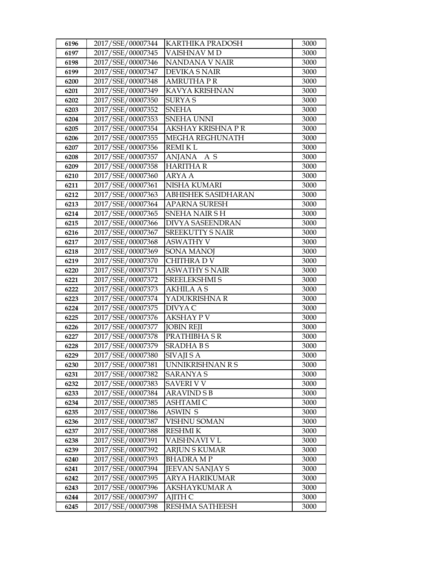| 6196 | 2017/SSE/00007344 | KARTHIKA PRADOSH          | 3000 |
|------|-------------------|---------------------------|------|
| 6197 | 2017/SSE/00007345 | VAISHNAV MD               | 3000 |
| 6198 | 2017/SSE/00007346 | NANDANA V NAIR            | 3000 |
| 6199 | 2017/SSE/00007347 | <b>DEVIKA S NAIR</b>      | 3000 |
| 6200 | 2017/SSE/00007348 | <b>AMRUTHA P R</b>        | 3000 |
| 6201 | 2017/SSE/00007349 | <b>KAVYA KRISHNAN</b>     | 3000 |
| 6202 | 2017/SSE/00007350 | <b>SURYAS</b>             | 3000 |
| 6203 | 2017/SSE/00007352 | <b>SNEHA</b>              | 3000 |
| 6204 | 2017/SSE/00007353 | <b>SNEHA UNNI</b>         | 3000 |
| 6205 | 2017/SSE/00007354 | <b>AKSHAY KRISHNA P R</b> | 3000 |
| 6206 | 2017/SSE/00007355 | MEGHA REGHUNATH           | 3000 |
| 6207 | 2017/SSE/00007356 | <b>REMIKL</b>             | 3000 |
| 6208 | 2017/SSE/00007357 | ANJANA A S                | 3000 |
| 6209 | 2017/SSE/00007358 | <b>HARITHAR</b>           | 3000 |
| 6210 | 2017/SSE/00007360 | <b>ARYA A</b>             | 3000 |
| 6211 | 2017/SSE/00007361 | <b>NISHA KUMARI</b>       | 3000 |
| 6212 | 2017/SSE/00007363 | ABHISHEK SASIDHARAN       | 3000 |
| 6213 | 2017/SSE/00007364 | <b>APARNA SURESH</b>      | 3000 |
| 6214 | 2017/SSE/00007365 | <b>SNEHA NAIR SH</b>      | 3000 |
| 6215 | 2017/SSE/00007366 | <b>DIVYA SASEENDRAN</b>   | 3000 |
| 6216 | 2017/SSE/00007367 | <b>SREEKUTTY S NAIR</b>   | 3000 |
| 6217 | 2017/SSE/00007368 | <b>ASWATHY V</b>          | 3000 |
| 6218 | 2017/SSE/00007369 | <b>SONA MANOJ</b>         | 3000 |
| 6219 | 2017/SSE/00007370 | CHITHRA D V               | 3000 |
| 6220 | 2017/SSE/00007371 | <b>ASWATHY S NAIR</b>     | 3000 |
| 6221 | 2017/SSE/00007372 | <b>SREELEKSHMI S</b>      | 3000 |
| 6222 | 2017/SSE/00007373 | <b>AKHILA A S</b>         | 3000 |
| 6223 | 2017/SSE/00007374 | YADUKRISHNA R             | 3000 |
| 6224 | 2017/SSE/00007375 | DIVYA C                   | 3000 |
| 6225 | 2017/SSE/00007376 | <b>AKSHAY PV</b>          | 3000 |
| 6226 | 2017/SSE/00007377 | <b>JOBIN REJI</b>         | 3000 |
| 6227 | 2017/SSE/00007378 | PRATHIBHA S R             | 3000 |
| 6228 | 2017/SSE/00007379 | <b>SRADHABS</b>           | 3000 |
| 6229 | 2017/SSE/00007380 | SIVAJI S A                | 3000 |
| 6230 | 2017/SSE/00007381 | UNNIKRISHNAN R S          | 3000 |
| 6231 | 2017/SSE/00007382 | <b>SARANYA S</b>          | 3000 |
| 6232 | 2017/SSE/00007383 | <b>SAVERI V V</b>         | 3000 |
| 6233 | 2017/SSE/00007384 | <b>ARAVIND S B</b>        | 3000 |
| 6234 | 2017/SSE/00007385 | <b>ASHTAMIC</b>           | 3000 |
| 6235 | 2017/SSE/00007386 | <b>ASWIN S</b>            | 3000 |
| 6236 | 2017/SSE/00007387 | VISHNU SOMAN              | 3000 |
| 6237 | 2017/SSE/00007388 | <b>RESHMIK</b>            | 3000 |
| 6238 | 2017/SSE/00007391 | VAISHNAVI V L             | 3000 |
| 6239 | 2017/SSE/00007392 | <b>ARJUN S KUMAR</b>      | 3000 |
| 6240 | 2017/SSE/00007393 | <b>BHADRA MP</b>          | 3000 |
| 6241 | 2017/SSE/00007394 | <b>JEEVAN SANJAY S</b>    | 3000 |
| 6242 | 2017/SSE/00007395 | ARYA HARIKUMAR            | 3000 |
| 6243 | 2017/SSE/00007396 | AKSHAYKUMAR A             | 3000 |
| 6244 | 2017/SSE/00007397 | AJITH C                   | 3000 |
| 6245 | 2017/SSE/00007398 | RESHMA SATHEESH           | 3000 |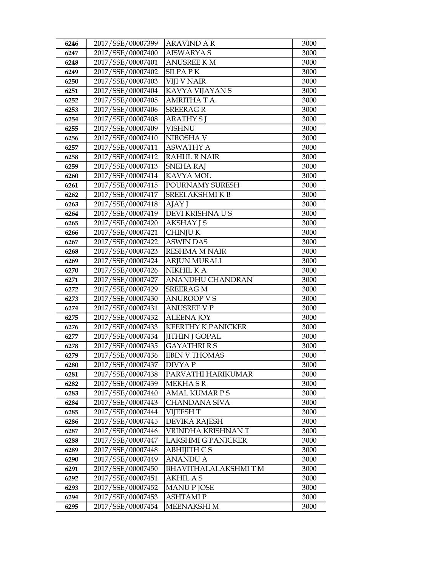| 6246         | 2017/SSE/00007399                      | <b>ARAVIND A R</b>                        | 3000         |
|--------------|----------------------------------------|-------------------------------------------|--------------|
| 6247         | 2017/SSE/00007400                      | <b>AISWARYA S</b>                         | 3000         |
| 6248         | 2017/SSE/00007401                      | <b>ANUSREE KM</b>                         | 3000         |
| 6249         | 2017/SSE/00007402                      | <b>SILPAPK</b>                            | 3000         |
| 6250         | 2017/SSE/00007403                      | <b>VIJI V NAIR</b>                        | 3000         |
| 6251         | 2017/SSE/00007404                      | KAVYA VIJAYAN S                           | 3000         |
| 6252         | 2017/SSE/00007405                      | <b>AMRITHATA</b>                          | 3000         |
| 6253         | 2017/SSE/00007406                      | <b>SREERAGR</b>                           | 3000         |
| 6254         | 2017/SSE/00007408                      | <b>ARATHY SI</b>                          | 3000         |
| 6255         | 2017/SSE/00007409                      | <b>VISHNU</b>                             | 3000         |
| 6256         | 2017/SSE/00007410                      | NIROSHA V                                 | 3000         |
| 6257         | 2017/SSE/00007411                      | <b>ASWATHY A</b>                          | 3000         |
| 6258         | 2017/SSE/00007412                      | <b>RAHUL R NAIR</b>                       | 3000         |
| 6259         | 2017/SSE/00007413                      | <b>SNEHA RAJ</b>                          | 3000         |
| 6260         | 2017/SSE/00007414                      | <b>KAVYA MOL</b>                          | 3000         |
| 6261         | 2017/SSE/00007415                      | POURNAMY SURESH                           | 3000         |
| 6262         | 2017/SSE/00007417                      | <b>SREELAKSHMIKB</b>                      | 3000         |
| 6263         | 2017/SSE/00007418                      | AJAY J                                    | 3000         |
| 6264         | 2017/SSE/00007419                      | DEVI KRISHNA US                           | 3000         |
| 6265         | 2017/SSE/00007420                      | <b>AKSHAY JS</b>                          | 3000         |
| 6266         | 2017/SSE/00007421                      | <b>CHINJUK</b>                            | 3000         |
| 6267         | 2017/SSE/00007422                      | <b>ASWIN DAS</b>                          | 3000         |
| 6268         | 2017/SSE/00007423                      | <b>RESHMA M NAIR</b>                      | 3000         |
| 6269         | 2017/SSE/00007424                      | <b>ARJUN MURALI</b>                       | 3000         |
| 6270         | 2017/SSE/00007426                      | NIKHIL K A                                | 3000         |
| 6271         | 2017/SSE/00007427                      | ANANDHU CHANDRAN                          | 3000         |
| 6272         | 2017/SSE/00007429                      | <b>SREERAG M</b>                          | 3000         |
| 6273         | 2017/SSE/00007430                      | <b>ANUROOP V S</b>                        | 3000         |
| 6274         | 2017/SSE/00007431                      | <b>ANUSREE V P</b>                        | 3000         |
| 6275         | 2017/SSE/00007432                      | <b>ALEENA JOY</b>                         | 3000         |
| 6276         | 2017/SSE/00007433                      | <b>KEERTHY K PANICKER</b>                 | 3000         |
| 6277         | 2017/SSE/00007434                      | <b>JITHIN J GOPAL</b>                     | 3000         |
| 6278         | 2017/SSE/00007435<br>2017/SSE/00007436 | <b>GAYATHRIRS</b><br><b>EBIN V THOMAS</b> | 3000<br>3000 |
| 6279         | 2017/SSE/00007437                      | DIVYA P                                   | 3000         |
| 6280<br>6281 | 2017/SSE/00007438                      | PARVATHI HARIKUMAR                        | 3000         |
| 6282         | 2017/SSE/00007439                      | MEKHA S R                                 | 3000         |
| 6283         | 2017/SSE/00007440                      | <b>AMAL KUMAR PS</b>                      | 3000         |
| 6284         | 2017/SSE/00007443                      | <b>CHANDANA SIVA</b>                      | 3000         |
| 6285         | 2017/SSE/00007444                      | <b>VIJEESH T</b>                          | 3000         |
| 6286         | 2017/SSE/00007445                      | <b>DEVIKA RAJESH</b>                      | 3000         |
| 6287         | 2017/SSE/00007446                      | VRINDHA KRISHNAN T                        | 3000         |
| 6288         | 2017/SSE/00007447                      | <b>LAKSHMI G PANICKER</b>                 | 3000         |
| 6289         | 2017/SSE/00007448                      | <b>ABHIJITH CS</b>                        | 3000         |
| 6290         | 2017/SSE/00007449                      | <b>ANANDU A</b>                           | 3000         |
| 6291         | 2017/SSE/00007450                      | BHAVITHALALAKSHMI T M                     | 3000         |
| 6292         | 2017/SSE/00007451                      | <b>AKHIL A S</b>                          | 3000         |
| 6293         | 2017/SSE/00007452                      | <b>MANUP JOSE</b>                         | 3000         |
| 6294         | 2017/SSE/00007453                      | <b>ASHTAMIP</b>                           | 3000         |
| 6295         | 2017/SSE/00007454                      | <b>MEENAKSHI M</b>                        | 3000         |
|              |                                        |                                           |              |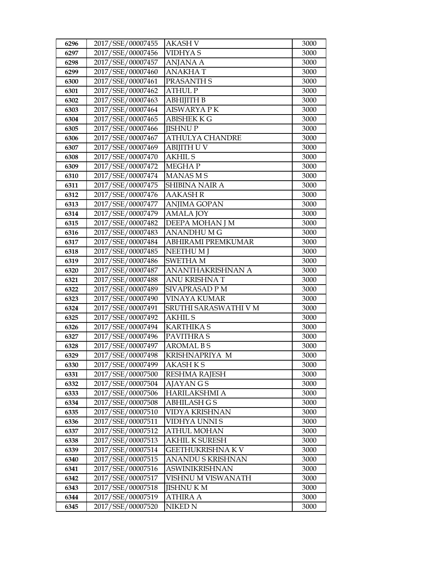| 6296 | 2017/SSE/00007455 | AKASH V                 | 3000 |
|------|-------------------|-------------------------|------|
| 6297 | 2017/SSE/00007456 | VIDHYA S                | 3000 |
| 6298 | 2017/SSE/00007457 | <b>ANJANA A</b>         | 3000 |
| 6299 | 2017/SSE/00007460 | <b>ANAKHAT</b>          | 3000 |
| 6300 | 2017/SSE/00007461 | PRASANTH S              | 3000 |
| 6301 | 2017/SSE/00007462 | <b>ATHUL P</b>          | 3000 |
| 6302 | 2017/SSE/00007463 | АВНІЈІТН В              | 3000 |
| 6303 | 2017/SSE/00007464 | <b>AISWARYA PK</b>      | 3000 |
| 6304 | 2017/SSE/00007465 | <b>ABISHEK K G</b>      | 3000 |
| 6305 | 2017/SSE/00007466 | <b>JISHNUP</b>          | 3000 |
| 6306 | 2017/SSE/00007467 | ATHULYA CHANDRE         | 3000 |
| 6307 | 2017/SSE/00007469 | <b>ABIJITH U V</b>      | 3000 |
| 6308 | 2017/SSE/00007470 | <b>AKHIL S</b>          | 3000 |
| 6309 | 2017/SSE/00007472 | <b>MEGHAP</b>           | 3000 |
| 6310 | 2017/SSE/00007474 | <b>MANASMS</b>          | 3000 |
| 6311 | 2017/SSE/00007475 | <b>SHIBINA NAIR A</b>   | 3000 |
| 6312 | 2017/SSE/00007476 | <b>AAKASH R</b>         | 3000 |
| 6313 | 2017/SSE/00007477 | <b>ANJIMA GOPAN</b>     | 3000 |
| 6314 | 2017/SSE/00007479 | <b>AMALA JOY</b>        | 3000 |
| 6315 | 2017/SSE/00007482 | DEEPA MOHAN J M         | 3000 |
| 6316 | 2017/SSE/00007483 | <b>ANANDHUMG</b>        | 3000 |
| 6317 | 2017/SSE/00007484 | ABHIRAMI PREMKUMAR      | 3000 |
| 6318 | 2017/SSE/00007485 | <b>NEETHUMI</b>         | 3000 |
| 6319 | 2017/SSE/00007486 | <b>SWETHAM</b>          | 3000 |
| 6320 | 2017/SSE/00007487 | ANANTHAKRISHNAN A       | 3000 |
| 6321 | 2017/SSE/00007488 | <b>ANU KRISHNA T</b>    | 3000 |
| 6322 | 2017/SSE/00007489 | SIVAPRASAD P M          | 3000 |
| 6323 | 2017/SSE/00007490 | <b>VINAYA KUMAR</b>     | 3000 |
| 6324 | 2017/SSE/00007491 | SRUTHI SARASWATHI V M   | 3000 |
| 6325 | 2017/SSE/00007492 | <b>AKHIL S</b>          | 3000 |
| 6326 | 2017/SSE/00007494 | <b>KARTHIKA S</b>       | 3000 |
| 6327 | 2017/SSE/00007496 | PAVITHRA S              | 3000 |
| 6328 | 2017/SSE/00007497 | <b>AROMAL BS</b>        | 3000 |
| 6329 | 2017/SSE/00007498 | KRISHNAPRIYA M          | 3000 |
| 6330 | 2017/SSE/00007499 | AKASH K S               | 3000 |
| 6331 | 2017/SSE/00007500 | RESHMA RAJESH           | 3000 |
| 6332 | 2017/SSE/00007504 | AJAYAN G S              | 3000 |
| 6333 | 2017/SSE/00007506 | HARILAKSHMI A           | 3000 |
| 6334 | 2017/SSE/00007508 | <b>ABHILASH G S</b>     | 3000 |
| 6335 | 2017/SSE/00007510 | VIDYA KRISHNAN          | 3000 |
| 6336 | 2017/SSE/00007511 | VIDHYA UNNI S           | 3000 |
| 6337 | 2017/SSE/00007512 | <b>ATHUL MOHAN</b>      | 3000 |
| 6338 | 2017/SSE/00007513 | <b>AKHIL K SURESH</b>   | 3000 |
| 6339 | 2017/SSE/00007514 | <b>GEETHUKRISHNA KV</b> | 3000 |
| 6340 | 2017/SSE/00007515 | ANANDU S KRISHNAN       | 3000 |
| 6341 | 2017/SSE/00007516 | ASWINIKRISHNAN          | 3000 |
| 6342 | 2017/SSE/00007517 | VISHNU M VISWANATH      | 3000 |
| 6343 | 2017/SSE/00007518 | <b>JISHNU K M</b>       | 3000 |
| 6344 | 2017/SSE/00007519 | <b>ATHIRA A</b>         | 3000 |
| 6345 | 2017/SSE/00007520 | NIKED <sub>N</sub>      | 3000 |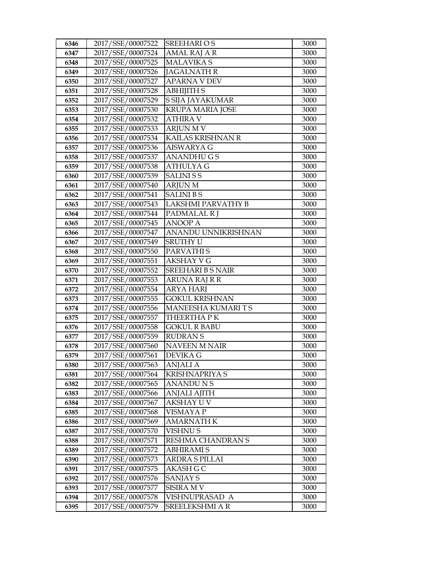| 6346 | 2017/SSE/00007522 | <b>SREEHARIOS</b>         | 3000 |
|------|-------------------|---------------------------|------|
| 6347 | 2017/SSE/00007524 | <b>AMAL RAJ A R</b>       | 3000 |
| 6348 | 2017/SSE/00007525 | <b>MALAVIKA S</b>         | 3000 |
| 6349 | 2017/SSE/00007526 | <b>JAGALNATH R</b>        | 3000 |
| 6350 | 2017/SSE/00007527 | <b>APARNA V DEV</b>       | 3000 |
| 6351 | 2017/SSE/00007528 | ABHIJITH S                | 3000 |
| 6352 | 2017/SSE/00007529 | S SIJA JAYAKUMAR          | 3000 |
| 6353 | 2017/SSE/00007530 | <b>KRUPA MARIA JOSE</b>   | 3000 |
| 6354 | 2017/SSE/00007532 | <b>ATHIRA V</b>           | 3000 |
| 6355 | 2017/SSE/00007533 | <b>ARJUN M V</b>          | 3000 |
| 6356 | 2017/SSE/00007534 | KAILAS KRISHNAN R         | 3000 |
| 6357 | 2017/SSE/00007536 | <b>AISWARYA G</b>         | 3000 |
| 6358 | 2017/SSE/00007537 | <b>ANANDHUGS</b>          | 3000 |
| 6359 | 2017/SSE/00007538 | <b>ATHULYAG</b>           | 3000 |
| 6360 | 2017/SSE/00007539 | <b>SALINISS</b>           | 3000 |
| 6361 | 2017/SSE/00007540 | <b>ARJUN M</b>            | 3000 |
| 6362 | 2017/SSE/00007541 | <b>SALINIBS</b>           | 3000 |
| 6363 | 2017/SSE/00007543 | <b>LAKSHMI PARVATHY B</b> | 3000 |
| 6364 | 2017/SSE/00007544 | PADMALAL R J              | 3000 |
| 6365 | 2017/SSE/00007545 | <b>ANOOP A</b>            | 3000 |
| 6366 | 2017/SSE/00007547 | ANANDU UNNIKRISHNAN       | 3000 |
| 6367 | 2017/SSE/00007549 | <b>SRUTHY U</b>           | 3000 |
| 6368 | 2017/SSE/00007550 | PARVATHI S                | 3000 |
| 6369 | 2017/SSE/00007551 | <b>AKSHAY V G</b>         | 3000 |
| 6370 | 2017/SSE/00007552 | <b>SREEHARI B S NAIR</b>  | 3000 |
| 6371 | 2017/SSE/00007553 | ARUNA RAJ R R             | 3000 |
| 6372 | 2017/SSE/00007554 | <b>ARYA HARI</b>          | 3000 |
| 6373 | 2017/SSE/00007555 | <b>GOKUL KRISHNAN</b>     | 3000 |
| 6374 | 2017/SSE/00007556 | MANEESHA KUMARITS         | 3000 |
| 6375 | 2017/SSE/00007557 | THEERTHA PK               | 3000 |
| 6376 | 2017/SSE/00007558 | <b>GOKUL R BABU</b>       | 3000 |
| 6377 | 2017/SSE/00007559 | <b>RUDRANS</b>            | 3000 |
| 6378 | 2017/SSE/00007560 | <b>NAVEEN M NAIR</b>      | 3000 |
| 6379 | 2017/SSE/00007561 | DEVIKA G                  | 3000 |
| 6380 | 2017/SSE/00007563 | ANJALI A                  | 3000 |
| 6381 | 2017/SSE/00007564 | KRISHNAPRIYA S            | 3000 |
| 6382 | 2017/SSE/00007565 | <b>ANANDUNS</b>           | 3000 |
| 6383 | 2017/SSE/00007566 | <b>ANJALI AJITH</b>       | 3000 |
| 6384 | 2017/SSE/00007567 | AKSHAY U V                | 3000 |
| 6385 | 2017/SSE/00007568 | VISMAYA P                 | 3000 |
| 6386 | 2017/SSE/00007569 | <b>AMARNATH K</b>         | 3000 |
| 6387 | 2017/SSE/00007570 | VISHNU S                  | 3000 |
| 6388 | 2017/SSE/00007571 | RESHMA CHANDRAN S         | 3000 |
| 6389 | 2017/SSE/00007572 | <b>ABHIRAMI S</b>         | 3000 |
| 6390 | 2017/SSE/00007573 | ARDRA S PILLAI            | 3000 |
| 6391 | 2017/SSE/00007575 | AKASH G C                 | 3000 |
| 6392 | 2017/SSE/00007576 | SANJAY S                  | 3000 |
| 6393 | 2017/SSE/00007577 | <b>SISIRA MV</b>          | 3000 |
| 6394 | 2017/SSE/00007578 | VISHNUPRASAD A            | 3000 |
| 6395 | 2017/SSE/00007579 | <b>SREELEKSHMI A R</b>    | 3000 |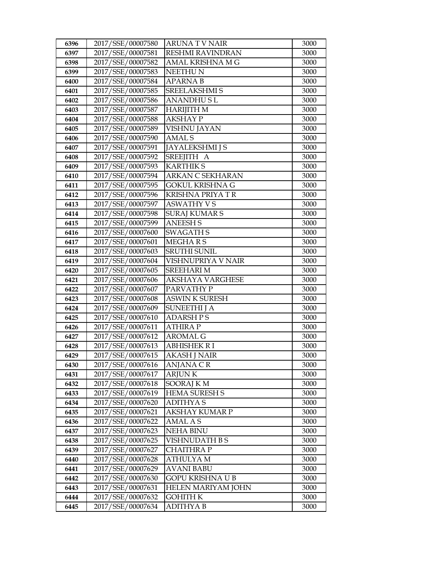| 6396 | 2017/SSE/00007580 | ARUNA T V NAIR          | 3000 |
|------|-------------------|-------------------------|------|
| 6397 | 2017/SSE/00007581 | <b>RESHMI RAVINDRAN</b> | 3000 |
| 6398 | 2017/SSE/00007582 | AMAL KRISHNA M G        | 3000 |
| 6399 | 2017/SSE/00007583 | <b>NEETHUN</b>          | 3000 |
| 6400 | 2017/SSE/00007584 | APARNA B                | 3000 |
| 6401 | 2017/SSE/00007585 | <b>SREELAKSHMI S</b>    | 3000 |
| 6402 | 2017/SSE/00007586 | ANANDHU S L             | 3000 |
| 6403 | 2017/SSE/00007587 | <b>HARIJITH M</b>       | 3000 |
| 6404 | 2017/SSE/00007588 | <b>AKSHAY P</b>         | 3000 |
| 6405 | 2017/SSE/00007589 | VISHNU JAYAN            | 3000 |
| 6406 | 2017/SSE/00007590 | AMAL S                  | 3000 |
| 6407 | 2017/SSE/00007591 | <b>JAYALEKSHMI J S</b>  | 3000 |
| 6408 | 2017/SSE/00007592 | SREEJITH A              | 3000 |
| 6409 | 2017/SSE/00007593 | <b>KARTHIKS</b>         | 3000 |
| 6410 | 2017/SSE/00007594 | ARKAN C SEKHARAN        | 3000 |
| 6411 | 2017/SSE/00007595 | GOKUL KRISHNA G         | 3000 |
| 6412 | 2017/SSE/00007596 | KRISHNA PRIYA T R       | 3000 |
| 6413 | 2017/SSE/00007597 | <b>ASWATHY VS</b>       | 3000 |
| 6414 | 2017/SSE/00007598 | <b>SURAJ KUMAR S</b>    | 3000 |
| 6415 | 2017/SSE/00007599 | <b>ANEESH S</b>         | 3000 |
| 6416 | 2017/SSE/00007600 | <b>SWAGATH S</b>        | 3000 |
| 6417 | 2017/SSE/00007601 | MEGHA R S               | 3000 |
| 6418 | 2017/SSE/00007603 | <b>SRUTHI SUNIL</b>     | 3000 |
| 6419 | 2017/SSE/00007604 | VISHNUPRIYA V NAIR      | 3000 |
| 6420 | 2017/SSE/00007605 | <b>SREEHARI M</b>       | 3000 |
| 6421 | 2017/SSE/00007606 | AKSHAYA VARGHESE        | 3000 |
| 6422 | 2017/SSE/00007607 | PARVATHY P              | 3000 |
| 6423 | 2017/SSE/00007608 | <b>ASWIN K SURESH</b>   | 3000 |
| 6424 | 2017/SSE/00007609 | <b>SUNEETHI J A</b>     | 3000 |
| 6425 | 2017/SSE/00007610 | <b>ADARSH PS</b>        | 3000 |
| 6426 | 2017/SSE/00007611 | <b>ATHIRA P</b>         | 3000 |
| 6427 | 2017/SSE/00007612 | AROMAL G                | 3000 |
| 6428 | 2017/SSE/00007613 | <b>ABHISHEK R I</b>     | 3000 |
| 6429 | 2017/SSE/00007615 | <b>AKASH J NAIR</b>     | 3000 |
| 6430 | 2017/SSE/00007616 | ANJANA CR               | 3000 |
| 6431 | 2017/SSE/00007617 | ARJUN K                 | 3000 |
| 6432 | 2017/SSE/00007618 | SOORAJ K M              | 3000 |
| 6433 | 2017/SSE/00007619 | <b>HEMA SURESH S</b>    | 3000 |
| 6434 | 2017/SSE/00007620 | ADITHYA S               | 3000 |
| 6435 | 2017/SSE/00007621 | AKSHAY KUMAR P          | 3000 |
| 6436 | 2017/SSE/00007622 | AMAL A S                | 3000 |
| 6437 | 2017/SSE/00007623 | NEHA BINU               | 3000 |
| 6438 | 2017/SSE/00007625 | VISHNUDATH B S          | 3000 |
| 6439 | 2017/SSE/00007627 | <b>CHAITHRA P</b>       | 3000 |
| 6440 | 2017/SSE/00007628 | ATHULYA M               | 3000 |
| 6441 | 2017/SSE/00007629 | <b>AVANI BABU</b>       | 3000 |
| 6442 | 2017/SSE/00007630 | GOPU KRISHNA U B        | 3000 |
| 6443 | 2017/SSE/00007631 | HELEN MARIYAM JOHN      | 3000 |
| 6444 | 2017/SSE/00007632 | GOHITH K                | 3000 |
| 6445 | 2017/SSE/00007634 | ADITHYA B               | 3000 |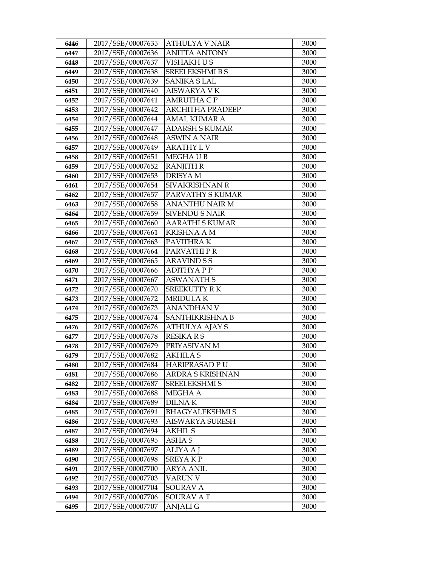| 6446 | 2017/SSE/00007635 | <b>ATHULYA V NAIR</b>   | 3000 |
|------|-------------------|-------------------------|------|
| 6447 | 2017/SSE/00007636 | <b>ANITTA ANTONY</b>    | 3000 |
| 6448 | 2017/SSE/00007637 | <b>VISHAKH U S</b>      | 3000 |
| 6449 | 2017/SSE/00007638 | <b>SREELEKSHMI B S</b>  | 3000 |
| 6450 | 2017/SSE/00007639 | <b>SANIKA S LAL</b>     | 3000 |
| 6451 | 2017/SSE/00007640 | <b>AISWARYA V K</b>     | 3000 |
| 6452 | 2017/SSE/00007641 | <b>AMRUTHA C P</b>      | 3000 |
| 6453 | 2017/SSE/00007642 | <b>ARCHITHA PRADEEP</b> | 3000 |
| 6454 | 2017/SSE/00007644 | <b>AMAL KUMAR A</b>     | 3000 |
| 6455 | 2017/SSE/00007647 | <b>ADARSH S KUMAR</b>   | 3000 |
| 6456 | 2017/SSE/00007648 | <b>ASWIN A NAIR</b>     | 3000 |
| 6457 | 2017/SSE/00007649 | <b>ARATHY L V</b>       | 3000 |
| 6458 | 2017/SSE/00007651 | MEGHAUB                 | 3000 |
| 6459 | 2017/SSE/00007652 | <b>RANJITH R</b>        | 3000 |
| 6460 | 2017/SSE/00007653 | <b>DRISYAM</b>          | 3000 |
| 6461 | 2017/SSE/00007654 | SIVAKRISHNAN R          | 3000 |
| 6462 | 2017/SSE/00007657 | PARVATHY S KUMAR        | 3000 |
| 6463 | 2017/SSE/00007658 | <b>ANANTHU NAIR M</b>   | 3000 |
| 6464 | 2017/SSE/00007659 | <b>SIVENDU S NAIR</b>   | 3000 |
| 6465 | 2017/SSE/00007660 | <b>AARATHI S KUMAR</b>  | 3000 |
| 6466 | 2017/SSE/00007661 | <b>KRISHNA A M</b>      | 3000 |
| 6467 | 2017/SSE/00007663 | PAVITHRAK               | 3000 |
| 6468 | 2017/SSE/00007664 | PARVATHIPR              | 3000 |
| 6469 | 2017/SSE/00007665 | <b>ARAVIND S S</b>      | 3000 |
| 6470 | 2017/SSE/00007666 | <b>ADITHYAPP</b>        | 3000 |
| 6471 | 2017/SSE/00007667 | <b>ASWANATH S</b>       | 3000 |
| 6472 | 2017/SSE/00007670 | <b>SREEKUTTY RK</b>     | 3000 |
| 6473 | 2017/SSE/00007672 | <b>MRIDULAK</b>         | 3000 |
| 6474 | 2017/SSE/00007673 | <b>ANANDHAN V</b>       | 3000 |
| 6475 | 2017/SSE/00007674 | SANTHIKRISHNA B         | 3000 |
| 6476 | 2017/SSE/00007676 | ATHULYA AJAY S          | 3000 |
| 6477 | 2017/SSE/00007678 | <b>RESIKARS</b>         | 3000 |
| 6478 | 2017/SSE/00007679 | PRIYASIVAN M            | 3000 |
| 6479 | 2017/SSE/00007682 | <b>AKHILA S</b>         | 3000 |
| 6480 | 2017/SSE/00007684 | <b>HARIPRASAD PU</b>    | 3000 |
| 6481 | 2017/SSE/00007686 | ARDRA S KRISHNAN        | 3000 |
| 6482 | 2017/SSE/00007687 | SREELEKSHMI S           | 3000 |
| 6483 | 2017/SSE/00007688 | MEGHA A                 | 3000 |
| 6484 | 2017/SSE/00007689 | <b>DILNAK</b>           | 3000 |
| 6485 | 2017/SSE/00007691 | <b>BHAGYALEKSHMIS</b>   | 3000 |
| 6486 | 2017/SSE/00007693 | <b>AISWARYA SURESH</b>  | 3000 |
| 6487 | 2017/SSE/00007694 | <b>AKHIL S</b>          | 3000 |
| 6488 | 2017/SSE/00007695 | ASHA S                  | 3000 |
| 6489 | 2017/SSE/00007697 | <b>ALIYA A J</b>        | 3000 |
| 6490 | 2017/SSE/00007698 | <b>SREYAKP</b>          | 3000 |
| 6491 | 2017/SSE/00007700 | ARYA ANIL               | 3000 |
| 6492 | 2017/SSE/00007703 | VARUN V                 | 3000 |
| 6493 | 2017/SSE/00007704 | <b>SOURAV A</b>         | 3000 |
| 6494 | 2017/SSE/00007706 | SOURAV AT               | 3000 |
| 6495 | 2017/SSE/00007707 | ANJALI G                | 3000 |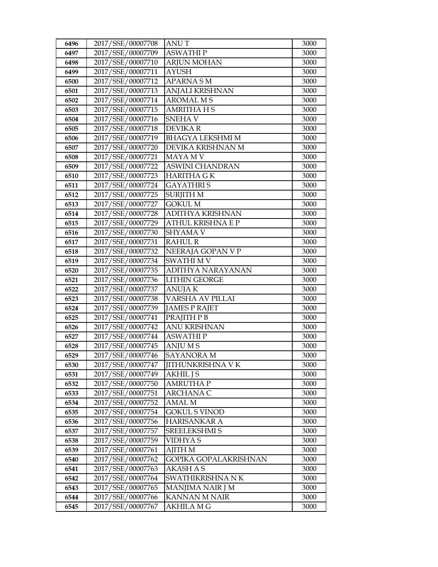| 6496         | 2017/SSE/00007708                      | <b>ANUT</b>                           | 3000         |
|--------------|----------------------------------------|---------------------------------------|--------------|
| 6497         | 2017/SSE/00007709                      | <b>ASWATHIP</b>                       | 3000         |
| 6498         | 2017/SSE/00007710                      | <b>ARJUN MOHAN</b>                    | 3000         |
| 6499         | 2017/SSE/00007711                      | <b>AYUSH</b>                          | 3000         |
| 6500         | 2017/SSE/00007712                      | <b>APARNASM</b>                       | 3000         |
| 6501         | 2017/SSE/00007713                      | ANJALI KRISHNAN                       | 3000         |
| 6502         | 2017/SSE/00007714                      | <b>AROMAL MS</b>                      | 3000         |
| 6503         | 2017/SSE/00007715                      | <b>AMRITHA HS</b>                     | 3000         |
| 6504         | 2017/SSE/00007716                      | <b>SNEHAV</b>                         | 3000         |
| 6505         | 2017/SSE/00007718                      | <b>DEVIKAR</b>                        | 3000         |
| 6506         | 2017/SSE/00007719                      | <b>BHAGYA LEKSHMI M</b>               | 3000         |
| 6507         | 2017/SSE/00007720                      | DEVIKA KRISHNAN M                     | 3000         |
| 6508         | 2017/SSE/00007721                      | <b>MAYA MV</b>                        | 3000         |
| 6509         | 2017/SSE/00007722                      | <b>ASWINI CHANDRAN</b>                | 3000         |
| 6510         | 2017/SSE/00007723                      | <b>HARITHA GK</b>                     | 3000         |
| 6511         | 2017/SSE/00007724                      | <b>GAYATHRIS</b>                      | 3000         |
| 6512         | 2017/SSE/00007725                      | <b>SURJITH M</b>                      | 3000         |
| 6513         | 2017/SSE/00007727                      | <b>GOKUL M</b>                        | 3000         |
| 6514         | 2017/SSE/00007728                      | <b>ADITHYA KRISHNAN</b>               | 3000         |
| 6515         | 2017/SSE/00007729                      | <b>ATHUL KRISHNA E P</b>              | 3000         |
| 6516         | 2017/SSE/00007730                      | <b>SHYAMA V</b>                       | 3000         |
| 6517         | 2017/SSE/00007731                      | <b>RAHUL R</b>                        | 3000         |
| 6518         | 2017/SSE/00007732                      | NEERAJA GOPAN V P                     | 3000         |
| 6519         | 2017/SSE/00007734                      | <b>SWATHI M V</b>                     | 3000         |
| 6520         | 2017/SSE/00007735                      | ADITHYA NARAYANAN                     | 3000         |
| 6521         | 2017/SSE/00007736                      | <b>LITHIN GEORGE</b>                  | 3000         |
| 6522         | 2017/SSE/00007737                      | <b>ANUJAK</b>                         | 3000         |
| 6523         | 2017/SSE/00007738                      | VARSHA AV PILLAI                      | 3000         |
| 6524         | 2017/SSE/00007739                      | <b>JAMES P RAJET</b>                  | 3000         |
| 6525         | 2017/SSE/00007741                      | PRAJITH P B                           | 3000         |
| 6526         | 2017/SSE/00007742                      | <b>ANU KRISHNAN</b>                   | 3000         |
| 6527         | 2017/SSE/00007744                      | <b>ASWATHIP</b>                       | 3000         |
| 6528         | 2017/SSE/00007745                      | <b>ANJUMS</b>                         | 3000         |
| 6529         | 2017/SSE/00007746                      | <b>SAYANORA M</b>                     | 3000         |
| 6530         | 2017/SSE/00007747                      | <b>JITHUNKRISHNA V K</b>              | 3000         |
| 6531         | 2017/SSE/00007749                      | <b>AKHIL J S</b>                      | 3000         |
| 6532         | 2017/SSE/00007750<br>2017/SSE/00007751 | <b>AMRUTHAP</b><br><b>ARCHANA C</b>   | 3000         |
| 6533         | 2017/SSE/00007752                      |                                       | 3000         |
| 6534<br>6535 | 2017/SSE/00007754                      | <b>AMAL M</b><br><b>GOKUL S VINOD</b> | 3000<br>3000 |
| 6536         | 2017/SSE/00007756                      | <b>HARISANKAR A</b>                   | 3000         |
| 6537         | 2017/SSE/00007757                      | SREELEKSHMI S                         | 3000         |
| 6538         | 2017/SSE/00007759                      | <b>VIDHYAS</b>                        | 3000         |
| 6539         | 2017/SSE/00007761                      | <b>AJITH M</b>                        | 3000         |
| 6540         | 2017/SSE/00007762                      | GOPIKA GOPALAKRISHNAN                 | 3000         |
| 6541         | 2017/SSE/00007763                      | <b>AKASH A S</b>                      | 3000         |
| 6542         | 2017/SSE/00007764                      | SWATHIKRISHNA NK                      | 3000         |
| 6543         | 2017/SSE/00007765                      | MANJIMA NAIR J M                      | 3000         |
| 6544         | 2017/SSE/00007766                      | <b>KANNAN M NAIR</b>                  | 3000         |
| 6545         | 2017/SSE/00007767                      | <b>AKHILA M G</b>                     | 3000         |
|              |                                        |                                       |              |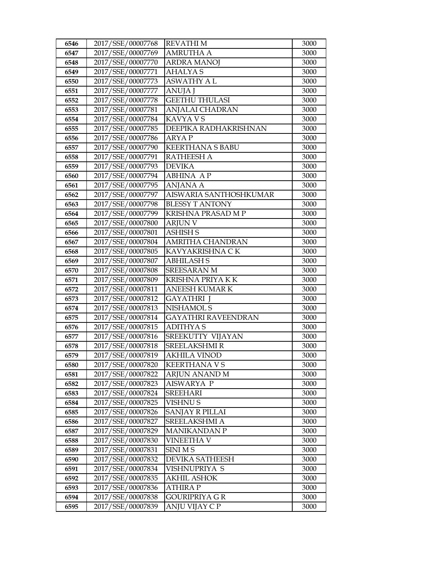| 6546 | 2017/SSE/00007768 | <b>REVATHIM</b>            | 3000 |
|------|-------------------|----------------------------|------|
| 6547 | 2017/SSE/00007769 | <b>AMRUTHA A</b>           | 3000 |
| 6548 | 2017/SSE/00007770 | <b>ARDRA MANOJ</b>         | 3000 |
| 6549 | 2017/SSE/00007771 | <b>AHALYAS</b>             | 3000 |
| 6550 | 2017/SSE/00007773 | <b>ASWATHY A L</b>         | 3000 |
| 6551 | 2017/SSE/00007777 | <b>ANUJA J</b>             | 3000 |
| 6552 | 2017/SSE/00007778 | <b>GEETHU THULASI</b>      | 3000 |
| 6553 | 2017/SSE/00007781 | ANJALAI CHADRAN            | 3000 |
| 6554 | 2017/SSE/00007784 | <b>KAVYA VS</b>            | 3000 |
| 6555 | 2017/SSE/00007785 | DEEPIKA RADHAKRISHNAN      | 3000 |
| 6556 | 2017/SSE/00007786 | <b>ARYAP</b>               | 3000 |
| 6557 | 2017/SSE/00007790 | <b>KEERTHANA S BABU</b>    | 3000 |
| 6558 | 2017/SSE/00007791 | <b>RATHEESH A</b>          | 3000 |
| 6559 | 2017/SSE/00007793 | <b>DEVIKA</b>              | 3000 |
| 6560 | 2017/SSE/00007794 | <b>ABHINA AP</b>           | 3000 |
| 6561 | 2017/SSE/00007795 | <b>ANJANA A</b>            | 3000 |
| 6562 | 2017/SSE/00007797 | AISWARIA SANTHOSHKUMAR     | 3000 |
| 6563 | 2017/SSE/00007798 | <b>BLESSY T ANTONY</b>     | 3000 |
| 6564 | 2017/SSE/00007799 | KRISHNA PRASAD M P         | 3000 |
| 6565 | 2017/SSE/00007800 | <b>ARJUN V</b>             | 3000 |
| 6566 | 2017/SSE/00007801 | <b>ASHISH S</b>            | 3000 |
| 6567 | 2017/SSE/00007804 | <b>AMRITHA CHANDRAN</b>    | 3000 |
| 6568 | 2017/SSE/00007805 | KAVYAKRISHNA CK            | 3000 |
| 6569 | 2017/SSE/00007807 | <b>ABHILASH S</b>          | 3000 |
| 6570 | 2017/SSE/00007808 | <b>SREESARAN M</b>         | 3000 |
| 6571 | 2017/SSE/00007809 | KRISHNA PRIYA K K          | 3000 |
| 6572 | 2017/SSE/00007811 | <b>ANEESH KUMAR K</b>      | 3000 |
| 6573 | 2017/SSE/00007812 | <b>GAYATHRI</b> J          | 3000 |
| 6574 | 2017/SSE/00007813 | <b>NISHAMOL S</b>          | 3000 |
| 6575 | 2017/SSE/00007814 | <b>GAYATHRI RAVEENDRAN</b> | 3000 |
| 6576 | 2017/SSE/00007815 | <b>ADITHYAS</b>            | 3000 |
| 6577 | 2017/SSE/00007816 | SREEKUTTY VIJAYAN          | 3000 |
| 6578 | 2017/SSE/00007818 | <b>SREELAKSHMIR</b>        | 3000 |
| 6579 | 2017/SSE/00007819 | <b>AKHILA VINOD</b>        | 3000 |
| 6580 | 2017/SSE/00007820 | <b>KEERTHANA V S</b>       | 3000 |
| 6581 | 2017/SSE/00007822 | ARJUN ANAND M              | 3000 |
| 6582 | 2017/SSE/00007823 | AISWARYA P                 | 3000 |
| 6583 | 2017/SSE/00007824 | <b>SREEHARI</b>            | 3000 |
| 6584 | 2017/SSE/00007825 | <b>VISHNUS</b>             | 3000 |
| 6585 | 2017/SSE/00007826 | <b>SANJAY R PILLAI</b>     | 3000 |
| 6586 | 2017/SSE/00007827 | SREELAKSHMI A              | 3000 |
| 6587 | 2017/SSE/00007829 | <b>MANIKANDAN P</b>        | 3000 |
| 6588 | 2017/SSE/00007830 | <b>VINEETHA V</b>          | 3000 |
| 6589 | 2017/SSE/00007831 | SINI MS                    | 3000 |
| 6590 | 2017/SSE/00007832 | DEVIKA SATHEESH            | 3000 |
| 6591 | 2017/SSE/00007834 | VISHNUPRIYA S              | 3000 |
| 6592 | 2017/SSE/00007835 | <b>AKHIL ASHOK</b>         | 3000 |
| 6593 | 2017/SSE/00007836 | <b>ATHIRAP</b>             | 3000 |
| 6594 | 2017/SSE/00007838 | <b>GOURIPRIYA G R</b>      | 3000 |
| 6595 | 2017/SSE/00007839 | ANJU VIJAY C P             | 3000 |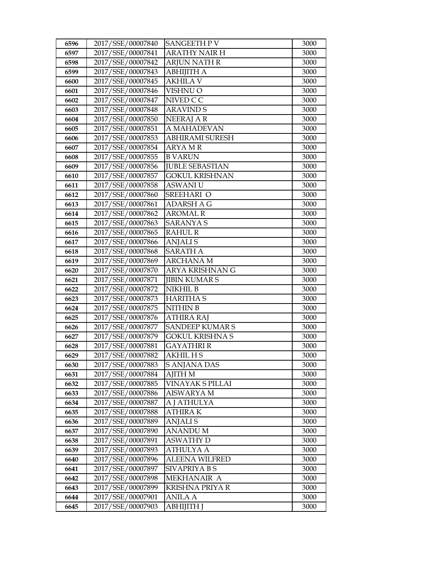| 6596         | 2017/SSE/00007840                      | <b>SANGEETH P V</b>            | 3000         |
|--------------|----------------------------------------|--------------------------------|--------------|
| 6597         | 2017/SSE/00007841                      | <b>ARATHY NAIR H</b>           | 3000         |
| 6598         | 2017/SSE/00007842                      | <b>ARJUN NATH R</b>            | 3000         |
| 6599         | 2017/SSE/00007843                      | АВНІЈІТНА                      | 3000         |
| 6600         | 2017/SSE/00007845                      | <b>AKHILA V</b>                | 3000         |
| 6601         | 2017/SSE/00007846                      | VISHNU O                       | 3000         |
| 6602         | 2017/SSE/00007847                      | NIVED C C                      | 3000         |
| 6603         | 2017/SSE/00007848                      | <b>ARAVIND S</b>               | 3000         |
| 6604         | 2017/SSE/00007850                      | <b>NEERAJ A R</b>              | 3000         |
| 6605         | 2017/SSE/00007851                      | A MAHADEVAN                    | 3000         |
| 6606         | 2017/SSE/00007853                      | ABHIRAMI SURESH                | 3000         |
| 6607         | 2017/SSE/00007854                      | <b>ARYAMR</b>                  | 3000         |
| 6608         | 2017/SSE/00007855                      | <b>B VARUN</b>                 | 3000         |
| 6609         | 2017/SSE/00007856                      | <b>JUBLE SEBASTIAN</b>         | 3000         |
| 6610         | 2017/SSE/00007857                      | <b>GOKUL KRISHNAN</b>          | 3000         |
| 6611         | 2017/SSE/00007858                      | <b>ASWANI U</b>                | 3000         |
| 6612         | 2017/SSE/00007860                      | SREEHARI O                     | 3000         |
| 6613         | 2017/SSE/00007861                      | <b>ADARSH A G</b>              | 3000         |
| 6614         | 2017/SSE/00007862                      | <b>AROMAL R</b>                | 3000         |
| 6615         | 2017/SSE/00007863                      | <b>SARANYA S</b>               | 3000         |
| 6616         | 2017/SSE/00007865                      | <b>RAHUL R</b>                 | 3000         |
| 6617         | 2017/SSE/00007866                      | <b>ANJALIS</b>                 | 3000         |
| 6618         | 2017/SSE/00007868                      | <b>SARATH A</b>                | 3000         |
| 6619         | 2017/SSE/00007869                      | <b>ARCHANA M</b>               | 3000         |
| 6620         | 2017/SSE/00007870                      | ARYA KRISHNAN G                | 3000         |
| 6621         | 2017/SSE/00007871                      | <b>JIBIN KUMAR S</b>           | 3000         |
| 6622         | 2017/SSE/00007872                      | NIKHIL B                       | 3000         |
| 6623         | 2017/SSE/00007873                      | <b>HARITHAS</b>                | 3000         |
| 6624         | 2017/SSE/00007875                      | <b>NITHIN B</b>                | 3000         |
| 6625         | 2017/SSE/00007876                      | ATHIRA RAJ                     | 3000         |
| 6626         | 2017/SSE/00007877                      | <b>SANDEEP KUMAR S</b>         | 3000         |
| 6627         | 2017/SSE/00007879                      | GOKUL KRISHNA S                | 3000         |
| 6628         | 2017/SSE/00007881                      | <b>GAYATHRI R</b>              | 3000         |
| 6629         | 2017/SSE/00007882                      | AKHIL H S                      | 3000         |
| 6630         | 2017/SSE/00007883<br>2017/SSE/00007884 | S ANJANA DAS<br><b>AJITH M</b> | 3000<br>3000 |
| 6631<br>6632 | 2017/SSE/00007885                      | VINAYAK S PILLAI               | 3000         |
| 6633         | 2017/SSE/00007886                      | <b>AISWARYA M</b>              | 3000         |
| 6634         | 2017/SSE/00007887                      | A J ATHULYA                    | 3000         |
| 6635         | 2017/SSE/00007888                      | ATHIRA K                       | 3000         |
| 6636         | 2017/SSE/00007889                      | <b>ANJALIS</b>                 | 3000         |
| 6637         | 2017/SSE/00007890                      | <b>ANANDUM</b>                 | 3000         |
| 6638         | 2017/SSE/00007891                      | <b>ASWATHY D</b>               | 3000         |
| 6639         | 2017/SSE/00007893                      | <b>ATHULYA A</b>               | 3000         |
| 6640         | 2017/SSE/00007896                      | ALEENA WILFRED                 | 3000         |
| 6641         | 2017/SSE/00007897                      | SIVAPRIYA B S                  | 3000         |
| 6642         | 2017/SSE/00007898                      | MEKHANAIR A                    | 3000         |
| 6643         | 2017/SSE/00007899                      | <b>KRISHNA PRIYA R</b>         | 3000         |
| 6644         | 2017/SSE/00007901                      | ANILA A                        | 3000         |
| 6645         | 2017/SSE/00007903                      | ABHIJITH J                     | 3000         |
|              |                                        |                                |              |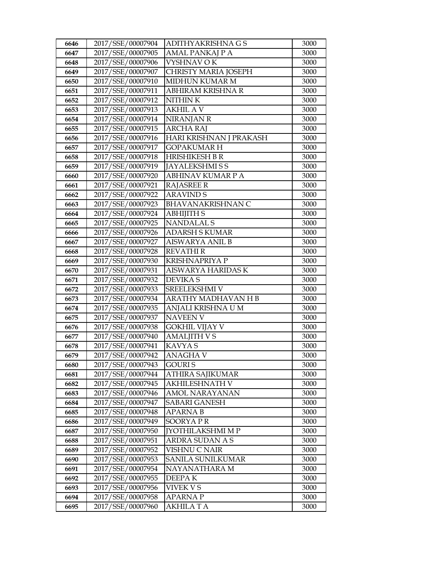| 6646         | 2017/SSE/00007904                      | ADITHYAKRISHNA G S          | 3000         |
|--------------|----------------------------------------|-----------------------------|--------------|
| 6647         | 2017/SSE/00007905                      | AMAL PANKAJ P A             | 3000         |
| 6648         | 2017/SSE/00007906                      | VYSHNAV OK                  | 3000         |
| 6649         | 2017/SSE/00007907                      | <b>CHRISTY MARIA JOSEPH</b> | 3000         |
| 6650         | 2017/SSE/00007910                      | MIDHUN KUMAR M              | 3000         |
| 6651         | 2017/SSE/00007911                      | ABHIRAM KRISHNA R           | 3000         |
| 6652         | 2017/SSE/00007912                      | NITHIN K                    | 3000         |
| 6653         | 2017/SSE/00007913                      | <b>AKHIL AV</b>             | 3000         |
| 6654         | 2017/SSE/00007914                      | <b>NIRANJAN R</b>           | 3000         |
| 6655         | 2017/SSE/00007915                      | <b>ARCHA RAJ</b>            | 3000         |
| 6656         | 2017/SSE/00007916                      | HARI KRISHNAN J PRAKASH     | 3000         |
| 6657         | 2017/SSE/00007917                      | <b>GOPAKUMARH</b>           | 3000         |
| 6658         | 2017/SSE/00007918                      | <b>HRISHIKESH B R</b>       | 3000         |
| 6659         | 2017/SSE/00007919                      | <b>JAYALEKSHMISS</b>        | 3000         |
| 6660         | 2017/SSE/00007920                      | <b>ABHINAV KUMAR P A</b>    | 3000         |
| 6661         | 2017/SSE/00007921                      | <b>RAJASREE R</b>           | 3000         |
| 6662         | 2017/SSE/00007922                      | <b>ARAVIND S</b>            | 3000         |
| 6663         | 2017/SSE/00007923                      | <b>BHAVANAKRISHNAN C</b>    | 3000         |
| 6664         | 2017/SSE/00007924                      | <b>ABHIJITH S</b>           | 3000         |
| 6665         | 2017/SSE/00007925                      | <b>NANDALAL S</b>           | 3000         |
| 6666         | 2017/SSE/00007926                      | <b>ADARSH S KUMAR</b>       | 3000         |
| 6667         | 2017/SSE/00007927                      | AISWARYA ANIL B             | 3000         |
| 6668         | 2017/SSE/00007928                      | <b>REVATHIR</b>             | 3000         |
| 6669         | 2017/SSE/00007930                      | <b>KRISHNAPRIYA P</b>       | 3000         |
| 6670         | 2017/SSE/00007931                      | AISWARYA HARIDAS K          | 3000         |
| 6671         | 2017/SSE/00007932                      | <b>DEVIKAS</b>              | 3000         |
| 6672         | 2017/SSE/00007933                      | SREELEKSHMI V               | 3000         |
| 6673         | 2017/SSE/00007934                      | ARATHY MADHAVAN H B         | 3000         |
| 6674         | 2017/SSE/00007935                      | ANJALI KRISHNA U M          | 3000         |
| 6675         | 2017/SSE/00007937                      | <b>NAVEEN V</b>             | 3000         |
| 6676         | 2017/SSE/00007938                      | <b>GOKHIL VIJAY V</b>       | 3000         |
| 6677         | 2017/SSE/00007940                      | <b>AMALJITH VS</b>          | 3000<br>3000 |
| 6678<br>6679 | 2017/SSE/00007941<br>2017/SSE/00007942 | <b>KAVYAS</b><br>ANAGHA V   | 3000         |
| 6680         | 2017/SSE/00007943                      | <b>GOURIS</b>               | 3000         |
| 6681         | 2017/SSE/00007944                      | ATHIRA SAJIKUMAR            | 3000         |
| 6682         | 2017/SSE/00007945                      | AKHILESHNATH V              | 3000         |
| 6683         | 2017/SSE/00007946                      | <b>AMOL NARAYANAN</b>       | 3000         |
| 6684         | 2017/SSE/00007947                      | <b>SABARI GANESH</b>        | 3000         |
| 6685         | 2017/SSE/00007948                      | APARNA B                    | 3000         |
| 6686         | 2017/SSE/00007949                      | SOORYAPR                    | 3000         |
| 6687         | 2017/SSE/00007950                      | JYOTHILAKSHMI M P           | 3000         |
| 6688         | 2017/SSE/00007951                      | ARDRA SUDAN A S             | 3000         |
| 6689         | 2017/SSE/00007952                      | VISHNU C NAIR               | 3000         |
| 6690         | 2017/SSE/00007953                      | SANILA SUNILKUMAR           | 3000         |
| 6691         | 2017/SSE/00007954                      | NAYANATHARA M               | 3000         |
| 6692         | 2017/SSE/00007955                      | DEEPA K                     | 3000         |
| 6693         | 2017/SSE/00007956                      | <b>VIVEK V S</b>            | 3000         |
| 6694         | 2017/SSE/00007958                      | APARNA P                    | 3000         |
| 6695         | 2017/SSE/00007960                      | AKHILA T A                  | 3000         |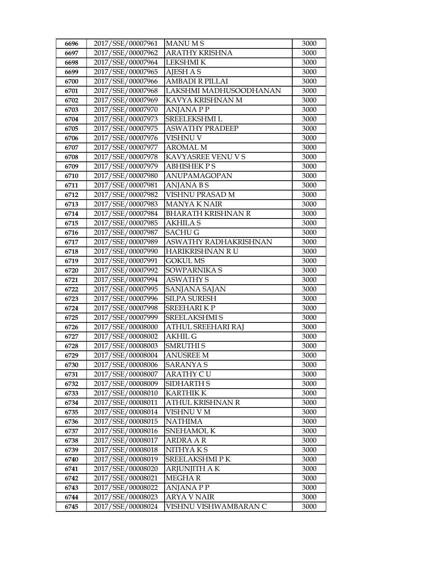| 6696 | 2017/SSE/00007961 | <b>MANUMS</b>             | 3000 |
|------|-------------------|---------------------------|------|
| 6697 | 2017/SSE/00007962 | <b>ARATHY KRISHNA</b>     | 3000 |
| 6698 | 2017/SSE/00007964 | <b>LEKSHMI K</b>          | 3000 |
| 6699 | 2017/SSE/00007965 | <b>AJESH A S</b>          | 3000 |
| 6700 | 2017/SSE/00007966 | <b>AMBADI R PILLAI</b>    | 3000 |
| 6701 | 2017/SSE/00007968 | LAKSHMI MADHUSOODHANAN    | 3000 |
| 6702 | 2017/SSE/00007969 | KAVYA KRISHNAN M          | 3000 |
| 6703 | 2017/SSE/00007970 | <b>ANJANA P P</b>         | 3000 |
| 6704 | 2017/SSE/00007973 | SREELEKSHMI L             | 3000 |
| 6705 | 2017/SSE/00007975 | <b>ASWATHY PRADEEP</b>    | 3000 |
| 6706 | 2017/SSE/00007976 | VISHNU V                  | 3000 |
| 6707 | 2017/SSE/00007977 | AROMAL M                  | 3000 |
| 6708 | 2017/SSE/00007978 | KAVYASREE VENU V S        | 3000 |
| 6709 | 2017/SSE/00007979 | <b>ABHISHEK PS</b>        | 3000 |
| 6710 | 2017/SSE/00007980 | ANUPAMAGOPAN              | 3000 |
| 6711 | 2017/SSE/00007981 | <b>ANJANA BS</b>          | 3000 |
| 6712 | 2017/SSE/00007982 | VISHNU PRASAD M           | 3000 |
| 6713 | 2017/SSE/00007983 | <b>MANYA K NAIR</b>       | 3000 |
| 6714 | 2017/SSE/00007984 | <b>BHARATH KRISHNAN R</b> | 3000 |
| 6715 | 2017/SSE/00007985 | <b>AKHILA S</b>           | 3000 |
| 6716 | 2017/SSE/00007987 | <b>SACHUG</b>             | 3000 |
| 6717 | 2017/SSE/00007989 | ASWATHY RADHAKRISHNAN     | 3000 |
| 6718 | 2017/SSE/00007990 | HARIKRISHNAN RU           | 3000 |
| 6719 | 2017/SSE/00007991 | <b>GOKUL MS</b>           | 3000 |
| 6720 | 2017/SSE/00007992 | SOWPARNIKA S              | 3000 |
| 6721 | 2017/SSE/00007994 | <b>ASWATHY S</b>          | 3000 |
| 6722 | 2017/SSE/00007995 | SANJANA SAJAN             | 3000 |
| 6723 | 2017/SSE/00007996 | <b>SILPA SURESH</b>       | 3000 |
| 6724 | 2017/SSE/00007998 | <b>SREEHARIKP</b>         | 3000 |
| 6725 | 2017/SSE/00007999 | <b>SREELAKSHMI S</b>      | 3000 |
| 6726 | 2017/SSE/00008000 | ATHUL SREEHARI RAJ        | 3000 |
| 6727 | 2017/SSE/00008002 | AKHIL G                   | 3000 |
| 6728 | 2017/SSE/00008003 | <b>SMRUTHIS</b>           | 3000 |
| 6729 | 2017/SSE/00008004 | <b>ANUSREE M</b>          | 3000 |
| 6730 | 2017/SSE/00008006 | <b>SARANYA S</b>          | 3000 |
| 6731 | 2017/SSE/00008007 | ARATHY C U                | 3000 |
| 6732 | 2017/SSE/00008009 | <b>SIDHARTH S</b>         | 3000 |
| 6733 | 2017/SSE/00008010 | <b>KARTHIK K</b>          | 3000 |
| 6734 | 2017/SSE/00008011 | ATHUL KRISHNAN R          | 3000 |
| 6735 | 2017/SSE/00008014 | VISHNU V M                | 3000 |
| 6736 | 2017/SSE/00008015 | <b>NATHIMA</b>            | 3000 |
| 6737 | 2017/SSE/00008016 | SNEHAMOL K                | 3000 |
| 6738 | 2017/SSE/00008017 | <b>ARDRA A R</b>          | 3000 |
| 6739 | 2017/SSE/00008018 | NITHYAKS                  | 3000 |
| 6740 | 2017/SSE/00008019 | SREELAKSHMI P K           | 3000 |
| 6741 | 2017/SSE/00008020 | ARJUNJITH A K             | 3000 |
| 6742 | 2017/SSE/00008021 | <b>MEGHAR</b>             | 3000 |
| 6743 | 2017/SSE/00008022 | <b>ANJANA P P</b>         | 3000 |
| 6744 | 2017/SSE/00008023 | <b>ARYA V NAIR</b>        | 3000 |
| 6745 | 2017/SSE/00008024 | VISHNU VISHWAMBARAN C     | 3000 |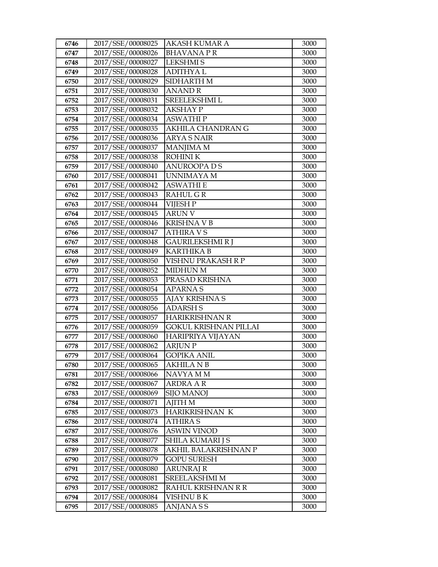| 6746         | 2017/SSE/00008025                      | AKASH KUMAR A                  | 3000         |
|--------------|----------------------------------------|--------------------------------|--------------|
| 6747         | 2017/SSE/00008026                      | <b>BHAVANAPR</b>               | 3000         |
| 6748         | 2017/SSE/00008027                      | <b>LEKSHMIS</b>                | 3000         |
| 6749         | 2017/SSE/00008028                      | <b>ADITHYAL</b>                | 3000         |
| 6750         | 2017/SSE/00008029                      | SIDHARTH M                     | 3000         |
| 6751         | 2017/SSE/00008030                      | <b>ANAND R</b>                 | 3000         |
| 6752         | 2017/SSE/00008031                      | SREELEKSHMI L                  | 3000         |
| 6753         | 2017/SSE/00008032                      | <b>AKSHAY P</b>                | 3000         |
| 6754         | 2017/SSE/00008034                      | <b>ASWATHIP</b>                | 3000         |
| 6755         | 2017/SSE/00008035                      | AKHILA CHANDRAN G              | 3000         |
| 6756         | 2017/SSE/00008036                      | ARYA S NAIR                    | 3000         |
| 6757         | 2017/SSE/00008037                      | <b>MANJIMA M</b>               | 3000         |
| 6758         | 2017/SSE/00008038                      | <b>ROHINIK</b>                 | 3000         |
| 6759         | 2017/SSE/00008040                      | <b>ANUROOPA D S</b>            | 3000         |
| 6760         | 2017/SSE/00008041                      | UNNIMAYA M                     | 3000         |
| 6761         | 2017/SSE/00008042                      | <b>ASWATHI E</b>               | 3000         |
| 6762         | 2017/SSE/00008043                      | <b>RAHUL GR</b>                | 3000         |
| 6763         | 2017/SSE/00008044                      | <b>VIJESH P</b>                | 3000         |
| 6764         | 2017/SSE/00008045                      | <b>ARUN V</b>                  | 3000         |
| 6765         | 2017/SSE/00008046                      | <b>KRISHNA V B</b>             | 3000         |
| 6766         | 2017/SSE/00008047                      | ATHIRA V S                     | 3000         |
| 6767         | 2017/SSE/00008048                      | GAURILEKSHMI R J               | 3000         |
| 6768         | 2017/SSE/00008049                      | <b>KARTHIKA B</b>              | 3000         |
| 6769         | 2017/SSE/00008050                      | VISHNU PRAKASH R P             | 3000         |
| 6770         | 2017/SSE/00008052                      | <b>MIDHUN M</b>                | 3000         |
| 6771         | 2017/SSE/00008053                      | PRASAD KRISHNA                 | 3000         |
| 6772         | 2017/SSE/00008054                      | <b>APARNAS</b>                 | 3000         |
| 6773         | 2017/SSE/00008055                      | AJAY KRISHNA S                 | 3000         |
| 6774         | 2017/SSE/00008056                      | <b>ADARSH S</b>                | 3000         |
| 6775         | 2017/SSE/00008057                      | <b>HARIKRISHNAN R</b>          | 3000         |
| 6776         | 2017/SSE/00008059                      | GOKUL KRISHNAN PILLAI          | 3000         |
| 6777         | 2017/SSE/00008060                      | HARIPRIYA VIJAYAN              | 3000         |
| 6778         | 2017/SSE/00008062                      | <b>ARJUNP</b>                  | 3000         |
| 6779         | 2017/SSE/00008064                      | <b>GOPIKA ANIL</b>             | 3000         |
| 6780         | 2017/SSE/00008065                      | AKHILA N B                     | 3000         |
| 6781         | 2017/SSE/00008066                      | NAVYA M M                      | 3000         |
| 6782<br>6783 | 2017/SSE/00008067<br>2017/SSE/00008069 | ARDRA A R<br><b>SIJO MANOJ</b> | 3000<br>3000 |
| 6784         | 2017/SSE/00008071                      | <b>AJITH M</b>                 | 3000         |
| 6785         | 2017/SSE/00008073                      | HARIKRISHNAN K                 | 3000         |
| 6786         | 2017/SSE/00008074                      | ATHIRA S                       | 3000         |
| 6787         | 2017/SSE/00008076                      | <b>ASWIN VINOD</b>             | 3000         |
| 6788         | 2017/SSE/00008077                      | <b>SHILA KUMARI J S</b>        | 3000         |
| 6789         | 2017/SSE/00008078                      | AKHIL BALAKRISHNAN P           | 3000         |
| 6790         | 2017/SSE/00008079                      | GOPU SURESH                    | 3000         |
| 6791         | 2017/SSE/00008080                      | ARUNRAJ R                      | 3000         |
| 6792         | 2017/SSE/00008081                      | SREELAKSHMI M                  | 3000         |
| 6793         | 2017/SSE/00008082                      | RAHUL KRISHNAN R R             | 3000         |
| 6794         | 2017/SSE/00008084                      | VISHNU B K                     | 3000         |
| 6795         | 2017/SSE/00008085                      | ANJANA S S                     | 3000         |
|              |                                        |                                |              |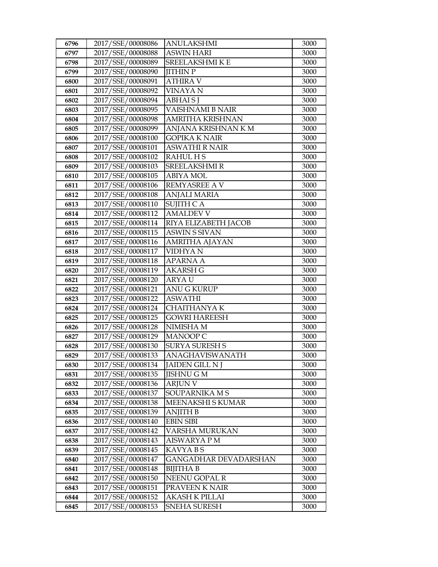| 6796 | 2017/SSE/00008086 | ANULAKSHMI              | 3000 |
|------|-------------------|-------------------------|------|
| 6797 | 2017/SSE/00008088 | <b>ASWIN HARI</b>       | 3000 |
| 6798 | 2017/SSE/00008089 | <b>SREELAKSHMI K E</b>  | 3000 |
| 6799 | 2017/SSE/00008090 | <b>JITHIN P</b>         | 3000 |
| 6800 | 2017/SSE/00008091 | <b>ATHIRA V</b>         | 3000 |
| 6801 | 2017/SSE/00008092 | VINAYA N                | 3000 |
| 6802 | 2017/SSE/00008094 | <b>ABHAIS</b>           | 3000 |
| 6803 | 2017/SSE/00008095 | <b>VAISHNAMI B NAIR</b> | 3000 |
| 6804 | 2017/SSE/00008098 | <b>AMRITHA KRISHNAN</b> | 3000 |
| 6805 | 2017/SSE/00008099 | ANJANA KRISHNAN K M     | 3000 |
| 6806 | 2017/SSE/00008100 | GOPIKA K NAIR           | 3000 |
| 6807 | 2017/SSE/00008101 | <b>ASWATHI R NAIR</b>   | 3000 |
| 6808 | 2017/SSE/00008102 | <b>RAHUL HS</b>         | 3000 |
| 6809 | 2017/SSE/00008103 | <b>SREELAKSHMIR</b>     | 3000 |
| 6810 | 2017/SSE/00008105 | <b>ABIYA MOL</b>        | 3000 |
| 6811 | 2017/SSE/00008106 | <b>REMYASREE A V</b>    | 3000 |
| 6812 | 2017/SSE/00008108 | ANJALI MARIA            | 3000 |
| 6813 | 2017/SSE/00008110 | <b>SUJITH CA</b>        | 3000 |
| 6814 | 2017/SSE/00008112 | <b>AMALDEV V</b>        | 3000 |
| 6815 | 2017/SSE/00008114 | RIYA ELIZABETH JACOB    | 3000 |
| 6816 | 2017/SSE/00008115 | <b>ASWIN S SIVAN</b>    | 3000 |
| 6817 | 2017/SSE/00008116 | AMRITHA AJAYAN          | 3000 |
| 6818 | 2017/SSE/00008117 | <b>VIDHYAN</b>          | 3000 |
| 6819 | 2017/SSE/00008118 | <b>APARNA A</b>         | 3000 |
| 6820 | 2017/SSE/00008119 | AKARSH G                | 3000 |
| 6821 | 2017/SSE/00008120 | ARYA U                  | 3000 |
| 6822 | 2017/SSE/00008121 | <b>ANU G KURUP</b>      | 3000 |
| 6823 | 2017/SSE/00008122 | <b>ASWATHI</b>          | 3000 |
| 6824 | 2017/SSE/00008124 | <b>CHAITHANYAK</b>      | 3000 |
| 6825 | 2017/SSE/00008125 | <b>GOWRI HAREESH</b>    | 3000 |
| 6826 | 2017/SSE/00008128 | NIMISHA M               | 3000 |
| 6827 | 2017/SSE/00008129 | <b>MANOOP C</b>         | 3000 |
| 6828 | 2017/SSE/00008130 | <b>SURYA SURESH S</b>   | 3000 |
| 6829 | 2017/SSE/00008133 | ANAGHAVISWANATH         | 3000 |
| 6830 | 2017/SSE/00008134 | JAIDEN GILL N J         | 3000 |
| 6831 | 2017/SSE/00008135 | JISHNU G M              | 3000 |
| 6832 | 2017/SSE/00008136 | <b>ARJUN V</b>          | 3000 |
| 6833 | 2017/SSE/00008137 | SOUPARNIKA M S          | 3000 |
| 6834 | 2017/SSE/00008138 | MEENAKSHI S KUMAR       | 3000 |
| 6835 | 2017/SSE/00008139 | <b>ANJITH B</b>         | 3000 |
| 6836 | 2017/SSE/00008140 | <b>EBIN SIBI</b>        | 3000 |
| 6837 | 2017/SSE/00008142 | VARSHA MURUKAN          | 3000 |
| 6838 | 2017/SSE/00008143 | <b>AISWARYA P M</b>     | 3000 |
| 6839 | 2017/SSE/00008145 | KAVYA B S               | 3000 |
| 6840 | 2017/SSE/00008147 | GANGADHAR DEVADARSHAN   | 3000 |
| 6841 | 2017/SSE/00008148 | <b>BIJITHA B</b>        | 3000 |
| 6842 | 2017/SSE/00008150 | NEENU GOPAL R           | 3000 |
| 6843 | 2017/SSE/00008151 | PRAVEEN K NAIR          | 3000 |
| 6844 | 2017/SSE/00008152 | AKASH K PILLAI          | 3000 |
| 6845 | 2017/SSE/00008153 | <b>SNEHA SURESH</b>     | 3000 |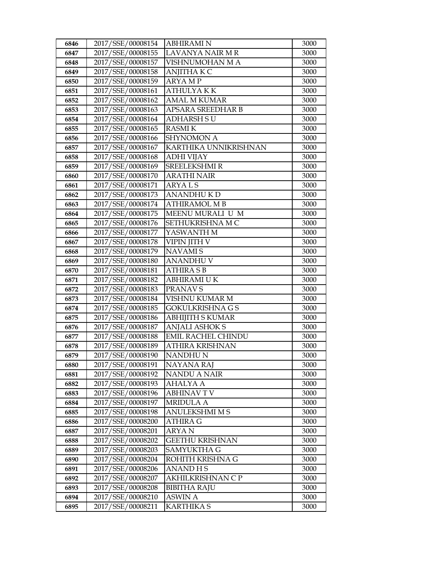| 6846 | 2017/SSE/00008154 | <b>ABHIRAMI N</b>         | 3000 |
|------|-------------------|---------------------------|------|
| 6847 | 2017/SSE/00008155 | LAVANYA NAIR M R          | 3000 |
| 6848 | 2017/SSE/00008157 | VISHNUMOHAN M A           | 3000 |
| 6849 | 2017/SSE/00008158 | <b>ANJITHA K C</b>        | 3000 |
| 6850 | 2017/SSE/00008159 | <b>ARYAMP</b>             | 3000 |
| 6851 | 2017/SSE/00008161 | <b>ATHULYAKK</b>          | 3000 |
| 6852 | 2017/SSE/00008162 | <b>AMAL M KUMAR</b>       | 3000 |
| 6853 | 2017/SSE/00008163 | APSARA SREEDHAR B         | 3000 |
| 6854 | 2017/SSE/00008164 | <b>ADHARSH SU</b>         | 3000 |
| 6855 | 2017/SSE/00008165 | <b>RASMIK</b>             | 3000 |
| 6856 | 2017/SSE/00008166 | <b>SHYNOMON A</b>         | 3000 |
| 6857 | 2017/SSE/00008167 | KARTHIKA UNNIKRISHNAN     | 3000 |
| 6858 | 2017/SSE/00008168 | <b>ADHI VIJAY</b>         | 3000 |
| 6859 | 2017/SSE/00008169 | <b>SREELEKSHMIR</b>       | 3000 |
| 6860 | 2017/SSE/00008170 | <b>ARATHI NAIR</b>        | 3000 |
| 6861 | 2017/SSE/00008171 | <b>ARYALS</b>             | 3000 |
| 6862 | 2017/SSE/00008173 | <b>ANANDHUKD</b>          | 3000 |
| 6863 | 2017/SSE/00008174 | <b>ATHIRAMOL M B</b>      | 3000 |
| 6864 | 2017/SSE/00008175 | MEENU MURALI U M          | 3000 |
| 6865 | 2017/SSE/00008176 | SETHUKRISHNA MC           | 3000 |
| 6866 | 2017/SSE/00008177 | YASWANTH M                | 3000 |
| 6867 | 2017/SSE/00008178 | VIPIN JITH V              | 3000 |
| 6868 | 2017/SSE/00008179 | <b>NAVAMIS</b>            | 3000 |
| 6869 | 2017/SSE/00008180 | <b>ANANDHUV</b>           | 3000 |
| 6870 | 2017/SSE/00008181 | <b>ATHIRA S B</b>         | 3000 |
| 6871 | 2017/SSE/00008182 | ABHIRAMI UK               | 3000 |
| 6872 | 2017/SSE/00008183 | PRANAV S                  | 3000 |
| 6873 | 2017/SSE/00008184 | VISHNU KUMAR M            | 3000 |
| 6874 | 2017/SSE/00008185 | <b>GOKULKRISHNA G S</b>   | 3000 |
| 6875 | 2017/SSE/00008186 | <b>ABHIJITH S KUMAR</b>   | 3000 |
| 6876 | 2017/SSE/00008187 | <b>ANJALI ASHOK S</b>     | 3000 |
| 6877 | 2017/SSE/00008188 | <b>EMIL RACHEL CHINDU</b> | 3000 |
| 6878 | 2017/SSE/00008189 | ATHIRA KRISHNAN           | 3000 |
| 6879 | 2017/SSE/00008190 | <b>NANDHUN</b>            | 3000 |
| 6880 | 2017/SSE/00008191 | <b>NAYANA RAJ</b>         | 3000 |
| 6881 | 2017/SSE/00008192 | <b>NANDU A NAIR</b>       | 3000 |
| 6882 | 2017/SSE/00008193 | <b>AHALYA A</b>           | 3000 |
| 6883 | 2017/SSE/00008196 | <b>ABHINAVTV</b>          | 3000 |
| 6884 | 2017/SSE/00008197 | <b>MRIDULA A</b>          | 3000 |
| 6885 | 2017/SSE/00008198 | <b>ANULEKSHMI M S</b>     | 3000 |
| 6886 | 2017/SSE/00008200 | ATHIRA G                  | 3000 |
| 6887 | 2017/SSE/00008201 | <b>ARYAN</b>              | 3000 |
| 6888 | 2017/SSE/00008202 | <b>GEETHU KRISHNAN</b>    | 3000 |
| 6889 | 2017/SSE/00008203 | <b>SAMYUKTHA G</b>        | 3000 |
| 6890 | 2017/SSE/00008204 | ROHITH KRISHNA G          | 3000 |
| 6891 | 2017/SSE/00008206 | ANAND H S                 | 3000 |
| 6892 | 2017/SSE/00008207 | AKHILKRISHNAN C P         | 3000 |
| 6893 | 2017/SSE/00008208 | <b>BIBITHA RAJU</b>       | 3000 |
| 6894 | 2017/SSE/00008210 | <b>ASWIN A</b>            | 3000 |
| 6895 | 2017/SSE/00008211 | <b>KARTHIKA S</b>         | 3000 |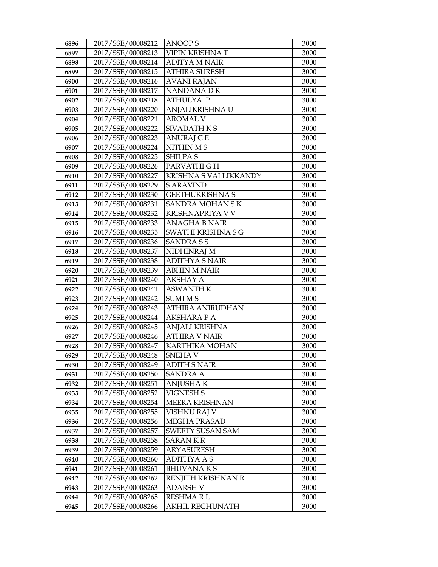| 6896 | 2017/SSE/00008212 | <b>ANOOPS</b>           | 3000 |
|------|-------------------|-------------------------|------|
| 6897 | 2017/SSE/00008213 | VIPIN KRISHNA T         | 3000 |
| 6898 | 2017/SSE/00008214 | <b>ADITYA M NAIR</b>    | 3000 |
| 6899 | 2017/SSE/00008215 | <b>ATHIRA SURESH</b>    | 3000 |
| 6900 | 2017/SSE/00008216 | AVANI RAJAN             | 3000 |
| 6901 | 2017/SSE/00008217 | NANDANA DR              | 3000 |
| 6902 | 2017/SSE/00008218 | <b>ATHULYA P</b>        | 3000 |
| 6903 | 2017/SSE/00008220 | ANJALIKRISHNA U         | 3000 |
| 6904 | 2017/SSE/00008221 | <b>AROMAL V</b>         | 3000 |
| 6905 | 2017/SSE/00008222 | <b>SIVADATHKS</b>       | 3000 |
| 6906 | 2017/SSE/00008223 | ANURAJ C E              | 3000 |
| 6907 | 2017/SSE/00008224 | <b>NITHIN MS</b>        | 3000 |
| 6908 | 2017/SSE/00008225 | <b>SHILPAS</b>          | 3000 |
| 6909 | 2017/SSE/00008226 | PARVATHI G H            | 3000 |
| 6910 | 2017/SSE/00008227 | KRISHNA S VALLIKKANDY   | 3000 |
| 6911 | 2017/SSE/00008229 | <b>S ARAVIND</b>        | 3000 |
| 6912 | 2017/SSE/00008230 | <b>GEETHUKRISHNA S</b>  | 3000 |
| 6913 | 2017/SSE/00008231 | <b>SANDRA MOHAN SK</b>  | 3000 |
| 6914 | 2017/SSE/00008232 | <b>KRISHNAPRIYA V V</b> | 3000 |
| 6915 | 2017/SSE/00008233 | <b>ANAGHA B NAIR</b>    | 3000 |
| 6916 | 2017/SSE/00008235 | SWATHI KRISHNA S G      | 3000 |
| 6917 | 2017/SSE/00008236 | <b>SANDRASS</b>         | 3000 |
| 6918 | 2017/SSE/00008237 | NIDHINRAJ M             | 3000 |
| 6919 | 2017/SSE/00008238 | <b>ADITHYA S NAIR</b>   | 3000 |
| 6920 | 2017/SSE/00008239 | <b>ABHIN M NAIR</b>     | 3000 |
| 6921 | 2017/SSE/00008240 | AKSHAY A                | 3000 |
| 6922 | 2017/SSE/00008241 | <b>ASWANTH K</b>        | 3000 |
| 6923 | 2017/SSE/00008242 | <b>SUMI MS</b>          | 3000 |
| 6924 | 2017/SSE/00008243 | <b>ATHIRA ANIRUDHAN</b> | 3000 |
| 6925 | 2017/SSE/00008244 | <b>AKSHARA P A</b>      | 3000 |
| 6926 | 2017/SSE/00008245 | ANJALI KRISHNA          | 3000 |
| 6927 | 2017/SSE/00008246 | <b>ATHIRA V NAIR</b>    | 3000 |
| 6928 | 2017/SSE/00008247 | <b>KARTHIKA MOHAN</b>   | 3000 |
| 6929 | 2017/SSE/00008248 | <b>SNEHAV</b>           | 3000 |
| 6930 | 2017/SSE/00008249 | <b>ADITH S NAIR</b>     | 3000 |
| 6931 | 2017/SSE/00008250 | <b>SANDRA A</b>         | 3000 |
| 6932 | 2017/SSE/00008251 | <b>ANJUSHAK</b>         | 3000 |
| 6933 | 2017/SSE/00008252 | <b>VIGNESH S</b>        | 3000 |
| 6934 | 2017/SSE/00008254 | MEERA KRISHNAN          | 3000 |
| 6935 | 2017/SSE/00008255 | VISHNU RAJ V            | 3000 |
| 6936 | 2017/SSE/00008256 | <b>MEGHA PRASAD</b>     | 3000 |
| 6937 | 2017/SSE/00008257 | <b>SWEETY SUSAN SAM</b> | 3000 |
| 6938 | 2017/SSE/00008258 | <b>SARANKR</b>          | 3000 |
| 6939 | 2017/SSE/00008259 | <b>ARYASURESH</b>       | 3000 |
| 6940 | 2017/SSE/00008260 | ADITHYA A S             | 3000 |
| 6941 | 2017/SSE/00008261 | <b>BHUVANAKS</b>        | 3000 |
| 6942 | 2017/SSE/00008262 | RENJITH KRISHNAN R      | 3000 |
| 6943 | 2017/SSE/00008263 | <b>ADARSH V</b>         | 3000 |
| 6944 | 2017/SSE/00008265 | RESHMARL                | 3000 |
| 6945 | 2017/SSE/00008266 | AKHIL REGHUNATH         | 3000 |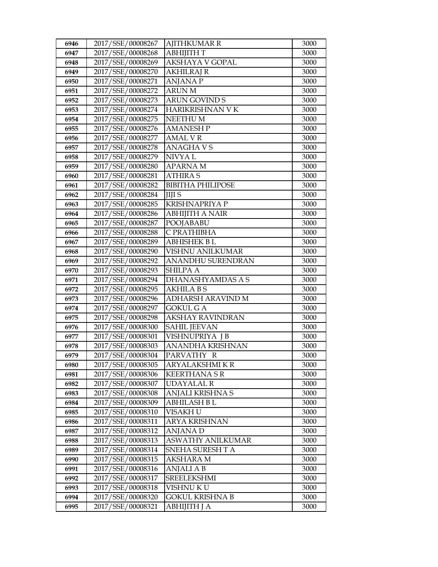| 6946         | 2017/SSE/00008267                      | <b>AJITHKUMAR R</b>            | 3000         |
|--------------|----------------------------------------|--------------------------------|--------------|
| 6947         | 2017/SSE/00008268                      | АВНІЈІТН Т                     | 3000         |
| 6948         | 2017/SSE/00008269                      | <b>AKSHAYA V GOPAL</b>         | 3000         |
| 6949         | 2017/SSE/00008270                      | <b>AKHILRAJ R</b>              | 3000         |
| 6950         | 2017/SSE/00008271                      | <b>ANJANA P</b>                | 3000         |
| 6951         | 2017/SSE/00008272                      | <b>ARUNM</b>                   | 3000         |
| 6952         | 2017/SSE/00008273                      | <b>ARUN GOVIND S</b>           | 3000         |
| 6953         | 2017/SSE/00008274                      | HARIKRISHNAN V K               | 3000         |
| 6954         | 2017/SSE/00008275                      | NEETHU M                       | 3000         |
| 6955         | 2017/SSE/00008276                      | <b>AMANESH P</b>               | 3000         |
| 6956         | 2017/SSE/00008277                      | AMAL V R                       | 3000         |
| 6957         | 2017/SSE/00008278                      | <b>ANAGHAVS</b>                | 3000         |
| 6958         | 2017/SSE/00008279                      | NIVYA L                        | 3000         |
| 6959         | 2017/SSE/00008280                      | <b>APARNAM</b>                 | 3000         |
| 6960         | 2017/SSE/00008281                      | <b>ATHIRAS</b>                 | 3000         |
| 6961         | 2017/SSE/00008282                      | <b>BIBITHA PHILIPOSE</b>       | 3000         |
| 6962         | 2017/SSE/00008284                      | <b>IIII</b> S                  | 3000         |
| 6963         | 2017/SSE/00008285                      | <b>KRISHNAPRIYA P</b>          | 3000         |
| 6964         | 2017/SSE/00008286                      | <b>ABHIJITH A NAIR</b>         | 3000         |
| 6965         | 2017/SSE/00008287                      | <b>POOJABABU</b>               | 3000         |
| 6966         | 2017/SSE/00008288                      | C PRATHIBHA                    | 3000         |
| 6967         | 2017/SSE/00008289                      | <b>ABHISHEK BL</b>             | 3000         |
| 6968         | 2017/SSE/00008290                      | VISHNU ANILKUMAR               | 3000         |
| 6969         | 2017/SSE/00008292                      | <b>ANANDHU SURENDRAN</b>       | 3000         |
| 6970         | 2017/SSE/00008293                      | <b>SHILPA A</b>                | 3000         |
| 6971         | 2017/SSE/00008294                      | DHANASHYAMDAS A S              | 3000         |
| 6972         | 2017/SSE/00008295                      | <b>AKHILA BS</b>               | 3000         |
| 6973         | 2017/SSE/00008296                      | ADHARSH ARAVIND M              | 3000         |
| 6974         | 2017/SSE/00008297                      | <b>GOKUL GA</b>                | 3000         |
| 6975         | 2017/SSE/00008298                      | <b>AKSHAY RAVINDRAN</b>        | 3000         |
| 6976         | 2017/SSE/00008300                      | <b>SAHIL JEEVAN</b>            | 3000         |
| 6977         | 2017/SSE/00008301                      | VISHNUPRIYA J B                | 3000         |
| 6978         | 2017/SSE/00008303                      | <b>ANANDHA KRISHNAN</b>        | 3000         |
| 6979         | 2017/SSE/00008304                      | PARVATHY R                     | 3000         |
| 6980         | 2017/SSE/00008305                      | ARYALAKSHMI K R                | 3000         |
| 6981         | 2017/SSE/00008306                      | <b>KEERTHANA S R</b>           | 3000         |
| 6982         | 2017/SSE/00008307<br>2017/SSE/00008308 | UDAYALAL R<br>ANJALI KRISHNA S | 3000<br>3000 |
| 6983<br>6984 | 2017/SSE/00008309                      | <b>ABHILASH B L</b>            | 3000         |
| 6985         | 2017/SSE/00008310                      | VISAKH U                       | 3000         |
| 6986         | 2017/SSE/00008311                      | ARYA KRISHNAN                  | 3000         |
| 6987         | 2017/SSE/00008312                      | <b>ANJANAD</b>                 | 3000         |
| 6988         | 2017/SSE/00008313                      | <b>ASWATHY ANILKUMAR</b>       | 3000         |
| 6989         | 2017/SSE/00008314                      | SNEHA SURESH TA                | 3000         |
| 6990         | 2017/SSE/00008315                      | AKSHARA M                      | 3000         |
| 6991         | 2017/SSE/00008316                      | ANJALI A B                     | 3000         |
| 6992         | 2017/SSE/00008317                      | <b>SREELEKSHMI</b>             | 3000         |
| 6993         | 2017/SSE/00008318                      | VISHNU KU                      | 3000         |
| 6994         | 2017/SSE/00008320                      | GOKUL KRISHNA B                | 3000         |
| 6995         | 2017/SSE/00008321                      | ABHIJITH J A                   | 3000         |
|              |                                        |                                |              |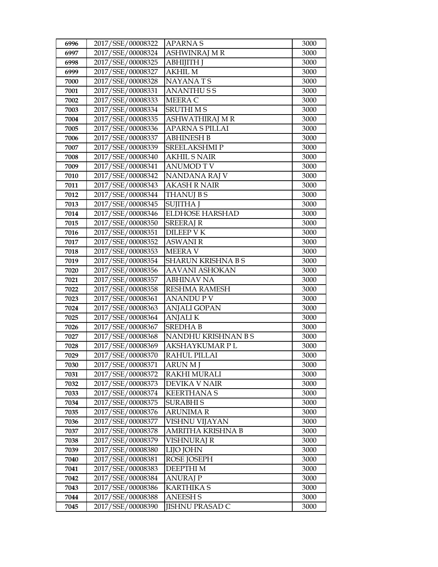| 6996 | 2017/SSE/00008322 | <b>APARNAS</b>         | 3000 |
|------|-------------------|------------------------|------|
| 6997 | 2017/SSE/00008324 | <b>ASHWINRAJ M R</b>   | 3000 |
| 6998 | 2017/SSE/00008325 | <b>АВНІЈІТН Ј</b>      | 3000 |
| 6999 | 2017/SSE/00008327 | <b>AKHIL M</b>         | 3000 |
| 7000 | 2017/SSE/00008328 | <b>NAYANATS</b>        | 3000 |
| 7001 | 2017/SSE/00008331 | <b>ANANTHUSS</b>       | 3000 |
| 7002 | 2017/SSE/00008333 | MEERA C                | 3000 |
| 7003 | 2017/SSE/00008334 | <b>SRUTHIMS</b>        | 3000 |
| 7004 | 2017/SSE/00008335 | ASHWATHIRAJ MR         | 3000 |
| 7005 | 2017/SSE/00008336 | <b>APARNA S PILLAI</b> | 3000 |
| 7006 | 2017/SSE/00008337 | <b>ABHINESH B</b>      | 3000 |
| 7007 | 2017/SSE/00008339 | <b>SREELAKSHMIP</b>    | 3000 |
| 7008 | 2017/SSE/00008340 | <b>AKHIL S NAIR</b>    | 3000 |
| 7009 | 2017/SSE/00008341 | <b>ANUMOD T V</b>      | 3000 |
| 7010 | 2017/SSE/00008342 | NANDANA RAJ V          | 3000 |
| 7011 | 2017/SSE/00008343 | AKASH R NAIR           | 3000 |
| 7012 | 2017/SSE/00008344 | <b>THANUJ B S</b>      | 3000 |
| 7013 | 2017/SSE/00008345 | <b>SUJITHA J</b>       | 3000 |
| 7014 | 2017/SSE/00008346 | <b>ELDHOSE HARSHAD</b> | 3000 |
| 7015 | 2017/SSE/00008350 | <b>SREERAJ R</b>       | 3000 |
| 7016 | 2017/SSE/00008351 | <b>DILEEP V K</b>      | 3000 |
| 7017 | 2017/SSE/00008352 | <b>ASWANI R</b>        | 3000 |
| 7018 | 2017/SSE/00008353 | <b>MEERA V</b>         | 3000 |
| 7019 | 2017/SSE/00008354 | SHARUN KRISHNA B S     | 3000 |
| 7020 | 2017/SSE/00008356 | AAVANI ASHOKAN         | 3000 |
| 7021 | 2017/SSE/00008357 | <b>ABHINAV NA</b>      | 3000 |
| 7022 | 2017/SSE/00008358 | <b>RESHMA RAMESH</b>   | 3000 |
| 7023 | 2017/SSE/00008361 | <b>ANANDUPV</b>        | 3000 |
| 7024 | 2017/SSE/00008363 | <b>ANJALI GOPAN</b>    | 3000 |
| 7025 | 2017/SSE/00008364 | <b>ANJALIK</b>         | 3000 |
| 7026 | 2017/SSE/00008367 | <b>SREDHAB</b>         | 3000 |
| 7027 | 2017/SSE/00008368 | NANDHU KRISHNAN B S    | 3000 |
| 7028 | 2017/SSE/00008369 | <b>AKSHAYKUMAR PL</b>  | 3000 |
| 7029 | 2017/SSE/00008370 | <b>RAHUL PILLAI</b>    | 3000 |
| 7030 | 2017/SSE/00008371 | <b>ARUN M J</b>        | 3000 |
| 7031 | 2017/SSE/00008372 | <b>RAKHI MURALI</b>    | 3000 |
| 7032 | 2017/SSE/00008373 | DEVIKA V NAIR          | 3000 |
| 7033 | 2017/SSE/00008374 | <b>KEERTHANA S</b>     | 3000 |
| 7034 | 2017/SSE/00008375 | <b>SURABHIS</b>        | 3000 |
| 7035 | 2017/SSE/00008376 | ARUNIMA R              | 3000 |
| 7036 | 2017/SSE/00008377 | VISHNU VIJAYAN         | 3000 |
| 7037 | 2017/SSE/00008378 | AMRITHA KRISHNA B      | 3000 |
| 7038 | 2017/SSE/00008379 | <b>VISHNURAJ R</b>     | 3000 |
| 7039 | 2017/SSE/00008380 | LIJO JOHN              | 3000 |
| 7040 | 2017/SSE/00008381 | ROSE JOSEPH            | 3000 |
| 7041 | 2017/SSE/00008383 | DEEPTHI M              | 3000 |
| 7042 | 2017/SSE/00008384 | <b>ANURAJ P</b>        | 3000 |
| 7043 | 2017/SSE/00008386 | <b>KARTHIKA S</b>      | 3000 |
| 7044 | 2017/SSE/00008388 | <b>ANEESH S</b>        | 3000 |
| 7045 | 2017/SSE/00008390 | <b>JISHNU PRASAD C</b> | 3000 |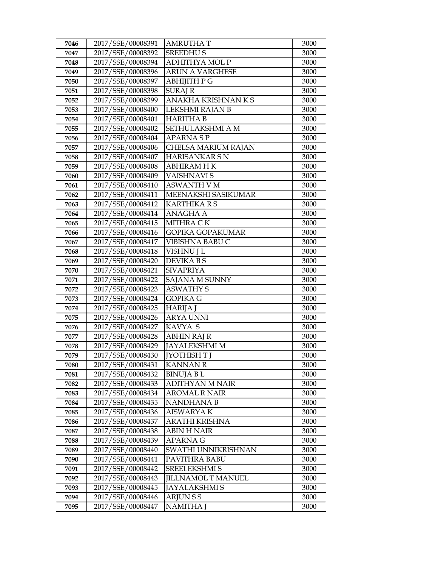| 7046         | 2017/SSE/00008391                      | <b>AMRUTHAT</b>                                | 3000         |
|--------------|----------------------------------------|------------------------------------------------|--------------|
| 7047         | 2017/SSE/00008392                      | <b>SREEDHUS</b>                                | 3000         |
| 7048         | 2017/SSE/00008394                      | <b>ADHITHYA MOL P</b>                          | 3000         |
| 7049         | 2017/SSE/00008396                      | <b>ARUN A VARGHESE</b>                         | 3000         |
| 7050         | 2017/SSE/00008397                      | <b>ABHIJITH P G</b>                            | 3000         |
| 7051         | 2017/SSE/00008398                      | <b>SURAJ R</b>                                 | 3000         |
| 7052         | 2017/SSE/00008399                      | ANAKHA KRISHNAN K S                            | 3000         |
| 7053         | 2017/SSE/00008400                      | LEKSHMI RAJAN B                                | 3000         |
| 7054         | 2017/SSE/00008401                      | <b>HARITHA B</b>                               | 3000         |
| 7055         | 2017/SSE/00008402                      | SETHULAKSHMI A M                               | 3000         |
| 7056         | 2017/SSE/00008404                      | <b>APARNASP</b>                                | 3000         |
| 7057         | 2017/SSE/00008406                      | CHELSA MARIUM RAJAN                            | 3000         |
| 7058         | 2017/SSE/00008407                      | <b>HARISANKAR SN</b>                           | 3000         |
| 7059         | 2017/SSE/00008408                      | <b>ABHIRAM HK</b>                              | 3000         |
| 7060         | 2017/SSE/00008409                      | <b>VAISHNAVIS</b>                              | 3000         |
| 7061         | 2017/SSE/00008410                      | <b>ASWANTH V M</b>                             | 3000         |
| 7062         | 2017/SSE/00008411                      | MEENAKSHI SASIKUMAR                            | 3000         |
| 7063         | 2017/SSE/00008412                      | <b>KARTHIKA R S</b>                            | 3000         |
| 7064         | 2017/SSE/00008414                      | <b>ANAGHA A</b>                                | 3000         |
| 7065         | 2017/SSE/00008415                      | MITHRA CK                                      | 3000         |
| 7066         | 2017/SSE/00008416                      | <b>GOPIKA GOPAKUMAR</b>                        | 3000         |
| 7067         | 2017/SSE/00008417                      | VIBISHNA BABU C                                | 3000         |
| 7068         | 2017/SSE/00008418                      | VISHNU J L                                     | 3000         |
| 7069         | 2017/SSE/00008420                      | DEVIKA B S                                     | 3000         |
| 7070         | 2017/SSE/00008421                      | <b>SIVAPRIYA</b>                               | 3000         |
| 7071         | 2017/SSE/00008422                      | <b>SAJANA M SUNNY</b>                          | 3000         |
| 7072         | 2017/SSE/00008423                      | <b>ASWATHY S</b>                               | 3000         |
| 7073         | 2017/SSE/00008424                      | <b>GOPIKA G</b>                                | 3000         |
| 7074         | 2017/SSE/00008425                      | <b>HARIJA J</b>                                | 3000         |
| 7075         | 2017/SSE/00008426                      | <b>ARYA UNNI</b>                               | 3000         |
| 7076         | 2017/SSE/00008427                      | KAVYA S                                        | 3000         |
| 7077         | 2017/SSE/00008428                      | <b>ABHIN RAJ R</b>                             | 3000         |
| 7078         | 2017/SSE/00008429                      | <b>JAYALEKSHMI M</b>                           | 3000         |
| 7079         | 2017/SSE/00008430                      | <b>IYOTHISH T I</b>                            | 3000         |
| 7080         | 2017/SSE/00008431                      | <b>KANNAN R</b>                                | 3000         |
| 7081         | 2017/SSE/00008432                      | <b>BINUJA BL</b>                               | 3000         |
| 7082         | 2017/SSE/00008433                      | <b>ADITHYAN M NAIR</b><br><b>AROMAL R NAIR</b> | 3000         |
| 7083         | 2017/SSE/00008434<br>2017/SSE/00008435 | NANDHANA B                                     | 3000<br>3000 |
| 7084<br>7085 | 2017/SSE/00008436                      | AISWARYA K                                     | 3000         |
|              | 2017/SSE/00008437                      |                                                | 3000         |
| 7086<br>7087 | 2017/SSE/00008438                      | ARATHI KRISHNA<br><b>ABIN H NAIR</b>           | 3000         |
| 7088         | 2017/SSE/00008439                      | <b>APARNA G</b>                                | 3000         |
| 7089         | 2017/SSE/00008440                      | SWATHI UNNIKRISHNAN                            | 3000         |
| 7090         | 2017/SSE/00008441                      | PAVITHRA BABU                                  | 3000         |
| 7091         | 2017/SSE/00008442                      | <b>SREELEKSHMI S</b>                           | 3000         |
| 7092         | 2017/SSE/00008443                      | <b>JILLNAMOL T MANUEL</b>                      | 3000         |
| 7093         | 2017/SSE/00008445                      | <b>JAYALAKSHMIS</b>                            | 3000         |
| 7094         | 2017/SSE/00008446                      | ARJUN S S                                      | 3000         |
| 7095         | 2017/SSE/00008447                      | <b>NAMITHA J</b>                               | 3000         |
|              |                                        |                                                |              |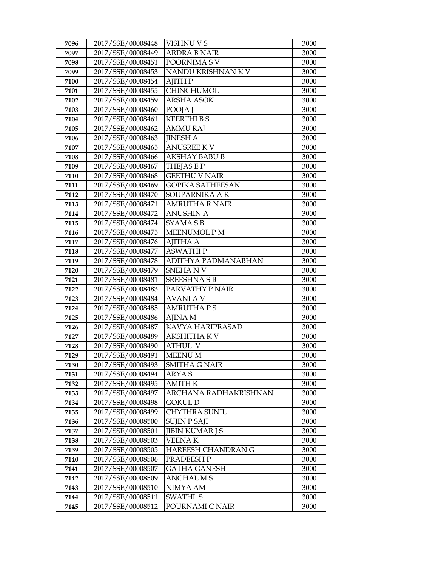| 7096 | 2017/SSE/00008448 | <b>VISHNU V S</b>       | 3000 |
|------|-------------------|-------------------------|------|
| 7097 | 2017/SSE/00008449 | ARDRA B NAIR            | 3000 |
| 7098 | 2017/SSE/00008451 | POORNIMA SV             | 3000 |
| 7099 | 2017/SSE/00008453 | NANDU KRISHNAN K V      | 3000 |
| 7100 | 2017/SSE/00008454 | AJITH P                 | 3000 |
| 7101 | 2017/SSE/00008455 | <b>CHINCHUMOL</b>       | 3000 |
| 7102 | 2017/SSE/00008459 | <b>ARSHA ASOK</b>       | 3000 |
| 7103 | 2017/SSE/00008460 | POOJA J                 | 3000 |
| 7104 | 2017/SSE/00008461 | <b>KEERTHIBS</b>        | 3000 |
| 7105 | 2017/SSE/00008462 | <b>AMMU RAJ</b>         | 3000 |
| 7106 | 2017/SSE/00008463 | <b>JINESH A</b>         | 3000 |
| 7107 | 2017/SSE/00008465 | <b>ANUSREE KV</b>       | 3000 |
| 7108 | 2017/SSE/00008466 | <b>AKSHAY BABU B</b>    | 3000 |
| 7109 | 2017/SSE/00008467 | <b>THEJASEP</b>         | 3000 |
| 7110 | 2017/SSE/00008468 | <b>GEETHU V NAIR</b>    | 3000 |
| 7111 | 2017/SSE/00008469 | <b>GOPIKA SATHEESAN</b> | 3000 |
| 7112 | 2017/SSE/00008470 | SOUPARNIKA A K          | 3000 |
| 7113 | 2017/SSE/00008471 | <b>AMRUTHA R NAIR</b>   | 3000 |
| 7114 | 2017/SSE/00008472 | <b>ANUSHIN A</b>        | 3000 |
| 7115 | 2017/SSE/00008474 | SYAMA S B               | 3000 |
| 7116 | 2017/SSE/00008475 | <b>MEENUMOL PM</b>      | 3000 |
| 7117 | 2017/SSE/00008476 | <b>AJITHA A</b>         | 3000 |
| 7118 | 2017/SSE/00008477 | <b>ASWATHIP</b>         | 3000 |
| 7119 | 2017/SSE/00008478 | ADITHYA PADMANABHAN     | 3000 |
| 7120 | 2017/SSE/00008479 | SNEHANV                 | 3000 |
| 7121 | 2017/SSE/00008481 | <b>SREESHNASB</b>       | 3000 |
| 7122 | 2017/SSE/00008483 | PARVATHY P NAIR         | 3000 |
| 7123 | 2017/SSE/00008484 | <b>AVANI A V</b>        | 3000 |
| 7124 | 2017/SSE/00008485 | <b>AMRUTHAPS</b>        | 3000 |
| 7125 | 2017/SSE/00008486 | AJINA M                 | 3000 |
| 7126 | 2017/SSE/00008487 | KAVYA HARIPRASAD        | 3000 |
| 7127 | 2017/SSE/00008489 | AKSHITHA K V            | 3000 |
| 7128 | 2017/SSE/00008490 | <b>ATHUL V</b>          | 3000 |
| 7129 | 2017/SSE/00008491 | <b>MEENUM</b>           | 3000 |
| 7130 | 2017/SSE/00008493 | <b>SMITHA G NAIR</b>    | 3000 |
| 7131 | 2017/SSE/00008494 | ARYA S                  | 3000 |
| 7132 | 2017/SSE/00008495 | <b>AMITH K</b>          | 3000 |
| 7133 | 2017/SSE/00008497 | ARCHANA RADHAKRISHNAN   | 3000 |
| 7134 | 2017/SSE/00008498 | GOKUL D                 | 3000 |
| 7135 | 2017/SSE/00008499 | CHYTHRA SUNIL           | 3000 |
| 7136 | 2017/SSE/00008500 | <b>SUJIN P SAJI</b>     | 3000 |
| 7137 | 2017/SSE/00008501 | <b>JIBIN KUMAR J S</b>  | 3000 |
| 7138 | 2017/SSE/00008503 | VEENA K                 | 3000 |
| 7139 | 2017/SSE/00008505 | HAREESH CHANDRAN G      | 3000 |
| 7140 | 2017/SSE/00008506 | PRADEESH P              | 3000 |
| 7141 | 2017/SSE/00008507 | GATHA GANESH            | 3000 |
| 7142 | 2017/SSE/00008509 | <b>ANCHAL MS</b>        | 3000 |
| 7143 | 2017/SSE/00008510 | NIMYA AM                | 3000 |
| 7144 | 2017/SSE/00008511 | SWATHI S                | 3000 |
| 7145 | 2017/SSE/00008512 | POURNAMI C NAIR         | 3000 |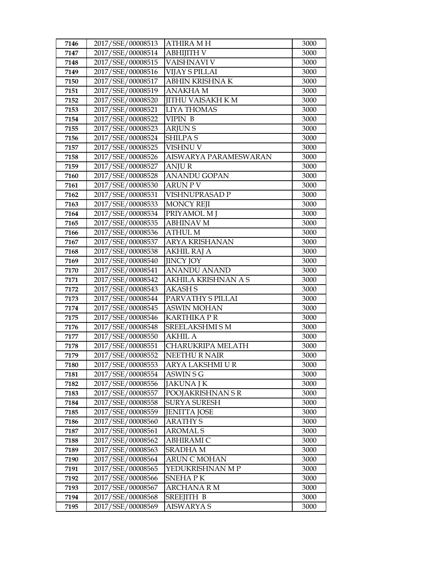| 7146         | 2017/SSE/00008513                      | <b>ATHIRA MH</b>                      | 3000         |
|--------------|----------------------------------------|---------------------------------------|--------------|
| 7147         | 2017/SSE/00008514                      | <b>ABHIJITH V</b>                     | 3000         |
| 7148         | 2017/SSE/00008515                      | <b>VAISHNAVI V</b>                    | 3000         |
| 7149         | 2017/SSE/00008516                      | VIJAY S PILLAI                        | 3000         |
| 7150         | 2017/SSE/00008517                      | ABHIN KRISHNA K                       | 3000         |
| 7151         | 2017/SSE/00008519                      | <b>ANAKHA M</b>                       | 3000         |
| 7152         | 2017/SSE/00008520                      | <b>JITHU VAISAKH K M</b>              | 3000         |
| 7153         | 2017/SSE/00008521                      | <b>LIYA THOMAS</b>                    | 3000         |
| 7154         | 2017/SSE/00008522                      | VIPIN B                               | 3000         |
| 7155         | 2017/SSE/00008523                      | <b>ARJUNS</b>                         | 3000         |
| 7156         | 2017/SSE/00008524                      | <b>SHILPAS</b>                        | 3000         |
| 7157         | 2017/SSE/00008525                      | VISHNU V                              | 3000         |
| 7158         | 2017/SSE/00008526                      | AISWARYA PARAMESWARAN                 | 3000         |
| 7159         | 2017/SSE/00008527                      | <b>ANJUR</b>                          | 3000         |
| 7160         | 2017/SSE/00008528                      | <b>ANANDU GOPAN</b>                   | 3000         |
| 7161         | 2017/SSE/00008530                      | ARUN P V                              | 3000         |
| 7162         | 2017/SSE/00008531                      | VISHNUPRASAD P                        | 3000         |
| 7163         | 2017/SSE/00008533                      | <b>MONCY REJI</b>                     | 3000         |
| 7164         | 2017/SSE/00008534                      | PRIYAMOL M J                          | 3000         |
| 7165         | 2017/SSE/00008535                      | <b>ABHINAV M</b>                      | 3000         |
| 7166         | 2017/SSE/00008536                      | <b>ATHUL M</b>                        | 3000         |
| 7167         | 2017/SSE/00008537                      | <b>ARYA KRISHANAN</b>                 | 3000         |
| 7168         | 2017/SSE/00008538                      | <b>AKHIL RAJ A</b>                    | 3000         |
| 7169         | 2017/SSE/00008540                      | <b>JINCY JOY</b>                      | 3000         |
| 7170         | 2017/SSE/00008541                      | <b>ANANDU ANAND</b>                   | 3000         |
| 7171         | 2017/SSE/00008542                      | AKHILA KRISHNAN A S                   | 3000         |
| 7172         | 2017/SSE/00008543                      | <b>AKASHS</b>                         | 3000         |
| 7173         | 2017/SSE/00008544                      | PARVATHY S PILLAI                     | 3000         |
| 7174         | 2017/SSE/00008545                      | <b>ASWIN MOHAN</b>                    | 3000         |
| 7175         | 2017/SSE/00008546                      | <b>KARTHIKA P R</b>                   | 3000         |
| 7176         | 2017/SSE/00008548                      | SREELAKSHMI SM                        | 3000         |
| 7177         | 2017/SSE/00008550                      | <b>AKHIL A</b>                        | 3000         |
| 7178         | 2017/SSE/00008551                      | CHARUKRIPA MELATH                     | 3000         |
| 7179         | 2017/SSE/00008552                      | <b>NEETHURNAIR</b>                    | 3000         |
| 7180         | 2017/SSE/00008553                      | ARYA LAKSHMI U R                      | 3000         |
| 7181         | 2017/SSE/00008554                      | ASWIN S G                             | 3000         |
| 7182<br>7183 | 2017/SSE/00008556<br>2017/SSE/00008557 | <b>JAKUNA J K</b><br>POOJAKRISHNAN SR | 3000<br>3000 |
| 7184         | 2017/SSE/00008558                      | <b>SURYA SURESH</b>                   | 3000         |
| 7185         | 2017/SSE/00008559                      | <b>JENITTA JOSE</b>                   | 3000         |
| 7186         | 2017/SSE/00008560                      | <b>ARATHY S</b>                       | 3000         |
| 7187         | 2017/SSE/00008561                      | <b>AROMAL S</b>                       | 3000         |
| 7188         | 2017/SSE/00008562                      | ABHIRAMI C                            | 3000         |
| 7189         | 2017/SSE/00008563                      | <b>SRADHAM</b>                        | 3000         |
| 7190         | 2017/SSE/00008564                      | <b>ARUN C MOHAN</b>                   | 3000         |
| 7191         | 2017/SSE/00008565                      | YEDUKRISHNAN M P                      | 3000         |
| 7192         | 2017/SSE/00008566                      | SNEHA PK                              | 3000         |
| 7193         | 2017/SSE/00008567                      | <b>ARCHANA R M</b>                    | 3000         |
| 7194         | 2017/SSE/00008568                      | SREEJITH B                            | 3000         |
| 7195         | 2017/SSE/00008569                      | AISWARYA S                            | 3000         |
|              |                                        |                                       |              |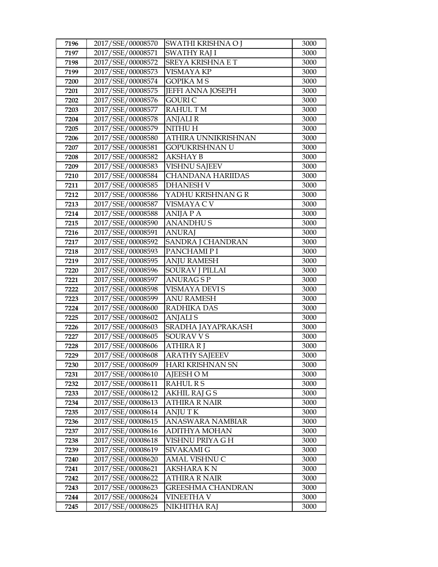| 7196         | 2017/SSE/00008570                      | SWATHI KRISHNA O J            | 3000         |
|--------------|----------------------------------------|-------------------------------|--------------|
| 7197         | 2017/SSE/00008571                      | SWATHY RAJ I                  | 3000         |
| 7198         | 2017/SSE/00008572                      | SREYA KRISHNA E T             | 3000         |
| 7199         | 2017/SSE/00008573                      | <b>VISMAYA KP</b>             | 3000         |
| 7200         | 2017/SSE/00008574                      | <b>GOPIKA MS</b>              | 3000         |
| 7201         | 2017/SSE/00008575                      | <b>JEFFI ANNA JOSEPH</b>      | 3000         |
| 7202         | 2017/SSE/00008576                      | GOURI C                       | 3000         |
| 7203         | 2017/SSE/00008577                      | <b>RAHULTM</b>                | 3000         |
| 7204         | 2017/SSE/00008578                      | <b>ANJALIR</b>                | 3000         |
| 7205         | 2017/SSE/00008579                      | NITHU H                       | 3000         |
| 7206         | 2017/SSE/00008580                      | ATHIRA UNNIKRISHNAN           | 3000         |
| 7207         | 2017/SSE/00008581                      | GOPUKRISHNAN U                | 3000         |
| 7208         | 2017/SSE/00008582                      | <b>AKSHAY B</b>               | 3000         |
| 7209         | 2017/SSE/00008583                      | <b>VISHNU SAJEEV</b>          | 3000         |
| 7210         | 2017/SSE/00008584                      | <b>CHANDANA HARIIDAS</b>      | 3000         |
| 7211         | 2017/SSE/00008585                      | <b>DHANESH V</b>              | 3000         |
| 7212         | 2017/SSE/00008586                      | YADHU KRISHNAN G R            | 3000         |
| 7213         | 2017/SSE/00008587                      | VISMAYA C V                   | 3000         |
| 7214         | 2017/SSE/00008588                      | <b>ANIJA P A</b>              | 3000         |
| 7215         | 2017/SSE/00008590                      | <b>ANANDHUS</b>               | 3000         |
| 7216         | 2017/SSE/00008591                      | <b>ANURAJ</b>                 | 3000         |
| 7217         | 2017/SSE/00008592                      | SANDRA J CHANDRAN             | 3000         |
| 7218         | 2017/SSE/00008593                      | PANCHAMI PI                   | 3000         |
| 7219         | 2017/SSE/00008595                      | <b>ANJU RAMESH</b>            | 3000         |
| 7220         | 2017/SSE/00008596                      | <b>SOURAV J PILLAI</b>        | 3000         |
| 7221         | 2017/SSE/00008597                      | <b>ANURAGSP</b>               | 3000         |
| 7222         | 2017/SSE/00008598                      | VISMAYA DEVI S                | 3000         |
| 7223         | 2017/SSE/00008599                      | <b>ANU RAMESH</b>             | 3000         |
| 7224         | 2017/SSE/00008600                      | RADHIKA DAS                   | 3000         |
| 7225         | 2017/SSE/00008602                      | <b>ANJALIS</b>                | 3000         |
| 7226         | 2017/SSE/00008603                      | SRADHA JAYAPRAKASH            | 3000         |
| 7227         | 2017/SSE/00008605                      | SOURAV V S                    | 3000         |
| 7228         | 2017/SSE/00008606<br>2017/SSE/00008608 | <b>ATHIRA RJ</b>              | 3000         |
| 7229         | 2017/SSE/00008609                      | <b>ARATHY SAJEEEV</b>         | 3000<br>3000 |
| 7230<br>7231 | 2017/SSE/00008610                      | HARI KRISHNAN SN<br>AJEESH OM | 3000         |
| 7232         | 2017/SSE/00008611                      | <b>RAHUL R S</b>              | 3000         |
| 7233         | 2017/SSE/00008612                      | AKHIL RAJ G S                 | 3000         |
| 7234         | 2017/SSE/00008613                      | <b>ATHIRA R NAIR</b>          | 3000         |
| 7235         | 2017/SSE/00008614                      | <b>ANJUTK</b>                 | 3000         |
| 7236         | 2017/SSE/00008615                      | ANASWARA NAMBIAR              | 3000         |
| 7237         | 2017/SSE/00008616                      | ADITHYA MOHAN                 | 3000         |
| 7238         | 2017/SSE/00008618                      | VISHNU PRIYA G H              | 3000         |
| 7239         | 2017/SSE/00008619                      | SIVAKAMI G                    | 3000         |
| 7240         | 2017/SSE/00008620                      | AMAL VISHNU C                 | 3000         |
| 7241         | 2017/SSE/00008621                      | AKSHARA K N                   | 3000         |
| 7242         | 2017/SSE/00008622                      | ATHIRA R NAIR                 | 3000         |
| 7243         | 2017/SSE/00008623                      | GREESHMA CHANDRAN             | 3000         |
| 7244         | 2017/SSE/00008624                      | <b>VINEETHA V</b>             | 3000         |
| 7245         | 2017/SSE/00008625                      | NIKHITHA RAJ                  | 3000         |
|              |                                        |                               |              |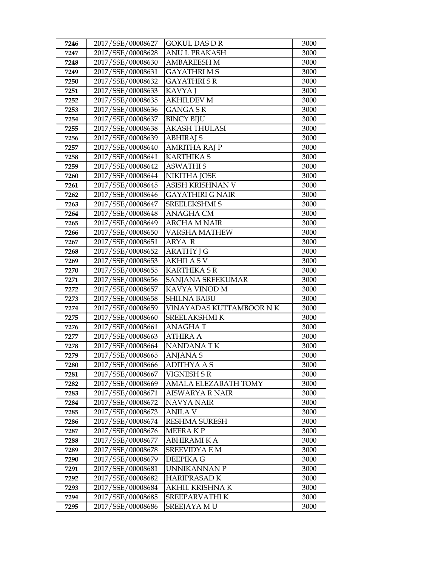| 7246         | 2017/SSE/00008627                      | GOKUL DAS D R                 | 3000         |
|--------------|----------------------------------------|-------------------------------|--------------|
| 7247         | 2017/SSE/00008628                      | <b>ANUL PRAKASH</b>           | 3000         |
| 7248         | 2017/SSE/00008630                      | <b>AMBAREESH M</b>            | 3000         |
| 7249         | 2017/SSE/00008631                      | <b>GAYATHRIMS</b>             | 3000         |
| 7250         | 2017/SSE/00008632                      | <b>GAYATHRISR</b>             | 3000         |
| 7251         | 2017/SSE/00008633                      | KAVYA J                       | 3000         |
| 7252         | 2017/SSE/00008635                      | <b>AKHILDEV M</b>             | 3000         |
| 7253         | 2017/SSE/00008636                      | <b>GANGA S R</b>              | 3000         |
| 7254         | 2017/SSE/00008637                      | <b>BINCY BIJU</b>             | 3000         |
| 7255         | 2017/SSE/00008638                      | <b>AKASH THULASI</b>          | 3000         |
| 7256         | 2017/SSE/00008639                      | <b>ABHIRAJ S</b>              | 3000         |
| 7257         | 2017/SSE/00008640                      | <b>AMRITHA RAJ P</b>          | 3000         |
| 7258         | 2017/SSE/00008641                      | <b>KARTHIKA S</b>             | 3000         |
| 7259         | 2017/SSE/00008642                      | <b>ASWATHIS</b>               | 3000         |
| 7260         | 2017/SSE/00008644                      | NIKITHA JOSE                  | 3000         |
| 7261         | 2017/SSE/00008645                      | ASISH KRISHNAN V              | 3000         |
| 7262         | 2017/SSE/00008646                      | GAYATHIRI G NAIR              | 3000         |
| 7263         | 2017/SSE/00008647                      | <b>SREELEKSHMI S</b>          | 3000         |
| 7264         | 2017/SSE/00008648                      | <b>ANAGHA CM</b>              | 3000         |
| 7265         | 2017/SSE/00008649                      | <b>ARCHA M NAIR</b>           | 3000         |
| 7266         | 2017/SSE/00008650                      | <b>VARSHA MATHEW</b>          | 3000         |
| 7267         | 2017/SSE/00008651                      | ARYA R                        | 3000         |
| 7268         | 2017/SSE/00008652                      | <b>ARATHY J G</b>             | 3000         |
| 7269         | 2017/SSE/00008653                      | <b>AKHILA SV</b>              | 3000         |
| 7270         | 2017/SSE/00008655                      | <b>KARTHIKA S R</b>           | 3000         |
| 7271         | 2017/SSE/00008656                      | SANJANA SREEKUMAR             | 3000         |
| 7272         | 2017/SSE/00008657                      | KAVYA VINOD M                 | 3000         |
| 7273         | 2017/SSE/00008658                      | <b>SHILNA BABU</b>            | 3000         |
| 7274         | 2017/SSE/00008659                      | VINAYADAS KUTTAMBOOR N K      | 3000         |
| 7275         | 2017/SSE/00008660                      | SREELAKSHMI K                 | 3000         |
| 7276         | 2017/SSE/00008661                      | <b>ANAGHAT</b>                | 3000         |
| 7277         | 2017/SSE/00008663                      | ATHIRA A                      | 3000         |
| 7278         | 2017/SSE/00008664                      | <b>NANDANATK</b>              | 3000         |
| 7279         | 2017/SSE/00008665                      | <b>ANJANA S</b>               | 3000         |
| 7280         |                                        |                               |              |
| 7281         | 2017/SSE/00008666                      | <b>ADITHYA A S</b>            | 3000         |
|              | 2017/SSE/00008667                      | VIGNESH S R                   | 3000         |
| 7282         | 2017/SSE/00008669                      | AMALA ELEZABATH TOMY          | 3000         |
| 7283         | 2017/SSE/00008671                      | AISWARYA R NAIR               | 3000         |
| 7284         | 2017/SSE/00008672                      | NAVYA NAIR                    | 3000         |
| 7285         | 2017/SSE/00008673                      | ANILA V                       | 3000         |
| 7286         | 2017/SSE/00008674                      | <b>RESHMA SURESH</b>          | 3000         |
| 7287         | 2017/SSE/00008676                      | MEERA K P                     | 3000         |
| 7288         | 2017/SSE/00008677                      | <b>ABHIRAMI K A</b>           | 3000         |
| 7289         | 2017/SSE/00008678                      | <b>SREEVIDYA E M</b>          | 3000         |
| 7290         | 2017/SSE/00008679                      | DEEPIKA G                     | 3000         |
| 7291         | 2017/SSE/00008681                      | UNNIKANNAN P                  | 3000         |
| 7292         | 2017/SSE/00008682                      | HARIPRASAD K                  | 3000         |
| 7293         | 2017/SSE/00008684                      | AKHIL KRISHNA K               | 3000         |
| 7294<br>7295 | 2017/SSE/00008685<br>2017/SSE/00008686 | SREEPARVATHI K<br>SREEJAYA MU | 3000<br>3000 |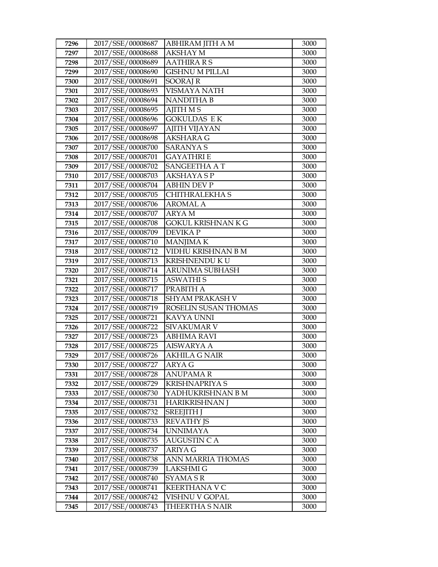| 7296         | 2017/SSE/00008687                      | ABHIRAM JITH A M          | 3000         |
|--------------|----------------------------------------|---------------------------|--------------|
| 7297         | 2017/SSE/00008688                      | <b>AKSHAY M</b>           | 3000         |
| 7298         | 2017/SSE/00008689                      | <b>AATHIRA R S</b>        | 3000         |
| 7299         | 2017/SSE/00008690                      | <b>GISHNU M PILLAI</b>    | 3000         |
| 7300         | 2017/SSE/00008691                      | <b>SOORAJ R</b>           | 3000         |
| 7301         | 2017/SSE/00008693                      | VISMAYA NATH              | 3000         |
| 7302         | 2017/SSE/00008694                      | NANDITHA B                | 3000         |
| 7303         | 2017/SSE/00008695                      | <b>AJITH MS</b>           | 3000         |
| 7304         | 2017/SSE/00008696                      | <b>GOKULDAS EK</b>        | 3000         |
| 7305         | 2017/SSE/00008697                      | <b>AJITH VIJAYAN</b>      | 3000         |
| 7306         | 2017/SSE/00008698                      | AKSHARA G                 | 3000         |
| 7307         | 2017/SSE/00008700                      | SARANYA S                 | 3000         |
| 7308         | 2017/SSE/00008701                      | <b>GAYATHRIE</b>          | 3000         |
| 7309         | 2017/SSE/00008702                      | <b>SANGEETHA AT</b>       | 3000         |
| 7310         | 2017/SSE/00008703                      | AKSHAYA S P               | 3000         |
| 7311         | 2017/SSE/00008704                      | <b>ABHIN DEV P</b>        | 3000         |
| 7312         | 2017/SSE/00008705                      | CHITHRALEKHA S            | 3000         |
| 7313         | 2017/SSE/00008706                      | <b>AROMAL A</b>           | 3000         |
| 7314         | 2017/SSE/00008707                      | <b>ARYAM</b>              | 3000         |
| 7315         | 2017/SSE/00008708                      | <b>GOKUL KRISHNAN K G</b> | 3000         |
| 7316         | 2017/SSE/00008709                      | <b>DEVIKAP</b>            | 3000         |
| 7317         | 2017/SSE/00008710                      | <b>MANJIMAK</b>           | 3000         |
| 7318         | 2017/SSE/00008712                      | VIDHU KRISHNAN B M        | 3000         |
| 7319         | 2017/SSE/00008713                      | KRISHNENDU KU             | 3000         |
| 7320         | 2017/SSE/00008714                      | ARUNIMA SUBHASH           | 3000         |
| 7321         | 2017/SSE/00008715                      | <b>ASWATHIS</b>           | 3000         |
| 7322         | 2017/SSE/00008717                      | PRABITH A                 | 3000         |
| 7323         | 2017/SSE/00008718                      | SHYAM PRAKASH V           | 3000         |
| 7324         | 2017/SSE/00008719                      | ROSELIN SUSAN THOMAS      | 3000         |
| 7325         | 2017/SSE/00008721                      | KAVYA UNNI                | 3000         |
| 7326         | 2017/SSE/00008722                      | <b>SIVAKUMAR V</b>        | 3000         |
| 7327         | 2017/SSE/00008723                      | ABHIMA RAVI               | 3000         |
| 7328         | 2017/SSE/00008725                      | <b>AISWARYA A</b>         | 3000<br>3000 |
| 7329         | 2017/SSE/00008726<br>2017/SSE/00008727 | <b>AKHILA G NAIR</b>      |              |
| 7330         | 2017/SSE/00008728                      | ARYA G<br><b>ANUPAMAR</b> | 3000         |
| 7331<br>7332 | 2017/SSE/00008729                      | KRISHNAPRIYA S            | 3000<br>3000 |
| 7333         | 2017/SSE/00008730                      | YADHUKRISHNAN B M         | 3000         |
| 7334         | 2017/SSE/00008731                      | HARIKRISHNAN J            | 3000         |
| 7335         | 2017/SSE/00008732                      | <b>SREEJITH J</b>         | 3000         |
| 7336         | 2017/SSE/00008733                      | <b>REVATHY JS</b>         | 3000         |
| 7337         | 2017/SSE/00008734                      | UNNIMAYA                  | 3000         |
| 7338         | 2017/SSE/00008735                      | <b>AUGUSTIN C A</b>       | 3000         |
| 7339         | 2017/SSE/00008737                      | <b>ARIYA G</b>            | 3000         |
| 7340         | 2017/SSE/00008738                      | ANN MARRIA THOMAS         | 3000         |
| 7341         | 2017/SSE/00008739                      | <b>LAKSHMI G</b>          | 3000         |
| 7342         | 2017/SSE/00008740                      | SYAMA S R                 | 3000         |
| 7343         | 2017/SSE/00008741                      | <b>KEERTHANA V C</b>      | 3000         |
| 7344         | 2017/SSE/00008742                      | VISHNU V GOPAL            | 3000         |
| 7345         | 2017/SSE/00008743                      | THEERTHA S NAIR           | 3000         |
|              |                                        |                           |              |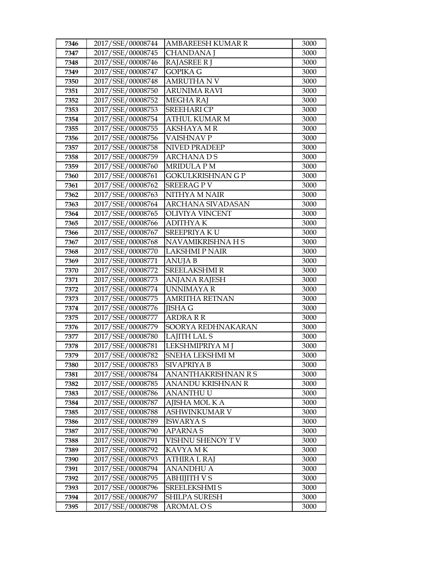| 7346         | 2017/SSE/00008744                      | AMBAREESH KUMAR R                     | 3000         |
|--------------|----------------------------------------|---------------------------------------|--------------|
| 7347         | 2017/SSE/00008745                      | <b>CHANDANA J</b>                     | 3000         |
| 7348         | 2017/SSE/00008746                      | <b>RAJASREE RJ</b>                    | 3000         |
| 7349         | 2017/SSE/00008747                      | <b>GOPIKA G</b>                       | 3000         |
| 7350         | 2017/SSE/00008748                      | <b>AMRUTHA N V</b>                    | 3000         |
| 7351         | 2017/SSE/00008750                      | ARUNIMA RAVI                          | 3000         |
| 7352         | 2017/SSE/00008752                      | <b>MEGHA RAJ</b>                      | 3000         |
| 7353         | 2017/SSE/00008753                      | <b>SREEHARI CP</b>                    | 3000         |
| 7354         | 2017/SSE/00008754                      | <b>ATHUL KUMAR M</b>                  | 3000         |
| 7355         | 2017/SSE/00008755                      | <b>AKSHAYA M R</b>                    | 3000         |
| 7356         | 2017/SSE/00008756                      | <b>VAISHNAVP</b>                      | 3000         |
| 7357         | 2017/SSE/00008758                      | <b>NIVED PRADEEP</b>                  | 3000         |
| 7358         | 2017/SSE/00008759                      | <b>ARCHANADS</b>                      | 3000         |
| 7359         | 2017/SSE/00008760                      | <b>MRIDULA PM</b>                     | 3000         |
| 7360         | 2017/SSE/00008761                      | <b>GOKULKRISHNAN G P</b>              | 3000         |
| 7361         | 2017/SSE/00008762                      | <b>SREERAGPV</b>                      | 3000         |
| 7362         | 2017/SSE/00008763                      | NITHYA M NAIR                         | 3000         |
| 7363         | 2017/SSE/00008764                      | ARCHANA SIVADASAN                     | 3000         |
| 7364         | 2017/SSE/00008765                      | <b>OLIVIYA VINCENT</b>                | 3000         |
| 7365         | 2017/SSE/00008766                      | <b>ADITHYAK</b>                       | 3000         |
| 7366         | 2017/SSE/00008767                      | <b>SREEPRIYAKU</b>                    | 3000         |
| 7367         | 2017/SSE/00008768                      | NAVAMIKRISHNA H S                     | 3000         |
| 7368         | 2017/SSE/00008770                      | <b>LAKSHMI P NAIR</b>                 | 3000         |
| 7369         | 2017/SSE/00008771                      | <b>ANUJA B</b>                        | 3000         |
| 7370         | 2017/SSE/00008772                      | <b>SREELAKSHMIR</b>                   | 3000         |
| 7371         | 2017/SSE/00008773                      | ANJANA RAJESH                         | 3000         |
| 7372         | 2017/SSE/00008774                      | UNNIMAYA R                            | 3000         |
| 7373         | 2017/SSE/00008775                      | <b>AMRITHA RETNAN</b>                 | 3000         |
| 7374         | 2017/SSE/00008776                      | <b>JISHA G</b>                        | 3000         |
| 7375         | 2017/SSE/00008777                      | <b>ARDRA R R</b>                      | 3000         |
| 7376         | 2017/SSE/00008779                      | SOORYA REDHNAKARAN                    | 3000         |
| 7377         | 2017/SSE/00008780                      | <b>LAJITH LAL S</b>                   | 3000         |
| 7378         | 2017/SSE/00008781                      | LEKSHMIPRIYA M J                      | 3000         |
| 7379         | 2017/SSE/00008782                      | SNEHA LEKSHMI M                       | 3000         |
| 7380         | 2017/SSE/00008783<br>2017/SSE/00008784 | <b>SIVAPRIYA B</b>                    | 3000<br>3000 |
| 7381         | 2017/SSE/00008785                      | ANANTHAKRISHNAN R S                   |              |
| 7382<br>7383 | 2017/SSE/00008786                      | ANANDU KRISHNAN R<br><b>ANANTHU U</b> | 3000<br>3000 |
| 7384         | 2017/SSE/00008787                      | AJISHA MOL K A                        | 3000         |
| 7385         | 2017/SSE/00008788                      | ASHWINKUMAR V                         | 3000         |
| 7386         | 2017/SSE/00008789                      | <b>ISWARYA S</b>                      | 3000         |
| 7387         | 2017/SSE/00008790                      | <b>APARNAS</b>                        | 3000         |
| 7388         | 2017/SSE/00008791                      | VISHNU SHENOY T V                     | 3000         |
| 7389         | 2017/SSE/00008792                      | KAVYA MK                              | 3000         |
| 7390         | 2017/SSE/00008793                      | ATHIRA L RAJ                          | 3000         |
| 7391         | 2017/SSE/00008794                      | ANANDHU A                             | 3000         |
| 7392         | 2017/SSE/00008795                      | <b>ABHIJITH V S</b>                   | 3000         |
| 7393         | 2017/SSE/00008796                      | SREELEKSHMI S                         | 3000         |
| 7394         | 2017/SSE/00008797                      | SHILPA SURESH                         | 3000         |
| 7395         | 2017/SSE/00008798                      | AROMAL O S                            | 3000         |
|              |                                        |                                       |              |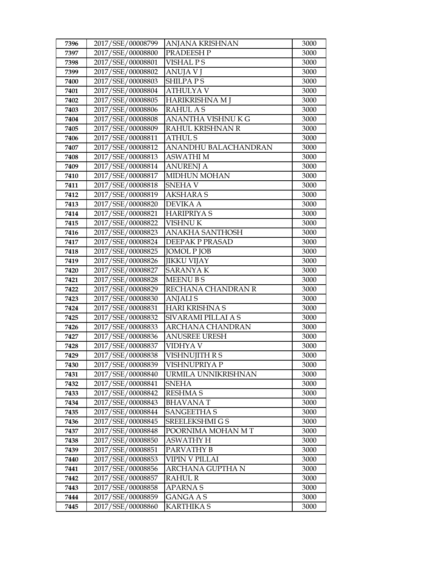| 7396         | 2017/SSE/00008799                      | ANJANA KRISHNAN            | 3000         |
|--------------|----------------------------------------|----------------------------|--------------|
| 7397         | 2017/SSE/00008800                      | PRADEESH P                 | 3000         |
| 7398         | 2017/SSE/00008801                      | <b>VISHAL PS</b>           | 3000         |
| 7399         | 2017/SSE/00008802                      | <b>ANUJA V J</b>           | 3000         |
| 7400         | 2017/SSE/00008803                      | <b>SHILPAPS</b>            | 3000         |
| 7401         | 2017/SSE/00008804                      | <b>ATHULYAV</b>            | 3000         |
| 7402         | 2017/SSE/00008805                      | HARIKRISHNA M J            | 3000         |
| 7403         | 2017/SSE/00008806                      | <b>RAHULAS</b>             | 3000         |
| 7404         | 2017/SSE/00008808                      | ANANTHA VISHNUKG           | 3000         |
| 7405         | 2017/SSE/00008809                      | RAHUL KRISHNAN R           | 3000         |
| 7406         | 2017/SSE/00008811                      | <b>ATHUL S</b>             | 3000         |
| 7407         | 2017/SSE/00008812                      | ANANDHU BALACHANDRAN       | 3000         |
| 7408         | 2017/SSE/00008813                      | <b>ASWATHIM</b>            | 3000         |
| 7409         | 2017/SSE/00008814                      | <b>ANURENJ A</b>           | 3000         |
| 7410         | 2017/SSE/00008817                      | <b>MIDHUN MOHAN</b>        | 3000         |
| 7411         | 2017/SSE/00008818                      | <b>SNEHAV</b>              | 3000         |
| 7412         | 2017/SSE/00008819                      | AKSHARA S                  | 3000         |
| 7413         | 2017/SSE/00008820                      | <b>DEVIKA A</b>            | 3000         |
| 7414         | 2017/SSE/00008821                      | <b>HARIPRIYAS</b>          | 3000         |
| 7415         | 2017/SSE/00008822                      | <b>VISHNU K</b>            | 3000         |
| 7416         | 2017/SSE/00008823                      | <b>ANAKHA SANTHOSH</b>     | 3000         |
| 7417         | 2017/SSE/00008824                      | DEEPAK P PRASAD            | 3000         |
| 7418         | 2017/SSE/00008825                      | <b>JOMOL P JOB</b>         | 3000         |
| 7419         | 2017/SSE/00008826                      | <b>JIKKU VIJAY</b>         | 3000         |
| 7420         | 2017/SSE/00008827                      | <b>SARANYAK</b>            | 3000         |
| 7421         | 2017/SSE/00008828                      | <b>MEENU BS</b>            | 3000         |
| 7422         | 2017/SSE/00008829                      | RECHANA CHANDRAN R         | 3000         |
| 7423         | 2017/SSE/00008830                      | <b>ANJALIS</b>             | 3000         |
| 7424         | 2017/SSE/00008831                      | <b>HARI KRISHNA S</b>      | 3000         |
| 7425         | 2017/SSE/00008832                      | SIVARAMI PILLAI A S        | 3000         |
| 7426         | 2017/SSE/00008833                      | ARCHANA CHANDRAN           | 3000         |
| 7427         | 2017/SSE/00008836<br>2017/SSE/00008837 | <b>ANUSREE URESH</b>       | 3000         |
| 7428<br>7429 | 2017/SSE/00008838                      | VIDHYA V<br>VISHNUJITH R S | 3000<br>3000 |
| 7430         | 2017/SSE/00008839                      | VISHNUPRIYA P              | 3000         |
| 7431         | 2017/SSE/00008840                      | URMILA UNNIKRISHNAN        | 3000         |
| 7432         | 2017/SSE/00008841                      | <b>SNEHA</b>               | 3000         |
| 7433         | 2017/SSE/00008842                      | <b>RESHMA S</b>            | 3000         |
| 7434         | 2017/SSE/00008843                      | <b>BHAVANAT</b>            | 3000         |
| 7435         | 2017/SSE/00008844                      | <b>SANGEETHA S</b>         | 3000         |
| 7436         | 2017/SSE/00008845                      | SREELEKSHMI G S            | 3000         |
| 7437         | 2017/SSE/00008848                      | POORNIMA MOHAN MT          | 3000         |
| 7438         | 2017/SSE/00008850                      | <b>ASWATHY H</b>           | 3000         |
| 7439         | 2017/SSE/00008851                      | PARVATHY B                 | 3000         |
| 7440         | 2017/SSE/00008853                      | VIPIN V PILLAI             | 3000         |
| 7441         | 2017/SSE/00008856                      | ARCHANA GUPTHA N           | 3000         |
| 7442         | 2017/SSE/00008857                      | RAHUL R                    | 3000         |
| 7443         | 2017/SSE/00008858                      | <b>APARNAS</b>             | 3000         |
| 7444         | 2017/SSE/00008859                      | <b>GANGA A S</b>           | 3000         |
| 7445         | 2017/SSE/00008860                      | <b>KARTHIKA S</b>          | 3000         |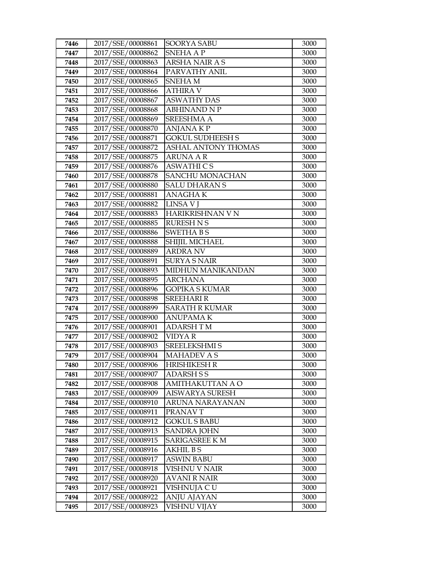| 7446         | 2017/SSE/00008861                      | SOORYA SABU                           | 3000         |
|--------------|----------------------------------------|---------------------------------------|--------------|
| 7447         | 2017/SSE/00008862                      | <b>SNEHA A P</b>                      | 3000         |
| 7448         | 2017/SSE/00008863                      | <b>ARSHA NAIR AS</b>                  | 3000         |
| 7449         | 2017/SSE/00008864                      | PARVATHY ANIL                         | 3000         |
| 7450         | 2017/SSE/00008865                      | SNEHA M                               | 3000         |
| 7451         | 2017/SSE/00008866                      | <b>ATHIRA V</b>                       | 3000         |
| 7452         | 2017/SSE/00008867                      | <b>ASWATHY DAS</b>                    | 3000         |
| 7453         | 2017/SSE/00008868                      | <b>ABHINAND N P</b>                   | 3000         |
| 7454         | 2017/SSE/00008869                      | <b>SREESHMA A</b>                     | 3000         |
| 7455         | 2017/SSE/00008870                      | <b>ANJANAKP</b>                       | 3000         |
| 7456         | 2017/SSE/00008871                      | <b>GOKUL SUDHEESH S</b>               | 3000         |
| 7457         | 2017/SSE/00008872                      | <b>ASHAL ANTONY THOMAS</b>            | 3000         |
| 7458         | 2017/SSE/00008875                      | <b>ARUNA A R</b>                      | 3000         |
| 7459         | 2017/SSE/00008876                      | <b>ASWATHICS</b>                      | 3000         |
| 7460         | 2017/SSE/00008878                      | <b>SANCHU MONACHAN</b>                | 3000         |
| 7461         | 2017/SSE/00008880                      | <b>SALU DHARAN S</b>                  | 3000         |
| 7462         | 2017/SSE/00008881                      | <b>ANAGHAK</b>                        | 3000         |
| 7463         | 2017/SSE/00008882                      | <b>LINSA V I</b>                      | 3000         |
| 7464         | 2017/SSE/00008883                      | HARIKRISHNAN V N                      | 3000         |
| 7465         | 2017/SSE/00008885                      | <b>RURESH N S</b>                     | 3000         |
| 7466         | 2017/SSE/00008886                      | <b>SWETHA BS</b>                      | 3000         |
| 7467         | 2017/SSE/00008888                      | SHIJIL MICHAEL                        | 3000         |
| 7468         | 2017/SSE/00008889                      | <b>ARDRA NV</b>                       | 3000         |
| 7469         | 2017/SSE/00008891                      | <b>SURYA S NAIR</b>                   | 3000         |
| 7470         | 2017/SSE/00008893                      | <b>MIDHUN MANIKANDAN</b>              | 3000         |
| 7471         | 2017/SSE/00008895                      | <b>ARCHANA</b>                        | 3000         |
| 7472         | 2017/SSE/00008896                      | <b>GOPIKA S KUMAR</b>                 | 3000         |
| 7473         | 2017/SSE/00008898                      | <b>SREEHARI R</b>                     | 3000         |
| 7474         | 2017/SSE/00008899                      | <b>SARATH R KUMAR</b>                 | 3000         |
| 7475         | 2017/SSE/00008900                      | <b>ANUPAMAK</b>                       | 3000         |
| 7476         | 2017/SSE/00008901                      | <b>ADARSH TM</b>                      | 3000         |
| 7477         | 2017/SSE/00008902                      | <b>VIDYAR</b><br><b>SREELEKSHMI S</b> | 3000         |
| 7478<br>7479 | 2017/SSE/00008903<br>2017/SSE/00008904 | <b>MAHADEV A S</b>                    | 3000<br>3000 |
| 7480         | 2017/SSE/00008906                      | HRISHIKESH R                          | 3000         |
| 7481         | 2017/SSE/00008907                      | <b>ADARSH S S</b>                     | 3000         |
| 7482         | 2017/SSE/00008908                      | AMITHAKUTTAN A O                      | 3000         |
| 7483         | 2017/SSE/00008909                      | <b>AISWARYA SURESH</b>                | 3000         |
| 7484         | 2017/SSE/00008910                      | ARUNA NARAYANAN                       | 3000         |
| 7485         | 2017/SSE/00008911                      | PRANAVT                               | 3000         |
| 7486         | 2017/SSE/00008912                      | <b>GOKUL S BABU</b>                   | 3000         |
| 7487         | 2017/SSE/00008913                      | <b>SANDRA JOHN</b>                    | 3000         |
| 7488         | 2017/SSE/00008915                      | <b>SARIGASREE K M</b>                 | 3000         |
| 7489         | 2017/SSE/00008916                      | <b>AKHIL BS</b>                       | 3000         |
| 7490         | 2017/SSE/00008917                      | <b>ASWIN BABU</b>                     | 3000         |
| 7491         | 2017/SSE/00008918                      | VISHNU V NAIR                         | 3000         |
| 7492         | 2017/SSE/00008920                      | <b>AVANI R NAIR</b>                   | 3000         |
| 7493         | 2017/SSE/00008921                      | VISHNUJA CU                           | 3000         |
| 7494         | 2017/SSE/00008922                      | ANJU AJAYAN                           | 3000         |
| 7495         | 2017/SSE/00008923                      | VISHNU VIJAY                          | 3000         |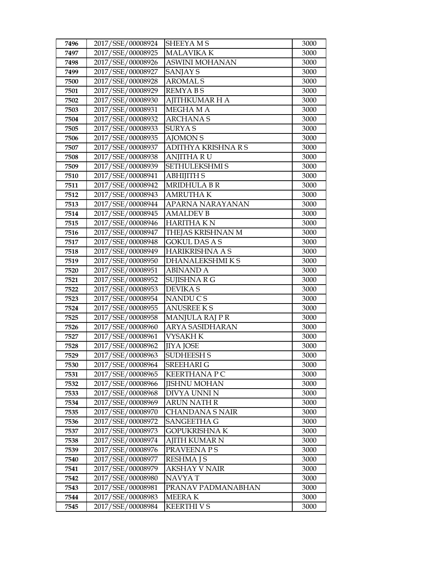| 7496 | 2017/SSE/00008924 | <b>SHEEYAMS</b>        | 3000 |
|------|-------------------|------------------------|------|
| 7497 | 2017/SSE/00008925 | <b>MALAVIKA K</b>      | 3000 |
| 7498 | 2017/SSE/00008926 | <b>ASWINI MOHANAN</b>  | 3000 |
| 7499 | 2017/SSE/00008927 | <b>SANJAY S</b>        | 3000 |
| 7500 | 2017/SSE/00008928 | <b>AROMALS</b>         | 3000 |
| 7501 | 2017/SSE/00008929 | <b>REMYABS</b>         | 3000 |
| 7502 | 2017/SSE/00008930 | <b>AJITHKUMAR H A</b>  | 3000 |
| 7503 | 2017/SSE/00008931 | MEGHAMA                | 3000 |
| 7504 | 2017/SSE/00008932 | <b>ARCHANAS</b>        | 3000 |
| 7505 | 2017/SSE/00008933 | <b>SURYAS</b>          | 3000 |
| 7506 | 2017/SSE/00008935 | <b>AJOMON S</b>        | 3000 |
| 7507 | 2017/SSE/00008937 | ADITHYA KRISHNA R S    | 3000 |
| 7508 | 2017/SSE/00008938 | <b>ANJITHA RU</b>      | 3000 |
| 7509 | 2017/SSE/00008939 | SETHULEKSHMI S         | 3000 |
| 7510 | 2017/SSE/00008941 | <b>ABHIJITH S</b>      | 3000 |
| 7511 | 2017/SSE/00008942 | <b>MRIDHULA B R</b>    | 3000 |
| 7512 | 2017/SSE/00008943 | <b>AMRUTHAK</b>        | 3000 |
| 7513 | 2017/SSE/00008944 | APARNA NARAYANAN       | 3000 |
| 7514 | 2017/SSE/00008945 | <b>AMALDEV B</b>       | 3000 |
| 7515 | 2017/SSE/00008946 | <b>HARITHA KN</b>      | 3000 |
| 7516 | 2017/SSE/00008947 | THEJAS KRISHNAN M      | 3000 |
| 7517 | 2017/SSE/00008948 | <b>GOKUL DAS A S</b>   | 3000 |
| 7518 | 2017/SSE/00008949 | <b>HARIKRISHNA A S</b> | 3000 |
| 7519 | 2017/SSE/00008950 | <b>DHANALEKSHMIKS</b>  | 3000 |
| 7520 | 2017/SSE/00008951 | <b>ABINAND A</b>       | 3000 |
| 7521 | 2017/SSE/00008952 | SUJISHNARG             | 3000 |
| 7522 | 2017/SSE/00008953 | <b>DEVIKAS</b>         | 3000 |
| 7523 | 2017/SSE/00008954 | NANDUCS                | 3000 |
| 7524 | 2017/SSE/00008955 | <b>ANUSREE KS</b>      | 3000 |
| 7525 | 2017/SSE/00008958 | MANJULA RAJ PR         | 3000 |
| 7526 | 2017/SSE/00008960 | <b>ARYA SASIDHARAN</b> | 3000 |
| 7527 | 2017/SSE/00008961 | <b>VYSAKH K</b>        | 3000 |
| 7528 | 2017/SSE/00008962 | <b>IIYA JOSE</b>       | 3000 |
| 7529 | 2017/SSE/00008963 | <b>SUDHEESH S</b>      | 3000 |
| 7530 | 2017/SSE/00008964 | <b>SREEHARI G</b>      | 3000 |
| 7531 | 2017/SSE/00008965 | <b>KEERTHANA P C</b>   | 3000 |
| 7532 | 2017/SSE/00008966 | <b>JISHNU MOHAN</b>    | 3000 |
| 7533 | 2017/SSE/00008968 | DIVYA UNNI N           | 3000 |
| 7534 | 2017/SSE/00008969 | <b>ARUN NATH R</b>     | 3000 |
| 7535 | 2017/SSE/00008970 | <b>CHANDANA S NAIR</b> | 3000 |
| 7536 | 2017/SSE/00008972 | <b>SANGEETHA G</b>     | 3000 |
| 7537 | 2017/SSE/00008973 | <b>GOPUKRISHNAK</b>    | 3000 |
| 7538 | 2017/SSE/00008974 | <b>AJITH KUMAR N</b>   | 3000 |
| 7539 | 2017/SSE/00008976 | PRAVEENA P S           | 3000 |
| 7540 | 2017/SSE/00008977 | <b>RESHMA J S</b>      | 3000 |
| 7541 | 2017/SSE/00008979 | <b>AKSHAY V NAIR</b>   | 3000 |
| 7542 | 2017/SSE/00008980 | NAVYA T                | 3000 |
| 7543 | 2017/SSE/00008981 | PRANAV PADMANABHAN     | 3000 |
| 7544 | 2017/SSE/00008983 | <b>MEERAK</b>          | 3000 |
| 7545 | 2017/SSE/00008984 | <b>KEERTHIVS</b>       | 3000 |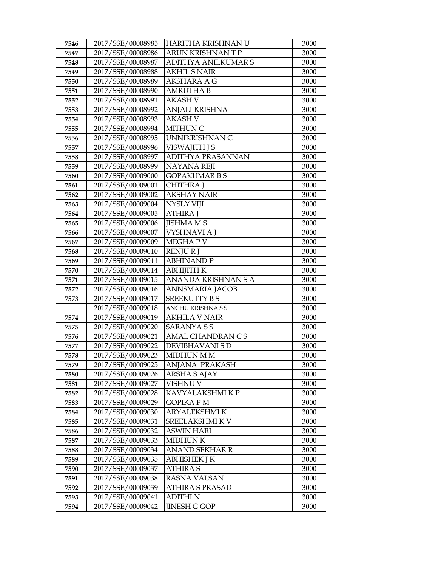| 7546         | 2017/SSE/00008985                      | HARITHA KRISHNAN U              | 3000         |
|--------------|----------------------------------------|---------------------------------|--------------|
| 7547         | 2017/SSE/00008986                      | ARUN KRISHNAN T P               | 3000         |
| 7548         | 2017/SSE/00008987                      | ADITHYA ANILKUMAR S             | 3000         |
| 7549         | 2017/SSE/00008988                      | <b>AKHIL S NAIR</b>             | 3000         |
| 7550         | 2017/SSE/00008989                      | AKSHARA A G                     | 3000         |
| 7551         | 2017/SSE/00008990                      | <b>AMRUTHA B</b>                | 3000         |
| 7552         | 2017/SSE/00008991                      | <b>AKASH V</b>                  | 3000         |
| 7553         | 2017/SSE/00008992                      | ANJALI KRISHNA                  | 3000         |
| 7554         | 2017/SSE/00008993                      | <b>AKASH V</b>                  | 3000         |
| 7555         | 2017/SSE/00008994                      | <b>MITHUN C</b>                 | 3000         |
| 7556         | 2017/SSE/00008995                      | UNNIKRISHNAN C                  | 3000         |
| 7557         | 2017/SSE/00008996                      | VISWAJITH J S                   | 3000         |
| 7558         | 2017/SSE/00008997                      | ADITHYA PRASANNAN               | 3000         |
| 7559         | 2017/SSE/00008999                      | <b>NAYANA REJI</b>              | 3000         |
| 7560         | 2017/SSE/00009000                      | <b>GOPAKUMAR B S</b>            | 3000         |
| 7561         | 2017/SSE/00009001                      | CHITHRA J                       | 3000         |
| 7562         | 2017/SSE/00009002                      | <b>AKSHAY NAIR</b>              | 3000         |
| 7563         | 2017/SSE/00009004                      | <b>NYSLY VIJI</b>               | 3000         |
| 7564         | 2017/SSE/00009005                      | <b>ATHIRA J</b>                 | 3000         |
| 7565         | 2017/SSE/00009006                      | <b>JISHMA MS</b>                | 3000         |
| 7566         | 2017/SSE/00009007                      | VYSHNAVI A J                    | 3000         |
| 7567         | 2017/SSE/00009009                      | <b>MEGHAPV</b>                  | 3000         |
| 7568         | 2017/SSE/00009010                      | <b>RENJURJ</b>                  | 3000         |
| 7569         | 2017/SSE/00009011                      | <b>ABHINAND P</b>               | 3000         |
| 7570         | 2017/SSE/00009014                      | <b>ABHIJITH K</b>               | 3000         |
| 7571         | 2017/SSE/00009015                      | ANANDA KRISHNAN S A             | 3000         |
| 7572         | 2017/SSE/00009016                      | ANNSMARIA JACOB                 | 3000         |
| 7573         | 2017/SSE/00009017                      | <b>SREEKUTTY BS</b>             | 3000         |
|              | 2017/SSE/00009018                      | ANCHU KRISHNA S S               | 3000         |
| 7574         | 2017/SSE/00009019                      | <b>AKHILA V NAIR</b>            | 3000         |
| 7575         | 2017/SSE/00009020                      | SARANYA S S                     | 3000         |
| 7576         | 2017/SSE/00009021                      | AMAL CHANDRAN CS                | 3000         |
| 7577         | 2017/SSE/00009022                      | DEVIBHAVANI S D                 | 3000         |
| 7578         | 2017/SSE/00009023                      | <b>MIDHUN M M</b>               | 3000         |
| 7579         | 2017/SSE/00009025                      | ANJANA PRAKASH                  | 3000         |
| 7580         | 2017/SSE/00009026                      | <b>ARSHAS AJAY</b>              | 3000         |
| 7581         | 2017/SSE/00009027                      | VISHNU V                        | 3000         |
| 7582         | 2017/SSE/00009028                      | KAVYALAKSHMI K P                | 3000         |
| 7583         | 2017/SSE/00009029                      | GOPIKA P M                      | 3000         |
| 7584         | 2017/SSE/00009030                      | ARYALEKSHMI K                   | 3000         |
| 7585         | 2017/SSE/00009031                      | SREELAKSHMI K V                 | 3000         |
| 7586         | 2017/SSE/00009032                      | ASWIN HARI                      | 3000         |
| 7587         | 2017/SSE/00009033                      | <b>MIDHUNK</b>                  | 3000         |
| 7588         | 2017/SSE/00009034                      | <b>ANAND SEKHAR R</b>           | 3000         |
| 7589         | 2017/SSE/00009035                      | ABHISHEK J K                    | 3000         |
|              |                                        |                                 |              |
| 7590         | 2017/SSE/00009037                      | <b>ATHIRA S</b>                 | 3000         |
| 7591         | 2017/SSE/00009038                      | RASNA VALSAN                    | 3000         |
| 7592         | 2017/SSE/00009039                      | <b>ATHIRA S PRASAD</b>          | 3000         |
| 7593<br>7594 | 2017/SSE/00009041<br>2017/SSE/00009042 | ADITHI N<br><b>JINESH G GOP</b> | 3000<br>3000 |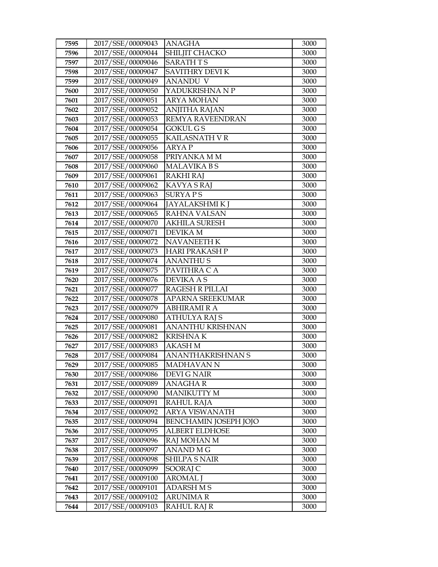| 7595         | 2017/SSE/00009043                      | <b>ANAGHA</b>                | 3000         |
|--------------|----------------------------------------|------------------------------|--------------|
| 7596         | 2017/SSE/00009044                      | SHILJIT CHACKO               | 3000         |
| 7597         | 2017/SSE/00009046                      | <b>SARATHTS</b>              | 3000         |
| 7598         | 2017/SSE/00009047                      | SAVITHRY DEVI K              | 3000         |
| 7599         | 2017/SSE/00009049                      | <b>ANANDU V</b>              | 3000         |
| 7600         | 2017/SSE/00009050                      | YADUKRISHNA N P              | 3000         |
| 7601         | 2017/SSE/00009051                      | <b>ARYA MOHAN</b>            | 3000         |
| 7602         | 2017/SSE/00009052                      | <b>ANJITHA RAJAN</b>         | 3000         |
| 7603         | 2017/SSE/00009053                      | REMYA RAVEENDRAN             | 3000         |
| 7604         | 2017/SSE/00009054                      | <b>GOKUL GS</b>              | 3000         |
| 7605         | 2017/SSE/00009055                      | KAILASNATH V R               | 3000         |
| 7606         | 2017/SSE/00009056                      | <b>ARYAP</b>                 | 3000         |
| 7607         | 2017/SSE/00009058                      | PRIYANKA M M                 | 3000         |
| 7608         | 2017/SSE/00009060                      | <b>MALAVIKA BS</b>           | 3000         |
| 7609         | 2017/SSE/00009061                      | <b>RAKHI RAJ</b>             | 3000         |
| 7610         | 2017/SSE/00009062                      | <b>KAVYA S RAJ</b>           | 3000         |
| 7611         | 2017/SSE/00009063                      | <b>SURYAPS</b>               | 3000         |
| 7612         | 2017/SSE/00009064                      | <b>JAYALAKSHMIKJ</b>         | 3000         |
| 7613         | 2017/SSE/00009065                      | <b>RAHNA VALSAN</b>          | 3000         |
| 7614         | 2017/SSE/00009070                      | <b>AKHILA SURESH</b>         | 3000         |
| 7615         | 2017/SSE/00009071                      | <b>DEVIKA M</b>              | 3000         |
| 7616         | 2017/SSE/00009072                      | <b>NAVANEETH K</b>           | 3000         |
| 7617         | 2017/SSE/00009073                      | <b>HARI PRAKASH P</b>        | 3000         |
| 7618         | 2017/SSE/00009074                      | <b>ANANTHUS</b>              | 3000         |
| 7619         | 2017/SSE/00009075                      | PAVITHRA C A                 | 3000         |
| 7620         | 2017/SSE/00009076                      | <b>DEVIKA A S</b>            | 3000         |
| 7621         | 2017/SSE/00009077                      | <b>RAGESH R PILLAI</b>       | 3000         |
| 7622         | 2017/SSE/00009078                      | APARNA SREEKUMAR             | 3000         |
| 7623         | 2017/SSE/00009079                      | <b>ABHIRAMI R A</b>          | 3000         |
| 7624         | 2017/SSE/00009080                      | <b>ATHULYA RAJ S</b>         | 3000         |
| 7625         | 2017/SSE/00009081                      | <b>ANANTHU KRISHNAN</b>      | 3000         |
| 7626         | 2017/SSE/00009082                      | KRISHNA K                    | 3000         |
| 7627         | 2017/SSE/00009083<br>2017/SSE/00009084 | <b>AKASH M</b>               | 3000         |
| 7628         |                                        | <b>ANANTHAKRISHNAN S</b>     | 3000         |
| 7629         | 2017/SSE/00009085<br>2017/SSE/00009086 | MADHAVAN N                   | 3000<br>3000 |
| 7630<br>7631 | 2017/SSE/00009089                      | DEVI G NAIR<br>ANAGHA R      | 3000         |
| 7632         | 2017/SSE/00009090                      | <b>MANIKUTTY M</b>           | 3000         |
| 7633         | 2017/SSE/00009091                      | RAHUL RAJA                   | 3000         |
| 7634         | 2017/SSE/00009092                      | ARYA VISWANATH               | 3000         |
| 7635         | 2017/SSE/00009094                      | <b>BENCHAMIN JOSEPH JOJO</b> | 3000         |
| 7636         | 2017/SSE/00009095                      | <b>ALBERT ELDHOSE</b>        | 3000         |
| 7637         | 2017/SSE/00009096                      | RAJ MOHAN M                  | 3000         |
| 7638         | 2017/SSE/00009097                      | <b>ANAND MG</b>              | 3000         |
| 7639         | 2017/SSE/00009098                      | <b>SHILPA S NAIR</b>         | 3000         |
| 7640         | 2017/SSE/00009099                      | SOORAJ C                     | 3000         |
| 7641         | 2017/SSE/00009100                      | <b>AROMAL</b> J              | 3000         |
| 7642         | 2017/SSE/00009101                      | <b>ADARSH M S</b>            | 3000         |
| 7643         | 2017/SSE/00009102                      | ARUNIMA R                    | 3000         |
| 7644         | 2017/SSE/00009103                      | <b>RAHUL RAJ R</b>           | 3000         |
|              |                                        |                              |              |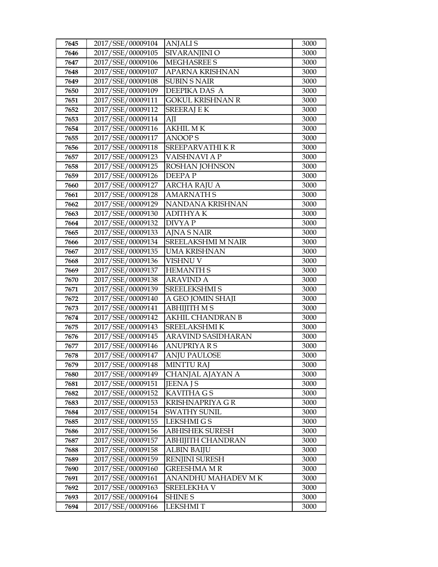| 7645 | 2017/SSE/00009104 | <b>ANJALIS</b>            | 3000 |
|------|-------------------|---------------------------|------|
| 7646 | 2017/SSE/00009105 | SIVARANJINI O             | 3000 |
| 7647 | 2017/SSE/00009106 | <b>MEGHASREE S</b>        | 3000 |
| 7648 | 2017/SSE/00009107 | APARNA KRISHNAN           | 3000 |
| 7649 | 2017/SSE/00009108 | <b>SUBIN S NAIR</b>       | 3000 |
| 7650 | 2017/SSE/00009109 | DEEPIKA DAS A             | 3000 |
| 7651 | 2017/SSE/00009111 | <b>GOKUL KRISHNAN R</b>   | 3000 |
| 7652 | 2017/SSE/00009112 | <b>SREERAJ E K</b>        | 3000 |
| 7653 | 2017/SSE/00009114 | AJI                       | 3000 |
| 7654 | 2017/SSE/00009116 | $AKHILM\overline{K}$      | 3000 |
| 7655 | 2017/SSE/00009117 | <b>ANOOPS</b>             | 3000 |
| 7656 | 2017/SSE/00009118 | SREEPARVATHIKR            | 3000 |
| 7657 | 2017/SSE/00009123 | VAISHNAVI A P             | 3000 |
| 7658 | 2017/SSE/00009125 | ROSHAN JOHNSON            | 3000 |
| 7659 | 2017/SSE/00009126 | <b>DEEPAP</b>             | 3000 |
| 7660 | 2017/SSE/00009127 | <b>ARCHA RAJU A</b>       | 3000 |
| 7661 | 2017/SSE/00009128 | <b>AMARNATH S</b>         | 3000 |
| 7662 | 2017/SSE/00009129 | NANDANA KRISHNAN          | 3000 |
| 7663 | 2017/SSE/00009130 | <b>ADITHYAK</b>           | 3000 |
| 7664 | 2017/SSE/00009132 | <b>DIVYAP</b>             | 3000 |
| 7665 | 2017/SSE/00009133 | AJNA S NAIR               | 3000 |
| 7666 | 2017/SSE/00009134 | <b>SREELAKSHMI M NAIR</b> | 3000 |
| 7667 | 2017/SSE/00009135 | <b>UMA KRISHNAN</b>       | 3000 |
| 7668 | 2017/SSE/00009136 | VISHNU V                  | 3000 |
| 7669 | 2017/SSE/00009137 | <b>HEMANTH S</b>          | 3000 |
| 7670 | 2017/SSE/00009138 | ARAVIND A                 | 3000 |
| 7671 | 2017/SSE/00009139 | <b>SREELEKSHMI S</b>      | 3000 |
| 7672 | 2017/SSE/00009140 | A GEO JOMIN SHAJI         | 3000 |
| 7673 | 2017/SSE/00009141 | <b>ABHIJITH MS</b>        | 3000 |
| 7674 | 2017/SSE/00009142 | <b>AKHIL CHANDRAN B</b>   | 3000 |
| 7675 | 2017/SSE/00009143 | SREELAKSHMI K             | 3000 |
| 7676 | 2017/SSE/00009145 | ARAVIND SASIDHARAN        | 3000 |
| 7677 | 2017/SSE/00009146 | <b>ANUPRIYA R S</b>       | 3000 |
| 7678 | 2017/SSE/00009147 | <b>ANJU PAULOSE</b>       | 3000 |
| 7679 | 2017/SSE/00009148 | <b>MINTTU RAJ</b>         | 3000 |
| 7680 | 2017/SSE/00009149 | CHANJAL AJAYAN A          | 3000 |
| 7681 | 2017/SSE/00009151 | <b>JEENA J S</b>          | 3000 |
| 7682 | 2017/SSE/00009152 | KAVITHA G S               | 3000 |
| 7683 | 2017/SSE/00009153 | <b>KRISHNAPRIYA G R</b>   | 3000 |
| 7684 | 2017/SSE/00009154 | <b>SWATHY SUNIL</b>       | 3000 |
| 7685 | 2017/SSE/00009155 | <b>LEKSHMIGS</b>          | 3000 |
| 7686 | 2017/SSE/00009156 | <b>ABHISHEK SURESH</b>    | 3000 |
| 7687 | 2017/SSE/00009157 | <b>ABHIJITH CHANDRAN</b>  | 3000 |
| 7688 | 2017/SSE/00009158 | <b>ALBIN BAIJU</b>        | 3000 |
| 7689 | 2017/SSE/00009159 | <b>RENJINI SURESH</b>     | 3000 |
| 7690 | 2017/SSE/00009160 | GREESHMA M R              | 3000 |
| 7691 | 2017/SSE/00009161 | ANANDHU MAHADEV M K       | 3000 |
| 7692 | 2017/SSE/00009163 | SREELEKHA V               | 3000 |
| 7693 | 2017/SSE/00009164 | <b>SHINE S</b>            | 3000 |
| 7694 | 2017/SSE/00009166 | <b>LEKSHMIT</b>           | 3000 |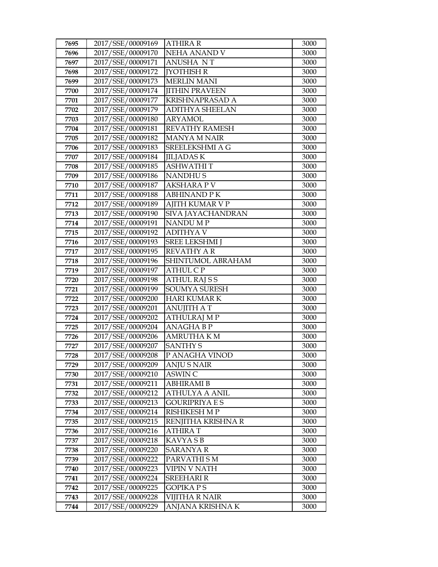| 7695 | 2017/SSE/00009169 | <b>ATHIRA R</b>        | 3000 |
|------|-------------------|------------------------|------|
| 7696 | 2017/SSE/00009170 | NEHA ANAND V           | 3000 |
| 7697 | 2017/SSE/00009171 | <b>ANUSHA NT</b>       | 3000 |
| 7698 | 2017/SSE/00009172 | <b>[YOTHISH R</b>      | 3000 |
| 7699 | 2017/SSE/00009173 | <b>MERLIN MANI</b>     | 3000 |
| 7700 | 2017/SSE/00009174 | <b>IITHIN PRAVEEN</b>  | 3000 |
| 7701 | 2017/SSE/00009177 | <b>KRISHNAPRASAD A</b> | 3000 |
| 7702 | 2017/SSE/00009179 | <b>ADITHYA SHEELAN</b> | 3000 |
| 7703 | 2017/SSE/00009180 | <b>ARYAMOL</b>         | 3000 |
| 7704 | 2017/SSE/00009181 | <b>REVATHY RAMESH</b>  | 3000 |
| 7705 | 2017/SSE/00009182 | <b>MANYA M NAIR</b>    | 3000 |
| 7706 | 2017/SSE/00009183 | SREELEKSHMI A G        | 3000 |
| 7707 | 2017/SSE/00009184 | <b>JILJADASK</b>       | 3000 |
| 7708 | 2017/SSE/00009185 | <b>ASHWATHIT</b>       | 3000 |
| 7709 | 2017/SSE/00009186 | <b>NANDHUS</b>         | 3000 |
| 7710 | 2017/SSE/00009187 | <b>AKSHARA P V</b>     | 3000 |
| 7711 | 2017/SSE/00009188 | <b>ABHINAND PK</b>     | 3000 |
| 7712 | 2017/SSE/00009189 | <b>AJITH KUMAR V P</b> | 3000 |
| 7713 | 2017/SSE/00009190 | SIVA JAYACHANDRAN      | 3000 |
| 7714 | 2017/SSE/00009191 | <b>NANDUMP</b>         | 3000 |
| 7715 | 2017/SSE/00009192 | <b>ADITHYA V</b>       | 3000 |
| 7716 | 2017/SSE/00009193 | <b>SREE LEKSHMI</b> J  | 3000 |
| 7717 | 2017/SSE/00009195 | <b>REVATHY AR</b>      | 3000 |
| 7718 | 2017/SSE/00009196 | SHINTUMOL ABRAHAM      | 3000 |
| 7719 | 2017/SSE/00009197 | <b>ATHUL C P</b>       | 3000 |
| 7720 | 2017/SSE/00009198 | <b>ATHUL RAJ S S</b>   | 3000 |
| 7721 | 2017/SSE/00009199 | <b>SOUMYA SURESH</b>   | 3000 |
| 7722 | 2017/SSE/00009200 | <b>HARI KUMAR K</b>    | 3000 |
| 7723 | 2017/SSE/00009201 | <b>ANUJITH A T</b>     | 3000 |
| 7724 | 2017/SSE/00009202 | <b>ATHULRAJ M P</b>    | 3000 |
| 7725 | 2017/SSE/00009204 | <b>ANAGHABP</b>        | 3000 |
| 7726 | 2017/SSE/00009206 | <b>AMRUTHA K M</b>     | 3000 |
| 7727 | 2017/SSE/00009207 | <b>SANTHY S</b>        | 3000 |
| 7728 | 2017/SSE/00009208 | P ANAGHA VINOD         | 3000 |
| 7729 | 2017/SSE/00009209 | ANJU S NAIR            | 3000 |
| 7730 | 2017/SSE/00009210 | ASWIN C                | 3000 |
| 7731 | 2017/SSE/00009211 | <b>ABHIRAMI B</b>      | 3000 |
| 7732 | 2017/SSE/00009212 | <b>ATHULYA A ANIL</b>  | 3000 |
| 7733 | 2017/SSE/00009213 | <b>GOURIPRIYA E S</b>  | 3000 |
| 7734 | 2017/SSE/00009214 | <b>RISHIKESH M P</b>   | 3000 |
| 7735 | 2017/SSE/00009215 | RENJITHA KRISHNA R     | 3000 |
| 7736 | 2017/SSE/00009216 | ATHIRA T               | 3000 |
| 7737 | 2017/SSE/00009218 | <b>KAVYASB</b>         | 3000 |
| 7738 | 2017/SSE/00009220 | <b>SARANYA R</b>       | 3000 |
| 7739 | 2017/SSE/00009222 | PARVATHI SM            | 3000 |
| 7740 | 2017/SSE/00009223 | VIPIN V NATH           | 3000 |
| 7741 | 2017/SSE/00009224 | SREEHARI R             | 3000 |
| 7742 | 2017/SSE/00009225 | <b>GOPIKA PS</b>       | 3000 |
| 7743 | 2017/SSE/00009228 | <b>VIJITHA R NAIR</b>  | 3000 |
| 7744 | 2017/SSE/00009229 | ANJANA KRISHNA K       | 3000 |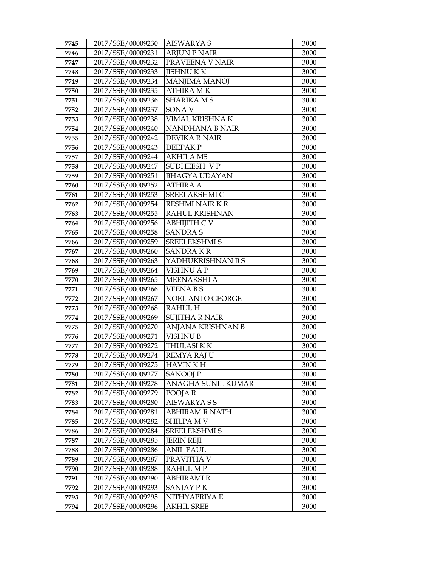| 7745         | 2017/SSE/00009230                      | <b>AISWARYA S</b>                   | 3000         |
|--------------|----------------------------------------|-------------------------------------|--------------|
| 7746         | 2017/SSE/00009231                      | <b>ARJUN P NAIR</b>                 | 3000         |
| 7747         | 2017/SSE/00009232                      | PRAVEENA V NAIR                     | 3000         |
| 7748         | 2017/SSE/00009233                      | <b>JISHNUKK</b>                     | 3000         |
| 7749         | 2017/SSE/00009234                      | <b>MANJIMA MANOJ</b>                | 3000         |
| 7750         | 2017/SSE/00009235                      | <b>ATHIRA MK</b>                    | 3000         |
| 7751         | 2017/SSE/00009236                      | <b>SHARIKA MS</b>                   | 3000         |
| 7752         | 2017/SSE/00009237                      | SONA V                              | 3000         |
| 7753         | 2017/SSE/00009238                      | VIMAL KRISHNA K                     | 3000         |
| 7754         | 2017/SSE/00009240                      | <b>NANDHANA B NAIR</b>              | 3000         |
| 7755         | 2017/SSE/00009242                      | <b>DEVIKA R NAIR</b>                | 3000         |
| 7756         | 2017/SSE/00009243                      | <b>DEEPAKP</b>                      | 3000         |
| 7757         | 2017/SSE/00009244                      | <b>AKHILA MS</b>                    | 3000         |
| 7758         | 2017/SSE/00009247                      | SUDHEESH VP                         | 3000         |
| 7759         | 2017/SSE/00009251                      | <b>BHAGYA UDAYAN</b>                | 3000         |
| 7760         | 2017/SSE/00009252                      | <b>ATHIRA A</b>                     | 3000         |
| 7761         | 2017/SSE/00009253                      | SREELAKSHMI C                       | 3000         |
| 7762         | 2017/SSE/00009254                      | <b>RESHMI NAIR K R</b>              | 3000         |
| 7763         | 2017/SSE/00009255                      | RAHUL KRISHNAN                      | 3000         |
| 7764         | 2017/SSE/00009256                      | <b>ABHIJITH C V</b>                 | 3000         |
| 7765         | 2017/SSE/00009258                      | <b>SANDRAS</b>                      | 3000         |
| 7766         | 2017/SSE/00009259                      | <b>SREELEKSHMI S</b>                | 3000         |
| 7767         | 2017/SSE/00009260                      | <b>SANDRAKR</b>                     | 3000         |
| 7768         | 2017/SSE/00009263                      | YADHUKRISHNAN B S                   | 3000         |
| 7769         | 2017/SSE/00009264                      | <b>VISHNU A P</b>                   | 3000         |
| 7770         | 2017/SSE/00009265                      | <b>MEENAKSHI A</b>                  | 3000         |
| 7771         | 2017/SSE/00009266                      | <b>VEENABS</b>                      | 3000         |
| 7772         | 2017/SSE/00009267                      | NOEL ANTO GEORGE                    | 3000         |
| 7773         | 2017/SSE/00009268                      | <b>RAHUL H</b>                      | 3000         |
| 7774         | 2017/SSE/00009269                      | <b>SUJITHA R NAIR</b>               | 3000         |
| 7775         | 2017/SSE/00009270                      | ANJANA KRISHNAN B                   | 3000         |
| 7776         | 2017/SSE/00009271                      | VISHNU B                            | 3000         |
| 7777         | 2017/SSE/00009272                      | <b>THULASI KK</b>                   | 3000         |
| 7778         | 2017/SSE/00009274                      | <b>REMYA RAJ U</b>                  | 3000         |
| 7779         | 2017/SSE/00009275                      | <b>HAVIN K H</b>                    | 3000         |
| 7780         | 2017/SSE/00009277                      | <b>SANOOJ P</b>                     | 3000         |
| 7781         | 2017/SSE/00009278                      | ANAGHA SUNIL KUMAR                  | 3000         |
| 7782         | 2017/SSE/00009279                      | POOJAR                              | 3000         |
| 7783         | 2017/SSE/00009280                      | <b>AISWARYASS</b>                   | 3000         |
| 7784         | 2017/SSE/00009281                      | ABHIRAM R NATH                      | 3000         |
| 7785         | 2017/SSE/00009282                      | <b>SHILPA MV</b>                    | 3000         |
| 7786         | 2017/SSE/00009284                      | SREELEKSHMI S                       | 3000         |
| 7787         | 2017/SSE/00009285                      | <b>JERIN REJI</b>                   | 3000         |
| 7788         | 2017/SSE/00009286                      | <b>ANIL PAUL</b>                    | 3000         |
| 7789         | 2017/SSE/00009287                      | PRAVITHA V                          | 3000         |
| 7790         | 2017/SSE/00009288                      | RAHUL M P                           | 3000         |
|              |                                        |                                     |              |
| 7791         | 2017/SSE/00009290                      | <b>ABHIRAMI R</b>                   | 3000         |
| 7792         | 2017/SSE/00009293                      | SANJAY PK                           | 3000         |
| 7793<br>7794 | 2017/SSE/00009295<br>2017/SSE/00009296 | NITHY APRIYA E<br><b>AKHIL SREE</b> | 3000<br>3000 |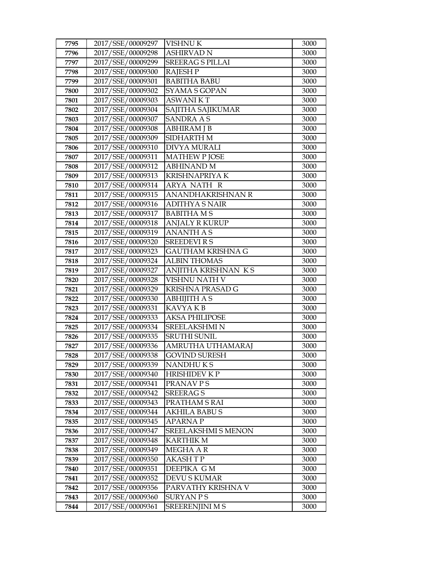| 7795         | 2017/SSE/00009297                      | <b>VISHNU K</b>               | 3000         |
|--------------|----------------------------------------|-------------------------------|--------------|
| 7796         | 2017/SSE/00009298                      | <b>ASHIRVAD N</b>             | 3000         |
| 7797         | 2017/SSE/00009299                      | <b>SREERAG S PILLAI</b>       | 3000         |
| 7798         | 2017/SSE/00009300                      | <b>RAJESH P</b>               | 3000         |
| 7799         | 2017/SSE/00009301                      | <b>BABITHA BABU</b>           | 3000         |
| 7800         | 2017/SSE/00009302                      | SYAMA S GOPAN                 | 3000         |
| 7801         | 2017/SSE/00009303                      | <b>ASWANIKT</b>               | 3000         |
| 7802         | 2017/SSE/00009304                      | SAJITHA SAJIKUMAR             | 3000         |
| 7803         | 2017/SSE/00009307                      | <b>SANDRA A S</b>             | 3000         |
| 7804         | 2017/SSE/00009308                      | <b>ABHIRAM J B</b>            | 3000         |
| 7805         | 2017/SSE/00009309                      | SIDHARTH M                    | 3000         |
| 7806         | 2017/SSE/00009310                      | <b>DIVYA MURALI</b>           | 3000         |
| 7807         | 2017/SSE/00009311                      | <b>MATHEW P JOSE</b>          | 3000         |
| 7808         | 2017/SSE/00009312                      | <b>ABHINAND M</b>             | 3000         |
| 7809         | 2017/SSE/00009313                      | <b>KRISHNAPRIYA K</b>         | 3000         |
| 7810         | 2017/SSE/00009314                      | ARYA NATH R                   | 3000         |
| 7811         | 2017/SSE/00009315                      | ANANDHAKRISHNAN R             | 3000         |
| 7812         | 2017/SSE/00009316                      | <b>ADITHYA S NAIR</b>         | 3000         |
| 7813         | 2017/SSE/00009317                      | <b>BABITHAMS</b>              | 3000         |
| 7814         | 2017/SSE/00009318                      | <b>ANJALY R KURUP</b>         | 3000         |
| 7815         | 2017/SSE/00009319                      | <b>ANANTH A S</b>             | 3000         |
| 7816         | 2017/SSE/00009320                      | <b>SREEDEVIRS</b>             | 3000         |
| 7817         | 2017/SSE/00009323                      | <b>GAUTHAM KRISHNA G</b>      | 3000         |
| 7818         | 2017/SSE/00009324                      | <b>ALBIN THOMAS</b>           | 3000         |
| 7819         | 2017/SSE/00009327                      | ANJITHA KRISHNAN KS           | 3000         |
| 7820         | 2017/SSE/00009328                      | VISHNU NATH V                 | 3000         |
| 7821         | 2017/SSE/00009329                      | <b>KRISHNA PRASAD G</b>       | 3000         |
| 7822         | 2017/SSE/00009330                      | <b>ABHIJITH A S</b>           | 3000         |
| 7823         | 2017/SSE/00009331                      | KAVYA K B                     | 3000         |
| 7824         | 2017/SSE/00009333                      | <b>AKSA PHILIPOSE</b>         | 3000         |
| 7825         | 2017/SSE/00009334                      | <b>SREELAKSHMI N</b>          | 3000         |
| 7826         | 2017/SSE/00009335                      | <b>SRUTHI SUNIL</b>           | 3000         |
| 7827         | 2017/SSE/00009336                      | AMRUTHA UTHAMARAJ             | 3000         |
| 7828         | 2017/SSE/00009338                      | <b>GOVIND SURESH</b>          | 3000         |
| 7829         | 2017/SSE/00009339<br>2017/SSE/00009340 | NANDHU K S                    | 3000         |
| 7830         |                                        | HRISHIDEV K P                 | 3000         |
| 7831<br>7832 | 2017/SSE/00009341<br>2017/SSE/00009342 | PRANAV P S<br><b>SREERAGS</b> | 3000<br>3000 |
| 7833         | 2017/SSE/00009343                      | PRATHAM S RAI                 | 3000         |
| 7834         | 2017/SSE/00009344                      | <b>AKHILA BABUS</b>           | 3000         |
| 7835         | 2017/SSE/00009345                      | <b>APARNAP</b>                | 3000         |
| 7836         | 2017/SSE/00009347                      | SREELAKSHMI S MENON           | 3000         |
| 7837         | 2017/SSE/00009348                      | <b>KARTHIK M</b>              | 3000         |
| 7838         | 2017/SSE/00009349                      | MEGHA A R                     | 3000         |
| 7839         | 2017/SSE/00009350                      | AKASH T P                     | 3000         |
| 7840         | 2017/SSE/00009351                      | DEEPIKA GM                    | 3000         |
| 7841         | 2017/SSE/00009352                      | <b>DEVU S KUMAR</b>           | 3000         |
| 7842         | 2017/SSE/00009356                      | PARVATHY KRISHNA V            | 3000         |
| 7843         | 2017/SSE/00009360                      | SURYAN P S                    | 3000         |
| 7844         | 2017/SSE/00009361                      | <b>SREERENJINI M S</b>        | 3000         |
|              |                                        |                               |              |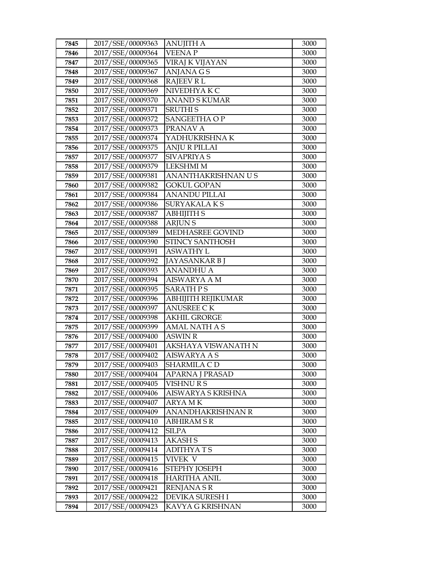| 7845 | 2017/SSE/00009363 | <b>ANUJITH A</b>          | 3000 |
|------|-------------------|---------------------------|------|
| 7846 | 2017/SSE/00009364 | <b>VEENAP</b>             | 3000 |
| 7847 | 2017/SSE/00009365 | <b>VIRAJ K VIJAYAN</b>    | 3000 |
| 7848 | 2017/SSE/00009367 | <b>ANJANA GS</b>          | 3000 |
| 7849 | 2017/SSE/00009368 | <b>RAJEEV RL</b>          | 3000 |
| 7850 | 2017/SSE/00009369 | NIVEDHYA K C              | 3000 |
| 7851 | 2017/SSE/00009370 | <b>ANAND S KUMAR</b>      | 3000 |
| 7852 | 2017/SSE/00009371 | <b>SRUTHIS</b>            | 3000 |
| 7853 | 2017/SSE/00009372 | SANGEETHA OP              | 3000 |
| 7854 | 2017/SSE/00009373 | PRANAV A                  | 3000 |
| 7855 | 2017/SSE/00009374 | YADHUKRISHNA K            | 3000 |
| 7856 | 2017/SSE/00009375 | <b>ANJU R PILLAI</b>      | 3000 |
| 7857 | 2017/SSE/00009377 | <b>SIVAPRIYA S</b>        | 3000 |
| 7858 | 2017/SSE/00009379 | <b>LEKSHMI M</b>          | 3000 |
| 7859 | 2017/SSE/00009381 | ANANTHAKRISHNAN U S       | 3000 |
| 7860 | 2017/SSE/00009382 | <b>GOKUL GOPAN</b>        | 3000 |
| 7861 | 2017/SSE/00009384 | <b>ANANDU PILLAI</b>      | 3000 |
| 7862 | 2017/SSE/00009386 | SURYAKALAKS               | 3000 |
| 7863 | 2017/SSE/00009387 | <b>ABHIJITH S</b>         | 3000 |
| 7864 | 2017/SSE/00009388 | <b>ARJUNS</b>             | 3000 |
| 7865 | 2017/SSE/00009389 | <b>MEDHASREE GOVIND</b>   | 3000 |
| 7866 | 2017/SSE/00009390 | STINCY SANTHOSH           | 3000 |
| 7867 | 2017/SSE/00009391 | <b>ASWATHY L</b>          | 3000 |
| 7868 | 2017/SSE/00009392 | JAYASANKAR B J            | 3000 |
| 7869 | 2017/SSE/00009393 | <b>ANANDHU A</b>          | 3000 |
| 7870 | 2017/SSE/00009394 | <b>AISWARYA A M</b>       | 3000 |
| 7871 | 2017/SSE/00009395 | <b>SARATH PS</b>          | 3000 |
| 7872 | 2017/SSE/00009396 | <b>ABHIJITH REJIKUMAR</b> | 3000 |
| 7873 | 2017/SSE/00009397 | <b>ANUSREE CK</b>         | 3000 |
| 7874 | 2017/SSE/00009398 | <b>AKHIL GRORGE</b>       | 3000 |
| 7875 | 2017/SSE/00009399 | <b>AMAL NATH A S</b>      | 3000 |
| 7876 | 2017/SSE/00009400 | <b>ASWIN R</b>            | 3000 |
| 7877 | 2017/SSE/00009401 | AKSHAYA VISWANATH N       | 3000 |
| 7878 | 2017/SSE/00009402 | <b>AISWARYA A S</b>       | 3000 |
| 7879 | 2017/SSE/00009403 | SHARMILA C D              | 3000 |
| 7880 | 2017/SSE/00009404 | <b>APARNA J PRASAD</b>    | 3000 |
| 7881 | 2017/SSE/00009405 | <b>VISHNURS</b>           | 3000 |
| 7882 | 2017/SSE/00009406 | AISWARYA S KRISHNA        | 3000 |
| 7883 | 2017/SSE/00009407 | <b>ARYAMK</b>             | 3000 |
| 7884 | 2017/SSE/00009409 | ANANDHAKRISHNAN R         | 3000 |
| 7885 | 2017/SSE/00009410 | <b>ABHIRAM S R</b>        | 3000 |
| 7886 | 2017/SSE/00009412 | <b>SILPA</b>              | 3000 |
| 7887 | 2017/SSE/00009413 | <b>AKASH S</b>            | 3000 |
| 7888 | 2017/SSE/00009414 | <b>ADITHYATS</b>          | 3000 |
| 7889 | 2017/SSE/00009415 | VIVEK V                   | 3000 |
| 7890 | 2017/SSE/00009416 | STEPHY JOSEPH             | 3000 |
| 7891 | 2017/SSE/00009418 | <b>HARITHA ANIL</b>       | 3000 |
| 7892 | 2017/SSE/00009421 | <b>RENJANA S R</b>        | 3000 |
| 7893 | 2017/SSE/00009422 | DEVIKA SURESH I           | 3000 |
| 7894 | 2017/SSE/00009423 | KAVYA G KRISHNAN          | 3000 |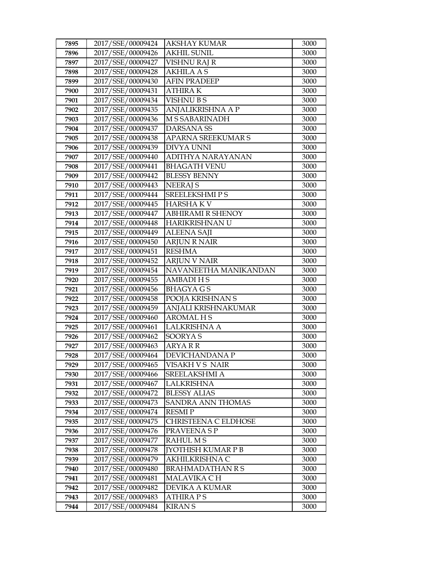| 7895         | 2017/SSE/00009424                      | <b>AKSHAY KUMAR</b>                | 3000         |
|--------------|----------------------------------------|------------------------------------|--------------|
| 7896         | 2017/SSE/00009426                      | <b>AKHIL SUNIL</b>                 | 3000         |
| 7897         | 2017/SSE/00009427                      | <b>VISHNU RAJ R</b>                | 3000         |
| 7898         | 2017/SSE/00009428                      | <b>AKHILA A S</b>                  | 3000         |
| 7899         | 2017/SSE/00009430                      | <b>AFIN PRADEEP</b>                | 3000         |
| 7900         | 2017/SSE/00009431                      | <b>ATHIRAK</b>                     | 3000         |
| 7901         | 2017/SSE/00009434                      | <b>VISHNUBS</b>                    | 3000         |
| 7902         | 2017/SSE/00009435                      | ANJALIKRISHNA A P                  | 3000         |
| 7903         | 2017/SSE/00009436                      | <b>M S SABARINADH</b>              | 3000         |
| 7904         | 2017/SSE/00009437                      | <b>DARSANA SS</b>                  | 3000         |
| 7905         | 2017/SSE/00009438                      | APARNA SREEKUMAR S                 | 3000         |
| 7906         | 2017/SSE/00009439                      | <b>DIVYA UNNI</b>                  | 3000         |
| 7907         | 2017/SSE/00009440                      | ADITHYA NARAYANAN                  | 3000         |
| 7908         | 2017/SSE/00009441                      | <b>BHAGATH VENU</b>                | 3000         |
| 7909         | 2017/SSE/00009442                      | <b>BLESSY BENNY</b>                | 3000         |
| 7910         | 2017/SSE/00009443                      | <b>NEERAJ S</b>                    | 3000         |
| 7911         | 2017/SSE/00009444                      | <b>SREELEKSHMIPS</b>               | 3000         |
| 7912         | 2017/SSE/00009445                      | <b>HARSHAKV</b>                    | 3000         |
| 7913         | 2017/SSE/00009447                      | <b>ABHIRAMI R SHENOY</b>           | 3000         |
| 7914         | 2017/SSE/00009448                      | HARIKRISHNAN U                     | 3000         |
| 7915         | 2017/SSE/00009449                      | <b>ALEENA SAJI</b>                 | 3000         |
| 7916         | 2017/SSE/00009450                      | <b>ARJUN R NAIR</b>                | 3000         |
| 7917         | 2017/SSE/00009451                      | <b>RESHMA</b>                      | 3000         |
| 7918         | 2017/SSE/00009452                      | <b>ARJUN V NAIR</b>                | 3000         |
| 7919         | 2017/SSE/00009454                      | NAVANEETHA MANIKANDAN              | 3000         |
| 7920         | 2017/SSE/00009455                      | <b>AMBADIHS</b>                    | 3000         |
| 7921         | 2017/SSE/00009456                      | <b>BHAGYAGS</b>                    | 3000         |
| 7922         | 2017/SSE/00009458                      | POOJA KRISHNAN S                   | 3000         |
| 7923         | 2017/SSE/00009459                      | ANJALI KRISHNAKUMAR                | 3000         |
| 7924         | 2017/SSE/00009460                      | <b>AROMALHS</b>                    | 3000         |
| 7925         | 2017/SSE/00009461                      | <b>LALKRISHNA A</b>                | 3000         |
| 7926         | 2017/SSE/00009462                      | SOORYA <sub>S</sub>                | 3000         |
| 7927         | 2017/SSE/00009463                      | <b>ARYARR</b>                      | 3000         |
| 7928         | 2017/SSE/00009464                      | DEVICHANDANA P                     | 3000         |
| 7929         | 2017/SSE/00009465<br>2017/SSE/00009466 | VISAKH V S NAIR                    | 3000         |
| 7930<br>7931 |                                        | SREELAKSHMI A<br><b>LALKRISHNA</b> | 3000         |
| 7932         | 2017/SSE/00009467<br>2017/SSE/00009472 | <b>BLESSY ALIAS</b>                | 3000<br>3000 |
| 7933         | 2017/SSE/00009473                      | SANDRA ANN THOMAS                  | 3000         |
| 7934         | 2017/SSE/00009474                      | <b>RESMIP</b>                      | 3000         |
| 7935         | 2017/SSE/00009475                      | CHRISTEENA C ELDHOSE               | 3000         |
| 7936         | 2017/SSE/00009476                      | PRAVEENA S P                       | 3000         |
| 7937         | 2017/SSE/00009477                      | <b>RAHUL MS</b>                    | 3000         |
| 7938         | 2017/SSE/00009478                      | <b>[YOTHISH KUMAR P B</b>          | 3000         |
| 7939         | 2017/SSE/00009479                      | AKHILKRISHNA C                     | 3000         |
| 7940         | 2017/SSE/00009480                      | <b>BRAHMADATHAN R S</b>            | 3000         |
| 7941         | 2017/SSE/00009481                      | MALAVIKA C H                       | 3000         |
| 7942         | 2017/SSE/00009482                      | DEVIKA A KUMAR                     | 3000         |
| 7943         | 2017/SSE/00009483                      | <b>ATHIRA PS</b>                   | 3000         |
|              |                                        |                                    |              |
| 7944         | 2017/SSE/00009484                      | <b>KIRAN S</b>                     | 3000         |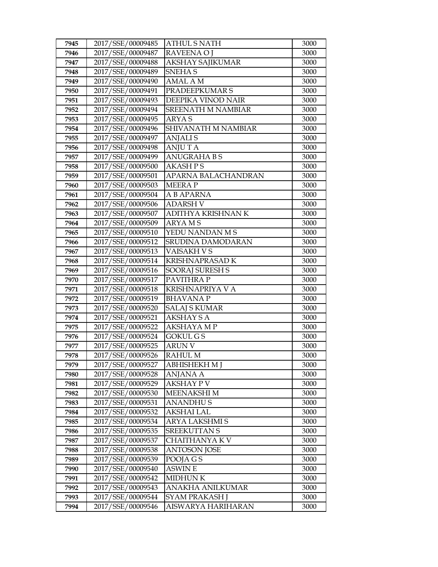| 7945 | 2017/SSE/00009485 | ATHUL S NATH            | 3000 |
|------|-------------------|-------------------------|------|
| 7946 | 2017/SSE/00009487 | <b>RAVEENA O J</b>      | 3000 |
| 7947 | 2017/SSE/00009488 | <b>AKSHAY SAJIKUMAR</b> | 3000 |
| 7948 | 2017/SSE/00009489 | <b>SNEHAS</b>           | 3000 |
| 7949 | 2017/SSE/00009490 | <b>AMAL AM</b>          | 3000 |
| 7950 | 2017/SSE/00009491 | PRADEEPKUMAR S          | 3000 |
| 7951 | 2017/SSE/00009493 | DEEPIKA VINOD NAIR      | 3000 |
| 7952 | 2017/SSE/00009494 | SREENATH M NAMBIAR      | 3000 |
| 7953 | 2017/SSE/00009495 | <b>ARYAS</b>            | 3000 |
| 7954 | 2017/SSE/00009496 | SHIVANATH M NAMBIAR     | 3000 |
| 7955 | 2017/SSE/00009497 | <b>ANJALIS</b>          | 3000 |
| 7956 | 2017/SSE/00009498 | <b>ANJUTA</b>           | 3000 |
| 7957 | 2017/SSE/00009499 | <b>ANUGRAHABS</b>       | 3000 |
| 7958 | 2017/SSE/00009500 | <b>AKASH PS</b>         | 3000 |
| 7959 | 2017/SSE/00009501 | APARNA BALACHANDRAN     | 3000 |
| 7960 | 2017/SSE/00009503 | <b>MEERAP</b>           | 3000 |
| 7961 | 2017/SSE/00009504 | A B APARNA              | 3000 |
| 7962 | 2017/SSE/00009506 | <b>ADARSH V</b>         | 3000 |
| 7963 | 2017/SSE/00009507 | ADITHYA KRISHNAN K      | 3000 |
| 7964 | 2017/SSE/00009509 | <b>ARYAMS</b>           | 3000 |
| 7965 | 2017/SSE/00009510 | YEDU NANDAN M S         | 3000 |
| 7966 | 2017/SSE/00009512 | SRUDINA DAMODARAN       | 3000 |
| 7967 | 2017/SSE/00009513 | VAISAKH V S             | 3000 |
| 7968 | 2017/SSE/00009514 | <b>KRISHNAPRASAD K</b>  | 3000 |
| 7969 | 2017/SSE/00009516 | <b>SOORAJ SURESH S</b>  | 3000 |
| 7970 | 2017/SSE/00009517 | PAVITHRA P              | 3000 |
| 7971 | 2017/SSE/00009518 | KRISHNAPRIYA V A        | 3000 |
| 7972 | 2017/SSE/00009519 | <b>BHAVANAP</b>         | 3000 |
| 7973 | 2017/SSE/00009520 | <b>SALAJ S KUMAR</b>    | 3000 |
| 7974 | 2017/SSE/00009521 | <b>AKSHAY S A</b>       | 3000 |
| 7975 | 2017/SSE/00009522 | AKSHAYA M P             | 3000 |
| 7976 | 2017/SSE/00009524 | GOKUL G S               | 3000 |
| 7977 | 2017/SSE/00009525 | <b>ARUN V</b>           | 3000 |
| 7978 | 2017/SSE/00009526 | <b>RAHUL M</b>          | 3000 |
| 7979 | 2017/SSE/00009527 | ABHISHEKH M J           | 3000 |
| 7980 | 2017/SSE/00009528 | ANJANA A                | 3000 |
| 7981 | 2017/SSE/00009529 | AKSHAY P V              | 3000 |
| 7982 | 2017/SSE/00009530 | MEENAKSHI M             | 3000 |
| 7983 | 2017/SSE/00009531 | <b>ANANDHUS</b>         | 3000 |
| 7984 | 2017/SSE/00009532 | AKSHAI LAL              | 3000 |
| 7985 | 2017/SSE/00009534 | ARYA LAKSHMI S          | 3000 |
| 7986 | 2017/SSE/00009535 | <b>SREEKUTTAN S</b>     | 3000 |
| 7987 | 2017/SSE/00009537 | CHAITHANYA K V          | 3000 |
| 7988 | 2017/SSE/00009538 | <b>ANTOSON JOSE</b>     | 3000 |
| 7989 | 2017/SSE/00009539 | POOJA G S               | 3000 |
| 7990 | 2017/SSE/00009540 | ASWIN E                 | 3000 |
| 7991 | 2017/SSE/00009542 | <b>MIDHUN K</b>         | 3000 |
| 7992 | 2017/SSE/00009543 | ANAKHA ANILKUMAR        | 3000 |
| 7993 | 2017/SSE/00009544 | SYAM PRAKASH J          | 3000 |
| 7994 | 2017/SSE/00009546 | AISWARYA HARIHARAN      | 3000 |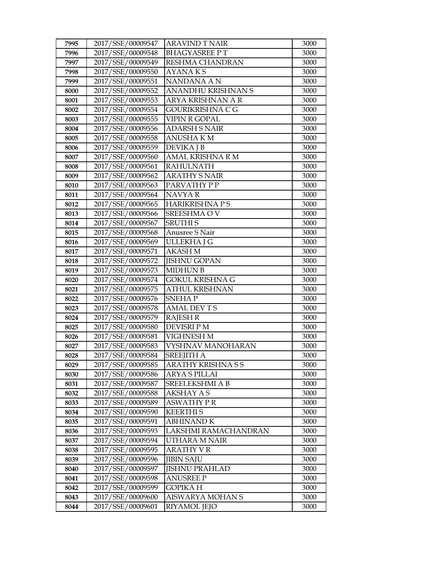| 7995 | 2017/SSE/00009547 | <b>ARAVIND T NAIR</b>     | 3000 |
|------|-------------------|---------------------------|------|
| 7996 | 2017/SSE/00009548 | <b>BHAGYASREE PT</b>      | 3000 |
| 7997 | 2017/SSE/00009549 | RESHMA CHANDRAN           | 3000 |
| 7998 | 2017/SSE/00009550 | <b>AYANAKS</b>            | 3000 |
| 7999 | 2017/SSE/00009551 | NANDANA A N               | 3000 |
| 8000 | 2017/SSE/00009552 | ANANDHU KRISHNAN S        | 3000 |
| 8001 | 2017/SSE/00009553 | ARYA KRISHNAN A R         | 3000 |
| 8002 | 2017/SSE/00009554 | GOURIKRISHNA C G          | 3000 |
| 8003 | 2017/SSE/00009555 | <b>VIPIN R GOPAL</b>      | 3000 |
| 8004 | 2017/SSE/00009556 | <b>ADARSH S NAIR</b>      | 3000 |
| 8005 | 2017/SSE/00009558 | <b>ANUSHAKM</b>           | 3000 |
| 8006 | 2017/SSE/00009559 | <b>DEVIKA J B</b>         | 3000 |
| 8007 | 2017/SSE/00009560 | AMAL KRISHNA R M          | 3000 |
| 8008 | 2017/SSE/00009561 | <b>RAHULNATH</b>          | 3000 |
| 8009 | 2017/SSE/00009562 | <b>ARATHY S NAIR</b>      | 3000 |
| 8010 | 2017/SSE/00009563 | PARVATHY PP               | 3000 |
| 8011 | 2017/SSE/00009564 | NAVYA R                   | 3000 |
| 8012 | 2017/SSE/00009565 | <b>HARIKRISHNAPS</b>      | 3000 |
| 8013 | 2017/SSE/00009566 | SREESHMA OV               | 3000 |
| 8014 | 2017/SSE/00009567 | <b>SRUTHIS</b>            | 3000 |
| 8015 | 2017/SSE/00009568 | Anusree S Nair            | 3000 |
| 8016 | 2017/SSE/00009569 | ULLEKHA J G               | 3000 |
| 8017 | 2017/SSE/00009571 | <b>AKASH M</b>            | 3000 |
| 8018 | 2017/SSE/00009572 | <b>JISHNU GOPAN</b>       | 3000 |
| 8019 | 2017/SSE/00009573 | <b>MIDHUN B</b>           | 3000 |
| 8020 | 2017/SSE/00009574 | <b>GOKUL KRISHNA G</b>    | 3000 |
| 8021 | 2017/SSE/00009575 | <b>ATHUL KRISHNAN</b>     | 3000 |
| 8022 | 2017/SSE/00009576 | <b>SNEHAP</b>             | 3000 |
| 8023 | 2017/SSE/00009578 | <b>AMAL DEVTS</b>         | 3000 |
| 8024 | 2017/SSE/00009579 | <b>RAJESH R</b>           | 3000 |
| 8025 | 2017/SSE/00009580 | <b>DEVISRI P M</b>        | 3000 |
| 8026 | 2017/SSE/00009581 | VIGHNESH M                | 3000 |
| 8027 | 2017/SSE/00009583 | VYSHNAV MANOHARAN         | 3000 |
| 8028 | 2017/SSE/00009584 | <b>SREEIITH A</b>         | 3000 |
| 8029 | 2017/SSE/00009585 | <b>ARATHY KRISHNA S S</b> | 3000 |
| 8030 | 2017/SSE/00009586 | ARYA S PILLAI             | 3000 |
| 8031 | 2017/SSE/00009587 | <b>SREELEKSHMI A B</b>    | 3000 |
| 8032 | 2017/SSE/00009588 | <b>AKSHAY A S</b>         | 3000 |
| 8033 | 2017/SSE/00009589 | <b>ASWATHY PR</b>         | 3000 |
| 8034 | 2017/SSE/00009590 | <b>KEERTHIS</b>           | 3000 |
| 8035 | 2017/SSE/00009591 | <b>ABHINAND K</b>         | 3000 |
| 8036 | 2017/SSE/00009593 | LAKSHMI RAMACHANDRAN      | 3000 |
| 8037 | 2017/SSE/00009594 | UTHARA M NAIR             | 3000 |
| 8038 | 2017/SSE/00009595 | <b>ARATHY V R</b>         | 3000 |
| 8039 | 2017/SSE/00009596 | JIBIN SAJU                | 3000 |
| 8040 | 2017/SSE/00009597 | <b>JISHNU PRAHLAD</b>     | 3000 |
| 8041 | 2017/SSE/00009598 | ANUSREE P                 | 3000 |
| 8042 | 2017/SSE/00009599 | GOPIKA H                  | 3000 |
| 8043 | 2017/SSE/00009600 | AISWARYA MOHAN S          | 3000 |
| 8044 | 2017/SSE/00009601 | RIYAMOL JEJO              | 3000 |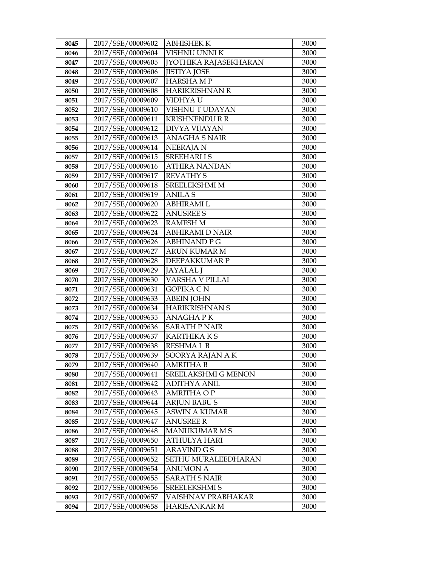| 8045 | 2017/SSE/00009602 | ABHISHEK K                   | 3000 |
|------|-------------------|------------------------------|------|
| 8046 | 2017/SSE/00009604 | VISHNU UNNI K                | 3000 |
| 8047 | 2017/SSE/00009605 | <b>JYOTHIKA RAJASEKHARAN</b> | 3000 |
| 8048 | 2017/SSE/00009606 | <b>JISTIYA JOSE</b>          | 3000 |
| 8049 | 2017/SSE/00009607 | <b>HARSHAMP</b>              | 3000 |
| 8050 | 2017/SSE/00009608 | <b>HARIKRISHNAN R</b>        | 3000 |
| 8051 | 2017/SSE/00009609 | VIDHYA U                     | 3000 |
| 8052 | 2017/SSE/00009610 | VISHNU T UDAYAN              | 3000 |
| 8053 | 2017/SSE/00009611 | <b>KRISHNENDU R R</b>        | 3000 |
| 8054 | 2017/SSE/00009612 | DIVYA VIJAYAN                | 3000 |
| 8055 | 2017/SSE/00009613 | <b>ANAGHA S NAIR</b>         | 3000 |
| 8056 | 2017/SSE/00009614 | NEERAJA N                    | 3000 |
| 8057 | 2017/SSE/00009615 | <b>SREEHARI IS</b>           | 3000 |
| 8058 | 2017/SSE/00009616 | <b>ATHIRA NANDAN</b>         | 3000 |
| 8059 | 2017/SSE/00009617 | <b>REVATHY S</b>             | 3000 |
| 8060 | 2017/SSE/00009618 | <b>SREELEKSHMI M</b>         | 3000 |
| 8061 | 2017/SSE/00009619 | ANILA S                      | 3000 |
| 8062 | 2017/SSE/00009620 | <b>ABHIRAMIL</b>             | 3000 |
| 8063 | 2017/SSE/00009622 | <b>ANUSREE S</b>             | 3000 |
| 8064 | 2017/SSE/00009623 | <b>RAMESH M</b>              | 3000 |
| 8065 | 2017/SSE/00009624 | ABHIRAMI D NAIR              | 3000 |
| 8066 | 2017/SSE/00009626 | <b>ABHINAND P G</b>          | 3000 |
| 8067 | 2017/SSE/00009627 | <b>ARUN KUMAR M</b>          | 3000 |
| 8068 | 2017/SSE/00009628 | DEEPAKKUMAR P                | 3000 |
| 8069 | 2017/SSE/00009629 | <b>JAYALAL J</b>             | 3000 |
| 8070 | 2017/SSE/00009630 | VARSHA V PILLAI              | 3000 |
| 8071 | 2017/SSE/00009631 | GOPIKA C N                   | 3000 |
| 8072 | 2017/SSE/00009633 | <b>ABEIN JOHN</b>            | 3000 |
| 8073 | 2017/SSE/00009634 | <b>HARIKRISHNAN S</b>        | 3000 |
| 8074 | 2017/SSE/00009635 | <b>ANAGHAPK</b>              | 3000 |
| 8075 | 2017/SSE/00009636 | <b>SARATH P NAIR</b>         | 3000 |
| 8076 | 2017/SSE/00009637 | <b>KARTHIKA KS</b>           | 3000 |
| 8077 | 2017/SSE/00009638 | <b>RESHMALB</b>              | 3000 |
| 8078 | 2017/SSE/00009639 | SOORYA RAJAN A K             | 3000 |
| 8079 | 2017/SSE/00009640 | <b>AMRITHA B</b>             | 3000 |
| 8080 | 2017/SSE/00009641 | SREELAKSHMI G MENON          | 3000 |
| 8081 | 2017/SSE/00009642 | ADITHYA ANIL                 | 3000 |
| 8082 | 2017/SSE/00009643 | <b>AMRITHA OP</b>            | 3000 |
| 8083 | 2017/SSE/00009644 | <b>ARJUN BABUS</b>           | 3000 |
| 8084 | 2017/SSE/00009645 | ASWIN A KUMAR                | 3000 |
| 8085 | 2017/SSE/00009647 | <b>ANUSREE R</b>             | 3000 |
| 8086 | 2017/SSE/00009648 | <b>MANUKUMAR M S</b>         | 3000 |
| 8087 | 2017/SSE/00009650 | ATHULYA HARI                 | 3000 |
| 8088 | 2017/SSE/00009651 | <b>ARAVIND G S</b>           | 3000 |
| 8089 | 2017/SSE/00009652 | SETHU MURALEEDHARAN          | 3000 |
| 8090 | 2017/SSE/00009654 | ANUMON A                     | 3000 |
| 8091 | 2017/SSE/00009655 | SARATH S NAIR                | 3000 |
| 8092 | 2017/SSE/00009656 | SREELEKSHMI S                | 3000 |
| 8093 | 2017/SSE/00009657 | VAISHNAV PRABHAKAR           | 3000 |
| 8094 | 2017/SSE/00009658 | HARISANKAR M                 | 3000 |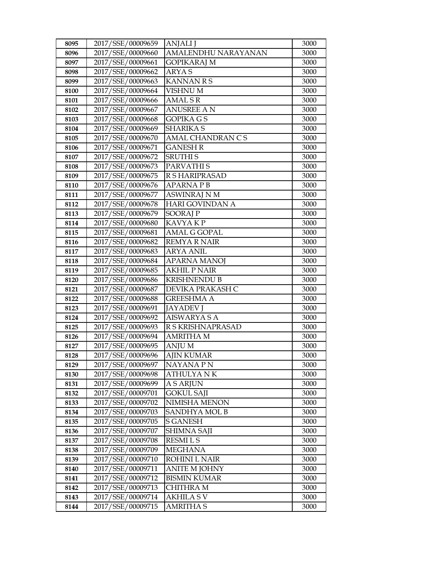| 8095 | 2017/SSE/00009659 | <b>ANJALI</b> J        | 3000 |
|------|-------------------|------------------------|------|
| 8096 | 2017/SSE/00009660 | AMALENDHU NARAYANAN    | 3000 |
| 8097 | 2017/SSE/00009661 | <b>GOPIKARAJ M</b>     | 3000 |
| 8098 | 2017/SSE/00009662 | <b>ARYAS</b>           | 3000 |
| 8099 | 2017/SSE/00009663 | <b>KANNAN R S</b>      | 3000 |
| 8100 | 2017/SSE/00009664 | <b>VISHNUM</b>         | 3000 |
| 8101 | 2017/SSE/00009666 | <b>AMALSR</b>          | 3000 |
| 8102 | 2017/SSE/00009667 | <b>ANUSREE AN</b>      | 3000 |
| 8103 | 2017/SSE/00009668 | <b>GOPIKA GS</b>       | 3000 |
| 8104 | 2017/SSE/00009669 | <b>SHARIKA S</b>       | 3000 |
| 8105 | 2017/SSE/00009670 | AMAL CHANDRAN CS       | 3000 |
| 8106 | 2017/SSE/00009671 | <b>GANESH R</b>        | 3000 |
| 8107 | 2017/SSE/00009672 | <b>SRUTHIS</b>         | 3000 |
| 8108 | 2017/SSE/00009673 | PARVATHI S             | 3000 |
| 8109 | 2017/SSE/00009675 | R S HARIPRASAD         | 3000 |
| 8110 | 2017/SSE/00009676 | <b>APARNAPB</b>        | 3000 |
| 8111 | 2017/SSE/00009677 | <b>ASWINRAJ N M</b>    | 3000 |
| 8112 | 2017/SSE/00009678 | <b>HARI GOVINDAN A</b> | 3000 |
| 8113 | 2017/SSE/00009679 | <b>SOORAJP</b>         | 3000 |
| 8114 | 2017/SSE/00009680 | <b>KAVYAKP</b>         | 3000 |
| 8115 | 2017/SSE/00009681 | <b>AMAL G GOPAL</b>    | 3000 |
| 8116 | 2017/SSE/00009682 | <b>REMYA R NAIR</b>    | 3000 |
| 8117 | 2017/SSE/00009683 | <b>ARYA ANIL</b>       | 3000 |
| 8118 | 2017/SSE/00009684 | <b>APARNA MANOJ</b>    | 3000 |
| 8119 | 2017/SSE/00009685 | <b>AKHIL P NAIR</b>    | 3000 |
| 8120 | 2017/SSE/00009686 | <b>KRISHNENDU B</b>    | 3000 |
| 8121 | 2017/SSE/00009687 | DEVIKA PRAKASH C       | 3000 |
| 8122 | 2017/SSE/00009688 | <b>GREESHMA A</b>      | 3000 |
| 8123 | 2017/SSE/00009691 | <b>JAYADEV J</b>       | 3000 |
| 8124 | 2017/SSE/00009692 | <b>AISWARYA S A</b>    | 3000 |
| 8125 | 2017/SSE/00009693 | R S KRISHNAPRASAD      | 3000 |
| 8126 | 2017/SSE/00009694 | <b>AMRITHA M</b>       | 3000 |
| 8127 | 2017/SSE/00009695 | <b>ANJUM</b>           | 3000 |
| 8128 | 2017/SSE/00009696 | <b>AJIN KUMAR</b>      | 3000 |
| 8129 | 2017/SSE/00009697 | NAYANA P N             | 3000 |
| 8130 | 2017/SSE/00009698 | ATHULYA N K            | 3000 |
| 8131 | 2017/SSE/00009699 | <b>A S ARJUN</b>       | 3000 |
| 8132 | 2017/SSE/00009701 | <b>GOKUL SAJI</b>      | 3000 |
| 8133 | 2017/SSE/00009702 | NIMISHA MENON          | 3000 |
| 8134 | 2017/SSE/00009703 | SANDHYA MOL B          | 3000 |
| 8135 | 2017/SSE/00009705 | <b>S GANESH</b>        | 3000 |
| 8136 | 2017/SSE/00009707 | SHIMNA SAJI            | 3000 |
| 8137 | 2017/SSE/00009708 | <b>RESMILS</b>         | 3000 |
| 8138 | 2017/SSE/00009709 | <b>MEGHANA</b>         | 3000 |
| 8139 | 2017/SSE/00009710 | ROHINI L NAIR          | 3000 |
| 8140 | 2017/SSE/00009711 | <b>ANITE M JOHNY</b>   | 3000 |
| 8141 | 2017/SSE/00009712 | <b>BISMIN KUMAR</b>    | 3000 |
| 8142 | 2017/SSE/00009713 | <b>CHITHRA M</b>       | 3000 |
| 8143 | 2017/SSE/00009714 | <b>AKHILA S V</b>      | 3000 |
| 8144 | 2017/SSE/00009715 | <b>AMRITHA S</b>       | 3000 |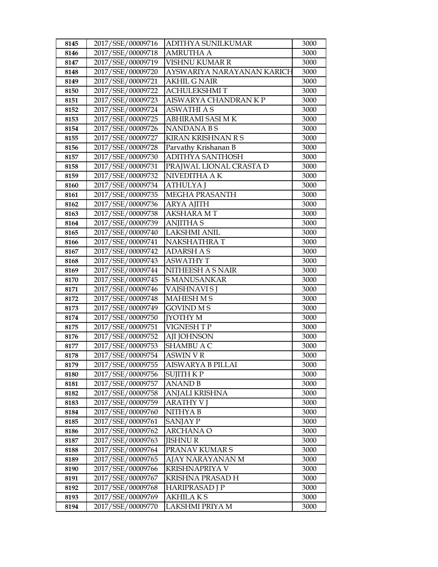| 8145         | 2017/SSE/00009716                      | ADITHYA SUNILKUMAR         | 3000         |
|--------------|----------------------------------------|----------------------------|--------------|
| 8146         | 2017/SSE/00009718                      | AMRUTHA A                  | 3000         |
| 8147         | 2017/SSE/00009719                      | VISHNU KUMAR R             | 3000         |
| 8148         | 2017/SSE/00009720                      | AYSWARIYA NARAYANAN KARICH | 3000         |
| 8149         | 2017/SSE/00009721                      | <b>AKHIL G NAIR</b>        | 3000         |
| 8150         | 2017/SSE/00009722                      | <b>ACHULEKSHMIT</b>        | 3000         |
| 8151         | 2017/SSE/00009723                      | AISWARYA CHANDRAN K P      | 3000         |
| 8152         | 2017/SSE/00009724                      | <b>ASWATHI A S</b>         | 3000         |
| 8153         | 2017/SSE/00009725                      | ABHIRAMI SASI MK           | 3000         |
| 8154         | 2017/SSE/00009726                      | <b>NANDANABS</b>           | 3000         |
| 8155         | 2017/SSE/00009727                      | <b>KIRAN KRISHNAN R S</b>  | 3000         |
| 8156         | 2017/SSE/00009728                      | Parvathy Krishanan B       | 3000         |
| 8157         | 2017/SSE/00009730                      | <b>ADITHYA SANTHOSH</b>    | 3000         |
| 8158         | 2017/SSE/00009731                      | PRAJWAL LIONAL CRASTA D    | 3000         |
| 8159         | 2017/SSE/00009732                      | NIVEDITHA A K              | 3000         |
| 8160         | 2017/SSE/00009734                      | ATHULYA J                  | 3000         |
| 8161         | 2017/SSE/00009735                      | <b>MEGHA PRASANTH</b>      | 3000         |
| 8162         | 2017/SSE/00009736                      | <b>ARYA AJITH</b>          | 3000         |
| 8163         | 2017/SSE/00009738                      | <b>AKSHARA MT</b>          | 3000         |
| 8164         | 2017/SSE/00009739                      | <b>ANJITHA S</b>           | 3000         |
| 8165         | 2017/SSE/00009740                      | <b>LAKSHMI ANIL</b>        | 3000         |
| 8166         | 2017/SSE/00009741                      | <b>NAKSHATHRAT</b>         | 3000         |
| 8167         | 2017/SSE/00009742                      | <b>ADARSH A S</b>          | 3000         |
| 8168         | 2017/SSE/00009743                      | <b>ASWATHY T</b>           | 3000         |
| 8169         | 2017/SSE/00009744                      | NITHEESH A S NAIR          | 3000         |
| 8170         | 2017/SSE/00009745                      | <b>S MANUSANKAR</b>        | 3000         |
| 8171         | 2017/SSE/00009746                      | VAISHNAVI S J              | 3000         |
| 8172         | 2017/SSE/00009748                      | <b>MAHESH M S</b>          | 3000         |
| 8173         | 2017/SSE/00009749                      | <b>GOVIND MS</b>           | 3000         |
| 8174         | 2017/SSE/00009750                      | <b>JYOTHY M</b>            | 3000         |
| 8175         | 2017/SSE/00009751                      | VIGNESH T P                | 3000         |
| 8176         | 2017/SSE/00009752                      | AJI JOHNSON                | 3000         |
| 8177         | 2017/SSE/00009753                      | SHAMBU A C                 | 3000         |
| 8178         | 2017/SSE/00009754                      | ASWIN V R                  | 3000         |
| 8179         | 2017/SSE/00009755<br>2017/SSE/00009756 | AISWARYA B PILLAI          | 3000         |
| 8180         | 2017/SSE/00009757                      | SUJITH K P                 | 3000         |
| 8181<br>8182 | 2017/SSE/00009758                      | ANAND B<br>ANJALI KRISHNA  | 3000<br>3000 |
| 8183         | 2017/SSE/00009759                      | <b>ARATHY V J</b>          | 3000         |
| 8184         | 2017/SSE/00009760                      | NITHYA B                   | 3000         |
| 8185         | 2017/SSE/00009761                      | SANJAY P                   | 3000         |
| 8186         | 2017/SSE/00009762                      | <b>ARCHANA O</b>           | 3000         |
| 8187         | 2017/SSE/00009763                      | <b>JISHNUR</b>             | 3000         |
| 8188         | 2017/SSE/00009764                      | PRANAV KUMAR S             | 3000         |
| 8189         | 2017/SSE/00009765                      | AJAY NARAYANAN M           | 3000         |
| 8190         | 2017/SSE/00009766                      | KRISHNAPRIYA V             | 3000         |
| 8191         | 2017/SSE/00009767                      | KRISHNA PRASAD H           | 3000         |
| 8192         | 2017/SSE/00009768                      | <b>HARIPRASAD J P</b>      | 3000         |
| 8193         | 2017/SSE/00009769                      | <b>AKHILA K S</b>          | 3000         |
| 8194         | 2017/SSE/00009770                      | LAKSHMI PRIYA M            | 3000         |
|              |                                        |                            |              |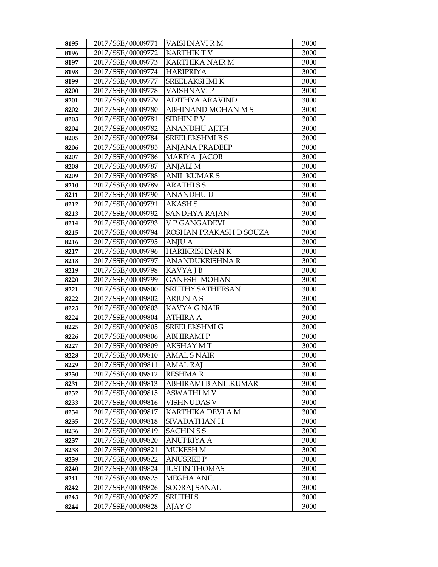| 8195         | 2017/SSE/00009771                      | VAISHNAVI R M                          | 3000         |
|--------------|----------------------------------------|----------------------------------------|--------------|
| 8196         | 2017/SSE/00009772                      | <b>KARTHIK T V</b>                     | 3000         |
| 8197         | 2017/SSE/00009773                      | <b>KARTHIKA NAIR M</b>                 | 3000         |
| 8198         | 2017/SSE/00009774                      | <b>HARIPRIYA</b>                       | 3000         |
| 8199         | 2017/SSE/00009777                      | SREELAKSHMI K                          | 3000         |
| 8200         | 2017/SSE/00009778                      | VAISHNAVI P                            | 3000         |
| 8201         | 2017/SSE/00009779                      | <b>ADITHYA ARAVIND</b>                 | 3000         |
| 8202         | 2017/SSE/00009780                      | ABHINAND MOHAN MS                      | 3000         |
| 8203         | 2017/SSE/00009781                      | <b>SIDHIN PV</b>                       | 3000         |
| 8204         | 2017/SSE/00009782                      | <b>ANANDHU AJITH</b>                   | 3000         |
| 8205         | 2017/SSE/00009784                      | <b>SREELEKSHMI B S</b>                 | 3000         |
| 8206         | 2017/SSE/00009785                      | <b>ANJANA PRADEEP</b>                  | 3000         |
| 8207         | 2017/SSE/00009786                      | <b>MARIYA JACOB</b>                    | 3000         |
| 8208         | 2017/SSE/00009787                      | <b>ANJALI M</b>                        | 3000         |
| 8209         | 2017/SSE/00009788                      | <b>ANIL KUMAR S</b>                    | 3000         |
| 8210         | 2017/SSE/00009789                      | <b>ARATHISS</b>                        | 3000         |
| 8211         | 2017/SSE/00009790                      | <b>ANANDHUU</b>                        | 3000         |
| 8212         | 2017/SSE/00009791                      | <b>AKASHS</b>                          | 3000         |
| 8213         | 2017/SSE/00009792                      | SANDHYA RAJAN                          | 3000         |
| 8214         | 2017/SSE/00009793                      | V P GANGADEVI                          | 3000         |
| 8215         | 2017/SSE/00009794                      | ROSHAN PRAKASH D SOUZA                 | 3000         |
| 8216         | 2017/SSE/00009795                      | <b>ANJU A</b>                          | 3000         |
| 8217         | 2017/SSE/00009796                      | HARIKRISHNAN K                         | 3000         |
| 8218         | 2017/SSE/00009797                      | ANANDUKRISHNA R                        | 3000         |
| 8219         | 2017/SSE/00009798                      | KAVYA J B                              | 3000         |
| 8220         | 2017/SSE/00009799                      | <b>GANESH MOHAN</b>                    | 3000         |
| 8221         | 2017/SSE/00009800                      | <b>SRUTHY SATHEESAN</b>                | 3000         |
| 8222         | 2017/SSE/00009802                      | <b>ARJUN A S</b>                       | 3000         |
| 8223         | 2017/SSE/00009803                      | <b>KAVYA G NAIR</b>                    | 3000         |
| 8224         | 2017/SSE/00009804                      | <b>ATHIRA A</b>                        | 3000         |
| 8225         | 2017/SSE/00009805                      | <b>SREELEKSHMI G</b>                   | 3000         |
| 8226         | 2017/SSE/00009806                      | ABHIRAMI P                             | 3000         |
| 8227         | 2017/SSE/00009809<br>2017/SSE/00009810 | <b>AKSHAY MT</b><br><b>AMAL S NAIR</b> | 3000         |
| 8228         | 2017/SSE/00009811                      |                                        | 3000         |
| 8229         | 2017/SSE/00009812                      | <b>AMAL RAJ</b><br>RESHMA R            | 3000         |
| 8230<br>8231 | 2017/SSE/00009813                      | ABHIRAMI B ANILKUMAR                   | 3000<br>3000 |
| 8232         | 2017/SSE/00009815                      | ASWATHI M V                            | 3000         |
| 8233         | 2017/SSE/00009816                      | VISHNUDAS V                            | 3000         |
| 8234         | 2017/SSE/00009817                      | KARTHIKA DEVI A M                      | 3000         |
| 8235         | 2017/SSE/00009818                      | SIVADATHAN H                           | 3000         |
| 8236         | 2017/SSE/00009819                      | <b>SACHIN S S</b>                      | 3000         |
| 8237         | 2017/SSE/00009820                      | <b>ANUPRIYA A</b>                      | 3000         |
| 8238         | 2017/SSE/00009821                      | <b>MUKESH M</b>                        | 3000         |
| 8239         | 2017/SSE/00009822                      | <b>ANUSREE P</b>                       | 3000         |
| 8240         | 2017/SSE/00009824                      | <b>JUSTIN THOMAS</b>                   | 3000         |
| 8241         | 2017/SSE/00009825                      | <b>MEGHA ANIL</b>                      | 3000         |
| 8242         | 2017/SSE/00009826                      | SOORAJ SANAL                           | 3000         |
| 8243         | 2017/SSE/00009827                      | <b>SRUTHIS</b>                         | 3000         |
| 8244         | 2017/SSE/00009828                      | AJAY O                                 | 3000         |
|              |                                        |                                        |              |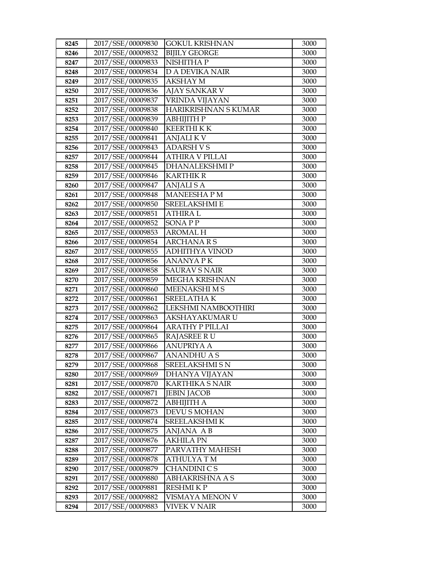| 8245 | 2017/SSE/00009830 | GOKUL KRISHNAN         | 3000 |
|------|-------------------|------------------------|------|
| 8246 | 2017/SSE/00009832 | <b>BIJILY GEORGE</b>   | 3000 |
| 8247 | 2017/SSE/00009833 | NISHITHA P             | 3000 |
| 8248 | 2017/SSE/00009834 | <b>D A DEVIKA NAIR</b> | 3000 |
| 8249 | 2017/SSE/00009835 | AKSHAY M               | 3000 |
| 8250 | 2017/SSE/00009836 | AJAY SANKAR V          | 3000 |
| 8251 | 2017/SSE/00009837 | VRINDA VIJAYAN         | 3000 |
| 8252 | 2017/SSE/00009838 | HARIKRISHNAN S KUMAR   | 3000 |
| 8253 | 2017/SSE/00009839 | АВНІЈІТН Р             | 3000 |
| 8254 | 2017/SSE/00009840 | <b>KEERTHI K K</b>     | 3000 |
| 8255 | 2017/SSE/00009841 | <b>ANJALIKV</b>        | 3000 |
| 8256 | 2017/SSE/00009843 | <b>ADARSH VS</b>       | 3000 |
| 8257 | 2017/SSE/00009844 | <b>ATHIRA V PILLAI</b> | 3000 |
| 8258 | 2017/SSE/00009845 | <b>DHANALEKSHMIP</b>   | 3000 |
| 8259 | 2017/SSE/00009846 | KARTHIK R              | 3000 |
| 8260 | 2017/SSE/00009847 | <b>ANJALISA</b>        | 3000 |
| 8261 | 2017/SSE/00009848 | <b>MANEESHAPM</b>      | 3000 |
| 8262 | 2017/SSE/00009850 | <b>SREELAKSHMI E</b>   | 3000 |
| 8263 | 2017/SSE/00009851 | <b>ATHIRAL</b>         | 3000 |
| 8264 | 2017/SSE/00009852 | SONA P P               | 3000 |
| 8265 | 2017/SSE/00009853 | AROMAL H               | 3000 |
| 8266 | 2017/SSE/00009854 | <b>ARCHANARS</b>       | 3000 |
| 8267 | 2017/SSE/00009855 | <b>ADHITHYA VINOD</b>  | 3000 |
| 8268 | 2017/SSE/00009856 | <b>ANANYA PK</b>       | 3000 |
| 8269 | 2017/SSE/00009858 | <b>SAURAV S NAIR</b>   | 3000 |
| 8270 | 2017/SSE/00009859 | MEGHA KRISHNAN         | 3000 |
| 8271 | 2017/SSE/00009860 | <b>MEENAKSHIMS</b>     | 3000 |
| 8272 | 2017/SSE/00009861 | <b>SREELATHAK</b>      | 3000 |
| 8273 | 2017/SSE/00009862 | LEKSHMI NAMBOOTHIRI    | 3000 |
| 8274 | 2017/SSE/00009863 | AKSHAYAKUMAR U         | 3000 |
| 8275 | 2017/SSE/00009864 | ARATHY P PILLAI        | 3000 |
| 8276 | 2017/SSE/00009865 | <b>RAJASREE RU</b>     | 3000 |
| 8277 | 2017/SSE/00009866 | <b>ANUPRIYA A</b>      | 3000 |
| 8278 | 2017/SSE/00009867 | <b>ANANDHU A S</b>     | 3000 |
| 8279 | 2017/SSE/00009868 | SREELAKSHMI S N        | 3000 |
| 8280 | 2017/SSE/00009869 | DHANYA VIJAYAN         | 3000 |
| 8281 | 2017/SSE/00009870 | KARTHIKA S NAIR        | 3000 |
| 8282 | 2017/SSE/00009871 | <b>JEBIN JACOB</b>     | 3000 |
| 8283 | 2017/SSE/00009872 | <b>ABHIJITH A</b>      | 3000 |
| 8284 | 2017/SSE/00009873 | DEVU S MOHAN           | 3000 |
| 8285 | 2017/SSE/00009874 | SREELAKSHMI K          | 3000 |
| 8286 | 2017/SSE/00009875 | ANJANA AB              | 3000 |
| 8287 | 2017/SSE/00009876 | <b>AKHILA PN</b>       | 3000 |
| 8288 | 2017/SSE/00009877 | PARVATHY MAHESH        | 3000 |
| 8289 | 2017/SSE/00009878 | ATHULYA T M            | 3000 |
| 8290 | 2017/SSE/00009879 | CHANDINI C S           | 3000 |
| 8291 | 2017/SSE/00009880 | ABHAKRISHNA A S        | 3000 |
| 8292 | 2017/SSE/00009881 | RESHMI K P             | 3000 |
| 8293 | 2017/SSE/00009882 | VISMAYA MENON V        | 3000 |
| 8294 | 2017/SSE/00009883 | VIVEK V NAIR           | 3000 |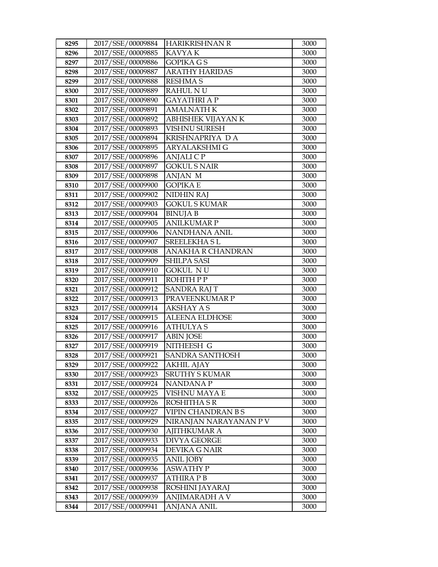| 8295 | 2017/SSE/00009884 | <b>HARIKRISHNAN R</b>     | 3000 |
|------|-------------------|---------------------------|------|
| 8296 | 2017/SSE/00009885 | <b>KAVYAK</b>             | 3000 |
| 8297 | 2017/SSE/00009886 | <b>GOPIKA GS</b>          | 3000 |
| 8298 | 2017/SSE/00009887 | <b>ARATHY HARIDAS</b>     | 3000 |
| 8299 | 2017/SSE/00009888 | <b>RESHMA S</b>           | 3000 |
| 8300 | 2017/SSE/00009889 | <b>RAHUL NU</b>           | 3000 |
| 8301 | 2017/SSE/00009890 | <b>GAYATHRI A P</b>       | 3000 |
| 8302 | 2017/SSE/00009891 | <b>AMALNATH K</b>         | 3000 |
| 8303 | 2017/SSE/00009892 | ABHISHEK VIJAYAN K        | 3000 |
| 8304 | 2017/SSE/00009893 | <b>VISHNU SURESH</b>      | 3000 |
| 8305 | 2017/SSE/00009894 | KRISHNAPRIYA DA           | 3000 |
| 8306 | 2017/SSE/00009895 | ARYALAKSHMI G             | 3000 |
| 8307 | 2017/SSE/00009896 | <b>ANJALICP</b>           | 3000 |
| 8308 | 2017/SSE/00009897 | <b>GOKUL S NAIR</b>       | 3000 |
| 8309 | 2017/SSE/00009898 | ANJAN M                   | 3000 |
| 8310 | 2017/SSE/00009900 | GOPIKA E                  | 3000 |
| 8311 | 2017/SSE/00009902 | NIDHIN RAJ                | 3000 |
| 8312 | 2017/SSE/00009903 | <b>GOKUL S KUMAR</b>      | 3000 |
| 8313 | 2017/SSE/00009904 | <b>BINUJA B</b>           | 3000 |
| 8314 | 2017/SSE/00009905 | <b>ANILKUMAR P</b>        | 3000 |
| 8315 | 2017/SSE/00009906 | NANDHANA ANIL             | 3000 |
| 8316 | 2017/SSE/00009907 | <b>SREELEKHA SL</b>       | 3000 |
| 8317 | 2017/SSE/00009908 | ANAKHA R CHANDRAN         | 3000 |
| 8318 | 2017/SSE/00009909 | <b>SHILPA SASI</b>        | 3000 |
| 8319 | 2017/SSE/00009910 | <b>GOKUL NU</b>           | 3000 |
| 8320 | 2017/SSE/00009911 | ROHITH P P                | 3000 |
| 8321 | 2017/SSE/00009912 | SANDRA RAJ T              | 3000 |
| 8322 | 2017/SSE/00009913 | PRAVEENKUMAR P            | 3000 |
| 8323 | 2017/SSE/00009914 | <b>AKSHAY A S</b>         | 3000 |
| 8324 | 2017/SSE/00009915 | <b>ALEENA ELDHOSE</b>     | 3000 |
| 8325 | 2017/SSE/00009916 | <b>ATHULYAS</b>           | 3000 |
| 8326 | 2017/SSE/00009917 | <b>ABIN JOSE</b>          | 3000 |
| 8327 | 2017/SSE/00009919 | NITHEESH G                | 3000 |
| 8328 | 2017/SSE/00009921 | <b>SANDRA SANTHOSH</b>    | 3000 |
| 8329 | 2017/SSE/00009922 | <b>AKHIL AJAY</b>         | 3000 |
| 8330 | 2017/SSE/00009923 | <b>SRUTHY S KUMAR</b>     | 3000 |
| 8331 | 2017/SSE/00009924 | NANDANA P                 | 3000 |
| 8332 | 2017/SSE/00009925 | VISHNU MAYA E             | 3000 |
| 8333 | 2017/SSE/00009926 | ROSHITHA S R              | 3000 |
| 8334 | 2017/SSE/00009927 | <b>VIPIN CHANDRAN B S</b> | 3000 |
| 8335 | 2017/SSE/00009929 | NIRANJAN NARAYANAN P V    | 3000 |
| 8336 | 2017/SSE/00009930 | <b>AJITHKUMAR A</b>       | 3000 |
| 8337 | 2017/SSE/00009933 | <b>DIVYA GEORGE</b>       | 3000 |
| 8338 | 2017/SSE/00009934 | DEVIKA G NAIR             | 3000 |
| 8339 | 2017/SSE/00009935 | <b>ANIL JOBY</b>          | 3000 |
| 8340 | 2017/SSE/00009936 | ASWATHY P                 | 3000 |
| 8341 | 2017/SSE/00009937 | ATHIRA P B                | 3000 |
| 8342 | 2017/SSE/00009938 | ROSHINI JAYARAJ           | 3000 |
| 8343 | 2017/SSE/00009939 | ANJIMARADH A V            | 3000 |
| 8344 | 2017/SSE/00009941 | ANJANA ANIL               | 3000 |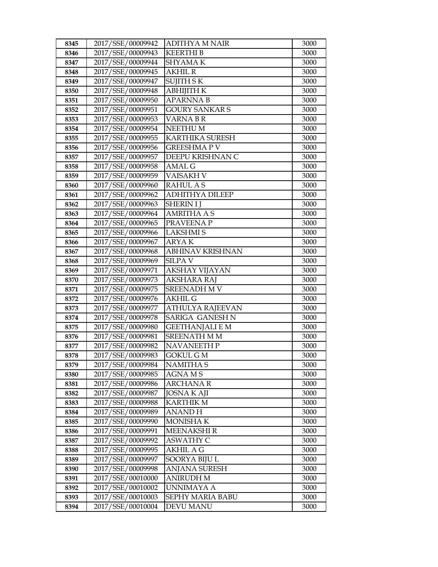| 8345         | 2017/SSE/00009942                      | ADITHYA M NAIR                         | 3000         |
|--------------|----------------------------------------|----------------------------------------|--------------|
| 8346         | 2017/SSE/00009943                      | <b>KEERTHIB</b>                        | 3000         |
| 8347         | 2017/SSE/00009944                      | <b>SHYAMAK</b>                         | 3000         |
| 8348         | 2017/SSE/00009945                      | <b>AKHIL R</b>                         | 3000         |
| 8349         | 2017/SSE/00009947                      | SUJITH S K                             | 3000         |
| 8350         | 2017/SSE/00009948                      | ABHIJITH K                             | 3000         |
| 8351         | 2017/SSE/00009950                      | <b>APARNNAB</b>                        | 3000         |
| 8352         | 2017/SSE/00009951                      | <b>GOURY SANKARS</b>                   | 3000         |
| 8353         | 2017/SSE/00009953                      | <b>VARNABR</b>                         | 3000         |
| 8354         | 2017/SSE/00009954                      | <b>NEETHUM</b>                         | 3000         |
| 8355         | 2017/SSE/00009955                      | KARTHIKA SURESH                        | 3000         |
| 8356         | 2017/SSE/00009956                      | GREESHMA P V                           | 3000         |
| 8357         | 2017/SSE/00009957                      | DEEPU KRISHNAN C                       | 3000         |
| 8358         | 2017/SSE/00009958                      | <b>AMAL G</b>                          | 3000         |
| 8359         | 2017/SSE/00009959                      | VAISAKH V                              | 3000         |
| 8360         | 2017/SSE/00009960                      | <b>RAHUL AS</b>                        | 3000         |
| 8361         | 2017/SSE/00009962                      | <b>ADHITHYA DILEEP</b>                 | 3000         |
| 8362         | 2017/SSE/00009963                      | <b>SHERIN I J</b>                      | 3000         |
| 8363         | 2017/SSE/00009964                      | <b>AMRITHA A S</b>                     | 3000         |
| 8364         | 2017/SSE/00009965                      | PRAVEENA P                             | 3000         |
| 8365         | 2017/SSE/00009966                      | <b>LAKSHMIS</b>                        | 3000         |
| 8366         | 2017/SSE/00009967                      | <b>ARYAK</b>                           | 3000         |
| 8367         | 2017/SSE/00009968                      | ABHINAV KRISHNAN                       | 3000         |
| 8368         | 2017/SSE/00009969                      | <b>SILPAV</b>                          | 3000         |
| 8369         | 2017/SSE/00009971                      | AKSHAY VIJAYAN                         | 3000         |
| 8370         | 2017/SSE/00009973                      | AKSHARA RAJ                            | 3000         |
| 8371         | 2017/SSE/00009975                      | <b>SREENADH M V</b>                    | 3000         |
| 8372         | 2017/SSE/00009976                      | <b>AKHIL G</b>                         | 3000         |
| 8373         | 2017/SSE/00009977                      | <b>ATHULYA RAJEEVAN</b>                | 3000         |
| 8374         | 2017/SSE/00009978                      | SARIGA GANESH N                        | 3000         |
| 8375         | 2017/SSE/00009980                      | GEETHANJALI E M                        | 3000         |
| 8376         | 2017/SSE/00009981                      | <b>SREENATH M M</b>                    | 3000         |
| 8377         | 2017/SSE/00009982<br>2017/SSE/00009983 | <b>NAVANEETH P</b><br><b>GOKUL G M</b> | 3000         |
| 8378         | 2017/SSE/00009984                      |                                        | 3000<br>3000 |
| 8379         | 2017/SSE/00009985                      | <b>NAMITHAS</b>                        | 3000         |
| 8380<br>8381 | 2017/SSE/00009986                      | AGNA M S<br>ARCHANA R                  | 3000         |
| 8382         | 2017/SSE/00009987                      | <b>JOSNA K AJI</b>                     | 3000         |
| 8383         | 2017/SSE/00009988                      | <b>KARTHIK M</b>                       | 3000         |
| 8384         | 2017/SSE/00009989                      | ANAND H                                | 3000         |
| 8385         | 2017/SSE/00009990                      | <b>MONISHAK</b>                        | 3000         |
| 8386         | 2017/SSE/00009991                      | <b>MEENAKSHIR</b>                      | 3000         |
| 8387         | 2017/SSE/00009992                      | <b>ASWATHY C</b>                       | 3000         |
| 8388         | 2017/SSE/00009995                      | <b>AKHIL A G</b>                       | 3000         |
| 8389         | 2017/SSE/00009997                      | SOORYA BIJU L                          | 3000         |
| 8390         | 2017/SSE/00009998                      | ANJANA SURESH                          | 3000         |
| 8391         | 2017/SSE/00010000                      | ANIRUDH M                              | 3000         |
| 8392         | 2017/SSE/00010002                      | UNNIMAYA A                             | 3000         |
| 8393         | 2017/SSE/00010003                      | SEPHY MARIA BABU                       | 3000         |
| 8394         | 2017/SSE/00010004                      | <b>DEVU MANU</b>                       | 3000         |
|              |                                        |                                        |              |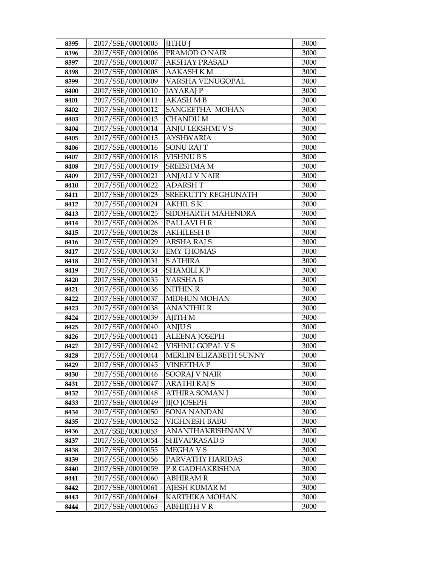| 8395         | 2017/SSE/00010005                      | <b>JITHU J</b>                             | 3000         |
|--------------|----------------------------------------|--------------------------------------------|--------------|
| 8396         | 2017/SSE/00010006                      | PRAMOD O NAIR                              | 3000         |
| 8397         | 2017/SSE/00010007                      | <b>AKSHAY PRASAD</b>                       | 3000         |
| 8398         | 2017/SSE/00010008                      | <b>AAKASH KM</b>                           | 3000         |
| 8399         | 2017/SSE/00010009                      | VARSHA VENUGOPAL                           | 3000         |
| 8400         | 2017/SSE/00010010                      | <b>JAYARAJ P</b>                           | 3000         |
| 8401         | 2017/SSE/00010011                      | <b>AKASH M B</b>                           | 3000         |
| 8402         | 2017/SSE/00010012                      | SANGEETHA MOHAN                            | 3000         |
| 8403         | 2017/SSE/00010013                      | <b>CHANDUM</b>                             | 3000         |
| 8404         | 2017/SSE/00010014                      | ANJU LEKSHMI V S                           | 3000         |
| 8405         | 2017/SSE/00010015                      | <b>AYSHWARIA</b>                           | 3000         |
| 8406         | 2017/SSE/00010016                      | <b>SONU RAJ T</b>                          | 3000         |
| 8407         | 2017/SSE/00010018                      | <b>VISHNUBS</b>                            | 3000         |
| 8408         | 2017/SSE/00010019                      | <b>SREESHMA M</b>                          | 3000         |
| 8409         | 2017/SSE/00010021                      | <b>ANJALI V NAIR</b>                       | 3000         |
| 8410         | 2017/SSE/00010022                      | <b>ADARSHT</b>                             | 3000         |
| 8411         | 2017/SSE/00010023                      | SREEKUTTY REGHUNATH                        | 3000         |
| 8412         | 2017/SSE/00010024                      | <b>AKHILSK</b>                             | 3000         |
| 8413         | 2017/SSE/00010025                      | SIDDHARTH MAHENDRA                         | 3000         |
| 8414         | 2017/SSE/00010026                      | PALLAVI HR                                 | 3000         |
| 8415         | 2017/SSE/00010028                      | <b>AKHILESH B</b>                          | 3000         |
| 8416         | 2017/SSE/00010029                      | ARSHA RAJ S                                | 3000         |
| 8417         | 2017/SSE/00010030                      | <b>EMY THOMAS</b>                          | 3000         |
| 8418         | 2017/SSE/00010031                      | <b>S ATHIRA</b>                            | 3000         |
| 8419         | 2017/SSE/00010034                      | <b>SHAMILIKP</b>                           | 3000         |
| 8420         | 2017/SSE/00010035                      | <b>VARSHAB</b>                             | 3000         |
| 8421         | 2017/SSE/00010036                      | <b>NITHIN R</b>                            | 3000         |
| 8422         | 2017/SSE/00010037                      | <b>MIDHUN MOHAN</b>                        | 3000         |
| 8423         | 2017/SSE/00010038                      | <b>ANANTHUR</b>                            | 3000         |
| 8424         | 2017/SSE/00010039                      | <b>AJITH M</b>                             | 3000         |
| 8425         | 2017/SSE/00010040                      | <b>ANJUS</b>                               | 3000         |
| 8426         | 2017/SSE/00010041                      | <b>ALEENA JOSEPH</b>                       | 3000         |
| 8427         | 2017/SSE/00010042<br>2017/SSE/00010044 | VISHNU GOPAL V S<br>MERLIN ELIZABETH SUNNY | 3000         |
| 8428<br>8429 | 2017/SSE/00010045                      |                                            | 3000         |
| 8430         | 2017/SSE/00010046                      | VINEETHA P<br>SOORAJ V NAIR                | 3000<br>3000 |
| 8431         | 2017/SSE/00010047                      | ARATHI RAJ S                               | 3000         |
| 8432         | 2017/SSE/00010048                      | ATHIRA SOMAN J                             | 3000         |
| 8433         | 2017/SSE/00010049                      | <b>JIJO JOSEPH</b>                         | 3000         |
| 8434         | 2017/SSE/00010050                      | SONA NANDAN                                | 3000         |
| 8435         | 2017/SSE/00010052                      | <b>VIGHNESH BABU</b>                       | 3000         |
| 8436         | 2017/SSE/00010053                      | ANANTHAKRISHNAN V                          | 3000         |
| 8437         | 2017/SSE/00010054                      | SHIVAPRASAD S                              | 3000         |
| 8438         | 2017/SSE/00010055                      | MEGHA V S                                  | 3000         |
| 8439         | 2017/SSE/00010056                      | PARVATHY HARIDAS                           | 3000         |
| 8440         | 2017/SSE/00010059                      | P R GADHAKRISHNA                           | 3000         |
| 8441         | 2017/SSE/00010060                      | ABHIRAM R                                  | 3000         |
| 8442         | 2017/SSE/00010061                      | AJESH KUMAR M                              | 3000         |
| 8443         | 2017/SSE/00010064                      | KARTHIKA MOHAN                             | 3000         |
| 8444         | 2017/SSE/00010065                      | ABHIJITH V R                               | 3000         |
|              |                                        |                                            |              |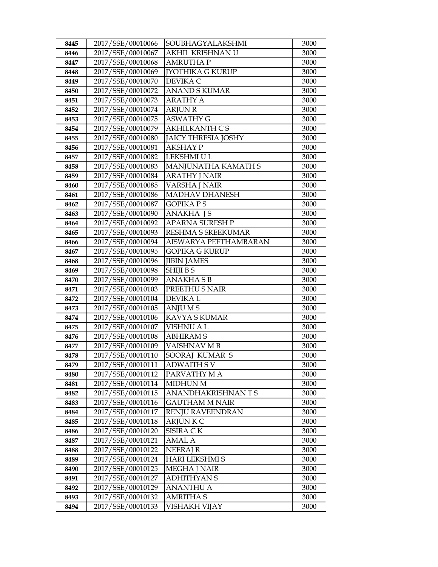| 8445 | 2017/SSE/00010066 | SOUBHAGYALAKSHMI           | 3000 |
|------|-------------------|----------------------------|------|
| 8446 | 2017/SSE/00010067 | AKHIL KRISHNAN U           | 3000 |
| 8447 | 2017/SSE/00010068 | <b>AMRUTHAP</b>            | 3000 |
| 8448 | 2017/SSE/00010069 | <b>JYOTHIKA G KURUP</b>    | 3000 |
| 8449 | 2017/SSE/00010070 | DEVIKA C                   | 3000 |
| 8450 | 2017/SSE/00010072 | <b>ANAND S KUMAR</b>       | 3000 |
| 8451 | 2017/SSE/00010073 | <b>ARATHY A</b>            | 3000 |
| 8452 | 2017/SSE/00010074 | <b>ARJUN R</b>             | 3000 |
| 8453 | 2017/SSE/00010075 | <b>ASWATHY G</b>           | 3000 |
| 8454 | 2017/SSE/00010079 | <b>AKHILKANTH CS</b>       | 3000 |
| 8455 | 2017/SSE/00010080 | <b>JAICY THRESIA JOSHY</b> | 3000 |
| 8456 | 2017/SSE/00010081 | AKSHAY P                   | 3000 |
| 8457 | 2017/SSE/00010082 | LEKSHMI U L                | 3000 |
| 8458 | 2017/SSE/00010083 | MANJUNATHA KAMATH S        | 3000 |
| 8459 | 2017/SSE/00010084 | <b>ARATHY J NAIR</b>       | 3000 |
| 8460 | 2017/SSE/00010085 | <b>VARSHA J NAIR</b>       | 3000 |
| 8461 | 2017/SSE/00010086 | <b>MADHAV DHANESH</b>      | 3000 |
| 8462 | 2017/SSE/00010087 | <b>GOPIKA PS</b>           | 3000 |
| 8463 | 2017/SSE/00010090 | <b>ANAKHA JS</b>           | 3000 |
| 8464 | 2017/SSE/00010092 | <b>APARNA SURESH P</b>     | 3000 |
| 8465 | 2017/SSE/00010093 | RESHMA S SREEKUMAR         | 3000 |
| 8466 | 2017/SSE/00010094 | AISWARYA PEETHAMBARAN      | 3000 |
| 8467 | 2017/SSE/00010095 | <b>GOPIKA G KURUP</b>      | 3000 |
| 8468 | 2017/SSE/00010096 | <b>JIBIN JAMES</b>         | 3000 |
| 8469 | 2017/SSE/00010098 | <b>SHIJIBS</b>             | 3000 |
| 8470 | 2017/SSE/00010099 | <b>ANAKHASB</b>            | 3000 |
| 8471 | 2017/SSE/00010103 | PREETHUS NAIR              | 3000 |
| 8472 | 2017/SSE/00010104 | <b>DEVIKAL</b>             | 3000 |
| 8473 | 2017/SSE/00010105 | <b>ANJUMS</b>              | 3000 |
| 8474 | 2017/SSE/00010106 | <b>KAVYA S KUMAR</b>       | 3000 |
| 8475 | 2017/SSE/00010107 | <b>VISHNU A L</b>          | 3000 |
| 8476 | 2017/SSE/00010108 | <b>ABHIRAMS</b>            | 3000 |
| 8477 | 2017/SSE/00010109 | VAISHNAV MB                | 3000 |
| 8478 | 2017/SSE/00010110 | SOORAJ KUMAR S             | 3000 |
| 8479 | 2017/SSE/00010111 | <b>ADWAITH S V</b>         | 3000 |
| 8480 | 2017/SSE/00010112 | PARVATHY M A               | 3000 |
| 8481 | 2017/SSE/00010114 | <b>MIDHUN M</b>            | 3000 |
| 8482 | 2017/SSE/00010115 | ANANDHAKRISHNANTS          | 3000 |
| 8483 | 2017/SSE/00010116 | <b>GAUTHAM M NAIR</b>      | 3000 |
| 8484 | 2017/SSE/00010117 | <b>RENJU RAVEENDRAN</b>    | 3000 |
| 8485 | 2017/SSE/00010118 | ARJUN K C                  | 3000 |
| 8486 | 2017/SSE/00010120 | SISIRA C K                 | 3000 |
| 8487 | 2017/SSE/00010121 | AMAL A                     | 3000 |
| 8488 | 2017/SSE/00010122 | <b>NEERAJ R</b>            | 3000 |
| 8489 | 2017/SSE/00010124 | <b>HARI LEKSHMI S</b>      | 3000 |
| 8490 | 2017/SSE/00010125 | <b>MEGHA J NAIR</b>        | 3000 |
| 8491 | 2017/SSE/00010127 | <b>ADHITHYAN S</b>         | 3000 |
| 8492 | 2017/SSE/00010129 | <b>ANANTHU A</b>           | 3000 |
| 8493 | 2017/SSE/00010132 | <b>AMRITHA S</b>           | 3000 |
| 8494 | 2017/SSE/00010133 | VISHAKH VIJAY              | 3000 |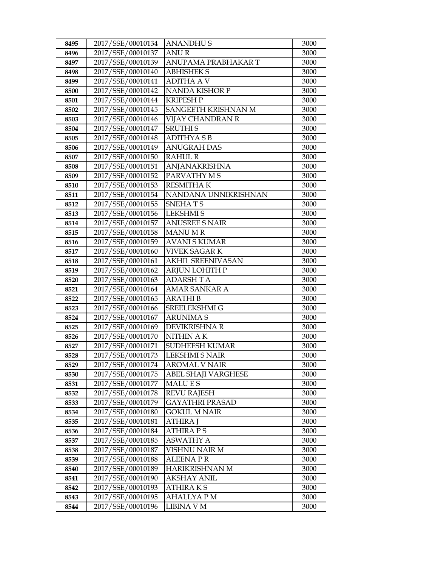| 8495         | 2017/SSE/00010134                      | <b>ANANDHUS</b>                 | 3000         |
|--------------|----------------------------------------|---------------------------------|--------------|
| 8496         | 2017/SSE/00010137                      | <b>ANUR</b>                     | 3000         |
| 8497         | 2017/SSE/00010139                      | ANUPAMA PRABHAKAR T             | 3000         |
| 8498         | 2017/SSE/00010140                      | <b>ABHISHEK S</b>               | 3000         |
| 8499         | 2017/SSE/00010141                      | <b>ADITHA A V</b>               | 3000         |
| 8500         | 2017/SSE/00010142                      | NANDA KISHOR P                  | 3000         |
| 8501         | 2017/SSE/00010144                      | KRIPESH P                       | 3000         |
| 8502         | 2017/SSE/00010145                      | SANGEETH KRISHNAN M             | 3000         |
| 8503         | 2017/SSE/00010146                      | <b>VIJAY CHANDRAN R</b>         | 3000         |
| 8504         | 2017/SSE/00010147                      | <b>SRUTHIS</b>                  | 3000         |
| 8505         | 2017/SSE/00010148                      | <b>ADITHYASB</b>                | 3000         |
| 8506         | 2017/SSE/00010149                      | <b>ANUGRAH DAS</b>              | 3000         |
| 8507         | 2017/SSE/00010150                      | <b>RAHUL R</b>                  | 3000         |
| 8508         | 2017/SSE/00010151                      | <b>ANJANAKRISHNA</b>            | 3000         |
| 8509         | 2017/SSE/00010152                      | PARVATHY M S                    | 3000         |
| 8510         | 2017/SSE/00010153                      | <b>RESMITHAK</b>                | 3000         |
| 8511         | 2017/SSE/00010154                      | NANDANA UNNIKRISHNAN            | 3000         |
| 8512         | 2017/SSE/00010155                      | SNEHATS                         | 3000         |
| 8513         | 2017/SSE/00010156                      | <b>LEKSHMIS</b>                 | 3000         |
| 8514         | 2017/SSE/00010157                      | <b>ANUSREE S NAIR</b>           | 3000         |
| 8515         | 2017/SSE/00010158                      | <b>MANUMR</b>                   | 3000         |
| 8516         | 2017/SSE/00010159                      | <b>AVANI S KUMAR</b>            | 3000         |
| 8517         | 2017/SSE/00010160                      | VIVEK SAGAR K                   | 3000         |
| 8518         | 2017/SSE/00010161                      | <b>AKHIL SREENIVASAN</b>        | 3000         |
| 8519         | 2017/SSE/00010162                      | <b>ARJUN LOHITH P</b>           | 3000         |
| 8520         | 2017/SSE/00010163                      | <b>ADARSH T A</b>               | 3000         |
| 8521         | 2017/SSE/00010164                      | AMAR SANKAR A                   | 3000         |
| 8522         | 2017/SSE/00010165                      | <b>ARATHIB</b>                  | 3000         |
| 8523         | 2017/SSE/00010166                      | SREELEKSHMI G                   | 3000         |
| 8524         | 2017/SSE/00010167                      | <b>ARUNIMAS</b>                 | 3000         |
| 8525         | 2017/SSE/00010169                      | <b>DEVIKRISHNA R</b>            | 3000         |
| 8526         | 2017/SSE/00010170                      | <b>NITHIN AK</b>                | 3000         |
| 8527         | 2017/SSE/00010171<br>2017/SSE/00010173 | SUDHEESH KUMAR                  | 3000         |
| 8528         | 2017/SSE/00010174                      | LEKSHMI S NAIR                  | 3000<br>3000 |
| 8529         | 2017/SSE/00010175                      | <b>AROMAL V NAIR</b>            |              |
| 8530<br>8531 | 2017/SSE/00010177                      | ABEL SHAJI VARGHESE<br>MALU E S | 3000<br>3000 |
| 8532         | 2017/SSE/00010178                      | <b>REVU RAJESH</b>              | 3000         |
| 8533         | 2017/SSE/00010179                      | <b>GAYATHRI PRASAD</b>          | 3000         |
| 8534         | 2017/SSE/00010180                      | <b>GOKUL M NAIR</b>             | 3000         |
| 8535         | 2017/SSE/00010181                      | ATHIRA J                        | 3000         |
| 8536         | 2017/SSE/00010184                      | <b>ATHIRA PS</b>                | 3000         |
| 8537         | 2017/SSE/00010185                      | <b>ASWATHY A</b>                | 3000         |
| 8538         | 2017/SSE/00010187                      | VISHNU NAIR M                   | 3000         |
| 8539         | 2017/SSE/00010188                      | <b>ALEENA PR</b>                | 3000         |
| 8540         | 2017/SSE/00010189                      | HARIKRISHNAN M                  | 3000         |
| 8541         | 2017/SSE/00010190                      | AKSHAY ANIL                     | 3000         |
| 8542         | 2017/SSE/00010193                      | <b>ATHIRAKS</b>                 | 3000         |
| 8543         | 2017/SSE/00010195                      | AHALLYA P M                     | 3000         |
| 8544         | 2017/SSE/00010196                      | LIBINA V M                      | 3000         |
|              |                                        |                                 |              |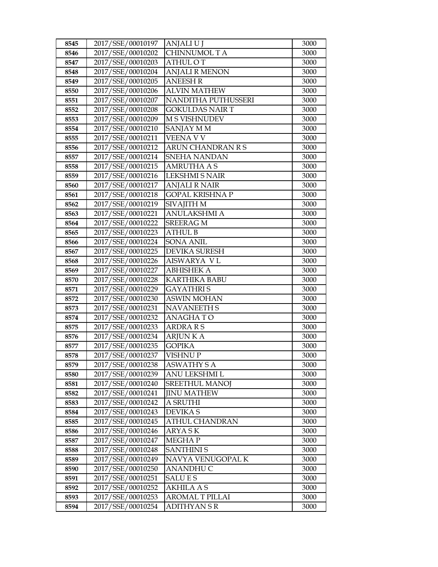| 8545 | 2017/SSE/00010197 | ANJALI U J             | 3000 |
|------|-------------------|------------------------|------|
| 8546 | 2017/SSE/00010202 | CHINNUMOL T A          | 3000 |
| 8547 | 2017/SSE/00010203 | <b>ATHUL OT</b>        | 3000 |
| 8548 | 2017/SSE/00010204 | <b>ANJALI R MENON</b>  | 3000 |
| 8549 | 2017/SSE/00010205 | <b>ANEESH R</b>        | 3000 |
| 8550 | 2017/SSE/00010206 | <b>ALVIN MATHEW</b>    | 3000 |
| 8551 | 2017/SSE/00010207 | NANDITHA PUTHUSSERI    | 3000 |
| 8552 | 2017/SSE/00010208 | <b>GOKULDAS NAIR T</b> | 3000 |
| 8553 | 2017/SSE/00010209 | <b>M S VISHNUDEV</b>   | 3000 |
| 8554 | 2017/SSE/00010210 | SANJAY M M             | 3000 |
| 8555 | 2017/SSE/00010211 | VEENA V V              | 3000 |
| 8556 | 2017/SSE/00010212 | ARUN CHANDRAN R S      | 3000 |
| 8557 | 2017/SSE/00010214 | SNEHA NANDAN           | 3000 |
| 8558 | 2017/SSE/00010215 | <b>AMRUTHA A S</b>     | 3000 |
| 8559 | 2017/SSE/00010216 | <b>LEKSHMI S NAIR</b>  | 3000 |
| 8560 | 2017/SSE/00010217 | <b>ANJALI R NAIR</b>   | 3000 |
| 8561 | 2017/SSE/00010218 | <b>GOPAL KRISHNA P</b> | 3000 |
| 8562 | 2017/SSE/00010219 | <b>SIVAJITH M</b>      | 3000 |
| 8563 | 2017/SSE/00010221 | <b>ANULAKSHMI A</b>    | 3000 |
| 8564 | 2017/SSE/00010222 | <b>SREERAG M</b>       | 3000 |
| 8565 | 2017/SSE/00010223 | <b>ATHUL B</b>         | 3000 |
| 8566 | 2017/SSE/00010224 | <b>SONA ANIL</b>       | 3000 |
| 8567 | 2017/SSE/00010225 | <b>DEVIKA SURESH</b>   | 3000 |
| 8568 | 2017/SSE/00010226 | AISWARYA VL            | 3000 |
| 8569 | 2017/SSE/00010227 | <b>ABHISHEK A</b>      | 3000 |
| 8570 | 2017/SSE/00010228 | KARTHIKA BABU          | 3000 |
| 8571 | 2017/SSE/00010229 | <b>GAYATHRIS</b>       | 3000 |
| 8572 | 2017/SSE/00010230 | <b>ASWIN MOHAN</b>     | 3000 |
| 8573 | 2017/SSE/00010231 | <b>NAVANEETH S</b>     | 3000 |
| 8574 | 2017/SSE/00010232 | <b>ANAGHATO</b>        | 3000 |
| 8575 | 2017/SSE/00010233 | <b>ARDRARS</b>         | 3000 |
| 8576 | 2017/SSE/00010234 | <b>ARJUN K A</b>       | 3000 |
| 8577 | 2017/SSE/00010235 | <b>GOPIKA</b>          | 3000 |
| 8578 | 2017/SSE/00010237 | VISHNU P               | 3000 |
| 8579 | 2017/SSE/00010238 | ASWATHY S A            | 3000 |
| 8580 | 2017/SSE/00010239 | ANU LEKSHMI L          | 3000 |
| 8581 | 2017/SSE/00010240 | <b>SREETHUL MANOJ</b>  | 3000 |
| 8582 | 2017/SSE/00010241 | <b>JINU MATHEW</b>     | 3000 |
| 8583 | 2017/SSE/00010242 | A SRUTHI               | 3000 |
| 8584 | 2017/SSE/00010243 | <b>DEVIKAS</b>         | 3000 |
| 8585 | 2017/SSE/00010245 | ATHUL CHANDRAN         | 3000 |
| 8586 | 2017/SSE/00010246 | ARYA SK                | 3000 |
| 8587 | 2017/SSE/00010247 | MEGHAP                 | 3000 |
| 8588 | 2017/SSE/00010248 | <b>SANTHINIS</b>       | 3000 |
| 8589 | 2017/SSE/00010249 | NAVYA VENUGOPAL K      | 3000 |
| 8590 | 2017/SSE/00010250 | ANANDHU C              | 3000 |
| 8591 | 2017/SSE/00010251 | <b>SALUES</b>          | 3000 |
| 8592 | 2017/SSE/00010252 | <b>AKHILA A S</b>      | 3000 |
| 8593 | 2017/SSE/00010253 | <b>AROMAL T PILLAI</b> | 3000 |
| 8594 | 2017/SSE/00010254 | ADITHYAN S R           | 3000 |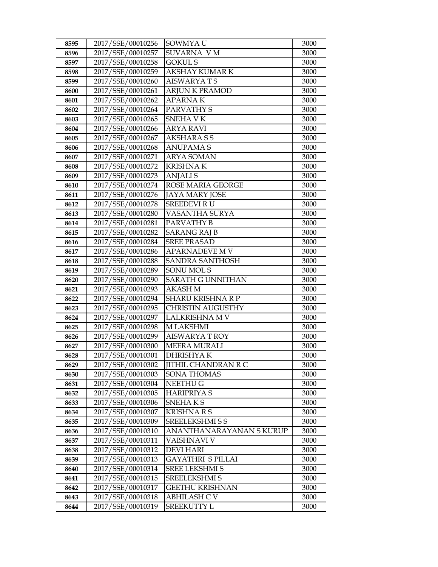| 8595         | 2017/SSE/00010256                      | SOWMYA U                                  | 3000         |
|--------------|----------------------------------------|-------------------------------------------|--------------|
| 8596         | 2017/SSE/00010257                      | <b>SUVARNA VM</b>                         | 3000         |
| 8597         | 2017/SSE/00010258                      | <b>GOKUL S</b>                            | 3000         |
| 8598         | 2017/SSE/00010259                      | AKSHAY KUMAR K                            | 3000         |
| 8599         | 2017/SSE/00010260                      | <b>AISWARYATS</b>                         | 3000         |
| 8600         | 2017/SSE/00010261                      | <b>ARJUN K PRAMOD</b>                     | 3000         |
| 8601         | 2017/SSE/00010262                      | <b>APARNAK</b>                            | 3000         |
| 8602         | 2017/SSE/00010264                      | PARVATHY S                                | 3000         |
| 8603         | 2017/SSE/00010265                      | <b>SNEHAVK</b>                            | 3000         |
| 8604         | 2017/SSE/00010266                      | <b>ARYA RAVI</b>                          | 3000         |
| 8605         | 2017/SSE/00010267                      | <b>AKSHARASS</b>                          | 3000         |
| 8606         | 2017/SSE/00010268                      | ANUPAMA S                                 | 3000         |
| 8607         | 2017/SSE/00010271                      | <b>ARYA SOMAN</b>                         | 3000         |
| 8608         | 2017/SSE/00010272                      | <b>KRISHNAK</b>                           | 3000         |
| 8609         | 2017/SSE/00010273                      | <b>ANJALIS</b>                            | 3000         |
| 8610         | 2017/SSE/00010274                      | ROSE MARIA GEORGE                         | 3000         |
| 8611         | 2017/SSE/00010276                      | JAYA MARY JOSE                            | 3000         |
| 8612         | 2017/SSE/00010278                      | <b>SREEDEVI RU</b>                        | 3000         |
| 8613         | 2017/SSE/00010280                      | VASANTHA SURYA                            | 3000         |
| 8614         | 2017/SSE/00010281                      | PARVATHY B                                | 3000         |
| 8615         | 2017/SSE/00010282                      | SARANG RAJ B                              | 3000         |
| 8616         | 2017/SSE/00010284                      | <b>SREE PRASAD</b>                        | 3000         |
| 8617         | 2017/SSE/00010286                      | APARNADEVE M V                            | 3000         |
| 8618         | 2017/SSE/00010288                      | <b>SANDRA SANTHOSH</b>                    | 3000         |
| 8619         | 2017/SSE/00010289                      | SONU MOL S                                | 3000         |
| 8620         | 2017/SSE/00010290                      | SARATH G UNNITHAN                         | 3000         |
| 8621         | 2017/SSE/00010293                      | <b>AKASH M</b>                            | 3000         |
| 8622         | 2017/SSE/00010294                      | <b>SHARU KRISHNA R P</b>                  | 3000         |
| 8623         | 2017/SSE/00010295                      | <b>CHRISTIN AUGUSTHY</b>                  | 3000         |
| 8624         | 2017/SSE/00010297                      | <b>LALKRISHNA M V</b>                     | 3000         |
| 8625         | 2017/SSE/00010298                      | M LAKSHMI                                 | 3000         |
| 8626         | 2017/SSE/00010299                      | <b>AISWARYA T ROY</b>                     | 3000         |
| 8627         | 2017/SSE/00010300                      | <b>MEERA MURALI</b>                       | 3000         |
| 8628         | 2017/SSE/00010301<br>2017/SSE/00010302 | <b>DHRISHYAK</b>                          | 3000<br>3000 |
| 8629         | 2017/SSE/00010303                      | <b>JITHIL CHANDRAN R C</b><br>SONA THOMAS | 3000         |
| 8630<br>8631 | 2017/SSE/00010304                      | NEETHU G                                  | 3000         |
| 8632         | 2017/SSE/00010305                      | <b>HARIPRIYA S</b>                        | 3000         |
| 8633         | 2017/SSE/00010306                      | SNEHAKS                                   | 3000         |
| 8634         | 2017/SSE/00010307                      | <b>KRISHNARS</b>                          | 3000         |
| 8635         | 2017/SSE/00010309                      | SREELEKSHMI S S                           | 3000         |
| 8636         | 2017/SSE/00010310                      | ANANTHANARAYANAN SKURUP                   | 3000         |
| 8637         | 2017/SSE/00010311                      | VAISHNAVI V                               | 3000         |
| 8638         | 2017/SSE/00010312                      | <b>DEVI HARI</b>                          | 3000         |
| 8639         | 2017/SSE/00010313                      | GAYATHRI S PILLAI                         | 3000         |
| 8640         | 2017/SSE/00010314                      | SREE LEKSHMI S                            | 3000         |
| 8641         | 2017/SSE/00010315                      | <b>SREELEKSHMI S</b>                      | 3000         |
| 8642         | 2017/SSE/00010317                      | <b>GEETHU KRISHNAN</b>                    | 3000         |
| 8643         | 2017/SSE/00010318                      | <b>ABHILASH C V</b>                       | 3000         |
| 8644         | 2017/SSE/00010319                      | SREEKUTTY L                               | 3000         |
|              |                                        |                                           |              |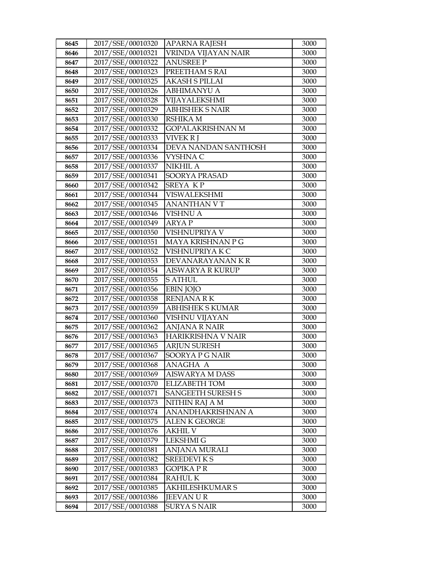| 8645         | 2017/SSE/00010320                      | <b>APARNA RAJESH</b>                      | 3000         |
|--------------|----------------------------------------|-------------------------------------------|--------------|
| 8646         | 2017/SSE/00010321                      | VRINDA VIJAYAN NAIR                       | 3000         |
| 8647         | 2017/SSE/00010322                      | <b>ANUSREE P</b>                          | 3000         |
| 8648         | 2017/SSE/00010323                      | PREETHAM S RAI                            | 3000         |
| 8649         | 2017/SSE/00010325                      | <b>AKASH S PILLAI</b>                     | 3000         |
| 8650         | 2017/SSE/00010326                      | <b>ABHIMANYU A</b>                        | 3000         |
| 8651         | 2017/SSE/00010328                      | VIJAYALEKSHMI                             | 3000         |
| 8652         | 2017/SSE/00010329                      | <b>ABHISHEK S NAIR</b>                    | 3000         |
| 8653         | 2017/SSE/00010330                      | <b>RSHIKA M</b>                           | 3000         |
| 8654         | 2017/SSE/00010332                      | <b>GOPALAKRISHNAN M</b>                   | 3000         |
| 8655         | 2017/SSE/00010333                      | <b>VIVEK R I</b>                          | 3000         |
| 8656         | 2017/SSE/00010334                      | DEVA NANDAN SANTHOSH                      | 3000         |
| 8657         | 2017/SSE/00010336                      | VYSHNA C                                  | 3000         |
| 8658         | 2017/SSE/00010337                      | <b>NIKHIL A</b>                           | 3000         |
| 8659         | 2017/SSE/00010341                      | SOORYA PRASAD                             | 3000         |
| 8660         | 2017/SSE/00010342                      | SREYA KP                                  | 3000         |
| 8661         | 2017/SSE/00010344                      | <b>VISWALEKSHMI</b>                       | 3000         |
| 8662         | 2017/SSE/00010345                      | <b>ANANTHAN V T</b>                       | 3000         |
| 8663         | 2017/SSE/00010346                      | <b>VISHNU A</b>                           | 3000         |
| 8664         | 2017/SSE/00010349                      | <b>ARYAP</b>                              | 3000         |
| 8665         | 2017/SSE/00010350                      | VISHNUPRIYA V                             | 3000         |
| 8666         | 2017/SSE/00010351                      | MAYA KRISHNAN P G                         | 3000         |
| 8667         | 2017/SSE/00010352                      | VISHNUPRIYA K C                           | 3000         |
| 8668         | 2017/SSE/00010353                      | DEVANARAYANAN KR                          | 3000         |
| 8669         | 2017/SSE/00010354                      | <b>AISWARYA R KURUP</b>                   | 3000         |
| 8670         | 2017/SSE/00010355                      | <b>S ATHUL</b>                            | 3000         |
| 8671         | 2017/SSE/00010356                      | <b>EBIN JOJO</b>                          | 3000         |
| 8672         | 2017/SSE/00010358                      | <b>RENJANA RK</b>                         | 3000         |
| 8673         | 2017/SSE/00010359                      | <b>ABHISHEK S KUMAR</b>                   | 3000         |
| 8674         | 2017/SSE/00010360                      | VISHNU VIJAYAN                            | 3000         |
| 8675         | 2017/SSE/00010362                      | <b>ANJANA R NAIR</b>                      | 3000         |
| 8676         | 2017/SSE/00010363                      | HARIKRISHNA V NAIR                        | 3000         |
| 8677         | 2017/SSE/00010365                      | <b>ARJUN SURESH</b>                       | 3000         |
| 8678         | 2017/SSE/00010367                      | SOORYA P G NAIR                           | 3000         |
| 8679         | 2017/SSE/00010368<br>2017/SSE/00010369 | ANAGHA A                                  | 3000         |
| 8680         | 2017/SSE/00010370                      | <b>AISWARYA M DASS</b>                    | 3000<br>3000 |
| 8681<br>8682 | 2017/SSE/00010371                      | ELIZABETH TOM<br><b>SANGEETH SURESH S</b> | 3000         |
| 8683         | 2017/SSE/00010373                      | NITHIN RAJ A M                            | 3000         |
| 8684         | 2017/SSE/00010374                      | ANANDHAKRISHNAN A                         | 3000         |
| 8685         | 2017/SSE/00010375                      | <b>ALEN K GEORGE</b>                      | 3000         |
| 8686         | 2017/SSE/00010376                      | <b>AKHIL V</b>                            | 3000         |
| 8687         | 2017/SSE/00010379                      | <b>LEKSHMI G</b>                          | 3000         |
| 8688         | 2017/SSE/00010381                      | ANJANA MURALI                             | 3000         |
| 8689         | 2017/SSE/00010382                      | <b>SREEDEVIKS</b>                         | 3000         |
| 8690         | 2017/SSE/00010383                      | <b>GOPIKA PR</b>                          | 3000         |
| 8691         | 2017/SSE/00010384                      | <b>RAHUL K</b>                            | 3000         |
| 8692         | 2017/SSE/00010385                      | AKHILESHKUMAR S                           | 3000         |
| 8693         | 2017/SSE/00010386                      | <b>JEEVANUR</b>                           | 3000         |
| 8694         | 2017/SSE/00010388                      | <b>SURYA S NAIR</b>                       | 3000         |
|              |                                        |                                           |              |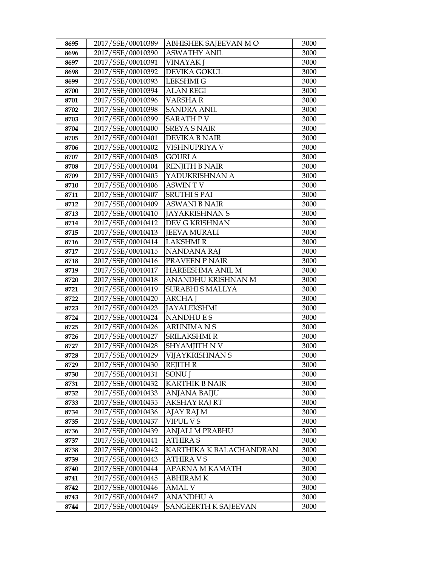| 8695 | 2017/SSE/00010389 | ABHISHEK SAJEEVAN M O   | 3000 |
|------|-------------------|-------------------------|------|
| 8696 | 2017/SSE/00010390 | <b>ASWATHY ANIL</b>     | 3000 |
| 8697 | 2017/SSE/00010391 | <b>VINAYAK J</b>        | 3000 |
| 8698 | 2017/SSE/00010392 | DEVIKA GOKUL            | 3000 |
| 8699 | 2017/SSE/00010393 | <b>LEKSHMI G</b>        | 3000 |
| 8700 | 2017/SSE/00010394 | <b>ALAN REGI</b>        | 3000 |
| 8701 | 2017/SSE/00010396 | VARSHA R                | 3000 |
| 8702 | 2017/SSE/00010398 | <b>SANDRA ANIL</b>      | 3000 |
| 8703 | 2017/SSE/00010399 | <b>SARATH PV</b>        | 3000 |
| 8704 | 2017/SSE/00010400 | <b>SREYA S NAIR</b>     | 3000 |
| 8705 | 2017/SSE/00010401 | DEVIKA B NAIR           | 3000 |
| 8706 | 2017/SSE/00010402 | VISHNUPRIYA V           | 3000 |
| 8707 | 2017/SSE/00010403 | <b>GOURI A</b>          | 3000 |
| 8708 | 2017/SSE/00010404 | <b>RENJITH B NAIR</b>   | 3000 |
| 8709 | 2017/SSE/00010405 | YADUKRISHNAN A          | 3000 |
| 8710 | 2017/SSE/00010406 | <b>ASWINTV</b>          | 3000 |
| 8711 | 2017/SSE/00010407 | <b>SRUTHI S PAI</b>     | 3000 |
| 8712 | 2017/SSE/00010409 | <b>ASWANI B NAIR</b>    | 3000 |
| 8713 | 2017/SSE/00010410 | <b>JAYAKRISHNAN S</b>   | 3000 |
| 8714 | 2017/SSE/00010412 | DEV G KRISHNAN          | 3000 |
| 8715 | 2017/SSE/00010413 | <b>JEEVA MURALI</b>     | 3000 |
| 8716 | 2017/SSE/00010414 | <b>LAKSHMIR</b>         | 3000 |
| 8717 | 2017/SSE/00010415 | <b>NANDANA RAJ</b>      | 3000 |
| 8718 | 2017/SSE/00010416 | PRAVEEN P NAIR          | 3000 |
| 8719 | 2017/SSE/00010417 | HAREESHMA ANIL M        | 3000 |
| 8720 | 2017/SSE/00010418 | ANANDHU KRISHNAN M      | 3000 |
| 8721 | 2017/SSE/00010419 | <b>SURABHI S MALLYA</b> | 3000 |
| 8722 | 2017/SSE/00010420 | <b>ARCHAI</b>           | 3000 |
| 8723 | 2017/SSE/00010423 | <b>JAYALEKSHMI</b>      | 3000 |
| 8724 | 2017/SSE/00010424 | <b>NANDHUES</b>         | 3000 |
| 8725 | 2017/SSE/00010426 | ARUNIMA N S             | 3000 |
| 8726 | 2017/SSE/00010427 | <b>SRILAKSHMI R</b>     | 3000 |
| 8727 | 2017/SSE/00010428 | SHYAMJITH N V           | 3000 |
| 8728 | 2017/SSE/00010429 | VIJAYKRISHNAN S         | 3000 |
| 8729 | 2017/SSE/00010430 | <b>REJITH R</b>         | 3000 |
| 8730 | 2017/SSE/00010431 | <b>SONUI</b>            | 3000 |
| 8731 | 2017/SSE/00010432 | <b>KARTHIK B NAIR</b>   | 3000 |
| 8732 | 2017/SSE/00010433 | <b>ANJANA BAIJU</b>     | 3000 |
| 8733 | 2017/SSE/00010435 | <b>AKSHAY RAJ RT</b>    | 3000 |
| 8734 | 2017/SSE/00010436 | AJAY RAJ M              | 3000 |
| 8735 | 2017/SSE/00010437 | VIPUL V S               | 3000 |
| 8736 | 2017/SSE/00010439 | ANJALI M PRABHU         | 3000 |
| 8737 | 2017/SSE/00010441 | <b>ATHIRA S</b>         | 3000 |
| 8738 | 2017/SSE/00010442 | KARTHIKA K BALACHANDRAN | 3000 |
| 8739 | 2017/SSE/00010443 | ATHIRA V S              | 3000 |
| 8740 | 2017/SSE/00010444 | APARNA M KAMATH         | 3000 |
| 8741 | 2017/SSE/00010445 | ABHIRAM K               | 3000 |
| 8742 | 2017/SSE/00010446 | <b>AMAL V</b>           | 3000 |
| 8743 | 2017/SSE/00010447 | <b>ANANDHU A</b>        | 3000 |
| 8744 | 2017/SSE/00010449 | SANGEERTH K SAJEEVAN    | 3000 |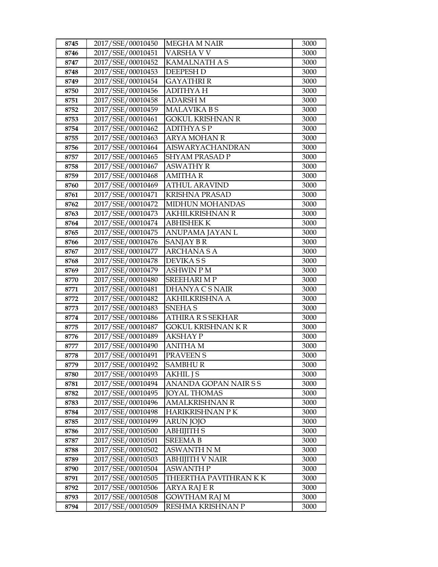| 8745         | 2017/SSE/00010450                      | <b>MEGHA M NAIR</b>                          | 3000         |
|--------------|----------------------------------------|----------------------------------------------|--------------|
| 8746         | 2017/SSE/00010451                      | VARSHA V V                                   | 3000         |
| 8747         | 2017/SSE/00010452                      | KAMALNATH A S                                | 3000         |
| 8748         | 2017/SSE/00010453                      | <b>DEEPESH D</b>                             | 3000         |
| 8749         | 2017/SSE/00010454                      | <b>GAYATHRI R</b>                            | 3000         |
| 8750         | 2017/SSE/00010456                      | ADITHYA H                                    | 3000         |
| 8751         | 2017/SSE/00010458                      | <b>ADARSH M</b>                              | 3000         |
| 8752         | 2017/SSE/00010459                      | <b>MALAVIKA BS</b>                           | 3000         |
| 8753         | 2017/SSE/00010461                      | <b>GOKUL KRISHNAN R</b>                      | 3000         |
| 8754         | 2017/SSE/00010462                      | <b>ADITHYASP</b>                             | 3000         |
| 8755         | 2017/SSE/00010463                      | <b>ARYA MOHAN R</b>                          | 3000         |
| 8756         | 2017/SSE/00010464                      | AISWARYACHANDRAN                             | 3000         |
| 8757         | 2017/SSE/00010465                      | <b>SHYAM PRASAD P</b>                        | 3000         |
| 8758         | 2017/SSE/00010467                      | <b>ASWATHY R</b>                             | 3000         |
| 8759         | 2017/SSE/00010468                      | AMITHA R                                     | 3000         |
| 8760         | 2017/SSE/00010469                      | <b>ATHUL ARAVIND</b>                         | 3000         |
| 8761         | 2017/SSE/00010471                      | KRISHNA PRASAD                               | 3000         |
| 8762         | 2017/SSE/00010472                      | MIDHUN MOHANDAS                              | 3000         |
| 8763         | 2017/SSE/00010473                      | <b>AKHILKRISHNAN R</b>                       | 3000         |
| 8764         | 2017/SSE/00010474                      | <b>ABHISHEK K</b>                            | 3000         |
| 8765         | 2017/SSE/00010475                      | ANUPAMA JAYAN L                              | 3000         |
| 8766         | 2017/SSE/00010476                      | SANJAY B R                                   | 3000         |
| 8767         | 2017/SSE/00010477                      | <b>ARCHANASA</b>                             | 3000         |
| 8768         | 2017/SSE/00010478                      | <b>DEVIKASS</b>                              | 3000         |
| 8769         | 2017/SSE/00010479                      | <b>ASHWIN P M</b>                            | 3000         |
| 8770         | 2017/SSE/00010480                      | <b>SREEHARI M P</b>                          | 3000         |
| 8771         | 2017/SSE/00010481                      | DHANYA C S NAIR                              | 3000         |
| 8772         | 2017/SSE/00010482                      | <b>AKHILKRISHNA A</b>                        | 3000         |
| 8773         | 2017/SSE/00010483                      | <b>SNEHAS</b>                                | 3000         |
| 8774         | 2017/SSE/00010486                      | <b>ATHIRA R S SEKHAR</b>                     | 3000         |
| 8775         | 2017/SSE/00010487                      | GOKUL KRISHNAN K R                           | 3000         |
| 8776         | 2017/SSE/00010489                      | <b>AKSHAY P</b>                              | 3000         |
| 8777         | 2017/SSE/00010490                      | <b>ANITHA M</b>                              | 3000         |
| 8778         | 2017/SSE/00010491                      | PRAVEEN <sub>S</sub>                         | 3000         |
| 8779         | 2017/SSE/00010492                      | <b>SAMBHUR</b>                               | 3000         |
| 8780         | 2017/SSE/00010493                      | AKHIL J S                                    | 3000         |
| 8781<br>8782 | 2017/SSE/00010494<br>2017/SSE/00010495 | ANANDA GOPAN NAIR S S<br><b>JOYAL THOMAS</b> | 3000<br>3000 |
| 8783         | 2017/SSE/00010496                      | <b>AMALKRISHNAN R</b>                        | 3000         |
| 8784         | 2017/SSE/00010498                      | HARIKRISHNAN P K                             | 3000         |
| 8785         | 2017/SSE/00010499                      | ARUN JOJO                                    | 3000         |
| 8786         | 2017/SSE/00010500                      | <b>ABHIJITH S</b>                            | 3000         |
| 8787         | 2017/SSE/00010501                      | <b>SREEMA B</b>                              | 3000         |
| 8788         | 2017/SSE/00010502                      | <b>ASWANTH N M</b>                           | 3000         |
| 8789         | 2017/SSE/00010503                      | ABHIJITH V NAIR                              | 3000         |
| 8790         | 2017/SSE/00010504                      | ASWANTH P                                    | 3000         |
| 8791         | 2017/SSE/00010505                      | THEERTHA PAVITHRAN K K                       | 3000         |
| 8792         | 2017/SSE/00010506                      | ARYA RAJ E R                                 | 3000         |
| 8793         | 2017/SSE/00010508                      | <b>GOWTHAM RAJ M</b>                         | 3000         |
| 8794         | 2017/SSE/00010509                      | RESHMA KRISHNAN P                            | 3000         |
|              |                                        |                                              |              |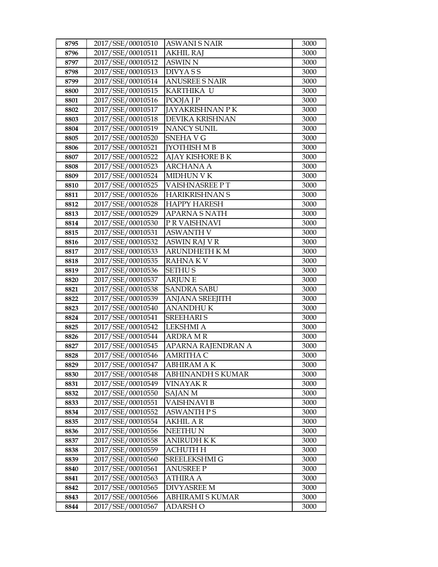| 8795         | 2017/SSE/00010510                      | <b>ASWANI S NAIR</b>   | 3000         |
|--------------|----------------------------------------|------------------------|--------------|
| 8796         | 2017/SSE/00010511                      | <b>AKHIL RAJ</b>       | 3000         |
| 8797         | 2017/SSE/00010512                      | <b>ASWIN N</b>         | 3000         |
| 8798         | 2017/SSE/00010513                      | <b>DIVYASS</b>         | 3000         |
| 8799         | 2017/SSE/00010514                      | <b>ANUSREE S NAIR</b>  | 3000         |
| 8800         | 2017/SSE/00010515                      | KARTHIKA U             | 3000         |
| 8801         | 2017/SSE/00010516                      | POOJA J P              | 3000         |
| 8802         | 2017/SSE/00010517                      | JAYAKRISHNAN P K       | 3000         |
| 8803         | 2017/SSE/00010518                      | DEVIKA KRISHNAN        | 3000         |
| 8804         | 2017/SSE/00010519                      | <b>NANCY SUNIL</b>     | 3000         |
| 8805         | 2017/SSE/00010520                      | SNEHA V G              | 3000         |
| 8806         | 2017/SSE/00010521                      | <b>[YOTHISH M B</b>    | 3000         |
| 8807         | 2017/SSE/00010522                      | AJAY KISHORE B K       | 3000         |
| 8808         | 2017/SSE/00010523                      | <b>ARCHANA A</b>       | 3000         |
| 8809         | 2017/SSE/00010524                      | <b>MIDHUN V K</b>      | 3000         |
| 8810         | 2017/SSE/00010525                      | VAISHNASREE PT         | 3000         |
| 8811         | 2017/SSE/00010526                      | <b>HARIKRISHNAN S</b>  | 3000         |
| 8812         | 2017/SSE/00010528                      | <b>HAPPY HARESH</b>    | 3000         |
| 8813         | 2017/SSE/00010529                      | <b>APARNA S NATH</b>   | 3000         |
| 8814         | 2017/SSE/00010530                      | P R VAISHNAVI          | 3000         |
| 8815         | 2017/SSE/00010531                      | <b>ASWANTH V</b>       | 3000         |
| 8816         | 2017/SSE/00010532                      | ASWIN RAJ V R          | 3000         |
| 8817         | 2017/SSE/00010533                      | ARUNDHETH KM           | 3000         |
| 8818         | 2017/SSE/00010535                      | <b>RAHNAKV</b>         | 3000         |
| 8819         | 2017/SSE/00010536                      | <b>SETHUS</b>          | 3000         |
| 8820         | 2017/SSE/00010537                      | <b>ARJUNE</b>          | 3000         |
| 8821         | 2017/SSE/00010538                      | <b>SANDRA SABU</b>     | 3000         |
| 8822         | 2017/SSE/00010539                      | <b>ANJANA SREEJITH</b> | 3000         |
| 8823         | 2017/SSE/00010540                      | <b>ANANDHUK</b>        | 3000         |
| 8824         | 2017/SSE/00010541                      | <b>SREEHARIS</b>       | 3000         |
| 8825         | 2017/SSE/00010542                      | <b>LEKSHMI A</b>       | 3000         |
| 8826         | 2017/SSE/00010544                      | ARDRA M R              | 3000         |
| 8827         | 2017/SSE/00010545                      | APARNA RAJENDRAN A     | 3000         |
| 8828         | 2017/SSE/00010546                      | <b>AMRITHA C</b>       | 3000         |
| 8829         | 2017/SSE/00010547<br>2017/SSE/00010548 | <b>ABHIRAM A K</b>     | 3000         |
| 8830         | 2017/SSE/00010549                      | ABHINANDH S KUMAR      | 3000         |
| 8831<br>8832 | 2017/SSE/00010550                      | VINAYAK R<br>SAJAN M   | 3000<br>3000 |
| 8833         | 2017/SSE/00010551                      | VAISHNAVI B            | 3000         |
| 8834         | 2017/SSE/00010552                      | <b>ASWANTH PS</b>      | 3000         |
| 8835         | 2017/SSE/00010554                      | <b>AKHIL AR</b>        | 3000         |
| 8836         | 2017/SSE/00010556                      | <b>NEETHUN</b>         | 3000         |
| 8837         | 2017/SSE/00010558                      | <b>ANIRUDH K K</b>     | 3000         |
| 8838         | 2017/SSE/00010559                      | <b>ACHUTH H</b>        | 3000         |
| 8839         | 2017/SSE/00010560                      | SREELEKSHMI G          | 3000         |
| 8840         | 2017/SSE/00010561                      | <b>ANUSREE P</b>       | 3000         |
| 8841         | 2017/SSE/00010563                      | ATHIRA A               | 3000         |
| 8842         | 2017/SSE/00010565                      | <b>DIVYASREE M</b>     | 3000         |
| 8843         | 2017/SSE/00010566                      | ABHIRAMI S KUMAR       | 3000         |
| 8844         | 2017/SSE/00010567                      | ADARSH O               | 3000         |
|              |                                        |                        |              |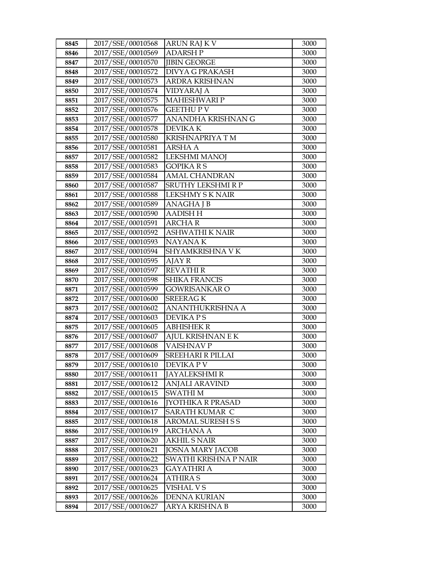| 8845         | 2017/SSE/00010568                      | ARUN RAJ K V                                 | 3000         |
|--------------|----------------------------------------|----------------------------------------------|--------------|
| 8846         | 2017/SSE/00010569                      | <b>ADARSHP</b>                               | 3000         |
| 8847         | 2017/SSE/00010570                      | <b>JIBIN GEORGE</b>                          | 3000         |
| 8848         | 2017/SSE/00010572                      | DIVYA G PRAKASH                              | 3000         |
| 8849         | 2017/SSE/00010573                      | ARDRA KRISHNAN                               | 3000         |
| 8850         | 2017/SSE/00010574                      | VIDYARAJ A                                   | 3000         |
| 8851         | 2017/SSE/00010575                      | <b>MAHESHWARI P</b>                          | 3000         |
| 8852         | 2017/SSE/00010576                      | <b>GEETHUPV</b>                              | 3000         |
| 8853         | 2017/SSE/00010577                      | ANANDHA KRISHNAN G                           | 3000         |
| 8854         | 2017/SSE/00010578                      | <b>DEVIKAK</b>                               | 3000         |
| 8855         | 2017/SSE/00010580                      | KRISHNAPRIYA TM                              | 3000         |
| 8856         | 2017/SSE/00010581                      | ARSHA A                                      | 3000         |
| 8857         | 2017/SSE/00010582                      | <b>LEKSHMI MANOJ</b>                         | 3000         |
| 8858         | 2017/SSE/00010583                      | <b>GOPIKARS</b>                              | 3000         |
| 8859         | 2017/SSE/00010584                      | <b>AMAL CHANDRAN</b>                         | 3000         |
| 8860         | 2017/SSE/00010587                      | SRUTHY LEKSHMI R P                           | 3000         |
| 8861         | 2017/SSE/00010588                      | <b>LEKSHMY S K NAIR</b>                      | 3000         |
| 8862         | 2017/SSE/00010589                      | <b>ANAGHAJB</b>                              | 3000         |
| 8863         | 2017/SSE/00010590                      | <b>AADISH H</b>                              | 3000         |
| 8864         | 2017/SSE/00010591                      | <b>ARCHAR</b>                                | 3000         |
| 8865         | 2017/SSE/00010592                      | ASHWATHI K NAIR                              | 3000         |
| 8866         | 2017/SSE/00010593                      | NAYANA K                                     | 3000         |
| 8867         | 2017/SSE/00010594                      | SHYAMKRISHNA VK                              | 3000         |
| 8868         | 2017/SSE/00010595                      | AJAY R                                       | 3000         |
| 8869         | 2017/SSE/00010597                      | <b>REVATHIR</b>                              | 3000         |
| 8870         | 2017/SSE/00010598                      | <b>SHIKA FRANCIS</b>                         | 3000         |
| 8871         | 2017/SSE/00010599                      | GOWRISANKAR O                                | 3000         |
| 8872         | 2017/SSE/00010600                      | <b>SREERAGK</b>                              | 3000         |
| 8873         | 2017/SSE/00010602                      | ANANTHUKRISHNA A                             | 3000         |
| 8874         | 2017/SSE/00010603                      | <b>DEVIKAPS</b>                              | 3000         |
| 8875         | 2017/SSE/00010605                      | ABHISHEK R                                   | 3000         |
| 8876         | 2017/SSE/00010607                      | AJUL KRISHNAN E K                            | 3000         |
| 8877<br>8878 | 2017/SSE/00010608<br>2017/SSE/00010609 | <b>VAISHNAVP</b><br><b>SREEHARI R PILLAI</b> | 3000<br>3000 |
|              | 2017/SSE/00010610                      | DEVIKA P V                                   | 3000         |
| 8879<br>8880 | 2017/SSE/00010611                      | JAYALEKSHMI R                                | 3000         |
| 8881         | 2017/SSE/00010612                      | <b>ANJALI ARAVIND</b>                        | 3000         |
| 8882         | 2017/SSE/00010615                      | <b>SWATHIM</b>                               | 3000         |
| 8883         | 2017/SSE/00010616                      | <b>[YOTHIKA R PRASAD</b>                     | 3000         |
| 8884         | 2017/SSE/00010617                      | SARATH KUMAR C                               | 3000         |
| 8885         | 2017/SSE/00010618                      | <b>AROMAL SURESH S S</b>                     | 3000         |
| 8886         | 2017/SSE/00010619                      | <b>ARCHANA A</b>                             | 3000         |
| 8887         | 2017/SSE/00010620                      | <b>AKHIL S NAIR</b>                          | 3000         |
| 8888         | 2017/SSE/00010621                      | <b>JOSNA MARY JACOB</b>                      | 3000         |
| 8889         | 2017/SSE/00010622                      | SWATHI KRISHNA P NAIR                        | 3000         |
| 8890         | 2017/SSE/00010623                      | GAYATHRI A                                   | 3000         |
| 8891         | 2017/SSE/00010624                      | <b>ATHIRA S</b>                              | 3000         |
| 8892         | 2017/SSE/00010625                      | <b>VISHAL V S</b>                            | 3000         |
| 8893         | 2017/SSE/00010626                      | <b>DENNA KURIAN</b>                          | 3000         |
| 8894         | 2017/SSE/00010627                      | ARYA KRISHNA B                               | 3000         |
|              |                                        |                                              |              |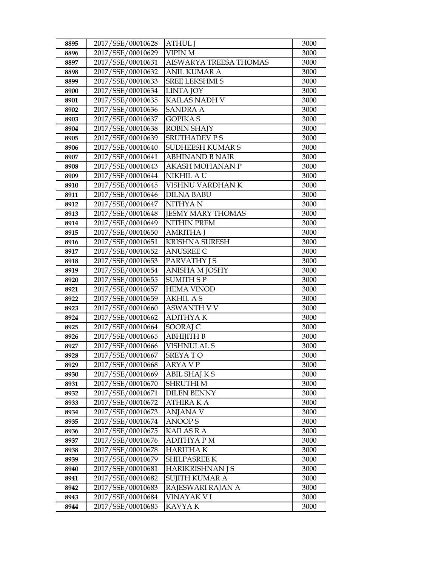| 8895         | 2017/SSE/00010628                      | <b>ATHUL J</b>                   | 3000         |
|--------------|----------------------------------------|----------------------------------|--------------|
| 8896         | 2017/SSE/00010629                      | <b>VIPIN M</b>                   | 3000         |
| 8897         | 2017/SSE/00010631                      | AISWARYA TREESA THOMAS           | 3000         |
| 8898         | 2017/SSE/00010632                      | <b>ANIL KUMAR A</b>              | 3000         |
| 8899         | 2017/SSE/00010633                      | <b>SREE LEKSHMI S</b>            | 3000         |
| 8900         | 2017/SSE/00010634                      | <b>LINTA JOY</b>                 | 3000         |
| 8901         | 2017/SSE/00010635                      | KAILAS NADH V                    | 3000         |
| 8902         | 2017/SSE/00010636                      | <b>SANDRA A</b>                  | 3000         |
| 8903         | 2017/SSE/00010637                      | <b>GOPIKA S</b>                  | 3000         |
| 8904         | 2017/SSE/00010638                      | <b>ROBIN SHAJY</b>               | 3000         |
| 8905         | 2017/SSE/00010639                      | <b>SRUTHADEV PS</b>              | 3000         |
| 8906         | 2017/SSE/00010640                      | SUDHEESH KUMAR S                 | 3000         |
| 8907         | 2017/SSE/00010641                      | <b>ABHINAND B NAIR</b>           | 3000         |
| 8908         | 2017/SSE/00010643                      | AKASH MOHANAN P                  | 3000         |
| 8909         | 2017/SSE/00010644                      | NIKHIL A U                       | 3000         |
| 8910         | 2017/SSE/00010645                      | VISHNU VARDHAN K                 | 3000         |
| 8911         | 2017/SSE/00010646                      | <b>DILNA BABU</b>                | 3000         |
| 8912         | 2017/SSE/00010647                      | NITHYA N                         | 3000         |
| 8913         | 2017/SSE/00010648                      | <b>JESMY MARY THOMAS</b>         | 3000         |
| 8914         | 2017/SSE/00010649                      | <b>NITHIN PREM</b>               | 3000         |
| 8915         | 2017/SSE/00010650                      | <b>AMRITHA J</b>                 | 3000         |
| 8916         | 2017/SSE/00010651                      | <b>KRISHNA SURESH</b>            | 3000         |
| 8917         | 2017/SSE/00010652                      | <b>ANUSREE C</b>                 | 3000         |
| 8918         | 2017/SSE/00010653                      | <b>PARVATHY JS</b>               | 3000         |
| 8919         | 2017/SSE/00010654                      | ANISHA M JOSHY                   | 3000         |
| 8920         | 2017/SSE/00010655                      | <b>SUMITH SP</b>                 | 3000         |
| 8921         | 2017/SSE/00010657                      | <b>HEMA VINOD</b>                | 3000         |
| 8922         | 2017/SSE/00010659                      | <b>AKHIL AS</b>                  | 3000         |
| 8923         | 2017/SSE/00010660                      | <b>ASWANTH V V</b>               | 3000         |
| 8924         | 2017/SSE/00010662                      | <b>ADITHYAK</b>                  | 3000         |
| 8925         | 2017/SSE/00010664                      | SOORAJ C                         | 3000         |
| 8926         | 2017/SSE/00010665                      | АВНІЈІТН В                       | 3000         |
| 8927         | 2017/SSE/00010666                      | <b>VISHNULAL S</b>               | 3000         |
| 8928         | 2017/SSE/00010667                      | <b>SREYATO</b>                   | 3000         |
| 8929         | 2017/SSE/00010668                      | ARYA V P                         | 3000         |
| 8930         | 2017/SSE/00010669                      | ABIL SHAJ K S<br><b>SHRUTHIM</b> | 3000         |
| 8931         | 2017/SSE/00010670<br>2017/SSE/00010671 | <b>DILEN BENNY</b>               | 3000<br>3000 |
| 8932<br>8933 | 2017/SSE/00010672                      | <b>ATHIRA K A</b>                | 3000         |
| 8934         | 2017/SSE/00010673                      | <b>ANJANA V</b>                  | 3000         |
| 8935         | 2017/SSE/00010674                      | <b>ANOOPS</b>                    | 3000         |
| 8936         | 2017/SSE/00010675                      | <b>KAILAS R A</b>                | 3000         |
| 8937         | 2017/SSE/00010676                      | <b>ADITHYAPM</b>                 | 3000         |
| 8938         | 2017/SSE/00010678                      | <b>HARITHAK</b>                  | 3000         |
| 8939         | 2017/SSE/00010679                      | SHILPASREE K                     | 3000         |
| 8940         | 2017/SSE/00010681                      | HARIKRISHNAN J S                 | 3000         |
| 8941         | 2017/SSE/00010682                      | <b>SUJITH KUMAR A</b>            | 3000         |
| 8942         | 2017/SSE/00010683                      | RAJESWARI RAJAN A                | 3000         |
| 8943         | 2017/SSE/00010684                      | VINAYAK VI                       | 3000         |
| 8944         | 2017/SSE/00010685                      | KAVYA K                          | 3000         |
|              |                                        |                                  |              |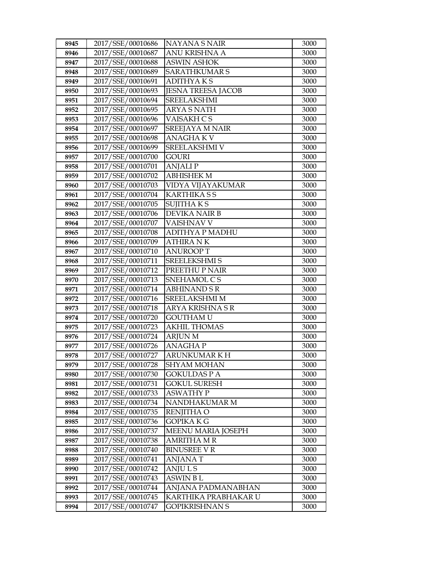| 8945         | 2017/SSE/00010686                      | NAYANA S NAIR                    | 3000         |
|--------------|----------------------------------------|----------------------------------|--------------|
| 8946         | 2017/SSE/00010687                      | ANU KRISHNA A                    | 3000         |
| 8947         | 2017/SSE/00010688                      | <b>ASWIN ASHOK</b>               | 3000         |
| 8948         | 2017/SSE/00010689                      | <b>SARATHKUMAR S</b>             | 3000         |
| 8949         | 2017/SSE/00010691                      | <b>ADITHYAKS</b>                 | 3000         |
| 8950         | 2017/SSE/00010693                      | <b>JESNA TREESA JACOB</b>        | 3000         |
| 8951         | 2017/SSE/00010694                      | <b>SREELAKSHMI</b>               | 3000         |
| 8952         | 2017/SSE/00010695                      | <b>ARYA S NATH</b>               | 3000         |
| 8953         | 2017/SSE/00010696                      | <b>VAISAKH CS</b>                | 3000         |
| 8954         | 2017/SSE/00010697                      | <b>SREEJAYA M NAIR</b>           | 3000         |
| 8955         | 2017/SSE/00010698                      | ANAGHA K V                       | 3000         |
| 8956         | 2017/SSE/00010699                      | <b>SREELAKSHMI V</b>             | 3000         |
| 8957         | 2017/SSE/00010700                      | <b>GOURI</b>                     | 3000         |
| 8958         | 2017/SSE/00010701                      | <b>ANJALIP</b>                   | 3000         |
| 8959         | 2017/SSE/00010702                      | <b>ABHISHEK M</b>                | 3000         |
| 8960         | 2017/SSE/00010703                      | VIDYA VIJAYAKUMAR                | 3000         |
| 8961         | 2017/SSE/00010704                      | <b>KARTHIKASS</b>                | 3000         |
| 8962         | 2017/SSE/00010705                      | <b>SUJITHAKS</b>                 | 3000         |
| 8963         | 2017/SSE/00010706                      | <b>DEVIKA NAIR B</b>             | 3000         |
| 8964         | 2017/SSE/00010707                      | VAISHNAV V                       | 3000         |
| 8965         | 2017/SSE/00010708                      | ADITHYA P MADHU                  | 3000         |
| 8966         | 2017/SSE/00010709                      | ATHIRA N K                       | 3000         |
| 8967         | 2017/SSE/00010710                      | <b>ANUROOPT</b>                  | 3000         |
| 8968         | 2017/SSE/00010711                      | <b>SREELEKSHMI S</b>             | 3000         |
| 8969         | 2017/SSE/00010712                      | PREETHU P NAIR                   | 3000         |
| 8970         | 2017/SSE/00010713                      | SNEHAMOL CS                      | 3000         |
| 8971         | 2017/SSE/00010714                      | <b>ABHINAND S R</b>              | 3000         |
| 8972         | 2017/SSE/00010716                      | SREELAKSHMI M                    | 3000         |
| 8973         | 2017/SSE/00010718                      | ARYA KRISHNA SR                  | 3000         |
| 8974         | 2017/SSE/00010720                      | <b>GOUTHAM U</b>                 | 3000         |
| 8975         | 2017/SSE/00010723                      | AKHIL THOMAS                     | 3000         |
| 8976         | 2017/SSE/00010724                      | <b>ARJUN M</b>                   | 3000         |
| 8977         | 2017/SSE/00010726                      | <b>ANAGHAP</b>                   | 3000         |
| 8978         | 2017/SSE/00010727                      | ARUNKUMAR K H                    | 3000         |
| 8979         | 2017/SSE/00010728                      | <b>SHYAM MOHAN</b>               | 3000         |
| 8980         | 2017/SSE/00010730                      | GOKULDAS P A                     | 3000         |
| 8981<br>8982 | 2017/SSE/00010731<br>2017/SSE/00010733 | GOKUL SURESH<br><b>ASWATHY P</b> | 3000<br>3000 |
| 8983         | 2017/SSE/00010734                      | NANDHAKUMAR M                    | 3000         |
| 8984         | 2017/SSE/00010735                      | RENJITHA O                       | 3000         |
| 8985         | 2017/SSE/00010736                      | GOPIKA K G                       | 3000         |
| 8986         | 2017/SSE/00010737                      | <b>MEENU MARIA JOSEPH</b>        | 3000         |
| 8987         | 2017/SSE/00010738                      | <b>AMRITHA M R</b>               | 3000         |
| 8988         | 2017/SSE/00010740                      | <b>BINUSREE V R</b>              | 3000         |
| 8989         | 2017/SSE/00010741                      | ANJANA T                         | 3000         |
| 8990         | 2017/SSE/00010742                      | ANJU L S                         | 3000         |
| 8991         | 2017/SSE/00010743                      | ASWIN B L                        | 3000         |
| 8992         | 2017/SSE/00010744                      | ANJANA PADMANABHAN               | 3000         |
| 8993         | 2017/SSE/00010745                      | KARTHIKA PRABHAKAR U             | 3000         |
| 8994         | 2017/SSE/00010747                      | GOPIKRISHNAN S                   | 3000         |
|              |                                        |                                  |              |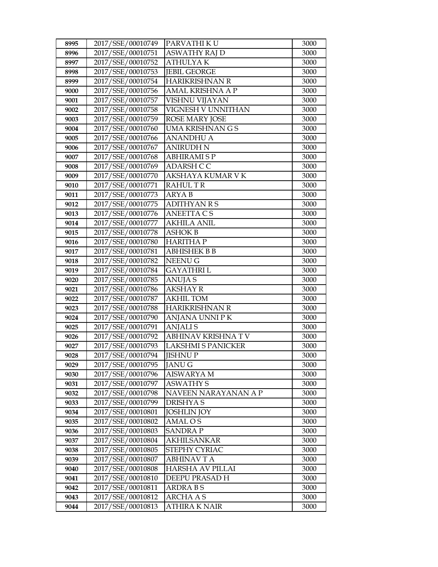| 8995 | 2017/SSE/00010749 | PARVATHI KU               | 3000 |
|------|-------------------|---------------------------|------|
| 8996 | 2017/SSE/00010751 | <b>ASWATHY RAJ D</b>      | 3000 |
| 8997 | 2017/SSE/00010752 | <b>ATHULYAK</b>           | 3000 |
| 8998 | 2017/SSE/00010753 | <b>JEBIL GEORGE</b>       | 3000 |
| 8999 | 2017/SSE/00010754 | <b>HARIKRISHNAN R</b>     | 3000 |
| 9000 | 2017/SSE/00010756 | AMAL KRISHNA A P          | 3000 |
| 9001 | 2017/SSE/00010757 | VISHNU VIJAYAN            | 3000 |
| 9002 | 2017/SSE/00010758 | VIGNESH V UNNITHAN        | 3000 |
| 9003 | 2017/SSE/00010759 | <b>ROSE MARY JOSE</b>     | 3000 |
| 9004 | 2017/SSE/00010760 | <b>UMA KRISHNAN G S</b>   | 3000 |
| 9005 | 2017/SSE/00010766 | <b>ANANDHU A</b>          | 3000 |
| 9006 | 2017/SSE/00010767 | <b>ANIRUDH N</b>          | 3000 |
| 9007 | 2017/SSE/00010768 | <b>ABHIRAMISP</b>         | 3000 |
| 9008 | 2017/SSE/00010769 | ADARSH CC                 | 3000 |
| 9009 | 2017/SSE/00010770 | AKSHAYA KUMAR V K         | 3000 |
| 9010 | 2017/SSE/00010771 | <b>RAHULTR</b>            | 3000 |
| 9011 | 2017/SSE/00010773 | <b>ARYAB</b>              | 3000 |
| 9012 | 2017/SSE/00010775 | <b>ADITHYAN R S</b>       | 3000 |
| 9013 | 2017/SSE/00010776 | <b>ANEETTA CS</b>         | 3000 |
| 9014 | 2017/SSE/00010777 | <b>AKHILA ANIL</b>        | 3000 |
| 9015 | 2017/SSE/00010778 | <b>ASHOK B</b>            | 3000 |
| 9016 | 2017/SSE/00010780 | <b>HARITHAP</b>           | 3000 |
| 9017 | 2017/SSE/00010781 | <b>ABHISHEK B B</b>       | 3000 |
| 9018 | 2017/SSE/00010782 | NEENU G                   | 3000 |
| 9019 | 2017/SSE/00010784 | <b>GAYATHRI L</b>         | 3000 |
| 9020 | 2017/SSE/00010785 | <b>ANUJA S</b>            | 3000 |
| 9021 | 2017/SSE/00010786 | <b>AKSHAY R</b>           | 3000 |
| 9022 | 2017/SSE/00010787 | <b>AKHIL TOM</b>          | 3000 |
| 9023 | 2017/SSE/00010788 | <b>HARIKRISHNAN R</b>     | 3000 |
| 9024 | 2017/SSE/00010790 | ANJANA UNNI P K           | 3000 |
| 9025 | 2017/SSE/00010791 | <b>ANJALIS</b>            | 3000 |
| 9026 | 2017/SSE/00010792 | <b>ABHINAV KRISHNA TV</b> | 3000 |
| 9027 | 2017/SSE/00010793 | <b>LAKSHMI S PANICKER</b> | 3000 |
| 9028 | 2017/SSE/00010794 | <b>JISHNUP</b>            | 3000 |
| 9029 | 2017/SSE/00010795 | <b>JANUG</b>              | 3000 |
| 9030 | 2017/SSE/00010796 | AISWARYA M                | 3000 |
| 9031 | 2017/SSE/00010797 | <b>ASWATHY S</b>          | 3000 |
| 9032 | 2017/SSE/00010798 | NAVEEN NARAYANAN A P      | 3000 |
| 9033 | 2017/SSE/00010799 | <b>DRISHYAS</b>           | 3000 |
| 9034 | 2017/SSE/00010801 | <b>JOSHLIN JOY</b>        | 3000 |
| 9035 | 2017/SSE/00010802 | AMAL O S                  | 3000 |
| 9036 | 2017/SSE/00010803 | SANDRA P                  | 3000 |
| 9037 | 2017/SSE/00010804 | <b>AKHILSANKAR</b>        | 3000 |
| 9038 | 2017/SSE/00010805 | STEPHY CYRIAC             | 3000 |
| 9039 | 2017/SSE/00010807 | <b>ABHINAVTA</b>          | 3000 |
| 9040 | 2017/SSE/00010808 | HARSHA AV PILLAI          | 3000 |
| 9041 | 2017/SSE/00010810 | DEEPU PRASAD H            | 3000 |
| 9042 | 2017/SSE/00010811 | ARDRA B S                 | 3000 |
| 9043 | 2017/SSE/00010812 | <b>ARCHA A S</b>          | 3000 |
| 9044 | 2017/SSE/00010813 | ATHIRA K NAIR             | 3000 |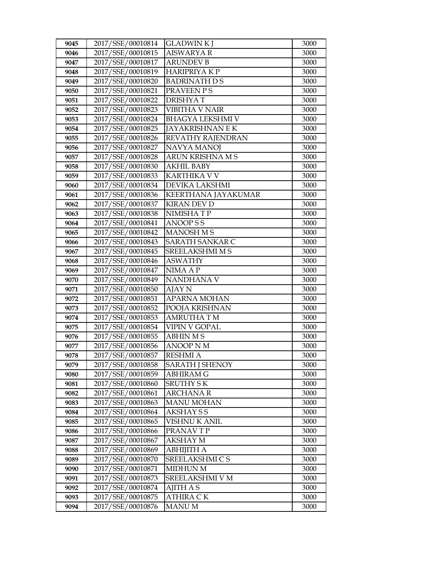| 9045         | 2017/SSE/00010814                      | <b>GLADWINKI</b>                           | 3000         |
|--------------|----------------------------------------|--------------------------------------------|--------------|
| 9046         | 2017/SSE/00010815                      | <b>AISWARYA R</b>                          | 3000         |
| 9047         | 2017/SSE/00010817                      | <b>ARUNDEV B</b>                           | 3000         |
| 9048         | 2017/SSE/00010819                      | <b>HARIPRIYAKP</b>                         | 3000         |
| 9049         | 2017/SSE/00010820                      | <b>BADRINATH D S</b>                       | 3000         |
| 9050         | 2017/SSE/00010821                      | PRAVEEN PS                                 | 3000         |
| 9051         | 2017/SSE/00010822                      | <b>DRISHYAT</b>                            | 3000         |
| 9052         | 2017/SSE/00010823                      | VIBITHA V NAIR                             | 3000         |
| 9053         | 2017/SSE/00010824                      | <b>BHAGYA LEKSHMI V</b>                    | 3000         |
| 9054         | 2017/SSE/00010825                      | <b>JAYAKRISHNAN E K</b>                    | 3000         |
| 9055         | 2017/SSE/00010826                      | REVATHY RAJENDRAN                          | 3000         |
| 9056         | 2017/SSE/00010827                      | <b>NAVYA MANOJ</b>                         | 3000         |
| 9057         | 2017/SSE/00010828                      | ARUN KRISHNA M S                           | 3000         |
| 9058         | 2017/SSE/00010830                      | <b>AKHIL BABY</b>                          | 3000         |
| 9059         | 2017/SSE/00010833                      | <b>KARTHIKA V V</b>                        | 3000         |
| 9060         | 2017/SSE/00010834                      | DEVIKA LAKSHMI                             | 3000         |
| 9061         | 2017/SSE/00010836                      | KEERTHANA JAYAKUMAR                        | 3000         |
| 9062         | 2017/SSE/00010837                      | <b>KIRAN DEV D</b>                         | 3000         |
| 9063         | 2017/SSE/00010838                      | NIMISHATP                                  | 3000         |
| 9064         | 2017/SSE/00010841                      | <b>ANOOPSS</b>                             | 3000         |
| 9065         | 2017/SSE/00010842                      | <b>MANOSH M S</b>                          | 3000         |
| 9066         | 2017/SSE/00010843                      | SARATH SANKAR C                            | 3000         |
| 9067         | 2017/SSE/00010845                      | <b>SREELAKSHMI M S</b>                     | 3000         |
| 9068         | 2017/SSE/00010846                      | <b>ASWATHY</b>                             | 3000         |
| 9069         | 2017/SSE/00010847                      | NIMA A P                                   | 3000         |
| 9070         | 2017/SSE/00010849                      | NANDHANA V                                 | 3000         |
| 9071         | 2017/SSE/00010850                      | AJAY N                                     | 3000         |
| 9072         | 2017/SSE/00010851                      | <b>APARNA MOHAN</b>                        | 3000         |
| 9073         | 2017/SSE/00010852                      | POOJA KRISHNAN                             | 3000         |
| 9074         | 2017/SSE/00010853                      | <b>AMRUTHATM</b>                           | 3000         |
| 9075         | 2017/SSE/00010854                      | <b>VIPIN V GOPAL</b>                       | 3000         |
| 9076         | 2017/SSE/00010855                      | <b>ABHIN MS</b>                            | 3000         |
| 9077         | 2017/SSE/00010856<br>2017/SSE/00010857 | <b>ANOOP N M</b><br><b>RESHMI A</b>        | 3000<br>3000 |
| 9078         | 2017/SSE/00010858                      |                                            |              |
| 9079<br>9080 | 2017/SSE/00010859                      | <b>SARATH J SHENOY</b><br><b>ABHIRAM G</b> | 3000<br>3000 |
| 9081         | 2017/SSE/00010860                      | <b>SRUTHY SK</b>                           | 3000         |
| 9082         | 2017/SSE/00010861                      | <b>ARCHANA R</b>                           | 3000         |
| 9083         | 2017/SSE/00010863                      | <b>MANU MOHAN</b>                          | 3000         |
| 9084         | 2017/SSE/00010864                      | <b>AKSHAY S S</b>                          | 3000         |
| 9085         | 2017/SSE/00010865                      | <b>VISHNU K ANIL</b>                       | 3000         |
| 9086         | 2017/SSE/00010866                      | PRANAV T P                                 | 3000         |
| 9087         | 2017/SSE/00010867                      | <b>AKSHAY M</b>                            | 3000         |
| 9088         | 2017/SSE/00010869                      | <b>ABHIJITH A</b>                          | 3000         |
| 9089         | 2017/SSE/00010870                      | SREELAKSHMI C S                            | 3000         |
| 9090         | 2017/SSE/00010871                      | <b>MIDHUN M</b>                            | 3000         |
| 9091         | 2017/SSE/00010873                      | SREELAKSHMI V M                            | 3000         |
| 9092         | 2017/SSE/00010874                      | <b>AJITH A S</b>                           | 3000         |
| 9093         | 2017/SSE/00010875                      | <b>ATHIRA CK</b>                           | 3000         |
| 9094         | 2017/SSE/00010876                      | <b>MANU M</b>                              | 3000         |
|              |                                        |                                            |              |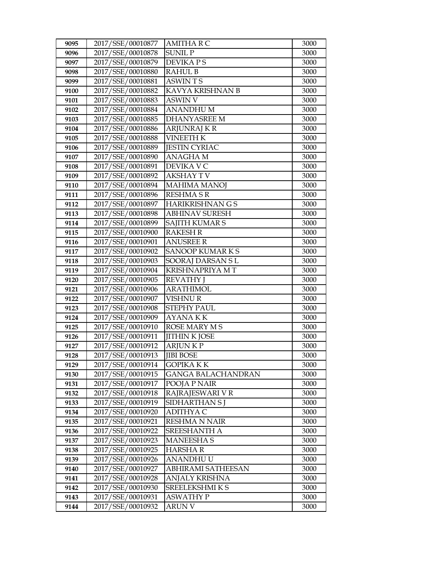| 9095 | 2017/SSE/00010877 | <b>AMITHA R C</b>       | 3000 |
|------|-------------------|-------------------------|------|
| 9096 | 2017/SSE/00010878 | <b>SUNIL P</b>          | 3000 |
| 9097 | 2017/SSE/00010879 | <b>DEVIKAPS</b>         | 3000 |
| 9098 | 2017/SSE/00010880 | <b>RAHUL B</b>          | 3000 |
| 9099 | 2017/SSE/00010881 | <b>ASWINTS</b>          | 3000 |
| 9100 | 2017/SSE/00010882 | KAVYA KRISHNAN B        | 3000 |
| 9101 | 2017/SSE/00010883 | ASWIN V                 | 3000 |
| 9102 | 2017/SSE/00010884 | <b>ANANDHUM</b>         | 3000 |
| 9103 | 2017/SSE/00010885 | <b>DHANYASREE M</b>     | 3000 |
| 9104 | 2017/SSE/00010886 | <b>ARJUNRAJ K R</b>     | 3000 |
| 9105 | 2017/SSE/00010888 | <b>VINEETH K</b>        | 3000 |
| 9106 | 2017/SSE/00010889 | <b>JESTIN CYRIAC</b>    | 3000 |
| 9107 | 2017/SSE/00010890 | <b>ANAGHAM</b>          | 3000 |
| 9108 | 2017/SSE/00010891 | DEVIKA V C              | 3000 |
| 9109 | 2017/SSE/00010892 | <b>AKSHAY T V</b>       | 3000 |
| 9110 | 2017/SSE/00010894 | <b>MAHIMA MANOJ</b>     | 3000 |
| 9111 | 2017/SSE/00010896 | RESHMA S R              | 3000 |
| 9112 | 2017/SSE/00010897 | <b>HARIKRISHNAN G S</b> | 3000 |
| 9113 | 2017/SSE/00010898 | <b>ABHINAV SURESH</b>   | 3000 |
| 9114 | 2017/SSE/00010899 | SAJITH KUMAR S          | 3000 |
| 9115 | 2017/SSE/00010900 | <b>RAKESH R</b>         | 3000 |
| 9116 | 2017/SSE/00010901 | <b>ANUSREE R</b>        | 3000 |
| 9117 | 2017/SSE/00010902 | <b>SANOOP KUMARKS</b>   | 3000 |
| 9118 | 2017/SSE/00010903 | SOORAJ DARSAN SL        | 3000 |
| 9119 | 2017/SSE/00010904 | KRISHNAPRIYA MT         | 3000 |
| 9120 | 2017/SSE/00010905 | <b>REVATHY</b> J        | 3000 |
| 9121 | 2017/SSE/00010906 | <b>ARATHIMOL</b>        | 3000 |
| 9122 | 2017/SSE/00010907 | <b>VISHNUR</b>          | 3000 |
| 9123 | 2017/SSE/00010908 | <b>STEPHY PAUL</b>      | 3000 |
| 9124 | 2017/SSE/00010909 | <b>AYANAKK</b>          | 3000 |
| 9125 | 2017/SSE/00010910 | <b>ROSE MARY MS</b>     | 3000 |
| 9126 | 2017/SSE/00010911 | <b>JITHIN K JOSE</b>    | 3000 |
| 9127 | 2017/SSE/00010912 | <b>ARJUNKP</b>          | 3000 |
| 9128 | 2017/SSE/00010913 | <b>IIBI BOSE</b>        | 3000 |
| 9129 | 2017/SSE/00010914 | <b>GOPIKA K K</b>       | 3000 |
| 9130 | 2017/SSE/00010915 | GANGA BALACHANDRAN      | 3000 |
| 9131 | 2017/SSE/00010917 | POOJA P NAIR            | 3000 |
| 9132 | 2017/SSE/00010918 | RAJRAJESWARI V R        | 3000 |
| 9133 | 2017/SSE/00010919 | SIDHARTHAN S J          | 3000 |
| 9134 | 2017/SSE/00010920 | ADITHYA C               | 3000 |
| 9135 | 2017/SSE/00010921 | RESHMA N NAIR           | 3000 |
| 9136 | 2017/SSE/00010922 | SREESHANTH A            | 3000 |
| 9137 | 2017/SSE/00010923 | <b>MANEESHAS</b>        | 3000 |
| 9138 | 2017/SSE/00010925 | <b>HARSHAR</b>          | 3000 |
| 9139 | 2017/SSE/00010926 | ANANDHU U               | 3000 |
| 9140 | 2017/SSE/00010927 | ABHIRAMI SATHEESAN      | 3000 |
| 9141 | 2017/SSE/00010928 | ANJALY KRISHNA          | 3000 |
| 9142 | 2017/SSE/00010930 | SREELEKSHMI K S         | 3000 |
| 9143 | 2017/SSE/00010931 | <b>ASWATHY P</b>        | 3000 |
| 9144 | 2017/SSE/00010932 | ARUN V                  | 3000 |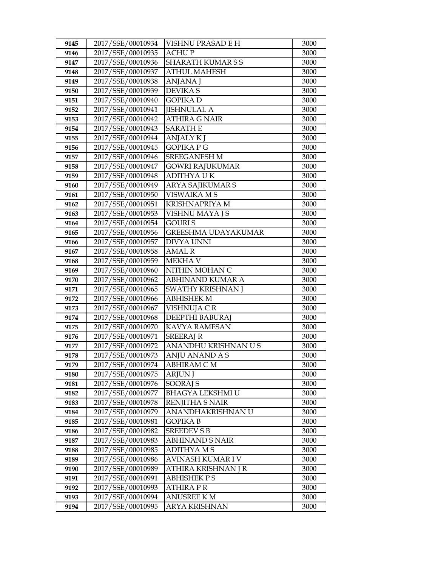| 9145 | 2017/SSE/00010934 | VISHNU PRASAD E H          | 3000 |
|------|-------------------|----------------------------|------|
| 9146 | 2017/SSE/00010935 | <b>ACHUP</b>               | 3000 |
| 9147 | 2017/SSE/00010936 | <b>SHARATH KUMARSS</b>     | 3000 |
| 9148 | 2017/SSE/00010937 | <b>ATHUL MAHESH</b>        | 3000 |
| 9149 | 2017/SSE/00010938 | ANJANA J                   | 3000 |
| 9150 | 2017/SSE/00010939 | <b>DEVIKAS</b>             | 3000 |
| 9151 | 2017/SSE/00010940 | <b>GOPIKAD</b>             | 3000 |
| 9152 | 2017/SSE/00010941 | <b>JISHNULAL A</b>         | 3000 |
| 9153 | 2017/SSE/00010942 | <b>ATHIRA G NAIR</b>       | 3000 |
| 9154 | 2017/SSE/00010943 | <b>SARATHE</b>             | 3000 |
| 9155 | 2017/SSE/00010944 | <b>ANJALY KJ</b>           | 3000 |
| 9156 | 2017/SSE/00010945 | <b>GOPIKA P G</b>          | 3000 |
| 9157 | 2017/SSE/00010946 | <b>SREEGANESH M</b>        | 3000 |
| 9158 | 2017/SSE/00010947 | <b>GOWRI RAJUKUMAR</b>     | 3000 |
| 9159 | 2017/SSE/00010948 | <b>ADITHYAUK</b>           | 3000 |
| 9160 | 2017/SSE/00010949 | <b>ARYA SAJIKUMAR S</b>    | 3000 |
| 9161 | 2017/SSE/00010950 | VISWAIKA M S               | 3000 |
| 9162 | 2017/SSE/00010951 | <b>KRISHNAPRIYA M</b>      | 3000 |
| 9163 | 2017/SSE/00010953 | VISHNU MAYA J S            | 3000 |
| 9164 | 2017/SSE/00010954 | <b>GOURIS</b>              | 3000 |
| 9165 | 2017/SSE/00010956 | <b>GREESHMA UDAYAKUMAR</b> | 3000 |
| 9166 | 2017/SSE/00010957 | <b>DIVYA UNNI</b>          | 3000 |
| 9167 | 2017/SSE/00010958 | <b>AMAL R</b>              | 3000 |
| 9168 | 2017/SSE/00010959 | <b>MEKHA V</b>             | 3000 |
| 9169 | 2017/SSE/00010960 | NITHIN MOHAN C             | 3000 |
| 9170 | 2017/SSE/00010962 | <b>ABHINAND KUMAR A</b>    | 3000 |
| 9171 | 2017/SSE/00010965 | SWATHY KRISHNAN J          | 3000 |
| 9172 | 2017/SSE/00010966 | <b>ABHISHEK M</b>          | 3000 |
| 9173 | 2017/SSE/00010967 | VISHNUJA CR                | 3000 |
| 9174 | 2017/SSE/00010968 | DEEPTHI BABURAJ            | 3000 |
| 9175 | 2017/SSE/00010970 | <b>KAVYA RAMESAN</b>       | 3000 |
| 9176 | 2017/SSE/00010971 | <b>SREERAJ R</b>           | 3000 |
| 9177 | 2017/SSE/00010972 | ANANDHU KRISHNAN U S       | 3000 |
| 9178 | 2017/SSE/00010973 | ANJU ANAND A S             | 3000 |
| 9179 | 2017/SSE/00010974 | ABHIRAM C M                | 3000 |
| 9180 | 2017/SSE/00010975 | <b>ARJUN J</b>             | 3000 |
| 9181 | 2017/SSE/00010976 | <b>SOORAJ S</b>            | 3000 |
| 9182 | 2017/SSE/00010977 | <b>BHAGYA LEKSHMI U</b>    | 3000 |
| 9183 | 2017/SSE/00010978 | RENJITHA S NAIR            | 3000 |
| 9184 | 2017/SSE/00010979 | ANANDHAKRISHNAN U          | 3000 |
| 9185 | 2017/SSE/00010981 | <b>GOPIKA B</b>            | 3000 |
| 9186 | 2017/SSE/00010982 | <b>SREEDEV S B</b>         | 3000 |
| 9187 | 2017/SSE/00010983 | <b>ABHINAND S NAIR</b>     | 3000 |
| 9188 | 2017/SSE/00010985 | <b>ADITHYAMS</b>           | 3000 |
| 9189 | 2017/SSE/00010986 | AVINASH KUMAR I V          | 3000 |
| 9190 | 2017/SSE/00010989 | ATHIRA KRISHNAN J R        | 3000 |
| 9191 | 2017/SSE/00010991 | <b>ABHISHEK P S</b>        | 3000 |
| 9192 | 2017/SSE/00010993 | <b>ATHIRA P R</b>          | 3000 |
| 9193 | 2017/SSE/00010994 | <b>ANUSREE KM</b>          | 3000 |
| 9194 | 2017/SSE/00010995 | ARYA KRISHNAN              | 3000 |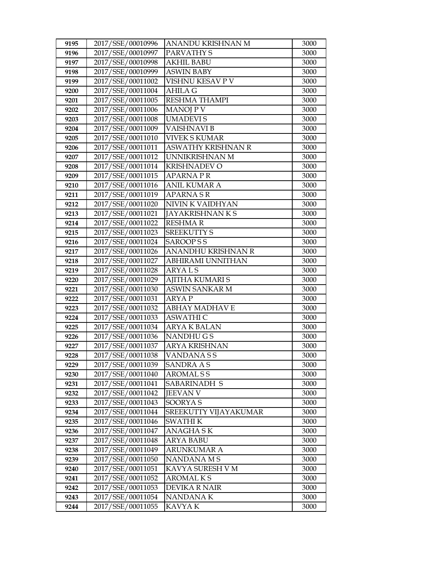| 9195 | 2017/SSE/00010996 | ANANDU KRISHNAN M       | 3000 |
|------|-------------------|-------------------------|------|
| 9196 | 2017/SSE/00010997 | PARVATHY S              | 3000 |
| 9197 | 2017/SSE/00010998 | <b>AKHIL BABU</b>       | 3000 |
| 9198 | 2017/SSE/00010999 | <b>ASWIN BABY</b>       | 3000 |
| 9199 | 2017/SSE/00011002 | VISHNU KESAV P V        | 3000 |
| 9200 | 2017/SSE/00011004 | <b>AHILA G</b>          | 3000 |
| 9201 | 2017/SSE/00011005 | <b>RESHMA THAMPI</b>    | 3000 |
| 9202 | 2017/SSE/00011006 | <b>MANOJ P V</b>        | 3000 |
| 9203 | 2017/SSE/00011008 | <b>UMADEVIS</b>         | 3000 |
| 9204 | 2017/SSE/00011009 | <b>VAISHNAVI B</b>      | 3000 |
| 9205 | 2017/SSE/00011010 | <b>VIVEK S KUMAR</b>    | 3000 |
| 9206 | 2017/SSE/00011011 | ASWATHY KRISHNAN R      | 3000 |
| 9207 | 2017/SSE/00011012 | UNNIKRISHNAN M          | 3000 |
| 9208 | 2017/SSE/00011014 | <b>KRISHNADEV O</b>     | 3000 |
| 9209 | 2017/SSE/00011015 | <b>APARNAPR</b>         | 3000 |
| 9210 | 2017/SSE/00011016 | <b>ANIL KUMAR A</b>     | 3000 |
| 9211 | 2017/SSE/00011019 | <b>APARNASR</b>         | 3000 |
| 9212 | 2017/SSE/00011020 | NIVIN K VAIDHYAN        | 3000 |
| 9213 | 2017/SSE/00011021 | <b>JAYAKRISHNAN K S</b> | 3000 |
| 9214 | 2017/SSE/00011022 | <b>RESHMAR</b>          | 3000 |
| 9215 | 2017/SSE/00011023 | <b>SREEKUTTY S</b>      | 3000 |
| 9216 | 2017/SSE/00011024 | <b>SAROOPSS</b>         | 3000 |
| 9217 | 2017/SSE/00011026 | ANANDHU KRISHNAN R      | 3000 |
| 9218 | 2017/SSE/00011027 | ABHIRAMI UNNITHAN       | 3000 |
| 9219 | 2017/SSE/00011028 | <b>ARYALS</b>           | 3000 |
| 9220 | 2017/SSE/00011029 | AJITHA KUMARI S         | 3000 |
| 9221 | 2017/SSE/00011030 | ASWIN SANKAR M          | 3000 |
| 9222 | 2017/SSE/00011031 | <b>ARYAP</b>            | 3000 |
| 9223 | 2017/SSE/00011032 | <b>ABHAY MADHAV E</b>   | 3000 |
| 9224 | 2017/SSE/00011033 | <b>ASWATHI C</b>        | 3000 |
| 9225 | 2017/SSE/00011034 | <b>ARYA K BALAN</b>     | 3000 |
| 9226 | 2017/SSE/00011036 | <b>NANDHUGS</b>         | 3000 |
| 9227 | 2017/SSE/00011037 | <b>ARYA KRISHNAN</b>    | 3000 |
| 9228 | 2017/SSE/00011038 | <b>VANDANASS</b>        | 3000 |
| 9229 | 2017/SSE/00011039 | SANDRA A S              | 3000 |
| 9230 | 2017/SSE/00011040 | <b>AROMALSS</b>         | 3000 |
| 9231 | 2017/SSE/00011041 | SABARINADH S            | 3000 |
| 9232 | 2017/SSE/00011042 | <b>JEEVAN V</b>         | 3000 |
| 9233 | 2017/SSE/00011043 | <b>SOORYAS</b>          | 3000 |
| 9234 | 2017/SSE/00011044 | SREEKUTTY VIJAYAKUMAR   | 3000 |
| 9235 | 2017/SSE/00011046 | <b>SWATHI K</b>         | 3000 |
| 9236 | 2017/SSE/00011047 | ANAGHA SK               | 3000 |
| 9237 | 2017/SSE/00011048 | <b>ARYA BABU</b>        | 3000 |
| 9238 | 2017/SSE/00011049 | <b>ARUNKUMAR A</b>      | 3000 |
| 9239 | 2017/SSE/00011050 | NANDANA M S             | 3000 |
| 9240 | 2017/SSE/00011051 | KAVYA SURESH V M        | 3000 |
| 9241 | 2017/SSE/00011052 | AROMAL K S              | 3000 |
| 9242 | 2017/SSE/00011053 | <b>DEVIKA R NAIR</b>    | 3000 |
| 9243 | 2017/SSE/00011054 | NANDANA K               | 3000 |
| 9244 | 2017/SSE/00011055 | KAVYA K                 | 3000 |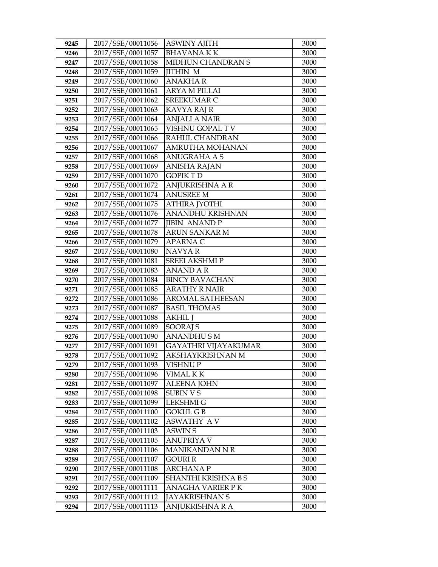| 9245 | 2017/SSE/00011056 | <b>ASWINY AJITH</b>     | 3000 |
|------|-------------------|-------------------------|------|
| 9246 | 2017/SSE/00011057 | <b>BHAVANAKK</b>        | 3000 |
| 9247 | 2017/SSE/00011058 | MIDHUN CHANDRAN S       | 3000 |
| 9248 | 2017/SSE/00011059 | <b>JITHIN M</b>         | 3000 |
| 9249 | 2017/SSE/00011060 | <b>ANAKHAR</b>          | 3000 |
| 9250 | 2017/SSE/00011061 | ARYA M PILLAI           | 3000 |
| 9251 | 2017/SSE/00011062 | <b>SREEKUMAR C</b>      | 3000 |
| 9252 | 2017/SSE/00011063 | <b>KAVYA RAJ R</b>      | 3000 |
| 9253 | 2017/SSE/00011064 | <b>ANJALI A NAIR</b>    | 3000 |
| 9254 | 2017/SSE/00011065 | VISHNU GOPAL TV         | 3000 |
| 9255 | 2017/SSE/00011066 | RAHUL CHANDRAN          | 3000 |
| 9256 | 2017/SSE/00011067 | AMRUTHA MOHANAN         | 3000 |
| 9257 | 2017/SSE/00011068 | ANUGRAHA A S            | 3000 |
| 9258 | 2017/SSE/00011069 | <b>ANISHA RAJAN</b>     | 3000 |
| 9259 | 2017/SSE/00011070 | <b>GOPIK T D</b>        | 3000 |
| 9260 | 2017/SSE/00011072 | ANJUKRISHNA A R         | 3000 |
| 9261 | 2017/SSE/00011074 | <b>ANUSREE M</b>        | 3000 |
| 9262 | 2017/SSE/00011075 | <b>ATHIRA JYOTHI</b>    | 3000 |
| 9263 | 2017/SSE/00011076 | <b>ANANDHU KRISHNAN</b> | 3000 |
| 9264 | 2017/SSE/00011077 | <b>JIBIN ANANDP</b>     | 3000 |
| 9265 | 2017/SSE/00011078 | ARUN SANKAR M           | 3000 |
| 9266 | 2017/SSE/00011079 | APARNA C                | 3000 |
| 9267 | 2017/SSE/00011080 | NAVYA R                 | 3000 |
| 9268 | 2017/SSE/00011081 | <b>SREELAKSHMIP</b>     | 3000 |
| 9269 | 2017/SSE/00011083 | ANAND A R               | 3000 |
| 9270 | 2017/SSE/00011084 | <b>BINCY BAVACHAN</b>   | 3000 |
| 9271 | 2017/SSE/00011085 | <b>ARATHY R NAIR</b>    | 3000 |
| 9272 | 2017/SSE/00011086 | <b>AROMAL SATHEESAN</b> | 3000 |
| 9273 | 2017/SSE/00011087 | <b>BASIL THOMAS</b>     | 3000 |
| 9274 | 2017/SSE/00011088 | <b>AKHIL</b> J          | 3000 |
| 9275 | 2017/SSE/00011089 | SOORAJ S                | 3000 |
| 9276 | 2017/SSE/00011090 | <b>ANANDHUSM</b>        | 3000 |
| 9277 | 2017/SSE/00011091 | GAYATHRI VIJAYAKUMAR    | 3000 |
| 9278 | 2017/SSE/00011092 | AKSHAYKRISHNAN M        | 3000 |
| 9279 | 2017/SSE/00011093 | VISHNU P                | 3000 |
| 9280 | 2017/SSE/00011096 | VIMAL K K               | 3000 |
| 9281 | 2017/SSE/00011097 | <b>ALEENA JOHN</b>      | 3000 |
| 9282 | 2017/SSE/00011098 | <b>SUBIN V S</b>        | 3000 |
| 9283 | 2017/SSE/00011099 | <b>LEKSHMI G</b>        | 3000 |
| 9284 | 2017/SSE/00011100 | <b>GOKUL GB</b>         | 3000 |
| 9285 | 2017/SSE/00011102 | <b>ASWATHY AV</b>       | 3000 |
| 9286 | 2017/SSE/00011103 | ASWIN S                 | 3000 |
| 9287 | 2017/SSE/00011105 | <b>ANUPRIYA V</b>       | 3000 |
| 9288 | 2017/SSE/00011106 | MANIKANDAN N R          | 3000 |
| 9289 | 2017/SSE/00011107 | GOURI R                 | 3000 |
| 9290 | 2017/SSE/00011108 | ARCHANA P               | 3000 |
| 9291 | 2017/SSE/00011109 | SHANTHI KRISHNA B S     | 3000 |
| 9292 | 2017/SSE/00011111 | ANAGHA VARIER PK        | 3000 |
| 9293 | 2017/SSE/00011112 | <b>JAYAKRISHNAN S</b>   | 3000 |
| 9294 | 2017/SSE/00011113 | ANJUKRISHNA R A         | 3000 |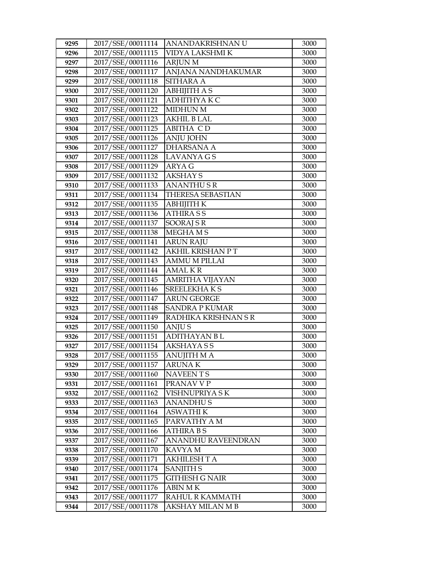| 9295         | 2017/SSE/00011114                      | ANANDAKRISHNAN U                 | 3000         |
|--------------|----------------------------------------|----------------------------------|--------------|
| 9296         | 2017/SSE/00011115                      | VIDYA LAKSHMI K                  | 3000         |
| 9297         | 2017/SSE/00011116                      | <b>ARJUN M</b>                   | 3000         |
| 9298         | 2017/SSE/00011117                      | ANJANA NANDHAKUMAR               | 3000         |
| 9299         | 2017/SSE/00011118                      | <b>SITHARA A</b>                 | 3000         |
| 9300         | 2017/SSE/00011120                      | <b>ABHIJITH A S</b>              | 3000         |
| 9301         | 2017/SSE/00011121                      | <b>ADHITHYAKC</b>                | 3000         |
| 9302         | 2017/SSE/00011122                      | <b>MIDHUN M</b>                  | 3000         |
| 9303         | 2017/SSE/00011123                      | <b>AKHIL B LAL</b>               | 3000         |
| 9304         | 2017/SSE/00011125                      | <b>ABITHA CD</b>                 | 3000         |
| 9305         | 2017/SSE/00011126                      | <b>ANJU JOHN</b>                 | 3000         |
| 9306         | 2017/SSE/00011127                      | <b>DHARSANA A</b>                | 3000         |
| 9307         | 2017/SSE/00011128                      | <b>LAVANYA GS</b>                | 3000         |
| 9308         | 2017/SSE/00011129                      | <b>ARYA G</b>                    | 3000         |
| 9309         | 2017/SSE/00011132                      | <b>AKSHAY S</b>                  | 3000         |
| 9310         | 2017/SSE/00011133                      | <b>ANANTHUSR</b>                 | 3000         |
| 9311         | 2017/SSE/00011134                      | THERESA SEBASTIAN                | 3000         |
| 9312         | 2017/SSE/00011135                      | <b>ABHIJITH K</b>                | 3000         |
| 9313         | 2017/SSE/00011136                      | <b>ATHIRASS</b>                  | 3000         |
| 9314         | 2017/SSE/00011137                      | SOORAJ SR                        | 3000         |
| 9315         | 2017/SSE/00011138                      | <b>MEGHAMS</b>                   | 3000         |
| 9316         | 2017/SSE/00011141                      | <b>ARUN RAJU</b>                 | 3000         |
| 9317         | 2017/SSE/00011142                      | AKHIL KRISHAN PT                 | 3000         |
| 9318         | 2017/SSE/00011143                      | <b>AMMU M PILLAI</b>             | 3000         |
| 9319         | 2017/SSE/00011144                      | <b>AMALKR</b>                    | 3000         |
| 9320         | 2017/SSE/00011145                      | AMRITHA VIJAYAN                  | 3000         |
| 9321         | 2017/SSE/00011146                      | <b>SREELEKHAKS</b>               | 3000         |
| 9322         | 2017/SSE/00011147                      | <b>ARUN GEORGE</b>               | 3000         |
| 9323         | 2017/SSE/00011148                      | <b>SANDRA P KUMAR</b>            | 3000         |
| 9324         | 2017/SSE/00011149                      | RADHIKA KRISHNAN S R             | 3000         |
| 9325         | 2017/SSE/00011150                      | <b>ANJUS</b>                     | 3000         |
| 9326         | 2017/SSE/00011151                      | <b>ADITHAYAN BL</b>              | 3000         |
| 9327         | 2017/SSE/00011154                      | <b>AKSHAYASS</b>                 | 3000         |
| 9328         | 2017/SSE/00011155                      | <b>ANUJITH M A</b>               | 3000         |
| 9329         | 2017/SSE/00011157                      | <b>ARUNAK</b>                    | 3000         |
| 9330         | 2017/SSE/00011160                      | NAVEEN T S                       | 3000         |
| 9331         | 2017/SSE/00011161                      | PRANAV V P                       | 3000         |
| 9332         | 2017/SSE/00011162                      | VISHNUPRIYA SK                   | 3000         |
| 9333         | 2017/SSE/00011163                      | <b>ANANDHUS</b>                  | 3000         |
| 9334         | 2017/SSE/00011164                      | <b>ASWATHI K</b>                 | 3000         |
| 9335         | 2017/SSE/00011165                      | PARVATHY A M                     | 3000         |
| 9336         | 2017/SSE/00011166                      | ATHIRA B S                       | 3000         |
| 9337         | 2017/SSE/00011167                      | ANANDHU RAVEENDRAN               | 3000<br>3000 |
| 9338         | 2017/SSE/00011170                      | KAVYA M                          |              |
| 9339         | 2017/SSE/00011171<br>2017/SSE/00011174 | <b>AKHILESH T A</b>              | 3000         |
| 9340         | 2017/SSE/00011175                      | SANJITH S                        | 3000         |
| 9341<br>9342 | 2017/SSE/00011176                      | GITHESH G NAIR<br><b>ABIN MK</b> | 3000<br>3000 |
| 9343         | 2017/SSE/00011177                      | RAHUL R KAMMATH                  | 3000         |
|              | 2017/SSE/00011178                      |                                  |              |
| 9344         |                                        | AKSHAY MILAN M B                 | 3000         |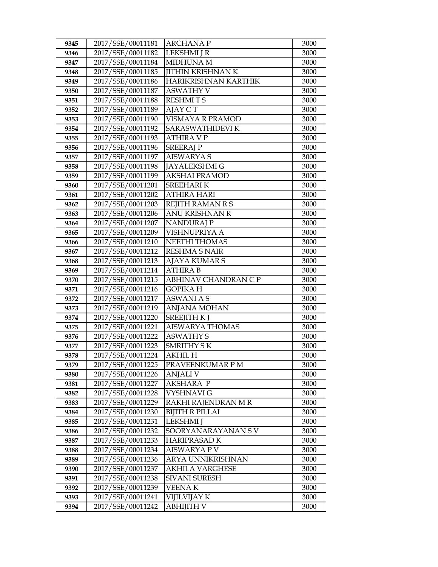| 9345         | 2017/SSE/00011181                      | <b>ARCHANAP</b>                     | 3000         |
|--------------|----------------------------------------|-------------------------------------|--------------|
| 9346         | 2017/SSE/00011182                      | LEKSHMI J R                         | 3000         |
| 9347         | 2017/SSE/00011184                      | MIDHUNA M                           | 3000         |
| 9348         | 2017/SSE/00011185                      | <b>JITHIN KRISHNAN K</b>            | 3000         |
| 9349         | 2017/SSE/00011186                      | HARIKRISHNAN KARTHIK                | 3000         |
| 9350         | 2017/SSE/00011187                      | <b>ASWATHY V</b>                    | 3000         |
| 9351         | 2017/SSE/00011188                      | <b>RESHMITS</b>                     | 3000         |
| 9352         | 2017/SSE/00011189                      | AJAY CT                             | 3000         |
| 9353         | 2017/SSE/00011190                      | VISMAYA R PRAMOD                    | 3000         |
| 9354         | 2017/SSE/00011192                      | SARASWATHIDEVI K                    | 3000         |
| 9355         | 2017/SSE/00011193                      | <b>ATHIRA V P</b>                   | 3000         |
| 9356         | 2017/SSE/00011196                      | <b>SREERAJP</b>                     | 3000         |
| 9357         | 2017/SSE/00011197                      | <b>AISWARYA S</b>                   | 3000         |
| 9358         | 2017/SSE/00011198                      | JAYALEKSHMI G                       | 3000         |
| 9359         | 2017/SSE/00011199                      | <b>AKSHAI PRAMOD</b>                | 3000         |
| 9360         | 2017/SSE/00011201                      | SREEHARI K                          | 3000         |
| 9361         | 2017/SSE/00011202                      | ATHIRA HARI                         | 3000         |
| 9362         | 2017/SSE/00011203                      | REJITH RAMAN R S                    | 3000         |
| 9363         | 2017/SSE/00011206                      | ANU KRISHNAN R                      | 3000         |
| 9364         | 2017/SSE/00011207                      | <b>NANDURAJ P</b>                   | 3000         |
| 9365         | 2017/SSE/00011209                      | VISHNUPRIYA A                       | 3000         |
| 9366         | 2017/SSE/00011210                      | <b>NEETHI THOMAS</b>                | 3000         |
| 9367         | 2017/SSE/00011212                      | <b>RESHMA S NAIR</b>                | 3000         |
| 9368         | 2017/SSE/00011213                      | <b>AJAYA KUMAR S</b>                | 3000         |
| 9369         | 2017/SSE/00011214                      | <b>ATHIRA B</b>                     | 3000         |
| 9370         | 2017/SSE/00011215                      | ABHINAV CHANDRAN C P                | 3000         |
| 9371         | 2017/SSE/00011216                      | <b>GOPIKA H</b>                     | 3000         |
| 9372         | 2017/SSE/00011217                      | <b>ASWANI A S</b>                   | 3000         |
| 9373         | 2017/SSE/00011219                      | <b>ANJANA MOHAN</b>                 | 3000         |
| 9374         | 2017/SSE/00011220                      | <b>SREEJITH K J</b>                 | 3000         |
| 9375         | 2017/SSE/00011221                      | <b>AISWARYA THOMAS</b>              | 3000         |
| 9376         | 2017/SSE/00011222                      | <b>ASWATHY S</b>                    | 3000         |
| 9377<br>9378 | 2017/SSE/00011223                      | <b>SMRITHY SK</b><br><b>AKHIL H</b> | 3000<br>3000 |
|              | 2017/SSE/00011224<br>2017/SSE/00011225 |                                     | 3000         |
| 9379         | 2017/SSE/00011226                      | PRAVEENKUMAR P M                    |              |
| 9380<br>9381 | 2017/SSE/00011227                      | ANJALI V<br><b>AKSHARA P</b>        | 3000<br>3000 |
| 9382         | 2017/SSE/00011228                      | VYSHNAVI G                          | 3000         |
| 9383         | 2017/SSE/00011229                      | RAKHI RAJENDRAN M R                 | 3000         |
| 9384         | 2017/SSE/00011230                      | BIJITH R PILLAI                     | 3000         |
| 9385         | 2017/SSE/00011231                      | <b>LEKSHMI</b> J                    | 3000         |
| 9386         | 2017/SSE/00011232                      | SOORYANARAYANAN S V                 | 3000         |
| 9387         | 2017/SSE/00011233                      | <b>HARIPRASAD K</b>                 | 3000         |
| 9388         | 2017/SSE/00011234                      | <b>AISWARYA P V</b>                 | 3000         |
| 9389         | 2017/SSE/00011236                      | ARYA UNNIKRISHNAN                   | 3000         |
| 9390         | 2017/SSE/00011237                      | <b>AKHILA VARGHESE</b>              | 3000         |
| 9391         | 2017/SSE/00011238                      | <b>SIVANI SURESH</b>                | 3000         |
| 9392         | 2017/SSE/00011239                      | <b>VEENAK</b>                       | 3000         |
| 9393         | 2017/SSE/00011241                      | VIJILVIJAY K                        | 3000         |
| 9394         | 2017/SSE/00011242                      | ABHIJITH V                          | 3000         |
|              |                                        |                                     |              |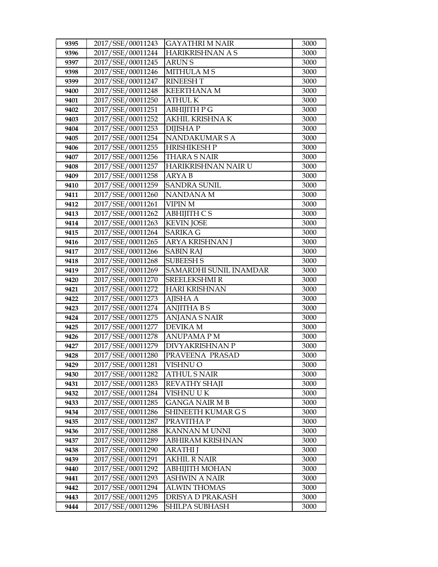| 9395         | 2017/SSE/00011243                      | <b>GAYATHRI M NAIR</b>                    | 3000         |
|--------------|----------------------------------------|-------------------------------------------|--------------|
| 9396         | 2017/SSE/00011244                      | HARIKRISHNAN A S                          | 3000         |
| 9397         | 2017/SSE/00011245                      | <b>ARUNS</b>                              | 3000         |
| 9398         | 2017/SSE/00011246                      | <b>MITHULA MS</b>                         | 3000         |
| 9399         | 2017/SSE/00011247                      | <b>RINEESHT</b>                           | 3000         |
| 9400         | 2017/SSE/00011248                      | <b>KEERTHANA M</b>                        | 3000         |
| 9401         | 2017/SSE/00011250                      | <b>ATHUL K</b>                            | 3000         |
| 9402         | 2017/SSE/00011251                      | ABHIJITH P G                              | 3000         |
| 9403         | 2017/SSE/00011252                      | <b>AKHIL KRISHNA K</b>                    | 3000         |
| 9404         | 2017/SSE/00011253                      | <b>DIJISHAP</b>                           | 3000         |
| 9405         | 2017/SSE/00011254                      | NANDAKUMAR S A                            | 3000         |
| 9406         | 2017/SSE/00011255                      | <b>HRISHIKESH P</b>                       | 3000         |
| 9407         | 2017/SSE/00011256                      | <b>THARA S NAIR</b>                       | 3000         |
| 9408         | 2017/SSE/00011257                      | HARIKRISHNAN NAIR U                       | 3000         |
| 9409         | 2017/SSE/00011258                      | <b>ARYAB</b>                              | 3000         |
| 9410         | 2017/SSE/00011259                      | <b>SANDRA SUNIL</b>                       | 3000         |
| 9411         | 2017/SSE/00011260                      | NANDANA M                                 | 3000         |
| 9412         | 2017/SSE/00011261                      | <b>VIPIN M</b>                            | 3000         |
| 9413         | 2017/SSE/00011262                      | <b>ABHIJITH CS</b>                        | 3000         |
| 9414         | 2017/SSE/00011263                      | <b>KEVIN JOSE</b>                         | 3000         |
| 9415         | 2017/SSE/00011264                      | <b>SARIKA G</b>                           | 3000         |
| 9416         | 2017/SSE/00011265                      | ARYA KRISHNAN J                           | 3000         |
| 9417         | 2017/SSE/00011266                      | <b>SABIN RAJ</b>                          | 3000         |
| 9418         | 2017/SSE/00011268                      | <b>SUBEESH S</b>                          | 3000         |
| 9419         | 2017/SSE/00011269                      | SAMARDHI SUNIL INAMDAR                    | 3000         |
| 9420         | 2017/SSE/00011270                      | <b>SREELEKSHMI R</b>                      | 3000         |
| 9421         | 2017/SSE/00011272                      | <b>HARI KRISHNAN</b>                      | 3000         |
| 9422         | 2017/SSE/00011273                      | <b>AJISHA A</b>                           | 3000         |
| 9423         | 2017/SSE/00011274                      | <b>ANJITHA BS</b>                         | 3000         |
| 9424         | 2017/SSE/00011275                      | <b>ANJANA S NAIR</b>                      | 3000         |
| 9425         | 2017/SSE/00011277                      | <b>DEVIKA M</b>                           | 3000         |
| 9426         | 2017/SSE/00011278                      | <b>ANUPAMA PM</b>                         | 3000         |
| 9427         | 2017/SSE/00011279<br>2017/SSE/00011280 | <b>DIVYAKRISHNAN P</b><br>PRAVEENA PRASAD | 3000<br>3000 |
| 9428<br>9429 |                                        | VISHNU O                                  | 3000         |
| 9430         | 2017/SSE/00011281<br>2017/SSE/00011282 | <b>ATHUL S NAIR</b>                       | 3000         |
| 9431         | 2017/SSE/00011283                      | <b>REVATHY SHAJI</b>                      | 3000         |
| 9432         | 2017/SSE/00011284                      | VISHNU U K                                | 3000         |
| 9433         | 2017/SSE/00011285                      | <b>GANGA NAIR MB</b>                      | 3000         |
| 9434         | 2017/SSE/00011286                      | SHINEETH KUMAR G S                        | 3000         |
| 9435         | 2017/SSE/00011287                      | PRAVITHA P                                | 3000         |
| 9436         | 2017/SSE/00011288                      | KANNAN MUNNI                              | 3000         |
| 9437         | 2017/SSE/00011289                      | <b>ABHIRAM KRISHNAN</b>                   | 3000         |
| 9438         | 2017/SSE/00011290                      | <b>ARATHI</b> J                           | 3000         |
| 9439         | 2017/SSE/00011291                      | <b>AKHIL R NAIR</b>                       | 3000         |
| 9440         | 2017/SSE/00011292                      | ABHIJITH MOHAN                            | 3000         |
| 9441         | 2017/SSE/00011293                      | ASHWIN A NAIR                             | 3000         |
| 9442         | 2017/SSE/00011294                      | <b>ALWIN THOMAS</b>                       | 3000         |
| 9443         | 2017/SSE/00011295                      | DRISYA D PRAKASH                          | 3000         |
| 9444         | 2017/SSE/00011296                      | SHILPA SUBHASH                            | 3000         |
|              |                                        |                                           |              |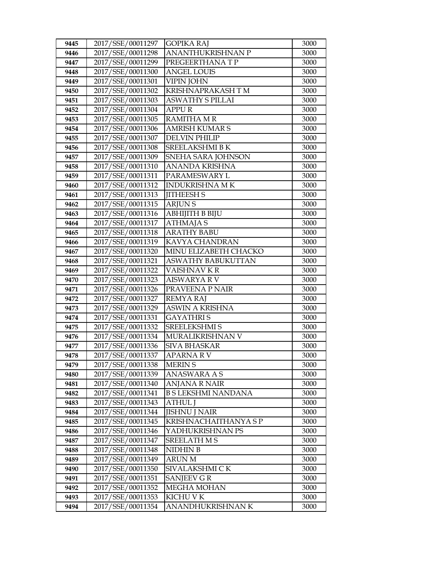| 9445 | 2017/SSE/00011297 | <b>GOPIKA RAJ</b>          | 3000 |
|------|-------------------|----------------------------|------|
| 9446 | 2017/SSE/00011298 | <b>ANANTHUKRISHNAN P</b>   | 3000 |
| 9447 | 2017/SSE/00011299 | PREGEERTHANA T P           | 3000 |
| 9448 | 2017/SSE/00011300 | <b>ANGEL LOUIS</b>         | 3000 |
| 9449 | 2017/SSE/00011301 | <b>VIPIN JOHN</b>          | 3000 |
| 9450 | 2017/SSE/00011302 | KRISHNAPRAKASH TM          | 3000 |
| 9451 | 2017/SSE/00011303 | <b>ASWATHY S PILLAI</b>    | 3000 |
| 9452 | 2017/SSE/00011304 | <b>APPUR</b>               | 3000 |
| 9453 | 2017/SSE/00011305 | <b>RAMITHA M R</b>         | 3000 |
| 9454 | 2017/SSE/00011306 | <b>AMRISH KUMAR S</b>      | 3000 |
| 9455 | 2017/SSE/00011307 | <b>DELVIN PHILIP</b>       | 3000 |
| 9456 | 2017/SSE/00011308 | <b>SREELAKSHMI B K</b>     | 3000 |
| 9457 | 2017/SSE/00011309 | SNEHA SARA JOHNSON         | 3000 |
| 9458 | 2017/SSE/00011310 | <b>ANANDA KRISHNA</b>      | 3000 |
| 9459 | 2017/SSE/00011311 | PARAMESWARY L              | 3000 |
| 9460 | 2017/SSE/00011312 | <b>INDUKRISHNA MK</b>      | 3000 |
| 9461 | 2017/SSE/00011313 | <b>JITHEESH S</b>          | 3000 |
| 9462 | 2017/SSE/00011315 | <b>ARJUNS</b>              | 3000 |
| 9463 | 2017/SSE/00011316 | <b>ABHIJITH B BIJU</b>     | 3000 |
| 9464 | 2017/SSE/00011317 | <b>ATHMAJA S</b>           | 3000 |
| 9465 | 2017/SSE/00011318 | <b>ARATHY BABU</b>         | 3000 |
| 9466 | 2017/SSE/00011319 | KAVYA CHANDRAN             | 3000 |
| 9467 | 2017/SSE/00011320 | MINU ELIZABETH CHACKO      | 3000 |
| 9468 | 2017/SSE/00011321 | <b>ASWATHY BABUKUTTAN</b>  | 3000 |
| 9469 | 2017/SSE/00011322 | VAISHNAV KR                | 3000 |
| 9470 | 2017/SSE/00011323 | <b>AISWARYA R V</b>        | 3000 |
| 9471 | 2017/SSE/00011326 | PRAVEENA P NAIR            | 3000 |
| 9472 | 2017/SSE/00011327 | <b>REMYA RAJ</b>           | 3000 |
| 9473 | 2017/SSE/00011329 | ASWIN A KRISHNA            | 3000 |
| 9474 | 2017/SSE/00011331 | <b>GAYATHRIS</b>           | 3000 |
| 9475 | 2017/SSE/00011332 | <b>SREELEKSHMI S</b>       | 3000 |
| 9476 | 2017/SSE/00011334 | MURALIKRISHNAN V           | 3000 |
| 9477 | 2017/SSE/00011336 | <b>SIVA BHASKAR</b>        | 3000 |
| 9478 | 2017/SSE/00011337 | <b>APARNA RV</b>           | 3000 |
| 9479 | 2017/SSE/00011338 | <b>MERIN S</b>             | 3000 |
| 9480 | 2017/SSE/00011339 | ANASWARA A S               | 3000 |
| 9481 | 2017/SSE/00011340 | <b>ANJANA R NAIR</b>       | 3000 |
| 9482 | 2017/SSE/00011341 | <b>B S LEKSHMI NANDANA</b> | 3000 |
| 9483 | 2017/SSE/00011343 | <b>ATHUL J</b>             | 3000 |
| 9484 | 2017/SSE/00011344 | <b>JISHNU J NAIR</b>       | 3000 |
| 9485 | 2017/SSE/00011345 | KRISHNACHAITHANYA S P      | 3000 |
| 9486 | 2017/SSE/00011346 | YADHUKRISHNAN PS           | 3000 |
| 9487 | 2017/SSE/00011347 | <b>SREELATH MS</b>         | 3000 |
| 9488 | 2017/SSE/00011348 | NIDHIN B                   | 3000 |
| 9489 | 2017/SSE/00011349 | <b>ARUN M</b>              | 3000 |
| 9490 | 2017/SSE/00011350 | SIVALAKSHMI CK             | 3000 |
| 9491 | 2017/SSE/00011351 | SANJEEV G R                | 3000 |
| 9492 | 2017/SSE/00011352 | <b>MEGHA MOHAN</b>         | 3000 |
| 9493 | 2017/SSE/00011353 | KICHU V K                  | 3000 |
| 9494 | 2017/SSE/00011354 | ANANDHUKRISHNAN K          | 3000 |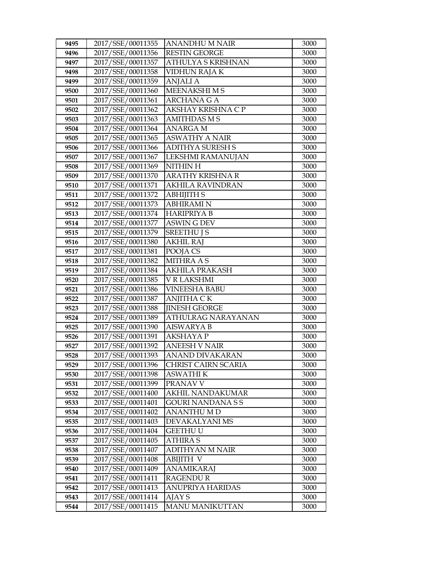| 9495         | 2017/SSE/00011355                      | <b>ANANDHU M NAIR</b>      | 3000         |
|--------------|----------------------------------------|----------------------------|--------------|
| 9496         | 2017/SSE/00011356                      | <b>RESTIN GEORGE</b>       | 3000         |
| 9497         | 2017/SSE/00011357                      | ATHULYA S KRISHNAN         | 3000         |
| 9498         | 2017/SSE/00011358                      | <b>VIDHUN RAJA K</b>       | 3000         |
| 9499         | 2017/SSE/00011359                      | <b>ANJALI A</b>            | 3000         |
| 9500         | 2017/SSE/00011360                      | MEENAKSHI M S              | 3000         |
| 9501         | 2017/SSE/00011361                      | <b>ARCHANA G A</b>         | 3000         |
| 9502         | 2017/SSE/00011362                      | AKSHAY KRISHNA C P         | 3000         |
| 9503         | 2017/SSE/00011363                      | <b>AMITHDAS M S</b>        | 3000         |
| 9504         | 2017/SSE/00011364                      | <b>ANARGA M</b>            | 3000         |
| 9505         | 2017/SSE/00011365                      | <b>ASWATHY A NAIR</b>      | 3000         |
| 9506         | 2017/SSE/00011366                      | <b>ADITHYA SURESH S</b>    | 3000         |
| 9507         | 2017/SSE/00011367                      | LEKSHMI RAMANUJAN          | 3000         |
| 9508         | 2017/SSE/00011369                      | NITHIN H                   | 3000         |
| 9509         | 2017/SSE/00011370                      | <b>ARATHY KRISHNA R</b>    | 3000         |
| 9510         | 2017/SSE/00011371                      | <b>AKHILA RAVINDRAN</b>    | 3000         |
| 9511         | 2017/SSE/00011372                      | <b>ABHIJITH S</b>          | 3000         |
| 9512         | 2017/SSE/00011373                      | <b>ABHIRAMI N</b>          | 3000         |
| 9513         | 2017/SSE/00011374                      | <b>HARIPRIYA B</b>         | 3000         |
| 9514         | 2017/SSE/00011377                      | <b>ASWING DEV</b>          | 3000         |
| 9515         | 2017/SSE/00011379                      | <b>SREETHUIS</b>           | 3000         |
| 9516         | 2017/SSE/00011380                      | <b>AKHIL RAJ</b>           | 3000         |
| 9517         | 2017/SSE/00011381                      | POOJA CS                   | 3000         |
| 9518         | 2017/SSE/00011382                      | <b>MITHRA A S</b>          | 3000         |
| 9519         | 2017/SSE/00011384                      | <b>AKHILA PRAKASH</b>      | 3000         |
| 9520         | 2017/SSE/00011385                      | V R LAKSHMI                | 3000         |
| 9521         | 2017/SSE/00011386                      | <b>VINEESHA BABU</b>       | 3000         |
| 9522         | 2017/SSE/00011387                      | <b>ANJITHA CK</b>          | 3000         |
| 9523         | 2017/SSE/00011388                      | <b>IINESH GEORGE</b>       | 3000         |
| 9524         | 2017/SSE/00011389                      | <b>ATHULRAG NARAYANAN</b>  | 3000         |
| 9525         | 2017/SSE/00011390                      | <b>AISWARYA B</b>          | 3000         |
| 9526         | 2017/SSE/00011391                      | <b>AKSHAYAP</b>            | 3000         |
| 9527         | 2017/SSE/00011392                      | <b>ANEESH V NAIR</b>       | 3000         |
| 9528         | 2017/SSE/00011393                      | <b>ANAND DIVAKARAN</b>     | 3000         |
| 9529         | 2017/SSE/00011396                      | <b>CHRIST CAIRN SCARIA</b> | 3000         |
| 9530         | 2017/SSE/00011398                      | ASWATHI K                  | 3000         |
| 9531         | 2017/SSE/00011399                      | PRANAV V                   | 3000         |
| 9532         | 2017/SSE/00011400                      | <b>AKHIL NANDAKUMAR</b>    | 3000         |
| 9533         | 2017/SSE/00011401                      | <b>GOURI NANDANASS</b>     | 3000         |
| 9534         | 2017/SSE/00011402                      | <b>ANANTHU M D</b>         | 3000         |
| 9535         | 2017/SSE/00011403                      | DEVAKALYANI MS             | 3000         |
| 9536         | 2017/SSE/00011404                      | <b>GEETHU U</b>            | 3000         |
| 9537         | 2017/SSE/00011405<br>2017/SSE/00011407 | <b>ATHIRAS</b>             | 3000<br>3000 |
| 9538         |                                        | <b>ADITHYAN M NAIR</b>     |              |
| 9539         | 2017/SSE/00011408<br>2017/SSE/00011409 | <b>ABIJITH V</b>           | 3000         |
| 9540         | 2017/SSE/00011411                      | <b>ANAMIKARAJ</b>          | 3000         |
| 9541         |                                        | <b>RAGENDUR</b>            | 3000         |
| 9542<br>9543 | 2017/SSE/00011413<br>2017/SSE/00011414 | ANUPRIYA HARIDAS<br>AJAY S | 3000<br>3000 |
|              |                                        | <b>MANU MANIKUTTAN</b>     |              |
| 9544         | 2017/SSE/00011415                      |                            | 3000         |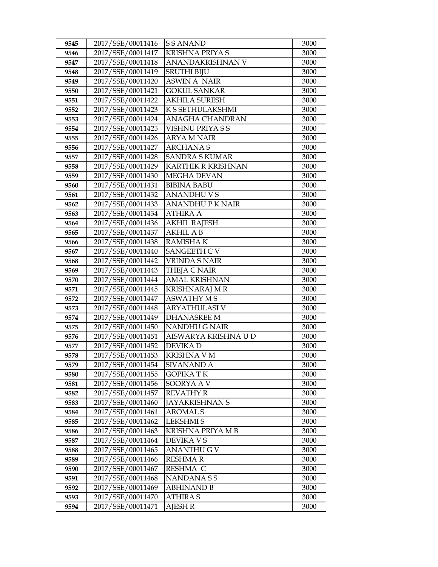| 9545         | 2017/SSE/00011416                      | <b>SSANAND</b>                | 3000         |
|--------------|----------------------------------------|-------------------------------|--------------|
| 9546         | 2017/SSE/00011417                      | <b>KRISHNA PRIYA S</b>        | 3000         |
| 9547         | 2017/SSE/00011418                      | ANANDAKRISHNAN V              | 3000         |
| 9548         | 2017/SSE/00011419                      | <b>SRUTHI BIJU</b>            | 3000         |
| 9549         | 2017/SSE/00011420                      | <b>ASWIN A NAIR</b>           | 3000         |
| 9550         | 2017/SSE/00011421                      | <b>GOKUL SANKAR</b>           | 3000         |
| 9551         | 2017/SSE/00011422                      | <b>AKHILA SURESH</b>          | 3000         |
| 9552         | 2017/SSE/00011423                      | K S SETHULAKSHMI              | 3000         |
| 9553         | 2017/SSE/00011424                      | <b>ANAGHA CHANDRAN</b>        | 3000         |
| 9554         | 2017/SSE/00011425                      | VISHNU PRIYA S S              | 3000         |
| 9555         | 2017/SSE/00011426                      | <b>ARYA M NAIR</b>            | 3000         |
| 9556         | 2017/SSE/00011427                      | <b>ARCHANAS</b>               | 3000         |
| 9557         | 2017/SSE/00011428                      | <b>SANDRA S KUMAR</b>         | 3000         |
| 9558         | 2017/SSE/00011429                      | KARTHIK R KRISHNAN            | 3000         |
| 9559         | 2017/SSE/00011430                      | <b>MEGHA DEVAN</b>            | 3000         |
| 9560         | 2017/SSE/00011431                      | <b>BIBINA BABU</b>            | 3000         |
| 9561         | 2017/SSE/00011432                      | <b>ANANDHUVS</b>              | 3000         |
| 9562         | 2017/SSE/00011433                      | <b>ANANDHUPK NAIR</b>         | 3000         |
| 9563         | 2017/SSE/00011434                      | <b>ATHIRA A</b>               | 3000         |
| 9564         | 2017/SSE/00011436                      | <b>AKHIL RAJESH</b>           | 3000         |
| 9565         | 2017/SSE/00011437                      | <b>AKHIL A B</b>              | 3000         |
| 9566         | 2017/SSE/00011438                      | <b>RAMISHAK</b>               | 3000         |
| 9567         | 2017/SSE/00011440                      | <b>SANGEETH C V</b>           | 3000         |
| 9568         | 2017/SSE/00011442                      | <b>VRINDA S NAIR</b>          | 3000         |
| 9569         | 2017/SSE/00011443                      | <b>THEJA C NAIR</b>           | 3000         |
| 9570         | 2017/SSE/00011444                      | <b>AMAL KRISHNAN</b>          | 3000         |
| 9571         | 2017/SSE/00011445                      | <b>KRISHNARAJ M R</b>         | 3000         |
| 9572         | 2017/SSE/00011447                      | <b>ASWATHY MS</b>             | 3000         |
| 9573         | 2017/SSE/00011448                      | <b>ARYATHULASI V</b>          | 3000         |
| 9574         | 2017/SSE/00011449                      | <b>DHANASREE M</b>            | 3000         |
| 9575         | 2017/SSE/00011450                      | NANDHU G NAIR                 | 3000         |
| 9576         | 2017/SSE/00011451                      | AISWARYA KRISHNA U D          | 3000         |
| 9577         | 2017/SSE/00011452                      | DEVIKA D                      | 3000         |
| 9578         | 2017/SSE/00011453                      | <b>KRISHNA V M</b>            | 3000         |
| 9579         | 2017/SSE/00011454<br>2017/SSE/00011455 | SIVANAND A                    | 3000         |
| 9580         | 2017/SSE/00011456                      | <b>GOPIKATK</b><br>SOORYA A V | 3000<br>3000 |
| 9581<br>9582 | 2017/SSE/00011457                      | <b>REVATHY R</b>              | 3000         |
| 9583         | 2017/SSE/00011460                      | <b>JAYAKRISHNAN S</b>         | 3000         |
| 9584         | 2017/SSE/00011461                      | <b>AROMAL S</b>               | 3000         |
| 9585         | 2017/SSE/00011462                      | <b>LEKSHMIS</b>               | 3000         |
| 9586         | 2017/SSE/00011463                      | KRISHNA PRIYA M B             | 3000         |
| 9587         | 2017/SSE/00011464                      | <b>DEVIKA V S</b>             | 3000         |
| 9588         | 2017/SSE/00011465                      | <b>ANANTHU G V</b>            | 3000         |
| 9589         | 2017/SSE/00011466                      | <b>RESHMAR</b>                | 3000         |
| 9590         | 2017/SSE/00011467                      | RESHMA C                      | 3000         |
| 9591         | 2017/SSE/00011468                      | NANDANA S S                   | 3000         |
| 9592         | 2017/SSE/00011469                      | <b>ABHINAND B</b>             | 3000         |
| 9593         | 2017/SSE/00011470                      | <b>ATHIRA S</b>               | 3000         |
| 9594         | 2017/SSE/00011471                      | <b>AJESH R</b>                | 3000         |
|              |                                        |                               |              |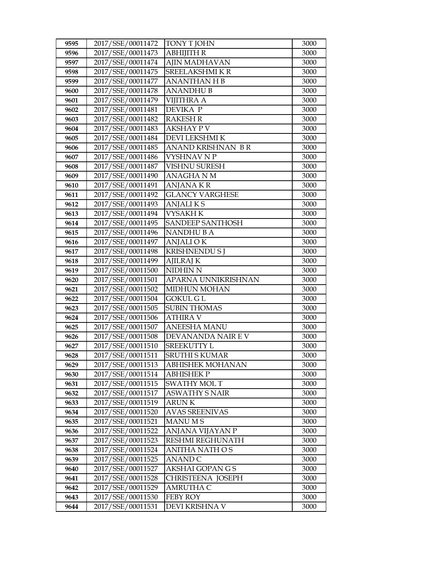| 9595         | 2017/SSE/00011472                      | TONY T JOHN                | 3000         |
|--------------|----------------------------------------|----------------------------|--------------|
| 9596         | 2017/SSE/00011473                      | <b>ABHIJITH R</b>          | 3000         |
| 9597         | 2017/SSE/00011474                      | AJIN MADHAVAN              | 3000         |
| 9598         | 2017/SSE/00011475                      | SREELAKSHMIKR              | 3000         |
| 9599         | 2017/SSE/00011477                      | <b>ANANTHAN H B</b>        | 3000         |
| 9600         | 2017/SSE/00011478                      | <b>ANANDHUB</b>            | 3000         |
| 9601         | 2017/SSE/00011479                      | <b>VIJITHRA A</b>          | 3000         |
| 9602         | 2017/SSE/00011481                      | DEVIKA P                   | 3000         |
| 9603         | 2017/SSE/00011482                      | <b>RAKESH R</b>            | 3000         |
| 9604         | 2017/SSE/00011483                      | <b>AKSHAY P V</b>          | 3000         |
| 9605         | 2017/SSE/00011484                      | DEVI LEKSHMI K             | 3000         |
| 9606         | 2017/SSE/00011485                      | ANAND KRISHNAN BR          | 3000         |
| 9607         | 2017/SSE/00011486                      | <b>VYSHNAV N P</b>         | 3000         |
| 9608         | 2017/SSE/00011487                      | <b>VISHNU SURESH</b>       | 3000         |
| 9609         | 2017/SSE/00011490                      | ANAGHA N M                 | 3000         |
| 9610         | 2017/SSE/00011491                      | <b>ANJANA KR</b>           | 3000         |
| 9611         | 2017/SSE/00011492                      | <b>GLANCY VARGHESE</b>     | 3000         |
| 9612         | 2017/SSE/00011493                      | <b>ANJALIKS</b>            | 3000         |
| 9613         | 2017/SSE/00011494                      | <b>VYSAKH K</b>            | 3000         |
| 9614         | 2017/SSE/00011495                      | <b>SANDEEP SANTHOSH</b>    | 3000         |
| 9615         | 2017/SSE/00011496                      | <b>NANDHUBA</b>            | 3000         |
| 9616         | 2017/SSE/00011497                      | <b>ANJALI OK</b>           | 3000         |
| 9617         | 2017/SSE/00011498                      | <b>KRISHNENDU S J</b>      | 3000         |
| 9618         | 2017/SSE/00011499                      | AJILRAJ K                  | 3000         |
| 9619         | 2017/SSE/00011500                      | NIDHIN N                   | 3000         |
| 9620         | 2017/SSE/00011501                      | APARNA UNNIKRISHNAN        | 3000         |
|              |                                        |                            |              |
| 9621         | 2017/SSE/00011502                      | <b>MIDHUN MOHAN</b>        | 3000         |
| 9622         | 2017/SSE/00011504                      | <b>GOKUL G L</b>           | 3000         |
| 9623         | 2017/SSE/00011505                      | <b>SUBIN THOMAS</b>        | 3000         |
| 9624         | 2017/SSE/00011506                      | <b>ATHIRA V</b>            | 3000         |
| 9625         | 2017/SSE/00011507                      | <b>ANEESHA MANU</b>        | 3000         |
| 9626         | 2017/SSE/00011508                      | DEVANANDA NAIR E V         | 3000         |
| 9627         | 2017/SSE/00011510                      | <b>SREEKUTTY L</b>         | 3000         |
| 9628         | 2017/SSE/00011511                      | <b>SRUTHI S KUMAR</b>      | 3000         |
| 9629         | 2017/SSE/00011513                      | ABHISHEK MOHANAN           | 3000         |
| 9630         | 2017/SSE/00011514                      | ABHISHEK P                 | 3000         |
| 9631         | 2017/SSE/00011515                      | <b>SWATHY MOLT</b>         | 3000         |
| 9632         | 2017/SSE/00011517                      | <b>ASWATHY S NAIR</b>      | 3000         |
| 9633         | 2017/SSE/00011519                      | <b>ARUNK</b>               | 3000         |
| 9634         | 2017/SSE/00011520                      | <b>AVAS SREENIVAS</b>      | 3000         |
| 9635         | 2017/SSE/00011521                      | <b>MANUMS</b>              | 3000         |
| 9636         | 2017/SSE/00011522                      | ANJANA VIJAYAN P           | 3000         |
| 9637         | 2017/SSE/00011523                      | RESHMI REGHUNATH           | 3000         |
| 9638         | 2017/SSE/00011524                      | ANITHA NATH OS             | 3000         |
| 9639         | 2017/SSE/00011525                      | ANAND C                    | 3000         |
| 9640         | 2017/SSE/00011527                      | AKSHAI GOPAN G S           | 3000         |
| 9641         | 2017/SSE/00011528                      | CHRISTEENA JOSEPH          | 3000         |
| 9642         | 2017/SSE/00011529                      | AMRUTHA C                  | 3000         |
| 9643<br>9644 | 2017/SSE/00011530<br>2017/SSE/00011531 | FEBY ROY<br>DEVI KRISHNA V | 3000<br>3000 |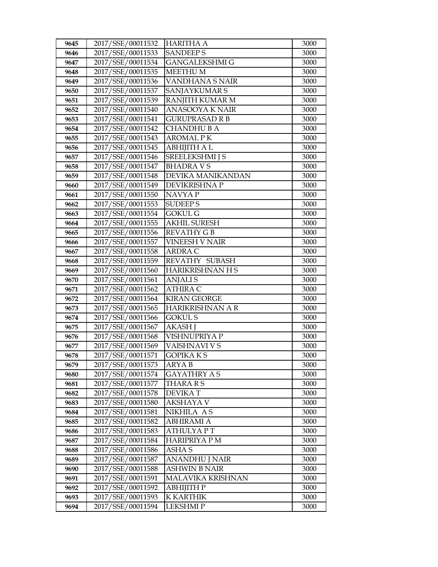| 9645         | 2017/SSE/00011532                      | <b>HARITHA A</b>            | 3000         |
|--------------|----------------------------------------|-----------------------------|--------------|
| 9646         | 2017/SSE/00011533                      | <b>SANDEEPS</b>             | 3000         |
| 9647         | 2017/SSE/00011534                      | <b>GANGALEKSHMI G</b>       | 3000         |
| 9648         | 2017/SSE/00011535                      | <b>MEETHUM</b>              | 3000         |
| 9649         | 2017/SSE/00011536                      | VANDHANA S NAIR             | 3000         |
| 9650         | 2017/SSE/00011537                      | SANJAYKUMAR S               | 3000         |
| 9651         | 2017/SSE/00011539                      | RANJITH KUMAR M             | 3000         |
| 9652         | 2017/SSE/00011540                      | <b>ANASOOYA K NAIR</b>      | 3000         |
| 9653         | 2017/SSE/00011541                      | <b>GURUPRASAD R B</b>       | 3000         |
| 9654         | 2017/SSE/00011542                      | CHANDHU B A                 | 3000         |
| 9655         | 2017/SSE/00011543                      | <b>AROMAL PK</b>            | 3000         |
| 9656         | 2017/SSE/00011545                      | <b>ABHIJITH A L</b>         | 3000         |
| 9657         | 2017/SSE/00011546                      | <b>SREELEKSHMI J S</b>      | 3000         |
| 9658         | 2017/SSE/00011547                      | <b>BHADRAVS</b>             | 3000         |
| 9659         | 2017/SSE/00011548                      | DEVIKA MANIKANDAN           | 3000         |
| 9660         | 2017/SSE/00011549                      | DEVIKRISHNA P               | 3000         |
| 9661         | 2017/SSE/00011550                      | NAVYA P                     | 3000         |
| 9662         | 2017/SSE/00011553                      | <b>SUDEEPS</b>              | 3000         |
| 9663         | 2017/SSE/00011554                      | <b>GOKUL G</b>              | 3000         |
| 9664         | 2017/SSE/00011555                      | <b>AKHIL SURESH</b>         | 3000         |
| 9665         | 2017/SSE/00011556                      | <b>REVATHY GB</b>           | 3000         |
| 9666         | 2017/SSE/00011557                      | VINEESH V NAIR              | 3000         |
| 9667         | 2017/SSE/00011558                      | <b>ARDRA C</b>              | 3000         |
| 9668         | 2017/SSE/00011559                      | REVATHY SUBASH              | 3000         |
| 9669         | 2017/SSE/00011560                      | <b>HARIKRISHNAN H S</b>     | 3000         |
| 9670         | 2017/SSE/00011561                      | <b>ANJALIS</b>              | 3000         |
| 9671         | 2017/SSE/00011562                      | <b>ATHIRA C</b>             | 3000         |
| 9672         | 2017/SSE/00011564                      | <b>KIRAN GEORGE</b>         | 3000         |
| 9673         | 2017/SSE/00011565                      | HARIKRISHNAN A R            | 3000         |
| 9674         | 2017/SSE/00011566                      | <b>GOKUL S</b>              | 3000         |
| 9675         | 2017/SSE/00011567                      | <b>AKASH J</b>              | 3000         |
| 9676         | 2017/SSE/00011568                      | VISHNUPRIYA P               | 3000         |
| 9677         | 2017/SSE/00011569                      | VAISHNAVI V S               | 3000         |
| 9678         | 2017/SSE/00011571                      | <b>GOPIKA KS</b>            | 3000         |
| 9679         | 2017/SSE/00011573                      | ARYA B                      | 3000         |
| 9680         | 2017/SSE/00011574                      | <b>GAYATHRY A S</b>         | 3000         |
| 9681         | 2017/SSE/00011577                      | THARA R S<br><b>DEVIKAT</b> | 3000         |
| 9682         | 2017/SSE/00011578<br>2017/SSE/00011580 | <b>AKSHAYA V</b>            | 3000<br>3000 |
| 9683<br>9684 | 2017/SSE/00011581                      | NIKHILA AS                  | 3000         |
| 9685         | 2017/SSE/00011582                      | ABHIRAMI A                  | 3000         |
| 9686         | 2017/SSE/00011583                      | <b>ATHULYAPT</b>            | 3000         |
| 9687         | 2017/SSE/00011584                      | <b>HARIPRIYA P M</b>        | 3000         |
| 9688         | 2017/SSE/00011586                      | <b>ASHAS</b>                | 3000         |
| 9689         | 2017/SSE/00011587                      | ANANDHU J NAIR              | 3000         |
| 9690         | 2017/SSE/00011588                      | ASHWIN B NAIR               | 3000         |
| 9691         | 2017/SSE/00011591                      | <b>MALAVIKA KRISHNAN</b>    | 3000         |
| 9692         | 2017/SSE/00011592                      | АВНІЈІТН Р                  | 3000         |
| 9693         | 2017/SSE/00011593                      | <b>K KARTHIK</b>            | 3000         |
| 9694         | 2017/SSE/00011594                      | <b>LEKSHMIP</b>             | 3000         |
|              |                                        |                             |              |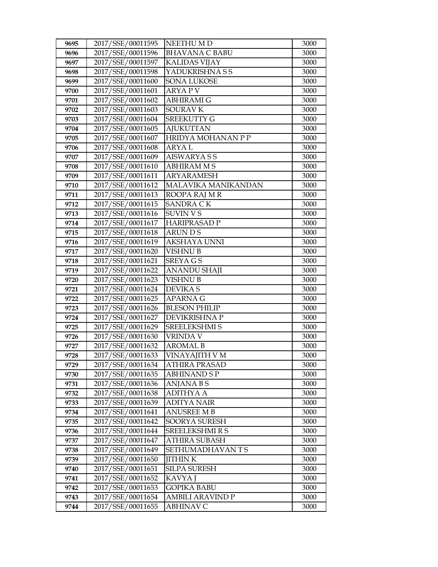| 9695         | 2017/SSE/00011595                      | NEETHU M D                            | 3000         |
|--------------|----------------------------------------|---------------------------------------|--------------|
| 9696         | 2017/SSE/00011596                      | <b>BHAVANA C BABU</b>                 | 3000         |
| 9697         | 2017/SSE/00011597                      | <b>KALIDAS VIJAY</b>                  | 3000         |
| 9698         | 2017/SSE/00011598                      | YADUKRISHNA S S                       | 3000         |
| 9699         | 2017/SSE/00011600                      | <b>SONA LUKOSE</b>                    | 3000         |
| 9700         | 2017/SSE/00011601                      | ARYA P V                              | 3000         |
| 9701         | 2017/SSE/00011602                      | ABHIRAMI G                            | 3000         |
| 9702         | 2017/SSE/00011603                      | <b>SOURAV K</b>                       | 3000         |
| 9703         | 2017/SSE/00011604                      | <b>SREEKUTTY G</b>                    | 3000         |
| 9704         | 2017/SSE/00011605                      | <b>AJUKUTTAN</b>                      | 3000         |
| 9705         | 2017/SSE/00011607                      | <b>HRIDYA MOHANAN P P</b>             | 3000         |
| 9706         | 2017/SSE/00011608                      | <b>ARYAL</b>                          | 3000         |
| 9707         | 2017/SSE/00011609                      | <b>AISWARYASS</b>                     | 3000         |
| 9708         | 2017/SSE/00011610                      | <b>ABHIRAM M S</b>                    | 3000         |
| 9709         | 2017/SSE/00011611                      | <b>ARYARAMESH</b>                     | 3000         |
| 9710         | 2017/SSE/00011612                      | MALAVIKA MANIKANDAN                   | 3000         |
| 9711         | 2017/SSE/00011613                      | ROOPA RAJ M R                         | 3000         |
| 9712         | 2017/SSE/00011615                      | <b>SANDRA CK</b>                      | 3000         |
| 9713         | 2017/SSE/00011616                      | <b>SUVIN VS</b>                       | 3000         |
| 9714         | 2017/SSE/00011617                      | <b>HARIPRASAD P</b>                   | 3000         |
| 9715         | 2017/SSE/00011618                      | ARUN D S                              | 3000         |
| 9716         | 2017/SSE/00011619                      | <b>AKSHAYA UNNI</b>                   | 3000         |
| 9717         | 2017/SSE/00011620                      | <b>VISHNU B</b>                       | 3000         |
| 9718         | 2017/SSE/00011621                      | <b>SREYAGS</b>                        | 3000         |
| 9719         | 2017/SSE/00011622                      | <b>ANANDU SHAJI</b>                   | 3000         |
| 9720         | 2017/SSE/00011623                      | VISHNU B                              | 3000         |
| 9721         | 2017/SSE/00011624                      | <b>DEVIKAS</b>                        | 3000         |
| 9722         | 2017/SSE/00011625                      | <b>APARNA G</b>                       | 3000         |
| 9723         | 2017/SSE/00011626                      | <b>BLESON PHILIP</b>                  | 3000         |
| 9724         | 2017/SSE/00011627                      | DEVIKRISHNA P                         | 3000         |
| 9725         | 2017/SSE/00011629                      | <b>SREELEKSHMI S</b>                  | 3000         |
| 9726         | 2017/SSE/00011630                      | VRINDA V                              | 3000         |
| 9727         | 2017/SSE/00011632                      | <b>AROMAL B</b>                       | 3000         |
| 9728         | 2017/SSE/00011633                      | VINAYAJITH V M                        | 3000         |
| 9729         | 2017/SSE/00011634<br>2017/SSE/00011635 | ATHIRA PRASAD                         | 3000         |
| 9730         |                                        | ABHINAND S P                          | 3000         |
| 9731<br>9732 | 2017/SSE/00011636<br>2017/SSE/00011638 | <b>ANJANA B S</b><br><b>ADITHYA A</b> | 3000<br>3000 |
| 9733         | 2017/SSE/00011639                      | <b>ADITYA NAIR</b>                    | 3000         |
| 9734         | 2017/SSE/00011641                      | <b>ANUSREE M B</b>                    | 3000         |
| 9735         | 2017/SSE/00011642                      | <b>SOORYA SURESH</b>                  | 3000         |
| 9736         | 2017/SSE/00011644                      | <b>SREELEKSHMI R S</b>                | 3000         |
| 9737         | 2017/SSE/00011647                      | <b>ATHIRA SUBASH</b>                  | 3000         |
| 9738         | 2017/SSE/00011649                      | SETHUMADHAVANTS                       | 3000         |
| 9739         | 2017/SSE/00011650                      | <b>JITHINK</b>                        | 3000         |
| 9740         | 2017/SSE/00011651                      | <b>SILPA SURESH</b>                   | 3000         |
| 9741         | 2017/SSE/00011652                      | KAVYA J                               | 3000         |
| 9742         | 2017/SSE/00011653                      | GOPIKA BABU                           | 3000         |
| 9743         | 2017/SSE/00011654                      | <b>AMBILI ARAVIND P</b>               | 3000         |
| 9744         | 2017/SSE/00011655                      | ABHINAV C                             | 3000         |
|              |                                        |                                       |              |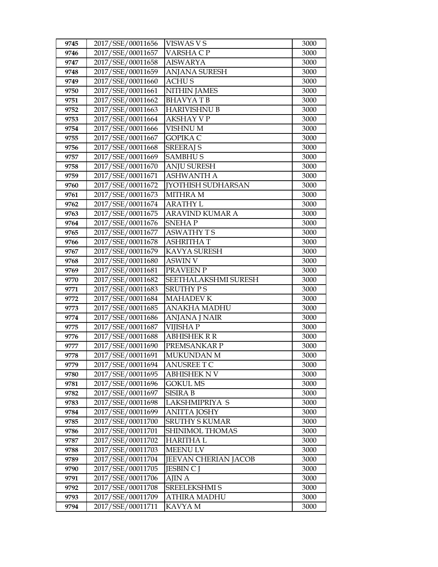| 9745 | 2017/SSE/00011656 | VISWAS V S                  | 3000 |
|------|-------------------|-----------------------------|------|
| 9746 | 2017/SSE/00011657 | VARSHA C P                  | 3000 |
| 9747 | 2017/SSE/00011658 | <b>AISWARYA</b>             | 3000 |
| 9748 | 2017/SSE/00011659 | <b>ANJANA SURESH</b>        | 3000 |
| 9749 | 2017/SSE/00011660 | <b>ACHUS</b>                | 3000 |
| 9750 | 2017/SSE/00011661 | <b>NITHIN JAMES</b>         | 3000 |
| 9751 | 2017/SSE/00011662 | <b>BHAVYATB</b>             | 3000 |
| 9752 | 2017/SSE/00011663 | <b>HARIVISHNU B</b>         | 3000 |
| 9753 | 2017/SSE/00011664 | <b>AKSHAY V P</b>           | 3000 |
| 9754 | 2017/SSE/00011666 | <b>VISHNU M</b>             | 3000 |
| 9755 | 2017/SSE/00011667 | <b>GOPIKA C</b>             | 3000 |
| 9756 | 2017/SSE/00011668 | <b>SREERAJ S</b>            | 3000 |
| 9757 | 2017/SSE/00011669 | <b>SAMBHUS</b>              | 3000 |
| 9758 | 2017/SSE/00011670 | <b>ANJU SURESH</b>          | 3000 |
| 9759 | 2017/SSE/00011671 | <b>ASHWANTH A</b>           | 3000 |
| 9760 | 2017/SSE/00011672 | <b>IYOTHISH SUDHARSAN</b>   | 3000 |
| 9761 | 2017/SSE/00011673 | <b>MITHRA M</b>             | 3000 |
| 9762 | 2017/SSE/00011674 | <b>ARATHY L</b>             | 3000 |
| 9763 | 2017/SSE/00011675 | <b>ARAVIND KUMAR A</b>      | 3000 |
| 9764 | 2017/SSE/00011676 | <b>SNEHAP</b>               | 3000 |
| 9765 | 2017/SSE/00011677 | <b>ASWATHY TS</b>           | 3000 |
| 9766 | 2017/SSE/00011678 | <b>ASHRITHAT</b>            | 3000 |
| 9767 | 2017/SSE/00011679 | KAVYA SURESH                | 3000 |
| 9768 | 2017/SSE/00011680 | <b>ASWIN V</b>              | 3000 |
| 9769 | 2017/SSE/00011681 | PRAVEEN P                   | 3000 |
| 9770 | 2017/SSE/00011682 | SEETHALAKSHMI SURESH        | 3000 |
| 9771 | 2017/SSE/00011683 | <b>SRUTHY PS</b>            | 3000 |
| 9772 | 2017/SSE/00011684 | <b>MAHADEV K</b>            | 3000 |
| 9773 | 2017/SSE/00011685 | <b>ANAKHA MADHU</b>         | 3000 |
| 9774 | 2017/SSE/00011686 | <b>ANJANA J NAIR</b>        | 3000 |
| 9775 | 2017/SSE/00011687 | <b>VIJISHAP</b>             | 3000 |
| 9776 | 2017/SSE/00011688 | <b>ABHISHEK R R</b>         | 3000 |
| 9777 | 2017/SSE/00011690 | PREMSANKAR P                | 3000 |
| 9778 | 2017/SSE/00011691 | <b>MUKUNDAN M</b>           | 3000 |
| 9779 | 2017/SSE/00011694 | <b>ANUSREE T C</b>          | 3000 |
| 9780 | 2017/SSE/00011695 | ABHISHEK N V                | 3000 |
| 9781 | 2017/SSE/00011696 | GOKUL MS                    | 3000 |
| 9782 | 2017/SSE/00011697 | <b>SISIRA B</b>             | 3000 |
| 9783 | 2017/SSE/00011698 | <b>LAKSHMIPRIYA S</b>       | 3000 |
| 9784 | 2017/SSE/00011699 | ANITTA JOSHY                | 3000 |
| 9785 | 2017/SSE/00011700 | <b>SRUTHY S KUMAR</b>       | 3000 |
| 9786 | 2017/SSE/00011701 | SHINIMOL THOMAS             | 3000 |
| 9787 | 2017/SSE/00011702 | <b>HARITHA L</b>            | 3000 |
| 9788 | 2017/SSE/00011703 | <b>MEENULV</b>              | 3000 |
| 9789 | 2017/SSE/00011704 | <b>JEEVAN CHERIAN JACOB</b> | 3000 |
| 9790 | 2017/SSE/00011705 | <b>JESBIN C J</b>           | 3000 |
| 9791 | 2017/SSE/00011706 | AJIN A                      | 3000 |
| 9792 | 2017/SSE/00011708 | SREELEKSHMI S               | 3000 |
| 9793 | 2017/SSE/00011709 | <b>ATHIRA MADHU</b>         | 3000 |
| 9794 | 2017/SSE/00011711 | KAVYA M                     | 3000 |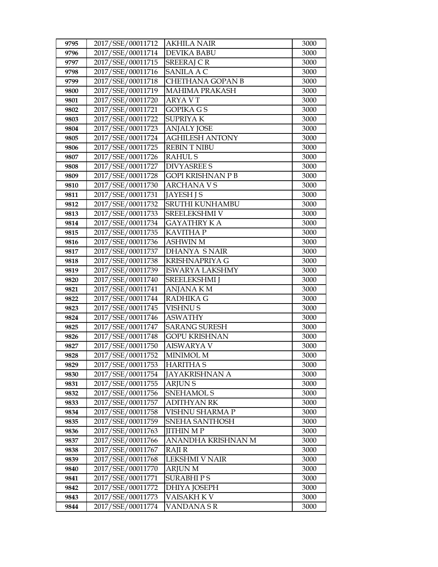| 9795 | 2017/SSE/00011712 | <b>AKHILA NAIR</b>       | 3000 |
|------|-------------------|--------------------------|------|
| 9796 | 2017/SSE/00011714 | <b>DEVIKA BABU</b>       | 3000 |
| 9797 | 2017/SSE/00011715 | <b>SREERAJ CR</b>        | 3000 |
| 9798 | 2017/SSE/00011716 | <b>SANILA A C</b>        | 3000 |
| 9799 | 2017/SSE/00011718 | <b>CHETHANA GOPAN B</b>  | 3000 |
| 9800 | 2017/SSE/00011719 | <b>MAHIMA PRAKASH</b>    | 3000 |
| 9801 | 2017/SSE/00011720 | ARYA V T                 | 3000 |
| 9802 | 2017/SSE/00011721 | <b>GOPIKA GS</b>         | 3000 |
| 9803 | 2017/SSE/00011722 | <b>SUPRIYAK</b>          | 3000 |
| 9804 | 2017/SSE/00011723 | <b>ANJALY JOSE</b>       | 3000 |
| 9805 | 2017/SSE/00011724 | <b>AGHILESH ANTONY</b>   | 3000 |
| 9806 | 2017/SSE/00011725 | <b>REBINT NIBU</b>       | 3000 |
| 9807 | 2017/SSE/00011726 | <b>RAHULS</b>            | 3000 |
| 9808 | 2017/SSE/00011727 | <b>DIVYASREE S</b>       | 3000 |
| 9809 | 2017/SSE/00011728 | <b>GOPI KRISHNAN P B</b> | 3000 |
| 9810 | 2017/SSE/00011730 | <b>ARCHANA V S</b>       | 3000 |
| 9811 | 2017/SSE/00011731 | <b>JAYESH J S</b>        | 3000 |
| 9812 | 2017/SSE/00011732 | <b>SRUTHI KUNHAMBU</b>   | 3000 |
| 9813 | 2017/SSE/00011733 | SREELEKSHMI V            | 3000 |
| 9814 | 2017/SSE/00011734 | <b>GAYATHRY KA</b>       | 3000 |
| 9815 | 2017/SSE/00011735 | <b>KAVITHA P</b>         | 3000 |
| 9816 | 2017/SSE/00011736 | <b>ASHWIN M</b>          | 3000 |
| 9817 | 2017/SSE/00011737 | <b>DHANYA SNAIR</b>      | 3000 |
| 9818 | 2017/SSE/00011738 | <b>KRISHNAPRIYA G</b>    | 3000 |
| 9819 | 2017/SSE/00011739 | <b>ISWARYA LAKSHMY</b>   | 3000 |
| 9820 | 2017/SSE/00011740 | <b>SREELEKSHMI</b> J     | 3000 |
| 9821 | 2017/SSE/00011741 | ANJANA K M               | 3000 |
| 9822 | 2017/SSE/00011744 | RADHIKA G                | 3000 |
| 9823 | 2017/SSE/00011745 | <b>VISHNUS</b>           | 3000 |
| 9824 | 2017/SSE/00011746 | <b>ASWATHY</b>           | 3000 |
| 9825 | 2017/SSE/00011747 | <b>SARANG SURESH</b>     | 3000 |
| 9826 | 2017/SSE/00011748 | <b>GOPU KRISHNAN</b>     | 3000 |
| 9827 | 2017/SSE/00011750 | <b>AISWARYA V</b>        | 3000 |
| 9828 | 2017/SSE/00011752 | <b>MINIMOL M</b>         | 3000 |
| 9829 | 2017/SSE/00011753 | <b>HARITHA S</b>         | 3000 |
| 9830 | 2017/SSE/00011754 | JAYAKRISHNAN A           | 3000 |
| 9831 | 2017/SSE/00011755 | <b>ARJUNS</b>            | 3000 |
| 9832 | 2017/SSE/00011756 | SNEHAMOL S               | 3000 |
| 9833 | 2017/SSE/00011757 | <b>ADITHYAN RK</b>       | 3000 |
| 9834 | 2017/SSE/00011758 | VISHNU SHARMA P          | 3000 |
| 9835 | 2017/SSE/00011759 | SNEHA SANTHOSH           | 3000 |
| 9836 | 2017/SSE/00011763 | <b>JITHIN M P</b>        | 3000 |
| 9837 | 2017/SSE/00011766 | ANANDHA KRISHNAN M       | 3000 |
| 9838 | 2017/SSE/00011767 | RAJI R                   | 3000 |
| 9839 | 2017/SSE/00011768 | LEKSHMI V NAIR           | 3000 |
| 9840 | 2017/SSE/00011770 | <b>ARJUN M</b>           | 3000 |
| 9841 | 2017/SSE/00011771 | <b>SURABHIPS</b>         | 3000 |
| 9842 | 2017/SSE/00011772 | <b>DHIYA JOSEPH</b>      | 3000 |
| 9843 | 2017/SSE/00011773 | VAISAKH K V              | 3000 |
| 9844 | 2017/SSE/00011774 | VANDANA S R              | 3000 |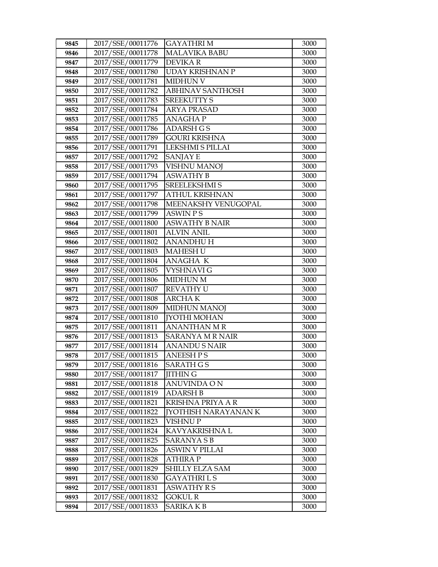| 9845 | 2017/SSE/00011776 | <b>GAYATHRIM</b>            | 3000 |
|------|-------------------|-----------------------------|------|
| 9846 | 2017/SSE/00011778 | <b>MALAVIKA BABU</b>        | 3000 |
| 9847 | 2017/SSE/00011779 | <b>DEVIKAR</b>              | 3000 |
| 9848 | 2017/SSE/00011780 | <b>UDAY KRISHNAN P</b>      | 3000 |
| 9849 | 2017/SSE/00011781 | <b>MIDHUN V</b>             | 3000 |
| 9850 | 2017/SSE/00011782 | <b>ABHINAV SANTHOSH</b>     | 3000 |
| 9851 | 2017/SSE/00011783 | <b>SREEKUTTY S</b>          | 3000 |
| 9852 | 2017/SSE/00011784 | <b>ARYA PRASAD</b>          | 3000 |
| 9853 | 2017/SSE/00011785 | <b>ANAGHAP</b>              | 3000 |
| 9854 | 2017/SSE/00011786 | <b>ADARSH GS</b>            | 3000 |
| 9855 | 2017/SSE/00011789 | <b>GOURI KRISHNA</b>        | 3000 |
| 9856 | 2017/SSE/00011791 | LEKSHMI S PILLAI            | 3000 |
| 9857 | 2017/SSE/00011792 | <b>SANJAY E</b>             | 3000 |
| 9858 | 2017/SSE/00011793 | <b>VISHNU MANOJ</b>         | 3000 |
| 9859 | 2017/SSE/00011794 | <b>ASWATHY B</b>            | 3000 |
| 9860 | 2017/SSE/00011795 | <b>SREELEKSHMI S</b>        | 3000 |
| 9861 | 2017/SSE/00011797 | <b>ATHUL KRISHNAN</b>       | 3000 |
| 9862 | 2017/SSE/00011798 | MEENAKSHY VENUGOPAL         | 3000 |
| 9863 | 2017/SSE/00011799 | <b>ASWIN PS</b>             | 3000 |
| 9864 | 2017/SSE/00011800 | <b>ASWATHY B NAIR</b>       | 3000 |
| 9865 | 2017/SSE/00011801 | <b>ALVIN ANIL</b>           | 3000 |
| 9866 | 2017/SSE/00011802 | <b>ANANDHUH</b>             | 3000 |
| 9867 | 2017/SSE/00011803 | <b>MAHESH U</b>             | 3000 |
| 9868 | 2017/SSE/00011804 | <b>ANAGHA K</b>             | 3000 |
| 9869 | 2017/SSE/00011805 | VYSHNAVI G                  | 3000 |
| 9870 | 2017/SSE/00011806 | <b>MIDHUN M</b>             | 3000 |
| 9871 | 2017/SSE/00011807 | <b>REVATHY U</b>            | 3000 |
| 9872 | 2017/SSE/00011808 | <b>ARCHAK</b>               | 3000 |
| 9873 | 2017/SSE/00011809 | <b>MIDHUN MANOJ</b>         | 3000 |
| 9874 | 2017/SSE/00011810 | <b>[YOTHI MOHAN</b>         | 3000 |
| 9875 | 2017/SSE/00011811 | <b>ANANTHAN M R</b>         | 3000 |
| 9876 | 2017/SSE/00011813 | SARANYA M R NAIR            | 3000 |
| 9877 | 2017/SSE/00011814 | <b>ANANDUS NAIR</b>         | 3000 |
| 9878 | 2017/SSE/00011815 | <b>ANEESH PS</b>            | 3000 |
| 9879 | 2017/SSE/00011816 | SARATH G S                  | 3000 |
| 9880 | 2017/SSE/00011817 | <b>JITHING</b>              | 3000 |
| 9881 | 2017/SSE/00011818 | ANUVINDA O N                | 3000 |
| 9882 | 2017/SSE/00011819 | <b>ADARSH B</b>             | 3000 |
| 9883 | 2017/SSE/00011821 | <b>KRISHNA PRIYA A R</b>    | 3000 |
| 9884 | 2017/SSE/00011822 | <b>[YOTHISH NARAYANAN K</b> | 3000 |
| 9885 | 2017/SSE/00011823 | <b>VISHNUP</b>              | 3000 |
| 9886 | 2017/SSE/00011824 | KAVYAKRISHNA L              | 3000 |
| 9887 | 2017/SSE/00011825 | <b>SARANYASB</b>            | 3000 |
| 9888 | 2017/SSE/00011826 | <b>ASWIN V PILLAI</b>       | 3000 |
| 9889 | 2017/SSE/00011828 | <b>ATHIRA P</b>             | 3000 |
| 9890 | 2017/SSE/00011829 | SHILLY ELZA SAM             | 3000 |
| 9891 | 2017/SSE/00011830 | GAYATHRI L S                | 3000 |
| 9892 | 2017/SSE/00011831 | <b>ASWATHY RS</b>           | 3000 |
| 9893 | 2017/SSE/00011832 | <b>GOKUL R</b>              | 3000 |
| 9894 | 2017/SSE/00011833 | SARIKA K B                  | 3000 |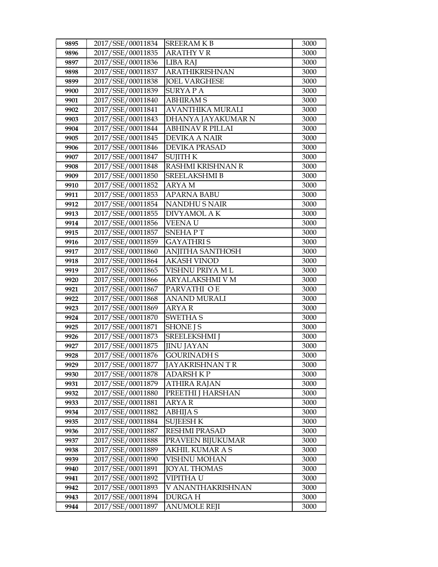| 9895 | 2017/SSE/00011834 | <b>SREERAMKB</b>        | 3000 |
|------|-------------------|-------------------------|------|
| 9896 | 2017/SSE/00011835 | <b>ARATHY V R</b>       | 3000 |
| 9897 | 2017/SSE/00011836 | <b>LIBA RAJ</b>         | 3000 |
| 9898 | 2017/SSE/00011837 | <b>ARATHIKRISHNAN</b>   | 3000 |
| 9899 | 2017/SSE/00011838 | <b>JOEL VARGHESE</b>    | 3000 |
| 9900 | 2017/SSE/00011839 | <b>SURYAPA</b>          | 3000 |
| 9901 | 2017/SSE/00011840 | <b>ABHIRAMS</b>         | 3000 |
| 9902 | 2017/SSE/00011841 | <b>AVANTHIKA MURALI</b> | 3000 |
| 9903 | 2017/SSE/00011843 | DHANYA JAYAKUMAR N      | 3000 |
| 9904 | 2017/SSE/00011844 | <b>ABHINAV R PILLAI</b> | 3000 |
| 9905 | 2017/SSE/00011845 | <b>DEVIKA A NAIR</b>    | 3000 |
| 9906 | 2017/SSE/00011846 | DEVIKA PRASAD           | 3000 |
| 9907 | 2017/SSE/00011847 | <b>SUJITH K</b>         | 3000 |
| 9908 | 2017/SSE/00011848 | RASHMI KRISHNAN R       | 3000 |
| 9909 | 2017/SSE/00011850 | <b>SREELAKSHMI B</b>    | 3000 |
| 9910 | 2017/SSE/00011852 | ARYA M                  | 3000 |
| 9911 | 2017/SSE/00011853 | APARNA BABU             | 3000 |
| 9912 | 2017/SSE/00011854 | <b>NANDHUS NAIR</b>     | 3000 |
| 9913 | 2017/SSE/00011855 | DIVYAMOL A K            | 3000 |
| 9914 | 2017/SSE/00011856 | <b>VEENAU</b>           | 3000 |
| 9915 | 2017/SSE/00011857 | <b>SNEHAPT</b>          | 3000 |
| 9916 | 2017/SSE/00011859 | GAYATHRI S              | 3000 |
| 9917 | 2017/SSE/00011860 | <b>ANJITHA SANTHOSH</b> | 3000 |
| 9918 | 2017/SSE/00011864 | <b>AKASH VINOD</b>      | 3000 |
| 9919 | 2017/SSE/00011865 | VISHNU PRIYA ML         | 3000 |
| 9920 | 2017/SSE/00011866 | ARYALAKSHMI V M         | 3000 |
| 9921 | 2017/SSE/00011867 | PARVATHI O E            | 3000 |
| 9922 | 2017/SSE/00011868 | <b>ANAND MURALI</b>     | 3000 |
| 9923 | 2017/SSE/00011869 | <b>ARYAR</b>            | 3000 |
| 9924 | 2017/SSE/00011870 | <b>SWETHAS</b>          | 3000 |
| 9925 | 2017/SSE/00011871 | <b>SHONE J S</b>        | 3000 |
| 9926 | 2017/SSE/00011873 | <b>SREELEKSHMI</b> J    | 3000 |
| 9927 | 2017/SSE/00011875 | <b>JINU JAYAN</b>       | 3000 |
| 9928 | 2017/SSE/00011876 | <b>GOURINADH S</b>      | 3000 |
| 9929 | 2017/SSE/00011877 | JAYAKRISHNAN T R        | 3000 |
| 9930 | 2017/SSE/00011878 | ADARSH K P              | 3000 |
| 9931 | 2017/SSE/00011879 | <b>ATHIRA RAJAN</b>     | 3000 |
| 9932 | 2017/SSE/00011880 | PREETHI J HARSHAN       | 3000 |
| 9933 | 2017/SSE/00011881 | ARYA R                  | 3000 |
| 9934 | 2017/SSE/00011882 | <b>ABHIJA S</b>         | 3000 |
| 9935 | 2017/SSE/00011884 | SUJEESH K               | 3000 |
| 9936 | 2017/SSE/00011887 | <b>RESHMI PRASAD</b>    | 3000 |
| 9937 | 2017/SSE/00011888 | PRAVEEN BIJUKUMAR       | 3000 |
| 9938 | 2017/SSE/00011889 | <b>AKHIL KUMAR A S</b>  | 3000 |
| 9939 | 2017/SSE/00011890 | VISHNU MOHAN            | 3000 |
| 9940 | 2017/SSE/00011891 | <b>JOYAL THOMAS</b>     | 3000 |
| 9941 | 2017/SSE/00011892 | VIPITHA U               | 3000 |
| 9942 | 2017/SSE/00011893 | V ANANTHAKRISHNAN       | 3000 |
| 9943 | 2017/SSE/00011894 | <b>DURGAH</b>           | 3000 |
| 9944 | 2017/SSE/00011897 | <b>ANUMOLE REJI</b>     | 3000 |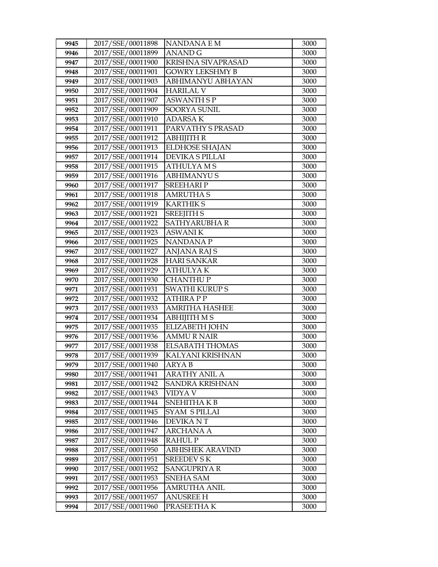| 9945 | 2017/SSE/00011898 | <b>NANDANAEM</b>          | 3000 |
|------|-------------------|---------------------------|------|
| 9946 | 2017/SSE/00011899 | <b>ANAND G</b>            | 3000 |
| 9947 | 2017/SSE/00011900 | <b>KRISHNA SIVAPRASAD</b> | 3000 |
| 9948 | 2017/SSE/00011901 | <b>GOWRY LEKSHMY B</b>    | 3000 |
| 9949 | 2017/SSE/00011903 | ABHIMANYU ABHAYAN         | 3000 |
| 9950 | 2017/SSE/00011904 | <b>HARILAL V</b>          | 3000 |
| 9951 | 2017/SSE/00011907 | ASWANTH S P               | 3000 |
| 9952 | 2017/SSE/00011909 | <b>SOORYA SUNIL</b>       | 3000 |
| 9953 | 2017/SSE/00011910 | <b>ADARSAK</b>            | 3000 |
| 9954 | 2017/SSE/00011911 | PARVATHY S PRASAD         | 3000 |
| 9955 | 2017/SSE/00011912 | ABHIJITH R                | 3000 |
| 9956 | 2017/SSE/00011913 | <b>ELDHOSE SHAJAN</b>     | 3000 |
| 9957 | 2017/SSE/00011914 | DEVIKA S PILLAI           | 3000 |
| 9958 | 2017/SSE/00011915 | <b>ATHULYAMS</b>          | 3000 |
| 9959 | 2017/SSE/00011916 | <b>ABHIMANYUS</b>         | 3000 |
| 9960 | 2017/SSE/00011917 | <b>SREEHARIP</b>          | 3000 |
| 9961 | 2017/SSE/00011918 | <b>AMRUTHA S</b>          | 3000 |
| 9962 | 2017/SSE/00011919 | <b>KARTHIKS</b>           | 3000 |
| 9963 | 2017/SSE/00011921 | <b>SREEJITH S</b>         | 3000 |
| 9964 | 2017/SSE/00011922 | SATHYARUBHA R             | 3000 |
| 9965 | 2017/SSE/00011923 | ASWANI K                  | 3000 |
| 9966 | 2017/SSE/00011925 | <b>NANDANAP</b>           | 3000 |
| 9967 | 2017/SSE/00011927 | <b>ANJANA RAJ S</b>       | 3000 |
| 9968 | 2017/SSE/00011928 | <b>HARI SANKAR</b>        | 3000 |
| 9969 | 2017/SSE/00011929 | ATHULYA K                 | 3000 |
| 9970 | 2017/SSE/00011930 | <b>CHANTHUP</b>           | 3000 |
| 9971 | 2017/SSE/00011931 | <b>SWATHI KURUPS</b>      | 3000 |
| 9972 | 2017/SSE/00011932 | <b>ATHIRAPP</b>           | 3000 |
| 9973 | 2017/SSE/00011933 | <b>AMRITHA HASHEE</b>     | 3000 |
| 9974 | 2017/SSE/00011934 | <b>ABHIJITH MS</b>        | 3000 |
| 9975 | 2017/SSE/00011935 | <b>ELIZABETH JOHN</b>     | 3000 |
| 9976 | 2017/SSE/00011936 | <b>AMMURNAIR</b>          | 3000 |
| 9977 | 2017/SSE/00011938 | <b>ELSABATH THOMAS</b>    | 3000 |
| 9978 | 2017/SSE/00011939 | KALYANI KRISHNAN          | 3000 |
| 9979 | 2017/SSE/00011940 | <b>ARYAB</b>              | 3000 |
| 9980 | 2017/SSE/00011941 | ARATHY ANIL A             | 3000 |
| 9981 | 2017/SSE/00011942 | SANDRA KRISHNAN           | 3000 |
| 9982 | 2017/SSE/00011943 | VIDYA V                   | 3000 |
| 9983 | 2017/SSE/00011944 | SNEHITHAKB                | 3000 |
| 9984 | 2017/SSE/00011945 | <b>SYAM S PILLAI</b>      | 3000 |
| 9985 | 2017/SSE/00011946 | <b>DEVIKANT</b>           | 3000 |
| 9986 | 2017/SSE/00011947 | <b>ARCHANA A</b>          | 3000 |
| 9987 | 2017/SSE/00011948 | <b>RAHULP</b>             | 3000 |
| 9988 | 2017/SSE/00011950 | <b>ABHISHEK ARAVIND</b>   | 3000 |
| 9989 | 2017/SSE/00011951 | <b>SREEDEV S K</b>        | 3000 |
| 9990 | 2017/SSE/00011952 | SANGUPRIYA R              | 3000 |
| 9991 | 2017/SSE/00011953 | SNEHA SAM                 | 3000 |
| 9992 | 2017/SSE/00011956 | <b>AMRUTHA ANIL</b>       | 3000 |
| 9993 | 2017/SSE/00011957 | <b>ANUSREE H</b>          | 3000 |
| 9994 | 2017/SSE/00011960 | PRASEETHA K               | 3000 |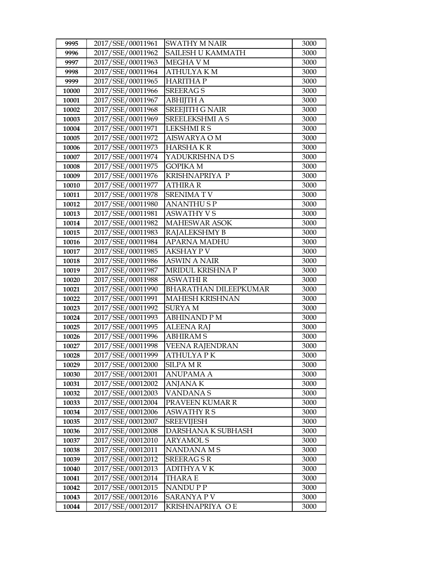| 9995  | 2017/SSE/00011961                      | <b>SWATHY M NAIR</b>                  | 3000 |
|-------|----------------------------------------|---------------------------------------|------|
| 9996  | 2017/SSE/00011962                      | SAILESH U KAMMATH                     | 3000 |
| 9997  | 2017/SSE/00011963                      | MEGHA V M                             | 3000 |
| 9998  | 2017/SSE/00011964                      | <b>ATHULYAKM</b>                      | 3000 |
| 9999  | 2017/SSE/00011965                      | <b>HARITHAP</b>                       | 3000 |
| 10000 | 2017/SSE/00011966                      | <b>SREERAGS</b>                       | 3000 |
| 10001 | 2017/SSE/00011967                      | АВНІЈТНА                              | 3000 |
| 10002 | 2017/SSE/00011968                      | <b>SREEJITH G NAIR</b>                | 3000 |
| 10003 | 2017/SSE/00011969                      | SREELEKSHMI A S                       | 3000 |
| 10004 | 2017/SSE/00011971                      | <b>LEKSHMIRS</b>                      | 3000 |
| 10005 | 2017/SSE/00011972                      | <b>AISWARYA O M</b>                   | 3000 |
| 10006 | 2017/SSE/00011973                      | <b>HARSHAKR</b>                       | 3000 |
| 10007 | 2017/SSE/00011974                      | YADUKRISHNA D S                       | 3000 |
| 10008 | 2017/SSE/00011975                      | <b>GOPIKA M</b>                       | 3000 |
| 10009 | 2017/SSE/00011976                      | KRISHNAPRIYA P                        | 3000 |
| 10010 | 2017/SSE/00011977                      | <b>ATHIRA R</b>                       | 3000 |
| 10011 | 2017/SSE/00011978                      | <b>SRENIMATV</b>                      | 3000 |
| 10012 | 2017/SSE/00011980                      | <b>ANANTHUSP</b>                      | 3000 |
| 10013 | 2017/SSE/00011981                      | <b>ASWATHY VS</b>                     | 3000 |
| 10014 | 2017/SSE/00011982                      | <b>MAHESWAR ASOK</b>                  | 3000 |
| 10015 | 2017/SSE/00011983                      | RAJALEKSHMY B                         | 3000 |
| 10016 | 2017/SSE/00011984                      | <b>APARNA MADHU</b>                   | 3000 |
| 10017 | 2017/SSE/00011985                      | <b>AKSHAY PV</b>                      | 3000 |
| 10018 | 2017/SSE/00011986                      | <b>ASWIN A NAIR</b>                   | 3000 |
| 10019 | 2017/SSE/00011987                      | MRIDUL KRISHNA P                      | 3000 |
|       |                                        |                                       |      |
| 10020 | 2017/SSE/00011988                      | <b>ASWATHIR</b>                       | 3000 |
| 10021 | 2017/SSE/00011990                      | <b>BHARATHAN DILEEPKUMAR</b>          | 3000 |
| 10022 | 2017/SSE/00011991                      | <b>MAHESH KRISHNAN</b>                | 3000 |
| 10023 | 2017/SSE/00011992                      | <b>SURYAM</b>                         | 3000 |
| 10024 | 2017/SSE/00011993                      | <b>ABHINAND PM</b>                    | 3000 |
| 10025 | 2017/SSE/00011995                      | <b>ALEENA RAJ</b>                     | 3000 |
| 10026 | 2017/SSE/00011996                      | <b>ABHIRAMS</b>                       | 3000 |
| 10027 | 2017/SSE/00011998                      | <b>VEENA RAJENDRAN</b>                | 3000 |
| 10028 | 2017/SSE/00011999                      | <b>ATHULYAPK</b>                      | 3000 |
| 10029 | 2017/SSE/00012000                      | <b>SILPA MR</b>                       | 3000 |
| 10030 | 2017/SSE/00012001                      | ANUPAMA A                             | 3000 |
| 10031 | 2017/SSE/00012002                      | <b>ANJANAK</b>                        | 3000 |
| 10032 | 2017/SSE/00012003                      | <b>VANDANAS</b>                       | 3000 |
| 10033 | 2017/SSE/00012004                      | PRAVEEN KUMAR R                       | 3000 |
| 10034 | 2017/SSE/00012006                      | ASWATHY R S                           | 3000 |
| 10035 | 2017/SSE/00012007                      | <b>SREEVIJESH</b>                     | 3000 |
| 10036 | 2017/SSE/00012008                      | DARSHANA K SUBHASH                    | 3000 |
| 10037 | 2017/SSE/00012010                      | <b>ARYAMOLS</b>                       | 3000 |
| 10038 | 2017/SSE/00012011                      | NANDANA M S                           | 3000 |
| 10039 | 2017/SSE/00012012                      | <b>SREERAGSR</b>                      | 3000 |
| 10040 | 2017/SSE/00012013                      | ADITHYA V K                           | 3000 |
| 10041 | 2017/SSE/00012014                      | THARA E                               | 3000 |
| 10042 | 2017/SSE/00012015                      | NANDU P P                             | 3000 |
| 10043 | 2017/SSE/00012016<br>2017/SSE/00012017 | <b>SARANYA P V</b><br>KRISHNAPRIYA OE | 3000 |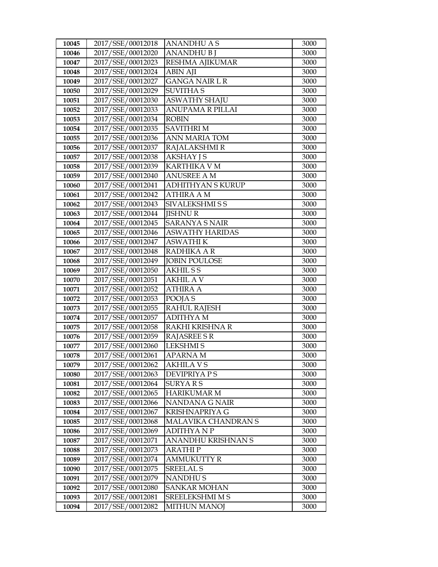| 10045          | 2017/SSE/00012018                      | ANANDHU A S                          | 3000         |
|----------------|----------------------------------------|--------------------------------------|--------------|
| 10046          | 2017/SSE/00012020                      | <b>ANANDHUBI</b>                     | 3000         |
| 10047          | 2017/SSE/00012023                      | RESHMA AJIKUMAR                      | 3000         |
| 10048          | 2017/SSE/00012024                      | <b>ABIN AJI</b>                      | 3000         |
| 10049          | 2017/SSE/00012027                      | <b>GANGA NAIR L R</b>                | 3000         |
| 10050          | 2017/SSE/00012029                      | <b>SUVITHA S</b>                     | 3000         |
| 10051          | 2017/SSE/00012030                      | <b>ASWATHY SHAJU</b>                 | 3000         |
| 10052          | 2017/SSE/00012033                      | <b>ANUPAMA R PILLAI</b>              | 3000         |
| 10053          | 2017/SSE/00012034                      | <b>ROBIN</b>                         | 3000         |
| 10054          | 2017/SSE/00012035                      | <b>SAVITHRIM</b>                     | 3000         |
| 10055          | 2017/SSE/00012036                      | ANN MARIA TOM                        | 3000         |
| 10056          | 2017/SSE/00012037                      | RAJALAKSHMI R                        | 3000         |
| 10057          | 2017/SSE/00012038                      | <b>AKSHAY JS</b>                     | 3000         |
| 10058          | 2017/SSE/00012039                      | <b>KARTHIKA V M</b>                  | 3000         |
| 10059          | 2017/SSE/00012040                      | <b>ANUSREE A M</b>                   | 3000         |
| 10060          | 2017/SSE/00012041                      | ADHITHYAN S KURUP                    | 3000         |
| 10061          | 2017/SSE/00012042                      | <b>ATHIRA A M</b>                    | 3000         |
| 10062          | 2017/SSE/00012043                      | SIVALEKSHMI S S                      | 3000         |
| 10063          | 2017/SSE/00012044                      | <b>IISHNUR</b>                       | 3000         |
| 10064          | 2017/SSE/00012045                      | <b>SARANYA S NAIR</b>                | 3000         |
| 10065          | 2017/SSE/00012046                      | <b>ASWATHY HARIDAS</b>               | 3000         |
| 10066          | 2017/SSE/00012047                      | ASWATHI K                            | 3000         |
| 10067          | 2017/SSE/00012048                      | RADHIKA A R                          | 3000         |
| 10068          | 2017/SSE/00012049                      | <b>JOBIN POULOSE</b>                 | 3000         |
| 10069          | 2017/SSE/00012050                      | <b>AKHILSS</b>                       | 3000         |
| 10070          | 2017/SSE/00012051                      | AKHIL A V                            | 3000         |
| 10071          | 2017/SSE/00012052                      | ATHIRA A                             | 3000         |
| 10072          | 2017/SSE/00012053                      | POOJA S                              | 3000         |
| 10073          | 2017/SSE/00012055                      | <b>RAHUL RAJESH</b>                  | 3000         |
| 10074          | 2017/SSE/00012057                      | <b>ADITHYAM</b>                      | 3000         |
| 10075          | 2017/SSE/00012058                      | RAKHI KRISHNA R                      | 3000         |
| 10076          | 2017/SSE/00012059                      | <b>RAJASREE S R</b>                  | 3000         |
| 10077          | 2017/SSE/00012060                      | <b>LEKSHMIS</b>                      | 3000         |
| 10078          | 2017/SSE/00012061                      | APARNA M                             | 3000         |
| 10079          | 2017/SSE/00012062<br>2017/SSE/00012063 | <b>AKHILA V S</b>                    | 3000         |
| 10080<br>10081 | 2017/SSE/00012064                      | DEVIPRIYA P S                        | 3000         |
| 10082          | 2017/SSE/00012065                      | <b>SURYARS</b><br><b>HARIKUMAR M</b> | 3000<br>3000 |
| 10083          | 2017/SSE/00012066                      | NANDANA G NAIR                       | 3000         |
| 10084          | 2017/SSE/00012067                      | KRISHNAPRIYA G                       | 3000         |
| 10085          | 2017/SSE/00012068                      | MALAVIKA CHANDRAN S                  | 3000         |
| 10086          | 2017/SSE/00012069                      | <b>ADITHYANP</b>                     | 3000         |
| 10087          | 2017/SSE/00012071                      | ANANDHU KRISHNAN S                   | 3000         |
| 10088          | 2017/SSE/00012073                      | <b>ARATHIP</b>                       | 3000         |
| 10089          | 2017/SSE/00012074                      | <b>AMMUKUTTY R</b>                   | 3000         |
| 10090          | 2017/SSE/00012075                      | <b>SREELAL S</b>                     | 3000         |
| 10091          | 2017/SSE/00012079                      | <b>NANDHUS</b>                       | 3000         |
| 10092          | 2017/SSE/00012080                      | <b>SANKAR MOHAN</b>                  | 3000         |
| 10093          | 2017/SSE/00012081                      | SREELEKSHMI M S                      | 3000         |
| 10094          | 2017/SSE/00012082                      | <b>MITHUN MANOJ</b>                  | 3000         |
|                |                                        |                                      |              |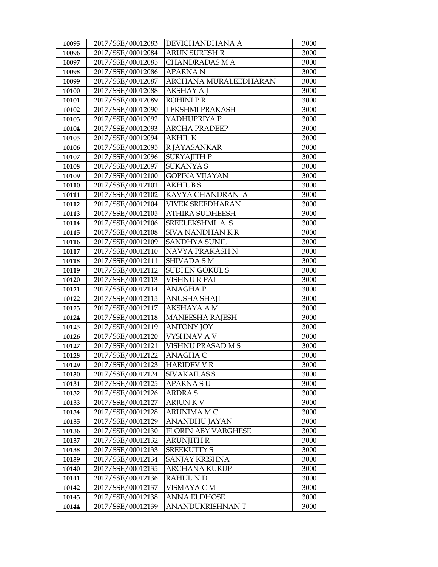| 10095 | 2017/SSE/00012083 | DEVICHANDHANA A            | 3000 |
|-------|-------------------|----------------------------|------|
| 10096 | 2017/SSE/00012084 | <b>ARUN SURESH R</b>       | 3000 |
| 10097 | 2017/SSE/00012085 | <b>CHANDRADAS M A</b>      | 3000 |
| 10098 | 2017/SSE/00012086 | <b>APARNAN</b>             | 3000 |
| 10099 | 2017/SSE/00012087 | ARCHANA MURALEEDHARAN      | 3000 |
| 10100 | 2017/SSE/00012088 | <b>AKSHAY A J</b>          | 3000 |
| 10101 | 2017/SSE/00012089 | <b>ROHINIPR</b>            | 3000 |
| 10102 | 2017/SSE/00012090 | LEKSHMI PRAKASH            | 3000 |
| 10103 | 2017/SSE/00012092 | YADHUPRIYA P               | 3000 |
| 10104 | 2017/SSE/00012093 | <b>ARCHA PRADEEP</b>       | 3000 |
| 10105 | 2017/SSE/00012094 | <b>AKHIL K</b>             | 3000 |
| 10106 | 2017/SSE/00012095 | R JAYASANKAR               | 3000 |
| 10107 | 2017/SSE/00012096 | <b>SURYAJITH P</b>         | 3000 |
| 10108 | 2017/SSE/00012097 | <b>SUKANYA S</b>           | 3000 |
| 10109 | 2017/SSE/00012100 | <b>GOPIKA VIJAYAN</b>      | 3000 |
| 10110 | 2017/SSE/00012101 | <b>AKHIL BS</b>            | 3000 |
| 10111 | 2017/SSE/00012102 | KAVYA CHANDRAN A           | 3000 |
| 10112 | 2017/SSE/00012104 | <b>VIVEK SREEDHARAN</b>    | 3000 |
| 10113 | 2017/SSE/00012105 | <b>ATHIRA SUDHEESH</b>     | 3000 |
| 10114 | 2017/SSE/00012106 | SREELEKSHMI A S            | 3000 |
| 10115 | 2017/SSE/00012108 | SIVA NANDHAN K R           | 3000 |
| 10116 | 2017/SSE/00012109 | SANDHYA SUNIL              | 3000 |
| 10117 | 2017/SSE/00012110 | NAVYA PRAKASH N            | 3000 |
| 10118 | 2017/SSE/00012111 | <b>SHIVADA SM</b>          | 3000 |
| 10119 | 2017/SSE/00012112 | <b>SUDHIN GOKUL S</b>      | 3000 |
| 10120 | 2017/SSE/00012113 | <b>VISHNU R PAI</b>        | 3000 |
| 10121 | 2017/SSE/00012114 | <b>ANAGHAP</b>             | 3000 |
| 10122 | 2017/SSE/00012115 | <b>ANUSHA SHAJI</b>        | 3000 |
| 10123 | 2017/SSE/00012117 | <b>AKSHAYA A M</b>         | 3000 |
| 10124 | 2017/SSE/00012118 | <b>MANEESHA RAJESH</b>     | 3000 |
| 10125 | 2017/SSE/00012119 | <b>ANTONY JOY</b>          | 3000 |
| 10126 | 2017/SSE/00012120 | VYSHNAV A V                | 3000 |
| 10127 | 2017/SSE/00012121 | VISHNU PRASAD M S          | 3000 |
| 10128 | 2017/SSE/00012122 | <b>ANAGHA C</b>            | 3000 |
| 10129 | 2017/SSE/00012123 | <b>HARIDEV V R</b>         | 3000 |
| 10130 | 2017/SSE/00012124 | SIVAKAILAS S               | 3000 |
| 10131 | 2017/SSE/00012125 | APARNA S U                 | 3000 |
| 10132 | 2017/SSE/00012126 | <b>ARDRA S</b>             | 3000 |
| 10133 | 2017/SSE/00012127 | <b>ARJUNKV</b>             | 3000 |
| 10134 | 2017/SSE/00012128 | ARUNIMA M C                | 3000 |
| 10135 | 2017/SSE/00012129 | ANANDHU JAYAN              | 3000 |
| 10136 | 2017/SSE/00012130 | <b>FLORIN ABY VARGHESE</b> | 3000 |
| 10137 | 2017/SSE/00012132 | <b>ARUNJITH R</b>          | 3000 |
| 10138 | 2017/SSE/00012133 | <b>SREEKUTTY S</b>         | 3000 |
| 10139 | 2017/SSE/00012134 | SANJAY KRISHNA             | 3000 |
| 10140 | 2017/SSE/00012135 | <b>ARCHANA KURUP</b>       | 3000 |
| 10141 | 2017/SSE/00012136 | RAHUL N D                  | 3000 |
| 10142 | 2017/SSE/00012137 | VISMAYA C M                | 3000 |
| 10143 | 2017/SSE/00012138 | <b>ANNA ELDHOSE</b>        | 3000 |
| 10144 | 2017/SSE/00012139 | ANANDUKRISHNAN T           | 3000 |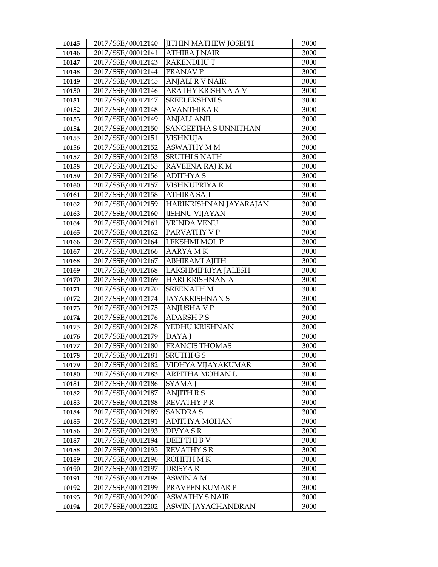| 10145 | 2017/SSE/00012140 | <b>JITHIN MATHEW JOSEPH</b> | 3000 |
|-------|-------------------|-----------------------------|------|
| 10146 | 2017/SSE/00012141 | <b>ATHIRA J NAIR</b>        | 3000 |
| 10147 | 2017/SSE/00012143 | <b>RAKENDHUT</b>            | 3000 |
| 10148 | 2017/SSE/00012144 | PRANAV P                    | 3000 |
| 10149 | 2017/SSE/00012145 | <b>ANJALI R V NAIR</b>      | 3000 |
| 10150 | 2017/SSE/00012146 | ARATHY KRISHNA A V          | 3000 |
| 10151 | 2017/SSE/00012147 | <b>SREELEKSHMI S</b>        | 3000 |
| 10152 | 2017/SSE/00012148 | <b>AVANTHIKA R</b>          | 3000 |
| 10153 | 2017/SSE/00012149 | <b>ANJALI ANIL</b>          | 3000 |
| 10154 | 2017/SSE/00012150 | SANGEETHA SUNNITHAN         | 3000 |
| 10155 | 2017/SSE/00012151 | <b>VISHNUJA</b>             | 3000 |
| 10156 | 2017/SSE/00012152 | <b>ASWATHY MM</b>           | 3000 |
| 10157 | 2017/SSE/00012153 | <b>SRUTHI S NATH</b>        | 3000 |
| 10158 | 2017/SSE/00012155 | RAVEENA RAJ K M             | 3000 |
| 10159 | 2017/SSE/00012156 | <b>ADITHYAS</b>             | 3000 |
| 10160 | 2017/SSE/00012157 | VISHNUPRIYA R               | 3000 |
| 10161 | 2017/SSE/00012158 | <b>ATHIRA SAJI</b>          | 3000 |
| 10162 | 2017/SSE/00012159 | HARIKRISHNAN JAYARAJAN      | 3000 |
| 10163 | 2017/SSE/00012160 | <b>JISHNU VIJAYAN</b>       | 3000 |
| 10164 | 2017/SSE/00012161 | <b>VRINDA VENU</b>          | 3000 |
| 10165 | 2017/SSE/00012162 | PARVATHY V P                | 3000 |
| 10166 | 2017/SSE/00012164 | LEKSHMI MOL P               | 3000 |
| 10167 | 2017/SSE/00012166 | <b>AARYA MK</b>             | 3000 |
| 10168 | 2017/SSE/00012167 | <b>ABHIRAMI AJITH</b>       | 3000 |
| 10169 | 2017/SSE/00012168 | LAKSHMIPRIYA JALESH         | 3000 |
| 10170 | 2017/SSE/00012169 | HARI KRISHNAN A             | 3000 |
| 10171 | 2017/SSE/00012170 | <b>SREENATH M</b>           | 3000 |
| 10172 | 2017/SSE/00012174 | <b>JAYAKRISHNAN S</b>       | 3000 |
| 10173 | 2017/SSE/00012175 | <b>ANJUSHA V P</b>          | 3000 |
| 10174 | 2017/SSE/00012176 | <b>ADARSH PS</b>            | 3000 |
| 10175 | 2017/SSE/00012178 | YEDHU KRISHNAN              | 3000 |
| 10176 | 2017/SSE/00012179 | DAYA J                      | 3000 |
| 10177 | 2017/SSE/00012180 | <b>FRANCIS THOMAS</b>       | 3000 |
| 10178 | 2017/SSE/00012181 | SRUTHI G S                  | 3000 |
| 10179 | 2017/SSE/00012182 | VIDHYA VIJAYAKUMAR          | 3000 |
| 10180 | 2017/SSE/00012183 | ARPITHA MOHAN L             | 3000 |
| 10181 | 2017/SSE/00012186 | SYAMA J                     | 3000 |
| 10182 | 2017/SSE/00012187 | <b>ANJITH R S</b>           | 3000 |
| 10183 | 2017/SSE/00012188 | REVATHY PR                  | 3000 |
| 10184 | 2017/SSE/00012189 | <b>SANDRA S</b>             | 3000 |
| 10185 | 2017/SSE/00012191 | ADITHYA MOHAN               | 3000 |
| 10186 | 2017/SSE/00012193 | DIVYA S R                   | 3000 |
| 10187 | 2017/SSE/00012194 | DEEPTHI BV                  | 3000 |
| 10188 | 2017/SSE/00012195 | <b>REVATHY S R</b>          | 3000 |
| 10189 | 2017/SSE/00012196 | ROHITH M K                  | 3000 |
| 10190 | 2017/SSE/00012197 | DRISYA R                    | 3000 |
| 10191 | 2017/SSE/00012198 | ASWIN A M                   | 3000 |
| 10192 | 2017/SSE/00012199 | PRAVEEN KUMAR P             | 3000 |
| 10193 | 2017/SSE/00012200 | <b>ASWATHY S NAIR</b>       | 3000 |
| 10194 | 2017/SSE/00012202 | ASWIN JAYACHANDRAN          | 3000 |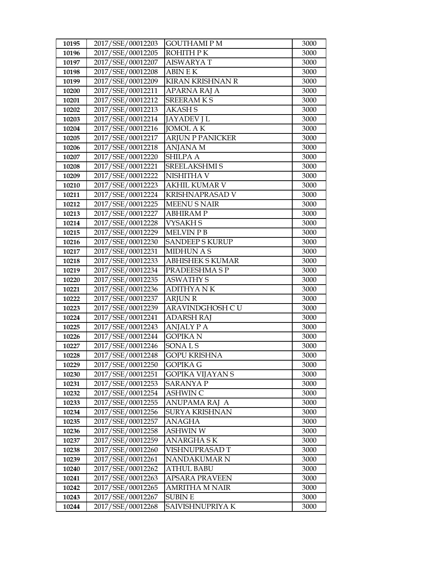| 10195 | 2017/SSE/00012203 | <b>GOUTHAMI P M</b>     | 3000 |
|-------|-------------------|-------------------------|------|
| 10196 | 2017/SSE/00012205 | ROHITH P K              | 3000 |
| 10197 | 2017/SSE/00012207 | <b>AISWARYAT</b>        | 3000 |
| 10198 | 2017/SSE/00012208 | <b>ABIN E K</b>         | 3000 |
| 10199 | 2017/SSE/00012209 | KIRAN KRISHNAN R        | 3000 |
| 10200 | 2017/SSE/00012211 | APARNA RAJ A            | 3000 |
| 10201 | 2017/SSE/00012212 | SREERAM K S             | 3000 |
| 10202 | 2017/SSE/00012213 | <b>AKASHS</b>           | 3000 |
| 10203 | 2017/SSE/00012214 | <b>JAYADEV J L</b>      | 3000 |
| 10204 | 2017/SSE/00012216 | <b>JOMOL AK</b>         | 3000 |
| 10205 | 2017/SSE/00012217 | <b>ARJUN P PANICKER</b> | 3000 |
| 10206 | 2017/SSE/00012218 | <b>ANJANA M</b>         | 3000 |
| 10207 | 2017/SSE/00012220 | <b>SHILPA A</b>         | 3000 |
| 10208 | 2017/SSE/00012221 | SREELAKSHMI S           | 3000 |
| 10209 | 2017/SSE/00012222 | NISHITHA V              | 3000 |
| 10210 | 2017/SSE/00012223 | <b>AKHIL KUMAR V</b>    | 3000 |
| 10211 | 2017/SSE/00012224 | <b>KRISHNAPRASAD V</b>  | 3000 |
| 10212 | 2017/SSE/00012225 | <b>MEENU S NAIR</b>     | 3000 |
| 10213 | 2017/SSE/00012227 | <b>ABHIRAMP</b>         | 3000 |
| 10214 | 2017/SSE/00012228 | <b>VYSAKH S</b>         | 3000 |
| 10215 | 2017/SSE/00012229 | <b>MELVIN PB</b>        | 3000 |
| 10216 | 2017/SSE/00012230 | <b>SANDEEP S KURUP</b>  | 3000 |
| 10217 | 2017/SSE/00012231 | <b>MIDHUN A S</b>       | 3000 |
| 10218 | 2017/SSE/00012233 | <b>ABHISHEK S KUMAR</b> | 3000 |
| 10219 | 2017/SSE/00012234 | PRADEESHMA S P          | 3000 |
| 10220 | 2017/SSE/00012235 | <b>ASWATHY S</b>        | 3000 |
| 10221 | 2017/SSE/00012236 | <b>ADITHYANK</b>        | 3000 |
| 10222 | 2017/SSE/00012237 | <b>ARJUN R</b>          | 3000 |
| 10223 | 2017/SSE/00012239 | ARAVINDGHOSH CU         | 3000 |
| 10224 | 2017/SSE/00012241 | <b>ADARSH RAJ</b>       | 3000 |
| 10225 | 2017/SSE/00012243 | ANJALY P A              | 3000 |
| 10226 | 2017/SSE/00012244 | <b>GOPIKA N</b>         | 3000 |
| 10227 | 2017/SSE/00012246 | SONAL <sub>S</sub>      | 3000 |
| 10228 | 2017/SSE/00012248 | <b>GOPU KRISHNA</b>     | 3000 |
| 10229 | 2017/SSE/00012250 | <b>GOPIKA G</b>         | 3000 |
| 10230 | 2017/SSE/00012251 | GOPIKA VIJAYAN S        | 3000 |
| 10231 | 2017/SSE/00012253 | SARANYA P               | 3000 |
| 10232 | 2017/SSE/00012254 | ASHWIN C                | 3000 |
| 10233 | 2017/SSE/00012255 | ANUPAMA RAJ A           | 3000 |
| 10234 | 2017/SSE/00012256 | SURYA KRISHNAN          | 3000 |
| 10235 | 2017/SSE/00012257 | ANAGHA                  | 3000 |
| 10236 | 2017/SSE/00012258 | <b>ASHWIN W</b>         | 3000 |
| 10237 | 2017/SSE/00012259 | <b>ANARGHASK</b>        | 3000 |
| 10238 | 2017/SSE/00012260 | VISHNUPRASAD T          | 3000 |
| 10239 | 2017/SSE/00012261 | NANDAKUMAR N            | 3000 |
| 10240 | 2017/SSE/00012262 | ATHUL BABU              | 3000 |
| 10241 | 2017/SSE/00012263 | APSARA PRAVEEN          | 3000 |
| 10242 | 2017/SSE/00012265 | <b>AMRITHA M NAIR</b>   | 3000 |
| 10243 | 2017/SSE/00012267 | <b>SUBIN E</b>          | 3000 |
| 10244 | 2017/SSE/00012268 | SAIVISHNUPRIYA K        | 3000 |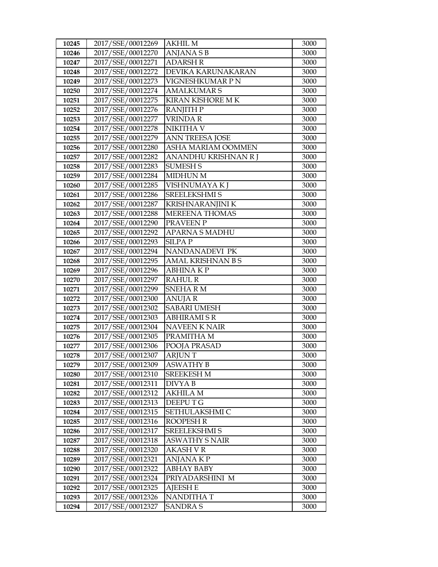| 10245 | 2017/SSE/00012269 | AKHIL M                  | 3000 |
|-------|-------------------|--------------------------|------|
| 10246 | 2017/SSE/00012270 | <b>ANJANASB</b>          | 3000 |
| 10247 | 2017/SSE/00012271 | <b>ADARSH R</b>          | 3000 |
| 10248 | 2017/SSE/00012272 | DEVIKA KARUNAKARAN       | 3000 |
| 10249 | 2017/SSE/00012273 | VIGNESHKUMAR P N         | 3000 |
| 10250 | 2017/SSE/00012274 | <b>AMALKUMAR S</b>       | 3000 |
| 10251 | 2017/SSE/00012275 | <b>KIRAN KISHORE M K</b> | 3000 |
| 10252 | 2017/SSE/00012276 | <b>RANJITH P</b>         | 3000 |
| 10253 | 2017/SSE/00012277 | <b>VRINDAR</b>           | 3000 |
| 10254 | 2017/SSE/00012278 | <b>NIKITHA V</b>         | 3000 |
| 10255 | 2017/SSE/00012279 | <b>ANN TREESA JOSE</b>   | 3000 |
| 10256 | 2017/SSE/00012280 | ASHA MARIAM OOMMEN       | 3000 |
| 10257 | 2017/SSE/00012282 | ANANDHU KRISHNAN R J     | 3000 |
| 10258 | 2017/SSE/00012283 | <b>SUMESH S</b>          | 3000 |
| 10259 | 2017/SSE/00012284 | <b>MIDHUN M</b>          | 3000 |
| 10260 | 2017/SSE/00012285 | VISHNUMAYA K J           | 3000 |
| 10261 | 2017/SSE/00012286 | <b>SREELEKSHMI S</b>     | 3000 |
| 10262 | 2017/SSE/00012287 | KRISHNARANJINI K         | 3000 |
| 10263 | 2017/SSE/00012288 | <b>MEREENA THOMAS</b>    | 3000 |
| 10264 | 2017/SSE/00012290 | PRAVEEN P                | 3000 |
| 10265 | 2017/SSE/00012292 | APARNA S MADHU           | 3000 |
| 10266 | 2017/SSE/00012293 | <b>SILPAP</b>            | 3000 |
| 10267 | 2017/SSE/00012294 | NANDANADEVI PK           | 3000 |
| 10268 | 2017/SSE/00012295 | <b>AMAL KRISHNAN B S</b> | 3000 |
| 10269 | 2017/SSE/00012296 | <b>ABHINAKP</b>          | 3000 |
| 10270 | 2017/SSE/00012297 | <b>RAHUL R</b>           | 3000 |
| 10271 | 2017/SSE/00012299 | <b>SNEHARM</b>           | 3000 |
| 10272 | 2017/SSE/00012300 | <b>ANUJAR</b>            | 3000 |
| 10273 | 2017/SSE/00012302 | <b>SABARI UMESH</b>      | 3000 |
| 10274 | 2017/SSE/00012303 | <b>ABHIRAMI S R</b>      | 3000 |
| 10275 | 2017/SSE/00012304 | <b>NAVEEN K NAIR</b>     | 3000 |
| 10276 | 2017/SSE/00012305 | PRAMITHA M               | 3000 |
| 10277 | 2017/SSE/00012306 | POOJA PRASAD             | 3000 |
| 10278 | 2017/SSE/00012307 | <b>ARJUNT</b>            | 3000 |
| 10279 | 2017/SSE/00012309 | <b>ASWATHY B</b>         | 3000 |
| 10280 | 2017/SSE/00012310 | <b>SREEKESH M</b>        | 3000 |
| 10281 | 2017/SSE/00012311 | DIVYA B                  | 3000 |
| 10282 | 2017/SSE/00012312 | <b>AKHILA M</b>          | 3000 |
| 10283 | 2017/SSE/00012313 | DEEPUTG                  | 3000 |
| 10284 | 2017/SSE/00012315 | SETHULAKSHMI C           | 3000 |
| 10285 | 2017/SSE/00012316 | <b>ROOPESH R</b>         | 3000 |
| 10286 | 2017/SSE/00012317 | SREELEKSHMI S            | 3000 |
| 10287 | 2017/SSE/00012318 | <b>ASWATHY S NAIR</b>    | 3000 |
| 10288 | 2017/SSE/00012320 | <b>AKASH V R</b>         | 3000 |
| 10289 | 2017/SSE/00012321 | ANJANA K P               | 3000 |
| 10290 | 2017/SSE/00012322 | ABHAY BABY               | 3000 |
| 10291 | 2017/SSE/00012324 | PRIYADARSHINI M          | 3000 |
| 10292 | 2017/SSE/00012325 | <b>AJEESH E</b>          | 3000 |
| 10293 | 2017/SSE/00012326 | <b>NANDITHAT</b>         | 3000 |
| 10294 | 2017/SSE/00012327 | <b>SANDRA S</b>          | 3000 |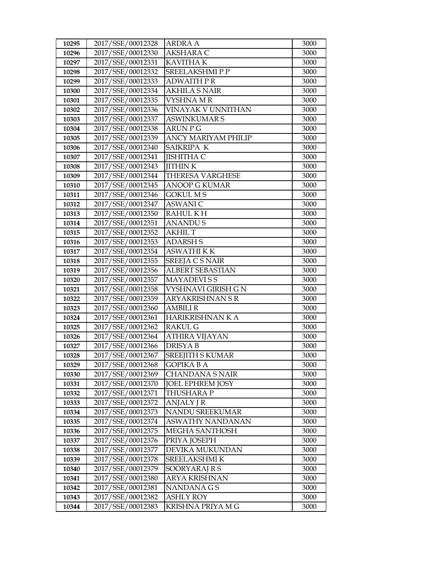| 10295 | 2017/SSE/00012328 | <b>ARDRA A</b>             | 3000 |
|-------|-------------------|----------------------------|------|
| 10296 | 2017/SSE/00012330 | <b>AKSHARA C</b>           | 3000 |
| 10297 | 2017/SSE/00012331 | <b>KAVITHAK</b>            | 3000 |
| 10298 | 2017/SSE/00012332 | <b>SREELAKSHMIPP</b>       | 3000 |
| 10299 | 2017/SSE/00012333 | <b>ADWAITH PR</b>          | 3000 |
| 10300 | 2017/SSE/00012334 | <b>AKHILA S NAIR</b>       | 3000 |
| 10301 | 2017/SSE/00012335 | VYSHNA M R                 | 3000 |
| 10302 | 2017/SSE/00012336 | VINAYAK V UNNITHAN         | 3000 |
| 10303 | 2017/SSE/00012337 | <b>ASWINKUMAR S</b>        | 3000 |
| 10304 | 2017/SSE/00012338 | <b>ARUN P G</b>            | 3000 |
| 10305 | 2017/SSE/00012339 | <b>ANCY MARIYAM PHILIP</b> | 3000 |
| 10306 | 2017/SSE/00012340 | SAIKRIPA K                 | 3000 |
| 10307 | 2017/SSE/00012341 | <b>JISHITHA C</b>          | 3000 |
| 10308 | 2017/SSE/00012343 | <b>JITHINK</b>             | 3000 |
| 10309 | 2017/SSE/00012344 | <b>THERESA VARGHESE</b>    | 3000 |
| 10310 | 2017/SSE/00012345 | <b>ANOOP G KUMAR</b>       | 3000 |
| 10311 | 2017/SSE/00012346 | GOKUL M S                  | 3000 |
| 10312 | 2017/SSE/00012347 | <b>ASWANIC</b>             | 3000 |
| 10313 | 2017/SSE/00012350 | <b>RAHULKH</b>             | 3000 |
| 10314 | 2017/SSE/00012351 | <b>ANANDUS</b>             | 3000 |
| 10315 | 2017/SSE/00012352 | <b>AKHIL T</b>             | 3000 |
| 10316 | 2017/SSE/00012353 | <b>ADARSH S</b>            | 3000 |
| 10317 | 2017/SSE/00012354 | <b>ASWATHIKK</b>           | 3000 |
| 10318 | 2017/SSE/00012355 | <b>SREEJA C S NAIR</b>     | 3000 |
| 10319 | 2017/SSE/00012356 | <b>ALBERT SEBASTIAN</b>    | 3000 |
| 10320 | 2017/SSE/00012357 | <b>MAYADEVISS</b>          | 3000 |
| 10321 | 2017/SSE/00012358 | VYSHNAVI GIRISH G N        | 3000 |
| 10322 | 2017/SSE/00012359 | <b>ARYAKRISHNAN S R</b>    | 3000 |
| 10323 | 2017/SSE/00012360 | <b>AMBILI R</b>            | 3000 |
| 10324 | 2017/SSE/00012361 | HARIKRISHNAN K A           | 3000 |
| 10325 | 2017/SSE/00012362 | <b>RAKUL G</b>             | 3000 |
| 10326 | 2017/SSE/00012364 | <b>ATHIRA VIJAYAN</b>      | 3000 |
| 10327 | 2017/SSE/00012366 | <b>DRISYAB</b>             | 3000 |
| 10328 | 2017/SSE/00012367 | <b>SREEJITH S KUMAR</b>    | 3000 |
| 10329 | 2017/SSE/00012368 | <b>GOPIKA B A</b>          | 3000 |
| 10330 | 2017/SSE/00012369 | CHANDANA S NAIR            | 3000 |
| 10331 | 2017/SSE/00012370 | <b>JOEL EPHREM JOSY</b>    | 3000 |
| 10332 | 2017/SSE/00012371 | THUSHARA P                 | 3000 |
| 10333 | 2017/SSE/00012372 | <b>ANJALY J R</b>          | 3000 |
| 10334 | 2017/SSE/00012373 | NANDU SREEKUMAR            | 3000 |
| 10335 | 2017/SSE/00012374 | ASWATHY NANDANAN           | 3000 |
| 10336 | 2017/SSE/00012375 | MEGHA SANTHOSH             | 3000 |
| 10337 | 2017/SSE/00012376 | PRIYA JOSEPH               | 3000 |
| 10338 | 2017/SSE/00012377 | DEVIKA MUKUNDAN            | 3000 |
| 10339 | 2017/SSE/00012378 | SREELAKSHMI K              | 3000 |
| 10340 | 2017/SSE/00012379 | SOORYARAJ R S              | 3000 |
| 10341 | 2017/SSE/00012380 | <b>ARYA KRISHNAN</b>       | 3000 |
| 10342 | 2017/SSE/00012381 | NANDANA G S                | 3000 |
| 10343 | 2017/SSE/00012382 | <b>ASHLY ROY</b>           | 3000 |
| 10344 | 2017/SSE/00012383 | KRISHNA PRIYA M G          | 3000 |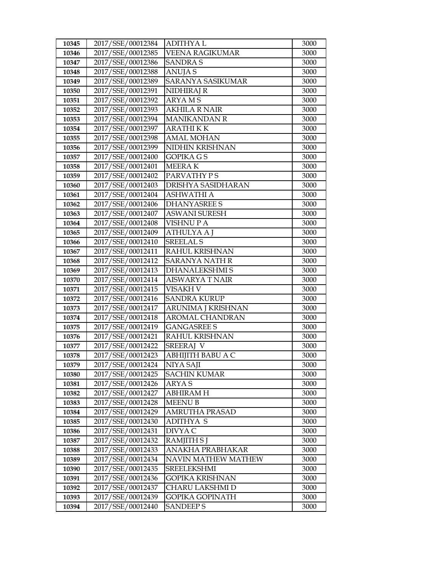| 10345 | 2017/SSE/00012384 | <b>ADITHYAL</b>        | 3000 |
|-------|-------------------|------------------------|------|
| 10346 | 2017/SSE/00012385 | VEENA RAGIKUMAR        | 3000 |
| 10347 | 2017/SSE/00012386 | <b>SANDRAS</b>         | 3000 |
| 10348 | 2017/SSE/00012388 | <b>ANUJAS</b>          | 3000 |
| 10349 | 2017/SSE/00012389 | SARANYA SASIKUMAR      | 3000 |
| 10350 | 2017/SSE/00012391 | NIDHIRAJ R             | 3000 |
| 10351 | 2017/SSE/00012392 | <b>ARYAMS</b>          | 3000 |
| 10352 | 2017/SSE/00012393 | <b>AKHILA R NAIR</b>   | 3000 |
| 10353 | 2017/SSE/00012394 | <b>MANIKANDAN R</b>    | 3000 |
| 10354 | 2017/SSE/00012397 | <b>ARATHIKK</b>        | 3000 |
| 10355 | 2017/SSE/00012398 | <b>AMAL MOHAN</b>      | 3000 |
| 10356 | 2017/SSE/00012399 | NIDHIN KRISHNAN        | 3000 |
| 10357 | 2017/SSE/00012400 | <b>GOPIKA GS</b>       | 3000 |
| 10358 | 2017/SSE/00012401 | <b>MEERAK</b>          | 3000 |
| 10359 | 2017/SSE/00012402 | PARVATHY PS            | 3000 |
| 10360 | 2017/SSE/00012403 | DRISHYA SASIDHARAN     | 3000 |
| 10361 | 2017/SSE/00012404 | ASHWATHI A             | 3000 |
| 10362 | 2017/SSE/00012406 | <b>DHANYASREE S</b>    | 3000 |
| 10363 | 2017/SSE/00012407 | <b>ASWANI SURESH</b>   | 3000 |
| 10364 | 2017/SSE/00012408 | <b>VISHNU P A</b>      | 3000 |
| 10365 | 2017/SSE/00012409 | ATHULYA A J            | 3000 |
| 10366 | 2017/SSE/00012410 | <b>SREELAL S</b>       | 3000 |
| 10367 | 2017/SSE/00012411 | RAHUL KRISHNAN         | 3000 |
| 10368 | 2017/SSE/00012412 | <b>SARANYA NATH R</b>  | 3000 |
| 10369 | 2017/SSE/00012413 | <b>DHANALEKSHMIS</b>   | 3000 |
| 10370 | 2017/SSE/00012414 | AISWARYA T NAIR        | 3000 |
| 10371 | 2017/SSE/00012415 | VISAKH V               | 3000 |
| 10372 | 2017/SSE/00012416 | <b>SANDRA KURUP</b>    | 3000 |
| 10373 | 2017/SSE/00012417 | ARUNIMA J KRISHNAN     | 3000 |
| 10374 | 2017/SSE/00012418 | AROMAL CHANDRAN        | 3000 |
| 10375 | 2017/SSE/00012419 | <b>GANGASREE S</b>     | 3000 |
| 10376 | 2017/SSE/00012421 | RAHUL KRISHNAN         | 3000 |
| 10377 | 2017/SSE/00012422 | <b>SREERAJ V</b>       | 3000 |
| 10378 | 2017/SSE/00012423 | ABHIJITH BABU A C      | 3000 |
| 10379 | 2017/SSE/00012424 | NIYA SAJI              | 3000 |
| 10380 | 2017/SSE/00012425 | <b>SACHIN KUMAR</b>    | 3000 |
| 10381 | 2017/SSE/00012426 | ARYA S                 | 3000 |
| 10382 | 2017/SSE/00012427 | <b>ABHIRAM H</b>       | 3000 |
| 10383 | 2017/SSE/00012428 | <b>MEENU B</b>         | 3000 |
| 10384 | 2017/SSE/00012429 | <b>AMRUTHA PRASAD</b>  | 3000 |
| 10385 | 2017/SSE/00012430 | ADITHYA S              | 3000 |
| 10386 | 2017/SSE/00012431 | DIVYA C                | 3000 |
| 10387 | 2017/SSE/00012432 | RAMJITH S J            | 3000 |
| 10388 | 2017/SSE/00012433 | ANAKHA PRABHAKAR       | 3000 |
| 10389 | 2017/SSE/00012434 | NAVIN MATHEW MATHEW    | 3000 |
| 10390 | 2017/SSE/00012435 | <b>SREELEKSHMI</b>     | 3000 |
| 10391 | 2017/SSE/00012436 | GOPIKA KRISHNAN        | 3000 |
| 10392 | 2017/SSE/00012437 | CHARU LAKSHMI D        | 3000 |
| 10393 | 2017/SSE/00012439 | <b>GOPIKA GOPINATH</b> | 3000 |
| 10394 | 2017/SSE/00012440 | <b>SANDEEPS</b>        | 3000 |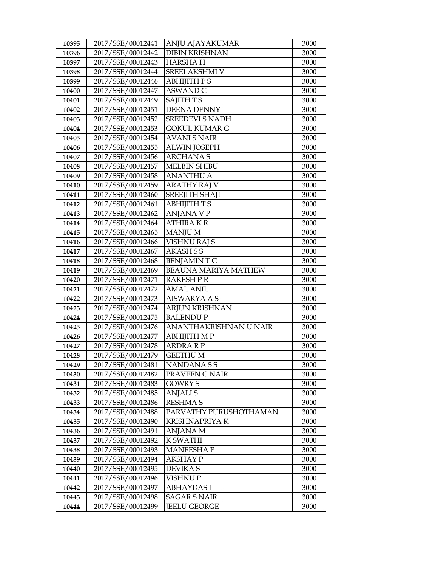| 10395 | 2017/SSE/00012441 | ANJU AJAYAKUMAR             | 3000 |
|-------|-------------------|-----------------------------|------|
| 10396 | 2017/SSE/00012442 | <b>DIBIN KRISHNAN</b>       | 3000 |
| 10397 | 2017/SSE/00012443 | <b>HARSHAH</b>              | 3000 |
| 10398 | 2017/SSE/00012444 | SREELAKSHMI V               | 3000 |
| 10399 | 2017/SSE/00012446 | <b>ABHIJITH PS</b>          | 3000 |
| 10400 | 2017/SSE/00012447 | <b>ASWAND C</b>             | 3000 |
| 10401 | 2017/SSE/00012449 | <b>SAJITH TS</b>            | 3000 |
| 10402 | 2017/SSE/00012451 | <b>DEENA DENNY</b>          | 3000 |
| 10403 | 2017/SSE/00012452 | <b>SREEDEVI S NADH</b>      | 3000 |
| 10404 | 2017/SSE/00012453 | <b>GOKUL KUMAR G</b>        | 3000 |
| 10405 | 2017/SSE/00012454 | <b>AVANI S NAIR</b>         | 3000 |
| 10406 | 2017/SSE/00012455 | <b>ALWIN JOSEPH</b>         | 3000 |
| 10407 | 2017/SSE/00012456 | <b>ARCHANAS</b>             | 3000 |
| 10408 | 2017/SSE/00012457 | <b>MELBIN SHIBU</b>         | 3000 |
| 10409 | 2017/SSE/00012458 | <b>ANANTHU A</b>            | 3000 |
| 10410 | 2017/SSE/00012459 | <b>ARATHY RAJ V</b>         | 3000 |
| 10411 | 2017/SSE/00012460 | <b>SREEJITH SHAJI</b>       | 3000 |
| 10412 | 2017/SSE/00012461 | <b>ABHIJITH TS</b>          | 3000 |
| 10413 | 2017/SSE/00012462 | <b>ANJANA V P</b>           | 3000 |
| 10414 | 2017/SSE/00012464 | <b>ATHIRAKR</b>             | 3000 |
| 10415 | 2017/SSE/00012465 | <b>MANJUM</b>               | 3000 |
| 10416 | 2017/SSE/00012466 | <b>VISHNU RAJ S</b>         | 3000 |
| 10417 | 2017/SSE/00012467 | <b>AKASHSS</b>              | 3000 |
| 10418 | 2017/SSE/00012468 | <b>BENJAMINTC</b>           | 3000 |
| 10419 | 2017/SSE/00012469 | <b>BEAUNA MARIYA MATHEW</b> | 3000 |
| 10420 | 2017/SSE/00012471 | <b>RAKESH P R</b>           | 3000 |
| 10421 | 2017/SSE/00012472 | <b>AMAL ANIL</b>            | 3000 |
| 10422 | 2017/SSE/00012473 | <b>AISWARYA A S</b>         | 3000 |
| 10423 | 2017/SSE/00012474 | <b>ARJUN KRISHNAN</b>       | 3000 |
| 10424 | 2017/SSE/00012475 | <b>BALENDUP</b>             | 3000 |
| 10425 | 2017/SSE/00012476 | ANANTHAKRISHNAN U NAIR      | 3000 |
| 10426 | 2017/SSE/00012477 | АВНІЈІТН МР                 | 3000 |
| 10427 | 2017/SSE/00012478 | <b>ARDRA R P</b>            | 3000 |
| 10428 | 2017/SSE/00012479 | <b>GEETHUM</b>              | 3000 |
| 10429 | 2017/SSE/00012481 | NANDANA S S                 | 3000 |
| 10430 | 2017/SSE/00012482 | PRAVEEN C NAIR              | 3000 |
| 10431 | 2017/SSE/00012483 | <b>GOWRY S</b>              | 3000 |
| 10432 | 2017/SSE/00012485 | <b>ANJALIS</b>              | 3000 |
| 10433 | 2017/SSE/00012486 | <b>RESHMA S</b>             | 3000 |
| 10434 | 2017/SSE/00012488 | PARVATHY PURUSHOTHAMAN      | 3000 |
| 10435 | 2017/SSE/00012490 | KRISHNAPRIYA K              | 3000 |
| 10436 | 2017/SSE/00012491 | ANJANA M                    | 3000 |
| 10437 | 2017/SSE/00012492 | K SWATHI                    | 3000 |
| 10438 | 2017/SSE/00012493 | <b>MANEESHAP</b>            | 3000 |
| 10439 | 2017/SSE/00012494 | AKSHAY P                    | 3000 |
| 10440 | 2017/SSE/00012495 | <b>DEVIKAS</b>              | 3000 |
| 10441 | 2017/SSE/00012496 | <b>VISHNUP</b>              | 3000 |
| 10442 | 2017/SSE/00012497 | <b>ABHAYDASL</b>            | 3000 |
| 10443 | 2017/SSE/00012498 | <b>SAGAR S NAIR</b>         | 3000 |
| 10444 | 2017/SSE/00012499 | <b>JEELU GEORGE</b>         | 3000 |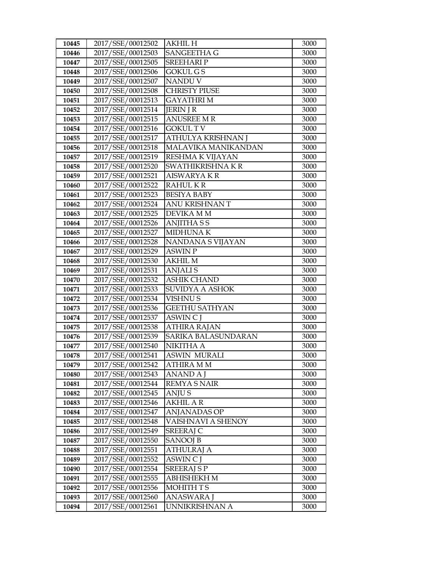| 10445          | 2017/SSE/00012502                      | <b>AKHIL H</b>            | 3000         |
|----------------|----------------------------------------|---------------------------|--------------|
| 10446          | 2017/SSE/00012503                      | <b>SANGEETHA G</b>        | 3000         |
| 10447          | 2017/SSE/00012505                      | <b>SREEHARIP</b>          | 3000         |
| 10448          | 2017/SSE/00012506                      | <b>GOKUL GS</b>           | 3000         |
| 10449          | 2017/SSE/00012507                      | NANDU V                   | 3000         |
| 10450          | 2017/SSE/00012508                      | <b>CHRISTY PIUSE</b>      | 3000         |
| 10451          | 2017/SSE/00012513                      | <b>GAYATHRIM</b>          | 3000         |
| 10452          | 2017/SSE/00012514                      | <b>JERIN J R</b>          | 3000         |
| 10453          | 2017/SSE/00012515                      | <b>ANUSREE M R</b>        | 3000         |
| 10454          | 2017/SSE/00012516                      | <b>GOKULTV</b>            | 3000         |
| 10455          | 2017/SSE/00012517                      | ATHULYA KRISHNAN J        | 3000         |
| 10456          | 2017/SSE/00012518                      | MALAVIKA MANIKANDAN       | 3000         |
| 10457          | 2017/SSE/00012519                      | RESHMA K VIJAYAN          | 3000         |
| 10458          | 2017/SSE/00012520                      | SWATHIKRISHNA KR          | 3000         |
| 10459          | 2017/SSE/00012521                      | <b>AISWARYAKR</b>         | 3000         |
| 10460          | 2017/SSE/00012522                      | <b>RAHULKR</b>            | 3000         |
| 10461          | 2017/SSE/00012523                      | <b>BESIYA BABY</b>        | 3000         |
| 10462          | 2017/SSE/00012524                      | ANU KRISHNAN T            | 3000         |
| 10463          | 2017/SSE/00012525                      | DEVIKA M M                | 3000         |
| 10464          | 2017/SSE/00012526                      | <b>ANJITHASS</b>          | 3000         |
| 10465          | 2017/SSE/00012527                      | <b>MIDHUNAK</b>           | 3000         |
| 10466          | 2017/SSE/00012528                      | NANDANA S VIJAYAN         | 3000         |
| 10467          | 2017/SSE/00012529                      | <b>ASWIN P</b>            | 3000         |
| 10468          | 2017/SSE/00012530                      | <b>AKHIL M</b>            | 3000         |
| 10469          | 2017/SSE/00012531                      | <b>ANJALIS</b>            | 3000         |
| 10470          | 2017/SSE/00012532                      | <b>ASHIK CHAND</b>        | 3000         |
| 10471          | 2017/SSE/00012533                      | <b>SUVIDYA A ASHOK</b>    | 3000         |
| 10472          | 2017/SSE/00012534                      | <b>VISHNUS</b>            | 3000         |
| 10473          | 2017/SSE/00012536                      | <b>GEETHU SATHYAN</b>     | 3000         |
| 10474          | 2017/SSE/00012537                      | <b>ASWIN C J</b>          | 3000         |
| 10475          | 2017/SSE/00012538                      | <b>ATHIRA RAJAN</b>       | 3000         |
| 10476          | 2017/SSE/00012539                      | SARIKA BALASUNDARAN       | 3000         |
| 10477          | 2017/SSE/00012540                      | NIKITHA A                 | 3000         |
| 10478          | 2017/SSE/00012541                      | <b>ASWIN MURALI</b>       | 3000         |
| 10479          | 2017/SSE/00012542                      | ATHIRA M M                | 3000         |
| 10480          | 2017/SSE/00012543                      | <b>ANAND A J</b>          | 3000         |
| 10481          | 2017/SSE/00012544<br>2017/SSE/00012545 | <b>REMYA S NAIR</b>       | 3000         |
| 10482<br>10483 | 2017/SSE/00012546                      | ANJU S<br><b>AKHIL AR</b> | 3000<br>3000 |
| 10484          | 2017/SSE/00012547                      | ANJANADAS OP              | 3000         |
| 10485          | 2017/SSE/00012548                      | VAISHNAVI A SHENOY        | 3000         |
| 10486          | 2017/SSE/00012549                      | <b>SREERAJ C</b>          | 3000         |
| 10487          | 2017/SSE/00012550                      | <b>SANOOJ B</b>           | 3000         |
| 10488          | 2017/SSE/00012551                      | <b>ATHULRAJ A</b>         | 3000         |
| 10489          | 2017/SSE/00012552                      | ASWIN C J                 | 3000         |
| 10490          | 2017/SSE/00012554                      | <b>SREERAJ S P</b>        | 3000         |
| 10491          | 2017/SSE/00012555                      | <b>ABHISHEKH M</b>        | 3000         |
| 10492          | 2017/SSE/00012556                      | MOHITH TS                 | 3000         |
| 10493          | 2017/SSE/00012560                      | <b>ANASWARA J</b>         | 3000         |
| 10494          | 2017/SSE/00012561                      | UNNIKRISHNAN A            | 3000         |
|                |                                        |                           |              |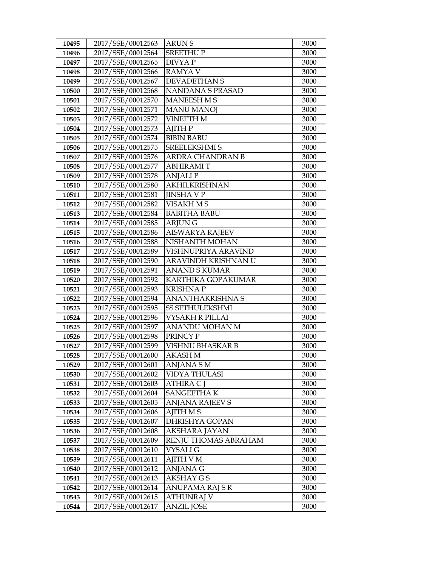| 10495 | 2017/SSE/00012563 | <b>ARUNS</b>            | 3000 |
|-------|-------------------|-------------------------|------|
| 10496 | 2017/SSE/00012564 | <b>SREETHUP</b>         | 3000 |
| 10497 | 2017/SSE/00012565 | <b>DIVYAP</b>           | 3000 |
| 10498 | 2017/SSE/00012566 | <b>RAMYA V</b>          | 3000 |
| 10499 | 2017/SSE/00012567 | <b>DEVADETHAN S</b>     | 3000 |
| 10500 | 2017/SSE/00012568 | NANDANA S PRASAD        | 3000 |
| 10501 | 2017/SSE/00012570 | <b>MANEESH MS</b>       | 3000 |
| 10502 | 2017/SSE/00012571 | <b>MANU MANOJ</b>       | 3000 |
| 10503 | 2017/SSE/00012572 | <b>VINEETH M</b>        | 3000 |
| 10504 | 2017/SSE/00012573 | <b>AJITH P</b>          | 3000 |
| 10505 | 2017/SSE/00012574 | <b>BIBIN BABU</b>       | 3000 |
| 10506 | 2017/SSE/00012575 | SREELEKSHMI S           | 3000 |
| 10507 | 2017/SSE/00012576 | <b>ARDRA CHANDRAN B</b> | 3000 |
| 10508 | 2017/SSE/00012577 | <b>ABHIRAMIT</b>        | 3000 |
| 10509 | 2017/SSE/00012578 | <b>ANJALIP</b>          | 3000 |
| 10510 | 2017/SSE/00012580 | <b>AKHILKRISHNAN</b>    | 3000 |
| 10511 | 2017/SSE/00012581 | <b>JINSHA V P</b>       | 3000 |
| 10512 | 2017/SSE/00012582 | VISAKH M S              | 3000 |
| 10513 | 2017/SSE/00012584 | <b>BABITHA BABU</b>     | 3000 |
| 10514 | 2017/SSE/00012585 | <b>ARJUNG</b>           | 3000 |
| 10515 | 2017/SSE/00012586 | <b>AISWARYA RAJEEV</b>  | 3000 |
| 10516 | 2017/SSE/00012588 | NISHANTH MOHAN          | 3000 |
| 10517 | 2017/SSE/00012589 | VISHNUPRIYA ARAVIND     | 3000 |
| 10518 | 2017/SSE/00012590 | ARAVINDH KRISHNAN U     | 3000 |
| 10519 | 2017/SSE/00012591 | <b>ANAND S KUMAR</b>    | 3000 |
| 10520 | 2017/SSE/00012592 | KARTHIKA GOPAKUMAR      | 3000 |
| 10521 | 2017/SSE/00012593 | <b>KRISHNAP</b>         | 3000 |
| 10522 | 2017/SSE/00012594 | <b>ANANTHAKRISHNA S</b> | 3000 |
| 10523 | 2017/SSE/00012595 | <b>SS SETHULEKSHMI</b>  | 3000 |
| 10524 | 2017/SSE/00012596 | <b>VYSAKH R PILLAI</b>  | 3000 |
| 10525 | 2017/SSE/00012597 | ANANDU MOHAN M          | 3000 |
| 10526 | 2017/SSE/00012598 | PRINCY P                | 3000 |
| 10527 | 2017/SSE/00012599 | VISHNU BHASKAR B        | 3000 |
| 10528 | 2017/SSE/00012600 | <b>AKASH M</b>          | 3000 |
| 10529 | 2017/SSE/00012601 | ANJANA S M              | 3000 |
| 10530 | 2017/SSE/00012602 | VIDYA THULASI           | 3000 |
| 10531 | 2017/SSE/00012603 | ATHIRA C J              | 3000 |
| 10532 | 2017/SSE/00012604 | <b>SANGEETHAK</b>       | 3000 |
| 10533 | 2017/SSE/00012605 | ANJANA RAJEEV S         | 3000 |
| 10534 | 2017/SSE/00012606 | <b>AJITH MS</b>         | 3000 |
| 10535 | 2017/SSE/00012607 | DHRISHYA GOPAN          | 3000 |
| 10536 | 2017/SSE/00012608 | AKSHARA JAYAN           | 3000 |
| 10537 | 2017/SSE/00012609 | RENJU THOMAS ABRAHAM    | 3000 |
| 10538 | 2017/SSE/00012610 | VYSALI G                | 3000 |
| 10539 | 2017/SSE/00012611 | AJITH V M               | 3000 |
| 10540 | 2017/SSE/00012612 | ANJANA G                | 3000 |
| 10541 | 2017/SSE/00012613 | <b>AKSHAY G S</b>       | 3000 |
| 10542 | 2017/SSE/00012614 | ANUPAMA RAJ SR          | 3000 |
| 10543 | 2017/SSE/00012615 | <b>ATHUNRAJ V</b>       | 3000 |
| 10544 | 2017/SSE/00012617 | <b>ANZIL JOSE</b>       | 3000 |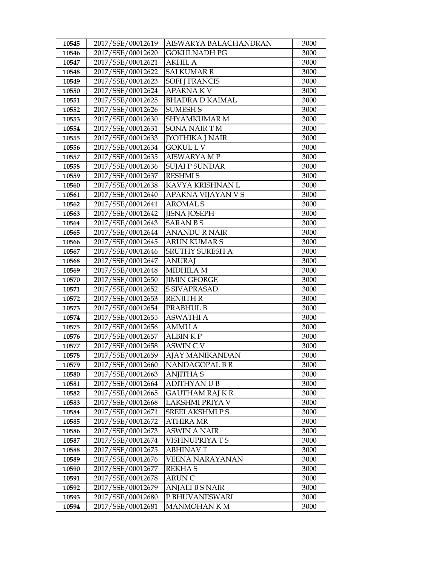| 10545 | 2017/SSE/00012619 | AISWARYA BALACHANDRAN  | 3000 |
|-------|-------------------|------------------------|------|
| 10546 | 2017/SSE/00012620 | <b>GOKULNADH PG</b>    | 3000 |
| 10547 | 2017/SSE/00012621 | <b>AKHIL A</b>         | 3000 |
| 10548 | 2017/SSE/00012622 | <b>SAI KUMAR R</b>     | 3000 |
| 10549 | 2017/SSE/00012623 | <b>SOFI J FRANCIS</b>  | 3000 |
| 10550 | 2017/SSE/00012624 | <b>APARNAKV</b>        | 3000 |
| 10551 | 2017/SSE/00012625 | <b>BHADRA D KAIMAL</b> | 3000 |
| 10552 | 2017/SSE/00012626 | <b>SUMESH S</b>        | 3000 |
| 10553 | 2017/SSE/00012630 | <b>SHYAMKUMAR M</b>    | 3000 |
| 10554 | 2017/SSE/00012631 | <b>SONA NAIR TM</b>    | 3000 |
| 10555 | 2017/SSE/00012633 | <b>JYOTHIKA J NAIR</b> | 3000 |
| 10556 | 2017/SSE/00012634 | <b>GOKUL LV</b>        | 3000 |
| 10557 | 2017/SSE/00012635 | <b>AISWARYA MP</b>     | 3000 |
| 10558 | 2017/SSE/00012636 | <b>SUJAI P SUNDAR</b>  | 3000 |
| 10559 | 2017/SSE/00012637 | <b>RESHMIS</b>         | 3000 |
| 10560 | 2017/SSE/00012638 | KAVYA KRISHNAN L       | 3000 |
| 10561 | 2017/SSE/00012640 | APARNA VIJAYAN V S     | 3000 |
| 10562 | 2017/SSE/00012641 | <b>AROMALS</b>         | 3000 |
| 10563 | 2017/SSE/00012642 | <b>JISNA JOSEPH</b>    | 3000 |
| 10564 | 2017/SSE/00012643 | <b>SARANBS</b>         | 3000 |
| 10565 | 2017/SSE/00012644 | <b>ANANDU R NAIR</b>   | 3000 |
| 10566 | 2017/SSE/00012645 | <b>ARUN KUMAR S</b>    | 3000 |
| 10567 | 2017/SSE/00012646 | SRUTHY SURESH A        | 3000 |
| 10568 | 2017/SSE/00012647 | <b>ANURAJ</b>          | 3000 |
| 10569 | 2017/SSE/00012648 | <b>MIDHILA M</b>       | 3000 |
| 10570 | 2017/SSE/00012650 | <b>JIMIN GEORGE</b>    | 3000 |
| 10571 | 2017/SSE/00012652 | <b>S SIVAPRASAD</b>    | 3000 |
| 10572 | 2017/SSE/00012653 | <b>RENJITH R</b>       | 3000 |
| 10573 | 2017/SSE/00012654 | PRABHUL B              | 3000 |
| 10574 | 2017/SSE/00012655 | <b>ASWATHI A</b>       | 3000 |
| 10575 | 2017/SSE/00012656 | <b>AMMU A</b>          | 3000 |
| 10576 | 2017/SSE/00012657 | <b>ALBIN KP</b>        | 3000 |
| 10577 | 2017/SSE/00012658 | <b>ASWIN C V</b>       | 3000 |
| 10578 | 2017/SSE/00012659 | <b>AJAY MANIKANDAN</b> | 3000 |
| 10579 | 2017/SSE/00012660 | NANDAGOPAL BR          | 3000 |
| 10580 | 2017/SSE/00012663 | <b>ANJITHA S</b>       | 3000 |
| 10581 | 2017/SSE/00012664 | <b>ADITHYAN U B</b>    | 3000 |
| 10582 | 2017/SSE/00012665 | <b>GAUTHAM RAJ K R</b> | 3000 |
| 10583 | 2017/SSE/00012668 | LAKSHMI PRIYA V        | 3000 |
| 10584 | 2017/SSE/00012671 | <b>SREELAKSHMIPS</b>   | 3000 |
| 10585 | 2017/SSE/00012672 | <b>ATHIRA MR</b>       | 3000 |
| 10586 | 2017/SSE/00012673 | <b>ASWIN A NAIR</b>    | 3000 |
| 10587 | 2017/SSE/00012674 | VISHNUPRIYATS          | 3000 |
| 10588 | 2017/SSE/00012675 | <b>ABHINAVT</b>        | 3000 |
| 10589 | 2017/SSE/00012676 | <b>VEENA NARAYANAN</b> | 3000 |
| 10590 | 2017/SSE/00012677 | <b>REKHAS</b>          | 3000 |
| 10591 | 2017/SSE/00012678 | <b>ARUN C</b>          | 3000 |
| 10592 | 2017/SSE/00012679 | <b>ANJALI B S NAIR</b> | 3000 |
| 10593 | 2017/SSE/00012680 | P BHUVANESWARI         | 3000 |
| 10594 | 2017/SSE/00012681 | <b>MANMOHAN K M</b>    | 3000 |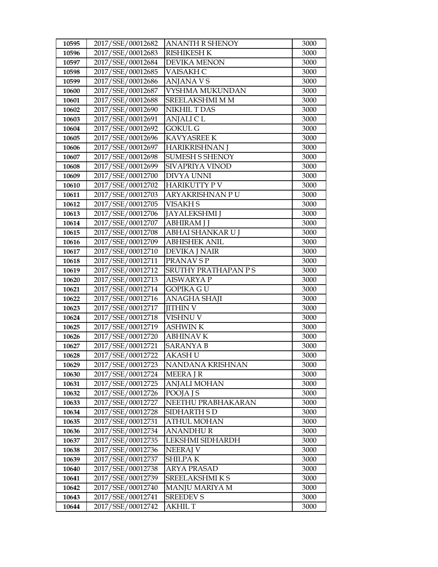| 10595 | 2017/SSE/00012682 | <b>ANANTH R SHENOY</b> | 3000 |
|-------|-------------------|------------------------|------|
| 10596 | 2017/SSE/00012683 | <b>RISHIKESH K</b>     | 3000 |
| 10597 | 2017/SSE/00012684 | <b>DEVIKA MENON</b>    | 3000 |
| 10598 | 2017/SSE/00012685 | VAISAKH C              | 3000 |
| 10599 | 2017/SSE/00012686 | <b>ANJANA VS</b>       | 3000 |
| 10600 | 2017/SSE/00012687 | VYSHMA MUKUNDAN        | 3000 |
| 10601 | 2017/SSE/00012688 | SREELAKSHMI M M        | 3000 |
| 10602 | 2017/SSE/00012690 | <b>NIKHIL T DAS</b>    | 3000 |
| 10603 | 2017/SSE/00012691 | <b>ANJALICL</b>        | 3000 |
| 10604 | 2017/SSE/00012692 | <b>GOKUL G</b>         | 3000 |
| 10605 | 2017/SSE/00012696 | <b>KAVYASREE K</b>     | 3000 |
| 10606 | 2017/SSE/00012697 | <b>HARIKRISHNAN J</b>  | 3000 |
| 10607 | 2017/SSE/00012698 | <b>SUMESH S SHENOY</b> | 3000 |
| 10608 | 2017/SSE/00012699 | SIVAPRIYA VINOD        | 3000 |
| 10609 | 2017/SSE/00012700 | <b>DIVYA UNNI</b>      | 3000 |
| 10610 | 2017/SSE/00012702 | <b>HARIKUTTY PV</b>    | 3000 |
| 10611 | 2017/SSE/00012703 | ARYAKRISHNAN PU        | 3000 |
| 10612 | 2017/SSE/00012705 | <b>VISAKH S</b>        | 3000 |
| 10613 | 2017/SSE/00012706 | <b>JAYALEKSHMI</b> J   | 3000 |
| 10614 | 2017/SSE/00012707 | <b>ABHIRAM J J</b>     | 3000 |
| 10615 | 2017/SSE/00012708 | ABHAI SHANKAR U J      | 3000 |
| 10616 | 2017/SSE/00012709 | <b>ABHISHEK ANIL</b>   | 3000 |
| 10617 | 2017/SSE/00012710 | <b>DEVIKA J NAIR</b>   | 3000 |
| 10618 | 2017/SSE/00012711 | PRANAV S P             | 3000 |
| 10619 | 2017/SSE/00012712 | SRUTHY PRATHAPAN PS    | 3000 |
| 10620 | 2017/SSE/00012713 | <b>AISWARYA P</b>      | 3000 |
| 10621 | 2017/SSE/00012714 | GOPIKA G U             | 3000 |
| 10622 | 2017/SSE/00012716 | <b>ANAGHA SHAJI</b>    | 3000 |
| 10623 | 2017/SSE/00012717 | <b>JITHIN V</b>        | 3000 |
| 10624 | 2017/SSE/00012718 | VISHNU V               | 3000 |
| 10625 | 2017/SSE/00012719 | ASHWIN K               | 3000 |
| 10626 | 2017/SSE/00012720 | <b>ABHINAV K</b>       | 3000 |
| 10627 | 2017/SSE/00012721 | <b>SARANYA B</b>       | 3000 |
| 10628 | 2017/SSE/00012722 | <b>AKASHU</b>          | 3000 |
| 10629 | 2017/SSE/00012723 | NANDANA KRISHNAN       | 3000 |
| 10630 | 2017/SSE/00012724 | <b>MEERA J R</b>       | 3000 |
| 10631 | 2017/SSE/00012725 | <b>ANJALI MOHAN</b>    | 3000 |
| 10632 | 2017/SSE/00012726 | POOJA J S              | 3000 |
| 10633 | 2017/SSE/00012727 | NEETHU PRABHAKARAN     | 3000 |
| 10634 | 2017/SSE/00012728 | SIDHARTH S D           | 3000 |
| 10635 | 2017/SSE/00012731 | ATHUL MOHAN            | 3000 |
| 10636 | 2017/SSE/00012734 | <b>ANANDHUR</b>        | 3000 |
| 10637 | 2017/SSE/00012735 | LEKSHMI SIDHARDH       | 3000 |
| 10638 | 2017/SSE/00012736 | <b>NEERAJ V</b>        | 3000 |
| 10639 | 2017/SSE/00012737 | <b>SHILPAK</b>         | 3000 |
| 10640 | 2017/SSE/00012738 | ARYA PRASAD            | 3000 |
| 10641 | 2017/SSE/00012739 | SREELAKSHMIKS          | 3000 |
| 10642 | 2017/SSE/00012740 | <b>MANJU MARIYA M</b>  | 3000 |
| 10643 | 2017/SSE/00012741 | <b>SREEDEV S</b>       | 3000 |
| 10644 | 2017/SSE/00012742 | AKHIL T                | 3000 |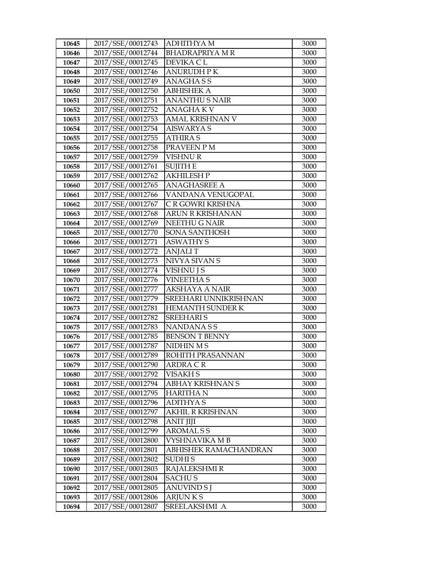| 10645          | 2017/SSE/00012743                      | <b>ADHITHYA M</b>                   | 3000         |
|----------------|----------------------------------------|-------------------------------------|--------------|
| 10646          | 2017/SSE/00012744                      | <b>BHADRAPRIYA M R</b>              | 3000         |
| 10647          | 2017/SSE/00012745                      | DEVIKA CL                           | 3000         |
| 10648          | 2017/SSE/00012746                      | <b>ANURUDH PK</b>                   | 3000         |
| 10649          | 2017/SSE/00012749                      | ANAGHASS                            | 3000         |
| 10650          | 2017/SSE/00012750                      | <b>ABHISHEK A</b>                   | 3000         |
| 10651          | 2017/SSE/00012751                      | <b>ANANTHU S NAIR</b>               | 3000         |
| 10652          | 2017/SSE/00012752                      | <b>ANAGHAKV</b>                     | 3000         |
| 10653          | 2017/SSE/00012753                      | AMAL KRISHNAN V                     | 3000         |
| 10654          | 2017/SSE/00012754                      | <b>AISWARYA S</b>                   | 3000         |
| 10655          | 2017/SSE/00012755                      | <b>ATHIRAS</b>                      | 3000         |
| 10656          | 2017/SSE/00012758                      | PRAVEEN PM                          | 3000         |
| 10657          | 2017/SSE/00012759                      | <b>VISHNUR</b>                      | 3000         |
| 10658          | 2017/SSE/00012761                      | <b>SUJITH E</b>                     | 3000         |
| 10659          | 2017/SSE/00012762                      | <b>AKHILESH P</b>                   | 3000         |
| 10660          | 2017/SSE/00012765                      | <b>ANAGHASREE A</b>                 | 3000         |
| 10661          | 2017/SSE/00012766                      | VANDANA VENUGOPAL                   | 3000         |
| 10662          | 2017/SSE/00012767                      | C R GOWRI KRISHNA                   | 3000         |
| 10663          | 2017/SSE/00012768                      | <b>ARUN R KRISHANAN</b>             | 3000         |
| 10664          | 2017/SSE/00012769                      | NEETHU G NAIR                       | 3000         |
| 10665          | 2017/SSE/00012770                      | SONA SANTHOSH                       | 3000         |
| 10666          | 2017/SSE/00012771                      | <b>ASWATHY S</b>                    | 3000         |
| 10667          | 2017/SSE/00012772                      | <b>ANJALIT</b>                      | 3000         |
| 10668          | 2017/SSE/00012773                      | NIVYA SIVAN S                       | 3000         |
| 10669          | 2017/SSE/00012774                      | VISHNU J S                          | 3000         |
| 10670          | 2017/SSE/00012776                      | <b>VINEETHA S</b>                   | 3000         |
| 10671          | 2017/SSE/00012777                      | <b>AKSHAYA A NAIR</b>               | 3000         |
| 10672          | 2017/SSE/00012779                      | SREEHARI UNNIKRISHNAN               | 3000         |
| 10673          | 2017/SSE/00012781                      | HEMANTH SUNDER K                    | 3000         |
| 10674          | 2017/SSE/00012782                      | <b>SREEHARIS</b>                    | 3000         |
| 10675          | 2017/SSE/00012783                      | NANDANA S S                         | 3000         |
| 10676          | 2017/SSE/00012785                      | <b>BENSON T BENNY</b>               | 3000         |
| 10677          | 2017/SSE/00012787                      | NIDHIN M S                          | 3000         |
| 10678          | 2017/SSE/00012789                      | ROHITH PRASANNAN<br><b>ARDRA CR</b> | 3000<br>3000 |
| 10679          | 2017/SSE/00012790<br>2017/SSE/00012792 | <b>VISAKH S</b>                     | 3000         |
| 10680<br>10681 | 2017/SSE/00012794                      | ABHAY KRISHNAN S                    | 3000         |
| 10682          | 2017/SSE/00012795                      | <b>HARITHA N</b>                    | 3000         |
| 10683          | 2017/SSE/00012796                      | <b>ADITHYAS</b>                     | 3000         |
| 10684          | 2017/SSE/00012797                      | <b>AKHIL R KRISHNAN</b>             | 3000         |
| 10685          | 2017/SSE/00012798                      | <b>ANIT JIJI</b>                    | 3000         |
| 10686          | 2017/SSE/00012799                      | <b>AROMALSS</b>                     | 3000         |
| 10687          | 2017/SSE/00012800                      | <b>VYSHNAVIKA MB</b>                | 3000         |
| 10688          | 2017/SSE/00012801                      | ABHISHEK RAMACHANDRAN               | 3000         |
| 10689          | 2017/SSE/00012802                      | SUDHI S                             | 3000         |
| 10690          | 2017/SSE/00012803                      | RAJALEKSHMI R                       | 3000         |
| 10691          | 2017/SSE/00012804                      | SACHU S                             | 3000         |
| 10692          | 2017/SSE/00012805                      | <b>ANUVIND S J</b>                  | 3000         |
| 10693          | 2017/SSE/00012806                      | <b>ARJUNKS</b>                      | 3000         |
| 10694          | 2017/SSE/00012807                      | SREELAKSHMI A                       | 3000         |
|                |                                        |                                     |              |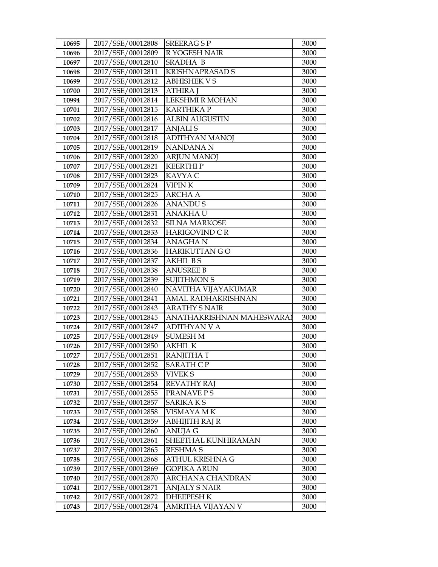| 10695 | 2017/SSE/00012808 | <b>SREERAGSP</b>          | 3000 |
|-------|-------------------|---------------------------|------|
| 10696 | 2017/SSE/00012809 | R YOGESH NAIR             | 3000 |
| 10697 | 2017/SSE/00012810 | SRADHA B                  | 3000 |
| 10698 | 2017/SSE/00012811 | <b>KRISHNAPRASAD S</b>    | 3000 |
| 10699 | 2017/SSE/00012812 | <b>ABHISHEK V S</b>       | 3000 |
| 10700 | 2017/SSE/00012813 | <b>ATHIRA J</b>           | 3000 |
| 10994 | 2017/SSE/00012814 | LEKSHMI R MOHAN           | 3000 |
| 10701 | 2017/SSE/00012815 | <b>KARTHIKAP</b>          | 3000 |
| 10702 | 2017/SSE/00012816 | <b>ALBIN AUGUSTIN</b>     | 3000 |
| 10703 | 2017/SSE/00012817 | <b>ANJALIS</b>            | 3000 |
| 10704 | 2017/SSE/00012818 | <b>ADITHYAN MANOJ</b>     | 3000 |
| 10705 | 2017/SSE/00012819 | NANDANA N                 | 3000 |
| 10706 | 2017/SSE/00012820 | <b>ARJUN MANOJ</b>        | 3000 |
| 10707 | 2017/SSE/00012821 | <b>KEERTHIP</b>           | 3000 |
| 10708 | 2017/SSE/00012823 | KAVYA C                   | 3000 |
| 10709 | 2017/SSE/00012824 | <b>VIPINK</b>             | 3000 |
| 10710 | 2017/SSE/00012825 | <b>ARCHA A</b>            | 3000 |
| 10711 | 2017/SSE/00012826 | <b>ANANDUS</b>            | 3000 |
| 10712 | 2017/SSE/00012831 | <b>ANAKHAU</b>            | 3000 |
| 10713 | 2017/SSE/00012832 | <b>SILNA MARKOSE</b>      | 3000 |
| 10714 | 2017/SSE/00012833 | <b>HARIGOVIND C R</b>     | 3000 |
| 10715 | 2017/SSE/00012834 | <b>ANAGHAN</b>            | 3000 |
| 10716 | 2017/SSE/00012836 | HARIKUTTAN GO             | 3000 |
| 10717 | 2017/SSE/00012837 | <b>AKHIL BS</b>           | 3000 |
| 10718 | 2017/SSE/00012838 | <b>ANUSREE B</b>          | 3000 |
| 10719 | 2017/SSE/00012839 | <b>SUJITHMON S</b>        | 3000 |
| 10720 | 2017/SSE/00012840 | NAVITHA VIJAYAKUMAR       | 3000 |
| 10721 | 2017/SSE/00012841 | AMAL RADHAKRISHNAN        | 3000 |
| 10722 | 2017/SSE/00012843 | <b>ARATHY S NAIR</b>      | 3000 |
| 10723 | 2017/SSE/00012845 | ANATHAKRISHNAN MAHESWARAI | 3000 |
| 10724 | 2017/SSE/00012847 | <b>ADITHYAN V A</b>       | 3000 |
| 10725 | 2017/SSE/00012849 | <b>SUMESH M</b>           | 3000 |
| 10726 | 2017/SSE/00012850 | <b>AKHIL K</b>            | 3000 |
| 10727 | 2017/SSE/00012851 | <b>RANJITHA T</b>         | 3000 |
| 10728 | 2017/SSE/00012852 | SARATH C P                | 3000 |
| 10729 | 2017/SSE/00012853 | VIVEK S                   | 3000 |
| 10730 | 2017/SSE/00012854 | <b>REVATHY RAJ</b>        | 3000 |
| 10731 | 2017/SSE/00012855 | PRANAVE P S               | 3000 |
| 10732 | 2017/SSE/00012857 | <b>SARIKA KS</b>          | 3000 |
| 10733 | 2017/SSE/00012858 | VISMAYA MK                | 3000 |
| 10734 | 2017/SSE/00012859 | ABHIJITH RAJ R            | 3000 |
| 10735 | 2017/SSE/00012860 | <b>ANUJA G</b>            | 3000 |
| 10736 | 2017/SSE/00012861 | SHEETHAL KUNHIRAMAN       | 3000 |
| 10737 | 2017/SSE/00012865 | <b>RESHMAS</b>            | 3000 |
| 10738 | 2017/SSE/00012868 | ATHUL KRISHNA G           | 3000 |
| 10739 | 2017/SSE/00012869 | GOPIKA ARUN               | 3000 |
| 10740 | 2017/SSE/00012870 | <b>ARCHANA CHANDRAN</b>   | 3000 |
| 10741 | 2017/SSE/00012871 | <b>ANJALY S NAIR</b>      | 3000 |
| 10742 | 2017/SSE/00012872 | <b>DHEEPESH K</b>         | 3000 |
| 10743 | 2017/SSE/00012874 | AMRITHA VIJAYAN V         | 3000 |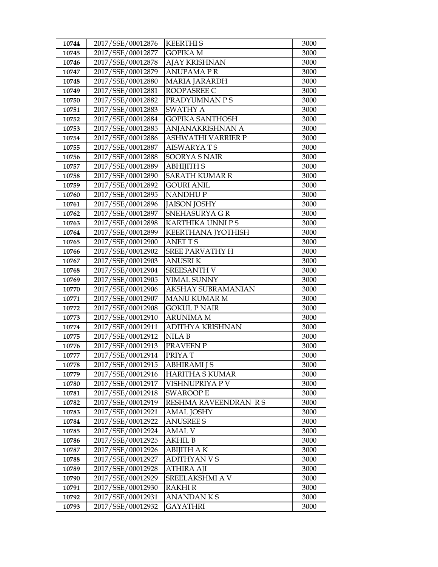| 10744 | 2017/SSE/00012876 | <b>KEERTHIS</b>        | 3000 |
|-------|-------------------|------------------------|------|
| 10745 | 2017/SSE/00012877 | <b>GOPIKA M</b>        | 3000 |
| 10746 | 2017/SSE/00012878 | <b>AJAY KRISHNAN</b>   | 3000 |
| 10747 | 2017/SSE/00012879 | <b>ANUPAMAPR</b>       | 3000 |
| 10748 | 2017/SSE/00012880 | <b>MARIA JARARDH</b>   | 3000 |
| 10749 | 2017/SSE/00012881 | ROOPASREE C            | 3000 |
| 10750 | 2017/SSE/00012882 | PRADYUMNAN P S         | 3000 |
| 10751 | 2017/SSE/00012883 | <b>SWATHY A</b>        | 3000 |
| 10752 | 2017/SSE/00012884 | <b>GOPIKA SANTHOSH</b> | 3000 |
| 10753 | 2017/SSE/00012885 | ANJANAKRISHNAN A       | 3000 |
| 10754 | 2017/SSE/00012886 | ASHWATHI VARRIER P     | 3000 |
| 10755 | 2017/SSE/00012887 | <b>AISWARYATS</b>      | 3000 |
| 10756 | 2017/SSE/00012888 | <b>SOORYA S NAIR</b>   | 3000 |
| 10757 | 2017/SSE/00012889 | <b>ABHIJITH S</b>      | 3000 |
| 10758 | 2017/SSE/00012890 | <b>SARATH KUMAR R</b>  | 3000 |
| 10759 | 2017/SSE/00012892 | <b>GOURI ANIL</b>      | 3000 |
| 10760 | 2017/SSE/00012895 | <b>NANDHUP</b>         | 3000 |
| 10761 | 2017/SSE/00012896 | <b>JAISON JOSHY</b>    | 3000 |
| 10762 | 2017/SSE/00012897 | SNEHASURYA GR          | 3000 |
| 10763 | 2017/SSE/00012898 | KARTHIKA UNNI P S      | 3000 |
| 10764 | 2017/SSE/00012899 | KEERTHANA JYOTHISH     | 3000 |
| 10765 | 2017/SSE/00012900 | <b>ANETTS</b>          | 3000 |
| 10766 | 2017/SSE/00012902 | <b>SREE PARVATHY H</b> | 3000 |
| 10767 | 2017/SSE/00012903 | <b>ANUSRIK</b>         | 3000 |
| 10768 | 2017/SSE/00012904 | <b>SREESANTH V</b>     | 3000 |
| 10769 | 2017/SSE/00012905 | <b>VIMAL SUNNY</b>     | 3000 |
| 10770 | 2017/SSE/00012906 | AKSHAY SUBRAMANIAN     | 3000 |
| 10771 | 2017/SSE/00012907 | <b>MANU KUMAR M</b>    | 3000 |
| 10772 | 2017/SSE/00012908 | <b>GOKUL P NAIR</b>    | 3000 |
| 10773 | 2017/SSE/00012910 | <b>ARUNIMA M</b>       | 3000 |
| 10774 | 2017/SSE/00012911 | ADITHYA KRISHNAN       | 3000 |
| 10775 | 2017/SSE/00012912 | NILA B                 | 3000 |
| 10776 | 2017/SSE/00012913 | PRAVEEN P              | 3000 |
| 10777 | 2017/SSE/00012914 | PRIYAT                 | 3000 |
| 10778 | 2017/SSE/00012915 | <b>ABHIRAMI J S</b>    | 3000 |
| 10779 | 2017/SSE/00012916 | <b>HARITHA S KUMAR</b> | 3000 |
| 10780 | 2017/SSE/00012917 | VISHNUPRIYA P V        | 3000 |
| 10781 | 2017/SSE/00012918 | <b>SWAROOP E</b>       | 3000 |
| 10782 | 2017/SSE/00012919 | RESHMA RAVEENDRAN R S  | 3000 |
| 10783 | 2017/SSE/00012921 | <b>AMAL JOSHY</b>      | 3000 |
| 10784 | 2017/SSE/00012922 | <b>ANUSREE S</b>       | 3000 |
| 10785 | 2017/SSE/00012924 | AMAL V                 | 3000 |
| 10786 | 2017/SSE/00012925 | <b>AKHIL B</b>         | 3000 |
| 10787 | 2017/SSE/00012926 | <b>ABIJITH AK</b>      | 3000 |
| 10788 | 2017/SSE/00012927 | <b>ADITHYAN V S</b>    | 3000 |
| 10789 | 2017/SSE/00012928 | ATHIRA AJI             | 3000 |
| 10790 | 2017/SSE/00012929 | SREELAKSHMI A V        | 3000 |
| 10791 | 2017/SSE/00012930 | <b>RAKHI R</b>         | 3000 |
| 10792 | 2017/SSE/00012931 | <b>ANANDANKS</b>       | 3000 |
| 10793 | 2017/SSE/00012932 | GAYATHRI               | 3000 |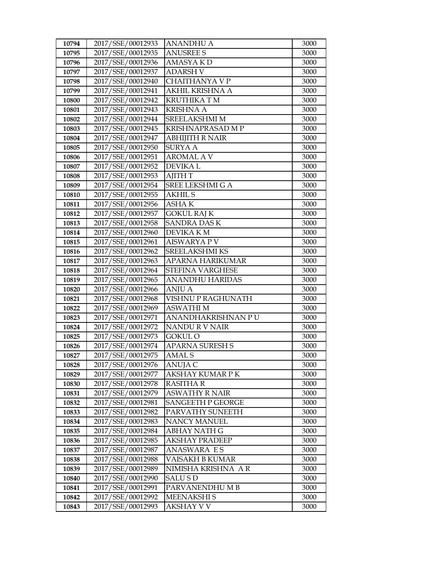| 10794 | 2017/SSE/00012933 | <b>ANANDHU A</b>         | 3000 |
|-------|-------------------|--------------------------|------|
| 10795 | 2017/SSE/00012935 | <b>ANUSREE S</b>         | 3000 |
| 10796 | 2017/SSE/00012936 | <b>AMASYAKD</b>          | 3000 |
| 10797 | 2017/SSE/00012937 | <b>ADARSH V</b>          | 3000 |
| 10798 | 2017/SSE/00012940 | CHAITHANYA V P           | 3000 |
| 10799 | 2017/SSE/00012941 | <b>AKHIL KRISHNA A</b>   | 3000 |
| 10800 | 2017/SSE/00012942 | <b>KRUTHIKA T M</b>      | 3000 |
| 10801 | 2017/SSE/00012943 | <b>KRISHNA A</b>         | 3000 |
| 10802 | 2017/SSE/00012944 | SREELAKSHMI M            | 3000 |
| 10803 | 2017/SSE/00012945 | KRISHNAPRASAD M P        | 3000 |
| 10804 | 2017/SSE/00012947 | <b>ABHIJITH R NAIR</b>   | 3000 |
| 10805 | 2017/SSE/00012950 | <b>SURYA A</b>           | 3000 |
| 10806 | 2017/SSE/00012951 | <b>AROMAL A V</b>        | 3000 |
| 10807 | 2017/SSE/00012952 | <b>DEVIKAL</b>           | 3000 |
| 10808 | 2017/SSE/00012953 | <b>AJITH T</b>           | 3000 |
| 10809 | 2017/SSE/00012954 | <b>SREE LEKSHMI G A</b>  | 3000 |
| 10810 | 2017/SSE/00012955 | <b>AKHIL S</b>           | 3000 |
| 10811 | 2017/SSE/00012956 | <b>ASHAK</b>             | 3000 |
| 10812 | 2017/SSE/00012957 | <b>GOKUL RAJ K</b>       | 3000 |
| 10813 | 2017/SSE/00012958 | <b>SANDRA DAS K</b>      | 3000 |
| 10814 | 2017/SSE/00012960 | DEVIKA KM                | 3000 |
| 10815 | 2017/SSE/00012961 | <b>AISWARYA P V</b>      | 3000 |
| 10816 | 2017/SSE/00012962 | SREELAKSHMI KS           | 3000 |
| 10817 | 2017/SSE/00012963 | APARNA HARIKUMAR         | 3000 |
| 10818 | 2017/SSE/00012964 | STEFINA VARGHESE         | 3000 |
| 10819 | 2017/SSE/00012965 | <b>ANANDHU HARIDAS</b>   | 3000 |
| 10820 | 2017/SSE/00012966 | <b>ANJU A</b>            | 3000 |
| 10821 | 2017/SSE/00012968 | VISHNU P RAGHUNATH       | 3000 |
| 10822 | 2017/SSE/00012969 | <b>ASWATHIM</b>          | 3000 |
| 10823 | 2017/SSE/00012971 | ANANDHAKRISHNAN PU       | 3000 |
| 10824 | 2017/SSE/00012972 | NANDUR V NAIR            | 3000 |
| 10825 | 2017/SSE/00012973 | GOKUL O                  | 3000 |
| 10826 | 2017/SSE/00012974 | <b>APARNA SURESH S</b>   | 3000 |
| 10827 | 2017/SSE/00012975 | <b>AMAL S</b>            | 3000 |
| 10828 | 2017/SSE/00012976 | ANUJA C                  | 3000 |
| 10829 | 2017/SSE/00012977 | AKSHAY KUMAR P K         | 3000 |
| 10830 | 2017/SSE/00012978 | RASITHA R                | 3000 |
| 10831 | 2017/SSE/00012979 | <b>ASWATHY R NAIR</b>    | 3000 |
| 10832 | 2017/SSE/00012981 | <b>SANGEETH P GEORGE</b> | 3000 |
| 10833 | 2017/SSE/00012982 | PARVATHY SUNEETH         | 3000 |
| 10834 | 2017/SSE/00012983 | <b>NANCY MANUEL</b>      | 3000 |
| 10835 | 2017/SSE/00012984 | <b>ABHAY NATH G</b>      | 3000 |
| 10836 | 2017/SSE/00012985 | <b>AKSHAY PRADEEP</b>    | 3000 |
| 10837 | 2017/SSE/00012987 | <b>ANASWARA ES</b>       | 3000 |
| 10838 | 2017/SSE/00012988 | VAISAKH B KUMAR          | 3000 |
| 10839 | 2017/SSE/00012989 | NIMISHA KRISHNA AR       | 3000 |
| 10840 | 2017/SSE/00012990 | <b>SALUSD</b>            | 3000 |
| 10841 | 2017/SSE/00012991 | PARVANENDHUMB            | 3000 |
| 10842 | 2017/SSE/00012992 | <b>MEENAKSHIS</b>        | 3000 |
| 10843 | 2017/SSE/00012993 | AKSHAY V V               | 3000 |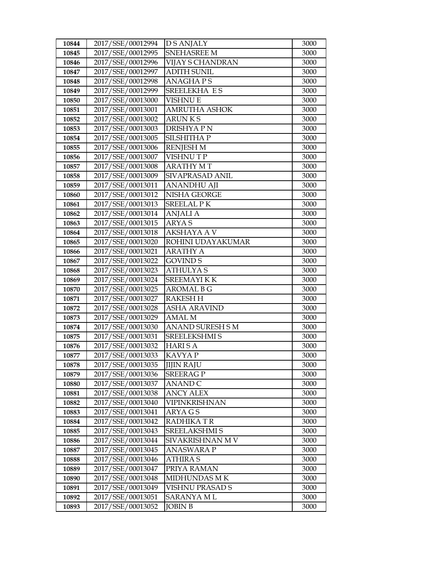| 10844 | 2017/SSE/00012994 | <b>DS ANJALY</b>        | 3000 |
|-------|-------------------|-------------------------|------|
| 10845 | 2017/SSE/00012995 | <b>SNEHASREE M</b>      | 3000 |
| 10846 | 2017/SSE/00012996 | <b>VIJAY S CHANDRAN</b> | 3000 |
| 10847 | 2017/SSE/00012997 | <b>ADITH SUNIL</b>      | 3000 |
| 10848 | 2017/SSE/00012998 | <b>ANAGHAPS</b>         | 3000 |
| 10849 | 2017/SSE/00012999 | SREELEKHA ES            | 3000 |
| 10850 | 2017/SSE/00013000 | <b>VISHNU E</b>         | 3000 |
| 10851 | 2017/SSE/00013001 | <b>AMRUTHA ASHOK</b>    | 3000 |
| 10852 | 2017/SSE/00013002 | <b>ARUNKS</b>           | 3000 |
| 10853 | 2017/SSE/00013003 | DRISHYA PN              | 3000 |
| 10854 | 2017/SSE/00013005 | SILSHITHA P             | 3000 |
| 10855 | 2017/SSE/00013006 | <b>RENJESH M</b>        | 3000 |
| 10856 | 2017/SSE/00013007 | <b>VISHNUTP</b>         | 3000 |
| 10857 | 2017/SSE/00013008 | <b>ARATHY MT</b>        | 3000 |
| 10858 | 2017/SSE/00013009 | SIVAPRASAD ANIL         | 3000 |
| 10859 | 2017/SSE/00013011 | <b>ANANDHU AJI</b>      | 3000 |
| 10860 | 2017/SSE/00013012 | NISHA GEORGE            | 3000 |
| 10861 | 2017/SSE/00013013 | <b>SREELAL PK</b>       | 3000 |
| 10862 | 2017/SSE/00013014 | <b>ANJALI A</b>         | 3000 |
| 10863 | 2017/SSE/00013015 | <b>ARYAS</b>            | 3000 |
| 10864 | 2017/SSE/00013018 | <b>AKSHAYA A V</b>      | 3000 |
| 10865 | 2017/SSE/00013020 | ROHINI UDAYAKUMAR       | 3000 |
| 10866 | 2017/SSE/00013021 | <b>ARATHY A</b>         | 3000 |
| 10867 | 2017/SSE/00013022 | <b>GOVIND S</b>         | 3000 |
| 10868 | 2017/SSE/00013023 | <b>ATHULYAS</b>         | 3000 |
| 10869 | 2017/SSE/00013024 | SREEMAYI K K            | 3000 |
| 10870 | 2017/SSE/00013025 | <b>AROMAL B G</b>       | 3000 |
| 10871 | 2017/SSE/00013027 | <b>RAKESHH</b>          | 3000 |
| 10872 | 2017/SSE/00013028 | <b>ASHA ARAVIND</b>     | 3000 |
| 10873 | 2017/SSE/00013029 | <b>AMAL M</b>           | 3000 |
| 10874 | 2017/SSE/00013030 | <b>ANAND SURESH S M</b> | 3000 |
| 10875 | 2017/SSE/00013031 | <b>SREELEKSHMI S</b>    | 3000 |
| 10876 | 2017/SSE/00013032 | <b>HARISA</b>           | 3000 |
| 10877 | 2017/SSE/00013033 | <b>KAVYAP</b>           | 3000 |
| 10878 | 2017/SSE/00013035 | <b>JIJIN RAJU</b>       | 3000 |
| 10879 | 2017/SSE/00013036 | <b>SREERAG P</b>        | 3000 |
| 10880 | 2017/SSE/00013037 | ANAND C                 | 3000 |
| 10881 | 2017/SSE/00013038 | <b>ANCY ALEX</b>        | 3000 |
| 10882 | 2017/SSE/00013040 | VIPINKRISHNAN           | 3000 |
| 10883 | 2017/SSE/00013041 | ARYA G S                | 3000 |
| 10884 | 2017/SSE/00013042 | RADHIKA TR              | 3000 |
| 10885 | 2017/SSE/00013043 | <b>SREELAKSHMI S</b>    | 3000 |
| 10886 | 2017/SSE/00013044 | SIVAKRISHNAN MV         | 3000 |
| 10887 | 2017/SSE/00013045 | <b>ANASWARA P</b>       | 3000 |
| 10888 | 2017/SSE/00013046 | ATHIRA S                | 3000 |
| 10889 | 2017/SSE/00013047 | PRIYA RAMAN             | 3000 |
| 10890 | 2017/SSE/00013048 | MIDHUNDAS M K           | 3000 |
| 10891 | 2017/SSE/00013049 | VISHNU PRASAD S         | 3000 |
| 10892 | 2017/SSE/00013051 | SARANYA M L             | 3000 |
| 10893 | 2017/SSE/00013052 | <b>JOBIN B</b>          | 3000 |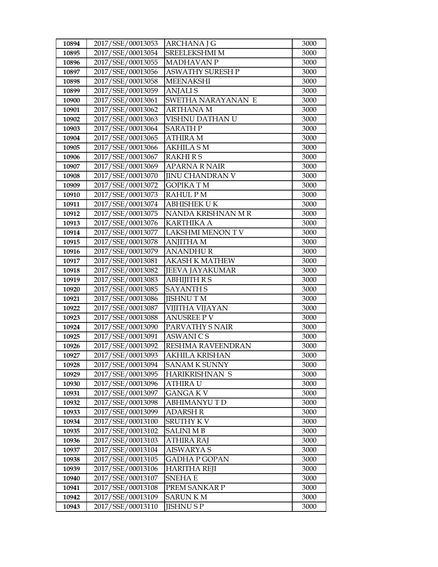| 10894 | 2017/SSE/00013053 | ARCHANA J G             | 3000 |
|-------|-------------------|-------------------------|------|
| 10895 | 2017/SSE/00013054 | <b>SREELEKSHMI M</b>    | 3000 |
| 10896 | 2017/SSE/00013055 | <b>MADHAVAN P</b>       | 3000 |
| 10897 | 2017/SSE/00013056 | <b>ASWATHY SURESH P</b> | 3000 |
| 10898 | 2017/SSE/00013058 | <b>MEENAKSHI</b>        | 3000 |
| 10899 | 2017/SSE/00013059 | <b>ANJALIS</b>          | 3000 |
| 10900 | 2017/SSE/00013061 | SWETHA NARAYANAN E      | 3000 |
| 10901 | 2017/SSE/00013062 | <b>ARTHANAM</b>         | 3000 |
| 10902 | 2017/SSE/00013063 | VISHNU DATHAN U         | 3000 |
| 10903 | 2017/SSE/00013064 | <b>SARATH P</b>         | 3000 |
| 10904 | 2017/SSE/00013065 | <b>ATHIRA M</b>         | 3000 |
| 10905 | 2017/SSE/00013066 | <b>AKHILA SM</b>        | 3000 |
| 10906 | 2017/SSE/00013067 | <b>RAKHIRS</b>          | 3000 |
| 10907 | 2017/SSE/00013069 | <b>APARNA R NAIR</b>    | 3000 |
| 10908 | 2017/SSE/00013070 | <b>JINU CHANDRAN V</b>  | 3000 |
| 10909 | 2017/SSE/00013072 | <b>GOPIKATM</b>         | 3000 |
| 10910 | 2017/SSE/00013073 | <b>RAHUL PM</b>         | 3000 |
| 10911 | 2017/SSE/00013074 | <b>ABHISHEK UK</b>      | 3000 |
| 10912 | 2017/SSE/00013075 | NANDA KRISHNAN M R      | 3000 |
| 10913 | 2017/SSE/00013076 | <b>KARTHIKA A</b>       | 3000 |
| 10914 | 2017/SSE/00013077 | <b>LAKSHMI MENON TV</b> | 3000 |
| 10915 | 2017/SSE/00013078 | <b>ANJITHA M</b>        | 3000 |
| 10916 | 2017/SSE/00013079 | <b>ANANDHUR</b>         | 3000 |
| 10917 | 2017/SSE/00013081 | <b>AKASH K MATHEW</b>   | 3000 |
| 10918 | 2017/SSE/00013082 | <b>JEEVA JAYAKUMAR</b>  | 3000 |
| 10919 | 2017/SSE/00013083 | <b>ABHIJITH R S</b>     | 3000 |
| 10920 | 2017/SSE/00013085 | <b>SAYANTH S</b>        | 3000 |
| 10921 | 2017/SSE/00013086 | <b>JISHNUTM</b>         | 3000 |
| 10922 | 2017/SSE/00013087 | VIJITHA VIJAYAN         | 3000 |
| 10923 | 2017/SSE/00013088 | <b>ANUSREE PV</b>       | 3000 |
| 10924 | 2017/SSE/00013090 | PARVATHY S NAIR         | 3000 |
| 10925 | 2017/SSE/00013091 | <b>ASWANICS</b>         | 3000 |
| 10926 | 2017/SSE/00013092 | RESHMA RAVEENDRAN       | 3000 |
| 10927 | 2017/SSE/00013093 | <b>AKHILA KRISHAN</b>   | 3000 |
| 10928 | 2017/SSE/00013094 | <b>SANAM K SUNNY</b>    | 3000 |
| 10929 | 2017/SSE/00013095 | HARIKRISHNAN S          | 3000 |
| 10930 | 2017/SSE/00013096 | <b>ATHIRA U</b>         | 3000 |
| 10931 | 2017/SSE/00013097 | <b>GANGAKV</b>          | 3000 |
| 10932 | 2017/SSE/00013098 | <b>ABHIMANYUTD</b>      | 3000 |
| 10933 | 2017/SSE/00013099 | <b>ADARSH R</b>         | 3000 |
| 10934 | 2017/SSE/00013100 | SRUTHY K V              | 3000 |
| 10935 | 2017/SSE/00013102 | <b>SALINI MB</b>        | 3000 |
| 10936 | 2017/SSE/00013103 | <b>ATHIRA RAJ</b>       | 3000 |
| 10937 | 2017/SSE/00013104 | <b>AISWARYA S</b>       | 3000 |
| 10938 | 2017/SSE/00013105 | <b>GADHA P GOPAN</b>    | 3000 |
| 10939 | 2017/SSE/00013106 | HARITHA REJI            | 3000 |
| 10940 | 2017/SSE/00013107 | <b>SNEHAE</b>           | 3000 |
| 10941 | 2017/SSE/00013108 | PREM SANKAR P           | 3000 |
| 10942 | 2017/SSE/00013109 | <b>SARUNKM</b>          | 3000 |
| 10943 | 2017/SSE/00013110 | <b>JISHNUSP</b>         | 3000 |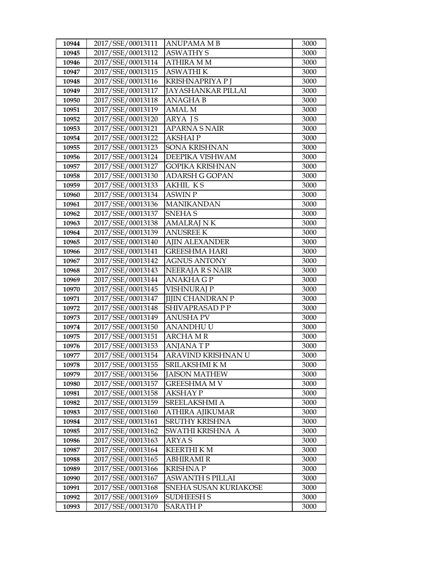| 10944 | 2017/SSE/00013111 | <b>ANUPAMA MB</b>         | 3000 |
|-------|-------------------|---------------------------|------|
| 10945 | 2017/SSE/00013112 | <b>ASWATHY S</b>          | 3000 |
| 10946 | 2017/SSE/00013114 | <b>ATHIRA MM</b>          | 3000 |
| 10947 | 2017/SSE/00013115 | <b>ASWATHI K</b>          | 3000 |
| 10948 | 2017/SSE/00013116 | KRISHNAPRIYA P J          | 3000 |
| 10949 | 2017/SSE/00013117 | <b>JAYASHANKAR PILLAI</b> | 3000 |
| 10950 | 2017/SSE/00013118 | <b>ANAGHAB</b>            | 3000 |
| 10951 | 2017/SSE/00013119 | <b>AMAL M</b>             | 3000 |
| 10952 | 2017/SSE/00013120 | <b>ARYA IS</b>            | 3000 |
| 10953 | 2017/SSE/00013121 | <b>APARNA S NAIR</b>      | 3000 |
| 10954 | 2017/SSE/00013122 | <b>AKSHAIP</b>            | 3000 |
| 10955 | 2017/SSE/00013123 | <b>SONA KRISHNAN</b>      | 3000 |
| 10956 | 2017/SSE/00013124 | <b>DEEPIKA VISHWAM</b>    | 3000 |
| 10957 | 2017/SSE/00013127 | <b>GOPIKA KRISHNAN</b>    | 3000 |
| 10958 | 2017/SSE/00013130 | <b>ADARSH G GOPAN</b>     | 3000 |
| 10959 | 2017/SSE/00013133 | <b>AKHIL KS</b>           | 3000 |
| 10960 | 2017/SSE/00013134 | <b>ASWIN P</b>            | 3000 |
| 10961 | 2017/SSE/00013136 | <b>MANIKANDAN</b>         | 3000 |
| 10962 | 2017/SSE/00013137 | <b>SNEHAS</b>             | 3000 |
| 10963 | 2017/SSE/00013138 | <b>AMALRAJ N K</b>        | 3000 |
| 10964 | 2017/SSE/00013139 | <b>ANUSREE K</b>          | 3000 |
| 10965 | 2017/SSE/00013140 | <b>AJIN ALEXANDER</b>     | 3000 |
| 10966 | 2017/SSE/00013141 | <b>GREESHMA HARI</b>      | 3000 |
| 10967 | 2017/SSE/00013142 | <b>AGNUS ANTONY</b>       | 3000 |
| 10968 | 2017/SSE/00013143 | NEERAJA R S NAIR          | 3000 |
| 10969 | 2017/SSE/00013144 | <b>ANAKHA GP</b>          | 3000 |
| 10970 | 2017/SSE/00013145 | <b>VISHNURAJ P</b>        | 3000 |
| 10971 | 2017/SSE/00013147 | <b>JIJIN CHANDRAN P</b>   | 3000 |
| 10972 | 2017/SSE/00013148 | SHIVAPRASAD P P           | 3000 |
| 10973 | 2017/SSE/00013149 | <b>ANUSHA PV</b>          | 3000 |
| 10974 | 2017/SSE/00013150 | <b>ANANDHUU</b>           | 3000 |
| 10975 | 2017/SSE/00013151 | <b>ARCHA M R</b>          | 3000 |
| 10976 | 2017/SSE/00013153 | <b>ANJANATP</b>           | 3000 |
| 10977 | 2017/SSE/00013154 | ARAVIND KRISHNAN U        | 3000 |
| 10978 | 2017/SSE/00013155 | SRILAKSHMI K M            | 3000 |
| 10979 | 2017/SSE/00013156 | <b>JAISON MATHEW</b>      | 3000 |
| 10980 | 2017/SSE/00013157 | <b>GREESHMA M V</b>       | 3000 |
| 10981 | 2017/SSE/00013158 | AKSHAY P                  | 3000 |
| 10982 | 2017/SSE/00013159 | SREELAKSHMI A             | 3000 |
| 10983 | 2017/SSE/00013160 | <b>ATHIRA AJIKUMAR</b>    | 3000 |
| 10984 | 2017/SSE/00013161 | SRUTHY KRISHNA            | 3000 |
| 10985 | 2017/SSE/00013162 | SWATHI KRISHNA A          | 3000 |
| 10986 | 2017/SSE/00013163 | <b>ARYAS</b>              | 3000 |
| 10987 | 2017/SSE/00013164 | <b>KEERTHI K M</b>        | 3000 |
| 10988 | 2017/SSE/00013165 | <b>ABHIRAMI R</b>         | 3000 |
| 10989 | 2017/SSE/00013166 | <b>KRISHNAP</b>           | 3000 |
| 10990 | 2017/SSE/00013167 | <b>ASWANTH S PILLAI</b>   | 3000 |
| 10991 | 2017/SSE/00013168 | SNEHA SUSAN KURIAKOSE     | 3000 |
| 10992 | 2017/SSE/00013169 | <b>SUDHEESH S</b>         | 3000 |
| 10993 | 2017/SSE/00013170 | SARATH P                  | 3000 |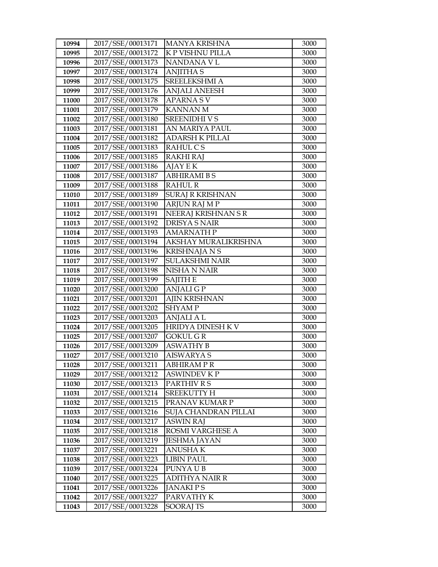| 10994          | 2017/SSE/00013171                      | <b>MANYA KRISHNA</b>              | 3000         |
|----------------|----------------------------------------|-----------------------------------|--------------|
| 10995          | 2017/SSE/00013172                      | K P VISHNU PILLA                  | 3000         |
| 10996          | 2017/SSE/00013173                      | NANDANA V L                       | 3000         |
| 10997          | 2017/SSE/00013174                      | <b>ANJITHAS</b>                   | 3000         |
| 10998          | 2017/SSE/00013175                      | SREELEKSHMI A                     | 3000         |
| 10999          | 2017/SSE/00013176                      | <b>ANJALI ANEESH</b>              | 3000         |
| 11000          | 2017/SSE/00013178                      | <b>APARNASV</b>                   | 3000         |
| 11001          | 2017/SSE/00013179                      | <b>KANNAN M</b>                   | 3000         |
| 11002          | 2017/SSE/00013180                      | <b>SREENIDHIVS</b>                | 3000         |
| 11003          | 2017/SSE/00013181                      | AN MARIYA PAUL                    | 3000         |
| 11004          | 2017/SSE/00013182                      | <b>ADARSH K PILLAI</b>            | 3000         |
| 11005          | 2017/SSE/00013183                      | RAHUL C S                         | 3000         |
| 11006          | 2017/SSE/00013185                      | <b>RAKHI RAJ</b>                  | 3000         |
| 11007          | 2017/SSE/00013186                      | <b>AJAY E K</b>                   | 3000         |
| 11008          | 2017/SSE/00013187                      | <b>ABHIRAMI B S</b>               | 3000         |
| 11009          | 2017/SSE/00013188                      | <b>RAHUL R</b>                    | 3000         |
| 11010          | 2017/SSE/00013189                      | <b>SURAJ R KRISHNAN</b>           | 3000         |
| 11011          | 2017/SSE/00013190                      | <b>ARJUN RAJ M P</b>              | 3000         |
| 11012          | 2017/SSE/00013191                      | NEERAJ KRISHNAN S R               | 3000         |
| 11013          | 2017/SSE/00013192                      | <b>DRISYA S NAIR</b>              | 3000         |
| 11014          | 2017/SSE/00013193                      | <b>AMARNATH P</b>                 | 3000         |
| 11015          | 2017/SSE/00013194                      | AKSHAY MURALIKRISHNA              | 3000         |
| 11016          | 2017/SSE/00013196                      | <b>KRISHNAJA N S</b>              | 3000         |
| 11017          | 2017/SSE/00013197                      | <b>SULAKSHMI NAIR</b>             | 3000         |
| 11018          | 2017/SSE/00013198                      | NISHA N NAIR                      | 3000         |
| 11019          | 2017/SSE/00013199                      | <b>SAJITH E</b>                   | 3000         |
| 11020          | 2017/SSE/00013200                      | <b>ANJALIGP</b>                   | 3000         |
| 11021          | 2017/SSE/00013201                      | <b>AJIN KRISHNAN</b>              | 3000         |
| 11022          | 2017/SSE/00013202                      | <b>SHYAMP</b>                     | 3000         |
| 11023          | 2017/SSE/00013203                      | <b>ANJALI A L</b>                 | 3000         |
| 11024          | 2017/SSE/00013205                      | HRIDYA DINESH K V                 | 3000         |
| 11025          | 2017/SSE/00013207                      | <b>GOKUL G R</b>                  | 3000         |
| 11026          | 2017/SSE/00013209                      | <b>ASWATHY B</b>                  | 3000         |
| 11027          | 2017/SSE/00013210                      | <b>AISWARYA S</b>                 | 3000         |
| 11028          | 2017/SSE/00013211<br>2017/SSE/00013212 | <b>ABHIRAMPR</b>                  | 3000         |
| 11029<br>11030 | 2017/SSE/00013213                      | <b>ASWINDEV K P</b>               | 3000         |
| 11031          | 2017/SSE/00013214                      | PARTHIV R S<br><b>SREEKUTTY H</b> | 3000<br>3000 |
| 11032          | 2017/SSE/00013215                      | PRANAV KUMAR P                    | 3000         |
| 11033          | 2017/SSE/00013216                      | SUJA CHANDRAN PILLAI              | 3000         |
| 11034          | 2017/SSE/00013217                      | <b>ASWIN RAJ</b>                  | 3000         |
| 11035          | 2017/SSE/00013218                      | ROSMI VARGHESE A                  | 3000         |
| 11036          | 2017/SSE/00013219                      | <b>JESHMA JAYAN</b>               | 3000         |
| 11037          | 2017/SSE/00013221                      | <b>ANUSHAK</b>                    | 3000         |
| 11038          | 2017/SSE/00013223                      | <b>LIBIN PAUL</b>                 | 3000         |
| 11039          | 2017/SSE/00013224                      | PUNYA U B                         | 3000         |
| 11040          | 2017/SSE/00013225                      | <b>ADITHYA NAIR R</b>             | 3000         |
| 11041          | 2017/SSE/00013226                      | <b>JANAKIPS</b>                   | 3000         |
| 11042          | 2017/SSE/00013227                      | PARVATHY K                        | 3000         |
| 11043          | 2017/SSE/00013228                      | <b>SOORAJ TS</b>                  | 3000         |
|                |                                        |                                   |              |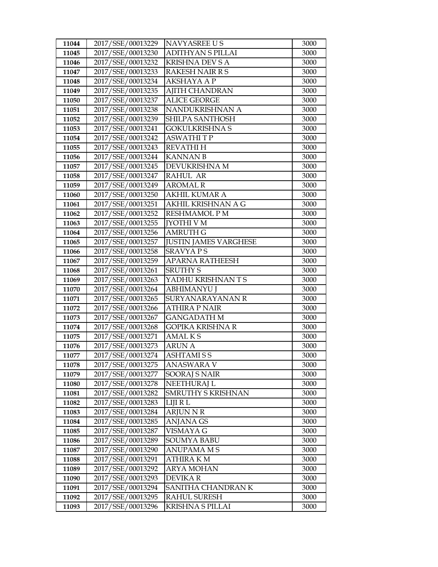| 11044 | 2017/SSE/00013229 | NAVYASREE US                 | 3000 |
|-------|-------------------|------------------------------|------|
| 11045 | 2017/SSE/00013230 | <b>ADITHYAN S PILLAI</b>     | 3000 |
| 11046 | 2017/SSE/00013232 | <b>KRISHNA DEV S A</b>       | 3000 |
| 11047 | 2017/SSE/00013233 | RAKESH NAIR R S              | 3000 |
| 11048 | 2017/SSE/00013234 | <b>AKSHAYA A P</b>           | 3000 |
| 11049 | 2017/SSE/00013235 | <b>AJITH CHANDRAN</b>        | 3000 |
| 11050 | 2017/SSE/00013237 | <b>ALICE GEORGE</b>          | 3000 |
| 11051 | 2017/SSE/00013238 | NANDUKRISHNAN A              | 3000 |
| 11052 | 2017/SSE/00013239 | SHILPA SANTHOSH              | 3000 |
| 11053 | 2017/SSE/00013241 | <b>GOKULKRISHNA S</b>        | 3000 |
| 11054 | 2017/SSE/00013242 | <b>ASWATHITP</b>             | 3000 |
| 11055 | 2017/SSE/00013243 | <b>REVATHIH</b>              | 3000 |
| 11056 | 2017/SSE/00013244 | <b>KANNAN B</b>              | 3000 |
| 11057 | 2017/SSE/00013245 | DEVUKRISHNA M                | 3000 |
| 11058 | 2017/SSE/00013247 | RAHUL AR                     | 3000 |
| 11059 | 2017/SSE/00013249 | <b>AROMAL R</b>              | 3000 |
| 11060 | 2017/SSE/00013250 | AKHIL KUMAR A                | 3000 |
| 11061 | 2017/SSE/00013251 | AKHIL KRISHNAN A G           | 3000 |
| 11062 | 2017/SSE/00013252 | <b>RESHMAMOL PM</b>          | 3000 |
| 11063 | 2017/SSE/00013255 | <b>JYOTHI V M</b>            | 3000 |
| 11064 | 2017/SSE/00013256 | <b>AMRUTH G</b>              | 3000 |
| 11065 | 2017/SSE/00013257 | <b>JUSTIN JAMES VARGHESE</b> | 3000 |
| 11066 | 2017/SSE/00013258 | <b>SRAVYAPS</b>              | 3000 |
| 11067 | 2017/SSE/00013259 | APARNA RATHEESH              | 3000 |
| 11068 | 2017/SSE/00013261 | <b>SRUTHY S</b>              | 3000 |
| 11069 | 2017/SSE/00013263 | YADHU KRISHNANTS             | 3000 |
| 11070 | 2017/SSE/00013264 | <b>ABHIMANYU J</b>           | 3000 |
| 11071 | 2017/SSE/00013265 | SURYANARAYANAN R             | 3000 |
| 11072 | 2017/SSE/00013266 | <b>ATHIRA P NAIR</b>         | 3000 |
| 11073 | 2017/SSE/00013267 | <b>GANGADATH M</b>           | 3000 |
| 11074 | 2017/SSE/00013268 | GOPIKA KRISHNA R             | 3000 |
| 11075 | 2017/SSE/00013271 | <b>AMALKS</b>                | 3000 |
| 11076 | 2017/SSE/00013273 | <b>ARUN A</b>                | 3000 |
| 11077 | 2017/SSE/00013274 | <b>ASHTAMISS</b>             | 3000 |
| 11078 | 2017/SSE/00013275 | ANASWARA V                   | 3000 |
| 11079 | 2017/SSE/00013277 | <b>SOORAJ S NAIR</b>         | 3000 |
| 11080 | 2017/SSE/00013278 | NEETHURAJ L                  | 3000 |
| 11081 | 2017/SSE/00013282 | SMRUTHY S KRISHNAN           | 3000 |
| 11082 | 2017/SSE/00013283 | <b>LIJIRL</b>                | 3000 |
| 11083 | 2017/SSE/00013284 | <b>ARJUN N R</b>             | 3000 |
| 11084 | 2017/SSE/00013285 | ANJANA GS                    | 3000 |
| 11085 | 2017/SSE/00013287 | VISMAYA G                    | 3000 |
| 11086 | 2017/SSE/00013289 | <b>SOUMYA BABU</b>           | 3000 |
| 11087 | 2017/SSE/00013290 | <b>ANUPAMA M S</b>           | 3000 |
| 11088 | 2017/SSE/00013291 | ATHIRA K M                   | 3000 |
| 11089 | 2017/SSE/00013292 | ARYA MOHAN                   | 3000 |
| 11090 | 2017/SSE/00013293 | <b>DEVIKAR</b>               | 3000 |
| 11091 | 2017/SSE/00013294 | SANITHA CHANDRAN K           | 3000 |
| 11092 | 2017/SSE/00013295 | <b>RAHUL SURESH</b>          | 3000 |
| 11093 | 2017/SSE/00013296 | <b>KRISHNA S PILLAI</b>      | 3000 |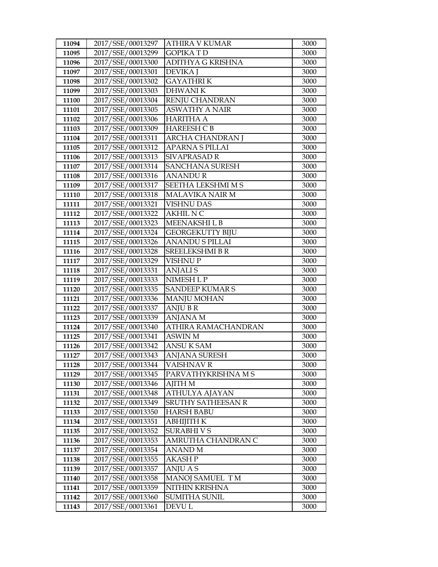| 11094 | 2017/SSE/00013297 | <b>ATHIRA V KUMAR</b>    | 3000 |
|-------|-------------------|--------------------------|------|
| 11095 | 2017/SSE/00013299 | <b>GOPIKATD</b>          | 3000 |
| 11096 | 2017/SSE/00013300 | <b>ADITHYA G KRISHNA</b> | 3000 |
| 11097 | 2017/SSE/00013301 | <b>DEVIKA</b> J          | 3000 |
| 11098 | 2017/SSE/00013302 | <b>GAYATHRIK</b>         | 3000 |
| 11099 | 2017/SSE/00013303 | <b>DHWANIK</b>           | 3000 |
| 11100 | 2017/SSE/00013304 | RENJU CHANDRAN           | 3000 |
| 11101 | 2017/SSE/00013305 | <b>ASWATHY A NAIR</b>    | 3000 |
| 11102 | 2017/SSE/00013306 | <b>HARITHA A</b>         | 3000 |
| 11103 | 2017/SSE/00013309 | <b>HAREESH C B</b>       | 3000 |
| 11104 | 2017/SSE/00013311 | <b>ARCHA CHANDRAN I</b>  | 3000 |
| 11105 | 2017/SSE/00013312 | <b>APARNA S PILLAI</b>   | 3000 |
| 11106 | 2017/SSE/00013313 | <b>SIVAPRASAD R</b>      | 3000 |
| 11107 | 2017/SSE/00013314 | <b>SANCHANA SURESH</b>   | 3000 |
| 11108 | 2017/SSE/00013316 | <b>ANANDUR</b>           | 3000 |
| 11109 | 2017/SSE/00013317 | SEETHA LEKSHMI M S       | 3000 |
| 11110 | 2017/SSE/00013318 | MALAVIKA NAIR M          | 3000 |
| 11111 | 2017/SSE/00013321 | <b>VISHNU DAS</b>        | 3000 |
| 11112 | 2017/SSE/00013322 | <b>AKHIL N C</b>         | 3000 |
| 11113 | 2017/SSE/00013323 | MEENAKSHI L B            | 3000 |
| 11114 | 2017/SSE/00013324 | <b>GEORGEKUTTY BIJU</b>  | 3000 |
| 11115 | 2017/SSE/00013326 | <b>ANANDU S PILLAI</b>   | 3000 |
| 11116 | 2017/SSE/00013328 | SREELEKSHMI B R          | 3000 |
| 11117 | 2017/SSE/00013329 | VISHNU P                 | 3000 |
| 11118 | 2017/SSE/00013331 | <b>ANJALIS</b>           | 3000 |
| 11119 | 2017/SSE/00013333 | NIMESH L P               | 3000 |
| 11120 | 2017/SSE/00013335 | <b>SANDEEP KUMARS</b>    | 3000 |
| 11121 | 2017/SSE/00013336 | <b>MANJU MOHAN</b>       | 3000 |
| 11122 | 2017/SSE/00013337 | <b>ANJUBR</b>            | 3000 |
| 11123 | 2017/SSE/00013339 | <b>ANJANA M</b>          | 3000 |
| 11124 | 2017/SSE/00013340 | ATHIRA RAMACHANDRAN      | 3000 |
| 11125 | 2017/SSE/00013341 | ASWIN M                  | 3000 |
| 11126 | 2017/SSE/00013342 | <b>ANSUK SAM</b>         | 3000 |
| 11127 | 2017/SSE/00013343 | <b>ANJANA SURESH</b>     | 3000 |
| 11128 | 2017/SSE/00013344 | <b>VAISHNAV R</b>        | 3000 |
| 11129 | 2017/SSE/00013345 | PARVATHYKRISHNA M S      | 3000 |
| 11130 | 2017/SSE/00013346 | AJITH M                  | 3000 |
| 11131 | 2017/SSE/00013348 | ATHULYA AJAYAN           | 3000 |
| 11132 | 2017/SSE/00013349 | SRUTHY SATHEESAN R       | 3000 |
| 11133 | 2017/SSE/00013350 | HARSH BABU               | 3000 |
| 11134 | 2017/SSE/00013351 | АВНІЈІТН К               | 3000 |
| 11135 | 2017/SSE/00013352 | SURABHI V S              | 3000 |
| 11136 | 2017/SSE/00013353 | AMRUTHA CHANDRAN C       | 3000 |
| 11137 | 2017/SSE/00013354 | <b>ANAND M</b>           | 3000 |
| 11138 | 2017/SSE/00013355 | AKASH P                  | 3000 |
| 11139 | 2017/SSE/00013357 | ANJU A S                 | 3000 |
| 11140 | 2017/SSE/00013358 | MANOJ SAMUEL TM          | 3000 |
| 11141 | 2017/SSE/00013359 | NITHIN KRISHNA           | 3000 |
| 11142 | 2017/SSE/00013360 | <b>SUMITHA SUNIL</b>     | 3000 |
| 11143 | 2017/SSE/00013361 | DEVU L                   | 3000 |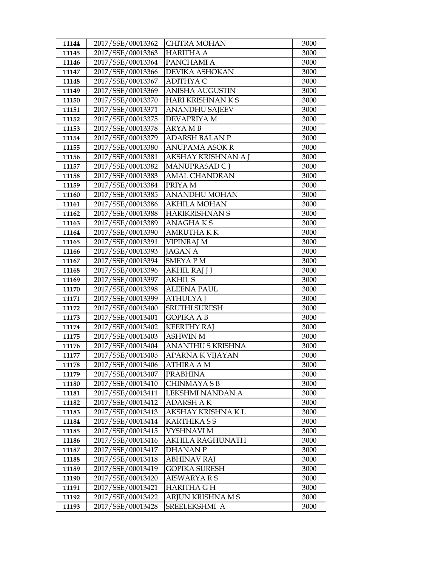| 11144          | 2017/SSE/00013362                      | <b>CHITRA MOHAN</b>                          | 3000         |
|----------------|----------------------------------------|----------------------------------------------|--------------|
| 11145          | 2017/SSE/00013363                      | <b>HARITHA A</b>                             | 3000         |
| 11146          | 2017/SSE/00013364                      | PANCHAMI A                                   | 3000         |
| 11147          | 2017/SSE/00013366                      | DEVIKA ASHOKAN                               | 3000         |
| 11148          | 2017/SSE/00013367                      | <b>ADITHYA C</b>                             | 3000         |
| 11149          | 2017/SSE/00013369                      | <b>ANISHA AUGUSTIN</b>                       | 3000         |
| 11150          | 2017/SSE/00013370                      | HARI KRISHNAN K S                            | 3000         |
| 11151          | 2017/SSE/00013371                      | <b>ANANDHU SAJEEV</b>                        | 3000         |
| 11152          | 2017/SSE/00013375                      | DEVAPRIYA M                                  | 3000         |
| 11153          | 2017/SSE/00013378                      | <b>ARYAMB</b>                                | 3000         |
| 11154          | 2017/SSE/00013379                      | <b>ADARSH BALAN P</b>                        | 3000         |
| 11155          | 2017/SSE/00013380                      | <b>ANUPAMA ASOK R</b>                        | 3000         |
| 11156          | 2017/SSE/00013381                      | AKSHAY KRISHNAN A J                          | 3000         |
| 11157          | 2017/SSE/00013382                      | MANUPRASAD CJ                                | 3000         |
| 11158          | 2017/SSE/00013383                      | <b>AMAL CHANDRAN</b>                         | 3000         |
| 11159          | 2017/SSE/00013384                      | PRIYA M                                      | 3000         |
| 11160          | 2017/SSE/00013385                      | <b>ANANDHU MOHAN</b>                         | 3000         |
| 11161          | 2017/SSE/00013386                      | <b>AKHILA MOHAN</b>                          | 3000         |
| 11162          | 2017/SSE/00013388                      | <b>HARIKRISHNAN S</b>                        | 3000         |
| 11163          | 2017/SSE/00013389                      | <b>ANAGHAKS</b>                              | 3000         |
| 11164          | 2017/SSE/00013390                      | <b>AMRUTHAKK</b>                             | 3000         |
| 11165          | 2017/SSE/00013391                      | <b>VIPINRAJ M</b>                            | 3000         |
| 11166          | 2017/SSE/00013393                      | <b>JAGAN A</b>                               | 3000         |
| 11167          | 2017/SSE/00013394                      | SMEYA P M                                    | 3000         |
| 11168          | 2017/SSE/00013396                      | AKHIL RAJ J J                                | 3000         |
| 11169          | 2017/SSE/00013397                      | <b>AKHIL S</b>                               | 3000         |
| 11170          | 2017/SSE/00013398                      | <b>ALEENA PAUL</b>                           | 3000         |
| 11171          | 2017/SSE/00013399                      | <b>ATHULYAJ</b>                              | 3000         |
| 11172          | 2017/SSE/00013400                      | SRUTHI SURESH                                | 3000         |
| 11173          | 2017/SSE/00013401                      | <b>GOPIKA A B</b>                            | 3000         |
| 11174          | 2017/SSE/00013402                      | <b>KEERTHY RAJ</b>                           | 3000         |
| 11175          | 2017/SSE/00013403                      | <b>ASHWIN M</b>                              | 3000         |
| 11176          | 2017/SSE/00013404                      | ANANTHU S KRISHNA<br><b>APARNA K VIJAYAN</b> | 3000<br>3000 |
| 11177          | 2017/SSE/00013405<br>2017/SSE/00013406 |                                              | 3000         |
| 11178<br>11179 | 2017/SSE/00013407                      | ATHIRA A M<br><b>PRABHINA</b>                | 3000         |
| 11180          | 2017/SSE/00013410                      | CHINMAYA S B                                 | 3000         |
| 11181          | 2017/SSE/00013411                      | LEKSHMI NANDAN A                             | 3000         |
| 11182          | 2017/SSE/00013412                      | <b>ADARSH AK</b>                             | 3000         |
| 11183          | 2017/SSE/00013413                      | AKSHAY KRISHNA K L                           | 3000         |
| 11184          | 2017/SSE/00013414                      | <b>KARTHIKA S S</b>                          | 3000         |
| 11185          | 2017/SSE/00013415                      | VYSHNAVI M                                   | 3000         |
| 11186          | 2017/SSE/00013416                      | <b>AKHILA RAGHUNATH</b>                      | 3000         |
| 11187          | 2017/SSE/00013417                      | <b>DHANAN P</b>                              | 3000         |
| 11188          | 2017/SSE/00013418                      | <b>ABHINAV RAJ</b>                           | 3000         |
| 11189          | 2017/SSE/00013419                      | <b>GOPIKA SURESH</b>                         | 3000         |
| 11190          | 2017/SSE/00013420                      | AISWARYA R S                                 | 3000         |
| 11191          | 2017/SSE/00013421                      | HARITHA G H                                  | 3000         |
| 11192          | 2017/SSE/00013422                      | ARJUN KRISHNA M S                            | 3000         |
| 11193          | 2017/SSE/00013428                      | SREELEKSHMI A                                | 3000         |
|                |                                        |                                              |              |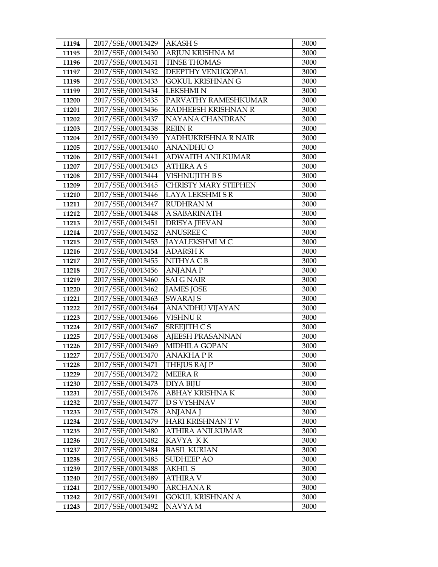| 11194          | 2017/SSE/00013429                      | AKASH S                       | 3000         |
|----------------|----------------------------------------|-------------------------------|--------------|
| 11195          | 2017/SSE/00013430                      | <b>ARJUN KRISHNA M</b>        | 3000         |
| 11196          | 2017/SSE/00013431                      | <b>TINSE THOMAS</b>           | 3000         |
| 11197          | 2017/SSE/00013432                      | DEEPTHY VENUGOPAL             | 3000         |
| 11198          | 2017/SSE/00013433                      | <b>GOKUL KRISHNAN G</b>       | 3000         |
| 11199          | 2017/SSE/00013434                      | <b>LEKSHMI N</b>              | 3000         |
| 11200          | 2017/SSE/00013435                      | PARVATHY RAMESHKUMAR          | 3000         |
| 11201          | 2017/SSE/00013436                      | RADHEESH KRISHNAN R           | 3000         |
| 11202          | 2017/SSE/00013437                      | NAYANA CHANDRAN               | 3000         |
| 11203          | 2017/SSE/00013438                      | <b>REJIN R</b>                | 3000         |
| 11204          | 2017/SSE/00013439                      | YADHUKRISHNA R NAIR           | 3000         |
| 11205          | 2017/SSE/00013440                      | <b>ANANDHU O</b>              | 3000         |
| 11206          | 2017/SSE/00013441                      | ADWAITH ANILKUMAR             | 3000         |
| 11207          | 2017/SSE/00013443                      | <b>ATHIRA A S</b>             | 3000         |
| 11208          | 2017/SSE/00013444                      | VISHNUJITH B S                | 3000         |
| 11209          | 2017/SSE/00013445                      | <b>CHRISTY MARY STEPHEN</b>   | 3000         |
| 11210          | 2017/SSE/00013446                      | LAYA LEKSHMI S R              | 3000         |
| 11211          | 2017/SSE/00013447                      | <b>RUDHRAN M</b>              | 3000         |
| 11212          | 2017/SSE/00013448                      | A SABARINATH                  | 3000         |
| 11213          | 2017/SSE/00013451                      | <b>DRISYA JEEVAN</b>          | 3000         |
| 11214          | 2017/SSE/00013452                      | <b>ANUSREE C</b>              | 3000         |
| 11215          | 2017/SSE/00013453                      | JAYALEKSHMI M C               | 3000         |
| 11216          | 2017/SSE/00013454                      | <b>ADARSH K</b>               | 3000         |
| 11217          | 2017/SSE/00013455                      | NITHYA C B                    | 3000         |
| 11218          | 2017/SSE/00013456                      | <b>ANJANA P</b>               | 3000         |
| 11219          | 2017/SSE/00013460                      | <b>SAI G NAIR</b>             | 3000         |
| 11220          | 2017/SSE/00013462                      | <b>JAMES JOSE</b>             | 3000         |
| 11221          | 2017/SSE/00013463                      | <b>SWARAJ S</b>               | 3000         |
| 11222          | 2017/SSE/00013464                      | ANANDHU VIJAYAN               | 3000         |
| 11223          | 2017/SSE/00013466                      | VISHNU R                      | 3000         |
| 11224          | 2017/SSE/00013467                      | SREEJITH C S                  | 3000         |
| 11225          | 2017/SSE/00013468                      | AJEESH PRASANNAN              | 3000         |
| 11226<br>11227 | 2017/SSE/00013469<br>2017/SSE/00013470 | MIDHILA GOPAN<br>ANAKHA PR    | 3000<br>3000 |
| 11228          | 2017/SSE/00013471                      |                               | 3000         |
| 11229          | 2017/SSE/00013472                      | THEJUS RAJ P<br><b>MEERAR</b> | 3000         |
| 11230          | 2017/SSE/00013473                      | DIYA BIJU                     | 3000         |
| 11231          | 2017/SSE/00013476                      | ABHAY KRISHNA K               | 3000         |
| 11232          | 2017/SSE/00013477                      | D S VYSHNAV                   | 3000         |
| 11233          | 2017/SSE/00013478                      | <b>ANJANA</b> J               | 3000         |
| 11234          | 2017/SSE/00013479                      | HARI KRISHNAN TV              | 3000         |
| 11235          | 2017/SSE/00013480                      | <b>ATHIRA ANILKUMAR</b>       | 3000         |
| 11236          | 2017/SSE/00013482                      | KAVYA KK                      | 3000         |
| 11237          | 2017/SSE/00013484                      | <b>BASIL KURIAN</b>           | 3000         |
| 11238          | 2017/SSE/00013485                      | SUDHEEP AO                    | 3000         |
| 11239          | 2017/SSE/00013488                      | AKHIL S                       | 3000         |
| 11240          | 2017/SSE/00013489                      | <b>ATHIRA V</b>               | 3000         |
| 11241          | 2017/SSE/00013490                      | <b>ARCHANA R</b>              | 3000         |
| 11242          | 2017/SSE/00013491                      | <b>GOKUL KRISHNAN A</b>       | 3000         |
| 11243          | 2017/SSE/00013492                      | NAVYA M                       | 3000         |
|                |                                        |                               |              |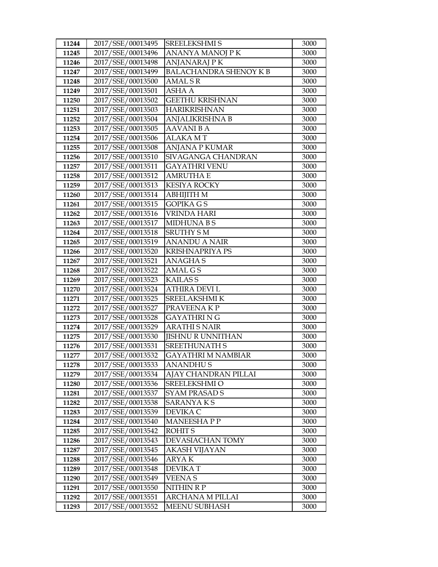| 11244 | 2017/SSE/00013495 | SREELEKSHMI S                 | 3000 |
|-------|-------------------|-------------------------------|------|
| 11245 | 2017/SSE/00013496 | ANANYA MANOJ P K              | 3000 |
| 11246 | 2017/SSE/00013498 | <b>ANJANARAJ PK</b>           | 3000 |
| 11247 | 2017/SSE/00013499 | <b>BALACHANDRA SHENOY K B</b> | 3000 |
| 11248 | 2017/SSE/00013500 | AMAL S R                      | 3000 |
| 11249 | 2017/SSE/00013501 | ASHA A                        | 3000 |
| 11250 | 2017/SSE/00013502 | <b>GEETHU KRISHNAN</b>        | 3000 |
| 11251 | 2017/SSE/00013503 | <b>HARIKRISHNAN</b>           | 3000 |
| 11252 | 2017/SSE/00013504 | ANJALIKRISHNA B               | 3000 |
| 11253 | 2017/SSE/00013505 | <b>AAVANI BA</b>              | 3000 |
| 11254 | 2017/SSE/00013506 | ALAKA MT                      | 3000 |
| 11255 | 2017/SSE/00013508 | <b>ANJANA P KUMAR</b>         | 3000 |
| 11256 | 2017/SSE/00013510 | SIVAGANGA CHANDRAN            | 3000 |
| 11257 | 2017/SSE/00013511 | <b>GAYATHRI VENU</b>          | 3000 |
| 11258 | 2017/SSE/00013512 | <b>AMRUTHA E</b>              | 3000 |
| 11259 | 2017/SSE/00013513 | <b>KESIYA ROCKY</b>           | 3000 |
| 11260 | 2017/SSE/00013514 | <b>ABHIJITH M</b>             | 3000 |
| 11261 | 2017/SSE/00013515 | <b>GOPIKA GS</b>              | 3000 |
| 11262 | 2017/SSE/00013516 | <b>VRINDA HARI</b>            | 3000 |
| 11263 | 2017/SSE/00013517 | <b>MIDHUNABS</b>              | 3000 |
| 11264 | 2017/SSE/00013518 | <b>SRUTHY SM</b>              | 3000 |
| 11265 | 2017/SSE/00013519 | <b>ANANDU A NAIR</b>          | 3000 |
| 11266 | 2017/SSE/00013520 | <b>KRISHNAPRIYA PS</b>        | 3000 |
| 11267 | 2017/SSE/00013521 | <b>ANAGHAS</b>                | 3000 |
| 11268 | 2017/SSE/00013522 | AMAL G S                      | 3000 |
| 11269 | 2017/SSE/00013523 | <b>KAILASS</b>                | 3000 |
| 11270 | 2017/SSE/00013524 | ATHIRA DEVI L                 | 3000 |
| 11271 | 2017/SSE/00013525 | SREELAKSHMI K                 | 3000 |
| 11272 | 2017/SSE/00013527 | PRAVEENAKP                    | 3000 |
| 11273 | 2017/SSE/00013528 | <b>GAYATHRING</b>             | 3000 |
| 11274 | 2017/SSE/00013529 | <b>ARATHI S NAIR</b>          | 3000 |
| 11275 | 2017/SSE/00013530 | <b>JISHNU R UNNITHAN</b>      | 3000 |
| 11276 | 2017/SSE/00013531 | <b>SREETHUNATH S</b>          | 3000 |
| 11277 | 2017/SSE/00013532 | <b>GAYATHRI M NAMBIAR</b>     | 3000 |
| 11278 | 2017/SSE/00013533 | <b>ANANDHUS</b>               | 3000 |
| 11279 | 2017/SSE/00013534 | AJAY CHANDRAN PILLAI          | 3000 |
| 11280 | 2017/SSE/00013536 | SREELEKSHMI O                 | 3000 |
| 11281 | 2017/SSE/00013537 | SYAM PRASAD S                 | 3000 |
| 11282 | 2017/SSE/00013538 | SARANYA K S                   | 3000 |
| 11283 | 2017/SSE/00013539 | DEVIKA C                      | 3000 |
| 11284 | 2017/SSE/00013540 | <b>MANEESHAPP</b>             | 3000 |
| 11285 | 2017/SSE/00013542 | ROHIT <sub>S</sub>            | 3000 |
| 11286 | 2017/SSE/00013543 | DEVASIACHAN TOMY              | 3000 |
| 11287 | 2017/SSE/00013545 | <b>AKASH VIJAYAN</b>          | 3000 |
| 11288 | 2017/SSE/00013546 | ARYA K                        | 3000 |
| 11289 | 2017/SSE/00013548 | <b>DEVIKAT</b>                | 3000 |
| 11290 | 2017/SSE/00013549 | VEENA S                       | 3000 |
| 11291 | 2017/SSE/00013550 | NITHIN R P                    | 3000 |
| 11292 | 2017/SSE/00013551 | ARCHANA M PILLAI              | 3000 |
| 11293 | 2017/SSE/00013552 | <b>MEENU SUBHASH</b>          | 3000 |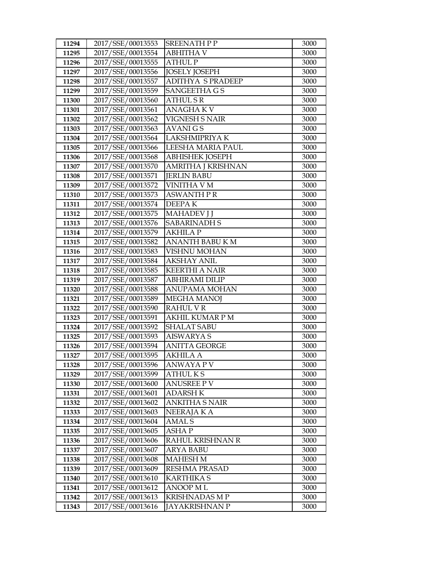| 11294          | 2017/SSE/00013553                      | <b>SREENATH P P</b>                     | 3000         |
|----------------|----------------------------------------|-----------------------------------------|--------------|
| 11295          | 2017/SSE/00013554                      | <b>ABHITHA V</b>                        | 3000         |
| 11296          | 2017/SSE/00013555                      | <b>ATHUL P</b>                          | 3000         |
| 11297          | 2017/SSE/00013556                      | <b>JOSELY JOSEPH</b>                    | 3000         |
| 11298          | 2017/SSE/00013557                      | <b>ADITHYA S PRADEEP</b>                | 3000         |
| 11299          | 2017/SSE/00013559                      | SANGEETHA G S                           | 3000         |
| 11300          | 2017/SSE/00013560                      | ATHUL S R                               | 3000         |
| 11301          | 2017/SSE/00013561                      | <b>ANAGHAKV</b>                         | 3000         |
| 11302          | 2017/SSE/00013562                      | VIGNESH S NAIR                          | 3000         |
| 11303          | 2017/SSE/00013563                      | <b>AVANIGS</b>                          | 3000         |
| 11304          | 2017/SSE/00013564                      | LAKSHMIPRIYA K                          | 3000         |
| 11305          | 2017/SSE/00013566                      | LEESHA MARIA PAUL                       | 3000         |
| 11306          | 2017/SSE/00013568                      | <b>ABHISHEK JOSEPH</b>                  | 3000         |
| 11307          | 2017/SSE/00013570                      | AMRITHA J KRISHNAN                      | 3000         |
| 11308          | 2017/SSE/00013571                      | <b>JERLIN BABU</b>                      | 3000         |
| 11309          | 2017/SSE/00013572                      | VINITHA V M                             | 3000         |
| 11310          | 2017/SSE/00013573                      | ASWANTH P R                             | 3000         |
| 11311          | 2017/SSE/00013574                      | <b>DEEPAK</b>                           | 3000         |
| 11312          | 2017/SSE/00013575                      | <b>MAHADEV J J</b>                      | 3000         |
| 11313          | 2017/SSE/00013576                      | <b>SABARINADH S</b>                     | 3000         |
| 11314          | 2017/SSE/00013579                      | <b>AKHILA P</b>                         | 3000         |
| 11315          | 2017/SSE/00013582                      | <b>ANANTH BABU K M</b>                  | 3000         |
| 11316          | 2017/SSE/00013583                      | <b>VISHNU MOHAN</b>                     | 3000         |
| 11317          | 2017/SSE/00013584                      | <b>AKSHAY ANIL</b>                      | 3000         |
| 11318          | 2017/SSE/00013585                      | <b>KEERTHI A NAIR</b>                   | 3000         |
| 11319          | 2017/SSE/00013587                      | <b>ABHIRAMI DILIP</b>                   | 3000         |
| 11320          | 2017/SSE/00013588                      | ANUPAMA MOHAN                           | 3000         |
| 11321          | 2017/SSE/00013589                      | <b>MEGHA MANOJ</b>                      | 3000         |
| 11322          | 2017/SSE/00013590                      | <b>RAHUL V R</b>                        | 3000         |
| 11323          | 2017/SSE/00013591                      | <b>AKHIL KUMAR P M</b>                  | 3000         |
| 11324          | 2017/SSE/00013592                      | <b>SHALAT SABU</b>                      | 3000         |
| 11325          | 2017/SSE/00013593                      | AISWARYA S                              | 3000         |
| 11326          | 2017/SSE/00013594                      | <b>ANITTA GEORGE</b><br><b>AKHILA A</b> | 3000         |
| 11327          | 2017/SSE/00013595                      |                                         | 3000<br>3000 |
| 11328<br>11329 | 2017/SSE/00013596<br>2017/SSE/00013599 | <b>ANWAYA P V</b><br><b>ATHULKS</b>     | 3000         |
| 11330          | 2017/SSE/00013600                      | <b>ANUSREE P V</b>                      | 3000         |
| 11331          | 2017/SSE/00013601                      | <b>ADARSH K</b>                         | 3000         |
| 11332          | 2017/SSE/00013602                      | <b>ANKITHA S NAIR</b>                   | 3000         |
| 11333          | 2017/SSE/00013603                      | NEERAJA K A                             | 3000         |
| 11334          | 2017/SSE/00013604                      | <b>AMAL S</b>                           | 3000         |
| 11335          | 2017/SSE/00013605                      | <b>ASHAP</b>                            | 3000         |
| 11336          | 2017/SSE/00013606                      | RAHUL KRISHNAN R                        | 3000         |
| 11337          | 2017/SSE/00013607                      | <b>ARYA BABU</b>                        | 3000         |
| 11338          | 2017/SSE/00013608                      | <b>MAHESH M</b>                         | 3000         |
| 11339          | 2017/SSE/00013609                      | RESHMA PRASAD                           | 3000         |
| 11340          | 2017/SSE/00013610                      | <b>KARTHIKA S</b>                       | 3000         |
| 11341          | 2017/SSE/00013612                      | <b>ANOOP ML</b>                         | 3000         |
| 11342          | 2017/SSE/00013613                      | KRISHNADAS M P                          | 3000         |
| 11343          | 2017/SSE/00013616                      | JAYAKRISHNAN P                          | 3000         |
|                |                                        |                                         |              |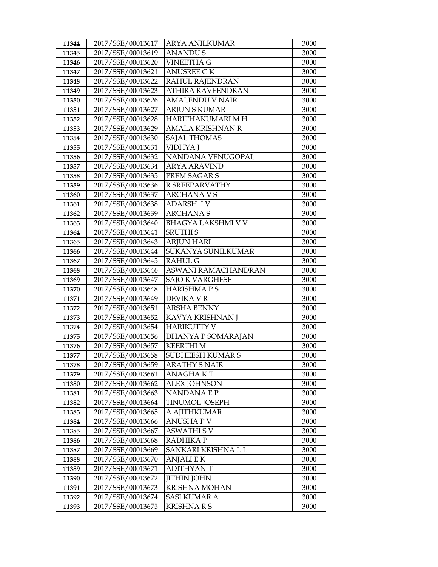| 11344          | 2017/SSE/00013617                      | <b>ARYA ANILKUMAR</b>             | 3000         |
|----------------|----------------------------------------|-----------------------------------|--------------|
| 11345          | 2017/SSE/00013619                      | <b>ANANDUS</b>                    | 3000         |
| 11346          | 2017/SSE/00013620                      | <b>VINEETHA G</b>                 | 3000         |
| 11347          | 2017/SSE/00013621                      | <b>ANUSREE CK</b>                 | 3000         |
| 11348          | 2017/SSE/00013622                      | RAHUL RAJENDRAN                   | 3000         |
| 11349          | 2017/SSE/00013623                      | <b>ATHIRA RAVEENDRAN</b>          | 3000         |
| 11350          | 2017/SSE/00013626                      | <b>AMALENDU V NAIR</b>            | 3000         |
| 11351          | 2017/SSE/00013627                      | <b>ARJUN S KUMAR</b>              | 3000         |
| 11352          | 2017/SSE/00013628                      | HARITHAKUMARI M H                 | 3000         |
| 11353          | 2017/SSE/00013629                      | AMALA KRISHNAN R                  | 3000         |
| 11354          | 2017/SSE/00013630                      | <b>SAJAL THOMAS</b>               | 3000         |
| 11355          | 2017/SSE/00013631                      | <b>VIDHYAJ</b>                    | 3000         |
| 11356          | 2017/SSE/00013632                      | NANDANA VENUGOPAL                 | 3000         |
| 11357          | 2017/SSE/00013634                      | <b>ARYA ARAVIND</b>               | 3000         |
| 11358          | 2017/SSE/00013635                      | PREM SAGAR S                      | 3000         |
| 11359          | 2017/SSE/00013636                      | R SREEPARVATHY                    | 3000         |
| 11360          | 2017/SSE/00013637                      | <b>ARCHANAVS</b>                  | 3000         |
| 11361          | 2017/SSE/00013638                      | <b>ADARSH IV</b>                  | 3000         |
| 11362          | 2017/SSE/00013639                      | <b>ARCHANAS</b>                   | 3000         |
| 11363          | 2017/SSE/00013640                      | <b>BHAGYA LAKSHMI V V</b>         | 3000         |
| 11364          | 2017/SSE/00013641                      | <b>SRUTHIS</b>                    | 3000         |
| 11365          | 2017/SSE/00013643                      | <b>ARJUN HARI</b>                 | 3000         |
| 11366          | 2017/SSE/00013644                      | SUKANYA SUNILKUMAR                | 3000         |
| 11367          | 2017/SSE/00013645                      | <b>RAHUL G</b>                    | 3000         |
| 11368          | 2017/SSE/00013646                      | ASWANI RAMACHANDRAN               | 3000         |
| 11369          | 2017/SSE/00013647                      | <b>SAJO K VARGHESE</b>            | 3000         |
| 11370          | 2017/SSE/00013648                      | <b>HARISHMAPS</b>                 | 3000         |
| 11371          | 2017/SSE/00013649                      | DEVIKA V R                        | 3000         |
| 11372          | 2017/SSE/00013651                      | <b>ARSHA BENNY</b>                | 3000         |
| 11373          | 2017/SSE/00013652                      | KAVYA KRISHNAN J                  | 3000         |
| 11374          | 2017/SSE/00013654                      | <b>HARIKUTTY V</b>                | 3000         |
| 11375          | 2017/SSE/00013656                      | DHANYA P SOMARAJAN                | 3000         |
| 11376          | 2017/SSE/00013657                      | <b>KEERTHIM</b>                   | 3000         |
| 11377          | 2017/SSE/00013658                      | SUDHEESH KUMAR S                  | 3000<br>3000 |
| 11378<br>11379 | 2017/SSE/00013659<br>2017/SSE/00013661 | <b>ARATHY S NAIR</b>              | 3000         |
| 11380          | 2017/SSE/00013662                      | ANAGHA K T<br><b>ALEX JOHNSON</b> | 3000         |
| 11381          | 2017/SSE/00013663                      | <b>NANDANAEP</b>                  | 3000         |
| 11382          | 2017/SSE/00013664                      | <b>TINUMOL JOSEPH</b>             | 3000         |
| 11383          | 2017/SSE/00013665                      | A AJITHKUMAR                      | 3000         |
| 11384          | 2017/SSE/00013666                      | ANUSHA P V                        | 3000         |
| 11385          | 2017/SSE/00013667                      | <b>ASWATHI S V</b>                | 3000         |
| 11386          | 2017/SSE/00013668                      | RADHIKA P                         | 3000         |
| 11387          | 2017/SSE/00013669                      | SANKARI KRISHNA L L               | 3000         |
| 11388          | 2017/SSE/00013670                      | <b>ANJALI E K</b>                 | 3000         |
| 11389          | 2017/SSE/00013671                      | ADITHYAN T                        | 3000         |
| 11390          | 2017/SSE/00013672                      | <b>JITHIN JOHN</b>                | 3000         |
| 11391          | 2017/SSE/00013673                      | <b>KRISHNA MOHAN</b>              | 3000         |
| 11392          | 2017/SSE/00013674                      | <b>SASI KUMAR A</b>               | 3000         |
| 11393          | 2017/SSE/00013675                      | <b>KRISHNARS</b>                  | 3000         |
|                |                                        |                                   |              |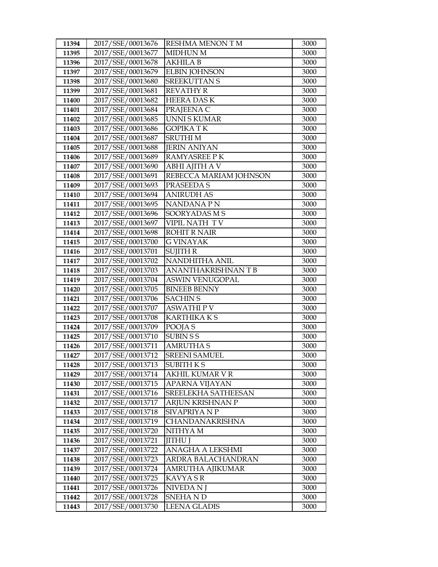| 11394 | 2017/SSE/00013676 | RESHMA MENON TM        | 3000 |
|-------|-------------------|------------------------|------|
| 11395 | 2017/SSE/00013677 | <b>MIDHUN M</b>        | 3000 |
| 11396 | 2017/SSE/00013678 | <b>AKHILA B</b>        | 3000 |
| 11397 | 2017/SSE/00013679 | <b>ELBIN JOHNSON</b>   | 3000 |
| 11398 | 2017/SSE/00013680 | <b>SREEKUTTAN S</b>    | 3000 |
| 11399 | 2017/SSE/00013681 | <b>REVATHY R</b>       | 3000 |
| 11400 | 2017/SSE/00013682 | <b>HEERA DASK</b>      | 3000 |
| 11401 | 2017/SSE/00013684 | PRAJEENA C             | 3000 |
| 11402 | 2017/SSE/00013685 | <b>UNNISKUMAR</b>      | 3000 |
| 11403 | 2017/SSE/00013686 | <b>GOPIKATK</b>        | 3000 |
| 11404 | 2017/SSE/00013687 | <b>SRUTHIM</b>         | 3000 |
| 11405 | 2017/SSE/00013688 | <b>JERIN ANIYAN</b>    | 3000 |
| 11406 | 2017/SSE/00013689 | <b>RAMYASREE PK</b>    | 3000 |
| 11407 | 2017/SSE/00013690 | <b>ABHI AJITH A V</b>  | 3000 |
| 11408 | 2017/SSE/00013691 | REBECCA MARIAM JOHNSON | 3000 |
| 11409 | 2017/SSE/00013693 | PRASEEDA S             | 3000 |
| 11410 | 2017/SSE/00013694 | <b>ANIRUDH AS</b>      | 3000 |
| 11411 | 2017/SSE/00013695 | <b>NANDANAPN</b>       | 3000 |
| 11412 | 2017/SSE/00013696 | SOORYADAS M S          | 3000 |
| 11413 | 2017/SSE/00013697 | VIPIL NATH TV          | 3000 |
| 11414 | 2017/SSE/00013698 | <b>ROHIT R NAIR</b>    | 3000 |
| 11415 | 2017/SSE/00013700 | <b>G VINAYAK</b>       | 3000 |
| 11416 | 2017/SSE/00013701 | <b>SUJITH R</b>        | 3000 |
| 11417 | 2017/SSE/00013702 | NANDHITHA ANIL         | 3000 |
| 11418 | 2017/SSE/00013703 | ANANTHAKRISHNAN T B    | 3000 |
| 11419 | 2017/SSE/00013704 | <b>ASWIN VENUGOPAL</b> | 3000 |
| 11420 | 2017/SSE/00013705 | <b>BINEEB BENNY</b>    | 3000 |
| 11421 | 2017/SSE/00013706 | <b>SACHIN S</b>        | 3000 |
| 11422 | 2017/SSE/00013707 | <b>ASWATHIPV</b>       | 3000 |
| 11423 | 2017/SSE/00013708 | <b>KARTHIKAKS</b>      | 3000 |
| 11424 | 2017/SSE/00013709 | POOJA S                | 3000 |
| 11425 | 2017/SSE/00013710 | <b>SUBIN S S</b>       | 3000 |
| 11426 | 2017/SSE/00013711 | <b>AMRUTHA S</b>       | 3000 |
| 11427 | 2017/SSE/00013712 | <b>SREENI SAMUEL</b>   | 3000 |
| 11428 | 2017/SSE/00013713 | SUBITH K S             | 3000 |
| 11429 | 2017/SSE/00013714 | AKHIL KUMAR V R        | 3000 |
| 11430 | 2017/SSE/00013715 | APARNA VIJAYAN         | 3000 |
| 11431 | 2017/SSE/00013716 | SREELEKHA SATHEESAN    | 3000 |
| 11432 | 2017/SSE/00013717 | ARJUN KRISHNAN P       | 3000 |
| 11433 | 2017/SSE/00013718 | SIVAPRIYA N P          | 3000 |
| 11434 | 2017/SSE/00013719 | <b>CHANDANAKRISHNA</b> | 3000 |
| 11435 | 2017/SSE/00013720 | NITHYA M               | 3000 |
| 11436 | 2017/SSE/00013721 | <b>IITHU J</b>         | 3000 |
| 11437 | 2017/SSE/00013722 | ANAGHA A LEKSHMI       | 3000 |
| 11438 | 2017/SSE/00013723 | ARDRA BALACHANDRAN     | 3000 |
| 11439 | 2017/SSE/00013724 | AMRUTHA AJIKUMAR       | 3000 |
| 11440 | 2017/SSE/00013725 | KAVYA SR               | 3000 |
| 11441 | 2017/SSE/00013726 | NIVEDA N J             | 3000 |
| 11442 | 2017/SSE/00013728 | SNEHA N D              | 3000 |
| 11443 | 2017/SSE/00013730 | <b>LEENA GLADIS</b>    | 3000 |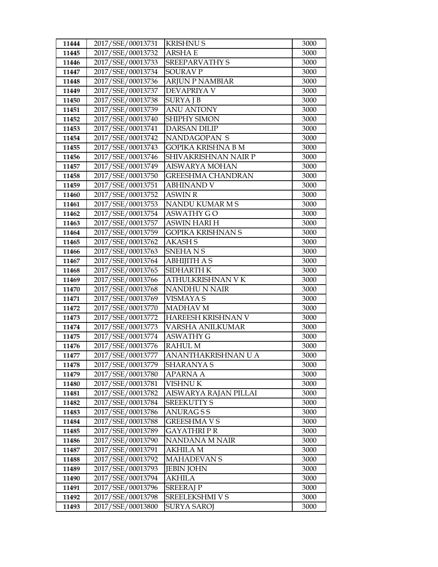| 11444 | 2017/SSE/00013731                      | <b>KRISHNUS</b>          | 3000 |
|-------|----------------------------------------|--------------------------|------|
| 11445 | 2017/SSE/00013732                      | <b>ARSHAE</b>            | 3000 |
| 11446 | 2017/SSE/00013733                      | <b>SREEPARVATHY S</b>    | 3000 |
| 11447 | 2017/SSE/00013734                      | <b>SOURAV P</b>          | 3000 |
| 11448 | 2017/SSE/00013736                      | <b>ARJUN P NAMBIAR</b>   | 3000 |
| 11449 | 2017/SSE/00013737                      | <b>DEVAPRIYA V</b>       | 3000 |
| 11450 | 2017/SSE/00013738                      | <b>SURYAJB</b>           | 3000 |
| 11451 | 2017/SSE/00013739                      | <b>ANU ANTONY</b>        | 3000 |
| 11452 | 2017/SSE/00013740                      | SHIPHY SIMON             | 3000 |
| 11453 | 2017/SSE/00013741                      | <b>DARSAN DILIP</b>      | 3000 |
| 11454 | 2017/SSE/00013742                      | NANDAGOPAN S             | 3000 |
| 11455 | 2017/SSE/00013743                      | GOPIKA KRISHNA B M       | 3000 |
| 11456 | 2017/SSE/00013746                      | SHIVAKRISHNAN NAIR P     | 3000 |
| 11457 | 2017/SSE/00013749                      | AISWARYA MOHAN           | 3000 |
| 11458 | 2017/SSE/00013750                      | <b>GREESHMA CHANDRAN</b> | 3000 |
| 11459 | 2017/SSE/00013751                      | <b>ABHINAND V</b>        | 3000 |
| 11460 | 2017/SSE/00013752                      | <b>ASWIN R</b>           | 3000 |
| 11461 | 2017/SSE/00013753                      | NANDU KUMAR M S          | 3000 |
| 11462 | 2017/SSE/00013754                      | <b>ASWATHY GO</b>        | 3000 |
| 11463 | 2017/SSE/00013757                      | <b>ASWIN HARI H</b>      | 3000 |
| 11464 | 2017/SSE/00013759                      | GOPIKA KRISHNAN S        | 3000 |
| 11465 | 2017/SSE/00013762                      | <b>AKASHS</b>            | 3000 |
| 11466 | 2017/SSE/00013763                      | <b>SNEHANS</b>           | 3000 |
| 11467 | 2017/SSE/00013764                      | <b>ABHIJITH A S</b>      | 3000 |
| 11468 | 2017/SSE/00013765                      | SIDHARTH K               | 3000 |
| 11469 | 2017/SSE/00013766                      | ATHULKRISHNAN V K        | 3000 |
| 11470 | 2017/SSE/00013768                      | NANDHU N NAIR            | 3000 |
| 11471 | 2017/SSE/00013769                      | <b>VISMAYA S</b>         | 3000 |
| 11472 | 2017/SSE/00013770                      | <b>MADHAV M</b>          | 3000 |
| 11473 | 2017/SSE/00013772                      | HAREESH KRISHNAN V       | 3000 |
| 11474 | 2017/SSE/00013773                      | VARSHA ANILKUMAR         | 3000 |
| 11475 | 2017/SSE/00013774                      | <b>ASWATHY G</b>         | 3000 |
| 11476 | 2017/SSE/00013776                      | <b>RAHUL M</b>           | 3000 |
| 11477 | 2017/SSE/00013777                      | ANANTHAKRISHNAN U A      | 3000 |
| 11478 | 2017/SSE/00013779                      | SHARANYA S               | 3000 |
| 11479 | 2017/SSE/00013780                      | APARNA A                 | 3000 |
| 11480 | 2017/SSE/00013781                      | VISHNU K                 | 3000 |
| 11481 | 2017/SSE/00013782                      | AISWARYA RAJAN PILLAI    | 3000 |
| 11482 | 2017/SSE/00013784                      | <b>SREEKUTTY S</b>       | 3000 |
| 11483 | 2017/SSE/00013786                      | ANURAG S S               | 3000 |
| 11484 | 2017/SSE/00013788                      | GREESHMA V S             | 3000 |
| 11485 | 2017/SSE/00013789                      | GAYATHRI P R             | 3000 |
| 11486 | 2017/SSE/00013790<br>2017/SSE/00013791 | NANDANA M NAIR           | 3000 |
| 11487 |                                        | <b>AKHILA M</b>          | 3000 |
| 11488 | 2017/SSE/00013792                      | <b>MAHADEVAN S</b>       | 3000 |
| 11489 | 2017/SSE/00013793                      | JEBIN JOHN               | 3000 |
| 11490 | 2017/SSE/00013794                      | <b>AKHILA</b>            | 3000 |
| 11491 | 2017/SSE/00013796                      | <b>SREERAJP</b>          | 3000 |
| 11492 | 2017/SSE/00013798                      | SREELEKSHMI V S          | 3000 |
| 11493 | 2017/SSE/00013800                      | <b>SURYA SAROJ</b>       | 3000 |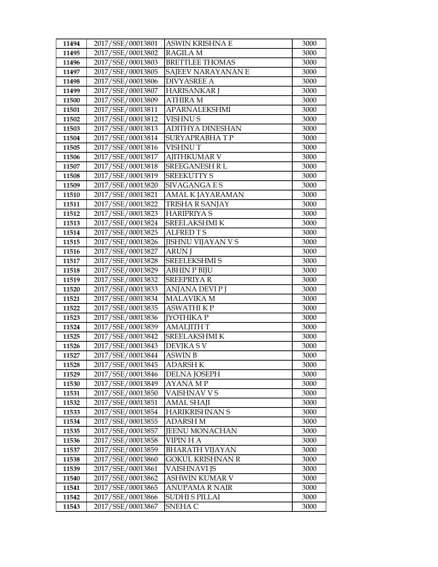| 11494 | 2017/SSE/00013801 | ASWIN KRISHNA E           | 3000 |
|-------|-------------------|---------------------------|------|
| 11495 | 2017/SSE/00013802 | <b>RAGILA M</b>           | 3000 |
| 11496 | 2017/SSE/00013803 | <b>BRETTLEE THOMAS</b>    | 3000 |
| 11497 | 2017/SSE/00013805 | SAJEEV NARAYANAN E        | 3000 |
| 11498 | 2017/SSE/00013806 | <b>DIVYASREE A</b>        | 3000 |
| 11499 | 2017/SSE/00013807 | <b>HARISANKAR J</b>       | 3000 |
| 11500 | 2017/SSE/00013809 | <b>ATHIRA M</b>           | 3000 |
| 11501 | 2017/SSE/00013811 | <b>APARNALEKSHMI</b>      | 3000 |
| 11502 | 2017/SSE/00013812 | <b>VISHNUS</b>            | 3000 |
| 11503 | 2017/SSE/00013813 | <b>ADITHYA DINESHAN</b>   | 3000 |
| 11504 | 2017/SSE/00013814 | <b>SURYAPRABHATP</b>      | 3000 |
| 11505 | 2017/SSE/00013816 | <b>VISHNUT</b>            | 3000 |
| 11506 | 2017/SSE/00013817 | <b>AJITHKUMAR V</b>       | 3000 |
| 11507 | 2017/SSE/00013818 | <b>SREEGANESH R L</b>     | 3000 |
| 11508 | 2017/SSE/00013819 | <b>SREEKUTTY S</b>        | 3000 |
| 11509 | 2017/SSE/00013820 | <b>SIVAGANGAES</b>        | 3000 |
| 11510 | 2017/SSE/00013821 | AMAL K JAYARAMAN          | 3000 |
| 11511 | 2017/SSE/00013822 | TRISHA R SANJAY           | 3000 |
| 11512 | 2017/SSE/00013823 | <b>HARIPRIYA S</b>        | 3000 |
| 11513 | 2017/SSE/00013824 | SREELAKSHMI K             | 3000 |
| 11514 | 2017/SSE/00013825 | <b>ALFRED TS</b>          | 3000 |
| 11515 | 2017/SSE/00013826 | <b>JISHNU VIJAYAN V S</b> | 3000 |
| 11516 | 2017/SSE/00013827 | <b>ARUN J</b>             | 3000 |
| 11517 | 2017/SSE/00013828 | SREELEKSHMI S             | 3000 |
| 11518 | 2017/SSE/00013829 | <b>ABHIN P BIJU</b>       | 3000 |
| 11519 | 2017/SSE/00013832 | <b>SREEPRIYAR</b>         | 3000 |
| 11520 | 2017/SSE/00013833 | ANJANA DEVI P J           | 3000 |
| 11521 | 2017/SSE/00013834 | <b>MALAVIKA M</b>         | 3000 |
| 11522 | 2017/SSE/00013835 | <b>ASWATHIKP</b>          | 3000 |
| 11523 | 2017/SSE/00013836 | <b>[YOTHIKA P</b>         | 3000 |
| 11524 | 2017/SSE/00013839 | <b>AMALJITH T</b>         | 3000 |
| 11525 | 2017/SSE/00013842 | SREELAKSHMI K             | 3000 |
| 11526 | 2017/SSE/00013843 | <b>DEVIKA S V</b>         | 3000 |
| 11527 | 2017/SSE/00013844 | <b>ASWIN B</b>            | 3000 |
| 11528 | 2017/SSE/00013845 | <b>ADARSH K</b>           | 3000 |
| 11529 | 2017/SSE/00013846 | DELNA JOSEPH              | 3000 |
| 11530 | 2017/SSE/00013849 | AYANA MP                  | 3000 |
| 11531 | 2017/SSE/00013850 | VAISHNAV V S              | 3000 |
| 11532 | 2017/SSE/00013851 | <b>AMAL SHAJI</b>         | 3000 |
| 11533 | 2017/SSE/00013854 | HARIKRISHNAN S            | 3000 |
| 11534 | 2017/SSE/00013855 | ADARSH M                  | 3000 |
| 11535 | 2017/SSE/00013857 | <b>JEENU MONACHAN</b>     | 3000 |
| 11536 | 2017/SSE/00013858 | <b>VIPIN H A</b>          | 3000 |
| 11537 | 2017/SSE/00013859 | <b>BHARATH VIJAYAN</b>    | 3000 |
| 11538 | 2017/SSE/00013860 | <b>GOKUL KRISHNAN R</b>   | 3000 |
| 11539 | 2017/SSE/00013861 | VAISHNAVI JS              | 3000 |
| 11540 | 2017/SSE/00013862 | ASHWIN KUMAR V            | 3000 |
| 11541 | 2017/SSE/00013865 | ANUPAMA R NAIR            | 3000 |
| 11542 | 2017/SSE/00013866 | <b>SUDHI S PILLAI</b>     | 3000 |
| 11543 | 2017/SSE/00013867 | SNEHA C                   | 3000 |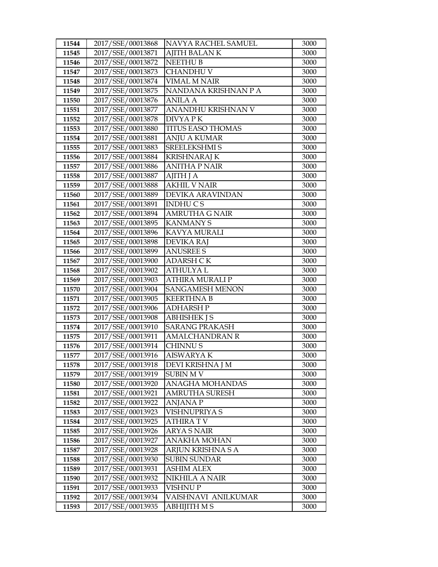| 11544 | 2017/SSE/00013868 | NAVYA RACHEL SAMUEL      | 3000 |
|-------|-------------------|--------------------------|------|
| 11545 | 2017/SSE/00013871 | <b>AJITH BALANK</b>      | 3000 |
| 11546 | 2017/SSE/00013872 | <b>NEETHU B</b>          | 3000 |
| 11547 | 2017/SSE/00013873 | <b>CHANDHU V</b>         | 3000 |
| 11548 | 2017/SSE/00013874 | <b>VIMAL M NAIR</b>      | 3000 |
| 11549 | 2017/SSE/00013875 | NANDANA KRISHNAN P A     | 3000 |
| 11550 | 2017/SSE/00013876 | <b>ANILA A</b>           | 3000 |
| 11551 | 2017/SSE/00013877 | ANANDHU KRISHNAN V       | 3000 |
| 11552 | 2017/SSE/00013878 | DIVYA PK                 | 3000 |
| 11553 | 2017/SSE/00013880 | <b>TITUS EASO THOMAS</b> | 3000 |
| 11554 | 2017/SSE/00013881 | <b>ANJU A KUMAR</b>      | 3000 |
| 11555 | 2017/SSE/00013883 | SREELEKSHMI S            | 3000 |
| 11556 | 2017/SSE/00013884 | <b>KRISHNARAJ K</b>      | 3000 |
| 11557 | 2017/SSE/00013886 | <b>ANITHA P NAIR</b>     | 3000 |
| 11558 | 2017/SSE/00013887 | AJITH J A                | 3000 |
| 11559 | 2017/SSE/00013888 | <b>AKHIL V NAIR</b>      | 3000 |
| 11560 | 2017/SSE/00013889 | DEVIKA ARAVINDAN         | 3000 |
| 11561 | 2017/SSE/00013891 | <b>INDHUCS</b>           | 3000 |
| 11562 | 2017/SSE/00013894 | <b>AMRUTHA G NAIR</b>    | 3000 |
| 11563 | 2017/SSE/00013895 | <b>KANMANY S</b>         | 3000 |
| 11564 | 2017/SSE/00013896 | KAVYA MURALI             | 3000 |
| 11565 | 2017/SSE/00013898 | <b>DEVIKA RAJ</b>        | 3000 |
| 11566 | 2017/SSE/00013899 | <b>ANUSREE S</b>         | 3000 |
| 11567 | 2017/SSE/00013900 | <b>ADARSH CK</b>         | 3000 |
| 11568 | 2017/SSE/00013902 | <b>ATHULYAL</b>          | 3000 |
| 11569 | 2017/SSE/00013903 | ATHIRA MURALI P          | 3000 |
| 11570 | 2017/SSE/00013904 | SANGAMESH MENON          | 3000 |
| 11571 | 2017/SSE/00013905 | <b>KEERTHNA B</b>        | 3000 |
| 11572 | 2017/SSE/00013906 | <b>ADHARSH P</b>         | 3000 |
| 11573 | 2017/SSE/00013908 | <b>ABHISHEK J S</b>      | 3000 |
| 11574 | 2017/SSE/00013910 | <b>SARANG PRAKASH</b>    | 3000 |
| 11575 | 2017/SSE/00013911 | <b>AMALCHANDRAN R</b>    | 3000 |
| 11576 | 2017/SSE/00013914 | CHINNU S                 | 3000 |
| 11577 | 2017/SSE/00013916 | <b>AISWARYAK</b>         | 3000 |
| 11578 | 2017/SSE/00013918 | DEVI KRISHNA J M         | 3000 |
| 11579 | 2017/SSE/00013919 | <b>SUBIN MV</b>          | 3000 |
| 11580 | 2017/SSE/00013920 | <b>ANAGHA MOHANDAS</b>   | 3000 |
| 11581 | 2017/SSE/00013921 | AMRUTHA SURESH           | 3000 |
| 11582 | 2017/SSE/00013922 | ANJANA P                 | 3000 |
| 11583 | 2017/SSE/00013923 | VISHNUPRIYA S            | 3000 |
| 11584 | 2017/SSE/00013925 | ATHIRA T V               | 3000 |
| 11585 | 2017/SSE/00013926 | <b>ARYA S NAIR</b>       | 3000 |
| 11586 | 2017/SSE/00013927 | ANAKHA MOHAN             | 3000 |
| 11587 | 2017/SSE/00013928 | ARJUN KRISHNA S A        | 3000 |
| 11588 | 2017/SSE/00013930 | <b>SUBIN SUNDAR</b>      | 3000 |
| 11589 | 2017/SSE/00013931 | <b>ASHIM ALEX</b>        | 3000 |
| 11590 | 2017/SSE/00013932 | NIKHILA A NAIR           | 3000 |
| 11591 | 2017/SSE/00013933 | VISHNU P                 | 3000 |
| 11592 | 2017/SSE/00013934 | VAISHNAVI ANILKUMAR      | 3000 |
| 11593 | 2017/SSE/00013935 | <b>ABHIJITH MS</b>       | 3000 |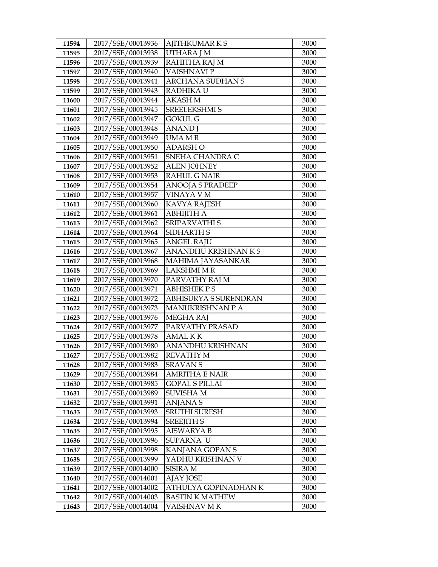| 11594          | 2017/SSE/00013936                      | <b>AJITHKUMARKS</b>                  | 3000         |
|----------------|----------------------------------------|--------------------------------------|--------------|
| 11595          | 2017/SSE/00013938                      | UTHARA J M                           | 3000         |
| 11596          | 2017/SSE/00013939                      | RAHITHA RAJ M                        | 3000         |
| 11597          | 2017/SSE/00013940                      | VAISHNAVI P                          | 3000         |
| 11598          | 2017/SSE/00013941                      | <b>ARCHANA SUDHAN S</b>              | 3000         |
| 11599          | 2017/SSE/00013943                      | RADHIKA U                            | 3000         |
| 11600          | 2017/SSE/00013944                      | <b>AKASH M</b>                       | 3000         |
| 11601          | 2017/SSE/00013945                      | <b>SREELEKSHMI S</b>                 | 3000         |
| 11602          | 2017/SSE/00013947                      | <b>GOKUL G</b>                       | 3000         |
| 11603          | 2017/SSE/00013948                      | <b>ANAND</b> J                       | 3000         |
| 11604          | 2017/SSE/00013949                      | <b>UMAMR</b>                         | 3000         |
| 11605          | 2017/SSE/00013950                      | ADARSH O                             | 3000         |
| 11606          | 2017/SSE/00013951                      | SNEHA CHANDRA C                      | 3000         |
| 11607          | 2017/SSE/00013952                      | <b>ALEN JOHNEY</b>                   | 3000         |
| 11608          | 2017/SSE/00013953                      | <b>RAHUL G NAIR</b>                  | 3000         |
| 11609          | 2017/SSE/00013954                      | <b>ANOOJA S PRADEEP</b>              | 3000         |
| 11610          | 2017/SSE/00013957                      | VINAYA V M                           | 3000         |
| 11611          | 2017/SSE/00013960                      | <b>KAVYA RAJESH</b>                  | 3000         |
| 11612          | 2017/SSE/00013961                      | АВНІЈІТНА                            | 3000         |
| 11613          | 2017/SSE/00013962                      | SRIPARVATHI S                        | 3000         |
| 11614          | 2017/SSE/00013964                      | SIDHARTH S                           | 3000         |
| 11615          | 2017/SSE/00013965                      | <b>ANGEL RAJU</b>                    | 3000         |
| 11616          | 2017/SSE/00013967                      | ANANDHU KRISHNAN K S                 | 3000         |
| 11617          | 2017/SSE/00013968                      | MAHIMA JAYASANKAR                    | 3000         |
| 11618          | 2017/SSE/00013969                      | <b>LAKSHMI M R</b>                   | 3000         |
| 11619          | 2017/SSE/00013970                      | PARVATHY RAJ M                       | 3000         |
| 11620          | 2017/SSE/00013971                      | <b>ABHISHEK PS</b>                   | 3000         |
| 11621          | 2017/SSE/00013972                      | ABHISURYA S SURENDRAN                | 3000         |
| 11622          | 2017/SSE/00013973                      | MANUKRISHNAN PA                      | 3000         |
| 11623          | 2017/SSE/00013976                      | <b>MEGHA RAJ</b>                     | 3000         |
| 11624          | 2017/SSE/00013977                      | PARVATHY PRASAD                      | 3000         |
| 11625<br>11626 | 2017/SSE/00013978                      | AMAL K K                             | 3000         |
| 11627          | 2017/SSE/00013980<br>2017/SSE/00013982 | ANANDHU KRISHNAN<br><b>REVATHY M</b> | 3000<br>3000 |
| 11628          | 2017/SSE/00013983                      | <b>SRAVAN S</b>                      | 3000         |
| 11629          | 2017/SSE/00013984                      | <b>AMRITHA E NAIR</b>                | 3000         |
| 11630          | 2017/SSE/00013985                      | GOPAL S PILLAI                       | 3000         |
| 11631          | 2017/SSE/00013989                      | <b>SUVISHA M</b>                     | 3000         |
| 11632          | 2017/SSE/00013991                      | <b>ANJANAS</b>                       | 3000         |
| 11633          | 2017/SSE/00013993                      | <b>SRUTHI SURESH</b>                 | 3000         |
| 11634          | 2017/SSE/00013994                      | SREEJITH S                           | 3000         |
| 11635          | 2017/SSE/00013995                      | AISWARYA B                           | 3000         |
| 11636          | 2017/SSE/00013996                      | SUPARNA U                            | 3000         |
| 11637          | 2017/SSE/00013998                      | KANJANA GOPAN S                      | 3000         |
| 11638          | 2017/SSE/00013999                      | YADHU KRISHNAN V                     | 3000         |
| 11639          | 2017/SSE/00014000                      | SISIRA M                             | 3000         |
| 11640          | 2017/SSE/00014001                      | AJAY JOSE                            | 3000         |
| 11641          | 2017/SSE/00014002                      | ATHULYA GOPINADHAN K                 | 3000         |
| 11642          | 2017/SSE/00014003                      | <b>BASTIN K MATHEW</b>               | 3000         |
| 11643          | 2017/SSE/00014004                      | VAISHNAV M K                         | 3000         |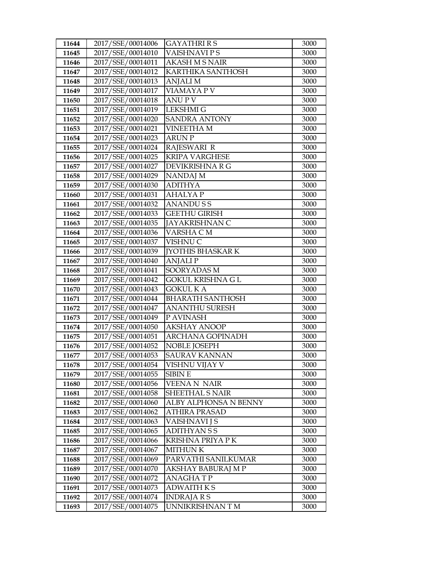| 11644 | 2017/SSE/00014006 | <b>GAYATHRI R S</b>      | 3000 |
|-------|-------------------|--------------------------|------|
| 11645 | 2017/SSE/00014010 | VAISHNAVI P S            | 3000 |
| 11646 | 2017/SSE/00014011 | <b>AKASH M S NAIR</b>    | 3000 |
| 11647 | 2017/SSE/00014012 | KARTHIKA SANTHOSH        | 3000 |
| 11648 | 2017/SSE/00014013 | <b>ANJALI M</b>          | 3000 |
| 11649 | 2017/SSE/00014017 | <b>VIAMAYA P V</b>       | 3000 |
| 11650 | 2017/SSE/00014018 | <b>ANUPV</b>             | 3000 |
| 11651 | 2017/SSE/00014019 | <b>LEKSHMI G</b>         | 3000 |
| 11652 | 2017/SSE/00014020 | <b>SANDRA ANTONY</b>     | 3000 |
| 11653 | 2017/SSE/00014021 | <b>VINEETHAM</b>         | 3000 |
| 11654 | 2017/SSE/00014023 | <b>ARUN P</b>            | 3000 |
| 11655 | 2017/SSE/00014024 | <b>RAJESWARI R</b>       | 3000 |
| 11656 | 2017/SSE/00014025 | <b>KRIPA VARGHESE</b>    | 3000 |
| 11657 | 2017/SSE/00014027 | DEVIKRISHNA R G          | 3000 |
| 11658 | 2017/SSE/00014029 | NANDAJ M                 | 3000 |
| 11659 | 2017/SSE/00014030 | <b>ADITHYA</b>           | 3000 |
| 11660 | 2017/SSE/00014031 | <b>AHALYAP</b>           | 3000 |
| 11661 | 2017/SSE/00014032 | <b>ANANDUSS</b>          | 3000 |
| 11662 | 2017/SSE/00014033 | <b>GEETHU GIRISH</b>     | 3000 |
| 11663 | 2017/SSE/00014035 | <b>JAYAKRISHNAN C</b>    | 3000 |
| 11664 | 2017/SSE/00014036 | VARSHA CM                | 3000 |
| 11665 | 2017/SSE/00014037 | VISHNU C                 | 3000 |
| 11666 | 2017/SSE/00014039 | <b>JYOTHIS BHASKAR K</b> | 3000 |
| 11667 | 2017/SSE/00014040 | <b>ANJALIP</b>           | 3000 |
| 11668 | 2017/SSE/00014041 | SOORYADAS M              | 3000 |
| 11669 | 2017/SSE/00014042 | <b>GOKUL KRISHNA G L</b> | 3000 |
| 11670 | 2017/SSE/00014043 | <b>GOKUL KA</b>          | 3000 |
| 11671 | 2017/SSE/00014044 | <b>BHARATH SANTHOSH</b>  | 3000 |
| 11672 | 2017/SSE/00014047 | <b>ANANTHU SURESH</b>    | 3000 |
| 11673 | 2017/SSE/00014049 | P AVINASH                | 3000 |
| 11674 | 2017/SSE/00014050 | <b>AKSHAY ANOOP</b>      | 3000 |
| 11675 | 2017/SSE/00014051 | <b>ARCHANA GOPINADH</b>  | 3000 |
| 11676 | 2017/SSE/00014052 | <b>NOBLE JOSEPH</b>      | 3000 |
| 11677 | 2017/SSE/00014053 | <b>SAURAV KANNAN</b>     | 3000 |
| 11678 | 2017/SSE/00014054 | VISHNU VIJAY V           | 3000 |
| 11679 | 2017/SSE/00014055 | <b>SIBIN E</b>           | 3000 |
| 11680 | 2017/SSE/00014056 | <b>VEENAN NAIR</b>       | 3000 |
| 11681 | 2017/SSE/00014058 | <b>SHEETHAL S NAIR</b>   | 3000 |
| 11682 | 2017/SSE/00014060 | ALBY ALPHONSA N BENNY    | 3000 |
| 11683 | 2017/SSE/00014062 | <b>ATHIRA PRASAD</b>     | 3000 |
| 11684 | 2017/SSE/00014063 | VAISHNAVI J S            | 3000 |
| 11685 | 2017/SSE/00014065 | <b>ADITHYANSS</b>        | 3000 |
| 11686 | 2017/SSE/00014066 | KRISHNA PRIYA P K        | 3000 |
| 11687 | 2017/SSE/00014067 | <b>MITHUN K</b>          | 3000 |
| 11688 | 2017/SSE/00014069 | PARVATHI SANILKUMAR      | 3000 |
| 11689 | 2017/SSE/00014070 | AKSHAY BABURAJ M P       | 3000 |
| 11690 | 2017/SSE/00014072 | ANAGHA T P               | 3000 |
| 11691 | 2017/SSE/00014073 | <b>ADWAITH KS</b>        | 3000 |
| 11692 | 2017/SSE/00014074 | <b>INDRAJARS</b>         | 3000 |
| 11693 | 2017/SSE/00014075 | UNNIKRISHNANTM           | 3000 |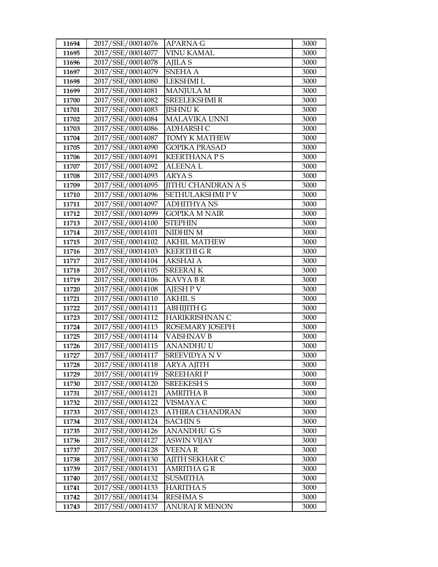| 11694          | 2017/SSE/00014076                      | APARNA G                              | 3000         |
|----------------|----------------------------------------|---------------------------------------|--------------|
| 11695          | 2017/SSE/00014077                      | VINU KAMAL                            | 3000         |
| 11696          | 2017/SSE/00014078                      | <b>AJILA S</b>                        | 3000         |
| 11697          | 2017/SSE/00014079                      | <b>SNEHA A</b>                        | 3000         |
| 11698          | 2017/SSE/00014080                      | LEKSHMI L                             | 3000         |
| 11699          | 2017/SSE/00014081                      | <b>MANJULA M</b>                      | 3000         |
| 11700          | 2017/SSE/00014082                      | <b>SREELEKSHMIR</b>                   | 3000         |
| 11701          | 2017/SSE/00014083                      | <b>JISHNUK</b>                        | 3000         |
| 11702          | 2017/SSE/00014084                      | <b>MALAVIKA UNNI</b>                  | 3000         |
| 11703          | 2017/SSE/00014086                      | <b>ADHARSH C</b>                      | 3000         |
| 11704          | 2017/SSE/00014087                      | <b>TOMY K MATHEW</b>                  | 3000         |
| 11705          | 2017/SSE/00014090                      | <b>GOPIKA PRASAD</b>                  | 3000         |
| 11706          | 2017/SSE/00014091                      | <b>KEERTHANAPS</b>                    | 3000         |
| 11707          | 2017/SSE/00014092                      | <b>ALEENAL</b>                        | 3000         |
| 11708          | 2017/SSE/00014093                      | ARYA S                                | 3000         |
| 11709          | 2017/SSE/00014095                      | <b>JITHU CHANDRAN A S</b>             | 3000         |
| 11710          | 2017/SSE/00014096                      | SETHULAKSHMIP V                       | 3000         |
| 11711          | 2017/SSE/00014097                      | <b>ADHITHYANS</b>                     | 3000         |
| 11712          | 2017/SSE/00014099                      | <b>GOPIKA M NAIR</b>                  | 3000         |
| 11713          | 2017/SSE/00014100                      | <b>STEPHIN</b>                        | 3000         |
| 11714          | 2017/SSE/00014101                      | NIDHIN M                              | 3000         |
| 11715          | 2017/SSE/00014102                      | <b>AKHIL MATHEW</b>                   | 3000         |
| 11716          | 2017/SSE/00014103                      | <b>KEERTHI G R</b>                    | 3000         |
| 11717          | 2017/SSE/00014104                      | <b>AKSHAI A</b>                       | 3000         |
| 11718          | 2017/SSE/00014105                      | <b>SREERAJ K</b>                      | 3000         |
| 11719          | 2017/SSE/00014106                      | <b>KAVYABR</b>                        | 3000         |
| 11720          | 2017/SSE/00014108                      | <b>AJESH P V</b>                      | 3000         |
| 11721          | 2017/SSE/00014110                      | <b>AKHIL S</b>                        | 3000         |
| 11722          | 2017/SSE/00014111                      | <b>ABHIJITH G</b>                     | 3000         |
| 11723          | 2017/SSE/00014112                      | HARIKRISHNAN C                        | 3000         |
| 11724          | 2017/SSE/00014113                      | ROSEMARY JOSEPH                       | 3000         |
| 11725          | 2017/SSE/00014114                      | VAISHNAV B                            | 3000         |
| 11726          | 2017/SSE/00014115                      | <b>ANANDHUU</b><br><b>SREEVIDYANV</b> | 3000         |
| 11727          | 2017/SSE/00014117                      |                                       | 3000         |
| 11728<br>11729 | 2017/SSE/00014118<br>2017/SSE/00014119 | ARYA AJITH<br><b>SREEHARI P</b>       | 3000<br>3000 |
| 11730          | 2017/SSE/00014120                      | <b>SREEKESH S</b>                     | 3000         |
| 11731          | 2017/SSE/00014121                      | <b>AMRITHA B</b>                      | 3000         |
| 11732          | 2017/SSE/00014122                      | VISMAYA C                             | 3000         |
| 11733          | 2017/SSE/00014123                      | ATHIRA CHANDRAN                       | 3000         |
| 11734          | 2017/SSE/00014124                      | <b>SACHIN S</b>                       | 3000         |
| 11735          | 2017/SSE/00014126                      | <b>ANANDHU GS</b>                     | 3000         |
| 11736          | 2017/SSE/00014127                      | <b>ASWIN VIJAY</b>                    | 3000         |
| 11737          | 2017/SSE/00014128                      | <b>VEENAR</b>                         | 3000         |
| 11738          | 2017/SSE/00014130                      | AJITH SEKHAR C                        | 3000         |
| 11739          | 2017/SSE/00014131                      | AMRITHA G R                           | 3000         |
| 11740          | 2017/SSE/00014132                      | <b>SUSMITHA</b>                       | 3000         |
| 11741          | 2017/SSE/00014133                      | <b>HARITHA S</b>                      | 3000         |
| 11742          | 2017/SSE/00014134                      | <b>RESHMA S</b>                       | 3000         |
| 11743          | 2017/SSE/00014137                      | <b>ANURAJ R MENON</b>                 | 3000         |
|                |                                        |                                       |              |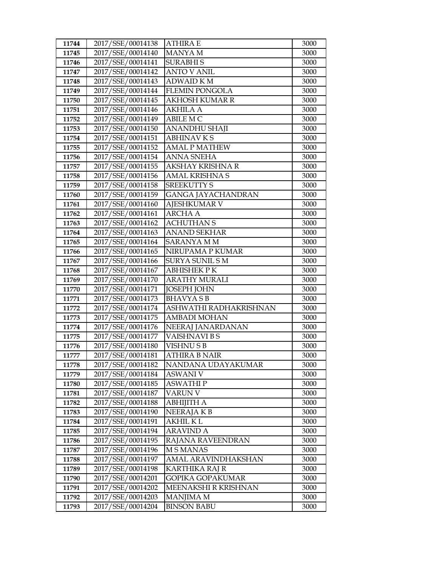| 11744          | 2017/SSE/00014138                      | <b>ATHIRA E</b>            | 3000         |
|----------------|----------------------------------------|----------------------------|--------------|
| 11745          | 2017/SSE/00014140                      | <b>MANYA M</b>             | 3000         |
| 11746          | 2017/SSE/00014141                      | <b>SURABHIS</b>            | 3000         |
| 11747          | 2017/SSE/00014142                      | <b>ANTO V ANIL</b>         | 3000         |
| 11748          | 2017/SSE/00014143                      | <b>ADWAID KM</b>           | 3000         |
| 11749          | 2017/SSE/00014144                      | <b>FLEMIN PONGOLA</b>      | 3000         |
| 11750          | 2017/SSE/00014145                      | <b>AKHOSH KUMAR R</b>      | 3000         |
| 11751          | 2017/SSE/00014146                      | <b>AKHILA A</b>            | 3000         |
| 11752          | 2017/SSE/00014149                      | <b>ABILE MC</b>            | 3000         |
| 11753          | 2017/SSE/00014150                      | ANANDHU SHAJI              | 3000         |
| 11754          | 2017/SSE/00014151                      | <b>ABHINAVKS</b>           | 3000         |
| 11755          | 2017/SSE/00014152                      | <b>AMAL P MATHEW</b>       | 3000         |
| 11756          | 2017/SSE/00014154                      | <b>ANNA SNEHA</b>          | 3000         |
| 11757          | 2017/SSE/00014155                      | AKSHAY KRISHNA R           | 3000         |
| 11758          | 2017/SSE/00014156                      | <b>AMAL KRISHNA S</b>      | 3000         |
| 11759          | 2017/SSE/00014158                      | <b>SREEKUTTY S</b>         | 3000         |
| 11760          | 2017/SSE/00014159                      | <b>GANGA JAYACHANDRAN</b>  | 3000         |
| 11761          | 2017/SSE/00014160                      | <b>AJESHKUMAR V</b>        | 3000         |
| 11762          | 2017/SSE/00014161                      | <b>ARCHA A</b>             | 3000         |
| 11763          | 2017/SSE/00014162                      | <b>ACHUTHAN S</b>          | 3000         |
| 11764          | 2017/SSE/00014163                      | <b>ANAND SEKHAR</b>        | 3000         |
| 11765          | 2017/SSE/00014164                      | <b>SARANYA M M</b>         | 3000         |
| 11766          | 2017/SSE/00014165                      | NIRUPAMA P KUMAR           | 3000         |
| 11767          | 2017/SSE/00014166                      | <b>SURYA SUNIL SM</b>      | 3000         |
| 11768          | 2017/SSE/00014167                      | <b>ABHISHEK PK</b>         | 3000         |
| 11769          | 2017/SSE/00014170                      | <b>ARATHY MURALI</b>       | 3000         |
| 11770          | 2017/SSE/00014171                      | <b>JOSEPH JOHN</b>         | 3000         |
| 11771          | 2017/SSE/00014173                      | <b>BHAVYASB</b>            | 3000         |
| 11772          | 2017/SSE/00014174                      | ASHWATHI RADHAKRISHNAN     | 3000         |
| 11773          | 2017/SSE/00014175                      | <b>AMBADI MOHAN</b>        | 3000         |
| 11774          | 2017/SSE/00014176                      | NEERAJ JANARDANAN          | 3000         |
| 11775          | 2017/SSE/00014177                      | VAISHNAVI B S              | 3000         |
| 11776          | 2017/SSE/00014180                      | <b>VISHNUSB</b>            | 3000         |
| 11777          | 2017/SSE/00014181                      | <b>ATHIRA B NAIR</b>       | 3000         |
| 11778          | 2017/SSE/00014182                      | NANDANA UDAYAKUMAR         | 3000         |
| 11779          | 2017/SSE/00014184                      | <b>ASWANI V</b>            | 3000         |
| 11780<br>11781 | 2017/SSE/00014185<br>2017/SSE/00014187 | <b>ASWATHIP</b><br>VARUN V | 3000<br>3000 |
| 11782          | 2017/SSE/00014188                      | <b>ABHIJITH A</b>          | 3000         |
| 11783          | 2017/SSE/00014190                      | NEERAJA K B                | 3000         |
| 11784          | 2017/SSE/00014191                      | <b>AKHIL KL</b>            | 3000         |
| 11785          | 2017/SSE/00014194                      | <b>ARAVIND A</b>           | 3000         |
| 11786          | 2017/SSE/00014195                      | RAJANA RAVEENDRAN          | 3000         |
| 11787          | 2017/SSE/00014196                      | <b>MSMANAS</b>             | 3000         |
| 11788          | 2017/SSE/00014197                      | AMAL ARAVINDHAKSHAN        | 3000         |
| 11789          | 2017/SSE/00014198                      | KARTHIKA RAJ R             | 3000         |
| 11790          | 2017/SSE/00014201                      | GOPIKA GOPAKUMAR           | 3000         |
| 11791          | 2017/SSE/00014202                      | MEENAKSHI R KRISHNAN       | 3000         |
| 11792          | 2017/SSE/00014203                      | <b>MANJIMA M</b>           | 3000         |
| 11793          | 2017/SSE/00014204                      | <b>BINSON BABU</b>         | 3000         |
|                |                                        |                            |              |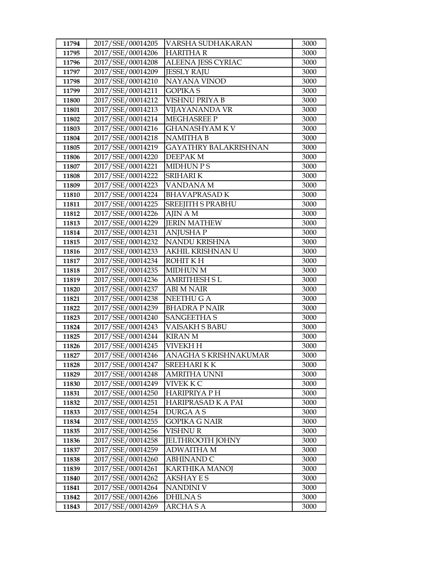| 11794          | 2017/SSE/00014205                      | VARSHA SUDHAKARAN            | 3000         |
|----------------|----------------------------------------|------------------------------|--------------|
| 11795          | 2017/SSE/00014206                      | <b>HARITHAR</b>              | 3000         |
| 11796          | 2017/SSE/00014208                      | ALEENA JESS CYRIAC           | 3000         |
| 11797          | 2017/SSE/00014209                      | <b>JESSLY RAJU</b>           | 3000         |
| 11798          | 2017/SSE/00014210                      | NAYANA VINOD                 | 3000         |
| 11799          | 2017/SSE/00014211                      | <b>GOPIKA S</b>              | 3000         |
| 11800          | 2017/SSE/00014212                      | VISHNU PRIYA B               | 3000         |
| 11801          | 2017/SSE/00014213                      | VIJAYANANDA VR               | 3000         |
| 11802          | 2017/SSE/00014214                      | MEGHASREE P                  | 3000         |
| 11803          | 2017/SSE/00014216                      | <b>GHANASHYAM KV</b>         | 3000         |
| 11804          | 2017/SSE/00014218                      | <b>NAMITHA B</b>             | 3000         |
| 11805          | 2017/SSE/00014219                      | <b>GAYATHRY BALAKRISHNAN</b> | 3000         |
| 11806          | 2017/SSE/00014220                      | DEEPAK M                     | 3000         |
| 11807          | 2017/SSE/00014221                      | MIDHUN P S                   | 3000         |
| 11808          | 2017/SSE/00014222                      | <b>SRIHARI K</b>             | 3000         |
| 11809          | 2017/SSE/00014223                      | VANDANA M                    | 3000         |
| 11810          | 2017/SSE/00014224                      | <b>BHAVAPRASAD K</b>         | 3000         |
| 11811          | 2017/SSE/00014225                      | <b>SREEJITH S PRABHU</b>     | 3000         |
| 11812          | 2017/SSE/00014226                      | <b>AJIN AM</b>               | 3000         |
| 11813          | 2017/SSE/00014229                      | <b>JERIN MATHEW</b>          | 3000         |
| 11814          | 2017/SSE/00014231                      | <b>ANJUSHAP</b>              | 3000         |
| 11815          | 2017/SSE/00014232                      | NANDU KRISHNA                | 3000         |
| 11816          | 2017/SSE/00014233                      | AKHIL KRISHNAN U             | 3000         |
| 11817          | 2017/SSE/00014234                      | ROHIT K H                    | 3000         |
| 11818          | 2017/SSE/00014235                      | <b>MIDHUN M</b>              | 3000         |
| 11819          | 2017/SSE/00014236                      | AMRITHESH S L                | 3000         |
| 11820          | 2017/SSE/00014237                      | <b>ABI M NAIR</b>            | 3000         |
| 11821          | 2017/SSE/00014238                      | NEETHU G A                   | 3000         |
| 11822          | 2017/SSE/00014239                      | <b>BHADRA P NAIR</b>         | 3000         |
| 11823          | 2017/SSE/00014240                      | <b>SANGEETHA S</b>           | 3000         |
| 11824          | 2017/SSE/00014243                      | VAISAKH S BABU               | 3000         |
| 11825          | 2017/SSE/00014244                      | <b>KIRAN M</b>               | 3000         |
| 11826          | 2017/SSE/00014245<br>2017/SSE/00014246 | <b>VIVEKH H</b>              | 3000         |
| 11827          | 2017/SSE/00014247                      | ANAGHA S KRISHNAKUMAR        | 3000<br>3000 |
| 11828          | 2017/SSE/00014248                      | <b>SREEHARIKK</b>            | 3000         |
| 11829<br>11830 | 2017/SSE/00014249                      | AMRITHA UNNI<br>VIVEK K C    | 3000         |
| 11831          | 2017/SSE/00014250                      | <b>HARIPRIYA PH</b>          | 3000         |
| 11832          | 2017/SSE/00014251                      | HARIPRASAD K A PAI           | 3000         |
| 11833          | 2017/SSE/00014254                      | <b>DURGA A S</b>             | 3000         |
| 11834          | 2017/SSE/00014255                      | GOPIKA G NAIR                | 3000         |
| 11835          | 2017/SSE/00014256                      | VISHNU R                     | 3000         |
| 11836          | 2017/SSE/00014258                      | <b>JELTHROOTH JOHNY</b>      | 3000         |
| 11837          | 2017/SSE/00014259                      | ADWAITHA M                   | 3000         |
| 11838          | 2017/SSE/00014260                      | <b>ABHINAND C</b>            | 3000         |
| 11839          | 2017/SSE/00014261                      | <b>KARTHIKA MANOJ</b>        | 3000         |
| 11840          | 2017/SSE/00014262                      | AKSHAY E S                   | 3000         |
| 11841          | 2017/SSE/00014264                      | NANDINI V                    | 3000         |
| 11842          | 2017/SSE/00014266                      | DHILNA S                     | 3000         |
| 11843          | 2017/SSE/00014269                      | ARCHA S A                    | 3000         |
|                |                                        |                              |              |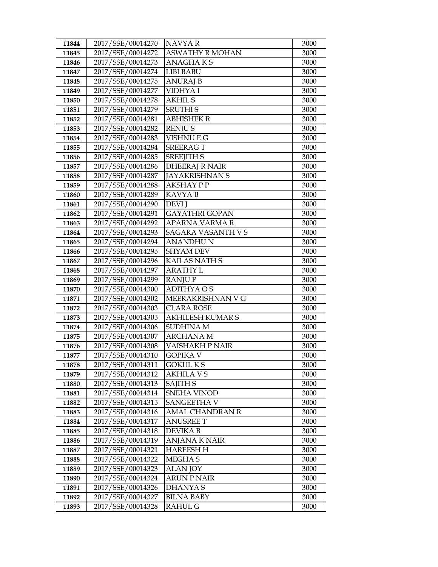| 11844 | 2017/SSE/00014270 | NAVYA R                 | 3000 |
|-------|-------------------|-------------------------|------|
| 11845 | 2017/SSE/00014272 | <b>ASWATHY R MOHAN</b>  | 3000 |
| 11846 | 2017/SSE/00014273 | <b>ANAGHAKS</b>         | 3000 |
| 11847 | 2017/SSE/00014274 | LIBI BABU               | 3000 |
| 11848 | 2017/SSE/00014275 | <b>ANURAJ B</b>         | 3000 |
| 11849 | 2017/SSE/00014277 | VIDHYA I                | 3000 |
| 11850 | 2017/SSE/00014278 | <b>AKHIL S</b>          | 3000 |
| 11851 | 2017/SSE/00014279 | <b>SRUTHIS</b>          | 3000 |
| 11852 | 2017/SSE/00014281 | <b>ABHISHEK R</b>       | 3000 |
| 11853 | 2017/SSE/00014282 | <b>RENJUS</b>           | 3000 |
| 11854 | 2017/SSE/00014283 | <b>VISHNU E G</b>       | 3000 |
| 11855 | 2017/SSE/00014284 | <b>SREERAGT</b>         | 3000 |
| 11856 | 2017/SSE/00014285 | <b>SREEJITH S</b>       | 3000 |
| 11857 | 2017/SSE/00014286 | <b>DHEERAJ R NAIR</b>   | 3000 |
| 11858 | 2017/SSE/00014287 | <b>JAYAKRISHNAN S</b>   | 3000 |
| 11859 | 2017/SSE/00014288 | <b>AKSHAY P P</b>       | 3000 |
| 11860 | 2017/SSE/00014289 | <b>KAVYAB</b>           | 3000 |
| 11861 | 2017/SSE/00014290 | <b>DEVI</b> J           | 3000 |
| 11862 | 2017/SSE/00014291 | <b>GAYATHRI GOPAN</b>   | 3000 |
| 11863 | 2017/SSE/00014292 | APARNA VARMA R          | 3000 |
| 11864 | 2017/SSE/00014293 | SAGARA VASANTH V S      | 3000 |
| 11865 | 2017/SSE/00014294 | ANANDHU N               | 3000 |
| 11866 | 2017/SSE/00014295 | <b>SHYAM DEV</b>        | 3000 |
| 11867 | 2017/SSE/00014296 | <b>KAILAS NATH S</b>    | 3000 |
| 11868 | 2017/SSE/00014297 | <b>ARATHY L</b>         | 3000 |
| 11869 | 2017/SSE/00014299 | <b>RANJUP</b>           | 3000 |
| 11870 | 2017/SSE/00014300 | <b>ADITHYAOS</b>        | 3000 |
| 11871 | 2017/SSE/00014302 | MEERAKRISHNAN V G       | 3000 |
| 11872 | 2017/SSE/00014303 | <b>CLARA ROSE</b>       | 3000 |
| 11873 | 2017/SSE/00014305 | <b>AKHILESH KUMAR S</b> | 3000 |
| 11874 | 2017/SSE/00014306 | <b>SUDHINA M</b>        | 3000 |
| 11875 | 2017/SSE/00014307 | ARCHANA M               | 3000 |
| 11876 | 2017/SSE/00014308 | VAISHAKH P NAIR         | 3000 |
| 11877 | 2017/SSE/00014310 | <b>GOPIKA V</b>         | 3000 |
| 11878 | 2017/SSE/00014311 | <b>GOKUL K S</b>        | 3000 |
| 11879 | 2017/SSE/00014312 | <b>AKHILA V S</b>       | 3000 |
| 11880 | 2017/SSE/00014313 | SAJITH S                | 3000 |
| 11881 | 2017/SSE/00014314 | <b>SNEHA VINOD</b>      | 3000 |
| 11882 | 2017/SSE/00014315 | SANGEETHA V             | 3000 |
| 11883 | 2017/SSE/00014316 | <b>AMAL CHANDRAN R</b>  | 3000 |
| 11884 | 2017/SSE/00014317 | <b>ANUSREE T</b>        | 3000 |
| 11885 | 2017/SSE/00014318 | <b>DEVIKA B</b>         | 3000 |
| 11886 | 2017/SSE/00014319 | ANJANA K NAIR           | 3000 |
| 11887 | 2017/SSE/00014321 | <b>HAREESH H</b>        | 3000 |
| 11888 | 2017/SSE/00014322 | MEGHA S                 | 3000 |
| 11889 | 2017/SSE/00014323 | <b>ALAN JOY</b>         | 3000 |
| 11890 | 2017/SSE/00014324 | <b>ARUN P NAIR</b>      | 3000 |
| 11891 | 2017/SSE/00014326 | <b>DHANYAS</b>          | 3000 |
| 11892 | 2017/SSE/00014327 | <b>BILNA BABY</b>       | 3000 |
| 11893 | 2017/SSE/00014328 | RAHUL G                 | 3000 |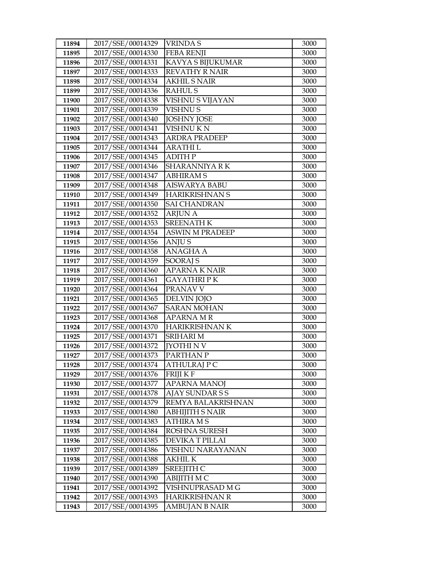| 11894          | 2017/SSE/00014329                      | <b>VRINDAS</b>                        | 3000         |
|----------------|----------------------------------------|---------------------------------------|--------------|
| 11895          | 2017/SSE/00014330                      | <b>FEBA RENJI</b>                     | 3000         |
| 11896          | 2017/SSE/00014331                      | KAVYA S BIJUKUMAR                     | 3000         |
| 11897          | 2017/SSE/00014333                      | <b>REVATHY R NAIR</b>                 | 3000         |
| 11898          | 2017/SSE/00014334                      | <b>AKHIL S NAIR</b>                   | 3000         |
| 11899          | 2017/SSE/00014336                      | <b>RAHULS</b>                         | 3000         |
| 11900          | 2017/SSE/00014338                      | VISHNU S VIJAYAN                      | 3000         |
| 11901          | 2017/SSE/00014339                      | <b>VISHNUS</b>                        | 3000         |
| 11902          | 2017/SSE/00014340                      | <b>JOSHNY JOSE</b>                    | 3000         |
| 11903          | 2017/SSE/00014341                      | <b>VISHNU KN</b>                      | 3000         |
| 11904          | 2017/SSE/00014343                      | <b>ARDRA PRADEEP</b>                  | 3000         |
| 11905          | 2017/SSE/00014344                      | ARATHI L                              | 3000         |
| 11906          | 2017/SSE/00014345                      | <b>ADITH P</b>                        | 3000         |
| 11907          | 2017/SSE/00014346                      | SHARANNIYA RK                         | 3000         |
| 11908          | 2017/SSE/00014347                      | <b>ABHIRAMS</b>                       | 3000         |
| 11909          | 2017/SSE/00014348                      | AISWARYA BABU                         | 3000         |
| 11910          | 2017/SSE/00014349                      | <b>HARIKRISHNAN S</b>                 | 3000         |
| 11911          | 2017/SSE/00014350                      | <b>SAI CHANDRAN</b>                   | 3000         |
| 11912          | 2017/SSE/00014352                      | <b>ARJUN A</b>                        | 3000         |
| 11913          | 2017/SSE/00014353                      | <b>SREENATH K</b>                     | 3000         |
| 11914          | 2017/SSE/00014354                      | <b>ASWIN M PRADEEP</b>                | 3000         |
| 11915          | 2017/SSE/00014356                      | ANJU S                                | 3000         |
| 11916          | 2017/SSE/00014358                      | <b>ANAGHA A</b>                       | 3000         |
| 11917          | 2017/SSE/00014359                      | SOORAJ S                              | 3000         |
| 11918          | 2017/SSE/00014360                      | <b>APARNA K NAIR</b>                  | 3000         |
| 11919          | 2017/SSE/00014361                      | GAYATHRI P K                          | 3000         |
| 11920          | 2017/SSE/00014364                      | PRANAV V                              | 3000         |
| 11921          | 2017/SSE/00014365                      | <b>DELVIN JOJO</b>                    | 3000         |
| 11922          | 2017/SSE/00014367                      | <b>SARAN MOHAN</b>                    | 3000         |
| 11923          | 2017/SSE/00014368                      | <b>APARNA MR</b>                      | 3000         |
| 11924          | 2017/SSE/00014370                      | HARIKRISHNAN K                        | 3000         |
| 11925          | 2017/SSE/00014371                      | <b>SRIHARI M</b>                      | 3000         |
| 11926          | 2017/SSE/00014372                      | <b>IYOTHI N V</b>                     | 3000         |
| 11927          | 2017/SSE/00014373                      | PARTHAN P                             | 3000         |
| 11928          | 2017/SSE/00014374                      | ATHULRAJ P C                          | 3000         |
| 11929          | 2017/SSE/00014376                      | FRIJI K F                             | 3000         |
| 11930<br>11931 | 2017/SSE/00014377                      | <b>APARNA MANOJ</b>                   | 3000         |
| 11932          | 2017/SSE/00014378<br>2017/SSE/00014379 | AJAY SUNDAR S S<br>REMYA BALAKRISHNAN | 3000<br>3000 |
| 11933          | 2017/SSE/00014380                      | ABHIJITH S NAIR                       | 3000         |
| 11934          | 2017/SSE/00014383                      | ATHIRA M S                            | 3000         |
| 11935          | 2017/SSE/00014384                      | ROSHNA SURESH                         | 3000         |
| 11936          | 2017/SSE/00014385                      | DEVIKA T PILLAI                       | 3000         |
| 11937          | 2017/SSE/00014386                      | VISHNU NARAYANAN                      | 3000         |
| 11938          | 2017/SSE/00014388                      | <b>AKHIL K</b>                        | 3000         |
| 11939          | 2017/SSE/00014389                      | SREEJITH C                            | 3000         |
| 11940          | 2017/SSE/00014390                      | ABIJITH M C                           | 3000         |
| 11941          | 2017/SSE/00014392                      | VISHNUPRASAD M G                      | 3000         |
| 11942          | 2017/SSE/00014393                      | <b>HARIKRISHNAN R</b>                 | 3000         |
| 11943          | 2017/SSE/00014395                      | AMBUJAN B NAIR                        | 3000         |
|                |                                        |                                       |              |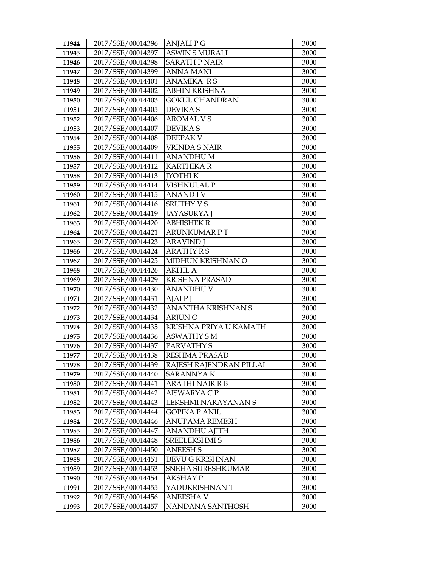| 11944 | 2017/SSE/00014396 | <b>ANJALIPG</b>         | 3000 |
|-------|-------------------|-------------------------|------|
| 11945 | 2017/SSE/00014397 | <b>ASWIN S MURALI</b>   | 3000 |
| 11946 | 2017/SSE/00014398 | <b>SARATH P NAIR</b>    | 3000 |
| 11947 | 2017/SSE/00014399 | <b>ANNA MANI</b>        | 3000 |
| 11948 | 2017/SSE/00014401 | <b>ANAMIKA RS</b>       | 3000 |
| 11949 | 2017/SSE/00014402 | ABHIN KRISHNA           | 3000 |
| 11950 | 2017/SSE/00014403 | GOKUL CHANDRAN          | 3000 |
| 11951 | 2017/SSE/00014405 | <b>DEVIKAS</b>          | 3000 |
| 11952 | 2017/SSE/00014406 | <b>AROMAL VS</b>        | 3000 |
| 11953 | 2017/SSE/00014407 | <b>DEVIKAS</b>          | 3000 |
| 11954 | 2017/SSE/00014408 | <b>DEEPAK V</b>         | 3000 |
| 11955 | 2017/SSE/00014409 | VRINDA S NAIR           | 3000 |
| 11956 | 2017/SSE/00014411 | <b>ANANDHUM</b>         | 3000 |
| 11957 | 2017/SSE/00014412 | <b>KARTHIKA R</b>       | 3000 |
| 11958 | 2017/SSE/00014413 | <b>JYOTHI K</b>         | 3000 |
| 11959 | 2017/SSE/00014414 | <b>VISHNULAL P</b>      | 3000 |
| 11960 | 2017/SSE/00014415 | <b>ANANDIV</b>          | 3000 |
| 11961 | 2017/SSE/00014416 | <b>SRUTHY VS</b>        | 3000 |
| 11962 | 2017/SSE/00014419 | <b>JAYASURYA J</b>      | 3000 |
| 11963 | 2017/SSE/00014420 | <b>ABHISHEK R</b>       | 3000 |
| 11964 | 2017/SSE/00014421 | ARUNKUMAR P T           | 3000 |
| 11965 | 2017/SSE/00014423 | <b>ARAVIND</b> J        | 3000 |
| 11966 | 2017/SSE/00014424 | <b>ARATHY RS</b>        | 3000 |
| 11967 | 2017/SSE/00014425 | MIDHUN KRISHNAN O       | 3000 |
| 11968 | 2017/SSE/00014426 | <b>AKHIL A</b>          | 3000 |
| 11969 | 2017/SSE/00014429 | <b>KRISHNA PRASAD</b>   | 3000 |
| 11970 | 2017/SSE/00014430 | ANANDHU V               | 3000 |
| 11971 | 2017/SSE/00014431 | AJAI P J                | 3000 |
| 11972 | 2017/SSE/00014432 | ANANTHA KRISHNAN S      | 3000 |
| 11973 | 2017/SSE/00014434 | <b>ARJUNO</b>           | 3000 |
| 11974 | 2017/SSE/00014435 | KRISHNA PRIYA U KAMATH  | 3000 |
| 11975 | 2017/SSE/00014436 | <b>ASWATHY S M</b>      | 3000 |
| 11976 | 2017/SSE/00014437 | PARVATHY S              | 3000 |
| 11977 | 2017/SSE/00014438 | <b>RESHMA PRASAD</b>    | 3000 |
| 11978 | 2017/SSE/00014439 | RAJESH RAJENDRAN PILLAI | 3000 |
| 11979 | 2017/SSE/00014440 | SARANNYA K              | 3000 |
| 11980 | 2017/SSE/00014441 | <b>ARATHI NAIR R B</b>  | 3000 |
| 11981 | 2017/SSE/00014442 | AISWARYA C P            | 3000 |
| 11982 | 2017/SSE/00014443 | LEKSHMI NARAYANAN S     | 3000 |
| 11983 | 2017/SSE/00014444 | GOPIKA P ANIL           | 3000 |
| 11984 | 2017/SSE/00014446 | ANUPAMA REMESH          | 3000 |
| 11985 | 2017/SSE/00014447 | <b>ANANDHU AJITH</b>    | 3000 |
| 11986 | 2017/SSE/00014448 | SREELEKSHMI S           | 3000 |
| 11987 | 2017/SSE/00014450 | <b>ANEESH S</b>         | 3000 |
| 11988 | 2017/SSE/00014451 | DEVU G KRISHNAN         | 3000 |
| 11989 | 2017/SSE/00014453 | SNEHA SURESHKUMAR       | 3000 |
| 11990 | 2017/SSE/00014454 | AKSHAY P                | 3000 |
| 11991 | 2017/SSE/00014455 | YADUKRISHNAN T          | 3000 |
| 11992 | 2017/SSE/00014456 | <b>ANEESHAV</b>         | 3000 |
| 11993 | 2017/SSE/00014457 | NANDANA SANTHOSH        | 3000 |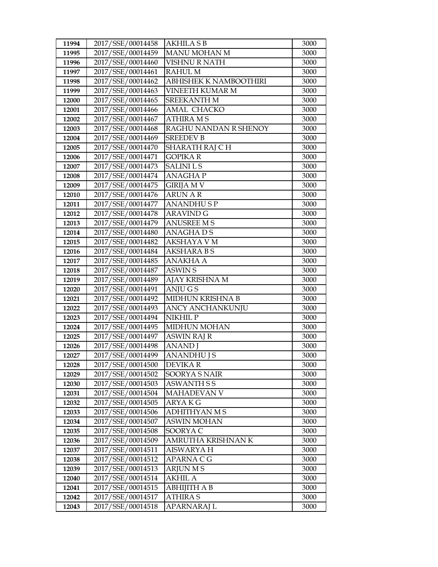| 11994          | 2017/SSE/00014458                      | AKHILA S B                        | 3000         |
|----------------|----------------------------------------|-----------------------------------|--------------|
| 11995          | 2017/SSE/00014459                      | <b>MANU MOHAN M</b>               | 3000         |
| 11996          | 2017/SSE/00014460                      | VISHNU R NATH                     | 3000         |
| 11997          | 2017/SSE/00014461                      | <b>RAHUL M</b>                    | 3000         |
| 11998          | 2017/SSE/00014462                      | ABHISHEK K NAMBOOTHIRI            | 3000         |
| 11999          | 2017/SSE/00014463                      | <b>VINEETH KUMAR M</b>            | 3000         |
| 12000          | 2017/SSE/00014465                      | <b>SREEKANTH M</b>                | 3000         |
| 12001          | 2017/SSE/00014466                      | AMAL CHACKO                       | 3000         |
| 12002          | 2017/SSE/00014467                      | <b>ATHIRA MS</b>                  | 3000         |
| 12003          | 2017/SSE/00014468                      | RAGHU NANDAN R SHENOY             | 3000         |
| 12004          | 2017/SSE/00014469                      | <b>SREEDEV B</b>                  | 3000         |
| 12005          | 2017/SSE/00014470                      | SHARATH RAJ CH                    | 3000         |
| 12006          | 2017/SSE/00014471                      | <b>GOPIKAR</b>                    | 3000         |
| 12007          | 2017/SSE/00014473                      | <b>SALINILS</b>                   | 3000         |
| 12008          | 2017/SSE/00014474                      | <b>ANAGHAP</b>                    | 3000         |
| 12009          | 2017/SSE/00014475                      | GIRIJA M V                        | 3000         |
| 12010          | 2017/SSE/00014476                      | <b>ARUN A R</b>                   | 3000         |
| 12011          | 2017/SSE/00014477                      | <b>ANANDHUSP</b>                  | 3000         |
| 12012          | 2017/SSE/00014478                      | <b>ARAVIND G</b>                  | 3000         |
| 12013          | 2017/SSE/00014479                      | <b>ANUSREE M S</b>                | 3000         |
| 12014          | 2017/SSE/00014480                      | <b>ANAGHADS</b>                   | 3000         |
| 12015          | 2017/SSE/00014482                      | AKSHAYA V M                       | 3000         |
| 12016          | 2017/SSE/00014484                      | <b>AKSHARA BS</b>                 | 3000         |
| 12017          | 2017/SSE/00014485                      | <b>ANAKHA A</b>                   | 3000         |
| 12018          | 2017/SSE/00014487                      | <b>ASWIN S</b>                    | 3000         |
| 12019          | 2017/SSE/00014489                      | AJAY KRISHNA M                    | 3000         |
| 12020          | 2017/SSE/00014491                      | ANJUGS                            | 3000         |
| 12021          | 2017/SSE/00014492                      | MIDHUN KRISHNA B                  | 3000         |
| 12022          | 2017/SSE/00014493                      | ANCY ANCHANKUNJU                  | 3000         |
| 12023          | 2017/SSE/00014494                      | NIKHIL P                          | 3000         |
| 12024          | 2017/SSE/00014495                      | <b>MIDHUN MOHAN</b>               | 3000         |
| 12025          | 2017/SSE/00014497                      | ASWIN RAJ R                       | 3000         |
| 12026          | 2017/SSE/00014498                      | <b>ANAND</b> I                    | 3000         |
| 12027          | 2017/SSE/00014499                      | <b>ANANDHU J S</b>                | 3000         |
| 12028          | 2017/SSE/00014500                      | DEVIKA R                          | 3000         |
| 12029          | 2017/SSE/00014502<br>2017/SSE/00014503 | <b>SOORYA S NAIR</b>              | 3000         |
| 12030<br>12031 | 2017/SSE/00014504                      | <b>ASWANTH S S</b><br>MAHADEVAN V | 3000<br>3000 |
| 12032          | 2017/SSE/00014505                      | ARYA K G                          | 3000         |
| 12033          | 2017/SSE/00014506                      | ADHITHYAN M S                     | 3000         |
| 12034          | 2017/SSE/00014507                      | <b>ASWIN MOHAN</b>                | 3000         |
| 12035          | 2017/SSE/00014508                      | SOORYA C                          | 3000         |
| 12036          | 2017/SSE/00014509                      | AMRUTHA KRISHNAN K                | 3000         |
| 12037          | 2017/SSE/00014511                      | <b>AISWARYA H</b>                 | 3000         |
| 12038          | 2017/SSE/00014512                      | APARNA C G                        | 3000         |
| 12039          | 2017/SSE/00014513                      | ARJUN M S                         | 3000         |
| 12040          | 2017/SSE/00014514                      | <b>AKHIL A</b>                    | 3000         |
| 12041          | 2017/SSE/00014515                      | <b>ABHIJITH A B</b>               | 3000         |
| 12042          | 2017/SSE/00014517                      | <b>ATHIRA S</b>                   | 3000         |
| 12043          | 2017/SSE/00014518                      | APARNARAJ L                       | 3000         |
|                |                                        |                                   |              |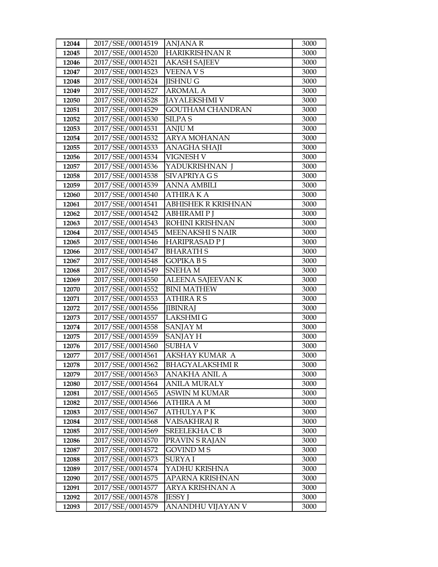| 12044 | 2017/SSE/00014519 | <b>ANJANA R</b>            | 3000 |
|-------|-------------------|----------------------------|------|
| 12045 | 2017/SSE/00014520 | <b>HARIKRISHNAN R</b>      | 3000 |
| 12046 | 2017/SSE/00014521 | <b>AKASH SAJEEV</b>        | 3000 |
| 12047 | 2017/SSE/00014523 | <b>VEENAVS</b>             | 3000 |
| 12048 | 2017/SSE/00014524 | <b>JISHNU G</b>            | 3000 |
| 12049 | 2017/SSE/00014527 | <b>AROMAL A</b>            | 3000 |
| 12050 | 2017/SSE/00014528 | <b>JAYALEKSHMI V</b>       | 3000 |
| 12051 | 2017/SSE/00014529 | <b>GOUTHAM CHANDRAN</b>    | 3000 |
| 12052 | 2017/SSE/00014530 | <b>SILPA S</b>             | 3000 |
| 12053 | 2017/SSE/00014531 | <b>ANJUM</b>               | 3000 |
| 12054 | 2017/SSE/00014532 | ARYA MOHANAN               | 3000 |
| 12055 | 2017/SSE/00014533 | <b>ANAGHA SHAJI</b>        | 3000 |
| 12056 | 2017/SSE/00014534 | <b>VIGNESH V</b>           | 3000 |
| 12057 | 2017/SSE/00014536 | YADUKRISHNAN J             | 3000 |
| 12058 | 2017/SSE/00014538 | SIVAPRIYA G S              | 3000 |
| 12059 | 2017/SSE/00014539 | ANNA AMBILI                | 3000 |
| 12060 | 2017/SSE/00014540 | <b>ATHIRA K A</b>          | 3000 |
| 12061 | 2017/SSE/00014541 | <b>ABHISHEK R KRISHNAN</b> | 3000 |
| 12062 | 2017/SSE/00014542 | <b>ABHIRAMI P J</b>        | 3000 |
| 12063 | 2017/SSE/00014543 | ROHINI KRISHNAN            | 3000 |
| 12064 | 2017/SSE/00014545 | <b>MEENAKSHI S NAIR</b>    | 3000 |
| 12065 | 2017/SSE/00014546 | HARIPRASAD P J             | 3000 |
| 12066 | 2017/SSE/00014547 | <b>BHARATH S</b>           | 3000 |
| 12067 | 2017/SSE/00014548 | <b>GOPIKA B S</b>          | 3000 |
| 12068 | 2017/SSE/00014549 | <b>SNEHAM</b>              | 3000 |
| 12069 | 2017/SSE/00014550 | ALEENA SAJEEVAN K          | 3000 |
| 12070 | 2017/SSE/00014552 | <b>BINI MATHEW</b>         | 3000 |
| 12071 | 2017/SSE/00014553 | <b>ATHIRA R S</b>          | 3000 |
| 12072 | 2017/SSE/00014556 | <b>JIBINRAJ</b>            | 3000 |
| 12073 | 2017/SSE/00014557 | <b>LAKSHMIG</b>            | 3000 |
| 12074 | 2017/SSE/00014558 | <b>SANJAY M</b>            | 3000 |
| 12075 | 2017/SSE/00014559 | SANJAY H                   | 3000 |
| 12076 | 2017/SSE/00014560 | <b>SUBHAV</b>              | 3000 |
| 12077 | 2017/SSE/00014561 | AKSHAY KUMAR A             | 3000 |
| 12078 | 2017/SSE/00014562 | <b>BHAGYALAKSHMI R</b>     | 3000 |
| 12079 | 2017/SSE/00014563 | ANAKHA ANIL A              | 3000 |
| 12080 | 2017/SSE/00014564 | ANILA MURALY               | 3000 |
| 12081 | 2017/SSE/00014565 | <b>ASWIN M KUMAR</b>       | 3000 |
| 12082 | 2017/SSE/00014566 | ATHIRA A M                 | 3000 |
| 12083 | 2017/SSE/00014567 | <b>ATHULYAPK</b>           | 3000 |
| 12084 | 2017/SSE/00014568 | VAISAKHRAJ R               | 3000 |
| 12085 | 2017/SSE/00014569 | SREELEKHA C B              | 3000 |
| 12086 | 2017/SSE/00014570 | PRAVIN S RAJAN             | 3000 |
| 12087 | 2017/SSE/00014572 | <b>GOVIND MS</b>           | 3000 |
| 12088 | 2017/SSE/00014573 | SURYA I                    | 3000 |
| 12089 | 2017/SSE/00014574 | YADHU KRISHNA              | 3000 |
| 12090 | 2017/SSE/00014575 | APARNA KRISHNAN            | 3000 |
| 12091 | 2017/SSE/00014577 | ARYA KRISHNAN A            | 3000 |
| 12092 | 2017/SSE/00014578 | <b>JESSY J</b>             | 3000 |
| 12093 | 2017/SSE/00014579 | ANANDHU VIJAYAN V          | 3000 |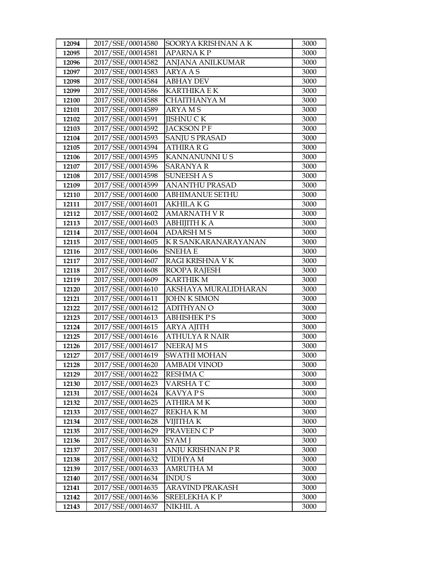| 12094          | 2017/SSE/00014580                      | SOORYA KRISHNAN A K                     | 3000         |
|----------------|----------------------------------------|-----------------------------------------|--------------|
| 12095          | 2017/SSE/00014581                      | <b>APARNAKP</b>                         | 3000         |
| 12096          | 2017/SSE/00014582                      | ANJANA ANILKUMAR                        | 3000         |
| 12097          | 2017/SSE/00014583                      | <b>ARYAAS</b>                           | 3000         |
| 12098          | 2017/SSE/00014584                      | <b>ABHAY DEV</b>                        | 3000         |
| 12099          | 2017/SSE/00014586                      | <b>KARTHIKA E K</b>                     | 3000         |
| 12100          | 2017/SSE/00014588                      | CHAITHANYA M                            | 3000         |
| 12101          | 2017/SSE/00014589                      | <b>ARYAMS</b>                           | 3000         |
| 12102          | 2017/SSE/00014591                      | <b>JISHNU CK</b>                        | 3000         |
| 12103          | 2017/SSE/00014592                      | <b>JACKSON P F</b>                      | 3000         |
| 12104          | 2017/SSE/00014593                      | <b>SANJU S PRASAD</b>                   | 3000         |
| 12105          | 2017/SSE/00014594                      | <b>ATHIRA R G</b>                       | 3000         |
| 12106          | 2017/SSE/00014595                      | KANNANUNNI U S                          | 3000         |
| 12107          | 2017/SSE/00014596                      | <b>SARANYA R</b>                        | 3000         |
| 12108          | 2017/SSE/00014598                      | <b>SUNEESH A S</b>                      | 3000         |
| 12109          | 2017/SSE/00014599                      | <b>ANANTHU PRASAD</b>                   | 3000         |
| 12110          | 2017/SSE/00014600                      | <b>ABHIMANUE SETHU</b>                  | 3000         |
| 12111          | 2017/SSE/00014601                      | <b>AKHILAKG</b>                         | 3000         |
| 12112          | 2017/SSE/00014602                      | <b>AMARNATH V R</b>                     | 3000         |
| 12113          | 2017/SSE/00014603                      | <b>ABHIJITH K A</b>                     | 3000         |
| 12114          | 2017/SSE/00014604                      | <b>ADARSH M S</b>                       | 3000         |
| 12115          | 2017/SSE/00014605                      | K R SANKARANARAYANAN                    | 3000         |
| 12116          | 2017/SSE/00014606                      | <b>SNEHAE</b>                           | 3000         |
| 12117          | 2017/SSE/00014607                      | RAGI KRISHNA V K                        | 3000         |
| 12118          | 2017/SSE/00014608                      | ROOPA RAJESH                            | 3000         |
| 12119          | 2017/SSE/00014609                      | <b>KARTHIK M</b>                        | 3000         |
| 12120          | 2017/SSE/00014610                      | AKSHAYA MURALIDHARAN                    | 3000         |
| 12121          | 2017/SSE/00014611                      | <b>JOHN K SIMON</b>                     | 3000         |
| 12122          | 2017/SSE/00014612                      | <b>ADITHYAN O</b>                       | 3000         |
| 12123          | 2017/SSE/00014613                      | <b>ABHISHEK PS</b>                      | 3000         |
| 12124          | 2017/SSE/00014615                      | ARYA AJITH                              | 3000         |
| 12125          | 2017/SSE/00014616                      | <b>ATHULYA R NAIR</b>                   | 3000         |
| 12126<br>12127 | 2017/SSE/00014617<br>2017/SSE/00014619 | <b>NEERAJ MS</b><br><b>SWATHI MOHAN</b> | 3000<br>3000 |
| 12128          | 2017/SSE/00014620                      |                                         | 3000         |
| 12129          | 2017/SSE/00014622                      | AMBADI VINOD<br>RESHMA C                | 3000         |
| 12130          | 2017/SSE/00014623                      | VARSHA T C                              | 3000         |
| 12131          | 2017/SSE/00014624                      | KAVYA P S                               | 3000         |
| 12132          | 2017/SSE/00014625                      | <b>ATHIRA MK</b>                        | 3000         |
| 12133          | 2017/SSE/00014627                      | REKHA K M                               | 3000         |
| 12134          | 2017/SSE/00014628                      | VIJITHA K                               | 3000         |
| 12135          | 2017/SSE/00014629                      | PRAVEEN C P                             | 3000         |
| 12136          | 2017/SSE/00014630                      | <b>SYAM</b> J                           | 3000         |
| 12137          | 2017/SSE/00014631                      | ANJU KRISHNAN P R                       | 3000         |
| 12138          | 2017/SSE/00014632                      | VIDHYA M                                | 3000         |
| 12139          | 2017/SSE/00014633                      | AMRUTHA M                               | 3000         |
| 12140          | 2017/SSE/00014634                      | <b>INDUS</b>                            | 3000         |
| 12141          | 2017/SSE/00014635                      | ARAVIND PRAKASH                         | 3000         |
| 12142          | 2017/SSE/00014636                      | SREELEKHAKP                             | 3000         |
| 12143          | 2017/SSE/00014637                      | NIKHIL A                                | 3000         |
|                |                                        |                                         |              |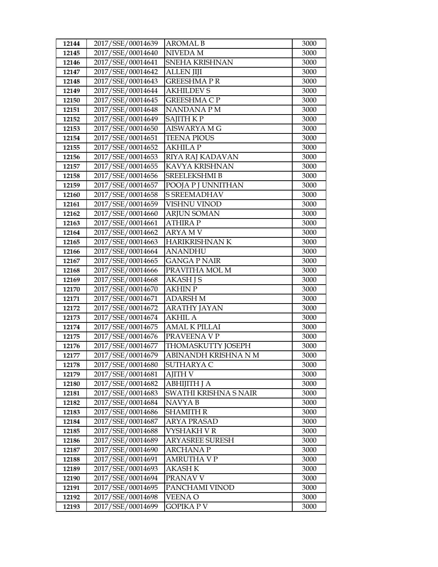| 2017/SSE/00014640<br>NIVEDA M<br>3000<br>12145<br>2017/SSE/00014641<br>SNEHA KRISHNAN<br>12146<br>3000<br>2017/SSE/00014642<br><b>ALLEN JIJI</b><br>12147<br>3000<br>2017/SSE/00014643<br><b>GREESHMAPR</b><br>3000<br>12148<br>2017/SSE/00014644<br>12149<br><b>AKHILDEV S</b><br>3000<br>2017/SSE/00014645<br><b>GREESHMA C P</b><br>12150<br>3000<br>2017/SSE/00014648<br>12151<br>NANDANA P M<br>3000<br>2017/SSE/00014649<br>SAJITH KP<br>12152<br>3000<br>2017/SSE/00014650<br>AISWARYA M G<br>3000<br>12153<br>2017/SSE/00014651<br>12154<br><b>TEENA PIOUS</b><br>3000<br>2017/SSE/00014652<br><b>AKHILA P</b><br>3000<br>12155<br>2017/SSE/00014653<br>RIYA RAJ KADAVAN<br>12156<br>3000<br>2017/SSE/00014655<br>KAVYA KRISHNAN<br>12157<br>3000<br>2017/SSE/00014656<br>SREELEKSHMI B<br>3000<br>12158<br>2017/SSE/00014657<br>12159<br>POOJA P J UNNITHAN<br>3000<br>2017/SSE/00014658<br><b>S SREEMADHAV</b><br>12160<br>3000<br>2017/SSE/00014659<br>VISHNU VINOD<br>12161<br>3000<br>2017/SSE/00014660<br><b>ARJUN SOMAN</b><br>12162<br>3000<br>2017/SSE/00014661<br><b>ATHIRA P</b><br>3000<br>12163<br>2017/SSE/00014662<br>12164<br><b>ARYAMV</b><br>3000<br>2017/SSE/00014663<br><b>HARIKRISHNAN K</b><br>3000<br>12165<br>2017/SSE/00014664<br>12166<br><b>ANANDHU</b><br>3000<br>2017/SSE/00014665<br><b>GANGA P NAIR</b><br>12167<br>3000<br>2017/SSE/00014666<br>PRAVITHA MOL M<br>3000<br>12168<br>2017/SSE/00014668<br>12169<br><b>AKASH J S</b><br>3000<br>2017/SSE/00014670<br><b>AKHIN P</b><br>12170<br>3000<br>2017/SSE/00014671<br><b>ADARSH M</b><br>12171<br>3000<br>2017/SSE/00014672<br><b>ARATHY JAYAN</b><br>12172<br>3000<br>2017/SSE/00014674<br><b>AKHIL A</b><br>12173<br>3000<br>2017/SSE/00014675<br>12174<br><b>AMAL K PILLAI</b><br>3000<br>12175<br>2017/SSE/00014676<br>PRAVEENA V P<br>3000<br>12176<br>THOMASKUTTY JOSEPH<br>2017/SSE/00014677<br>3000<br>2017/SSE/00014679<br>ABINANDH KRISHNA N M<br>12177<br>3000<br>2017/SSE/00014680<br>3000<br>SUTHARYA C<br>12178<br>2017/SSE/00014681<br>AJITH V<br>3000<br>12179<br>2017/SSE/00014682<br>ABHIJITH J A<br>12180<br>3000<br>12181<br>2017/SSE/00014683<br>SWATHI KRISHNA S NAIR<br>3000<br>2017/SSE/00014684<br>12182<br>NAVYA B<br>3000<br>2017/SSE/00014686<br>SHAMITH R<br>3000<br>12183<br>2017/SSE/00014687<br>3000<br>12184<br>ARYA PRASAD<br>2017/SSE/00014688<br>12185<br>VYSHAKH V R<br>3000<br>2017/SSE/00014689<br><b>ARYASREE SURESH</b><br>3000<br>12186<br>2017/SSE/00014690<br>12187<br><b>ARCHANAP</b><br>3000<br>2017/SSE/00014691<br>AMRUTHA V P<br>3000<br>12188<br>2017/SSE/00014693<br>3000<br>12189<br>AKASH K<br>2017/SSE/00014694<br>12190<br>PRANAV V<br>3000 | 12144 | 2017/SSE/00014639 | <b>AROMAL B</b> | 3000 |
|------------------------------------------------------------------------------------------------------------------------------------------------------------------------------------------------------------------------------------------------------------------------------------------------------------------------------------------------------------------------------------------------------------------------------------------------------------------------------------------------------------------------------------------------------------------------------------------------------------------------------------------------------------------------------------------------------------------------------------------------------------------------------------------------------------------------------------------------------------------------------------------------------------------------------------------------------------------------------------------------------------------------------------------------------------------------------------------------------------------------------------------------------------------------------------------------------------------------------------------------------------------------------------------------------------------------------------------------------------------------------------------------------------------------------------------------------------------------------------------------------------------------------------------------------------------------------------------------------------------------------------------------------------------------------------------------------------------------------------------------------------------------------------------------------------------------------------------------------------------------------------------------------------------------------------------------------------------------------------------------------------------------------------------------------------------------------------------------------------------------------------------------------------------------------------------------------------------------------------------------------------------------------------------------------------------------------------------------------------------------------------------------------------------------------------------------------------------------------------------------------------------------------------------------------------------------------------------------------------------------------------------------------------------------------------------------|-------|-------------------|-----------------|------|
|                                                                                                                                                                                                                                                                                                                                                                                                                                                                                                                                                                                                                                                                                                                                                                                                                                                                                                                                                                                                                                                                                                                                                                                                                                                                                                                                                                                                                                                                                                                                                                                                                                                                                                                                                                                                                                                                                                                                                                                                                                                                                                                                                                                                                                                                                                                                                                                                                                                                                                                                                                                                                                                                                                |       |                   |                 |      |
|                                                                                                                                                                                                                                                                                                                                                                                                                                                                                                                                                                                                                                                                                                                                                                                                                                                                                                                                                                                                                                                                                                                                                                                                                                                                                                                                                                                                                                                                                                                                                                                                                                                                                                                                                                                                                                                                                                                                                                                                                                                                                                                                                                                                                                                                                                                                                                                                                                                                                                                                                                                                                                                                                                |       |                   |                 |      |
|                                                                                                                                                                                                                                                                                                                                                                                                                                                                                                                                                                                                                                                                                                                                                                                                                                                                                                                                                                                                                                                                                                                                                                                                                                                                                                                                                                                                                                                                                                                                                                                                                                                                                                                                                                                                                                                                                                                                                                                                                                                                                                                                                                                                                                                                                                                                                                                                                                                                                                                                                                                                                                                                                                |       |                   |                 |      |
|                                                                                                                                                                                                                                                                                                                                                                                                                                                                                                                                                                                                                                                                                                                                                                                                                                                                                                                                                                                                                                                                                                                                                                                                                                                                                                                                                                                                                                                                                                                                                                                                                                                                                                                                                                                                                                                                                                                                                                                                                                                                                                                                                                                                                                                                                                                                                                                                                                                                                                                                                                                                                                                                                                |       |                   |                 |      |
|                                                                                                                                                                                                                                                                                                                                                                                                                                                                                                                                                                                                                                                                                                                                                                                                                                                                                                                                                                                                                                                                                                                                                                                                                                                                                                                                                                                                                                                                                                                                                                                                                                                                                                                                                                                                                                                                                                                                                                                                                                                                                                                                                                                                                                                                                                                                                                                                                                                                                                                                                                                                                                                                                                |       |                   |                 |      |
|                                                                                                                                                                                                                                                                                                                                                                                                                                                                                                                                                                                                                                                                                                                                                                                                                                                                                                                                                                                                                                                                                                                                                                                                                                                                                                                                                                                                                                                                                                                                                                                                                                                                                                                                                                                                                                                                                                                                                                                                                                                                                                                                                                                                                                                                                                                                                                                                                                                                                                                                                                                                                                                                                                |       |                   |                 |      |
|                                                                                                                                                                                                                                                                                                                                                                                                                                                                                                                                                                                                                                                                                                                                                                                                                                                                                                                                                                                                                                                                                                                                                                                                                                                                                                                                                                                                                                                                                                                                                                                                                                                                                                                                                                                                                                                                                                                                                                                                                                                                                                                                                                                                                                                                                                                                                                                                                                                                                                                                                                                                                                                                                                |       |                   |                 |      |
|                                                                                                                                                                                                                                                                                                                                                                                                                                                                                                                                                                                                                                                                                                                                                                                                                                                                                                                                                                                                                                                                                                                                                                                                                                                                                                                                                                                                                                                                                                                                                                                                                                                                                                                                                                                                                                                                                                                                                                                                                                                                                                                                                                                                                                                                                                                                                                                                                                                                                                                                                                                                                                                                                                |       |                   |                 |      |
|                                                                                                                                                                                                                                                                                                                                                                                                                                                                                                                                                                                                                                                                                                                                                                                                                                                                                                                                                                                                                                                                                                                                                                                                                                                                                                                                                                                                                                                                                                                                                                                                                                                                                                                                                                                                                                                                                                                                                                                                                                                                                                                                                                                                                                                                                                                                                                                                                                                                                                                                                                                                                                                                                                |       |                   |                 |      |
|                                                                                                                                                                                                                                                                                                                                                                                                                                                                                                                                                                                                                                                                                                                                                                                                                                                                                                                                                                                                                                                                                                                                                                                                                                                                                                                                                                                                                                                                                                                                                                                                                                                                                                                                                                                                                                                                                                                                                                                                                                                                                                                                                                                                                                                                                                                                                                                                                                                                                                                                                                                                                                                                                                |       |                   |                 |      |
|                                                                                                                                                                                                                                                                                                                                                                                                                                                                                                                                                                                                                                                                                                                                                                                                                                                                                                                                                                                                                                                                                                                                                                                                                                                                                                                                                                                                                                                                                                                                                                                                                                                                                                                                                                                                                                                                                                                                                                                                                                                                                                                                                                                                                                                                                                                                                                                                                                                                                                                                                                                                                                                                                                |       |                   |                 |      |
|                                                                                                                                                                                                                                                                                                                                                                                                                                                                                                                                                                                                                                                                                                                                                                                                                                                                                                                                                                                                                                                                                                                                                                                                                                                                                                                                                                                                                                                                                                                                                                                                                                                                                                                                                                                                                                                                                                                                                                                                                                                                                                                                                                                                                                                                                                                                                                                                                                                                                                                                                                                                                                                                                                |       |                   |                 |      |
|                                                                                                                                                                                                                                                                                                                                                                                                                                                                                                                                                                                                                                                                                                                                                                                                                                                                                                                                                                                                                                                                                                                                                                                                                                                                                                                                                                                                                                                                                                                                                                                                                                                                                                                                                                                                                                                                                                                                                                                                                                                                                                                                                                                                                                                                                                                                                                                                                                                                                                                                                                                                                                                                                                |       |                   |                 |      |
|                                                                                                                                                                                                                                                                                                                                                                                                                                                                                                                                                                                                                                                                                                                                                                                                                                                                                                                                                                                                                                                                                                                                                                                                                                                                                                                                                                                                                                                                                                                                                                                                                                                                                                                                                                                                                                                                                                                                                                                                                                                                                                                                                                                                                                                                                                                                                                                                                                                                                                                                                                                                                                                                                                |       |                   |                 |      |
|                                                                                                                                                                                                                                                                                                                                                                                                                                                                                                                                                                                                                                                                                                                                                                                                                                                                                                                                                                                                                                                                                                                                                                                                                                                                                                                                                                                                                                                                                                                                                                                                                                                                                                                                                                                                                                                                                                                                                                                                                                                                                                                                                                                                                                                                                                                                                                                                                                                                                                                                                                                                                                                                                                |       |                   |                 |      |
|                                                                                                                                                                                                                                                                                                                                                                                                                                                                                                                                                                                                                                                                                                                                                                                                                                                                                                                                                                                                                                                                                                                                                                                                                                                                                                                                                                                                                                                                                                                                                                                                                                                                                                                                                                                                                                                                                                                                                                                                                                                                                                                                                                                                                                                                                                                                                                                                                                                                                                                                                                                                                                                                                                |       |                   |                 |      |
|                                                                                                                                                                                                                                                                                                                                                                                                                                                                                                                                                                                                                                                                                                                                                                                                                                                                                                                                                                                                                                                                                                                                                                                                                                                                                                                                                                                                                                                                                                                                                                                                                                                                                                                                                                                                                                                                                                                                                                                                                                                                                                                                                                                                                                                                                                                                                                                                                                                                                                                                                                                                                                                                                                |       |                   |                 |      |
|                                                                                                                                                                                                                                                                                                                                                                                                                                                                                                                                                                                                                                                                                                                                                                                                                                                                                                                                                                                                                                                                                                                                                                                                                                                                                                                                                                                                                                                                                                                                                                                                                                                                                                                                                                                                                                                                                                                                                                                                                                                                                                                                                                                                                                                                                                                                                                                                                                                                                                                                                                                                                                                                                                |       |                   |                 |      |
|                                                                                                                                                                                                                                                                                                                                                                                                                                                                                                                                                                                                                                                                                                                                                                                                                                                                                                                                                                                                                                                                                                                                                                                                                                                                                                                                                                                                                                                                                                                                                                                                                                                                                                                                                                                                                                                                                                                                                                                                                                                                                                                                                                                                                                                                                                                                                                                                                                                                                                                                                                                                                                                                                                |       |                   |                 |      |
|                                                                                                                                                                                                                                                                                                                                                                                                                                                                                                                                                                                                                                                                                                                                                                                                                                                                                                                                                                                                                                                                                                                                                                                                                                                                                                                                                                                                                                                                                                                                                                                                                                                                                                                                                                                                                                                                                                                                                                                                                                                                                                                                                                                                                                                                                                                                                                                                                                                                                                                                                                                                                                                                                                |       |                   |                 |      |
|                                                                                                                                                                                                                                                                                                                                                                                                                                                                                                                                                                                                                                                                                                                                                                                                                                                                                                                                                                                                                                                                                                                                                                                                                                                                                                                                                                                                                                                                                                                                                                                                                                                                                                                                                                                                                                                                                                                                                                                                                                                                                                                                                                                                                                                                                                                                                                                                                                                                                                                                                                                                                                                                                                |       |                   |                 |      |
|                                                                                                                                                                                                                                                                                                                                                                                                                                                                                                                                                                                                                                                                                                                                                                                                                                                                                                                                                                                                                                                                                                                                                                                                                                                                                                                                                                                                                                                                                                                                                                                                                                                                                                                                                                                                                                                                                                                                                                                                                                                                                                                                                                                                                                                                                                                                                                                                                                                                                                                                                                                                                                                                                                |       |                   |                 |      |
|                                                                                                                                                                                                                                                                                                                                                                                                                                                                                                                                                                                                                                                                                                                                                                                                                                                                                                                                                                                                                                                                                                                                                                                                                                                                                                                                                                                                                                                                                                                                                                                                                                                                                                                                                                                                                                                                                                                                                                                                                                                                                                                                                                                                                                                                                                                                                                                                                                                                                                                                                                                                                                                                                                |       |                   |                 |      |
|                                                                                                                                                                                                                                                                                                                                                                                                                                                                                                                                                                                                                                                                                                                                                                                                                                                                                                                                                                                                                                                                                                                                                                                                                                                                                                                                                                                                                                                                                                                                                                                                                                                                                                                                                                                                                                                                                                                                                                                                                                                                                                                                                                                                                                                                                                                                                                                                                                                                                                                                                                                                                                                                                                |       |                   |                 |      |
|                                                                                                                                                                                                                                                                                                                                                                                                                                                                                                                                                                                                                                                                                                                                                                                                                                                                                                                                                                                                                                                                                                                                                                                                                                                                                                                                                                                                                                                                                                                                                                                                                                                                                                                                                                                                                                                                                                                                                                                                                                                                                                                                                                                                                                                                                                                                                                                                                                                                                                                                                                                                                                                                                                |       |                   |                 |      |
|                                                                                                                                                                                                                                                                                                                                                                                                                                                                                                                                                                                                                                                                                                                                                                                                                                                                                                                                                                                                                                                                                                                                                                                                                                                                                                                                                                                                                                                                                                                                                                                                                                                                                                                                                                                                                                                                                                                                                                                                                                                                                                                                                                                                                                                                                                                                                                                                                                                                                                                                                                                                                                                                                                |       |                   |                 |      |
|                                                                                                                                                                                                                                                                                                                                                                                                                                                                                                                                                                                                                                                                                                                                                                                                                                                                                                                                                                                                                                                                                                                                                                                                                                                                                                                                                                                                                                                                                                                                                                                                                                                                                                                                                                                                                                                                                                                                                                                                                                                                                                                                                                                                                                                                                                                                                                                                                                                                                                                                                                                                                                                                                                |       |                   |                 |      |
|                                                                                                                                                                                                                                                                                                                                                                                                                                                                                                                                                                                                                                                                                                                                                                                                                                                                                                                                                                                                                                                                                                                                                                                                                                                                                                                                                                                                                                                                                                                                                                                                                                                                                                                                                                                                                                                                                                                                                                                                                                                                                                                                                                                                                                                                                                                                                                                                                                                                                                                                                                                                                                                                                                |       |                   |                 |      |
|                                                                                                                                                                                                                                                                                                                                                                                                                                                                                                                                                                                                                                                                                                                                                                                                                                                                                                                                                                                                                                                                                                                                                                                                                                                                                                                                                                                                                                                                                                                                                                                                                                                                                                                                                                                                                                                                                                                                                                                                                                                                                                                                                                                                                                                                                                                                                                                                                                                                                                                                                                                                                                                                                                |       |                   |                 |      |
|                                                                                                                                                                                                                                                                                                                                                                                                                                                                                                                                                                                                                                                                                                                                                                                                                                                                                                                                                                                                                                                                                                                                                                                                                                                                                                                                                                                                                                                                                                                                                                                                                                                                                                                                                                                                                                                                                                                                                                                                                                                                                                                                                                                                                                                                                                                                                                                                                                                                                                                                                                                                                                                                                                |       |                   |                 |      |
|                                                                                                                                                                                                                                                                                                                                                                                                                                                                                                                                                                                                                                                                                                                                                                                                                                                                                                                                                                                                                                                                                                                                                                                                                                                                                                                                                                                                                                                                                                                                                                                                                                                                                                                                                                                                                                                                                                                                                                                                                                                                                                                                                                                                                                                                                                                                                                                                                                                                                                                                                                                                                                                                                                |       |                   |                 |      |
|                                                                                                                                                                                                                                                                                                                                                                                                                                                                                                                                                                                                                                                                                                                                                                                                                                                                                                                                                                                                                                                                                                                                                                                                                                                                                                                                                                                                                                                                                                                                                                                                                                                                                                                                                                                                                                                                                                                                                                                                                                                                                                                                                                                                                                                                                                                                                                                                                                                                                                                                                                                                                                                                                                |       |                   |                 |      |
|                                                                                                                                                                                                                                                                                                                                                                                                                                                                                                                                                                                                                                                                                                                                                                                                                                                                                                                                                                                                                                                                                                                                                                                                                                                                                                                                                                                                                                                                                                                                                                                                                                                                                                                                                                                                                                                                                                                                                                                                                                                                                                                                                                                                                                                                                                                                                                                                                                                                                                                                                                                                                                                                                                |       |                   |                 |      |
|                                                                                                                                                                                                                                                                                                                                                                                                                                                                                                                                                                                                                                                                                                                                                                                                                                                                                                                                                                                                                                                                                                                                                                                                                                                                                                                                                                                                                                                                                                                                                                                                                                                                                                                                                                                                                                                                                                                                                                                                                                                                                                                                                                                                                                                                                                                                                                                                                                                                                                                                                                                                                                                                                                |       |                   |                 |      |
|                                                                                                                                                                                                                                                                                                                                                                                                                                                                                                                                                                                                                                                                                                                                                                                                                                                                                                                                                                                                                                                                                                                                                                                                                                                                                                                                                                                                                                                                                                                                                                                                                                                                                                                                                                                                                                                                                                                                                                                                                                                                                                                                                                                                                                                                                                                                                                                                                                                                                                                                                                                                                                                                                                |       |                   |                 |      |
|                                                                                                                                                                                                                                                                                                                                                                                                                                                                                                                                                                                                                                                                                                                                                                                                                                                                                                                                                                                                                                                                                                                                                                                                                                                                                                                                                                                                                                                                                                                                                                                                                                                                                                                                                                                                                                                                                                                                                                                                                                                                                                                                                                                                                                                                                                                                                                                                                                                                                                                                                                                                                                                                                                |       |                   |                 |      |
|                                                                                                                                                                                                                                                                                                                                                                                                                                                                                                                                                                                                                                                                                                                                                                                                                                                                                                                                                                                                                                                                                                                                                                                                                                                                                                                                                                                                                                                                                                                                                                                                                                                                                                                                                                                                                                                                                                                                                                                                                                                                                                                                                                                                                                                                                                                                                                                                                                                                                                                                                                                                                                                                                                |       |                   |                 |      |
|                                                                                                                                                                                                                                                                                                                                                                                                                                                                                                                                                                                                                                                                                                                                                                                                                                                                                                                                                                                                                                                                                                                                                                                                                                                                                                                                                                                                                                                                                                                                                                                                                                                                                                                                                                                                                                                                                                                                                                                                                                                                                                                                                                                                                                                                                                                                                                                                                                                                                                                                                                                                                                                                                                |       |                   |                 |      |
|                                                                                                                                                                                                                                                                                                                                                                                                                                                                                                                                                                                                                                                                                                                                                                                                                                                                                                                                                                                                                                                                                                                                                                                                                                                                                                                                                                                                                                                                                                                                                                                                                                                                                                                                                                                                                                                                                                                                                                                                                                                                                                                                                                                                                                                                                                                                                                                                                                                                                                                                                                                                                                                                                                |       |                   |                 |      |
|                                                                                                                                                                                                                                                                                                                                                                                                                                                                                                                                                                                                                                                                                                                                                                                                                                                                                                                                                                                                                                                                                                                                                                                                                                                                                                                                                                                                                                                                                                                                                                                                                                                                                                                                                                                                                                                                                                                                                                                                                                                                                                                                                                                                                                                                                                                                                                                                                                                                                                                                                                                                                                                                                                |       |                   |                 |      |
|                                                                                                                                                                                                                                                                                                                                                                                                                                                                                                                                                                                                                                                                                                                                                                                                                                                                                                                                                                                                                                                                                                                                                                                                                                                                                                                                                                                                                                                                                                                                                                                                                                                                                                                                                                                                                                                                                                                                                                                                                                                                                                                                                                                                                                                                                                                                                                                                                                                                                                                                                                                                                                                                                                |       |                   |                 |      |
|                                                                                                                                                                                                                                                                                                                                                                                                                                                                                                                                                                                                                                                                                                                                                                                                                                                                                                                                                                                                                                                                                                                                                                                                                                                                                                                                                                                                                                                                                                                                                                                                                                                                                                                                                                                                                                                                                                                                                                                                                                                                                                                                                                                                                                                                                                                                                                                                                                                                                                                                                                                                                                                                                                |       |                   |                 |      |
|                                                                                                                                                                                                                                                                                                                                                                                                                                                                                                                                                                                                                                                                                                                                                                                                                                                                                                                                                                                                                                                                                                                                                                                                                                                                                                                                                                                                                                                                                                                                                                                                                                                                                                                                                                                                                                                                                                                                                                                                                                                                                                                                                                                                                                                                                                                                                                                                                                                                                                                                                                                                                                                                                                |       |                   |                 |      |
|                                                                                                                                                                                                                                                                                                                                                                                                                                                                                                                                                                                                                                                                                                                                                                                                                                                                                                                                                                                                                                                                                                                                                                                                                                                                                                                                                                                                                                                                                                                                                                                                                                                                                                                                                                                                                                                                                                                                                                                                                                                                                                                                                                                                                                                                                                                                                                                                                                                                                                                                                                                                                                                                                                |       |                   |                 |      |
|                                                                                                                                                                                                                                                                                                                                                                                                                                                                                                                                                                                                                                                                                                                                                                                                                                                                                                                                                                                                                                                                                                                                                                                                                                                                                                                                                                                                                                                                                                                                                                                                                                                                                                                                                                                                                                                                                                                                                                                                                                                                                                                                                                                                                                                                                                                                                                                                                                                                                                                                                                                                                                                                                                |       |                   |                 |      |
|                                                                                                                                                                                                                                                                                                                                                                                                                                                                                                                                                                                                                                                                                                                                                                                                                                                                                                                                                                                                                                                                                                                                                                                                                                                                                                                                                                                                                                                                                                                                                                                                                                                                                                                                                                                                                                                                                                                                                                                                                                                                                                                                                                                                                                                                                                                                                                                                                                                                                                                                                                                                                                                                                                | 12191 | 2017/SSE/00014695 | PANCHAMI VINOD  | 3000 |
| 2017/SSE/00014698<br>12192<br><b>VEENA O</b><br>3000                                                                                                                                                                                                                                                                                                                                                                                                                                                                                                                                                                                                                                                                                                                                                                                                                                                                                                                                                                                                                                                                                                                                                                                                                                                                                                                                                                                                                                                                                                                                                                                                                                                                                                                                                                                                                                                                                                                                                                                                                                                                                                                                                                                                                                                                                                                                                                                                                                                                                                                                                                                                                                           |       |                   |                 |      |
| 2017/SSE/00014699<br><b>GOPIKA P V</b><br>3000<br>12193                                                                                                                                                                                                                                                                                                                                                                                                                                                                                                                                                                                                                                                                                                                                                                                                                                                                                                                                                                                                                                                                                                                                                                                                                                                                                                                                                                                                                                                                                                                                                                                                                                                                                                                                                                                                                                                                                                                                                                                                                                                                                                                                                                                                                                                                                                                                                                                                                                                                                                                                                                                                                                        |       |                   |                 |      |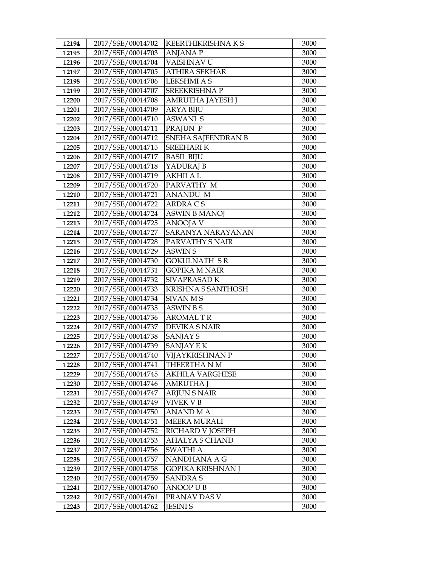| 12194 | 2017/SSE/00014702 | <b>KEERTHIKRISHNAKS</b> | 3000 |
|-------|-------------------|-------------------------|------|
| 12195 | 2017/SSE/00014703 | <b>ANJANAP</b>          | 3000 |
| 12196 | 2017/SSE/00014704 | VAISHNAV U              | 3000 |
| 12197 | 2017/SSE/00014705 | <b>ATHIRA SEKHAR</b>    | 3000 |
| 12198 | 2017/SSE/00014706 | <b>LEKSHMI A S</b>      | 3000 |
| 12199 | 2017/SSE/00014707 | <b>SREEKRISHNAP</b>     | 3000 |
| 12200 | 2017/SSE/00014708 | AMRUTHA JAYESH J        | 3000 |
| 12201 | 2017/SSE/00014709 | <b>ARYA BIJU</b>        | 3000 |
| 12202 | 2017/SSE/00014710 | <b>ASWANI S</b>         | 3000 |
| 12203 | 2017/SSE/00014711 | PRAJUN P                | 3000 |
| 12204 | 2017/SSE/00014712 | SNEHA SAJEENDRAN B      | 3000 |
| 12205 | 2017/SSE/00014715 | <b>SREEHARIK</b>        | 3000 |
| 12206 | 2017/SSE/00014717 | <b>BASIL BIJU</b>       | 3000 |
| 12207 | 2017/SSE/00014718 | YADURAJ B               | 3000 |
| 12208 | 2017/SSE/00014719 | <b>AKHILA L</b>         | 3000 |
| 12209 | 2017/SSE/00014720 | PARVATHY M              | 3000 |
| 12210 | 2017/SSE/00014721 | ANANDU M                | 3000 |
| 12211 | 2017/SSE/00014722 | ARDRA CS                | 3000 |
| 12212 | 2017/SSE/00014724 | <b>ASWIN B MANOJ</b>    | 3000 |
| 12213 | 2017/SSE/00014725 | <b>ANOOJA V</b>         | 3000 |
| 12214 | 2017/SSE/00014727 | SARANYA NARAYANAN       | 3000 |
| 12215 | 2017/SSE/00014728 | PARVATHY S NAIR         | 3000 |
| 12216 | 2017/SSE/00014729 | <b>ASWIN S</b>          | 3000 |
| 12217 | 2017/SSE/00014730 | <b>GOKULNATH SR</b>     | 3000 |
| 12218 | 2017/SSE/00014731 | <b>GOPIKA M NAIR</b>    | 3000 |
| 12219 | 2017/SSE/00014732 | SIVAPRASAD K            | 3000 |
| 12220 | 2017/SSE/00014733 | KRISHNA S SANTHOSH      | 3000 |
| 12221 | 2017/SSE/00014734 | <b>SIVAN MS</b>         | 3000 |
| 12222 | 2017/SSE/00014735 | <b>ASWIN BS</b>         | 3000 |
| 12223 | 2017/SSE/00014736 | <b>AROMAL T R</b>       | 3000 |
| 12224 | 2017/SSE/00014737 | <b>DEVIKA S NAIR</b>    | 3000 |
| 12225 | 2017/SSE/00014738 | <b>SANJAY S</b>         | 3000 |
| 12226 | 2017/SSE/00014739 | <b>SANJAY E K</b>       | 3000 |
| 12227 | 2017/SSE/00014740 | VIJAYKRISHNAN P         | 3000 |
| 12228 | 2017/SSE/00014741 | THEERTHA N M            | 3000 |
| 12229 | 2017/SSE/00014745 | AKHILA VARGHESE         | 3000 |
| 12230 | 2017/SSE/00014746 | AMRUTHA J               | 3000 |
| 12231 | 2017/SSE/00014747 | <b>ARJUN S NAIR</b>     | 3000 |
| 12232 | 2017/SSE/00014749 | <b>VIVEK V B</b>        | 3000 |
| 12233 | 2017/SSE/00014750 | ANAND M A               | 3000 |
| 12234 | 2017/SSE/00014751 | <b>MEERA MURALI</b>     | 3000 |
| 12235 | 2017/SSE/00014752 | RICHARD V JOSEPH        | 3000 |
| 12236 | 2017/SSE/00014753 | AHALYA S CHAND          | 3000 |
| 12237 | 2017/SSE/00014756 | SWATHI A                | 3000 |
| 12238 | 2017/SSE/00014757 | NANDHANA A G            | 3000 |
| 12239 | 2017/SSE/00014758 | GOPIKA KRISHNAN J       | 3000 |
| 12240 | 2017/SSE/00014759 | SANDRA S                | 3000 |
| 12241 | 2017/SSE/00014760 | <b>ANOOP U B</b>        | 3000 |
| 12242 | 2017/SSE/00014761 | PRANAV DAS V            | 3000 |
| 12243 | 2017/SSE/00014762 | <b>JESINI S</b>         | 3000 |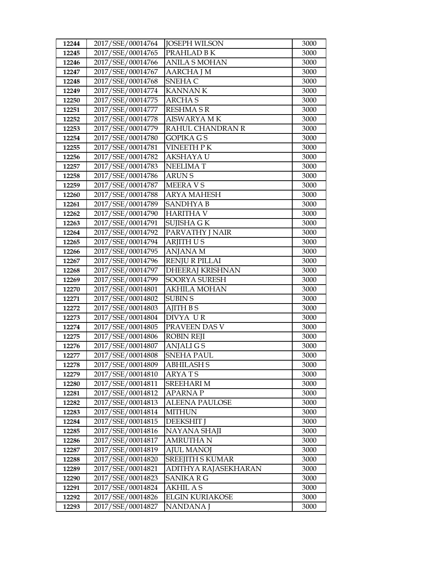| 12244 | 2017/SSE/00014764 | <b>JOSEPH WILSON</b>    | 3000 |
|-------|-------------------|-------------------------|------|
| 12245 | 2017/SSE/00014765 | PRAHLAD B K             | 3000 |
| 12246 | 2017/SSE/00014766 | <b>ANILA S MOHAN</b>    | 3000 |
| 12247 | 2017/SSE/00014767 | <b>AARCHA J M</b>       | 3000 |
| 12248 | 2017/SSE/00014768 | SNEHA C                 | 3000 |
| 12249 | 2017/SSE/00014774 | <b>KANNANK</b>          | 3000 |
| 12250 | 2017/SSE/00014775 | <b>ARCHAS</b>           | 3000 |
| 12251 | 2017/SSE/00014777 | <b>RESHMA S R</b>       | 3000 |
| 12252 | 2017/SSE/00014778 | <b>AISWARYA MK</b>      | 3000 |
| 12253 | 2017/SSE/00014779 | RAHUL CHANDRAN R        | 3000 |
| 12254 | 2017/SSE/00014780 | <b>GOPIKA GS</b>        | 3000 |
| 12255 | 2017/SSE/00014781 | <b>VINEETH PK</b>       | 3000 |
| 12256 | 2017/SSE/00014782 | AKSHAYA U               | 3000 |
| 12257 | 2017/SSE/00014783 | <b>NEELIMAT</b>         | 3000 |
| 12258 | 2017/SSE/00014786 | <b>ARUNS</b>            | 3000 |
| 12259 | 2017/SSE/00014787 | <b>MEERAVS</b>          | 3000 |
| 12260 | 2017/SSE/00014788 | ARYA MAHESH             | 3000 |
| 12261 | 2017/SSE/00014789 | SANDHYA B               | 3000 |
| 12262 | 2017/SSE/00014790 | <b>HARITHA V</b>        | 3000 |
| 12263 | 2017/SSE/00014791 | SUJISHA G K             | 3000 |
| 12264 | 2017/SSE/00014792 | PARVATHY J NAIR         | 3000 |
| 12265 | 2017/SSE/00014794 | <b>ARJITH US</b>        | 3000 |
| 12266 | 2017/SSE/00014795 | <b>ANJANA M</b>         | 3000 |
| 12267 | 2017/SSE/00014796 | <b>RENJU R PILLAI</b>   | 3000 |
| 12268 | 2017/SSE/00014797 | <b>DHEERAJ KRISHNAN</b> | 3000 |
| 12269 | 2017/SSE/00014799 | SOORYA SURESH           | 3000 |
| 12270 | 2017/SSE/00014801 | <b>AKHILA MOHAN</b>     | 3000 |
| 12271 | 2017/SSE/00014802 | <b>SUBIN S</b>          | 3000 |
| 12272 | 2017/SSE/00014803 | <b>AJITH BS</b>         | 3000 |
| 12273 | 2017/SSE/00014804 | DIVYA UR                | 3000 |
| 12274 | 2017/SSE/00014805 | PRAVEEN DAS V           | 3000 |
| 12275 | 2017/SSE/00014806 | <b>ROBIN REJI</b>       | 3000 |
| 12276 | 2017/SSE/00014807 | <b>ANJALIGS</b>         | 3000 |
| 12277 | 2017/SSE/00014808 | <b>SNEHA PAUL</b>       | 3000 |
| 12278 | 2017/SSE/00014809 | <b>ABHILASH S</b>       | 3000 |
| 12279 | 2017/SSE/00014810 | ARYA T S                | 3000 |
| 12280 | 2017/SSE/00014811 | SREEHARI M              | 3000 |
| 12281 | 2017/SSE/00014812 | <b>APARNAP</b>          | 3000 |
| 12282 | 2017/SSE/00014813 | <b>ALEENA PAULOSE</b>   | 3000 |
| 12283 | 2017/SSE/00014814 | <b>MITHUN</b>           | 3000 |
| 12284 | 2017/SSE/00014815 | <b>DEEKSHIT</b> J       | 3000 |
| 12285 | 2017/SSE/00014816 | NAYANA SHAJI            | 3000 |
| 12286 | 2017/SSE/00014817 | <b>AMRUTHA N</b>        | 3000 |
| 12287 | 2017/SSE/00014819 | <b>AJUL MANOJ</b>       | 3000 |
| 12288 | 2017/SSE/00014820 | SREEJITH S KUMAR        | 3000 |
| 12289 | 2017/SSE/00014821 | ADITHYA RAJASEKHARAN    | 3000 |
| 12290 | 2017/SSE/00014823 | SANIKA R G              | 3000 |
| 12291 | 2017/SSE/00014824 | AKHIL A S               | 3000 |
| 12292 | 2017/SSE/00014826 | <b>ELGIN KURIAKOSE</b>  | 3000 |
| 12293 | 2017/SSE/00014827 | NANDANA J               | 3000 |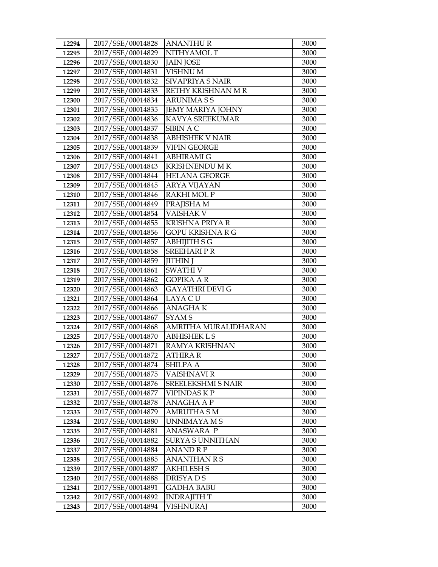| 12294 | 2017/SSE/00014828 | <b>ANANTHUR</b>          | 3000 |
|-------|-------------------|--------------------------|------|
| 12295 | 2017/SSE/00014829 | NITHYAMOL T              | 3000 |
| 12296 | 2017/SSE/00014830 | <b>JAIN JOSE</b>         | 3000 |
| 12297 | 2017/SSE/00014831 | VISHNU M                 | 3000 |
| 12298 | 2017/SSE/00014832 | SIVAPRIYA S NAIR         | 3000 |
| 12299 | 2017/SSE/00014833 | RETHY KRISHNAN M R       | 3000 |
| 12300 | 2017/SSE/00014834 | <b>ARUNIMASS</b>         | 3000 |
| 12301 | 2017/SSE/00014835 | <b>JEMY MARIYA JOHNY</b> | 3000 |
| 12302 | 2017/SSE/00014836 | KAVYA SREEKUMAR          | 3000 |
| 12303 | 2017/SSE/00014837 | SIBIN A C                | 3000 |
| 12304 | 2017/SSE/00014838 | <b>ABHISHEK V NAIR</b>   | 3000 |
| 12305 | 2017/SSE/00014839 | <b>VIPIN GEORGE</b>      | 3000 |
| 12306 | 2017/SSE/00014841 | <b>ABHIRAMI G</b>        | 3000 |
| 12307 | 2017/SSE/00014843 | <b>KRISHNENDU MK</b>     | 3000 |
| 12308 | 2017/SSE/00014844 | <b>HELANA GEORGE</b>     | 3000 |
| 12309 | 2017/SSE/00014845 | ARYA VIJAYAN             | 3000 |
| 12310 | 2017/SSE/00014846 | RAKHI MOL P              | 3000 |
| 12311 | 2017/SSE/00014849 | PRAJISHA M               | 3000 |
| 12312 | 2017/SSE/00014854 | <b>VAISHAK V</b>         | 3000 |
| 12313 | 2017/SSE/00014855 | <b>KRISHNA PRIYA R</b>   | 3000 |
| 12314 | 2017/SSE/00014856 | <b>GOPU KRISHNA R G</b>  | 3000 |
| 12315 | 2017/SSE/00014857 | <b>ABHIJITH S G</b>      | 3000 |
| 12316 | 2017/SSE/00014858 | <b>SREEHARIPR</b>        | 3000 |
| 12317 | 2017/SSE/00014859 | <b>JITHIN J</b>          | 3000 |
| 12318 | 2017/SSE/00014861 | <b>SWATHI V</b>          | 3000 |
| 12319 | 2017/SSE/00014862 | <b>GOPIKA A R</b>        | 3000 |
| 12320 | 2017/SSE/00014863 | <b>GAYATHRI DEVI G</b>   | 3000 |
| 12321 | 2017/SSE/00014864 | LAYA CU                  | 3000 |
| 12322 | 2017/SSE/00014866 | <b>ANAGHAK</b>           | 3000 |
| 12323 | 2017/SSE/00014867 | SYAM <sub>S</sub>        | 3000 |
| 12324 | 2017/SSE/00014868 | AMRITHA MURALIDHARAN     | 3000 |
| 12325 | 2017/SSE/00014870 | <b>ABHISHEK L S</b>      | 3000 |
| 12326 | 2017/SSE/00014871 | <b>RAMYA KRISHNAN</b>    | 3000 |
| 12327 | 2017/SSE/00014872 | <b>ATHIRA R</b>          | 3000 |
| 12328 | 2017/SSE/00014874 | SHILPA A                 | 3000 |
| 12329 | 2017/SSE/00014875 | VAISHNAVI R              | 3000 |
| 12330 | 2017/SSE/00014876 | SREELEKSHMI S NAIR       | 3000 |
| 12331 | 2017/SSE/00014877 | VIPINDAS K P             | 3000 |
| 12332 | 2017/SSE/00014878 | ANAGHA A P               | 3000 |
| 12333 | 2017/SSE/00014879 | <b>AMRUTHA S M</b>       | 3000 |
| 12334 | 2017/SSE/00014880 | UNNIMAYA M S             | 3000 |
| 12335 | 2017/SSE/00014881 | ANASWARA P               | 3000 |
| 12336 | 2017/SSE/00014882 | <b>SURYA S UNNITHAN</b>  | 3000 |
| 12337 | 2017/SSE/00014884 | <b>ANAND R P</b>         | 3000 |
| 12338 | 2017/SSE/00014885 | ANANTHAN R S             | 3000 |
| 12339 | 2017/SSE/00014887 | <b>AKHILESH S</b>        | 3000 |
| 12340 | 2017/SSE/00014888 | DRISYA D S               | 3000 |
| 12341 | 2017/SSE/00014891 | <b>GADHA BABU</b>        | 3000 |
| 12342 | 2017/SSE/00014892 | <b>INDRAJITH T</b>       | 3000 |
| 12343 | 2017/SSE/00014894 | VISHNURAJ                | 3000 |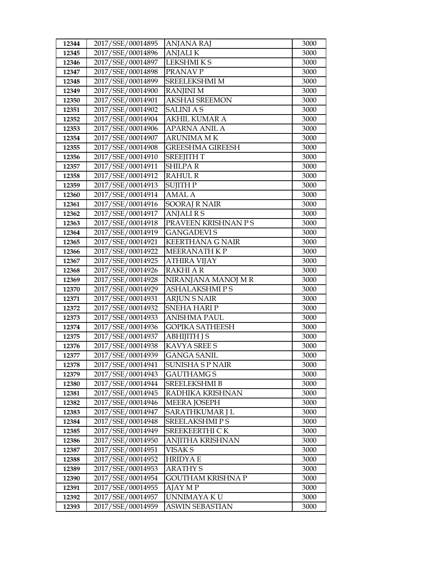| 12344          | 2017/SSE/00014895                      | ANJANA RAJ                         | 3000         |
|----------------|----------------------------------------|------------------------------------|--------------|
| 12345          | 2017/SSE/00014896                      | <b>ANJALIK</b>                     | 3000         |
| 12346          | 2017/SSE/00014897                      | <b>LEKSHMIKS</b>                   | 3000         |
| 12347          | 2017/SSE/00014898                      | PRANAV P                           | 3000         |
| 12348          | 2017/SSE/00014899                      | SREELEKSHMI M                      | 3000         |
| 12349          | 2017/SSE/00014900                      | <b>RANJINI M</b>                   | 3000         |
| 12350          | 2017/SSE/00014901                      | <b>AKSHAI SREEMON</b>              | 3000         |
| 12351          | 2017/SSE/00014902                      | <b>SALINIAS</b>                    | 3000         |
| 12352          | 2017/SSE/00014904                      | <b>AKHIL KUMAR A</b>               | 3000         |
| 12353          | 2017/SSE/00014906                      | <b>APARNA ANIL A</b>               | 3000         |
| 12354          | 2017/SSE/00014907                      | ARUNIMA M K                        | 3000         |
| 12355          | 2017/SSE/00014908                      | <b>GREESHMA GIREESH</b>            | 3000         |
| 12356          | 2017/SSE/00014910                      | <b>SREEJITH T</b>                  | 3000         |
| 12357          | 2017/SSE/00014911                      | <b>SHILPAR</b>                     | 3000         |
| 12358          | 2017/SSE/00014912                      | <b>RAHUL R</b>                     | 3000         |
| 12359          | 2017/SSE/00014913                      | <b>SUJITH P</b>                    | 3000         |
| 12360          | 2017/SSE/00014914                      | <b>AMAL A</b>                      | 3000         |
| 12361          | 2017/SSE/00014916                      | <b>SOORAJ R NAIR</b>               | 3000         |
| 12362          | 2017/SSE/00014917                      | <b>ANJALIRS</b>                    | 3000         |
| 12363          | 2017/SSE/00014918                      | PRAVEEN KRISHNAN P S               | 3000         |
| 12364          | 2017/SSE/00014919                      | <b>GANGADEVIS</b>                  | 3000         |
| 12365          | 2017/SSE/00014921                      | <b>KEERTHANA G NAIR</b>            | 3000         |
| 12366          | 2017/SSE/00014922                      | MEERANATH KP                       | 3000         |
| 12367          | 2017/SSE/00014925                      | <b>ATHIRA VIJAY</b>                | 3000         |
| 12368          | 2017/SSE/00014926                      | <b>RAKHI A R</b>                   | 3000         |
| 12369          | 2017/SSE/00014928                      | NIRANJANA MANOJ M R                | 3000         |
| 12370          | 2017/SSE/00014929                      | <b>ASHALAKSHMIPS</b>               | 3000         |
| 12371          | 2017/SSE/00014931                      | <b>ARJUN S NAIR</b>                | 3000         |
| 12372          | 2017/SSE/00014932                      | <b>SNEHA HARI P</b>                | 3000         |
| 12373          | 2017/SSE/00014933                      | <b>ANISHMA PAUL</b>                | 3000         |
| 12374          | 2017/SSE/00014936                      | <b>GOPIKA SATHEESH</b>             | 3000         |
| 12375          | 2017/SSE/00014937                      | <b>ABHIJITH J S</b>                | 3000         |
| 12376<br>12377 | 2017/SSE/00014938                      | KAVYA SREE S                       | 3000         |
|                | 2017/SSE/00014939                      | <b>GANGA SANIL</b>                 | 3000<br>3000 |
| 12378          | 2017/SSE/00014941<br>2017/SSE/00014943 | SUNISHA S P NAIR                   |              |
| 12379<br>12380 | 2017/SSE/00014944                      | GAUTHAMG S<br><b>SREELEKSHMI B</b> | 3000<br>3000 |
| 12381          | 2017/SSE/00014945                      | RADHIKA KRISHNAN                   | 3000         |
| 12382          | 2017/SSE/00014946                      | <b>MEERA JOSEPH</b>                | 3000         |
| 12383          | 2017/SSE/00014947                      | SARATHKUMAR J L                    | 3000         |
| 12384          | 2017/SSE/00014948                      | SREELAKSHMI P S                    | 3000         |
| 12385          | 2017/SSE/00014949                      | SREEKEERTHI CK                     | 3000         |
| 12386          | 2017/SSE/00014950                      | ANJITHA KRISHNAN                   | 3000         |
| 12387          | 2017/SSE/00014951                      | VISAK S                            | 3000         |
| 12388          | 2017/SSE/00014952                      | <b>HRIDYA E</b>                    | 3000         |
| 12389          | 2017/SSE/00014953                      | ARATHY S                           | 3000         |
| 12390          | 2017/SSE/00014954                      | GOUTHAM KRISHNA P                  | 3000         |
| 12391          | 2017/SSE/00014955                      | AJAY M P                           | 3000         |
| 12392          | 2017/SSE/00014957                      | UNNIMAYA K U                       | 3000         |
| 12393          | 2017/SSE/00014959                      | ASWIN SEBASTIAN                    | 3000         |
|                |                                        |                                    |              |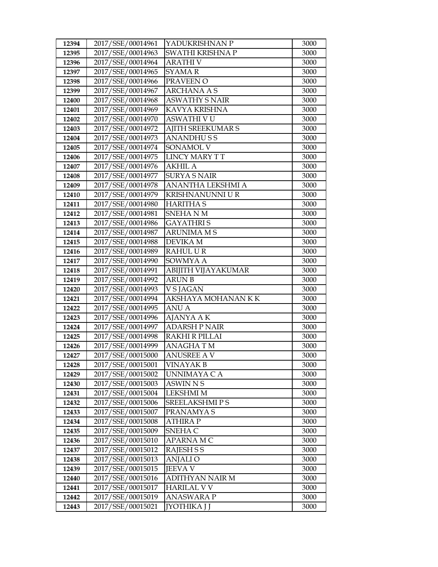| 12394          | 2017/SSE/00014961                      | YADUKRISHNAN P             | 3000         |
|----------------|----------------------------------------|----------------------------|--------------|
| 12395          | 2017/SSE/00014963                      | SWATHI KRISHNA P           | 3000         |
| 12396          | 2017/SSE/00014964                      | <b>ARATHI V</b>            | 3000         |
| 12397          | 2017/SSE/00014965                      | <b>SYAMAR</b>              | 3000         |
| 12398          | 2017/SSE/00014966                      | PRAVEEN O                  | 3000         |
| 12399          | 2017/SSE/00014967                      | <b>ARCHANA A S</b>         | 3000         |
| 12400          | 2017/SSE/00014968                      | <b>ASWATHY S NAIR</b>      | 3000         |
| 12401          | 2017/SSE/00014969                      | KAVYA KRISHNA              | 3000         |
| 12402          | 2017/SSE/00014970                      | <b>ASWATHI V U</b>         | 3000         |
| 12403          | 2017/SSE/00014972                      | <b>AJITH SREEKUMAR S</b>   | 3000         |
| 12404          | 2017/SSE/00014973                      | <b>ANANDHUSS</b>           | 3000         |
| 12405          | 2017/SSE/00014974                      | SONAMOL V                  | 3000         |
| 12406          | 2017/SSE/00014975                      | <b>LINCY MARY TT</b>       | 3000         |
| 12407          | 2017/SSE/00014976                      | <b>AKHIL A</b>             | 3000         |
| 12408          | 2017/SSE/00014977                      | <b>SURYA S NAIR</b>        | 3000         |
| 12409          | 2017/SSE/00014978                      | ANANTHA LEKSHMI A          | 3000         |
| 12410          | 2017/SSE/00014979                      | <b>KRISHNANUNNI U R</b>    | 3000         |
| 12411          | 2017/SSE/00014980                      | <b>HARITHA S</b>           | 3000         |
| 12412          | 2017/SSE/00014981                      | <b>SNEHANM</b>             | 3000         |
| 12413          | 2017/SSE/00014986                      | <b>GAYATHRIS</b>           | 3000         |
| 12414          | 2017/SSE/00014987                      | <b>ARUNIMA M S</b>         | 3000         |
| 12415          | 2017/SSE/00014988                      | <b>DEVIKA M</b>            | 3000         |
| 12416          | 2017/SSE/00014989                      | <b>RAHUL UR</b>            | 3000         |
| 12417          | 2017/SSE/00014990                      | SOWMYA A                   | 3000         |
| 12418          | 2017/SSE/00014991                      | ABIJITH VIJAYAKUMAR        | 3000         |
| 12419          | 2017/SSE/00014992                      | <b>ARUN B</b>              | 3000         |
| 12420          | 2017/SSE/00014993                      | V S JAGAN                  | 3000         |
| 12421          | 2017/SSE/00014994                      | AKSHAYA MOHANAN KK         | 3000         |
| 12422          | 2017/SSE/00014995                      | <b>ANU A</b>               | 3000         |
| 12423          | 2017/SSE/00014996                      | AJANYA A K                 | 3000         |
| 12424          | 2017/SSE/00014997                      | <b>ADARSH P NAIR</b>       | 3000         |
| 12425          | 2017/SSE/00014998                      | <b>RAKHI R PILLAI</b>      | 3000         |
| 12426          | 2017/SSE/00014999                      | <b>ANAGHATM</b>            | 3000         |
| 12427          | 2017/SSE/00015000                      | <b>ANUSREE AV</b>          | 3000         |
| 12428          | 2017/SSE/00015001                      | <b>VINAYAK B</b>           | 3000         |
| 12429          | 2017/SSE/00015002                      | UNNIMAYA C A               | 3000         |
| 12430          | 2017/SSE/00015003                      | ASWIN N S                  | 3000         |
| 12431          | 2017/SSE/00015004                      | <b>LEKSHMI M</b>           | 3000         |
| 12432          | 2017/SSE/00015006                      | <b>SREELAKSHMIPS</b>       | 3000         |
| 12433          | 2017/SSE/00015007                      | PRANAMYA S                 | 3000         |
| 12434          | 2017/SSE/00015008                      | <b>ATHIRA P</b>            | 3000         |
| 12435          | 2017/SSE/00015009                      | SNEHA C                    | 3000         |
| 12436          | 2017/SSE/00015010                      | <b>APARNAMC</b>            | 3000         |
| 12437          | 2017/SSE/00015012                      | RAJESH S S                 | 3000         |
| 12438          | 2017/SSE/00015013                      | <b>ANJALIO</b>             | 3000         |
| 12439          |                                        |                            | 3000         |
|                | 2017/SSE/00015015                      | <b>JEEVA V</b>             |              |
| 12440          | 2017/SSE/00015016                      | ADITHYAN NAIR M            | 3000         |
| 12441          | 2017/SSE/00015017                      | <b>HARILAL V V</b>         | 3000         |
| 12442<br>12443 | 2017/SSE/00015019<br>2017/SSE/00015021 | ANASWARA P<br>JYOTHIKA J J | 3000<br>3000 |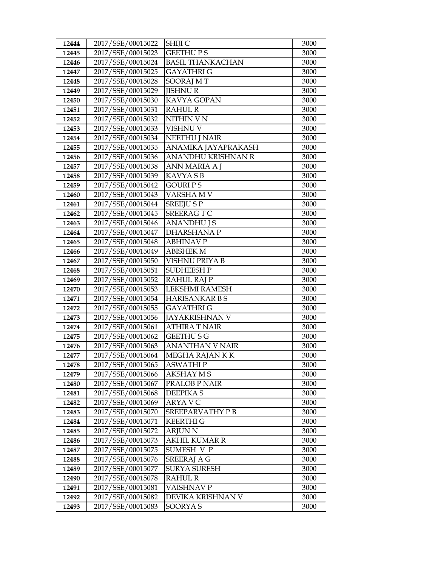| 12444          | 2017/SSE/00015022                      | SHIJI C                     | 3000         |
|----------------|----------------------------------------|-----------------------------|--------------|
| 12445          | 2017/SSE/00015023                      | <b>GEETHUPS</b>             | 3000         |
| 12446          | 2017/SSE/00015024                      | <b>BASIL THANKACHAN</b>     | 3000         |
| 12447          | 2017/SSE/00015025                      | <b>GAYATHRIG</b>            | 3000         |
| 12448          | 2017/SSE/00015028                      | <b>SOORAJ MT</b>            | 3000         |
| 12449          | 2017/SSE/00015029                      | <b>JISHNU R</b>             | 3000         |
| 12450          | 2017/SSE/00015030                      | KAVYA GOPAN                 | 3000         |
| 12451          | 2017/SSE/00015031                      | <b>RAHUL R</b>              | 3000         |
| 12452          | 2017/SSE/00015032                      | NITHIN V N                  | 3000         |
| 12453          | 2017/SSE/00015033                      | VISHNU V                    | 3000         |
| 12454          | 2017/SSE/00015034                      | <b>NEETHU J NAIR</b>        | 3000         |
| 12455          | 2017/SSE/00015035                      | ANAMIKA JAYAPRAKASH         | 3000         |
| 12456          | 2017/SSE/00015036                      | ANANDHU KRISHNAN R          | 3000         |
| 12457          | 2017/SSE/00015038                      | ANN MARIA A J               | 3000         |
| 12458          | 2017/SSE/00015039                      | KAVYA S B                   | 3000         |
| 12459          | 2017/SSE/00015042                      | GOURI P S                   | 3000         |
| 12460          | 2017/SSE/00015043                      | VARSHA M V                  | 3000         |
| 12461          | 2017/SSE/00015044                      | <b>SREEJUSP</b>             | 3000         |
| 12462          | 2017/SSE/00015045                      | <b>SREERAGTC</b>            | 3000         |
| 12463          | 2017/SSE/00015046                      | <b>ANANDHU J S</b>          | 3000         |
| 12464          | 2017/SSE/00015047                      | <b>DHARSHANAP</b>           | 3000         |
| 12465          | 2017/SSE/00015048                      | <b>ABHINAV P</b>            | 3000         |
| 12466          | 2017/SSE/00015049                      | <b>ABISHEK M</b>            | 3000         |
| 12467          | 2017/SSE/00015050                      | <b>VISHNU PRIYA B</b>       | 3000         |
| 12468          | 2017/SSE/00015051                      | <b>SUDHEESH P</b>           | 3000         |
| 12469          | 2017/SSE/00015052                      | <b>RAHUL RAJ P</b>          | 3000         |
| 12470          | 2017/SSE/00015053                      | LEKSHMI RAMESH              | 3000         |
| 12471          | 2017/SSE/00015054                      | <b>HARISANKAR B S</b>       | 3000         |
| 12472          | 2017/SSE/00015055                      | <b>GAYATHRIG</b>            | 3000         |
| 12473          | 2017/SSE/00015056                      | <b>JAYAKRISHNAN V</b>       | 3000         |
| 12474          | 2017/SSE/00015061                      | <b>ATHIRA T NAIR</b>        | 3000         |
| 12475          | 2017/SSE/00015062                      | <b>GEETHUSG</b>             | 3000         |
| 12476          | 2017/SSE/00015063                      | <b>ANANTHAN V NAIR</b>      | 3000         |
| 12477          | 2017/SSE/00015064                      | MEGHA RAJAN K K             | 3000         |
| 12478          | 2017/SSE/00015065<br>2017/SSE/00015066 | <b>ASWATHIP</b>             | 3000         |
| 12479<br>12480 | 2017/SSE/00015067                      | AKSHAY M S<br>PRALOB P NAIR | 3000<br>3000 |
| 12481          | 2017/SSE/00015068                      | <b>DEEPIKAS</b>             | 3000         |
| 12482          | 2017/SSE/00015069                      | ARYA V C                    | 3000         |
| 12483          | 2017/SSE/00015070                      | SREEPARVATHY P B            | 3000         |
| 12484          | 2017/SSE/00015071                      | <b>KEERTHI G</b>            | 3000         |
| 12485          | 2017/SSE/00015072                      | <b>ARJUN N</b>              | 3000         |
| 12486          | 2017/SSE/00015073                      | <b>AKHIL KUMAR R</b>        | 3000         |
| 12487          | 2017/SSE/00015075                      | SUMESH V P                  | 3000         |
| 12488          | 2017/SSE/00015076                      | <b>SREERAJ A G</b>          | 3000         |
| 12489          | 2017/SSE/00015077                      | <b>SURYA SURESH</b>         | 3000         |
| 12490          | 2017/SSE/00015078                      | <b>RAHUL R</b>              | 3000         |
| 12491          | 2017/SSE/00015081                      | VAISHNAV P                  | 3000         |
| 12492          | 2017/SSE/00015082                      | DEVIKA KRISHNAN V           | 3000         |
| 12493          | 2017/SSE/00015083                      | SOORYA S                    | 3000         |
|                |                                        |                             |              |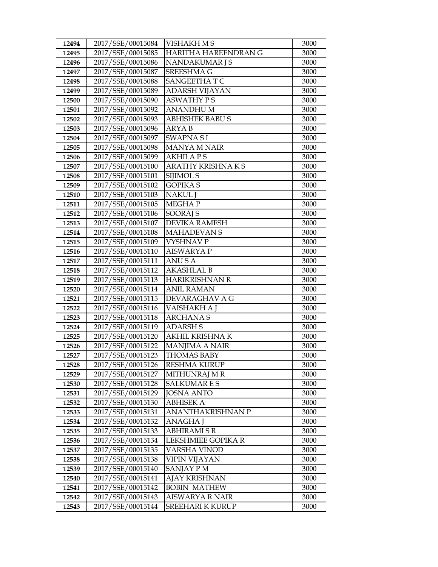| 12494 | 2017/SSE/00015084 | <b>VISHAKH M S</b>       | 3000 |
|-------|-------------------|--------------------------|------|
| 12495 | 2017/SSE/00015085 | HARITHA HAREENDRAN G     | 3000 |
| 12496 | 2017/SSE/00015086 | NANDAKUMAR J S           | 3000 |
| 12497 | 2017/SSE/00015087 | SREESHMA G               | 3000 |
| 12498 | 2017/SSE/00015088 | SANGEETHAT C             | 3000 |
| 12499 | 2017/SSE/00015089 | ADARSH VIJAYAN           | 3000 |
| 12500 | 2017/SSE/00015090 | <b>ASWATHY PS</b>        | 3000 |
| 12501 | 2017/SSE/00015092 | <b>ANANDHUM</b>          | 3000 |
| 12502 | 2017/SSE/00015093 | <b>ABHISHEK BABUS</b>    | 3000 |
| 12503 | 2017/SSE/00015096 | <b>ARYAB</b>             | 3000 |
| 12504 | 2017/SSE/00015097 | <b>SWAPNA SI</b>         | 3000 |
| 12505 | 2017/SSE/00015098 | MANYA M NAIR             | 3000 |
| 12506 | 2017/SSE/00015099 | <b>AKHILA PS</b>         | 3000 |
| 12507 | 2017/SSE/00015100 | <b>ARATHY KRISHNA KS</b> | 3000 |
| 12508 | 2017/SSE/00015101 | SIJIMOL S                | 3000 |
| 12509 | 2017/SSE/00015102 | <b>GOPIKA S</b>          | 3000 |
| 12510 | 2017/SSE/00015103 | <b>NAKUL J</b>           | 3000 |
| 12511 | 2017/SSE/00015105 | <b>MEGHAP</b>            | 3000 |
| 12512 | 2017/SSE/00015106 | <b>SOORAJ S</b>          | 3000 |
| 12513 | 2017/SSE/00015107 | <b>DEVIKA RAMESH</b>     | 3000 |
| 12514 | 2017/SSE/00015108 | <b>MAHADEVAN S</b>       | 3000 |
| 12515 | 2017/SSE/00015109 | VYSHNAV P                | 3000 |
| 12516 | 2017/SSE/00015110 | <b>AISWARYA P</b>        | 3000 |
| 12517 | 2017/SSE/00015111 | <b>ANUSA</b>             | 3000 |
| 12518 | 2017/SSE/00015112 | <b>AKASHLAL B</b>        | 3000 |
| 12519 | 2017/SSE/00015113 | <b>HARIKRISHNAN R</b>    | 3000 |
| 12520 | 2017/SSE/00015114 | ANIL RAMAN               | 3000 |
| 12521 | 2017/SSE/00015115 | DEVARAGHAV A G           | 3000 |
| 12522 | 2017/SSE/00015116 | VAISHAKH A J             | 3000 |
| 12523 | 2017/SSE/00015118 | <b>ARCHANAS</b>          | 3000 |
| 12524 | 2017/SSE/00015119 | <b>ADARSH S</b>          | 3000 |
| 12525 | 2017/SSE/00015120 | AKHIL KRISHNA K          | 3000 |
| 12526 | 2017/SSE/00015122 | <b>MANJIMA A NAIR</b>    | 3000 |
| 12527 | 2017/SSE/00015123 | <b>THOMAS BABY</b>       | 3000 |
| 12528 | 2017/SSE/00015126 | RESHMA KURUP             | 3000 |
| 12529 | 2017/SSE/00015127 | MITHUNRAJ M R            | 3000 |
| 12530 | 2017/SSE/00015128 | <b>SALKUMARES</b>        | 3000 |
| 12531 | 2017/SSE/00015129 | <b>JOSNA ANTO</b>        | 3000 |
| 12532 | 2017/SSE/00015130 | ABHISEK A                | 3000 |
| 12533 | 2017/SSE/00015131 | ANANTHAKRISHNAN P        | 3000 |
| 12534 | 2017/SSE/00015132 | ANAGHA J                 | 3000 |
| 12535 | 2017/SSE/00015133 | ABHIRAMI S R             | 3000 |
| 12536 | 2017/SSE/00015134 | LEKSHMIEE GOPIKA R       | 3000 |
| 12537 | 2017/SSE/00015135 | <b>VARSHA VINOD</b>      | 3000 |
| 12538 | 2017/SSE/00015138 | VIPIN VIJAYAN            | 3000 |
| 12539 | 2017/SSE/00015140 | SANJAY P M               | 3000 |
| 12540 | 2017/SSE/00015141 | AJAY KRISHNAN            | 3000 |
| 12541 | 2017/SSE/00015142 | <b>BOBIN MATHEW</b>      | 3000 |
| 12542 | 2017/SSE/00015143 | <b>AISWARYA R NAIR</b>   | 3000 |
| 12543 | 2017/SSE/00015144 | <b>SREEHARI K KURUP</b>  | 3000 |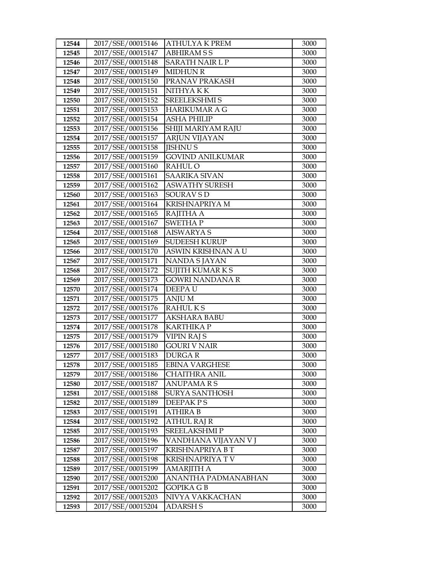| 12544          | 2017/SSE/00015146                      | <b>ATHULYA K PREM</b>              | 3000         |
|----------------|----------------------------------------|------------------------------------|--------------|
| 12545          | 2017/SSE/00015147                      | <b>ABHIRAMSS</b>                   | 3000         |
| 12546          | 2017/SSE/00015148                      | SARATH NAIR L P                    | 3000         |
| 12547          | 2017/SSE/00015149                      | <b>MIDHUN R</b>                    | 3000         |
| 12548          | 2017/SSE/00015150                      | PRANAV PRAKASH                     | 3000         |
| 12549          | 2017/SSE/00015151                      | NITHYA K K                         | 3000         |
| 12550          | 2017/SSE/00015152                      | <b>SREELEKSHMI S</b>               | 3000         |
| 12551          | 2017/SSE/00015153                      | <b>HARIKUMAR A G</b>               | 3000         |
| 12552          | 2017/SSE/00015154                      | <b>ASHA PHILIP</b>                 | 3000         |
| 12553          | 2017/SSE/00015156                      | SHIJI MARIYAM RAJU                 | 3000         |
| 12554          | 2017/SSE/00015157                      | <b>ARJUN VIJAYAN</b>               | 3000         |
| 12555          | 2017/SSE/00015158                      | <b>JISHNUS</b>                     | 3000         |
| 12556          | 2017/SSE/00015159                      | <b>GOVIND ANILKUMAR</b>            | 3000         |
| 12557          | 2017/SSE/00015160                      | RAHUL O                            | 3000         |
| 12558          | 2017/SSE/00015161                      | <b>SAARIKA SIVAN</b>               | 3000         |
| 12559          | 2017/SSE/00015162                      | <b>ASWATHY SURESH</b>              | 3000         |
| 12560          | 2017/SSE/00015163                      | <b>SOURAV S D</b>                  | 3000         |
| 12561          | 2017/SSE/00015164                      | <b>KRISHNAPRIYA M</b>              | 3000         |
| 12562          | 2017/SSE/00015165                      | RAJITHA A                          | 3000         |
| 12563          | 2017/SSE/00015167                      | <b>SWETHAP</b>                     | 3000         |
| 12564          | 2017/SSE/00015168                      | <b>AISWARYA S</b>                  | 3000         |
| 12565          | 2017/SSE/00015169                      | <b>SUDEESH KURUP</b>               | 3000         |
| 12566          | 2017/SSE/00015170                      | ASWIN KRISHNAN A U                 | 3000         |
| 12567          | 2017/SSE/00015171                      | <b>NANDA SJAYAN</b>                | 3000         |
| 12568          | 2017/SSE/00015172                      | SUJITH KUMAR K S                   | 3000         |
| 12569          | 2017/SSE/00015173                      | <b>GOWRI NANDANA R</b>             | 3000         |
| 12570          | 2017/SSE/00015174                      | DEEPAU                             | 3000         |
| 12571          | 2017/SSE/00015175                      | <b>ANJUM</b>                       | 3000         |
| 12572          | 2017/SSE/00015176                      | <b>RAHULKS</b>                     | 3000         |
| 12573          | 2017/SSE/00015177                      | <b>AKSHARA BABU</b>                | 3000         |
| 12574          | 2017/SSE/00015178                      | <b>KARTHIKA P</b>                  | 3000         |
| 12575          | 2017/SSE/00015179                      | VIPIN RAJ S                        | 3000         |
| 12576          | 2017/SSE/00015180                      | <b>GOURI V NAIR</b>                | 3000         |
| 12577          | 2017/SSE/00015183                      | <b>DURGAR</b>                      | 3000         |
| 12578          | 2017/SSE/00015185                      | <b>EBINA VARGHESE</b>              | 3000         |
| 12579          | 2017/SSE/00015186                      | CHAITHRA ANIL                      | 3000         |
| 12580<br>12581 | 2017/SSE/00015187<br>2017/SSE/00015188 | <b>ANUPAMARS</b><br>SURYA SANTHOSH | 3000<br>3000 |
| 12582          | 2017/SSE/00015189                      | DEEPAK PS                          | 3000         |
| 12583          | 2017/SSE/00015191                      | ATHIRA B                           | 3000         |
| 12584          | 2017/SSE/00015192                      | <b>ATHUL RAJ R</b>                 | 3000         |
| 12585          | 2017/SSE/00015193                      | <b>SREELAKSHMIP</b>                | 3000         |
| 12586          | 2017/SSE/00015196                      | VANDHANA VIJAYAN V J               | 3000         |
| 12587          | 2017/SSE/00015197                      | KRISHNAPRIYA BT                    | 3000         |
| 12588          | 2017/SSE/00015198                      | KRISHNAPRIYA TV                    | 3000         |
| 12589          | 2017/SSE/00015199                      | AMARJITH A                         | 3000         |
| 12590          | 2017/SSE/00015200                      | ANANTHA PADMANABHAN                | 3000         |
| 12591          | 2017/SSE/00015202                      | GOPIKA G B                         | 3000         |
| 12592          | 2017/SSE/00015203                      | NIVYA VAKKACHAN                    | 3000         |
| 12593          | 2017/SSE/00015204                      | ADARSH S                           | 3000         |
|                |                                        |                                    |              |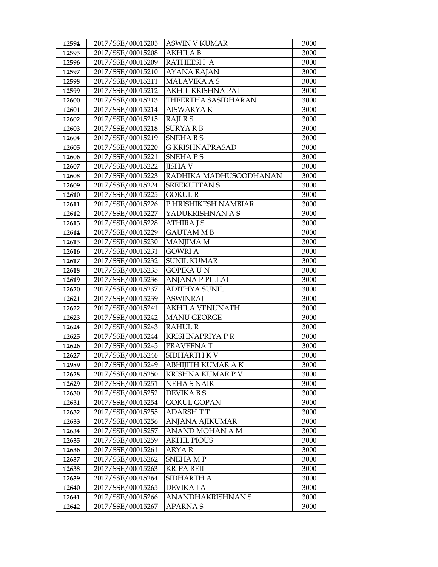| 12594          | 2017/SSE/00015205                      | ASWIN V KUMAR                           | 3000         |
|----------------|----------------------------------------|-----------------------------------------|--------------|
| 12595          | 2017/SSE/00015208                      | <b>AKHILA B</b>                         | 3000         |
| 12596          | 2017/SSE/00015209                      | RATHEESH A                              | 3000         |
| 12597          | 2017/SSE/00015210                      | <b>AYANA RAJAN</b>                      | 3000         |
| 12598          | 2017/SSE/00015211                      | <b>MALAVIKA A S</b>                     | 3000         |
| 12599          | 2017/SSE/00015212                      | AKHIL KRISHNA PAI                       | 3000         |
| 12600          | 2017/SSE/00015213                      | THEERTHA SASIDHARAN                     | 3000         |
| 12601          | 2017/SSE/00015214                      | <b>AISWARYAK</b>                        | 3000         |
| 12602          | 2017/SSE/00015215                      | RAJI R S                                | 3000         |
| 12603          | 2017/SSE/00015218                      | <b>SURYARB</b>                          | 3000         |
| 12604          | 2017/SSE/00015219                      | <b>SNEHABS</b>                          | 3000         |
| 12605          | 2017/SSE/00015220                      | G KRISHNAPRASAD                         | 3000         |
| 12606          | 2017/SSE/00015221                      | <b>SNEHAPS</b>                          | 3000         |
| 12607          | 2017/SSE/00015222                      | <b>JISHA V</b>                          | 3000         |
| 12608          | 2017/SSE/00015223                      | RADHIKA MADHUSOODHANAN                  | 3000         |
| 12609          | 2017/SSE/00015224                      | <b>SREEKUTTAN S</b>                     | 3000         |
| 12610          | 2017/SSE/00015225                      | <b>GOKUL R</b>                          | 3000         |
| 12611          | 2017/SSE/00015226                      | P HRISHIKESH NAMBIAR                    | 3000         |
| 12612          | 2017/SSE/00015227                      | YADUKRISHNAN A S                        | 3000         |
| 12613          | 2017/SSE/00015228                      | <b>ATHIRA J S</b>                       | 3000         |
| 12614          | 2017/SSE/00015229                      | <b>GAUTAM MB</b>                        | 3000         |
| 12615          | 2017/SSE/00015230                      | <b>MANJIMA M</b>                        | 3000         |
| 12616          | 2017/SSE/00015231                      | <b>GOWRI A</b>                          | 3000         |
| 12617          | 2017/SSE/00015232                      | <b>SUNIL KUMAR</b>                      | 3000         |
| 12618          | 2017/SSE/00015235                      | GOPIKA U N                              | 3000         |
| 12619          | 2017/SSE/00015236                      | ANJANA P PILLAI                         | 3000         |
| 12620          | 2017/SSE/00015237                      | <b>ADITHYA SUNIL</b>                    | 3000         |
| 12621          | 2017/SSE/00015239                      | <b>ASWINRAJ</b>                         | 3000         |
| 12622          | 2017/SSE/00015241                      | <b>AKHILA VENUNATH</b>                  | 3000         |
| 12623          | 2017/SSE/00015242                      | <b>MANU GEORGE</b>                      | 3000         |
| 12624          | 2017/SSE/00015243                      | <b>RAHUL R</b>                          | 3000         |
| 12625          | 2017/SSE/00015244                      | <b>KRISHNAPRIYA P R</b>                 | 3000         |
| 12626          | 2017/SSE/00015245<br>2017/SSE/00015246 | PRAVEENAT                               | 3000<br>3000 |
| 12627          |                                        | SIDHARTH K V                            | 3000         |
| 12989          | 2017/SSE/00015249<br>2017/SSE/00015250 | ABHIJITH KUMAR A K<br>KRISHNA KUMAR P V |              |
| 12628<br>12629 | 2017/SSE/00015251                      | <b>NEHA S NAIR</b>                      | 3000<br>3000 |
| 12630          | 2017/SSE/00015252                      | DEVIKA B S                              | 3000         |
| 12631          | 2017/SSE/00015254                      | <b>GOKUL GOPAN</b>                      | 3000         |
| 12632          | 2017/SSE/00015255                      | ADARSH T T                              | 3000         |
| 12633          | 2017/SSE/00015256                      | ANJANA AJIKUMAR                         | 3000         |
| 12634          | 2017/SSE/00015257                      | ANAND MOHAN A M                         | 3000         |
| 12635          | 2017/SSE/00015259                      | <b>AKHIL PIOUS</b>                      | 3000         |
| 12636          | 2017/SSE/00015261                      | ARYA R                                  | 3000         |
| 12637          | 2017/SSE/00015262                      | SNEHA MP                                | 3000         |
| 12638          | 2017/SSE/00015263                      | KRIPA REJI                              | 3000         |
| 12639          | 2017/SSE/00015264                      | SIDHARTH A                              | 3000         |
| 12640          | 2017/SSE/00015265                      | DEVIKA J A                              | 3000         |
| 12641          | 2017/SSE/00015266                      | ANANDHAKRISHNAN S                       | 3000         |
| 12642          | 2017/SSE/00015267                      | APARNA S                                | 3000         |
|                |                                        |                                         |              |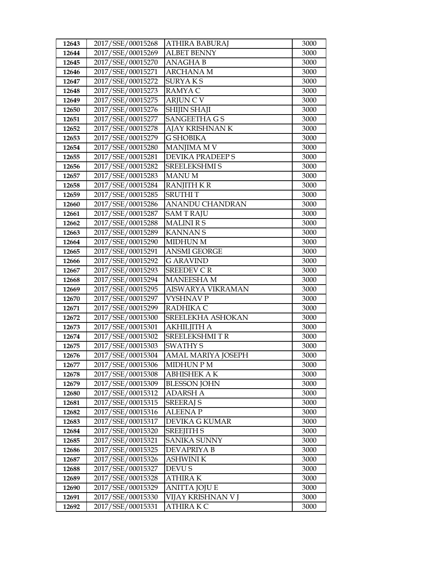| 12643 | 2017/SSE/00015268 | ATHIRA BABURAJ       | 3000 |
|-------|-------------------|----------------------|------|
| 12644 | 2017/SSE/00015269 | <b>ALBET BENNY</b>   | 3000 |
| 12645 | 2017/SSE/00015270 | <b>ANAGHAB</b>       | 3000 |
| 12646 | 2017/SSE/00015271 | <b>ARCHANA M</b>     | 3000 |
| 12647 | 2017/SSE/00015272 | <b>SURYAKS</b>       | 3000 |
| 12648 | 2017/SSE/00015273 | RAMYA C              | 3000 |
| 12649 | 2017/SSE/00015275 | <b>ARJUNCV</b>       | 3000 |
| 12650 | 2017/SSE/00015276 | SHIJIN SHAJI         | 3000 |
| 12651 | 2017/SSE/00015277 | <b>SANGEETHA G S</b> | 3000 |
| 12652 | 2017/SSE/00015278 | AJAY KRISHNAN K      | 3000 |
| 12653 | 2017/SSE/00015279 | <b>G SHOBIKA</b>     | 3000 |
| 12654 | 2017/SSE/00015280 | <b>MANJIMA M V</b>   | 3000 |
| 12655 | 2017/SSE/00015281 | DEVIKA PRADEEP S     | 3000 |
| 12656 | 2017/SSE/00015282 | SREELEKSHMI S        | 3000 |
| 12657 | 2017/SSE/00015283 | <b>MANUM</b>         | 3000 |
| 12658 | 2017/SSE/00015284 | <b>RANJITH K R</b>   | 3000 |
| 12659 | 2017/SSE/00015285 | <b>SRUTHIT</b>       | 3000 |
| 12660 | 2017/SSE/00015286 | ANANDU CHANDRAN      | 3000 |
| 12661 | 2017/SSE/00015287 | <b>SAMTRAJU</b>      | 3000 |
| 12662 | 2017/SSE/00015288 | <b>MALINIRS</b>      | 3000 |
| 12663 | 2017/SSE/00015289 | <b>KANNANS</b>       | 3000 |
| 12664 | 2017/SSE/00015290 | MIDHUN M             | 3000 |
| 12665 | 2017/SSE/00015291 | <b>ANSMI GEORGE</b>  | 3000 |
| 12666 | 2017/SSE/00015292 | <b>G ARAVIND</b>     | 3000 |
| 12667 | 2017/SSE/00015293 | <b>SREEDEV CR</b>    | 3000 |
| 12668 | 2017/SSE/00015294 | <b>MANEESHAM</b>     | 3000 |
| 12669 | 2017/SSE/00015295 | AISWARYA VIKRAMAN    | 3000 |
| 12670 | 2017/SSE/00015297 | <b>VYSHNAV P</b>     | 3000 |
| 12671 | 2017/SSE/00015299 | RADHIKA C            | 3000 |
| 12672 | 2017/SSE/00015300 | SREELEKHA ASHOKAN    | 3000 |
| 12673 | 2017/SSE/00015301 | AKHILJITH A          | 3000 |
| 12674 | 2017/SSE/00015302 | <b>SREELEKSHMITR</b> | 3000 |
| 12675 | 2017/SSE/00015303 | <b>SWATHY S</b>      | 3000 |
| 12676 | 2017/SSE/00015304 | AMAL MARIYA JOSEPH   | 3000 |
| 12677 | 2017/SSE/00015306 | <b>MIDHUN P M</b>    | 3000 |
| 12678 | 2017/SSE/00015308 | ABHISHEK A K         | 3000 |
| 12679 | 2017/SSE/00015309 | <b>BLESSON JOHN</b>  | 3000 |
| 12680 | 2017/SSE/00015312 | <b>ADARSH A</b>      | 3000 |
| 12681 | 2017/SSE/00015315 | <b>SREERAJ S</b>     | 3000 |
| 12682 | 2017/SSE/00015316 | <b>ALEENAP</b>       | 3000 |
| 12683 | 2017/SSE/00015317 | DEVIKA G KUMAR       | 3000 |
| 12684 | 2017/SSE/00015320 | <b>SREEJITH S</b>    | 3000 |
| 12685 | 2017/SSE/00015321 | SANIKA SUNNY         | 3000 |
| 12686 | 2017/SSE/00015325 | <b>DEVAPRIYA B</b>   | 3000 |
| 12687 | 2017/SSE/00015326 | <b>ASHWINI K</b>     | 3000 |
| 12688 | 2017/SSE/00015327 | DEVU S               | 3000 |
| 12689 | 2017/SSE/00015328 | <b>ATHIRAK</b>       | 3000 |
| 12690 | 2017/SSE/00015329 | <b>ANITTA JOJU E</b> | 3000 |
| 12691 | 2017/SSE/00015330 | VIJAY KRISHNAN V J   | 3000 |
| 12692 | 2017/SSE/00015331 | <b>ATHIRAKC</b>      | 3000 |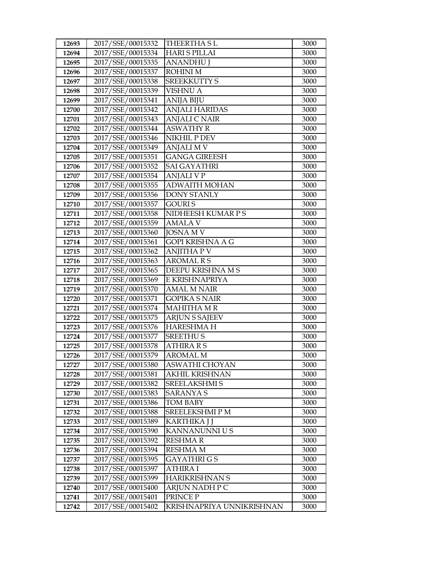| 12693 | 2017/SSE/00015332 | <b>THEERTHASL</b>         | 3000 |
|-------|-------------------|---------------------------|------|
| 12694 | 2017/SSE/00015334 | <b>HARIS PILLAI</b>       | 3000 |
| 12695 | 2017/SSE/00015335 | <b>ANANDHU J</b>          | 3000 |
| 12696 | 2017/SSE/00015337 | <b>ROHINIM</b>            | 3000 |
| 12697 | 2017/SSE/00015338 | <b>SREEKKUTTY S</b>       | 3000 |
| 12698 | 2017/SSE/00015339 | <b>VISHNU A</b>           | 3000 |
| 12699 | 2017/SSE/00015341 | <b>ANIJA BIJU</b>         | 3000 |
| 12700 | 2017/SSE/00015342 | <b>ANJALI HARIDAS</b>     | 3000 |
| 12701 | 2017/SSE/00015343 | <b>ANJALI C NAIR</b>      | 3000 |
| 12702 | 2017/SSE/00015344 | <b>ASWATHY R</b>          | 3000 |
| 12703 | 2017/SSE/00015346 | <b>NIKHIL P DEV</b>       | 3000 |
| 12704 | 2017/SSE/00015349 | <b>ANJALI M V</b>         | 3000 |
| 12705 | 2017/SSE/00015351 | <b>GANGA GIREESH</b>      | 3000 |
| 12706 | 2017/SSE/00015352 | <b>SAI GAYATHRI</b>       | 3000 |
| 12707 | 2017/SSE/00015354 | ANJALI V P                | 3000 |
| 12708 | 2017/SSE/00015355 | <b>ADWAITH MOHAN</b>      | 3000 |
| 12709 | 2017/SSE/00015356 | <b>DONY STANLY</b>        | 3000 |
| 12710 | 2017/SSE/00015357 | <b>GOURIS</b>             | 3000 |
| 12711 | 2017/SSE/00015358 | NIDHEESH KUMAR P S        | 3000 |
| 12712 | 2017/SSE/00015359 | <b>AMALA V</b>            | 3000 |
| 12713 | 2017/SSE/00015360 | <b>JOSNA M V</b>          | 3000 |
| 12714 | 2017/SSE/00015361 | GOPI KRISHNA A G          | 3000 |
| 12715 | 2017/SSE/00015362 | <b>ANJITHA P V</b>        | 3000 |
| 12716 | 2017/SSE/00015363 | <b>AROMAL R S</b>         | 3000 |
| 12717 | 2017/SSE/00015365 | DEEPU KRISHNA M S         | 3000 |
| 12718 | 2017/SSE/00015369 | E KRISHNAPRIYA            | 3000 |
| 12719 | 2017/SSE/00015370 | AMAL M NAIR               | 3000 |
| 12720 | 2017/SSE/00015371 | <b>GOPIKA S NAIR</b>      | 3000 |
| 12721 | 2017/SSE/00015374 | <b>MAHITHA MR</b>         | 3000 |
| 12722 | 2017/SSE/00015375 | <b>ARJUN S SAJEEV</b>     | 3000 |
| 12723 | 2017/SSE/00015376 | <b>HARESHMAH</b>          | 3000 |
| 12724 | 2017/SSE/00015377 | <b>SREETHUS</b>           | 3000 |
| 12725 | 2017/SSE/00015378 | <b>ATHIRA R S</b>         | 3000 |
| 12726 | 2017/SSE/00015379 | <b>AROMAL M</b>           | 3000 |
| 12727 | 2017/SSE/00015380 | ASWATHI CHOYAN            | 3000 |
| 12728 | 2017/SSE/00015381 | AKHIL KRISHNAN            | 3000 |
| 12729 | 2017/SSE/00015382 | <b>SREELAKSHMI S</b>      | 3000 |
| 12730 | 2017/SSE/00015383 | <b>SARANYAS</b>           | 3000 |
| 12731 | 2017/SSE/00015386 | <b>TOM BABY</b>           | 3000 |
| 12732 | 2017/SSE/00015388 | SREELEKSHMI P M           | 3000 |
| 12733 | 2017/SSE/00015389 | KARTHIKA J J              | 3000 |
| 12734 | 2017/SSE/00015390 | KANNANUNNI U S            | 3000 |
| 12735 | 2017/SSE/00015392 | <b>RESHMAR</b>            | 3000 |
| 12736 | 2017/SSE/00015394 | <b>RESHMA M</b>           | 3000 |
| 12737 | 2017/SSE/00015395 | GAYATHRI G S              | 3000 |
| 12738 | 2017/SSE/00015397 | <b>ATHIRA I</b>           | 3000 |
| 12739 | 2017/SSE/00015399 | <b>HARIKRISHNAN S</b>     | 3000 |
| 12740 | 2017/SSE/00015400 | ARJUN NADH P C            | 3000 |
| 12741 | 2017/SSE/00015401 | PRINCE P                  | 3000 |
| 12742 | 2017/SSE/00015402 | KRISHNAPRIYA UNNIKRISHNAN | 3000 |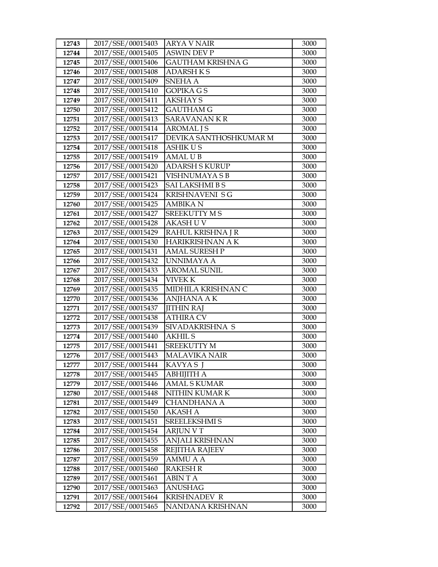| 12743 | 2017/SSE/00015403 | <b>ARYA V NAIR</b>       | 3000 |
|-------|-------------------|--------------------------|------|
| 12744 | 2017/SSE/00015405 | <b>ASWIN DEV P</b>       | 3000 |
| 12745 | 2017/SSE/00015406 | <b>GAUTHAM KRISHNA G</b> | 3000 |
| 12746 | 2017/SSE/00015408 | <b>ADARSHKS</b>          | 3000 |
| 12747 | 2017/SSE/00015409 | SNEHA A                  | 3000 |
| 12748 | 2017/SSE/00015410 | <b>GOPIKA GS</b>         | 3000 |
| 12749 | 2017/SSE/00015411 | <b>AKSHAY S</b>          | 3000 |
| 12750 | 2017/SSE/00015412 | <b>GAUTHAM G</b>         | 3000 |
| 12751 | 2017/SSE/00015413 | <b>SARAVANANKR</b>       | 3000 |
| 12752 | 2017/SSE/00015414 | <b>AROMAL JS</b>         | 3000 |
| 12753 | 2017/SSE/00015417 | DEVIKA SANTHOSHKUMAR M   | 3000 |
| 12754 | 2017/SSE/00015418 | <b>ASHIKUS</b>           | 3000 |
| 12755 | 2017/SSE/00015419 | <b>AMAL UB</b>           | 3000 |
| 12756 | 2017/SSE/00015420 | <b>ADARSH S KURUP</b>    | 3000 |
| 12757 | 2017/SSE/00015421 | VISHNUMAYA S B           | 3000 |
| 12758 | 2017/SSE/00015423 | <b>SAI LAKSHMI B S</b>   | 3000 |
| 12759 | 2017/SSE/00015424 | <b>KRISHNAVENI SG</b>    | 3000 |
| 12760 | 2017/SSE/00015425 | <b>AMBIKAN</b>           | 3000 |
| 12761 | 2017/SSE/00015427 | <b>SREEKUTTY MS</b>      | 3000 |
| 12762 | 2017/SSE/00015428 | <b>AKASHUV</b>           | 3000 |
| 12763 | 2017/SSE/00015429 | RAHUL KRISHNA J R        | 3000 |
| 12764 | 2017/SSE/00015430 | HARIKRISHNAN A K         | 3000 |
| 12765 | 2017/SSE/00015431 | <b>AMAL SURESH P</b>     | 3000 |
| 12766 | 2017/SSE/00015432 | <b>UNNIMAYA A</b>        | 3000 |
| 12767 | 2017/SSE/00015433 | <b>AROMAL SUNIL</b>      | 3000 |
| 12768 | 2017/SSE/00015434 | <b>VIVEK K</b>           | 3000 |
| 12769 | 2017/SSE/00015435 | MIDHILA KRISHNAN C       | 3000 |
| 12770 | 2017/SSE/00015436 | <b>ANJHANA AK</b>        | 3000 |
| 12771 | 2017/SSE/00015437 | <b>JITHIN RAJ</b>        | 3000 |
| 12772 | 2017/SSE/00015438 | <b>ATHIRA CV</b>         | 3000 |
| 12773 | 2017/SSE/00015439 | SIVADAKRISHNA S          | 3000 |
| 12774 | 2017/SSE/00015440 | <b>AKHIL S</b>           | 3000 |
| 12775 | 2017/SSE/00015441 | <b>SREEKUTTY M</b>       | 3000 |
| 12776 | 2017/SSE/00015443 | <b>MALAVIKA NAIR</b>     | 3000 |
| 12777 | 2017/SSE/00015444 | KAVYA SJ                 | 3000 |
| 12778 | 2017/SSE/00015445 | <b>ABHIJITH A</b>        | 3000 |
| 12779 | 2017/SSE/00015446 | <b>AMAL S KUMAR</b>      | 3000 |
| 12780 | 2017/SSE/00015448 | NITHIN KUMAR K           | 3000 |
| 12781 | 2017/SSE/00015449 | <b>CHANDHANA A</b>       | 3000 |
| 12782 | 2017/SSE/00015450 | AKASH A                  | 3000 |
| 12783 | 2017/SSE/00015451 | SREELEKSHMI S            | 3000 |
| 12784 | 2017/SSE/00015454 | <b>ARJUN V T</b>         | 3000 |
| 12785 | 2017/SSE/00015455 | <b>ANJALI KRISHNAN</b>   | 3000 |
| 12786 | 2017/SSE/00015458 | REJITHA RAJEEV           | 3000 |
| 12787 | 2017/SSE/00015459 | AMMU A A                 | 3000 |
| 12788 | 2017/SSE/00015460 | <b>RAKESH R</b>          | 3000 |
| 12789 | 2017/SSE/00015461 | <b>ABINTA</b>            | 3000 |
| 12790 | 2017/SSE/00015463 | <b>ANUSHAG</b>           | 3000 |
| 12791 | 2017/SSE/00015464 | KRISHNADEV R             | 3000 |
| 12792 | 2017/SSE/00015465 | NANDANA KRISHNAN         | 3000 |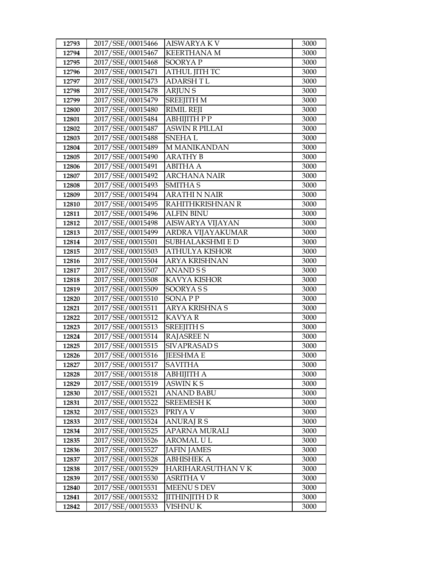| 12793          | 2017/SSE/00015466                      | <b>AISWARYAKV</b>                   | 3000         |
|----------------|----------------------------------------|-------------------------------------|--------------|
| 12794          | 2017/SSE/00015467                      | <b>KEERTHANA M</b>                  | 3000         |
| 12795          | 2017/SSE/00015468                      | SOORYAP                             | 3000         |
| 12796          | 2017/SSE/00015471                      | <b>ATHUL JITH TC</b>                | 3000         |
| 12797          | 2017/SSE/00015473                      | <b>ADARSHTL</b>                     | 3000         |
| 12798          | 2017/SSE/00015478                      | <b>ARJUNS</b>                       | 3000         |
| 12799          | 2017/SSE/00015479                      | <b>SREEJITH M</b>                   | 3000         |
| 12800          | 2017/SSE/00015480                      | <b>RIMIL REJI</b>                   | 3000         |
| 12801          | 2017/SSE/00015484                      | АВНІЈІТН Р Р                        | 3000         |
| 12802          | 2017/SSE/00015487                      | <b>ASWIN R PILLAI</b>               | 3000         |
| 12803          | 2017/SSE/00015488                      | <b>SNEHAL</b>                       | 3000         |
| 12804          | 2017/SSE/00015489                      | <b>M MANIKANDAN</b>                 | 3000         |
| 12805          | 2017/SSE/00015490                      | <b>ARATHY B</b>                     | 3000         |
| 12806          | 2017/SSE/00015491                      | <b>ABITHA A</b>                     | 3000         |
| 12807          | 2017/SSE/00015492                      | <b>ARCHANA NAIR</b>                 | 3000         |
| 12808          | 2017/SSE/00015493                      | <b>SMITHAS</b>                      | 3000         |
| 12809          | 2017/SSE/00015494                      | <b>ARATHI N NAIR</b>                | 3000         |
| 12810          | 2017/SSE/00015495                      | RAHITHKRISHNAN R                    | 3000         |
| 12811          | 2017/SSE/00015496                      | <b>ALFIN BINU</b>                   | 3000         |
| 12812          | 2017/SSE/00015498                      | AISWARYA VIJAYAN                    | 3000         |
| 12813          | 2017/SSE/00015499                      | ARDRA VIJAYAKUMAR                   | 3000         |
| 12814          | 2017/SSE/00015501                      | SUBHALAKSHMI E D                    | 3000         |
| 12815          | 2017/SSE/00015503                      | <b>ATHULYA KISHOR</b>               | 3000         |
| 12816          | 2017/SSE/00015504                      | <b>ARYA KRISHNAN</b>                | 3000         |
| 12817          | 2017/SSE/00015507                      | <b>ANANDSS</b>                      | 3000         |
| 12818          | 2017/SSE/00015508                      | <b>KAVYA KISHOR</b>                 | 3000         |
| 12819          | 2017/SSE/00015509                      | SOORYASS                            | 3000         |
| 12820          | 2017/SSE/00015510                      | <b>SONAPP</b>                       | 3000         |
| 12821          | 2017/SSE/00015511                      | <b>ARYA KRISHNA S</b>               | 3000         |
| 12822          | 2017/SSE/00015512                      | <b>KAVYAR</b>                       | 3000         |
| 12823          | 2017/SSE/00015513                      | <b>SREEJITH S</b>                   | 3000         |
| 12824          | 2017/SSE/00015514                      | <b>RAJASREE N</b>                   | 3000         |
| 12825          | 2017/SSE/00015515                      | <b>SIVAPRASAD S</b>                 | 3000         |
| 12826          | 2017/SSE/00015516                      | <b>JEESHMA E</b>                    | 3000         |
| 12827          | 2017/SSE/00015517<br>2017/SSE/00015518 | <b>SAVITHA</b>                      | 3000         |
| 12828<br>12829 |                                        | <b>ABHIJITH A</b><br><b>ASWINKS</b> | 3000         |
| 12830          | 2017/SSE/00015519<br>2017/SSE/00015521 | <b>ANAND BABU</b>                   | 3000<br>3000 |
| 12831          | 2017/SSE/00015522                      | <b>SREEMESH K</b>                   | 3000         |
| 12832          | 2017/SSE/00015523                      | PRIYA V                             | 3000         |
| 12833          | 2017/SSE/00015524                      | <b>ANURAJ R S</b>                   | 3000         |
| 12834          | 2017/SSE/00015525                      | APARNA MURALI                       | 3000         |
| 12835          | 2017/SSE/00015526                      | AROMAL U L                          | 3000         |
| 12836          | 2017/SSE/00015527                      | <b>JAFIN JAMES</b>                  | 3000         |
| 12837          | 2017/SSE/00015528                      | <b>ABHISHEK A</b>                   | 3000         |
| 12838          | 2017/SSE/00015529                      | HARIHARASUTHAN V K                  | 3000         |
| 12839          | 2017/SSE/00015530                      | ASRITHA V                           | 3000         |
| 12840          | 2017/SSE/00015531                      | <b>MEENUS DEV</b>                   | 3000         |
| 12841          | 2017/SSE/00015532                      | <b>JITHINJITH D R</b>               | 3000         |
| 12842          | 2017/SSE/00015533                      | <b>VISHNU K</b>                     | 3000         |
|                |                                        |                                     |              |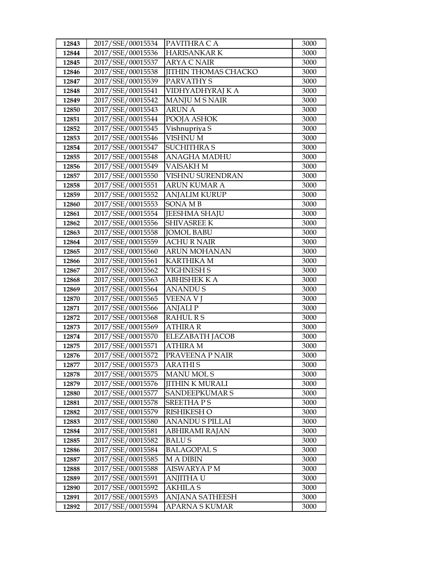| 12843          | 2017/SSE/00015534                      | PAVITHRA C A                               | 3000         |
|----------------|----------------------------------------|--------------------------------------------|--------------|
| 12844          | 2017/SSE/00015536                      | <b>HARISANKAR K</b>                        | 3000         |
| 12845          | 2017/SSE/00015537                      | <b>ARYA C NAIR</b>                         | 3000         |
| 12846          | 2017/SSE/00015538                      | <b>JITHIN THOMAS CHACKO</b>                | 3000         |
| 12847          | 2017/SSE/00015539                      | PARVATHY S                                 | 3000         |
| 12848          | 2017/SSE/00015541                      | VIDHYADHYRAJ K A                           | 3000         |
| 12849          | 2017/SSE/00015542                      | <b>MANJU M S NAIR</b>                      | 3000         |
| 12850          | 2017/SSE/00015543                      | <b>ARUN A</b>                              | 3000         |
| 12851          | 2017/SSE/00015544                      | POOJA ASHOK                                | 3000         |
| 12852          | 2017/SSE/00015545                      | Vishnupriya S                              | 3000         |
| 12853          | 2017/SSE/00015546                      | VISHNU M                                   | 3000         |
| 12854          | 2017/SSE/00015547                      | <b>SUCHITHRA S</b>                         | 3000         |
| 12855          | 2017/SSE/00015548                      | ANAGHA MADHU                               | 3000         |
| 12856          | 2017/SSE/00015549                      | VAISAKH M                                  | 3000         |
| 12857          | 2017/SSE/00015550                      | VISHNU SURENDRAN                           | 3000         |
| 12858          | 2017/SSE/00015551                      | <b>ARUN KUMAR A</b>                        | 3000         |
| 12859          | 2017/SSE/00015552                      | <b>ANJALIM KURUP</b>                       | 3000         |
| 12860          | 2017/SSE/00015553                      | SONA MB                                    | 3000         |
| 12861          | 2017/SSE/00015554                      | <b>JEESHMA SHAJU</b>                       | 3000         |
| 12862          | 2017/SSE/00015556                      | <b>SHIVASREE K</b>                         | 3000         |
| 12863          | 2017/SSE/00015558                      | <b>JOMOL BABU</b>                          | 3000         |
| 12864          | 2017/SSE/00015559                      | <b>ACHU R NAIR</b>                         | 3000         |
| 12865          | 2017/SSE/00015560                      | <b>ARUN MOHANAN</b>                        | 3000         |
| 12866          | 2017/SSE/00015561                      | <b>KARTHIKA M</b>                          | 3000         |
| 12867          | 2017/SSE/00015562                      | VIGHNESH S                                 | 3000         |
| 12868          | 2017/SSE/00015563                      | ABHISHEK K A                               | 3000         |
| 12869          | 2017/SSE/00015564                      | <b>ANANDUS</b>                             | 3000         |
| 12870          | 2017/SSE/00015565                      | <b>VEENA VI</b>                            | 3000         |
| 12871          | 2017/SSE/00015566                      | <b>ANJALIP</b>                             | 3000         |
| 12872          | 2017/SSE/00015568                      | <b>RAHUL R S</b>                           | 3000         |
| 12873          | 2017/SSE/00015569                      | <b>ATHIRA R</b>                            | 3000         |
| 12874          | 2017/SSE/00015570                      | ELEZABATH JACOB                            | 3000         |
| 12875          | 2017/SSE/00015571                      | <b>ATHIRA M</b>                            | 3000         |
| 12876          | 2017/SSE/00015572                      | PRAVEENA P NAIR                            | 3000         |
| 12877          | 2017/SSE/00015573<br>2017/SSE/00015575 | <b>ARATHI S</b>                            | 3000         |
| 12878          | 2017/SSE/00015576                      | <b>MANU MOLS</b><br><b>JITHIN K MURALI</b> | 3000         |
| 12879<br>12880 | 2017/SSE/00015577                      | SANDEEPKUMAR S                             | 3000<br>3000 |
| 12881          | 2017/SSE/00015578                      | <b>SREETHAPS</b>                           | 3000         |
| 12882          | 2017/SSE/00015579                      | RISHIKESH O                                | 3000         |
| 12883          | 2017/SSE/00015580                      | <b>ANANDU S PILLAI</b>                     | 3000         |
| 12884          | 2017/SSE/00015581                      | <b>ABHIRAMI RAJAN</b>                      | 3000         |
| 12885          | 2017/SSE/00015582                      | <b>BALUS</b>                               | 3000         |
| 12886          | 2017/SSE/00015584                      | <b>BALAGOPAL S</b>                         | 3000         |
| 12887          | 2017/SSE/00015585                      | <b>MADIBIN</b>                             | 3000         |
| 12888          | 2017/SSE/00015588                      | AISWARYA P M                               | 3000         |
| 12889          | 2017/SSE/00015591                      | ANJITHA U                                  | 3000         |
| 12890          | 2017/SSE/00015592                      | <b>AKHILA S</b>                            | 3000         |
| 12891          | 2017/SSE/00015593                      | <b>ANJANA SATHEESH</b>                     | 3000         |
| 12892          | 2017/SSE/00015594                      | APARNA S KUMAR                             | 3000         |
|                |                                        |                                            |              |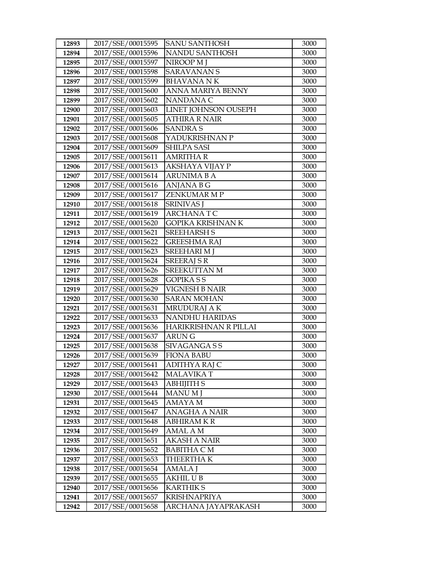| 12893 | 2017/SSE/00015595 | <b>SANU SANTHOSH</b>     | 3000 |
|-------|-------------------|--------------------------|------|
| 12894 | 2017/SSE/00015596 | NANDU SANTHOSH           | 3000 |
| 12895 | 2017/SSE/00015597 | NIROOP M J               | 3000 |
| 12896 | 2017/SSE/00015598 | <b>SARAVANANS</b>        | 3000 |
| 12897 | 2017/SSE/00015599 | <b>BHAVANA NK</b>        | 3000 |
| 12898 | 2017/SSE/00015600 | ANNA MARIYA BENNY        | 3000 |
| 12899 | 2017/SSE/00015602 | NANDANA C                | 3000 |
| 12900 | 2017/SSE/00015603 | LINET JOHNSON OUSEPH     | 3000 |
| 12901 | 2017/SSE/00015605 | <b>ATHIRA R NAIR</b>     | 3000 |
| 12902 | 2017/SSE/00015606 | <b>SANDRAS</b>           | 3000 |
| 12903 | 2017/SSE/00015608 | YADUKRISHNAN P           | 3000 |
| 12904 | 2017/SSE/00015609 | SHILPA SASI              | 3000 |
| 12905 | 2017/SSE/00015611 | <b>AMRITHA R</b>         | 3000 |
| 12906 | 2017/SSE/00015613 | AKSHAYA VIJAY P          | 3000 |
| 12907 | 2017/SSE/00015614 | <b>ARUNIMA B A</b>       | 3000 |
| 12908 | 2017/SSE/00015616 | ANJANA B G               | 3000 |
| 12909 | 2017/SSE/00015617 | <b>ZENKUMAR M P</b>      | 3000 |
| 12910 | 2017/SSE/00015618 | <b>SRINIVAS</b> J        | 3000 |
| 12911 | 2017/SSE/00015619 | ARCHANATC                | 3000 |
| 12912 | 2017/SSE/00015620 | <b>GOPIKA KRISHNAN K</b> | 3000 |
| 12913 | 2017/SSE/00015621 | <b>SREEHARSH S</b>       | 3000 |
| 12914 | 2017/SSE/00015622 | <b>GREESHMA RAJ</b>      | 3000 |
| 12915 | 2017/SSE/00015623 | <b>SREEHARI M J</b>      | 3000 |
| 12916 | 2017/SSE/00015624 | <b>SREERAJ S R</b>       | 3000 |
| 12917 | 2017/SSE/00015626 | SREEKUTTAN M             | 3000 |
| 12918 | 2017/SSE/00015628 | <b>GOPIKA S S</b>        | 3000 |
| 12919 | 2017/SSE/00015629 | VIGNESH B NAIR           | 3000 |
| 12920 | 2017/SSE/00015630 | <b>SARAN MOHAN</b>       | 3000 |
| 12921 | 2017/SSE/00015631 | MRUDURAJ A K             | 3000 |
| 12922 | 2017/SSE/00015633 | NANDHU HARIDAS           | 3000 |
| 12923 | 2017/SSE/00015636 | HARIKRISHNAN R PILLAI    | 3000 |
| 12924 | 2017/SSE/00015637 | ARUN G                   | 3000 |
| 12925 | 2017/SSE/00015638 | SIVAGANGA S S            | 3000 |
| 12926 | 2017/SSE/00015639 | <b>FIONA BABU</b>        | 3000 |
| 12927 | 2017/SSE/00015641 | ADITHYA RAJ C            | 3000 |
| 12928 | 2017/SSE/00015642 | <b>MALAVIKAT</b>         | 3000 |
| 12929 | 2017/SSE/00015643 | <b>ABHIJITH S</b>        | 3000 |
| 12930 | 2017/SSE/00015644 | MANU M J                 | 3000 |
| 12931 | 2017/SSE/00015645 | AMAYA M                  | 3000 |
| 12932 | 2017/SSE/00015647 | ANAGHA A NAIR            | 3000 |
| 12933 | 2017/SSE/00015648 | ABHIRAM K R              | 3000 |
| 12934 | 2017/SSE/00015649 | AMAL A M                 | 3000 |
| 12935 | 2017/SSE/00015651 | AKASH A NAIR             | 3000 |
| 12936 | 2017/SSE/00015652 | <b>BABITHA C M</b>       | 3000 |
| 12937 | 2017/SSE/00015653 | THEERTHA K               | 3000 |
| 12938 |                   |                          |      |
|       | 2017/SSE/00015654 | AMALA J                  | 3000 |
| 12939 | 2017/SSE/00015655 | <b>AKHIL UB</b>          | 3000 |
| 12940 | 2017/SSE/00015656 | <b>KARTHIK S</b>         | 3000 |
| 12941 | 2017/SSE/00015657 | <b>KRISHNAPRIYA</b>      | 3000 |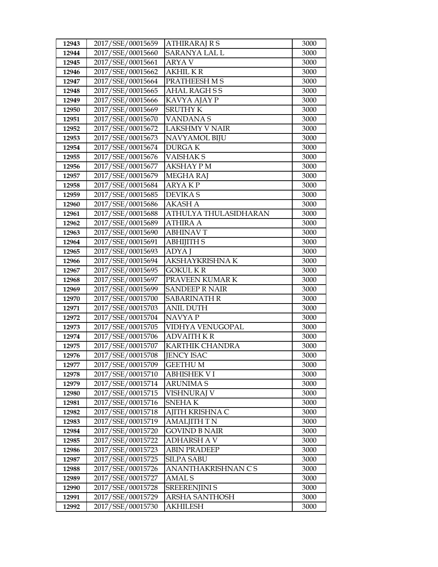| 12943 | 2017/SSE/00015659 | <b>ATHIRARAJ R S</b>   | 3000 |
|-------|-------------------|------------------------|------|
| 12944 | 2017/SSE/00015660 | <b>SARANYA LAL L</b>   | 3000 |
| 12945 | 2017/SSE/00015661 | <b>ARYAV</b>           | 3000 |
| 12946 | 2017/SSE/00015662 | <b>AKHILKR</b>         | 3000 |
| 12947 | 2017/SSE/00015664 | PRATHEESH M S          | 3000 |
| 12948 | 2017/SSE/00015665 | <b>AHAL RAGHSS</b>     | 3000 |
| 12949 | 2017/SSE/00015666 | KAVYA AJAY P           | 3000 |
| 12950 | 2017/SSE/00015669 | <b>SRUTHY K</b>        | 3000 |
| 12951 | 2017/SSE/00015670 | <b>VANDANAS</b>        | 3000 |
| 12952 | 2017/SSE/00015672 | <b>LAKSHMY V NAIR</b>  | 3000 |
| 12953 | 2017/SSE/00015673 | NAVYAMOL BIJU          | 3000 |
| 12954 | 2017/SSE/00015674 | <b>DURGAK</b>          | 3000 |
| 12955 | 2017/SSE/00015676 | <b>VAISHAKS</b>        | 3000 |
| 12956 | 2017/SSE/00015677 | <b>AKSHAY PM</b>       | 3000 |
| 12957 | 2017/SSE/00015679 | MEGHA RAJ              | 3000 |
| 12958 | 2017/SSE/00015684 | <b>ARYAKP</b>          | 3000 |
| 12959 | 2017/SSE/00015685 | <b>DEVIKAS</b>         | 3000 |
| 12960 | 2017/SSE/00015686 | <b>AKASH A</b>         | 3000 |
| 12961 | 2017/SSE/00015688 | ATHULYA THULASIDHARAN  | 3000 |
| 12962 | 2017/SSE/00015689 | <b>ATHIRA A</b>        | 3000 |
| 12963 | 2017/SSE/00015690 | <b>ABHINAVT</b>        | 3000 |
| 12964 | 2017/SSE/00015691 | <b>ABHIJITH S</b>      | 3000 |
| 12965 | 2017/SSE/00015693 | ADYA J                 | 3000 |
| 12966 | 2017/SSE/00015694 | AKSHAYKRISHNA K        | 3000 |
| 12967 | 2017/SSE/00015695 | <b>GOKUL K R</b>       | 3000 |
| 12968 | 2017/SSE/00015697 | PRAVEEN KUMAR K        | 3000 |
| 12969 | 2017/SSE/00015699 | <b>SANDEEP R NAIR</b>  | 3000 |
| 12970 | 2017/SSE/00015700 | <b>SABARINATH R</b>    | 3000 |
| 12971 | 2017/SSE/00015703 | <b>ANIL DUTH</b>       | 3000 |
| 12972 | 2017/SSE/00015704 | NAVYA P                | 3000 |
| 12973 | 2017/SSE/00015705 | VIDHYA VENUGOPAL       | 3000 |
| 12974 | 2017/SSE/00015706 | <b>ADVAITH K R</b>     | 3000 |
| 12975 | 2017/SSE/00015707 | <b>KARTHIK CHANDRA</b> | 3000 |
| 12976 | 2017/SSE/00015708 | <b>JENCY ISAC</b>      | 3000 |
| 12977 | 2017/SSE/00015709 | <b>GEETHUM</b>         | 3000 |
| 12978 | 2017/SSE/00015710 | <b>ABHISHEK VI</b>     | 3000 |
| 12979 | 2017/SSE/00015714 | <b>ARUNIMAS</b>        | 3000 |
| 12980 | 2017/SSE/00015715 | <b>VISHNURAJ V</b>     | 3000 |
| 12981 | 2017/SSE/00015716 | <b>SNEHAK</b>          | 3000 |
| 12982 | 2017/SSE/00015718 | AJITH KRISHNA C        | 3000 |
| 12983 | 2017/SSE/00015719 | <b>AMALJITH T N</b>    | 3000 |
| 12984 | 2017/SSE/00015720 | <b>GOVIND B NAIR</b>   | 3000 |
| 12985 | 2017/SSE/00015722 | <b>ADHARSH A V</b>     | 3000 |
| 12986 | 2017/SSE/00015723 | <b>ABIN PRADEEP</b>    | 3000 |
| 12987 | 2017/SSE/00015725 | <b>SILPA SABU</b>      | 3000 |
| 12988 | 2017/SSE/00015726 | ANANTHAKRISHNAN CS     | 3000 |
| 12989 | 2017/SSE/00015727 | AMAL S                 | 3000 |
| 12990 | 2017/SSE/00015728 | <b>SREERENJINI S</b>   | 3000 |
| 12991 | 2017/SSE/00015729 | <b>ARSHA SANTHOSH</b>  | 3000 |
| 12992 | 2017/SSE/00015730 | AKHILESH               | 3000 |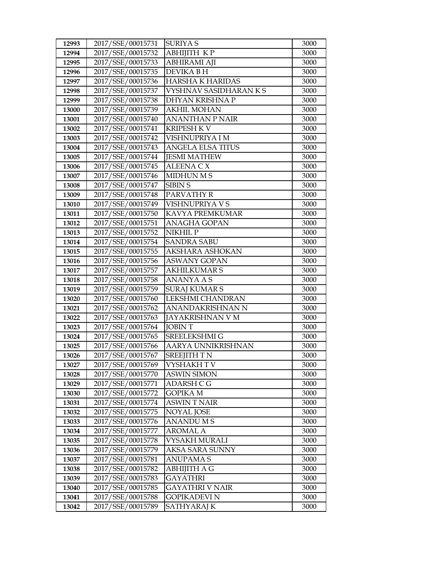| 2017/SSE/00015732<br>АВНІЈІТН КР<br>12994                             |              |
|-----------------------------------------------------------------------|--------------|
|                                                                       | 3000         |
| 2017/SSE/00015733<br><b>ABHIRAMI AJI</b><br>12995                     | 3000         |
| 2017/SSE/00015735<br><b>DEVIKA BH</b><br>12996                        | 3000         |
| 2017/SSE/00015736<br><b>HARSHA K HARIDAS</b><br>12997                 | 3000         |
| 12998<br>2017/SSE/00015737<br>VYSHNAV SASIDHARAN K S                  | 3000         |
| 2017/SSE/00015738<br>12999<br>DHYAN KRISHNA P                         | 3000         |
| 13000<br>2017/SSE/00015739<br><b>AKHIL MOHAN</b>                      | 3000         |
| 2017/SSE/00015740<br><b>ANANTHAN P NAIR</b><br>13001                  | 3000         |
| 2017/SSE/00015741<br><b>KRIPESH KV</b><br>13002                       | 3000         |
| 2017/SSE/00015742<br>13003<br>VISHNUPRIYA I M                         | 3000         |
| 2017/SSE/00015743<br><b>ANGELA ELSA TITUS</b><br>13004                | 3000         |
| <b>JESMI MATHEW</b><br>13005<br>2017/SSE/00015744                     | 3000         |
| 2017/SSE/00015745<br><b>ALEENA C X</b><br>13006                       | 3000         |
| 2017/SSE/00015746<br>MIDHUN M S<br>13007                              | 3000         |
| 2017/SSE/00015747<br>13008<br><b>SIBIN S</b>                          | 3000         |
| 2017/SSE/00015748<br>PARVATHY R<br>13009                              | 3000         |
| VISHNUPRIYA V S<br>13010<br>2017/SSE/00015749                         | 3000         |
| 2017/SSE/00015750<br>KAVYA PREMKUMAR<br>13011                         | 3000         |
| 2017/SSE/00015751<br><b>ANAGHA GOPAN</b><br>13012                     | 3000         |
| 2017/SSE/00015752<br>13013<br>NIKHIL P                                | 3000         |
| 2017/SSE/00015754<br><b>SANDRA SABU</b><br>13014                      | 3000         |
| 13015<br>2017/SSE/00015755<br>AKSHARA ASHOKAN                         | 3000         |
| 2017/SSE/00015756<br>13016<br><b>ASWANY GOPAN</b>                     | 3000         |
| 2017/SSE/00015757<br><b>AKHILKUMAR S</b><br>13017                     | 3000         |
| 2017/SSE/00015758<br>ANANYA A S<br>13018                              | 3000         |
| 2017/SSE/00015759<br><b>SURAJ KUMAR S</b><br>13019                    | 3000         |
| LEKSHMI CHANDRAN<br>13020<br>2017/SSE/00015760                        | 3000         |
| 2017/SSE/00015762<br>ANANDAKRISHNAN N<br>13021                        | 3000         |
| 2017/SSE/00015763<br>JAYAKRISHNAN V M<br>13022                        | 3000         |
| 2017/SSE/00015764<br>13023<br><b>JOBINT</b>                           | 3000         |
| 2017/SSE/00015765<br>SREELEKSHMI G<br>13024                           | 3000         |
| 13025<br>2017/SSE/00015766<br>AARYA UNNIKRISHNAN                      | 3000         |
| 2017/SSE/00015767<br><b>SREEJITH T N</b><br>13026<br>VYSHAKH T V      | 3000         |
| 2017/SSE/00015769<br>13027<br>2017/SSE/00015770<br><b>ASWIN SIMON</b> | 3000         |
| 13028<br>2017/SSE/00015771<br>13029<br>ADARSH C G                     | 3000<br>3000 |
| 13030<br>2017/SSE/00015772<br>GOPIKA M                                | 3000         |
| 2017/SSE/00015774<br>13031<br><b>ASWINT NAIR</b>                      | 3000         |
| 2017/SSE/00015775<br><b>NOYAL JOSE</b><br>13032                       | 3000         |
| 13033<br>2017/SSE/00015776<br><b>ANANDUMS</b>                         | 3000         |
| 13034<br>2017/SSE/00015777<br>AROMAL A                                | 3000         |
| 13035<br>2017/SSE/00015778<br>VYSAKH MURALI                           | 3000         |
| 2017/SSE/00015779<br>AKSA SARA SUNNY<br>13036                         | 3000         |
| 2017/SSE/00015781<br>ANUPAMA S<br>13037                               | 3000         |
| 2017/SSE/00015782<br>13038<br>ABHIJITH A G                            | 3000         |
| 2017/SSE/00015783<br>13039<br>GAYATHRI                                | 3000         |
| 13040<br>2017/SSE/00015785<br>GAYATHRI V NAIR                         | 3000         |
| 2017/SSE/00015788<br>13041<br>GOPIKADEVI N                            | 3000         |
| 2017/SSE/00015789<br>13042<br>SATHYARAJ K                             | 3000         |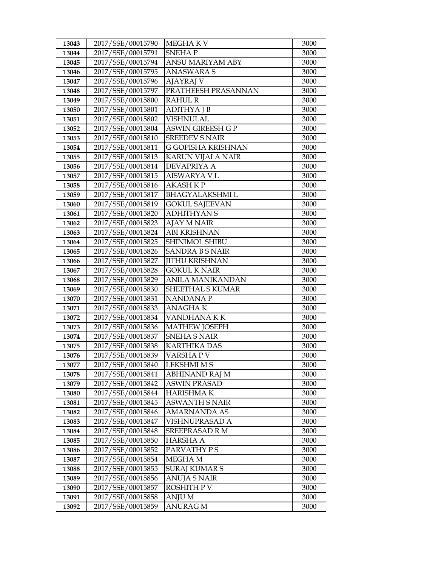| 13043          | 2017/SSE/00015790                      | <b>MEGHAKV</b>                               | 3000         |
|----------------|----------------------------------------|----------------------------------------------|--------------|
| 13044          | 2017/SSE/00015791                      | <b>SNEHAP</b>                                | 3000         |
| 13045          | 2017/SSE/00015794                      | ANSU MARIYAM ABY                             | 3000         |
| 13046          | 2017/SSE/00015795                      | <b>ANASWARA S</b>                            | 3000         |
| 13047          | 2017/SSE/00015796                      | AJAYRAJ V                                    | 3000         |
| 13048          | 2017/SSE/00015797                      | PRATHEESH PRASANNAN                          | 3000         |
| 13049          | 2017/SSE/00015800                      | <b>RAHUL R</b>                               | 3000         |
| 13050          | 2017/SSE/00015801                      | <b>ADITHYAJB</b>                             | 3000         |
| 13051          | 2017/SSE/00015802                      | <b>VISHNULAL</b>                             | 3000         |
| 13052          | 2017/SSE/00015804                      | <b>ASWIN GIREESH G P</b>                     | 3000         |
| 13053          | 2017/SSE/00015810                      | <b>SREEDEV S NAIR</b>                        | 3000         |
| 13054          | 2017/SSE/00015811                      | G GOPISHA KRISHNAN                           | 3000         |
| 13055          | 2017/SSE/00015813                      | <b>KARUN VIJAI A NAIR</b>                    | 3000         |
| 13056          | 2017/SSE/00015814                      | <b>DEVAPRIYA A</b>                           | 3000         |
| 13057          | 2017/SSE/00015815                      | <b>AISWARYA VL</b>                           | 3000         |
| 13058          | 2017/SSE/00015816                      | <b>AKASH K P</b>                             | 3000         |
| 13059          | 2017/SSE/00015817                      | <b>BHAGYALAKSHMIL</b>                        | 3000         |
| 13060          | 2017/SSE/00015819                      | <b>GOKUL SAJEEVAN</b>                        | 3000         |
| 13061          | 2017/SSE/00015820                      | <b>ADHITHYAN S</b>                           | 3000         |
| 13062          | 2017/SSE/00015823                      | <b>AJAY M NAIR</b>                           | 3000         |
| 13063          | 2017/SSE/00015824                      | <b>ABI KRISHNAN</b>                          | 3000         |
| 13064          | 2017/SSE/00015825                      | SHINIMOL SHIBU                               | 3000         |
| 13065          | 2017/SSE/00015826                      | <b>SANDRA B S NAIR</b>                       | 3000         |
| 13066          | 2017/SSE/00015827                      | <b>JITHU KRISHNAN</b>                        | 3000         |
| 13067          | 2017/SSE/00015828                      | <b>GOKUL K NAIR</b>                          | 3000         |
| 13068          | 2017/SSE/00015829                      | <b>ANILA MANIKANDAN</b>                      | 3000         |
| 13069          | 2017/SSE/00015830                      | SHEETHAL S KUMAR                             | 3000         |
| 13070          | 2017/SSE/00015831                      | <b>NANDANAP</b>                              | 3000         |
| 13071          | 2017/SSE/00015833                      | <b>ANAGHAK</b>                               | 3000         |
| 13072          | 2017/SSE/00015834                      | VANDHANA KK                                  | 3000         |
| 13073          | 2017/SSE/00015836                      | <b>MATHEW JOSEPH</b>                         | 3000         |
| 13074          | 2017/SSE/00015837                      | <b>SNEHA S NAIR</b>                          | 3000         |
| 13075          | 2017/SSE/00015838                      | <b>KARTHIKA DAS</b>                          | 3000         |
| 13076          | 2017/SSE/00015839                      | VARSHAPV                                     | 3000         |
| 13077          | 2017/SSE/00015840                      | <b>LEKSHMI M S</b>                           | 3000         |
| 13078          | 2017/SSE/00015841                      | ABHINAND RAJ M                               | 3000         |
| 13079          | 2017/SSE/00015842                      | <b>ASWIN PRASAD</b>                          | 3000         |
| 13080          | 2017/SSE/00015844                      | <b>HARISHMAK</b>                             | 3000         |
| 13081          | 2017/SSE/00015845<br>2017/SSE/00015846 | <b>ASWANTH S NAIR</b><br><b>AMARNANDA AS</b> | 3000<br>3000 |
| 13082          | 2017/SSE/00015847                      |                                              |              |
| 13083<br>13084 | 2017/SSE/00015848                      | VISHNUPRASAD A<br>SREEPRASAD R M             | 3000<br>3000 |
| 13085          | 2017/SSE/00015850                      | <b>HARSHA A</b>                              | 3000         |
| 13086          | 2017/SSE/00015852                      | PARVATHY PS                                  | 3000         |
| 13087          | 2017/SSE/00015854                      | MEGHA M                                      | 3000         |
| 13088          | 2017/SSE/00015855                      | <b>SURAJ KUMAR S</b>                         | 3000         |
| 13089          | 2017/SSE/00015856                      | ANUJA S NAIR                                 | 3000         |
| 13090          | 2017/SSE/00015857                      | ROSHITH P V                                  | 3000         |
| 13091          | 2017/SSE/00015858                      | ANJU M                                       | 3000         |
| 13092          | 2017/SSE/00015859                      | <b>ANURAG M</b>                              | 3000         |
|                |                                        |                                              |              |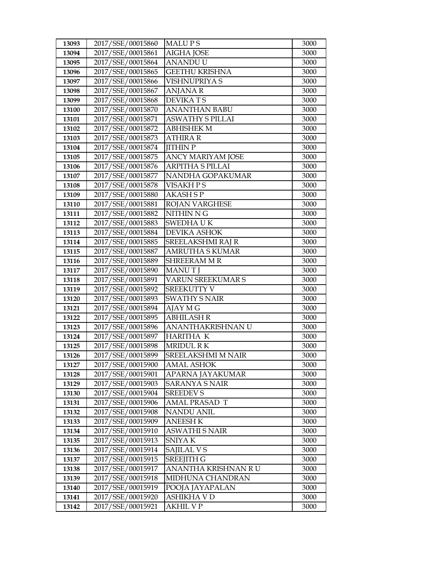| 13093          | 2017/SSE/00015860                      | <b>MALUPS</b>                             | 3000         |
|----------------|----------------------------------------|-------------------------------------------|--------------|
| 13094          | 2017/SSE/00015861                      | <b>AIGHA JOSE</b>                         | 3000         |
| 13095          | 2017/SSE/00015864                      | <b>ANANDUU</b>                            | 3000         |
| 13096          | 2017/SSE/00015865                      | <b>GEETHU KRISHNA</b>                     | 3000         |
| 13097          | 2017/SSE/00015866                      | <b>VISHNUPRIYA S</b>                      | 3000         |
| 13098          | 2017/SSE/00015867                      | <b>ANJANAR</b>                            | 3000         |
| 13099          | 2017/SSE/00015868                      | <b>DEVIKATS</b>                           | 3000         |
| 13100          | 2017/SSE/00015870                      | <b>ANANTHAN BABU</b>                      | 3000         |
| 13101          | 2017/SSE/00015871                      | <b>ASWATHY S PILLAI</b>                   | 3000         |
| 13102          | 2017/SSE/00015872                      | <b>ABHISHEK M</b>                         | 3000         |
| 13103          | 2017/SSE/00015873                      | <b>ATHIRA R</b>                           | 3000         |
| 13104          | 2017/SSE/00015874                      | <b>JITHIN P</b>                           | 3000         |
| 13105          | 2017/SSE/00015875                      | <b>ANCY MARIYAM JOSE</b>                  | 3000         |
| 13106          | 2017/SSE/00015876                      | ARPITHA S PILLAI                          | 3000         |
| 13107          | 2017/SSE/00015877                      | NANDHA GOPAKUMAR                          | 3000         |
| 13108          | 2017/SSE/00015878                      | VISAKH P S                                | 3000         |
| 13109          | 2017/SSE/00015880                      | <b>AKASH S P</b>                          | 3000         |
| 13110          | 2017/SSE/00015881                      | <b>ROJAN VARGHESE</b>                     | 3000         |
| 13111          | 2017/SSE/00015882                      | NITHIN N G                                | 3000         |
| 13112          | 2017/SSE/00015883                      | <b>SWEDHAUK</b>                           | 3000         |
| 13113          | 2017/SSE/00015884                      | <b>DEVIKA ASHOK</b>                       | 3000         |
| 13114          | 2017/SSE/00015885                      | SREELAKSHMI RAJ R                         | 3000         |
| 13115          | 2017/SSE/00015887                      | <b>AMRUTHA S KUMAR</b>                    | 3000         |
| 13116          | 2017/SSE/00015889                      | <b>SHREERAMMR</b>                         | 3000         |
| 13117          | 2017/SSE/00015890                      | <b>MANUTI</b>                             | 3000         |
| 13118          | 2017/SSE/00015891                      | <b>VARUN SREEKUMAR S</b>                  | 3000         |
| 13119          | 2017/SSE/00015892                      | <b>SREEKUTTY V</b>                        | 3000         |
| 13120          | 2017/SSE/00015893                      | <b>SWATHY S NAIR</b>                      | 3000         |
| 13121          | 2017/SSE/00015894                      | AJAY M G                                  | 3000         |
| 13122          | 2017/SSE/00015895                      | <b>ABHILASH R</b>                         | 3000         |
| 13123          | 2017/SSE/00015896                      | ANANTHAKRISHNAN U                         | 3000         |
| 13124          | 2017/SSE/00015897                      | <b>HARITHA K</b>                          | 3000         |
| 13125          | 2017/SSE/00015898                      | <b>MRIDUL RK</b>                          | 3000         |
| 13126          | 2017/SSE/00015899                      | SREELAKSHMI M NAIR                        | 3000         |
| 13127          | 2017/SSE/00015900                      | <b>AMAL ASHOK</b>                         | 3000         |
| 13128          | 2017/SSE/00015901                      | APARNA JAYAKUMAR                          | 3000         |
| 13129<br>13130 | 2017/SSE/00015903<br>2017/SSE/00015904 | <b>SARANYA S NAIR</b><br><b>SREEDEV S</b> | 3000<br>3000 |
| 13131          | 2017/SSE/00015906                      | <b>AMAL PRASAD T</b>                      | 3000         |
| 13132          | 2017/SSE/00015908                      | <b>NANDU ANIL</b>                         | 3000         |
| 13133          | 2017/SSE/00015909                      | <b>ANEESH K</b>                           | 3000         |
| 13134          | 2017/SSE/00015910                      | <b>ASWATHI S NAIR</b>                     | 3000         |
| 13135          | 2017/SSE/00015913                      | SNIYA K                                   | 3000         |
| 13136          | 2017/SSE/00015914                      | SAJILAL V S                               | 3000         |
| 13137          | 2017/SSE/00015915                      | <b>SREEJITH G</b>                         | 3000         |
| 13138          | 2017/SSE/00015917                      | ANANTHA KRISHNAN RU                       | 3000         |
| 13139          | 2017/SSE/00015918                      | MIDHUNA CHANDRAN                          | 3000         |
| 13140          | 2017/SSE/00015919                      | POOJA JAYAPALAN                           | 3000         |
| 13141          | 2017/SSE/00015920                      | ASHIKHA V D                               | 3000         |
| 13142          | 2017/SSE/00015921                      | AKHIL V P                                 | 3000         |
|                |                                        |                                           |              |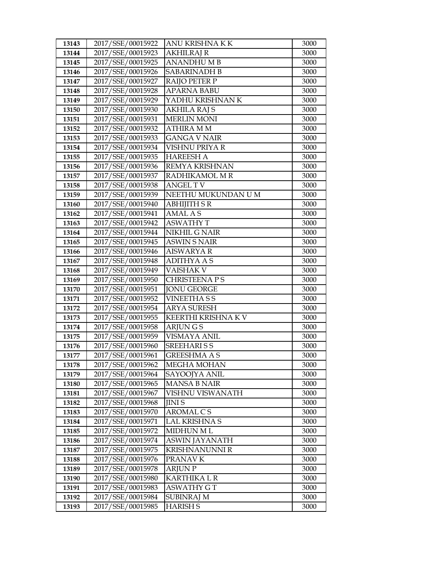| 2017/SSE/00015923<br>13144<br><b>AKHILRAJ R</b><br>3000<br>2017/SSE/00015925<br>13145<br><b>ANANDHUMB</b><br>3000<br>2017/SSE/00015926<br><b>SABARINADH B</b><br>13146<br>3000<br>2017/SSE/00015927<br><b>RAIJO PETER P</b><br>3000<br>13147<br>2017/SSE/00015928<br><b>APARNA BABU</b><br>3000<br>13148<br>2017/SSE/00015929<br>YADHU KRISHNAN K<br>13149<br>3000<br>2017/SSE/00015930<br>13150<br><b>AKHILA RAJ S</b><br>3000<br>2017/SSE/00015931<br><b>MERLIN MONI</b><br>3000<br>13151<br>2017/SSE/00015932<br><b>ATHIRA MM</b><br>3000<br>13152<br>2017/SSE/00015933<br><b>GANGA V NAIR</b><br>3000<br>13153<br>2017/SSE/00015934<br>VISHNU PRIYA R<br>13154<br>3000<br>2017/SSE/00015935<br><b>HAREESH A</b><br>13155<br>3000<br>2017/SSE/00015936<br>REMYA KRISHNAN<br>13156<br>3000<br>2017/SSE/00015937<br>RADHIKAMOL M R<br>3000<br>13157<br>2017/SSE/00015938<br><b>ANGEL TV</b><br>13158<br>3000<br>NEETHU MUKUNDAN U M<br>2017/SSE/00015939<br>13159<br>3000<br>2017/SSE/00015940<br><b>ABHIJITH S R</b><br>13160<br>3000<br>2017/SSE/00015941<br><b>AMAL AS</b><br>3000<br>13162<br>2017/SSE/00015942<br><b>ASWATHY T</b><br>3000<br>13163<br>2017/SSE/00015944<br>13164<br>NIKHIL G NAIR<br>3000<br>2017/SSE/00015945<br>13165<br><b>ASWIN S NAIR</b><br>3000<br>2017/SSE/00015946<br><b>AISWARYA R</b><br>13166<br>3000<br>2017/SSE/00015948<br>13167<br><b>ADITHYA A S</b><br>3000<br>2017/SSE/00015949<br><b>VAISHAK V</b><br>3000<br>13168<br>2017/SSE/00015950<br>13169<br><b>CHRISTEENA PS</b><br>3000<br>13170<br>2017/SSE/00015951<br><b>JONU GEORGE</b><br>3000<br>2017/SSE/00015952<br><b>VINEETHASS</b><br>13171<br>3000<br>2017/SSE/00015954<br><b>ARYA SURESH</b><br>13172<br>3000<br>2017/SSE/00015955<br>KEERTHI KRISHNA KV<br>3000<br>13173<br>2017/SSE/00015958<br>13174<br><b>ARJUNGS</b><br>3000<br><b>VISMAYA ANIL</b><br>13175<br>2017/SSE/00015959<br>3000<br>13176<br><b>SREEHARISS</b><br>2017/SSE/00015960<br>3000<br>2017/SSE/00015961<br><b>GREESHMA A S</b><br>13177<br>3000<br>2017/SSE/00015962<br>3000<br>MEGHA MOHAN<br>13178<br>2017/SSE/00015964<br>SAYOOJYA ANIL<br>3000<br>13179<br>2017/SSE/00015965<br><b>MANSA B NAIR</b><br>13180<br>3000<br>13181<br>2017/SSE/00015967<br>3000<br>VISHNU VISWANATH<br>2017/SSE/00015968<br>13182<br><b>JINIS</b><br>3000<br>AROMAL CS<br>2017/SSE/00015970<br>3000<br>13183<br>2017/SSE/00015971<br><b>LAL KRISHNA S</b><br>3000<br>13184<br>2017/SSE/00015972<br>13185<br><b>MIDHUN ML</b><br>3000<br>13186<br>2017/SSE/00015974<br><b>ASWIN JAYANATH</b><br>3000<br>2017/SSE/00015975<br><b>KRISHNANUNNI R</b><br>13187<br>3000<br>2017/SSE/00015976<br>PRANAV K<br>3000<br>13188<br>2017/SSE/00015978<br><b>ARJUN P</b><br>3000<br>13189<br>2017/SSE/00015980<br><b>KARTHIKA L R</b><br>13190<br>3000<br>2017/SSE/00015983<br><b>ASWATHY GT</b><br>3000<br>13191<br>2017/SSE/00015984<br><b>SUBINRAJ M</b><br>13192<br>3000<br>2017/SSE/00015985<br><b>HARISH S</b><br>3000<br>13193 | 13143 | 2017/SSE/00015922 | ANU KRISHNA K K | 3000 |
|----------------------------------------------------------------------------------------------------------------------------------------------------------------------------------------------------------------------------------------------------------------------------------------------------------------------------------------------------------------------------------------------------------------------------------------------------------------------------------------------------------------------------------------------------------------------------------------------------------------------------------------------------------------------------------------------------------------------------------------------------------------------------------------------------------------------------------------------------------------------------------------------------------------------------------------------------------------------------------------------------------------------------------------------------------------------------------------------------------------------------------------------------------------------------------------------------------------------------------------------------------------------------------------------------------------------------------------------------------------------------------------------------------------------------------------------------------------------------------------------------------------------------------------------------------------------------------------------------------------------------------------------------------------------------------------------------------------------------------------------------------------------------------------------------------------------------------------------------------------------------------------------------------------------------------------------------------------------------------------------------------------------------------------------------------------------------------------------------------------------------------------------------------------------------------------------------------------------------------------------------------------------------------------------------------------------------------------------------------------------------------------------------------------------------------------------------------------------------------------------------------------------------------------------------------------------------------------------------------------------------------------------------------------------------------------------------------------------------------------------------------------------------------------------------------------------------------------------------------------------------------------------------------------------------------------------------------------------------------|-------|-------------------|-----------------|------|
|                                                                                                                                                                                                                                                                                                                                                                                                                                                                                                                                                                                                                                                                                                                                                                                                                                                                                                                                                                                                                                                                                                                                                                                                                                                                                                                                                                                                                                                                                                                                                                                                                                                                                                                                                                                                                                                                                                                                                                                                                                                                                                                                                                                                                                                                                                                                                                                                                                                                                                                                                                                                                                                                                                                                                                                                                                                                                                                                                                                  |       |                   |                 |      |
|                                                                                                                                                                                                                                                                                                                                                                                                                                                                                                                                                                                                                                                                                                                                                                                                                                                                                                                                                                                                                                                                                                                                                                                                                                                                                                                                                                                                                                                                                                                                                                                                                                                                                                                                                                                                                                                                                                                                                                                                                                                                                                                                                                                                                                                                                                                                                                                                                                                                                                                                                                                                                                                                                                                                                                                                                                                                                                                                                                                  |       |                   |                 |      |
|                                                                                                                                                                                                                                                                                                                                                                                                                                                                                                                                                                                                                                                                                                                                                                                                                                                                                                                                                                                                                                                                                                                                                                                                                                                                                                                                                                                                                                                                                                                                                                                                                                                                                                                                                                                                                                                                                                                                                                                                                                                                                                                                                                                                                                                                                                                                                                                                                                                                                                                                                                                                                                                                                                                                                                                                                                                                                                                                                                                  |       |                   |                 |      |
|                                                                                                                                                                                                                                                                                                                                                                                                                                                                                                                                                                                                                                                                                                                                                                                                                                                                                                                                                                                                                                                                                                                                                                                                                                                                                                                                                                                                                                                                                                                                                                                                                                                                                                                                                                                                                                                                                                                                                                                                                                                                                                                                                                                                                                                                                                                                                                                                                                                                                                                                                                                                                                                                                                                                                                                                                                                                                                                                                                                  |       |                   |                 |      |
|                                                                                                                                                                                                                                                                                                                                                                                                                                                                                                                                                                                                                                                                                                                                                                                                                                                                                                                                                                                                                                                                                                                                                                                                                                                                                                                                                                                                                                                                                                                                                                                                                                                                                                                                                                                                                                                                                                                                                                                                                                                                                                                                                                                                                                                                                                                                                                                                                                                                                                                                                                                                                                                                                                                                                                                                                                                                                                                                                                                  |       |                   |                 |      |
|                                                                                                                                                                                                                                                                                                                                                                                                                                                                                                                                                                                                                                                                                                                                                                                                                                                                                                                                                                                                                                                                                                                                                                                                                                                                                                                                                                                                                                                                                                                                                                                                                                                                                                                                                                                                                                                                                                                                                                                                                                                                                                                                                                                                                                                                                                                                                                                                                                                                                                                                                                                                                                                                                                                                                                                                                                                                                                                                                                                  |       |                   |                 |      |
|                                                                                                                                                                                                                                                                                                                                                                                                                                                                                                                                                                                                                                                                                                                                                                                                                                                                                                                                                                                                                                                                                                                                                                                                                                                                                                                                                                                                                                                                                                                                                                                                                                                                                                                                                                                                                                                                                                                                                                                                                                                                                                                                                                                                                                                                                                                                                                                                                                                                                                                                                                                                                                                                                                                                                                                                                                                                                                                                                                                  |       |                   |                 |      |
|                                                                                                                                                                                                                                                                                                                                                                                                                                                                                                                                                                                                                                                                                                                                                                                                                                                                                                                                                                                                                                                                                                                                                                                                                                                                                                                                                                                                                                                                                                                                                                                                                                                                                                                                                                                                                                                                                                                                                                                                                                                                                                                                                                                                                                                                                                                                                                                                                                                                                                                                                                                                                                                                                                                                                                                                                                                                                                                                                                                  |       |                   |                 |      |
|                                                                                                                                                                                                                                                                                                                                                                                                                                                                                                                                                                                                                                                                                                                                                                                                                                                                                                                                                                                                                                                                                                                                                                                                                                                                                                                                                                                                                                                                                                                                                                                                                                                                                                                                                                                                                                                                                                                                                                                                                                                                                                                                                                                                                                                                                                                                                                                                                                                                                                                                                                                                                                                                                                                                                                                                                                                                                                                                                                                  |       |                   |                 |      |
|                                                                                                                                                                                                                                                                                                                                                                                                                                                                                                                                                                                                                                                                                                                                                                                                                                                                                                                                                                                                                                                                                                                                                                                                                                                                                                                                                                                                                                                                                                                                                                                                                                                                                                                                                                                                                                                                                                                                                                                                                                                                                                                                                                                                                                                                                                                                                                                                                                                                                                                                                                                                                                                                                                                                                                                                                                                                                                                                                                                  |       |                   |                 |      |
|                                                                                                                                                                                                                                                                                                                                                                                                                                                                                                                                                                                                                                                                                                                                                                                                                                                                                                                                                                                                                                                                                                                                                                                                                                                                                                                                                                                                                                                                                                                                                                                                                                                                                                                                                                                                                                                                                                                                                                                                                                                                                                                                                                                                                                                                                                                                                                                                                                                                                                                                                                                                                                                                                                                                                                                                                                                                                                                                                                                  |       |                   |                 |      |
|                                                                                                                                                                                                                                                                                                                                                                                                                                                                                                                                                                                                                                                                                                                                                                                                                                                                                                                                                                                                                                                                                                                                                                                                                                                                                                                                                                                                                                                                                                                                                                                                                                                                                                                                                                                                                                                                                                                                                                                                                                                                                                                                                                                                                                                                                                                                                                                                                                                                                                                                                                                                                                                                                                                                                                                                                                                                                                                                                                                  |       |                   |                 |      |
|                                                                                                                                                                                                                                                                                                                                                                                                                                                                                                                                                                                                                                                                                                                                                                                                                                                                                                                                                                                                                                                                                                                                                                                                                                                                                                                                                                                                                                                                                                                                                                                                                                                                                                                                                                                                                                                                                                                                                                                                                                                                                                                                                                                                                                                                                                                                                                                                                                                                                                                                                                                                                                                                                                                                                                                                                                                                                                                                                                                  |       |                   |                 |      |
|                                                                                                                                                                                                                                                                                                                                                                                                                                                                                                                                                                                                                                                                                                                                                                                                                                                                                                                                                                                                                                                                                                                                                                                                                                                                                                                                                                                                                                                                                                                                                                                                                                                                                                                                                                                                                                                                                                                                                                                                                                                                                                                                                                                                                                                                                                                                                                                                                                                                                                                                                                                                                                                                                                                                                                                                                                                                                                                                                                                  |       |                   |                 |      |
|                                                                                                                                                                                                                                                                                                                                                                                                                                                                                                                                                                                                                                                                                                                                                                                                                                                                                                                                                                                                                                                                                                                                                                                                                                                                                                                                                                                                                                                                                                                                                                                                                                                                                                                                                                                                                                                                                                                                                                                                                                                                                                                                                                                                                                                                                                                                                                                                                                                                                                                                                                                                                                                                                                                                                                                                                                                                                                                                                                                  |       |                   |                 |      |
|                                                                                                                                                                                                                                                                                                                                                                                                                                                                                                                                                                                                                                                                                                                                                                                                                                                                                                                                                                                                                                                                                                                                                                                                                                                                                                                                                                                                                                                                                                                                                                                                                                                                                                                                                                                                                                                                                                                                                                                                                                                                                                                                                                                                                                                                                                                                                                                                                                                                                                                                                                                                                                                                                                                                                                                                                                                                                                                                                                                  |       |                   |                 |      |
|                                                                                                                                                                                                                                                                                                                                                                                                                                                                                                                                                                                                                                                                                                                                                                                                                                                                                                                                                                                                                                                                                                                                                                                                                                                                                                                                                                                                                                                                                                                                                                                                                                                                                                                                                                                                                                                                                                                                                                                                                                                                                                                                                                                                                                                                                                                                                                                                                                                                                                                                                                                                                                                                                                                                                                                                                                                                                                                                                                                  |       |                   |                 |      |
|                                                                                                                                                                                                                                                                                                                                                                                                                                                                                                                                                                                                                                                                                                                                                                                                                                                                                                                                                                                                                                                                                                                                                                                                                                                                                                                                                                                                                                                                                                                                                                                                                                                                                                                                                                                                                                                                                                                                                                                                                                                                                                                                                                                                                                                                                                                                                                                                                                                                                                                                                                                                                                                                                                                                                                                                                                                                                                                                                                                  |       |                   |                 |      |
|                                                                                                                                                                                                                                                                                                                                                                                                                                                                                                                                                                                                                                                                                                                                                                                                                                                                                                                                                                                                                                                                                                                                                                                                                                                                                                                                                                                                                                                                                                                                                                                                                                                                                                                                                                                                                                                                                                                                                                                                                                                                                                                                                                                                                                                                                                                                                                                                                                                                                                                                                                                                                                                                                                                                                                                                                                                                                                                                                                                  |       |                   |                 |      |
|                                                                                                                                                                                                                                                                                                                                                                                                                                                                                                                                                                                                                                                                                                                                                                                                                                                                                                                                                                                                                                                                                                                                                                                                                                                                                                                                                                                                                                                                                                                                                                                                                                                                                                                                                                                                                                                                                                                                                                                                                                                                                                                                                                                                                                                                                                                                                                                                                                                                                                                                                                                                                                                                                                                                                                                                                                                                                                                                                                                  |       |                   |                 |      |
|                                                                                                                                                                                                                                                                                                                                                                                                                                                                                                                                                                                                                                                                                                                                                                                                                                                                                                                                                                                                                                                                                                                                                                                                                                                                                                                                                                                                                                                                                                                                                                                                                                                                                                                                                                                                                                                                                                                                                                                                                                                                                                                                                                                                                                                                                                                                                                                                                                                                                                                                                                                                                                                                                                                                                                                                                                                                                                                                                                                  |       |                   |                 |      |
|                                                                                                                                                                                                                                                                                                                                                                                                                                                                                                                                                                                                                                                                                                                                                                                                                                                                                                                                                                                                                                                                                                                                                                                                                                                                                                                                                                                                                                                                                                                                                                                                                                                                                                                                                                                                                                                                                                                                                                                                                                                                                                                                                                                                                                                                                                                                                                                                                                                                                                                                                                                                                                                                                                                                                                                                                                                                                                                                                                                  |       |                   |                 |      |
|                                                                                                                                                                                                                                                                                                                                                                                                                                                                                                                                                                                                                                                                                                                                                                                                                                                                                                                                                                                                                                                                                                                                                                                                                                                                                                                                                                                                                                                                                                                                                                                                                                                                                                                                                                                                                                                                                                                                                                                                                                                                                                                                                                                                                                                                                                                                                                                                                                                                                                                                                                                                                                                                                                                                                                                                                                                                                                                                                                                  |       |                   |                 |      |
|                                                                                                                                                                                                                                                                                                                                                                                                                                                                                                                                                                                                                                                                                                                                                                                                                                                                                                                                                                                                                                                                                                                                                                                                                                                                                                                                                                                                                                                                                                                                                                                                                                                                                                                                                                                                                                                                                                                                                                                                                                                                                                                                                                                                                                                                                                                                                                                                                                                                                                                                                                                                                                                                                                                                                                                                                                                                                                                                                                                  |       |                   |                 |      |
|                                                                                                                                                                                                                                                                                                                                                                                                                                                                                                                                                                                                                                                                                                                                                                                                                                                                                                                                                                                                                                                                                                                                                                                                                                                                                                                                                                                                                                                                                                                                                                                                                                                                                                                                                                                                                                                                                                                                                                                                                                                                                                                                                                                                                                                                                                                                                                                                                                                                                                                                                                                                                                                                                                                                                                                                                                                                                                                                                                                  |       |                   |                 |      |
|                                                                                                                                                                                                                                                                                                                                                                                                                                                                                                                                                                                                                                                                                                                                                                                                                                                                                                                                                                                                                                                                                                                                                                                                                                                                                                                                                                                                                                                                                                                                                                                                                                                                                                                                                                                                                                                                                                                                                                                                                                                                                                                                                                                                                                                                                                                                                                                                                                                                                                                                                                                                                                                                                                                                                                                                                                                                                                                                                                                  |       |                   |                 |      |
|                                                                                                                                                                                                                                                                                                                                                                                                                                                                                                                                                                                                                                                                                                                                                                                                                                                                                                                                                                                                                                                                                                                                                                                                                                                                                                                                                                                                                                                                                                                                                                                                                                                                                                                                                                                                                                                                                                                                                                                                                                                                                                                                                                                                                                                                                                                                                                                                                                                                                                                                                                                                                                                                                                                                                                                                                                                                                                                                                                                  |       |                   |                 |      |
|                                                                                                                                                                                                                                                                                                                                                                                                                                                                                                                                                                                                                                                                                                                                                                                                                                                                                                                                                                                                                                                                                                                                                                                                                                                                                                                                                                                                                                                                                                                                                                                                                                                                                                                                                                                                                                                                                                                                                                                                                                                                                                                                                                                                                                                                                                                                                                                                                                                                                                                                                                                                                                                                                                                                                                                                                                                                                                                                                                                  |       |                   |                 |      |
|                                                                                                                                                                                                                                                                                                                                                                                                                                                                                                                                                                                                                                                                                                                                                                                                                                                                                                                                                                                                                                                                                                                                                                                                                                                                                                                                                                                                                                                                                                                                                                                                                                                                                                                                                                                                                                                                                                                                                                                                                                                                                                                                                                                                                                                                                                                                                                                                                                                                                                                                                                                                                                                                                                                                                                                                                                                                                                                                                                                  |       |                   |                 |      |
|                                                                                                                                                                                                                                                                                                                                                                                                                                                                                                                                                                                                                                                                                                                                                                                                                                                                                                                                                                                                                                                                                                                                                                                                                                                                                                                                                                                                                                                                                                                                                                                                                                                                                                                                                                                                                                                                                                                                                                                                                                                                                                                                                                                                                                                                                                                                                                                                                                                                                                                                                                                                                                                                                                                                                                                                                                                                                                                                                                                  |       |                   |                 |      |
|                                                                                                                                                                                                                                                                                                                                                                                                                                                                                                                                                                                                                                                                                                                                                                                                                                                                                                                                                                                                                                                                                                                                                                                                                                                                                                                                                                                                                                                                                                                                                                                                                                                                                                                                                                                                                                                                                                                                                                                                                                                                                                                                                                                                                                                                                                                                                                                                                                                                                                                                                                                                                                                                                                                                                                                                                                                                                                                                                                                  |       |                   |                 |      |
|                                                                                                                                                                                                                                                                                                                                                                                                                                                                                                                                                                                                                                                                                                                                                                                                                                                                                                                                                                                                                                                                                                                                                                                                                                                                                                                                                                                                                                                                                                                                                                                                                                                                                                                                                                                                                                                                                                                                                                                                                                                                                                                                                                                                                                                                                                                                                                                                                                                                                                                                                                                                                                                                                                                                                                                                                                                                                                                                                                                  |       |                   |                 |      |
|                                                                                                                                                                                                                                                                                                                                                                                                                                                                                                                                                                                                                                                                                                                                                                                                                                                                                                                                                                                                                                                                                                                                                                                                                                                                                                                                                                                                                                                                                                                                                                                                                                                                                                                                                                                                                                                                                                                                                                                                                                                                                                                                                                                                                                                                                                                                                                                                                                                                                                                                                                                                                                                                                                                                                                                                                                                                                                                                                                                  |       |                   |                 |      |
|                                                                                                                                                                                                                                                                                                                                                                                                                                                                                                                                                                                                                                                                                                                                                                                                                                                                                                                                                                                                                                                                                                                                                                                                                                                                                                                                                                                                                                                                                                                                                                                                                                                                                                                                                                                                                                                                                                                                                                                                                                                                                                                                                                                                                                                                                                                                                                                                                                                                                                                                                                                                                                                                                                                                                                                                                                                                                                                                                                                  |       |                   |                 |      |
|                                                                                                                                                                                                                                                                                                                                                                                                                                                                                                                                                                                                                                                                                                                                                                                                                                                                                                                                                                                                                                                                                                                                                                                                                                                                                                                                                                                                                                                                                                                                                                                                                                                                                                                                                                                                                                                                                                                                                                                                                                                                                                                                                                                                                                                                                                                                                                                                                                                                                                                                                                                                                                                                                                                                                                                                                                                                                                                                                                                  |       |                   |                 |      |
|                                                                                                                                                                                                                                                                                                                                                                                                                                                                                                                                                                                                                                                                                                                                                                                                                                                                                                                                                                                                                                                                                                                                                                                                                                                                                                                                                                                                                                                                                                                                                                                                                                                                                                                                                                                                                                                                                                                                                                                                                                                                                                                                                                                                                                                                                                                                                                                                                                                                                                                                                                                                                                                                                                                                                                                                                                                                                                                                                                                  |       |                   |                 |      |
|                                                                                                                                                                                                                                                                                                                                                                                                                                                                                                                                                                                                                                                                                                                                                                                                                                                                                                                                                                                                                                                                                                                                                                                                                                                                                                                                                                                                                                                                                                                                                                                                                                                                                                                                                                                                                                                                                                                                                                                                                                                                                                                                                                                                                                                                                                                                                                                                                                                                                                                                                                                                                                                                                                                                                                                                                                                                                                                                                                                  |       |                   |                 |      |
|                                                                                                                                                                                                                                                                                                                                                                                                                                                                                                                                                                                                                                                                                                                                                                                                                                                                                                                                                                                                                                                                                                                                                                                                                                                                                                                                                                                                                                                                                                                                                                                                                                                                                                                                                                                                                                                                                                                                                                                                                                                                                                                                                                                                                                                                                                                                                                                                                                                                                                                                                                                                                                                                                                                                                                                                                                                                                                                                                                                  |       |                   |                 |      |
|                                                                                                                                                                                                                                                                                                                                                                                                                                                                                                                                                                                                                                                                                                                                                                                                                                                                                                                                                                                                                                                                                                                                                                                                                                                                                                                                                                                                                                                                                                                                                                                                                                                                                                                                                                                                                                                                                                                                                                                                                                                                                                                                                                                                                                                                                                                                                                                                                                                                                                                                                                                                                                                                                                                                                                                                                                                                                                                                                                                  |       |                   |                 |      |
|                                                                                                                                                                                                                                                                                                                                                                                                                                                                                                                                                                                                                                                                                                                                                                                                                                                                                                                                                                                                                                                                                                                                                                                                                                                                                                                                                                                                                                                                                                                                                                                                                                                                                                                                                                                                                                                                                                                                                                                                                                                                                                                                                                                                                                                                                                                                                                                                                                                                                                                                                                                                                                                                                                                                                                                                                                                                                                                                                                                  |       |                   |                 |      |
|                                                                                                                                                                                                                                                                                                                                                                                                                                                                                                                                                                                                                                                                                                                                                                                                                                                                                                                                                                                                                                                                                                                                                                                                                                                                                                                                                                                                                                                                                                                                                                                                                                                                                                                                                                                                                                                                                                                                                                                                                                                                                                                                                                                                                                                                                                                                                                                                                                                                                                                                                                                                                                                                                                                                                                                                                                                                                                                                                                                  |       |                   |                 |      |
|                                                                                                                                                                                                                                                                                                                                                                                                                                                                                                                                                                                                                                                                                                                                                                                                                                                                                                                                                                                                                                                                                                                                                                                                                                                                                                                                                                                                                                                                                                                                                                                                                                                                                                                                                                                                                                                                                                                                                                                                                                                                                                                                                                                                                                                                                                                                                                                                                                                                                                                                                                                                                                                                                                                                                                                                                                                                                                                                                                                  |       |                   |                 |      |
|                                                                                                                                                                                                                                                                                                                                                                                                                                                                                                                                                                                                                                                                                                                                                                                                                                                                                                                                                                                                                                                                                                                                                                                                                                                                                                                                                                                                                                                                                                                                                                                                                                                                                                                                                                                                                                                                                                                                                                                                                                                                                                                                                                                                                                                                                                                                                                                                                                                                                                                                                                                                                                                                                                                                                                                                                                                                                                                                                                                  |       |                   |                 |      |
|                                                                                                                                                                                                                                                                                                                                                                                                                                                                                                                                                                                                                                                                                                                                                                                                                                                                                                                                                                                                                                                                                                                                                                                                                                                                                                                                                                                                                                                                                                                                                                                                                                                                                                                                                                                                                                                                                                                                                                                                                                                                                                                                                                                                                                                                                                                                                                                                                                                                                                                                                                                                                                                                                                                                                                                                                                                                                                                                                                                  |       |                   |                 |      |
|                                                                                                                                                                                                                                                                                                                                                                                                                                                                                                                                                                                                                                                                                                                                                                                                                                                                                                                                                                                                                                                                                                                                                                                                                                                                                                                                                                                                                                                                                                                                                                                                                                                                                                                                                                                                                                                                                                                                                                                                                                                                                                                                                                                                                                                                                                                                                                                                                                                                                                                                                                                                                                                                                                                                                                                                                                                                                                                                                                                  |       |                   |                 |      |
|                                                                                                                                                                                                                                                                                                                                                                                                                                                                                                                                                                                                                                                                                                                                                                                                                                                                                                                                                                                                                                                                                                                                                                                                                                                                                                                                                                                                                                                                                                                                                                                                                                                                                                                                                                                                                                                                                                                                                                                                                                                                                                                                                                                                                                                                                                                                                                                                                                                                                                                                                                                                                                                                                                                                                                                                                                                                                                                                                                                  |       |                   |                 |      |
|                                                                                                                                                                                                                                                                                                                                                                                                                                                                                                                                                                                                                                                                                                                                                                                                                                                                                                                                                                                                                                                                                                                                                                                                                                                                                                                                                                                                                                                                                                                                                                                                                                                                                                                                                                                                                                                                                                                                                                                                                                                                                                                                                                                                                                                                                                                                                                                                                                                                                                                                                                                                                                                                                                                                                                                                                                                                                                                                                                                  |       |                   |                 |      |
|                                                                                                                                                                                                                                                                                                                                                                                                                                                                                                                                                                                                                                                                                                                                                                                                                                                                                                                                                                                                                                                                                                                                                                                                                                                                                                                                                                                                                                                                                                                                                                                                                                                                                                                                                                                                                                                                                                                                                                                                                                                                                                                                                                                                                                                                                                                                                                                                                                                                                                                                                                                                                                                                                                                                                                                                                                                                                                                                                                                  |       |                   |                 |      |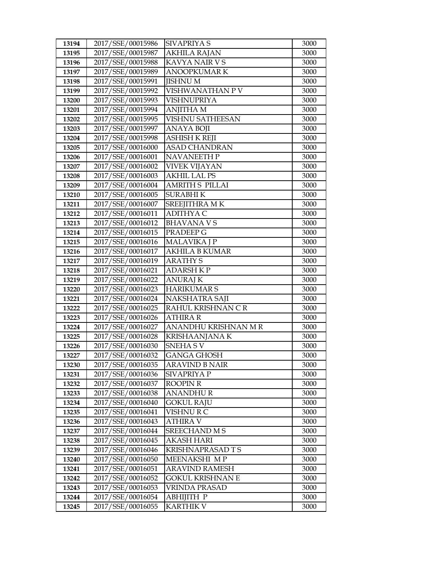| 13194          | 2017/SSE/00015986                      | SIVAPRIYA S                    | 3000         |
|----------------|----------------------------------------|--------------------------------|--------------|
| 13195          | 2017/SSE/00015987                      | <b>AKHILA RAJAN</b>            | 3000         |
| 13196          | 2017/SSE/00015988                      | KAVYA NAIR V S                 | 3000         |
| 13197          | 2017/SSE/00015989                      | <b>ANOOPKUMARK</b>             | 3000         |
| 13198          | 2017/SSE/00015991                      | <b>JISHNU M</b>                | 3000         |
| 13199          | 2017/SSE/00015992                      | VISHWANATHAN P V               | 3000         |
| 13200          | 2017/SSE/00015993                      | VISHNUPRIYA                    | 3000         |
| 13201          | 2017/SSE/00015994                      | <b>ANJITHA M</b>               | 3000         |
| 13202          | 2017/SSE/00015995                      | <b>VISHNU SATHEESAN</b>        | 3000         |
| 13203          | 2017/SSE/00015997                      | <b>ANAYA BOJI</b>              | 3000         |
| 13204          | 2017/SSE/00015998                      | ASHISH K REJI                  | 3000         |
| 13205          | 2017/SSE/00016000                      | <b>ASAD CHANDRAN</b>           | 3000         |
| 13206          | 2017/SSE/00016001                      | NAVANEETH P                    | 3000         |
| 13207          | 2017/SSE/00016002                      | <b>VIVEK VIJAYAN</b>           | 3000         |
| 13208          | 2017/SSE/00016003                      | <b>AKHIL LAL PS</b>            | 3000         |
| 13209          | 2017/SSE/00016004                      | <b>AMRITH S PILLAI</b>         | 3000         |
| 13210          | 2017/SSE/00016005                      | <b>SURABHIK</b>                | 3000         |
| 13211          | 2017/SSE/00016007                      | SREEJITHRA MK                  | 3000         |
| 13212          | 2017/SSE/00016011                      | <b>ADITHYA C</b>               | 3000         |
| 13213          | 2017/SSE/00016012                      | <b>BHAVANA V S</b>             | 3000         |
| 13214          | 2017/SSE/00016015                      | PRADEEP G                      | 3000         |
| 13215          | 2017/SSE/00016016                      | <b>MALAVIKA J P</b>            | 3000         |
| 13216          | 2017/SSE/00016017                      | <b>AKHILA B KUMAR</b>          | 3000         |
| 13217          | 2017/SSE/00016019                      | <b>ARATHY S</b>                | 3000         |
| 13218          | 2017/SSE/00016021                      | <b>ADARSH K P</b>              | 3000         |
| 13219          | 2017/SSE/00016022                      | <b>ANURAJ K</b>                | 3000         |
| 13220          | 2017/SSE/00016023                      | <b>HARIKUMARS</b>              | 3000         |
| 13221          | 2017/SSE/00016024                      | NAKSHATRA SAJI                 | 3000         |
| 13222          | 2017/SSE/00016025                      | RAHUL KRISHNAN CR              | 3000         |
| 13223          | 2017/SSE/00016026                      | <b>ATHIRA R</b>                | 3000         |
| 13224          | 2017/SSE/00016027                      | ANANDHU KRISHNAN M R           |              |
|                |                                        |                                | 3000         |
| 13225          | 2017/SSE/00016028                      | KRISHAANJANA K                 | 3000         |
| 13226          | 2017/SSE/00016030                      | SNEHA SV                       | 3000         |
| 13227          | 2017/SSE/00016032                      | <b>GANGA GHOSH</b>             | 3000         |
| 13230          | 2017/SSE/00016035                      | ARAVIND B NAIR                 | 3000         |
| 13231          | 2017/SSE/00016036                      | <b>SIVAPRIYA P</b>             | 3000         |
| 13232          | 2017/SSE/00016037                      | ROOPIN R                       | 3000         |
| 13233          | 2017/SSE/00016038                      | <b>ANANDHUR</b>                | 3000         |
| 13234          | 2017/SSE/00016040                      | <b>GOKUL RAJU</b>              | 3000         |
| 13235          | 2017/SSE/00016041                      | VISHNU R C                     | 3000         |
| 13236          | 2017/SSE/00016043                      | ATHIRA V                       | 3000         |
| 13237          | 2017/SSE/00016044                      | <b>SREECHAND M S</b>           | 3000         |
| 13238          | 2017/SSE/00016045                      | <b>AKASH HARI</b>              | 3000         |
| 13239          | 2017/SSE/00016046                      | KRISHNAPRASAD T S              | 3000         |
| 13240          | 2017/SSE/00016050                      | MEENAKSHI MP                   | 3000         |
| 13241          | 2017/SSE/00016051                      | ARAVIND RAMESH                 | 3000         |
| 13242          | 2017/SSE/00016052                      | GOKUL KRISHNAN E               | 3000         |
| 13243          | 2017/SSE/00016053                      | VRINDA PRASAD                  | 3000         |
| 13244<br>13245 | 2017/SSE/00016054<br>2017/SSE/00016055 | АВНІЈІТН Р<br><b>KARTHIK V</b> | 3000<br>3000 |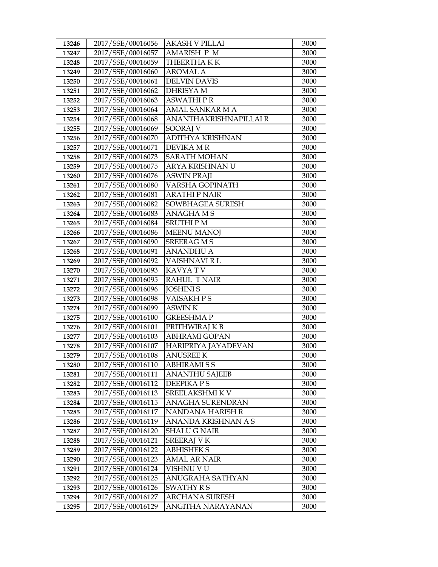| 13246          | 2017/SSE/00016056                      | <b>AKASH V PILLAI</b>                 | 3000         |
|----------------|----------------------------------------|---------------------------------------|--------------|
| 13247          | 2017/SSE/00016057                      | <b>AMARISH P M</b>                    | 3000         |
| 13248          | 2017/SSE/00016059                      | THEERTHAKK                            | 3000         |
| 13249          | 2017/SSE/00016060                      | <b>AROMAL A</b>                       | 3000         |
| 13250          | 2017/SSE/00016061                      | <b>DELVIN DAVIS</b>                   | 3000         |
| 13251          | 2017/SSE/00016062                      | <b>DHRISYAM</b>                       | 3000         |
| 13252          | 2017/SSE/00016063                      | <b>ASWATHIPR</b>                      | 3000         |
| 13253          | 2017/SSE/00016064                      | AMAL SANKAR M A                       | 3000         |
| 13254          | 2017/SSE/00016068                      | ANANTHAKRISHNAPILLAI R                | 3000         |
| 13255          | 2017/SSE/00016069                      | SOORAJ V                              | 3000         |
| 13256          | 2017/SSE/00016070                      | ADITHYA KRISHNAN                      | 3000         |
| 13257          | 2017/SSE/00016071                      | DEVIKA M R                            | 3000         |
| 13258          | 2017/SSE/00016073                      | <b>SARATH MOHAN</b>                   | 3000         |
| 13259          | 2017/SSE/00016075                      | ARYA KRISHNAN U                       | 3000         |
| 13260          | 2017/SSE/00016076                      | <b>ASWIN PRAJI</b>                    | 3000         |
| 13261          | 2017/SSE/00016080                      | VARSHA GOPINATH                       | 3000         |
| 13262          | 2017/SSE/00016081                      | <b>ARATHI P NAIR</b>                  | 3000         |
| 13263          | 2017/SSE/00016082                      | SOWBHAGEA SURESH                      | 3000         |
| 13264          | 2017/SSE/00016083                      | <b>ANAGHAMS</b>                       | 3000         |
| 13265          | 2017/SSE/00016084                      | <b>SRUTHIPM</b>                       | 3000         |
| 13266          | 2017/SSE/00016086                      | <b>MEENU MANOJ</b>                    | 3000         |
| 13267          | 2017/SSE/00016090                      | <b>SREERAG MS</b>                     | 3000         |
| 13268          | 2017/SSE/00016091                      | <b>ANANDHU A</b>                      | 3000         |
| 13269          | 2017/SSE/00016092                      | VAISHNAVI R L                         | 3000         |
| 13270          | 2017/SSE/00016093                      | KAVYA TV                              | 3000         |
| 13271          | 2017/SSE/00016095                      | <b>RAHUL TNAIR</b>                    | 3000         |
| 13272          | 2017/SSE/00016096                      | <b>JOSHINIS</b>                       | 3000         |
| 13273          | 2017/SSE/00016098                      | VAISAKH PS                            | 3000         |
| 13274          | 2017/SSE/00016099                      | <b>ASWIN K</b>                        | 3000         |
| 13275          | 2017/SSE/00016100                      | <b>GREESHMAP</b>                      | 3000         |
| 13276          | 2017/SSE/00016101                      | PRITHWIRAJ K B                        | 3000         |
| 13277          | 2017/SSE/00016103                      | <b>ABHRAMI GOPAN</b>                  | 3000         |
| 13278          | 2017/SSE/00016107<br>2017/SSE/00016108 | HARIPRIYA JAYADEVAN                   | 3000         |
| 13279          |                                        | <b>ANUSREE K</b><br><b>ABHIRAMISS</b> | 3000<br>3000 |
| 13280          | 2017/SSE/00016110<br>2017/SSE/00016111 | <b>ANANTHU SAJEEB</b>                 | 3000         |
| 13281<br>13282 | 2017/SSE/00016112                      | DEEPIKA P S                           | 3000         |
| 13283          | 2017/SSE/00016113                      | SREELAKSHMI K V                       | 3000         |
| 13284          | 2017/SSE/00016115                      | ANAGHA SURENDRAN                      | 3000         |
| 13285          | 2017/SSE/00016117                      | NANDANA HARISH R                      | 3000         |
| 13286          | 2017/SSE/00016119                      | ANANDA KRISHNAN A S                   | 3000         |
| 13287          | 2017/SSE/00016120                      | <b>SHALU G NAIR</b>                   | 3000         |
| 13288          | 2017/SSE/00016121                      | <b>SREERAJ V K</b>                    | 3000         |
| 13289          | 2017/SSE/00016122                      | <b>ABHISHEK S</b>                     | 3000         |
| 13290          | 2017/SSE/00016123                      | AMAL AR NAIR                          | 3000         |
| 13291          | 2017/SSE/00016124                      | VISHNU V U                            | 3000         |
| 13292          | 2017/SSE/00016125                      | ANUGRAHA SATHYAN                      | 3000         |
| 13293          | 2017/SSE/00016126                      | SWATHY R S                            | 3000         |
| 13294          | 2017/SSE/00016127                      | <b>ARCHANA SURESH</b>                 | 3000         |
| 13295          | 2017/SSE/00016129                      | ANGITHA NARAYANAN                     | 3000         |
|                |                                        |                                       |              |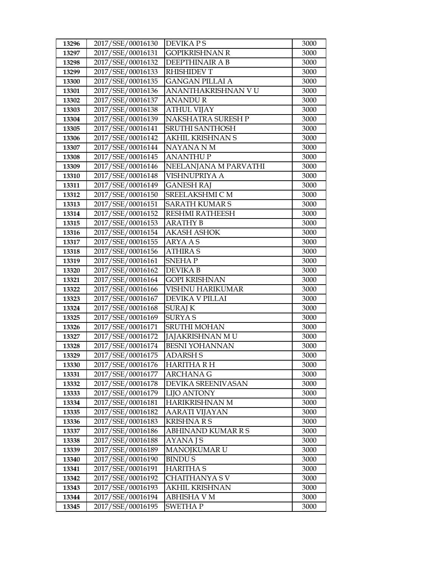| 13296          | 2017/SSE/00016130                      | <b>DEVIKA PS</b>                                | 3000         |
|----------------|----------------------------------------|-------------------------------------------------|--------------|
| 13297          | 2017/SSE/00016131                      | <b>GOPIKRISHNAN R</b>                           | 3000         |
| 13298          | 2017/SSE/00016132                      | DEEPTHINAIR A B                                 | 3000         |
| 13299          | 2017/SSE/00016133                      | <b>RHISHIDEV T</b>                              | 3000         |
| 13300          | 2017/SSE/00016135                      | <b>GANGAN PILLAI A</b>                          | 3000         |
| 13301          | 2017/SSE/00016136                      | ANANTHAKRISHNAN V U                             | 3000         |
| 13302          | 2017/SSE/00016137                      | ANANDU R                                        | 3000         |
| 13303          | 2017/SSE/00016138                      | <b>ATHUL VIJAY</b>                              | 3000         |
| 13304          | 2017/SSE/00016139                      | NAKSHATRA SURESH P                              | 3000         |
| 13305          | 2017/SSE/00016141                      | <b>SRUTHI SANTHOSH</b>                          | 3000         |
| 13306          | 2017/SSE/00016142                      | <b>AKHIL KRISHNAN S</b>                         | 3000         |
| 13307          | 2017/SSE/00016144                      | NAYANA N M                                      | 3000         |
| 13308          | 2017/SSE/00016145                      | <b>ANANTHUP</b>                                 | 3000         |
| 13309          | 2017/SSE/00016146                      | NEELANJANA M PARVATHI                           | 3000         |
| 13310          | 2017/SSE/00016148                      | VISHNUPRIYA A                                   | 3000         |
| 13311          | 2017/SSE/00016149                      | <b>GANESH RAJ</b>                               | 3000         |
| 13312          | 2017/SSE/00016150                      | SREELAKSHMI C M                                 | 3000         |
| 13313          | 2017/SSE/00016151                      | <b>SARATH KUMAR S</b>                           | 3000         |
| 13314          | 2017/SSE/00016152                      | <b>RESHMI RATHEESH</b>                          | 3000         |
| 13315          | 2017/SSE/00016153                      | <b>ARATHY B</b>                                 | 3000         |
| 13316          | 2017/SSE/00016154                      | <b>AKASH ASHOK</b>                              | 3000         |
| 13317          | 2017/SSE/00016155                      | <b>ARYA A S</b>                                 | 3000         |
| 13318          | 2017/SSE/00016156                      | <b>ATHIRA S</b>                                 | 3000         |
| 13319          | 2017/SSE/00016161                      | <b>SNEHAP</b>                                   | 3000         |
| 13320          | 2017/SSE/00016162                      | <b>DEVIKAB</b>                                  | 3000         |
| 13321          | 2017/SSE/00016164                      | <b>GOPI KRISHNAN</b>                            | 3000         |
| 13322          | 2017/SSE/00016166                      | VISHNU HARIKUMAR                                | 3000         |
| 13323          | 2017/SSE/00016167                      | DEVIKA V PILLAI                                 | 3000         |
| 13324          | 2017/SSE/00016168                      | <b>SURAJ K</b>                                  | 3000         |
| 13325          | 2017/SSE/00016169                      | <b>SURYAS</b>                                   | 3000         |
| 13326          | 2017/SSE/00016171                      | <b>SRUTHI MOHAN</b>                             | 3000         |
| 13327          | 2017/SSE/00016172                      | <b>JAJAKRISHNAN MU</b><br><b>BESNI YOHANNAN</b> | 3000         |
| 13328<br>13329 | 2017/SSE/00016174<br>2017/SSE/00016175 | <b>ADARSH S</b>                                 | 3000<br>3000 |
| 13330          | 2017/SSE/00016176                      | HARITHA R H                                     | 3000         |
| 13331          | 2017/SSE/00016177                      | ARCHANA G                                       | 3000         |
| 13332          | 2017/SSE/00016178                      | DEVIKA SREENIVASAN                              | 3000         |
| 13333          | 2017/SSE/00016179                      | <b>LIJO ANTONY</b>                              | 3000         |
| 13334          | 2017/SSE/00016181                      | HARIKRISHNAN M                                  | 3000         |
| 13335          | 2017/SSE/00016182                      | AARATI VIJAYAN                                  | 3000         |
| 13336          | 2017/SSE/00016183                      | <b>KRISHNARS</b>                                | 3000         |
| 13337          | 2017/SSE/00016186                      | ABHINAND KUMAR R S                              | 3000         |
| 13338          | 2017/SSE/00016188                      | <b>AYANAJS</b>                                  | 3000         |
| 13339          | 2017/SSE/00016189                      | <b>MANOJKUMAR U</b>                             | 3000         |
| 13340          | 2017/SSE/00016190                      | <b>BINDUS</b>                                   | 3000         |
| 13341          | 2017/SSE/00016191                      | <b>HARITHA S</b>                                | 3000         |
| 13342          | 2017/SSE/00016192                      | CHAITHANYA S V                                  | 3000         |
| 13343          | 2017/SSE/00016193                      | <b>AKHIL KRISHNAN</b>                           | 3000         |
| 13344          | 2017/SSE/00016194                      | <b>ABHISHA V M</b>                              | 3000         |
| 13345          | 2017/SSE/00016195                      | SWETHA P                                        | 3000         |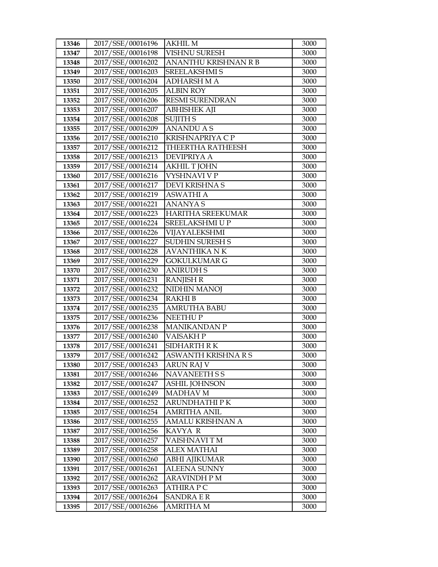| 13346 | 2017/SSE/00016196 | <b>AKHIL M</b>              | 3000 |
|-------|-------------------|-----------------------------|------|
| 13347 | 2017/SSE/00016198 | <b>VISHNU SURESH</b>        | 3000 |
| 13348 | 2017/SSE/00016202 | <b>ANANTHU KRISHNAN R B</b> | 3000 |
| 13349 | 2017/SSE/00016203 | SREELAKSHMI S               | 3000 |
| 13350 | 2017/SSE/00016204 | <b>ADHARSH M A</b>          | 3000 |
| 13351 | 2017/SSE/00016205 | <b>ALBIN ROY</b>            | 3000 |
| 13352 | 2017/SSE/00016206 | <b>RESMI SURENDRAN</b>      | 3000 |
| 13353 | 2017/SSE/00016207 | <b>ABHISHEK AJI</b>         | 3000 |
| 13354 | 2017/SSE/00016208 | <b>SUJITH S</b>             | 3000 |
| 13355 | 2017/SSE/00016209 | <b>ANANDU A S</b>           | 3000 |
| 13356 | 2017/SSE/00016210 | KRISHNAPRIYA C P            | 3000 |
| 13357 | 2017/SSE/00016212 | THEERTHA RATHEESH           | 3000 |
| 13358 | 2017/SSE/00016213 | <b>DEVIPRIYA A</b>          | 3000 |
| 13359 | 2017/SSE/00016214 | <b>AKHIL T JOHN</b>         | 3000 |
| 13360 | 2017/SSE/00016216 | VYSHNAVI V P                | 3000 |
| 13361 | 2017/SSE/00016217 | DEVI KRISHNA S              | 3000 |
| 13362 | 2017/SSE/00016219 | <b>ASWATHI A</b>            | 3000 |
| 13363 | 2017/SSE/00016221 | <b>ANANYAS</b>              | 3000 |
| 13364 | 2017/SSE/00016223 | <b>HARITHA SREEKUMAR</b>    | 3000 |
| 13365 | 2017/SSE/00016224 | SREELAKSHMI U P             | 3000 |
| 13366 | 2017/SSE/00016226 | VIJAYALEKSHMI               | 3000 |
| 13367 | 2017/SSE/00016227 | <b>SUDHIN SURESH S</b>      | 3000 |
| 13368 | 2017/SSE/00016228 | <b>AVANTHIKA NK</b>         | 3000 |
| 13369 | 2017/SSE/00016229 | <b>GOKULKUMAR G</b>         | 3000 |
| 13370 | 2017/SSE/00016230 | <b>ANIRUDH S</b>            | 3000 |
| 13371 | 2017/SSE/00016231 | <b>RANJISH R</b>            | 3000 |
| 13372 | 2017/SSE/00016232 | NIDHIN MANOJ                | 3000 |
| 13373 | 2017/SSE/00016234 | <b>RAKHIB</b>               | 3000 |
| 13374 | 2017/SSE/00016235 | <b>AMRUTHA BABU</b>         | 3000 |
| 13375 | 2017/SSE/00016236 | <b>NEETHUP</b>              | 3000 |
| 13376 | 2017/SSE/00016238 | <b>MANIKANDAN P</b>         | 3000 |
| 13377 | 2017/SSE/00016240 | <b>VAISAKHP</b>             | 3000 |
| 13378 | 2017/SSE/00016241 | <b>SIDHARTH RK</b>          | 3000 |
| 13379 | 2017/SSE/00016242 | ASWANTH KRISHNA R S         | 3000 |
| 13380 | 2017/SSE/00016243 | ARUN RAJ V                  | 3000 |
| 13381 | 2017/SSE/00016246 | NAVANEETH S S               | 3000 |
| 13382 | 2017/SSE/00016247 | <b>ASHIL JOHNSON</b>        | 3000 |
| 13383 | 2017/SSE/00016249 | <b>MADHAV M</b>             | 3000 |
| 13384 | 2017/SSE/00016252 | ARUNDHATHI PK               | 3000 |
| 13385 | 2017/SSE/00016254 | <b>AMRITHA ANIL</b>         | 3000 |
| 13386 | 2017/SSE/00016255 | AMALU KRISHNAN A            | 3000 |
| 13387 | 2017/SSE/00016256 | KAVYA R                     | 3000 |
| 13388 | 2017/SSE/00016257 | VAISHNAVI TM                | 3000 |
| 13389 | 2017/SSE/00016258 | <b>ALEX MATHAI</b>          | 3000 |
| 13390 | 2017/SSE/00016260 | ABHI AJIKUMAR               | 3000 |
| 13391 | 2017/SSE/00016261 | ALEENA SUNNY                | 3000 |
| 13392 | 2017/SSE/00016262 | <b>ARAVINDH P M</b>         | 3000 |
| 13393 | 2017/SSE/00016263 | <b>ATHIRA P C</b>           | 3000 |
| 13394 | 2017/SSE/00016264 | <b>SANDRA E R</b>           | 3000 |
| 13395 | 2017/SSE/00016266 | AMRITHA M                   | 3000 |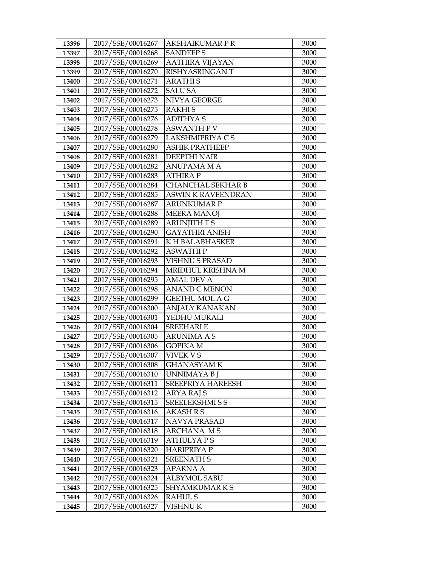| 13396 | 2017/SSE/00016267 | AKSHAIKUMAR P R           | 3000 |
|-------|-------------------|---------------------------|------|
| 13397 | 2017/SSE/00016268 | <b>SANDEEPS</b>           | 3000 |
| 13398 | 2017/SSE/00016269 | <b>AATHIRA VIJAYAN</b>    | 3000 |
| 13399 | 2017/SSE/00016270 | RISHYASRINGAN T           | 3000 |
| 13400 | 2017/SSE/00016271 | <b>ARATHIS</b>            | 3000 |
| 13401 | 2017/SSE/00016272 | <b>SALU SA</b>            | 3000 |
| 13402 | 2017/SSE/00016273 | NIVYA GEORGE              | 3000 |
| 13403 | 2017/SSE/00016275 | <b>RAKHIS</b>             | 3000 |
| 13404 | 2017/SSE/00016276 | <b>ADITHYAS</b>           | 3000 |
| 13405 | 2017/SSE/00016278 | <b>ASWANTH P V</b>        | 3000 |
| 13406 | 2017/SSE/00016279 | LAKSHMIPRIYA C S          | 3000 |
| 13407 | 2017/SSE/00016280 | <b>ASHIK PRATHEEP</b>     | 3000 |
| 13408 | 2017/SSE/00016281 | <b>DEEPTHI NAIR</b>       | 3000 |
| 13409 | 2017/SSE/00016282 | <b>ANUPAMA M A</b>        | 3000 |
| 13410 | 2017/SSE/00016283 | <b>ATHIRAP</b>            | 3000 |
| 13411 | 2017/SSE/00016284 | CHANCHAL SEKHAR B         | 3000 |
| 13412 | 2017/SSE/00016285 | <b>ASWIN K RAVEENDRAN</b> | 3000 |
| 13413 | 2017/SSE/00016287 | <b>ARUNKUMAR P</b>        | 3000 |
| 13414 | 2017/SSE/00016288 | <b>MEERA MANOJ</b>        | 3000 |
| 13415 | 2017/SSE/00016289 | <b>ARUNJITH TS</b>        | 3000 |
| 13416 | 2017/SSE/00016290 | <b>GAYATHRI ANISH</b>     | 3000 |
| 13417 | 2017/SSE/00016291 | K H BALABHASKER           | 3000 |
| 13418 | 2017/SSE/00016292 | <b>ASWATHIP</b>           | 3000 |
| 13419 | 2017/SSE/00016293 | <b>VISHNU S PRASAD</b>    | 3000 |
| 13420 | 2017/SSE/00016294 | MRIDHUL KRISHNA M         | 3000 |
| 13421 | 2017/SSE/00016295 | AMAL DEV A                | 3000 |
| 13422 | 2017/SSE/00016298 | <b>ANAND C MENON</b>      | 3000 |
| 13423 | 2017/SSE/00016299 | <b>GEETHU MOL A G</b>     | 3000 |
| 13424 | 2017/SSE/00016300 | <b>ANJALY KANAKAN</b>     | 3000 |
| 13425 | 2017/SSE/00016301 | YEDHU MURALI              | 3000 |
| 13426 | 2017/SSE/00016304 | <b>SREEHARI E</b>         | 3000 |
| 13427 | 2017/SSE/00016305 | <b>ARUNIMA A S</b>        | 3000 |
| 13428 | 2017/SSE/00016306 | <b>GOPIKA M</b>           | 3000 |
| 13429 | 2017/SSE/00016307 | <b>VIVEK V S</b>          | 3000 |
| 13430 | 2017/SSE/00016308 | <b>GHANASYAMK</b>         | 3000 |
| 13431 | 2017/SSE/00016310 | UNNIMAYA B J              | 3000 |
| 13432 | 2017/SSE/00016311 | SREEPRIYA HAREESH         | 3000 |
| 13433 | 2017/SSE/00016312 | <b>ARYA RAJ S</b>         | 3000 |
| 13434 | 2017/SSE/00016315 | <b>SREELEKSHMI S S</b>    | 3000 |
| 13435 | 2017/SSE/00016316 | AKASH R S                 | 3000 |
| 13436 | 2017/SSE/00016317 | <b>NAVYA PRASAD</b>       | 3000 |
| 13437 | 2017/SSE/00016318 | ARCHANA MS                | 3000 |
| 13438 | 2017/SSE/00016319 | <b>ATHULYAPS</b>          | 3000 |
| 13439 | 2017/SSE/00016320 | <b>HARIPRIYA P</b>        | 3000 |
| 13440 | 2017/SSE/00016321 | <b>SREENATH S</b>         | 3000 |
| 13441 | 2017/SSE/00016323 | APARNA A                  | 3000 |
| 13442 | 2017/SSE/00016324 | <b>ALBYMOL SABU</b>       | 3000 |
| 13443 | 2017/SSE/00016325 | SHYAMKUMARKS              | 3000 |
| 13444 | 2017/SSE/00016326 | RAHUL S                   | 3000 |
| 13445 | 2017/SSE/00016327 | VISHNU K                  | 3000 |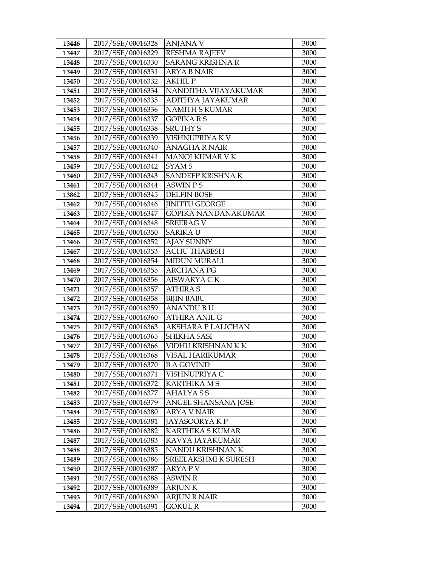| 13446          | 2017/SSE/00016328                      | <b>ANJANA V</b>                           | 3000         |
|----------------|----------------------------------------|-------------------------------------------|--------------|
| 13447          | 2017/SSE/00016329                      | <b>RESHMA RAJEEV</b>                      | 3000         |
| 13448          | 2017/SSE/00016330                      | <b>SARANG KRISHNA R</b>                   | 3000         |
| 13449          | 2017/SSE/00016331                      | <b>ARYA B NAIR</b>                        | 3000         |
| 13450          | 2017/SSE/00016332                      | <b>AKHIL P</b>                            | 3000         |
| 13451          | 2017/SSE/00016334                      | NANDITHA VIJAYAKUMAR                      | 3000         |
| 13452          | 2017/SSE/00016335                      | ADITHYA JAYAKUMAR                         | 3000         |
| 13453          | 2017/SSE/00016336                      | <b>NAMITH S KUMAR</b>                     | 3000         |
| 13454          | 2017/SSE/00016337                      | <b>GOPIKARS</b>                           | 3000         |
| 13455          | 2017/SSE/00016338                      | <b>SRUTHY S</b>                           | 3000         |
| 13456          | 2017/SSE/00016339                      | VISHNUPRIYA K V                           | 3000         |
| 13457          | 2017/SSE/00016340                      | <b>ANAGHA R NAIR</b>                      | 3000         |
| 13458          | 2017/SSE/00016341                      | MANOJ KUMAR V K                           | 3000         |
| 13459          | 2017/SSE/00016342                      | SYAM <sub>S</sub>                         | 3000         |
| 13460          | 2017/SSE/00016343                      | SANDEEP KRISHNA K                         | 3000         |
| 13461          | 2017/SSE/00016344                      | <b>ASWIN PS</b>                           | 3000         |
| 13862          | 2017/SSE/00016345                      | <b>DELFIN BOSE</b>                        | 3000         |
| 13462          | 2017/SSE/00016346                      | <b>IINITTU GEORGE</b>                     | 3000         |
| 13463          | 2017/SSE/00016347                      | <b>GOPIKA NANDANAKUMAR</b>                | 3000         |
| 13464          | 2017/SSE/00016348                      | <b>SREERAG V</b>                          | 3000         |
| 13465          | 2017/SSE/00016350                      | <b>SARIKA U</b>                           | 3000         |
| 13466          | 2017/SSE/00016352                      | <b>AJAY SUNNY</b>                         | 3000         |
| 13467          | 2017/SSE/00016353                      | <b>ACHU THABESH</b>                       | 3000         |
| 13468          | 2017/SSE/00016354                      | <b>MIDUN MURALI</b>                       | 3000         |
| 13469          | 2017/SSE/00016355                      | <b>ARCHANA PG</b>                         | 3000         |
| 13470          | 2017/SSE/00016356                      | AISWARYA C K                              | 3000         |
| 13471          | 2017/SSE/00016357                      | <b>ATHIRA S</b>                           | 3000         |
| 13472          | 2017/SSE/00016358                      | <b>BIJIN BABU</b>                         | 3000         |
| 13473          | 2017/SSE/00016359                      | <b>ANANDU BU</b>                          | 3000         |
| 13474          | 2017/SSE/00016360                      | <b>ATHIRA ANIL G</b>                      | 3000         |
| 13475          | 2017/SSE/00016363                      | AKSHARA P LALICHAN                        | 3000         |
| 13476          | 2017/SSE/00016365                      | <b>SHIKHA SASI</b>                        | 3000         |
| 13477          | 2017/SSE/00016366                      | VIDHU KRISHNAN K K                        | 3000         |
| 13478          | 2017/SSE/00016368                      | VISAL HARIKUMAR                           | 3000         |
| 13479          | 2017/SSE/00016370                      | <b>B A GOVIND</b>                         | 3000         |
| 13480          | 2017/SSE/00016371                      | VISHNUPRIYA C                             | 3000         |
| 13481          | 2017/SSE/00016372                      | <b>KARTHIKA M S</b>                       | 3000         |
| 13482          | 2017/SSE/00016377                      | <b>AHALYASS</b>                           | 3000         |
| 13483          | 2017/SSE/00016379                      | ANGEL SHANSANA JOSE                       | 3000         |
| 13484          | 2017/SSE/00016380                      | ARYA V NAIR                               | 3000         |
| 13485<br>13486 | 2017/SSE/00016381<br>2017/SSE/00016382 | JAYASOORYA K P<br><b>KARTHIKA S KUMAR</b> | 3000<br>3000 |
| 13487          | 2017/SSE/00016383                      |                                           |              |
| 13488          | 2017/SSE/00016385                      | KAVYA JAYAKUMAR<br>NANDU KRISHNAN K       | 3000<br>3000 |
|                | 2017/SSE/00016386                      | SREELAKSHMI K SURESH                      | 3000         |
| 13489<br>13490 | 2017/SSE/00016387                      | ARYA P V                                  | 3000         |
| 13491          | 2017/SSE/00016388                      | <b>ASWIN R</b>                            | 3000         |
| 13492          | 2017/SSE/00016389                      | <b>ARJUNK</b>                             | 3000         |
| 13493          | 2017/SSE/00016390                      | ARJUN R NAIR                              | 3000         |
| 13494          | 2017/SSE/00016391                      | GOKUL R                                   | 3000         |
|                |                                        |                                           |              |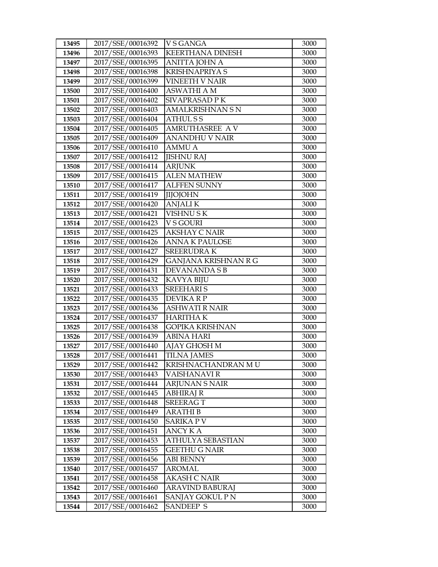| 13495          | 2017/SSE/00016392                      | <b>VSGANGA</b>                            | 3000         |
|----------------|----------------------------------------|-------------------------------------------|--------------|
| 13496          | 2017/SSE/00016393                      | <b>KEERTHANA DINESH</b>                   | 3000         |
| 13497          | 2017/SSE/00016395                      | <b>ANITTA JOHN A</b>                      | 3000         |
| 13498          | 2017/SSE/00016398                      | <b>KRISHNAPRIYA S</b>                     | 3000         |
| 13499          | 2017/SSE/00016399                      | <b>VINEETH V NAIR</b>                     | 3000         |
| 13500          | 2017/SSE/00016400                      | ASWATHI A M                               | 3000         |
| 13501          | 2017/SSE/00016402                      | SIVAPRASAD P K                            | 3000         |
| 13502          | 2017/SSE/00016403                      | <b>AMALKRISHNAN S N</b>                   | 3000         |
| 13503          | 2017/SSE/00016404                      | <b>ATHULSS</b>                            | 3000         |
| 13504          | 2017/SSE/00016405                      | AMRUTHASREE AV                            | 3000         |
| 13505          | 2017/SSE/00016409                      | ANANDHU V NAIR                            | 3000         |
| 13506          | 2017/SSE/00016410                      | AMMU A                                    | 3000         |
| 13507          | 2017/SSE/00016412                      | <b>JISHNU RAJ</b>                         | 3000         |
| 13508          | 2017/SSE/00016414                      | <b>ARJUNK</b>                             | 3000         |
| 13509          | 2017/SSE/00016415                      | <b>ALEN MATHEW</b>                        | 3000         |
| 13510          | 2017/SSE/00016417                      | <b>ALFFEN SUNNY</b>                       | 3000         |
| 13511          | 2017/SSE/00016419                      | <b>IIJOJOHN</b>                           | 3000         |
| 13512          | 2017/SSE/00016420                      | <b>ANJALIK</b>                            | 3000         |
| 13513          | 2017/SSE/00016421                      | <b>VISHNUSK</b>                           | 3000         |
| 13514          | 2017/SSE/00016423                      | V S GOURI                                 | 3000         |
| 13515          | 2017/SSE/00016425                      | AKSHAY C NAIR                             | 3000         |
| 13516          | 2017/SSE/00016426                      | <b>ANNA K PAULOSE</b>                     | 3000         |
| 13517          | 2017/SSE/00016427                      | <b>SREERUDRAK</b>                         | 3000         |
| 13518          | 2017/SSE/00016429                      | <b>GANJANA KRISHNAN R G</b>               | 3000         |
| 13519          | 2017/SSE/00016431                      | <b>DEVANANDA S B</b>                      | 3000         |
| 13520          | 2017/SSE/00016432                      | <b>KAVYA BIJU</b>                         | 3000         |
| 13521          | 2017/SSE/00016433                      | <b>SREEHARIS</b>                          | 3000         |
| 13522          | 2017/SSE/00016435                      | DEVIKA R P                                | 3000         |
| 13523          | 2017/SSE/00016436                      | <b>ASHWATI R NAIR</b>                     | 3000         |
| 13524          | 2017/SSE/00016437                      | <b>HARITHAK</b>                           | 3000         |
| 13525          | 2017/SSE/00016438                      | GOPIKA KRISHNAN                           | 3000         |
| 13526          | 2017/SSE/00016439                      | ABINA HARI                                | 3000         |
| 13527          | 2017/SSE/00016440                      | AJAY GHOSH M                              | 3000         |
| 13528          | 2017/SSE/00016441                      | <b>TILNA JAMES</b>                        | 3000         |
| 13529          | 2017/SSE/00016442<br>2017/SSE/00016443 | KRISHNACHANDRAN MU                        | 3000         |
| 13530          | 2017/SSE/00016444                      | VAISHANAVI R                              | 3000         |
| 13531<br>13532 | 2017/SSE/00016445                      | <b>ARJUNAN S NAIR</b><br><b>ABHIRAJ R</b> | 3000<br>3000 |
| 13533          | 2017/SSE/00016448                      | <b>SREERAGT</b>                           | 3000         |
| 13534          | 2017/SSE/00016449                      | ARATHI B                                  | 3000         |
| 13535          | 2017/SSE/00016450                      | <b>SARIKA P V</b>                         | 3000         |
| 13536          | 2017/SSE/00016451                      | <b>ANCY KA</b>                            | 3000         |
| 13537          | 2017/SSE/00016453                      | ATHULYA SEBASTIAN                         | 3000         |
| 13538          | 2017/SSE/00016455                      | <b>GEETHU G NAIR</b>                      | 3000         |
| 13539          | 2017/SSE/00016456                      | <b>ABI BENNY</b>                          | 3000         |
| 13540          | 2017/SSE/00016457                      | AROMAL                                    | 3000         |
| 13541          | 2017/SSE/00016458                      | AKASH C NAIR                              | 3000         |
| 13542          | 2017/SSE/00016460                      | <b>ARAVIND BABURAJ</b>                    | 3000         |
| 13543          | 2017/SSE/00016461                      | SANJAY GOKUL PN                           | 3000         |
| 13544          | 2017/SSE/00016462                      | <b>SANDEEP S</b>                          | 3000         |
|                |                                        |                                           |              |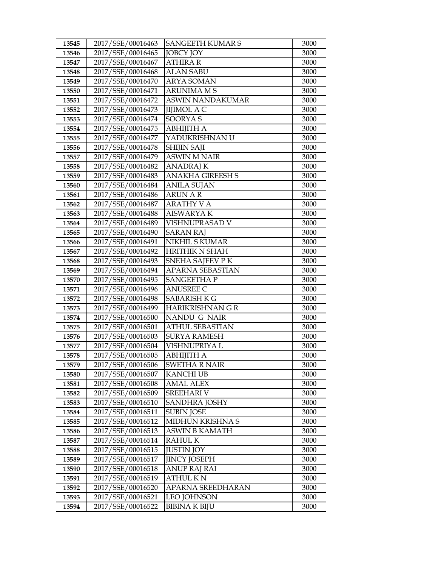| 13545          | 2017/SSE/00016463                      | <b>SANGEETH KUMAR S</b>       | 3000         |
|----------------|----------------------------------------|-------------------------------|--------------|
| 13546          | 2017/SSE/00016465                      | <b>JOBCY JOY</b>              | 3000         |
| 13547          | 2017/SSE/00016467                      | <b>ATHIRA R</b>               | 3000         |
| 13548          | 2017/SSE/00016468                      | <b>ALAN SABU</b>              | 3000         |
| 13549          | 2017/SSE/00016470                      | ARYA SOMAN                    | 3000         |
| 13550          | 2017/SSE/00016471                      | <b>ARUNIMA M S</b>            | 3000         |
| 13551          | 2017/SSE/00016472                      | <b>ASWIN NANDAKUMAR</b>       | 3000         |
| 13552          | 2017/SSE/00016473                      | <b>JIJIMOL A C</b>            | 3000         |
| 13553          | 2017/SSE/00016474                      | <b>SOORYAS</b>                | 3000         |
| 13554          | 2017/SSE/00016475                      | <b>ABHIJITH A</b>             | 3000         |
| 13555          | 2017/SSE/00016477                      | YADUKRISHNAN U                | 3000         |
| 13556          | 2017/SSE/00016478                      | <b>SHIJIN SAJI</b>            | 3000         |
| 13557          | 2017/SSE/00016479                      | <b>ASWIN M NAIR</b>           | 3000         |
| 13558          | 2017/SSE/00016482                      | <b>ANADRAJ K</b>              | 3000         |
| 13559          | 2017/SSE/00016483                      | <b>ANAKHA GIREESH S</b>       | 3000         |
| 13560          | 2017/SSE/00016484                      | ANILA SUJAN                   | 3000         |
| 13561          | 2017/SSE/00016486                      | ARUN A R                      | 3000         |
| 13562          | 2017/SSE/00016487                      | <b>ARATHY V A</b>             | 3000         |
| 13563          | 2017/SSE/00016488                      | <b>AISWARYAK</b>              | 3000         |
| 13564          | 2017/SSE/00016489                      | VISHNUPRASAD V                | 3000         |
| 13565          | 2017/SSE/00016490                      | <b>SARAN RAJ</b>              | 3000         |
| 13566          | 2017/SSE/00016491                      | <b>NIKHIL S KUMAR</b>         | 3000         |
| 13567          | 2017/SSE/00016492                      | <b>HRITHIK N SHAH</b>         | 3000         |
| 13568          | 2017/SSE/00016493                      | SNEHA SAJEEV PK               | 3000         |
| 13569          | 2017/SSE/00016494                      | APARNA SEBASTIAN              | 3000         |
| 13570          | 2017/SSE/00016495                      | <b>SANGEETHA P</b>            | 3000         |
| 13571          | 2017/SSE/00016496                      | <b>ANUSREE C</b>              | 3000         |
| 13572          | 2017/SSE/00016498                      | <b>SABARISH K G</b>           | 3000         |
| 13573          | 2017/SSE/00016499                      | <b>HARIKRISHNAN G R</b>       | 3000         |
| 13574          | 2017/SSE/00016500                      | NANDU G NAIR                  | 3000         |
| 13575          | 2017/SSE/00016501                      | ATHUL SEBASTIAN               | 3000         |
| 13576          | 2017/SSE/00016503                      | <b>SURYA RAMESH</b>           | 3000         |
| 13577          | 2017/SSE/00016504<br>2017/SSE/00016505 | VISHNUPRIYA L                 | 3000         |
| 13578          |                                        | ABHIJITH A                    | 3000<br>3000 |
| 13579          | 2017/SSE/00016506<br>2017/SSE/00016507 | <b>SWETHA R NAIR</b>          | 3000         |
| 13580<br>13581 | 2017/SSE/00016508                      | KANCHI UB<br><b>AMAL ALEX</b> | 3000         |
| 13582          | 2017/SSE/00016509                      | <b>SREEHARI V</b>             | 3000         |
| 13583          | 2017/SSE/00016510                      | <b>SANDHRA JOSHY</b>          | 3000         |
| 13584          | 2017/SSE/00016511                      | <b>SUBIN JOSE</b>             | 3000         |
| 13585          | 2017/SSE/00016512                      | MIDHUN KRISHNA S              | 3000         |
| 13586          | 2017/SSE/00016513                      | <b>ASWIN B KAMATH</b>         | 3000         |
| 13587          | 2017/SSE/00016514                      | <b>RAHULK</b>                 | 3000         |
| 13588          | 2017/SSE/00016515                      | <b>JUSTIN JOY</b>             | 3000         |
| 13589          | 2017/SSE/00016517                      | <b>JINCY JOSEPH</b>           | 3000         |
| 13590          | 2017/SSE/00016518                      | ANUP RAJ RAI                  | 3000         |
| 13591          | 2017/SSE/00016519                      | <b>ATHUL KN</b>               | 3000         |
| 13592          | 2017/SSE/00016520                      | APARNA SREEDHARAN             | 3000         |
| 13593          | 2017/SSE/00016521                      | <b>LEO JOHNSON</b>            | 3000         |
| 13594          | 2017/SSE/00016522                      | <b>BIBINA K BIJU</b>          | 3000         |
|                |                                        |                               |              |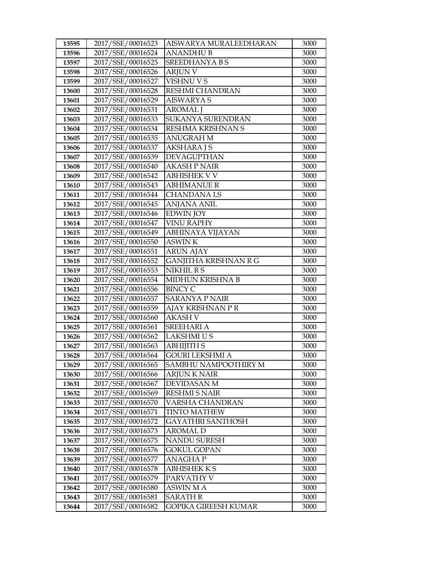| 13595 | 2017/SSE/00016523 | AISWARYA MURALEEDHARAN       | 3000 |
|-------|-------------------|------------------------------|------|
| 13596 | 2017/SSE/00016524 | <b>ANANDHUB</b>              | 3000 |
| 13597 | 2017/SSE/00016525 | SREEDHANYA B S               | 3000 |
| 13598 | 2017/SSE/00016526 | <b>ARJUN V</b>               | 3000 |
| 13599 | 2017/SSE/00016527 | <b>VISHNU V S</b>            | 3000 |
| 13600 | 2017/SSE/00016528 | <b>RESHMI CHANDRAN</b>       | 3000 |
| 13601 | 2017/SSE/00016529 | <b>AISWARYA S</b>            | 3000 |
| 13602 | 2017/SSE/00016531 | <b>AROMAL</b> J              | 3000 |
| 13603 | 2017/SSE/00016533 | SUKANYA SURENDRAN            | 3000 |
| 13604 | 2017/SSE/00016534 | RESHMA KRISHNAN S            | 3000 |
| 13605 | 2017/SSE/00016535 | <b>ANUGRAH M</b>             | 3000 |
| 13606 | 2017/SSE/00016537 | <b>AKSHARA J S</b>           | 3000 |
| 13607 | 2017/SSE/00016539 | <b>DEVAGUPTHAN</b>           | 3000 |
| 13608 | 2017/SSE/00016540 | <b>AKASH P NAIR</b>          | 3000 |
| 13609 | 2017/SSE/00016542 | <b>ABHISHEK V V</b>          | 3000 |
| 13610 | 2017/SSE/00016543 | <b>ABHIMANUE R</b>           | 3000 |
| 13611 | 2017/SSE/00016544 | <b>CHANDANALS</b>            | 3000 |
| 13612 | 2017/SSE/00016545 | <b>ANJANA ANIL</b>           | 3000 |
| 13613 | 2017/SSE/00016546 | <b>EDWIN JOY</b>             | 3000 |
| 13614 | 2017/SSE/00016547 | <b>VINU RAPHY</b>            | 3000 |
| 13615 | 2017/SSE/00016549 | ABHINAYA VIJAYAN             | 3000 |
| 13616 | 2017/SSE/00016550 | <b>ASWINK</b>                | 3000 |
| 13617 | 2017/SSE/00016551 | <b>ARUN AJAY</b>             | 3000 |
| 13618 | 2017/SSE/00016552 | <b>GANJITHA KRISHNAN R G</b> | 3000 |
| 13619 | 2017/SSE/00016553 | NIKHIL R S                   | 3000 |
| 13620 | 2017/SSE/00016554 | MIDHUN KRISHNA B             | 3000 |
| 13621 | 2017/SSE/00016556 | <b>BINCY C</b>               | 3000 |
| 13622 | 2017/SSE/00016557 | <b>SARANYA P NAIR</b>        | 3000 |
| 13623 | 2017/SSE/00016559 | AJAY KRISHNAN PR             | 3000 |
| 13624 | 2017/SSE/00016560 | <b>AKASH V</b>               | 3000 |
| 13625 | 2017/SSE/00016561 | <b>SREEHARI A</b>            | 3000 |
| 13626 | 2017/SSE/00016562 | <b>LAKSHMI U S</b>           | 3000 |
| 13627 | 2017/SSE/00016563 | <b>ABHIJITH S</b>            | 3000 |
| 13628 | 2017/SSE/00016564 | <b>GOURI LEKSHMI A</b>       | 3000 |
| 13629 | 2017/SSE/00016565 | SAMBHU NAMPOOTHIRY M         | 3000 |
| 13630 | 2017/SSE/00016566 | ARJUN K NAIR                 | 3000 |
| 13631 | 2017/SSE/00016567 | <b>DEVIDASAN M</b>           | 3000 |
| 13632 | 2017/SSE/00016569 | <b>RESHMI S NAIR</b>         | 3000 |
| 13633 | 2017/SSE/00016570 | VARSHA CHANDRAN              | 3000 |
| 13634 | 2017/SSE/00016571 | <b>TINTO MATHEW</b>          | 3000 |
| 13635 | 2017/SSE/00016572 | GAYATHRI SANTHOSH            | 3000 |
| 13636 | 2017/SSE/00016573 | <b>AROMAL D</b>              | 3000 |
| 13637 | 2017/SSE/00016575 | NANDU SURESH                 | 3000 |
| 13638 | 2017/SSE/00016576 | <b>GOKUL GOPAN</b>           | 3000 |
| 13639 | 2017/SSE/00016577 | <b>ANAGHAP</b>               | 3000 |
| 13640 | 2017/SSE/00016578 | <b>ABHISHEKKS</b>            | 3000 |
| 13641 | 2017/SSE/00016579 | PARVATHY V                   | 3000 |
| 13642 | 2017/SSE/00016580 | <b>ASWIN MA</b>              | 3000 |
| 13643 | 2017/SSE/00016581 | <b>SARATH R</b>              | 3000 |
| 13644 | 2017/SSE/00016582 | <b>GOPIKA GIREESH KUMAR</b>  | 3000 |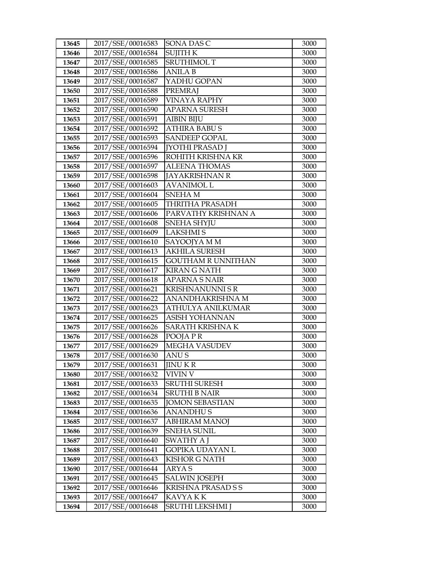| 13645 | 2017/SSE/00016583 | SONA DAS C                | 3000 |
|-------|-------------------|---------------------------|------|
| 13646 | 2017/SSE/00016584 | <b>SUJITH K</b>           | 3000 |
| 13647 | 2017/SSE/00016585 | <b>SRUTHIMOL T</b>        | 3000 |
| 13648 | 2017/SSE/00016586 | <b>ANILA B</b>            | 3000 |
| 13649 | 2017/SSE/00016587 | YADHU GOPAN               | 3000 |
| 13650 | 2017/SSE/00016588 | <b>PREMRAJ</b>            | 3000 |
| 13651 | 2017/SSE/00016589 | VINAYA RAPHY              | 3000 |
| 13652 | 2017/SSE/00016590 | <b>APARNA SURESH</b>      | 3000 |
| 13653 | 2017/SSE/00016591 | <b>AIBIN BIJU</b>         | 3000 |
| 13654 | 2017/SSE/00016592 | <b>ATHIRA BABU S</b>      | 3000 |
| 13655 | 2017/SSE/00016593 | <b>SANDEEP GOPAL</b>      | 3000 |
| 13656 | 2017/SSE/00016594 | <b>[YOTHI PRASAD ]</b>    | 3000 |
| 13657 | 2017/SSE/00016596 | ROHITH KRISHNA KR         | 3000 |
| 13658 | 2017/SSE/00016597 | <b>ALEENA THOMAS</b>      | 3000 |
| 13659 | 2017/SSE/00016598 | <b>JAYAKRISHNAN R</b>     | 3000 |
| 13660 | 2017/SSE/00016603 | AVANIMOL L                | 3000 |
| 13661 | 2017/SSE/00016604 | <b>SNEHAM</b>             | 3000 |
| 13662 | 2017/SSE/00016605 | <b>THRITHA PRASADH</b>    | 3000 |
| 13663 | 2017/SSE/00016606 | PARVATHY KRISHNAN A       | 3000 |
| 13664 | 2017/SSE/00016608 | SNEHA SHYJU               | 3000 |
| 13665 | 2017/SSE/00016609 | <b>LAKSHMIS</b>           | 3000 |
| 13666 | 2017/SSE/00016610 | SAYOOJYA M M              | 3000 |
| 13667 | 2017/SSE/00016613 | <b>AKHILA SURESH</b>      | 3000 |
| 13668 | 2017/SSE/00016615 | <b>GOUTHAM R UNNITHAN</b> | 3000 |
| 13669 | 2017/SSE/00016617 | <b>KIRAN G NATH</b>       | 3000 |
| 13670 | 2017/SSE/00016618 | APARNA S NAIR             | 3000 |
| 13671 | 2017/SSE/00016621 | <b>KRISHNANUNNI S R</b>   | 3000 |
| 13672 | 2017/SSE/00016622 | ANANDHAKRISHNA M          | 3000 |
| 13673 | 2017/SSE/00016623 | ATHULYA ANILKUMAR         | 3000 |
| 13674 | 2017/SSE/00016625 | ASISH YOHANNAN            | 3000 |
| 13675 | 2017/SSE/00016626 | SARATH KRISHNA K          | 3000 |
| 13676 | 2017/SSE/00016628 | POOJA P R                 | 3000 |
| 13677 | 2017/SSE/00016629 | <b>MEGHA VASUDEV</b>      | 3000 |
| 13678 | 2017/SSE/00016630 | ANU S                     | 3000 |
| 13679 | 2017/SSE/00016631 | <b>JINU KR</b>            | 3000 |
| 13680 | 2017/SSE/00016632 | VIVIN V                   | 3000 |
| 13681 | 2017/SSE/00016633 | <b>SRUTHI SURESH</b>      | 3000 |
| 13682 | 2017/SSE/00016634 | <b>SRUTHI B NAIR</b>      | 3000 |
| 13683 | 2017/SSE/00016635 | <b>JOMON SEBASTIAN</b>    | 3000 |
| 13684 | 2017/SSE/00016636 | ANANDHU S                 | 3000 |
| 13685 | 2017/SSE/00016637 | ABHIRAM MANOJ             | 3000 |
| 13686 | 2017/SSE/00016639 | <b>SNEHA SUNIL</b>        | 3000 |
| 13687 | 2017/SSE/00016640 | <b>SWATHY A J</b>         | 3000 |
| 13688 | 2017/SSE/00016641 | GOPIKA UDAYAN L           | 3000 |
| 13689 | 2017/SSE/00016643 | <b>KISHOR G NATH</b>      | 3000 |
| 13690 | 2017/SSE/00016644 | ARYA S                    | 3000 |
| 13691 | 2017/SSE/00016645 | <b>SALWIN JOSEPH</b>      | 3000 |
| 13692 | 2017/SSE/00016646 | KRISHNA PRASAD S S        | 3000 |
| 13693 | 2017/SSE/00016647 | KAVYA K K                 | 3000 |
| 13694 | 2017/SSE/00016648 | <b>SRUTHI LEKSHMI J</b>   | 3000 |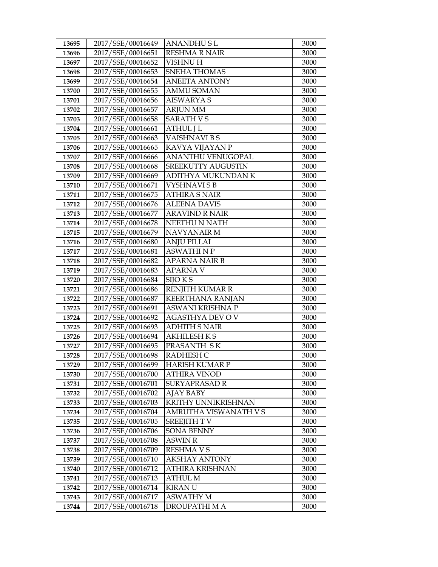| 13695          | 2017/SSE/00016649                      | ANANDHUSL                         | 3000         |
|----------------|----------------------------------------|-----------------------------------|--------------|
| 13696          | 2017/SSE/00016651                      | <b>RESHMA R NAIR</b>              | 3000         |
| 13697          | 2017/SSE/00016652                      | <b>VISHNU H</b>                   | 3000         |
| 13698          | 2017/SSE/00016653                      | SNEHA THOMAS                      | 3000         |
| 13699          | 2017/SSE/00016654                      | <b>ANEETA ANTONY</b>              | 3000         |
| 13700          | 2017/SSE/00016655                      | <b>AMMU SOMAN</b>                 | 3000         |
| 13701          | 2017/SSE/00016656                      | <b>AISWARYA S</b>                 | 3000         |
| 13702          | 2017/SSE/00016657                      | <b>ARJUN MM</b>                   | 3000         |
| 13703          | 2017/SSE/00016658                      | <b>SARATH VS</b>                  | 3000         |
| 13704          | 2017/SSE/00016661                      | <b>ATHUL J L</b>                  | 3000         |
| 13705          | 2017/SSE/00016663                      | VAISHNAVI B S                     | 3000         |
| 13706          | 2017/SSE/00016665                      | KAVYA VIJAYAN P                   | 3000         |
| 13707          | 2017/SSE/00016666                      | ANANTHU VENUGOPAL                 | 3000         |
| 13708          | 2017/SSE/00016668                      | SREEKUTTY AUGUSTIN                | 3000         |
| 13709          | 2017/SSE/00016669                      | ADITHYA MUKUNDAN K                | 3000         |
| 13710          | 2017/SSE/00016671                      | VYSHNAVI S B                      | 3000         |
| 13711          | 2017/SSE/00016675                      | <b>ATHIRA S NAIR</b>              | 3000         |
| 13712          | 2017/SSE/00016676                      | <b>ALEENA DAVIS</b>               | 3000         |
| 13713          | 2017/SSE/00016677                      | <b>ARAVIND R NAIR</b>             | 3000         |
| 13714          | 2017/SSE/00016678                      | NEETHU N NATH                     | 3000         |
| 13715          | 2017/SSE/00016679                      | <b>NAVYANAIR M</b>                | 3000         |
| 13716          | 2017/SSE/00016680                      | <b>ANJU PILLAI</b>                | 3000         |
| 13717          | 2017/SSE/00016681                      | <b>ASWATHINP</b>                  | 3000         |
| 13718          | 2017/SSE/00016682                      | <b>APARNA NAIR B</b>              | 3000         |
| 13719          | 2017/SSE/00016683                      | <b>APARNA V</b>                   | 3000         |
| 13720          | 2017/SSE/00016684                      | SIJO K S                          | 3000         |
| 13721          | 2017/SSE/00016686                      | <b>RENJITH KUMAR R</b>            | 3000         |
| 13722          | 2017/SSE/00016687                      | <b>KEERTHANA RANJAN</b>           | 3000         |
| 13723          | 2017/SSE/00016691                      | ASWANI KRISHNA P                  | 3000         |
| 13724          | 2017/SSE/00016692                      | <b>AGASTHYA DEV O V</b>           | 3000         |
| 13725          | 2017/SSE/00016693                      | ADHITH S NAIR                     | 3000         |
| 13726          | 2017/SSE/00016694                      | <b>AKHILESH K S</b>               | 3000         |
| 13727          | 2017/SSE/00016695                      | PRASANTH SK                       | 3000         |
| 13728          | 2017/SSE/00016698                      | <b>RADHESH C</b>                  | 3000         |
| 13729          | 2017/SSE/00016699                      | <b>HARISH KUMAR P</b>             | 3000         |
| 13730          | 2017/SSE/00016700                      | ATHIRA VINOD                      | 3000         |
| 13731<br>13732 | 2017/SSE/00016701<br>2017/SSE/00016702 | SURYAPRASAD R<br><b>AJAY BABY</b> | 3000         |
|                |                                        | KRITHY UNNIKRISHNAN               | 3000         |
| 13733<br>13734 | 2017/SSE/00016703<br>2017/SSE/00016704 | AMRUTHA VISWANATH V S             | 3000<br>3000 |
| 13735          | 2017/SSE/00016705                      | <b>SREEJITH TV</b>                | 3000         |
| 13736          | 2017/SSE/00016706                      | <b>SONA BENNY</b>                 | 3000         |
| 13737          | 2017/SSE/00016708                      | <b>ASWIN R</b>                    | 3000         |
| 13738          | 2017/SSE/00016709                      | <b>RESHMAVS</b>                   | 3000         |
| 13739          | 2017/SSE/00016710                      | <b>AKSHAY ANTONY</b>              | 3000         |
| 13740          | 2017/SSE/00016712                      | ATHIRA KRISHNAN                   | 3000         |
| 13741          | 2017/SSE/00016713                      | ATHUL M                           | 3000         |
| 13742          | 2017/SSE/00016714                      | <b>KIRANU</b>                     | 3000         |
| 13743          | 2017/SSE/00016717                      | <b>ASWATHY M</b>                  | 3000         |
| 13744          | 2017/SSE/00016718                      | DROUPATHI M A                     | 3000         |
|                |                                        |                                   |              |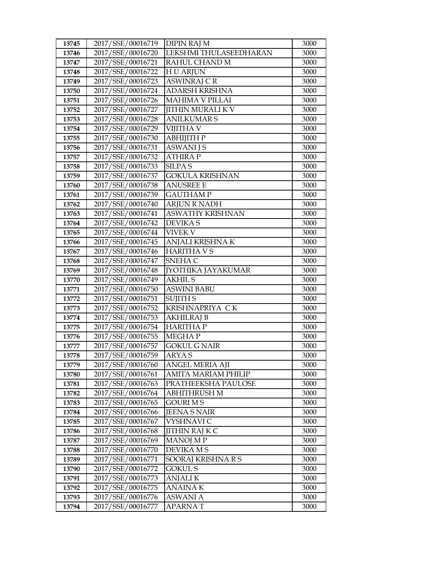| 13745 | 2017/SSE/00016719                      | <b>DIPIN RAJ M</b>       | 3000         |
|-------|----------------------------------------|--------------------------|--------------|
| 13746 | 2017/SSE/00016720                      | LEKSHMI THULASEEDHARAN   | 3000         |
| 13747 | 2017/SSE/00016721                      | RAHUL CHAND M            | 3000         |
| 13748 | 2017/SSE/00016722                      | <b>HU ARJUN</b>          | 3000         |
| 13749 | 2017/SSE/00016723                      | <b>ASWINRAJ CR</b>       | 3000         |
| 13750 | 2017/SSE/00016724                      | ADARSH KRISHNA           | 3000         |
| 13751 | 2017/SSE/00016726                      | <b>MAHIMA V PILLAI</b>   | 3000         |
| 13752 | 2017/SSE/00016727                      | <b>JITHIN MURALI K V</b> | 3000         |
| 13753 | 2017/SSE/00016728                      | <b>ANILKUMAR S</b>       | 3000         |
| 13754 | 2017/SSE/00016729                      | <b>VIJITHA V</b>         | 3000         |
| 13755 | 2017/SSE/00016730                      | АВНІЈІТН Р               | 3000         |
| 13756 | 2017/SSE/00016731                      | <b>ASWANI J S</b>        | 3000         |
| 13757 | 2017/SSE/00016732                      | <b>ATHIRAP</b>           | 3000         |
| 13758 | 2017/SSE/00016733                      | <b>SILPA S</b>           | 3000         |
| 13759 | 2017/SSE/00016737                      | <b>GOKULA KRISHNAN</b>   | 3000         |
| 13760 | 2017/SSE/00016738                      | <b>ANUSREE E</b>         | 3000         |
| 13761 | 2017/SSE/00016739                      | <b>GAUTHAM P</b>         | 3000         |
| 13762 | 2017/SSE/00016740                      | <b>ARJUN R NADH</b>      | 3000         |
| 13763 | 2017/SSE/00016741                      | <b>ASWATHY KRISHNAN</b>  | 3000         |
| 13764 | 2017/SSE/00016742                      | <b>DEVIKAS</b>           | 3000         |
| 13765 | 2017/SSE/00016744                      | <b>VIVEK V</b>           | 3000         |
| 13766 | 2017/SSE/00016745                      | ANJALI KRISHNA K         | 3000         |
| 13767 | 2017/SSE/00016746                      | <b>HARITHA VS</b>        | 3000         |
| 13768 | 2017/SSE/00016747                      | SNEHA C                  | 3000         |
| 13769 | 2017/SSE/00016748                      | JYOTHIKA JAYAKUMAR       | 3000         |
| 13770 | 2017/SSE/00016749                      | <b>AKHIL S</b>           | 3000         |
| 13771 | 2017/SSE/00016750                      | ASWINI BABU              | 3000         |
| 13772 | 2017/SSE/00016751                      | <b>SUJITH S</b>          | 3000         |
| 13773 | 2017/SSE/00016752                      | KRISHNAPRIYA CK          | 3000         |
| 13774 | 2017/SSE/00016753                      | <b>AKHILRAJ B</b>        | 3000         |
| 13775 | 2017/SSE/00016754                      | <b>HARITHAP</b>          | 3000         |
| 13776 | 2017/SSE/00016755                      | <b>MEGHAP</b>            | 3000         |
| 13777 | 2017/SSE/00016757                      | <b>GOKUL G NAIR</b>      | 3000         |
| 13778 | 2017/SSE/00016759                      | <b>ARYAS</b>             | 3000         |
| 13779 | 2017/SSE/00016760                      | <b>ANGEL MERIA AJI</b>   | 3000         |
| 13780 | 2017/SSE/00016761                      | AMITA MARIAM PHILIP      | 3000         |
| 13781 | 2017/SSE/00016763                      | PRATHEEKSHA PAULOSE      | 3000         |
| 13782 | 2017/SSE/00016764                      | <b>ABHITHRUSH M</b>      | 3000         |
| 13783 | 2017/SSE/00016765                      | <b>GOURI MS</b>          | 3000         |
| 13784 | 2017/SSE/00016766                      | <b>JEENA S NAIR</b>      | 3000         |
| 13785 | 2017/SSE/00016767                      | VYSHNAVI C               | 3000         |
| 13786 | 2017/SSE/00016768                      | <b>JITHIN RAJ K C</b>    | 3000         |
| 13787 | 2017/SSE/00016769                      | <b>MANOJ MP</b>          | 3000         |
| 13788 | 2017/SSE/00016770                      | DEVIKA M S               | 3000         |
| 13789 | 2017/SSE/00016771<br>2017/SSE/00016772 | SOORAJ KRISHNA R S       | 3000         |
| 13790 | 2017/SSE/00016773                      | <b>GOKUL S</b>           | 3000         |
| 13791 |                                        | <b>ANJALI K</b>          | 3000         |
| 13792 | 2017/SSE/00016775<br>2017/SSE/00016776 | <b>ANAINAK</b>           | 3000<br>3000 |
| 13793 | 2017/SSE/00016777                      | <b>ASWANI A</b>          |              |
| 13794 |                                        | APARNA T                 | 3000         |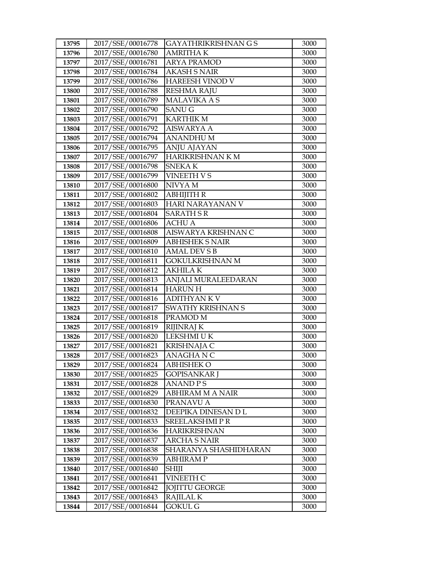| 13795          | 2017/SSE/00016778                      | GAYATHRIKRISHNAN G S                         | 3000         |
|----------------|----------------------------------------|----------------------------------------------|--------------|
| 13796          | 2017/SSE/00016780                      | <b>AMRITHAK</b>                              | 3000         |
| 13797          | 2017/SSE/00016781                      | <b>ARYA PRAMOD</b>                           | 3000         |
| 13798          | 2017/SSE/00016784                      | <b>AKASH S NAIR</b>                          | 3000         |
| 13799          | 2017/SSE/00016786                      | <b>HAREESH VINOD V</b>                       | 3000         |
| 13800          | 2017/SSE/00016788                      | <b>RESHMA RAJU</b>                           | 3000         |
| 13801          | 2017/SSE/00016789                      | <b>MALAVIKA A S</b>                          | 3000         |
| 13802          | 2017/SSE/00016790                      | <b>SANUG</b>                                 | 3000         |
| 13803          | 2017/SSE/00016791                      | <b>KARTHIK M</b>                             | 3000         |
| 13804          | 2017/SSE/00016792                      | <b>AISWARYA A</b>                            | 3000         |
| 13805          | 2017/SSE/00016794                      | <b>ANANDHUM</b>                              | 3000         |
| 13806          | 2017/SSE/00016795                      | <b>ANJU AJAYAN</b>                           | 3000         |
| 13807          | 2017/SSE/00016797                      | <b>HARIKRISHNAN K M</b>                      | 3000         |
| 13808          | 2017/SSE/00016798                      | <b>SNEKAK</b>                                | 3000         |
| 13809          | 2017/SSE/00016799                      | VINEETH V S                                  | 3000         |
| 13810          | 2017/SSE/00016800                      | NIVYA M                                      | 3000         |
| 13811          | 2017/SSE/00016802                      | <b>ABHIJITH R</b>                            | 3000         |
| 13812          | 2017/SSE/00016803                      | HARI NARAYANAN V                             | 3000         |
| 13813          | 2017/SSE/00016804                      | <b>SARATH S R</b>                            | 3000         |
| 13814          | 2017/SSE/00016806                      | <b>ACHU A</b>                                | 3000         |
| 13815          | 2017/SSE/00016808                      | AISWARYA KRISHNAN C                          | 3000         |
| 13816          | 2017/SSE/00016809                      | ABHISHEK S NAIR                              | 3000         |
| 13817          | 2017/SSE/00016810                      | <b>AMAL DEV S B</b>                          | 3000         |
| 13818          | 2017/SSE/00016811                      | <b>GOKULKRISHNAN M</b>                       | 3000         |
| 13819          | 2017/SSE/00016812                      | <b>AKHILAK</b>                               | 3000         |
| 13820          | 2017/SSE/00016813                      | ANJALI MURALEEDARAN                          | 3000         |
| 13821          | 2017/SSE/00016814                      | <b>HARUN H</b>                               | 3000         |
| 13822          | 2017/SSE/00016816                      | <b>ADITHYANKV</b>                            | 3000         |
| 13823          | 2017/SSE/00016817                      | <b>SWATHY KRISHNAN S</b>                     | 3000         |
| 13824          | 2017/SSE/00016818                      | PRAMOD M                                     | 3000         |
| 13825          | 2017/SSE/00016819                      | <b>RIJINRAJ K</b>                            | 3000         |
| 13826          | 2017/SSE/00016820                      | LEKSHMI U K                                  | 3000         |
| 13827          | 2017/SSE/00016821                      | <b>KRISHNAJA C</b>                           | 3000         |
| 13828          | 2017/SSE/00016823                      | ANAGHANC                                     | 3000         |
| 13829          | 2017/SSE/00016824                      | <b>ABHISHEK O</b>                            | 3000         |
| 13830          | 2017/SSE/00016825                      | GOPISANKAR J                                 | 3000         |
| 13831          | 2017/SSE/00016828                      | ANAND P S                                    | 3000         |
| 13832          | 2017/SSE/00016829                      | <b>ABHIRAM M A NAIR</b>                      | 3000         |
| 13833          | 2017/SSE/00016830                      | PRANAVU A                                    | 3000         |
| 13834          | 2017/SSE/00016832                      | DEEPIKA DINESAN D L                          | 3000         |
| 13835          | 2017/SSE/00016833                      | SREELAKSHMI P R                              | 3000         |
| 13836          | 2017/SSE/00016836                      | <b>HARIKRISHNAN</b>                          | 3000         |
| 13837          | 2017/SSE/00016837<br>2017/SSE/00016838 | <b>ARCHA S NAIR</b><br>SHARANYA SHASHIDHARAN | 3000<br>3000 |
| 13838          |                                        |                                              |              |
| 13839          | 2017/SSE/00016839                      | ABHIRAM P                                    | 3000         |
| 13840          | 2017/SSE/00016840<br>2017/SSE/00016841 | SHIJI                                        | 3000         |
| 13841          |                                        | VINEETH C                                    | 3000         |
| 13842<br>13843 | 2017/SSE/00016842<br>2017/SSE/00016843 | <b>JOJITTU GEORGE</b><br><b>RAJILAL K</b>    | 3000<br>3000 |
|                | 2017/SSE/00016844                      |                                              |              |
| 13844          |                                        | GOKUL G                                      | 3000         |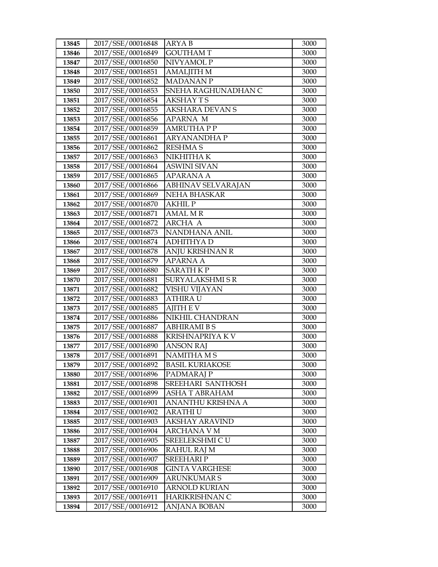| 13845 | 2017/SSE/00016848 | ARYA B                    | 3000 |
|-------|-------------------|---------------------------|------|
| 13846 | 2017/SSE/00016849 | <b>GOUTHAM T</b>          | 3000 |
| 13847 | 2017/SSE/00016850 | NIVYAMOL P                | 3000 |
| 13848 | 2017/SSE/00016851 | <b>AMALJITH M</b>         | 3000 |
| 13849 | 2017/SSE/00016852 | <b>MADANANP</b>           | 3000 |
| 13850 | 2017/SSE/00016853 | SNEHA RAGHUNADHAN C       | 3000 |
| 13851 | 2017/SSE/00016854 | <b>AKSHAY TS</b>          | 3000 |
| 13852 | 2017/SSE/00016855 | <b>AKSHARA DEVANS</b>     | 3000 |
| 13853 | 2017/SSE/00016856 | APARNA M                  | 3000 |
| 13854 | 2017/SSE/00016859 | <b>AMRUTHAPP</b>          | 3000 |
| 13855 | 2017/SSE/00016861 | <b>ARYANANDHAP</b>        | 3000 |
| 13856 | 2017/SSE/00016862 | <b>RESHMAS</b>            | 3000 |
| 13857 | 2017/SSE/00016863 | NIKHITHA K                | 3000 |
| 13858 | 2017/SSE/00016864 | <b>ASWINI SIVAN</b>       | 3000 |
| 13859 | 2017/SSE/00016865 | <b>APARANA A</b>          | 3000 |
| 13860 | 2017/SSE/00016866 | <b>ABHINAV SELVARAJAN</b> | 3000 |
| 13861 | 2017/SSE/00016869 | <b>NEHA BHASKAR</b>       | 3000 |
| 13862 | 2017/SSE/00016870 | <b>AKHIL P</b>            | 3000 |
| 13863 | 2017/SSE/00016871 | <b>AMAL MR</b>            | 3000 |
| 13864 | 2017/SSE/00016872 | ARCHA A                   | 3000 |
| 13865 | 2017/SSE/00016873 | NANDHANA ANIL             | 3000 |
| 13866 | 2017/SSE/00016874 | <b>ADHITHYAD</b>          | 3000 |
| 13867 | 2017/SSE/00016878 | ANJU KRISHNAN R           | 3000 |
| 13868 | 2017/SSE/00016879 | <b>APARNA A</b>           | 3000 |
| 13869 | 2017/SSE/00016880 | <b>SARATH KP</b>          | 3000 |
| 13870 | 2017/SSE/00016881 | <b>SURYALAKSHMISR</b>     | 3000 |
| 13871 | 2017/SSE/00016882 | VISHU VIJAYAN             | 3000 |
| 13872 | 2017/SSE/00016883 | <b>ATHIRA U</b>           | 3000 |
| 13873 | 2017/SSE/00016885 | <b>AJITH E V</b>          | 3000 |
| 13874 | 2017/SSE/00016886 | NIKHIL CHANDRAN           | 3000 |
| 13875 | 2017/SSE/00016887 | <b>ABHIRAMI B S</b>       | 3000 |
| 13876 | 2017/SSE/00016888 | <b>KRISHNAPRIYA K V</b>   | 3000 |
| 13877 | 2017/SSE/00016890 | <b>ANSON RAJ</b>          | 3000 |
| 13878 | 2017/SSE/00016891 | <b>NAMITHA MS</b>         | 3000 |
| 13879 | 2017/SSE/00016892 | <b>BASIL KURIAKOSE</b>    | 3000 |
| 13880 | 2017/SSE/00016896 | PADMARAJ P                | 3000 |
| 13881 | 2017/SSE/00016898 | SREEHARI SANTHOSH         | 3000 |
| 13882 | 2017/SSE/00016899 | ASHA T ABRAHAM            | 3000 |
| 13883 | 2017/SSE/00016901 | ANANTHU KRISHNA A         | 3000 |
| 13884 | 2017/SSE/00016902 | ARATHI U                  | 3000 |
| 13885 | 2017/SSE/00016903 | AKSHAY ARAVIND            | 3000 |
| 13886 | 2017/SSE/00016904 | ARCHANA V M               | 3000 |
| 13887 | 2017/SSE/00016905 | SREELEKSHMI CU            | 3000 |
| 13888 | 2017/SSE/00016906 | <b>RAHUL RAJ M</b>        | 3000 |
| 13889 | 2017/SSE/00016907 | <b>SREEHARIP</b>          | 3000 |
| 13890 | 2017/SSE/00016908 | <b>GINTA VARGHESE</b>     | 3000 |
| 13891 | 2017/SSE/00016909 | ARUNKUMAR S               | 3000 |
| 13892 | 2017/SSE/00016910 | <b>ARNOLD KURIAN</b>      | 3000 |
| 13893 | 2017/SSE/00016911 | HARIKRISHNAN C            | 3000 |
| 13894 | 2017/SSE/00016912 | <b>ANJANA BOBAN</b>       | 3000 |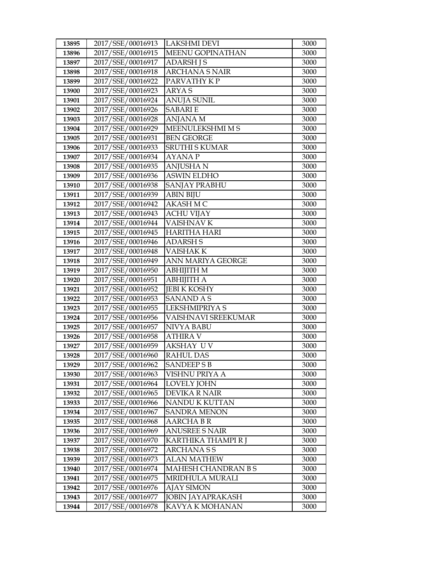| 13895 | 2017/SSE/00016913                      | <b>LAKSHMI DEVI</b>        | 3000 |
|-------|----------------------------------------|----------------------------|------|
| 13896 | 2017/SSE/00016915                      | MEENU GOPINATHAN           | 3000 |
| 13897 | 2017/SSE/00016917                      | <b>ADARSH J S</b>          | 3000 |
| 13898 | 2017/SSE/00016918                      | <b>ARCHANA S NAIR</b>      | 3000 |
| 13899 | 2017/SSE/00016922                      | PARVATHY KP                | 3000 |
| 13900 | 2017/SSE/00016923                      | ARYA S                     | 3000 |
| 13901 | 2017/SSE/00016924                      | <b>ANUJA SUNIL</b>         | 3000 |
| 13902 | 2017/SSE/00016926                      | <b>SABARIE</b>             | 3000 |
| 13903 | 2017/SSE/00016928                      | <b>ANJANA M</b>            | 3000 |
| 13904 | 2017/SSE/00016929                      | MEENULEKSHMI M S           | 3000 |
| 13905 | 2017/SSE/00016931                      | <b>BEN GEORGE</b>          | 3000 |
| 13906 | 2017/SSE/00016933                      | <b>SRUTHI S KUMAR</b>      | 3000 |
| 13907 | 2017/SSE/00016934                      | <b>AYANAP</b>              | 3000 |
| 13908 | 2017/SSE/00016935                      | <b>ANJUSHAN</b>            | 3000 |
| 13909 | 2017/SSE/00016936                      | <b>ASWIN ELDHO</b>         | 3000 |
| 13910 | 2017/SSE/00016938                      | SANJAY PRABHU              | 3000 |
| 13911 | 2017/SSE/00016939                      | <b>ABIN BIJU</b>           | 3000 |
| 13912 | 2017/SSE/00016942                      | AKASH M C                  | 3000 |
| 13913 | 2017/SSE/00016943                      | <b>ACHU VIJAY</b>          | 3000 |
| 13914 | 2017/SSE/00016944                      | <b>VAISHNAVK</b>           | 3000 |
| 13915 | 2017/SSE/00016945                      | <b>HARITHA HARI</b>        | 3000 |
| 13916 | 2017/SSE/00016946                      | <b>ADARSH S</b>            | 3000 |
| 13917 | 2017/SSE/00016948                      | <b>VAISHAKK</b>            | 3000 |
| 13918 | 2017/SSE/00016949                      | ANN MARIYA GEORGE          | 3000 |
| 13919 | 2017/SSE/00016950                      | <b>ABHIJITH M</b>          | 3000 |
| 13920 | 2017/SSE/00016951                      | <b>ABHIJITH A</b>          | 3000 |
| 13921 | 2017/SSE/00016952                      | <b>JEBI K KOSHY</b>        | 3000 |
| 13922 | 2017/SSE/00016953                      | <b>SANAND A S</b>          | 3000 |
| 13923 | 2017/SSE/00016955                      | LEKSHMIPRIYA S             | 3000 |
| 13924 | 2017/SSE/00016956                      | <b>VAISHNAVI SREEKUMAR</b> | 3000 |
| 13925 | 2017/SSE/00016957                      | NIVYA BABU                 | 3000 |
| 13926 | 2017/SSE/00016958                      | <b>ATHIRA V</b>            | 3000 |
| 13927 | 2017/SSE/00016959                      | <b>AKSHAY UV</b>           | 3000 |
| 13928 | 2017/SSE/00016960                      | <b>RAHUL DAS</b>           | 3000 |
| 13929 | 2017/SSE/00016962                      | <b>SANDEEPS B</b>          | 3000 |
| 13930 | 2017/SSE/00016963                      | VISHNU PRIYA A             | 3000 |
| 13931 | 2017/SSE/00016964                      | <b>LOVELY JOHN</b>         | 3000 |
| 13932 | 2017/SSE/00016965                      | DEVIKA R NAIR              | 3000 |
| 13933 | 2017/SSE/00016966                      | NANDU K KUTTAN             | 3000 |
| 13934 | 2017/SSE/00016967                      | SANDRA MENON               | 3000 |
| 13935 | 2017/SSE/00016968                      | <b>AARCHABR</b>            | 3000 |
| 13936 | 2017/SSE/00016969                      | <b>ANUSREE S NAIR</b>      | 3000 |
| 13937 | 2017/SSE/00016970                      | KARTHIKA THAMPI R J        | 3000 |
| 13938 | 2017/SSE/00016972                      | <b>ARCHANASS</b>           | 3000 |
| 13939 | 2017/SSE/00016973                      | <b>ALAN MATHEW</b>         | 3000 |
| 13940 | 2017/SSE/00016974                      | MAHESH CHANDRAN B S        | 3000 |
| 13941 | 2017/SSE/00016975                      | MRIDHULA MURALI            | 3000 |
| 13942 | 2017/SSE/00016976                      | <b>AJAY SIMON</b>          | 3000 |
|       |                                        |                            |      |
| 13943 | 2017/SSE/00016977<br>2017/SSE/00016978 | <b>JOBIN JAYAPRAKASH</b>   | 3000 |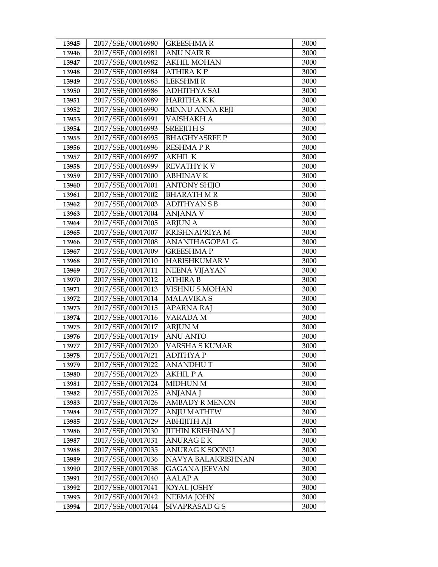| 13945          | 2017/SSE/00016980                      | <b>GREESHMAR</b>       | 3000         |
|----------------|----------------------------------------|------------------------|--------------|
| 13946          | 2017/SSE/00016981                      | <b>ANU NAIR R</b>      | 3000         |
| 13947          | 2017/SSE/00016982                      | <b>AKHIL MOHAN</b>     | 3000         |
| 13948          | 2017/SSE/00016984                      | <b>ATHIRAKP</b>        | 3000         |
| 13949          | 2017/SSE/00016985                      | <b>LEKSHMIR</b>        | 3000         |
| 13950          | 2017/SSE/00016986                      | <b>ADHITHYA SAI</b>    | 3000         |
| 13951          | 2017/SSE/00016989                      | <b>HARITHAKK</b>       | 3000         |
| 13952          | 2017/SSE/00016990                      | MINNU ANNA REJI        | 3000         |
| 13953          | 2017/SSE/00016991                      | VAISHAKH A             | 3000         |
| 13954          | 2017/SSE/00016993                      | <b>SREEJITH S</b>      | 3000         |
| 13955          | 2017/SSE/00016995                      | <b>BHAGHYASREE P</b>   | 3000         |
| 13956          | 2017/SSE/00016996                      | <b>RESHMAPR</b>        | 3000         |
| 13957          | 2017/SSE/00016997                      | <b>AKHIL K</b>         | 3000         |
| 13958          | 2017/SSE/00016999                      | <b>REVATHY KV</b>      | 3000         |
| 13959          | 2017/SSE/00017000                      | <b>ABHINAV K</b>       | 3000         |
| 13960          | 2017/SSE/00017001                      | <b>ANTONY SHIJO</b>    | 3000         |
| 13961          | 2017/SSE/00017002                      | BHARATH M R            | 3000         |
| 13962          | 2017/SSE/00017003                      | <b>ADITHYANSB</b>      | 3000         |
| 13963          | 2017/SSE/00017004                      | <b>ANJANA V</b>        | 3000         |
| 13964          | 2017/SSE/00017005                      | <b>ARJUN A</b>         | 3000         |
| 13965          | 2017/SSE/00017007                      | <b>KRISHNAPRIYA M</b>  | 3000         |
| 13966          | 2017/SSE/00017008                      | ANANTHAGOPAL G         | 3000         |
| 13967          | 2017/SSE/00017009                      | <b>GREESHMAP</b>       | 3000         |
| 13968          | 2017/SSE/00017010                      | HARISHKUMAR V          | 3000         |
| 13969          | 2017/SSE/00017011                      | <b>NEENA VIJAYAN</b>   | 3000         |
| 13970          | 2017/SSE/00017012                      | <b>ATHIRA B</b>        | 3000         |
| 13971          | 2017/SSE/00017013                      | VISHNU S MOHAN         | 3000         |
| 13972          | 2017/SSE/00017014                      | <b>MALAVIKA S</b>      | 3000         |
| 13973          | 2017/SSE/00017015                      | <b>APARNA RAJ</b>      | 3000         |
| 13974          | 2017/SSE/00017016                      | VARADA M               | 3000         |
| 13975          | 2017/SSE/00017017                      | <b>ARJUN M</b>         | 3000         |
| 13976          | 2017/SSE/00017019                      | <b>ANU ANTO</b>        | 3000         |
| 13977          | 2017/SSE/00017020                      | <b>VARSHA S KUMAR</b>  | 3000         |
| 13978          | 2017/SSE/00017021                      | <b>ADITHYAP</b>        | 3000         |
| 13979          | 2017/SSE/00017022<br>2017/SSE/00017023 | ANANDHU T<br>AKHIL P A | 3000         |
| 13980<br>13981 | 2017/SSE/00017024                      | <b>MIDHUN M</b>        | 3000<br>3000 |
| 13982          | 2017/SSE/00017025                      | ANJANA J               | 3000         |
| 13983          | 2017/SSE/00017026                      | <b>AMBADY R MENON</b>  | 3000         |
| 13984          | 2017/SSE/00017027                      | <b>ANJU MATHEW</b>     | 3000         |
| 13985          | 2017/SSE/00017029                      | ABHIJITH AJI           | 3000         |
| 13986          | 2017/SSE/00017030                      | JITHIN KRISHNAN J      | 3000         |
| 13987          | 2017/SSE/00017031                      | <b>ANURAGEK</b>        | 3000         |
| 13988          | 2017/SSE/00017035                      | <b>ANURAG K SOONU</b>  | 3000         |
| 13989          | 2017/SSE/00017036                      | NAVYA BALAKRISHNAN     | 3000         |
| 13990          | 2017/SSE/00017038                      | GAGANA JEEVAN          | 3000         |
| 13991          | 2017/SSE/00017040                      | AALAP A                | 3000         |
| 13992          | 2017/SSE/00017041                      | <b>JOYAL JOSHY</b>     | 3000         |
| 13993          | 2017/SSE/00017042                      | <b>NEEMA JOHN</b>      | 3000         |
| 13994          | 2017/SSE/00017044                      | SIVAPRASAD G S         | 3000         |
|                |                                        |                        |              |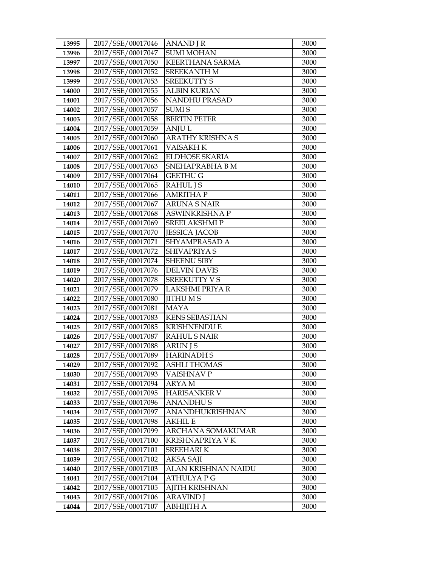| 13995          | 2017/SSE/00017046                      | <b>ANAND</b> J R                      | 3000         |
|----------------|----------------------------------------|---------------------------------------|--------------|
| 13996          | 2017/SSE/00017047                      | <b>SUMI MOHAN</b>                     | 3000         |
| 13997          | 2017/SSE/00017050                      | <b>KEERTHANA SARMA</b>                | 3000         |
| 13998          | 2017/SSE/00017052                      | <b>SREEKANTH M</b>                    | 3000         |
| 13999          | 2017/SSE/00017053                      | <b>SREEKUTTY S</b>                    | 3000         |
| 14000          | 2017/SSE/00017055                      | <b>ALBIN KURIAN</b>                   | 3000         |
| 14001          | 2017/SSE/00017056                      | <b>NANDHU PRASAD</b>                  | 3000         |
| 14002          | 2017/SSE/00017057                      | <b>SUMIS</b>                          | 3000         |
| 14003          | 2017/SSE/00017058                      | <b>BERTIN PETER</b>                   | 3000         |
| 14004          | 2017/SSE/00017059                      | <b>ANJUL</b>                          | 3000         |
| 14005          | 2017/SSE/00017060                      | <b>ARATHY KRISHNA S</b>               | 3000         |
| 14006          | 2017/SSE/00017061                      | VAISAKH K                             | 3000         |
| 14007          | 2017/SSE/00017062                      | <b>ELDHOSE SKARIA</b>                 | 3000         |
| 14008          | 2017/SSE/00017063                      | SNEHAPRABHA B M                       | 3000         |
| 14009          | 2017/SSE/00017064                      | <b>GEETHU G</b>                       | 3000         |
| 14010          | 2017/SSE/00017065                      | <b>RAHUL J S</b>                      | 3000         |
| 14011          | 2017/SSE/00017066                      | <b>AMRITHA P</b>                      | 3000         |
| 14012          | 2017/SSE/00017067                      | <b>ARUNA S NAIR</b>                   | 3000         |
| 14013          | 2017/SSE/00017068                      | <b>ASWINKRISHNA P</b>                 | 3000         |
| 14014          | 2017/SSE/00017069                      | <b>SREELAKSHMIP</b>                   | 3000         |
| 14015          | 2017/SSE/00017070                      | <b>JESSICA JACOB</b>                  | 3000         |
| 14016          | 2017/SSE/00017071                      | SHYAMPRASAD A                         | 3000         |
| 14017          | 2017/SSE/00017072                      | SHIVAPRIYA S                          | 3000         |
| 14018          | 2017/SSE/00017074                      | SHEENU SIBY                           | 3000         |
| 14019          | 2017/SSE/00017076                      | <b>DELVIN DAVIS</b>                   | 3000         |
| 14020          | 2017/SSE/00017078                      | <b>SREEKUTTY V S</b>                  | 3000         |
| 14021          | 2017/SSE/00017079                      | LAKSHMI PRIYA R                       | 3000         |
| 14022          | 2017/SSE/00017080                      | <b>JITHUMS</b>                        | 3000         |
| 14023          | 2017/SSE/00017081                      | <b>MAYA</b>                           | 3000         |
| 14024          | 2017/SSE/00017083                      | <b>KENS SEBASTIAN</b>                 | 3000         |
| 14025          | 2017/SSE/00017085                      | <b>KRISHNENDU E</b>                   | 3000         |
| 14026          | 2017/SSE/00017087<br>2017/SSE/00017088 | <b>RAHUL S NAIR</b><br><b>ARUN JS</b> | 3000         |
| 14027<br>14028 | 2017/SSE/00017089                      | <b>HARINADH S</b>                     | 3000<br>3000 |
| 14029          | 2017/SSE/00017092                      | <b>ASHLI THOMAS</b>                   | 3000         |
| 14030          | 2017/SSE/00017093                      | VAISHNAV P                            | 3000         |
| 14031          | 2017/SSE/00017094                      | <b>ARYAM</b>                          | 3000         |
| 14032          | 2017/SSE/00017095                      | <b>HARISANKER V</b>                   | 3000         |
| 14033          | 2017/SSE/00017096                      | <b>ANANDHUS</b>                       | 3000         |
| 14034          | 2017/SSE/00017097                      | ANANDHUKRISHNAN                       | 3000         |
| 14035          | 2017/SSE/00017098                      | AKHIL E                               | 3000         |
| 14036          | 2017/SSE/00017099                      | ARCHANA SOMAKUMAR                     | 3000         |
| 14037          | 2017/SSE/00017100                      | KRISHNAPRIYA V K                      | 3000         |
| 14038          | 2017/SSE/00017101                      | <b>SREEHARIK</b>                      | 3000         |
| 14039          | 2017/SSE/00017102                      | AKSA SAJI                             | 3000         |
| 14040          | 2017/SSE/00017103                      | ALAN KRISHNAN NAIDU                   | 3000         |
| 14041          | 2017/SSE/00017104                      | ATHULYA P G                           | 3000         |
| 14042          | 2017/SSE/00017105                      | <b>AJITH KRISHNAN</b>                 | 3000         |
| 14043          | 2017/SSE/00017106                      | <b>ARAVIND J</b>                      | 3000         |
| 14044          | 2017/SSE/00017107                      | ABHIJITH A                            | 3000         |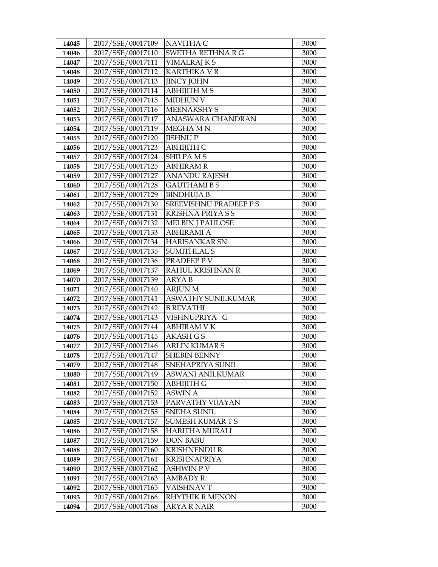| 14045 | 2017/SSE/00017109 | NAVITHA C                     | 3000 |
|-------|-------------------|-------------------------------|------|
| 14046 | 2017/SSE/00017110 | SWETHA RETHNA R G             | 3000 |
| 14047 | 2017/SSE/00017111 | <b>VIMALRAJ K S</b>           | 3000 |
| 14048 | 2017/SSE/00017112 | <b>KARTHIKA V R</b>           | 3000 |
| 14049 | 2017/SSE/00017113 | <b>JINCY JOHN</b>             | 3000 |
| 14050 | 2017/SSE/00017114 | <b>ABHIJITH MS</b>            | 3000 |
| 14051 | 2017/SSE/00017115 | <b>MIDHUN V</b>               | 3000 |
| 14052 | 2017/SSE/00017116 | <b>MEENAKSHY S</b>            | 3000 |
| 14053 | 2017/SSE/00017117 | ANASWARA CHANDRAN             | 3000 |
| 14054 | 2017/SSE/00017119 | MEGHA MN                      | 3000 |
| 14055 | 2017/SSE/00017120 | <b>JISHNUP</b>                | 3000 |
| 14056 | 2017/SSE/00017123 | АВНІЈІТН С                    | 3000 |
| 14057 | 2017/SSE/00017124 | <b>SHILPA MS</b>              | 3000 |
| 14058 | 2017/SSE/00017125 | <b>ABHIRAM R</b>              | 3000 |
| 14059 | 2017/SSE/00017127 | <b>ANANDU RAJESH</b>          | 3000 |
| 14060 | 2017/SSE/00017128 | <b>GAUTHAMIBS</b>             | 3000 |
| 14061 | 2017/SSE/00017129 | <b>BINDHUJA B</b>             | 3000 |
| 14062 | 2017/SSE/00017130 | <b>SREEVISHNU PRADEEP P S</b> | 3000 |
| 14063 | 2017/SSE/00017131 | KRISHNA PRIYA S S             | 3000 |
| 14064 | 2017/SSE/00017132 | <b>MELBIN J PAULOSE</b>       | 3000 |
| 14065 | 2017/SSE/00017133 | <b>ABHIRAMI A</b>             | 3000 |
| 14066 | 2017/SSE/00017134 | <b>HARISANKAR SN</b>          | 3000 |
| 14067 | 2017/SSE/00017135 | <b>SUMITHLAL S</b>            | 3000 |
| 14068 | 2017/SSE/00017136 | PRADEEP P V                   | 3000 |
| 14069 | 2017/SSE/00017137 | RAHUL KRISHNAN R              | 3000 |
| 14070 | 2017/SSE/00017139 | <b>ARYAB</b>                  | 3000 |
| 14071 | 2017/SSE/00017140 | <b>ARJUN M</b>                | 3000 |
| 14072 | 2017/SSE/00017141 | <b>ASWATHY SUNILKUMAR</b>     | 3000 |
| 14073 | 2017/SSE/00017142 | <b>B REVATHI</b>              | 3000 |
| 14074 | 2017/SSE/00017143 | VISHNUPRIYA G                 | 3000 |
| 14075 | 2017/SSE/00017144 | <b>ABHIRAM V K</b>            | 3000 |
| 14076 | 2017/SSE/00017145 | <b>AKASH G S</b>              | 3000 |
| 14077 | 2017/SSE/00017146 | <b>ARLIN KUMAR S</b>          | 3000 |
| 14078 | 2017/SSE/00017147 | <b>SHEBIN BENNY</b>           | 3000 |
| 14079 | 2017/SSE/00017148 | SNEHAPRIYA SUNIL              | 3000 |
| 14080 | 2017/SSE/00017149 | ASWANI ANILKUMAR              | 3000 |
| 14081 | 2017/SSE/00017150 | ABHIJITH G                    | 3000 |
| 14082 | 2017/SSE/00017152 | <b>ASWIN A</b>                | 3000 |
| 14083 | 2017/SSE/00017153 | PARVATHY VIJAYAN              | 3000 |
| 14084 | 2017/SSE/00017155 | SNEHA SUNIL                   | 3000 |
| 14085 | 2017/SSE/00017157 | <b>SUMESH KUMARTS</b>         | 3000 |
| 14086 | 2017/SSE/00017158 | HARITHA MURALI                | 3000 |
| 14087 | 2017/SSE/00017159 | <b>DON BABU</b>               | 3000 |
| 14088 | 2017/SSE/00017160 | <b>KRISHNENDU R</b>           | 3000 |
| 14089 | 2017/SSE/00017161 | <b>KRISHNAPRIYA</b>           | 3000 |
| 14090 | 2017/SSE/00017162 | <b>ASHWIN P V</b>             | 3000 |
| 14091 | 2017/SSE/00017163 | AMBADY R                      | 3000 |
| 14092 | 2017/SSE/00017165 | VAISHNAV T                    | 3000 |
| 14093 | 2017/SSE/00017166 | RHYTHIK R MENON               | 3000 |
| 14094 | 2017/SSE/00017168 | ARYA R NAIR                   | 3000 |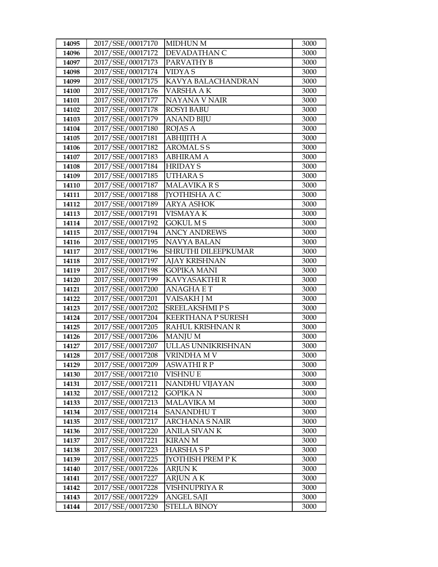| 2017/SSE/00017170                               | 3000                       |
|-------------------------------------------------|----------------------------|
| 14095                                           | <b>MIDHUN M</b>            |
| 2017/SSE/00017172                               | DEVADATHAN C               |
| 14096                                           | 3000                       |
| 2017/SSE/00017173                               | PARVATHY B                 |
| 14097                                           | 3000                       |
| 2017/SSE/00017174<br><b>VIDYAS</b><br>14098     | 3000                       |
| 2017/SSE/00017175                               | KAVYA BALACHANDRAN         |
| 14099                                           | 3000                       |
| 2017/SSE/00017176                               | VARSHA A K                 |
| 14100                                           | 3000                       |
| 2017/SSE/00017177                               | NAYANA V NAIR              |
| 14101                                           | 3000                       |
| 2017/SSE/00017178                               | <b>ROSYI BABU</b>          |
| 14102                                           | 3000                       |
| 2017/SSE/00017179                               | <b>ANAND BIJU</b>          |
| 14103                                           | 3000                       |
| 2017/SSE/00017180<br><b>ROJAS A</b><br>14104    | 3000                       |
| 2017/SSE/00017181                               | АВНІЈІТНА                  |
| 14105                                           | 3000                       |
| 2017/SSE/00017182                               | <b>AROMALSS</b>            |
| 14106                                           | 3000                       |
| 2017/SSE/00017183                               | <b>ABHIRAM A</b>           |
| 14107                                           | 3000                       |
| 2017/SSE/00017184<br><b>HRIDAY S</b><br>14108   | 3000                       |
| 2017/SSE/00017185                               | <b>UTHARAS</b>             |
| 14109                                           | 3000                       |
| 2017/SSE/00017187                               | <b>MALAVIKARS</b>          |
| 14110                                           | 3000                       |
| 2017/SSE/00017188                               | <b>IYOTHISHA A C</b>       |
| 14111                                           | 3000                       |
| 2017/SSE/00017189                               | <b>ARYA ASHOK</b>          |
| 14112                                           | 3000                       |
| 2017/SSE/00017191                               | VISMAYA K                  |
| 14113                                           | 3000                       |
| 2017/SSE/00017192                               | <b>GOKUL MS</b>            |
| 14114                                           | 3000                       |
| 2017/SSE/00017194                               | <b>ANCY ANDREWS</b>        |
| 14115                                           | 3000                       |
| 2017/SSE/00017195                               | <b>NAVYA BALAN</b>         |
| 14116                                           | 3000                       |
| 2017/SSE/00017196                               | SHRUTHI DILEEPKUMAR        |
| 14117                                           | 3000                       |
| 2017/SSE/00017197                               | <b>AJAY KRISHNAN</b>       |
| 14118                                           | 3000                       |
| 2017/SSE/00017198                               | <b>GOPIKA MANI</b>         |
| 14119                                           | 3000                       |
| 2017/SSE/00017199                               | KAVYASAKTHI R              |
| 14120                                           | 3000                       |
| 14121                                           | <b>ANAGHAET</b>            |
| 2017/SSE/00017200                               | 3000                       |
| 2017/SSE/00017201                               | VAISAKH J M                |
| 14122                                           | 3000                       |
| 2017/SSE/00017202                               | <b>SREELAKSHMIPS</b>       |
| 14123                                           | 3000                       |
| 2017/SSE/00017204                               | <b>KEERTHANA P SURESH</b>  |
| 14124                                           | 3000                       |
| 2017/SSE/00017205                               | RAHUL KRISHNAN R           |
| 14125                                           | 3000                       |
| 14126<br>2017/SSE/00017206<br><b>MANJUM</b>     | 3000                       |
| 2017/SSE/00017207<br>14127<br>2017/SSE/00017208 | ULLAS UNNIKRISHNAN<br>3000 |
| 14128                                           | VRINDHA M V<br>3000        |
| 2017/SSE/00017209                               | <b>ASWATHI R P</b>         |
| 14129                                           | 3000                       |
| 2017/SSE/00017210                               | VISHNU E                   |
| 14130                                           | 3000                       |
| 2017/SSE/00017211                               | NANDHU VIJAYAN             |
| 14131                                           | 3000                       |
| 2017/SSE/00017212                               | <b>GOPIKAN</b>             |
| 14132                                           | 3000                       |
| 2017/SSE/00017213                               | <b>MALAVIKA M</b>          |
| 14133                                           | 3000                       |
| 2017/SSE/00017214                               | <b>SANANDHUT</b>           |
| 14134                                           | 3000                       |
| 2017/SSE/00017217                               | <b>ARCHANA S NAIR</b>      |
| 14135                                           | 3000                       |
| 2017/SSE/00017220                               | <b>ANILA SIVAN K</b>       |
| 14136                                           | 3000                       |
| 2017/SSE/00017221<br><b>KIRAN M</b><br>14137    | 3000                       |
| 2017/SSE/00017223                               | <b>HARSHASP</b>            |
| 14138                                           | 3000                       |
| 2017/SSE/00017225                               | <b>[YOTHISH PREM PK</b>    |
| 14139                                           | 3000                       |
| 2017/SSE/00017226<br>14140<br><b>ARJUNK</b>     | 3000                       |
| 2017/SSE/00017227                               | <b>ARJUN A K</b>           |
| 14141                                           | 3000                       |
| 2017/SSE/00017228<br>14142                      |                            |
|                                                 | VISHNUPRIYA R<br>3000      |
| 2017/SSE/00017229                               | <b>ANGEL SAJI</b>          |
| 14143                                           | 3000                       |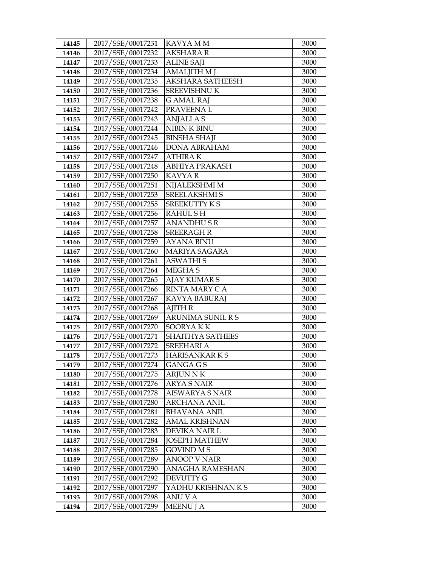| 14145          | 2017/SSE/00017231                      | KAVYA MM                                     | 3000         |
|----------------|----------------------------------------|----------------------------------------------|--------------|
| 14146          | 2017/SSE/00017232                      | <b>AKSHARA R</b>                             | 3000         |
| 14147          | 2017/SSE/00017233                      | <b>ALINE SAJI</b>                            | 3000         |
| 14148          | 2017/SSE/00017234                      | <b>AMALJITH M J</b>                          | 3000         |
| 14149          | 2017/SSE/00017235                      | <b>AKSHARA SATHEESH</b>                      | 3000         |
| 14150          | 2017/SSE/00017236                      | <b>SREEVISHNU K</b>                          | 3000         |
| 14151          | 2017/SSE/00017238                      | <b>G AMAL RAJ</b>                            | 3000         |
| 14152          | 2017/SSE/00017242                      | PRAVEENAL                                    | 3000         |
| 14153          | 2017/SSE/00017243                      | <b>ANJALIAS</b>                              | 3000         |
| 14154          | 2017/SSE/00017244                      | NIBIN K BINU                                 | 3000         |
| 14155          | 2017/SSE/00017245                      | <b>BINSHA SHAJI</b>                          | 3000         |
| 14156          | 2017/SSE/00017246                      | <b>DONA ABRAHAM</b>                          | 3000         |
| 14157          | 2017/SSE/00017247                      | <b>ATHIRAK</b>                               | 3000         |
| 14158          | 2017/SSE/00017248                      | ABHIYA PRAKASH                               | 3000         |
| 14159          | 2017/SSE/00017250                      | <b>KAVYAR</b>                                | 3000         |
| 14160          | 2017/SSE/00017251                      | NIJALEKSHMI M                                | 3000         |
| 14161          | 2017/SSE/00017253                      | <b>SREELAKSHMI S</b>                         | 3000         |
| 14162          | 2017/SSE/00017255                      | <b>SREEKUTTY KS</b>                          | 3000         |
| 14163          | 2017/SSE/00017256                      | <b>RAHULSH</b>                               | 3000         |
| 14164          | 2017/SSE/00017257                      | <b>ANANDHUSR</b>                             | 3000         |
| 14165          | 2017/SSE/00017258                      | <b>SREERAGH R</b>                            | 3000         |
| 14166          | 2017/SSE/00017259                      | <b>AYANA BINU</b>                            | 3000         |
| 14167          | 2017/SSE/00017260                      | <b>MARIYA SAGARA</b>                         | 3000         |
| 14168          | 2017/SSE/00017261                      | <b>ASWATHIS</b>                              | 3000         |
| 14169          | 2017/SSE/00017264                      | <b>MEGHAS</b>                                | 3000         |
| 14170          | 2017/SSE/00017265                      | <b>AJAY KUMAR S</b>                          | 3000         |
| 14171          | 2017/SSE/00017266                      | RINTA MARY C A                               | 3000         |
| 14172          | 2017/SSE/00017267                      | KAVYA BABURAJ                                | 3000         |
| 14173          | 2017/SSE/00017268                      | <b>AJITH R</b>                               | 3000         |
| 14174          | 2017/SSE/00017269                      | ARUNIMA SUNIL R S                            | 3000         |
| 14175          | 2017/SSE/00017270                      | SOORYAKK                                     | 3000         |
| 14176          | 2017/SSE/00017271                      | <b>SHAITHYA SATHEES</b>                      | 3000         |
| 14177          | 2017/SSE/00017272                      | <b>SREEHARI A</b>                            | 3000         |
| 14178          | 2017/SSE/00017273                      | <b>HARISANKARKS</b>                          | 3000         |
| 14179          | 2017/SSE/00017274<br>2017/SSE/00017275 | GANGA G S                                    | 3000         |
| 14180          | 2017/SSE/00017276                      | <b>ARJUN N K</b>                             | 3000         |
| 14181<br>14182 | 2017/SSE/00017278                      | <b>ARYA S NAIR</b><br><b>AISWARYA S NAIR</b> | 3000<br>3000 |
| 14183          | 2017/SSE/00017280                      | <b>ARCHANA ANIL</b>                          | 3000         |
| 14184          | 2017/SSE/00017281                      | <b>BHAVANA ANIL</b>                          | 3000         |
| 14185          | 2017/SSE/00017282                      | <b>AMAL KRISHNAN</b>                         | 3000         |
| 14186          | 2017/SSE/00017283                      | DEVIKA NAIR L                                | 3000         |
| 14187          | 2017/SSE/00017284                      | <b>JOSEPH MATHEW</b>                         | 3000         |
| 14188          | 2017/SSE/00017285                      | <b>GOVIND MS</b>                             | 3000         |
| 14189          | 2017/SSE/00017289                      | <b>ANOOP V NAIR</b>                          | 3000         |
| 14190          | 2017/SSE/00017290                      | ANAGHA RAMESHAN                              | 3000         |
| 14191          | 2017/SSE/00017292                      | DEVUTTY G                                    | 3000         |
| 14192          | 2017/SSE/00017297                      | YADHU KRISHNAN K S                           | 3000         |
| 14193          | 2017/SSE/00017298                      | ANU V A                                      | 3000         |
| 14194          | 2017/SSE/00017299                      | <b>MEENU J A</b>                             | 3000         |
|                |                                        |                                              |              |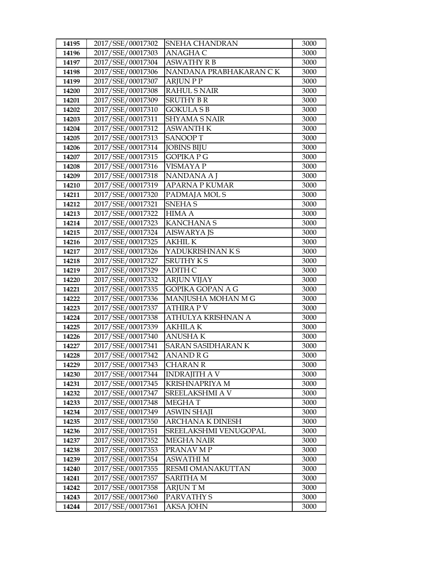| 2017/SSE/00017303<br><b>ANAGHA C</b><br>3000<br>14196<br>2017/SSE/00017304<br><b>ASWATHY R B</b><br>14197<br>3000<br>2017/SSE/00017306<br>NANDANA PRABHAKARAN CK<br>3000<br>14198<br>2017/SSE/00017307<br><b>ARJUNPP</b><br>3000<br>14199<br>2017/SSE/00017308<br><b>RAHUL S NAIR</b><br>3000<br>14200<br>2017/SSE/00017309<br><b>SRUTHY B R</b><br>14201<br>3000<br>2017/SSE/00017310<br><b>GOKULASB</b><br>14202<br>3000<br>2017/SSE/00017311<br><b>SHYAMA S NAIR</b><br>14203<br>3000<br>2017/SSE/00017312<br><b>ASWANTH K</b><br>14204<br>3000<br>2017/SSE/00017313<br><b>SANOOPT</b><br>3000<br>14205<br>2017/SSE/00017314<br><b>JOBINS BIJU</b><br>14206<br>3000<br><b>GOPIKA P G</b><br>2017/SSE/00017315<br>14207<br>3000<br>2017/SSE/00017316<br><b>VISMAYA P</b><br>3000<br>14208<br>2017/SSE/00017318<br>NANDANA A J<br>3000<br>14209<br>2017/SSE/00017319<br><b>APARNA P KUMAR</b><br>3000<br>14210<br>2017/SSE/00017320<br>14211<br>PADMAJA MOL S<br>3000<br>2017/SSE/00017321<br>14212<br>SNEHA <sub>S</sub><br>3000<br>2017/SSE/00017322<br><b>HIMA A</b><br>14213<br>3000<br>2017/SSE/00017323<br><b>KANCHANAS</b><br>14214<br>3000<br>2017/SSE/00017324<br><b>AISWARYA JS</b><br>3000<br>14215<br>2017/SSE/00017325<br><b>AKHILK</b><br>14216<br>3000<br>YADUKRISHNAN K S<br>2017/SSE/00017326<br>14217<br>3000<br>2017/SSE/00017327<br><b>SRUTHY KS</b><br>14218<br>3000<br>2017/SSE/00017329<br><b>ADITH C</b><br>3000<br>14219<br>2017/SSE/00017332<br><b>ARJUN VIJAY</b><br>3000<br>14220<br>2017/SSE/00017335<br>GOPIKA GOPAN A G<br>14221<br>3000<br>2017/SSE/00017336<br>MANJUSHA MOHAN M G<br>14222<br>3000<br>2017/SSE/00017337<br><b>ATHIRA PV</b><br>14223<br>3000<br>2017/SSE/00017338<br>ATHULYA KRISHNAN A<br>3000<br>14224<br>2017/SSE/00017339<br><b>AKHILAK</b><br>3000<br>14225<br>2017/SSE/00017340<br><b>ANUSHAK</b><br>14226<br>3000<br>SARAN SASIDHARAN K<br>14227<br>2017/SSE/00017341<br>3000<br>2017/SSE/00017342<br>14228<br><b>ANAND R G</b><br>3000<br>2017/SSE/00017343<br><b>CHARAN R</b><br>3000<br>14229<br>2017/SSE/00017344<br><b>INDRAJITH A V</b><br>14230<br>3000<br>2017/SSE/00017345<br>14231<br><b>KRISHNAPRIYA M</b><br>3000<br>2017/SSE/00017347<br>3000<br>14232<br><b>SREELAKSHMI A V</b><br>2017/SSE/00017348<br><b>MEGHAT</b><br>14233<br>3000<br>2017/SSE/00017349<br><b>ASWIN SHAJI</b><br>3000<br>14234<br>2017/SSE/00017350<br><b>ARCHANA K DINESH</b><br>14235<br>3000<br>2017/SSE/00017351<br>14236<br>SREELAKSHMI VENUGOPAL<br>3000<br>2017/SSE/00017352<br>3000<br>14237<br><b>MEGHA NAIR</b><br>2017/SSE/00017353<br>PRANAV M P<br>3000<br>14238<br>2017/SSE/00017354<br>ASWATHI M<br>3000<br>14239<br>2017/SSE/00017355<br>14240<br>RESMI OMANAKUTTAN<br>3000<br>2017/SSE/00017357<br>14241<br>SARITHA M<br>3000<br>2017/SSE/00017358<br><b>ARJUNTM</b><br>3000<br>14242<br>2017/SSE/00017360<br>PARVATHY S<br>14243<br>3000<br>2017/SSE/00017361<br>AKSA JOHN<br>3000<br>14244 | 14195 | 2017/SSE/00017302 | SNEHA CHANDRAN | 3000 |
|----------------------------------------------------------------------------------------------------------------------------------------------------------------------------------------------------------------------------------------------------------------------------------------------------------------------------------------------------------------------------------------------------------------------------------------------------------------------------------------------------------------------------------------------------------------------------------------------------------------------------------------------------------------------------------------------------------------------------------------------------------------------------------------------------------------------------------------------------------------------------------------------------------------------------------------------------------------------------------------------------------------------------------------------------------------------------------------------------------------------------------------------------------------------------------------------------------------------------------------------------------------------------------------------------------------------------------------------------------------------------------------------------------------------------------------------------------------------------------------------------------------------------------------------------------------------------------------------------------------------------------------------------------------------------------------------------------------------------------------------------------------------------------------------------------------------------------------------------------------------------------------------------------------------------------------------------------------------------------------------------------------------------------------------------------------------------------------------------------------------------------------------------------------------------------------------------------------------------------------------------------------------------------------------------------------------------------------------------------------------------------------------------------------------------------------------------------------------------------------------------------------------------------------------------------------------------------------------------------------------------------------------------------------------------------------------------------------------------------------------------------------------------------------------------------------------------------------------------------------------------------------------------------------------------------------------------------|-------|-------------------|----------------|------|
|                                                                                                                                                                                                                                                                                                                                                                                                                                                                                                                                                                                                                                                                                                                                                                                                                                                                                                                                                                                                                                                                                                                                                                                                                                                                                                                                                                                                                                                                                                                                                                                                                                                                                                                                                                                                                                                                                                                                                                                                                                                                                                                                                                                                                                                                                                                                                                                                                                                                                                                                                                                                                                                                                                                                                                                                                                                                                                                                                          |       |                   |                |      |
|                                                                                                                                                                                                                                                                                                                                                                                                                                                                                                                                                                                                                                                                                                                                                                                                                                                                                                                                                                                                                                                                                                                                                                                                                                                                                                                                                                                                                                                                                                                                                                                                                                                                                                                                                                                                                                                                                                                                                                                                                                                                                                                                                                                                                                                                                                                                                                                                                                                                                                                                                                                                                                                                                                                                                                                                                                                                                                                                                          |       |                   |                |      |
|                                                                                                                                                                                                                                                                                                                                                                                                                                                                                                                                                                                                                                                                                                                                                                                                                                                                                                                                                                                                                                                                                                                                                                                                                                                                                                                                                                                                                                                                                                                                                                                                                                                                                                                                                                                                                                                                                                                                                                                                                                                                                                                                                                                                                                                                                                                                                                                                                                                                                                                                                                                                                                                                                                                                                                                                                                                                                                                                                          |       |                   |                |      |
|                                                                                                                                                                                                                                                                                                                                                                                                                                                                                                                                                                                                                                                                                                                                                                                                                                                                                                                                                                                                                                                                                                                                                                                                                                                                                                                                                                                                                                                                                                                                                                                                                                                                                                                                                                                                                                                                                                                                                                                                                                                                                                                                                                                                                                                                                                                                                                                                                                                                                                                                                                                                                                                                                                                                                                                                                                                                                                                                                          |       |                   |                |      |
|                                                                                                                                                                                                                                                                                                                                                                                                                                                                                                                                                                                                                                                                                                                                                                                                                                                                                                                                                                                                                                                                                                                                                                                                                                                                                                                                                                                                                                                                                                                                                                                                                                                                                                                                                                                                                                                                                                                                                                                                                                                                                                                                                                                                                                                                                                                                                                                                                                                                                                                                                                                                                                                                                                                                                                                                                                                                                                                                                          |       |                   |                |      |
|                                                                                                                                                                                                                                                                                                                                                                                                                                                                                                                                                                                                                                                                                                                                                                                                                                                                                                                                                                                                                                                                                                                                                                                                                                                                                                                                                                                                                                                                                                                                                                                                                                                                                                                                                                                                                                                                                                                                                                                                                                                                                                                                                                                                                                                                                                                                                                                                                                                                                                                                                                                                                                                                                                                                                                                                                                                                                                                                                          |       |                   |                |      |
|                                                                                                                                                                                                                                                                                                                                                                                                                                                                                                                                                                                                                                                                                                                                                                                                                                                                                                                                                                                                                                                                                                                                                                                                                                                                                                                                                                                                                                                                                                                                                                                                                                                                                                                                                                                                                                                                                                                                                                                                                                                                                                                                                                                                                                                                                                                                                                                                                                                                                                                                                                                                                                                                                                                                                                                                                                                                                                                                                          |       |                   |                |      |
|                                                                                                                                                                                                                                                                                                                                                                                                                                                                                                                                                                                                                                                                                                                                                                                                                                                                                                                                                                                                                                                                                                                                                                                                                                                                                                                                                                                                                                                                                                                                                                                                                                                                                                                                                                                                                                                                                                                                                                                                                                                                                                                                                                                                                                                                                                                                                                                                                                                                                                                                                                                                                                                                                                                                                                                                                                                                                                                                                          |       |                   |                |      |
|                                                                                                                                                                                                                                                                                                                                                                                                                                                                                                                                                                                                                                                                                                                                                                                                                                                                                                                                                                                                                                                                                                                                                                                                                                                                                                                                                                                                                                                                                                                                                                                                                                                                                                                                                                                                                                                                                                                                                                                                                                                                                                                                                                                                                                                                                                                                                                                                                                                                                                                                                                                                                                                                                                                                                                                                                                                                                                                                                          |       |                   |                |      |
|                                                                                                                                                                                                                                                                                                                                                                                                                                                                                                                                                                                                                                                                                                                                                                                                                                                                                                                                                                                                                                                                                                                                                                                                                                                                                                                                                                                                                                                                                                                                                                                                                                                                                                                                                                                                                                                                                                                                                                                                                                                                                                                                                                                                                                                                                                                                                                                                                                                                                                                                                                                                                                                                                                                                                                                                                                                                                                                                                          |       |                   |                |      |
|                                                                                                                                                                                                                                                                                                                                                                                                                                                                                                                                                                                                                                                                                                                                                                                                                                                                                                                                                                                                                                                                                                                                                                                                                                                                                                                                                                                                                                                                                                                                                                                                                                                                                                                                                                                                                                                                                                                                                                                                                                                                                                                                                                                                                                                                                                                                                                                                                                                                                                                                                                                                                                                                                                                                                                                                                                                                                                                                                          |       |                   |                |      |
|                                                                                                                                                                                                                                                                                                                                                                                                                                                                                                                                                                                                                                                                                                                                                                                                                                                                                                                                                                                                                                                                                                                                                                                                                                                                                                                                                                                                                                                                                                                                                                                                                                                                                                                                                                                                                                                                                                                                                                                                                                                                                                                                                                                                                                                                                                                                                                                                                                                                                                                                                                                                                                                                                                                                                                                                                                                                                                                                                          |       |                   |                |      |
|                                                                                                                                                                                                                                                                                                                                                                                                                                                                                                                                                                                                                                                                                                                                                                                                                                                                                                                                                                                                                                                                                                                                                                                                                                                                                                                                                                                                                                                                                                                                                                                                                                                                                                                                                                                                                                                                                                                                                                                                                                                                                                                                                                                                                                                                                                                                                                                                                                                                                                                                                                                                                                                                                                                                                                                                                                                                                                                                                          |       |                   |                |      |
|                                                                                                                                                                                                                                                                                                                                                                                                                                                                                                                                                                                                                                                                                                                                                                                                                                                                                                                                                                                                                                                                                                                                                                                                                                                                                                                                                                                                                                                                                                                                                                                                                                                                                                                                                                                                                                                                                                                                                                                                                                                                                                                                                                                                                                                                                                                                                                                                                                                                                                                                                                                                                                                                                                                                                                                                                                                                                                                                                          |       |                   |                |      |
|                                                                                                                                                                                                                                                                                                                                                                                                                                                                                                                                                                                                                                                                                                                                                                                                                                                                                                                                                                                                                                                                                                                                                                                                                                                                                                                                                                                                                                                                                                                                                                                                                                                                                                                                                                                                                                                                                                                                                                                                                                                                                                                                                                                                                                                                                                                                                                                                                                                                                                                                                                                                                                                                                                                                                                                                                                                                                                                                                          |       |                   |                |      |
|                                                                                                                                                                                                                                                                                                                                                                                                                                                                                                                                                                                                                                                                                                                                                                                                                                                                                                                                                                                                                                                                                                                                                                                                                                                                                                                                                                                                                                                                                                                                                                                                                                                                                                                                                                                                                                                                                                                                                                                                                                                                                                                                                                                                                                                                                                                                                                                                                                                                                                                                                                                                                                                                                                                                                                                                                                                                                                                                                          |       |                   |                |      |
|                                                                                                                                                                                                                                                                                                                                                                                                                                                                                                                                                                                                                                                                                                                                                                                                                                                                                                                                                                                                                                                                                                                                                                                                                                                                                                                                                                                                                                                                                                                                                                                                                                                                                                                                                                                                                                                                                                                                                                                                                                                                                                                                                                                                                                                                                                                                                                                                                                                                                                                                                                                                                                                                                                                                                                                                                                                                                                                                                          |       |                   |                |      |
|                                                                                                                                                                                                                                                                                                                                                                                                                                                                                                                                                                                                                                                                                                                                                                                                                                                                                                                                                                                                                                                                                                                                                                                                                                                                                                                                                                                                                                                                                                                                                                                                                                                                                                                                                                                                                                                                                                                                                                                                                                                                                                                                                                                                                                                                                                                                                                                                                                                                                                                                                                                                                                                                                                                                                                                                                                                                                                                                                          |       |                   |                |      |
|                                                                                                                                                                                                                                                                                                                                                                                                                                                                                                                                                                                                                                                                                                                                                                                                                                                                                                                                                                                                                                                                                                                                                                                                                                                                                                                                                                                                                                                                                                                                                                                                                                                                                                                                                                                                                                                                                                                                                                                                                                                                                                                                                                                                                                                                                                                                                                                                                                                                                                                                                                                                                                                                                                                                                                                                                                                                                                                                                          |       |                   |                |      |
|                                                                                                                                                                                                                                                                                                                                                                                                                                                                                                                                                                                                                                                                                                                                                                                                                                                                                                                                                                                                                                                                                                                                                                                                                                                                                                                                                                                                                                                                                                                                                                                                                                                                                                                                                                                                                                                                                                                                                                                                                                                                                                                                                                                                                                                                                                                                                                                                                                                                                                                                                                                                                                                                                                                                                                                                                                                                                                                                                          |       |                   |                |      |
|                                                                                                                                                                                                                                                                                                                                                                                                                                                                                                                                                                                                                                                                                                                                                                                                                                                                                                                                                                                                                                                                                                                                                                                                                                                                                                                                                                                                                                                                                                                                                                                                                                                                                                                                                                                                                                                                                                                                                                                                                                                                                                                                                                                                                                                                                                                                                                                                                                                                                                                                                                                                                                                                                                                                                                                                                                                                                                                                                          |       |                   |                |      |
|                                                                                                                                                                                                                                                                                                                                                                                                                                                                                                                                                                                                                                                                                                                                                                                                                                                                                                                                                                                                                                                                                                                                                                                                                                                                                                                                                                                                                                                                                                                                                                                                                                                                                                                                                                                                                                                                                                                                                                                                                                                                                                                                                                                                                                                                                                                                                                                                                                                                                                                                                                                                                                                                                                                                                                                                                                                                                                                                                          |       |                   |                |      |
|                                                                                                                                                                                                                                                                                                                                                                                                                                                                                                                                                                                                                                                                                                                                                                                                                                                                                                                                                                                                                                                                                                                                                                                                                                                                                                                                                                                                                                                                                                                                                                                                                                                                                                                                                                                                                                                                                                                                                                                                                                                                                                                                                                                                                                                                                                                                                                                                                                                                                                                                                                                                                                                                                                                                                                                                                                                                                                                                                          |       |                   |                |      |
|                                                                                                                                                                                                                                                                                                                                                                                                                                                                                                                                                                                                                                                                                                                                                                                                                                                                                                                                                                                                                                                                                                                                                                                                                                                                                                                                                                                                                                                                                                                                                                                                                                                                                                                                                                                                                                                                                                                                                                                                                                                                                                                                                                                                                                                                                                                                                                                                                                                                                                                                                                                                                                                                                                                                                                                                                                                                                                                                                          |       |                   |                |      |
|                                                                                                                                                                                                                                                                                                                                                                                                                                                                                                                                                                                                                                                                                                                                                                                                                                                                                                                                                                                                                                                                                                                                                                                                                                                                                                                                                                                                                                                                                                                                                                                                                                                                                                                                                                                                                                                                                                                                                                                                                                                                                                                                                                                                                                                                                                                                                                                                                                                                                                                                                                                                                                                                                                                                                                                                                                                                                                                                                          |       |                   |                |      |
|                                                                                                                                                                                                                                                                                                                                                                                                                                                                                                                                                                                                                                                                                                                                                                                                                                                                                                                                                                                                                                                                                                                                                                                                                                                                                                                                                                                                                                                                                                                                                                                                                                                                                                                                                                                                                                                                                                                                                                                                                                                                                                                                                                                                                                                                                                                                                                                                                                                                                                                                                                                                                                                                                                                                                                                                                                                                                                                                                          |       |                   |                |      |
|                                                                                                                                                                                                                                                                                                                                                                                                                                                                                                                                                                                                                                                                                                                                                                                                                                                                                                                                                                                                                                                                                                                                                                                                                                                                                                                                                                                                                                                                                                                                                                                                                                                                                                                                                                                                                                                                                                                                                                                                                                                                                                                                                                                                                                                                                                                                                                                                                                                                                                                                                                                                                                                                                                                                                                                                                                                                                                                                                          |       |                   |                |      |
|                                                                                                                                                                                                                                                                                                                                                                                                                                                                                                                                                                                                                                                                                                                                                                                                                                                                                                                                                                                                                                                                                                                                                                                                                                                                                                                                                                                                                                                                                                                                                                                                                                                                                                                                                                                                                                                                                                                                                                                                                                                                                                                                                                                                                                                                                                                                                                                                                                                                                                                                                                                                                                                                                                                                                                                                                                                                                                                                                          |       |                   |                |      |
|                                                                                                                                                                                                                                                                                                                                                                                                                                                                                                                                                                                                                                                                                                                                                                                                                                                                                                                                                                                                                                                                                                                                                                                                                                                                                                                                                                                                                                                                                                                                                                                                                                                                                                                                                                                                                                                                                                                                                                                                                                                                                                                                                                                                                                                                                                                                                                                                                                                                                                                                                                                                                                                                                                                                                                                                                                                                                                                                                          |       |                   |                |      |
|                                                                                                                                                                                                                                                                                                                                                                                                                                                                                                                                                                                                                                                                                                                                                                                                                                                                                                                                                                                                                                                                                                                                                                                                                                                                                                                                                                                                                                                                                                                                                                                                                                                                                                                                                                                                                                                                                                                                                                                                                                                                                                                                                                                                                                                                                                                                                                                                                                                                                                                                                                                                                                                                                                                                                                                                                                                                                                                                                          |       |                   |                |      |
|                                                                                                                                                                                                                                                                                                                                                                                                                                                                                                                                                                                                                                                                                                                                                                                                                                                                                                                                                                                                                                                                                                                                                                                                                                                                                                                                                                                                                                                                                                                                                                                                                                                                                                                                                                                                                                                                                                                                                                                                                                                                                                                                                                                                                                                                                                                                                                                                                                                                                                                                                                                                                                                                                                                                                                                                                                                                                                                                                          |       |                   |                |      |
|                                                                                                                                                                                                                                                                                                                                                                                                                                                                                                                                                                                                                                                                                                                                                                                                                                                                                                                                                                                                                                                                                                                                                                                                                                                                                                                                                                                                                                                                                                                                                                                                                                                                                                                                                                                                                                                                                                                                                                                                                                                                                                                                                                                                                                                                                                                                                                                                                                                                                                                                                                                                                                                                                                                                                                                                                                                                                                                                                          |       |                   |                |      |
|                                                                                                                                                                                                                                                                                                                                                                                                                                                                                                                                                                                                                                                                                                                                                                                                                                                                                                                                                                                                                                                                                                                                                                                                                                                                                                                                                                                                                                                                                                                                                                                                                                                                                                                                                                                                                                                                                                                                                                                                                                                                                                                                                                                                                                                                                                                                                                                                                                                                                                                                                                                                                                                                                                                                                                                                                                                                                                                                                          |       |                   |                |      |
|                                                                                                                                                                                                                                                                                                                                                                                                                                                                                                                                                                                                                                                                                                                                                                                                                                                                                                                                                                                                                                                                                                                                                                                                                                                                                                                                                                                                                                                                                                                                                                                                                                                                                                                                                                                                                                                                                                                                                                                                                                                                                                                                                                                                                                                                                                                                                                                                                                                                                                                                                                                                                                                                                                                                                                                                                                                                                                                                                          |       |                   |                |      |
|                                                                                                                                                                                                                                                                                                                                                                                                                                                                                                                                                                                                                                                                                                                                                                                                                                                                                                                                                                                                                                                                                                                                                                                                                                                                                                                                                                                                                                                                                                                                                                                                                                                                                                                                                                                                                                                                                                                                                                                                                                                                                                                                                                                                                                                                                                                                                                                                                                                                                                                                                                                                                                                                                                                                                                                                                                                                                                                                                          |       |                   |                |      |
|                                                                                                                                                                                                                                                                                                                                                                                                                                                                                                                                                                                                                                                                                                                                                                                                                                                                                                                                                                                                                                                                                                                                                                                                                                                                                                                                                                                                                                                                                                                                                                                                                                                                                                                                                                                                                                                                                                                                                                                                                                                                                                                                                                                                                                                                                                                                                                                                                                                                                                                                                                                                                                                                                                                                                                                                                                                                                                                                                          |       |                   |                |      |
|                                                                                                                                                                                                                                                                                                                                                                                                                                                                                                                                                                                                                                                                                                                                                                                                                                                                                                                                                                                                                                                                                                                                                                                                                                                                                                                                                                                                                                                                                                                                                                                                                                                                                                                                                                                                                                                                                                                                                                                                                                                                                                                                                                                                                                                                                                                                                                                                                                                                                                                                                                                                                                                                                                                                                                                                                                                                                                                                                          |       |                   |                |      |
|                                                                                                                                                                                                                                                                                                                                                                                                                                                                                                                                                                                                                                                                                                                                                                                                                                                                                                                                                                                                                                                                                                                                                                                                                                                                                                                                                                                                                                                                                                                                                                                                                                                                                                                                                                                                                                                                                                                                                                                                                                                                                                                                                                                                                                                                                                                                                                                                                                                                                                                                                                                                                                                                                                                                                                                                                                                                                                                                                          |       |                   |                |      |
|                                                                                                                                                                                                                                                                                                                                                                                                                                                                                                                                                                                                                                                                                                                                                                                                                                                                                                                                                                                                                                                                                                                                                                                                                                                                                                                                                                                                                                                                                                                                                                                                                                                                                                                                                                                                                                                                                                                                                                                                                                                                                                                                                                                                                                                                                                                                                                                                                                                                                                                                                                                                                                                                                                                                                                                                                                                                                                                                                          |       |                   |                |      |
|                                                                                                                                                                                                                                                                                                                                                                                                                                                                                                                                                                                                                                                                                                                                                                                                                                                                                                                                                                                                                                                                                                                                                                                                                                                                                                                                                                                                                                                                                                                                                                                                                                                                                                                                                                                                                                                                                                                                                                                                                                                                                                                                                                                                                                                                                                                                                                                                                                                                                                                                                                                                                                                                                                                                                                                                                                                                                                                                                          |       |                   |                |      |
|                                                                                                                                                                                                                                                                                                                                                                                                                                                                                                                                                                                                                                                                                                                                                                                                                                                                                                                                                                                                                                                                                                                                                                                                                                                                                                                                                                                                                                                                                                                                                                                                                                                                                                                                                                                                                                                                                                                                                                                                                                                                                                                                                                                                                                                                                                                                                                                                                                                                                                                                                                                                                                                                                                                                                                                                                                                                                                                                                          |       |                   |                |      |
|                                                                                                                                                                                                                                                                                                                                                                                                                                                                                                                                                                                                                                                                                                                                                                                                                                                                                                                                                                                                                                                                                                                                                                                                                                                                                                                                                                                                                                                                                                                                                                                                                                                                                                                                                                                                                                                                                                                                                                                                                                                                                                                                                                                                                                                                                                                                                                                                                                                                                                                                                                                                                                                                                                                                                                                                                                                                                                                                                          |       |                   |                |      |
|                                                                                                                                                                                                                                                                                                                                                                                                                                                                                                                                                                                                                                                                                                                                                                                                                                                                                                                                                                                                                                                                                                                                                                                                                                                                                                                                                                                                                                                                                                                                                                                                                                                                                                                                                                                                                                                                                                                                                                                                                                                                                                                                                                                                                                                                                                                                                                                                                                                                                                                                                                                                                                                                                                                                                                                                                                                                                                                                                          |       |                   |                |      |
|                                                                                                                                                                                                                                                                                                                                                                                                                                                                                                                                                                                                                                                                                                                                                                                                                                                                                                                                                                                                                                                                                                                                                                                                                                                                                                                                                                                                                                                                                                                                                                                                                                                                                                                                                                                                                                                                                                                                                                                                                                                                                                                                                                                                                                                                                                                                                                                                                                                                                                                                                                                                                                                                                                                                                                                                                                                                                                                                                          |       |                   |                |      |
|                                                                                                                                                                                                                                                                                                                                                                                                                                                                                                                                                                                                                                                                                                                                                                                                                                                                                                                                                                                                                                                                                                                                                                                                                                                                                                                                                                                                                                                                                                                                                                                                                                                                                                                                                                                                                                                                                                                                                                                                                                                                                                                                                                                                                                                                                                                                                                                                                                                                                                                                                                                                                                                                                                                                                                                                                                                                                                                                                          |       |                   |                |      |
|                                                                                                                                                                                                                                                                                                                                                                                                                                                                                                                                                                                                                                                                                                                                                                                                                                                                                                                                                                                                                                                                                                                                                                                                                                                                                                                                                                                                                                                                                                                                                                                                                                                                                                                                                                                                                                                                                                                                                                                                                                                                                                                                                                                                                                                                                                                                                                                                                                                                                                                                                                                                                                                                                                                                                                                                                                                                                                                                                          |       |                   |                |      |
|                                                                                                                                                                                                                                                                                                                                                                                                                                                                                                                                                                                                                                                                                                                                                                                                                                                                                                                                                                                                                                                                                                                                                                                                                                                                                                                                                                                                                                                                                                                                                                                                                                                                                                                                                                                                                                                                                                                                                                                                                                                                                                                                                                                                                                                                                                                                                                                                                                                                                                                                                                                                                                                                                                                                                                                                                                                                                                                                                          |       |                   |                |      |
|                                                                                                                                                                                                                                                                                                                                                                                                                                                                                                                                                                                                                                                                                                                                                                                                                                                                                                                                                                                                                                                                                                                                                                                                                                                                                                                                                                                                                                                                                                                                                                                                                                                                                                                                                                                                                                                                                                                                                                                                                                                                                                                                                                                                                                                                                                                                                                                                                                                                                                                                                                                                                                                                                                                                                                                                                                                                                                                                                          |       |                   |                |      |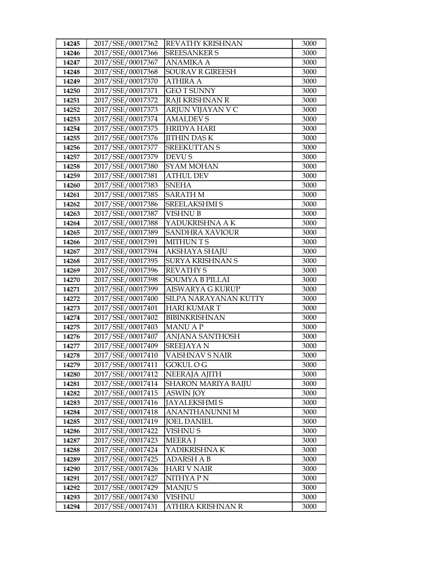| 14245          | 2017/SSE/00017362                      | REVATHY KRISHNAN            | 3000         |
|----------------|----------------------------------------|-----------------------------|--------------|
| 14246          | 2017/SSE/00017366                      | <b>SREESANKER S</b>         | 3000         |
| 14247          | 2017/SSE/00017367                      | <b>ANAMIKA A</b>            | 3000         |
| 14248          | 2017/SSE/00017368                      | <b>SOURAV R GIREESH</b>     | 3000         |
| 14249          | 2017/SSE/00017370                      | <b>ATHIRA A</b>             | 3000         |
| 14250          | 2017/SSE/00017371                      | <b>GEOT SUNNY</b>           | 3000         |
| 14251          | 2017/SSE/00017372                      | RAJI KRISHNAN R             | 3000         |
| 14252          | 2017/SSE/00017373                      | ARJUN VIJAYAN V C           | 3000         |
| 14253          | 2017/SSE/00017374                      | <b>AMALDEVS</b>             | 3000         |
| 14254          | 2017/SSE/00017375                      | <b>HRIDYA HARI</b>          | 3000         |
| 14255          | 2017/SSE/00017376                      | <b>JITHIN DASK</b>          | 3000         |
| 14256          | 2017/SSE/00017377                      | <b>SREEKUTTAN S</b>         | 3000         |
| 14257          | 2017/SSE/00017379                      | <b>DEVU S</b>               | 3000         |
| 14258          | 2017/SSE/00017380                      | <b>SYAM MOHAN</b>           | 3000         |
| 14259          | 2017/SSE/00017381                      | <b>ATHUL DEV</b>            | 3000         |
| 14260          | 2017/SSE/00017383                      | <b>SNEHA</b>                | 3000         |
| 14261          | 2017/SSE/00017385                      | <b>SARATH M</b>             | 3000         |
| 14262          | 2017/SSE/00017386                      | <b>SREELAKSHMI S</b>        | 3000         |
| 14263          | 2017/SSE/00017387                      | <b>VISHNU B</b>             | 3000         |
| 14264          | 2017/SSE/00017388                      | YADUKRISHNA A K             | 3000         |
| 14265          | 2017/SSE/00017389                      | <b>SANDHRA XAVIOUR</b>      | 3000         |
| 14266          | 2017/SSE/00017391                      | <b>MITHUNTS</b>             | 3000         |
| 14267          | 2017/SSE/00017394                      | AKSHAYA SHAJU               | 3000         |
| 14268          | 2017/SSE/00017395                      | <b>SURYA KRISHNAN S</b>     | 3000         |
| 14269          | 2017/SSE/00017396                      | <b>REVATHY S</b>            | 3000         |
| 14270          | 2017/SSE/00017398                      | <b>SOUMYA B PILLAI</b>      | 3000         |
| 14271          | 2017/SSE/00017399                      | AISWARYA G KURUP            | 3000         |
| 14272          | 2017/SSE/00017400                      | SILPA NARAYANAN KUTTY       | 3000         |
| 14273          | 2017/SSE/00017401                      | <b>HARI KUMAR T</b>         | 3000         |
| 14274          | 2017/SSE/00017402                      | <b>BIBINKRISHNAN</b>        | 3000         |
| 14275          | 2017/SSE/00017403                      | <b>MANUAP</b>               | 3000         |
| 14276          | 2017/SSE/00017407                      | <b>ANJANA SANTHOSH</b>      | 3000         |
| 14277          | 2017/SSE/00017409                      | <b>SREEJAYA N</b>           | 3000         |
| 14278          | 2017/SSE/00017410                      |                             |              |
| 14279          |                                        | <b>VAISHNAV S NAIR</b>      | 3000         |
|                | 2017/SSE/00017411                      | <b>GOKUL O G</b>            | 3000         |
| 14280          | 2017/SSE/00017412                      | NEERAJA AJITH               | 3000         |
| 14281          | 2017/SSE/00017414                      | SHARON MARIYA BAIJU         | 3000         |
| 14282          | 2017/SSE/00017415                      | ASWIN JOY                   | 3000         |
| 14283          | 2017/SSE/00017416                      | <b>JAYALEKSHMIS</b>         | 3000         |
| 14284          | 2017/SSE/00017418                      | ANANTHANUNNI M              | 3000         |
| 14285          | 2017/SSE/00017419                      | <b>JOEL DANIEL</b>          | 3000         |
| 14286          | 2017/SSE/00017422                      | VISHNU S                    | 3000         |
| 14287          | 2017/SSE/00017423                      | <b>MEERA J</b>              | 3000         |
| 14288          | 2017/SSE/00017424                      | YADIKRISHNA K               | 3000         |
| 14289          | 2017/SSE/00017425                      | ADARSH A B                  | 3000         |
| 14290          | 2017/SSE/00017426                      | <b>HARI V NAIR</b>          | 3000         |
| 14291          | 2017/SSE/00017427                      | NITHYA P N                  | 3000         |
| 14292          | 2017/SSE/00017429                      | <b>MANJUS</b>               | 3000         |
| 14293<br>14294 | 2017/SSE/00017430<br>2017/SSE/00017431 | VISHNU<br>ATHIRA KRISHNAN R | 3000<br>3000 |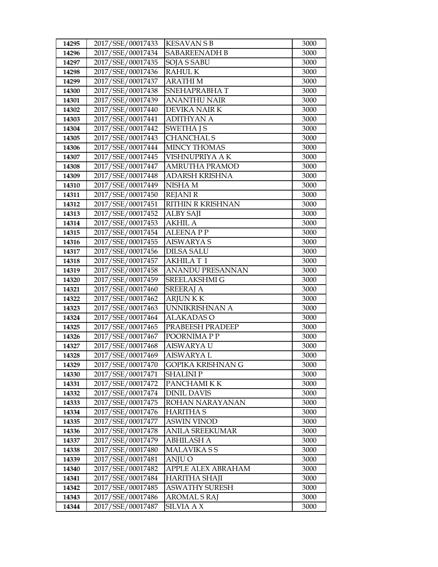| 14295          | 2017/SSE/00017433                      | <b>KESAVAN S B</b>                     | 3000         |
|----------------|----------------------------------------|----------------------------------------|--------------|
| 14296          | 2017/SSE/00017434                      | <b>SABAREENADH B</b>                   | 3000         |
| 14297          | 2017/SSE/00017435                      | <b>SOJA S SABU</b>                     | 3000         |
| 14298          | 2017/SSE/00017436                      | <b>RAHULK</b>                          | 3000         |
| 14299          | 2017/SSE/00017437                      | <b>ARATHIM</b>                         | 3000         |
| 14300          | 2017/SSE/00017438                      | SNEHAPRABHAT                           | 3000         |
| 14301          | 2017/SSE/00017439                      | <b>ANANTHU NAIR</b>                    | 3000         |
| 14302          | 2017/SSE/00017440                      | DEVIKA NAIR K                          | 3000         |
| 14303          | 2017/SSE/00017441                      | <b>ADITHYAN A</b>                      | 3000         |
| 14304          | 2017/SSE/00017442                      | <b>SWETHA JS</b>                       | 3000         |
| 14305          | 2017/SSE/00017443                      | <b>CHANCHAL S</b>                      | 3000         |
| 14306          | 2017/SSE/00017444                      | <b>MINCY THOMAS</b>                    | 3000         |
| 14307          | 2017/SSE/00017445                      | VISHNUPRIYA A K                        | 3000         |
| 14308          | 2017/SSE/00017447                      | AMRUTHA PRAMOD                         | 3000         |
| 14309          | 2017/SSE/00017448                      | <b>ADARSH KRISHNA</b>                  | 3000         |
| 14310          | 2017/SSE/00017449                      | NISHA M                                | 3000         |
| 14311          | 2017/SSE/00017450                      | <b>REJANI R</b>                        | 3000         |
| 14312          | 2017/SSE/00017451                      | RITHIN R KRISHNAN                      | 3000         |
| 14313          | 2017/SSE/00017452                      | <b>ALBY SAJI</b>                       | 3000         |
| 14314          | 2017/SSE/00017453                      | <b>AKHIL A</b>                         | 3000         |
| 14315          | 2017/SSE/00017454                      | <b>ALEENA P P</b>                      | 3000         |
| 14316          | 2017/SSE/00017455                      | <b>AISWARYA S</b>                      | 3000         |
| 14317          | 2017/SSE/00017456                      | <b>DILSA SALU</b>                      | 3000         |
| 14318          | 2017/SSE/00017457                      | <b>AKHILAT I</b>                       | 3000         |
| 14319          | 2017/SSE/00017458                      | <b>ANANDU PRESANNAN</b>                | 3000         |
| 14320          | 2017/SSE/00017459                      | SREELAKSHMI G                          | 3000         |
| 14321          | 2017/SSE/00017460                      | <b>SREERAJ A</b>                       | 3000         |
| 14322          | 2017/SSE/00017462                      | <b>ARJUNKK</b>                         | 3000         |
| 14323          | 2017/SSE/00017463                      | UNNIKRISHNAN A                         | 3000         |
| 14324          | 2017/SSE/00017464                      | <b>ALAKADAS O</b>                      | 3000         |
| 14325          | 2017/SSE/00017465                      | PRABEESH PRADEEP                       | 3000         |
| 14326          | 2017/SSE/00017467                      | POORNIMA P P                           | 3000         |
| 14327          | 2017/SSE/00017468<br>2017/SSE/00017469 | <b>AISWARYA U</b><br><b>AISWARYA L</b> | 3000         |
| 14328          |                                        |                                        | 3000         |
| 14329          | 2017/SSE/00017470<br>2017/SSE/00017471 | GOPIKA KRISHNAN G                      | 3000<br>3000 |
| 14330          |                                        | <b>SHALINIP</b>                        |              |
| 14331<br>14332 | 2017/SSE/00017472<br>2017/SSE/00017474 | PANCHAMI K K<br><b>DINIL DAVIS</b>     | 3000<br>3000 |
| 14333          | 2017/SSE/00017475                      | ROHAN NARAYANAN                        | 3000         |
| 14334          | 2017/SSE/00017476                      | <b>HARITHA S</b>                       | 3000         |
| 14335          | 2017/SSE/00017477                      | <b>ASWIN VINOD</b>                     | 3000         |
| 14336          | 2017/SSE/00017478                      | <b>ANILA SREEKUMAR</b>                 | 3000         |
| 14337          | 2017/SSE/00017479                      | <b>ABHILASH A</b>                      | 3000         |
| 14338          | 2017/SSE/00017480                      | <b>MALAVIKASS</b>                      | 3000         |
| 14339          | 2017/SSE/00017481                      | ANJU O                                 | 3000         |
| 14340          | 2017/SSE/00017482                      | APPLE ALEX ABRAHAM                     | 3000         |
| 14341          | 2017/SSE/00017484                      | HARITHA SHAJI                          | 3000         |
| 14342          | 2017/SSE/00017485                      | <b>ASWATHY SURESH</b>                  | 3000         |
| 14343          | 2017/SSE/00017486                      | <b>AROMAL S RAJ</b>                    | 3000         |
| 14344          | 2017/SSE/00017487                      | SILVIA A X                             | 3000         |
|                |                                        |                                        |              |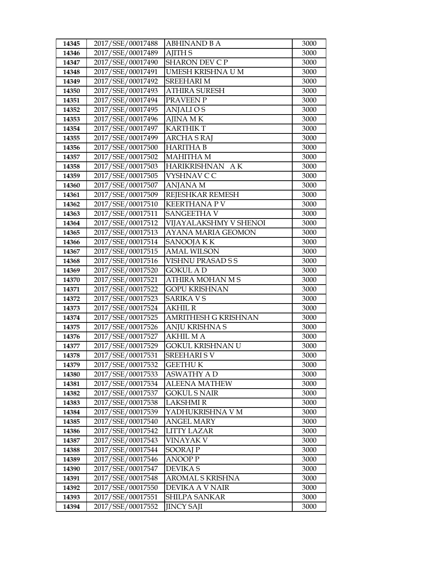| 2017/SSE/00017489<br><b>AJITH S</b><br>3000<br>14346<br><b>SHARON DEV C P</b><br>2017/SSE/00017490<br>14347<br>3000<br>2017/SSE/00017491<br>UMESH KRISHNA U M<br>3000<br>14348<br>2017/SSE/00017492<br><b>SREEHARI M</b><br>3000<br>14349<br>2017/SSE/00017493<br><b>ATHIRA SURESH</b><br>3000<br>14350<br>2017/SSE/00017494<br>PRAVEEN P<br>14351<br>3000<br>2017/SSE/00017495<br>14352<br>ANJALI O S<br>3000<br>2017/SSE/00017496<br><b>AJINA MK</b><br>14353<br>3000<br>2017/SSE/00017497<br><b>KARTHIK T</b><br>3000<br>14354<br>2017/SSE/00017499<br><b>ARCHA S RAJ</b><br>3000<br>14355<br>2017/SSE/00017500<br><b>HARITHA B</b><br>14356<br>3000<br>2017/SSE/00017502<br><b>MAHITHA M</b><br>14357<br>3000<br>2017/SSE/00017503<br>HARIKRISHNAN AK<br>3000<br>14358<br>2017/SSE/00017505<br>VYSHNAV C C<br>3000<br>14359<br>2017/SSE/00017507<br><b>ANJANA M</b><br>3000<br>14360<br>2017/SSE/00017509<br>REJESHKAR REMESH<br>14361<br>3000<br>2017/SSE/00017510<br><b>KEERTHANA PV</b><br>14362<br>3000<br>2017/SSE/00017511<br><b>SANGEETHA V</b><br>14363<br>3000<br>2017/SSE/00017512<br>VIJAYALAKSHMY V SHENOI<br>3000<br>14364<br>2017/SSE/00017513<br><b>AYANA MARIA GEOMON</b><br>3000<br>14365<br>2017/SSE/00017514<br>SANOOJA K K<br>14366<br>3000<br>2017/SSE/00017515<br><b>AMAL WILSON</b><br>14367<br>3000<br>2017/SSE/00017516<br>VISHNU PRASAD S S<br>3000<br>14368<br>2017/SSE/00017520<br><b>GOKUL A D</b><br>3000<br>14369<br>2017/SSE/00017521<br>ATHIRA MOHAN M S<br>3000<br>14370<br>2017/SSE/00017522<br><b>GOPU KRISHNAN</b><br>14371<br>3000<br>2017/SSE/00017523<br><b>SARIKA VS</b><br>14372<br>3000<br>2017/SSE/00017524<br><b>AKHIL R</b><br>14373<br>3000<br>2017/SSE/00017525<br><b>AMRITHESH G KRISHNAN</b><br>3000<br>14374<br>2017/SSE/00017526<br><b>ANJU KRISHNA S</b><br>3000<br>14375<br>2017/SSE/00017527<br><b>AKHIL MA</b><br>14376<br>3000<br>GOKUL KRISHNAN U<br>14377<br>2017/SSE/00017529<br>3000<br>2017/SSE/00017531<br><b>SREEHARISV</b><br>3000<br>14378<br>2017/SSE/00017532<br><b>GEETHU K</b><br>3000<br>14379<br>2017/SSE/00017533<br>14380<br>ASWATHY A D<br>3000<br>2017/SSE/00017534<br>14381<br><b>ALEENA MATHEW</b><br>3000<br>2017/SSE/00017537<br>14382<br><b>GOKUL S NAIR</b><br>3000<br>2017/SSE/00017538<br><b>LAKSHMIR</b><br>14383<br>3000<br>2017/SSE/00017539<br>YADHUKRISHNA V M<br>3000<br>14384<br>2017/SSE/00017540<br><b>ANGEL MARY</b><br>14385<br>3000<br>2017/SSE/00017542<br>14386<br><b>LITTY LAZAR</b><br>3000<br>2017/SSE/00017543<br><b>VINAYAK V</b><br>14387<br>3000<br>2017/SSE/00017544<br><b>SOORAJP</b><br>3000<br>14388 | 14345 | 2017/SSE/00017488 | <b>ABHINAND B A</b> | 3000 |
|-----------------------------------------------------------------------------------------------------------------------------------------------------------------------------------------------------------------------------------------------------------------------------------------------------------------------------------------------------------------------------------------------------------------------------------------------------------------------------------------------------------------------------------------------------------------------------------------------------------------------------------------------------------------------------------------------------------------------------------------------------------------------------------------------------------------------------------------------------------------------------------------------------------------------------------------------------------------------------------------------------------------------------------------------------------------------------------------------------------------------------------------------------------------------------------------------------------------------------------------------------------------------------------------------------------------------------------------------------------------------------------------------------------------------------------------------------------------------------------------------------------------------------------------------------------------------------------------------------------------------------------------------------------------------------------------------------------------------------------------------------------------------------------------------------------------------------------------------------------------------------------------------------------------------------------------------------------------------------------------------------------------------------------------------------------------------------------------------------------------------------------------------------------------------------------------------------------------------------------------------------------------------------------------------------------------------------------------------------------------------------------------------------------------------------------------------------------------------------------------------------------------------------------------------------------------------------------------------------------------------|-------|-------------------|---------------------|------|
|                                                                                                                                                                                                                                                                                                                                                                                                                                                                                                                                                                                                                                                                                                                                                                                                                                                                                                                                                                                                                                                                                                                                                                                                                                                                                                                                                                                                                                                                                                                                                                                                                                                                                                                                                                                                                                                                                                                                                                                                                                                                                                                                                                                                                                                                                                                                                                                                                                                                                                                                                                                                                       |       |                   |                     |      |
|                                                                                                                                                                                                                                                                                                                                                                                                                                                                                                                                                                                                                                                                                                                                                                                                                                                                                                                                                                                                                                                                                                                                                                                                                                                                                                                                                                                                                                                                                                                                                                                                                                                                                                                                                                                                                                                                                                                                                                                                                                                                                                                                                                                                                                                                                                                                                                                                                                                                                                                                                                                                                       |       |                   |                     |      |
|                                                                                                                                                                                                                                                                                                                                                                                                                                                                                                                                                                                                                                                                                                                                                                                                                                                                                                                                                                                                                                                                                                                                                                                                                                                                                                                                                                                                                                                                                                                                                                                                                                                                                                                                                                                                                                                                                                                                                                                                                                                                                                                                                                                                                                                                                                                                                                                                                                                                                                                                                                                                                       |       |                   |                     |      |
|                                                                                                                                                                                                                                                                                                                                                                                                                                                                                                                                                                                                                                                                                                                                                                                                                                                                                                                                                                                                                                                                                                                                                                                                                                                                                                                                                                                                                                                                                                                                                                                                                                                                                                                                                                                                                                                                                                                                                                                                                                                                                                                                                                                                                                                                                                                                                                                                                                                                                                                                                                                                                       |       |                   |                     |      |
|                                                                                                                                                                                                                                                                                                                                                                                                                                                                                                                                                                                                                                                                                                                                                                                                                                                                                                                                                                                                                                                                                                                                                                                                                                                                                                                                                                                                                                                                                                                                                                                                                                                                                                                                                                                                                                                                                                                                                                                                                                                                                                                                                                                                                                                                                                                                                                                                                                                                                                                                                                                                                       |       |                   |                     |      |
|                                                                                                                                                                                                                                                                                                                                                                                                                                                                                                                                                                                                                                                                                                                                                                                                                                                                                                                                                                                                                                                                                                                                                                                                                                                                                                                                                                                                                                                                                                                                                                                                                                                                                                                                                                                                                                                                                                                                                                                                                                                                                                                                                                                                                                                                                                                                                                                                                                                                                                                                                                                                                       |       |                   |                     |      |
|                                                                                                                                                                                                                                                                                                                                                                                                                                                                                                                                                                                                                                                                                                                                                                                                                                                                                                                                                                                                                                                                                                                                                                                                                                                                                                                                                                                                                                                                                                                                                                                                                                                                                                                                                                                                                                                                                                                                                                                                                                                                                                                                                                                                                                                                                                                                                                                                                                                                                                                                                                                                                       |       |                   |                     |      |
|                                                                                                                                                                                                                                                                                                                                                                                                                                                                                                                                                                                                                                                                                                                                                                                                                                                                                                                                                                                                                                                                                                                                                                                                                                                                                                                                                                                                                                                                                                                                                                                                                                                                                                                                                                                                                                                                                                                                                                                                                                                                                                                                                                                                                                                                                                                                                                                                                                                                                                                                                                                                                       |       |                   |                     |      |
|                                                                                                                                                                                                                                                                                                                                                                                                                                                                                                                                                                                                                                                                                                                                                                                                                                                                                                                                                                                                                                                                                                                                                                                                                                                                                                                                                                                                                                                                                                                                                                                                                                                                                                                                                                                                                                                                                                                                                                                                                                                                                                                                                                                                                                                                                                                                                                                                                                                                                                                                                                                                                       |       |                   |                     |      |
|                                                                                                                                                                                                                                                                                                                                                                                                                                                                                                                                                                                                                                                                                                                                                                                                                                                                                                                                                                                                                                                                                                                                                                                                                                                                                                                                                                                                                                                                                                                                                                                                                                                                                                                                                                                                                                                                                                                                                                                                                                                                                                                                                                                                                                                                                                                                                                                                                                                                                                                                                                                                                       |       |                   |                     |      |
|                                                                                                                                                                                                                                                                                                                                                                                                                                                                                                                                                                                                                                                                                                                                                                                                                                                                                                                                                                                                                                                                                                                                                                                                                                                                                                                                                                                                                                                                                                                                                                                                                                                                                                                                                                                                                                                                                                                                                                                                                                                                                                                                                                                                                                                                                                                                                                                                                                                                                                                                                                                                                       |       |                   |                     |      |
|                                                                                                                                                                                                                                                                                                                                                                                                                                                                                                                                                                                                                                                                                                                                                                                                                                                                                                                                                                                                                                                                                                                                                                                                                                                                                                                                                                                                                                                                                                                                                                                                                                                                                                                                                                                                                                                                                                                                                                                                                                                                                                                                                                                                                                                                                                                                                                                                                                                                                                                                                                                                                       |       |                   |                     |      |
|                                                                                                                                                                                                                                                                                                                                                                                                                                                                                                                                                                                                                                                                                                                                                                                                                                                                                                                                                                                                                                                                                                                                                                                                                                                                                                                                                                                                                                                                                                                                                                                                                                                                                                                                                                                                                                                                                                                                                                                                                                                                                                                                                                                                                                                                                                                                                                                                                                                                                                                                                                                                                       |       |                   |                     |      |
|                                                                                                                                                                                                                                                                                                                                                                                                                                                                                                                                                                                                                                                                                                                                                                                                                                                                                                                                                                                                                                                                                                                                                                                                                                                                                                                                                                                                                                                                                                                                                                                                                                                                                                                                                                                                                                                                                                                                                                                                                                                                                                                                                                                                                                                                                                                                                                                                                                                                                                                                                                                                                       |       |                   |                     |      |
|                                                                                                                                                                                                                                                                                                                                                                                                                                                                                                                                                                                                                                                                                                                                                                                                                                                                                                                                                                                                                                                                                                                                                                                                                                                                                                                                                                                                                                                                                                                                                                                                                                                                                                                                                                                                                                                                                                                                                                                                                                                                                                                                                                                                                                                                                                                                                                                                                                                                                                                                                                                                                       |       |                   |                     |      |
|                                                                                                                                                                                                                                                                                                                                                                                                                                                                                                                                                                                                                                                                                                                                                                                                                                                                                                                                                                                                                                                                                                                                                                                                                                                                                                                                                                                                                                                                                                                                                                                                                                                                                                                                                                                                                                                                                                                                                                                                                                                                                                                                                                                                                                                                                                                                                                                                                                                                                                                                                                                                                       |       |                   |                     |      |
|                                                                                                                                                                                                                                                                                                                                                                                                                                                                                                                                                                                                                                                                                                                                                                                                                                                                                                                                                                                                                                                                                                                                                                                                                                                                                                                                                                                                                                                                                                                                                                                                                                                                                                                                                                                                                                                                                                                                                                                                                                                                                                                                                                                                                                                                                                                                                                                                                                                                                                                                                                                                                       |       |                   |                     |      |
|                                                                                                                                                                                                                                                                                                                                                                                                                                                                                                                                                                                                                                                                                                                                                                                                                                                                                                                                                                                                                                                                                                                                                                                                                                                                                                                                                                                                                                                                                                                                                                                                                                                                                                                                                                                                                                                                                                                                                                                                                                                                                                                                                                                                                                                                                                                                                                                                                                                                                                                                                                                                                       |       |                   |                     |      |
|                                                                                                                                                                                                                                                                                                                                                                                                                                                                                                                                                                                                                                                                                                                                                                                                                                                                                                                                                                                                                                                                                                                                                                                                                                                                                                                                                                                                                                                                                                                                                                                                                                                                                                                                                                                                                                                                                                                                                                                                                                                                                                                                                                                                                                                                                                                                                                                                                                                                                                                                                                                                                       |       |                   |                     |      |
|                                                                                                                                                                                                                                                                                                                                                                                                                                                                                                                                                                                                                                                                                                                                                                                                                                                                                                                                                                                                                                                                                                                                                                                                                                                                                                                                                                                                                                                                                                                                                                                                                                                                                                                                                                                                                                                                                                                                                                                                                                                                                                                                                                                                                                                                                                                                                                                                                                                                                                                                                                                                                       |       |                   |                     |      |
|                                                                                                                                                                                                                                                                                                                                                                                                                                                                                                                                                                                                                                                                                                                                                                                                                                                                                                                                                                                                                                                                                                                                                                                                                                                                                                                                                                                                                                                                                                                                                                                                                                                                                                                                                                                                                                                                                                                                                                                                                                                                                                                                                                                                                                                                                                                                                                                                                                                                                                                                                                                                                       |       |                   |                     |      |
|                                                                                                                                                                                                                                                                                                                                                                                                                                                                                                                                                                                                                                                                                                                                                                                                                                                                                                                                                                                                                                                                                                                                                                                                                                                                                                                                                                                                                                                                                                                                                                                                                                                                                                                                                                                                                                                                                                                                                                                                                                                                                                                                                                                                                                                                                                                                                                                                                                                                                                                                                                                                                       |       |                   |                     |      |
|                                                                                                                                                                                                                                                                                                                                                                                                                                                                                                                                                                                                                                                                                                                                                                                                                                                                                                                                                                                                                                                                                                                                                                                                                                                                                                                                                                                                                                                                                                                                                                                                                                                                                                                                                                                                                                                                                                                                                                                                                                                                                                                                                                                                                                                                                                                                                                                                                                                                                                                                                                                                                       |       |                   |                     |      |
|                                                                                                                                                                                                                                                                                                                                                                                                                                                                                                                                                                                                                                                                                                                                                                                                                                                                                                                                                                                                                                                                                                                                                                                                                                                                                                                                                                                                                                                                                                                                                                                                                                                                                                                                                                                                                                                                                                                                                                                                                                                                                                                                                                                                                                                                                                                                                                                                                                                                                                                                                                                                                       |       |                   |                     |      |
|                                                                                                                                                                                                                                                                                                                                                                                                                                                                                                                                                                                                                                                                                                                                                                                                                                                                                                                                                                                                                                                                                                                                                                                                                                                                                                                                                                                                                                                                                                                                                                                                                                                                                                                                                                                                                                                                                                                                                                                                                                                                                                                                                                                                                                                                                                                                                                                                                                                                                                                                                                                                                       |       |                   |                     |      |
|                                                                                                                                                                                                                                                                                                                                                                                                                                                                                                                                                                                                                                                                                                                                                                                                                                                                                                                                                                                                                                                                                                                                                                                                                                                                                                                                                                                                                                                                                                                                                                                                                                                                                                                                                                                                                                                                                                                                                                                                                                                                                                                                                                                                                                                                                                                                                                                                                                                                                                                                                                                                                       |       |                   |                     |      |
|                                                                                                                                                                                                                                                                                                                                                                                                                                                                                                                                                                                                                                                                                                                                                                                                                                                                                                                                                                                                                                                                                                                                                                                                                                                                                                                                                                                                                                                                                                                                                                                                                                                                                                                                                                                                                                                                                                                                                                                                                                                                                                                                                                                                                                                                                                                                                                                                                                                                                                                                                                                                                       |       |                   |                     |      |
|                                                                                                                                                                                                                                                                                                                                                                                                                                                                                                                                                                                                                                                                                                                                                                                                                                                                                                                                                                                                                                                                                                                                                                                                                                                                                                                                                                                                                                                                                                                                                                                                                                                                                                                                                                                                                                                                                                                                                                                                                                                                                                                                                                                                                                                                                                                                                                                                                                                                                                                                                                                                                       |       |                   |                     |      |
|                                                                                                                                                                                                                                                                                                                                                                                                                                                                                                                                                                                                                                                                                                                                                                                                                                                                                                                                                                                                                                                                                                                                                                                                                                                                                                                                                                                                                                                                                                                                                                                                                                                                                                                                                                                                                                                                                                                                                                                                                                                                                                                                                                                                                                                                                                                                                                                                                                                                                                                                                                                                                       |       |                   |                     |      |
|                                                                                                                                                                                                                                                                                                                                                                                                                                                                                                                                                                                                                                                                                                                                                                                                                                                                                                                                                                                                                                                                                                                                                                                                                                                                                                                                                                                                                                                                                                                                                                                                                                                                                                                                                                                                                                                                                                                                                                                                                                                                                                                                                                                                                                                                                                                                                                                                                                                                                                                                                                                                                       |       |                   |                     |      |
|                                                                                                                                                                                                                                                                                                                                                                                                                                                                                                                                                                                                                                                                                                                                                                                                                                                                                                                                                                                                                                                                                                                                                                                                                                                                                                                                                                                                                                                                                                                                                                                                                                                                                                                                                                                                                                                                                                                                                                                                                                                                                                                                                                                                                                                                                                                                                                                                                                                                                                                                                                                                                       |       |                   |                     |      |
|                                                                                                                                                                                                                                                                                                                                                                                                                                                                                                                                                                                                                                                                                                                                                                                                                                                                                                                                                                                                                                                                                                                                                                                                                                                                                                                                                                                                                                                                                                                                                                                                                                                                                                                                                                                                                                                                                                                                                                                                                                                                                                                                                                                                                                                                                                                                                                                                                                                                                                                                                                                                                       |       |                   |                     |      |
|                                                                                                                                                                                                                                                                                                                                                                                                                                                                                                                                                                                                                                                                                                                                                                                                                                                                                                                                                                                                                                                                                                                                                                                                                                                                                                                                                                                                                                                                                                                                                                                                                                                                                                                                                                                                                                                                                                                                                                                                                                                                                                                                                                                                                                                                                                                                                                                                                                                                                                                                                                                                                       |       |                   |                     |      |
|                                                                                                                                                                                                                                                                                                                                                                                                                                                                                                                                                                                                                                                                                                                                                                                                                                                                                                                                                                                                                                                                                                                                                                                                                                                                                                                                                                                                                                                                                                                                                                                                                                                                                                                                                                                                                                                                                                                                                                                                                                                                                                                                                                                                                                                                                                                                                                                                                                                                                                                                                                                                                       |       |                   |                     |      |
|                                                                                                                                                                                                                                                                                                                                                                                                                                                                                                                                                                                                                                                                                                                                                                                                                                                                                                                                                                                                                                                                                                                                                                                                                                                                                                                                                                                                                                                                                                                                                                                                                                                                                                                                                                                                                                                                                                                                                                                                                                                                                                                                                                                                                                                                                                                                                                                                                                                                                                                                                                                                                       |       |                   |                     |      |
|                                                                                                                                                                                                                                                                                                                                                                                                                                                                                                                                                                                                                                                                                                                                                                                                                                                                                                                                                                                                                                                                                                                                                                                                                                                                                                                                                                                                                                                                                                                                                                                                                                                                                                                                                                                                                                                                                                                                                                                                                                                                                                                                                                                                                                                                                                                                                                                                                                                                                                                                                                                                                       |       |                   |                     |      |
|                                                                                                                                                                                                                                                                                                                                                                                                                                                                                                                                                                                                                                                                                                                                                                                                                                                                                                                                                                                                                                                                                                                                                                                                                                                                                                                                                                                                                                                                                                                                                                                                                                                                                                                                                                                                                                                                                                                                                                                                                                                                                                                                                                                                                                                                                                                                                                                                                                                                                                                                                                                                                       |       |                   |                     |      |
|                                                                                                                                                                                                                                                                                                                                                                                                                                                                                                                                                                                                                                                                                                                                                                                                                                                                                                                                                                                                                                                                                                                                                                                                                                                                                                                                                                                                                                                                                                                                                                                                                                                                                                                                                                                                                                                                                                                                                                                                                                                                                                                                                                                                                                                                                                                                                                                                                                                                                                                                                                                                                       |       |                   |                     |      |
|                                                                                                                                                                                                                                                                                                                                                                                                                                                                                                                                                                                                                                                                                                                                                                                                                                                                                                                                                                                                                                                                                                                                                                                                                                                                                                                                                                                                                                                                                                                                                                                                                                                                                                                                                                                                                                                                                                                                                                                                                                                                                                                                                                                                                                                                                                                                                                                                                                                                                                                                                                                                                       |       |                   |                     |      |
|                                                                                                                                                                                                                                                                                                                                                                                                                                                                                                                                                                                                                                                                                                                                                                                                                                                                                                                                                                                                                                                                                                                                                                                                                                                                                                                                                                                                                                                                                                                                                                                                                                                                                                                                                                                                                                                                                                                                                                                                                                                                                                                                                                                                                                                                                                                                                                                                                                                                                                                                                                                                                       |       |                   |                     |      |
|                                                                                                                                                                                                                                                                                                                                                                                                                                                                                                                                                                                                                                                                                                                                                                                                                                                                                                                                                                                                                                                                                                                                                                                                                                                                                                                                                                                                                                                                                                                                                                                                                                                                                                                                                                                                                                                                                                                                                                                                                                                                                                                                                                                                                                                                                                                                                                                                                                                                                                                                                                                                                       |       |                   |                     |      |
|                                                                                                                                                                                                                                                                                                                                                                                                                                                                                                                                                                                                                                                                                                                                                                                                                                                                                                                                                                                                                                                                                                                                                                                                                                                                                                                                                                                                                                                                                                                                                                                                                                                                                                                                                                                                                                                                                                                                                                                                                                                                                                                                                                                                                                                                                                                                                                                                                                                                                                                                                                                                                       |       |                   |                     |      |
|                                                                                                                                                                                                                                                                                                                                                                                                                                                                                                                                                                                                                                                                                                                                                                                                                                                                                                                                                                                                                                                                                                                                                                                                                                                                                                                                                                                                                                                                                                                                                                                                                                                                                                                                                                                                                                                                                                                                                                                                                                                                                                                                                                                                                                                                                                                                                                                                                                                                                                                                                                                                                       | 14389 | 2017/SSE/00017546 | ANOOP P             | 3000 |
| 2017/SSE/00017547<br>14390<br>DEVIKA S<br>3000                                                                                                                                                                                                                                                                                                                                                                                                                                                                                                                                                                                                                                                                                                                                                                                                                                                                                                                                                                                                                                                                                                                                                                                                                                                                                                                                                                                                                                                                                                                                                                                                                                                                                                                                                                                                                                                                                                                                                                                                                                                                                                                                                                                                                                                                                                                                                                                                                                                                                                                                                                        |       |                   |                     |      |
| 2017/SSE/00017548<br>14391<br><b>AROMAL S KRISHNA</b><br>3000                                                                                                                                                                                                                                                                                                                                                                                                                                                                                                                                                                                                                                                                                                                                                                                                                                                                                                                                                                                                                                                                                                                                                                                                                                                                                                                                                                                                                                                                                                                                                                                                                                                                                                                                                                                                                                                                                                                                                                                                                                                                                                                                                                                                                                                                                                                                                                                                                                                                                                                                                         |       |                   |                     |      |
| 2017/SSE/00017550<br>14392<br>DEVIKA A V NAIR<br>3000                                                                                                                                                                                                                                                                                                                                                                                                                                                                                                                                                                                                                                                                                                                                                                                                                                                                                                                                                                                                                                                                                                                                                                                                                                                                                                                                                                                                                                                                                                                                                                                                                                                                                                                                                                                                                                                                                                                                                                                                                                                                                                                                                                                                                                                                                                                                                                                                                                                                                                                                                                 |       |                   |                     |      |
| 2017/SSE/00017551<br>SHILPA SANKAR<br>14393<br>3000                                                                                                                                                                                                                                                                                                                                                                                                                                                                                                                                                                                                                                                                                                                                                                                                                                                                                                                                                                                                                                                                                                                                                                                                                                                                                                                                                                                                                                                                                                                                                                                                                                                                                                                                                                                                                                                                                                                                                                                                                                                                                                                                                                                                                                                                                                                                                                                                                                                                                                                                                                   |       |                   |                     |      |
| 2017/SSE/00017552<br><b>JINCY SAJI</b><br>3000<br>14394                                                                                                                                                                                                                                                                                                                                                                                                                                                                                                                                                                                                                                                                                                                                                                                                                                                                                                                                                                                                                                                                                                                                                                                                                                                                                                                                                                                                                                                                                                                                                                                                                                                                                                                                                                                                                                                                                                                                                                                                                                                                                                                                                                                                                                                                                                                                                                                                                                                                                                                                                               |       |                   |                     |      |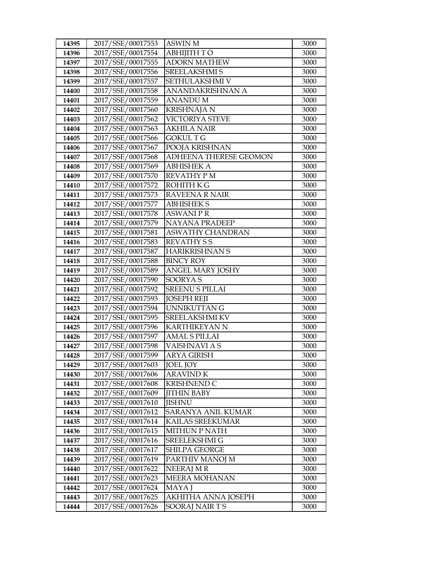| 14395          | 2017/SSE/00017553                      | <b>ASWIN M</b>               | 3000         |
|----------------|----------------------------------------|------------------------------|--------------|
| 14396          | 2017/SSE/00017554                      | <b>ABHIJITH TO</b>           | 3000         |
| 14397          | 2017/SSE/00017555                      | <b>ADORN MATHEW</b>          | 3000         |
| 14398          | 2017/SSE/00017556                      | SREELAKSHMI S                | 3000         |
| 14399          | 2017/SSE/00017557                      | SETHULAKSHMI V               | 3000         |
| 14400          | 2017/SSE/00017558                      | ANANDAKRISHNAN A             | 3000         |
| 14401          | 2017/SSE/00017559                      | ANANDU M                     | 3000         |
| 14402          | 2017/SSE/00017560                      | <b>KRISHNAJA N</b>           | 3000         |
| 14403          | 2017/SSE/00017562                      | VICTORIYA STEVE              | 3000         |
| 14404          | 2017/SSE/00017563                      | <b>AKHILA NAIR</b>           | 3000         |
| 14405          | 2017/SSE/00017566                      | GOKUL T G                    | 3000         |
| 14406          | 2017/SSE/00017567                      | POOJA KRISHNAN               | 3000         |
| 14407          | 2017/SSE/00017568                      | ADHEENA THERESE GEOMON       | 3000         |
| 14408          | 2017/SSE/00017569                      | <b>ABHISHEK A</b>            | 3000         |
| 14409          | 2017/SSE/00017570                      | <b>REVATHY PM</b>            | 3000         |
| 14410          | 2017/SSE/00017572                      | <b>ROHITH K G</b>            | 3000         |
| 14411          | 2017/SSE/00017573                      | RAVEENA R NAIR               | 3000         |
| 14412          | 2017/SSE/00017577                      | <b>ABHISHEK S</b>            | 3000         |
| 14413          | 2017/SSE/00017578                      | <b>ASWANIPR</b>              | 3000         |
| 14414          | 2017/SSE/00017579                      | <b>NAYANA PRADEEP</b>        | 3000         |
| 14415          | 2017/SSE/00017581                      | <b>ASWATHY CHANDRAN</b>      | 3000         |
| 14416          | 2017/SSE/00017583                      | <b>REVATHY SS</b>            | 3000         |
| 14417          | 2017/SSE/00017587                      | <b>HARIKRISHNAN S</b>        | 3000         |
| 14418          | 2017/SSE/00017588                      | <b>BINCY ROY</b>             | 3000         |
| 14419          | 2017/SSE/00017589                      | <b>ANGEL MARY JOSHY</b>      | 3000         |
| 14420          | 2017/SSE/00017590                      | <b>SOORYAS</b>               | 3000         |
| 14421          | 2017/SSE/00017592                      | <b>SREENU S PILLAI</b>       | 3000         |
| 14422          | 2017/SSE/00017593                      | <b>JOSEPH REJI</b>           | 3000         |
| 14423          | 2017/SSE/00017594                      | <b>UNNIKUTTAN G</b>          | 3000         |
| 14424          | 2017/SSE/00017595                      | <b>SREELAKSHMI KV</b>        | 3000         |
| 14425          | 2017/SSE/00017596                      | <b>KARTHIKEYAN N</b>         | 3000         |
| 14426          | 2017/SSE/00017597                      | <b>AMAL S PILLAI</b>         | 3000         |
| 14427<br>14428 | 2017/SSE/00017598<br>2017/SSE/00017599 | VAISHNAVI A S<br>ARYA GIRISH | 3000<br>3000 |
| 14429          | 2017/SSE/00017603                      | <b>JOEL JOY</b>              | 3000         |
| 14430          | 2017/SSE/00017606                      | <b>ARAVIND K</b>             | 3000         |
| 14431          | 2017/SSE/00017608                      | <b>KRISHNEND C</b>           | 3000         |
| 14432          | 2017/SSE/00017609                      | <b>JITHIN BABY</b>           | 3000         |
| 14433          | 2017/SSE/00017610                      | JISHNU                       | 3000         |
| 14434          | 2017/SSE/00017612                      | SARANYA ANIL KUMAR           | 3000         |
| 14435          | 2017/SSE/00017614                      | KAILAS SREEKUMAR             | 3000         |
| 14436          | 2017/SSE/00017615                      | <b>MITHUN P NATH</b>         | 3000         |
| 14437          | 2017/SSE/00017616                      | SREELEKSHMI G                | 3000         |
| 14438          | 2017/SSE/00017617                      | SHILPA GEORGE                | 3000         |
| 14439          | 2017/SSE/00017619                      | PARTHIV MANOJ M              | 3000         |
| 14440          | 2017/SSE/00017622                      | NEERAJ MR                    | 3000         |
| 14441          | 2017/SSE/00017623                      | <b>MEERA MOHANAN</b>         | 3000         |
| 14442          | 2017/SSE/00017624                      | MAYA J                       | 3000         |
| 14443          | 2017/SSE/00017625                      | AKHITHA ANNA JOSEPH          | 3000         |
| 14444          | 2017/SSE/00017626                      | SOORAJ NAIR TS               | 3000         |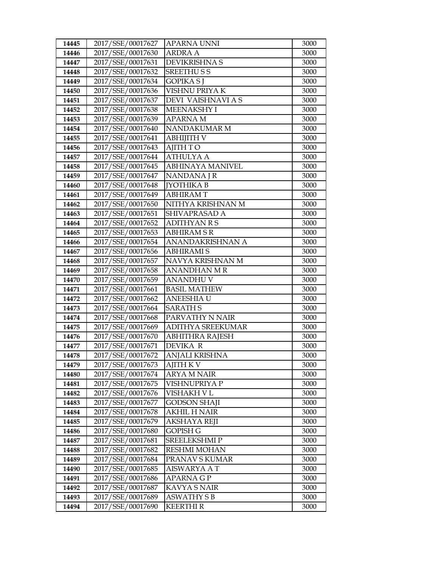| 14445          | 2017/SSE/00017627                      | <b>APARNA UNNI</b>                         | 3000         |
|----------------|----------------------------------------|--------------------------------------------|--------------|
| 14446          | 2017/SSE/00017630                      | <b>ARDRA A</b>                             | 3000         |
| 14447          | 2017/SSE/00017631                      | <b>DEVIKRISHNA S</b>                       | 3000         |
| 14448          | 2017/SSE/00017632                      | <b>SREETHUSS</b>                           | 3000         |
| 14449          | 2017/SSE/00017634                      | <b>GOPIKA SJ</b>                           | 3000         |
| 14450          | 2017/SSE/00017636                      | VISHNU PRIYA K                             | 3000         |
| 14451          | 2017/SSE/00017637                      | DEVI VAISHNAVI A S                         | 3000         |
| 14452          | 2017/SSE/00017638                      | <b>MEENAKSHY I</b>                         | 3000         |
| 14453          | 2017/SSE/00017639                      | <b>APARNAM</b>                             | 3000         |
| 14454          | 2017/SSE/00017640                      | NANDAKUMAR M                               | 3000         |
| 14455          | 2017/SSE/00017641                      | ABHIJITH V                                 | 3000         |
| 14456          | 2017/SSE/00017643                      | <b>AJITH TO</b>                            | 3000         |
| 14457          | 2017/SSE/00017644                      | <b>ATHULYA A</b>                           | 3000         |
| 14458          | 2017/SSE/00017645                      | ABHINAYA MANIVEL                           | 3000         |
| 14459          | 2017/SSE/00017647                      | NANDANA J R                                | 3000         |
| 14460          | 2017/SSE/00017648                      | <b>[YOTHIKA B</b>                          | 3000         |
| 14461          | 2017/SSE/00017649                      | <b>ABHIRAMT</b>                            | 3000         |
| 14462          | 2017/SSE/00017650                      | NITHYA KRISHNAN M                          | 3000         |
| 14463          | 2017/SSE/00017651                      | SHIVAPRASAD A                              | 3000         |
| 14464          | 2017/SSE/00017652                      | <b>ADITHYAN R S</b>                        | 3000         |
| 14465          | 2017/SSE/00017653                      | <b>ABHIRAM S R</b>                         | 3000         |
| 14466          | 2017/SSE/00017654                      | ANANDAKRISHNAN A                           | 3000         |
| 14467          | 2017/SSE/00017656                      | <b>ABHIRAMIS</b>                           | 3000         |
| 14468          | 2017/SSE/00017657                      | NAVYA KRISHNAN M                           | 3000         |
| 14469          | 2017/SSE/00017658                      | <b>ANANDHAN M R</b>                        | 3000         |
| 14470          | 2017/SSE/00017659                      | ANANDHU V                                  | 3000         |
| 14471          | 2017/SSE/00017661                      | <b>BASIL MATHEW</b>                        | 3000         |
| 14472          | 2017/SSE/00017662                      | <b>ANEESHIA U</b>                          | 3000         |
| 14473          | 2017/SSE/00017664                      | <b>SARATH S</b>                            | 3000         |
| 14474          | 2017/SSE/00017668                      | PARVATHY N NAIR                            | 3000         |
| 14475          | 2017/SSE/00017669                      | <b>ADITHYA SREEKUMAR</b>                   | 3000         |
| 14476          | 2017/SSE/00017670                      | ABHITHRA RAJESH                            | 3000         |
| 14477          | 2017/SSE/00017671                      | DEVIKA R                                   | 3000         |
| 14478          | 2017/SSE/00017672                      | ANJALI KRISHNA                             | 3000         |
| 14479          | 2017/SSE/00017673                      | AJITH K V                                  | 3000         |
| 14480          | 2017/SSE/00017674                      | ARYA M NAIR                                | 3000         |
| 14481          | 2017/SSE/00017675<br>2017/SSE/00017676 | VISHNUPRIYA P                              | 3000         |
| 14482          |                                        | VISHAKH V L                                | 3000         |
| 14483          | 2017/SSE/00017677<br>2017/SSE/00017678 | <b>GODSON SHAJI</b><br><b>AKHIL H NAIR</b> | 3000         |
| 14484          |                                        |                                            | 3000         |
| 14485<br>14486 | 2017/SSE/00017679<br>2017/SSE/00017680 | AKSHAYA REJI<br>GOPISH G                   | 3000<br>3000 |
| 14487          | 2017/SSE/00017681                      | SREELEKSHMIP                               | 3000         |
| 14488          | 2017/SSE/00017682                      | <b>RESHMI MOHAN</b>                        | 3000         |
| 14489          | 2017/SSE/00017684                      | PRANAV S KUMAR                             | 3000         |
| 14490          | 2017/SSE/00017685                      | AISWARYA A T                               | 3000         |
| 14491          | 2017/SSE/00017686                      | <b>APARNA G P</b>                          | 3000         |
| 14492          | 2017/SSE/00017687                      | <b>KAVYA S NAIR</b>                        | 3000         |
| 14493          | 2017/SSE/00017689                      | <b>ASWATHY S B</b>                         | 3000         |
| 14494          | 2017/SSE/00017690                      | <b>KEERTHI R</b>                           | 3000         |
|                |                                        |                                            |              |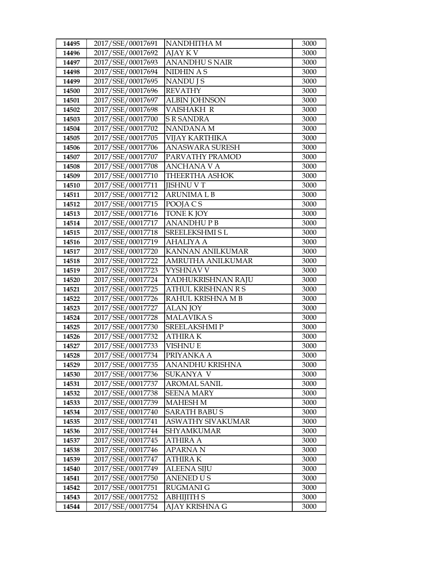| 14495          | 2017/SSE/00017691                      | NANDHITHA M                       | 3000         |
|----------------|----------------------------------------|-----------------------------------|--------------|
| 14496          | 2017/SSE/00017692                      | AJAY K V                          | 3000         |
| 14497          | 2017/SSE/00017693                      | <b>ANANDHUS NAIR</b>              | 3000         |
| 14498          | 2017/SSE/00017694                      | NIDHIN A S                        | 3000         |
| 14499          | 2017/SSE/00017695                      | NANDU J S                         | 3000         |
| 14500          | 2017/SSE/00017696                      | <b>REVATHY</b>                    | 3000         |
| 14501          | 2017/SSE/00017697                      | <b>ALBIN JOHNSON</b>              | 3000         |
| 14502          | 2017/SSE/00017698                      | <b>VAISHAKH R</b>                 | 3000         |
| 14503          | 2017/SSE/00017700                      | <b>S R SANDRA</b>                 | 3000         |
| 14504          | 2017/SSE/00017702                      | <b>NANDANAM</b>                   | 3000         |
| 14505          | 2017/SSE/00017705                      | <b>VIJAY KARTHIKA</b>             | 3000         |
| 14506          | 2017/SSE/00017706                      | <b>ANASWARA SURESH</b>            | 3000         |
| 14507          | 2017/SSE/00017707                      | PARVATHY PRAMOD                   | 3000         |
| 14508          | 2017/SSE/00017708                      | <b>ANCHANA V A</b>                | 3000         |
| 14509          | 2017/SSE/00017710                      | <b>THEERTHA ASHOK</b>             | 3000         |
| 14510          | 2017/SSE/00017711                      | <b>IISHNU V T</b>                 | 3000         |
| 14511          | 2017/SSE/00017712                      | <b>ARUNIMALB</b>                  | 3000         |
| 14512          | 2017/SSE/00017715                      | POOJA C S                         | 3000         |
| 14513          | 2017/SSE/00017716                      | <b>TONE K JOY</b>                 | 3000         |
| 14514          | 2017/SSE/00017717                      | <b>ANANDHUPB</b>                  | 3000         |
| 14515          | 2017/SSE/00017718                      | <b>SREELEKSHMI SL</b>             | 3000         |
| 14516          | 2017/SSE/00017719                      | <b>AHALIYA A</b>                  | 3000         |
| 14517          | 2017/SSE/00017720                      | KANNAN ANILKUMAR                  | 3000         |
| 14518          | 2017/SSE/00017722                      | AMRUTHA ANILKUMAR                 | 3000         |
| 14519          | 2017/SSE/00017723                      | VYSHNAV V                         | 3000         |
| 14520          | 2017/SSE/00017724                      | YADHUKRISHNAN RAJU                | 3000         |
| 14521          | 2017/SSE/00017725                      | <b>ATHUL KRISHNAN R S</b>         | 3000         |
| 14522          | 2017/SSE/00017726                      | RAHUL KRISHNA MB                  | 3000         |
| 14523          | 2017/SSE/00017727                      | <b>ALAN JOY</b>                   | 3000         |
| 14524          | 2017/SSE/00017728                      | <b>MALAVIKA S</b>                 | 3000         |
| 14525          | 2017/SSE/00017730                      | <b>SREELAKSHMIP</b>               | 3000         |
| 14526<br>14527 | 2017/SSE/00017732                      | <b>ATHIRAK</b><br><b>VISHNU E</b> | 3000         |
| 14528          | 2017/SSE/00017733<br>2017/SSE/00017734 | PRIYANKA A                        | 3000<br>3000 |
| 14529          | 2017/SSE/00017735                      | ANANDHU KRISHNA                   | 3000         |
| 14530          | 2017/SSE/00017736                      | SUKANYA V                         | 3000         |
| 14531          | 2017/SSE/00017737                      | <b>AROMAL SANIL</b>               | 3000         |
| 14532          | 2017/SSE/00017738                      | <b>SEENA MARY</b>                 | 3000         |
| 14533          | 2017/SSE/00017739                      | <b>MAHESH M</b>                   | 3000         |
| 14534          | 2017/SSE/00017740                      | <b>SARATH BABU S</b>              | 3000         |
| 14535          | 2017/SSE/00017741                      | ASWATHY SIVAKUMAR                 | 3000         |
| 14536          | 2017/SSE/00017744                      | SHYAMKUMAR                        | 3000         |
| 14537          | 2017/SSE/00017745                      | ATHIRA A                          | 3000         |
| 14538          | 2017/SSE/00017746                      | <b>APARNAN</b>                    | 3000         |
| 14539          | 2017/SSE/00017747                      | ATHIRA K                          | 3000         |
| 14540          | 2017/SSE/00017749                      | ALEENA SIJU                       | 3000         |
| 14541          | 2017/SSE/00017750                      | <b>ANENED US</b>                  | 3000         |
| 14542          | 2017/SSE/00017751                      | RUGMANI G                         | 3000         |
| 14543          | 2017/SSE/00017752                      | <b>ABHIJITH S</b>                 | 3000         |
| 14544          | 2017/SSE/00017754                      | AJAY KRISHNA G                    | 3000         |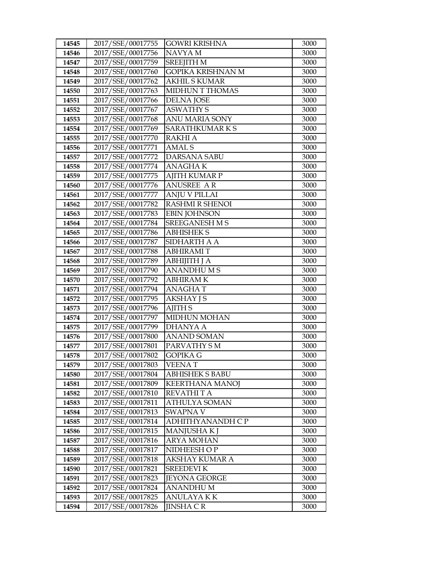| 14545          | 2017/SSE/00017755                      | <b>GOWRI KRISHNA</b>                  | 3000         |
|----------------|----------------------------------------|---------------------------------------|--------------|
| 14546          | 2017/SSE/00017756                      | NAVYA M                               | 3000         |
| 14547          | 2017/SSE/00017759                      | <b>SREEJITH M</b>                     | 3000         |
| 14548          | 2017/SSE/00017760                      | <b>GOPIKA KRISHNAN M</b>              | 3000         |
| 14549          | 2017/SSE/00017762                      | <b>AKHIL S KUMAR</b>                  | 3000         |
| 14550          | 2017/SSE/00017763                      | MIDHUN T THOMAS                       | 3000         |
| 14551          | 2017/SSE/00017766                      | <b>DELNA JOSE</b>                     | 3000         |
| 14552          | 2017/SSE/00017767                      | <b>ASWATHY S</b>                      | 3000         |
| 14553          | 2017/SSE/00017768                      | ANU MARIA SONY                        | 3000         |
| 14554          | 2017/SSE/00017769                      | SARATHKUMARKS                         | 3000         |
| 14555          | 2017/SSE/00017770                      | <b>RAKHI A</b>                        | 3000         |
| 14556          | 2017/SSE/00017771                      | AMAL S                                | 3000         |
| 14557          | 2017/SSE/00017772                      | DARSANA SABU                          | 3000         |
| 14558          | 2017/SSE/00017774                      | <b>ANAGHAK</b>                        | 3000         |
| 14559          | 2017/SSE/00017775                      | <b>AJITH KUMAR P</b>                  | 3000         |
| 14560          | 2017/SSE/00017776                      | <b>ANUSREE AR</b>                     | 3000         |
| 14561          | 2017/SSE/00017777                      | <b>ANJU V PILLAI</b>                  | 3000         |
| 14562          | 2017/SSE/00017782                      | <b>RASHMI R SHENOI</b>                | 3000         |
| 14563          | 2017/SSE/00017783                      | <b>EBIN JOHNSON</b>                   | 3000         |
| 14564          | 2017/SSE/00017784                      | <b>SREEGANESH M S</b>                 | 3000         |
| 14565          | 2017/SSE/00017786                      | <b>ABHISHEK S</b>                     | 3000         |
| 14566          | 2017/SSE/00017787                      | SIDHARTH A A                          | 3000         |
| 14567          | 2017/SSE/00017788                      | <b>ABHIRAMIT</b>                      | 3000         |
| 14568          | 2017/SSE/00017789                      | <b>ABHIJITH J A</b>                   | 3000         |
| 14569          | 2017/SSE/00017790                      | <b>ANANDHUMS</b>                      | 3000         |
| 14570          | 2017/SSE/00017792                      | ABHIRAM K                             | 3000         |
| 14571          | 2017/SSE/00017794                      | <b>ANAGHAT</b>                        | 3000         |
| 14572          | 2017/SSE/00017795                      | <b>AKSHAY J S</b>                     | 3000         |
| 14573          | 2017/SSE/00017796                      | <b>AJITH S</b>                        | 3000         |
| 14574          | 2017/SSE/00017797                      | <b>MIDHUN MOHAN</b>                   | 3000         |
| 14575          | 2017/SSE/00017799                      | <b>DHANYA A</b>                       | 3000         |
| 14576          | 2017/SSE/00017800                      | <b>ANAND SOMAN</b>                    | 3000         |
| 14577          | 2017/SSE/00017801                      | PARVATHY SM                           | 3000         |
| 14578          | 2017/SSE/00017802                      | GOPIKA G                              | 3000         |
| 14579          | 2017/SSE/00017803<br>2017/SSE/00017804 | VEENA T                               | 3000         |
| 14580          | 2017/SSE/00017809                      | ABHISHEK S BABU                       | 3000         |
| 14581<br>14582 | 2017/SSE/00017810                      | <b>KEERTHANA MANOJ</b><br>REVATHI T A | 3000<br>3000 |
| 14583          | 2017/SSE/00017811                      | <b>ATHULYA SOMAN</b>                  | 3000         |
| 14584          | 2017/SSE/00017813                      | SWAPNA V                              | 3000         |
| 14585          | 2017/SSE/00017814                      | ADHITHYANANDH C P                     | 3000         |
| 14586          | 2017/SSE/00017815                      | <b>MANJUSHAKI</b>                     | 3000         |
| 14587          | 2017/SSE/00017816                      | <b>ARYA MOHAN</b>                     | 3000         |
| 14588          | 2017/SSE/00017817                      | NIDHEESH OP                           | 3000         |
| 14589          | 2017/SSE/00017818                      | AKSHAY KUMAR A                        | 3000         |
| 14590          | 2017/SSE/00017821                      | <b>SREEDEVI K</b>                     | 3000         |
| 14591          | 2017/SSE/00017823                      | JEYONA GEORGE                         | 3000         |
| 14592          | 2017/SSE/00017824                      | <b>ANANDHUM</b>                       | 3000         |
| 14593          | 2017/SSE/00017825                      | ANULAYA KK                            | 3000         |
| 14594          | 2017/SSE/00017826                      | JINSHA C R                            | 3000         |
|                |                                        |                                       |              |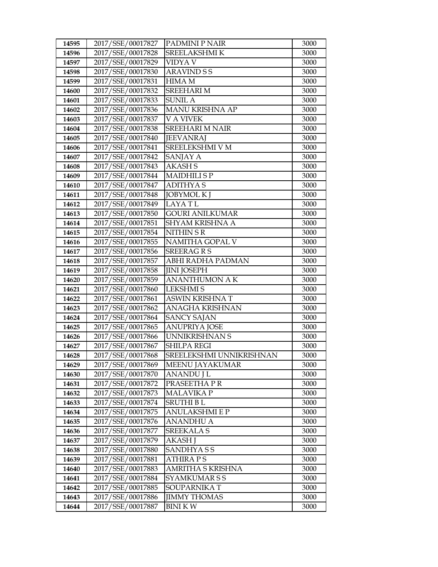| 14595 | 2017/SSE/00017827 | <b>PADMINI P NAIR</b>    | 3000 |
|-------|-------------------|--------------------------|------|
| 14596 | 2017/SSE/00017828 | SREELAKSHMI K            | 3000 |
| 14597 | 2017/SSE/00017829 | VIDYA V                  | 3000 |
| 14598 | 2017/SSE/00017830 | <b>ARAVIND S S</b>       | 3000 |
| 14599 | 2017/SSE/00017831 | <b>HIMA M</b>            | 3000 |
| 14600 | 2017/SSE/00017832 | <b>SREEHARI M</b>        | 3000 |
| 14601 | 2017/SSE/00017833 | SUNIL A                  | 3000 |
| 14602 | 2017/SSE/00017836 | MANU KRISHNA AP          | 3000 |
| 14603 | 2017/SSE/00017837 | <b>V A VIVEK</b>         | 3000 |
| 14604 | 2017/SSE/00017838 | <b>SREEHARI M NAIR</b>   | 3000 |
| 14605 | 2017/SSE/00017840 | <b>JEEVANRAJ</b>         | 3000 |
| 14606 | 2017/SSE/00017841 | SREELEKSHMI V M          | 3000 |
| 14607 | 2017/SSE/00017842 | SANJAY A                 | 3000 |
| 14608 | 2017/SSE/00017843 | <b>AKASH S</b>           | 3000 |
| 14609 | 2017/SSE/00017844 | <b>MAIDHILISP</b>        | 3000 |
| 14610 | 2017/SSE/00017847 | <b>ADITHYAS</b>          | 3000 |
| 14611 | 2017/SSE/00017848 | <b>JOBYMOL K J</b>       | 3000 |
| 14612 | 2017/SSE/00017849 | <b>LAYATL</b>            | 3000 |
| 14613 | 2017/SSE/00017850 | <b>GOURI ANILKUMAR</b>   | 3000 |
| 14614 | 2017/SSE/00017851 | <b>SHYAM KRISHNA A</b>   | 3000 |
| 14615 | 2017/SSE/00017854 | NITHIN SR                | 3000 |
| 14616 | 2017/SSE/00017855 | NAMITHA GOPAL V          | 3000 |
| 14617 | 2017/SSE/00017856 | <b>SREERAGRS</b>         | 3000 |
| 14618 | 2017/SSE/00017857 | ABHI RADHA PADMAN        | 3000 |
| 14619 | 2017/SSE/00017858 | <b>JINI JOSEPH</b>       | 3000 |
| 14620 | 2017/SSE/00017859 | ANANTHUMON A K           | 3000 |
| 14621 | 2017/SSE/00017860 | <b>LEKSHMIS</b>          | 3000 |
| 14622 | 2017/SSE/00017861 | ASWIN KRISHNA T          | 3000 |
| 14623 | 2017/SSE/00017862 | ANAGHA KRISHNAN          | 3000 |
| 14624 | 2017/SSE/00017864 | <b>SANCY SAJAN</b>       | 3000 |
| 14625 | 2017/SSE/00017865 | <b>ANUPRIYA JOSE</b>     | 3000 |
| 14626 | 2017/SSE/00017866 | UNNIKRISHNAN S           | 3000 |
| 14627 | 2017/SSE/00017867 | <b>SHILPA REGI</b>       | 3000 |
| 14628 | 2017/SSE/00017868 | SREELEKSHMI UNNIKRISHNAN | 3000 |
| 14629 | 2017/SSE/00017869 | MEENU JAYAKUMAR          | 3000 |
| 14630 | 2017/SSE/00017870 | ANANDU J L               | 3000 |
| 14631 | 2017/SSE/00017872 | PRASEETHA PR             | 3000 |
| 14632 | 2017/SSE/00017873 | <b>MALAVIKA P</b>        | 3000 |
| 14633 | 2017/SSE/00017874 | <b>SRUTHI BL</b>         | 3000 |
| 14634 | 2017/SSE/00017875 | <b>ANULAKSHMI E P</b>    | 3000 |
| 14635 | 2017/SSE/00017876 | ANANDHU A                | 3000 |
| 14636 | 2017/SSE/00017877 | <b>SREEKALA S</b>        | 3000 |
| 14637 | 2017/SSE/00017879 | <b>AKASH J</b>           | 3000 |
| 14638 | 2017/SSE/00017880 | SANDHYASS                | 3000 |
| 14639 | 2017/SSE/00017881 | ATHIRA P S               | 3000 |
| 14640 | 2017/SSE/00017883 | AMRITHA S KRISHNA        | 3000 |
| 14641 | 2017/SSE/00017884 | SYAMKUMAR S S            | 3000 |
| 14642 | 2017/SSE/00017885 | SOUPARNIKA T             | 3000 |
| 14643 | 2017/SSE/00017886 | <b>JIMMY THOMAS</b>      | 3000 |
| 14644 | 2017/SSE/00017887 | <b>BINIKW</b>            | 3000 |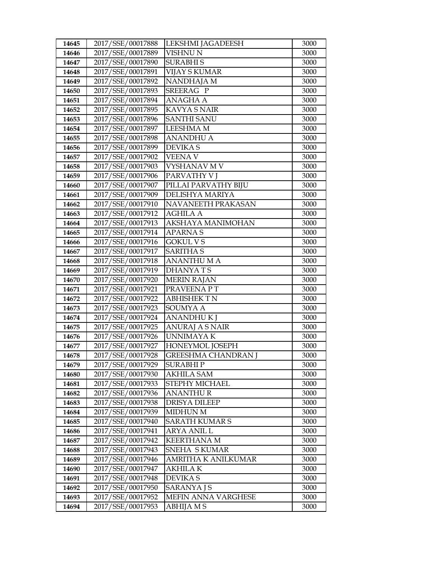| 14645          | 2017/SSE/00017888                      | <b>LEKSHMI JAGADEESH</b>               | 3000         |
|----------------|----------------------------------------|----------------------------------------|--------------|
| 14646          | 2017/SSE/00017889                      | VISHNU N                               | 3000         |
| 14647          | 2017/SSE/00017890                      | <b>SURABHIS</b>                        | 3000         |
| 14648          | 2017/SSE/00017891                      | <b>VIJAY S KUMAR</b>                   | 3000         |
| 14649          | 2017/SSE/00017892                      | NANDHAJA M                             | 3000         |
| 14650          | 2017/SSE/00017893                      | SREERAG P                              | 3000         |
| 14651          | 2017/SSE/00017894                      | ANAGHA A                               | 3000         |
| 14652          | 2017/SSE/00017895                      | <b>KAVYA S NAIR</b>                    | 3000         |
| 14653          | 2017/SSE/00017896                      | <b>SANTHI SANU</b>                     | 3000         |
| 14654          | 2017/SSE/00017897                      | <b>LEESHMA M</b>                       | 3000         |
| 14655          | 2017/SSE/00017898                      | <b>ANANDHU A</b>                       | 3000         |
| 14656          | 2017/SSE/00017899                      | <b>DEVIKAS</b>                         | 3000         |
| 14657          | 2017/SSE/00017902                      | <b>VEENA V</b>                         | 3000         |
| 14658          | 2017/SSE/00017903                      | VYSHANAV M V                           | 3000         |
| 14659          | 2017/SSE/00017906                      | PARVATHY V J                           | 3000         |
| 14660          | 2017/SSE/00017907                      | PILLAI PARVATHY BIJU                   | 3000         |
| 14661          | 2017/SSE/00017909                      | DELISHYA MARIYA                        | 3000         |
| 14662          | 2017/SSE/00017910                      | NAVANEETH PRAKASAN                     | 3000         |
| 14663          | 2017/SSE/00017912                      | <b>AGHILA A</b>                        | 3000         |
| 14664          | 2017/SSE/00017913                      | AKSHAYA MANIMOHAN                      | 3000         |
| 14665          | 2017/SSE/00017914                      | <b>APARNAS</b>                         | 3000         |
| 14666          | 2017/SSE/00017916                      | <b>GOKUL V S</b>                       | 3000         |
| 14667          | 2017/SSE/00017917                      | <b>SARITHA S</b>                       | 3000         |
| 14668          | 2017/SSE/00017918                      | <b>ANANTHUMA</b>                       | 3000         |
| 14669          | 2017/SSE/00017919                      | <b>DHANYATS</b>                        | 3000         |
| 14670          | 2017/SSE/00017920                      | <b>MERIN RAJAN</b>                     | 3000         |
| 14671          | 2017/SSE/00017921                      | PRAVEENA PT                            | 3000         |
| 14672          | 2017/SSE/00017922                      | <b>ABHISHEKTN</b>                      | 3000         |
| 14673          | 2017/SSE/00017923                      | <b>SOUMYAA</b>                         | 3000         |
| 14674          | 2017/SSE/00017924                      | <b>ANANDHUKJ</b>                       | 3000         |
| 14675          | 2017/SSE/00017925                      | <b>ANURAJ A S NAIR</b>                 | 3000         |
| 14676          | 2017/SSE/00017926                      | UNNIMAYA K                             | 3000         |
| 14677<br>14678 | 2017/SSE/00017927<br>2017/SSE/00017928 | HONEYMOL JOSEPH<br>GREESHMA CHANDRAN J | 3000<br>3000 |
|                | 2017/SSE/00017929                      | <b>SURABHIP</b>                        | 3000         |
| 14679<br>14680 | 2017/SSE/00017930                      | AKHILA SAM                             | 3000         |
| 14681          | 2017/SSE/00017933                      | STEPHY MICHAEL                         | 3000         |
| 14682          | 2017/SSE/00017936                      | <b>ANANTHUR</b>                        | 3000         |
| 14683          | 2017/SSE/00017938                      | <b>DRISYA DILEEP</b>                   | 3000         |
| 14684          | 2017/SSE/00017939                      | <b>MIDHUN M</b>                        | 3000         |
| 14685          | 2017/SSE/00017940                      | <b>SARATH KUMAR S</b>                  | 3000         |
| 14686          | 2017/SSE/00017941                      | <b>ARYA ANIL L</b>                     | 3000         |
| 14687          | 2017/SSE/00017942                      | <b>KEERTHANA M</b>                     | 3000         |
| 14688          | 2017/SSE/00017943                      | SNEHA SKUMAR                           | 3000         |
| 14689          | 2017/SSE/00017946                      | AMRITHA K ANILKUMAR                    | 3000         |
| 14690          | 2017/SSE/00017947                      | AKHILA K                               | 3000         |
| 14691          | 2017/SSE/00017948                      | DEVIKA S                               | 3000         |
| 14692          | 2017/SSE/00017950                      | <b>SARANYAJS</b>                       | 3000         |
| 14693          | 2017/SSE/00017952                      | MEFIN ANNA VARGHESE                    | 3000         |
| 14694          | 2017/SSE/00017953                      | ABHIJA M S                             | 3000         |
|                |                                        |                                        |              |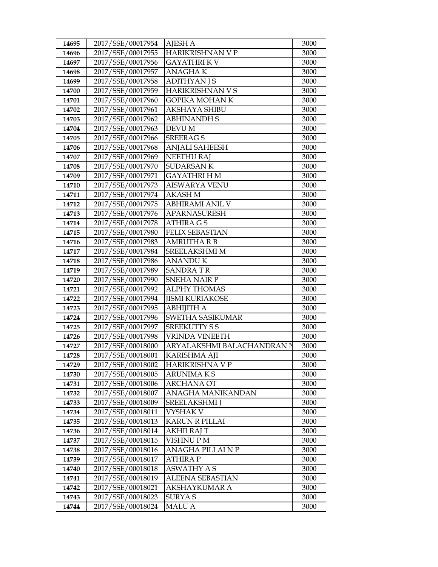| 14695          | 2017/SSE/00017954                      | <b>AJESH A</b>                   | 3000         |
|----------------|----------------------------------------|----------------------------------|--------------|
| 14696          | 2017/SSE/00017955                      | HARIKRISHNAN V P                 | 3000         |
| 14697          | 2017/SSE/00017956                      | <b>GAYATHRIKV</b>                | 3000         |
| 14698          | 2017/SSE/00017957                      | <b>ANAGHAK</b>                   | 3000         |
| 14699          | 2017/SSE/00017958                      | <b>ADITHYAN J S</b>              | 3000         |
| 14700          | 2017/SSE/00017959                      | <b>HARIKRISHNAN V S</b>          | 3000         |
| 14701          | 2017/SSE/00017960                      | <b>GOPIKA MOHAN K</b>            | 3000         |
| 14702          | 2017/SSE/00017961                      | <b>AKSHAYA SHIBU</b>             | 3000         |
| 14703          | 2017/SSE/00017962                      | <b>ABHINANDH S</b>               | 3000         |
| 14704          | 2017/SSE/00017963                      | <b>DEVU M</b>                    | 3000         |
| 14705          | 2017/SSE/00017966                      | <b>SREERAGS</b>                  | 3000         |
| 14706          | 2017/SSE/00017968                      | <b>ANJALI SAHEESH</b>            | 3000         |
| 14707          | 2017/SSE/00017969                      | <b>NEETHU RAJ</b>                | 3000         |
| 14708          | 2017/SSE/00017970                      | <b>SUDARSANK</b>                 | 3000         |
| 14709          | 2017/SSE/00017971                      | <b>GAYATHRI H M</b>              | 3000         |
| 14710          | 2017/SSE/00017973                      | AISWARYA VENU                    | 3000         |
| 14711          | 2017/SSE/00017974                      | <b>AKASHM</b>                    | 3000         |
| 14712          | 2017/SSE/00017975                      | <b>ABHIRAMI ANIL V</b>           | 3000         |
| 14713          | 2017/SSE/00017976                      | <b>APARNASURESH</b>              | 3000         |
| 14714          | 2017/SSE/00017978                      | <b>ATHIRA GS</b>                 | 3000         |
| 14715          | 2017/SSE/00017980                      | <b>FELIX SEBASTIAN</b>           | 3000         |
| 14716          | 2017/SSE/00017983                      | <b>AMRUTHA R B</b>               | 3000         |
| 14717          | 2017/SSE/00017984                      | SREELAKSHMI M                    | 3000         |
| 14718          | 2017/SSE/00017986                      | <b>ANANDUK</b>                   | 3000         |
| 14719          | 2017/SSE/00017989                      | <b>SANDRATR</b>                  | 3000         |
| 14720          | 2017/SSE/00017990                      | <b>SNEHA NAIR P</b>              | 3000         |
| 14721          | 2017/SSE/00017992                      | <b>ALPHY THOMAS</b>              | 3000         |
| 14722          | 2017/SSE/00017994                      | <b>JISMI KURIAKOSE</b>           | 3000         |
| 14723          | 2017/SSE/00017995                      | АВНІЈІТНА                        | 3000         |
| 14724          | 2017/SSE/00017996                      | SWETHA SASIKUMAR                 | 3000         |
| 14725          | 2017/SSE/00017997                      | <b>SREEKUTTY S S</b>             | 3000         |
| 14726          | 2017/SSE/00017998                      | VRINDA VINEETH                   | 3000         |
| 14727          | 2017/SSE/00018000                      | ARYALAKSHMI BALACHANDRAN N       | 3000         |
| 14728          | 2017/SSE/00018001                      | <b>KARISHMA AJI</b>              | 3000         |
| 14729<br>14730 | 2017/SSE/00018002<br>2017/SSE/00018005 | HARIKRISHNA V P                  | 3000<br>3000 |
| 14731          | 2017/SSE/00018006                      | ARUNIMA K S<br><b>ARCHANA OT</b> | 3000         |
| 14732          | 2017/SSE/00018007                      | ANAGHA MANIKANDAN                | 3000         |
| 14733          | 2017/SSE/00018009                      | <b>SREELAKSHMI</b> J             | 3000         |
| 14734          | 2017/SSE/00018011                      | <b>VYSHAK V</b>                  | 3000         |
| 14735          | 2017/SSE/00018013                      | <b>KARUN R PILLAI</b>            | 3000         |
| 14736          | 2017/SSE/00018014                      | <b>AKHILRAJ T</b>                | 3000         |
| 14737          | 2017/SSE/00018015                      | <b>VISHNUPM</b>                  | 3000         |
| 14738          | 2017/SSE/00018016                      | ANAGHA PILLAI N P                | 3000         |
| 14739          | 2017/SSE/00018017                      | <b>ATHIRA P</b>                  | 3000         |
| 14740          | 2017/SSE/00018018                      | <b>ASWATHY A S</b>               | 3000         |
| 14741          | 2017/SSE/00018019                      | ALEENA SEBASTIAN                 | 3000         |
| 14742          | 2017/SSE/00018021                      | AKSHAYKUMAR A                    | 3000         |
| 14743          | 2017/SSE/00018023                      | SURYA S                          | 3000         |
| 14744          | 2017/SSE/00018024                      | MALU A                           | 3000         |
|                |                                        |                                  |              |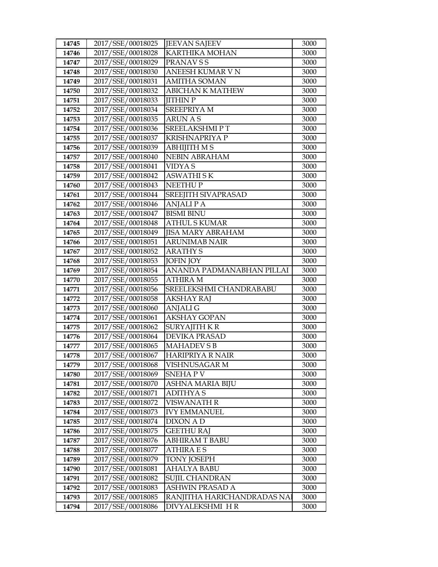| 14745          | 2017/SSE/00018025                      | <b>JEEVAN SAJEEV</b>                          | 3000         |
|----------------|----------------------------------------|-----------------------------------------------|--------------|
| 14746          | 2017/SSE/00018028                      | KARTHIKA MOHAN                                | 3000         |
| 14747          | 2017/SSE/00018029                      | PRANAV S S                                    | 3000         |
| 14748          | 2017/SSE/00018030                      | ANEESH KUMAR VN                               | 3000         |
| 14749          | 2017/SSE/00018031                      | <b>AMITHA SOMAN</b>                           | 3000         |
| 14750          | 2017/SSE/00018032                      | <b>ABICHAN K MATHEW</b>                       | 3000         |
| 14751          | 2017/SSE/00018033                      | <b>JITHIN P</b>                               | 3000         |
| 14752          | 2017/SSE/00018034                      | <b>SREEPRIYA M</b>                            | 3000         |
| 14753          | 2017/SSE/00018035                      | <b>ARUN A S</b>                               | 3000         |
| 14754          | 2017/SSE/00018036                      | <b>SREELAKSHMIPT</b>                          | 3000         |
| 14755          | 2017/SSE/00018037                      | <b>KRISHNAPRIYA P</b>                         | 3000         |
| 14756          | 2017/SSE/00018039                      | <b>ABHIJITH MS</b>                            | 3000         |
| 14757          | 2017/SSE/00018040                      | <b>NEBIN ABRAHAM</b>                          | 3000         |
| 14758          | 2017/SSE/00018041                      | <b>VIDYAS</b>                                 | 3000         |
| 14759          | 2017/SSE/00018042                      | <b>ASWATHISK</b>                              | 3000         |
| 14760          | 2017/SSE/00018043                      | <b>NEETHUP</b>                                | 3000         |
| 14761          | 2017/SSE/00018044                      | SREEJITH SIVAPRASAD                           | 3000         |
| 14762          | 2017/SSE/00018046                      | <b>ANJALIPA</b>                               | 3000         |
| 14763          | 2017/SSE/00018047                      | <b>BISMI BINU</b>                             | 3000         |
| 14764          | 2017/SSE/00018048                      | <b>ATHUL S KUMAR</b>                          | 3000         |
| 14765          | 2017/SSE/00018049                      | <b>JISA MARY ABRAHAM</b>                      | 3000         |
| 14766          | 2017/SSE/00018051                      | <b>ARUNIMAB NAIR</b>                          | 3000         |
| 14767          | 2017/SSE/00018052                      | <b>ARATHY S</b>                               | 3000         |
| 14768          | 2017/SSE/00018053                      | <b>JOFIN JOY</b>                              | 3000         |
| 14769          | 2017/SSE/00018054                      | ANANDA PADMANABHAN PILLAI                     | 3000         |
| 14770          | 2017/SSE/00018055                      | <b>ATHIRA M</b>                               | 3000         |
| 14771          | 2017/SSE/00018056                      | SREELEKSHMI CHANDRABABU                       | 3000         |
|                |                                        |                                               |              |
| 14772          | 2017/SSE/00018058                      | <b>AKSHAY RAJ</b>                             | 3000         |
| 14773          | 2017/SSE/00018060                      | <b>ANJALIG</b>                                | 3000         |
| 14774          | 2017/SSE/00018061                      | <b>AKSHAY GOPAN</b>                           | 3000         |
| 14775          | 2017/SSE/00018062                      | SURYAJITH K R                                 | 3000         |
| 14776          | 2017/SSE/00018064                      | <b>DEVIKA PRASAD</b>                          | 3000         |
| 14777          | 2017/SSE/00018065                      | <b>MAHADEV S B</b>                            | 3000         |
| 14778          | 2017/SSE/00018067                      | <b>HARIPRIYA R NAIR</b>                       | 3000         |
| 14779          | 2017/SSE/00018068                      | VISHNUSAGAR M                                 | 3000         |
| 14780          | 2017/SSE/00018069                      | SNEHA P V                                     | 3000         |
| 14781          | 2017/SSE/00018070                      | ASHNA MARIA BIJU                              | 3000         |
| 14782          | 2017/SSE/00018071                      | <b>ADITHYAS</b>                               | 3000         |
| 14783          | 2017/SSE/00018072                      | <b>VISWANATH R</b>                            | 3000         |
| 14784          | 2017/SSE/00018073                      | <b>IVY EMMANUEL</b>                           | 3000         |
| 14785          | 2017/SSE/00018074                      | DIXON A D                                     | 3000         |
| 14786          | 2017/SSE/00018075                      | <b>GEETHU RAJ</b>                             | 3000         |
| 14787          | 2017/SSE/00018076                      | <b>ABHIRAM T BABU</b>                         | 3000         |
| 14788          | 2017/SSE/00018077                      | <b>ATHIRA E S</b>                             | 3000         |
| 14789          | 2017/SSE/00018079                      | <b>TONY JOSEPH</b>                            | 3000         |
| 14790          | 2017/SSE/00018081                      | <b>AHALYA BABU</b>                            | 3000         |
| 14791          | 2017/SSE/00018082                      | <b>SUJIL CHANDRAN</b>                         | 3000         |
| 14792          | 2017/SSE/00018083                      | ASHWIN PRASAD A                               | 3000         |
| 14793<br>14794 | 2017/SSE/00018085<br>2017/SSE/00018086 | RANJITHA HARICHANDRADAS NA<br>DIVYALEKSHMI HR | 3000<br>3000 |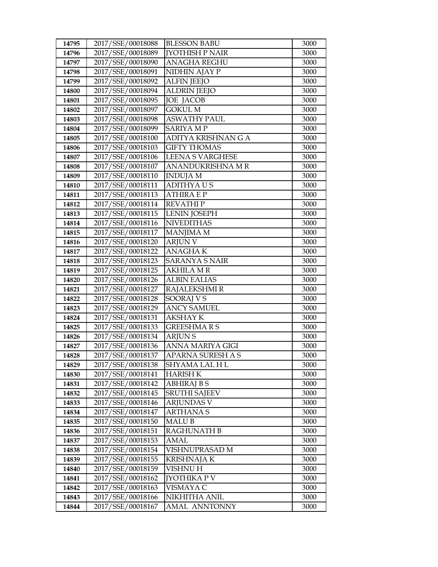| 14795 | 2017/SSE/00018088 | <b>BLESSON BABU</b>     | 3000 |
|-------|-------------------|-------------------------|------|
| 14796 | 2017/SSE/00018089 | <b>[YOTHISH P NAIR</b>  | 3000 |
| 14797 | 2017/SSE/00018090 | <b>ANAGHA REGHU</b>     | 3000 |
| 14798 | 2017/SSE/00018091 | NIDHIN AJAY P           | 3000 |
| 14799 | 2017/SSE/00018092 | <b>ALFIN JEEJO</b>      | 3000 |
| 14800 | 2017/SSE/00018094 | <b>ALDRIN JEEJO</b>     | 3000 |
| 14801 | 2017/SSE/00018095 | <b>JOE JACOB</b>        | 3000 |
| 14802 | 2017/SSE/00018097 | <b>GOKUL M</b>          | 3000 |
| 14803 | 2017/SSE/00018098 | <b>ASWATHY PAUL</b>     | 3000 |
| 14804 | 2017/SSE/00018099 | <b>SARIYA MP</b>        | 3000 |
| 14805 | 2017/SSE/00018100 | ADITYA KRISHNAN G A     | 3000 |
| 14806 | 2017/SSE/00018103 | <b>GIFTY THOMAS</b>     | 3000 |
| 14807 | 2017/SSE/00018106 | <b>LEENA S VARGHESE</b> | 3000 |
| 14808 | 2017/SSE/00018107 | ANANDUKRISHNA MR        | 3000 |
| 14809 | 2017/SSE/00018110 | <b>INDUJA M</b>         | 3000 |
| 14810 | 2017/SSE/00018111 | <b>ADITHYAUS</b>        | 3000 |
| 14811 | 2017/SSE/00018113 | <b>ATHIRA E P</b>       | 3000 |
| 14812 | 2017/SSE/00018114 | <b>REVATHIP</b>         | 3000 |
| 14813 | 2017/SSE/00018115 | <b>LENIN JOSEPH</b>     | 3000 |
| 14814 | 2017/SSE/00018116 | <b>NIVEDITHAS</b>       | 3000 |
| 14815 | 2017/SSE/00018117 | <b>MANJIMA M</b>        | 3000 |
| 14816 | 2017/SSE/00018120 | <b>ARJUN V</b>          | 3000 |
| 14817 | 2017/SSE/00018122 | <b>ANAGHAK</b>          | 3000 |
| 14818 | 2017/SSE/00018123 | <b>SARANYA S NAIR</b>   | 3000 |
| 14819 | 2017/SSE/00018125 | <b>AKHILA M R</b>       | 3000 |
| 14820 | 2017/SSE/00018126 | <b>ALBIN EALIAS</b>     | 3000 |
| 14821 | 2017/SSE/00018127 | RAJALEKSHMI R           | 3000 |
| 14822 | 2017/SSE/00018128 | SOORAJ V S              | 3000 |
| 14823 | 2017/SSE/00018129 | <b>ANCY SAMUEL</b>      | 3000 |
| 14824 | 2017/SSE/00018131 | <b>AKSHAY K</b>         | 3000 |
| 14825 | 2017/SSE/00018133 | <b>GREESHMARS</b>       | 3000 |
| 14826 | 2017/SSE/00018134 | <b>ARJUNS</b>           | 3000 |
| 14827 | 2017/SSE/00018136 | ANNA MARIYA GIGI        | 3000 |
| 14828 | 2017/SSE/00018137 | APARNA SURESH A S       | 3000 |
| 14829 | 2017/SSE/00018138 | SHYAMA LAL H L          | 3000 |
| 14830 | 2017/SSE/00018141 | <b>HARISH K</b>         | 3000 |
| 14831 | 2017/SSE/00018142 | <b>ABHIRAJ B S</b>      | 3000 |
| 14832 | 2017/SSE/00018145 | <b>SRUTHI SAJEEV</b>    | 3000 |
| 14833 | 2017/SSE/00018146 | <b>ARJUNDAS V</b>       | 3000 |
| 14834 | 2017/SSE/00018147 | ARTHANA S               | 3000 |
| 14835 | 2017/SSE/00018150 | MALU B                  | 3000 |
| 14836 | 2017/SSE/00018151 | RAGHUNATH B             | 3000 |
| 14837 | 2017/SSE/00018153 | AMAL                    | 3000 |
| 14838 | 2017/SSE/00018154 | VISHNUPRASAD M          | 3000 |
| 14839 | 2017/SSE/00018155 | KRISHNAJA K             | 3000 |
| 14840 | 2017/SSE/00018159 | VISHNU H                | 3000 |
| 14841 | 2017/SSE/00018162 | JYOTHIKA P V            | 3000 |
| 14842 | 2017/SSE/00018163 | VISMAYA C               | 3000 |
| 14843 | 2017/SSE/00018166 | NIKHITHA ANIL           | 3000 |
| 14844 | 2017/SSE/00018167 | AMAL ANNTONNY           | 3000 |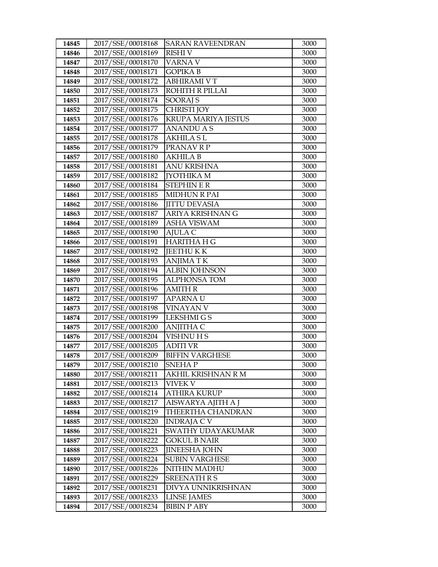| 14845          | 2017/SSE/00018168                      | <b>SARAN RAVEENDRAN</b>                   | 3000         |
|----------------|----------------------------------------|-------------------------------------------|--------------|
| 14846          | 2017/SSE/00018169                      | <b>RISHIV</b>                             | 3000         |
| 14847          | 2017/SSE/00018170                      | VARNA V                                   | 3000         |
| 14848          | 2017/SSE/00018171                      | <b>GOPIKA B</b>                           | 3000         |
| 14849          | 2017/SSE/00018172                      | <b>ABHIRAMI V T</b>                       | 3000         |
| 14850          | 2017/SSE/00018173                      | <b>ROHITH R PILLAI</b>                    | 3000         |
| 14851          | 2017/SSE/00018174                      | SOORAJ S                                  | 3000         |
| 14852          | 2017/SSE/00018175                      | <b>CHRISTI JOY</b>                        | 3000         |
| 14853          | 2017/SSE/00018176                      | KRUPA MARIYA JESTUS                       | 3000         |
| 14854          | 2017/SSE/00018177                      | <b>ANANDU A S</b>                         | 3000         |
| 14855          | 2017/SSE/00018178                      | AKHILA S L                                | 3000         |
| 14856          | 2017/SSE/00018179                      | PRANAV R P                                | 3000         |
| 14857          | 2017/SSE/00018180                      | <b>AKHILA B</b>                           | 3000         |
| 14858          | 2017/SSE/00018181                      | <b>ANU KRISHNA</b>                        | 3000         |
| 14859          | 2017/SSE/00018182                      | <b>JYOTHIKA M</b>                         | 3000         |
| 14860          | 2017/SSE/00018184                      | <b>STEPHINER</b>                          | 3000         |
| 14861          | 2017/SSE/00018185                      | <b>MIDHUN R PAI</b>                       | 3000         |
| 14862          | 2017/SSE/00018186                      | <b>JITTU DEVASIA</b>                      | 3000         |
| 14863          | 2017/SSE/00018187                      | ARIYA KRISHNAN G                          | 3000         |
| 14864          | 2017/SSE/00018189                      | <b>ASHA VISWAM</b>                        | 3000         |
| 14865          | 2017/SSE/00018190                      | AJULA C                                   | 3000         |
| 14866          | 2017/SSE/00018191                      | <b>HARITHA H G</b>                        | 3000         |
| 14867          | 2017/SSE/00018192                      | <b>JEETHUKK</b>                           | 3000         |
| 14868          | 2017/SSE/00018193                      | <b>ANJIMATK</b>                           | 3000         |
| 14869          | 2017/SSE/00018194                      | <b>ALBIN JOHNSON</b>                      | 3000         |
| 14870          | 2017/SSE/00018195                      | <b>ALPHONSA TOM</b>                       | 3000         |
| 14871          | 2017/SSE/00018196                      | <b>AMITH R</b>                            | 3000         |
| 14872          | 2017/SSE/00018197                      | <b>APARNAU</b>                            | 3000         |
| 14873          | 2017/SSE/00018198                      | <b>VINAYAN V</b>                          | 3000         |
| 14874          | 2017/SSE/00018199                      | <b>LEKSHMIGS</b>                          | 3000         |
| 14875          | 2017/SSE/00018200                      | ANJITHA C                                 | 3000         |
| 14876          | 2017/SSE/00018204                      | VISHNU H S                                | 3000<br>3000 |
| 14877<br>14878 | 2017/SSE/00018205<br>2017/SSE/00018209 | <b>ADITI VR</b><br><b>BIFFIN VARGHESE</b> | 3000         |
| 14879          | 2017/SSE/00018210                      | <b>SNEHAP</b>                             | 3000         |
| 14880          | 2017/SSE/00018211                      | AKHIL KRISHNAN R M                        | 3000         |
| 14881          | 2017/SSE/00018213                      | VIVEK V                                   | 3000         |
| 14882          | 2017/SSE/00018214                      | <b>ATHIRA KURUP</b>                       | 3000         |
| 14883          | 2017/SSE/00018217                      | AISWARYA AJITH A J                        | 3000         |
| 14884          | 2017/SSE/00018219                      | THEERTHA CHANDRAN                         | 3000         |
| 14885          | 2017/SSE/00018220                      | INDRAJA C V                               | 3000         |
| 14886          | 2017/SSE/00018221                      | SWATHY UDAYAKUMAR                         | 3000         |
| 14887          | 2017/SSE/00018222                      | <b>GOKUL B NAIR</b>                       | 3000         |
| 14888          | 2017/SSE/00018223                      | <b>IINEESHA JOHN</b>                      | 3000         |
| 14889          | 2017/SSE/00018224                      | <b>SUBIN VARGHESE</b>                     | 3000         |
| 14890          | 2017/SSE/00018226                      | NITHIN MADHU                              | 3000         |
| 14891          | 2017/SSE/00018229                      | <b>SREENATH R S</b>                       | 3000         |
| 14892          | 2017/SSE/00018231                      | DIVYA UNNIKRISHNAN                        | 3000         |
| 14893          | 2017/SSE/00018233                      | <b>LINSE JAMES</b>                        | 3000         |
| 14894          | 2017/SSE/00018234                      | <b>BIBIN P ABY</b>                        | 3000         |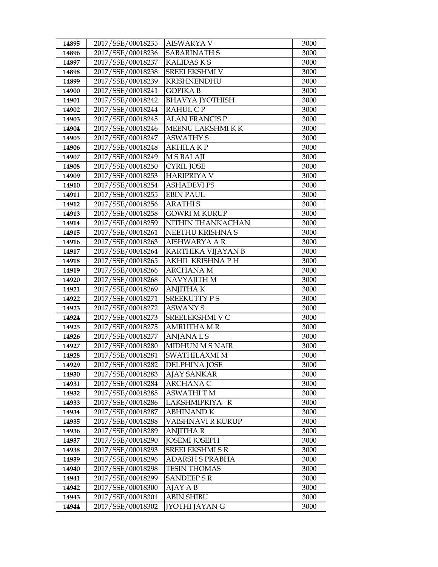| 14895 | 2017/SSE/00018235 | <b>AISWARYA V</b>      | 3000 |
|-------|-------------------|------------------------|------|
| 14896 | 2017/SSE/00018236 | <b>SABARINATH S</b>    | 3000 |
| 14897 | 2017/SSE/00018237 | <b>KALIDASKS</b>       | 3000 |
| 14898 | 2017/SSE/00018238 | SREELEKSHMI V          | 3000 |
| 14899 | 2017/SSE/00018239 | <b>KRISHNENDHU</b>     | 3000 |
| 14900 | 2017/SSE/00018241 | <b>GOPIKA B</b>        | 3000 |
| 14901 | 2017/SSE/00018242 | <b>BHAVYA JYOTHISH</b> | 3000 |
| 14902 | 2017/SSE/00018244 | RAHUL C P              | 3000 |
| 14903 | 2017/SSE/00018245 | <b>ALAN FRANCIS P</b>  | 3000 |
| 14904 | 2017/SSE/00018246 | MEENU LAKSHMI K K      | 3000 |
| 14905 | 2017/SSE/00018247 | <b>ASWATHY S</b>       | 3000 |
| 14906 | 2017/SSE/00018248 | <b>AKHILA KP</b>       | 3000 |
| 14907 | 2017/SSE/00018249 | <b>MSBALAJI</b>        | 3000 |
| 14908 | 2017/SSE/00018250 | <b>CYRIL JOSE</b>      | 3000 |
| 14909 | 2017/SSE/00018253 | <b>HARIPRIYA V</b>     | 3000 |
| 14910 | 2017/SSE/00018254 | <b>ASHADEVI PS</b>     | 3000 |
| 14911 | 2017/SSE/00018255 | <b>EBIN PAUL</b>       | 3000 |
| 14912 | 2017/SSE/00018256 | <b>ARATHIS</b>         | 3000 |
| 14913 | 2017/SSE/00018258 | <b>GOWRI M KURUP</b>   | 3000 |
| 14914 | 2017/SSE/00018259 | NITHIN THANKACHAN      | 3000 |
| 14915 | 2017/SSE/00018261 | NEETHU KRISHNA S       | 3000 |
| 14916 | 2017/SSE/00018263 | <b>AISHWARYA A R</b>   | 3000 |
| 14917 | 2017/SSE/00018264 | KARTHIKA VIJAYAN B     | 3000 |
| 14918 | 2017/SSE/00018265 | AKHIL KRISHNA P H      | 3000 |
| 14919 | 2017/SSE/00018266 | <b>ARCHANA M</b>       | 3000 |
| 14920 | 2017/SSE/00018268 | NAVYAJITH M            | 3000 |
| 14921 | 2017/SSE/00018269 | <b>ANJITHAK</b>        | 3000 |
| 14922 | 2017/SSE/00018271 | <b>SREEKUTTY PS</b>    | 3000 |
| 14923 | 2017/SSE/00018272 | <b>ASWANY S</b>        | 3000 |
| 14924 | 2017/SSE/00018273 | SREELEKSHMI V C        | 3000 |
| 14925 | 2017/SSE/00018275 | AMRUTHA M R            | 3000 |
| 14926 | 2017/SSE/00018277 | <b>ANJANALS</b>        | 3000 |
| 14927 | 2017/SSE/00018280 | <b>MIDHUN M S NAIR</b> | 3000 |
| 14928 | 2017/SSE/00018281 | SWATHILAXMI M          | 3000 |
| 14929 | 2017/SSE/00018282 | DELPHINA JOSE          | 3000 |
| 14930 | 2017/SSE/00018283 | AJAY SANKAR            | 3000 |
| 14931 | 2017/SSE/00018284 | <b>ARCHANA C</b>       | 3000 |
| 14932 | 2017/SSE/00018285 | <b>ASWATHITM</b>       | 3000 |
| 14933 | 2017/SSE/00018286 | LAKSHMIPRIYA R         | 3000 |
| 14934 | 2017/SSE/00018287 | <b>ABHINAND K</b>      | 3000 |
| 14935 | 2017/SSE/00018288 | VAISHNAVI R KURUP      | 3000 |
| 14936 | 2017/SSE/00018289 | <b>ANJITHA R</b>       | 3000 |
| 14937 | 2017/SSE/00018290 | <b>JOSEMI JOSEPH</b>   | 3000 |
| 14938 | 2017/SSE/00018293 | <b>SREELEKSHMI S R</b> | 3000 |
| 14939 | 2017/SSE/00018296 | ADARSH S PRABHA        | 3000 |
| 14940 | 2017/SSE/00018298 | <b>TESIN THOMAS</b>    | 3000 |
| 14941 | 2017/SSE/00018299 | <b>SANDEEPSR</b>       | 3000 |
| 14942 | 2017/SSE/00018300 | AJAY A B               | 3000 |
| 14943 | 2017/SSE/00018301 | <b>ABIN SHIBU</b>      | 3000 |
| 14944 | 2017/SSE/00018302 | <b>[YOTHI JAYAN G</b>  | 3000 |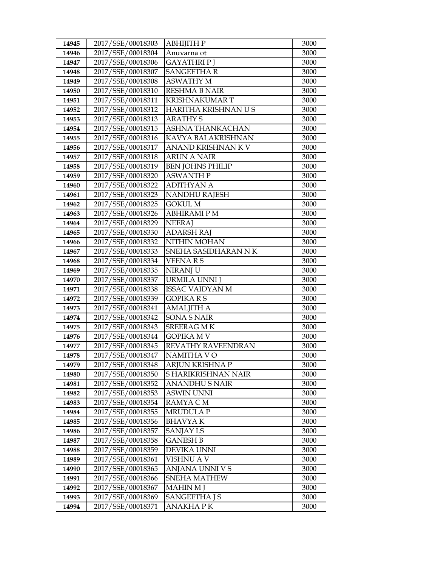| Anuvarna ot<br>2017/SSE/00018304<br>3000<br>14946<br>2017/SSE/00018306<br><b>GAYATHRIP J</b><br>14947<br>3000<br>2017/SSE/00018307<br><b>SANGEETHAR</b><br>14948<br>3000<br>2017/SSE/00018308<br><b>ASWATHY M</b><br>3000<br>14949<br>2017/SSE/00018310<br><b>RESHMA B NAIR</b><br>3000<br>14950<br>2017/SSE/00018311<br><b>KRISHNAKUMART</b><br>14951<br>3000<br>2017/SSE/00018312<br>HARITHA KRISHNAN U S<br>14952<br>3000<br>2017/SSE/00018313<br><b>ARATHY S</b><br>14953<br>3000<br>2017/SSE/00018315<br>ASHNA THANKACHAN<br>14954<br>3000<br>2017/SSE/00018316<br>14955<br>KAVYA BALAKRISHNAN<br>3000<br>2017/SSE/00018317<br>14956<br>ANAND KRISHNAN K V<br>3000<br>2017/SSE/00018318<br><b>ARUN A NAIR</b><br>14957<br>3000<br>2017/SSE/00018319<br><b>BEN JOHNS PHILIP</b><br>3000<br>14958<br>2017/SSE/00018320<br><b>ASWANTH P</b><br>14959<br>3000<br>2017/SSE/00018322<br>14960<br><b>ADITHYAN A</b><br>3000<br>2017/SSE/00018323<br>14961<br>NANDHU RAJESH<br>3000<br><b>GOKUL M</b><br>14962<br>2017/SSE/00018325<br>3000<br>2017/SSE/00018326<br><b>ABHIRAMIPM</b><br>14963<br>3000 |
|-----------------------------------------------------------------------------------------------------------------------------------------------------------------------------------------------------------------------------------------------------------------------------------------------------------------------------------------------------------------------------------------------------------------------------------------------------------------------------------------------------------------------------------------------------------------------------------------------------------------------------------------------------------------------------------------------------------------------------------------------------------------------------------------------------------------------------------------------------------------------------------------------------------------------------------------------------------------------------------------------------------------------------------------------------------------------------------------------------|
|                                                                                                                                                                                                                                                                                                                                                                                                                                                                                                                                                                                                                                                                                                                                                                                                                                                                                                                                                                                                                                                                                                     |
|                                                                                                                                                                                                                                                                                                                                                                                                                                                                                                                                                                                                                                                                                                                                                                                                                                                                                                                                                                                                                                                                                                     |
|                                                                                                                                                                                                                                                                                                                                                                                                                                                                                                                                                                                                                                                                                                                                                                                                                                                                                                                                                                                                                                                                                                     |
|                                                                                                                                                                                                                                                                                                                                                                                                                                                                                                                                                                                                                                                                                                                                                                                                                                                                                                                                                                                                                                                                                                     |
|                                                                                                                                                                                                                                                                                                                                                                                                                                                                                                                                                                                                                                                                                                                                                                                                                                                                                                                                                                                                                                                                                                     |
|                                                                                                                                                                                                                                                                                                                                                                                                                                                                                                                                                                                                                                                                                                                                                                                                                                                                                                                                                                                                                                                                                                     |
|                                                                                                                                                                                                                                                                                                                                                                                                                                                                                                                                                                                                                                                                                                                                                                                                                                                                                                                                                                                                                                                                                                     |
|                                                                                                                                                                                                                                                                                                                                                                                                                                                                                                                                                                                                                                                                                                                                                                                                                                                                                                                                                                                                                                                                                                     |
|                                                                                                                                                                                                                                                                                                                                                                                                                                                                                                                                                                                                                                                                                                                                                                                                                                                                                                                                                                                                                                                                                                     |
|                                                                                                                                                                                                                                                                                                                                                                                                                                                                                                                                                                                                                                                                                                                                                                                                                                                                                                                                                                                                                                                                                                     |
|                                                                                                                                                                                                                                                                                                                                                                                                                                                                                                                                                                                                                                                                                                                                                                                                                                                                                                                                                                                                                                                                                                     |
|                                                                                                                                                                                                                                                                                                                                                                                                                                                                                                                                                                                                                                                                                                                                                                                                                                                                                                                                                                                                                                                                                                     |
|                                                                                                                                                                                                                                                                                                                                                                                                                                                                                                                                                                                                                                                                                                                                                                                                                                                                                                                                                                                                                                                                                                     |
|                                                                                                                                                                                                                                                                                                                                                                                                                                                                                                                                                                                                                                                                                                                                                                                                                                                                                                                                                                                                                                                                                                     |
|                                                                                                                                                                                                                                                                                                                                                                                                                                                                                                                                                                                                                                                                                                                                                                                                                                                                                                                                                                                                                                                                                                     |
|                                                                                                                                                                                                                                                                                                                                                                                                                                                                                                                                                                                                                                                                                                                                                                                                                                                                                                                                                                                                                                                                                                     |
|                                                                                                                                                                                                                                                                                                                                                                                                                                                                                                                                                                                                                                                                                                                                                                                                                                                                                                                                                                                                                                                                                                     |
|                                                                                                                                                                                                                                                                                                                                                                                                                                                                                                                                                                                                                                                                                                                                                                                                                                                                                                                                                                                                                                                                                                     |
| 2017/SSE/00018329<br><b>NEERAJ</b><br>14964<br>3000                                                                                                                                                                                                                                                                                                                                                                                                                                                                                                                                                                                                                                                                                                                                                                                                                                                                                                                                                                                                                                                 |
| 2017/SSE/00018330<br><b>ADARSH RAJ</b><br>14965<br>3000                                                                                                                                                                                                                                                                                                                                                                                                                                                                                                                                                                                                                                                                                                                                                                                                                                                                                                                                                                                                                                             |
| 2017/SSE/00018332<br>NITHIN MOHAN<br>3000<br>14966                                                                                                                                                                                                                                                                                                                                                                                                                                                                                                                                                                                                                                                                                                                                                                                                                                                                                                                                                                                                                                                  |
| SNEHA SASIDHARAN NK<br>14967<br>2017/SSE/00018333<br>3000                                                                                                                                                                                                                                                                                                                                                                                                                                                                                                                                                                                                                                                                                                                                                                                                                                                                                                                                                                                                                                           |
| 2017/SSE/00018334<br><b>VEENARS</b><br>3000<br>14968                                                                                                                                                                                                                                                                                                                                                                                                                                                                                                                                                                                                                                                                                                                                                                                                                                                                                                                                                                                                                                                |
| 2017/SSE/00018335<br>NIRANJ U<br>3000<br>14969                                                                                                                                                                                                                                                                                                                                                                                                                                                                                                                                                                                                                                                                                                                                                                                                                                                                                                                                                                                                                                                      |
| 2017/SSE/00018337<br>14970<br>URMILA UNNI J<br>3000                                                                                                                                                                                                                                                                                                                                                                                                                                                                                                                                                                                                                                                                                                                                                                                                                                                                                                                                                                                                                                                 |
| 2017/SSE/00018338<br>14971<br><b>ISSAC VAIDYAN M</b><br>3000                                                                                                                                                                                                                                                                                                                                                                                                                                                                                                                                                                                                                                                                                                                                                                                                                                                                                                                                                                                                                                        |
| <b>GOPIKARS</b><br>14972<br>2017/SSE/00018339<br>3000                                                                                                                                                                                                                                                                                                                                                                                                                                                                                                                                                                                                                                                                                                                                                                                                                                                                                                                                                                                                                                               |
| 2017/SSE/00018341<br><b>AMALJITH A</b><br>14973<br>3000                                                                                                                                                                                                                                                                                                                                                                                                                                                                                                                                                                                                                                                                                                                                                                                                                                                                                                                                                                                                                                             |
| 2017/SSE/00018342<br><b>SONA S NAIR</b><br>14974<br>3000                                                                                                                                                                                                                                                                                                                                                                                                                                                                                                                                                                                                                                                                                                                                                                                                                                                                                                                                                                                                                                            |
| 2017/SSE/00018343<br><b>SREERAG MK</b><br>3000<br>14975                                                                                                                                                                                                                                                                                                                                                                                                                                                                                                                                                                                                                                                                                                                                                                                                                                                                                                                                                                                                                                             |
| 2017/SSE/00018344<br><b>GOPIKA M V</b><br>14976<br>3000                                                                                                                                                                                                                                                                                                                                                                                                                                                                                                                                                                                                                                                                                                                                                                                                                                                                                                                                                                                                                                             |
| 2017/SSE/00018345<br>REVATHY RAVEENDRAN<br>14977<br>3000                                                                                                                                                                                                                                                                                                                                                                                                                                                                                                                                                                                                                                                                                                                                                                                                                                                                                                                                                                                                                                            |
| 2017/SSE/00018347<br><b>NAMITHA VO</b><br>3000<br>14978                                                                                                                                                                                                                                                                                                                                                                                                                                                                                                                                                                                                                                                                                                                                                                                                                                                                                                                                                                                                                                             |
| 2017/SSE/00018348<br>3000<br>14979<br>ARJUN KRISHNA P<br>2017/SSE/00018350                                                                                                                                                                                                                                                                                                                                                                                                                                                                                                                                                                                                                                                                                                                                                                                                                                                                                                                                                                                                                          |
| S HARIKRISHNAN NAIR<br>3000<br>14980<br>2017/SSE/00018352                                                                                                                                                                                                                                                                                                                                                                                                                                                                                                                                                                                                                                                                                                                                                                                                                                                                                                                                                                                                                                           |
| 14981<br><b>ANANDHUS NAIR</b><br>3000<br>14982<br>2017/SSE/00018353<br><b>ASWIN UNNI</b><br>3000                                                                                                                                                                                                                                                                                                                                                                                                                                                                                                                                                                                                                                                                                                                                                                                                                                                                                                                                                                                                    |
| 2017/SSE/00018354<br>14983<br>RAMYA C M<br>3000                                                                                                                                                                                                                                                                                                                                                                                                                                                                                                                                                                                                                                                                                                                                                                                                                                                                                                                                                                                                                                                     |
| 2017/SSE/00018355<br><b>MRUDULA P</b><br>3000<br>14984                                                                                                                                                                                                                                                                                                                                                                                                                                                                                                                                                                                                                                                                                                                                                                                                                                                                                                                                                                                                                                              |
| 2017/SSE/00018356<br><b>BHAVYAK</b><br>3000<br>14985                                                                                                                                                                                                                                                                                                                                                                                                                                                                                                                                                                                                                                                                                                                                                                                                                                                                                                                                                                                                                                                |
| 2017/SSE/00018357<br>14986<br><b>SANJAY LS</b><br>3000                                                                                                                                                                                                                                                                                                                                                                                                                                                                                                                                                                                                                                                                                                                                                                                                                                                                                                                                                                                                                                              |
| 2017/SSE/00018358<br><b>GANESH B</b><br>3000<br>14987                                                                                                                                                                                                                                                                                                                                                                                                                                                                                                                                                                                                                                                                                                                                                                                                                                                                                                                                                                                                                                               |
| 2017/SSE/00018359<br>DEVIKA UNNI<br>3000<br>14988                                                                                                                                                                                                                                                                                                                                                                                                                                                                                                                                                                                                                                                                                                                                                                                                                                                                                                                                                                                                                                                   |
| 2017/SSE/00018361<br>VISHNU A V<br>3000<br>14989                                                                                                                                                                                                                                                                                                                                                                                                                                                                                                                                                                                                                                                                                                                                                                                                                                                                                                                                                                                                                                                    |
| 2017/SSE/00018365<br>ANJANA UNNI V S<br>3000<br>14990                                                                                                                                                                                                                                                                                                                                                                                                                                                                                                                                                                                                                                                                                                                                                                                                                                                                                                                                                                                                                                               |
| 2017/SSE/00018366<br>14991<br>SNEHA MATHEW<br>3000                                                                                                                                                                                                                                                                                                                                                                                                                                                                                                                                                                                                                                                                                                                                                                                                                                                                                                                                                                                                                                                  |
| 2017/SSE/00018367<br><b>MAHIN M J</b><br>3000<br>14992                                                                                                                                                                                                                                                                                                                                                                                                                                                                                                                                                                                                                                                                                                                                                                                                                                                                                                                                                                                                                                              |
| 2017/SSE/00018369<br><b>SANGEETHA J S</b><br>3000<br>14993                                                                                                                                                                                                                                                                                                                                                                                                                                                                                                                                                                                                                                                                                                                                                                                                                                                                                                                                                                                                                                          |
| 14994<br>2017/SSE/00018371<br>ANAKHA P K<br>3000                                                                                                                                                                                                                                                                                                                                                                                                                                                                                                                                                                                                                                                                                                                                                                                                                                                                                                                                                                                                                                                    |